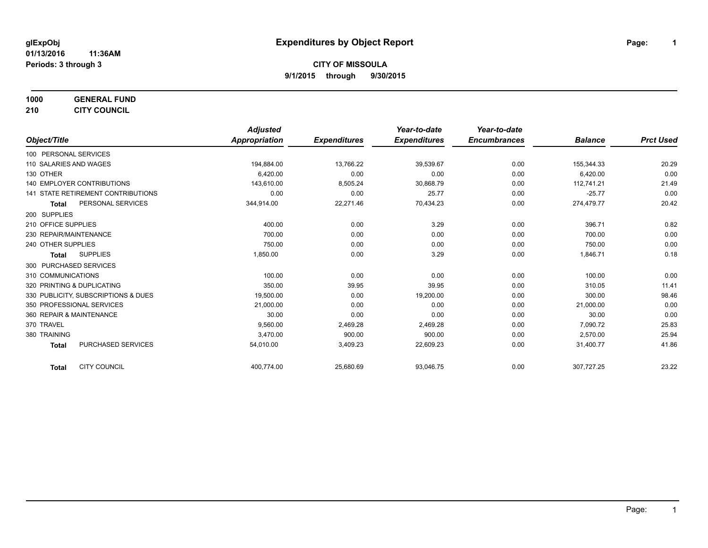**1000 GENERAL FUND**

**210 CITY COUNCIL**

|                                           | <b>Adjusted</b> |                     | Year-to-date        | Year-to-date        |                |                  |
|-------------------------------------------|-----------------|---------------------|---------------------|---------------------|----------------|------------------|
| Object/Title                              | Appropriation   | <b>Expenditures</b> | <b>Expenditures</b> | <b>Encumbrances</b> | <b>Balance</b> | <b>Prct Used</b> |
| 100 PERSONAL SERVICES                     |                 |                     |                     |                     |                |                  |
| 110 SALARIES AND WAGES                    | 194,884.00      | 13,766.22           | 39,539.67           | 0.00                | 155,344.33     | 20.29            |
| 130 OTHER                                 | 6,420.00        | 0.00                | 0.00                | 0.00                | 6,420.00       | 0.00             |
| <b>140 EMPLOYER CONTRIBUTIONS</b>         | 143,610.00      | 8,505.24            | 30,868.79           | 0.00                | 112,741.21     | 21.49            |
| 141 STATE RETIREMENT CONTRIBUTIONS        | 0.00            | 0.00                | 25.77               | 0.00                | $-25.77$       | 0.00             |
| PERSONAL SERVICES<br><b>Total</b>         | 344,914.00      | 22,271.46           | 70,434.23           | 0.00                | 274,479.77     | 20.42            |
| 200 SUPPLIES                              |                 |                     |                     |                     |                |                  |
| 210 OFFICE SUPPLIES                       | 400.00          | 0.00                | 3.29                | 0.00                | 396.71         | 0.82             |
| 230 REPAIR/MAINTENANCE                    | 700.00          | 0.00                | 0.00                | 0.00                | 700.00         | 0.00             |
| 240 OTHER SUPPLIES                        | 750.00          | 0.00                | 0.00                | 0.00                | 750.00         | 0.00             |
| <b>SUPPLIES</b><br><b>Total</b>           | 1,850.00        | 0.00                | 3.29                | 0.00                | 1,846.71       | 0.18             |
| 300 PURCHASED SERVICES                    |                 |                     |                     |                     |                |                  |
| 310 COMMUNICATIONS                        | 100.00          | 0.00                | 0.00                | 0.00                | 100.00         | 0.00             |
| 320 PRINTING & DUPLICATING                | 350.00          | 39.95               | 39.95               | 0.00                | 310.05         | 11.41            |
| 330 PUBLICITY, SUBSCRIPTIONS & DUES       | 19,500.00       | 0.00                | 19,200.00           | 0.00                | 300.00         | 98.46            |
| 350 PROFESSIONAL SERVICES                 | 21,000.00       | 0.00                | 0.00                | 0.00                | 21,000.00      | 0.00             |
| 360 REPAIR & MAINTENANCE                  | 30.00           | 0.00                | 0.00                | 0.00                | 30.00          | 0.00             |
| 370 TRAVEL                                | 9.560.00        | 2,469.28            | 2,469.28            | 0.00                | 7,090.72       | 25.83            |
| 380 TRAINING                              | 3,470.00        | 900.00              | 900.00              | 0.00                | 2,570.00       | 25.94            |
| <b>PURCHASED SERVICES</b><br><b>Total</b> | 54,010.00       | 3,409.23            | 22,609.23           | 0.00                | 31,400.77      | 41.86            |
| <b>CITY COUNCIL</b><br><b>Total</b>       | 400,774.00      | 25,680.69           | 93,046.75           | 0.00                | 307,727.25     | 23.22            |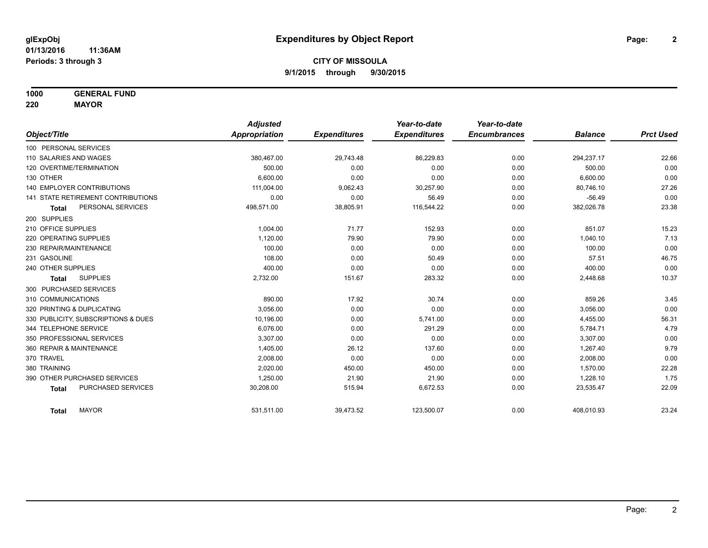**1000 GENERAL FUND**

**220 MAYOR**

|                                     | <b>Adjusted</b> |                     | Year-to-date        | Year-to-date        |                |                  |
|-------------------------------------|-----------------|---------------------|---------------------|---------------------|----------------|------------------|
| Object/Title                        | Appropriation   | <b>Expenditures</b> | <b>Expenditures</b> | <b>Encumbrances</b> | <b>Balance</b> | <b>Prct Used</b> |
| 100 PERSONAL SERVICES               |                 |                     |                     |                     |                |                  |
| 110 SALARIES AND WAGES              | 380,467.00      | 29,743.48           | 86,229.83           | 0.00                | 294,237.17     | 22.66            |
| 120 OVERTIME/TERMINATION            | 500.00          | 0.00                | 0.00                | 0.00                | 500.00         | 0.00             |
| 130 OTHER                           | 6.600.00        | 0.00                | 0.00                | 0.00                | 6,600.00       | 0.00             |
| <b>140 EMPLOYER CONTRIBUTIONS</b>   | 111,004.00      | 9,062.43            | 30,257.90           | 0.00                | 80,746.10      | 27.26            |
| 141 STATE RETIREMENT CONTRIBUTIONS  | 0.00            | 0.00                | 56.49               | 0.00                | $-56.49$       | 0.00             |
| PERSONAL SERVICES<br><b>Total</b>   | 498,571.00      | 38,805.91           | 116,544.22          | 0.00                | 382,026.78     | 23.38            |
| 200 SUPPLIES                        |                 |                     |                     |                     |                |                  |
| 210 OFFICE SUPPLIES                 | 1.004.00        | 71.77               | 152.93              | 0.00                | 851.07         | 15.23            |
| 220 OPERATING SUPPLIES              | 1,120.00        | 79.90               | 79.90               | 0.00                | 1,040.10       | 7.13             |
| 230 REPAIR/MAINTENANCE              | 100.00          | 0.00                | 0.00                | 0.00                | 100.00         | 0.00             |
| 231 GASOLINE                        | 108.00          | 0.00                | 50.49               | 0.00                | 57.51          | 46.75            |
| 240 OTHER SUPPLIES                  | 400.00          | 0.00                | 0.00                | 0.00                | 400.00         | 0.00             |
| <b>SUPPLIES</b><br><b>Total</b>     | 2,732.00        | 151.67              | 283.32              | 0.00                | 2,448.68       | 10.37            |
| 300 PURCHASED SERVICES              |                 |                     |                     |                     |                |                  |
| 310 COMMUNICATIONS                  | 890.00          | 17.92               | 30.74               | 0.00                | 859.26         | 3.45             |
| 320 PRINTING & DUPLICATING          | 3.056.00        | 0.00                | 0.00                | 0.00                | 3,056.00       | 0.00             |
| 330 PUBLICITY, SUBSCRIPTIONS & DUES | 10,196.00       | 0.00                | 5,741.00            | 0.00                | 4,455.00       | 56.31            |
| 344 TELEPHONE SERVICE               | 6.076.00        | 0.00                | 291.29              | 0.00                | 5,784.71       | 4.79             |
| 350 PROFESSIONAL SERVICES           | 3,307.00        | 0.00                | 0.00                | 0.00                | 3,307.00       | 0.00             |
| 360 REPAIR & MAINTENANCE            | 1,405.00        | 26.12               | 137.60              | 0.00                | 1,267.40       | 9.79             |
| 370 TRAVEL                          | 2,008.00        | 0.00                | 0.00                | 0.00                | 2,008.00       | 0.00             |
| 380 TRAINING                        | 2.020.00        | 450.00              | 450.00              | 0.00                | 1,570.00       | 22.28            |
| 390 OTHER PURCHASED SERVICES        | 1,250.00        | 21.90               | 21.90               | 0.00                | 1,228.10       | 1.75             |
| PURCHASED SERVICES<br><b>Total</b>  | 30,208.00       | 515.94              | 6,672.53            | 0.00                | 23,535.47      | 22.09            |
| <b>MAYOR</b><br><b>Total</b>        | 531,511.00      | 39,473.52           | 123,500.07          | 0.00                | 408,010.93     | 23.24            |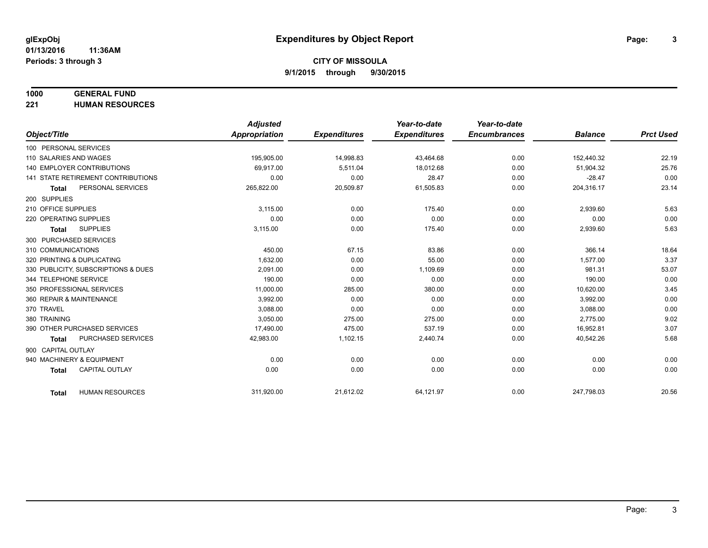## **1000 GENERAL FUND**

**221 HUMAN RESOURCES**

|                                     |                           | <b>Adjusted</b>      |                     | Year-to-date        | Year-to-date        |                |                  |
|-------------------------------------|---------------------------|----------------------|---------------------|---------------------|---------------------|----------------|------------------|
| Object/Title                        |                           | <b>Appropriation</b> | <b>Expenditures</b> | <b>Expenditures</b> | <b>Encumbrances</b> | <b>Balance</b> | <b>Prct Used</b> |
| 100 PERSONAL SERVICES               |                           |                      |                     |                     |                     |                |                  |
| 110 SALARIES AND WAGES              |                           | 195,905.00           | 14,998.83           | 43,464.68           | 0.00                | 152,440.32     | 22.19            |
| 140 EMPLOYER CONTRIBUTIONS          |                           | 69.917.00            | 5,511.04            | 18,012.68           | 0.00                | 51,904.32      | 25.76            |
| 141 STATE RETIREMENT CONTRIBUTIONS  |                           | 0.00                 | 0.00                | 28.47               | 0.00                | $-28.47$       | 0.00             |
| <b>Total</b>                        | PERSONAL SERVICES         | 265,822.00           | 20,509.87           | 61,505.83           | 0.00                | 204,316.17     | 23.14            |
| 200 SUPPLIES                        |                           |                      |                     |                     |                     |                |                  |
| 210 OFFICE SUPPLIES                 |                           | 3,115.00             | 0.00                | 175.40              | 0.00                | 2,939.60       | 5.63             |
| 220 OPERATING SUPPLIES              |                           | 0.00                 | 0.00                | 0.00                | 0.00                | 0.00           | 0.00             |
| <b>SUPPLIES</b><br><b>Total</b>     |                           | 3,115.00             | 0.00                | 175.40              | 0.00                | 2,939.60       | 5.63             |
| 300 PURCHASED SERVICES              |                           |                      |                     |                     |                     |                |                  |
| 310 COMMUNICATIONS                  |                           | 450.00               | 67.15               | 83.86               | 0.00                | 366.14         | 18.64            |
| 320 PRINTING & DUPLICATING          |                           | 1.632.00             | 0.00                | 55.00               | 0.00                | 1.577.00       | 3.37             |
| 330 PUBLICITY, SUBSCRIPTIONS & DUES |                           | 2,091.00             | 0.00                | 1,109.69            | 0.00                | 981.31         | 53.07            |
| 344 TELEPHONE SERVICE               |                           | 190.00               | 0.00                | 0.00                | 0.00                | 190.00         | 0.00             |
| 350 PROFESSIONAL SERVICES           |                           | 11,000.00            | 285.00              | 380.00              | 0.00                | 10,620.00      | 3.45             |
| 360 REPAIR & MAINTENANCE            |                           | 3,992.00             | 0.00                | 0.00                | 0.00                | 3,992.00       | 0.00             |
| 370 TRAVEL                          |                           | 3.088.00             | 0.00                | 0.00                | 0.00                | 3,088.00       | 0.00             |
| 380 TRAINING                        |                           | 3,050.00             | 275.00              | 275.00              | 0.00                | 2,775.00       | 9.02             |
| 390 OTHER PURCHASED SERVICES        |                           | 17,490.00            | 475.00              | 537.19              | 0.00                | 16,952.81      | 3.07             |
| <b>Total</b>                        | <b>PURCHASED SERVICES</b> | 42,983.00            | 1,102.15            | 2,440.74            | 0.00                | 40,542.26      | 5.68             |
| 900 CAPITAL OUTLAY                  |                           |                      |                     |                     |                     |                |                  |
| 940 MACHINERY & EQUIPMENT           |                           | 0.00                 | 0.00                | 0.00                | 0.00                | 0.00           | 0.00             |
| <b>Total</b>                        | <b>CAPITAL OUTLAY</b>     | 0.00                 | 0.00                | 0.00                | 0.00                | 0.00           | 0.00             |
|                                     |                           |                      |                     |                     |                     |                |                  |
| <b>Total</b>                        | <b>HUMAN RESOURCES</b>    | 311,920.00           | 21,612.02           | 64,121.97           | 0.00                | 247,798.03     | 20.56            |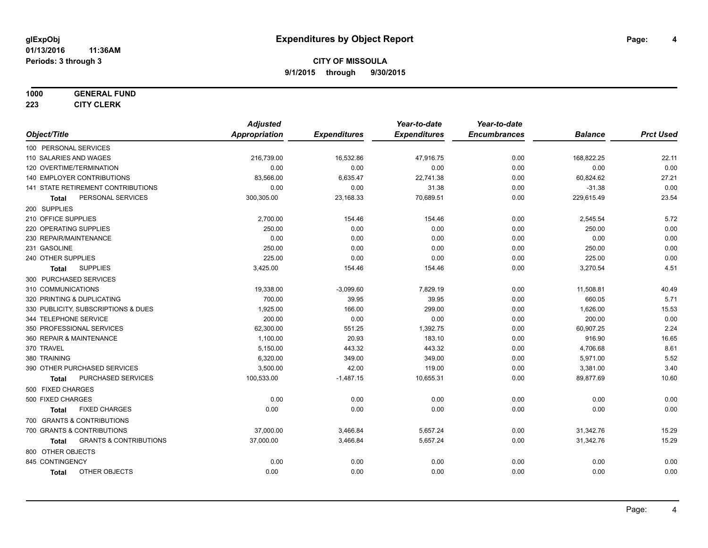#### **1000 GENERAL FUND**

**223 CITY CLERK**

|                                                   | <b>Adjusted</b>      |                     | Year-to-date        | Year-to-date        |                |                  |
|---------------------------------------------------|----------------------|---------------------|---------------------|---------------------|----------------|------------------|
| Object/Title                                      | <b>Appropriation</b> | <b>Expenditures</b> | <b>Expenditures</b> | <b>Encumbrances</b> | <b>Balance</b> | <b>Prct Used</b> |
| 100 PERSONAL SERVICES                             |                      |                     |                     |                     |                |                  |
| 110 SALARIES AND WAGES                            | 216,739.00           | 16,532.86           | 47,916.75           | 0.00                | 168,822.25     | 22.11            |
| 120 OVERTIME/TERMINATION                          | 0.00                 | 0.00                | 0.00                | 0.00                | 0.00           | 0.00             |
| 140 EMPLOYER CONTRIBUTIONS                        | 83,566.00            | 6,635.47            | 22,741.38           | 0.00                | 60,824.62      | 27.21            |
| 141 STATE RETIREMENT CONTRIBUTIONS                | 0.00                 | 0.00                | 31.38               | 0.00                | $-31.38$       | 0.00             |
| PERSONAL SERVICES<br>Total                        | 300,305.00           | 23,168.33           | 70,689.51           | 0.00                | 229,615.49     | 23.54            |
| 200 SUPPLIES                                      |                      |                     |                     |                     |                |                  |
| 210 OFFICE SUPPLIES                               | 2,700.00             | 154.46              | 154.46              | 0.00                | 2,545.54       | 5.72             |
| 220 OPERATING SUPPLIES                            | 250.00               | 0.00                | 0.00                | 0.00                | 250.00         | 0.00             |
| 230 REPAIR/MAINTENANCE                            | 0.00                 | 0.00                | 0.00                | 0.00                | 0.00           | 0.00             |
| 231 GASOLINE                                      | 250.00               | 0.00                | 0.00                | 0.00                | 250.00         | 0.00             |
| 240 OTHER SUPPLIES                                | 225.00               | 0.00                | 0.00                | 0.00                | 225.00         | 0.00             |
| <b>SUPPLIES</b><br>Total                          | 3,425.00             | 154.46              | 154.46              | 0.00                | 3,270.54       | 4.51             |
| 300 PURCHASED SERVICES                            |                      |                     |                     |                     |                |                  |
| 310 COMMUNICATIONS                                | 19,338.00            | $-3,099.60$         | 7,829.19            | 0.00                | 11,508.81      | 40.49            |
| 320 PRINTING & DUPLICATING                        | 700.00               | 39.95               | 39.95               | 0.00                | 660.05         | 5.71             |
| 330 PUBLICITY, SUBSCRIPTIONS & DUES               | 1,925.00             | 166.00              | 299.00              | 0.00                | 1,626.00       | 15.53            |
| 344 TELEPHONE SERVICE                             | 200.00               | 0.00                | 0.00                | 0.00                | 200.00         | 0.00             |
| 350 PROFESSIONAL SERVICES                         | 62,300.00            | 551.25              | 1,392.75            | 0.00                | 60,907.25      | 2.24             |
| 360 REPAIR & MAINTENANCE                          | 1,100.00             | 20.93               | 183.10              | 0.00                | 916.90         | 16.65            |
| 370 TRAVEL                                        | 5,150.00             | 443.32              | 443.32              | 0.00                | 4,706.68       | 8.61             |
| 380 TRAINING                                      | 6,320.00             | 349.00              | 349.00              | 0.00                | 5,971.00       | 5.52             |
| 390 OTHER PURCHASED SERVICES                      | 3,500.00             | 42.00               | 119.00              | 0.00                | 3,381.00       | 3.40             |
| PURCHASED SERVICES<br><b>Total</b>                | 100,533.00           | $-1,487.15$         | 10,655.31           | 0.00                | 89,877.69      | 10.60            |
| 500 FIXED CHARGES                                 |                      |                     |                     |                     |                |                  |
| 500 FIXED CHARGES                                 | 0.00                 | 0.00                | 0.00                | 0.00                | 0.00           | 0.00             |
| <b>FIXED CHARGES</b><br>Total                     | 0.00                 | 0.00                | 0.00                | 0.00                | 0.00           | 0.00             |
| 700 GRANTS & CONTRIBUTIONS                        |                      |                     |                     |                     |                |                  |
| 700 GRANTS & CONTRIBUTIONS                        | 37,000.00            | 3,466.84            | 5,657.24            | 0.00                | 31,342.76      | 15.29            |
| <b>GRANTS &amp; CONTRIBUTIONS</b><br><b>Total</b> | 37,000.00            | 3,466.84            | 5,657.24            | 0.00                | 31,342.76      | 15.29            |
| 800 OTHER OBJECTS                                 |                      |                     |                     |                     |                |                  |
| 845 CONTINGENCY                                   | 0.00                 | 0.00                | 0.00                | 0.00                | 0.00           | 0.00             |
| OTHER OBJECTS<br><b>Total</b>                     | 0.00                 | 0.00                | 0.00                | 0.00                | 0.00           | 0.00             |
|                                                   |                      |                     |                     |                     |                |                  |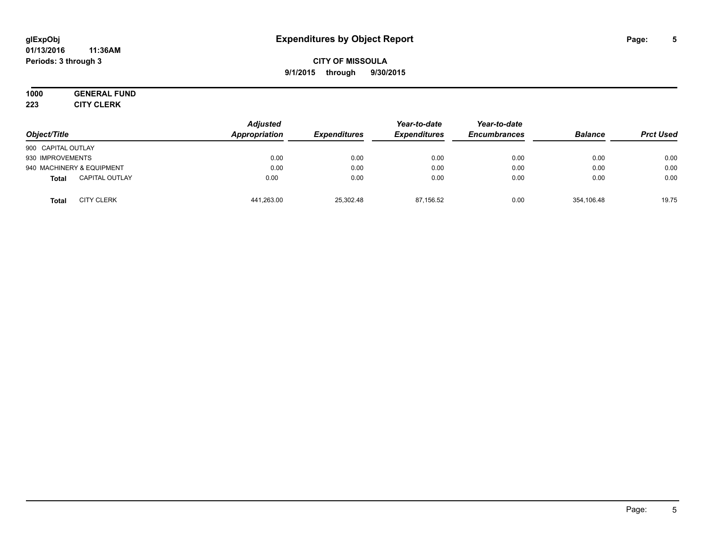#### **01/13/2016 11:36AM Periods: 3 through 3**

## **CITY OF MISSOULA 9/1/2015 through 9/30/2015**

# **1000 GENERAL FUND**

**223 CITY CLERK**

| Object/Title                          | <b>Adjusted</b><br>Appropriation | <b>Expenditures</b> | Year-to-date<br><b>Expenditures</b> | Year-to-date<br><b>Encumbrances</b> | <b>Balance</b> | <b>Prct Used</b> |
|---------------------------------------|----------------------------------|---------------------|-------------------------------------|-------------------------------------|----------------|------------------|
| 900 CAPITAL OUTLAY                    |                                  |                     |                                     |                                     |                |                  |
| 930 IMPROVEMENTS                      | 0.00                             | 0.00                | 0.00                                | 0.00                                | 0.00           | 0.00             |
| 940 MACHINERY & EQUIPMENT             | 0.00                             | 0.00                | 0.00                                | 0.00                                | 0.00           | 0.00             |
| <b>CAPITAL OUTLAY</b><br><b>Total</b> | 0.00                             | 0.00                | 0.00                                | 0.00                                | 0.00           | 0.00             |
| <b>CITY CLERK</b><br><b>Total</b>     | 441,263.00                       | 25,302.48           | 87.156.52                           | 0.00                                | 354,106.48     | 19.75            |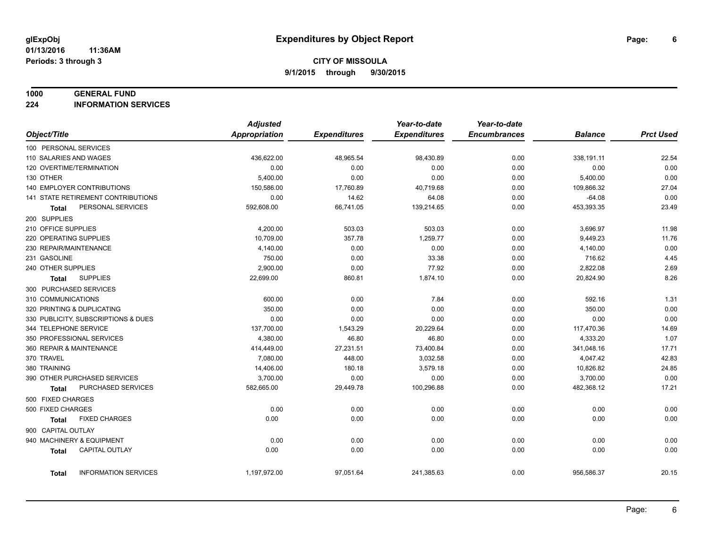#### **1000 GENERAL FUND**

**224 INFORMATION SERVICES**

|                                             | <b>Adjusted</b>      |                     | Year-to-date        | Year-to-date        |                |                  |
|---------------------------------------------|----------------------|---------------------|---------------------|---------------------|----------------|------------------|
| Object/Title                                | <b>Appropriation</b> | <b>Expenditures</b> | <b>Expenditures</b> | <b>Encumbrances</b> | <b>Balance</b> | <b>Prct Used</b> |
| 100 PERSONAL SERVICES                       |                      |                     |                     |                     |                |                  |
| 110 SALARIES AND WAGES                      | 436,622.00           | 48,965.54           | 98,430.89           | 0.00                | 338,191.11     | 22.54            |
| 120 OVERTIME/TERMINATION                    | 0.00                 | 0.00                | 0.00                | 0.00                | 0.00           | 0.00             |
| 130 OTHER                                   | 5,400.00             | 0.00                | 0.00                | 0.00                | 5,400.00       | 0.00             |
| <b>140 EMPLOYER CONTRIBUTIONS</b>           | 150,586.00           | 17,760.89           | 40,719.68           | 0.00                | 109,866.32     | 27.04            |
| 141 STATE RETIREMENT CONTRIBUTIONS          | 0.00                 | 14.62               | 64.08               | 0.00                | $-64.08$       | 0.00             |
| PERSONAL SERVICES<br>Total                  | 592,608.00           | 66,741.05           | 139,214.65          | 0.00                | 453,393.35     | 23.49            |
| 200 SUPPLIES                                |                      |                     |                     |                     |                |                  |
| 210 OFFICE SUPPLIES                         | 4,200.00             | 503.03              | 503.03              | 0.00                | 3,696.97       | 11.98            |
| 220 OPERATING SUPPLIES                      | 10,709.00            | 357.78              | 1,259.77            | 0.00                | 9,449.23       | 11.76            |
| 230 REPAIR/MAINTENANCE                      | 4,140.00             | 0.00                | 0.00                | 0.00                | 4,140.00       | 0.00             |
| 231 GASOLINE                                | 750.00               | 0.00                | 33.38               | 0.00                | 716.62         | 4.45             |
| 240 OTHER SUPPLIES                          | 2,900.00             | 0.00                | 77.92               | 0.00                | 2,822.08       | 2.69             |
| <b>SUPPLIES</b><br>Total                    | 22,699.00            | 860.81              | 1,874.10            | 0.00                | 20,824.90      | 8.26             |
| 300 PURCHASED SERVICES                      |                      |                     |                     |                     |                |                  |
| 310 COMMUNICATIONS                          | 600.00               | 0.00                | 7.84                | 0.00                | 592.16         | 1.31             |
| 320 PRINTING & DUPLICATING                  | 350.00               | 0.00                | 0.00                | 0.00                | 350.00         | 0.00             |
| 330 PUBLICITY, SUBSCRIPTIONS & DUES         | 0.00                 | 0.00                | 0.00                | 0.00                | 0.00           | 0.00             |
| 344 TELEPHONE SERVICE                       | 137,700.00           | 1,543.29            | 20,229.64           | 0.00                | 117,470.36     | 14.69            |
| 350 PROFESSIONAL SERVICES                   | 4,380.00             | 46.80               | 46.80               | 0.00                | 4,333.20       | 1.07             |
| 360 REPAIR & MAINTENANCE                    | 414,449.00           | 27,231.51           | 73,400.84           | 0.00                | 341,048.16     | 17.71            |
| 370 TRAVEL                                  | 7,080.00             | 448.00              | 3,032.58            | 0.00                | 4,047.42       | 42.83            |
| 380 TRAINING                                | 14,406.00            | 180.18              | 3,579.18            | 0.00                | 10,826.82      | 24.85            |
| 390 OTHER PURCHASED SERVICES                | 3,700.00             | 0.00                | 0.00                | 0.00                | 3,700.00       | 0.00             |
| PURCHASED SERVICES<br><b>Total</b>          | 582,665.00           | 29,449.78           | 100,296.88          | 0.00                | 482,368.12     | 17.21            |
| 500 FIXED CHARGES                           |                      |                     |                     |                     |                |                  |
| 500 FIXED CHARGES                           | 0.00                 | 0.00                | 0.00                | 0.00                | 0.00           | 0.00             |
| <b>FIXED CHARGES</b><br><b>Total</b>        | 0.00                 | 0.00                | 0.00                | 0.00                | 0.00           | 0.00             |
| 900 CAPITAL OUTLAY                          |                      |                     |                     |                     |                |                  |
| 940 MACHINERY & EQUIPMENT                   | 0.00                 | 0.00                | 0.00                | 0.00                | 0.00           | 0.00             |
| CAPITAL OUTLAY<br><b>Total</b>              | 0.00                 | 0.00                | 0.00                | 0.00                | 0.00           | 0.00             |
|                                             |                      |                     |                     |                     |                |                  |
| <b>INFORMATION SERVICES</b><br><b>Total</b> | 1,197,972.00         | 97,051.64           | 241,385.63          | 0.00                | 956,586.37     | 20.15            |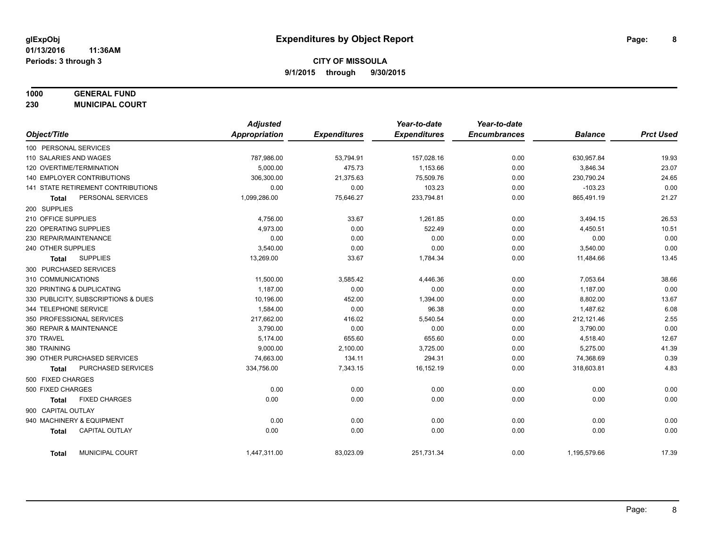## **1000 GENERAL FUND**

**230 MUNICIPAL COURT**

|                                       | <b>Adjusted</b> |                     | Year-to-date        | Year-to-date        |                |                  |
|---------------------------------------|-----------------|---------------------|---------------------|---------------------|----------------|------------------|
| Object/Title                          | Appropriation   | <b>Expenditures</b> | <b>Expenditures</b> | <b>Encumbrances</b> | <b>Balance</b> | <b>Prct Used</b> |
| 100 PERSONAL SERVICES                 |                 |                     |                     |                     |                |                  |
| 110 SALARIES AND WAGES                | 787,986.00      | 53,794.91           | 157,028.16          | 0.00                | 630,957.84     | 19.93            |
| 120 OVERTIME/TERMINATION              | 5.000.00        | 475.73              | 1.153.66            | 0.00                | 3,846.34       | 23.07            |
| 140 EMPLOYER CONTRIBUTIONS            | 306,300.00      | 21,375.63           | 75,509.76           | 0.00                | 230,790.24     | 24.65            |
| 141 STATE RETIREMENT CONTRIBUTIONS    | 0.00            | 0.00                | 103.23              | 0.00                | $-103.23$      | 0.00             |
| PERSONAL SERVICES<br><b>Total</b>     | 1,099,286.00    | 75,646.27           | 233,794.81          | 0.00                | 865,491.19     | 21.27            |
| 200 SUPPLIES                          |                 |                     |                     |                     |                |                  |
| 210 OFFICE SUPPLIES                   | 4,756.00        | 33.67               | 1,261.85            | 0.00                | 3,494.15       | 26.53            |
| 220 OPERATING SUPPLIES                | 4,973.00        | 0.00                | 522.49              | 0.00                | 4,450.51       | 10.51            |
| 230 REPAIR/MAINTENANCE                | 0.00            | 0.00                | 0.00                | 0.00                | 0.00           | 0.00             |
| 240 OTHER SUPPLIES                    | 3,540.00        | 0.00                | 0.00                | 0.00                | 3,540.00       | 0.00             |
| <b>SUPPLIES</b><br><b>Total</b>       | 13,269.00       | 33.67               | 1,784.34            | 0.00                | 11,484.66      | 13.45            |
| 300 PURCHASED SERVICES                |                 |                     |                     |                     |                |                  |
| 310 COMMUNICATIONS                    | 11,500.00       | 3,585.42            | 4,446.36            | 0.00                | 7,053.64       | 38.66            |
| 320 PRINTING & DUPLICATING            | 1,187.00        | 0.00                | 0.00                | 0.00                | 1,187.00       | 0.00             |
| 330 PUBLICITY, SUBSCRIPTIONS & DUES   | 10,196.00       | 452.00              | 1,394.00            | 0.00                | 8,802.00       | 13.67            |
| 344 TELEPHONE SERVICE                 | 1,584.00        | 0.00                | 96.38               | 0.00                | 1,487.62       | 6.08             |
| 350 PROFESSIONAL SERVICES             | 217,662.00      | 416.02              | 5,540.54            | 0.00                | 212,121.46     | 2.55             |
| 360 REPAIR & MAINTENANCE              | 3,790.00        | 0.00                | 0.00                | 0.00                | 3,790.00       | 0.00             |
| 370 TRAVEL                            | 5,174.00        | 655.60              | 655.60              | 0.00                | 4,518.40       | 12.67            |
| 380 TRAINING                          | 9,000.00        | 2,100.00            | 3,725.00            | 0.00                | 5,275.00       | 41.39            |
| 390 OTHER PURCHASED SERVICES          | 74,663.00       | 134.11              | 294.31              | 0.00                | 74,368.69      | 0.39             |
| PURCHASED SERVICES<br><b>Total</b>    | 334,756.00      | 7,343.15            | 16,152.19           | 0.00                | 318,603.81     | 4.83             |
| 500 FIXED CHARGES                     |                 |                     |                     |                     |                |                  |
| 500 FIXED CHARGES                     | 0.00            | 0.00                | 0.00                | 0.00                | 0.00           | 0.00             |
| <b>FIXED CHARGES</b><br><b>Total</b>  | 0.00            | 0.00                | 0.00                | 0.00                | 0.00           | 0.00             |
| 900 CAPITAL OUTLAY                    |                 |                     |                     |                     |                |                  |
| 940 MACHINERY & EQUIPMENT             | 0.00            | 0.00                | 0.00                | 0.00                | 0.00           | 0.00             |
| <b>CAPITAL OUTLAY</b><br><b>Total</b> | 0.00            | 0.00                | 0.00                | 0.00                | 0.00           | 0.00             |
| MUNICIPAL COURT<br><b>Total</b>       | 1,447,311.00    | 83,023.09           | 251,731.34          | 0.00                | 1,195,579.66   | 17.39            |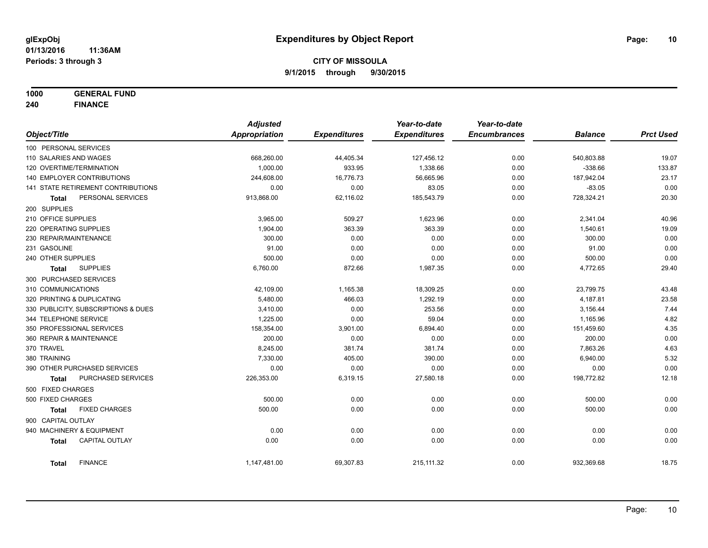**1000 GENERAL FUND**

**240 FINANCE**

|                                     |                       | <b>Adjusted</b>      |                     | Year-to-date        | Year-to-date        |                |                  |
|-------------------------------------|-----------------------|----------------------|---------------------|---------------------|---------------------|----------------|------------------|
| Object/Title                        |                       | <b>Appropriation</b> | <b>Expenditures</b> | <b>Expenditures</b> | <b>Encumbrances</b> | <b>Balance</b> | <b>Prct Used</b> |
| 100 PERSONAL SERVICES               |                       |                      |                     |                     |                     |                |                  |
| 110 SALARIES AND WAGES              |                       | 668,260.00           | 44,405.34           | 127,456.12          | 0.00                | 540,803.88     | 19.07            |
| 120 OVERTIME/TERMINATION            |                       | 1,000.00             | 933.95              | 1,338.66            | 0.00                | $-338.66$      | 133.87           |
| 140 EMPLOYER CONTRIBUTIONS          |                       | 244,608.00           | 16,776.73           | 56,665.96           | 0.00                | 187,942.04     | 23.17            |
| 141 STATE RETIREMENT CONTRIBUTIONS  |                       | 0.00                 | 0.00                | 83.05               | 0.00                | $-83.05$       | 0.00             |
| <b>Total</b>                        | PERSONAL SERVICES     | 913,868.00           | 62,116.02           | 185,543.79          | 0.00                | 728,324.21     | 20.30            |
| 200 SUPPLIES                        |                       |                      |                     |                     |                     |                |                  |
| 210 OFFICE SUPPLIES                 |                       | 3,965.00             | 509.27              | 1,623.96            | 0.00                | 2,341.04       | 40.96            |
| 220 OPERATING SUPPLIES              |                       | 1,904.00             | 363.39              | 363.39              | 0.00                | 1,540.61       | 19.09            |
| 230 REPAIR/MAINTENANCE              |                       | 300.00               | 0.00                | 0.00                | 0.00                | 300.00         | 0.00             |
| 231 GASOLINE                        |                       | 91.00                | 0.00                | 0.00                | 0.00                | 91.00          | 0.00             |
| 240 OTHER SUPPLIES                  |                       | 500.00               | 0.00                | 0.00                | 0.00                | 500.00         | 0.00             |
| <b>Total</b>                        | <b>SUPPLIES</b>       | 6,760.00             | 872.66              | 1,987.35            | 0.00                | 4,772.65       | 29.40            |
| 300 PURCHASED SERVICES              |                       |                      |                     |                     |                     |                |                  |
| 310 COMMUNICATIONS                  |                       | 42,109.00            | 1,165.38            | 18,309.25           | 0.00                | 23,799.75      | 43.48            |
| 320 PRINTING & DUPLICATING          |                       | 5,480.00             | 466.03              | 1,292.19            | 0.00                | 4,187.81       | 23.58            |
| 330 PUBLICITY, SUBSCRIPTIONS & DUES |                       | 3,410.00             | 0.00                | 253.56              | 0.00                | 3,156.44       | 7.44             |
| 344 TELEPHONE SERVICE               |                       | 1,225.00             | 0.00                | 59.04               | 0.00                | 1,165.96       | 4.82             |
| 350 PROFESSIONAL SERVICES           |                       | 158,354.00           | 3,901.00            | 6,894.40            | 0.00                | 151,459.60     | 4.35             |
| 360 REPAIR & MAINTENANCE            |                       | 200.00               | 0.00                | 0.00                | 0.00                | 200.00         | 0.00             |
| 370 TRAVEL                          |                       | 8,245.00             | 381.74              | 381.74              | 0.00                | 7,863.26       | 4.63             |
| 380 TRAINING                        |                       | 7,330.00             | 405.00              | 390.00              | 0.00                | 6,940.00       | 5.32             |
| 390 OTHER PURCHASED SERVICES        |                       | 0.00                 | 0.00                | 0.00                | 0.00                | 0.00           | 0.00             |
| <b>Total</b>                        | PURCHASED SERVICES    | 226,353.00           | 6,319.15            | 27,580.18           | 0.00                | 198,772.82     | 12.18            |
| 500 FIXED CHARGES                   |                       |                      |                     |                     |                     |                |                  |
| 500 FIXED CHARGES                   |                       | 500.00               | 0.00                | 0.00                | 0.00                | 500.00         | 0.00             |
| <b>Total</b>                        | <b>FIXED CHARGES</b>  | 500.00               | 0.00                | 0.00                | 0.00                | 500.00         | 0.00             |
| 900 CAPITAL OUTLAY                  |                       |                      |                     |                     |                     |                |                  |
| 940 MACHINERY & EQUIPMENT           |                       | 0.00                 | 0.00                | 0.00                | 0.00                | 0.00           | 0.00             |
| <b>Total</b>                        | <b>CAPITAL OUTLAY</b> | 0.00                 | 0.00                | 0.00                | 0.00                | 0.00           | 0.00             |
| <b>Total</b>                        | <b>FINANCE</b>        | 1,147,481.00         | 69,307.83           | 215, 111.32         | 0.00                | 932,369.68     | 18.75            |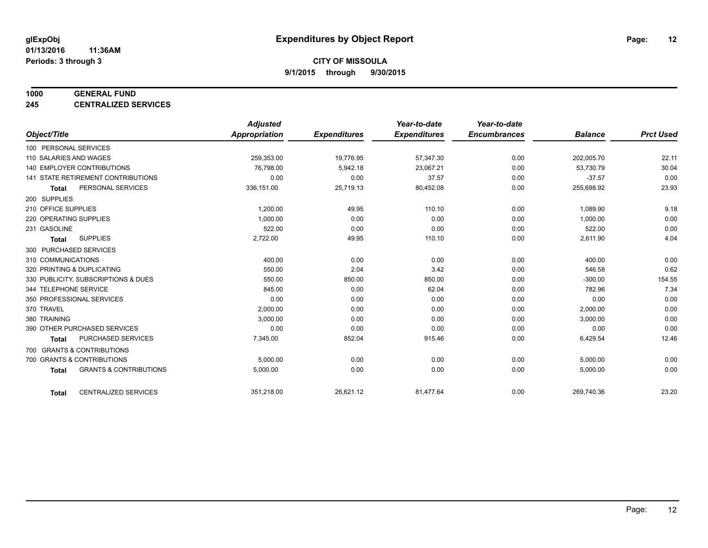#### **1000 GENERAL FUND**

**245 CENTRALIZED SERVICES**

|                                                   | <b>Adjusted</b>      |                     | Year-to-date        | Year-to-date        |                |                  |
|---------------------------------------------------|----------------------|---------------------|---------------------|---------------------|----------------|------------------|
| Object/Title                                      | <b>Appropriation</b> | <b>Expenditures</b> | <b>Expenditures</b> | <b>Encumbrances</b> | <b>Balance</b> | <b>Prct Used</b> |
| 100 PERSONAL SERVICES                             |                      |                     |                     |                     |                |                  |
| 110 SALARIES AND WAGES                            | 259,353.00           | 19,776.95           | 57,347.30           | 0.00                | 202,005.70     | 22.11            |
| 140 EMPLOYER CONTRIBUTIONS                        | 76,798.00            | 5,942.18            | 23,067.21           | 0.00                | 53,730.79      | 30.04            |
| 141 STATE RETIREMENT CONTRIBUTIONS                | 0.00                 | 0.00                | 37.57               | 0.00                | $-37.57$       | 0.00             |
| PERSONAL SERVICES<br><b>Total</b>                 | 336,151.00           | 25,719.13           | 80,452.08           | 0.00                | 255,698.92     | 23.93            |
| 200 SUPPLIES                                      |                      |                     |                     |                     |                |                  |
| 210 OFFICE SUPPLIES                               | 1,200.00             | 49.95               | 110.10              | 0.00                | 1,089.90       | 9.18             |
| 220 OPERATING SUPPLIES                            | 1.000.00             | 0.00                | 0.00                | 0.00                | 1,000.00       | 0.00             |
| 231 GASOLINE                                      | 522.00               | 0.00                | 0.00                | 0.00                | 522.00         | 0.00             |
| <b>SUPPLIES</b><br><b>Total</b>                   | 2,722.00             | 49.95               | 110.10              | 0.00                | 2,611.90       | 4.04             |
| 300 PURCHASED SERVICES                            |                      |                     |                     |                     |                |                  |
| 310 COMMUNICATIONS                                | 400.00               | 0.00                | 0.00                | 0.00                | 400.00         | 0.00             |
| 320 PRINTING & DUPLICATING                        | 550.00               | 2.04                | 3.42                | 0.00                | 546.58         | 0.62             |
| 330 PUBLICITY, SUBSCRIPTIONS & DUES               | 550.00               | 850.00              | 850.00              | 0.00                | $-300.00$      | 154.55           |
| 344 TELEPHONE SERVICE                             | 845.00               | 0.00                | 62.04               | 0.00                | 782.96         | 7.34             |
| 350 PROFESSIONAL SERVICES                         | 0.00                 | 0.00                | 0.00                | 0.00                | 0.00           | 0.00             |
| 370 TRAVEL                                        | 2,000.00             | 0.00                | 0.00                | 0.00                | 2,000.00       | 0.00             |
| 380 TRAINING                                      | 3,000.00             | 0.00                | 0.00                | 0.00                | 3,000.00       | 0.00             |
| 390 OTHER PURCHASED SERVICES                      | 0.00                 | 0.00                | 0.00                | 0.00                | 0.00           | 0.00             |
| <b>PURCHASED SERVICES</b><br><b>Total</b>         | 7,345.00             | 852.04              | 915.46              | 0.00                | 6,429.54       | 12.46            |
| 700 GRANTS & CONTRIBUTIONS                        |                      |                     |                     |                     |                |                  |
| 700 GRANTS & CONTRIBUTIONS                        | 5,000.00             | 0.00                | 0.00                | 0.00                | 5,000.00       | 0.00             |
| <b>GRANTS &amp; CONTRIBUTIONS</b><br><b>Total</b> | 5,000.00             | 0.00                | 0.00                | 0.00                | 5,000.00       | 0.00             |
|                                                   |                      |                     |                     |                     |                |                  |
| <b>CENTRALIZED SERVICES</b><br><b>Total</b>       | 351,218.00           | 26,621.12           | 81,477.64           | 0.00                | 269,740.36     | 23.20            |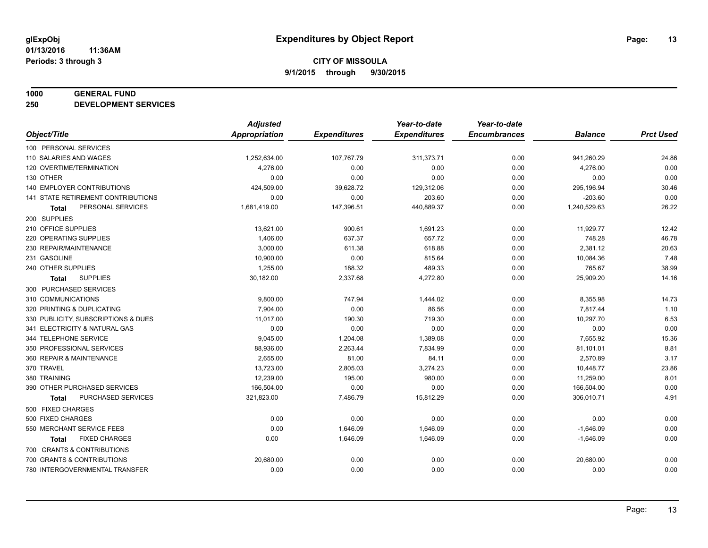#### **1000 GENERAL FUND**

**250 DEVELOPMENT SERVICES**

|                                     | <b>Adjusted</b> |                     | Year-to-date        | Year-to-date        |                |                  |
|-------------------------------------|-----------------|---------------------|---------------------|---------------------|----------------|------------------|
| Object/Title                        | Appropriation   | <b>Expenditures</b> | <b>Expenditures</b> | <b>Encumbrances</b> | <b>Balance</b> | <b>Prct Used</b> |
| 100 PERSONAL SERVICES               |                 |                     |                     |                     |                |                  |
| 110 SALARIES AND WAGES              | 1,252,634.00    | 107,767.79          | 311,373.71          | 0.00                | 941,260.29     | 24.86            |
| 120 OVERTIME/TERMINATION            | 4,276.00        | 0.00                | 0.00                | 0.00                | 4,276.00       | 0.00             |
| 130 OTHER                           | 0.00            | 0.00                | 0.00                | 0.00                | 0.00           | 0.00             |
| 140 EMPLOYER CONTRIBUTIONS          | 424,509.00      | 39,628.72           | 129,312.06          | 0.00                | 295,196.94     | 30.46            |
| 141 STATE RETIREMENT CONTRIBUTIONS  | 0.00            | 0.00                | 203.60              | 0.00                | $-203.60$      | 0.00             |
| PERSONAL SERVICES<br>Total          | 1,681,419.00    | 147,396.51          | 440,889.37          | 0.00                | 1,240,529.63   | 26.22            |
| 200 SUPPLIES                        |                 |                     |                     |                     |                |                  |
| 210 OFFICE SUPPLIES                 | 13,621.00       | 900.61              | 1,691.23            | 0.00                | 11,929.77      | 12.42            |
| 220 OPERATING SUPPLIES              | 1,406.00        | 637.37              | 657.72              | 0.00                | 748.28         | 46.78            |
| 230 REPAIR/MAINTENANCE              | 3,000.00        | 611.38              | 618.88              | 0.00                | 2,381.12       | 20.63            |
| 231 GASOLINE                        | 10,900.00       | 0.00                | 815.64              | 0.00                | 10,084.36      | 7.48             |
| 240 OTHER SUPPLIES                  | 1,255.00        | 188.32              | 489.33              | 0.00                | 765.67         | 38.99            |
| <b>SUPPLIES</b><br><b>Total</b>     | 30,182.00       | 2,337.68            | 4,272.80            | 0.00                | 25,909.20      | 14.16            |
| 300 PURCHASED SERVICES              |                 |                     |                     |                     |                |                  |
| 310 COMMUNICATIONS                  | 9,800.00        | 747.94              | 1,444.02            | 0.00                | 8,355.98       | 14.73            |
| 320 PRINTING & DUPLICATING          | 7,904.00        | 0.00                | 86.56               | 0.00                | 7,817.44       | 1.10             |
| 330 PUBLICITY, SUBSCRIPTIONS & DUES | 11,017.00       | 190.30              | 719.30              | 0.00                | 10,297.70      | 6.53             |
| 341 ELECTRICITY & NATURAL GAS       | 0.00            | 0.00                | 0.00                | 0.00                | 0.00           | 0.00             |
| 344 TELEPHONE SERVICE               | 9,045.00        | 1,204.08            | 1,389.08            | 0.00                | 7,655.92       | 15.36            |
| 350 PROFESSIONAL SERVICES           | 88,936.00       | 2,263.44            | 7,834.99            | 0.00                | 81,101.01      | 8.81             |
| 360 REPAIR & MAINTENANCE            | 2,655.00        | 81.00               | 84.11               | 0.00                | 2,570.89       | 3.17             |
| 370 TRAVEL                          | 13,723.00       | 2,805.03            | 3,274.23            | 0.00                | 10,448.77      | 23.86            |
| 380 TRAINING                        | 12,239.00       | 195.00              | 980.00              | 0.00                | 11,259.00      | 8.01             |
| 390 OTHER PURCHASED SERVICES        | 166,504.00      | 0.00                | 0.00                | 0.00                | 166,504.00     | 0.00             |
| PURCHASED SERVICES<br><b>Total</b>  | 321,823.00      | 7,486.79            | 15,812.29           | 0.00                | 306,010.71     | 4.91             |
| 500 FIXED CHARGES                   |                 |                     |                     |                     |                |                  |
| 500 FIXED CHARGES                   | 0.00            | 0.00                | 0.00                | 0.00                | 0.00           | 0.00             |
| 550 MERCHANT SERVICE FEES           | 0.00            | 1,646.09            | 1,646.09            | 0.00                | $-1,646.09$    | 0.00             |
| <b>FIXED CHARGES</b><br>Total       | 0.00            | 1,646.09            | 1,646.09            | 0.00                | $-1,646.09$    | 0.00             |
| 700 GRANTS & CONTRIBUTIONS          |                 |                     |                     |                     |                |                  |
| 700 GRANTS & CONTRIBUTIONS          | 20,680.00       | 0.00                | 0.00                | 0.00                | 20,680.00      | 0.00             |
| 780 INTERGOVERNMENTAL TRANSFER      | 0.00            | 0.00                | 0.00                | 0.00                | 0.00           | 0.00             |
|                                     |                 |                     |                     |                     |                |                  |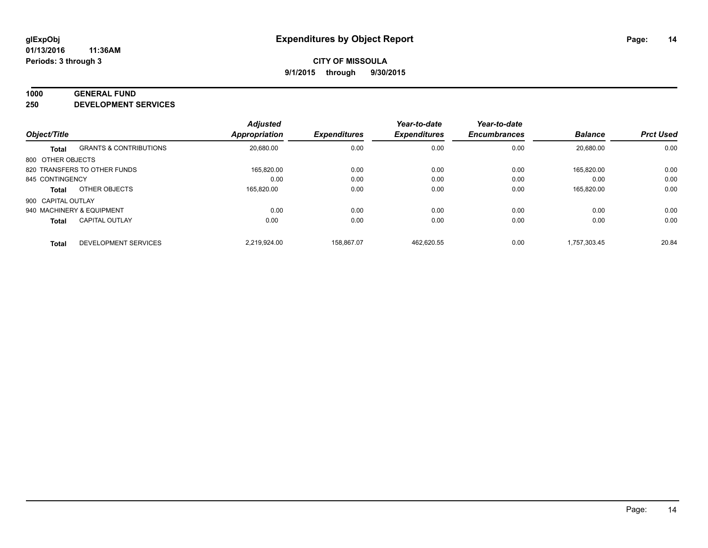#### **1000 GENERAL FUND**

**250 DEVELOPMENT SERVICES**

| Object/Title       |                                   | <b>Adjusted</b><br><b>Appropriation</b> | <b>Expenditures</b> | Year-to-date<br><b>Expenditures</b> | Year-to-date<br><b>Encumbrances</b> | <b>Balance</b> | <b>Prct Used</b> |
|--------------------|-----------------------------------|-----------------------------------------|---------------------|-------------------------------------|-------------------------------------|----------------|------------------|
|                    | <b>GRANTS &amp; CONTRIBUTIONS</b> | 20,680.00                               |                     | 0.00                                | 0.00                                | 20.680.00      | 0.00             |
| Total              |                                   |                                         | 0.00                |                                     |                                     |                |                  |
| 800 OTHER OBJECTS  |                                   |                                         |                     |                                     |                                     |                |                  |
|                    | 820 TRANSFERS TO OTHER FUNDS      | 165.820.00                              | 0.00                | 0.00                                | 0.00                                | 165.820.00     | 0.00             |
| 845 CONTINGENCY    |                                   | 0.00                                    | 0.00                | 0.00                                | 0.00                                | 0.00           | 0.00             |
| Total              | OTHER OBJECTS                     | 165,820.00                              | 0.00                | 0.00                                | 0.00                                | 165,820.00     | 0.00             |
| 900 CAPITAL OUTLAY |                                   |                                         |                     |                                     |                                     |                |                  |
|                    | 940 MACHINERY & EQUIPMENT         | 0.00                                    | 0.00                | 0.00                                | 0.00                                | 0.00           | 0.00             |
| <b>Total</b>       | <b>CAPITAL OUTLAY</b>             | 0.00                                    | 0.00                | 0.00                                | 0.00                                | 0.00           | 0.00             |
| <b>Total</b>       | DEVELOPMENT SERVICES              | 2.219.924.00                            | 158.867.07          | 462.620.55                          | 0.00                                | 1.757.303.45   | 20.84            |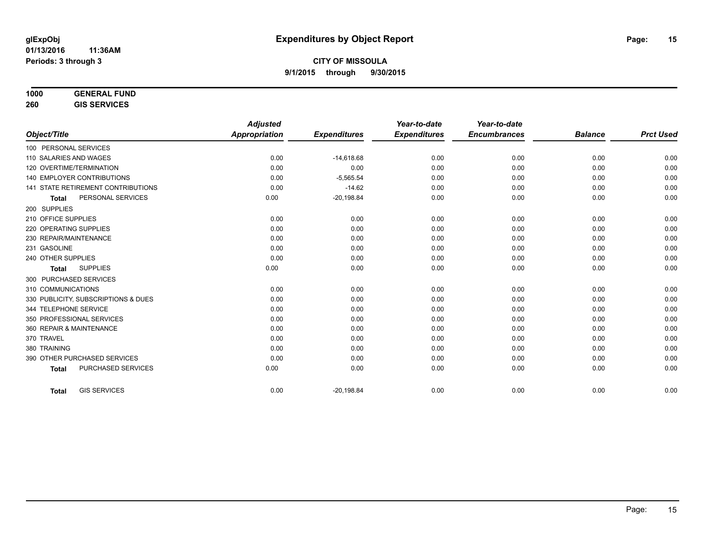**260 GIS SERVICES**

|                                     | <b>Adjusted</b>      |                     | Year-to-date        | Year-to-date        |                |                  |
|-------------------------------------|----------------------|---------------------|---------------------|---------------------|----------------|------------------|
| Object/Title                        | <b>Appropriation</b> | <b>Expenditures</b> | <b>Expenditures</b> | <b>Encumbrances</b> | <b>Balance</b> | <b>Prct Used</b> |
| 100 PERSONAL SERVICES               |                      |                     |                     |                     |                |                  |
| 110 SALARIES AND WAGES              | 0.00                 | $-14,618.68$        | 0.00                | 0.00                | 0.00           | 0.00             |
| 120 OVERTIME/TERMINATION            | 0.00                 | 0.00                | 0.00                | 0.00                | 0.00           | 0.00             |
| <b>140 EMPLOYER CONTRIBUTIONS</b>   | 0.00                 | $-5,565.54$         | 0.00                | 0.00                | 0.00           | 0.00             |
| 141 STATE RETIREMENT CONTRIBUTIONS  | 0.00                 | $-14.62$            | 0.00                | 0.00                | 0.00           | 0.00             |
| PERSONAL SERVICES<br><b>Total</b>   | 0.00                 | $-20,198.84$        | 0.00                | 0.00                | 0.00           | 0.00             |
| 200 SUPPLIES                        |                      |                     |                     |                     |                |                  |
| 210 OFFICE SUPPLIES                 | 0.00                 | 0.00                | 0.00                | 0.00                | 0.00           | 0.00             |
| 220 OPERATING SUPPLIES              | 0.00                 | 0.00                | 0.00                | 0.00                | 0.00           | 0.00             |
| 230 REPAIR/MAINTENANCE              | 0.00                 | 0.00                | 0.00                | 0.00                | 0.00           | 0.00             |
| 231 GASOLINE                        | 0.00                 | 0.00                | 0.00                | 0.00                | 0.00           | 0.00             |
| 240 OTHER SUPPLIES                  | 0.00                 | 0.00                | 0.00                | 0.00                | 0.00           | 0.00             |
| <b>SUPPLIES</b><br><b>Total</b>     | 0.00                 | 0.00                | 0.00                | 0.00                | 0.00           | 0.00             |
| 300 PURCHASED SERVICES              |                      |                     |                     |                     |                |                  |
| 310 COMMUNICATIONS                  | 0.00                 | 0.00                | 0.00                | 0.00                | 0.00           | 0.00             |
| 330 PUBLICITY, SUBSCRIPTIONS & DUES | 0.00                 | 0.00                | 0.00                | 0.00                | 0.00           | 0.00             |
| 344 TELEPHONE SERVICE               | 0.00                 | 0.00                | 0.00                | 0.00                | 0.00           | 0.00             |
| 350 PROFESSIONAL SERVICES           | 0.00                 | 0.00                | 0.00                | 0.00                | 0.00           | 0.00             |
| 360 REPAIR & MAINTENANCE            | 0.00                 | 0.00                | 0.00                | 0.00                | 0.00           | 0.00             |
| 370 TRAVEL                          | 0.00                 | 0.00                | 0.00                | 0.00                | 0.00           | 0.00             |
| 380 TRAINING                        | 0.00                 | 0.00                | 0.00                | 0.00                | 0.00           | 0.00             |
| 390 OTHER PURCHASED SERVICES        | 0.00                 | 0.00                | 0.00                | 0.00                | 0.00           | 0.00             |
| PURCHASED SERVICES<br><b>Total</b>  | 0.00                 | 0.00                | 0.00                | 0.00                | 0.00           | 0.00             |
| <b>GIS SERVICES</b><br><b>Total</b> | 0.00                 | $-20,198.84$        | 0.00                | 0.00                | 0.00           | 0.00             |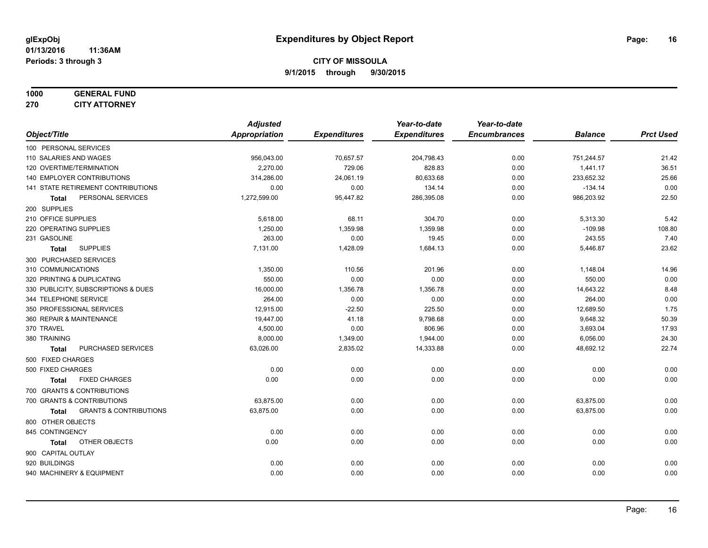#### **1000 GENERAL FUND 270 CITY ATTORNEY**

|                                                   | <b>Adjusted</b> |                     | Year-to-date        | Year-to-date        |                |                  |
|---------------------------------------------------|-----------------|---------------------|---------------------|---------------------|----------------|------------------|
| Object/Title                                      | Appropriation   | <b>Expenditures</b> | <b>Expenditures</b> | <b>Encumbrances</b> | <b>Balance</b> | <b>Prct Used</b> |
| 100 PERSONAL SERVICES                             |                 |                     |                     |                     |                |                  |
| 110 SALARIES AND WAGES                            | 956,043.00      | 70,657.57           | 204,798.43          | 0.00                | 751,244.57     | 21.42            |
| 120 OVERTIME/TERMINATION                          | 2,270.00        | 729.06              | 828.83              | 0.00                | 1,441.17       | 36.51            |
| 140 EMPLOYER CONTRIBUTIONS                        | 314,286.00      | 24,061.19           | 80,633.68           | 0.00                | 233,652.32     | 25.66            |
| 141 STATE RETIREMENT CONTRIBUTIONS                | 0.00            | 0.00                | 134.14              | 0.00                | $-134.14$      | 0.00             |
| PERSONAL SERVICES<br>Total                        | 1,272,599.00    | 95,447.82           | 286,395.08          | 0.00                | 986,203.92     | 22.50            |
| 200 SUPPLIES                                      |                 |                     |                     |                     |                |                  |
| 210 OFFICE SUPPLIES                               | 5,618.00        | 68.11               | 304.70              | 0.00                | 5,313.30       | 5.42             |
| 220 OPERATING SUPPLIES                            | 1,250.00        | 1,359.98            | 1,359.98            | 0.00                | $-109.98$      | 108.80           |
| 231 GASOLINE                                      | 263.00          | 0.00                | 19.45               | 0.00                | 243.55         | 7.40             |
| <b>SUPPLIES</b><br><b>Total</b>                   | 7,131.00        | 1,428.09            | 1,684.13            | 0.00                | 5,446.87       | 23.62            |
| 300 PURCHASED SERVICES                            |                 |                     |                     |                     |                |                  |
| 310 COMMUNICATIONS                                | 1,350.00        | 110.56              | 201.96              | 0.00                | 1,148.04       | 14.96            |
| 320 PRINTING & DUPLICATING                        | 550.00          | 0.00                | 0.00                | 0.00                | 550.00         | 0.00             |
| 330 PUBLICITY, SUBSCRIPTIONS & DUES               | 16,000.00       | 1,356.78            | 1,356.78            | 0.00                | 14,643.22      | 8.48             |
| 344 TELEPHONE SERVICE                             | 264.00          | 0.00                | 0.00                | 0.00                | 264.00         | 0.00             |
| 350 PROFESSIONAL SERVICES                         | 12,915.00       | $-22.50$            | 225.50              | 0.00                | 12,689.50      | 1.75             |
| 360 REPAIR & MAINTENANCE                          | 19,447.00       | 41.18               | 9,798.68            | 0.00                | 9,648.32       | 50.39            |
| 370 TRAVEL                                        | 4,500.00        | 0.00                | 806.96              | 0.00                | 3,693.04       | 17.93            |
| 380 TRAINING                                      | 8,000.00        | 1,349.00            | 1,944.00            | 0.00                | 6,056.00       | 24.30            |
| PURCHASED SERVICES<br><b>Total</b>                | 63,026.00       | 2,835.02            | 14,333.88           | 0.00                | 48,692.12      | 22.74            |
| 500 FIXED CHARGES                                 |                 |                     |                     |                     |                |                  |
| 500 FIXED CHARGES                                 | 0.00            | 0.00                | 0.00                | 0.00                | 0.00           | 0.00             |
| <b>FIXED CHARGES</b><br><b>Total</b>              | 0.00            | 0.00                | 0.00                | 0.00                | 0.00           | 0.00             |
| 700 GRANTS & CONTRIBUTIONS                        |                 |                     |                     |                     |                |                  |
| 700 GRANTS & CONTRIBUTIONS                        | 63,875.00       | 0.00                | 0.00                | 0.00                | 63,875.00      | 0.00             |
| <b>GRANTS &amp; CONTRIBUTIONS</b><br><b>Total</b> | 63,875.00       | 0.00                | 0.00                | 0.00                | 63,875.00      | 0.00             |
| 800 OTHER OBJECTS                                 |                 |                     |                     |                     |                |                  |
| 845 CONTINGENCY                                   | 0.00            | 0.00                | 0.00                | 0.00                | 0.00           | 0.00             |
| OTHER OBJECTS<br><b>Total</b>                     | 0.00            | 0.00                | 0.00                | 0.00                | 0.00           | 0.00             |
| 900 CAPITAL OUTLAY                                |                 |                     |                     |                     |                |                  |
| 920 BUILDINGS                                     | 0.00            | 0.00                | 0.00                | 0.00                | 0.00           | 0.00             |
| 940 MACHINERY & EQUIPMENT                         | 0.00            | 0.00                | 0.00                | 0.00                | 0.00           | 0.00             |
|                                                   |                 |                     |                     |                     |                |                  |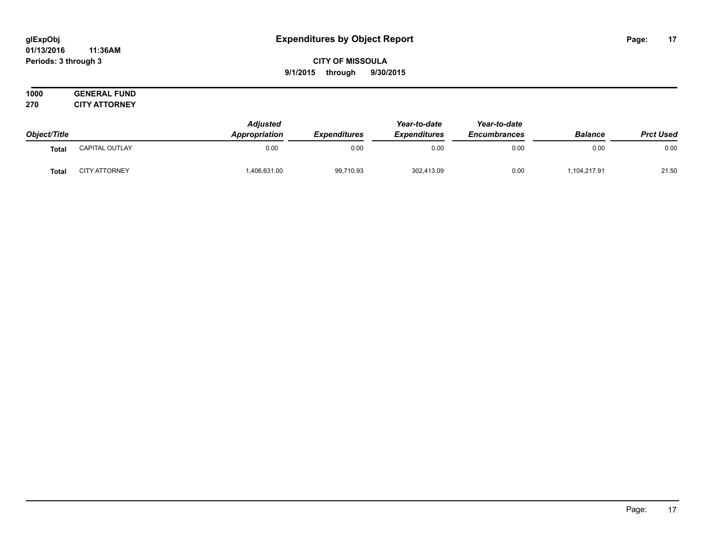#### **01/13/2016 11:36AM Periods: 3 through 3**

## **CITY OF MISSOULA 9/1/2015 through 9/30/2015**

| Object/Title      |                      | <b>Adiusted</b><br><b>Appropriation</b> | <b>Expenditures</b> | Year-to-date<br><b>Expenditures</b> | Year-to-date<br><b>Encumbrances</b> | <b>Balance</b> | <b>Prct Used</b> |
|-------------------|----------------------|-----------------------------------------|---------------------|-------------------------------------|-------------------------------------|----------------|------------------|
| Tota <sub>i</sub> | CAPITAL OUTLAY       | 0.00                                    | 0.00                | 0.00                                | 0.00                                | 0.00           | 0.00             |
| Tota              | <b>CITY ATTORNEY</b> | ,406,631.00                             | 99,710.93           | 302,413.09                          | 0.00                                | ,104,217.91    | 21.50            |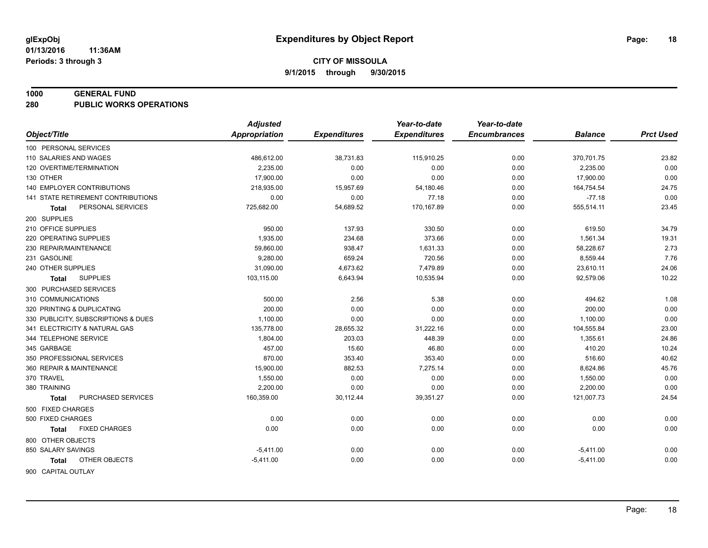#### **1000 GENERAL FUND**

**280 PUBLIC WORKS OPERATIONS**

| Object/Title<br><b>Appropriation</b><br><b>Expenditures</b><br><b>Expenditures</b><br><b>Encumbrances</b><br><b>Prct Used</b><br><b>Balance</b><br>100 PERSONAL SERVICES<br>0.00<br>23.82<br>110 SALARIES AND WAGES<br>486,612.00<br>38,731.83<br>115,910.25<br>370,701.75<br>0.00<br>120 OVERTIME/TERMINATION<br>2.235.00<br>0.00<br>0.00<br>0.00<br>2,235.00<br>0.00<br>130 OTHER<br>17,900.00<br>0.00<br>0.00<br>0.00<br>17,900.00<br><b>140 EMPLOYER CONTRIBUTIONS</b><br>24.75<br>218,935.00<br>15,957.69<br>0.00<br>164,754.54<br>54,180.46<br>0.00<br>141 STATE RETIREMENT CONTRIBUTIONS<br>$-77.18$<br>0.00<br>0.00<br>77.18<br>0.00<br>555,514.11<br>23.45<br>PERSONAL SERVICES<br>725,682.00<br>54,689.52<br>170,167.89<br>0.00<br>Total<br>200 SUPPLIES<br>950.00<br>210 OFFICE SUPPLIES<br>137.93<br>330.50<br>0.00<br>619.50<br>34.79<br>220 OPERATING SUPPLIES<br>1,935.00<br>234.68<br>373.66<br>0.00<br>1,561.34<br>19.31<br>938.47<br>2.73<br>230 REPAIR/MAINTENANCE<br>59,860.00<br>0.00<br>58,228.67<br>1,631.33<br>659.24<br>7.76<br>231 GASOLINE<br>9,280.00<br>720.56<br>8,559.44<br>0.00<br>31,090.00<br>4,673.62<br>23,610.11<br>24.06<br>240 OTHER SUPPLIES<br>7,479.89<br>0.00<br>10.22<br>103,115.00<br>6,643.94<br>10,535.94<br>0.00<br>92,579.06<br><b>SUPPLIES</b><br>Total<br>300 PURCHASED SERVICES<br>310 COMMUNICATIONS<br>500.00<br>2.56<br>5.38<br>1.08<br>0.00<br>494.62<br>0.00<br>200.00<br>0.00<br>0.00<br>200.00<br>320 PRINTING & DUPLICATING<br>0.00<br>0.00<br>1,100.00<br>0.00<br>1,100.00<br>330 PUBLICITY, SUBSCRIPTIONS & DUES<br>0.00<br>0.00<br>23.00<br>341 ELECTRICITY & NATURAL GAS<br>135,778.00<br>28,655.32<br>31,222.16<br>0.00<br>104,555.84<br>24.86<br>344 TELEPHONE SERVICE<br>1,804.00<br>203.03<br>448.39<br>0.00<br>1,355.61<br>457.00<br>410.20<br>10.24<br>345 GARBAGE<br>15.60<br>46.80<br>0.00<br>350 PROFESSIONAL SERVICES<br>870.00<br>353.40<br>516.60<br>40.62<br>353.40<br>0.00<br>360 REPAIR & MAINTENANCE<br>15,900.00<br>882.53<br>7,275.14<br>0.00<br>45.76<br>8,624.86<br>370 TRAVEL<br>1,550.00<br>0.00<br>0.00<br>0.00<br>0.00<br>1,550.00<br>0.00<br>2,200.00<br>380 TRAINING<br>0.00<br>0.00<br>0.00<br>2,200.00<br>PURCHASED SERVICES<br>160,359.00<br>121,007.73<br>24.54<br>30,112.44<br>39,351.27<br>0.00<br><b>Total</b><br>500 FIXED CHARGES<br>0.00<br>0.00<br>500 FIXED CHARGES<br>0.00<br>0.00<br>0.00<br>0.00<br>0.00<br><b>FIXED CHARGES</b><br>0.00<br>0.00<br>0.00<br>0.00<br>0.00<br>Total<br>800 OTHER OBJECTS<br>850 SALARY SAVINGS<br>0.00<br>$-5,411.00$<br>0.00<br>0.00<br>0.00<br>$-5,411.00$ |                        | <b>Adjusted</b> |      | Year-to-date | Year-to-date |             |      |
|-----------------------------------------------------------------------------------------------------------------------------------------------------------------------------------------------------------------------------------------------------------------------------------------------------------------------------------------------------------------------------------------------------------------------------------------------------------------------------------------------------------------------------------------------------------------------------------------------------------------------------------------------------------------------------------------------------------------------------------------------------------------------------------------------------------------------------------------------------------------------------------------------------------------------------------------------------------------------------------------------------------------------------------------------------------------------------------------------------------------------------------------------------------------------------------------------------------------------------------------------------------------------------------------------------------------------------------------------------------------------------------------------------------------------------------------------------------------------------------------------------------------------------------------------------------------------------------------------------------------------------------------------------------------------------------------------------------------------------------------------------------------------------------------------------------------------------------------------------------------------------------------------------------------------------------------------------------------------------------------------------------------------------------------------------------------------------------------------------------------------------------------------------------------------------------------------------------------------------------------------------------------------------------------------------------------------------------------------------------------------------------------------------------------------------------------------------------------------------------------------------------------------------------------------------------------------------------------------------|------------------------|-----------------|------|--------------|--------------|-------------|------|
|                                                                                                                                                                                                                                                                                                                                                                                                                                                                                                                                                                                                                                                                                                                                                                                                                                                                                                                                                                                                                                                                                                                                                                                                                                                                                                                                                                                                                                                                                                                                                                                                                                                                                                                                                                                                                                                                                                                                                                                                                                                                                                                                                                                                                                                                                                                                                                                                                                                                                                                                                                                                     |                        |                 |      |              |              |             |      |
|                                                                                                                                                                                                                                                                                                                                                                                                                                                                                                                                                                                                                                                                                                                                                                                                                                                                                                                                                                                                                                                                                                                                                                                                                                                                                                                                                                                                                                                                                                                                                                                                                                                                                                                                                                                                                                                                                                                                                                                                                                                                                                                                                                                                                                                                                                                                                                                                                                                                                                                                                                                                     |                        |                 |      |              |              |             |      |
|                                                                                                                                                                                                                                                                                                                                                                                                                                                                                                                                                                                                                                                                                                                                                                                                                                                                                                                                                                                                                                                                                                                                                                                                                                                                                                                                                                                                                                                                                                                                                                                                                                                                                                                                                                                                                                                                                                                                                                                                                                                                                                                                                                                                                                                                                                                                                                                                                                                                                                                                                                                                     |                        |                 |      |              |              |             |      |
|                                                                                                                                                                                                                                                                                                                                                                                                                                                                                                                                                                                                                                                                                                                                                                                                                                                                                                                                                                                                                                                                                                                                                                                                                                                                                                                                                                                                                                                                                                                                                                                                                                                                                                                                                                                                                                                                                                                                                                                                                                                                                                                                                                                                                                                                                                                                                                                                                                                                                                                                                                                                     |                        |                 |      |              |              |             |      |
|                                                                                                                                                                                                                                                                                                                                                                                                                                                                                                                                                                                                                                                                                                                                                                                                                                                                                                                                                                                                                                                                                                                                                                                                                                                                                                                                                                                                                                                                                                                                                                                                                                                                                                                                                                                                                                                                                                                                                                                                                                                                                                                                                                                                                                                                                                                                                                                                                                                                                                                                                                                                     |                        |                 |      |              |              |             |      |
|                                                                                                                                                                                                                                                                                                                                                                                                                                                                                                                                                                                                                                                                                                                                                                                                                                                                                                                                                                                                                                                                                                                                                                                                                                                                                                                                                                                                                                                                                                                                                                                                                                                                                                                                                                                                                                                                                                                                                                                                                                                                                                                                                                                                                                                                                                                                                                                                                                                                                                                                                                                                     |                        |                 |      |              |              |             |      |
|                                                                                                                                                                                                                                                                                                                                                                                                                                                                                                                                                                                                                                                                                                                                                                                                                                                                                                                                                                                                                                                                                                                                                                                                                                                                                                                                                                                                                                                                                                                                                                                                                                                                                                                                                                                                                                                                                                                                                                                                                                                                                                                                                                                                                                                                                                                                                                                                                                                                                                                                                                                                     |                        |                 |      |              |              |             |      |
|                                                                                                                                                                                                                                                                                                                                                                                                                                                                                                                                                                                                                                                                                                                                                                                                                                                                                                                                                                                                                                                                                                                                                                                                                                                                                                                                                                                                                                                                                                                                                                                                                                                                                                                                                                                                                                                                                                                                                                                                                                                                                                                                                                                                                                                                                                                                                                                                                                                                                                                                                                                                     |                        |                 |      |              |              |             |      |
|                                                                                                                                                                                                                                                                                                                                                                                                                                                                                                                                                                                                                                                                                                                                                                                                                                                                                                                                                                                                                                                                                                                                                                                                                                                                                                                                                                                                                                                                                                                                                                                                                                                                                                                                                                                                                                                                                                                                                                                                                                                                                                                                                                                                                                                                                                                                                                                                                                                                                                                                                                                                     |                        |                 |      |              |              |             |      |
|                                                                                                                                                                                                                                                                                                                                                                                                                                                                                                                                                                                                                                                                                                                                                                                                                                                                                                                                                                                                                                                                                                                                                                                                                                                                                                                                                                                                                                                                                                                                                                                                                                                                                                                                                                                                                                                                                                                                                                                                                                                                                                                                                                                                                                                                                                                                                                                                                                                                                                                                                                                                     |                        |                 |      |              |              |             |      |
|                                                                                                                                                                                                                                                                                                                                                                                                                                                                                                                                                                                                                                                                                                                                                                                                                                                                                                                                                                                                                                                                                                                                                                                                                                                                                                                                                                                                                                                                                                                                                                                                                                                                                                                                                                                                                                                                                                                                                                                                                                                                                                                                                                                                                                                                                                                                                                                                                                                                                                                                                                                                     |                        |                 |      |              |              |             |      |
|                                                                                                                                                                                                                                                                                                                                                                                                                                                                                                                                                                                                                                                                                                                                                                                                                                                                                                                                                                                                                                                                                                                                                                                                                                                                                                                                                                                                                                                                                                                                                                                                                                                                                                                                                                                                                                                                                                                                                                                                                                                                                                                                                                                                                                                                                                                                                                                                                                                                                                                                                                                                     |                        |                 |      |              |              |             |      |
|                                                                                                                                                                                                                                                                                                                                                                                                                                                                                                                                                                                                                                                                                                                                                                                                                                                                                                                                                                                                                                                                                                                                                                                                                                                                                                                                                                                                                                                                                                                                                                                                                                                                                                                                                                                                                                                                                                                                                                                                                                                                                                                                                                                                                                                                                                                                                                                                                                                                                                                                                                                                     |                        |                 |      |              |              |             |      |
|                                                                                                                                                                                                                                                                                                                                                                                                                                                                                                                                                                                                                                                                                                                                                                                                                                                                                                                                                                                                                                                                                                                                                                                                                                                                                                                                                                                                                                                                                                                                                                                                                                                                                                                                                                                                                                                                                                                                                                                                                                                                                                                                                                                                                                                                                                                                                                                                                                                                                                                                                                                                     |                        |                 |      |              |              |             |      |
|                                                                                                                                                                                                                                                                                                                                                                                                                                                                                                                                                                                                                                                                                                                                                                                                                                                                                                                                                                                                                                                                                                                                                                                                                                                                                                                                                                                                                                                                                                                                                                                                                                                                                                                                                                                                                                                                                                                                                                                                                                                                                                                                                                                                                                                                                                                                                                                                                                                                                                                                                                                                     |                        |                 |      |              |              |             |      |
|                                                                                                                                                                                                                                                                                                                                                                                                                                                                                                                                                                                                                                                                                                                                                                                                                                                                                                                                                                                                                                                                                                                                                                                                                                                                                                                                                                                                                                                                                                                                                                                                                                                                                                                                                                                                                                                                                                                                                                                                                                                                                                                                                                                                                                                                                                                                                                                                                                                                                                                                                                                                     |                        |                 |      |              |              |             |      |
|                                                                                                                                                                                                                                                                                                                                                                                                                                                                                                                                                                                                                                                                                                                                                                                                                                                                                                                                                                                                                                                                                                                                                                                                                                                                                                                                                                                                                                                                                                                                                                                                                                                                                                                                                                                                                                                                                                                                                                                                                                                                                                                                                                                                                                                                                                                                                                                                                                                                                                                                                                                                     |                        |                 |      |              |              |             |      |
|                                                                                                                                                                                                                                                                                                                                                                                                                                                                                                                                                                                                                                                                                                                                                                                                                                                                                                                                                                                                                                                                                                                                                                                                                                                                                                                                                                                                                                                                                                                                                                                                                                                                                                                                                                                                                                                                                                                                                                                                                                                                                                                                                                                                                                                                                                                                                                                                                                                                                                                                                                                                     |                        |                 |      |              |              |             |      |
|                                                                                                                                                                                                                                                                                                                                                                                                                                                                                                                                                                                                                                                                                                                                                                                                                                                                                                                                                                                                                                                                                                                                                                                                                                                                                                                                                                                                                                                                                                                                                                                                                                                                                                                                                                                                                                                                                                                                                                                                                                                                                                                                                                                                                                                                                                                                                                                                                                                                                                                                                                                                     |                        |                 |      |              |              |             |      |
|                                                                                                                                                                                                                                                                                                                                                                                                                                                                                                                                                                                                                                                                                                                                                                                                                                                                                                                                                                                                                                                                                                                                                                                                                                                                                                                                                                                                                                                                                                                                                                                                                                                                                                                                                                                                                                                                                                                                                                                                                                                                                                                                                                                                                                                                                                                                                                                                                                                                                                                                                                                                     |                        |                 |      |              |              |             |      |
|                                                                                                                                                                                                                                                                                                                                                                                                                                                                                                                                                                                                                                                                                                                                                                                                                                                                                                                                                                                                                                                                                                                                                                                                                                                                                                                                                                                                                                                                                                                                                                                                                                                                                                                                                                                                                                                                                                                                                                                                                                                                                                                                                                                                                                                                                                                                                                                                                                                                                                                                                                                                     |                        |                 |      |              |              |             |      |
|                                                                                                                                                                                                                                                                                                                                                                                                                                                                                                                                                                                                                                                                                                                                                                                                                                                                                                                                                                                                                                                                                                                                                                                                                                                                                                                                                                                                                                                                                                                                                                                                                                                                                                                                                                                                                                                                                                                                                                                                                                                                                                                                                                                                                                                                                                                                                                                                                                                                                                                                                                                                     |                        |                 |      |              |              |             |      |
|                                                                                                                                                                                                                                                                                                                                                                                                                                                                                                                                                                                                                                                                                                                                                                                                                                                                                                                                                                                                                                                                                                                                                                                                                                                                                                                                                                                                                                                                                                                                                                                                                                                                                                                                                                                                                                                                                                                                                                                                                                                                                                                                                                                                                                                                                                                                                                                                                                                                                                                                                                                                     |                        |                 |      |              |              |             |      |
|                                                                                                                                                                                                                                                                                                                                                                                                                                                                                                                                                                                                                                                                                                                                                                                                                                                                                                                                                                                                                                                                                                                                                                                                                                                                                                                                                                                                                                                                                                                                                                                                                                                                                                                                                                                                                                                                                                                                                                                                                                                                                                                                                                                                                                                                                                                                                                                                                                                                                                                                                                                                     |                        |                 |      |              |              |             |      |
|                                                                                                                                                                                                                                                                                                                                                                                                                                                                                                                                                                                                                                                                                                                                                                                                                                                                                                                                                                                                                                                                                                                                                                                                                                                                                                                                                                                                                                                                                                                                                                                                                                                                                                                                                                                                                                                                                                                                                                                                                                                                                                                                                                                                                                                                                                                                                                                                                                                                                                                                                                                                     |                        |                 |      |              |              |             |      |
|                                                                                                                                                                                                                                                                                                                                                                                                                                                                                                                                                                                                                                                                                                                                                                                                                                                                                                                                                                                                                                                                                                                                                                                                                                                                                                                                                                                                                                                                                                                                                                                                                                                                                                                                                                                                                                                                                                                                                                                                                                                                                                                                                                                                                                                                                                                                                                                                                                                                                                                                                                                                     |                        |                 |      |              |              |             |      |
|                                                                                                                                                                                                                                                                                                                                                                                                                                                                                                                                                                                                                                                                                                                                                                                                                                                                                                                                                                                                                                                                                                                                                                                                                                                                                                                                                                                                                                                                                                                                                                                                                                                                                                                                                                                                                                                                                                                                                                                                                                                                                                                                                                                                                                                                                                                                                                                                                                                                                                                                                                                                     |                        |                 |      |              |              |             |      |
|                                                                                                                                                                                                                                                                                                                                                                                                                                                                                                                                                                                                                                                                                                                                                                                                                                                                                                                                                                                                                                                                                                                                                                                                                                                                                                                                                                                                                                                                                                                                                                                                                                                                                                                                                                                                                                                                                                                                                                                                                                                                                                                                                                                                                                                                                                                                                                                                                                                                                                                                                                                                     |                        |                 |      |              |              |             |      |
|                                                                                                                                                                                                                                                                                                                                                                                                                                                                                                                                                                                                                                                                                                                                                                                                                                                                                                                                                                                                                                                                                                                                                                                                                                                                                                                                                                                                                                                                                                                                                                                                                                                                                                                                                                                                                                                                                                                                                                                                                                                                                                                                                                                                                                                                                                                                                                                                                                                                                                                                                                                                     |                        |                 |      |              |              |             |      |
|                                                                                                                                                                                                                                                                                                                                                                                                                                                                                                                                                                                                                                                                                                                                                                                                                                                                                                                                                                                                                                                                                                                                                                                                                                                                                                                                                                                                                                                                                                                                                                                                                                                                                                                                                                                                                                                                                                                                                                                                                                                                                                                                                                                                                                                                                                                                                                                                                                                                                                                                                                                                     |                        |                 |      |              |              |             |      |
|                                                                                                                                                                                                                                                                                                                                                                                                                                                                                                                                                                                                                                                                                                                                                                                                                                                                                                                                                                                                                                                                                                                                                                                                                                                                                                                                                                                                                                                                                                                                                                                                                                                                                                                                                                                                                                                                                                                                                                                                                                                                                                                                                                                                                                                                                                                                                                                                                                                                                                                                                                                                     |                        |                 |      |              |              |             |      |
|                                                                                                                                                                                                                                                                                                                                                                                                                                                                                                                                                                                                                                                                                                                                                                                                                                                                                                                                                                                                                                                                                                                                                                                                                                                                                                                                                                                                                                                                                                                                                                                                                                                                                                                                                                                                                                                                                                                                                                                                                                                                                                                                                                                                                                                                                                                                                                                                                                                                                                                                                                                                     |                        |                 |      |              |              |             |      |
|                                                                                                                                                                                                                                                                                                                                                                                                                                                                                                                                                                                                                                                                                                                                                                                                                                                                                                                                                                                                                                                                                                                                                                                                                                                                                                                                                                                                                                                                                                                                                                                                                                                                                                                                                                                                                                                                                                                                                                                                                                                                                                                                                                                                                                                                                                                                                                                                                                                                                                                                                                                                     | OTHER OBJECTS<br>Total | $-5,411.00$     | 0.00 | 0.00         | 0.00         | $-5,411.00$ | 0.00 |
| 900 CAPITAL OUTLAY                                                                                                                                                                                                                                                                                                                                                                                                                                                                                                                                                                                                                                                                                                                                                                                                                                                                                                                                                                                                                                                                                                                                                                                                                                                                                                                                                                                                                                                                                                                                                                                                                                                                                                                                                                                                                                                                                                                                                                                                                                                                                                                                                                                                                                                                                                                                                                                                                                                                                                                                                                                  |                        |                 |      |              |              |             |      |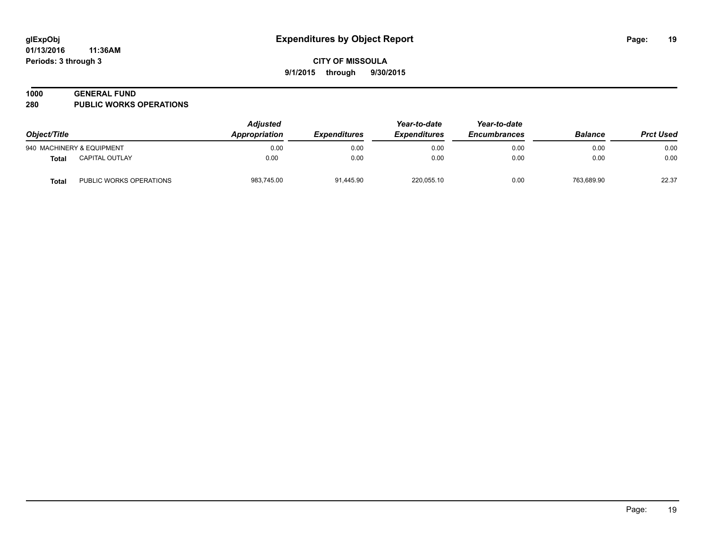#### **1000 GENERAL FUND**

**280 PUBLIC WORKS OPERATIONS**

| Object/Title |                           | <b>Adjusted</b><br>Appropriation | <i><b>Expenditures</b></i> | Year-to-date<br><b>Expenditures</b> | Year-to-date<br><b>Encumbrances</b> | <b>Balance</b> | <b>Prct Used</b> |
|--------------|---------------------------|----------------------------------|----------------------------|-------------------------------------|-------------------------------------|----------------|------------------|
|              | 940 MACHINERY & EQUIPMENT | 0.00                             | 0.00                       | 0.00                                | 0.00                                | 0.00           | 0.00             |
| <b>Total</b> | <b>CAPITAL OUTLAY</b>     | 0.00                             | 0.00                       | 0.00                                | 0.00                                | 0.00           | 0.00             |
| <b>Total</b> | PUBLIC WORKS OPERATIONS   | 983,745.00                       | 91.445.90                  | 220,055.10                          | 0.00                                | 763.689.90     | 22.37            |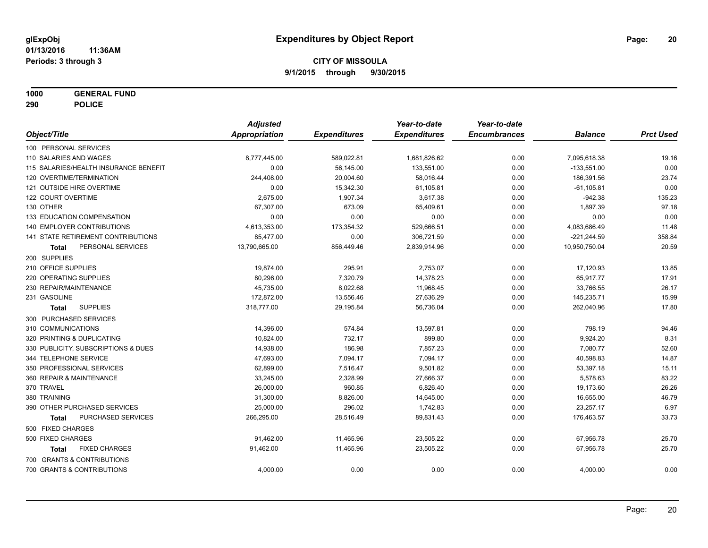**1000 GENERAL FUND**

**290 POLICE**

|                                           | <b>Adjusted</b>      |                     | Year-to-date        | Year-to-date        |                |                  |
|-------------------------------------------|----------------------|---------------------|---------------------|---------------------|----------------|------------------|
| Object/Title                              | <b>Appropriation</b> | <b>Expenditures</b> | <b>Expenditures</b> | <b>Encumbrances</b> | <b>Balance</b> | <b>Prct Used</b> |
| 100 PERSONAL SERVICES                     |                      |                     |                     |                     |                |                  |
| 110 SALARIES AND WAGES                    | 8,777,445.00         | 589,022.81          | 1,681,826.62        | 0.00                | 7,095,618.38   | 19.16            |
| 115 SALARIES/HEALTH INSURANCE BENEFIT     | 0.00                 | 56,145.00           | 133,551.00          | 0.00                | $-133,551.00$  | 0.00             |
| 120 OVERTIME/TERMINATION                  | 244,408.00           | 20,004.60           | 58,016.44           | 0.00                | 186,391.56     | 23.74            |
| 121 OUTSIDE HIRE OVERTIME                 | 0.00                 | 15,342.30           | 61,105.81           | 0.00                | $-61, 105.81$  | 0.00             |
| 122 COURT OVERTIME                        | 2,675.00             | 1,907.34            | 3,617.38            | 0.00                | $-942.38$      | 135.23           |
| 130 OTHER                                 | 67,307.00            | 673.09              | 65,409.61           | 0.00                | 1,897.39       | 97.18            |
| 133 EDUCATION COMPENSATION                | 0.00                 | 0.00                | 0.00                | 0.00                | 0.00           | 0.00             |
| 140 EMPLOYER CONTRIBUTIONS                | 4,613,353.00         | 173,354.32          | 529,666.51          | 0.00                | 4,083,686.49   | 11.48            |
| <b>141 STATE RETIREMENT CONTRIBUTIONS</b> | 85,477.00            | 0.00                | 306,721.59          | 0.00                | $-221,244.59$  | 358.84           |
| PERSONAL SERVICES<br>Total                | 13,790,665.00        | 856,449.46          | 2,839,914.96        | 0.00                | 10,950,750.04  | 20.59            |
| 200 SUPPLIES                              |                      |                     |                     |                     |                |                  |
| 210 OFFICE SUPPLIES                       | 19,874.00            | 295.91              | 2,753.07            | 0.00                | 17,120.93      | 13.85            |
| 220 OPERATING SUPPLIES                    | 80,296.00            | 7,320.79            | 14,378.23           | 0.00                | 65,917.77      | 17.91            |
| 230 REPAIR/MAINTENANCE                    | 45,735.00            | 8,022.68            | 11,968.45           | 0.00                | 33,766.55      | 26.17            |
| 231 GASOLINE                              | 172,872.00           | 13,556.46           | 27,636.29           | 0.00                | 145,235.71     | 15.99            |
| <b>SUPPLIES</b><br><b>Total</b>           | 318,777.00           | 29,195.84           | 56,736.04           | 0.00                | 262,040.96     | 17.80            |
| 300 PURCHASED SERVICES                    |                      |                     |                     |                     |                |                  |
| 310 COMMUNICATIONS                        | 14,396.00            | 574.84              | 13,597.81           | 0.00                | 798.19         | 94.46            |
| 320 PRINTING & DUPLICATING                | 10,824.00            | 732.17              | 899.80              | 0.00                | 9,924.20       | 8.31             |
| 330 PUBLICITY, SUBSCRIPTIONS & DUES       | 14,938.00            | 186.98              | 7,857.23            | 0.00                | 7,080.77       | 52.60            |
| 344 TELEPHONE SERVICE                     | 47,693.00            | 7,094.17            | 7,094.17            | 0.00                | 40,598.83      | 14.87            |
| 350 PROFESSIONAL SERVICES                 | 62,899.00            | 7,516.47            | 9,501.82            | 0.00                | 53,397.18      | 15.11            |
| 360 REPAIR & MAINTENANCE                  | 33,245.00            | 2,328.99            | 27,666.37           | 0.00                | 5,578.63       | 83.22            |
| 370 TRAVEL                                | 26,000.00            | 960.85              | 6,826.40            | 0.00                | 19,173.60      | 26.26            |
| 380 TRAINING                              | 31,300.00            | 8,826.00            | 14,645.00           | 0.00                | 16,655.00      | 46.79            |
| 390 OTHER PURCHASED SERVICES              | 25,000.00            | 296.02              | 1,742.83            | 0.00                | 23,257.17      | 6.97             |
| <b>PURCHASED SERVICES</b><br><b>Total</b> | 266,295.00           | 28,516.49           | 89,831.43           | 0.00                | 176,463.57     | 33.73            |
| 500 FIXED CHARGES                         |                      |                     |                     |                     |                |                  |
| 500 FIXED CHARGES                         | 91,462.00            | 11,465.96           | 23,505.22           | 0.00                | 67,956.78      | 25.70            |
| <b>FIXED CHARGES</b><br>Total             | 91,462.00            | 11,465.96           | 23,505.22           | 0.00                | 67,956.78      | 25.70            |
| 700 GRANTS & CONTRIBUTIONS                |                      |                     |                     |                     |                |                  |
| 700 GRANTS & CONTRIBUTIONS                | 4,000.00             | 0.00                | 0.00                | 0.00                | 4,000.00       | 0.00             |
|                                           |                      |                     |                     |                     |                |                  |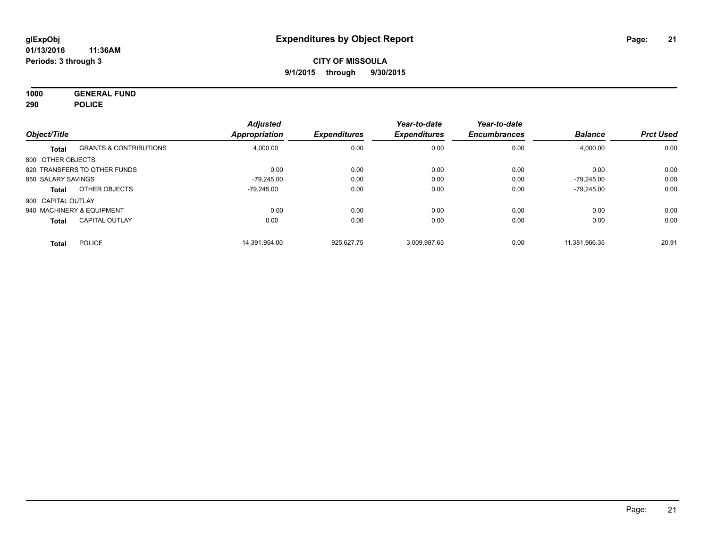**1000 GENERAL FUND 290 POLICE**

| Object/Title       |                                   | <b>Adjusted</b><br><b>Appropriation</b> | <b>Expenditures</b> | Year-to-date<br><b>Expenditures</b> | Year-to-date<br><b>Encumbrances</b> | <b>Balance</b> | <b>Prct Used</b> |
|--------------------|-----------------------------------|-----------------------------------------|---------------------|-------------------------------------|-------------------------------------|----------------|------------------|
| Total              | <b>GRANTS &amp; CONTRIBUTIONS</b> | 4,000.00                                | 0.00                | 0.00                                | 0.00                                | 4,000.00       | 0.00             |
| 800 OTHER OBJECTS  |                                   |                                         |                     |                                     |                                     |                |                  |
|                    | 820 TRANSFERS TO OTHER FUNDS      | 0.00                                    | 0.00                | 0.00                                | 0.00                                | 0.00           | 0.00             |
| 850 SALARY SAVINGS |                                   | $-79.245.00$                            | 0.00                | 0.00                                | 0.00                                | $-79.245.00$   | 0.00             |
| Total              | OTHER OBJECTS                     | -79.245.00                              | 0.00                | 0.00                                | 0.00                                | $-79,245.00$   | 0.00             |
| 900 CAPITAL OUTLAY |                                   |                                         |                     |                                     |                                     |                |                  |
|                    | 940 MACHINERY & EQUIPMENT         | 0.00                                    | 0.00                | 0.00                                | 0.00                                | 0.00           | 0.00             |
| <b>Total</b>       | <b>CAPITAL OUTLAY</b>             | 0.00                                    | 0.00                | 0.00                                | 0.00                                | 0.00           | 0.00             |
| <b>Total</b>       | <b>POLICE</b>                     | 14.391.954.00                           | 925.627.75          | 3.009.987.65                        | 0.00                                | 11.381.966.35  | 20.91            |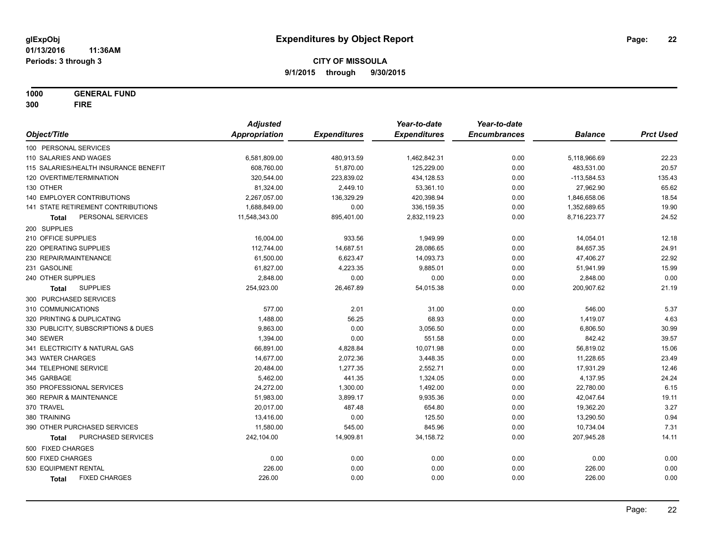**1000 GENERAL FUND 300 FIRE**

|                                       | <b>Adjusted</b>      |                     | Year-to-date        | Year-to-date        |                |                  |
|---------------------------------------|----------------------|---------------------|---------------------|---------------------|----------------|------------------|
| Object/Title                          | <b>Appropriation</b> | <b>Expenditures</b> | <b>Expenditures</b> | <b>Encumbrances</b> | <b>Balance</b> | <b>Prct Used</b> |
| 100 PERSONAL SERVICES                 |                      |                     |                     |                     |                |                  |
| 110 SALARIES AND WAGES                | 6,581,809.00         | 480,913.59          | 1,462,842.31        | 0.00                | 5,118,966.69   | 22.23            |
| 115 SALARIES/HEALTH INSURANCE BENEFIT | 608,760.00           | 51,870.00           | 125,229.00          | 0.00                | 483,531.00     | 20.57            |
| 120 OVERTIME/TERMINATION              | 320,544.00           | 223,839.02          | 434,128.53          | 0.00                | $-113,584.53$  | 135.43           |
| 130 OTHER                             | 81,324.00            | 2,449.10            | 53,361.10           | 0.00                | 27,962.90      | 65.62            |
| 140 EMPLOYER CONTRIBUTIONS            | 2,267,057.00         | 136,329.29          | 420,398.94          | 0.00                | 1,846,658.06   | 18.54            |
| 141 STATE RETIREMENT CONTRIBUTIONS    | 1,688,849.00         | 0.00                | 336,159.35          | 0.00                | 1,352,689.65   | 19.90            |
| PERSONAL SERVICES<br>Total            | 11,548,343.00        | 895,401.00          | 2,832,119.23        | 0.00                | 8,716,223.77   | 24.52            |
| 200 SUPPLIES                          |                      |                     |                     |                     |                |                  |
| 210 OFFICE SUPPLIES                   | 16,004.00            | 933.56              | 1,949.99            | 0.00                | 14,054.01      | 12.18            |
| 220 OPERATING SUPPLIES                | 112,744.00           | 14,687.51           | 28,086.65           | 0.00                | 84,657.35      | 24.91            |
| 230 REPAIR/MAINTENANCE                | 61,500.00            | 6,623.47            | 14,093.73           | 0.00                | 47,406.27      | 22.92            |
| 231 GASOLINE                          | 61,827.00            | 4,223.35            | 9,885.01            | 0.00                | 51,941.99      | 15.99            |
| 240 OTHER SUPPLIES                    | 2,848.00             | 0.00                | 0.00                | 0.00                | 2,848.00       | 0.00             |
| <b>SUPPLIES</b><br>Total              | 254,923.00           | 26,467.89           | 54,015.38           | 0.00                | 200,907.62     | 21.19            |
| 300 PURCHASED SERVICES                |                      |                     |                     |                     |                |                  |
| 310 COMMUNICATIONS                    | 577.00               | 2.01                | 31.00               | 0.00                | 546.00         | 5.37             |
| 320 PRINTING & DUPLICATING            | 1,488.00             | 56.25               | 68.93               | 0.00                | 1,419.07       | 4.63             |
| 330 PUBLICITY, SUBSCRIPTIONS & DUES   | 9,863.00             | 0.00                | 3,056.50            | 0.00                | 6,806.50       | 30.99            |
| 340 SEWER                             | 1,394.00             | 0.00                | 551.58              | 0.00                | 842.42         | 39.57            |
| 341 ELECTRICITY & NATURAL GAS         | 66,891.00            | 4,828.84            | 10,071.98           | 0.00                | 56,819.02      | 15.06            |
| 343 WATER CHARGES                     | 14,677.00            | 2,072.36            | 3,448.35            | 0.00                | 11,228.65      | 23.49            |
| 344 TELEPHONE SERVICE                 | 20,484.00            | 1,277.35            | 2,552.71            | 0.00                | 17,931.29      | 12.46            |
| 345 GARBAGE                           | 5,462.00             | 441.35              | 1,324.05            | 0.00                | 4,137.95       | 24.24            |
| 350 PROFESSIONAL SERVICES             | 24,272.00            | 1,300.00            | 1,492.00            | 0.00                | 22,780.00      | 6.15             |
| 360 REPAIR & MAINTENANCE              | 51,983.00            | 3,899.17            | 9,935.36            | 0.00                | 42,047.64      | 19.11            |
| 370 TRAVEL                            | 20,017.00            | 487.48              | 654.80              | 0.00                | 19,362.20      | 3.27             |
| 380 TRAINING                          | 13,416.00            | 0.00                | 125.50              | 0.00                | 13,290.50      | 0.94             |
| 390 OTHER PURCHASED SERVICES          | 11,580.00            | 545.00              | 845.96              | 0.00                | 10,734.04      | 7.31             |
| PURCHASED SERVICES<br><b>Total</b>    | 242,104.00           | 14,909.81           | 34,158.72           | 0.00                | 207,945.28     | 14.11            |
| 500 FIXED CHARGES                     |                      |                     |                     |                     |                |                  |
| 500 FIXED CHARGES                     | 0.00                 | 0.00                | 0.00                | 0.00                | 0.00           | 0.00             |
| 530 EQUIPMENT RENTAL                  | 226.00               | 0.00                | 0.00                | 0.00                | 226.00         | 0.00             |
| <b>FIXED CHARGES</b><br>Total         | 226.00               | 0.00                | 0.00                | 0.00                | 226.00         | 0.00             |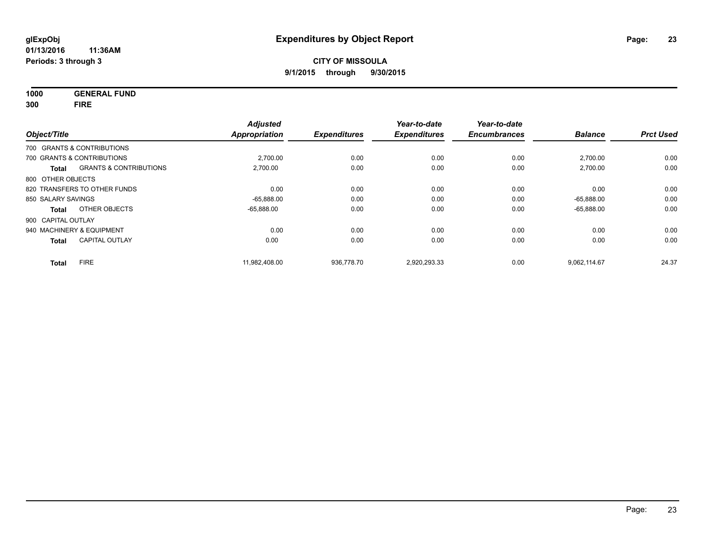**1000 GENERAL FUND**

**300 FIRE**

| Object/Title       |                                   | <b>Adjusted</b><br>Appropriation | <b>Expenditures</b> | Year-to-date<br><b>Expenditures</b> | Year-to-date<br><b>Encumbrances</b> | <b>Balance</b> | <b>Prct Used</b> |
|--------------------|-----------------------------------|----------------------------------|---------------------|-------------------------------------|-------------------------------------|----------------|------------------|
|                    | 700 GRANTS & CONTRIBUTIONS        |                                  |                     |                                     |                                     |                |                  |
|                    | 700 GRANTS & CONTRIBUTIONS        | 2,700.00                         | 0.00                | 0.00                                | 0.00                                | 2,700.00       | 0.00             |
| <b>Total</b>       | <b>GRANTS &amp; CONTRIBUTIONS</b> | 2,700.00                         | 0.00                | 0.00                                | 0.00                                | 2,700.00       | 0.00             |
| 800 OTHER OBJECTS  |                                   |                                  |                     |                                     |                                     |                |                  |
|                    | 820 TRANSFERS TO OTHER FUNDS      | 0.00                             | 0.00                | 0.00                                | 0.00                                | 0.00           | 0.00             |
| 850 SALARY SAVINGS |                                   | $-65,888.00$                     | 0.00                | 0.00                                | 0.00                                | $-65.888.00$   | 0.00             |
| Total              | OTHER OBJECTS                     | $-65.888.00$                     | 0.00                | 0.00                                | 0.00                                | $-65,888.00$   | 0.00             |
| 900 CAPITAL OUTLAY |                                   |                                  |                     |                                     |                                     |                |                  |
|                    | 940 MACHINERY & EQUIPMENT         | 0.00                             | 0.00                | 0.00                                | 0.00                                | 0.00           | 0.00             |
| <b>Total</b>       | <b>CAPITAL OUTLAY</b>             | 0.00                             | 0.00                | 0.00                                | 0.00                                | 0.00           | 0.00             |
| <b>Total</b>       | <b>FIRE</b>                       | 11.982.408.00                    | 936.778.70          | 2,920,293.33                        | 0.00                                | 9.062.114.67   | 24.37            |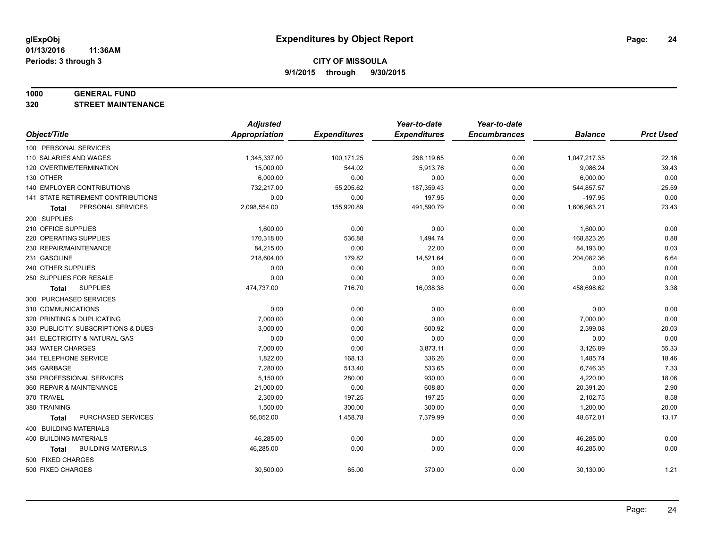#### **1000 GENERAL FUND**

**320 STREET MAINTENANCE**

|                                     | <b>Adjusted</b>      |                     | Year-to-date        | Year-to-date        |                |                  |
|-------------------------------------|----------------------|---------------------|---------------------|---------------------|----------------|------------------|
| Object/Title                        | <b>Appropriation</b> | <b>Expenditures</b> | <b>Expenditures</b> | <b>Encumbrances</b> | <b>Balance</b> | <b>Prct Used</b> |
| 100 PERSONAL SERVICES               |                      |                     |                     |                     |                |                  |
| 110 SALARIES AND WAGES              | 1,345,337.00         | 100,171.25          | 298,119.65          | 0.00                | 1,047,217.35   | 22.16            |
| 120 OVERTIME/TERMINATION            | 15,000.00            | 544.02              | 5,913.76            | 0.00                | 9,086.24       | 39.43            |
| 130 OTHER                           | 6,000.00             | 0.00                | 0.00                | 0.00                | 6,000.00       | 0.00             |
| 140 EMPLOYER CONTRIBUTIONS          | 732,217.00           | 55,205.62           | 187,359.43          | 0.00                | 544,857.57     | 25.59            |
| 141 STATE RETIREMENT CONTRIBUTIONS  | 0.00                 | 0.00                | 197.95              | 0.00                | $-197.95$      | 0.00             |
| PERSONAL SERVICES<br>Total          | 2,098,554.00         | 155,920.89          | 491,590.79          | 0.00                | 1,606,963.21   | 23.43            |
| 200 SUPPLIES                        |                      |                     |                     |                     |                |                  |
| 210 OFFICE SUPPLIES                 | 1,600.00             | 0.00                | 0.00                | 0.00                | 1,600.00       | 0.00             |
| 220 OPERATING SUPPLIES              | 170,318.00           | 536.88              | 1,494.74            | 0.00                | 168,823.26     | 0.88             |
| 230 REPAIR/MAINTENANCE              | 84,215.00            | 0.00                | 22.00               | 0.00                | 84,193.00      | 0.03             |
| 231 GASOLINE                        | 218,604.00           | 179.82              | 14,521.64           | 0.00                | 204,082.36     | 6.64             |
| 240 OTHER SUPPLIES                  | 0.00                 | 0.00                | 0.00                | 0.00                | 0.00           | 0.00             |
| 250 SUPPLIES FOR RESALE             | 0.00                 | 0.00                | 0.00                | 0.00                | 0.00           | 0.00             |
| <b>SUPPLIES</b><br><b>Total</b>     | 474,737.00           | 716.70              | 16,038.38           | 0.00                | 458,698.62     | 3.38             |
| 300 PURCHASED SERVICES              |                      |                     |                     |                     |                |                  |
| 310 COMMUNICATIONS                  | 0.00                 | 0.00                | 0.00                | 0.00                | 0.00           | 0.00             |
| 320 PRINTING & DUPLICATING          | 7,000.00             | 0.00                | 0.00                | 0.00                | 7,000.00       | 0.00             |
| 330 PUBLICITY, SUBSCRIPTIONS & DUES | 3,000.00             | 0.00                | 600.92              | 0.00                | 2,399.08       | 20.03            |
| 341 ELECTRICITY & NATURAL GAS       | 0.00                 | 0.00                | 0.00                | 0.00                | 0.00           | 0.00             |
| 343 WATER CHARGES                   | 7,000.00             | 0.00                | 3,873.11            | 0.00                | 3,126.89       | 55.33            |
| 344 TELEPHONE SERVICE               | 1,822.00             | 168.13              | 336.26              | 0.00                | 1,485.74       | 18.46            |
| 345 GARBAGE                         | 7,280.00             | 513.40              | 533.65              | 0.00                | 6,746.35       | 7.33             |
| 350 PROFESSIONAL SERVICES           | 5,150.00             | 280.00              | 930.00              | 0.00                | 4,220.00       | 18.06            |
| 360 REPAIR & MAINTENANCE            | 21,000.00            | 0.00                | 608.80              | 0.00                | 20,391.20      | 2.90             |
| 370 TRAVEL                          | 2,300.00             | 197.25              | 197.25              | 0.00                | 2,102.75       | 8.58             |
| 380 TRAINING                        | 1,500.00             | 300.00              | 300.00              | 0.00                | 1,200.00       | 20.00            |
| PURCHASED SERVICES<br><b>Total</b>  | 56,052.00            | 1,458.78            | 7,379.99            | 0.00                | 48,672.01      | 13.17            |
| 400 BUILDING MATERIALS              |                      |                     |                     |                     |                |                  |
| 400 BUILDING MATERIALS              | 46,285.00            | 0.00                | 0.00                | 0.00                | 46,285.00      | 0.00             |
| <b>BUILDING MATERIALS</b><br>Total  | 46,285.00            | 0.00                | 0.00                | 0.00                | 46,285.00      | 0.00             |
| 500 FIXED CHARGES                   |                      |                     |                     |                     |                |                  |
| 500 FIXED CHARGES                   | 30,500.00            | 65.00               | 370.00              | 0.00                | 30,130.00      | 1.21             |
|                                     |                      |                     |                     |                     |                |                  |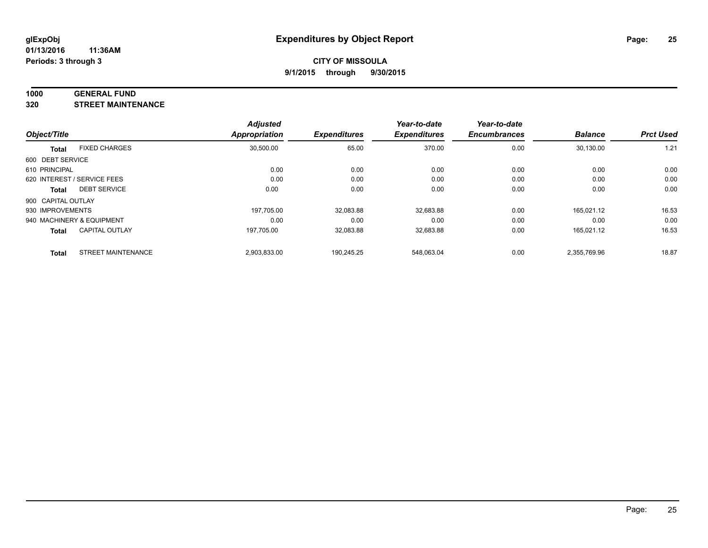#### **1000 GENERAL FUND**

**320 STREET MAINTENANCE**

|                    |                             | <b>Adjusted</b> |                     | Year-to-date        | Year-to-date        |                |                  |
|--------------------|-----------------------------|-----------------|---------------------|---------------------|---------------------|----------------|------------------|
| Object/Title       |                             | Appropriation   | <b>Expenditures</b> | <b>Expenditures</b> | <b>Encumbrances</b> | <b>Balance</b> | <b>Prct Used</b> |
| <b>Total</b>       | <b>FIXED CHARGES</b>        | 30,500.00       | 65.00               | 370.00              | 0.00                | 30,130.00      | 1.21             |
| 600 DEBT SERVICE   |                             |                 |                     |                     |                     |                |                  |
| 610 PRINCIPAL      |                             | 0.00            | 0.00                | 0.00                | 0.00                | 0.00           | 0.00             |
|                    | 620 INTEREST / SERVICE FEES | 0.00            | 0.00                | 0.00                | 0.00                | 0.00           | 0.00             |
| <b>Total</b>       | <b>DEBT SERVICE</b>         | 0.00            | 0.00                | 0.00                | 0.00                | 0.00           | 0.00             |
| 900 CAPITAL OUTLAY |                             |                 |                     |                     |                     |                |                  |
| 930 IMPROVEMENTS   |                             | 197.705.00      | 32,083.88           | 32,683.88           | 0.00                | 165.021.12     | 16.53            |
|                    | 940 MACHINERY & EQUIPMENT   | 0.00            | 0.00                | 0.00                | 0.00                | 0.00           | 0.00             |
| <b>Total</b>       | <b>CAPITAL OUTLAY</b>       | 197,705.00      | 32,083.88           | 32,683.88           | 0.00                | 165.021.12     | 16.53            |
| <b>Total</b>       | <b>STREET MAINTENANCE</b>   | 2,903,833.00    | 190.245.25          | 548.063.04          | 0.00                | 2.355.769.96   | 18.87            |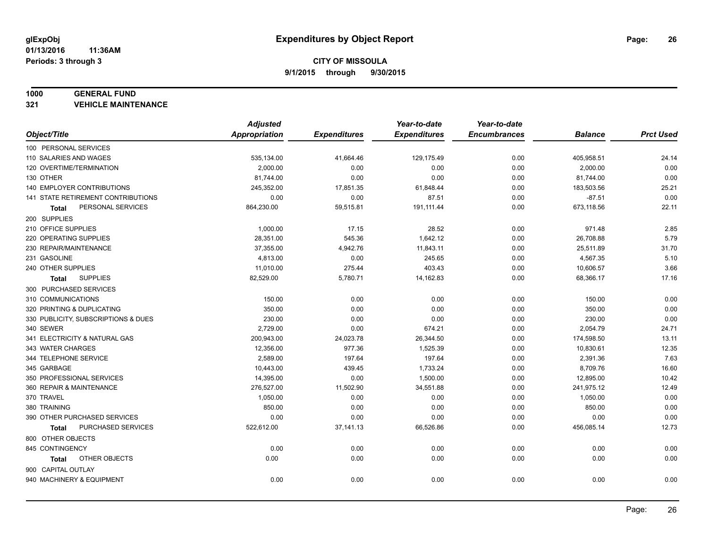#### **1000 GENERAL FUND**

**321 VEHICLE MAINTENANCE**

|                                     | <b>Adjusted</b> |                     | Year-to-date        | Year-to-date        |                |                  |
|-------------------------------------|-----------------|---------------------|---------------------|---------------------|----------------|------------------|
| Object/Title                        | Appropriation   | <b>Expenditures</b> | <b>Expenditures</b> | <b>Encumbrances</b> | <b>Balance</b> | <b>Prct Used</b> |
| 100 PERSONAL SERVICES               |                 |                     |                     |                     |                |                  |
| 110 SALARIES AND WAGES              | 535,134.00      | 41,664.46           | 129,175.49          | 0.00                | 405,958.51     | 24.14            |
| 120 OVERTIME/TERMINATION            | 2,000.00        | 0.00                | 0.00                | 0.00                | 2,000.00       | 0.00             |
| 130 OTHER                           | 81,744.00       | 0.00                | 0.00                | 0.00                | 81,744.00      | 0.00             |
| 140 EMPLOYER CONTRIBUTIONS          | 245,352.00      | 17,851.35           | 61,848.44           | 0.00                | 183,503.56     | 25.21            |
| 141 STATE RETIREMENT CONTRIBUTIONS  | 0.00            | 0.00                | 87.51               | 0.00                | $-87.51$       | 0.00             |
| PERSONAL SERVICES<br>Total          | 864,230.00      | 59,515.81           | 191,111.44          | 0.00                | 673,118.56     | 22.11            |
| 200 SUPPLIES                        |                 |                     |                     |                     |                |                  |
| 210 OFFICE SUPPLIES                 | 1,000.00        | 17.15               | 28.52               | 0.00                | 971.48         | 2.85             |
| 220 OPERATING SUPPLIES              | 28,351.00       | 545.36              | 1,642.12            | 0.00                | 26,708.88      | 5.79             |
| 230 REPAIR/MAINTENANCE              | 37,355.00       | 4,942.76            | 11,843.11           | 0.00                | 25,511.89      | 31.70            |
| 231 GASOLINE                        | 4,813.00        | 0.00                | 245.65              | 0.00                | 4,567.35       | 5.10             |
| 240 OTHER SUPPLIES                  | 11,010.00       | 275.44              | 403.43              | 0.00                | 10,606.57      | 3.66             |
| <b>SUPPLIES</b><br>Total            | 82,529.00       | 5,780.71            | 14,162.83           | 0.00                | 68,366.17      | 17.16            |
| 300 PURCHASED SERVICES              |                 |                     |                     |                     |                |                  |
| 310 COMMUNICATIONS                  | 150.00          | 0.00                | 0.00                | 0.00                | 150.00         | 0.00             |
| 320 PRINTING & DUPLICATING          | 350.00          | 0.00                | 0.00                | 0.00                | 350.00         | 0.00             |
| 330 PUBLICITY, SUBSCRIPTIONS & DUES | 230.00          | 0.00                | 0.00                | 0.00                | 230.00         | 0.00             |
| 340 SEWER                           | 2,729.00        | 0.00                | 674.21              | 0.00                | 2,054.79       | 24.71            |
| 341 ELECTRICITY & NATURAL GAS       | 200,943.00      | 24,023.78           | 26,344.50           | 0.00                | 174,598.50     | 13.11            |
| 343 WATER CHARGES                   | 12,356.00       | 977.36              | 1,525.39            | 0.00                | 10,830.61      | 12.35            |
| 344 TELEPHONE SERVICE               | 2,589.00        | 197.64              | 197.64              | 0.00                | 2,391.36       | 7.63             |
| 345 GARBAGE                         | 10,443.00       | 439.45              | 1,733.24            | 0.00                | 8,709.76       | 16.60            |
| 350 PROFESSIONAL SERVICES           | 14,395.00       | 0.00                | 1,500.00            | 0.00                | 12,895.00      | 10.42            |
| 360 REPAIR & MAINTENANCE            | 276,527.00      | 11,502.90           | 34,551.88           | 0.00                | 241,975.12     | 12.49            |
| 370 TRAVEL                          | 1,050.00        | 0.00                | 0.00                | 0.00                | 1,050.00       | 0.00             |
| 380 TRAINING                        | 850.00          | 0.00                | 0.00                | 0.00                | 850.00         | 0.00             |
| 390 OTHER PURCHASED SERVICES        | 0.00            | 0.00                | 0.00                | 0.00                | 0.00           | 0.00             |
| PURCHASED SERVICES<br><b>Total</b>  | 522,612.00      | 37,141.13           | 66,526.86           | 0.00                | 456,085.14     | 12.73            |
| 800 OTHER OBJECTS                   |                 |                     |                     |                     |                |                  |
| 845 CONTINGENCY                     | 0.00            | 0.00                | 0.00                | 0.00                | 0.00           | 0.00             |
| OTHER OBJECTS<br>Total              | 0.00            | 0.00                | 0.00                | 0.00                | 0.00           | 0.00             |
| 900 CAPITAL OUTLAY                  |                 |                     |                     |                     |                |                  |
| 940 MACHINERY & EQUIPMENT           | 0.00            | 0.00                | 0.00                | 0.00                | 0.00           | 0.00             |
|                                     |                 |                     |                     |                     |                |                  |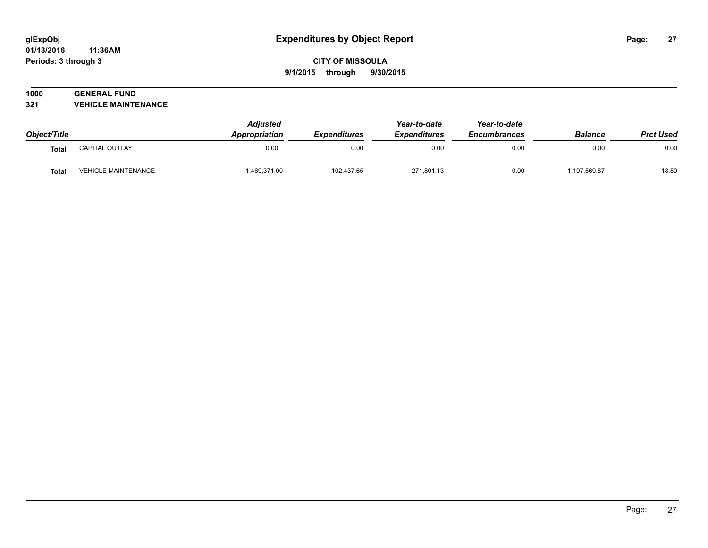#### **01/13/2016 11:36AM Periods: 3 through 3**

## **CITY OF MISSOULA 9/1/2015 through 9/30/2015**

# **1000 GENERAL FUND**

**321 VEHICLE MAINTENANCE**

| Object/Title |                            | <b>Adjusted</b><br><b>Appropriation</b> | <b>Expenditures</b> | Year-to-date<br><b>Expenditures</b> | Year-to-date<br><b>Encumbrances</b> | <b>Balance</b> | <b>Prct Used</b> |
|--------------|----------------------------|-----------------------------------------|---------------------|-------------------------------------|-------------------------------------|----------------|------------------|
| Total        | CAPITAL OUTLAY             | 0.00                                    | 0.00                | 0.00                                | 0.00                                | 0.00           | 0.00             |
| <b>Total</b> | <b>VEHICLE MAINTENANCE</b> | 1,469,371.00                            | 102,437.65          | 271,801.13                          | 0.00                                | ,197,569.87    | 18.50            |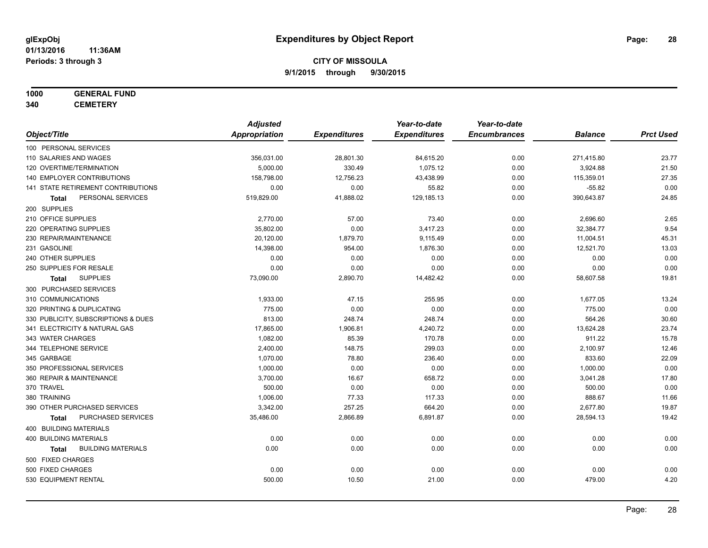# **1000 GENERAL FUND**

**340 CEMETERY**

|                                           | <b>Adjusted</b>      |                     | Year-to-date        | Year-to-date        |                |                  |
|-------------------------------------------|----------------------|---------------------|---------------------|---------------------|----------------|------------------|
| Object/Title                              | <b>Appropriation</b> | <b>Expenditures</b> | <b>Expenditures</b> | <b>Encumbrances</b> | <b>Balance</b> | <b>Prct Used</b> |
| 100 PERSONAL SERVICES                     |                      |                     |                     |                     |                |                  |
| 110 SALARIES AND WAGES                    | 356,031.00           | 28,801.30           | 84,615.20           | 0.00                | 271,415.80     | 23.77            |
| 120 OVERTIME/TERMINATION                  | 5,000.00             | 330.49              | 1,075.12            | 0.00                | 3,924.88       | 21.50            |
| <b>140 EMPLOYER CONTRIBUTIONS</b>         | 158,798.00           | 12,756.23           | 43,438.99           | 0.00                | 115,359.01     | 27.35            |
| 141 STATE RETIREMENT CONTRIBUTIONS        | 0.00                 | 0.00                | 55.82               | 0.00                | $-55.82$       | 0.00             |
| PERSONAL SERVICES<br>Total                | 519,829.00           | 41,888.02           | 129,185.13          | 0.00                | 390,643.87     | 24.85            |
| 200 SUPPLIES                              |                      |                     |                     |                     |                |                  |
| 210 OFFICE SUPPLIES                       | 2,770.00             | 57.00               | 73.40               | 0.00                | 2,696.60       | 2.65             |
| 220 OPERATING SUPPLIES                    | 35,802.00            | 0.00                | 3,417.23            | 0.00                | 32,384.77      | 9.54             |
| 230 REPAIR/MAINTENANCE                    | 20,120.00            | 1,879.70            | 9,115.49            | 0.00                | 11,004.51      | 45.31            |
| 231 GASOLINE                              | 14,398.00            | 954.00              | 1,876.30            | 0.00                | 12,521.70      | 13.03            |
| 240 OTHER SUPPLIES                        | 0.00                 | 0.00                | 0.00                | 0.00                | 0.00           | 0.00             |
| 250 SUPPLIES FOR RESALE                   | 0.00                 | 0.00                | 0.00                | 0.00                | 0.00           | 0.00             |
| <b>SUPPLIES</b><br>Total                  | 73,090.00            | 2,890.70            | 14,482.42           | 0.00                | 58,607.58      | 19.81            |
| 300 PURCHASED SERVICES                    |                      |                     |                     |                     |                |                  |
| 310 COMMUNICATIONS                        | 1,933.00             | 47.15               | 255.95              | 0.00                | 1,677.05       | 13.24            |
| 320 PRINTING & DUPLICATING                | 775.00               | 0.00                | 0.00                | 0.00                | 775.00         | 0.00             |
| 330 PUBLICITY, SUBSCRIPTIONS & DUES       | 813.00               | 248.74              | 248.74              | 0.00                | 564.26         | 30.60            |
| 341 ELECTRICITY & NATURAL GAS             | 17,865.00            | 1,906.81            | 4,240.72            | 0.00                | 13,624.28      | 23.74            |
| 343 WATER CHARGES                         | 1,082.00             | 85.39               | 170.78              | 0.00                | 911.22         | 15.78            |
| 344 TELEPHONE SERVICE                     | 2,400.00             | 148.75              | 299.03              | 0.00                | 2,100.97       | 12.46            |
| 345 GARBAGE                               | 1,070.00             | 78.80               | 236.40              | 0.00                | 833.60         | 22.09            |
| 350 PROFESSIONAL SERVICES                 | 1,000.00             | 0.00                | 0.00                | 0.00                | 1,000.00       | 0.00             |
| 360 REPAIR & MAINTENANCE                  | 3,700.00             | 16.67               | 658.72              | 0.00                | 3,041.28       | 17.80            |
| 370 TRAVEL                                | 500.00               | 0.00                | 0.00                | 0.00                | 500.00         | 0.00             |
| 380 TRAINING                              | 1,006.00             | 77.33               | 117.33              | 0.00                | 888.67         | 11.66            |
| 390 OTHER PURCHASED SERVICES              | 3,342.00             | 257.25              | 664.20              | 0.00                | 2,677.80       | 19.87            |
| PURCHASED SERVICES<br><b>Total</b>        | 35,486.00            | 2,866.89            | 6,891.87            | 0.00                | 28,594.13      | 19.42            |
| 400 BUILDING MATERIALS                    |                      |                     |                     |                     |                |                  |
| <b>400 BUILDING MATERIALS</b>             | 0.00                 | 0.00                | 0.00                | 0.00                | 0.00           | 0.00             |
| <b>BUILDING MATERIALS</b><br><b>Total</b> | 0.00                 | 0.00                | 0.00                | 0.00                | 0.00           | 0.00             |
| 500 FIXED CHARGES                         |                      |                     |                     |                     |                |                  |
| 500 FIXED CHARGES                         | 0.00                 | 0.00                | 0.00                | 0.00                | 0.00           | 0.00             |
| 530 EQUIPMENT RENTAL                      | 500.00               | 10.50               | 21.00               | 0.00                | 479.00         | 4.20             |
|                                           |                      |                     |                     |                     |                |                  |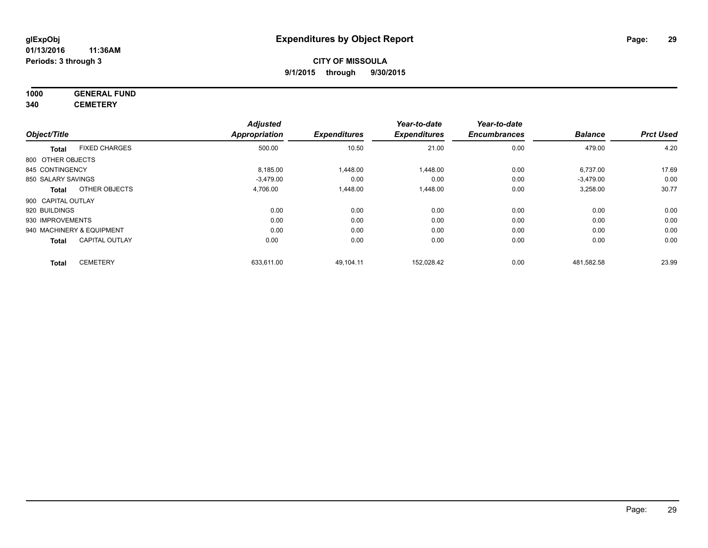**1000 GENERAL FUND**

**340 CEMETERY**

|                    |                           | <b>Adjusted</b> |                     | Year-to-date        | Year-to-date        |                |                  |
|--------------------|---------------------------|-----------------|---------------------|---------------------|---------------------|----------------|------------------|
| Object/Title       |                           | Appropriation   | <b>Expenditures</b> | <b>Expenditures</b> | <b>Encumbrances</b> | <b>Balance</b> | <b>Prct Used</b> |
| <b>Total</b>       | <b>FIXED CHARGES</b>      | 500.00          | 10.50               | 21.00               | 0.00                | 479.00         | 4.20             |
| 800 OTHER OBJECTS  |                           |                 |                     |                     |                     |                |                  |
| 845 CONTINGENCY    |                           | 8,185.00        | 1,448.00            | 1,448.00            | 0.00                | 6,737.00       | 17.69            |
| 850 SALARY SAVINGS |                           | $-3.479.00$     | 0.00                | 0.00                | 0.00                | $-3.479.00$    | 0.00             |
| <b>Total</b>       | OTHER OBJECTS             | 4,706.00        | 1,448.00            | 1,448.00            | 0.00                | 3,258.00       | 30.77            |
| 900 CAPITAL OUTLAY |                           |                 |                     |                     |                     |                |                  |
| 920 BUILDINGS      |                           | 0.00            | 0.00                | 0.00                | 0.00                | 0.00           | 0.00             |
| 930 IMPROVEMENTS   |                           | 0.00            | 0.00                | 0.00                | 0.00                | 0.00           | 0.00             |
|                    | 940 MACHINERY & EQUIPMENT | 0.00            | 0.00                | 0.00                | 0.00                | 0.00           | 0.00             |
| <b>Total</b>       | <b>CAPITAL OUTLAY</b>     | 0.00            | 0.00                | 0.00                | 0.00                | 0.00           | 0.00             |
| <b>Total</b>       | <b>CEMETERY</b>           | 633.611.00      | 49,104.11           | 152.028.42          | 0.00                | 481,582.58     | 23.99            |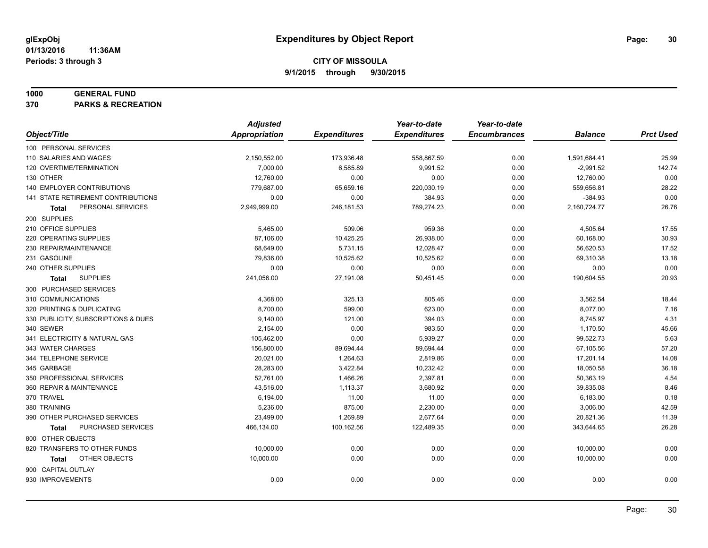#### **1000 GENERAL FUND**

**370 PARKS & RECREATION**

|                                           | <b>Adjusted</b> |                     | Year-to-date        | Year-to-date        |                |                  |
|-------------------------------------------|-----------------|---------------------|---------------------|---------------------|----------------|------------------|
| Object/Title                              | Appropriation   | <b>Expenditures</b> | <b>Expenditures</b> | <b>Encumbrances</b> | <b>Balance</b> | <b>Prct Used</b> |
| 100 PERSONAL SERVICES                     |                 |                     |                     |                     |                |                  |
| 110 SALARIES AND WAGES                    | 2,150,552.00    | 173,936.48          | 558,867.59          | 0.00                | 1,591,684.41   | 25.99            |
| 120 OVERTIME/TERMINATION                  | 7,000.00        | 6,585.89            | 9,991.52            | 0.00                | $-2,991.52$    | 142.74           |
| 130 OTHER                                 | 12,760.00       | 0.00                | 0.00                | 0.00                | 12,760.00      | 0.00             |
| 140 EMPLOYER CONTRIBUTIONS                | 779,687.00      | 65,659.16           | 220,030.19          | 0.00                | 559,656.81     | 28.22            |
| <b>141 STATE RETIREMENT CONTRIBUTIONS</b> | 0.00            | 0.00                | 384.93              | 0.00                | $-384.93$      | 0.00             |
| PERSONAL SERVICES<br>Total                | 2,949,999.00    | 246,181.53          | 789,274.23          | 0.00                | 2,160,724.77   | 26.76            |
| 200 SUPPLIES                              |                 |                     |                     |                     |                |                  |
| 210 OFFICE SUPPLIES                       | 5,465.00        | 509.06              | 959.36              | 0.00                | 4,505.64       | 17.55            |
| 220 OPERATING SUPPLIES                    | 87,106.00       | 10,425.25           | 26,938.00           | 0.00                | 60,168.00      | 30.93            |
| 230 REPAIR/MAINTENANCE                    | 68,649.00       | 5,731.15            | 12,028.47           | 0.00                | 56,620.53      | 17.52            |
| 231 GASOLINE                              | 79,836.00       | 10,525.62           | 10,525.62           | 0.00                | 69,310.38      | 13.18            |
| 240 OTHER SUPPLIES                        | 0.00            | 0.00                | 0.00                | 0.00                | 0.00           | 0.00             |
| <b>SUPPLIES</b><br>Total                  | 241,056.00      | 27,191.08           | 50,451.45           | 0.00                | 190,604.55     | 20.93            |
| 300 PURCHASED SERVICES                    |                 |                     |                     |                     |                |                  |
| 310 COMMUNICATIONS                        | 4,368.00        | 325.13              | 805.46              | 0.00                | 3,562.54       | 18.44            |
| 320 PRINTING & DUPLICATING                | 8,700.00        | 599.00              | 623.00              | 0.00                | 8,077.00       | 7.16             |
| 330 PUBLICITY, SUBSCRIPTIONS & DUES       | 9,140.00        | 121.00              | 394.03              | 0.00                | 8,745.97       | 4.31             |
| 340 SEWER                                 | 2,154.00        | 0.00                | 983.50              | 0.00                | 1,170.50       | 45.66            |
| 341 ELECTRICITY & NATURAL GAS             | 105,462.00      | 0.00                | 5,939.27            | 0.00                | 99,522.73      | 5.63             |
| 343 WATER CHARGES                         | 156,800.00      | 89,694.44           | 89,694.44           | 0.00                | 67,105.56      | 57.20            |
| 344 TELEPHONE SERVICE                     | 20,021.00       | 1,264.63            | 2,819.86            | 0.00                | 17,201.14      | 14.08            |
| 345 GARBAGE                               | 28,283.00       | 3,422.84            | 10,232.42           | 0.00                | 18,050.58      | 36.18            |
| 350 PROFESSIONAL SERVICES                 | 52,761.00       | 1,466.26            | 2,397.81            | 0.00                | 50,363.19      | 4.54             |
| 360 REPAIR & MAINTENANCE                  | 43,516.00       | 1,113.37            | 3,680.92            | 0.00                | 39,835.08      | 8.46             |
| 370 TRAVEL                                | 6,194.00        | 11.00               | 11.00               | 0.00                | 6,183.00       | 0.18             |
| 380 TRAINING                              | 5,236.00        | 875.00              | 2,230.00            | 0.00                | 3,006.00       | 42.59            |
| 390 OTHER PURCHASED SERVICES              | 23,499.00       | 1,269.89            | 2,677.64            | 0.00                | 20,821.36      | 11.39            |
| PURCHASED SERVICES<br>Total               | 466,134.00      | 100,162.56          | 122,489.35          | 0.00                | 343,644.65     | 26.28            |
| 800 OTHER OBJECTS                         |                 |                     |                     |                     |                |                  |
| 820 TRANSFERS TO OTHER FUNDS              | 10,000.00       | 0.00                | 0.00                | 0.00                | 10,000.00      | 0.00             |
| OTHER OBJECTS<br>Total                    | 10,000.00       | 0.00                | 0.00                | 0.00                | 10,000.00      | 0.00             |
| 900 CAPITAL OUTLAY                        |                 |                     |                     |                     |                |                  |
| 930 IMPROVEMENTS                          | 0.00            | 0.00                | 0.00                | 0.00                | 0.00           | 0.00             |
|                                           |                 |                     |                     |                     |                |                  |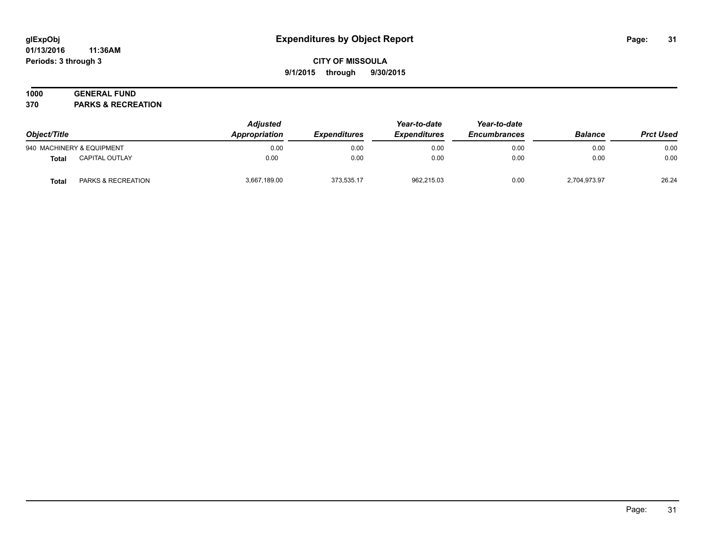#### **01/13/2016 11:36AM Periods: 3 through 3**

## **CITY OF MISSOULA 9/1/2015 through 9/30/2015**

# **1000 GENERAL FUND**

**370 PARKS & RECREATION**

| Object/Title |                               | <b>Adjusted</b><br>Appropriation | <i><b>Expenditures</b></i> | Year-to-date<br><b>Expenditures</b> | Year-to-date<br><b>Encumbrances</b> | <b>Balance</b> | <b>Prct Used</b> |
|--------------|-------------------------------|----------------------------------|----------------------------|-------------------------------------|-------------------------------------|----------------|------------------|
|              | 940 MACHINERY & EQUIPMENT     | 0.00                             | 0.00                       | 0.00                                | 0.00                                | 0.00           | 0.00             |
| <b>Total</b> | <b>CAPITAL OUTLAY</b>         | 0.00                             | 0.00                       | 0.00                                | 0.00                                | 0.00           | 0.00             |
| <b>Total</b> | <b>PARKS &amp; RECREATION</b> | 3,667,189.00                     | 373.535.17                 | 962.215.03                          | 0.00                                | 2,704,973.97   | 26.24            |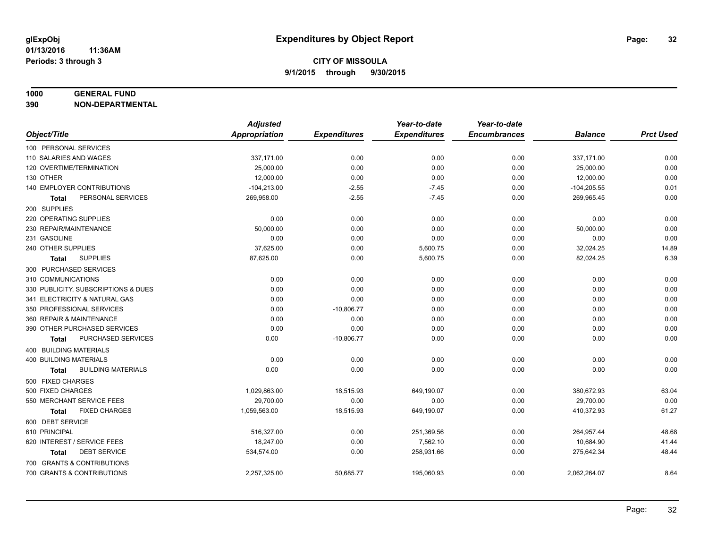#### **1000 GENERAL FUND**

**390 NON-DEPARTMENTAL**

|                                           | <b>Adjusted</b>      |                     | Year-to-date        | Year-to-date        |                |                  |
|-------------------------------------------|----------------------|---------------------|---------------------|---------------------|----------------|------------------|
| Object/Title                              | <b>Appropriation</b> | <b>Expenditures</b> | <b>Expenditures</b> | <b>Encumbrances</b> | <b>Balance</b> | <b>Prct Used</b> |
| 100 PERSONAL SERVICES                     |                      |                     |                     |                     |                |                  |
| 110 SALARIES AND WAGES                    | 337,171.00           | 0.00                | 0.00                | 0.00                | 337,171.00     | 0.00             |
| 120 OVERTIME/TERMINATION                  | 25,000.00            | 0.00                | 0.00                | 0.00                | 25,000.00      | 0.00             |
| 130 OTHER                                 | 12,000.00            | 0.00                | 0.00                | 0.00                | 12,000.00      | 0.00             |
| 140 EMPLOYER CONTRIBUTIONS                | $-104,213.00$        | $-2.55$             | $-7.45$             | 0.00                | $-104,205.55$  | 0.01             |
| PERSONAL SERVICES<br>Total                | 269,958.00           | $-2.55$             | $-7.45$             | 0.00                | 269,965.45     | 0.00             |
| 200 SUPPLIES                              |                      |                     |                     |                     |                |                  |
| 220 OPERATING SUPPLIES                    | 0.00                 | 0.00                | 0.00                | 0.00                | 0.00           | 0.00             |
| 230 REPAIR/MAINTENANCE                    | 50,000.00            | 0.00                | 0.00                | 0.00                | 50,000.00      | 0.00             |
| 231 GASOLINE                              | 0.00                 | 0.00                | 0.00                | 0.00                | 0.00           | 0.00             |
| 240 OTHER SUPPLIES                        | 37,625.00            | 0.00                | 5,600.75            | 0.00                | 32,024.25      | 14.89            |
| <b>SUPPLIES</b><br>Total                  | 87,625.00            | 0.00                | 5,600.75            | 0.00                | 82,024.25      | 6.39             |
| 300 PURCHASED SERVICES                    |                      |                     |                     |                     |                |                  |
| 310 COMMUNICATIONS                        | 0.00                 | 0.00                | 0.00                | 0.00                | 0.00           | 0.00             |
| 330 PUBLICITY, SUBSCRIPTIONS & DUES       | 0.00                 | 0.00                | 0.00                | 0.00                | 0.00           | 0.00             |
| 341 ELECTRICITY & NATURAL GAS             | 0.00                 | 0.00                | 0.00                | 0.00                | 0.00           | 0.00             |
| 350 PROFESSIONAL SERVICES                 | 0.00                 | $-10,806.77$        | 0.00                | 0.00                | 0.00           | 0.00             |
| 360 REPAIR & MAINTENANCE                  | 0.00                 | 0.00                | 0.00                | 0.00                | 0.00           | 0.00             |
| 390 OTHER PURCHASED SERVICES              | 0.00                 | 0.00                | 0.00                | 0.00                | 0.00           | 0.00             |
| PURCHASED SERVICES<br><b>Total</b>        | 0.00                 | $-10,806.77$        | 0.00                | 0.00                | 0.00           | 0.00             |
| 400 BUILDING MATERIALS                    |                      |                     |                     |                     |                |                  |
| 400 BUILDING MATERIALS                    | 0.00                 | 0.00                | 0.00                | 0.00                | 0.00           | 0.00             |
| <b>BUILDING MATERIALS</b><br><b>Total</b> | 0.00                 | 0.00                | 0.00                | 0.00                | 0.00           | 0.00             |
| 500 FIXED CHARGES                         |                      |                     |                     |                     |                |                  |
| 500 FIXED CHARGES                         | 1,029,863.00         | 18,515.93           | 649,190.07          | 0.00                | 380,672.93     | 63.04            |
| 550 MERCHANT SERVICE FEES                 | 29,700.00            | 0.00                | 0.00                | 0.00                | 29,700.00      | 0.00             |
| <b>FIXED CHARGES</b><br><b>Total</b>      | 1,059,563.00         | 18,515.93           | 649,190.07          | 0.00                | 410,372.93     | 61.27            |
| 600 DEBT SERVICE                          |                      |                     |                     |                     |                |                  |
| 610 PRINCIPAL                             | 516,327.00           | 0.00                | 251,369.56          | 0.00                | 264,957.44     | 48.68            |
| 620 INTEREST / SERVICE FEES               | 18,247.00            | 0.00                | 7,562.10            | 0.00                | 10,684.90      | 41.44            |
| <b>DEBT SERVICE</b><br><b>Total</b>       | 534,574.00           | 0.00                | 258,931.66          | 0.00                | 275,642.34     | 48.44            |
| 700 GRANTS & CONTRIBUTIONS                |                      |                     |                     |                     |                |                  |
| 700 GRANTS & CONTRIBUTIONS                | 2,257,325.00         | 50,685.77           | 195,060.93          | 0.00                | 2,062,264.07   | 8.64             |
|                                           |                      |                     |                     |                     |                |                  |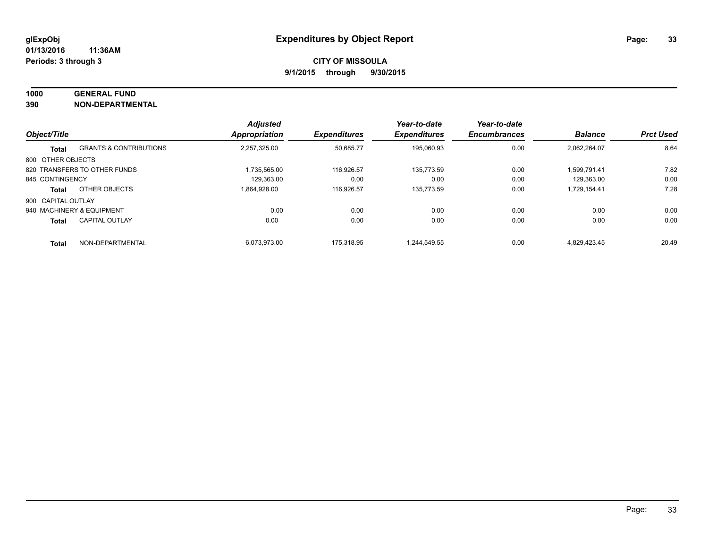#### **1000 GENERAL FUND**

**390 NON-DEPARTMENTAL**

|                    |                                   | <b>Adjusted</b>      |                     | Year-to-date        | Year-to-date        |                |                  |
|--------------------|-----------------------------------|----------------------|---------------------|---------------------|---------------------|----------------|------------------|
| Object/Title       |                                   | <b>Appropriation</b> | <b>Expenditures</b> | <b>Expenditures</b> | <b>Encumbrances</b> | <b>Balance</b> | <b>Prct Used</b> |
| <b>Total</b>       | <b>GRANTS &amp; CONTRIBUTIONS</b> | 2.257.325.00         | 50,685.77           | 195,060.93          | 0.00                | 2.062.264.07   | 8.64             |
| 800 OTHER OBJECTS  |                                   |                      |                     |                     |                     |                |                  |
|                    | 820 TRANSFERS TO OTHER FUNDS      | 1.735.565.00         | 116,926.57          | 135.773.59          | 0.00                | 1.599.791.41   | 7.82             |
| 845 CONTINGENCY    |                                   | 129.363.00           | 0.00                | 0.00                | 0.00                | 129.363.00     | 0.00             |
| <b>Total</b>       | OTHER OBJECTS                     | 1.864.928.00         | 116.926.57          | 135.773.59          | 0.00                | 1,729,154.41   | 7.28             |
| 900 CAPITAL OUTLAY |                                   |                      |                     |                     |                     |                |                  |
|                    | 940 MACHINERY & EQUIPMENT         | 0.00                 | 0.00                | 0.00                | 0.00                | 0.00           | 0.00             |
| <b>Total</b>       | <b>CAPITAL OUTLAY</b>             | 0.00                 | 0.00                | 0.00                | 0.00                | 0.00           | 0.00             |
| <b>Total</b>       | NON-DEPARTMENTAL                  | 6.073.973.00         | 175.318.95          | 1.244.549.55        | 0.00                | 4.829.423.45   | 20.49            |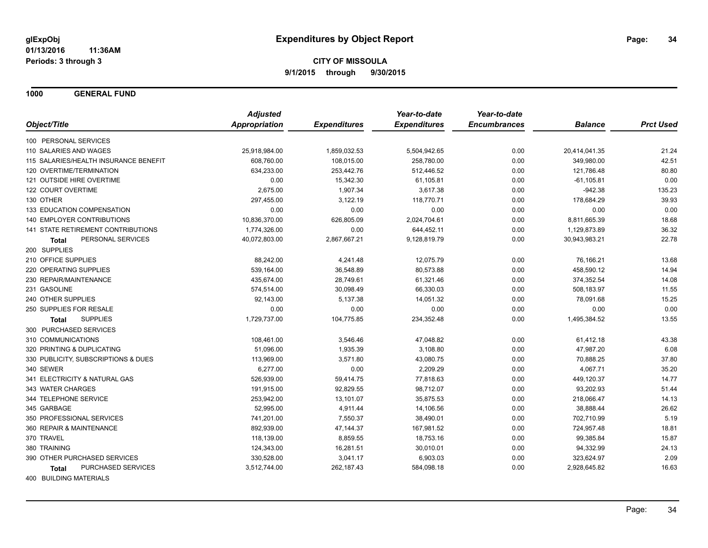**1000 GENERAL FUND**

|                                       | <b>Adjusted</b> |                     | Year-to-date        | Year-to-date        |                |                  |
|---------------------------------------|-----------------|---------------------|---------------------|---------------------|----------------|------------------|
| Object/Title                          | Appropriation   | <b>Expenditures</b> | <b>Expenditures</b> | <b>Encumbrances</b> | <b>Balance</b> | <b>Prct Used</b> |
| 100 PERSONAL SERVICES                 |                 |                     |                     |                     |                |                  |
| 110 SALARIES AND WAGES                | 25,918,984.00   | 1,859,032.53        | 5,504,942.65        | 0.00                | 20,414,041.35  | 21.24            |
| 115 SALARIES/HEALTH INSURANCE BENEFIT | 608,760.00      | 108,015.00          | 258,780.00          | 0.00                | 349,980.00     | 42.51            |
| 120 OVERTIME/TERMINATION              | 634,233.00      | 253,442.76          | 512,446.52          | 0.00                | 121,786.48     | 80.80            |
| 121 OUTSIDE HIRE OVERTIME             | 0.00            | 15,342.30           | 61,105.81           | 0.00                | $-61, 105.81$  | 0.00             |
| 122 COURT OVERTIME                    | 2,675.00        | 1,907.34            | 3,617.38            | 0.00                | $-942.38$      | 135.23           |
| 130 OTHER                             | 297,455.00      | 3,122.19            | 118,770.71          | 0.00                | 178,684.29     | 39.93            |
| 133 EDUCATION COMPENSATION            | 0.00            | 0.00                | 0.00                | 0.00                | 0.00           | 0.00             |
| 140 EMPLOYER CONTRIBUTIONS            | 10,836,370.00   | 626,805.09          | 2,024,704.61        | 0.00                | 8,811,665.39   | 18.68            |
| 141 STATE RETIREMENT CONTRIBUTIONS    | 1,774,326.00    | 0.00                | 644,452.11          | 0.00                | 1,129,873.89   | 36.32            |
| PERSONAL SERVICES<br>Total            | 40,072,803.00   | 2,867,667.21        | 9,128,819.79        | 0.00                | 30,943,983.21  | 22.78            |
| 200 SUPPLIES                          |                 |                     |                     |                     |                |                  |
| 210 OFFICE SUPPLIES                   | 88,242.00       | 4,241.48            | 12,075.79           | 0.00                | 76,166.21      | 13.68            |
| 220 OPERATING SUPPLIES                | 539,164.00      | 36,548.89           | 80,573.88           | 0.00                | 458,590.12     | 14.94            |
| 230 REPAIR/MAINTENANCE                | 435,674.00      | 28,749.61           | 61,321.46           | 0.00                | 374,352.54     | 14.08            |
| 231 GASOLINE                          | 574,514.00      | 30,098.49           | 66,330.03           | 0.00                | 508,183.97     | 11.55            |
| 240 OTHER SUPPLIES                    | 92,143.00       | 5,137.38            | 14,051.32           | 0.00                | 78,091.68      | 15.25            |
| 250 SUPPLIES FOR RESALE               | 0.00            | 0.00                | 0.00                | 0.00                | 0.00           | 0.00             |
| <b>SUPPLIES</b><br><b>Total</b>       | 1,729,737.00    | 104,775.85          | 234,352.48          | 0.00                | 1,495,384.52   | 13.55            |
| 300 PURCHASED SERVICES                |                 |                     |                     |                     |                |                  |
| 310 COMMUNICATIONS                    | 108,461.00      | 3,546.46            | 47,048.82           | 0.00                | 61,412.18      | 43.38            |
| 320 PRINTING & DUPLICATING            | 51,096.00       | 1,935.39            | 3,108.80            | 0.00                | 47,987.20      | 6.08             |
| 330 PUBLICITY, SUBSCRIPTIONS & DUES   | 113,969.00      | 3,571.80            | 43,080.75           | 0.00                | 70,888.25      | 37.80            |
| 340 SEWER                             | 6,277.00        | 0.00                | 2,209.29            | 0.00                | 4,067.71       | 35.20            |
| 341 ELECTRICITY & NATURAL GAS         | 526,939.00      | 59,414.75           | 77,818.63           | 0.00                | 449,120.37     | 14.77            |
| 343 WATER CHARGES                     | 191,915.00      | 92,829.55           | 98,712.07           | 0.00                | 93,202.93      | 51.44            |
| 344 TELEPHONE SERVICE                 | 253,942.00      | 13,101.07           | 35,875.53           | 0.00                | 218,066.47     | 14.13            |
| 345 GARBAGE                           | 52,995.00       | 4,911.44            | 14,106.56           | 0.00                | 38,888.44      | 26.62            |
| 350 PROFESSIONAL SERVICES             | 741,201.00      | 7,550.37            | 38,490.01           | 0.00                | 702,710.99     | 5.19             |
| 360 REPAIR & MAINTENANCE              | 892,939.00      | 47,144.37           | 167,981.52          | 0.00                | 724,957.48     | 18.81            |
| 370 TRAVEL                            | 118,139.00      | 8,859.55            | 18,753.16           | 0.00                | 99,385.84      | 15.87            |
| 380 TRAINING                          | 124,343.00      | 16,281.51           | 30,010.01           | 0.00                | 94,332.99      | 24.13            |
| 390 OTHER PURCHASED SERVICES          | 330,528.00      | 3,041.17            | 6,903.03            | 0.00                | 323,624.97     | 2.09             |
| PURCHASED SERVICES<br>Total           | 3,512,744.00    | 262,187.43          | 584,098.18          | 0.00                | 2,928,645.82   | 16.63            |
| 400 BUILDING MATERIALS                |                 |                     |                     |                     |                |                  |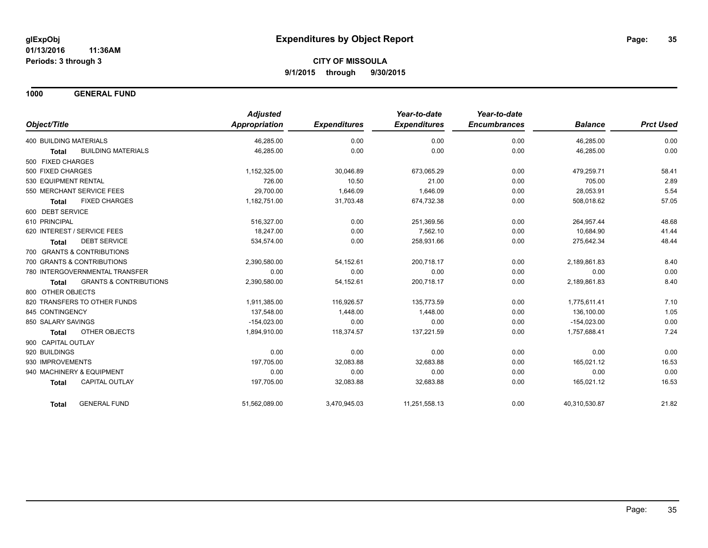**1000 GENERAL FUND**

|                                                   | <b>Adjusted</b>      |                     | Year-to-date        | Year-to-date        |                |                  |
|---------------------------------------------------|----------------------|---------------------|---------------------|---------------------|----------------|------------------|
| Object/Title                                      | <b>Appropriation</b> | <b>Expenditures</b> | <b>Expenditures</b> | <b>Encumbrances</b> | <b>Balance</b> | <b>Prct Used</b> |
| <b>400 BUILDING MATERIALS</b>                     | 46,285.00            | 0.00                | 0.00                | 0.00                | 46,285.00      | 0.00             |
| <b>BUILDING MATERIALS</b><br><b>Total</b>         | 46,285.00            | 0.00                | 0.00                | 0.00                | 46,285.00      | 0.00             |
| 500 FIXED CHARGES                                 |                      |                     |                     |                     |                |                  |
| 500 FIXED CHARGES                                 | 1,152,325.00         | 30,046.89           | 673,065.29          | 0.00                | 479,259.71     | 58.41            |
| 530 EQUIPMENT RENTAL                              | 726.00               | 10.50               | 21.00               | 0.00                | 705.00         | 2.89             |
| 550 MERCHANT SERVICE FEES                         | 29,700.00            | 1,646.09            | 1,646.09            | 0.00                | 28,053.91      | 5.54             |
| <b>FIXED CHARGES</b><br><b>Total</b>              | 1,182,751.00         | 31,703.48           | 674,732.38          | 0.00                | 508,018.62     | 57.05            |
| 600 DEBT SERVICE                                  |                      |                     |                     |                     |                |                  |
| 610 PRINCIPAL                                     | 516,327.00           | 0.00                | 251,369.56          | 0.00                | 264,957.44     | 48.68            |
| 620 INTEREST / SERVICE FEES                       | 18.247.00            | 0.00                | 7,562.10            | 0.00                | 10,684.90      | 41.44            |
| <b>DEBT SERVICE</b><br><b>Total</b>               | 534,574.00           | 0.00                | 258,931.66          | 0.00                | 275,642.34     | 48.44            |
| 700 GRANTS & CONTRIBUTIONS                        |                      |                     |                     |                     |                |                  |
| 700 GRANTS & CONTRIBUTIONS                        | 2,390,580.00         | 54,152.61           | 200,718.17          | 0.00                | 2,189,861.83   | 8.40             |
| 780 INTERGOVERNMENTAL TRANSFER                    | 0.00                 | 0.00                | 0.00                | 0.00                | 0.00           | 0.00             |
| <b>GRANTS &amp; CONTRIBUTIONS</b><br><b>Total</b> | 2,390,580.00         | 54,152.61           | 200,718.17          | 0.00                | 2,189,861.83   | 8.40             |
| 800 OTHER OBJECTS                                 |                      |                     |                     |                     |                |                  |
| 820 TRANSFERS TO OTHER FUNDS                      | 1,911,385.00         | 116,926.57          | 135,773.59          | 0.00                | 1,775,611.41   | 7.10             |
| 845 CONTINGENCY                                   | 137,548.00           | 1,448.00            | 1,448.00            | 0.00                | 136,100.00     | 1.05             |
| 850 SALARY SAVINGS                                | $-154,023.00$        | 0.00                | 0.00                | 0.00                | $-154,023.00$  | 0.00             |
| <b>OTHER OBJECTS</b><br><b>Total</b>              | 1,894,910.00         | 118,374.57          | 137,221.59          | 0.00                | 1,757,688.41   | 7.24             |
| 900 CAPITAL OUTLAY                                |                      |                     |                     |                     |                |                  |
| 920 BUILDINGS                                     | 0.00                 | 0.00                | 0.00                | 0.00                | 0.00           | 0.00             |
| 930 IMPROVEMENTS                                  | 197,705.00           | 32,083.88           | 32,683.88           | 0.00                | 165,021.12     | 16.53            |
| 940 MACHINERY & EQUIPMENT                         | 0.00                 | 0.00                | 0.00                | 0.00                | 0.00           | 0.00             |
| CAPITAL OUTLAY<br><b>Total</b>                    | 197,705.00           | 32,083.88           | 32,683.88           | 0.00                | 165,021.12     | 16.53            |
| <b>GENERAL FUND</b><br><b>Total</b>               | 51,562,089.00        | 3,470,945.03        | 11,251,558.13       | 0.00                | 40,310,530.87  | 21.82            |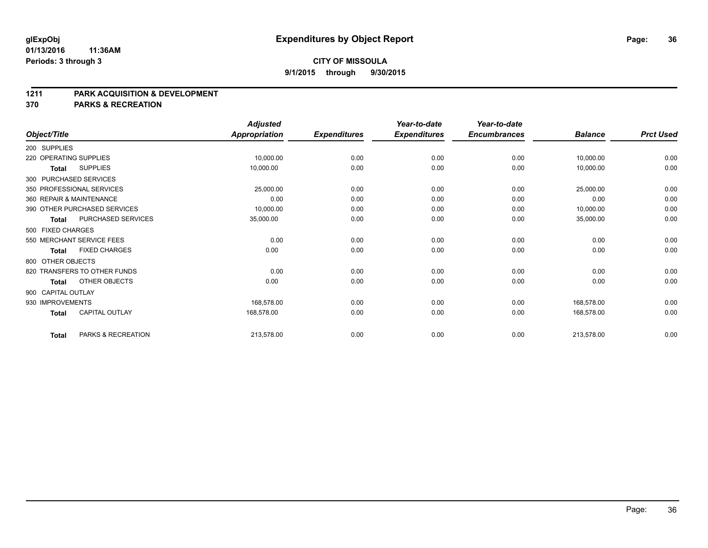#### **1211 PARK ACQUISITION & DEVELOPMENT**

**370 PARKS & RECREATION**

|                    |                              | <b>Adjusted</b>      |                     | Year-to-date        | Year-to-date        |                |                  |
|--------------------|------------------------------|----------------------|---------------------|---------------------|---------------------|----------------|------------------|
| Object/Title       |                              | <b>Appropriation</b> | <b>Expenditures</b> | <b>Expenditures</b> | <b>Encumbrances</b> | <b>Balance</b> | <b>Prct Used</b> |
| 200 SUPPLIES       |                              |                      |                     |                     |                     |                |                  |
|                    | 220 OPERATING SUPPLIES       | 10,000.00            | 0.00                | 0.00                | 0.00                | 10,000.00      | 0.00             |
| <b>Total</b>       | <b>SUPPLIES</b>              | 10,000.00            | 0.00                | 0.00                | 0.00                | 10,000.00      | 0.00             |
|                    | 300 PURCHASED SERVICES       |                      |                     |                     |                     |                |                  |
|                    | 350 PROFESSIONAL SERVICES    | 25,000.00            | 0.00                | 0.00                | 0.00                | 25,000.00      | 0.00             |
|                    | 360 REPAIR & MAINTENANCE     | 0.00                 | 0.00                | 0.00                | 0.00                | 0.00           | 0.00             |
|                    | 390 OTHER PURCHASED SERVICES | 10,000.00            | 0.00                | 0.00                | 0.00                | 10,000.00      | 0.00             |
| <b>Total</b>       | PURCHASED SERVICES           | 35,000.00            | 0.00                | 0.00                | 0.00                | 35,000.00      | 0.00             |
| 500 FIXED CHARGES  |                              |                      |                     |                     |                     |                |                  |
|                    | 550 MERCHANT SERVICE FEES    | 0.00                 | 0.00                | 0.00                | 0.00                | 0.00           | 0.00             |
| <b>Total</b>       | <b>FIXED CHARGES</b>         | 0.00                 | 0.00                | 0.00                | 0.00                | 0.00           | 0.00             |
| 800 OTHER OBJECTS  |                              |                      |                     |                     |                     |                |                  |
|                    | 820 TRANSFERS TO OTHER FUNDS | 0.00                 | 0.00                | 0.00                | 0.00                | 0.00           | 0.00             |
| Total              | OTHER OBJECTS                | 0.00                 | 0.00                | 0.00                | 0.00                | 0.00           | 0.00             |
| 900 CAPITAL OUTLAY |                              |                      |                     |                     |                     |                |                  |
| 930 IMPROVEMENTS   |                              | 168.578.00           | 0.00                | 0.00                | 0.00                | 168,578.00     | 0.00             |
| <b>Total</b>       | <b>CAPITAL OUTLAY</b>        | 168,578.00           | 0.00                | 0.00                | 0.00                | 168,578.00     | 0.00             |
| <b>Total</b>       | PARKS & RECREATION           | 213,578.00           | 0.00                | 0.00                | 0.00                | 213,578.00     | 0.00             |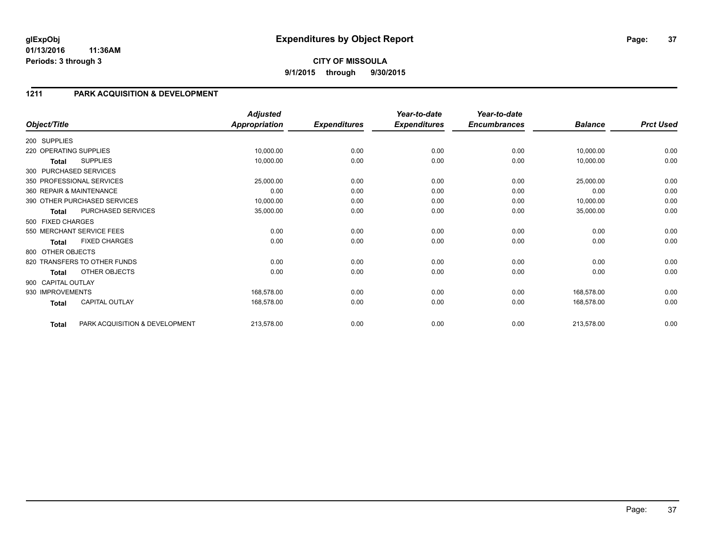### **1211 PARK ACQUISITION & DEVELOPMENT**

| Object/Title           |                                | <b>Adjusted</b><br><b>Appropriation</b> | <b>Expenditures</b> | Year-to-date<br><b>Expenditures</b> | Year-to-date<br><b>Encumbrances</b> | <b>Balance</b> | <b>Prct Used</b> |
|------------------------|--------------------------------|-----------------------------------------|---------------------|-------------------------------------|-------------------------------------|----------------|------------------|
|                        |                                |                                         |                     |                                     |                                     |                |                  |
| 200 SUPPLIES           |                                |                                         |                     |                                     |                                     |                |                  |
| 220 OPERATING SUPPLIES |                                | 10,000.00                               | 0.00                | 0.00                                | 0.00                                | 10,000.00      | 0.00             |
| Total                  | <b>SUPPLIES</b>                | 10,000.00                               | 0.00                | 0.00                                | 0.00                                | 10,000.00      | 0.00             |
|                        | 300 PURCHASED SERVICES         |                                         |                     |                                     |                                     |                |                  |
|                        | 350 PROFESSIONAL SERVICES      | 25,000.00                               | 0.00                | 0.00                                | 0.00                                | 25,000.00      | 0.00             |
|                        | 360 REPAIR & MAINTENANCE       | 0.00                                    | 0.00                | 0.00                                | 0.00                                | 0.00           | 0.00             |
|                        | 390 OTHER PURCHASED SERVICES   | 10,000.00                               | 0.00                | 0.00                                | 0.00                                | 10,000.00      | 0.00             |
| <b>Total</b>           | PURCHASED SERVICES             | 35,000.00                               | 0.00                | 0.00                                | 0.00                                | 35,000.00      | 0.00             |
| 500 FIXED CHARGES      |                                |                                         |                     |                                     |                                     |                |                  |
|                        | 550 MERCHANT SERVICE FEES      | 0.00                                    | 0.00                | 0.00                                | 0.00                                | 0.00           | 0.00             |
| <b>Total</b>           | <b>FIXED CHARGES</b>           | 0.00                                    | 0.00                | 0.00                                | 0.00                                | 0.00           | 0.00             |
| 800 OTHER OBJECTS      |                                |                                         |                     |                                     |                                     |                |                  |
|                        | 820 TRANSFERS TO OTHER FUNDS   | 0.00                                    | 0.00                | 0.00                                | 0.00                                | 0.00           | 0.00             |
| <b>Total</b>           | OTHER OBJECTS                  | 0.00                                    | 0.00                | 0.00                                | 0.00                                | 0.00           | 0.00             |
| 900 CAPITAL OUTLAY     |                                |                                         |                     |                                     |                                     |                |                  |
| 930 IMPROVEMENTS       |                                | 168,578.00                              | 0.00                | 0.00                                | 0.00                                | 168,578.00     | 0.00             |
| <b>Total</b>           | <b>CAPITAL OUTLAY</b>          | 168,578.00                              | 0.00                | 0.00                                | 0.00                                | 168,578.00     | 0.00             |
| <b>Total</b>           | PARK ACQUISITION & DEVELOPMENT | 213,578.00                              | 0.00                | 0.00                                | 0.00                                | 213,578.00     | 0.00             |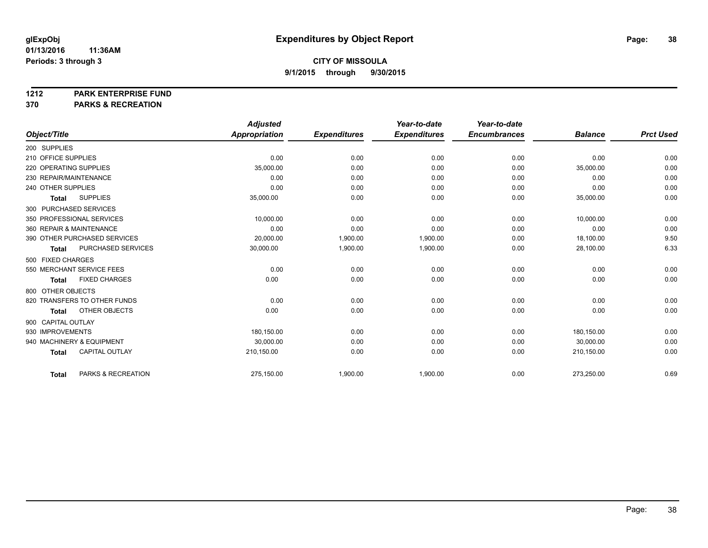**1212 PARK ENTERPRISE FUND**

**370 PARKS & RECREATION**

|                                       | <b>Adjusted</b> |                     | Year-to-date        | Year-to-date        |                |                  |
|---------------------------------------|-----------------|---------------------|---------------------|---------------------|----------------|------------------|
| Object/Title                          | Appropriation   | <b>Expenditures</b> | <b>Expenditures</b> | <b>Encumbrances</b> | <b>Balance</b> | <b>Prct Used</b> |
| 200 SUPPLIES                          |                 |                     |                     |                     |                |                  |
| 210 OFFICE SUPPLIES                   | 0.00            | 0.00                | 0.00                | 0.00                | 0.00           | 0.00             |
| 220 OPERATING SUPPLIES                | 35,000.00       | 0.00                | 0.00                | 0.00                | 35,000.00      | 0.00             |
| 230 REPAIR/MAINTENANCE                | 0.00            | 0.00                | 0.00                | 0.00                | 0.00           | 0.00             |
| 240 OTHER SUPPLIES                    | 0.00            | 0.00                | 0.00                | 0.00                | 0.00           | 0.00             |
| <b>SUPPLIES</b><br><b>Total</b>       | 35,000.00       | 0.00                | 0.00                | 0.00                | 35,000.00      | 0.00             |
| 300 PURCHASED SERVICES                |                 |                     |                     |                     |                |                  |
| 350 PROFESSIONAL SERVICES             | 10,000.00       | 0.00                | 0.00                | 0.00                | 10,000.00      | 0.00             |
| 360 REPAIR & MAINTENANCE              | 0.00            | 0.00                | 0.00                | 0.00                | 0.00           | 0.00             |
| 390 OTHER PURCHASED SERVICES          | 20,000.00       | 1,900.00            | 1,900.00            | 0.00                | 18,100.00      | 9.50             |
| PURCHASED SERVICES<br><b>Total</b>    | 30,000.00       | 1,900.00            | 1,900.00            | 0.00                | 28,100.00      | 6.33             |
| 500 FIXED CHARGES                     |                 |                     |                     |                     |                |                  |
| 550 MERCHANT SERVICE FEES             | 0.00            | 0.00                | 0.00                | 0.00                | 0.00           | 0.00             |
| <b>FIXED CHARGES</b><br><b>Total</b>  | 0.00            | 0.00                | 0.00                | 0.00                | 0.00           | 0.00             |
| 800 OTHER OBJECTS                     |                 |                     |                     |                     |                |                  |
| 820 TRANSFERS TO OTHER FUNDS          | 0.00            | 0.00                | 0.00                | 0.00                | 0.00           | 0.00             |
| OTHER OBJECTS<br><b>Total</b>         | 0.00            | 0.00                | 0.00                | 0.00                | 0.00           | 0.00             |
| 900 CAPITAL OUTLAY                    |                 |                     |                     |                     |                |                  |
| 930 IMPROVEMENTS                      | 180,150.00      | 0.00                | 0.00                | 0.00                | 180,150.00     | 0.00             |
| 940 MACHINERY & EQUIPMENT             | 30,000.00       | 0.00                | 0.00                | 0.00                | 30,000.00      | 0.00             |
| <b>CAPITAL OUTLAY</b><br><b>Total</b> | 210,150.00      | 0.00                | 0.00                | 0.00                | 210,150.00     | 0.00             |
|                                       |                 |                     |                     |                     |                |                  |
| PARKS & RECREATION<br><b>Total</b>    | 275,150.00      | 1,900.00            | 1,900.00            | 0.00                | 273,250.00     | 0.69             |
|                                       |                 |                     |                     |                     |                |                  |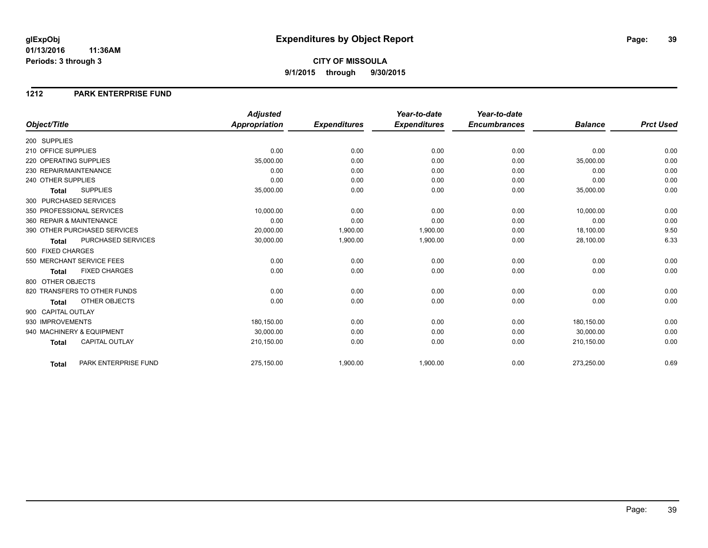## **CITY OF MISSOULA 9/1/2015 through 9/30/2015**

#### **1212 PARK ENTERPRISE FUND**

|                        |                              | <b>Adjusted</b>      |                     | Year-to-date        | Year-to-date        |                |                  |
|------------------------|------------------------------|----------------------|---------------------|---------------------|---------------------|----------------|------------------|
| Object/Title           |                              | <b>Appropriation</b> | <b>Expenditures</b> | <b>Expenditures</b> | <b>Encumbrances</b> | <b>Balance</b> | <b>Prct Used</b> |
| 200 SUPPLIES           |                              |                      |                     |                     |                     |                |                  |
| 210 OFFICE SUPPLIES    |                              | 0.00                 | 0.00                | 0.00                | 0.00                | 0.00           | 0.00             |
| 220 OPERATING SUPPLIES |                              | 35,000.00            | 0.00                | 0.00                | 0.00                | 35,000.00      | 0.00             |
| 230 REPAIR/MAINTENANCE |                              | 0.00                 | 0.00                | 0.00                | 0.00                | 0.00           | 0.00             |
| 240 OTHER SUPPLIES     |                              | 0.00                 | 0.00                | 0.00                | 0.00                | 0.00           | 0.00             |
| <b>Total</b>           | <b>SUPPLIES</b>              | 35,000.00            | 0.00                | 0.00                | 0.00                | 35,000.00      | 0.00             |
|                        | 300 PURCHASED SERVICES       |                      |                     |                     |                     |                |                  |
|                        | 350 PROFESSIONAL SERVICES    | 10,000.00            | 0.00                | 0.00                | 0.00                | 10,000.00      | 0.00             |
|                        | 360 REPAIR & MAINTENANCE     | 0.00                 | 0.00                | 0.00                | 0.00                | 0.00           | 0.00             |
|                        | 390 OTHER PURCHASED SERVICES | 20,000.00            | 1,900.00            | 1,900.00            | 0.00                | 18,100.00      | 9.50             |
| <b>Total</b>           | PURCHASED SERVICES           | 30,000.00            | 1,900.00            | 1,900.00            | 0.00                | 28,100.00      | 6.33             |
| 500 FIXED CHARGES      |                              |                      |                     |                     |                     |                |                  |
|                        | 550 MERCHANT SERVICE FEES    | 0.00                 | 0.00                | 0.00                | 0.00                | 0.00           | 0.00             |
| <b>Total</b>           | <b>FIXED CHARGES</b>         | 0.00                 | 0.00                | 0.00                | 0.00                | 0.00           | 0.00             |
| 800 OTHER OBJECTS      |                              |                      |                     |                     |                     |                |                  |
|                        | 820 TRANSFERS TO OTHER FUNDS | 0.00                 | 0.00                | 0.00                | 0.00                | 0.00           | 0.00             |
| Total                  | OTHER OBJECTS                | 0.00                 | 0.00                | 0.00                | 0.00                | 0.00           | 0.00             |
| 900 CAPITAL OUTLAY     |                              |                      |                     |                     |                     |                |                  |
| 930 IMPROVEMENTS       |                              | 180,150.00           | 0.00                | 0.00                | 0.00                | 180,150.00     | 0.00             |
|                        | 940 MACHINERY & EQUIPMENT    | 30.000.00            | 0.00                | 0.00                | 0.00                | 30,000.00      | 0.00             |
| <b>Total</b>           | <b>CAPITAL OUTLAY</b>        | 210,150.00           | 0.00                | 0.00                | 0.00                | 210,150.00     | 0.00             |
|                        |                              |                      |                     |                     |                     |                |                  |
| <b>Total</b>           | PARK ENTERPRISE FUND         | 275,150.00           | 1,900.00            | 1,900.00            | 0.00                | 273,250.00     | 0.69             |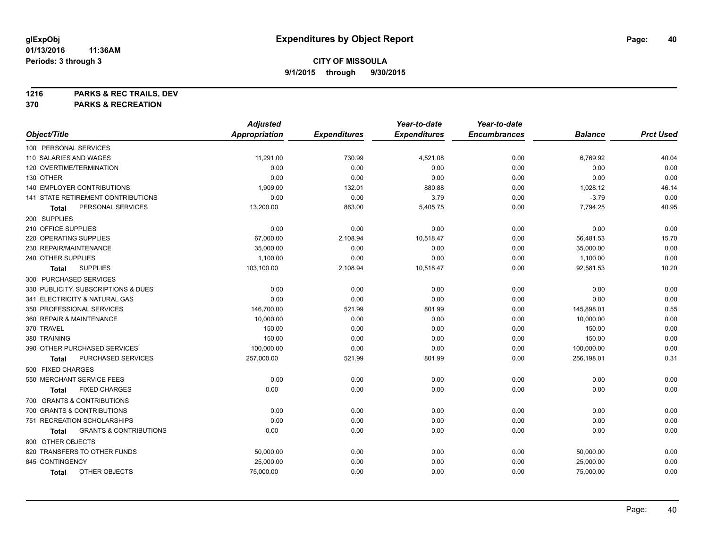**1216 PARKS & REC TRAILS, DEV**

**370 PARKS & RECREATION**

|                                            | <b>Adjusted</b>      |                     | Year-to-date        | Year-to-date        |                |                  |
|--------------------------------------------|----------------------|---------------------|---------------------|---------------------|----------------|------------------|
| Object/Title                               | <b>Appropriation</b> | <b>Expenditures</b> | <b>Expenditures</b> | <b>Encumbrances</b> | <b>Balance</b> | <b>Prct Used</b> |
| 100 PERSONAL SERVICES                      |                      |                     |                     |                     |                |                  |
| 110 SALARIES AND WAGES                     | 11,291.00            | 730.99              | 4,521.08            | 0.00                | 6,769.92       | 40.04            |
| 120 OVERTIME/TERMINATION                   | 0.00                 | 0.00                | 0.00                | 0.00                | 0.00           | 0.00             |
| 130 OTHER                                  | 0.00                 | 0.00                | 0.00                | 0.00                | 0.00           | 0.00             |
| 140 EMPLOYER CONTRIBUTIONS                 | 1,909.00             | 132.01              | 880.88              | 0.00                | 1,028.12       | 46.14            |
| 141 STATE RETIREMENT CONTRIBUTIONS         | 0.00                 | 0.00                | 3.79                | 0.00                | $-3.79$        | 0.00             |
| PERSONAL SERVICES<br>Total                 | 13,200.00            | 863.00              | 5,405.75            | 0.00                | 7,794.25       | 40.95            |
| 200 SUPPLIES                               |                      |                     |                     |                     |                |                  |
| 210 OFFICE SUPPLIES                        | 0.00                 | 0.00                | 0.00                | 0.00                | 0.00           | 0.00             |
| 220 OPERATING SUPPLIES                     | 67,000.00            | 2,108.94            | 10,518.47           | 0.00                | 56,481.53      | 15.70            |
| 230 REPAIR/MAINTENANCE                     | 35,000.00            | 0.00                | 0.00                | 0.00                | 35,000.00      | 0.00             |
| 240 OTHER SUPPLIES                         | 1,100.00             | 0.00                | 0.00                | 0.00                | 1,100.00       | 0.00             |
| <b>SUPPLIES</b><br>Total                   | 103,100.00           | 2,108.94            | 10,518.47           | 0.00                | 92,581.53      | 10.20            |
| 300 PURCHASED SERVICES                     |                      |                     |                     |                     |                |                  |
| 330 PUBLICITY, SUBSCRIPTIONS & DUES        | 0.00                 | 0.00                | 0.00                | 0.00                | 0.00           | 0.00             |
| 341 ELECTRICITY & NATURAL GAS              | 0.00                 | 0.00                | 0.00                | 0.00                | 0.00           | 0.00             |
| 350 PROFESSIONAL SERVICES                  | 146,700.00           | 521.99              | 801.99              | 0.00                | 145,898.01     | 0.55             |
| 360 REPAIR & MAINTENANCE                   | 10,000.00            | 0.00                | 0.00                | 0.00                | 10,000.00      | 0.00             |
| 370 TRAVEL                                 | 150.00               | 0.00                | 0.00                | 0.00                | 150.00         | 0.00             |
| 380 TRAINING                               | 150.00               | 0.00                | 0.00                | 0.00                | 150.00         | 0.00             |
| 390 OTHER PURCHASED SERVICES               | 100,000.00           | 0.00                | 0.00                | 0.00                | 100,000.00     | 0.00             |
| PURCHASED SERVICES<br>Total                | 257,000.00           | 521.99              | 801.99              | 0.00                | 256,198.01     | 0.31             |
| 500 FIXED CHARGES                          |                      |                     |                     |                     |                |                  |
| 550 MERCHANT SERVICE FEES                  | 0.00                 | 0.00                | 0.00                | 0.00                | 0.00           | 0.00             |
| <b>FIXED CHARGES</b><br>Total              | 0.00                 | 0.00                | 0.00                | 0.00                | 0.00           | 0.00             |
| 700 GRANTS & CONTRIBUTIONS                 |                      |                     |                     |                     |                |                  |
| 700 GRANTS & CONTRIBUTIONS                 | 0.00                 | 0.00                | 0.00                | 0.00                | 0.00           | 0.00             |
| 751 RECREATION SCHOLARSHIPS                | 0.00                 | 0.00                | 0.00                | 0.00                | 0.00           | 0.00             |
| <b>GRANTS &amp; CONTRIBUTIONS</b><br>Total | 0.00                 | 0.00                | 0.00                | 0.00                | 0.00           | 0.00             |
| 800 OTHER OBJECTS                          |                      |                     |                     |                     |                |                  |
| 820 TRANSFERS TO OTHER FUNDS               | 50,000.00            | 0.00                | 0.00                | 0.00                | 50,000.00      | 0.00             |
| 845 CONTINGENCY                            | 25,000.00            | 0.00                | 0.00                | 0.00                | 25,000.00      | 0.00             |
| OTHER OBJECTS<br><b>Total</b>              | 75,000.00            | 0.00                | 0.00                | 0.00                | 75,000.00      | 0.00             |
|                                            |                      |                     |                     |                     |                |                  |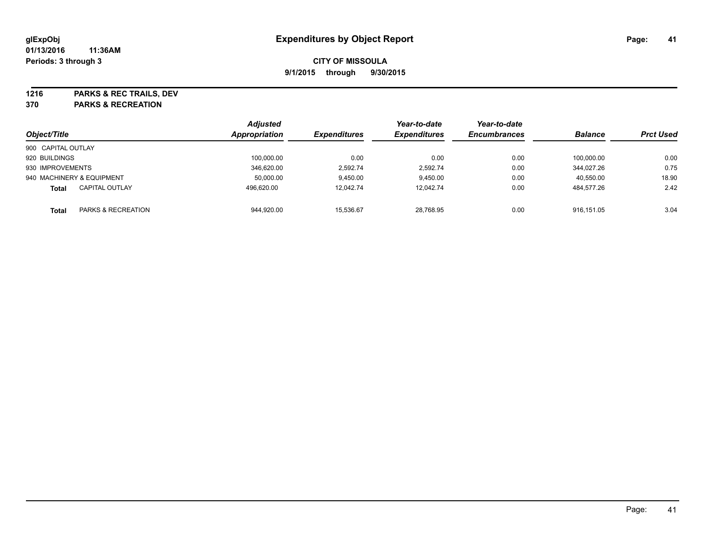**1216 PARKS & REC TRAILS, DEV**

**370 PARKS & RECREATION**

|                                       | <b>Adjusted</b> |                     | Year-to-date        | Year-to-date        |                |                  |
|---------------------------------------|-----------------|---------------------|---------------------|---------------------|----------------|------------------|
| Object/Title                          | Appropriation   | <b>Expenditures</b> | <b>Expenditures</b> | <b>Encumbrances</b> | <b>Balance</b> | <b>Prct Used</b> |
| 900 CAPITAL OUTLAY                    |                 |                     |                     |                     |                |                  |
| 920 BUILDINGS                         | 100,000.00      | 0.00                | 0.00                | 0.00                | 100.000.00     | 0.00             |
| 930 IMPROVEMENTS                      | 346.620.00      | 2.592.74            | 2.592.74            | 0.00                | 344.027.26     | 0.75             |
| 940 MACHINERY & EQUIPMENT             | 50,000.00       | 9,450.00            | 9.450.00            | 0.00                | 40.550.00      | 18.90            |
| <b>CAPITAL OUTLAY</b><br><b>Total</b> | 496,620.00      | 12,042.74           | 12,042.74           | 0.00                | 484.577.26     | 2.42             |
| PARKS & RECREATION<br><b>Total</b>    | 944.920.00      | 15.536.67           | 28.768.95           | 0.00                | 916.151.05     | 3.04             |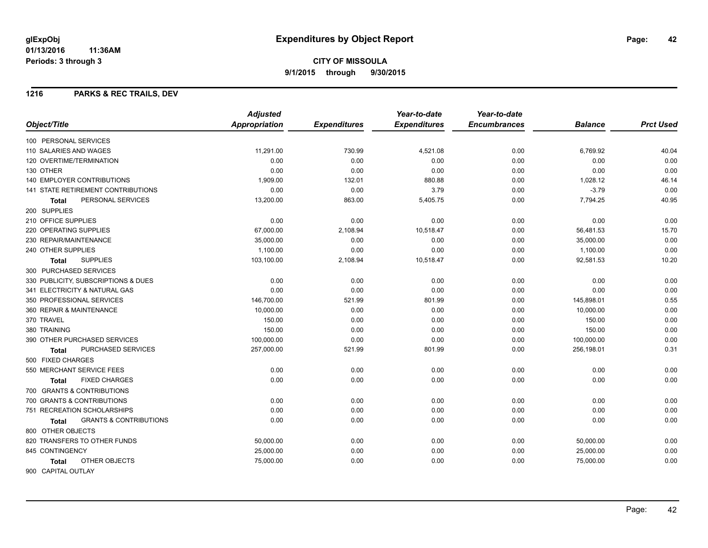#### **1216 PARKS & REC TRAILS, DEV**

|                                                   | <b>Adjusted</b>      |                     | Year-to-date        | Year-to-date        |                |                  |
|---------------------------------------------------|----------------------|---------------------|---------------------|---------------------|----------------|------------------|
| Object/Title                                      | <b>Appropriation</b> | <b>Expenditures</b> | <b>Expenditures</b> | <b>Encumbrances</b> | <b>Balance</b> | <b>Prct Used</b> |
| 100 PERSONAL SERVICES                             |                      |                     |                     |                     |                |                  |
| 110 SALARIES AND WAGES                            | 11,291.00            | 730.99              | 4,521.08            | 0.00                | 6,769.92       | 40.04            |
| 120 OVERTIME/TERMINATION                          | 0.00                 | 0.00                | 0.00                | 0.00                | 0.00           | 0.00             |
| 130 OTHER                                         | 0.00                 | 0.00                | 0.00                | 0.00                | 0.00           | 0.00             |
| <b>140 EMPLOYER CONTRIBUTIONS</b>                 | 1,909.00             | 132.01              | 880.88              | 0.00                | 1,028.12       | 46.14            |
| <b>141 STATE RETIREMENT CONTRIBUTIONS</b>         | 0.00                 | 0.00                | 3.79                | 0.00                | $-3.79$        | 0.00             |
| PERSONAL SERVICES<br>Total                        | 13,200.00            | 863.00              | 5,405.75            | 0.00                | 7,794.25       | 40.95            |
| 200 SUPPLIES                                      |                      |                     |                     |                     |                |                  |
| 210 OFFICE SUPPLIES                               | 0.00                 | 0.00                | 0.00                | 0.00                | 0.00           | 0.00             |
| <b>220 OPERATING SUPPLIES</b>                     | 67,000.00            | 2,108.94            | 10,518.47           | 0.00                | 56,481.53      | 15.70            |
| 230 REPAIR/MAINTENANCE                            | 35,000.00            | 0.00                | 0.00                | 0.00                | 35,000.00      | 0.00             |
| 240 OTHER SUPPLIES                                | 1,100.00             | 0.00                | 0.00                | 0.00                | 1,100.00       | 0.00             |
| <b>SUPPLIES</b><br>Total                          | 103,100.00           | 2,108.94            | 10,518.47           | 0.00                | 92,581.53      | 10.20            |
| 300 PURCHASED SERVICES                            |                      |                     |                     |                     |                |                  |
| 330 PUBLICITY, SUBSCRIPTIONS & DUES               | 0.00                 | 0.00                | 0.00                | 0.00                | 0.00           | 0.00             |
| 341 ELECTRICITY & NATURAL GAS                     | 0.00                 | 0.00                | 0.00                | 0.00                | 0.00           | 0.00             |
| 350 PROFESSIONAL SERVICES                         | 146,700.00           | 521.99              | 801.99              | 0.00                | 145,898.01     | 0.55             |
| 360 REPAIR & MAINTENANCE                          | 10,000.00            | 0.00                | 0.00                | 0.00                | 10,000.00      | 0.00             |
| 370 TRAVEL                                        | 150.00               | 0.00                | 0.00                | 0.00                | 150.00         | 0.00             |
| 380 TRAINING                                      | 150.00               | 0.00                | 0.00                | 0.00                | 150.00         | 0.00             |
| 390 OTHER PURCHASED SERVICES                      | 100,000.00           | 0.00                | 0.00                | 0.00                | 100,000.00     | 0.00             |
| PURCHASED SERVICES<br>Total                       | 257,000.00           | 521.99              | 801.99              | 0.00                | 256,198.01     | 0.31             |
| 500 FIXED CHARGES                                 |                      |                     |                     |                     |                |                  |
| 550 MERCHANT SERVICE FEES                         | 0.00                 | 0.00                | 0.00                | 0.00                | 0.00           | 0.00             |
| <b>FIXED CHARGES</b><br>Total                     | 0.00                 | 0.00                | 0.00                | 0.00                | 0.00           | 0.00             |
| 700 GRANTS & CONTRIBUTIONS                        |                      |                     |                     |                     |                |                  |
| 700 GRANTS & CONTRIBUTIONS                        | 0.00                 | 0.00                | 0.00                | 0.00                | 0.00           | 0.00             |
| 751 RECREATION SCHOLARSHIPS                       | 0.00                 | 0.00                | 0.00                | 0.00                | 0.00           | 0.00             |
| <b>GRANTS &amp; CONTRIBUTIONS</b><br><b>Total</b> | 0.00                 | 0.00                | 0.00                | 0.00                | 0.00           | 0.00             |
| 800 OTHER OBJECTS                                 |                      |                     |                     |                     |                |                  |
| 820 TRANSFERS TO OTHER FUNDS                      | 50,000.00            | 0.00                | 0.00                | 0.00                | 50,000.00      | 0.00             |
| 845 CONTINGENCY                                   | 25,000.00            | 0.00                | 0.00                | 0.00                | 25,000.00      | 0.00             |
| OTHER OBJECTS<br>Total                            | 75,000.00            | 0.00                | 0.00                | 0.00                | 75,000.00      | 0.00             |
| 900 CAPITAL OUTLAY                                |                      |                     |                     |                     |                |                  |
|                                                   |                      |                     |                     |                     |                |                  |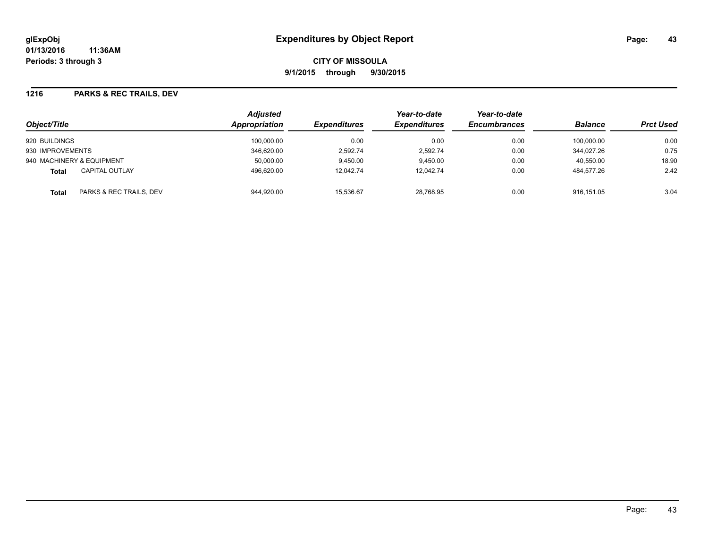**CITY OF MISSOULA 9/1/2015 through 9/30/2015**

#### **1216 PARKS & REC TRAILS, DEV**

| Object/Title                          | <b>Adjusted</b><br><b>Appropriation</b> | <b>Expenditures</b> | Year-to-date<br><b>Expenditures</b> | Year-to-date<br><b>Encumbrances</b> | <b>Balance</b> | <b>Prct Used</b> |
|---------------------------------------|-----------------------------------------|---------------------|-------------------------------------|-------------------------------------|----------------|------------------|
| 920 BUILDINGS                         | 100,000.00                              | 0.00                | 0.00                                | 0.00                                | 100.000.00     | 0.00             |
| 930 IMPROVEMENTS                      | 346.620.00                              | 2.592.74            | 2.592.74                            | 0.00                                | 344.027.26     | 0.75             |
| 940 MACHINERY & EQUIPMENT             | 50,000.00                               | 9,450.00            | 9.450.00                            | 0.00                                | 40.550.00      | 18.90            |
| <b>CAPITAL OUTLAY</b><br><b>Total</b> | 496,620.00                              | 12.042.74           | 12,042.74                           | 0.00                                | 484.577.26     | 2.42             |
| PARKS & REC TRAILS, DEV<br>Total      | 944,920.00                              | 15,536.67           | 28,768.95                           | 0.00                                | 916.151.05     | 3.04             |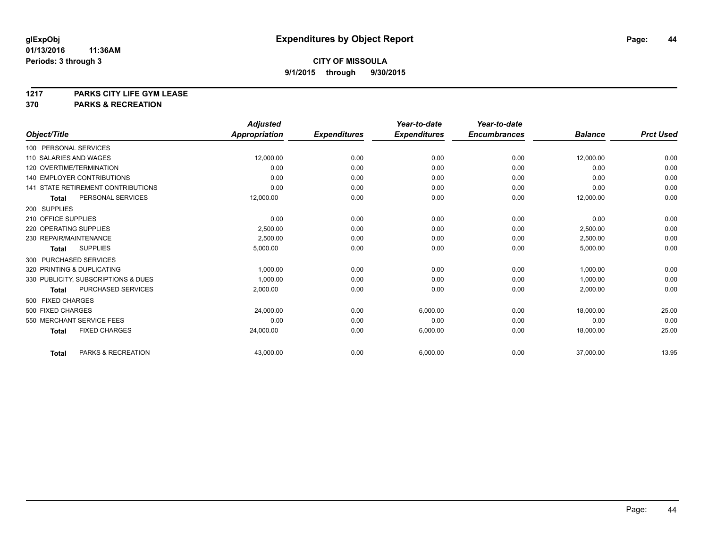# **1217 PARKS CITY LIFE GYM LEASE**

### **370 PARKS & RECREATION**

|                                      | <b>Adjusted</b>      |                     | Year-to-date        | Year-to-date        |                |                  |
|--------------------------------------|----------------------|---------------------|---------------------|---------------------|----------------|------------------|
| Object/Title                         | <b>Appropriation</b> | <b>Expenditures</b> | <b>Expenditures</b> | <b>Encumbrances</b> | <b>Balance</b> | <b>Prct Used</b> |
| 100 PERSONAL SERVICES                |                      |                     |                     |                     |                |                  |
| 110 SALARIES AND WAGES               | 12,000.00            | 0.00                | 0.00                | 0.00                | 12,000.00      | 0.00             |
| 120 OVERTIME/TERMINATION             | 0.00                 | 0.00                | 0.00                | 0.00                | 0.00           | 0.00             |
| <b>140 EMPLOYER CONTRIBUTIONS</b>    | 0.00                 | 0.00                | 0.00                | 0.00                | 0.00           | 0.00             |
| 141 STATE RETIREMENT CONTRIBUTIONS   | 0.00                 | 0.00                | 0.00                | 0.00                | 0.00           | 0.00             |
| PERSONAL SERVICES<br><b>Total</b>    | 12,000.00            | 0.00                | 0.00                | 0.00                | 12,000.00      | 0.00             |
| 200 SUPPLIES                         |                      |                     |                     |                     |                |                  |
| 210 OFFICE SUPPLIES                  | 0.00                 | 0.00                | 0.00                | 0.00                | 0.00           | 0.00             |
| 220 OPERATING SUPPLIES               | 2,500.00             | 0.00                | 0.00                | 0.00                | 2,500.00       | 0.00             |
| 230 REPAIR/MAINTENANCE               | 2,500.00             | 0.00                | 0.00                | 0.00                | 2,500.00       | 0.00             |
| <b>SUPPLIES</b><br><b>Total</b>      | 5,000.00             | 0.00                | 0.00                | 0.00                | 5,000.00       | 0.00             |
| 300 PURCHASED SERVICES               |                      |                     |                     |                     |                |                  |
| 320 PRINTING & DUPLICATING           | 1,000.00             | 0.00                | 0.00                | 0.00                | 1,000.00       | 0.00             |
| 330 PUBLICITY, SUBSCRIPTIONS & DUES  | 1,000.00             | 0.00                | 0.00                | 0.00                | 1,000.00       | 0.00             |
| PURCHASED SERVICES<br>Total          | 2,000.00             | 0.00                | 0.00                | 0.00                | 2,000.00       | 0.00             |
| 500 FIXED CHARGES                    |                      |                     |                     |                     |                |                  |
| 500 FIXED CHARGES                    | 24,000.00            | 0.00                | 6,000.00            | 0.00                | 18,000.00      | 25.00            |
| 550 MERCHANT SERVICE FEES            | 0.00                 | 0.00                | 0.00                | 0.00                | 0.00           | 0.00             |
| <b>FIXED CHARGES</b><br><b>Total</b> | 24,000.00            | 0.00                | 6,000.00            | 0.00                | 18,000.00      | 25.00            |
| PARKS & RECREATION<br><b>Total</b>   | 43,000.00            | 0.00                | 6,000.00            | 0.00                | 37,000.00      | 13.95            |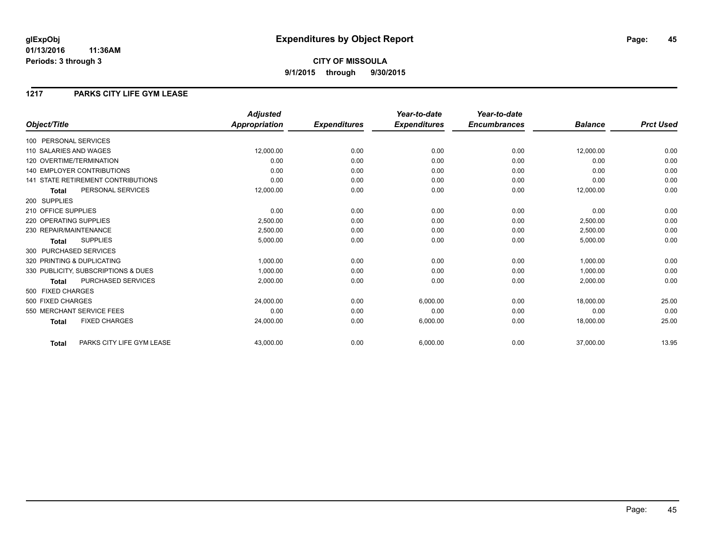### **1217 PARKS CITY LIFE GYM LEASE**

|                                           | <b>Adjusted</b>      |                     | Year-to-date        | Year-to-date        |                |                  |
|-------------------------------------------|----------------------|---------------------|---------------------|---------------------|----------------|------------------|
| Object/Title                              | <b>Appropriation</b> | <b>Expenditures</b> | <b>Expenditures</b> | <b>Encumbrances</b> | <b>Balance</b> | <b>Prct Used</b> |
| 100 PERSONAL SERVICES                     |                      |                     |                     |                     |                |                  |
| 110 SALARIES AND WAGES                    | 12,000.00            | 0.00                | 0.00                | 0.00                | 12,000.00      | 0.00             |
| 120 OVERTIME/TERMINATION                  | 0.00                 | 0.00                | 0.00                | 0.00                | 0.00           | 0.00             |
| 140 EMPLOYER CONTRIBUTIONS                | 0.00                 | 0.00                | 0.00                | 0.00                | 0.00           | 0.00             |
| <b>141 STATE RETIREMENT CONTRIBUTIONS</b> | 0.00                 | 0.00                | 0.00                | 0.00                | 0.00           | 0.00             |
| PERSONAL SERVICES<br>Total                | 12,000.00            | 0.00                | 0.00                | 0.00                | 12,000.00      | 0.00             |
| 200 SUPPLIES                              |                      |                     |                     |                     |                |                  |
| 210 OFFICE SUPPLIES                       | 0.00                 | 0.00                | 0.00                | 0.00                | 0.00           | 0.00             |
| 220 OPERATING SUPPLIES                    | 2,500.00             | 0.00                | 0.00                | 0.00                | 2,500.00       | 0.00             |
| 230 REPAIR/MAINTENANCE                    | 2,500.00             | 0.00                | 0.00                | 0.00                | 2,500.00       | 0.00             |
| <b>SUPPLIES</b><br><b>Total</b>           | 5,000.00             | 0.00                | 0.00                | 0.00                | 5,000.00       | 0.00             |
| 300 PURCHASED SERVICES                    |                      |                     |                     |                     |                |                  |
| 320 PRINTING & DUPLICATING                | 1,000.00             | 0.00                | 0.00                | 0.00                | 1,000.00       | 0.00             |
| 330 PUBLICITY, SUBSCRIPTIONS & DUES       | 1,000.00             | 0.00                | 0.00                | 0.00                | 1,000.00       | 0.00             |
| PURCHASED SERVICES<br><b>Total</b>        | 2.000.00             | 0.00                | 0.00                | 0.00                | 2,000.00       | 0.00             |
| 500 FIXED CHARGES                         |                      |                     |                     |                     |                |                  |
| 500 FIXED CHARGES                         | 24,000.00            | 0.00                | 6,000.00            | 0.00                | 18,000.00      | 25.00            |
| 550 MERCHANT SERVICE FEES                 | 0.00                 | 0.00                | 0.00                | 0.00                | 0.00           | 0.00             |
| <b>FIXED CHARGES</b><br><b>Total</b>      | 24,000.00            | 0.00                | 6,000.00            | 0.00                | 18,000.00      | 25.00            |
| PARKS CITY LIFE GYM LEASE<br><b>Total</b> | 43,000.00            | 0.00                | 6,000.00            | 0.00                | 37,000.00      | 13.95            |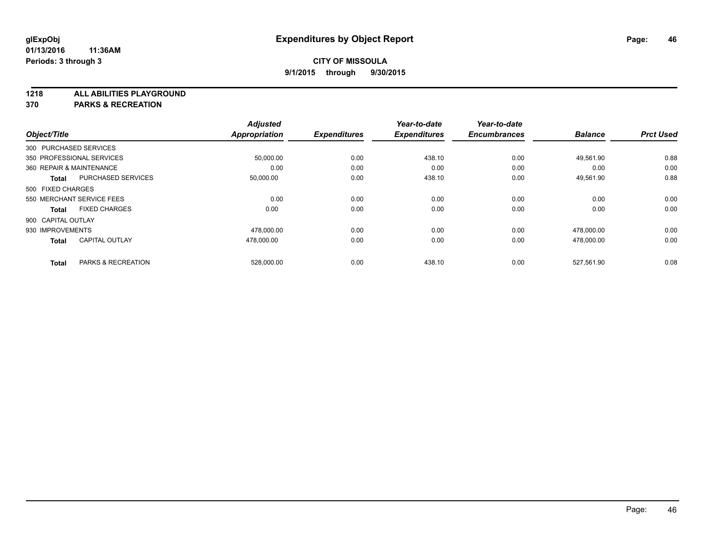**1218 ALL ABILITIES PLAYGROUND**

**370 PARKS & RECREATION**

| Object/Title       |                               | <b>Adjusted</b><br><b>Appropriation</b> | <b>Expenditures</b> | Year-to-date<br><b>Expenditures</b> | Year-to-date<br><b>Encumbrances</b> | <b>Balance</b> | <b>Prct Used</b> |
|--------------------|-------------------------------|-----------------------------------------|---------------------|-------------------------------------|-------------------------------------|----------------|------------------|
|                    |                               |                                         |                     |                                     |                                     |                |                  |
|                    | 300 PURCHASED SERVICES        |                                         |                     |                                     |                                     |                |                  |
|                    | 350 PROFESSIONAL SERVICES     | 50,000.00                               | 0.00                | 438.10                              | 0.00                                | 49,561.90      | 0.88             |
|                    | 360 REPAIR & MAINTENANCE      | 0.00                                    | 0.00                | 0.00                                | 0.00                                | 0.00           | 0.00             |
| <b>Total</b>       | <b>PURCHASED SERVICES</b>     | 50,000.00                               | 0.00                | 438.10                              | 0.00                                | 49,561.90      | 0.88             |
| 500 FIXED CHARGES  |                               |                                         |                     |                                     |                                     |                |                  |
|                    | 550 MERCHANT SERVICE FEES     | 0.00                                    | 0.00                | 0.00                                | 0.00                                | 0.00           | 0.00             |
| <b>Total</b>       | <b>FIXED CHARGES</b>          | 0.00                                    | 0.00                | 0.00                                | 0.00                                | 0.00           | 0.00             |
| 900 CAPITAL OUTLAY |                               |                                         |                     |                                     |                                     |                |                  |
| 930 IMPROVEMENTS   |                               | 478,000.00                              | 0.00                | 0.00                                | 0.00                                | 478,000.00     | 0.00             |
| <b>Total</b>       | <b>CAPITAL OUTLAY</b>         | 478.000.00                              | 0.00                | 0.00                                | 0.00                                | 478.000.00     | 0.00             |
| <b>Total</b>       | <b>PARKS &amp; RECREATION</b> | 528,000.00                              | 0.00                | 438.10                              | 0.00                                | 527.561.90     | 0.08             |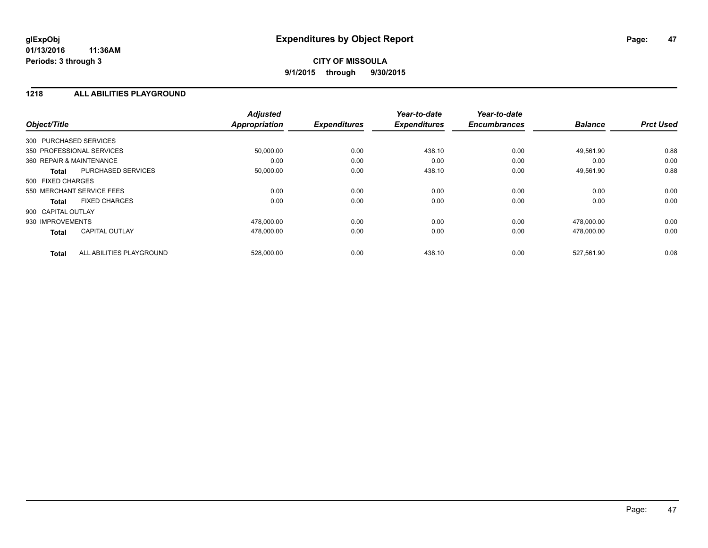#### **1218 ALL ABILITIES PLAYGROUND**

| Object/Title              |                          | <b>Adjusted</b><br><b>Appropriation</b> | <b>Expenditures</b> | Year-to-date<br><b>Expenditures</b> | Year-to-date<br><b>Encumbrances</b> | <b>Balance</b> | <b>Prct Used</b> |
|---------------------------|--------------------------|-----------------------------------------|---------------------|-------------------------------------|-------------------------------------|----------------|------------------|
| 300 PURCHASED SERVICES    |                          |                                         |                     |                                     |                                     |                |                  |
| 350 PROFESSIONAL SERVICES |                          | 50,000.00                               | 0.00                | 438.10                              | 0.00                                | 49,561.90      | 0.88             |
| 360 REPAIR & MAINTENANCE  |                          | 0.00                                    | 0.00                | 0.00                                | 0.00                                | 0.00           | 0.00             |
| <b>Total</b>              | PURCHASED SERVICES       | 50,000.00                               | 0.00                | 438.10                              | 0.00                                | 49,561.90      | 0.88             |
| 500 FIXED CHARGES         |                          |                                         |                     |                                     |                                     |                |                  |
| 550 MERCHANT SERVICE FEES |                          | 0.00                                    | 0.00                | 0.00                                | 0.00                                | 0.00           | 0.00             |
| <b>Total</b>              | <b>FIXED CHARGES</b>     | 0.00                                    | 0.00                | 0.00                                | 0.00                                | 0.00           | 0.00             |
| 900 CAPITAL OUTLAY        |                          |                                         |                     |                                     |                                     |                |                  |
| 930 IMPROVEMENTS          |                          | 478,000.00                              | 0.00                | 0.00                                | 0.00                                | 478.000.00     | 0.00             |
| <b>Total</b>              | <b>CAPITAL OUTLAY</b>    | 478,000.00                              | 0.00                | 0.00                                | 0.00                                | 478.000.00     | 0.00             |
| <b>Total</b>              | ALL ABILITIES PLAYGROUND | 528.000.00                              | 0.00                | 438.10                              | 0.00                                | 527.561.90     | 0.08             |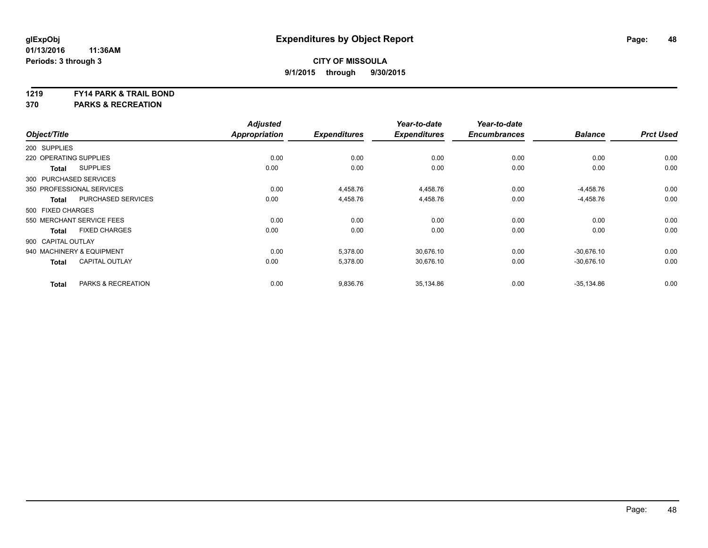#### **1219 FY14 PARK & TRAIL BOND**

**370 PARKS & RECREATION**

|                        |                           | <b>Adjusted</b>      |                     | Year-to-date        | Year-to-date        |                |                  |
|------------------------|---------------------------|----------------------|---------------------|---------------------|---------------------|----------------|------------------|
| Object/Title           |                           | <b>Appropriation</b> | <b>Expenditures</b> | <b>Expenditures</b> | <b>Encumbrances</b> | <b>Balance</b> | <b>Prct Used</b> |
| 200 SUPPLIES           |                           |                      |                     |                     |                     |                |                  |
| 220 OPERATING SUPPLIES |                           | 0.00                 | 0.00                | 0.00                | 0.00                | 0.00           | 0.00             |
| <b>Total</b>           | <b>SUPPLIES</b>           | 0.00                 | 0.00                | 0.00                | 0.00                | 0.00           | 0.00             |
| 300 PURCHASED SERVICES |                           |                      |                     |                     |                     |                |                  |
|                        | 350 PROFESSIONAL SERVICES | 0.00                 | 4,458.76            | 4,458.76            | 0.00                | $-4,458.76$    | 0.00             |
| <b>Total</b>           | <b>PURCHASED SERVICES</b> | 0.00                 | 4,458.76            | 4,458.76            | 0.00                | $-4,458.76$    | 0.00             |
| 500 FIXED CHARGES      |                           |                      |                     |                     |                     |                |                  |
|                        | 550 MERCHANT SERVICE FEES | 0.00                 | 0.00                | 0.00                | 0.00                | 0.00           | 0.00             |
| <b>Total</b>           | <b>FIXED CHARGES</b>      | 0.00                 | 0.00                | 0.00                | 0.00                | 0.00           | 0.00             |
| 900 CAPITAL OUTLAY     |                           |                      |                     |                     |                     |                |                  |
|                        | 940 MACHINERY & EQUIPMENT | 0.00                 | 5,378.00            | 30,676.10           | 0.00                | $-30,676.10$   | 0.00             |
| <b>Total</b>           | <b>CAPITAL OUTLAY</b>     | 0.00                 | 5,378.00            | 30,676.10           | 0.00                | $-30,676.10$   | 0.00             |
| <b>Total</b>           | PARKS & RECREATION        | 0.00                 | 9,836.76            | 35,134.86           | 0.00                | $-35,134.86$   | 0.00             |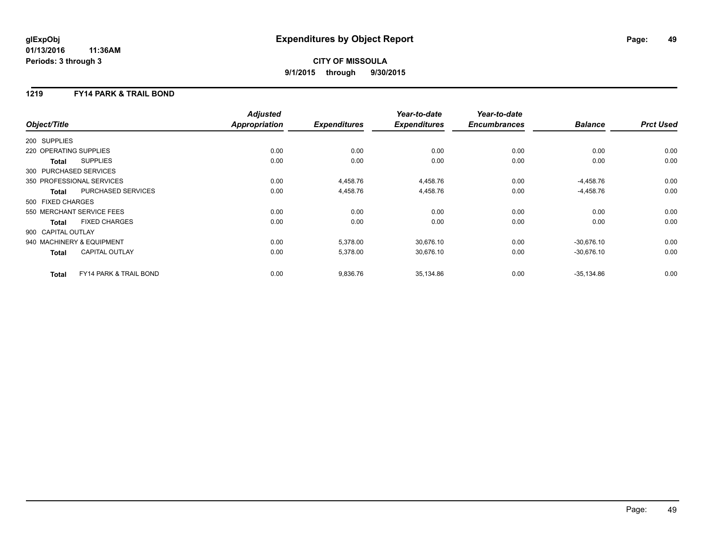## **CITY OF MISSOULA 9/1/2015 through 9/30/2015**

### **1219 FY14 PARK & TRAIL BOND**

|                        |                                   | <b>Adjusted</b> |                     | Year-to-date        | Year-to-date        |                |                  |
|------------------------|-----------------------------------|-----------------|---------------------|---------------------|---------------------|----------------|------------------|
| Object/Title           |                                   | Appropriation   | <b>Expenditures</b> | <b>Expenditures</b> | <b>Encumbrances</b> | <b>Balance</b> | <b>Prct Used</b> |
| 200 SUPPLIES           |                                   |                 |                     |                     |                     |                |                  |
| 220 OPERATING SUPPLIES |                                   | 0.00            | 0.00                | 0.00                | 0.00                | 0.00           | 0.00             |
| Total                  | <b>SUPPLIES</b>                   | 0.00            | 0.00                | 0.00                | 0.00                | 0.00           | 0.00             |
| 300 PURCHASED SERVICES |                                   |                 |                     |                     |                     |                |                  |
|                        | 350 PROFESSIONAL SERVICES         | 0.00            | 4,458.76            | 4,458.76            | 0.00                | $-4,458.76$    | 0.00             |
| Total                  | PURCHASED SERVICES                | 0.00            | 4,458.76            | 4,458.76            | 0.00                | $-4,458.76$    | 0.00             |
| 500 FIXED CHARGES      |                                   |                 |                     |                     |                     |                |                  |
|                        | 550 MERCHANT SERVICE FEES         | 0.00            | 0.00                | 0.00                | 0.00                | 0.00           | 0.00             |
| Total                  | <b>FIXED CHARGES</b>              | 0.00            | 0.00                | 0.00                | 0.00                | 0.00           | 0.00             |
| 900 CAPITAL OUTLAY     |                                   |                 |                     |                     |                     |                |                  |
|                        | 940 MACHINERY & EQUIPMENT         | 0.00            | 5,378.00            | 30,676.10           | 0.00                | $-30,676.10$   | 0.00             |
| <b>Total</b>           | <b>CAPITAL OUTLAY</b>             | 0.00            | 5,378.00            | 30,676.10           | 0.00                | $-30,676.10$   | 0.00             |
| <b>Total</b>           | <b>FY14 PARK &amp; TRAIL BOND</b> | 0.00            | 9,836.76            | 35,134.86           | 0.00                | $-35,134.86$   | 0.00             |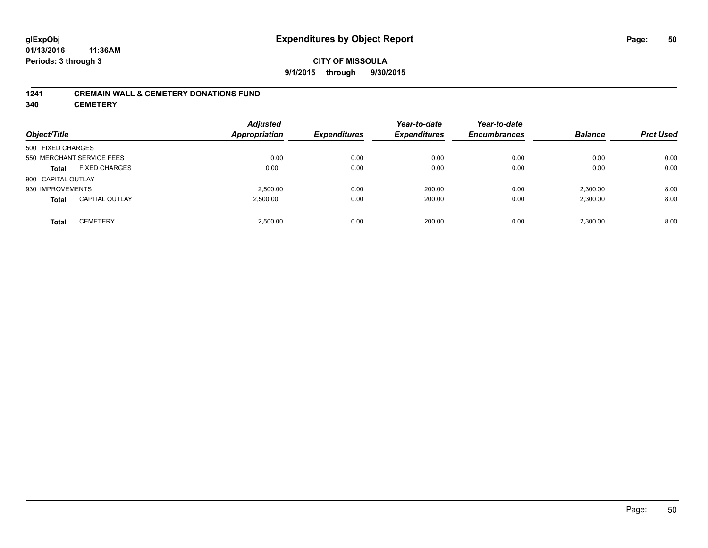### **CITY OF MISSOULA 9/1/2015 through 9/30/2015**

#### **1241 CREMAIN WALL & CEMETERY DONATIONS FUND**

**340 CEMETERY**

| Object/Title                          | <b>Adjusted</b><br>Appropriation | <b>Expenditures</b> | Year-to-date<br><b>Expenditures</b> | Year-to-date<br><b>Encumbrances</b> | <b>Balance</b> | <b>Prct Used</b> |
|---------------------------------------|----------------------------------|---------------------|-------------------------------------|-------------------------------------|----------------|------------------|
| 500 FIXED CHARGES                     |                                  |                     |                                     |                                     |                |                  |
| 550 MERCHANT SERVICE FEES             | 0.00                             | 0.00                | 0.00                                | 0.00                                | 0.00           | 0.00             |
| <b>FIXED CHARGES</b><br><b>Total</b>  | 0.00                             | 0.00                | 0.00                                | 0.00                                | 0.00           | 0.00             |
| 900 CAPITAL OUTLAY                    |                                  |                     |                                     |                                     |                |                  |
| 930 IMPROVEMENTS                      | 2.500.00                         | 0.00                | 200.00                              | 0.00                                | 2,300.00       | 8.00             |
| <b>CAPITAL OUTLAY</b><br><b>Total</b> | 2,500.00                         | 0.00                | 200.00                              | 0.00                                | 2,300.00       | 8.00             |
| <b>CEMETERY</b><br><b>Total</b>       | 2.500.00                         | 0.00                | 200.00                              | 0.00                                | 2.300.00       | 8.00             |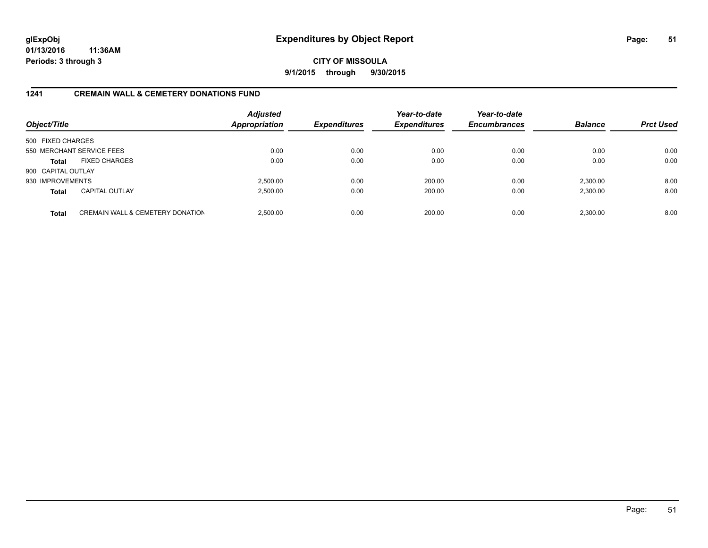**CITY OF MISSOULA 9/1/2015 through 9/30/2015**

### **1241 CREMAIN WALL & CEMETERY DONATIONS FUND**

| Object/Title       |                                             | <b>Adjusted</b><br><b>Appropriation</b> | <b>Expenditures</b> | Year-to-date<br><b>Expenditures</b> | Year-to-date<br><b>Encumbrances</b> | <b>Balance</b> | <b>Prct Used</b> |
|--------------------|---------------------------------------------|-----------------------------------------|---------------------|-------------------------------------|-------------------------------------|----------------|------------------|
| 500 FIXED CHARGES  |                                             |                                         |                     |                                     |                                     |                |                  |
|                    | 550 MERCHANT SERVICE FEES                   | 0.00                                    | 0.00                | 0.00                                | 0.00                                | 0.00           | 0.00             |
| <b>Total</b>       | <b>FIXED CHARGES</b>                        | 0.00                                    | 0.00                | 0.00                                | 0.00                                | 0.00           | 0.00             |
| 900 CAPITAL OUTLAY |                                             |                                         |                     |                                     |                                     |                |                  |
| 930 IMPROVEMENTS   |                                             | 2,500.00                                | 0.00                | 200.00                              | 0.00                                | 2,300.00       | 8.00             |
| <b>Total</b>       | <b>CAPITAL OUTLAY</b>                       | 2,500.00                                | 0.00                | 200.00                              | 0.00                                | 2,300.00       | 8.00             |
| <b>Total</b>       | <b>CREMAIN WALL &amp; CEMETERY DONATION</b> | 2.500.00                                | 0.00                | 200.00                              | 0.00                                | 2.300.00       | 8.00             |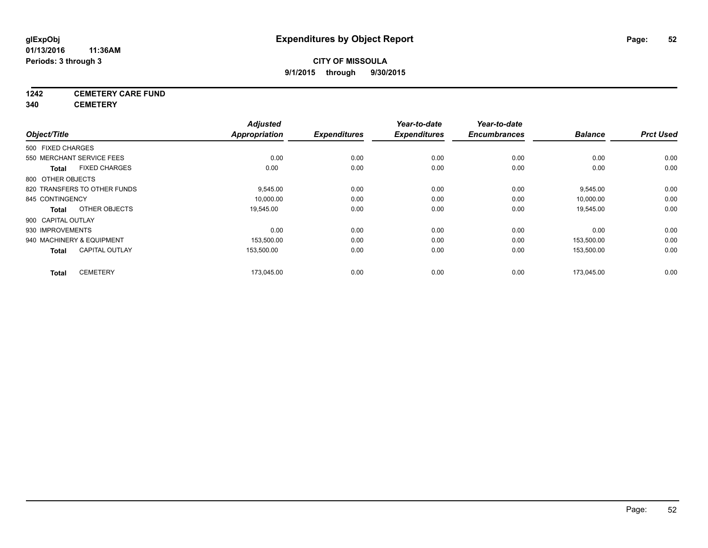## **1242 CEMETERY CARE FUND**

**340 CEMETERY**

|                              |                       | <b>Adjusted</b>      |                     | Year-to-date        | Year-to-date        |                |                  |
|------------------------------|-----------------------|----------------------|---------------------|---------------------|---------------------|----------------|------------------|
| Object/Title                 |                       | <b>Appropriation</b> | <b>Expenditures</b> | <b>Expenditures</b> | <b>Encumbrances</b> | <b>Balance</b> | <b>Prct Used</b> |
| 500 FIXED CHARGES            |                       |                      |                     |                     |                     |                |                  |
| 550 MERCHANT SERVICE FEES    |                       | 0.00                 | 0.00                | 0.00                | 0.00                | 0.00           | 0.00             |
| Total                        | <b>FIXED CHARGES</b>  | 0.00                 | 0.00                | 0.00                | 0.00                | 0.00           | 0.00             |
| 800 OTHER OBJECTS            |                       |                      |                     |                     |                     |                |                  |
| 820 TRANSFERS TO OTHER FUNDS |                       | 9,545.00             | 0.00                | 0.00                | 0.00                | 9,545.00       | 0.00             |
| 845 CONTINGENCY              |                       | 10,000.00            | 0.00                | 0.00                | 0.00                | 10,000.00      | 0.00             |
| Total                        | OTHER OBJECTS         | 19,545.00            | 0.00                | 0.00                | 0.00                | 19,545.00      | 0.00             |
| 900 CAPITAL OUTLAY           |                       |                      |                     |                     |                     |                |                  |
| 930 IMPROVEMENTS             |                       | 0.00                 | 0.00                | 0.00                | 0.00                | 0.00           | 0.00             |
| 940 MACHINERY & EQUIPMENT    |                       | 153,500.00           | 0.00                | 0.00                | 0.00                | 153,500.00     | 0.00             |
| <b>Total</b>                 | <b>CAPITAL OUTLAY</b> | 153,500.00           | 0.00                | 0.00                | 0.00                | 153,500.00     | 0.00             |
| <b>Total</b>                 | <b>CEMETERY</b>       | 173,045.00           | 0.00                | 0.00                | 0.00                | 173,045.00     | 0.00             |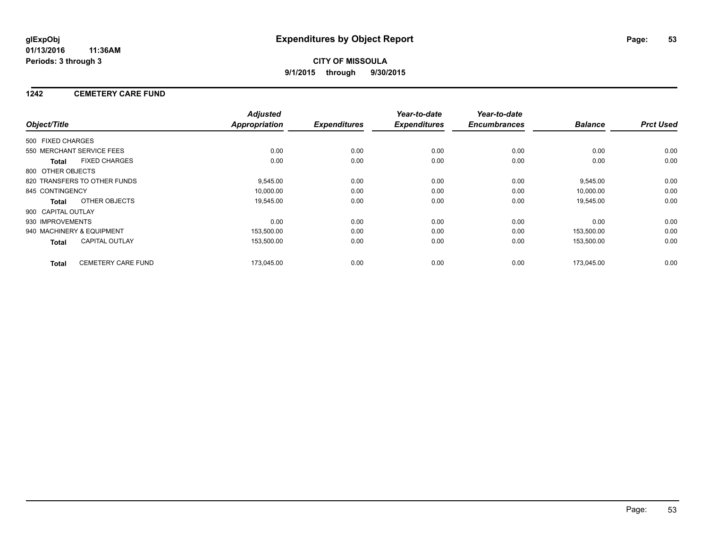### **1242 CEMETERY CARE FUND**

|                    |                              | <b>Adjusted</b>      |                     | Year-to-date        | Year-to-date<br><b>Encumbrances</b> | <b>Balance</b> | <b>Prct Used</b> |
|--------------------|------------------------------|----------------------|---------------------|---------------------|-------------------------------------|----------------|------------------|
| Object/Title       |                              | <b>Appropriation</b> | <b>Expenditures</b> | <b>Expenditures</b> |                                     |                |                  |
| 500 FIXED CHARGES  |                              |                      |                     |                     |                                     |                |                  |
|                    | 550 MERCHANT SERVICE FEES    | 0.00                 | 0.00                | 0.00                | 0.00                                | 0.00           | 0.00             |
| <b>Total</b>       | <b>FIXED CHARGES</b>         | 0.00                 | 0.00                | 0.00                | 0.00                                | 0.00           | 0.00             |
| 800 OTHER OBJECTS  |                              |                      |                     |                     |                                     |                |                  |
|                    | 820 TRANSFERS TO OTHER FUNDS | 9,545.00             | 0.00                | 0.00                | 0.00                                | 9,545.00       | 0.00             |
| 845 CONTINGENCY    |                              | 10,000.00            | 0.00                | 0.00                | 0.00                                | 10,000.00      | 0.00             |
| Total              | OTHER OBJECTS                | 19,545.00            | 0.00                | 0.00                | 0.00                                | 19,545.00      | 0.00             |
| 900 CAPITAL OUTLAY |                              |                      |                     |                     |                                     |                |                  |
| 930 IMPROVEMENTS   |                              | 0.00                 | 0.00                | 0.00                | 0.00                                | 0.00           | 0.00             |
|                    | 940 MACHINERY & EQUIPMENT    | 153,500.00           | 0.00                | 0.00                | 0.00                                | 153,500.00     | 0.00             |
| <b>Total</b>       | <b>CAPITAL OUTLAY</b>        | 153,500.00           | 0.00                | 0.00                | 0.00                                | 153,500.00     | 0.00             |
| <b>Total</b>       | <b>CEMETERY CARE FUND</b>    | 173.045.00           | 0.00                | 0.00                | 0.00                                | 173.045.00     | 0.00             |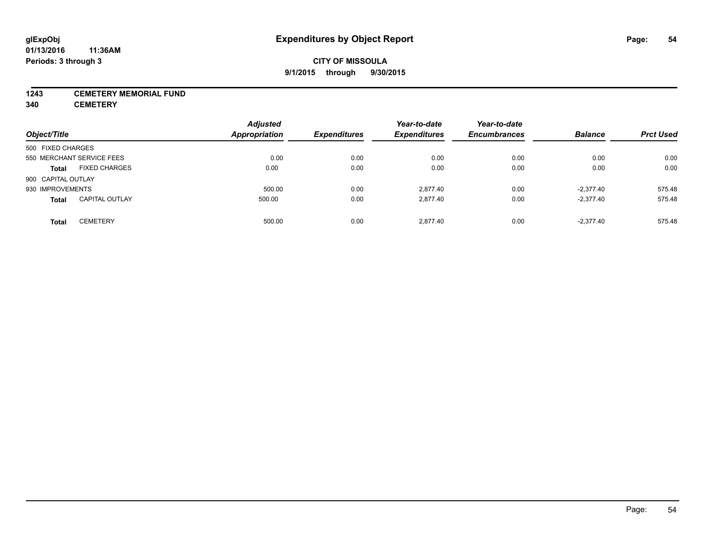#### **1243 CEMETERY MEMORIAL FUND**

**340 CEMETERY**

|                    |                           | <b>Adjusted</b>      |                     | Year-to-date        | Year-to-date        |                |                  |
|--------------------|---------------------------|----------------------|---------------------|---------------------|---------------------|----------------|------------------|
| Object/Title       |                           | <b>Appropriation</b> | <b>Expenditures</b> | <b>Expenditures</b> | <b>Encumbrances</b> | <b>Balance</b> | <b>Prct Used</b> |
| 500 FIXED CHARGES  |                           |                      |                     |                     |                     |                |                  |
|                    | 550 MERCHANT SERVICE FEES | 0.00                 | 0.00                | 0.00                | 0.00                | 0.00           | 0.00             |
| <b>Total</b>       | <b>FIXED CHARGES</b>      | 0.00                 | 0.00                | 0.00                | 0.00                | 0.00           | 0.00             |
| 900 CAPITAL OUTLAY |                           |                      |                     |                     |                     |                |                  |
| 930 IMPROVEMENTS   |                           | 500.00               | 0.00                | 2.877.40            | 0.00                | $-2,377.40$    | 575.48           |
| <b>Total</b>       | <b>CAPITAL OUTLAY</b>     | 500.00               | 0.00                | 2.877.40            | 0.00                | $-2,377.40$    | 575.48           |
| <b>Total</b>       | <b>CEMETERY</b>           | 500.00               | 0.00                | 2.877.40            | 0.00                | $-2,377.40$    | 575.48           |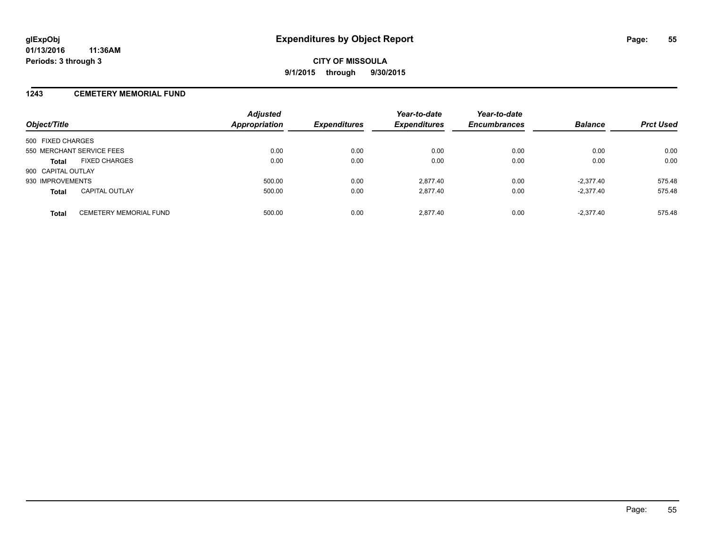#### **1243 CEMETERY MEMORIAL FUND**

| Object/Title                                  | <b>Adjusted</b><br>Appropriation | <b>Expenditures</b> | Year-to-date<br><b>Expenditures</b> | Year-to-date<br><b>Encumbrances</b> | <b>Balance</b> | <b>Prct Used</b> |
|-----------------------------------------------|----------------------------------|---------------------|-------------------------------------|-------------------------------------|----------------|------------------|
| 500 FIXED CHARGES                             |                                  |                     |                                     |                                     |                |                  |
| 550 MERCHANT SERVICE FEES                     | 0.00                             | 0.00                | 0.00                                | 0.00                                | 0.00           | 0.00             |
| <b>FIXED CHARGES</b><br><b>Total</b>          | 0.00                             | 0.00                | 0.00                                | 0.00                                | 0.00           | 0.00             |
| 900 CAPITAL OUTLAY                            |                                  |                     |                                     |                                     |                |                  |
| 930 IMPROVEMENTS                              | 500.00                           | 0.00                | 2.877.40                            | 0.00                                | $-2.377.40$    | 575.48           |
| <b>CAPITAL OUTLAY</b><br><b>Total</b>         | 500.00                           | 0.00                | 2,877.40                            | 0.00                                | $-2,377.40$    | 575.48           |
| <b>CEMETERY MEMORIAL FUND</b><br><b>Total</b> | 500.00                           | 0.00                | 2.877.40                            | 0.00                                | $-2.377.40$    | 575.48           |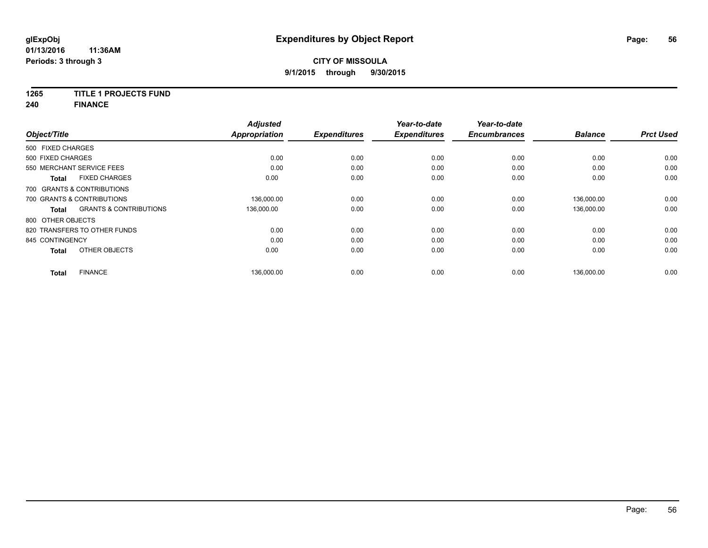# **1265 TITLE 1 PROJECTS FUND**

**240 FINANCE**

| Object/Title      |                                   | <b>Adjusted</b><br><b>Appropriation</b> | <b>Expenditures</b> | Year-to-date<br><b>Expenditures</b> | Year-to-date<br><b>Encumbrances</b> | <b>Balance</b> | <b>Prct Used</b> |
|-------------------|-----------------------------------|-----------------------------------------|---------------------|-------------------------------------|-------------------------------------|----------------|------------------|
| 500 FIXED CHARGES |                                   |                                         |                     |                                     |                                     |                |                  |
|                   |                                   |                                         |                     |                                     |                                     |                |                  |
| 500 FIXED CHARGES |                                   | 0.00                                    | 0.00                | 0.00                                | 0.00                                | 0.00           | 0.00             |
|                   | 550 MERCHANT SERVICE FEES         | 0.00                                    | 0.00                | 0.00                                | 0.00                                | 0.00           | 0.00             |
| <b>Total</b>      | <b>FIXED CHARGES</b>              | 0.00                                    | 0.00                | 0.00                                | 0.00                                | 0.00           | 0.00             |
|                   | 700 GRANTS & CONTRIBUTIONS        |                                         |                     |                                     |                                     |                |                  |
|                   | 700 GRANTS & CONTRIBUTIONS        | 136,000.00                              | 0.00                | 0.00                                | 0.00                                | 136,000.00     | 0.00             |
| <b>Total</b>      | <b>GRANTS &amp; CONTRIBUTIONS</b> | 136,000.00                              | 0.00                | 0.00                                | 0.00                                | 136.000.00     | 0.00             |
| 800 OTHER OBJECTS |                                   |                                         |                     |                                     |                                     |                |                  |
|                   | 820 TRANSFERS TO OTHER FUNDS      | 0.00                                    | 0.00                | 0.00                                | 0.00                                | 0.00           | 0.00             |
| 845 CONTINGENCY   |                                   | 0.00                                    | 0.00                | 0.00                                | 0.00                                | 0.00           | 0.00             |
| <b>Total</b>      | OTHER OBJECTS                     | 0.00                                    | 0.00                | 0.00                                | 0.00                                | 0.00           | 0.00             |
| <b>Total</b>      | <b>FINANCE</b>                    | 136,000.00                              | 0.00                | 0.00                                | 0.00                                | 136,000.00     | 0.00             |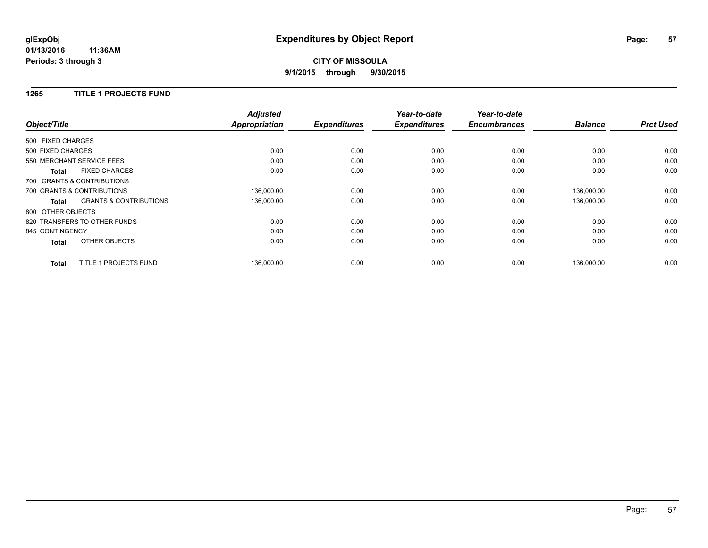**CITY OF MISSOULA 9/1/2015 through 9/30/2015**

#### **1265 TITLE 1 PROJECTS FUND**

|                   |                                   | <b>Adjusted</b>      |                     | Year-to-date        | Year-to-date        |                |                  |
|-------------------|-----------------------------------|----------------------|---------------------|---------------------|---------------------|----------------|------------------|
| Object/Title      |                                   | <b>Appropriation</b> | <b>Expenditures</b> | <b>Expenditures</b> | <b>Encumbrances</b> | <b>Balance</b> | <b>Prct Used</b> |
| 500 FIXED CHARGES |                                   |                      |                     |                     |                     |                |                  |
| 500 FIXED CHARGES |                                   | 0.00                 | 0.00                | 0.00                | 0.00                | 0.00           | 0.00             |
|                   | 550 MERCHANT SERVICE FEES         | 0.00                 | 0.00                | 0.00                | 0.00                | 0.00           | 0.00             |
| <b>Total</b>      | <b>FIXED CHARGES</b>              | 0.00                 | 0.00                | 0.00                | 0.00                | 0.00           | 0.00             |
|                   | 700 GRANTS & CONTRIBUTIONS        |                      |                     |                     |                     |                |                  |
|                   | 700 GRANTS & CONTRIBUTIONS        | 136,000.00           | 0.00                | 0.00                | 0.00                | 136,000.00     | 0.00             |
| Total             | <b>GRANTS &amp; CONTRIBUTIONS</b> | 136,000.00           | 0.00                | 0.00                | 0.00                | 136,000.00     | 0.00             |
| 800 OTHER OBJECTS |                                   |                      |                     |                     |                     |                |                  |
|                   | 820 TRANSFERS TO OTHER FUNDS      | 0.00                 | 0.00                | 0.00                | 0.00                | 0.00           | 0.00             |
| 845 CONTINGENCY   |                                   | 0.00                 | 0.00                | 0.00                | 0.00                | 0.00           | 0.00             |
| <b>Total</b>      | OTHER OBJECTS                     | 0.00                 | 0.00                | 0.00                | 0.00                | 0.00           | 0.00             |
| <b>Total</b>      | TITLE 1 PROJECTS FUND             | 136,000.00           | 0.00                | 0.00                | 0.00                | 136.000.00     | 0.00             |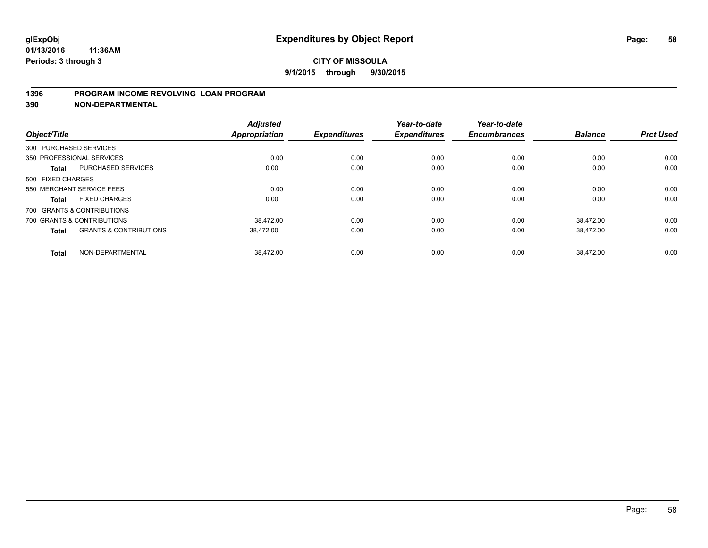### **1396 PROGRAM INCOME REVOLVING LOAN PROGRAM**

**390 NON-DEPARTMENTAL**

| Object/Title      |                                   | <b>Adjusted</b><br><b>Appropriation</b> | <b>Expenditures</b> | Year-to-date<br><b>Expenditures</b> | Year-to-date<br><b>Encumbrances</b> | <b>Balance</b> | <b>Prct Used</b> |
|-------------------|-----------------------------------|-----------------------------------------|---------------------|-------------------------------------|-------------------------------------|----------------|------------------|
|                   | 300 PURCHASED SERVICES            |                                         |                     |                                     |                                     |                |                  |
|                   | 350 PROFESSIONAL SERVICES         | 0.00                                    | 0.00                | 0.00                                | 0.00                                | 0.00           | 0.00             |
| <b>Total</b>      | <b>PURCHASED SERVICES</b>         | 0.00                                    | 0.00                | 0.00                                | 0.00                                | 0.00           | 0.00             |
| 500 FIXED CHARGES |                                   |                                         |                     |                                     |                                     |                |                  |
|                   | 550 MERCHANT SERVICE FEES         | 0.00                                    | 0.00                | 0.00                                | 0.00                                | 0.00           | 0.00             |
| Total             | <b>FIXED CHARGES</b>              | 0.00                                    | 0.00                | 0.00                                | 0.00                                | 0.00           | 0.00             |
|                   | 700 GRANTS & CONTRIBUTIONS        |                                         |                     |                                     |                                     |                |                  |
|                   | 700 GRANTS & CONTRIBUTIONS        | 38.472.00                               | 0.00                | 0.00                                | 0.00                                | 38.472.00      | 0.00             |
| <b>Total</b>      | <b>GRANTS &amp; CONTRIBUTIONS</b> | 38.472.00                               | 0.00                | 0.00                                | 0.00                                | 38.472.00      | 0.00             |
| <b>Total</b>      | NON-DEPARTMENTAL                  | 38.472.00                               | 0.00                | 0.00                                | 0.00                                | 38.472.00      | 0.00             |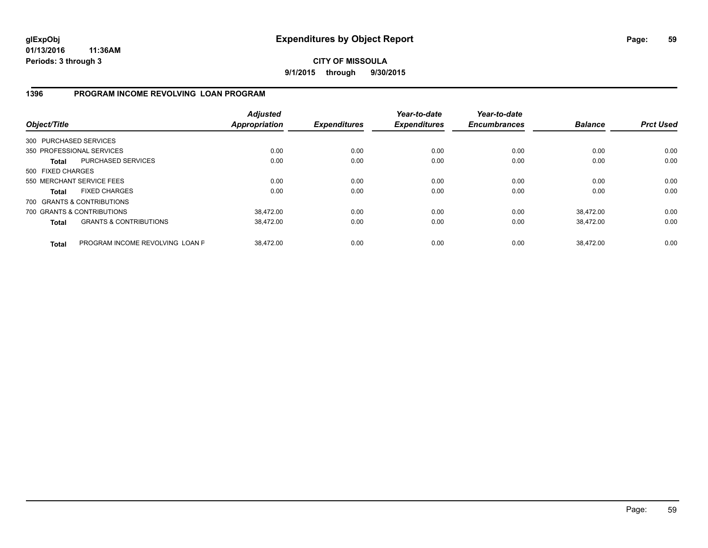**CITY OF MISSOULA 9/1/2015 through 9/30/2015**

### **1396 PROGRAM INCOME REVOLVING LOAN PROGRAM**

| Object/Title           |                                   | <b>Adjusted</b><br><b>Appropriation</b> | <b>Expenditures</b> | Year-to-date<br><b>Expenditures</b> | Year-to-date<br><b>Encumbrances</b> | <b>Balance</b> | <b>Prct Used</b> |
|------------------------|-----------------------------------|-----------------------------------------|---------------------|-------------------------------------|-------------------------------------|----------------|------------------|
| 300 PURCHASED SERVICES |                                   |                                         |                     |                                     |                                     |                |                  |
|                        | 350 PROFESSIONAL SERVICES         | 0.00                                    | 0.00                | 0.00                                | 0.00                                | 0.00           | 0.00             |
| Total                  | PURCHASED SERVICES                | 0.00                                    | 0.00                | 0.00                                | 0.00                                | 0.00           | 0.00             |
| 500 FIXED CHARGES      |                                   |                                         |                     |                                     |                                     |                |                  |
|                        | 550 MERCHANT SERVICE FEES         | 0.00                                    | 0.00                | 0.00                                | 0.00                                | 0.00           | 0.00             |
| Total                  | <b>FIXED CHARGES</b>              | 0.00                                    | 0.00                | 0.00                                | 0.00                                | 0.00           | 0.00             |
|                        | 700 GRANTS & CONTRIBUTIONS        |                                         |                     |                                     |                                     |                |                  |
|                        | 700 GRANTS & CONTRIBUTIONS        | 38.472.00                               | 0.00                | 0.00                                | 0.00                                | 38.472.00      | 0.00             |
| <b>Total</b>           | <b>GRANTS &amp; CONTRIBUTIONS</b> | 38,472.00                               | 0.00                | 0.00                                | 0.00                                | 38.472.00      | 0.00             |
| <b>Total</b>           | PROGRAM INCOME REVOLVING LOAN P   | 38.472.00                               | 0.00                | 0.00                                | 0.00                                | 38.472.00      | 0.00             |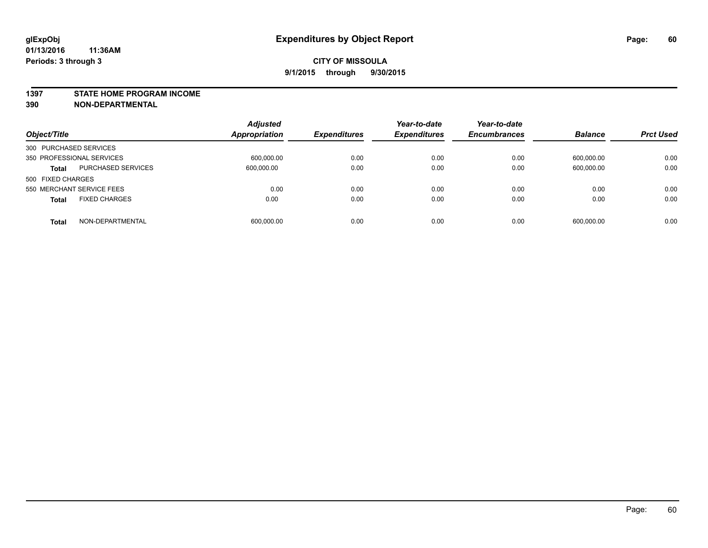#### **1397 STATE HOME PROGRAM INCOME**

**390 NON-DEPARTMENTAL**

| Object/Title                              | <b>Adjusted</b><br><b>Appropriation</b> | <b>Expenditures</b> | Year-to-date<br><b>Expenditures</b> | Year-to-date<br><b>Encumbrances</b> | <b>Balance</b> | <b>Prct Used</b> |
|-------------------------------------------|-----------------------------------------|---------------------|-------------------------------------|-------------------------------------|----------------|------------------|
| 300 PURCHASED SERVICES                    |                                         |                     |                                     |                                     |                |                  |
| 350 PROFESSIONAL SERVICES                 | 600,000.00                              | 0.00                | 0.00                                | 0.00                                | 600,000.00     | 0.00             |
| <b>PURCHASED SERVICES</b><br><b>Total</b> | 600,000.00                              | 0.00                | 0.00                                | 0.00                                | 600,000.00     | 0.00             |
| 500 FIXED CHARGES                         |                                         |                     |                                     |                                     |                |                  |
| 550 MERCHANT SERVICE FEES                 | 0.00                                    | 0.00                | 0.00                                | 0.00                                | 0.00           | 0.00             |
| <b>FIXED CHARGES</b><br><b>Total</b>      | 0.00                                    | 0.00                | 0.00                                | 0.00                                | 0.00           | 0.00             |
| NON-DEPARTMENTAL<br><b>Total</b>          | 600,000.00                              | 0.00                | 0.00                                | 0.00                                | 600,000.00     | 0.00             |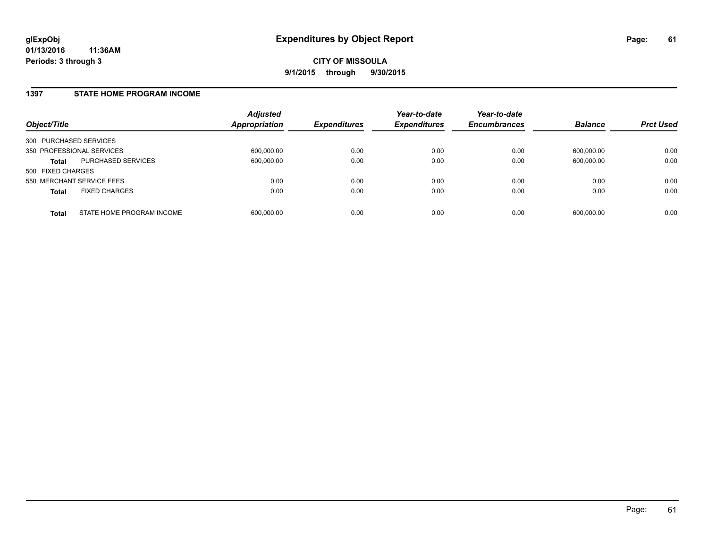#### **1397 STATE HOME PROGRAM INCOME**

| Object/Title              |                           | <b>Adjusted</b><br><b>Appropriation</b> | <b>Expenditures</b> | Year-to-date<br><b>Expenditures</b> | Year-to-date<br><b>Encumbrances</b> | <b>Balance</b> | <b>Prct Used</b> |
|---------------------------|---------------------------|-----------------------------------------|---------------------|-------------------------------------|-------------------------------------|----------------|------------------|
| 300 PURCHASED SERVICES    |                           |                                         |                     |                                     |                                     |                |                  |
| 350 PROFESSIONAL SERVICES |                           | 600,000.00                              | 0.00                | 0.00                                | 0.00                                | 600.000.00     | 0.00             |
| Total                     | PURCHASED SERVICES        | 600,000.00                              | 0.00                | 0.00                                | 0.00                                | 600,000.00     | 0.00             |
| 500 FIXED CHARGES         |                           |                                         |                     |                                     |                                     |                |                  |
| 550 MERCHANT SERVICE FEES |                           | 0.00                                    | 0.00                | 0.00                                | 0.00                                | 0.00           | 0.00             |
| <b>Total</b>              | <b>FIXED CHARGES</b>      | 0.00                                    | 0.00                | 0.00                                | 0.00                                | 0.00           | 0.00             |
| <b>Total</b>              | STATE HOME PROGRAM INCOME | 600,000.00                              | 0.00                | 0.00                                | 0.00                                | 600,000.00     | 0.00             |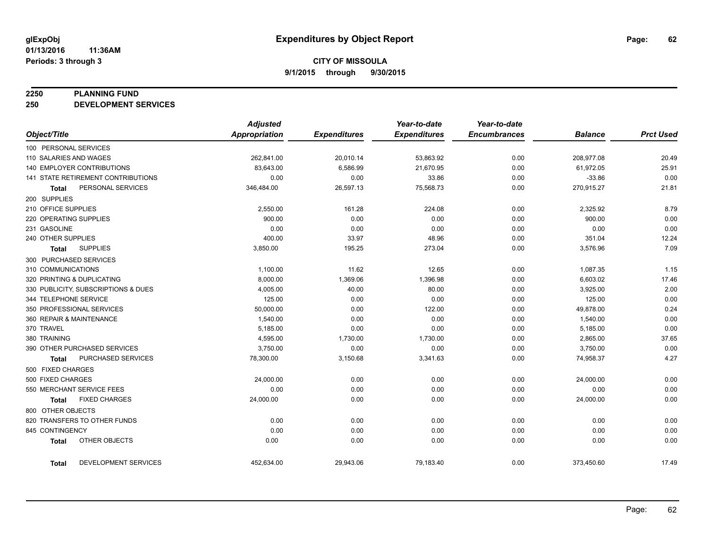#### **2250 PLANNING FUND**

**250 DEVELOPMENT SERVICES**

|                                   |                                     | <b>Adjusted</b>      |                     | Year-to-date        | Year-to-date        |                |                  |
|-----------------------------------|-------------------------------------|----------------------|---------------------|---------------------|---------------------|----------------|------------------|
| Object/Title                      |                                     | <b>Appropriation</b> | <b>Expenditures</b> | <b>Expenditures</b> | <b>Encumbrances</b> | <b>Balance</b> | <b>Prct Used</b> |
| 100 PERSONAL SERVICES             |                                     |                      |                     |                     |                     |                |                  |
| 110 SALARIES AND WAGES            |                                     | 262,841.00           | 20,010.14           | 53,863.92           | 0.00                | 208,977.08     | 20.49            |
| <b>140 EMPLOYER CONTRIBUTIONS</b> |                                     | 83,643.00            | 6,586.99            | 21,670.95           | 0.00                | 61,972.05      | 25.91            |
|                                   | 141 STATE RETIREMENT CONTRIBUTIONS  | 0.00                 | 0.00                | 33.86               | 0.00                | $-33.86$       | 0.00             |
| Total                             | PERSONAL SERVICES                   | 346,484.00           | 26,597.13           | 75,568.73           | 0.00                | 270,915.27     | 21.81            |
| 200 SUPPLIES                      |                                     |                      |                     |                     |                     |                |                  |
| 210 OFFICE SUPPLIES               |                                     | 2,550.00             | 161.28              | 224.08              | 0.00                | 2,325.92       | 8.79             |
| 220 OPERATING SUPPLIES            |                                     | 900.00               | 0.00                | 0.00                | 0.00                | 900.00         | 0.00             |
| 231 GASOLINE                      |                                     | 0.00                 | 0.00                | 0.00                | 0.00                | 0.00           | 0.00             |
| 240 OTHER SUPPLIES                |                                     | 400.00               | 33.97               | 48.96               | 0.00                | 351.04         | 12.24            |
| Total                             | <b>SUPPLIES</b>                     | 3,850.00             | 195.25              | 273.04              | 0.00                | 3,576.96       | 7.09             |
| 300 PURCHASED SERVICES            |                                     |                      |                     |                     |                     |                |                  |
| 310 COMMUNICATIONS                |                                     | 1,100.00             | 11.62               | 12.65               | 0.00                | 1,087.35       | 1.15             |
| 320 PRINTING & DUPLICATING        |                                     | 8,000.00             | 1,369.06            | 1,396.98            | 0.00                | 6,603.02       | 17.46            |
|                                   | 330 PUBLICITY, SUBSCRIPTIONS & DUES | 4,005.00             | 40.00               | 80.00               | 0.00                | 3,925.00       | 2.00             |
| 344 TELEPHONE SERVICE             |                                     | 125.00               | 0.00                | 0.00                | 0.00                | 125.00         | 0.00             |
| 350 PROFESSIONAL SERVICES         |                                     | 50,000.00            | 0.00                | 122.00              | 0.00                | 49,878.00      | 0.24             |
| 360 REPAIR & MAINTENANCE          |                                     | 1,540.00             | 0.00                | 0.00                | 0.00                | 1,540.00       | 0.00             |
| 370 TRAVEL                        |                                     | 5,185.00             | 0.00                | 0.00                | 0.00                | 5,185.00       | 0.00             |
| 380 TRAINING                      |                                     | 4,595.00             | 1,730.00            | 1,730.00            | 0.00                | 2,865.00       | 37.65            |
|                                   | 390 OTHER PURCHASED SERVICES        | 3,750.00             | 0.00                | 0.00                | 0.00                | 3,750.00       | 0.00             |
| Total                             | PURCHASED SERVICES                  | 78,300.00            | 3,150.68            | 3,341.63            | 0.00                | 74,958.37      | 4.27             |
| 500 FIXED CHARGES                 |                                     |                      |                     |                     |                     |                |                  |
| 500 FIXED CHARGES                 |                                     | 24,000.00            | 0.00                | 0.00                | 0.00                | 24,000.00      | 0.00             |
| 550 MERCHANT SERVICE FEES         |                                     | 0.00                 | 0.00                | 0.00                | 0.00                | 0.00           | 0.00             |
| Total                             | <b>FIXED CHARGES</b>                | 24,000.00            | 0.00                | 0.00                | 0.00                | 24,000.00      | 0.00             |
| 800 OTHER OBJECTS                 |                                     |                      |                     |                     |                     |                |                  |
|                                   | 820 TRANSFERS TO OTHER FUNDS        | 0.00                 | 0.00                | 0.00                | 0.00                | 0.00           | 0.00             |
| 845 CONTINGENCY                   |                                     | 0.00                 | 0.00                | 0.00                | 0.00                | 0.00           | 0.00             |
| <b>Total</b>                      | OTHER OBJECTS                       | 0.00                 | 0.00                | 0.00                | 0.00                | 0.00           | 0.00             |
| <b>Total</b>                      | DEVELOPMENT SERVICES                | 452,634.00           | 29,943.06           | 79,183.40           | 0.00                | 373,450.60     | 17.49            |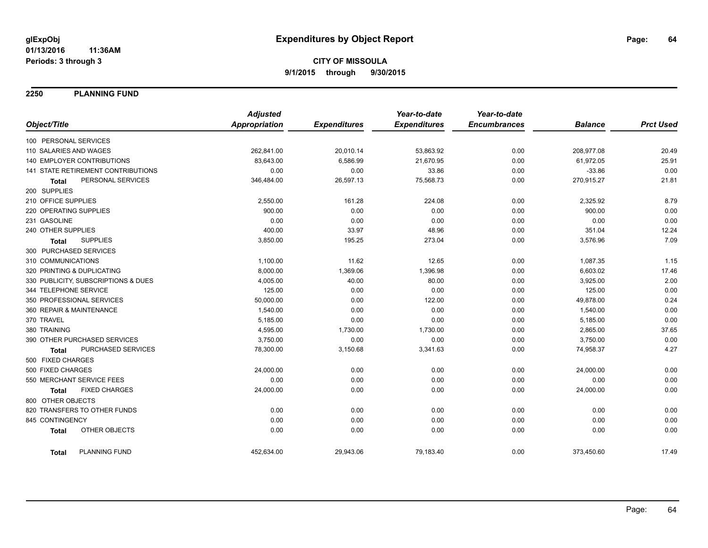**2250 PLANNING FUND**

|                                      | <b>Adjusted</b>      |                     | Year-to-date        | Year-to-date        |                |                  |
|--------------------------------------|----------------------|---------------------|---------------------|---------------------|----------------|------------------|
| Object/Title                         | <b>Appropriation</b> | <b>Expenditures</b> | <b>Expenditures</b> | <b>Encumbrances</b> | <b>Balance</b> | <b>Prct Used</b> |
| 100 PERSONAL SERVICES                |                      |                     |                     |                     |                |                  |
| 110 SALARIES AND WAGES               | 262,841.00           | 20,010.14           | 53,863.92           | 0.00                | 208,977.08     | 20.49            |
| 140 EMPLOYER CONTRIBUTIONS           | 83,643.00            | 6,586.99            | 21,670.95           | 0.00                | 61,972.05      | 25.91            |
| 141 STATE RETIREMENT CONTRIBUTIONS   | 0.00                 | 0.00                | 33.86               | 0.00                | $-33.86$       | 0.00             |
| PERSONAL SERVICES<br><b>Total</b>    | 346,484.00           | 26,597.13           | 75,568.73           | 0.00                | 270,915.27     | 21.81            |
| 200 SUPPLIES                         |                      |                     |                     |                     |                |                  |
| 210 OFFICE SUPPLIES                  | 2,550.00             | 161.28              | 224.08              | 0.00                | 2,325.92       | 8.79             |
| 220 OPERATING SUPPLIES               | 900.00               | 0.00                | 0.00                | 0.00                | 900.00         | 0.00             |
| 231 GASOLINE                         | 0.00                 | 0.00                | 0.00                | 0.00                | 0.00           | 0.00             |
| 240 OTHER SUPPLIES                   | 400.00               | 33.97               | 48.96               | 0.00                | 351.04         | 12.24            |
| <b>SUPPLIES</b><br><b>Total</b>      | 3,850.00             | 195.25              | 273.04              | 0.00                | 3,576.96       | 7.09             |
| 300 PURCHASED SERVICES               |                      |                     |                     |                     |                |                  |
| 310 COMMUNICATIONS                   | 1,100.00             | 11.62               | 12.65               | 0.00                | 1,087.35       | 1.15             |
| 320 PRINTING & DUPLICATING           | 8,000.00             | 1,369.06            | 1,396.98            | 0.00                | 6,603.02       | 17.46            |
| 330 PUBLICITY, SUBSCRIPTIONS & DUES  | 4,005.00             | 40.00               | 80.00               | 0.00                | 3,925.00       | 2.00             |
| 344 TELEPHONE SERVICE                | 125.00               | 0.00                | 0.00                | 0.00                | 125.00         | 0.00             |
| 350 PROFESSIONAL SERVICES            | 50,000.00            | 0.00                | 122.00              | 0.00                | 49,878.00      | 0.24             |
| 360 REPAIR & MAINTENANCE             | 1,540.00             | 0.00                | 0.00                | 0.00                | 1,540.00       | 0.00             |
| 370 TRAVEL                           | 5,185.00             | 0.00                | 0.00                | 0.00                | 5,185.00       | 0.00             |
| 380 TRAINING                         | 4,595.00             | 1,730.00            | 1,730.00            | 0.00                | 2,865.00       | 37.65            |
| 390 OTHER PURCHASED SERVICES         | 3,750.00             | 0.00                | 0.00                | 0.00                | 3,750.00       | 0.00             |
| PURCHASED SERVICES<br><b>Total</b>   | 78,300.00            | 3,150.68            | 3,341.63            | 0.00                | 74,958.37      | 4.27             |
| 500 FIXED CHARGES                    |                      |                     |                     |                     |                |                  |
| 500 FIXED CHARGES                    | 24,000.00            | 0.00                | 0.00                | 0.00                | 24,000.00      | 0.00             |
| 550 MERCHANT SERVICE FEES            | 0.00                 | 0.00                | 0.00                | 0.00                | 0.00           | 0.00             |
| <b>FIXED CHARGES</b><br><b>Total</b> | 24,000.00            | 0.00                | 0.00                | 0.00                | 24,000.00      | 0.00             |
| 800 OTHER OBJECTS                    |                      |                     |                     |                     |                |                  |
| 820 TRANSFERS TO OTHER FUNDS         | 0.00                 | 0.00                | 0.00                | 0.00                | 0.00           | 0.00             |
| 845 CONTINGENCY                      | 0.00                 | 0.00                | 0.00                | 0.00                | 0.00           | 0.00             |
| OTHER OBJECTS<br><b>Total</b>        | 0.00                 | 0.00                | 0.00                | 0.00                | 0.00           | 0.00             |
| PLANNING FUND<br><b>Total</b>        | 452,634.00           | 29,943.06           | 79,183.40           | 0.00                | 373,450.60     | 17.49            |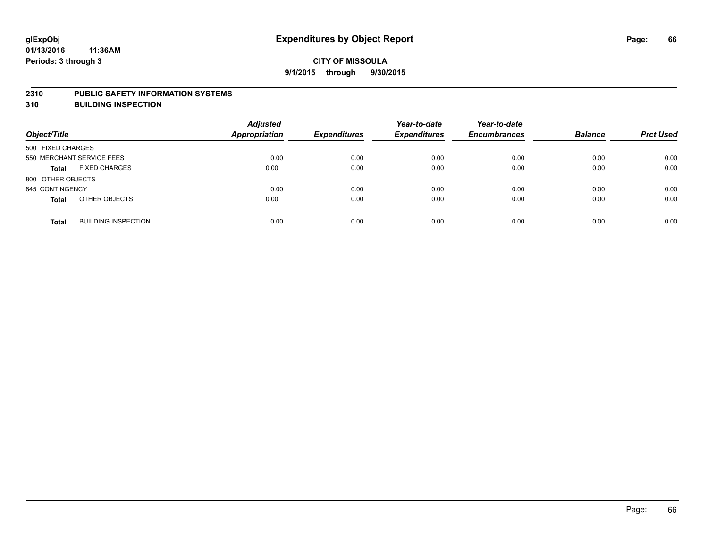#### **2310 PUBLIC SAFETY INFORMATION SYSTEMS**

**310 BUILDING INSPECTION**

| Object/Title                               | <b>Adjusted</b><br>Appropriation | <b>Expenditures</b> | Year-to-date<br><b>Expenditures</b> | Year-to-date<br><b>Encumbrances</b> | <b>Balance</b> | <b>Prct Used</b> |
|--------------------------------------------|----------------------------------|---------------------|-------------------------------------|-------------------------------------|----------------|------------------|
| 500 FIXED CHARGES                          |                                  |                     |                                     |                                     |                |                  |
| 550 MERCHANT SERVICE FEES                  | 0.00                             | 0.00                | 0.00                                | 0.00                                | 0.00           | 0.00             |
| <b>FIXED CHARGES</b><br><b>Total</b>       | 0.00                             | 0.00                | 0.00                                | 0.00                                | 0.00           | 0.00             |
| 800 OTHER OBJECTS                          |                                  |                     |                                     |                                     |                |                  |
| 845 CONTINGENCY                            | 0.00                             | 0.00                | 0.00                                | 0.00                                | 0.00           | 0.00             |
| OTHER OBJECTS<br><b>Total</b>              | 0.00                             | 0.00                | 0.00                                | 0.00                                | 0.00           | 0.00             |
| <b>BUILDING INSPECTION</b><br><b>Total</b> | 0.00                             | 0.00                | 0.00                                | 0.00                                | 0.00           | 0.00             |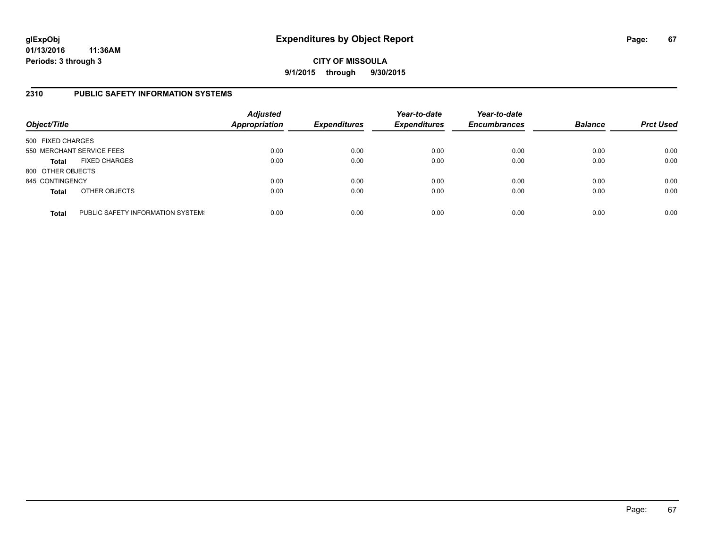## **CITY OF MISSOULA 9/1/2015 through 9/30/2015**

### **2310 PUBLIC SAFETY INFORMATION SYSTEMS**

| Object/Title      |                                   | <b>Adjusted</b><br><b>Appropriation</b> | <b>Expenditures</b> | Year-to-date<br><b>Expenditures</b> | Year-to-date<br><b>Encumbrances</b> | <b>Balance</b> | <b>Prct Used</b> |
|-------------------|-----------------------------------|-----------------------------------------|---------------------|-------------------------------------|-------------------------------------|----------------|------------------|
| 500 FIXED CHARGES |                                   |                                         |                     |                                     |                                     |                |                  |
|                   | 550 MERCHANT SERVICE FEES         | 0.00                                    | 0.00                | 0.00                                | 0.00                                | 0.00           | 0.00             |
| <b>Total</b>      | <b>FIXED CHARGES</b>              | 0.00                                    | 0.00                | 0.00                                | 0.00                                | 0.00           | 0.00             |
| 800 OTHER OBJECTS |                                   |                                         |                     |                                     |                                     |                |                  |
| 845 CONTINGENCY   |                                   | 0.00                                    | 0.00                | 0.00                                | 0.00                                | 0.00           | 0.00             |
| <b>Total</b>      | OTHER OBJECTS                     | 0.00                                    | 0.00                | 0.00                                | 0.00                                | 0.00           | 0.00             |
| <b>Total</b>      | PUBLIC SAFETY INFORMATION SYSTEM! | 0.00                                    | 0.00                | 0.00                                | 0.00                                | 0.00           | 0.00             |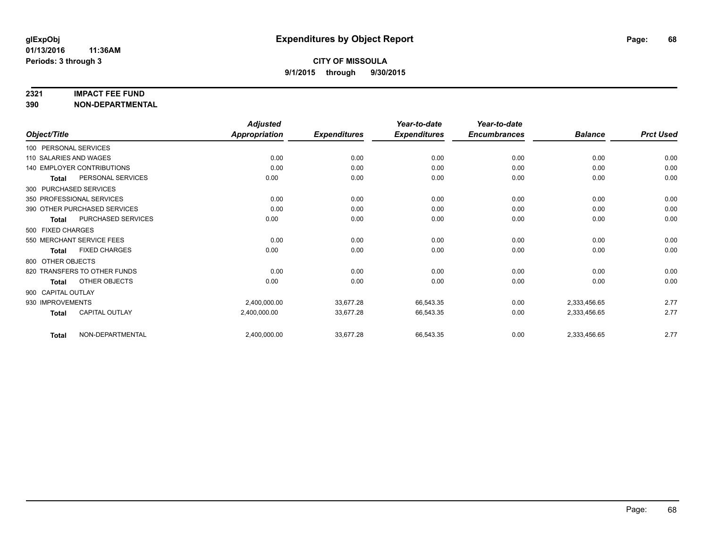#### **2321 IMPACT FEE FUND**

**390 NON-DEPARTMENTAL**

|                                       | <b>Adjusted</b>      |                     | Year-to-date        | Year-to-date        |                |                  |
|---------------------------------------|----------------------|---------------------|---------------------|---------------------|----------------|------------------|
| Object/Title                          | <b>Appropriation</b> | <b>Expenditures</b> | <b>Expenditures</b> | <b>Encumbrances</b> | <b>Balance</b> | <b>Prct Used</b> |
| 100 PERSONAL SERVICES                 |                      |                     |                     |                     |                |                  |
| 110 SALARIES AND WAGES                | 0.00                 | 0.00                | 0.00                | 0.00                | 0.00           | 0.00             |
| <b>140 EMPLOYER CONTRIBUTIONS</b>     | 0.00                 | 0.00                | 0.00                | 0.00                | 0.00           | 0.00             |
| PERSONAL SERVICES<br><b>Total</b>     | 0.00                 | 0.00                | 0.00                | 0.00                | 0.00           | 0.00             |
| 300 PURCHASED SERVICES                |                      |                     |                     |                     |                |                  |
| 350 PROFESSIONAL SERVICES             | 0.00                 | 0.00                | 0.00                | 0.00                | 0.00           | 0.00             |
| 390 OTHER PURCHASED SERVICES          | 0.00                 | 0.00                | 0.00                | 0.00                | 0.00           | 0.00             |
| PURCHASED SERVICES<br><b>Total</b>    | 0.00                 | 0.00                | 0.00                | 0.00                | 0.00           | 0.00             |
| 500 FIXED CHARGES                     |                      |                     |                     |                     |                |                  |
| 550 MERCHANT SERVICE FEES             | 0.00                 | 0.00                | 0.00                | 0.00                | 0.00           | 0.00             |
| <b>FIXED CHARGES</b><br><b>Total</b>  | 0.00                 | 0.00                | 0.00                | 0.00                | 0.00           | 0.00             |
| 800 OTHER OBJECTS                     |                      |                     |                     |                     |                |                  |
| 820 TRANSFERS TO OTHER FUNDS          | 0.00                 | 0.00                | 0.00                | 0.00                | 0.00           | 0.00             |
| OTHER OBJECTS<br><b>Total</b>         | 0.00                 | 0.00                | 0.00                | 0.00                | 0.00           | 0.00             |
| 900 CAPITAL OUTLAY                    |                      |                     |                     |                     |                |                  |
| 930 IMPROVEMENTS                      | 2,400,000.00         | 33,677.28           | 66,543.35           | 0.00                | 2,333,456.65   | 2.77             |
| <b>CAPITAL OUTLAY</b><br><b>Total</b> | 2,400,000.00         | 33,677.28           | 66,543.35           | 0.00                | 2,333,456.65   | 2.77             |
| NON-DEPARTMENTAL<br><b>Total</b>      | 2,400,000.00         | 33,677.28           | 66,543.35           | 0.00                | 2,333,456.65   | 2.77             |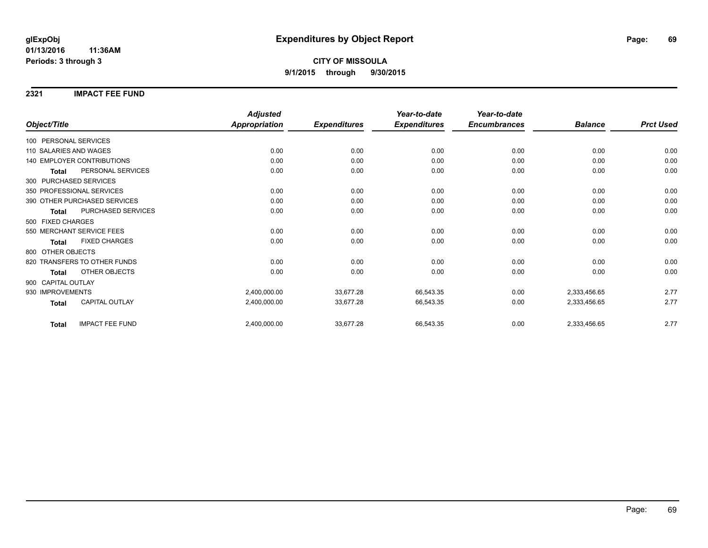**2321 IMPACT FEE FUND**

|                                        | <b>Adjusted</b>      |                     | Year-to-date        | Year-to-date        |                |                  |
|----------------------------------------|----------------------|---------------------|---------------------|---------------------|----------------|------------------|
| Object/Title                           | <b>Appropriation</b> | <b>Expenditures</b> | <b>Expenditures</b> | <b>Encumbrances</b> | <b>Balance</b> | <b>Prct Used</b> |
| 100 PERSONAL SERVICES                  |                      |                     |                     |                     |                |                  |
| 110 SALARIES AND WAGES                 | 0.00                 | 0.00                | 0.00                | 0.00                | 0.00           | 0.00             |
| <b>140 EMPLOYER CONTRIBUTIONS</b>      | 0.00                 | 0.00                | 0.00                | 0.00                | 0.00           | 0.00             |
| PERSONAL SERVICES<br><b>Total</b>      | 0.00                 | 0.00                | 0.00                | 0.00                | 0.00           | 0.00             |
| 300 PURCHASED SERVICES                 |                      |                     |                     |                     |                |                  |
| 350 PROFESSIONAL SERVICES              | 0.00                 | 0.00                | 0.00                | 0.00                | 0.00           | 0.00             |
| 390 OTHER PURCHASED SERVICES           | 0.00                 | 0.00                | 0.00                | 0.00                | 0.00           | 0.00             |
| PURCHASED SERVICES<br><b>Total</b>     | 0.00                 | 0.00                | 0.00                | 0.00                | 0.00           | 0.00             |
| 500 FIXED CHARGES                      |                      |                     |                     |                     |                |                  |
| 550 MERCHANT SERVICE FEES              | 0.00                 | 0.00                | 0.00                | 0.00                | 0.00           | 0.00             |
| <b>FIXED CHARGES</b><br><b>Total</b>   | 0.00                 | 0.00                | 0.00                | 0.00                | 0.00           | 0.00             |
| 800 OTHER OBJECTS                      |                      |                     |                     |                     |                |                  |
| 820 TRANSFERS TO OTHER FUNDS           | 0.00                 | 0.00                | 0.00                | 0.00                | 0.00           | 0.00             |
| OTHER OBJECTS<br><b>Total</b>          | 0.00                 | 0.00                | 0.00                | 0.00                | 0.00           | 0.00             |
| 900 CAPITAL OUTLAY                     |                      |                     |                     |                     |                |                  |
| 930 IMPROVEMENTS                       | 2,400,000.00         | 33,677.28           | 66,543.35           | 0.00                | 2,333,456.65   | 2.77             |
| <b>CAPITAL OUTLAY</b><br><b>Total</b>  | 2,400,000.00         | 33,677.28           | 66,543.35           | 0.00                | 2,333,456.65   | 2.77             |
| <b>IMPACT FEE FUND</b><br><b>Total</b> | 2,400,000.00         | 33,677.28           | 66,543.35           | 0.00                | 2,333,456.65   | 2.77             |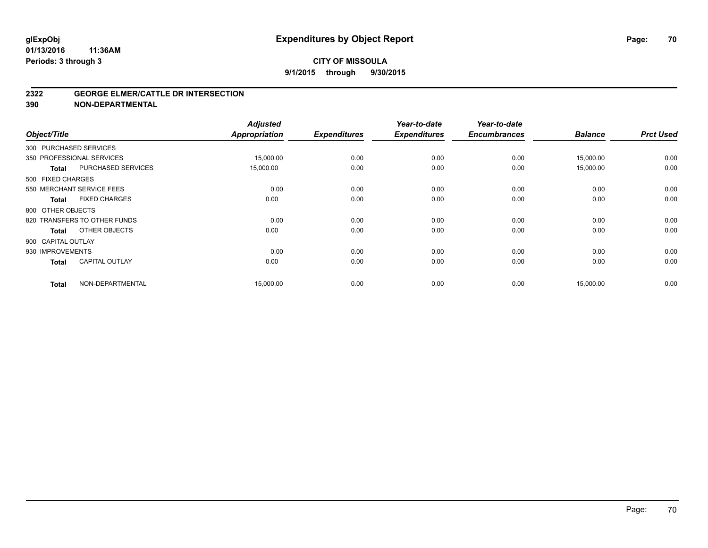#### **2322 GEORGE ELMER/CATTLE DR INTERSECTION**

**390 NON-DEPARTMENTAL**

| Object/Title       |                              | <b>Adjusted</b><br><b>Appropriation</b> | <b>Expenditures</b> | Year-to-date<br><b>Expenditures</b> | Year-to-date<br><b>Encumbrances</b> | <b>Balance</b> | <b>Prct Used</b> |
|--------------------|------------------------------|-----------------------------------------|---------------------|-------------------------------------|-------------------------------------|----------------|------------------|
|                    | 300 PURCHASED SERVICES       |                                         |                     |                                     |                                     |                |                  |
|                    | 350 PROFESSIONAL SERVICES    | 15,000.00                               | 0.00                | 0.00                                | 0.00                                | 15,000.00      | 0.00             |
| <b>Total</b>       | PURCHASED SERVICES           | 15,000.00                               | 0.00                | 0.00                                | 0.00                                | 15,000.00      | 0.00             |
| 500 FIXED CHARGES  |                              |                                         |                     |                                     |                                     |                |                  |
|                    | 550 MERCHANT SERVICE FEES    | 0.00                                    | 0.00                | 0.00                                | 0.00                                | 0.00           | 0.00             |
| <b>Total</b>       | <b>FIXED CHARGES</b>         | 0.00                                    | 0.00                | 0.00                                | 0.00                                | 0.00           | 0.00             |
| 800 OTHER OBJECTS  |                              |                                         |                     |                                     |                                     |                |                  |
|                    | 820 TRANSFERS TO OTHER FUNDS | 0.00                                    | 0.00                | 0.00                                | 0.00                                | 0.00           | 0.00             |
| <b>Total</b>       | OTHER OBJECTS                | 0.00                                    | 0.00                | 0.00                                | 0.00                                | 0.00           | 0.00             |
| 900 CAPITAL OUTLAY |                              |                                         |                     |                                     |                                     |                |                  |
| 930 IMPROVEMENTS   |                              | 0.00                                    | 0.00                | 0.00                                | 0.00                                | 0.00           | 0.00             |
| <b>Total</b>       | <b>CAPITAL OUTLAY</b>        | 0.00                                    | 0.00                | 0.00                                | 0.00                                | 0.00           | 0.00             |
| <b>Total</b>       | NON-DEPARTMENTAL             | 15,000.00                               | 0.00                | 0.00                                | 0.00                                | 15,000.00      | 0.00             |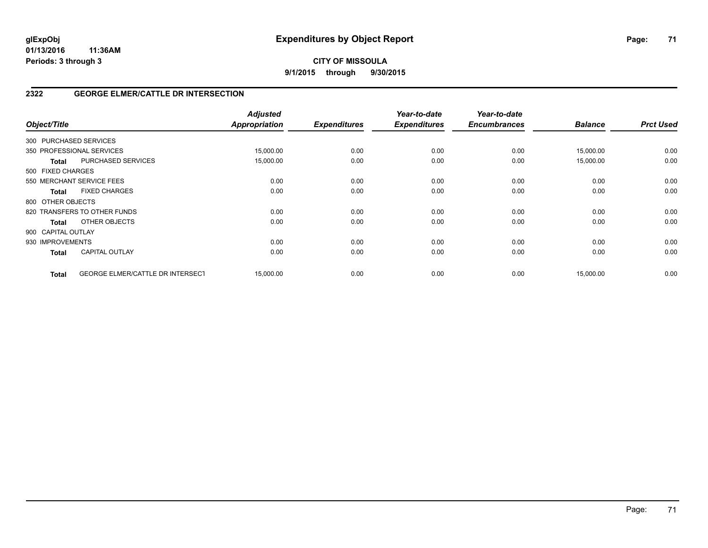**CITY OF MISSOULA 9/1/2015 through 9/30/2015**

### **2322 GEORGE ELMER/CATTLE DR INTERSECTION**

| Object/Title           |                                  | <b>Adjusted</b><br>Appropriation | <b>Expenditures</b> | Year-to-date<br><b>Expenditures</b> | Year-to-date<br><b>Encumbrances</b> | <b>Balance</b> | <b>Prct Used</b> |
|------------------------|----------------------------------|----------------------------------|---------------------|-------------------------------------|-------------------------------------|----------------|------------------|
| 300 PURCHASED SERVICES |                                  |                                  |                     |                                     |                                     |                |                  |
|                        | 350 PROFESSIONAL SERVICES        | 15,000.00                        | 0.00                | 0.00                                | 0.00                                | 15,000.00      | 0.00             |
| <b>Total</b>           | <b>PURCHASED SERVICES</b>        | 15,000.00                        | 0.00                | 0.00                                | 0.00                                | 15,000.00      | 0.00             |
| 500 FIXED CHARGES      |                                  |                                  |                     |                                     |                                     |                |                  |
|                        | 550 MERCHANT SERVICE FEES        | 0.00                             | 0.00                | 0.00                                | 0.00                                | 0.00           | 0.00             |
| <b>Total</b>           | <b>FIXED CHARGES</b>             | 0.00                             | 0.00                | 0.00                                | 0.00                                | 0.00           | 0.00             |
| 800 OTHER OBJECTS      |                                  |                                  |                     |                                     |                                     |                |                  |
|                        | 820 TRANSFERS TO OTHER FUNDS     | 0.00                             | 0.00                | 0.00                                | 0.00                                | 0.00           | 0.00             |
| <b>Total</b>           | OTHER OBJECTS                    | 0.00                             | 0.00                | 0.00                                | 0.00                                | 0.00           | 0.00             |
| 900 CAPITAL OUTLAY     |                                  |                                  |                     |                                     |                                     |                |                  |
| 930 IMPROVEMENTS       |                                  | 0.00                             | 0.00                | 0.00                                | 0.00                                | 0.00           | 0.00             |
| <b>Total</b>           | <b>CAPITAL OUTLAY</b>            | 0.00                             | 0.00                | 0.00                                | 0.00                                | 0.00           | 0.00             |
| <b>Total</b>           | GEORGE ELMER/CATTLE DR INTERSECT | 15,000.00                        | 0.00                | 0.00                                | 0.00                                | 15,000.00      | 0.00             |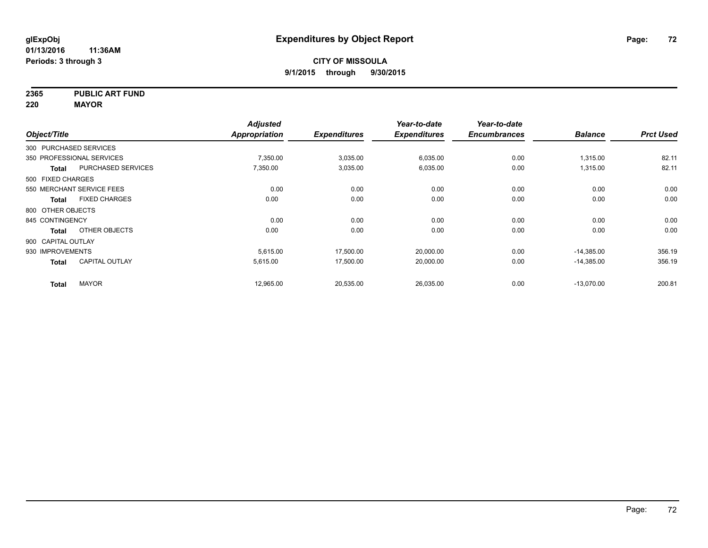**2365 PUBLIC ART FUND**

**220 MAYOR**

|                        |                           | <b>Adjusted</b> |                     | Year-to-date        | Year-to-date        |                |                  |
|------------------------|---------------------------|-----------------|---------------------|---------------------|---------------------|----------------|------------------|
| Object/Title           |                           | Appropriation   | <b>Expenditures</b> | <b>Expenditures</b> | <b>Encumbrances</b> | <b>Balance</b> | <b>Prct Used</b> |
| 300 PURCHASED SERVICES |                           |                 |                     |                     |                     |                |                  |
|                        | 350 PROFESSIONAL SERVICES | 7,350.00        | 3,035.00            | 6,035.00            | 0.00                | 1,315.00       | 82.11            |
| <b>Total</b>           | <b>PURCHASED SERVICES</b> | 7,350.00        | 3,035.00            | 6,035.00            | 0.00                | 1,315.00       | 82.11            |
| 500 FIXED CHARGES      |                           |                 |                     |                     |                     |                |                  |
|                        | 550 MERCHANT SERVICE FEES | 0.00            | 0.00                | 0.00                | 0.00                | 0.00           | 0.00             |
| Total                  | <b>FIXED CHARGES</b>      | 0.00            | 0.00                | 0.00                | 0.00                | 0.00           | 0.00             |
| 800 OTHER OBJECTS      |                           |                 |                     |                     |                     |                |                  |
| 845 CONTINGENCY        |                           | 0.00            | 0.00                | 0.00                | 0.00                | 0.00           | 0.00             |
| <b>Total</b>           | OTHER OBJECTS             | 0.00            | 0.00                | 0.00                | 0.00                | 0.00           | 0.00             |
| 900 CAPITAL OUTLAY     |                           |                 |                     |                     |                     |                |                  |
| 930 IMPROVEMENTS       |                           | 5,615.00        | 17,500.00           | 20,000.00           | 0.00                | $-14,385.00$   | 356.19           |
| <b>Total</b>           | <b>CAPITAL OUTLAY</b>     | 5,615.00        | 17,500.00           | 20,000.00           | 0.00                | $-14,385.00$   | 356.19           |
| <b>Total</b>           | <b>MAYOR</b>              | 12,965.00       | 20,535.00           | 26,035.00           | 0.00                | $-13,070.00$   | 200.81           |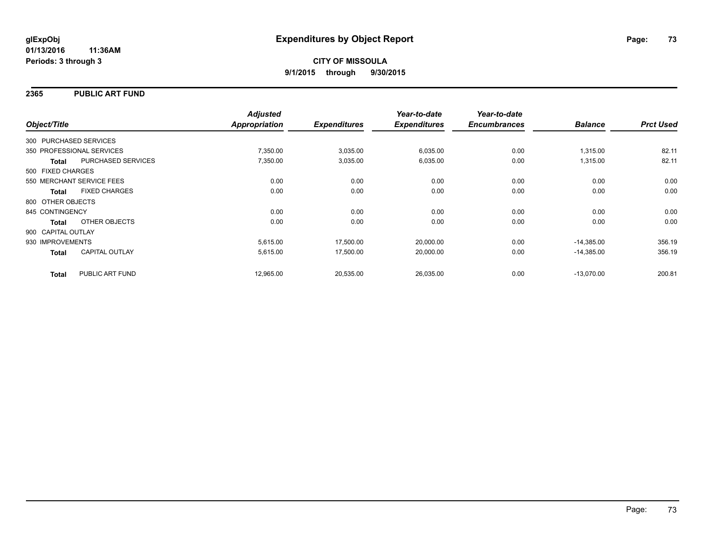### **2365 PUBLIC ART FUND**

|                        |                           | <b>Adjusted</b> |                     | Year-to-date        | Year-to-date        |                |                  |
|------------------------|---------------------------|-----------------|---------------------|---------------------|---------------------|----------------|------------------|
| Object/Title           |                           | Appropriation   | <b>Expenditures</b> | <b>Expenditures</b> | <b>Encumbrances</b> | <b>Balance</b> | <b>Prct Used</b> |
| 300 PURCHASED SERVICES |                           |                 |                     |                     |                     |                |                  |
|                        | 350 PROFESSIONAL SERVICES | 7,350.00        | 3,035.00            | 6,035.00            | 0.00                | 1,315.00       | 82.11            |
| <b>Total</b>           | PURCHASED SERVICES        | 7,350.00        | 3,035.00            | 6,035.00            | 0.00                | 1,315.00       | 82.11            |
| 500 FIXED CHARGES      |                           |                 |                     |                     |                     |                |                  |
|                        | 550 MERCHANT SERVICE FEES | 0.00            | 0.00                | 0.00                | 0.00                | 0.00           | 0.00             |
| <b>Total</b>           | <b>FIXED CHARGES</b>      | 0.00            | 0.00                | 0.00                | 0.00                | 0.00           | 0.00             |
| 800 OTHER OBJECTS      |                           |                 |                     |                     |                     |                |                  |
| 845 CONTINGENCY        |                           | 0.00            | 0.00                | 0.00                | 0.00                | 0.00           | 0.00             |
| Total                  | OTHER OBJECTS             | 0.00            | 0.00                | 0.00                | 0.00                | 0.00           | 0.00             |
| 900 CAPITAL OUTLAY     |                           |                 |                     |                     |                     |                |                  |
| 930 IMPROVEMENTS       |                           | 5,615.00        | 17,500.00           | 20,000.00           | 0.00                | $-14,385.00$   | 356.19           |
| <b>Total</b>           | <b>CAPITAL OUTLAY</b>     | 5,615.00        | 17,500.00           | 20,000.00           | 0.00                | $-14,385.00$   | 356.19           |
| <b>Total</b>           | PUBLIC ART FUND           | 12,965.00       | 20,535.00           | 26,035.00           | 0.00                | $-13.070.00$   | 200.81           |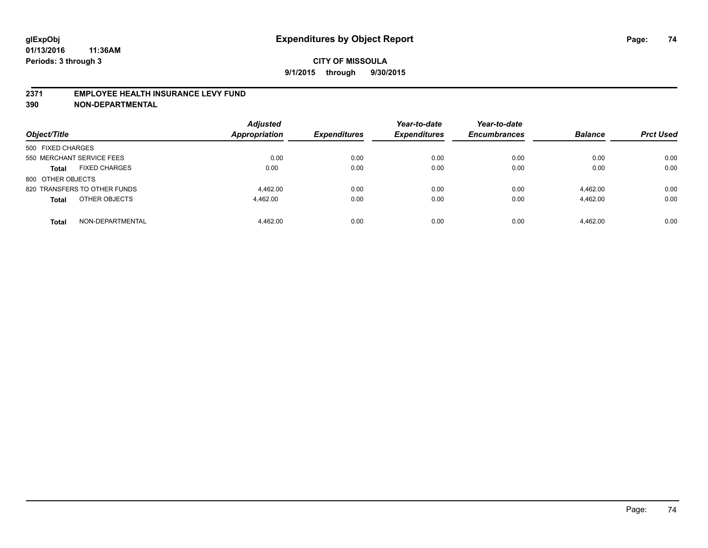#### **2371 EMPLOYEE HEALTH INSURANCE LEVY FUND**

**390 NON-DEPARTMENTAL**

| Object/Title                         | <b>Adjusted</b><br><b>Appropriation</b> | <b>Expenditures</b> | Year-to-date<br><b>Expenditures</b> | Year-to-date<br><b>Encumbrances</b> | <b>Balance</b> | <b>Prct Used</b> |
|--------------------------------------|-----------------------------------------|---------------------|-------------------------------------|-------------------------------------|----------------|------------------|
| 500 FIXED CHARGES                    |                                         |                     |                                     |                                     |                |                  |
| 550 MERCHANT SERVICE FEES            | 0.00                                    | 0.00                | 0.00                                | 0.00                                | 0.00           | 0.00             |
| <b>FIXED CHARGES</b><br><b>Total</b> | 0.00                                    | 0.00                | 0.00                                | 0.00                                | 0.00           | 0.00             |
| 800 OTHER OBJECTS                    |                                         |                     |                                     |                                     |                |                  |
| 820 TRANSFERS TO OTHER FUNDS         | 4.462.00                                | 0.00                | 0.00                                | 0.00                                | 4.462.00       | 0.00             |
| OTHER OBJECTS<br><b>Total</b>        | 4.462.00                                | 0.00                | 0.00                                | 0.00                                | 4.462.00       | 0.00             |
| NON-DEPARTMENTAL<br><b>Total</b>     | 4.462.00                                | 0.00                | 0.00                                | 0.00                                | 4.462.00       | 0.00             |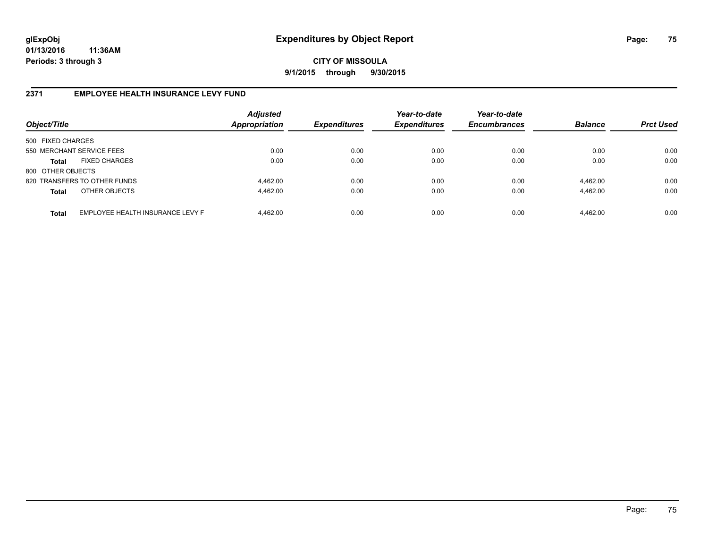**CITY OF MISSOULA 9/1/2015 through 9/30/2015**

# **2371 EMPLOYEE HEALTH INSURANCE LEVY FUND**

| Object/Title              |                                  | <b>Adjusted</b><br><b>Appropriation</b> | <b>Expenditures</b> | Year-to-date<br><b>Expenditures</b> | Year-to-date<br><b>Encumbrances</b> | <b>Balance</b> | <b>Prct Used</b> |
|---------------------------|----------------------------------|-----------------------------------------|---------------------|-------------------------------------|-------------------------------------|----------------|------------------|
| 500 FIXED CHARGES         |                                  |                                         |                     |                                     |                                     |                |                  |
| 550 MERCHANT SERVICE FEES |                                  | 0.00                                    | 0.00                | 0.00                                | 0.00                                | 0.00           | 0.00             |
| Total                     | <b>FIXED CHARGES</b>             | 0.00                                    | 0.00                | 0.00                                | 0.00                                | 0.00           | 0.00             |
| 800 OTHER OBJECTS         |                                  |                                         |                     |                                     |                                     |                |                  |
|                           | 820 TRANSFERS TO OTHER FUNDS     | 4,462.00                                | 0.00                | 0.00                                | 0.00                                | 4,462.00       | 0.00             |
| <b>Total</b>              | OTHER OBJECTS                    | 4,462.00                                | 0.00                | 0.00                                | 0.00                                | 4,462.00       | 0.00             |
| <b>Total</b>              | EMPLOYEE HEALTH INSURANCE LEVY F | 4.462.00                                | 0.00                | 0.00                                | 0.00                                | 4,462.00       | 0.00             |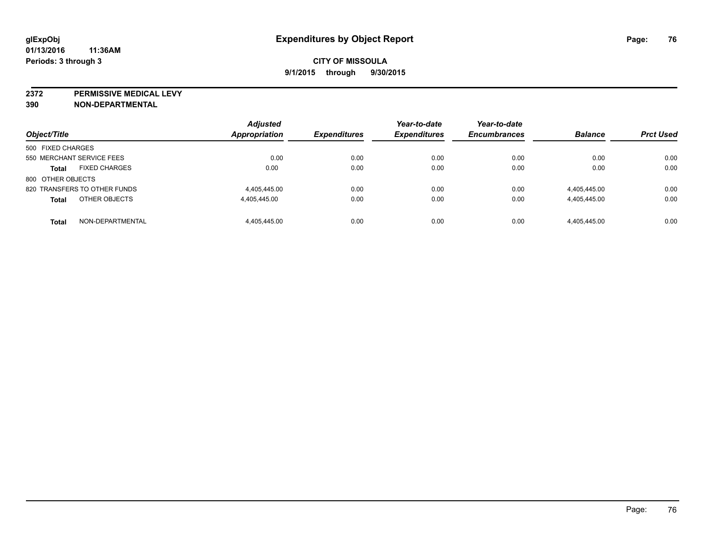**2372 PERMISSIVE MEDICAL LEVY**

**390 NON-DEPARTMENTAL**

| Object/Title                         | <b>Adjusted</b><br>Appropriation | <b>Expenditures</b> | Year-to-date<br><b>Expenditures</b> | Year-to-date<br><b>Encumbrances</b> | <b>Balance</b> | <b>Prct Used</b> |
|--------------------------------------|----------------------------------|---------------------|-------------------------------------|-------------------------------------|----------------|------------------|
|                                      |                                  |                     |                                     |                                     |                |                  |
| 500 FIXED CHARGES                    |                                  |                     |                                     |                                     |                |                  |
| 550 MERCHANT SERVICE FEES            | 0.00                             | 0.00                | 0.00                                | 0.00                                | 0.00           | 0.00             |
| <b>FIXED CHARGES</b><br><b>Total</b> | 0.00                             | 0.00                | 0.00                                | 0.00                                | 0.00           | 0.00             |
| 800 OTHER OBJECTS                    |                                  |                     |                                     |                                     |                |                  |
| 820 TRANSFERS TO OTHER FUNDS         | 4.405.445.00                     | 0.00                | 0.00                                | 0.00                                | 4,405,445.00   | 0.00             |
| OTHER OBJECTS<br><b>Total</b>        | 4,405,445.00                     | 0.00                | 0.00                                | 0.00                                | 4,405,445.00   | 0.00             |
| NON-DEPARTMENTAL<br><b>Total</b>     | 4.405.445.00                     | 0.00                | 0.00                                | 0.00                                | 4.405.445.00   | 0.00             |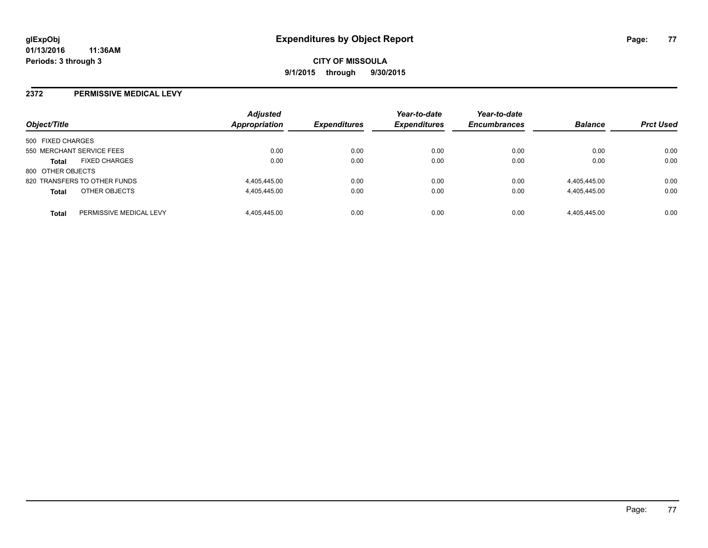#### **2372 PERMISSIVE MEDICAL LEVY**

| Object/Title              |                              | <b>Adjusted</b><br>Appropriation | <b>Expenditures</b> | Year-to-date<br><b>Expenditures</b> | Year-to-date<br><b>Encumbrances</b> | <b>Balance</b> | <b>Prct Used</b> |
|---------------------------|------------------------------|----------------------------------|---------------------|-------------------------------------|-------------------------------------|----------------|------------------|
| 500 FIXED CHARGES         |                              |                                  |                     |                                     |                                     |                |                  |
| 550 MERCHANT SERVICE FEES |                              | 0.00                             | 0.00                | 0.00                                | 0.00                                | 0.00           | 0.00             |
| <b>Total</b>              | <b>FIXED CHARGES</b>         | 0.00                             | 0.00                | 0.00                                | 0.00                                | 0.00           | 0.00             |
| 800 OTHER OBJECTS         |                              |                                  |                     |                                     |                                     |                |                  |
|                           | 820 TRANSFERS TO OTHER FUNDS | 4,405,445.00                     | 0.00                | 0.00                                | 0.00                                | 4,405,445.00   | 0.00             |
| <b>Total</b>              | OTHER OBJECTS                | 4,405,445.00                     | 0.00                | 0.00                                | 0.00                                | 4,405,445.00   | 0.00             |
|                           |                              |                                  |                     |                                     |                                     |                |                  |
| <b>Total</b>              | PERMISSIVE MEDICAL LEVY      | 4.405.445.00                     | 0.00                | 0.00                                | 0.00                                | 4.405.445.00   | 0.00             |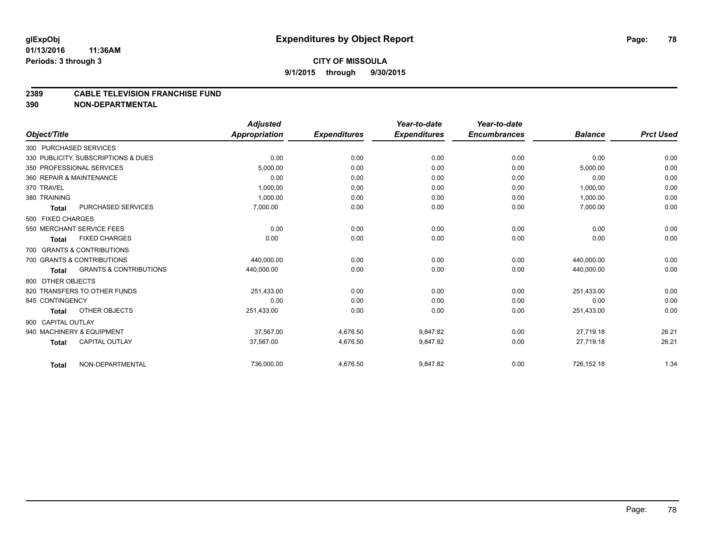#### **2389 CABLE TELEVISION FRANCHISE FUND**

**390 NON-DEPARTMENTAL**

|                    |                                     | <b>Adjusted</b> |                     | Year-to-date        | Year-to-date        |                |                  |
|--------------------|-------------------------------------|-----------------|---------------------|---------------------|---------------------|----------------|------------------|
| Object/Title       |                                     | Appropriation   | <b>Expenditures</b> | <b>Expenditures</b> | <b>Encumbrances</b> | <b>Balance</b> | <b>Prct Used</b> |
|                    | 300 PURCHASED SERVICES              |                 |                     |                     |                     |                |                  |
|                    | 330 PUBLICITY, SUBSCRIPTIONS & DUES | 0.00            | 0.00                | 0.00                | 0.00                | 0.00           | 0.00             |
|                    | 350 PROFESSIONAL SERVICES           | 5.000.00        | 0.00                | 0.00                | 0.00                | 5,000.00       | 0.00             |
|                    | 360 REPAIR & MAINTENANCE            | 0.00            | 0.00                | 0.00                | 0.00                | 0.00           | 0.00             |
| 370 TRAVEL         |                                     | 1,000.00        | 0.00                | 0.00                | 0.00                | 1,000.00       | 0.00             |
| 380 TRAINING       |                                     | 1,000.00        | 0.00                | 0.00                | 0.00                | 1,000.00       | 0.00             |
| <b>Total</b>       | PURCHASED SERVICES                  | 7,000.00        | 0.00                | 0.00                | 0.00                | 7,000.00       | 0.00             |
| 500 FIXED CHARGES  |                                     |                 |                     |                     |                     |                |                  |
|                    | 550 MERCHANT SERVICE FEES           | 0.00            | 0.00                | 0.00                | 0.00                | 0.00           | 0.00             |
| <b>Total</b>       | <b>FIXED CHARGES</b>                | 0.00            | 0.00                | 0.00                | 0.00                | 0.00           | 0.00             |
|                    | 700 GRANTS & CONTRIBUTIONS          |                 |                     |                     |                     |                |                  |
|                    | 700 GRANTS & CONTRIBUTIONS          | 440.000.00      | 0.00                | 0.00                | 0.00                | 440.000.00     | 0.00             |
| <b>Total</b>       | <b>GRANTS &amp; CONTRIBUTIONS</b>   | 440,000.00      | 0.00                | 0.00                | 0.00                | 440,000.00     | 0.00             |
| 800 OTHER OBJECTS  |                                     |                 |                     |                     |                     |                |                  |
|                    | 820 TRANSFERS TO OTHER FUNDS        | 251,433.00      | 0.00                | 0.00                | 0.00                | 251,433.00     | 0.00             |
| 845 CONTINGENCY    |                                     | 0.00            | 0.00                | 0.00                | 0.00                | 0.00           | 0.00             |
| <b>Total</b>       | OTHER OBJECTS                       | 251,433.00      | 0.00                | 0.00                | 0.00                | 251,433.00     | 0.00             |
| 900 CAPITAL OUTLAY |                                     |                 |                     |                     |                     |                |                  |
|                    | 940 MACHINERY & EQUIPMENT           | 37,567.00       | 4,676.50            | 9,847.82            | 0.00                | 27,719.18      | 26.21            |
| <b>Total</b>       | <b>CAPITAL OUTLAY</b>               | 37,567.00       | 4,676.50            | 9,847.82            | 0.00                | 27,719.18      | 26.21            |
| <b>Total</b>       | NON-DEPARTMENTAL                    | 736,000.00      | 4,676.50            | 9,847.82            | 0.00                | 726,152.18     | 1.34             |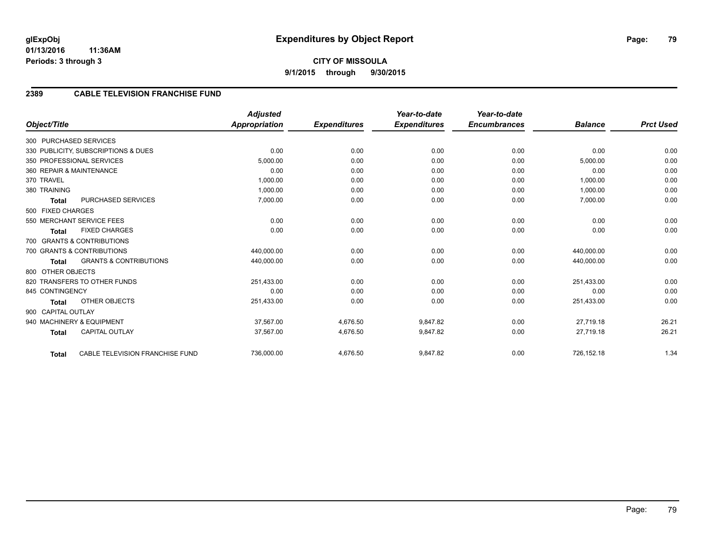# **2389 CABLE TELEVISION FRANCHISE FUND**

|                          |                                     | <b>Adjusted</b>      |                     | Year-to-date        | Year-to-date        |                |                  |
|--------------------------|-------------------------------------|----------------------|---------------------|---------------------|---------------------|----------------|------------------|
| Object/Title             |                                     | <b>Appropriation</b> | <b>Expenditures</b> | <b>Expenditures</b> | <b>Encumbrances</b> | <b>Balance</b> | <b>Prct Used</b> |
| 300 PURCHASED SERVICES   |                                     |                      |                     |                     |                     |                |                  |
|                          | 330 PUBLICITY, SUBSCRIPTIONS & DUES | 0.00                 | 0.00                | 0.00                | 0.00                | 0.00           | 0.00             |
|                          | 350 PROFESSIONAL SERVICES           | 5,000.00             | 0.00                | 0.00                | 0.00                | 5,000.00       | 0.00             |
| 360 REPAIR & MAINTENANCE |                                     | 0.00                 | 0.00                | 0.00                | 0.00                | 0.00           | 0.00             |
| 370 TRAVEL               |                                     | 1,000.00             | 0.00                | 0.00                | 0.00                | 1,000.00       | 0.00             |
| 380 TRAINING             |                                     | 1,000.00             | 0.00                | 0.00                | 0.00                | 1,000.00       | 0.00             |
| <b>Total</b>             | PURCHASED SERVICES                  | 7,000.00             | 0.00                | 0.00                | 0.00                | 7,000.00       | 0.00             |
| 500 FIXED CHARGES        |                                     |                      |                     |                     |                     |                |                  |
|                          | 550 MERCHANT SERVICE FEES           | 0.00                 | 0.00                | 0.00                | 0.00                | 0.00           | 0.00             |
| <b>Total</b>             | <b>FIXED CHARGES</b>                | 0.00                 | 0.00                | 0.00                | 0.00                | 0.00           | 0.00             |
|                          | 700 GRANTS & CONTRIBUTIONS          |                      |                     |                     |                     |                |                  |
|                          | 700 GRANTS & CONTRIBUTIONS          | 440,000.00           | 0.00                | 0.00                | 0.00                | 440,000.00     | 0.00             |
| <b>Total</b>             | <b>GRANTS &amp; CONTRIBUTIONS</b>   | 440,000.00           | 0.00                | 0.00                | 0.00                | 440,000.00     | 0.00             |
| 800 OTHER OBJECTS        |                                     |                      |                     |                     |                     |                |                  |
|                          | 820 TRANSFERS TO OTHER FUNDS        | 251,433.00           | 0.00                | 0.00                | 0.00                | 251,433.00     | 0.00             |
| 845 CONTINGENCY          |                                     | 0.00                 | 0.00                | 0.00                | 0.00                | 0.00           | 0.00             |
| <b>Total</b>             | <b>OTHER OBJECTS</b>                | 251,433.00           | 0.00                | 0.00                | 0.00                | 251,433.00     | 0.00             |
| 900 CAPITAL OUTLAY       |                                     |                      |                     |                     |                     |                |                  |
|                          | 940 MACHINERY & EQUIPMENT           | 37,567.00            | 4,676.50            | 9,847.82            | 0.00                | 27,719.18      | 26.21            |
| <b>Total</b>             | <b>CAPITAL OUTLAY</b>               | 37,567.00            | 4,676.50            | 9,847.82            | 0.00                | 27,719.18      | 26.21            |
| <b>Total</b>             | CABLE TELEVISION FRANCHISE FUND     | 736,000.00           | 4,676.50            | 9,847.82            | 0.00                | 726,152.18     | 1.34             |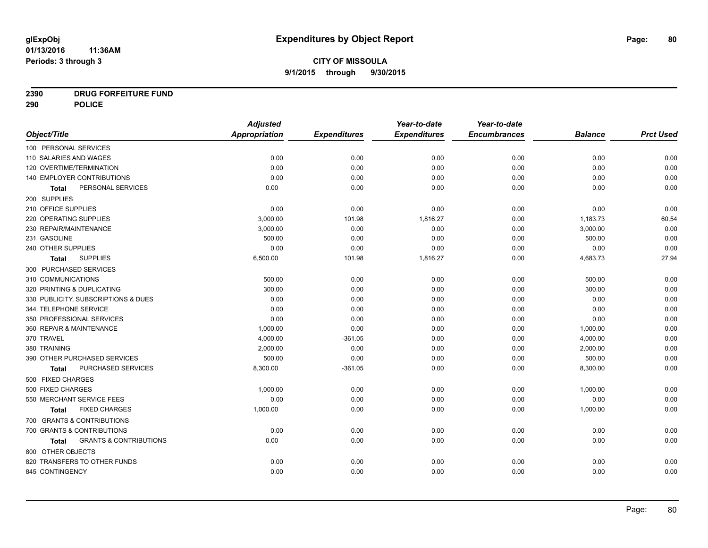# **2390 DRUG FORFEITURE FUND**

**290 POLICE**

|                                            | <b>Adjusted</b>      |                     | Year-to-date        | Year-to-date        |                |                  |
|--------------------------------------------|----------------------|---------------------|---------------------|---------------------|----------------|------------------|
| Object/Title                               | <b>Appropriation</b> | <b>Expenditures</b> | <b>Expenditures</b> | <b>Encumbrances</b> | <b>Balance</b> | <b>Prct Used</b> |
| 100 PERSONAL SERVICES                      |                      |                     |                     |                     |                |                  |
| 110 SALARIES AND WAGES                     | 0.00                 | 0.00                | 0.00                | 0.00                | 0.00           | 0.00             |
| 120 OVERTIME/TERMINATION                   | 0.00                 | 0.00                | 0.00                | 0.00                | 0.00           | 0.00             |
| 140 EMPLOYER CONTRIBUTIONS                 | 0.00                 | 0.00                | 0.00                | 0.00                | 0.00           | 0.00             |
| PERSONAL SERVICES<br>Total                 | 0.00                 | 0.00                | 0.00                | 0.00                | 0.00           | 0.00             |
| 200 SUPPLIES                               |                      |                     |                     |                     |                |                  |
| 210 OFFICE SUPPLIES                        | 0.00                 | 0.00                | 0.00                | 0.00                | 0.00           | 0.00             |
| 220 OPERATING SUPPLIES                     | 3,000.00             | 101.98              | 1,816.27            | 0.00                | 1,183.73       | 60.54            |
| 230 REPAIR/MAINTENANCE                     | 3,000.00             | 0.00                | 0.00                | 0.00                | 3,000.00       | 0.00             |
| 231 GASOLINE                               | 500.00               | 0.00                | 0.00                | 0.00                | 500.00         | 0.00             |
| 240 OTHER SUPPLIES                         | 0.00                 | 0.00                | 0.00                | 0.00                | 0.00           | 0.00             |
| <b>SUPPLIES</b><br>Total                   | 6,500.00             | 101.98              | 1,816.27            | 0.00                | 4,683.73       | 27.94            |
| 300 PURCHASED SERVICES                     |                      |                     |                     |                     |                |                  |
| 310 COMMUNICATIONS                         | 500.00               | 0.00                | 0.00                | 0.00                | 500.00         | 0.00             |
| 320 PRINTING & DUPLICATING                 | 300.00               | 0.00                | 0.00                | 0.00                | 300.00         | 0.00             |
| 330 PUBLICITY, SUBSCRIPTIONS & DUES        | 0.00                 | 0.00                | 0.00                | 0.00                | 0.00           | 0.00             |
| 344 TELEPHONE SERVICE                      | 0.00                 | 0.00                | 0.00                | 0.00                | 0.00           | 0.00             |
| 350 PROFESSIONAL SERVICES                  | 0.00                 | 0.00                | 0.00                | 0.00                | 0.00           | 0.00             |
| 360 REPAIR & MAINTENANCE                   | 1,000.00             | 0.00                | 0.00                | 0.00                | 1,000.00       | 0.00             |
| 370 TRAVEL                                 | 4,000.00             | $-361.05$           | 0.00                | 0.00                | 4,000.00       | 0.00             |
| 380 TRAINING                               | 2,000.00             | 0.00                | 0.00                | 0.00                | 2,000.00       | 0.00             |
| 390 OTHER PURCHASED SERVICES               | 500.00               | 0.00                | 0.00                | 0.00                | 500.00         | 0.00             |
| PURCHASED SERVICES<br>Total                | 8,300.00             | $-361.05$           | 0.00                | 0.00                | 8,300.00       | 0.00             |
| 500 FIXED CHARGES                          |                      |                     |                     |                     |                |                  |
| 500 FIXED CHARGES                          | 1,000.00             | 0.00                | 0.00                | 0.00                | 1,000.00       | 0.00             |
| 550 MERCHANT SERVICE FEES                  | 0.00                 | 0.00                | 0.00                | 0.00                | 0.00           | 0.00             |
| <b>FIXED CHARGES</b><br><b>Total</b>       | 1,000.00             | 0.00                | 0.00                | 0.00                | 1,000.00       | 0.00             |
| 700 GRANTS & CONTRIBUTIONS                 |                      |                     |                     |                     |                |                  |
| 700 GRANTS & CONTRIBUTIONS                 | 0.00                 | 0.00                | 0.00                | 0.00                | 0.00           | 0.00             |
| <b>GRANTS &amp; CONTRIBUTIONS</b><br>Total | 0.00                 | 0.00                | 0.00                | 0.00                | 0.00           | 0.00             |
| 800 OTHER OBJECTS                          |                      |                     |                     |                     |                |                  |
| 820 TRANSFERS TO OTHER FUNDS               | 0.00                 | 0.00                | 0.00                | 0.00                | 0.00           | 0.00             |
| 845 CONTINGENCY                            | 0.00                 | 0.00                | 0.00                | 0.00                | 0.00           | 0.00             |
|                                            |                      |                     |                     |                     |                |                  |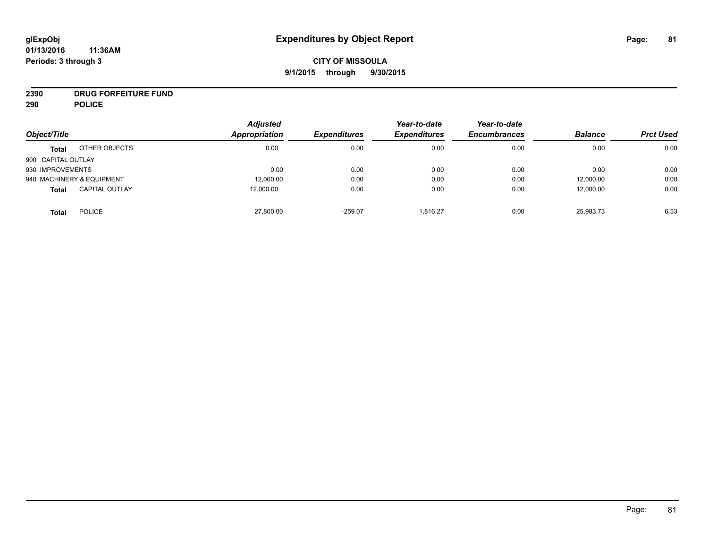# **CITY OF MISSOULA 9/1/2015 through 9/30/2015**

# **2390 DRUG FORFEITURE FUND**

**290 POLICE**

| Object/Title       |                           | <b>Adjusted</b><br><b>Appropriation</b> | <b>Expenditures</b> | Year-to-date<br><b>Expenditures</b> | Year-to-date<br><b>Encumbrances</b> | <b>Balance</b> | <b>Prct Used</b> |
|--------------------|---------------------------|-----------------------------------------|---------------------|-------------------------------------|-------------------------------------|----------------|------------------|
|                    |                           |                                         |                     |                                     |                                     |                |                  |
| <b>Total</b>       | OTHER OBJECTS             | 0.00                                    | 0.00                | 0.00                                | 0.00                                | 0.00           | 0.00             |
| 900 CAPITAL OUTLAY |                           |                                         |                     |                                     |                                     |                |                  |
| 930 IMPROVEMENTS   |                           | 0.00                                    | 0.00                | 0.00                                | 0.00                                | 0.00           | 0.00             |
|                    | 940 MACHINERY & EQUIPMENT | 12,000.00                               | 0.00                | 0.00                                | 0.00                                | 12,000.00      | 0.00             |
| <b>Total</b>       | <b>CAPITAL OUTLAY</b>     | 12,000.00                               | 0.00                | 0.00                                | 0.00                                | 12,000.00      | 0.00             |
| <b>Total</b>       | <b>POLICE</b>             | 27,800.00                               | $-259.07$           | 1,816.27                            | 0.00                                | 25,983.73      | 6.53             |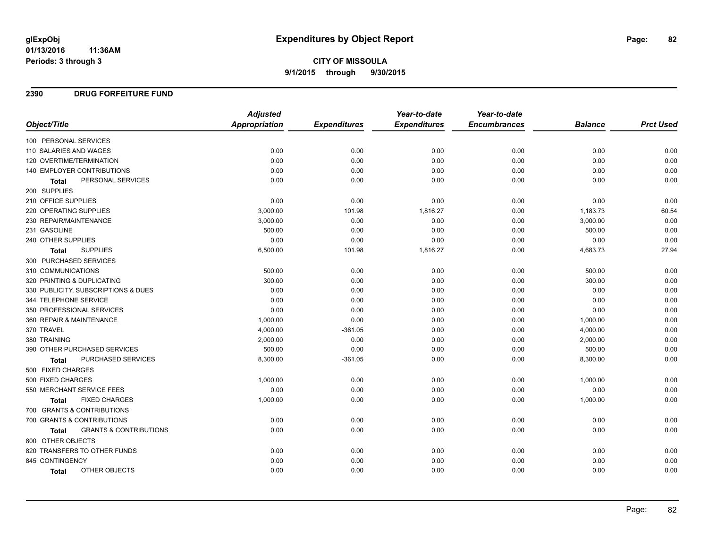# **CITY OF MISSOULA 9/1/2015 through 9/30/2015**

### **2390 DRUG FORFEITURE FUND**

|                                            | <b>Adjusted</b>      |                     | Year-to-date        | Year-to-date        |                |                  |
|--------------------------------------------|----------------------|---------------------|---------------------|---------------------|----------------|------------------|
| Object/Title                               | <b>Appropriation</b> | <b>Expenditures</b> | <b>Expenditures</b> | <b>Encumbrances</b> | <b>Balance</b> | <b>Prct Used</b> |
| 100 PERSONAL SERVICES                      |                      |                     |                     |                     |                |                  |
| 110 SALARIES AND WAGES                     | 0.00                 | 0.00                | 0.00                | 0.00                | 0.00           | 0.00             |
| 120 OVERTIME/TERMINATION                   | 0.00                 | 0.00                | 0.00                | 0.00                | 0.00           | 0.00             |
| 140 EMPLOYER CONTRIBUTIONS                 | 0.00                 | 0.00                | 0.00                | 0.00                | 0.00           | 0.00             |
| PERSONAL SERVICES<br><b>Total</b>          | 0.00                 | 0.00                | 0.00                | 0.00                | 0.00           | 0.00             |
| 200 SUPPLIES                               |                      |                     |                     |                     |                |                  |
| 210 OFFICE SUPPLIES                        | 0.00                 | 0.00                | 0.00                | 0.00                | 0.00           | 0.00             |
| 220 OPERATING SUPPLIES                     | 3,000.00             | 101.98              | 1,816.27            | 0.00                | 1,183.73       | 60.54            |
| 230 REPAIR/MAINTENANCE                     | 3,000.00             | 0.00                | 0.00                | 0.00                | 3,000.00       | 0.00             |
| 231 GASOLINE                               | 500.00               | 0.00                | 0.00                | 0.00                | 500.00         | 0.00             |
| 240 OTHER SUPPLIES                         | 0.00                 | 0.00                | 0.00                | 0.00                | 0.00           | 0.00             |
| <b>SUPPLIES</b><br><b>Total</b>            | 6,500.00             | 101.98              | 1,816.27            | 0.00                | 4,683.73       | 27.94            |
| 300 PURCHASED SERVICES                     |                      |                     |                     |                     |                |                  |
| 310 COMMUNICATIONS                         | 500.00               | 0.00                | 0.00                | 0.00                | 500.00         | 0.00             |
| 320 PRINTING & DUPLICATING                 | 300.00               | 0.00                | 0.00                | 0.00                | 300.00         | 0.00             |
| 330 PUBLICITY, SUBSCRIPTIONS & DUES        | 0.00                 | 0.00                | 0.00                | 0.00                | 0.00           | 0.00             |
| 344 TELEPHONE SERVICE                      | 0.00                 | 0.00                | 0.00                | 0.00                | 0.00           | 0.00             |
| 350 PROFESSIONAL SERVICES                  | 0.00                 | 0.00                | 0.00                | 0.00                | 0.00           | 0.00             |
| 360 REPAIR & MAINTENANCE                   | 1,000.00             | 0.00                | 0.00                | 0.00                | 1,000.00       | 0.00             |
| 370 TRAVEL                                 | 4,000.00             | $-361.05$           | 0.00                | 0.00                | 4,000.00       | 0.00             |
| 380 TRAINING                               | 2,000.00             | 0.00                | 0.00                | 0.00                | 2,000.00       | 0.00             |
| 390 OTHER PURCHASED SERVICES               | 500.00               | 0.00                | 0.00                | 0.00                | 500.00         | 0.00             |
| PURCHASED SERVICES<br><b>Total</b>         | 8,300.00             | $-361.05$           | 0.00                | 0.00                | 8,300.00       | 0.00             |
| 500 FIXED CHARGES                          |                      |                     |                     |                     |                |                  |
| 500 FIXED CHARGES                          | 1,000.00             | 0.00                | 0.00                | 0.00                | 1,000.00       | 0.00             |
| 550 MERCHANT SERVICE FEES                  | 0.00                 | 0.00                | 0.00                | 0.00                | 0.00           | 0.00             |
| <b>FIXED CHARGES</b><br><b>Total</b>       | 1,000.00             | 0.00                | 0.00                | 0.00                | 1,000.00       | 0.00             |
| 700 GRANTS & CONTRIBUTIONS                 |                      |                     |                     |                     |                |                  |
| 700 GRANTS & CONTRIBUTIONS                 | 0.00                 | 0.00                | 0.00                | 0.00                | 0.00           | 0.00             |
| <b>GRANTS &amp; CONTRIBUTIONS</b><br>Total | 0.00                 | 0.00                | 0.00                | 0.00                | 0.00           | 0.00             |
| 800 OTHER OBJECTS                          |                      |                     |                     |                     |                |                  |
| 820 TRANSFERS TO OTHER FUNDS               | 0.00                 | 0.00                | 0.00                | 0.00                | 0.00           | 0.00             |
| 845 CONTINGENCY                            | 0.00                 | 0.00                | 0.00                | 0.00                | 0.00           | 0.00             |
| OTHER OBJECTS<br><b>Total</b>              | 0.00                 | 0.00                | 0.00                | 0.00                | 0.00           | 0.00             |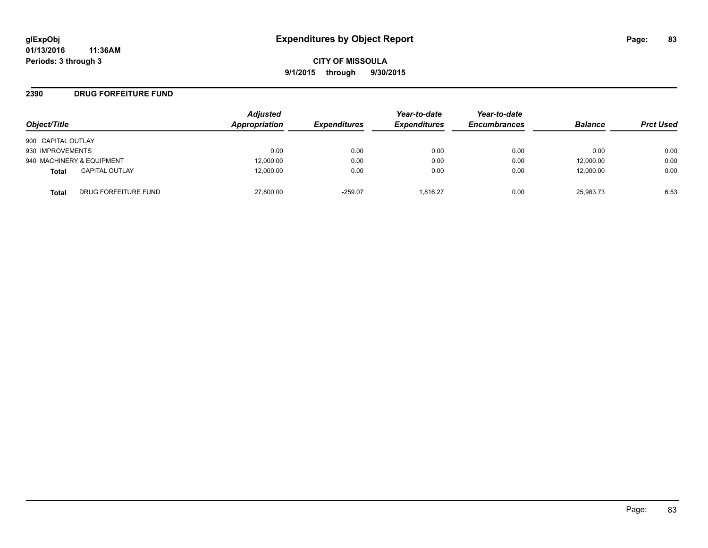### **2390 DRUG FORFEITURE FUND**

| Object/Title       |                           | <b>Adjusted</b><br>Appropriation | <b>Expenditures</b> | Year-to-date<br><b>Expenditures</b> | Year-to-date<br><b>Encumbrances</b> | <b>Balance</b> | <b>Prct Used</b> |
|--------------------|---------------------------|----------------------------------|---------------------|-------------------------------------|-------------------------------------|----------------|------------------|
| 900 CAPITAL OUTLAY |                           |                                  |                     |                                     |                                     |                |                  |
| 930 IMPROVEMENTS   |                           | 0.00                             | 0.00                | 0.00                                | 0.00                                | 0.00           | 0.00             |
|                    | 940 MACHINERY & EQUIPMENT | 12,000.00                        | 0.00                | 0.00                                | 0.00                                | 12,000.00      | 0.00             |
| <b>Total</b>       | <b>CAPITAL OUTLAY</b>     | 12.000.00                        | 0.00                | 0.00                                | 0.00                                | 12,000.00      | 0.00             |
| Total              | DRUG FORFEITURE FUND      | 27,800.00                        | $-259.07$           | 1.816.27                            | 0.00                                | 25.983.73      | 6.53             |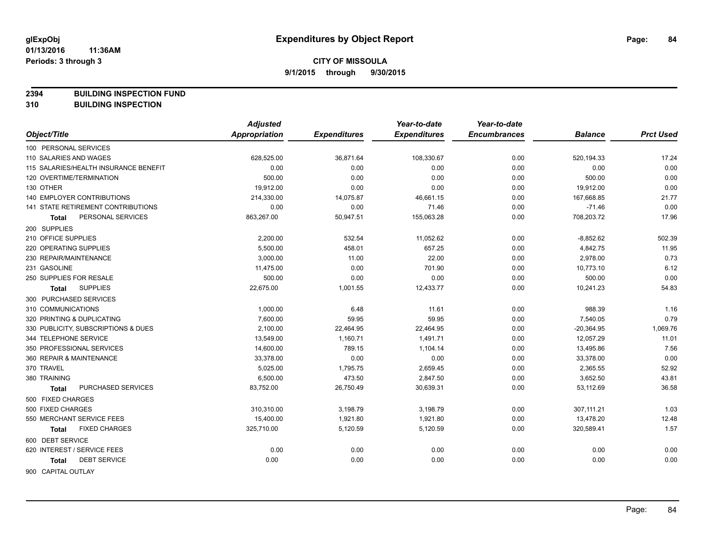**2394 BUILDING INSPECTION FUND**

**310 BUILDING INSPECTION**

|                                           | <b>Adjusted</b>      |                     | Year-to-date        | Year-to-date        |                |                  |
|-------------------------------------------|----------------------|---------------------|---------------------|---------------------|----------------|------------------|
| Object/Title                              | <b>Appropriation</b> | <b>Expenditures</b> | <b>Expenditures</b> | <b>Encumbrances</b> | <b>Balance</b> | <b>Prct Used</b> |
| 100 PERSONAL SERVICES                     |                      |                     |                     |                     |                |                  |
| 110 SALARIES AND WAGES                    | 628,525.00           | 36,871.64           | 108,330.67          | 0.00                | 520, 194.33    | 17.24            |
| 115 SALARIES/HEALTH INSURANCE BENEFIT     | 0.00                 | 0.00                | 0.00                | 0.00                | 0.00           | 0.00             |
| 120 OVERTIME/TERMINATION                  | 500.00               | 0.00                | 0.00                | 0.00                | 500.00         | 0.00             |
| 130 OTHER                                 | 19,912.00            | 0.00                | 0.00                | 0.00                | 19,912.00      | 0.00             |
| <b>140 EMPLOYER CONTRIBUTIONS</b>         | 214,330.00           | 14,075.87           | 46,661.15           | 0.00                | 167,668.85     | 21.77            |
| <b>141 STATE RETIREMENT CONTRIBUTIONS</b> | 0.00                 | 0.00                | 71.46               | 0.00                | $-71.46$       | 0.00             |
| PERSONAL SERVICES<br>Total                | 863,267.00           | 50,947.51           | 155,063.28          | 0.00                | 708,203.72     | 17.96            |
| 200 SUPPLIES                              |                      |                     |                     |                     |                |                  |
| 210 OFFICE SUPPLIES                       | 2,200.00             | 532.54              | 11,052.62           | 0.00                | $-8,852.62$    | 502.39           |
| 220 OPERATING SUPPLIES                    | 5,500.00             | 458.01              | 657.25              | 0.00                | 4,842.75       | 11.95            |
| 230 REPAIR/MAINTENANCE                    | 3,000.00             | 11.00               | 22.00               | 0.00                | 2,978.00       | 0.73             |
| 231 GASOLINE                              | 11,475.00            | 0.00                | 701.90              | 0.00                | 10,773.10      | 6.12             |
| 250 SUPPLIES FOR RESALE                   | 500.00               | 0.00                | 0.00                | 0.00                | 500.00         | 0.00             |
| <b>SUPPLIES</b><br>Total                  | 22,675.00            | 1,001.55            | 12,433.77           | 0.00                | 10,241.23      | 54.83            |
| 300 PURCHASED SERVICES                    |                      |                     |                     |                     |                |                  |
| 310 COMMUNICATIONS                        | 1,000.00             | 6.48                | 11.61               | 0.00                | 988.39         | 1.16             |
| 320 PRINTING & DUPLICATING                | 7,600.00             | 59.95               | 59.95               | 0.00                | 7,540.05       | 0.79             |
| 330 PUBLICITY, SUBSCRIPTIONS & DUES       | 2,100.00             | 22,464.95           | 22,464.95           | 0.00                | $-20,364.95$   | 1,069.76         |
| 344 TELEPHONE SERVICE                     | 13,549.00            | 1,160.71            | 1,491.71            | 0.00                | 12,057.29      | 11.01            |
| 350 PROFESSIONAL SERVICES                 | 14,600.00            | 789.15              | 1,104.14            | 0.00                | 13,495.86      | 7.56             |
| 360 REPAIR & MAINTENANCE                  | 33,378.00            | 0.00                | 0.00                | 0.00                | 33,378.00      | 0.00             |
| 370 TRAVEL                                | 5,025.00             | 1,795.75            | 2,659.45            | 0.00                | 2,365.55       | 52.92            |
| 380 TRAINING                              | 6,500.00             | 473.50              | 2,847.50            | 0.00                | 3,652.50       | 43.81            |
| PURCHASED SERVICES<br>Total               | 83,752.00            | 26,750.49           | 30,639.31           | 0.00                | 53,112.69      | 36.58            |
| 500 FIXED CHARGES                         |                      |                     |                     |                     |                |                  |
| 500 FIXED CHARGES                         | 310,310.00           | 3,198.79            | 3,198.79            | 0.00                | 307,111.21     | 1.03             |
| 550 MERCHANT SERVICE FEES                 | 15,400.00            | 1,921.80            | 1,921.80            | 0.00                | 13,478.20      | 12.48            |
| <b>FIXED CHARGES</b><br>Total             | 325,710.00           | 5,120.59            | 5,120.59            | 0.00                | 320,589.41     | 1.57             |
| 600 DEBT SERVICE                          |                      |                     |                     |                     |                |                  |
| 620 INTEREST / SERVICE FEES               | 0.00                 | 0.00                | 0.00                | 0.00                | 0.00           | 0.00             |
| <b>DEBT SERVICE</b><br><b>Total</b>       | 0.00                 | 0.00                | 0.00                | 0.00                | 0.00           | 0.00             |
| 900 CAPITAL OUTLAY                        |                      |                     |                     |                     |                |                  |

Page: 84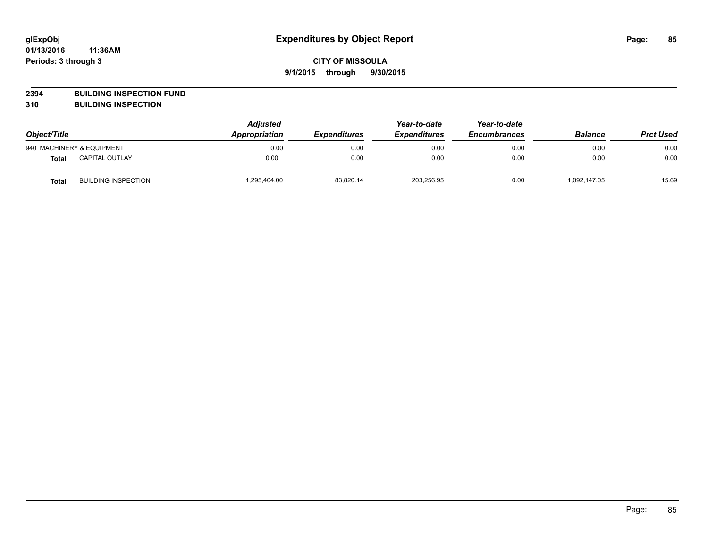**2394 BUILDING INSPECTION FUND**

**310 BUILDING INSPECTION**

| Object/Title |                            | <b>Adjusted</b><br>Appropriation<br><b>Expenditures</b> | Year-to-date<br><b>Expenditures</b> | Year-to-date<br><b>Encumbrances</b> | <b>Balance</b> | <b>Prct Used</b> |       |
|--------------|----------------------------|---------------------------------------------------------|-------------------------------------|-------------------------------------|----------------|------------------|-------|
|              | 940 MACHINERY & EQUIPMENT  | 0.00                                                    | 0.00                                | 0.00                                | 0.00           | 0.00             | 0.00  |
| <b>Total</b> | <b>CAPITAL OUTLAY</b>      | 0.00                                                    | 0.00                                | 0.00                                | 0.00           | 0.00             | 0.00  |
| <b>Total</b> | <b>BUILDING INSPECTION</b> | 1,295,404.00                                            | 83,820.14                           | 203,256.95                          | 0.00           | 1,092,147.05     | 15.69 |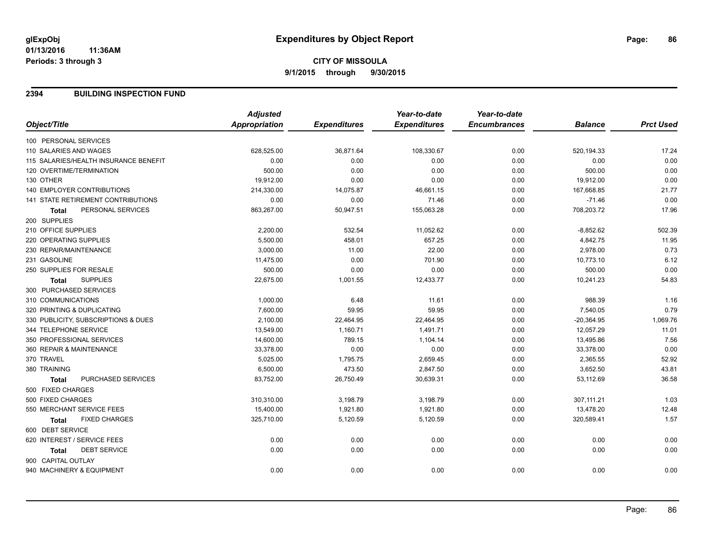### **2394 BUILDING INSPECTION FUND**

|                                       | <b>Adjusted</b>      |                     | Year-to-date        | Year-to-date        |                |                  |
|---------------------------------------|----------------------|---------------------|---------------------|---------------------|----------------|------------------|
| Object/Title                          | <b>Appropriation</b> | <b>Expenditures</b> | <b>Expenditures</b> | <b>Encumbrances</b> | <b>Balance</b> | <b>Prct Used</b> |
| 100 PERSONAL SERVICES                 |                      |                     |                     |                     |                |                  |
| 110 SALARIES AND WAGES                | 628,525.00           | 36,871.64           | 108,330.67          | 0.00                | 520,194.33     | 17.24            |
| 115 SALARIES/HEALTH INSURANCE BENEFIT | 0.00                 | 0.00                | 0.00                | 0.00                | 0.00           | 0.00             |
| 120 OVERTIME/TERMINATION              | 500.00               | 0.00                | 0.00                | 0.00                | 500.00         | 0.00             |
| 130 OTHER                             | 19,912.00            | 0.00                | 0.00                | 0.00                | 19,912.00      | 0.00             |
| <b>140 EMPLOYER CONTRIBUTIONS</b>     | 214,330.00           | 14,075.87           | 46,661.15           | 0.00                | 167,668.85     | 21.77            |
| 141 STATE RETIREMENT CONTRIBUTIONS    | 0.00                 | 0.00                | 71.46               | 0.00                | $-71.46$       | 0.00             |
| PERSONAL SERVICES<br><b>Total</b>     | 863,267.00           | 50,947.51           | 155,063.28          | 0.00                | 708,203.72     | 17.96            |
| 200 SUPPLIES                          |                      |                     |                     |                     |                |                  |
| 210 OFFICE SUPPLIES                   | 2,200.00             | 532.54              | 11,052.62           | 0.00                | $-8,852.62$    | 502.39           |
| 220 OPERATING SUPPLIES                | 5.500.00             | 458.01              | 657.25              | 0.00                | 4,842.75       | 11.95            |
| 230 REPAIR/MAINTENANCE                | 3,000.00             | 11.00               | 22.00               | 0.00                | 2,978.00       | 0.73             |
| 231 GASOLINE                          | 11,475.00            | 0.00                | 701.90              | 0.00                | 10,773.10      | 6.12             |
| 250 SUPPLIES FOR RESALE               | 500.00               | 0.00                | 0.00                | 0.00                | 500.00         | 0.00             |
| <b>SUPPLIES</b><br><b>Total</b>       | 22,675.00            | 1,001.55            | 12,433.77           | 0.00                | 10,241.23      | 54.83            |
| 300 PURCHASED SERVICES                |                      |                     |                     |                     |                |                  |
| 310 COMMUNICATIONS                    | 1,000.00             | 6.48                | 11.61               | 0.00                | 988.39         | 1.16             |
| 320 PRINTING & DUPLICATING            | 7,600.00             | 59.95               | 59.95               | 0.00                | 7,540.05       | 0.79             |
| 330 PUBLICITY, SUBSCRIPTIONS & DUES   | 2,100.00             | 22,464.95           | 22,464.95           | 0.00                | $-20,364.95$   | 1,069.76         |
| 344 TELEPHONE SERVICE                 | 13,549.00            | 1,160.71            | 1,491.71            | 0.00                | 12,057.29      | 11.01            |
| 350 PROFESSIONAL SERVICES             | 14,600.00            | 789.15              | 1,104.14            | 0.00                | 13,495.86      | 7.56             |
| 360 REPAIR & MAINTENANCE              | 33,378.00            | 0.00                | 0.00                | 0.00                | 33,378.00      | 0.00             |
| 370 TRAVEL                            | 5,025.00             | 1,795.75            | 2,659.45            | 0.00                | 2,365.55       | 52.92            |
| 380 TRAINING                          | 6,500.00             | 473.50              | 2,847.50            | 0.00                | 3,652.50       | 43.81            |
| PURCHASED SERVICES<br><b>Total</b>    | 83,752.00            | 26,750.49           | 30,639.31           | 0.00                | 53,112.69      | 36.58            |
| 500 FIXED CHARGES                     |                      |                     |                     |                     |                |                  |
| 500 FIXED CHARGES                     | 310,310.00           | 3,198.79            | 3,198.79            | 0.00                | 307,111.21     | 1.03             |
| 550 MERCHANT SERVICE FEES             | 15,400.00            | 1,921.80            | 1,921.80            | 0.00                | 13,478.20      | 12.48            |
| <b>FIXED CHARGES</b><br>Total         | 325,710.00           | 5,120.59            | 5,120.59            | 0.00                | 320,589.41     | 1.57             |
| 600 DEBT SERVICE                      |                      |                     |                     |                     |                |                  |
| 620 INTEREST / SERVICE FEES           | 0.00                 | 0.00                | 0.00                | 0.00                | 0.00           | 0.00             |
| <b>DEBT SERVICE</b><br><b>Total</b>   | 0.00                 | 0.00                | 0.00                | 0.00                | 0.00           | 0.00             |
| 900 CAPITAL OUTLAY                    |                      |                     |                     |                     |                |                  |
| 940 MACHINERY & EQUIPMENT             | 0.00                 | 0.00                | 0.00                | 0.00                | 0.00           | 0.00             |
|                                       |                      |                     |                     |                     |                |                  |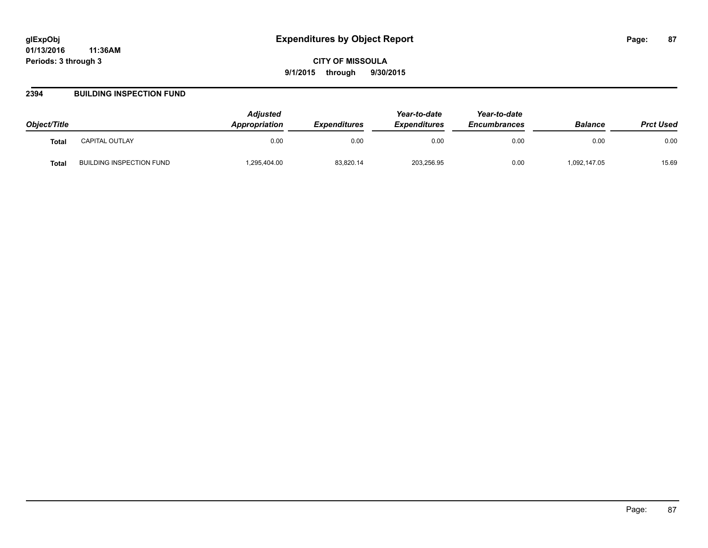### **2394 BUILDING INSPECTION FUND**

| Object/Title |                          | <b>Adjusted</b><br><b>Appropriation</b> | <b>Expenditures</b> | Year-to-date<br><b>Expenditures</b> | Year-to-date<br><b>Encumbrances</b> | <b>Balance</b> | <b>Prct Used</b> |
|--------------|--------------------------|-----------------------------------------|---------------------|-------------------------------------|-------------------------------------|----------------|------------------|
| <b>Total</b> | CAPITAL OUTLAY           | 0.00                                    | 0.00                | 0.00                                | 0.00                                | 0.00           | 0.00             |
| Total        | BUILDING INSPECTION FUND | .295,404.00                             | 83,820.14           | 203,256.95                          | 0.00                                | 1,092,147.05   | 15.69            |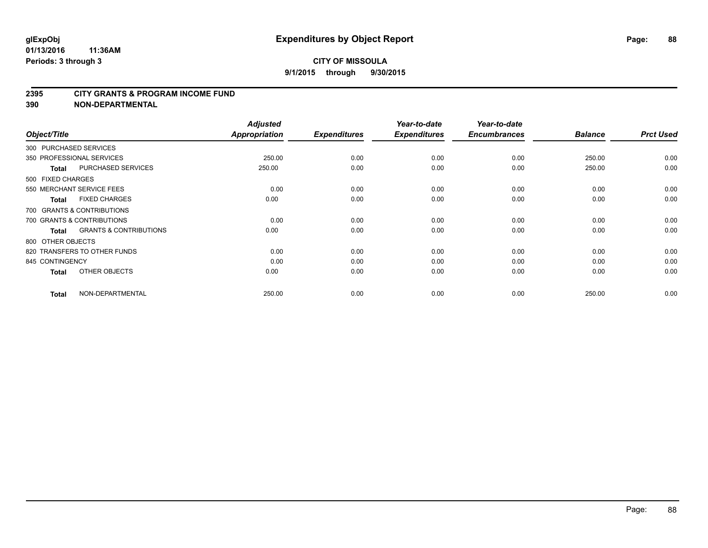#### **2395 CITY GRANTS & PROGRAM INCOME FUND**

**390 NON-DEPARTMENTAL**

| Object/Title           |                                   | <b>Adjusted</b><br>Appropriation | <b>Expenditures</b> | Year-to-date<br><b>Expenditures</b> | Year-to-date<br><b>Encumbrances</b> | <b>Balance</b> | <b>Prct Used</b> |
|------------------------|-----------------------------------|----------------------------------|---------------------|-------------------------------------|-------------------------------------|----------------|------------------|
| 300 PURCHASED SERVICES |                                   |                                  |                     |                                     |                                     |                |                  |
|                        | 350 PROFESSIONAL SERVICES         | 250.00                           | 0.00                | 0.00                                | 0.00                                | 250.00         | 0.00             |
| <b>Total</b>           | <b>PURCHASED SERVICES</b>         | 250.00                           | 0.00                | 0.00                                | 0.00                                | 250.00         | 0.00             |
| 500 FIXED CHARGES      |                                   |                                  |                     |                                     |                                     |                |                  |
|                        | 550 MERCHANT SERVICE FEES         | 0.00                             | 0.00                | 0.00                                | 0.00                                | 0.00           | 0.00             |
| <b>Total</b>           | <b>FIXED CHARGES</b>              | 0.00                             | 0.00                | 0.00                                | 0.00                                | 0.00           | 0.00             |
|                        | 700 GRANTS & CONTRIBUTIONS        |                                  |                     |                                     |                                     |                |                  |
|                        | 700 GRANTS & CONTRIBUTIONS        | 0.00                             | 0.00                | 0.00                                | 0.00                                | 0.00           | 0.00             |
| <b>Total</b>           | <b>GRANTS &amp; CONTRIBUTIONS</b> | 0.00                             | 0.00                | 0.00                                | 0.00                                | 0.00           | 0.00             |
| 800 OTHER OBJECTS      |                                   |                                  |                     |                                     |                                     |                |                  |
|                        | 820 TRANSFERS TO OTHER FUNDS      | 0.00                             | 0.00                | 0.00                                | 0.00                                | 0.00           | 0.00             |
| 845 CONTINGENCY        |                                   | 0.00                             | 0.00                | 0.00                                | 0.00                                | 0.00           | 0.00             |
| <b>Total</b>           | OTHER OBJECTS                     | 0.00                             | 0.00                | 0.00                                | 0.00                                | 0.00           | 0.00             |
| <b>Total</b>           | NON-DEPARTMENTAL                  | 250.00                           | 0.00                | 0.00                                | 0.00                                | 250.00         | 0.00             |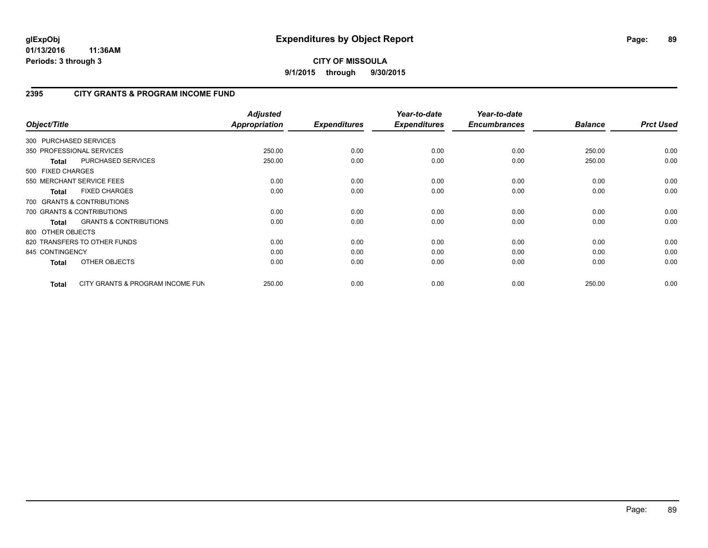# **2395 CITY GRANTS & PROGRAM INCOME FUND**

| Object/Title           |                                   | <b>Adjusted</b><br>Appropriation | <b>Expenditures</b> | Year-to-date<br><b>Expenditures</b> | Year-to-date<br><b>Encumbrances</b> | <b>Balance</b> | <b>Prct Used</b> |
|------------------------|-----------------------------------|----------------------------------|---------------------|-------------------------------------|-------------------------------------|----------------|------------------|
| 300 PURCHASED SERVICES |                                   |                                  |                     |                                     |                                     |                |                  |
|                        | 350 PROFESSIONAL SERVICES         | 250.00                           | 0.00                | 0.00                                | 0.00                                | 250.00         | 0.00             |
| <b>Total</b>           | PURCHASED SERVICES                | 250.00                           | 0.00                | 0.00                                | 0.00                                | 250.00         | 0.00             |
| 500 FIXED CHARGES      |                                   |                                  |                     |                                     |                                     |                |                  |
|                        | 550 MERCHANT SERVICE FEES         | 0.00                             | 0.00                | 0.00                                | 0.00                                | 0.00           | 0.00             |
| <b>Total</b>           | <b>FIXED CHARGES</b>              | 0.00                             | 0.00                | 0.00                                | 0.00                                | 0.00           | 0.00             |
|                        | 700 GRANTS & CONTRIBUTIONS        |                                  |                     |                                     |                                     |                |                  |
|                        | 700 GRANTS & CONTRIBUTIONS        | 0.00                             | 0.00                | 0.00                                | 0.00                                | 0.00           | 0.00             |
| <b>Total</b>           | <b>GRANTS &amp; CONTRIBUTIONS</b> | 0.00                             | 0.00                | 0.00                                | 0.00                                | 0.00           | 0.00             |
| 800 OTHER OBJECTS      |                                   |                                  |                     |                                     |                                     |                |                  |
|                        | 820 TRANSFERS TO OTHER FUNDS      | 0.00                             | 0.00                | 0.00                                | 0.00                                | 0.00           | 0.00             |
| 845 CONTINGENCY        |                                   | 0.00                             | 0.00                | 0.00                                | 0.00                                | 0.00           | 0.00             |
| <b>Total</b>           | OTHER OBJECTS                     | 0.00                             | 0.00                | 0.00                                | 0.00                                | 0.00           | 0.00             |
| Total                  | CITY GRANTS & PROGRAM INCOME FUN  | 250.00                           | 0.00                | 0.00                                | 0.00                                | 250.00         | 0.00             |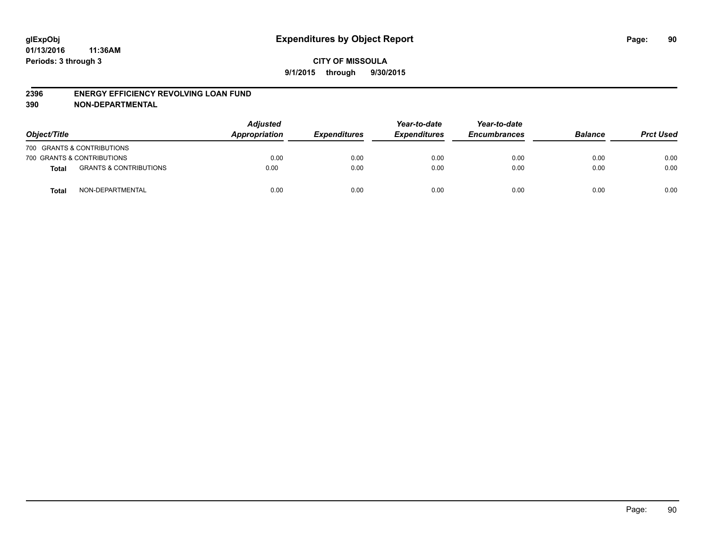#### **2396 ENERGY EFFICIENCY REVOLVING LOAN FUND**

**390 NON-DEPARTMENTAL**

| Object/Title |                                   | <b>Adjusted</b><br>Appropriation | <b>Expenditures</b> | Year-to-date<br><b>Expenditures</b> | Year-to-date<br><b>Encumbrances</b> | <b>Balance</b> | <b>Prct Used</b> |
|--------------|-----------------------------------|----------------------------------|---------------------|-------------------------------------|-------------------------------------|----------------|------------------|
|              | 700 GRANTS & CONTRIBUTIONS        |                                  |                     |                                     |                                     |                |                  |
|              | 700 GRANTS & CONTRIBUTIONS        | 0.00                             | 0.00                | 0.00                                | 0.00                                | 0.00           | 0.00             |
| <b>Total</b> | <b>GRANTS &amp; CONTRIBUTIONS</b> | 0.00                             | 0.00                | 0.00                                | 0.00                                | 0.00           | 0.00             |
| <b>Total</b> | NON-DEPARTMENTAL                  | 0.00                             | 0.00                | 0.00                                | 0.00                                | 0.00           | 0.00             |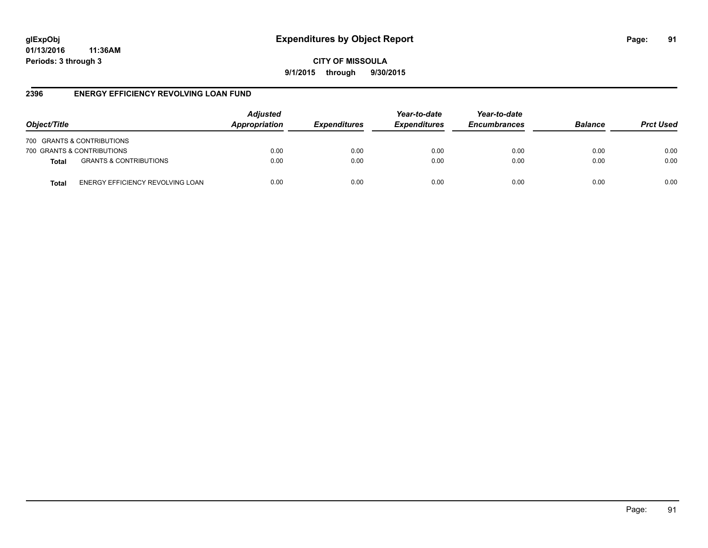**CITY OF MISSOULA 9/1/2015 through 9/30/2015**

### **2396 ENERGY EFFICIENCY REVOLVING LOAN FUND**

| Object/Title |                                   | <b>Adjusted</b><br>Appropriation | <b>Expenditures</b> | Year-to-date<br><b>Expenditures</b> | Year-to-date<br><b>Encumbrances</b> | <b>Balance</b> | <b>Prct Used</b> |
|--------------|-----------------------------------|----------------------------------|---------------------|-------------------------------------|-------------------------------------|----------------|------------------|
|              | 700 GRANTS & CONTRIBUTIONS        |                                  |                     |                                     |                                     |                |                  |
|              | 700 GRANTS & CONTRIBUTIONS        | 0.00                             | 0.00                | 0.00                                | 0.00                                | 0.00           | 0.00             |
| <b>Total</b> | <b>GRANTS &amp; CONTRIBUTIONS</b> | 0.00                             | 0.00                | 0.00                                | 0.00                                | 0.00           | 0.00             |
| Total        | ENERGY EFFICIENCY REVOLVING LOAN  | 0.00                             | 0.00                | 0.00                                | 0.00                                | 0.00           | 0.00             |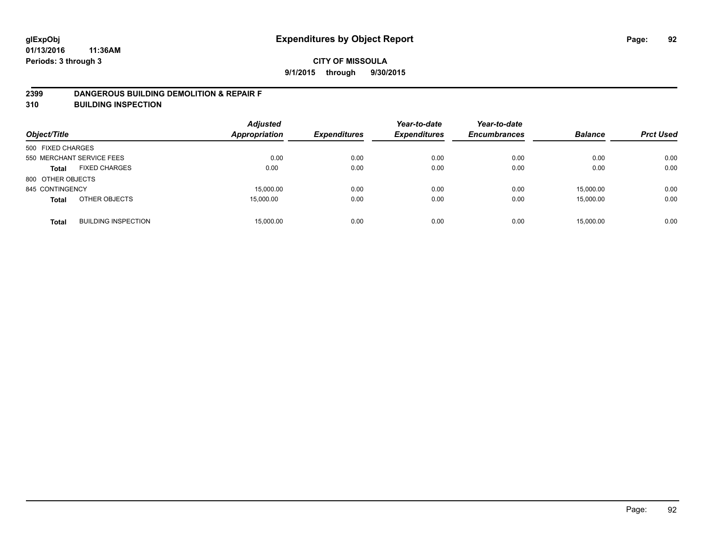### **2399 DANGEROUS BUILDING DEMOLITION & REPAIR F**

**310 BUILDING INSPECTION**

| Object/Title      |                            | <b>Adjusted</b><br><b>Appropriation</b> | <b>Expenditures</b> | Year-to-date<br><b>Expenditures</b> | Year-to-date<br><b>Encumbrances</b> | <b>Balance</b> | <b>Prct Used</b> |
|-------------------|----------------------------|-----------------------------------------|---------------------|-------------------------------------|-------------------------------------|----------------|------------------|
| 500 FIXED CHARGES |                            |                                         |                     |                                     |                                     |                |                  |
|                   | 550 MERCHANT SERVICE FEES  | 0.00                                    | 0.00                | 0.00                                | 0.00                                | 0.00           | 0.00             |
| <b>Total</b>      | <b>FIXED CHARGES</b>       | 0.00                                    | 0.00                | 0.00                                | 0.00                                | 0.00           | 0.00             |
| 800 OTHER OBJECTS |                            |                                         |                     |                                     |                                     |                |                  |
| 845 CONTINGENCY   |                            | 15,000.00                               | 0.00                | 0.00                                | 0.00                                | 15,000.00      | 0.00             |
| <b>Total</b>      | OTHER OBJECTS              | 15,000.00                               | 0.00                | 0.00                                | 0.00                                | 15,000.00      | 0.00             |
| <b>Total</b>      | <b>BUILDING INSPECTION</b> | 15,000.00                               | 0.00                | 0.00                                | 0.00                                | 15.000.00      | 0.00             |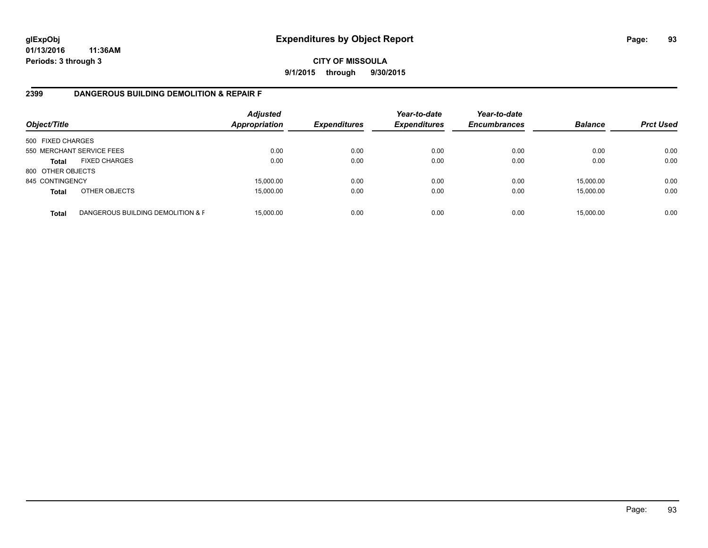### **CITY OF MISSOULA 9/1/2015 through 9/30/2015**

# **2399 DANGEROUS BUILDING DEMOLITION & REPAIR F**

| Object/Title      |                                   | <b>Adjusted</b><br>Appropriation | <b>Expenditures</b> | Year-to-date<br><b>Expenditures</b> | Year-to-date<br><b>Encumbrances</b> | <b>Balance</b> | <b>Prct Used</b> |
|-------------------|-----------------------------------|----------------------------------|---------------------|-------------------------------------|-------------------------------------|----------------|------------------|
| 500 FIXED CHARGES |                                   |                                  |                     |                                     |                                     |                |                  |
|                   | 550 MERCHANT SERVICE FEES         | 0.00                             | 0.00                | 0.00                                | 0.00                                | 0.00           | 0.00             |
| <b>Total</b>      | <b>FIXED CHARGES</b>              | 0.00                             | 0.00                | 0.00                                | 0.00                                | 0.00           | 0.00             |
| 800 OTHER OBJECTS |                                   |                                  |                     |                                     |                                     |                |                  |
| 845 CONTINGENCY   |                                   | 15,000.00                        | 0.00                | 0.00                                | 0.00                                | 15,000.00      | 0.00             |
| <b>Total</b>      | OTHER OBJECTS                     | 15,000.00                        | 0.00                | 0.00                                | 0.00                                | 15,000.00      | 0.00             |
| <b>Total</b>      | DANGEROUS BUILDING DEMOLITION & F | 15.000.00                        | 0.00                | 0.00                                | 0.00                                | 15,000.00      | 0.00             |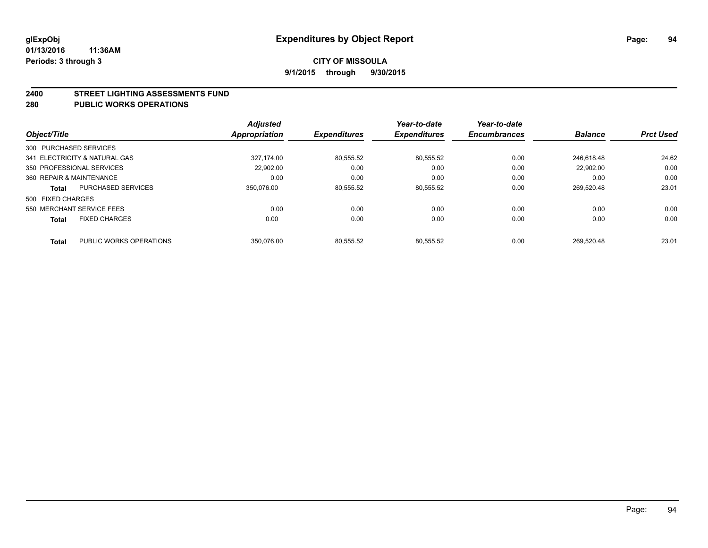#### **2400 STREET LIGHTING ASSESSMENTS FUND**

#### **280 PUBLIC WORKS OPERATIONS**

| Object/Title             |                               | <b>Adjusted</b><br><b>Appropriation</b> | <b>Expenditures</b> | Year-to-date<br><b>Expenditures</b> | Year-to-date<br><b>Encumbrances</b> | <b>Balance</b> | <b>Prct Used</b> |
|--------------------------|-------------------------------|-----------------------------------------|---------------------|-------------------------------------|-------------------------------------|----------------|------------------|
|                          |                               |                                         |                     |                                     |                                     |                |                  |
| 300 PURCHASED SERVICES   |                               |                                         |                     |                                     |                                     |                |                  |
|                          | 341 ELECTRICITY & NATURAL GAS | 327.174.00                              | 80,555.52           | 80.555.52                           | 0.00                                | 246.618.48     | 24.62            |
|                          | 350 PROFESSIONAL SERVICES     | 22.902.00                               | 0.00                | 0.00                                | 0.00                                | 22.902.00      | 0.00             |
| 360 REPAIR & MAINTENANCE |                               | 0.00                                    | 0.00                | 0.00                                | 0.00                                | 0.00           | 0.00             |
| <b>Total</b>             | <b>PURCHASED SERVICES</b>     | 350.076.00                              | 80,555.52           | 80,555.52                           | 0.00                                | 269.520.48     | 23.01            |
| 500 FIXED CHARGES        |                               |                                         |                     |                                     |                                     |                |                  |
|                          | 550 MERCHANT SERVICE FEES     | 0.00                                    | 0.00                | 0.00                                | 0.00                                | 0.00           | 0.00             |
| <b>Total</b>             | <b>FIXED CHARGES</b>          | 0.00                                    | 0.00                | 0.00                                | 0.00                                | 0.00           | 0.00             |
| <b>Total</b>             | PUBLIC WORKS OPERATIONS       | 350.076.00                              | 80.555.52           | 80.555.52                           | 0.00                                | 269.520.48     | 23.01            |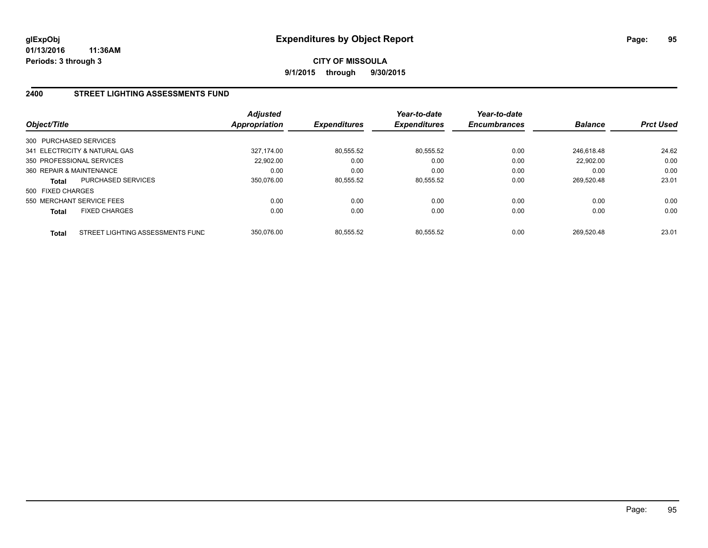# **2400 STREET LIGHTING ASSESSMENTS FUND**

| Object/Title             |                                  | <b>Adjusted</b><br>Appropriation | <b>Expenditures</b> | Year-to-date<br><b>Expenditures</b> | Year-to-date<br><b>Encumbrances</b> | <b>Balance</b> | <b>Prct Used</b> |
|--------------------------|----------------------------------|----------------------------------|---------------------|-------------------------------------|-------------------------------------|----------------|------------------|
| 300 PURCHASED SERVICES   |                                  |                                  |                     |                                     |                                     |                |                  |
|                          | 341 ELECTRICITY & NATURAL GAS    | 327.174.00                       | 80,555.52           | 80.555.52                           | 0.00                                | 246.618.48     | 24.62            |
|                          | 350 PROFESSIONAL SERVICES        | 22.902.00                        | 0.00                | 0.00                                | 0.00                                | 22.902.00      | 0.00             |
| 360 REPAIR & MAINTENANCE |                                  | 0.00                             | 0.00                | 0.00                                | 0.00                                | 0.00           | 0.00             |
| Total                    | <b>PURCHASED SERVICES</b>        | 350.076.00                       | 80,555.52           | 80,555.52                           | 0.00                                | 269.520.48     | 23.01            |
| 500 FIXED CHARGES        |                                  |                                  |                     |                                     |                                     |                |                  |
|                          | 550 MERCHANT SERVICE FEES        | 0.00                             | 0.00                | 0.00                                | 0.00                                | 0.00           | 0.00             |
| <b>Total</b>             | <b>FIXED CHARGES</b>             | 0.00                             | 0.00                | 0.00                                | 0.00                                | 0.00           | 0.00             |
| <b>Total</b>             | STREET LIGHTING ASSESSMENTS FUND | 350.076.00                       | 80.555.52           | 80.555.52                           | 0.00                                | 269.520.48     | 23.01            |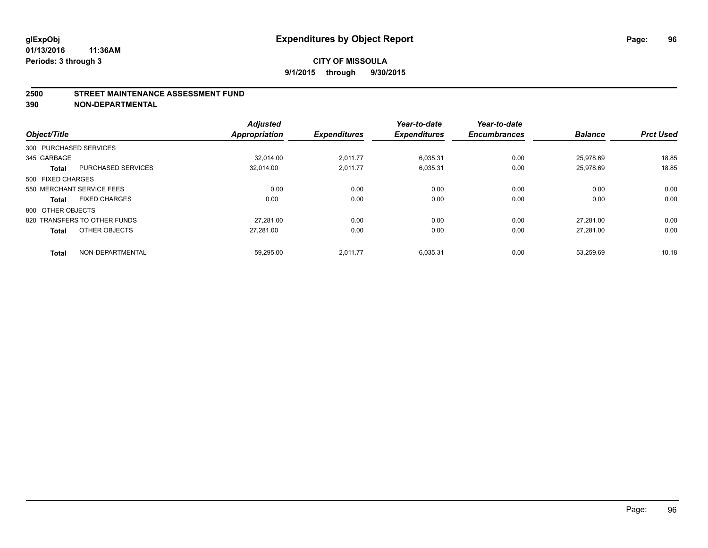#### **2500 STREET MAINTENANCE ASSESSMENT FUND**

**390 NON-DEPARTMENTAL**

| Object/Title           |                              | <b>Adjusted</b><br><b>Appropriation</b> | <b>Expenditures</b> | Year-to-date<br><b>Expenditures</b> | Year-to-date<br><b>Encumbrances</b> | <b>Balance</b> | <b>Prct Used</b> |
|------------------------|------------------------------|-----------------------------------------|---------------------|-------------------------------------|-------------------------------------|----------------|------------------|
| 300 PURCHASED SERVICES |                              |                                         |                     |                                     |                                     |                |                  |
| 345 GARBAGE            |                              | 32.014.00                               | 2,011.77            | 6,035.31                            | 0.00                                | 25.978.69      | 18.85            |
| <b>Total</b>           | <b>PURCHASED SERVICES</b>    | 32,014.00                               | 2,011.77            | 6,035.31                            | 0.00                                | 25,978.69      | 18.85            |
| 500 FIXED CHARGES      |                              |                                         |                     |                                     |                                     |                |                  |
|                        | 550 MERCHANT SERVICE FEES    | 0.00                                    | 0.00                | 0.00                                | 0.00                                | 0.00           | 0.00             |
| Total                  | <b>FIXED CHARGES</b>         | 0.00                                    | 0.00                | 0.00                                | 0.00                                | 0.00           | 0.00             |
| 800 OTHER OBJECTS      |                              |                                         |                     |                                     |                                     |                |                  |
|                        | 820 TRANSFERS TO OTHER FUNDS | 27.281.00                               | 0.00                | 0.00                                | 0.00                                | 27.281.00      | 0.00             |
| <b>Total</b>           | OTHER OBJECTS                | 27.281.00                               | 0.00                | 0.00                                | 0.00                                | 27,281.00      | 0.00             |
| <b>Total</b>           | NON-DEPARTMENTAL             | 59,295.00                               | 2,011.77            | 6,035.31                            | 0.00                                | 53.259.69      | 10.18            |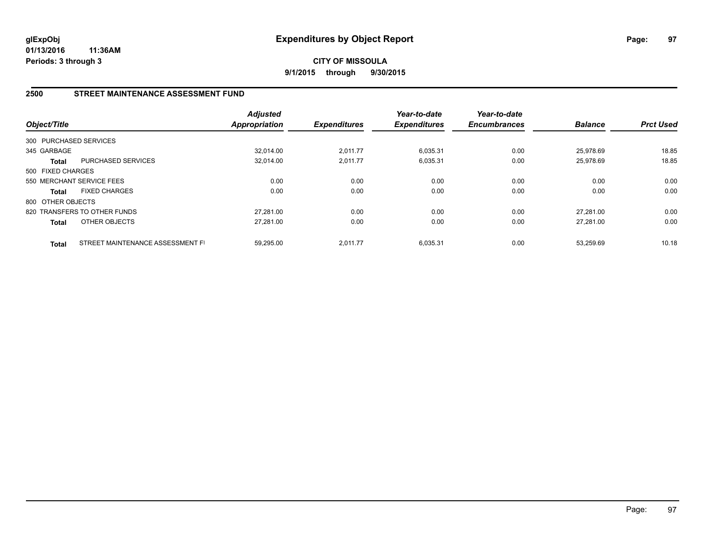**CITY OF MISSOULA 9/1/2015 through 9/30/2015**

## **2500 STREET MAINTENANCE ASSESSMENT FUND**

| Object/Title           |                                  | <b>Adjusted</b><br><b>Appropriation</b> | <b>Expenditures</b> | Year-to-date<br><b>Expenditures</b> | Year-to-date<br><b>Encumbrances</b> | <b>Balance</b> | <b>Prct Used</b> |
|------------------------|----------------------------------|-----------------------------------------|---------------------|-------------------------------------|-------------------------------------|----------------|------------------|
| 300 PURCHASED SERVICES |                                  |                                         |                     |                                     |                                     |                |                  |
| 345 GARBAGE            |                                  | 32.014.00                               | 2,011.77            | 6,035.31                            | 0.00                                | 25.978.69      | 18.85            |
| Total                  | PURCHASED SERVICES               | 32,014.00                               | 2,011.77            | 6,035.31                            | 0.00                                | 25,978.69      | 18.85            |
| 500 FIXED CHARGES      |                                  |                                         |                     |                                     |                                     |                |                  |
|                        | 550 MERCHANT SERVICE FEES        | 0.00                                    | 0.00                | 0.00                                | 0.00                                | 0.00           | 0.00             |
| <b>Total</b>           | <b>FIXED CHARGES</b>             | 0.00                                    | 0.00                | 0.00                                | 0.00                                | 0.00           | 0.00             |
| 800 OTHER OBJECTS      |                                  |                                         |                     |                                     |                                     |                |                  |
|                        | 820 TRANSFERS TO OTHER FUNDS     | 27.281.00                               | 0.00                | 0.00                                | 0.00                                | 27.281.00      | 0.00             |
| <b>Total</b>           | OTHER OBJECTS                    | 27,281.00                               | 0.00                | 0.00                                | 0.00                                | 27.281.00      | 0.00             |
| <b>Total</b>           | STREET MAINTENANCE ASSESSMENT FI | 59.295.00                               | 2.011.77            | 6.035.31                            | 0.00                                | 53.259.69      | 10.18            |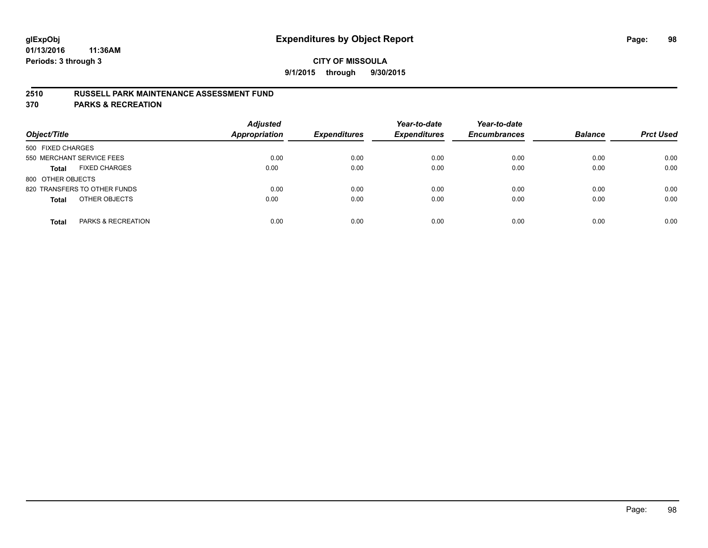## **2510 RUSSELL PARK MAINTENANCE ASSESSMENT FUND**

**370 PARKS & RECREATION**

| Object/Title                         | <b>Adjusted</b><br>Appropriation | <b>Expenditures</b> | Year-to-date<br><b>Expenditures</b> | Year-to-date<br><b>Encumbrances</b> | <b>Balance</b> | <b>Prct Used</b> |
|--------------------------------------|----------------------------------|---------------------|-------------------------------------|-------------------------------------|----------------|------------------|
| 500 FIXED CHARGES                    |                                  |                     |                                     |                                     |                |                  |
| 550 MERCHANT SERVICE FEES            | 0.00                             | 0.00                | 0.00                                | 0.00                                | 0.00           | 0.00             |
| <b>FIXED CHARGES</b><br><b>Total</b> | 0.00                             | 0.00                | 0.00                                | 0.00                                | 0.00           | 0.00             |
| 800 OTHER OBJECTS                    |                                  |                     |                                     |                                     |                |                  |
| 820 TRANSFERS TO OTHER FUNDS         | 0.00                             | 0.00                | 0.00                                | 0.00                                | 0.00           | 0.00             |
| OTHER OBJECTS<br><b>Total</b>        | 0.00                             | 0.00                | 0.00                                | 0.00                                | 0.00           | 0.00             |
| PARKS & RECREATION<br><b>Total</b>   | 0.00                             | 0.00                | 0.00                                | 0.00                                | 0.00           | 0.00             |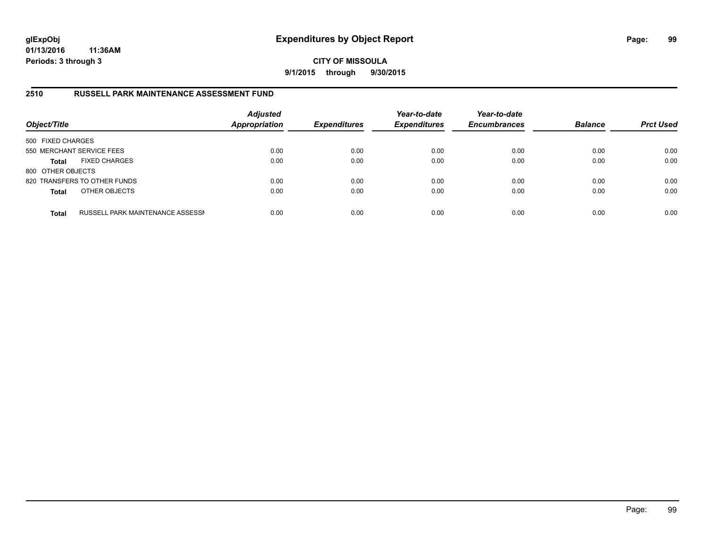# **CITY OF MISSOULA 9/1/2015 through 9/30/2015**

# **2510 RUSSELL PARK MAINTENANCE ASSESSMENT FUND**

| Object/Title      |                                         | <b>Adjusted</b><br><b>Appropriation</b> | <b>Expenditures</b> | Year-to-date<br><b>Expenditures</b> | Year-to-date<br><b>Encumbrances</b> | <b>Balance</b> | <b>Prct Used</b> |
|-------------------|-----------------------------------------|-----------------------------------------|---------------------|-------------------------------------|-------------------------------------|----------------|------------------|
| 500 FIXED CHARGES |                                         |                                         |                     |                                     |                                     |                |                  |
|                   | 550 MERCHANT SERVICE FEES               | 0.00                                    | 0.00                | 0.00                                | 0.00                                | 0.00           | 0.00             |
| <b>Total</b>      | <b>FIXED CHARGES</b>                    | 0.00                                    | 0.00                | 0.00                                | 0.00                                | 0.00           | 0.00             |
| 800 OTHER OBJECTS |                                         |                                         |                     |                                     |                                     |                |                  |
|                   | 820 TRANSFERS TO OTHER FUNDS            | 0.00                                    | 0.00                | 0.00                                | 0.00                                | 0.00           | 0.00             |
| <b>Total</b>      | OTHER OBJECTS                           | 0.00                                    | 0.00                | 0.00                                | 0.00                                | 0.00           | 0.00             |
| <b>Total</b>      | <b>RUSSELL PARK MAINTENANCE ASSESSN</b> | 0.00                                    | 0.00                | 0.00                                | 0.00                                | 0.00           | 0.00             |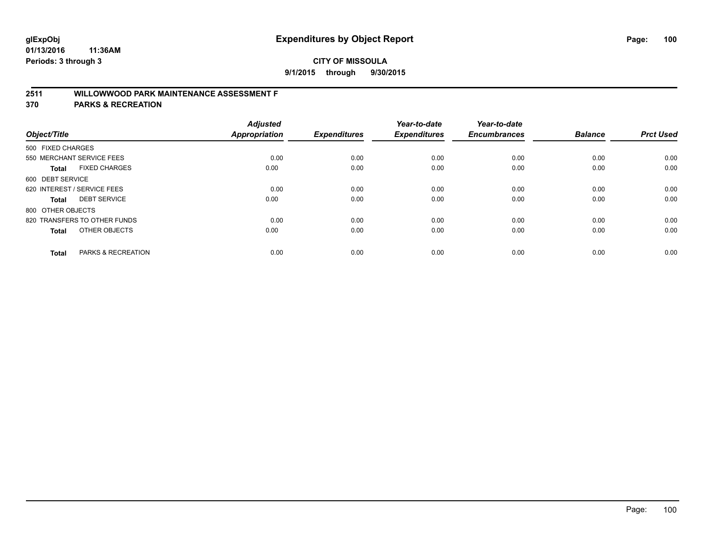# **2511 WILLOWWOOD PARK MAINTENANCE ASSESSMENT F**

**370 PARKS & RECREATION**

| Object/Title                |                               | <b>Adjusted</b><br><b>Appropriation</b> | <b>Expenditures</b> | Year-to-date<br><b>Expenditures</b> | Year-to-date<br><b>Encumbrances</b> | <b>Balance</b> | <b>Prct Used</b> |
|-----------------------------|-------------------------------|-----------------------------------------|---------------------|-------------------------------------|-------------------------------------|----------------|------------------|
| 500 FIXED CHARGES           |                               |                                         |                     |                                     |                                     |                |                  |
|                             | 550 MERCHANT SERVICE FEES     | 0.00                                    | 0.00                | 0.00                                | 0.00                                | 0.00           | 0.00             |
| <b>Total</b>                | <b>FIXED CHARGES</b>          | 0.00                                    | 0.00                | 0.00                                | 0.00                                | 0.00           | 0.00             |
| 600 DEBT SERVICE            |                               |                                         |                     |                                     |                                     |                |                  |
| 620 INTEREST / SERVICE FEES |                               | 0.00                                    | 0.00                | 0.00                                | 0.00                                | 0.00           | 0.00             |
| Total                       | <b>DEBT SERVICE</b>           | 0.00                                    | 0.00                | 0.00                                | 0.00                                | 0.00           | 0.00             |
| 800 OTHER OBJECTS           |                               |                                         |                     |                                     |                                     |                |                  |
|                             | 820 TRANSFERS TO OTHER FUNDS  | 0.00                                    | 0.00                | 0.00                                | 0.00                                | 0.00           | 0.00             |
| Total                       | OTHER OBJECTS                 | 0.00                                    | 0.00                | 0.00                                | 0.00                                | 0.00           | 0.00             |
|                             |                               |                                         |                     |                                     |                                     |                |                  |
| <b>Total</b>                | <b>PARKS &amp; RECREATION</b> | 0.00                                    | 0.00                | 0.00                                | 0.00                                | 0.00           | 0.00             |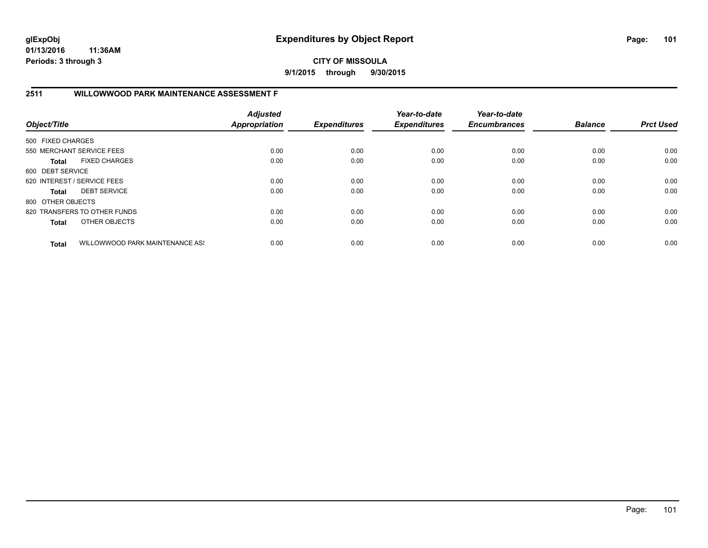**CITY OF MISSOULA 9/1/2015 through 9/30/2015**

# **2511 WILLOWWOOD PARK MAINTENANCE ASSESSMENT F**

| Object/Title      |                                 | <b>Adjusted</b><br>Appropriation | <b>Expenditures</b> | Year-to-date<br><b>Expenditures</b> | Year-to-date<br><b>Encumbrances</b> | <b>Balance</b> | <b>Prct Used</b> |
|-------------------|---------------------------------|----------------------------------|---------------------|-------------------------------------|-------------------------------------|----------------|------------------|
| 500 FIXED CHARGES |                                 |                                  |                     |                                     |                                     |                |                  |
|                   | 550 MERCHANT SERVICE FEES       | 0.00                             | 0.00                | 0.00                                | 0.00                                | 0.00           | 0.00             |
| Total             | <b>FIXED CHARGES</b>            | 0.00                             | 0.00                | 0.00                                | 0.00                                | 0.00           | 0.00             |
| 600 DEBT SERVICE  |                                 |                                  |                     |                                     |                                     |                |                  |
|                   | 620 INTEREST / SERVICE FEES     | 0.00                             | 0.00                | 0.00                                | 0.00                                | 0.00           | 0.00             |
| Total             | <b>DEBT SERVICE</b>             | 0.00                             | 0.00                | 0.00                                | 0.00                                | 0.00           | 0.00             |
| 800 OTHER OBJECTS |                                 |                                  |                     |                                     |                                     |                |                  |
|                   | 820 TRANSFERS TO OTHER FUNDS    | 0.00                             | 0.00                | 0.00                                | 0.00                                | 0.00           | 0.00             |
| <b>Total</b>      | OTHER OBJECTS                   | 0.00                             | 0.00                | 0.00                                | 0.00                                | 0.00           | 0.00             |
| <b>Total</b>      | WILLOWWOOD PARK MAINTENANCE ASS | 0.00                             | 0.00                | 0.00                                | 0.00                                | 0.00           | 0.00             |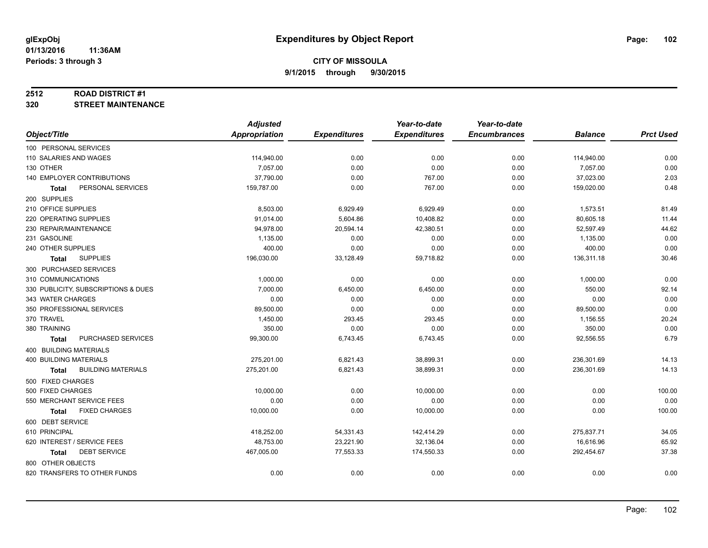#### **2512 ROAD DISTRICT #1**

**320 STREET MAINTENANCE**

|                                           | <b>Adjusted</b> |                     | Year-to-date        | Year-to-date        |                |                  |
|-------------------------------------------|-----------------|---------------------|---------------------|---------------------|----------------|------------------|
| Object/Title                              | Appropriation   | <b>Expenditures</b> | <b>Expenditures</b> | <b>Encumbrances</b> | <b>Balance</b> | <b>Prct Used</b> |
| 100 PERSONAL SERVICES                     |                 |                     |                     |                     |                |                  |
| 110 SALARIES AND WAGES                    | 114,940.00      | 0.00                | 0.00                | 0.00                | 114,940.00     | 0.00             |
| 130 OTHER                                 | 7,057.00        | 0.00                | 0.00                | 0.00                | 7,057.00       | 0.00             |
| 140 EMPLOYER CONTRIBUTIONS                | 37,790.00       | 0.00                | 767.00              | 0.00                | 37,023.00      | 2.03             |
| PERSONAL SERVICES<br><b>Total</b>         | 159,787.00      | 0.00                | 767.00              | 0.00                | 159,020.00     | 0.48             |
| 200 SUPPLIES                              |                 |                     |                     |                     |                |                  |
| 210 OFFICE SUPPLIES                       | 8,503.00        | 6,929.49            | 6,929.49            | 0.00                | 1,573.51       | 81.49            |
| 220 OPERATING SUPPLIES                    | 91,014.00       | 5,604.86            | 10,408.82           | 0.00                | 80,605.18      | 11.44            |
| 230 REPAIR/MAINTENANCE                    | 94,978.00       | 20,594.14           | 42,380.51           | 0.00                | 52,597.49      | 44.62            |
| 231 GASOLINE                              | 1,135.00        | 0.00                | 0.00                | 0.00                | 1,135.00       | 0.00             |
| 240 OTHER SUPPLIES                        | 400.00          | 0.00                | 0.00                | 0.00                | 400.00         | 0.00             |
| <b>SUPPLIES</b><br>Total                  | 196,030.00      | 33,128.49           | 59,718.82           | 0.00                | 136,311.18     | 30.46            |
| 300 PURCHASED SERVICES                    |                 |                     |                     |                     |                |                  |
| 310 COMMUNICATIONS                        | 1,000.00        | 0.00                | 0.00                | 0.00                | 1,000.00       | 0.00             |
| 330 PUBLICITY, SUBSCRIPTIONS & DUES       | 7,000.00        | 6,450.00            | 6,450.00            | 0.00                | 550.00         | 92.14            |
| 343 WATER CHARGES                         | 0.00            | 0.00                | 0.00                | 0.00                | 0.00           | 0.00             |
| 350 PROFESSIONAL SERVICES                 | 89,500.00       | 0.00                | 0.00                | 0.00                | 89,500.00      | 0.00             |
| 370 TRAVEL                                | 1,450.00        | 293.45              | 293.45              | 0.00                | 1,156.55       | 20.24            |
| 380 TRAINING                              | 350.00          | 0.00                | 0.00                | 0.00                | 350.00         | 0.00             |
| PURCHASED SERVICES<br><b>Total</b>        | 99,300.00       | 6,743.45            | 6,743.45            | 0.00                | 92,556.55      | 6.79             |
| 400 BUILDING MATERIALS                    |                 |                     |                     |                     |                |                  |
| <b>400 BUILDING MATERIALS</b>             | 275,201.00      | 6,821.43            | 38,899.31           | 0.00                | 236,301.69     | 14.13            |
| <b>BUILDING MATERIALS</b><br><b>Total</b> | 275,201.00      | 6,821.43            | 38,899.31           | 0.00                | 236,301.69     | 14.13            |
| 500 FIXED CHARGES                         |                 |                     |                     |                     |                |                  |
| 500 FIXED CHARGES                         | 10,000.00       | 0.00                | 10,000.00           | 0.00                | 0.00           | 100.00           |
| 550 MERCHANT SERVICE FEES                 | 0.00            | 0.00                | 0.00                | 0.00                | 0.00           | 0.00             |
| <b>FIXED CHARGES</b><br><b>Total</b>      | 10,000.00       | 0.00                | 10,000.00           | 0.00                | 0.00           | 100.00           |
| 600 DEBT SERVICE                          |                 |                     |                     |                     |                |                  |
| 610 PRINCIPAL                             | 418,252.00      | 54,331.43           | 142,414.29          | 0.00                | 275,837.71     | 34.05            |
| 620 INTEREST / SERVICE FEES               | 48,753.00       | 23,221.90           | 32,136.04           | 0.00                | 16,616.96      | 65.92            |
| <b>DEBT SERVICE</b><br><b>Total</b>       | 467,005.00      | 77,553.33           | 174,550.33          | 0.00                | 292,454.67     | 37.38            |
| 800 OTHER OBJECTS                         |                 |                     |                     |                     |                |                  |
| 820 TRANSFERS TO OTHER FUNDS              | 0.00            | 0.00                | 0.00                | 0.00                | 0.00           | 0.00             |
|                                           |                 |                     |                     |                     |                |                  |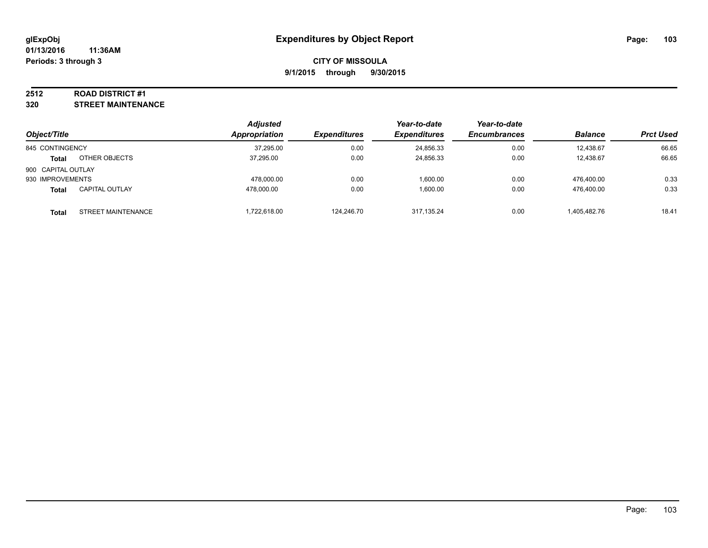#### **2512 ROAD DISTRICT #1**

**320 STREET MAINTENANCE**

|                    |                           | <b>Adjusted</b> |                     | Year-to-date        | Year-to-date        |                |                  |
|--------------------|---------------------------|-----------------|---------------------|---------------------|---------------------|----------------|------------------|
| Object/Title       |                           | Appropriation   | <b>Expenditures</b> | <b>Expenditures</b> | <b>Encumbrances</b> | <b>Balance</b> | <b>Prct Used</b> |
| 845 CONTINGENCY    |                           | 37,295.00       | 0.00                | 24,856.33           | 0.00                | 12.438.67      | 66.65            |
| <b>Total</b>       | OTHER OBJECTS             | 37.295.00       | 0.00                | 24.856.33           | 0.00                | 12.438.67      | 66.65            |
| 900 CAPITAL OUTLAY |                           |                 |                     |                     |                     |                |                  |
| 930 IMPROVEMENTS   |                           | 478.000.00      | 0.00                | 1,600.00            | 0.00                | 476.400.00     | 0.33             |
| <b>Total</b>       | <b>CAPITAL OUTLAY</b>     | 478.000.00      | 0.00                | 1,600.00            | 0.00                | 476.400.00     | 0.33             |
| Total              | <b>STREET MAINTENANCE</b> | ,722,618.00     | 124.246.70          | 317.135.24          | 0.00                | 1,405,482.76   | 18.41            |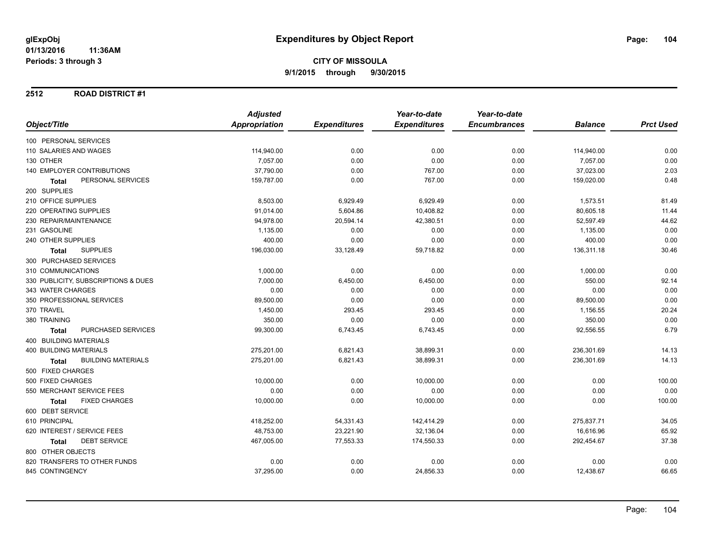#### **2512 ROAD DISTRICT #1**

|                                           | <b>Adjusted</b> |                     | Year-to-date        | Year-to-date        |                |                  |
|-------------------------------------------|-----------------|---------------------|---------------------|---------------------|----------------|------------------|
| Object/Title                              | Appropriation   | <b>Expenditures</b> | <b>Expenditures</b> | <b>Encumbrances</b> | <b>Balance</b> | <b>Prct Used</b> |
| 100 PERSONAL SERVICES                     |                 |                     |                     |                     |                |                  |
| 110 SALARIES AND WAGES                    | 114,940.00      | 0.00                | 0.00                | 0.00                | 114,940.00     | 0.00             |
| 130 OTHER                                 | 7,057.00        | 0.00                | 0.00                | 0.00                | 7,057.00       | 0.00             |
| <b>140 EMPLOYER CONTRIBUTIONS</b>         | 37,790.00       | 0.00                | 767.00              | 0.00                | 37,023.00      | 2.03             |
| PERSONAL SERVICES<br>Total                | 159,787.00      | 0.00                | 767.00              | 0.00                | 159,020.00     | 0.48             |
| 200 SUPPLIES                              |                 |                     |                     |                     |                |                  |
| 210 OFFICE SUPPLIES                       | 8,503.00        | 6,929.49            | 6,929.49            | 0.00                | 1,573.51       | 81.49            |
| 220 OPERATING SUPPLIES                    | 91,014.00       | 5,604.86            | 10,408.82           | 0.00                | 80,605.18      | 11.44            |
| 230 REPAIR/MAINTENANCE                    | 94,978.00       | 20,594.14           | 42,380.51           | 0.00                | 52,597.49      | 44.62            |
| 231 GASOLINE                              | 1,135.00        | 0.00                | 0.00                | 0.00                | 1,135.00       | 0.00             |
| 240 OTHER SUPPLIES                        | 400.00          | 0.00                | 0.00                | 0.00                | 400.00         | 0.00             |
| <b>SUPPLIES</b><br><b>Total</b>           | 196,030.00      | 33,128.49           | 59,718.82           | 0.00                | 136,311.18     | 30.46            |
| 300 PURCHASED SERVICES                    |                 |                     |                     |                     |                |                  |
| 310 COMMUNICATIONS                        | 1,000.00        | 0.00                | 0.00                | 0.00                | 1,000.00       | 0.00             |
| 330 PUBLICITY, SUBSCRIPTIONS & DUES       | 7,000.00        | 6,450.00            | 6,450.00            | 0.00                | 550.00         | 92.14            |
| 343 WATER CHARGES                         | 0.00            | 0.00                | 0.00                | 0.00                | 0.00           | 0.00             |
| 350 PROFESSIONAL SERVICES                 | 89,500.00       | 0.00                | 0.00                | 0.00                | 89,500.00      | 0.00             |
| 370 TRAVEL                                | 1,450.00        | 293.45              | 293.45              | 0.00                | 1,156.55       | 20.24            |
| 380 TRAINING                              | 350.00          | 0.00                | 0.00                | 0.00                | 350.00         | 0.00             |
| PURCHASED SERVICES<br><b>Total</b>        | 99,300.00       | 6,743.45            | 6,743.45            | 0.00                | 92,556.55      | 6.79             |
| <b>400 BUILDING MATERIALS</b>             |                 |                     |                     |                     |                |                  |
| <b>400 BUILDING MATERIALS</b>             | 275,201.00      | 6,821.43            | 38,899.31           | 0.00                | 236,301.69     | 14.13            |
| <b>BUILDING MATERIALS</b><br><b>Total</b> | 275,201.00      | 6,821.43            | 38,899.31           | 0.00                | 236,301.69     | 14.13            |
| 500 FIXED CHARGES                         |                 |                     |                     |                     |                |                  |
| 500 FIXED CHARGES                         | 10,000.00       | 0.00                | 10,000.00           | 0.00                | 0.00           | 100.00           |
| 550 MERCHANT SERVICE FEES                 | 0.00            | 0.00                | 0.00                | 0.00                | 0.00           | 0.00             |
| <b>FIXED CHARGES</b><br>Total             | 10,000.00       | 0.00                | 10,000.00           | 0.00                | 0.00           | 100.00           |
| 600 DEBT SERVICE                          |                 |                     |                     |                     |                |                  |
| 610 PRINCIPAL                             | 418,252.00      | 54,331.43           | 142,414.29          | 0.00                | 275,837.71     | 34.05            |
| 620 INTEREST / SERVICE FEES               | 48,753.00       | 23,221.90           | 32,136.04           | 0.00                | 16,616.96      | 65.92            |
| <b>DEBT SERVICE</b><br>Total              | 467,005.00      | 77,553.33           | 174,550.33          | 0.00                | 292,454.67     | 37.38            |
| 800 OTHER OBJECTS                         |                 |                     |                     |                     |                |                  |
| 820 TRANSFERS TO OTHER FUNDS              | 0.00            | 0.00                | 0.00                | 0.00                | 0.00           | 0.00             |
| 845 CONTINGENCY                           | 37,295.00       | 0.00                | 24,856.33           | 0.00                | 12,438.67      | 66.65            |
|                                           |                 |                     |                     |                     |                |                  |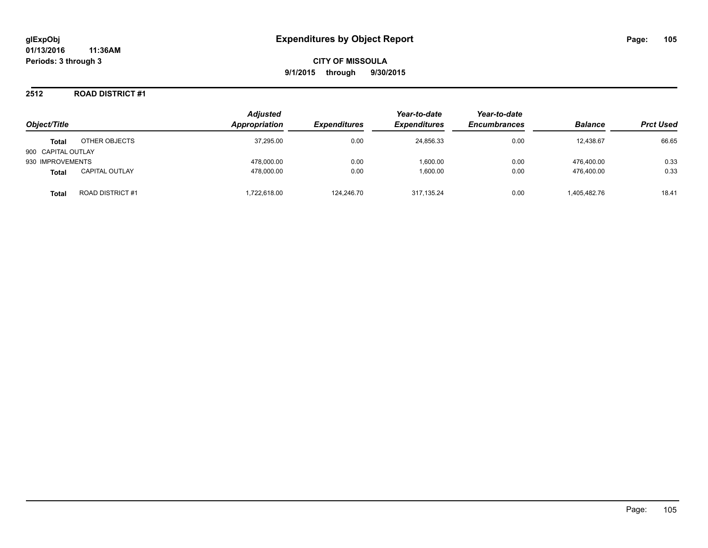### **2512 ROAD DISTRICT #1**

| Object/Title       |                         | <b>Adjusted</b><br>Appropriation | <b>Expenditures</b> | Year-to-date<br><b>Expenditures</b> | Year-to-date<br><b>Encumbrances</b> | <b>Balance</b> | <b>Prct Used</b> |
|--------------------|-------------------------|----------------------------------|---------------------|-------------------------------------|-------------------------------------|----------------|------------------|
| <b>Total</b>       | OTHER OBJECTS           | 37,295.00                        | 0.00                | 24,856.33                           | 0.00                                | 12,438.67      | 66.65            |
| 900 CAPITAL OUTLAY |                         |                                  |                     |                                     |                                     |                |                  |
| 930 IMPROVEMENTS   |                         | 478.000.00                       | 0.00                | 1.600.00                            | 0.00                                | 476.400.00     | 0.33             |
| <b>Total</b>       | <b>CAPITAL OUTLAY</b>   | 478.000.00                       | 0.00                | 1.600.00                            | 0.00                                | 476.400.00     | 0.33             |
| Total              | <b>ROAD DISTRICT #1</b> | .722.618.00                      | 124.246.70          | 317.135.24                          | 0.00                                | 1,405,482.76   | 18.41            |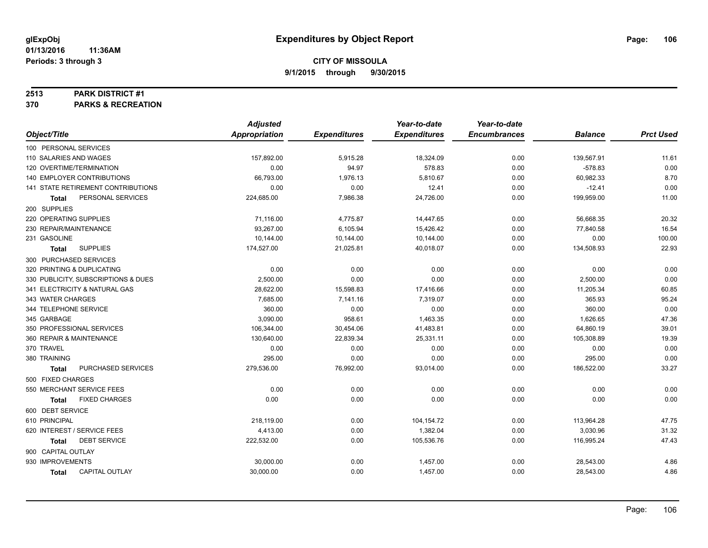#### **2513 PARK DISTRICT #1**

**370 PARKS & RECREATION**

|                                       | <b>Adjusted</b>      |                     | Year-to-date        | Year-to-date        |                |                  |
|---------------------------------------|----------------------|---------------------|---------------------|---------------------|----------------|------------------|
| Object/Title                          | <b>Appropriation</b> | <b>Expenditures</b> | <b>Expenditures</b> | <b>Encumbrances</b> | <b>Balance</b> | <b>Prct Used</b> |
| 100 PERSONAL SERVICES                 |                      |                     |                     |                     |                |                  |
| 110 SALARIES AND WAGES                | 157,892.00           | 5,915.28            | 18,324.09           | 0.00                | 139,567.91     | 11.61            |
| 120 OVERTIME/TERMINATION              | 0.00                 | 94.97               | 578.83              | 0.00                | $-578.83$      | 0.00             |
| <b>140 EMPLOYER CONTRIBUTIONS</b>     | 66,793.00            | 1,976.13            | 5,810.67            | 0.00                | 60,982.33      | 8.70             |
| 141 STATE RETIREMENT CONTRIBUTIONS    | 0.00                 | 0.00                | 12.41               | 0.00                | $-12.41$       | 0.00             |
| PERSONAL SERVICES<br><b>Total</b>     | 224,685.00           | 7,986.38            | 24,726.00           | 0.00                | 199,959.00     | 11.00            |
| 200 SUPPLIES                          |                      |                     |                     |                     |                |                  |
| 220 OPERATING SUPPLIES                | 71,116.00            | 4,775.87            | 14,447.65           | 0.00                | 56,668.35      | 20.32            |
| 230 REPAIR/MAINTENANCE                | 93,267.00            | 6,105.94            | 15,426.42           | 0.00                | 77,840.58      | 16.54            |
| 231 GASOLINE                          | 10,144.00            | 10,144.00           | 10,144.00           | 0.00                | 0.00           | 100.00           |
| <b>SUPPLIES</b><br><b>Total</b>       | 174,527.00           | 21,025.81           | 40,018.07           | 0.00                | 134,508.93     | 22.93            |
| 300 PURCHASED SERVICES                |                      |                     |                     |                     |                |                  |
| 320 PRINTING & DUPLICATING            | 0.00                 | 0.00                | 0.00                | 0.00                | 0.00           | 0.00             |
| 330 PUBLICITY, SUBSCRIPTIONS & DUES   | 2,500.00             | 0.00                | 0.00                | 0.00                | 2,500.00       | 0.00             |
| 341 ELECTRICITY & NATURAL GAS         | 28,622.00            | 15,598.83           | 17,416.66           | 0.00                | 11,205.34      | 60.85            |
| 343 WATER CHARGES                     | 7,685.00             | 7,141.16            | 7,319.07            | 0.00                | 365.93         | 95.24            |
| 344 TELEPHONE SERVICE                 | 360.00               | 0.00                | 0.00                | 0.00                | 360.00         | 0.00             |
| 345 GARBAGE                           | 3,090.00             | 958.61              | 1,463.35            | 0.00                | 1,626.65       | 47.36            |
| 350 PROFESSIONAL SERVICES             | 106,344.00           | 30,454.06           | 41,483.81           | 0.00                | 64,860.19      | 39.01            |
| 360 REPAIR & MAINTENANCE              | 130,640.00           | 22,839.34           | 25,331.11           | 0.00                | 105,308.89     | 19.39            |
| 370 TRAVEL                            | 0.00                 | 0.00                | 0.00                | 0.00                | 0.00           | 0.00             |
| 380 TRAINING                          | 295.00               | 0.00                | 0.00                | 0.00                | 295.00         | 0.00             |
| PURCHASED SERVICES<br><b>Total</b>    | 279,536.00           | 76,992.00           | 93,014.00           | 0.00                | 186,522.00     | 33.27            |
| 500 FIXED CHARGES                     |                      |                     |                     |                     |                |                  |
| 550 MERCHANT SERVICE FEES             | 0.00                 | 0.00                | 0.00                | 0.00                | 0.00           | 0.00             |
| <b>FIXED CHARGES</b><br><b>Total</b>  | 0.00                 | 0.00                | 0.00                | 0.00                | 0.00           | 0.00             |
| 600 DEBT SERVICE                      |                      |                     |                     |                     |                |                  |
| 610 PRINCIPAL                         | 218,119.00           | 0.00                | 104,154.72          | 0.00                | 113,964.28     | 47.75            |
| 620 INTEREST / SERVICE FEES           | 4,413.00             | 0.00                | 1,382.04            | 0.00                | 3,030.96       | 31.32            |
| <b>DEBT SERVICE</b><br><b>Total</b>   | 222,532.00           | 0.00                | 105,536.76          | 0.00                | 116,995.24     | 47.43            |
| 900 CAPITAL OUTLAY                    |                      |                     |                     |                     |                |                  |
| 930 IMPROVEMENTS                      | 30,000.00            | 0.00                | 1,457.00            | 0.00                | 28,543.00      | 4.86             |
| <b>CAPITAL OUTLAY</b><br><b>Total</b> | 30,000.00            | 0.00                | 1,457.00            | 0.00                | 28,543.00      | 4.86             |
|                                       |                      |                     |                     |                     |                |                  |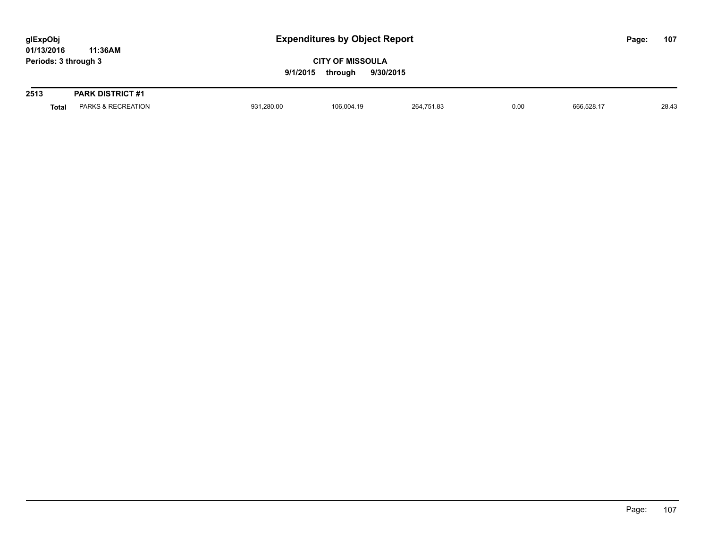| glExpObj<br>01/13/2016 |              | 11:36AM                 |            | <b>Expenditures by Object Report</b>                        |            |      |            |  | 107   |
|------------------------|--------------|-------------------------|------------|-------------------------------------------------------------|------------|------|------------|--|-------|
| Periods: 3 through 3   |              |                         |            | <b>CITY OF MISSOULA</b><br>9/1/2015<br>9/30/2015<br>through |            |      |            |  |       |
| 2513                   |              | <b>PARK DISTRICT #1</b> |            |                                                             |            |      |            |  |       |
|                        | <b>Total</b> | PARKS & RECREATION      | 931,280.00 | 106.004.19                                                  | 264.751.83 | 0.00 | 666.528.17 |  | 28.43 |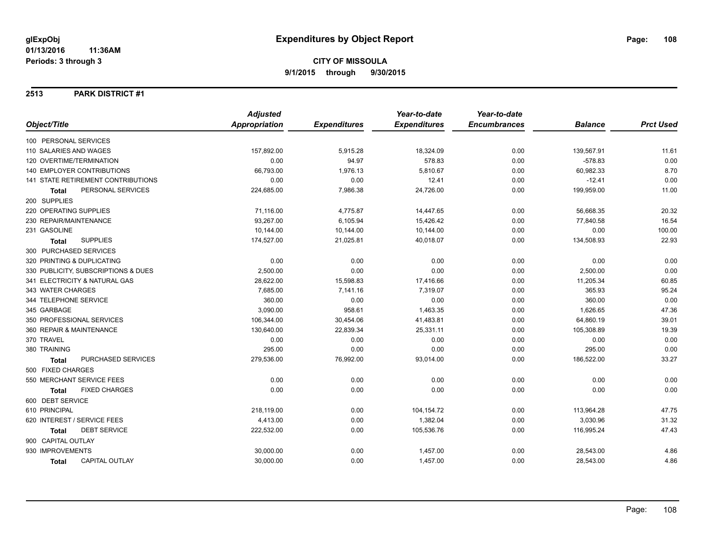### **2513 PARK DISTRICT #1**

|                                           | <b>Adjusted</b> |                     | Year-to-date        | Year-to-date        |                |                  |
|-------------------------------------------|-----------------|---------------------|---------------------|---------------------|----------------|------------------|
| Object/Title                              | Appropriation   | <b>Expenditures</b> | <b>Expenditures</b> | <b>Encumbrances</b> | <b>Balance</b> | <b>Prct Used</b> |
| 100 PERSONAL SERVICES                     |                 |                     |                     |                     |                |                  |
| 110 SALARIES AND WAGES                    | 157,892.00      | 5,915.28            | 18,324.09           | 0.00                | 139,567.91     | 11.61            |
| 120 OVERTIME/TERMINATION                  | 0.00            | 94.97               | 578.83              | 0.00                | $-578.83$      | 0.00             |
| <b>140 EMPLOYER CONTRIBUTIONS</b>         | 66,793.00       | 1,976.13            | 5,810.67            | 0.00                | 60,982.33      | 8.70             |
| <b>141 STATE RETIREMENT CONTRIBUTIONS</b> | 0.00            | 0.00                | 12.41               | 0.00                | $-12.41$       | 0.00             |
| PERSONAL SERVICES<br><b>Total</b>         | 224,685.00      | 7,986.38            | 24,726.00           | 0.00                | 199,959.00     | 11.00            |
| 200 SUPPLIES                              |                 |                     |                     |                     |                |                  |
| 220 OPERATING SUPPLIES                    | 71,116.00       | 4,775.87            | 14,447.65           | 0.00                | 56,668.35      | 20.32            |
| 230 REPAIR/MAINTENANCE                    | 93,267.00       | 6,105.94            | 15,426.42           | 0.00                | 77,840.58      | 16.54            |
| 231 GASOLINE                              | 10,144.00       | 10,144.00           | 10,144.00           | 0.00                | 0.00           | 100.00           |
| <b>SUPPLIES</b><br><b>Total</b>           | 174,527.00      | 21,025.81           | 40,018.07           | 0.00                | 134,508.93     | 22.93            |
| 300 PURCHASED SERVICES                    |                 |                     |                     |                     |                |                  |
| 320 PRINTING & DUPLICATING                | 0.00            | 0.00                | 0.00                | 0.00                | 0.00           | 0.00             |
| 330 PUBLICITY, SUBSCRIPTIONS & DUES       | 2,500.00        | 0.00                | 0.00                | 0.00                | 2,500.00       | 0.00             |
| 341 ELECTRICITY & NATURAL GAS             | 28,622.00       | 15,598.83           | 17,416.66           | 0.00                | 11,205.34      | 60.85            |
| 343 WATER CHARGES                         | 7,685.00        | 7,141.16            | 7,319.07            | 0.00                | 365.93         | 95.24            |
| 344 TELEPHONE SERVICE                     | 360.00          | 0.00                | 0.00                | 0.00                | 360.00         | 0.00             |
| 345 GARBAGE                               | 3,090.00        | 958.61              | 1,463.35            | 0.00                | 1,626.65       | 47.36            |
| 350 PROFESSIONAL SERVICES                 | 106,344.00      | 30,454.06           | 41,483.81           | 0.00                | 64,860.19      | 39.01            |
| 360 REPAIR & MAINTENANCE                  | 130,640.00      | 22,839.34           | 25,331.11           | 0.00                | 105,308.89     | 19.39            |
| 370 TRAVEL                                | 0.00            | 0.00                | 0.00                | 0.00                | 0.00           | 0.00             |
| 380 TRAINING                              | 295.00          | 0.00                | 0.00                | 0.00                | 295.00         | 0.00             |
| <b>PURCHASED SERVICES</b><br><b>Total</b> | 279,536.00      | 76,992.00           | 93,014.00           | 0.00                | 186,522.00     | 33.27            |
| 500 FIXED CHARGES                         |                 |                     |                     |                     |                |                  |
| 550 MERCHANT SERVICE FEES                 | 0.00            | 0.00                | 0.00                | 0.00                | 0.00           | 0.00             |
| <b>FIXED CHARGES</b><br><b>Total</b>      | 0.00            | 0.00                | 0.00                | 0.00                | 0.00           | 0.00             |
| 600 DEBT SERVICE                          |                 |                     |                     |                     |                |                  |
| 610 PRINCIPAL                             | 218,119.00      | 0.00                | 104,154.72          | 0.00                | 113,964.28     | 47.75            |
| 620 INTEREST / SERVICE FEES               | 4,413.00        | 0.00                | 1,382.04            | 0.00                | 3,030.96       | 31.32            |
| <b>DEBT SERVICE</b><br>Total              | 222,532.00      | 0.00                | 105,536.76          | 0.00                | 116,995.24     | 47.43            |
| 900 CAPITAL OUTLAY                        |                 |                     |                     |                     |                |                  |
| 930 IMPROVEMENTS                          | 30,000.00       | 0.00                | 1,457.00            | 0.00                | 28,543.00      | 4.86             |
| <b>CAPITAL OUTLAY</b><br>Total            | 30,000.00       | 0.00                | 1,457.00            | 0.00                | 28,543.00      | 4.86             |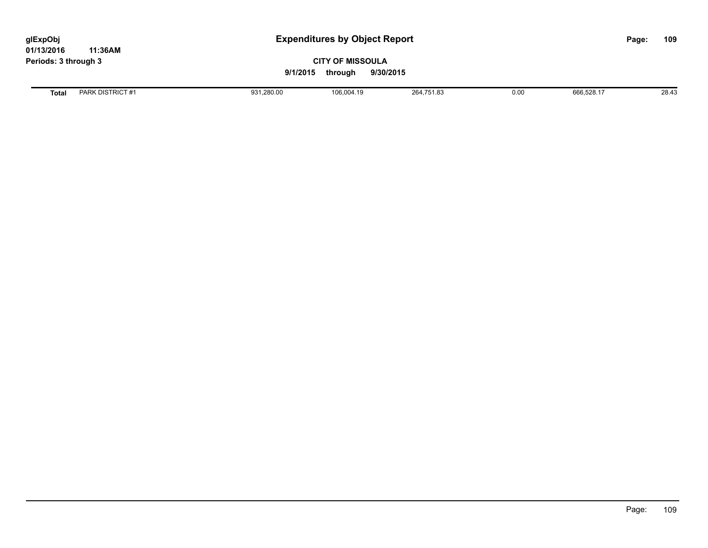**01/13/2016 11:36AM Periods: 3 through 3**

### **CITY OF MISSOULA 9/1/2015 through 9/30/2015**

**Total** PARK DISTRICT #1 931,280.00 106,004.19 264,751.83 0.00 666,528.17 28.43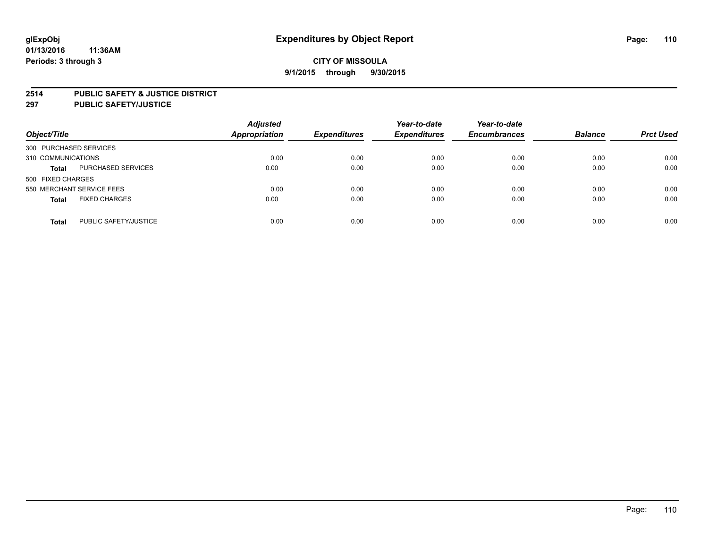#### **2514 PUBLIC SAFETY & JUSTICE DISTRICT**

**297 PUBLIC SAFETY/JUSTICE**

| Object/Title                          | <b>Adjusted</b><br><b>Appropriation</b> | <b>Expenditures</b> | Year-to-date<br><b>Expenditures</b> | Year-to-date<br><b>Encumbrances</b> | <b>Balance</b> | <b>Prct Used</b> |
|---------------------------------------|-----------------------------------------|---------------------|-------------------------------------|-------------------------------------|----------------|------------------|
| 300 PURCHASED SERVICES                |                                         |                     |                                     |                                     |                |                  |
| 310 COMMUNICATIONS                    | 0.00                                    | 0.00                | 0.00                                | 0.00                                | 0.00           | 0.00             |
| PURCHASED SERVICES<br><b>Total</b>    | 0.00                                    | 0.00                | 0.00                                | 0.00                                | 0.00           | 0.00             |
| 500 FIXED CHARGES                     |                                         |                     |                                     |                                     |                |                  |
| 550 MERCHANT SERVICE FEES             | 0.00                                    | 0.00                | 0.00                                | 0.00                                | 0.00           | 0.00             |
| <b>FIXED CHARGES</b><br><b>Total</b>  | 0.00                                    | 0.00                | 0.00                                | 0.00                                | 0.00           | 0.00             |
| PUBLIC SAFETY/JUSTICE<br><b>Total</b> | 0.00                                    | 0.00                | 0.00                                | 0.00                                | 0.00           | 0.00             |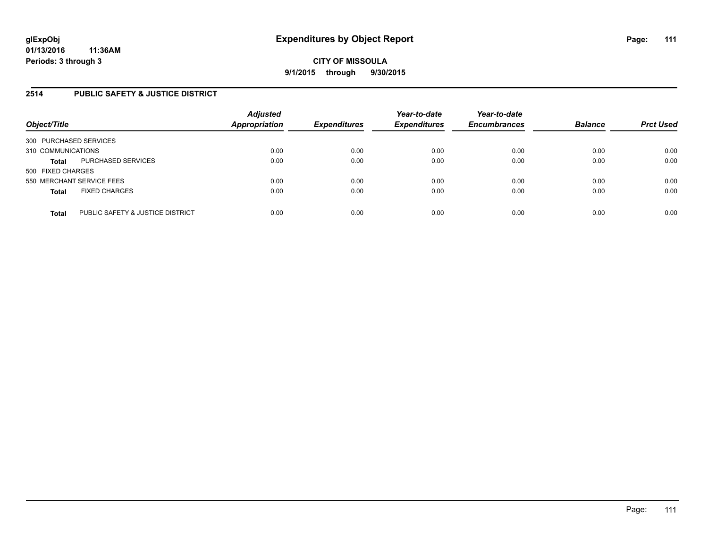## **2514 PUBLIC SAFETY & JUSTICE DISTRICT**

| Object/Title                                     | <b>Adjusted</b><br><b>Appropriation</b> | <b>Expenditures</b> | Year-to-date<br><b>Expenditures</b> | Year-to-date<br><b>Encumbrances</b> | <b>Balance</b> | <b>Prct Used</b> |
|--------------------------------------------------|-----------------------------------------|---------------------|-------------------------------------|-------------------------------------|----------------|------------------|
| 300 PURCHASED SERVICES                           |                                         |                     |                                     |                                     |                |                  |
| 310 COMMUNICATIONS                               | 0.00                                    | 0.00                | 0.00                                | 0.00                                | 0.00           | 0.00             |
| PURCHASED SERVICES<br><b>Total</b>               | 0.00                                    | 0.00                | 0.00                                | 0.00                                | 0.00           | 0.00             |
| 500 FIXED CHARGES                                |                                         |                     |                                     |                                     |                |                  |
| 550 MERCHANT SERVICE FEES                        | 0.00                                    | 0.00                | 0.00                                | 0.00                                | 0.00           | 0.00             |
| <b>FIXED CHARGES</b><br><b>Total</b>             | 0.00                                    | 0.00                | 0.00                                | 0.00                                | 0.00           | 0.00             |
| PUBLIC SAFETY & JUSTICE DISTRICT<br><b>Total</b> | 0.00                                    | 0.00                | 0.00                                | 0.00                                | 0.00           | 0.00             |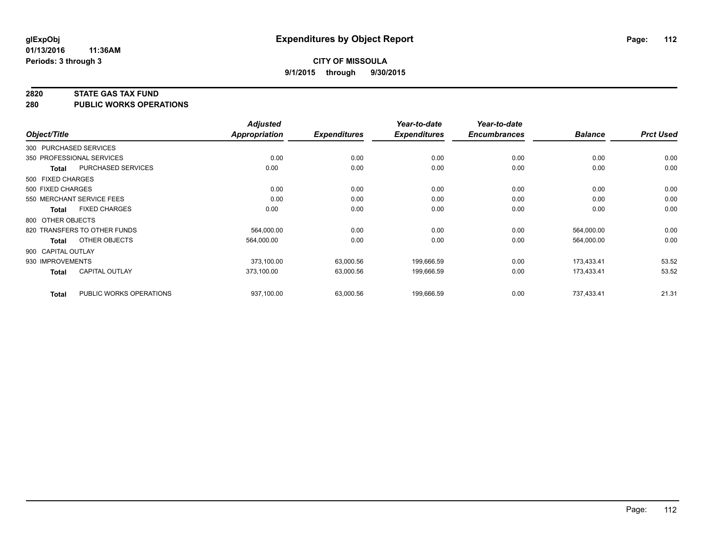#### **2820 STATE GAS TAX FUND**

**280 PUBLIC WORKS OPERATIONS**

|                    |                              | <b>Adjusted</b>      |                     | Year-to-date        | Year-to-date        |                | <b>Prct Used</b> |
|--------------------|------------------------------|----------------------|---------------------|---------------------|---------------------|----------------|------------------|
| Object/Title       |                              | <b>Appropriation</b> | <b>Expenditures</b> | <b>Expenditures</b> | <b>Encumbrances</b> | <b>Balance</b> |                  |
|                    | 300 PURCHASED SERVICES       |                      |                     |                     |                     |                |                  |
|                    | 350 PROFESSIONAL SERVICES    | 0.00                 | 0.00                | 0.00                | 0.00                | 0.00           | 0.00             |
| Total              | PURCHASED SERVICES           | 0.00                 | 0.00                | 0.00                | 0.00                | 0.00           | 0.00             |
| 500 FIXED CHARGES  |                              |                      |                     |                     |                     |                |                  |
| 500 FIXED CHARGES  |                              | 0.00                 | 0.00                | 0.00                | 0.00                | 0.00           | 0.00             |
|                    | 550 MERCHANT SERVICE FEES    | 0.00                 | 0.00                | 0.00                | 0.00                | 0.00           | 0.00             |
| Total              | <b>FIXED CHARGES</b>         | 0.00                 | 0.00                | 0.00                | 0.00                | 0.00           | 0.00             |
| 800 OTHER OBJECTS  |                              |                      |                     |                     |                     |                |                  |
|                    | 820 TRANSFERS TO OTHER FUNDS | 564,000.00           | 0.00                | 0.00                | 0.00                | 564,000.00     | 0.00             |
| <b>Total</b>       | OTHER OBJECTS                | 564,000.00           | 0.00                | 0.00                | 0.00                | 564,000.00     | 0.00             |
| 900 CAPITAL OUTLAY |                              |                      |                     |                     |                     |                |                  |
| 930 IMPROVEMENTS   |                              | 373,100.00           | 63,000.56           | 199,666.59          | 0.00                | 173,433.41     | 53.52            |
| Total              | <b>CAPITAL OUTLAY</b>        | 373.100.00           | 63,000.56           | 199,666.59          | 0.00                | 173,433.41     | 53.52            |
| <b>Total</b>       | PUBLIC WORKS OPERATIONS      | 937,100.00           | 63,000.56           | 199,666.59          | 0.00                | 737,433.41     | 21.31            |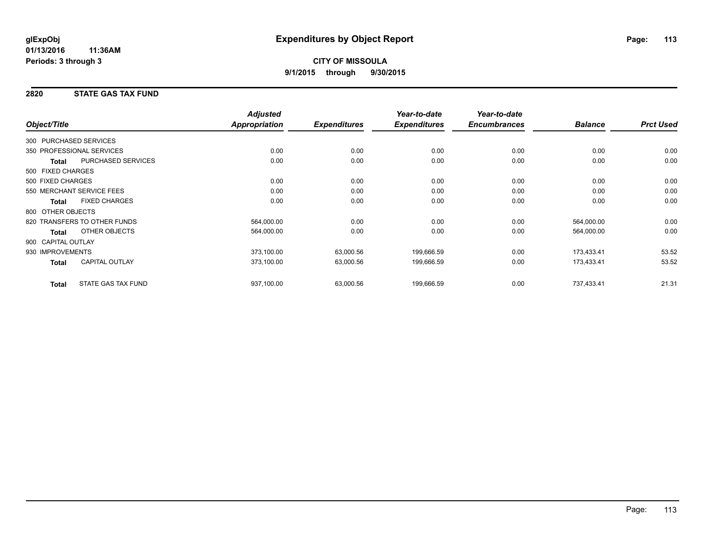## **2820 STATE GAS TAX FUND**

| Object/Title           |                              | <b>Adjusted</b><br>Appropriation | <b>Expenditures</b> | Year-to-date<br><b>Expenditures</b> | Year-to-date<br><b>Encumbrances</b> | <b>Balance</b> | <b>Prct Used</b> |
|------------------------|------------------------------|----------------------------------|---------------------|-------------------------------------|-------------------------------------|----------------|------------------|
|                        |                              |                                  |                     |                                     |                                     |                |                  |
| 300 PURCHASED SERVICES |                              |                                  |                     |                                     |                                     |                |                  |
|                        | 350 PROFESSIONAL SERVICES    | 0.00                             | 0.00                | 0.00                                | 0.00                                | 0.00           | 0.00             |
| Total                  | <b>PURCHASED SERVICES</b>    | 0.00                             | 0.00                | 0.00                                | 0.00                                | 0.00           | 0.00             |
| 500 FIXED CHARGES      |                              |                                  |                     |                                     |                                     |                |                  |
| 500 FIXED CHARGES      |                              | 0.00                             | 0.00                | 0.00                                | 0.00                                | 0.00           | 0.00             |
|                        | 550 MERCHANT SERVICE FEES    | 0.00                             | 0.00                | 0.00                                | 0.00                                | 0.00           | 0.00             |
| <b>Total</b>           | <b>FIXED CHARGES</b>         | 0.00                             | 0.00                | 0.00                                | 0.00                                | 0.00           | 0.00             |
| 800 OTHER OBJECTS      |                              |                                  |                     |                                     |                                     |                |                  |
|                        | 820 TRANSFERS TO OTHER FUNDS | 564,000.00                       | 0.00                | 0.00                                | 0.00                                | 564,000.00     | 0.00             |
| Total                  | OTHER OBJECTS                | 564,000.00                       | 0.00                | 0.00                                | 0.00                                | 564,000.00     | 0.00             |
| 900 CAPITAL OUTLAY     |                              |                                  |                     |                                     |                                     |                |                  |
| 930 IMPROVEMENTS       |                              | 373,100.00                       | 63,000.56           | 199,666.59                          | 0.00                                | 173,433.41     | 53.52            |
| Total                  | <b>CAPITAL OUTLAY</b>        | 373,100.00                       | 63,000.56           | 199,666.59                          | 0.00                                | 173,433.41     | 53.52            |
| <b>Total</b>           | STATE GAS TAX FUND           | 937,100.00                       | 63,000.56           | 199,666.59                          | 0.00                                | 737,433.41     | 21.31            |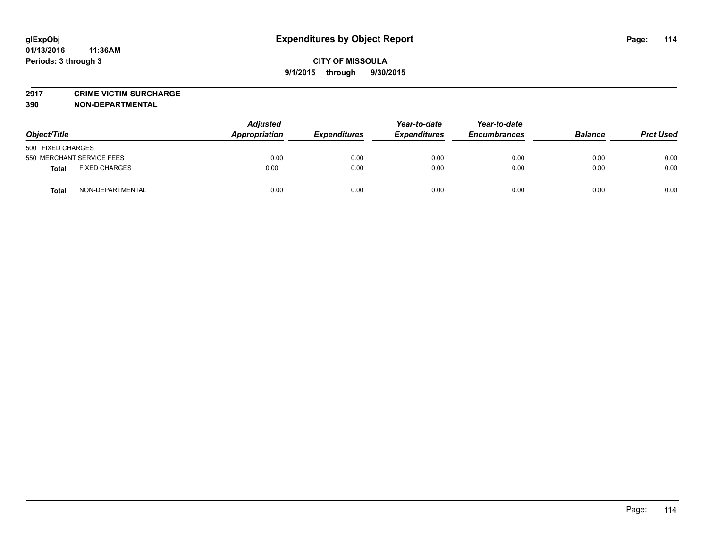**2917 CRIME VICTIM SURCHARGE**

**390 NON-DEPARTMENTAL**

| Object/Title                         | <b>Adjusted</b><br>Appropriation | <b>Expenditures</b> | Year-to-date<br><b>Expenditures</b> | Year-to-date<br><b>Encumbrances</b> | <b>Balance</b> | <b>Prct Used</b> |
|--------------------------------------|----------------------------------|---------------------|-------------------------------------|-------------------------------------|----------------|------------------|
| 500 FIXED CHARGES                    |                                  |                     |                                     |                                     |                |                  |
| 550 MERCHANT SERVICE FEES            | 0.00                             | 0.00                | 0.00                                | 0.00                                | 0.00           | 0.00             |
| <b>FIXED CHARGES</b><br><b>Total</b> | 0.00                             | 0.00                | 0.00                                | 0.00                                | 0.00           | 0.00             |
| NON-DEPARTMENTAL<br><b>Total</b>     | 0.00                             | 0.00                | 0.00                                | 0.00                                | 0.00           | 0.00             |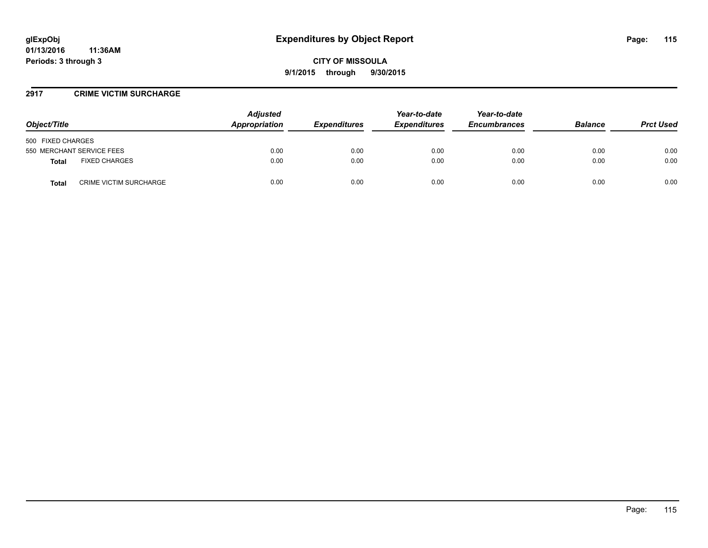#### **2917 CRIME VICTIM SURCHARGE**

| Object/Title                           | <b>Adjusted</b><br>Appropriation | <b>Expenditures</b> | Year-to-date<br><b>Expenditures</b> | Year-to-date<br><b>Encumbrances</b> | <b>Balance</b> | <b>Prct Used</b> |
|----------------------------------------|----------------------------------|---------------------|-------------------------------------|-------------------------------------|----------------|------------------|
| 500 FIXED CHARGES                      |                                  |                     |                                     |                                     |                |                  |
| 550 MERCHANT SERVICE FEES              | 0.00                             | 0.00                | 0.00                                | 0.00                                | 0.00           | 0.00             |
| <b>FIXED CHARGES</b><br><b>Total</b>   | 0.00                             | 0.00                | 0.00                                | 0.00                                | 0.00           | 0.00             |
| <b>CRIME VICTIM SURCHARGE</b><br>Total | 0.00                             | 0.00                | 0.00                                | 0.00                                | 0.00           | 0.00             |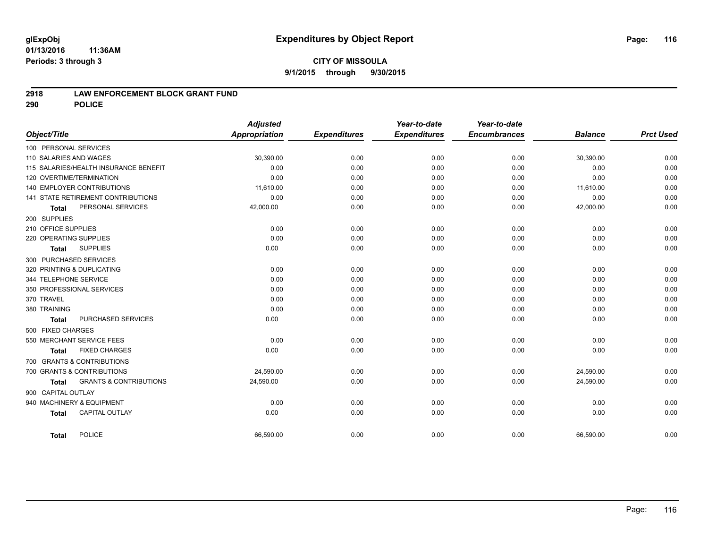#### **01/13/2016 11:36AM Periods: 3 through 3**

## **CITY OF MISSOULA 9/1/2015 through 9/30/2015**

### **2918 LAW ENFORCEMENT BLOCK GRANT FUND**

**290 POLICE**

|                        |                                           | <b>Adjusted</b>      |                     | Year-to-date        | Year-to-date<br><b>Encumbrances</b> |                | <b>Prct Used</b> |
|------------------------|-------------------------------------------|----------------------|---------------------|---------------------|-------------------------------------|----------------|------------------|
| Object/Title           |                                           | <b>Appropriation</b> | <b>Expenditures</b> | <b>Expenditures</b> |                                     | <b>Balance</b> |                  |
| 100 PERSONAL SERVICES  |                                           |                      |                     |                     |                                     |                |                  |
| 110 SALARIES AND WAGES |                                           | 30,390.00            | 0.00                | 0.00                | 0.00                                | 30,390.00      | 0.00             |
|                        | 115 SALARIES/HEALTH INSURANCE BENEFIT     | 0.00                 | 0.00                | 0.00                | 0.00                                | 0.00           | 0.00             |
|                        | 120 OVERTIME/TERMINATION                  | 0.00                 | 0.00                | 0.00                | 0.00                                | 0.00           | 0.00             |
|                        | 140 EMPLOYER CONTRIBUTIONS                | 11,610.00            | 0.00                | 0.00                | 0.00                                | 11,610.00      | 0.00             |
|                        | <b>141 STATE RETIREMENT CONTRIBUTIONS</b> | 0.00                 | 0.00                | 0.00                | 0.00                                | 0.00           | 0.00             |
| <b>Total</b>           | PERSONAL SERVICES                         | 42,000.00            | 0.00                | 0.00                | 0.00                                | 42,000.00      | 0.00             |
| 200 SUPPLIES           |                                           |                      |                     |                     |                                     |                |                  |
| 210 OFFICE SUPPLIES    |                                           | 0.00                 | 0.00                | 0.00                | 0.00                                | 0.00           | 0.00             |
| 220 OPERATING SUPPLIES |                                           | 0.00                 | 0.00                | 0.00                | 0.00                                | 0.00           | 0.00             |
| <b>Total</b>           | <b>SUPPLIES</b>                           | 0.00                 | 0.00                | 0.00                | 0.00                                | 0.00           | 0.00             |
|                        | 300 PURCHASED SERVICES                    |                      |                     |                     |                                     |                |                  |
|                        | 320 PRINTING & DUPLICATING                | 0.00                 | 0.00                | 0.00                | 0.00                                | 0.00           | 0.00             |
| 344 TELEPHONE SERVICE  |                                           | 0.00                 | 0.00                | 0.00                | 0.00                                | 0.00           | 0.00             |
|                        | 350 PROFESSIONAL SERVICES                 | 0.00                 | 0.00                | 0.00                | 0.00                                | 0.00           | 0.00             |
| 370 TRAVEL             |                                           | 0.00                 | 0.00                | 0.00                | 0.00                                | 0.00           | 0.00             |
| 380 TRAINING           |                                           | 0.00                 | 0.00                | 0.00                | 0.00                                | 0.00           | 0.00             |
| <b>Total</b>           | PURCHASED SERVICES                        | 0.00                 | 0.00                | 0.00                | 0.00                                | 0.00           | 0.00             |
| 500 FIXED CHARGES      |                                           |                      |                     |                     |                                     |                |                  |
|                        | 550 MERCHANT SERVICE FEES                 | 0.00                 | 0.00                | 0.00                | 0.00                                | 0.00           | 0.00             |
| <b>Total</b>           | <b>FIXED CHARGES</b>                      | 0.00                 | 0.00                | 0.00                | 0.00                                | 0.00           | 0.00             |
|                        | 700 GRANTS & CONTRIBUTIONS                |                      |                     |                     |                                     |                |                  |
|                        | 700 GRANTS & CONTRIBUTIONS                | 24,590.00            | 0.00                | 0.00                | 0.00                                | 24,590.00      | 0.00             |
| <b>Total</b>           | <b>GRANTS &amp; CONTRIBUTIONS</b>         | 24,590.00            | 0.00                | 0.00                | 0.00                                | 24,590.00      | 0.00             |
| 900 CAPITAL OUTLAY     |                                           |                      |                     |                     |                                     |                |                  |
|                        | 940 MACHINERY & EQUIPMENT                 | 0.00                 | 0.00                | 0.00                | 0.00                                | 0.00           | 0.00             |
|                        | <b>CAPITAL OUTLAY</b>                     | 0.00                 | 0.00                | 0.00                | 0.00                                | 0.00           | 0.00             |
| <b>Total</b>           |                                           |                      |                     |                     |                                     |                |                  |
| Total                  | <b>POLICE</b>                             | 66,590.00            | 0.00                | 0.00                | 0.00                                | 66,590.00      | 0.00             |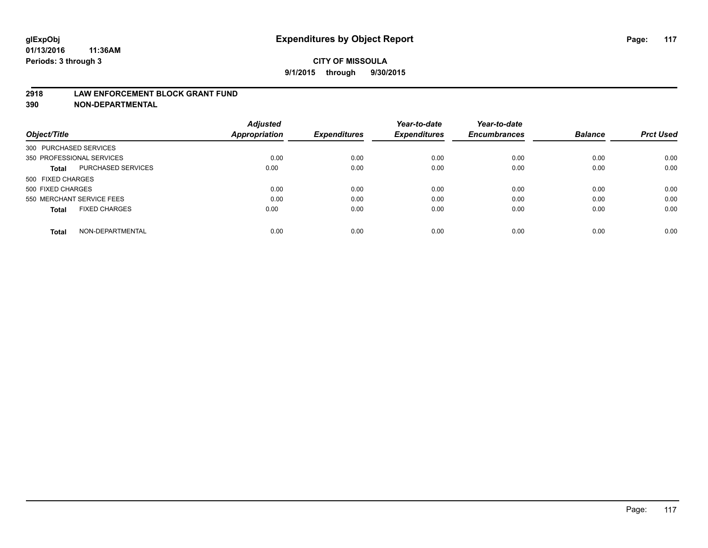#### **2918 LAW ENFORCEMENT BLOCK GRANT FUND**

**390 NON-DEPARTMENTAL**

|                           |                      | <b>Adjusted</b> |                     | Year-to-date        | Year-to-date<br><b>Encumbrances</b> | <b>Balance</b> | <b>Prct Used</b> |
|---------------------------|----------------------|-----------------|---------------------|---------------------|-------------------------------------|----------------|------------------|
| Object/Title              |                      | Appropriation   | <b>Expenditures</b> | <b>Expenditures</b> |                                     |                |                  |
| 300 PURCHASED SERVICES    |                      |                 |                     |                     |                                     |                |                  |
| 350 PROFESSIONAL SERVICES |                      | 0.00            | 0.00                | 0.00                | 0.00                                | 0.00           | 0.00             |
| Total                     | PURCHASED SERVICES   | 0.00            | 0.00                | 0.00                | 0.00                                | 0.00           | 0.00             |
| 500 FIXED CHARGES         |                      |                 |                     |                     |                                     |                |                  |
| 500 FIXED CHARGES         |                      | 0.00            | 0.00                | 0.00                | 0.00                                | 0.00           | 0.00             |
| 550 MERCHANT SERVICE FEES |                      | 0.00            | 0.00                | 0.00                | 0.00                                | 0.00           | 0.00             |
| <b>Total</b>              | <b>FIXED CHARGES</b> | 0.00            | 0.00                | 0.00                | 0.00                                | 0.00           | 0.00             |
| <b>Total</b>              | NON-DEPARTMENTAL     | 0.00            | 0.00                | 0.00                | 0.00                                | 0.00           | 0.00             |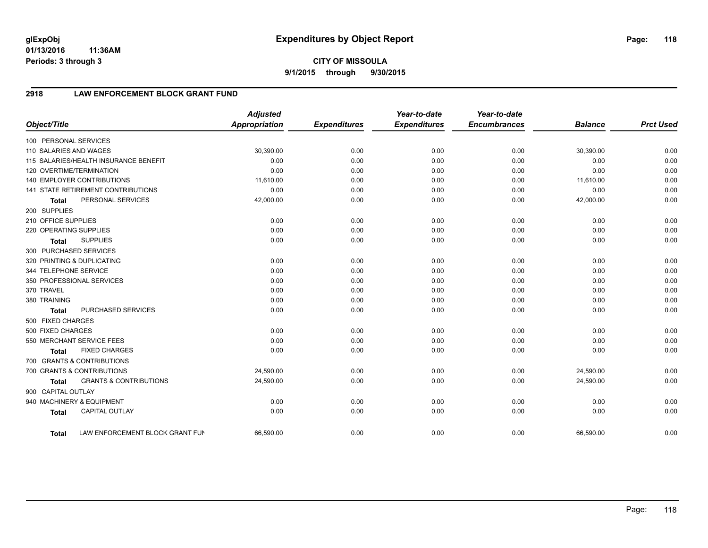**01/13/2016 11:36AM Periods: 3 through 3**

# **2918 LAW ENFORCEMENT BLOCK GRANT FUND**

| Object/Title           |                                       | <b>Adjusted</b><br>Appropriation | <b>Expenditures</b> | Year-to-date<br><b>Expenditures</b> | Year-to-date<br><b>Encumbrances</b> | <b>Balance</b> | <b>Prct Used</b> |
|------------------------|---------------------------------------|----------------------------------|---------------------|-------------------------------------|-------------------------------------|----------------|------------------|
| 100 PERSONAL SERVICES  |                                       |                                  |                     |                                     |                                     |                |                  |
| 110 SALARIES AND WAGES |                                       | 30,390.00                        | 0.00                | 0.00                                | 0.00                                | 30,390.00      | 0.00             |
|                        | 115 SALARIES/HEALTH INSURANCE BENEFIT | 0.00                             | 0.00                | 0.00                                | 0.00                                | 0.00           | 0.00             |
|                        | 120 OVERTIME/TERMINATION              | 0.00                             | 0.00                | 0.00                                | 0.00                                | 0.00           | 0.00             |
|                        | <b>140 EMPLOYER CONTRIBUTIONS</b>     | 11,610.00                        | 0.00                | 0.00                                | 0.00                                | 11,610.00      | 0.00             |
|                        | 141 STATE RETIREMENT CONTRIBUTIONS    | 0.00                             | 0.00                | 0.00                                | 0.00                                | 0.00           | 0.00             |
| <b>Total</b>           | PERSONAL SERVICES                     | 42,000.00                        | 0.00                | 0.00                                | 0.00                                | 42,000.00      | 0.00             |
| 200 SUPPLIES           |                                       |                                  |                     |                                     |                                     |                |                  |
| 210 OFFICE SUPPLIES    |                                       | 0.00                             | 0.00                | 0.00                                | 0.00                                | 0.00           | 0.00             |
| 220 OPERATING SUPPLIES |                                       | 0.00                             | 0.00                | 0.00                                | 0.00                                | 0.00           | 0.00             |
| <b>Total</b>           | <b>SUPPLIES</b>                       | 0.00                             | 0.00                | 0.00                                | 0.00                                | 0.00           | 0.00             |
| 300 PURCHASED SERVICES |                                       |                                  |                     |                                     |                                     |                |                  |
|                        | 320 PRINTING & DUPLICATING            | 0.00                             | 0.00                | 0.00                                | 0.00                                | 0.00           | 0.00             |
| 344 TELEPHONE SERVICE  |                                       | 0.00                             | 0.00                | 0.00                                | 0.00                                | 0.00           | 0.00             |
|                        | 350 PROFESSIONAL SERVICES             | 0.00                             | 0.00                | 0.00                                | 0.00                                | 0.00           | 0.00             |
| 370 TRAVEL             |                                       | 0.00                             | 0.00                | 0.00                                | 0.00                                | 0.00           | 0.00             |
| 380 TRAINING           |                                       | 0.00                             | 0.00                | 0.00                                | 0.00                                | 0.00           | 0.00             |
| <b>Total</b>           | PURCHASED SERVICES                    | 0.00                             | 0.00                | 0.00                                | 0.00                                | 0.00           | 0.00             |
| 500 FIXED CHARGES      |                                       |                                  |                     |                                     |                                     |                |                  |
| 500 FIXED CHARGES      |                                       | 0.00                             | 0.00                | 0.00                                | 0.00                                | 0.00           | 0.00             |
|                        | 550 MERCHANT SERVICE FEES             | 0.00                             | 0.00                | 0.00                                | 0.00                                | 0.00           | 0.00             |
| <b>Total</b>           | <b>FIXED CHARGES</b>                  | 0.00                             | 0.00                | 0.00                                | 0.00                                | 0.00           | 0.00             |
|                        | 700 GRANTS & CONTRIBUTIONS            |                                  |                     |                                     |                                     |                |                  |
|                        | 700 GRANTS & CONTRIBUTIONS            | 24,590.00                        | 0.00                | 0.00                                | 0.00                                | 24,590.00      | 0.00             |
| <b>Total</b>           | <b>GRANTS &amp; CONTRIBUTIONS</b>     | 24,590.00                        | 0.00                | 0.00                                | 0.00                                | 24,590.00      | 0.00             |
| 900 CAPITAL OUTLAY     |                                       |                                  |                     |                                     |                                     |                |                  |
|                        | 940 MACHINERY & EQUIPMENT             | 0.00                             | 0.00                | 0.00                                | 0.00                                | 0.00           | 0.00             |
| <b>Total</b>           | <b>CAPITAL OUTLAY</b>                 | 0.00                             | 0.00                | 0.00                                | 0.00                                | 0.00           | 0.00             |
| <b>Total</b>           | LAW ENFORCEMENT BLOCK GRANT FUN       | 66,590.00                        | 0.00                | 0.00                                | 0.00                                | 66,590.00      | 0.00             |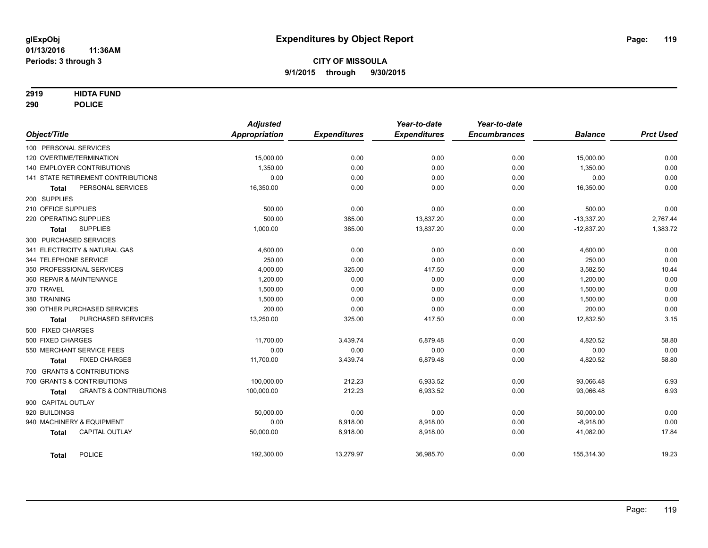### **2919 HIDTA FUND**

**290 POLICE**

|                                            | <b>Adjusted</b>      |                     | Year-to-date        | Year-to-date        |                |                  |
|--------------------------------------------|----------------------|---------------------|---------------------|---------------------|----------------|------------------|
| Object/Title                               | <b>Appropriation</b> | <b>Expenditures</b> | <b>Expenditures</b> | <b>Encumbrances</b> | <b>Balance</b> | <b>Prct Used</b> |
| 100 PERSONAL SERVICES                      |                      |                     |                     |                     |                |                  |
| 120 OVERTIME/TERMINATION                   | 15,000.00            | 0.00                | 0.00                | 0.00                | 15,000.00      | 0.00             |
| 140 EMPLOYER CONTRIBUTIONS                 | 1,350.00             | 0.00                | 0.00                | 0.00                | 1,350.00       | 0.00             |
| 141 STATE RETIREMENT CONTRIBUTIONS         | 0.00                 | 0.00                | 0.00                | 0.00                | 0.00           | 0.00             |
| PERSONAL SERVICES<br><b>Total</b>          | 16,350.00            | 0.00                | 0.00                | 0.00                | 16,350.00      | 0.00             |
| 200 SUPPLIES                               |                      |                     |                     |                     |                |                  |
| 210 OFFICE SUPPLIES                        | 500.00               | 0.00                | 0.00                | 0.00                | 500.00         | 0.00             |
| 220 OPERATING SUPPLIES                     | 500.00               | 385.00              | 13,837.20           | 0.00                | $-13,337.20$   | 2,767.44         |
| <b>SUPPLIES</b><br>Total                   | 1,000.00             | 385.00              | 13,837.20           | 0.00                | $-12,837.20$   | 1,383.72         |
| 300 PURCHASED SERVICES                     |                      |                     |                     |                     |                |                  |
| 341 ELECTRICITY & NATURAL GAS              | 4,600.00             | 0.00                | 0.00                | 0.00                | 4,600.00       | 0.00             |
| 344 TELEPHONE SERVICE                      | 250.00               | 0.00                | 0.00                | 0.00                | 250.00         | 0.00             |
| 350 PROFESSIONAL SERVICES                  | 4,000.00             | 325.00              | 417.50              | 0.00                | 3,582.50       | 10.44            |
| 360 REPAIR & MAINTENANCE                   | 1,200.00             | 0.00                | 0.00                | 0.00                | 1,200.00       | 0.00             |
| 370 TRAVEL                                 | 1.500.00             | 0.00                | 0.00                | 0.00                | 1,500.00       | 0.00             |
| 380 TRAINING                               | 1,500.00             | 0.00                | 0.00                | 0.00                | 1,500.00       | 0.00             |
| 390 OTHER PURCHASED SERVICES               | 200.00               | 0.00                | 0.00                | 0.00                | 200.00         | 0.00             |
| PURCHASED SERVICES<br><b>Total</b>         | 13,250.00            | 325.00              | 417.50              | 0.00                | 12,832.50      | 3.15             |
| 500 FIXED CHARGES                          |                      |                     |                     |                     |                |                  |
| 500 FIXED CHARGES                          | 11,700.00            | 3,439.74            | 6,879.48            | 0.00                | 4,820.52       | 58.80            |
| 550 MERCHANT SERVICE FEES                  | 0.00                 | 0.00                | 0.00                | 0.00                | 0.00           | 0.00             |
| <b>FIXED CHARGES</b><br>Total              | 11,700.00            | 3,439.74            | 6,879.48            | 0.00                | 4,820.52       | 58.80            |
| 700 GRANTS & CONTRIBUTIONS                 |                      |                     |                     |                     |                |                  |
| 700 GRANTS & CONTRIBUTIONS                 | 100,000.00           | 212.23              | 6,933.52            | 0.00                | 93,066.48      | 6.93             |
| <b>GRANTS &amp; CONTRIBUTIONS</b><br>Total | 100,000.00           | 212.23              | 6,933.52            | 0.00                | 93,066.48      | 6.93             |
| 900 CAPITAL OUTLAY                         |                      |                     |                     |                     |                |                  |
| 920 BUILDINGS                              | 50,000.00            | 0.00                | 0.00                | 0.00                | 50,000.00      | 0.00             |
| 940 MACHINERY & EQUIPMENT                  | 0.00                 | 8,918.00            | 8,918.00            | 0.00                | $-8,918.00$    | 0.00             |
| <b>CAPITAL OUTLAY</b><br><b>Total</b>      | 50,000.00            | 8,918.00            | 8,918.00            | 0.00                | 41,082.00      | 17.84            |
| <b>POLICE</b><br><b>Total</b>              | 192,300.00           | 13,279.97           | 36,985.70           | 0.00                | 155,314.30     | 19.23            |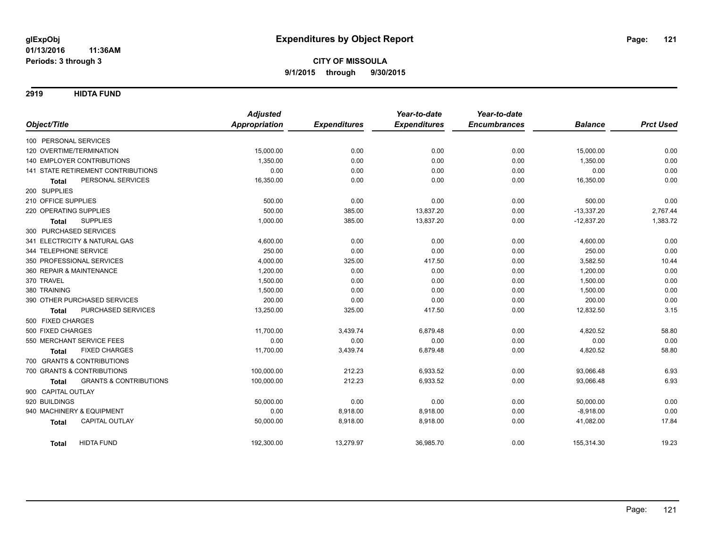**2919 HIDTA FUND**

|                                                   | <b>Adjusted</b>      |                     | Year-to-date        | Year-to-date        |                |                  |
|---------------------------------------------------|----------------------|---------------------|---------------------|---------------------|----------------|------------------|
| Object/Title                                      | <b>Appropriation</b> | <b>Expenditures</b> | <b>Expenditures</b> | <b>Encumbrances</b> | <b>Balance</b> | <b>Prct Used</b> |
| 100 PERSONAL SERVICES                             |                      |                     |                     |                     |                |                  |
| 120 OVERTIME/TERMINATION                          | 15,000.00            | 0.00                | 0.00                | 0.00                | 15,000.00      | 0.00             |
| <b>140 EMPLOYER CONTRIBUTIONS</b>                 | 1.350.00             | 0.00                | 0.00                | 0.00                | 1,350.00       | 0.00             |
| 141 STATE RETIREMENT CONTRIBUTIONS                | 0.00                 | 0.00                | 0.00                | 0.00                | 0.00           | 0.00             |
| PERSONAL SERVICES<br><b>Total</b>                 | 16,350.00            | 0.00                | 0.00                | 0.00                | 16,350.00      | 0.00             |
| 200 SUPPLIES                                      |                      |                     |                     |                     |                |                  |
| 210 OFFICE SUPPLIES                               | 500.00               | 0.00                | 0.00                | 0.00                | 500.00         | 0.00             |
| 220 OPERATING SUPPLIES                            | 500.00               | 385.00              | 13,837.20           | 0.00                | $-13,337.20$   | 2,767.44         |
| <b>SUPPLIES</b><br><b>Total</b>                   | 1,000.00             | 385.00              | 13,837.20           | 0.00                | $-12,837.20$   | 1,383.72         |
| 300 PURCHASED SERVICES                            |                      |                     |                     |                     |                |                  |
| 341 ELECTRICITY & NATURAL GAS                     | 4,600.00             | 0.00                | 0.00                | 0.00                | 4,600.00       | 0.00             |
| 344 TELEPHONE SERVICE                             | 250.00               | 0.00                | 0.00                | 0.00                | 250.00         | 0.00             |
| 350 PROFESSIONAL SERVICES                         | 4,000.00             | 325.00              | 417.50              | 0.00                | 3,582.50       | 10.44            |
| 360 REPAIR & MAINTENANCE                          | 1,200.00             | 0.00                | 0.00                | 0.00                | 1,200.00       | 0.00             |
| 370 TRAVEL                                        | 1,500.00             | 0.00                | 0.00                | 0.00                | 1,500.00       | 0.00             |
| 380 TRAINING                                      | 1,500.00             | 0.00                | 0.00                | 0.00                | 1,500.00       | 0.00             |
| 390 OTHER PURCHASED SERVICES                      | 200.00               | 0.00                | 0.00                | 0.00                | 200.00         | 0.00             |
| PURCHASED SERVICES<br><b>Total</b>                | 13,250.00            | 325.00              | 417.50              | 0.00                | 12,832.50      | 3.15             |
| 500 FIXED CHARGES                                 |                      |                     |                     |                     |                |                  |
| 500 FIXED CHARGES                                 | 11,700.00            | 3,439.74            | 6,879.48            | 0.00                | 4,820.52       | 58.80            |
| 550 MERCHANT SERVICE FEES                         | 0.00                 | 0.00                | 0.00                | 0.00                | 0.00           | 0.00             |
| <b>FIXED CHARGES</b><br><b>Total</b>              | 11,700.00            | 3,439.74            | 6,879.48            | 0.00                | 4,820.52       | 58.80            |
| 700 GRANTS & CONTRIBUTIONS                        |                      |                     |                     |                     |                |                  |
| 700 GRANTS & CONTRIBUTIONS                        | 100,000.00           | 212.23              | 6,933.52            | 0.00                | 93,066.48      | 6.93             |
| <b>GRANTS &amp; CONTRIBUTIONS</b><br><b>Total</b> | 100,000.00           | 212.23              | 6,933.52            | 0.00                | 93,066.48      | 6.93             |
| 900 CAPITAL OUTLAY                                |                      |                     |                     |                     |                |                  |
| 920 BUILDINGS                                     | 50,000.00            | 0.00                | 0.00                | 0.00                | 50,000.00      | 0.00             |
| 940 MACHINERY & EQUIPMENT                         | 0.00                 | 8,918.00            | 8,918.00            | 0.00                | $-8,918.00$    | 0.00             |
| CAPITAL OUTLAY<br><b>Total</b>                    | 50,000.00            | 8,918.00            | 8,918.00            | 0.00                | 41,082.00      | 17.84            |
| <b>HIDTA FUND</b><br>Total                        | 192,300.00           | 13,279.97           | 36,985.70           | 0.00                | 155,314.30     | 19.23            |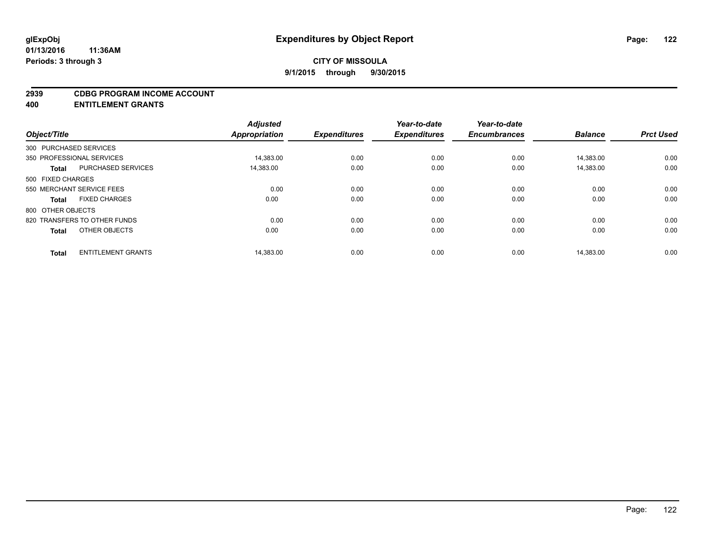#### **2939 CDBG PROGRAM INCOME ACCOUNT**

**400 ENTITLEMENT GRANTS**

| Year-to-date<br><b>Encumbrances</b><br><b>Balance</b><br><b>Prct Used</b> | Year-to-date<br><b>Expenditures</b> | <b>Expenditures</b> | <b>Adjusted</b><br><b>Appropriation</b> | Object/Title                              |  |
|---------------------------------------------------------------------------|-------------------------------------|---------------------|-----------------------------------------|-------------------------------------------|--|
|                                                                           |                                     |                     |                                         | 300 PURCHASED SERVICES                    |  |
| 0.00<br>0.00<br>14.383.00                                                 | 0.00                                | 0.00                | 14,383.00                               | 350 PROFESSIONAL SERVICES                 |  |
| 0.00<br>0.00<br>14,383.00                                                 | 0.00                                | 0.00                | 14,383.00                               | <b>PURCHASED SERVICES</b><br><b>Total</b> |  |
|                                                                           |                                     |                     |                                         | 500 FIXED CHARGES                         |  |
| 0.00<br>0.00<br>0.00                                                      | 0.00                                | 0.00                | 0.00                                    | 550 MERCHANT SERVICE FEES                 |  |
| 0.00<br>0.00<br>0.00                                                      | 0.00                                | 0.00                | 0.00                                    | <b>FIXED CHARGES</b><br><b>Total</b>      |  |
|                                                                           |                                     |                     |                                         | 800 OTHER OBJECTS                         |  |
| 0.00<br>0.00<br>0.00                                                      | 0.00                                | 0.00                | 0.00                                    | 820 TRANSFERS TO OTHER FUNDS              |  |
| 0.00<br>0.00<br>0.00                                                      | 0.00                                | 0.00                | 0.00                                    | OTHER OBJECTS<br><b>Total</b>             |  |
| 0.00                                                                      |                                     |                     |                                         |                                           |  |
| 0.00<br>14,383.00                                                         | 0.00                                | 0.00                | 14,383.00                               | <b>ENTITLEMENT GRANTS</b><br><b>Total</b> |  |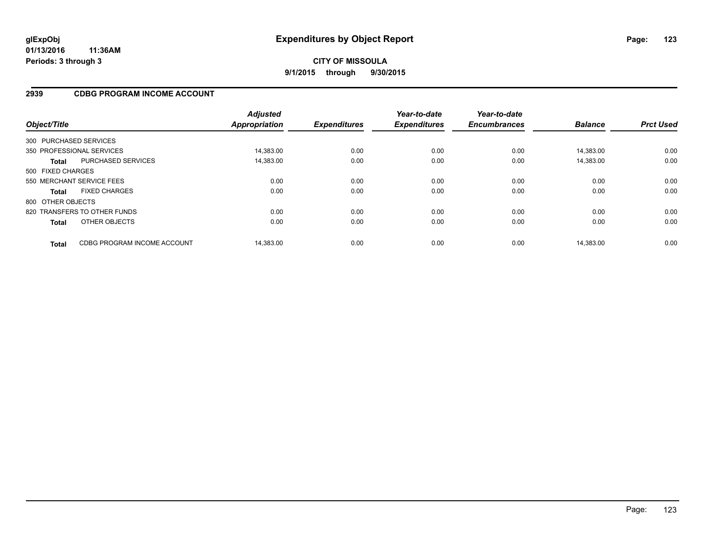## **2939 CDBG PROGRAM INCOME ACCOUNT**

| Object/Title      |                              | <b>Adjusted</b><br><b>Appropriation</b> | <b>Expenditures</b> | Year-to-date<br><b>Expenditures</b> | Year-to-date<br><b>Encumbrances</b> | <b>Balance</b> | <b>Prct Used</b> |
|-------------------|------------------------------|-----------------------------------------|---------------------|-------------------------------------|-------------------------------------|----------------|------------------|
|                   | 300 PURCHASED SERVICES       |                                         |                     |                                     |                                     |                |                  |
|                   | 350 PROFESSIONAL SERVICES    | 14,383.00                               | 0.00                | 0.00                                | 0.00                                | 14.383.00      | 0.00             |
| <b>Total</b>      | <b>PURCHASED SERVICES</b>    | 14,383.00                               | 0.00                | 0.00                                | 0.00                                | 14,383.00      | 0.00             |
| 500 FIXED CHARGES |                              |                                         |                     |                                     |                                     |                |                  |
|                   | 550 MERCHANT SERVICE FEES    | 0.00                                    | 0.00                | 0.00                                | 0.00                                | 0.00           | 0.00             |
| <b>Total</b>      | <b>FIXED CHARGES</b>         | 0.00                                    | 0.00                | 0.00                                | 0.00                                | 0.00           | 0.00             |
| 800 OTHER OBJECTS |                              |                                         |                     |                                     |                                     |                |                  |
|                   | 820 TRANSFERS TO OTHER FUNDS | 0.00                                    | 0.00                | 0.00                                | 0.00                                | 0.00           | 0.00             |
| <b>Total</b>      | OTHER OBJECTS                | 0.00                                    | 0.00                | 0.00                                | 0.00                                | 0.00           | 0.00             |
| <b>Total</b>      | CDBG PROGRAM INCOME ACCOUNT  | 14.383.00                               | 0.00                | 0.00                                | 0.00                                | 14.383.00      | 0.00             |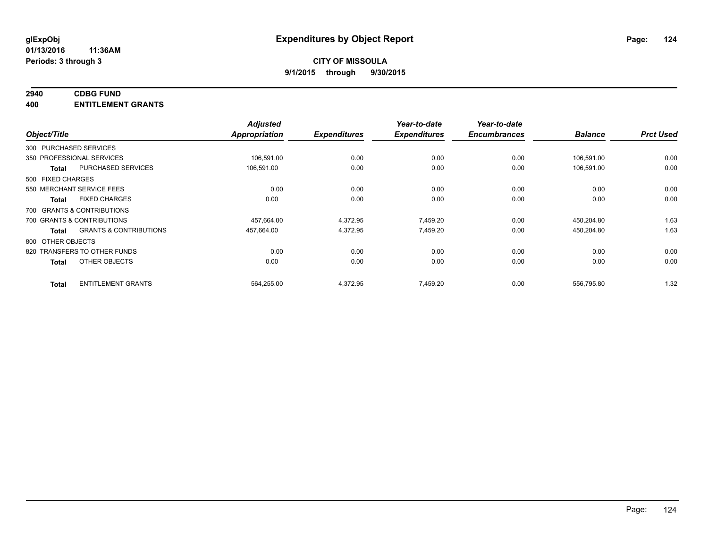# **2940 CDBG FUND**

**400 ENTITLEMENT GRANTS**

| Object/Title                 |                                   | <b>Adjusted</b><br>Appropriation | <b>Expenditures</b> | Year-to-date<br><b>Expenditures</b> | Year-to-date<br><b>Encumbrances</b> | <b>Balance</b> | <b>Prct Used</b> |
|------------------------------|-----------------------------------|----------------------------------|---------------------|-------------------------------------|-------------------------------------|----------------|------------------|
| 300 PURCHASED SERVICES       |                                   |                                  |                     |                                     |                                     |                |                  |
| 350 PROFESSIONAL SERVICES    |                                   | 106,591.00                       | 0.00                | 0.00                                | 0.00                                | 106,591.00     | 0.00             |
| <b>Total</b>                 | PURCHASED SERVICES                | 106,591.00                       | 0.00                | 0.00                                | 0.00                                | 106,591.00     | 0.00             |
| 500 FIXED CHARGES            |                                   |                                  |                     |                                     |                                     |                |                  |
| 550 MERCHANT SERVICE FEES    |                                   | 0.00                             | 0.00                | 0.00                                | 0.00                                | 0.00           | 0.00             |
| <b>Total</b>                 | <b>FIXED CHARGES</b>              | 0.00                             | 0.00                | 0.00                                | 0.00                                | 0.00           | 0.00             |
| 700 GRANTS & CONTRIBUTIONS   |                                   |                                  |                     |                                     |                                     |                |                  |
| 700 GRANTS & CONTRIBUTIONS   |                                   | 457,664.00                       | 4,372.95            | 7,459.20                            | 0.00                                | 450,204.80     | 1.63             |
| <b>Total</b>                 | <b>GRANTS &amp; CONTRIBUTIONS</b> | 457,664.00                       | 4,372.95            | 7,459.20                            | 0.00                                | 450,204.80     | 1.63             |
| 800 OTHER OBJECTS            |                                   |                                  |                     |                                     |                                     |                |                  |
| 820 TRANSFERS TO OTHER FUNDS |                                   | 0.00                             | 0.00                | 0.00                                | 0.00                                | 0.00           | 0.00             |
| <b>Total</b>                 | OTHER OBJECTS                     | 0.00                             | 0.00                | 0.00                                | 0.00                                | 0.00           | 0.00             |
| <b>Total</b>                 | <b>ENTITLEMENT GRANTS</b>         | 564,255.00                       | 4,372.95            | 7,459.20                            | 0.00                                | 556,795.80     | 1.32             |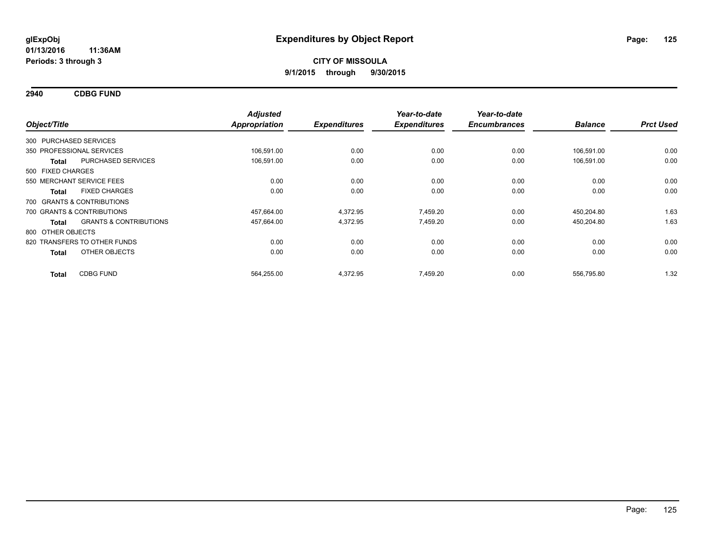**2940 CDBG FUND**

| Object/Title                 |                                   | <b>Adjusted</b><br><b>Appropriation</b> | <b>Expenditures</b> | Year-to-date<br><b>Expenditures</b> | Year-to-date<br><b>Encumbrances</b> | <b>Balance</b> | <b>Prct Used</b> |
|------------------------------|-----------------------------------|-----------------------------------------|---------------------|-------------------------------------|-------------------------------------|----------------|------------------|
|                              |                                   |                                         |                     |                                     |                                     |                |                  |
| 300 PURCHASED SERVICES       |                                   |                                         |                     |                                     |                                     |                |                  |
| 350 PROFESSIONAL SERVICES    |                                   | 106,591.00                              | 0.00                | 0.00                                | 0.00                                | 106,591.00     | 0.00             |
| Total                        | PURCHASED SERVICES                | 106,591.00                              | 0.00                | 0.00                                | 0.00                                | 106,591.00     | 0.00             |
| 500 FIXED CHARGES            |                                   |                                         |                     |                                     |                                     |                |                  |
| 550 MERCHANT SERVICE FEES    |                                   | 0.00                                    | 0.00                | 0.00                                | 0.00                                | 0.00           | 0.00             |
| <b>Total</b>                 | <b>FIXED CHARGES</b>              | 0.00                                    | 0.00                | 0.00                                | 0.00                                | 0.00           | 0.00             |
| 700 GRANTS & CONTRIBUTIONS   |                                   |                                         |                     |                                     |                                     |                |                  |
| 700 GRANTS & CONTRIBUTIONS   |                                   | 457,664.00                              | 4,372.95            | 7,459.20                            | 0.00                                | 450,204.80     | 1.63             |
| <b>Total</b>                 | <b>GRANTS &amp; CONTRIBUTIONS</b> | 457,664.00                              | 4,372.95            | 7,459.20                            | 0.00                                | 450,204.80     | 1.63             |
| 800 OTHER OBJECTS            |                                   |                                         |                     |                                     |                                     |                |                  |
| 820 TRANSFERS TO OTHER FUNDS |                                   | 0.00                                    | 0.00                | 0.00                                | 0.00                                | 0.00           | 0.00             |
| <b>Total</b>                 | OTHER OBJECTS                     | 0.00                                    | 0.00                | 0.00                                | 0.00                                | 0.00           | 0.00             |
| <b>Total</b>                 | <b>CDBG FUND</b>                  | 564,255.00                              | 4,372.95            | 7,459.20                            | 0.00                                | 556,795.80     | 1.32             |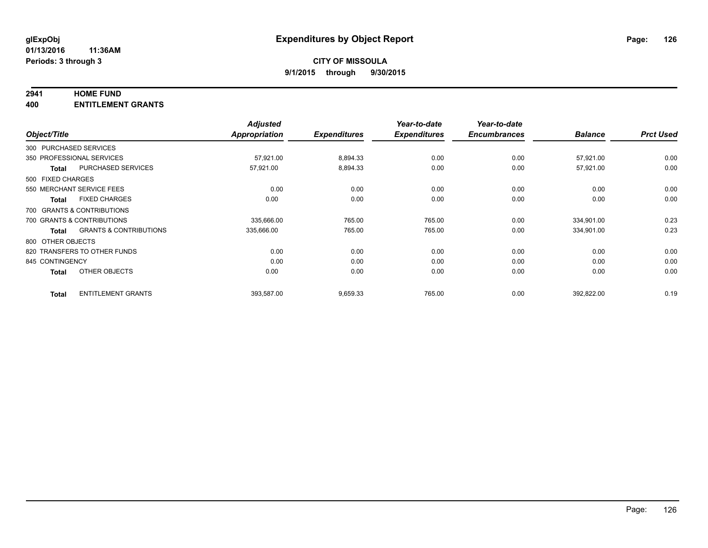#### **2941 HOME FUND**

**400 ENTITLEMENT GRANTS**

| Object/Title      |                                   | <b>Adjusted</b><br><b>Appropriation</b> | <b>Expenditures</b> | Year-to-date<br><b>Expenditures</b> | Year-to-date<br><b>Encumbrances</b> | <b>Balance</b> | <b>Prct Used</b> |
|-------------------|-----------------------------------|-----------------------------------------|---------------------|-------------------------------------|-------------------------------------|----------------|------------------|
|                   | 300 PURCHASED SERVICES            |                                         |                     |                                     |                                     |                |                  |
|                   | 350 PROFESSIONAL SERVICES         | 57,921.00                               | 8,894.33            | 0.00                                | 0.00                                | 57,921.00      | 0.00             |
| <b>Total</b>      | <b>PURCHASED SERVICES</b>         | 57,921.00                               | 8,894.33            | 0.00                                | 0.00                                | 57,921.00      | 0.00             |
| 500 FIXED CHARGES |                                   |                                         |                     |                                     |                                     |                |                  |
|                   | 550 MERCHANT SERVICE FEES         | 0.00                                    | 0.00                | 0.00                                | 0.00                                | 0.00           | 0.00             |
| <b>Total</b>      | <b>FIXED CHARGES</b>              | 0.00                                    | 0.00                | 0.00                                | 0.00                                | 0.00           | 0.00             |
|                   | 700 GRANTS & CONTRIBUTIONS        |                                         |                     |                                     |                                     |                |                  |
|                   | 700 GRANTS & CONTRIBUTIONS        | 335,666.00                              | 765.00              | 765.00                              | 0.00                                | 334,901.00     | 0.23             |
| <b>Total</b>      | <b>GRANTS &amp; CONTRIBUTIONS</b> | 335,666.00                              | 765.00              | 765.00                              | 0.00                                | 334,901.00     | 0.23             |
| 800 OTHER OBJECTS |                                   |                                         |                     |                                     |                                     |                |                  |
|                   | 820 TRANSFERS TO OTHER FUNDS      | 0.00                                    | 0.00                | 0.00                                | 0.00                                | 0.00           | 0.00             |
| 845 CONTINGENCY   |                                   | 0.00                                    | 0.00                | 0.00                                | 0.00                                | 0.00           | 0.00             |
| <b>Total</b>      | OTHER OBJECTS                     | 0.00                                    | 0.00                | 0.00                                | 0.00                                | 0.00           | 0.00             |
| <b>Total</b>      | <b>ENTITLEMENT GRANTS</b>         | 393,587.00                              | 9,659.33            | 765.00                              | 0.00                                | 392,822.00     | 0.19             |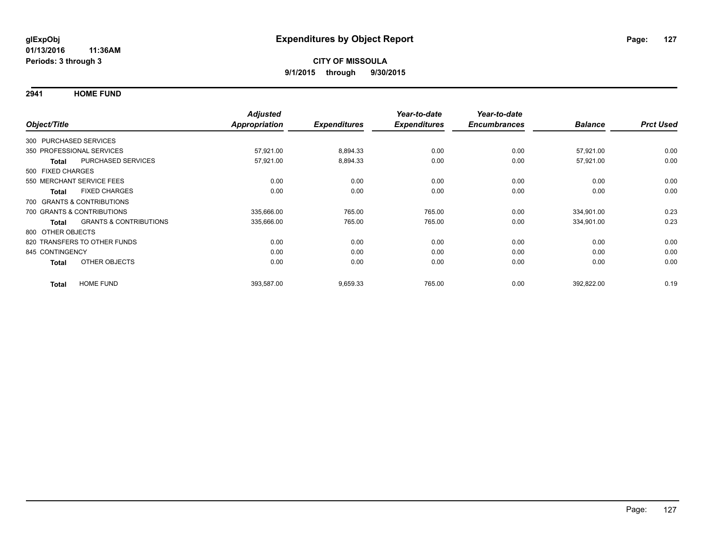**2941 HOME FUND**

|                        |                                   | <b>Adjusted</b>      |                     | Year-to-date        | Year-to-date<br><b>Encumbrances</b> | <b>Balance</b> | <b>Prct Used</b> |
|------------------------|-----------------------------------|----------------------|---------------------|---------------------|-------------------------------------|----------------|------------------|
| Object/Title           |                                   | <b>Appropriation</b> | <b>Expenditures</b> | <b>Expenditures</b> |                                     |                |                  |
| 300 PURCHASED SERVICES |                                   |                      |                     |                     |                                     |                |                  |
|                        | 350 PROFESSIONAL SERVICES         | 57,921.00            | 8,894.33            | 0.00                | 0.00                                | 57,921.00      | 0.00             |
| <b>Total</b>           | <b>PURCHASED SERVICES</b>         | 57,921.00            | 8,894.33            | 0.00                | 0.00                                | 57,921.00      | 0.00             |
| 500 FIXED CHARGES      |                                   |                      |                     |                     |                                     |                |                  |
|                        | 550 MERCHANT SERVICE FEES         | 0.00                 | 0.00                | 0.00                | 0.00                                | 0.00           | 0.00             |
| <b>Total</b>           | <b>FIXED CHARGES</b>              | 0.00                 | 0.00                | 0.00                | 0.00                                | 0.00           | 0.00             |
|                        | 700 GRANTS & CONTRIBUTIONS        |                      |                     |                     |                                     |                |                  |
|                        | 700 GRANTS & CONTRIBUTIONS        | 335,666.00           | 765.00              | 765.00              | 0.00                                | 334,901.00     | 0.23             |
| <b>Total</b>           | <b>GRANTS &amp; CONTRIBUTIONS</b> | 335,666.00           | 765.00              | 765.00              | 0.00                                | 334,901.00     | 0.23             |
| 800 OTHER OBJECTS      |                                   |                      |                     |                     |                                     |                |                  |
|                        | 820 TRANSFERS TO OTHER FUNDS      | 0.00                 | 0.00                | 0.00                | 0.00                                | 0.00           | 0.00             |
| 845 CONTINGENCY        |                                   | 0.00                 | 0.00                | 0.00                | 0.00                                | 0.00           | 0.00             |
| <b>Total</b>           | OTHER OBJECTS                     | 0.00                 | 0.00                | 0.00                | 0.00                                | 0.00           | 0.00             |
| <b>Total</b>           | <b>HOME FUND</b>                  | 393,587.00           | 9,659.33            | 765.00              | 0.00                                | 392,822.00     | 0.19             |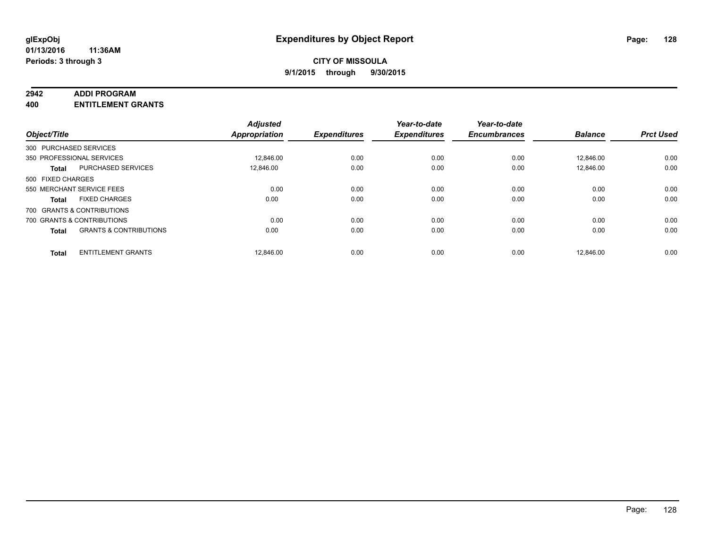#### **2942 ADDI PROGRAM**

**400 ENTITLEMENT GRANTS**

| Object/Title      |                                   | <b>Adjusted</b><br><b>Appropriation</b> | <b>Expenditures</b> | Year-to-date<br><b>Expenditures</b> | Year-to-date<br><b>Encumbrances</b> | <b>Balance</b> | <b>Prct Used</b> |
|-------------------|-----------------------------------|-----------------------------------------|---------------------|-------------------------------------|-------------------------------------|----------------|------------------|
|                   | 300 PURCHASED SERVICES            |                                         |                     |                                     |                                     |                |                  |
|                   | 350 PROFESSIONAL SERVICES         | 12,846.00                               | 0.00                | 0.00                                | 0.00                                | 12,846.00      | 0.00             |
| <b>Total</b>      | <b>PURCHASED SERVICES</b>         | 12.846.00                               | 0.00                | 0.00                                | 0.00                                | 12.846.00      | 0.00             |
| 500 FIXED CHARGES |                                   |                                         |                     |                                     |                                     |                |                  |
|                   | 550 MERCHANT SERVICE FEES         | 0.00                                    | 0.00                | 0.00                                | 0.00                                | 0.00           | 0.00             |
| <b>Total</b>      | <b>FIXED CHARGES</b>              | 0.00                                    | 0.00                | 0.00                                | 0.00                                | 0.00           | 0.00             |
|                   | 700 GRANTS & CONTRIBUTIONS        |                                         |                     |                                     |                                     |                |                  |
|                   | 700 GRANTS & CONTRIBUTIONS        | 0.00                                    | 0.00                | 0.00                                | 0.00                                | 0.00           | 0.00             |
| <b>Total</b>      | <b>GRANTS &amp; CONTRIBUTIONS</b> | 0.00                                    | 0.00                | 0.00                                | 0.00                                | 0.00           | 0.00             |
| <b>Total</b>      | <b>ENTITLEMENT GRANTS</b>         | 12.846.00                               | 0.00                | 0.00                                | 0.00                                | 12.846.00      | 0.00             |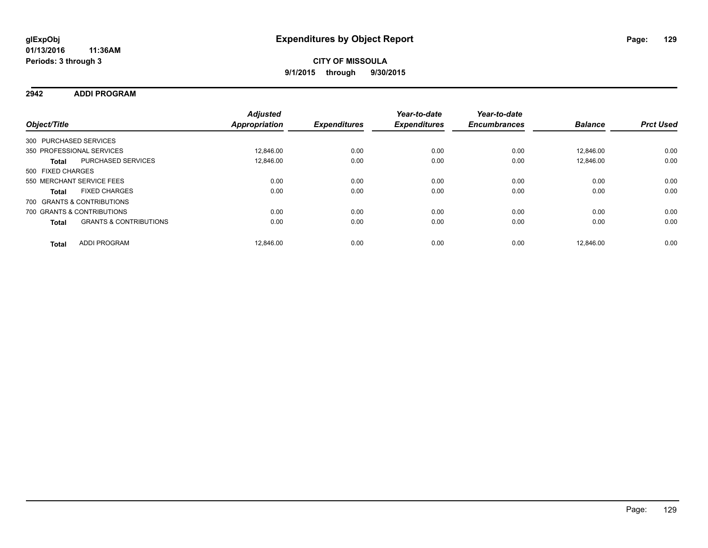**2942 ADDI PROGRAM**

| Object/Title      |                                   | <b>Adjusted</b><br><b>Appropriation</b> | <b>Expenditures</b> | Year-to-date<br><b>Expenditures</b> | Year-to-date<br><b>Encumbrances</b> | <b>Balance</b> | <b>Prct Used</b> |
|-------------------|-----------------------------------|-----------------------------------------|---------------------|-------------------------------------|-------------------------------------|----------------|------------------|
|                   | 300 PURCHASED SERVICES            |                                         |                     |                                     |                                     |                |                  |
|                   | 350 PROFESSIONAL SERVICES         | 12.846.00                               | 0.00                | 0.00                                | 0.00                                | 12.846.00      | 0.00             |
| <b>Total</b>      | PURCHASED SERVICES                | 12.846.00                               | 0.00                | 0.00                                | 0.00                                | 12.846.00      | 0.00             |
| 500 FIXED CHARGES |                                   |                                         |                     |                                     |                                     |                |                  |
|                   | 550 MERCHANT SERVICE FEES         | 0.00                                    | 0.00                | 0.00                                | 0.00                                | 0.00           | 0.00             |
| <b>Total</b>      | <b>FIXED CHARGES</b>              | 0.00                                    | 0.00                | 0.00                                | 0.00                                | 0.00           | 0.00             |
|                   | 700 GRANTS & CONTRIBUTIONS        |                                         |                     |                                     |                                     |                |                  |
|                   | 700 GRANTS & CONTRIBUTIONS        | 0.00                                    | 0.00                | 0.00                                | 0.00                                | 0.00           | 0.00             |
| <b>Total</b>      | <b>GRANTS &amp; CONTRIBUTIONS</b> | 0.00                                    | 0.00                | 0.00                                | 0.00                                | 0.00           | 0.00             |
| <b>Total</b>      | <b>ADDI PROGRAM</b>               | 12.846.00                               | 0.00                | 0.00                                | 0.00                                | 12.846.00      | 0.00             |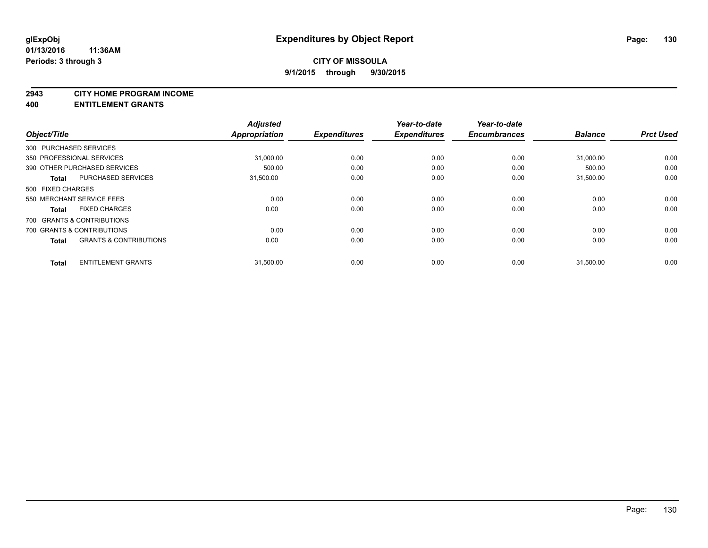#### **2943 CITY HOME PROGRAM INCOME**

**400 ENTITLEMENT GRANTS**

| Object/Title      |                                   | <b>Adjusted</b><br><b>Appropriation</b> | <b>Expenditures</b> | Year-to-date<br><b>Expenditures</b> | Year-to-date<br><b>Encumbrances</b> | <b>Balance</b> | <b>Prct Used</b> |
|-------------------|-----------------------------------|-----------------------------------------|---------------------|-------------------------------------|-------------------------------------|----------------|------------------|
|                   | 300 PURCHASED SERVICES            |                                         |                     |                                     |                                     |                |                  |
|                   | 350 PROFESSIONAL SERVICES         | 31.000.00                               | 0.00                | 0.00                                | 0.00                                | 31.000.00      | 0.00             |
|                   | 390 OTHER PURCHASED SERVICES      | 500.00                                  | 0.00                | 0.00                                | 0.00                                | 500.00         | 0.00             |
| <b>Total</b>      | <b>PURCHASED SERVICES</b>         | 31,500.00                               | 0.00                | 0.00                                | 0.00                                | 31,500.00      | 0.00             |
| 500 FIXED CHARGES |                                   |                                         |                     |                                     |                                     |                |                  |
|                   | 550 MERCHANT SERVICE FEES         | 0.00                                    | 0.00                | 0.00                                | 0.00                                | 0.00           | 0.00             |
| <b>Total</b>      | <b>FIXED CHARGES</b>              | 0.00                                    | 0.00                | 0.00                                | 0.00                                | 0.00           | 0.00             |
|                   | 700 GRANTS & CONTRIBUTIONS        |                                         |                     |                                     |                                     |                |                  |
|                   | 700 GRANTS & CONTRIBUTIONS        | 0.00                                    | 0.00                | 0.00                                | 0.00                                | 0.00           | 0.00             |
| <b>Total</b>      | <b>GRANTS &amp; CONTRIBUTIONS</b> | 0.00                                    | 0.00                | 0.00                                | 0.00                                | 0.00           | 0.00             |
| <b>Total</b>      | <b>ENTITLEMENT GRANTS</b>         | 31,500.00                               | 0.00                | 0.00                                | 0.00                                | 31,500.00      | 0.00             |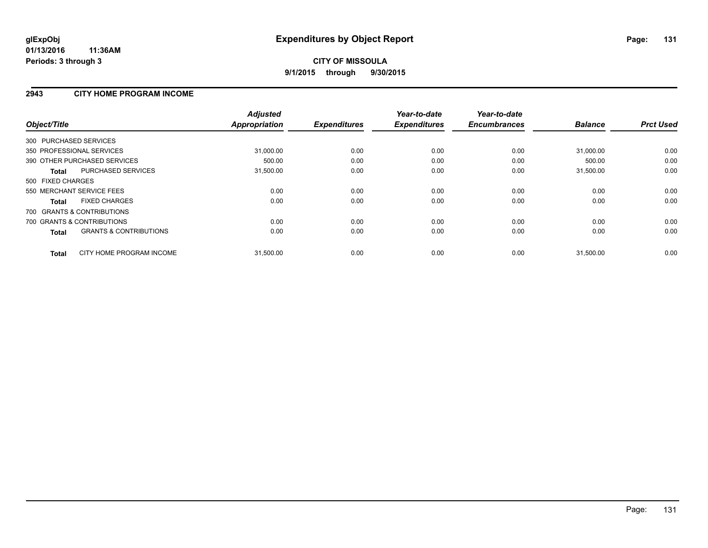### **2943 CITY HOME PROGRAM INCOME**

| Object/Title                                      | <b>Adjusted</b><br>Appropriation | <b>Expenditures</b> | Year-to-date<br><b>Expenditures</b> | Year-to-date<br><b>Encumbrances</b> | <b>Balance</b> | <b>Prct Used</b> |
|---------------------------------------------------|----------------------------------|---------------------|-------------------------------------|-------------------------------------|----------------|------------------|
| 300 PURCHASED SERVICES                            |                                  |                     |                                     |                                     |                |                  |
| 350 PROFESSIONAL SERVICES                         | 31,000.00                        | 0.00                | 0.00                                | 0.00                                | 31,000.00      | 0.00             |
| 390 OTHER PURCHASED SERVICES                      | 500.00                           | 0.00                | 0.00                                | 0.00                                | 500.00         | 0.00             |
| <b>PURCHASED SERVICES</b><br><b>Total</b>         | 31,500.00                        | 0.00                | 0.00                                | 0.00                                | 31,500.00      | 0.00             |
| 500 FIXED CHARGES                                 |                                  |                     |                                     |                                     |                |                  |
| 550 MERCHANT SERVICE FEES                         | 0.00                             | 0.00                | 0.00                                | 0.00                                | 0.00           | 0.00             |
| <b>FIXED CHARGES</b><br><b>Total</b>              | 0.00                             | 0.00                | 0.00                                | 0.00                                | 0.00           | 0.00             |
| 700 GRANTS & CONTRIBUTIONS                        |                                  |                     |                                     |                                     |                |                  |
| 700 GRANTS & CONTRIBUTIONS                        | 0.00                             | 0.00                | 0.00                                | 0.00                                | 0.00           | 0.00             |
| <b>GRANTS &amp; CONTRIBUTIONS</b><br><b>Total</b> | 0.00                             | 0.00                | 0.00                                | 0.00                                | 0.00           | 0.00             |
| CITY HOME PROGRAM INCOME<br><b>Total</b>          | 31,500.00                        | 0.00                | 0.00                                | 0.00                                | 31,500.00      | 0.00             |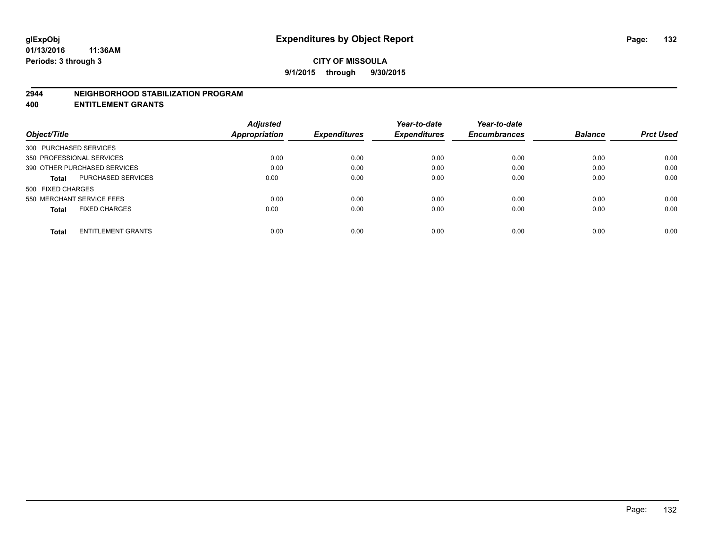#### **2944 NEIGHBORHOOD STABILIZATION PROGRAM**

**400 ENTITLEMENT GRANTS**

|                                           | <b>Adjusted</b> |                     | Year-to-date        | Year-to-date        |                |                  |
|-------------------------------------------|-----------------|---------------------|---------------------|---------------------|----------------|------------------|
| Object/Title                              | Appropriation   | <b>Expenditures</b> | <b>Expenditures</b> | <b>Encumbrances</b> | <b>Balance</b> | <b>Prct Used</b> |
| 300 PURCHASED SERVICES                    |                 |                     |                     |                     |                |                  |
| 350 PROFESSIONAL SERVICES                 | 0.00            | 0.00                | 0.00                | 0.00                | 0.00           | 0.00             |
| 390 OTHER PURCHASED SERVICES              | 0.00            | 0.00                | 0.00                | 0.00                | 0.00           | 0.00             |
| <b>PURCHASED SERVICES</b><br><b>Total</b> | 0.00            | 0.00                | 0.00                | 0.00                | 0.00           | 0.00             |
| 500 FIXED CHARGES                         |                 |                     |                     |                     |                |                  |
| 550 MERCHANT SERVICE FEES                 | 0.00            | 0.00                | 0.00                | 0.00                | 0.00           | 0.00             |
| <b>FIXED CHARGES</b><br><b>Total</b>      | 0.00            | 0.00                | 0.00                | 0.00                | 0.00           | 0.00             |
| <b>ENTITLEMENT GRANTS</b><br><b>Total</b> | 0.00            | 0.00                | 0.00                | 0.00                | 0.00           | 0.00             |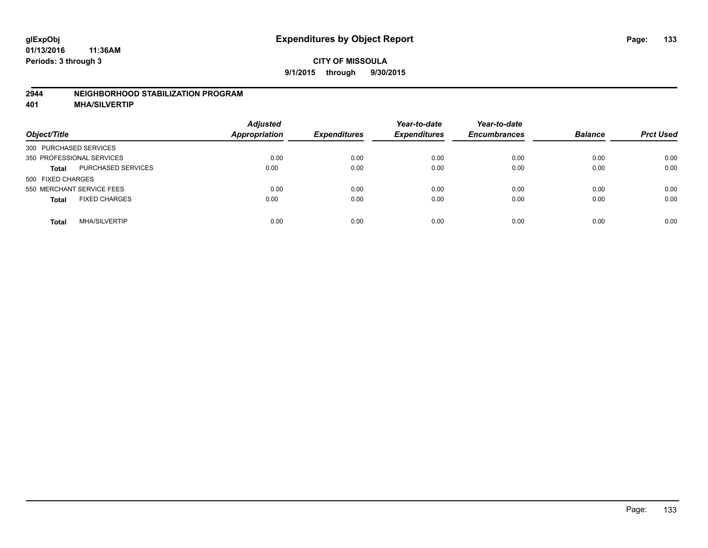#### **2944 NEIGHBORHOOD STABILIZATION PROGRAM**

**401 MHA/SILVERTIP**

| Object/Title              |                      | <b>Adjusted</b><br><b>Appropriation</b> | <b>Expenditures</b> | Year-to-date<br><b>Expenditures</b> | Year-to-date<br><b>Encumbrances</b> | <b>Balance</b> | <b>Prct Used</b> |
|---------------------------|----------------------|-----------------------------------------|---------------------|-------------------------------------|-------------------------------------|----------------|------------------|
| 300 PURCHASED SERVICES    |                      |                                         |                     |                                     |                                     |                |                  |
| 350 PROFESSIONAL SERVICES |                      | 0.00                                    | 0.00                | 0.00                                | 0.00                                | 0.00           | 0.00             |
| <b>Total</b>              | PURCHASED SERVICES   | 0.00                                    | 0.00                | 0.00                                | 0.00                                | 0.00           | 0.00             |
| 500 FIXED CHARGES         |                      |                                         |                     |                                     |                                     |                |                  |
| 550 MERCHANT SERVICE FEES |                      | 0.00                                    | 0.00                | 0.00                                | 0.00                                | 0.00           | 0.00             |
| <b>Total</b>              | <b>FIXED CHARGES</b> | 0.00                                    | 0.00                | 0.00                                | 0.00                                | 0.00           | 0.00             |
| <b>Total</b>              | <b>MHA/SILVERTIP</b> | 0.00                                    | 0.00                | 0.00                                | 0.00                                | 0.00           | 0.00             |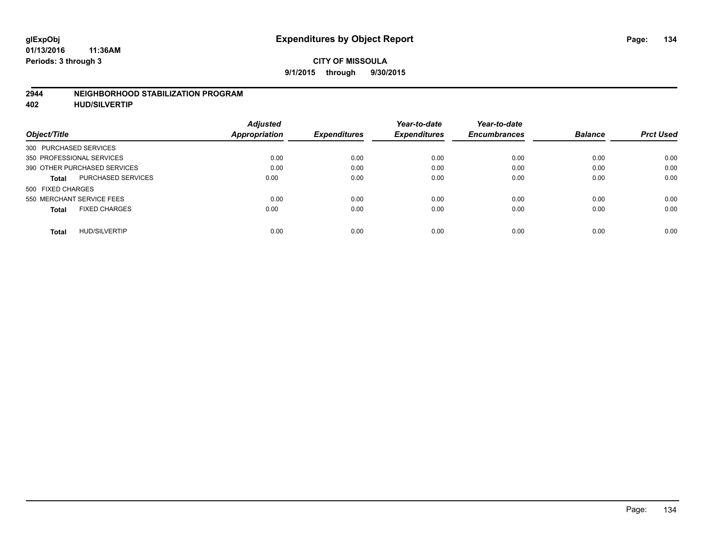#### **2944 NEIGHBORHOOD STABILIZATION PROGRAM**

**402 HUD/SILVERTIP**

| <b>Adjusted</b> |               | Year-to-date        | Year-to-date        |                     | <b>Prct Used</b> |
|-----------------|---------------|---------------------|---------------------|---------------------|------------------|
|                 |               |                     |                     |                     |                  |
|                 |               |                     |                     |                     |                  |
| 0.00            | 0.00          | 0.00                | 0.00                | 0.00                | 0.00             |
| 0.00            | 0.00          | 0.00                | 0.00                | 0.00                | 0.00             |
| 0.00            | 0.00          | 0.00                | 0.00                | 0.00                | 0.00             |
|                 |               |                     |                     |                     |                  |
| 0.00            | 0.00          | 0.00                | 0.00                | 0.00                | 0.00             |
| 0.00            | 0.00          | 0.00                | 0.00                | 0.00                | 0.00             |
| 0.00            | 0.00          | 0.00                | 0.00                | 0.00                | 0.00             |
|                 | Appropriation | <b>Expenditures</b> | <b>Expenditures</b> | <b>Encumbrances</b> | <b>Balance</b>   |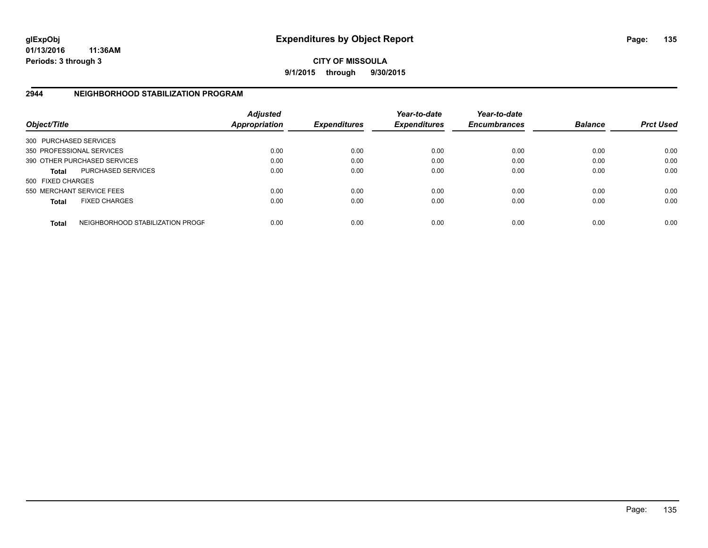**01/13/2016 11:36AM Periods: 3 through 3**

**CITY OF MISSOULA 9/1/2015 through 9/30/2015**

### **2944 NEIGHBORHOOD STABILIZATION PROGRAM**

| Object/Title           |                                  | <b>Adjusted</b><br><b>Appropriation</b> | <b>Expenditures</b> | Year-to-date<br><b>Expenditures</b> | Year-to-date<br><b>Encumbrances</b> | <b>Balance</b> | <b>Prct Used</b> |
|------------------------|----------------------------------|-----------------------------------------|---------------------|-------------------------------------|-------------------------------------|----------------|------------------|
| 300 PURCHASED SERVICES |                                  |                                         |                     |                                     |                                     |                |                  |
|                        | 350 PROFESSIONAL SERVICES        | 0.00                                    | 0.00                | 0.00                                | 0.00                                | 0.00           | 0.00             |
|                        | 390 OTHER PURCHASED SERVICES     | 0.00                                    | 0.00                | 0.00                                | 0.00                                | 0.00           | 0.00             |
| <b>Total</b>           | <b>PURCHASED SERVICES</b>        | 0.00                                    | 0.00                | 0.00                                | 0.00                                | 0.00           | 0.00             |
| 500 FIXED CHARGES      |                                  |                                         |                     |                                     |                                     |                |                  |
|                        | 550 MERCHANT SERVICE FEES        | 0.00                                    | 0.00                | 0.00                                | 0.00                                | 0.00           | 0.00             |
| <b>Total</b>           | <b>FIXED CHARGES</b>             | 0.00                                    | 0.00                | 0.00                                | 0.00                                | 0.00           | 0.00             |
| <b>Total</b>           | NEIGHBORHOOD STABILIZATION PROGF | 0.00                                    | 0.00                | 0.00                                | 0.00                                | 0.00           | 0.00             |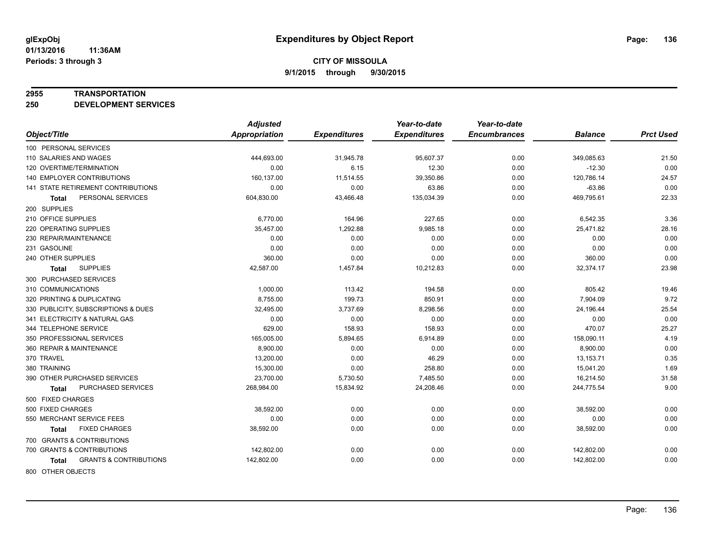#### **2955 TRANSPORTATION**

**250 DEVELOPMENT SERVICES**

|                                            | <b>Adjusted</b> |                     | Year-to-date        | Year-to-date        |                |                  |
|--------------------------------------------|-----------------|---------------------|---------------------|---------------------|----------------|------------------|
| Object/Title                               | Appropriation   | <b>Expenditures</b> | <b>Expenditures</b> | <b>Encumbrances</b> | <b>Balance</b> | <b>Prct Used</b> |
| 100 PERSONAL SERVICES                      |                 |                     |                     |                     |                |                  |
| 110 SALARIES AND WAGES                     | 444,693.00      | 31,945.78           | 95,607.37           | 0.00                | 349,085.63     | 21.50            |
| 120 OVERTIME/TERMINATION                   | 0.00            | 6.15                | 12.30               | 0.00                | $-12.30$       | 0.00             |
| <b>140 EMPLOYER CONTRIBUTIONS</b>          | 160,137.00      | 11,514.55           | 39,350.86           | 0.00                | 120,786.14     | 24.57            |
| 141 STATE RETIREMENT CONTRIBUTIONS         | 0.00            | 0.00                | 63.86               | 0.00                | $-63.86$       | 0.00             |
| PERSONAL SERVICES<br><b>Total</b>          | 604,830.00      | 43,466.48           | 135,034.39          | 0.00                | 469,795.61     | 22.33            |
| 200 SUPPLIES                               |                 |                     |                     |                     |                |                  |
| 210 OFFICE SUPPLIES                        | 6,770.00        | 164.96              | 227.65              | 0.00                | 6,542.35       | 3.36             |
| 220 OPERATING SUPPLIES                     | 35,457.00       | 1,292.88            | 9,985.18            | 0.00                | 25,471.82      | 28.16            |
| 230 REPAIR/MAINTENANCE                     | 0.00            | 0.00                | 0.00                | 0.00                | 0.00           | 0.00             |
| 231 GASOLINE                               | 0.00            | 0.00                | 0.00                | 0.00                | 0.00           | 0.00             |
| 240 OTHER SUPPLIES                         | 360.00          | 0.00                | 0.00                | 0.00                | 360.00         | 0.00             |
| <b>SUPPLIES</b><br>Total                   | 42,587.00       | 1,457.84            | 10,212.83           | 0.00                | 32,374.17      | 23.98            |
| 300 PURCHASED SERVICES                     |                 |                     |                     |                     |                |                  |
| 310 COMMUNICATIONS                         | 1,000.00        | 113.42              | 194.58              | 0.00                | 805.42         | 19.46            |
| 320 PRINTING & DUPLICATING                 | 8,755.00        | 199.73              | 850.91              | 0.00                | 7,904.09       | 9.72             |
| 330 PUBLICITY, SUBSCRIPTIONS & DUES        | 32,495.00       | 3,737.69            | 8,298.56            | 0.00                | 24,196.44      | 25.54            |
| 341 ELECTRICITY & NATURAL GAS              | 0.00            | 0.00                | 0.00                | 0.00                | 0.00           | 0.00             |
| 344 TELEPHONE SERVICE                      | 629.00          | 158.93              | 158.93              | 0.00                | 470.07         | 25.27            |
| 350 PROFESSIONAL SERVICES                  | 165,005.00      | 5,894.65            | 6,914.89            | 0.00                | 158,090.11     | 4.19             |
| 360 REPAIR & MAINTENANCE                   | 8,900.00        | 0.00                | 0.00                | 0.00                | 8,900.00       | 0.00             |
| 370 TRAVEL                                 | 13,200.00       | 0.00                | 46.29               | 0.00                | 13,153.71      | 0.35             |
| 380 TRAINING                               | 15,300.00       | 0.00                | 258.80              | 0.00                | 15,041.20      | 1.69             |
| 390 OTHER PURCHASED SERVICES               | 23,700.00       | 5,730.50            | 7,485.50            | 0.00                | 16,214.50      | 31.58            |
| PURCHASED SERVICES<br>Total                | 268,984.00      | 15,834.92           | 24,208.46           | 0.00                | 244,775.54     | 9.00             |
| 500 FIXED CHARGES                          |                 |                     |                     |                     |                |                  |
| 500 FIXED CHARGES                          | 38,592.00       | 0.00                | 0.00                | 0.00                | 38,592.00      | 0.00             |
| 550 MERCHANT SERVICE FEES                  | 0.00            | 0.00                | 0.00                | 0.00                | 0.00           | 0.00             |
| <b>FIXED CHARGES</b><br>Total              | 38,592.00       | 0.00                | 0.00                | 0.00                | 38,592.00      | 0.00             |
| 700 GRANTS & CONTRIBUTIONS                 |                 |                     |                     |                     |                |                  |
| 700 GRANTS & CONTRIBUTIONS                 | 142,802.00      | 0.00                | 0.00                | 0.00                | 142,802.00     | 0.00             |
| <b>GRANTS &amp; CONTRIBUTIONS</b><br>Total | 142,802.00      | 0.00                | 0.00                | 0.00                | 142,802.00     | 0.00             |
|                                            |                 |                     |                     |                     |                |                  |

800 OTHER OBJECTS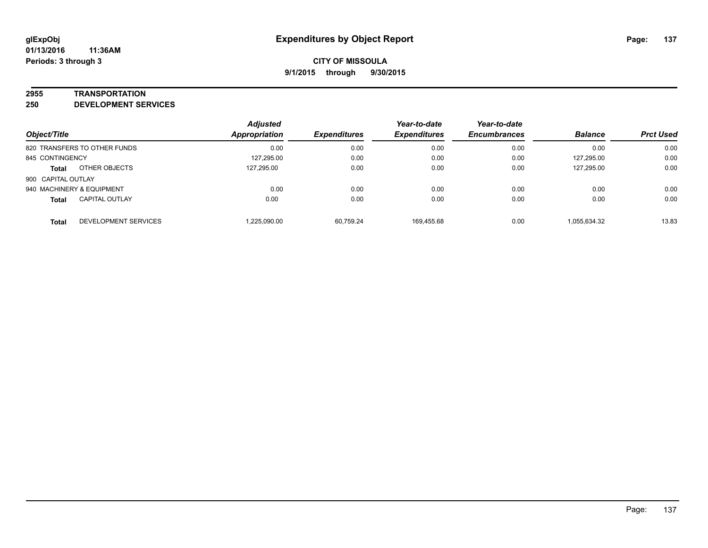#### **2955 TRANSPORTATION**

**250 DEVELOPMENT SERVICES**

| Object/Title                          | <b>Adjusted</b><br><b>Appropriation</b> | <b>Expenditures</b> | Year-to-date<br><b>Expenditures</b> | Year-to-date<br><b>Encumbrances</b> | <b>Balance</b> | <b>Prct Used</b> |
|---------------------------------------|-----------------------------------------|---------------------|-------------------------------------|-------------------------------------|----------------|------------------|
| 820 TRANSFERS TO OTHER FUNDS          | 0.00                                    | 0.00                | 0.00                                | 0.00                                | 0.00           | 0.00             |
| 845 CONTINGENCY                       | 127,295.00                              | 0.00                | 0.00                                | 0.00                                | 127,295.00     | 0.00             |
| OTHER OBJECTS<br><b>Total</b>         | 127.295.00                              | 0.00                | 0.00                                | 0.00                                | 127,295.00     | 0.00             |
| 900 CAPITAL OUTLAY                    |                                         |                     |                                     |                                     |                |                  |
| 940 MACHINERY & EQUIPMENT             | 0.00                                    | 0.00                | 0.00                                | 0.00                                | 0.00           | 0.00             |
| <b>CAPITAL OUTLAY</b><br><b>Total</b> | 0.00                                    | 0.00                | 0.00                                | 0.00                                | 0.00           | 0.00             |
| DEVELOPMENT SERVICES<br><b>Total</b>  | 1.225.090.00                            | 60.759.24           | 169.455.68                          | 0.00                                | 1,055,634.32   | 13.83            |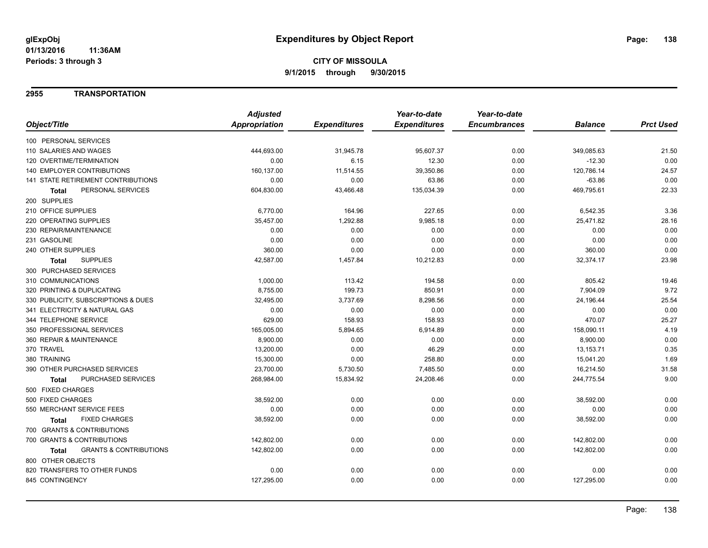### **2955 TRANSPORTATION**

|                                            | <b>Adjusted</b>      |                     | Year-to-date        | Year-to-date        |                |                  |
|--------------------------------------------|----------------------|---------------------|---------------------|---------------------|----------------|------------------|
| Object/Title                               | <b>Appropriation</b> | <b>Expenditures</b> | <b>Expenditures</b> | <b>Encumbrances</b> | <b>Balance</b> | <b>Prct Used</b> |
| 100 PERSONAL SERVICES                      |                      |                     |                     |                     |                |                  |
| 110 SALARIES AND WAGES                     | 444,693.00           | 31,945.78           | 95,607.37           | 0.00                | 349,085.63     | 21.50            |
| 120 OVERTIME/TERMINATION                   | 0.00                 | 6.15                | 12.30               | 0.00                | $-12.30$       | 0.00             |
| 140 EMPLOYER CONTRIBUTIONS                 | 160,137.00           | 11,514.55           | 39,350.86           | 0.00                | 120,786.14     | 24.57            |
| 141 STATE RETIREMENT CONTRIBUTIONS         | 0.00                 | 0.00                | 63.86               | 0.00                | $-63.86$       | 0.00             |
| PERSONAL SERVICES<br>Total                 | 604,830.00           | 43,466.48           | 135,034.39          | 0.00                | 469,795.61     | 22.33            |
| 200 SUPPLIES                               |                      |                     |                     |                     |                |                  |
| 210 OFFICE SUPPLIES                        | 6,770.00             | 164.96              | 227.65              | 0.00                | 6,542.35       | 3.36             |
| 220 OPERATING SUPPLIES                     | 35,457.00            | 1,292.88            | 9,985.18            | 0.00                | 25,471.82      | 28.16            |
| 230 REPAIR/MAINTENANCE                     | 0.00                 | 0.00                | 0.00                | 0.00                | 0.00           | 0.00             |
| 231 GASOLINE                               | 0.00                 | 0.00                | 0.00                | 0.00                | 0.00           | 0.00             |
| 240 OTHER SUPPLIES                         | 360.00               | 0.00                | 0.00                | 0.00                | 360.00         | 0.00             |
| <b>SUPPLIES</b><br>Total                   | 42,587.00            | 1,457.84            | 10,212.83           | 0.00                | 32,374.17      | 23.98            |
| 300 PURCHASED SERVICES                     |                      |                     |                     |                     |                |                  |
| 310 COMMUNICATIONS                         | 1,000.00             | 113.42              | 194.58              | 0.00                | 805.42         | 19.46            |
| 320 PRINTING & DUPLICATING                 | 8,755.00             | 199.73              | 850.91              | 0.00                | 7,904.09       | 9.72             |
| 330 PUBLICITY, SUBSCRIPTIONS & DUES        | 32,495.00            | 3,737.69            | 8,298.56            | 0.00                | 24,196.44      | 25.54            |
| 341 ELECTRICITY & NATURAL GAS              | 0.00                 | 0.00                | 0.00                | 0.00                | 0.00           | 0.00             |
| 344 TELEPHONE SERVICE                      | 629.00               | 158.93              | 158.93              | 0.00                | 470.07         | 25.27            |
| 350 PROFESSIONAL SERVICES                  | 165,005.00           | 5,894.65            | 6,914.89            | 0.00                | 158,090.11     | 4.19             |
| 360 REPAIR & MAINTENANCE                   | 8,900.00             | 0.00                | 0.00                | 0.00                | 8,900.00       | 0.00             |
| 370 TRAVEL                                 | 13,200.00            | 0.00                | 46.29               | 0.00                | 13,153.71      | 0.35             |
| 380 TRAINING                               | 15,300.00            | 0.00                | 258.80              | 0.00                | 15,041.20      | 1.69             |
| 390 OTHER PURCHASED SERVICES               | 23,700.00            | 5,730.50            | 7,485.50            | 0.00                | 16,214.50      | 31.58            |
| PURCHASED SERVICES<br>Total                | 268,984.00           | 15,834.92           | 24,208.46           | 0.00                | 244,775.54     | 9.00             |
| 500 FIXED CHARGES                          |                      |                     |                     |                     |                |                  |
| 500 FIXED CHARGES                          | 38,592.00            | 0.00                | 0.00                | 0.00                | 38,592.00      | 0.00             |
| 550 MERCHANT SERVICE FEES                  | 0.00                 | 0.00                | 0.00                | 0.00                | 0.00           | 0.00             |
| <b>FIXED CHARGES</b><br><b>Total</b>       | 38,592.00            | 0.00                | 0.00                | 0.00                | 38,592.00      | 0.00             |
| 700 GRANTS & CONTRIBUTIONS                 |                      |                     |                     |                     |                |                  |
| 700 GRANTS & CONTRIBUTIONS                 | 142,802.00           | 0.00                | 0.00                | 0.00                | 142,802.00     | 0.00             |
| <b>GRANTS &amp; CONTRIBUTIONS</b><br>Total | 142,802.00           | 0.00                | 0.00                | 0.00                | 142,802.00     | 0.00             |
| 800 OTHER OBJECTS                          |                      |                     |                     |                     |                |                  |
| 820 TRANSFERS TO OTHER FUNDS               | 0.00                 | 0.00                | 0.00                | 0.00                | 0.00           | 0.00             |
| 845 CONTINGENCY                            | 127,295.00           | 0.00                | 0.00                | 0.00                | 127,295.00     | 0.00             |
|                                            |                      |                     |                     |                     |                |                  |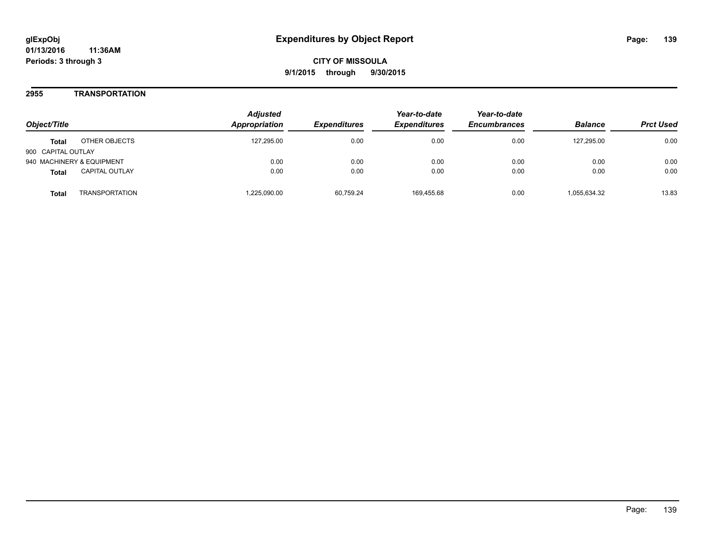### **2955 TRANSPORTATION**

| Object/Title                          |                | <b>Adjusted</b><br><b>Appropriation</b> | <i><b>Expenditures</b></i> | Year-to-date<br><b>Expenditures</b> | Year-to-date<br><b>Encumbrances</b> | <b>Balance</b> | <b>Prct Used</b> |
|---------------------------------------|----------------|-----------------------------------------|----------------------------|-------------------------------------|-------------------------------------|----------------|------------------|
| OTHER OBJECTS<br><b>Total</b>         |                | 127.295.00                              | 0.00                       | 0.00                                | 0.00                                | 127.295.00     | 0.00             |
| 900 CAPITAL OUTLAY                    |                |                                         |                            |                                     |                                     |                |                  |
| 940 MACHINERY & EQUIPMENT             |                | 0.00                                    | 0.00                       | 0.00                                | 0.00                                | 0.00           | 0.00             |
| <b>CAPITAL OUTLAY</b><br><b>Total</b> |                | 0.00                                    | 0.00                       | 0.00                                | 0.00                                | 0.00           | 0.00             |
| Total                                 | TRANSPORTATION | ,225,090.00                             | 60.759.24                  | 169.455.68                          | 0.00                                | 1,055,634.32   | 13.83            |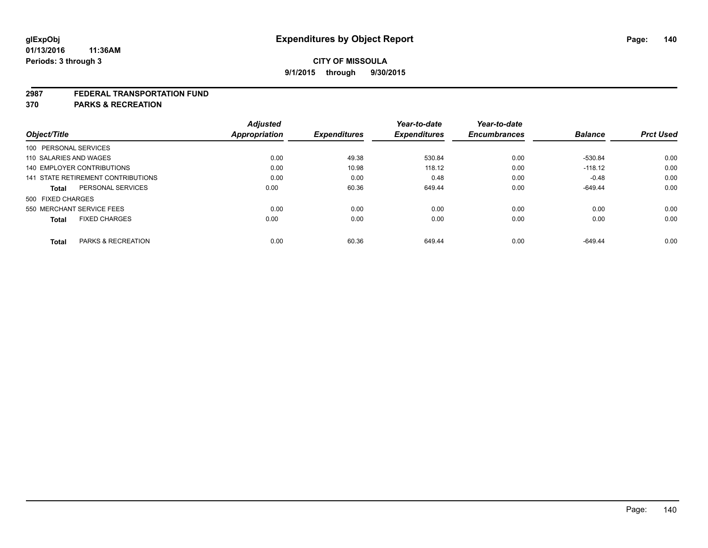#### **2987 FEDERAL TRANSPORTATION FUND**

**370 PARKS & RECREATION**

| Object/Title           |                                    | <b>Adjusted</b><br><b>Appropriation</b> | <b>Expenditures</b> | Year-to-date<br><b>Expenditures</b> | Year-to-date<br><b>Encumbrances</b> | <b>Balance</b> | <b>Prct Used</b> |
|------------------------|------------------------------------|-----------------------------------------|---------------------|-------------------------------------|-------------------------------------|----------------|------------------|
| 100 PERSONAL SERVICES  |                                    |                                         |                     |                                     |                                     |                |                  |
| 110 SALARIES AND WAGES |                                    | 0.00                                    | 49.38               | 530.84                              | 0.00                                | -530.84        | 0.00             |
|                        | <b>140 EMPLOYER CONTRIBUTIONS</b>  | 0.00                                    | 10.98               | 118.12                              | 0.00                                | $-118.12$      | 0.00             |
|                        | 141 STATE RETIREMENT CONTRIBUTIONS | 0.00                                    | 0.00                | 0.48                                | 0.00                                | $-0.48$        | 0.00             |
| <b>Total</b>           | PERSONAL SERVICES                  | 0.00                                    | 60.36               | 649.44                              | 0.00                                | $-649.44$      | 0.00             |
| 500 FIXED CHARGES      |                                    |                                         |                     |                                     |                                     |                |                  |
|                        | 550 MERCHANT SERVICE FEES          | 0.00                                    | 0.00                | 0.00                                | 0.00                                | 0.00           | 0.00             |
| <b>Total</b>           | <b>FIXED CHARGES</b>               | 0.00                                    | 0.00                | 0.00                                | 0.00                                | 0.00           | 0.00             |
|                        |                                    |                                         |                     |                                     |                                     |                |                  |
| <b>Total</b>           | PARKS & RECREATION                 | 0.00                                    | 60.36               | 649.44                              | 0.00                                | $-649.44$      | 0.00             |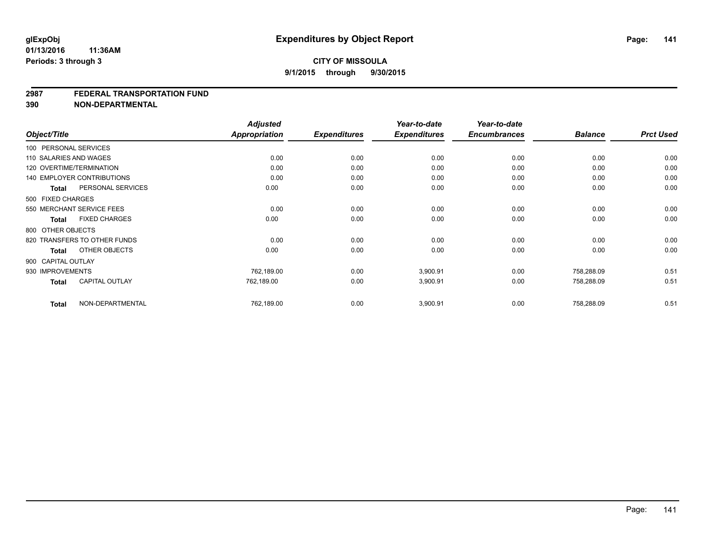#### **2987 FEDERAL TRANSPORTATION FUND**

**390 NON-DEPARTMENTAL**

| Object/Title           |                                   | <b>Adjusted</b><br><b>Appropriation</b> | <b>Expenditures</b> | Year-to-date<br><b>Expenditures</b> | Year-to-date<br><b>Encumbrances</b> | <b>Balance</b> | <b>Prct Used</b> |
|------------------------|-----------------------------------|-----------------------------------------|---------------------|-------------------------------------|-------------------------------------|----------------|------------------|
| 100 PERSONAL SERVICES  |                                   |                                         |                     |                                     |                                     |                |                  |
| 110 SALARIES AND WAGES |                                   | 0.00                                    | 0.00                | 0.00                                | 0.00                                | 0.00           | 0.00             |
|                        | 120 OVERTIME/TERMINATION          | 0.00                                    | 0.00                | 0.00                                | 0.00                                | 0.00           | 0.00             |
|                        | <b>140 EMPLOYER CONTRIBUTIONS</b> | 0.00                                    | 0.00                | 0.00                                | 0.00                                | 0.00           | 0.00             |
| <b>Total</b>           | PERSONAL SERVICES                 | 0.00                                    | 0.00                | 0.00                                | 0.00                                | 0.00           | 0.00             |
| 500 FIXED CHARGES      |                                   |                                         |                     |                                     |                                     |                |                  |
|                        | 550 MERCHANT SERVICE FEES         | 0.00                                    | 0.00                | 0.00                                | 0.00                                | 0.00           | 0.00             |
| Total                  | <b>FIXED CHARGES</b>              | 0.00                                    | 0.00                | 0.00                                | 0.00                                | 0.00           | 0.00             |
| 800 OTHER OBJECTS      |                                   |                                         |                     |                                     |                                     |                |                  |
|                        | 820 TRANSFERS TO OTHER FUNDS      | 0.00                                    | 0.00                | 0.00                                | 0.00                                | 0.00           | 0.00             |
| Total                  | OTHER OBJECTS                     | 0.00                                    | 0.00                | 0.00                                | 0.00                                | 0.00           | 0.00             |
| 900 CAPITAL OUTLAY     |                                   |                                         |                     |                                     |                                     |                |                  |
| 930 IMPROVEMENTS       |                                   | 762,189.00                              | 0.00                | 3,900.91                            | 0.00                                | 758,288.09     | 0.51             |
| <b>Total</b>           | <b>CAPITAL OUTLAY</b>             | 762,189.00                              | 0.00                | 3,900.91                            | 0.00                                | 758,288.09     | 0.51             |
| <b>Total</b>           | NON-DEPARTMENTAL                  | 762,189.00                              | 0.00                | 3,900.91                            | 0.00                                | 758,288.09     | 0.51             |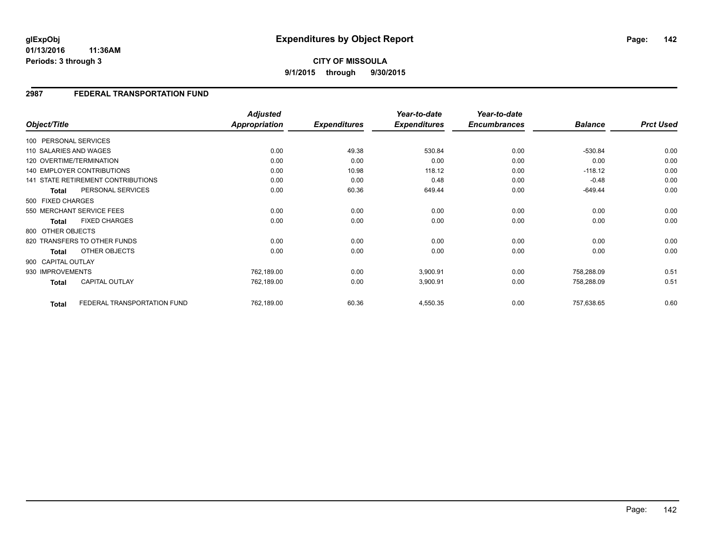**01/13/2016 11:36AM Periods: 3 through 3**

## **2987 FEDERAL TRANSPORTATION FUND**

| Object/Title       |                                           | <b>Adjusted</b><br>Appropriation | <b>Expenditures</b> | Year-to-date<br><b>Expenditures</b> | Year-to-date<br><b>Encumbrances</b> | <b>Balance</b> | <b>Prct Used</b> |
|--------------------|-------------------------------------------|----------------------------------|---------------------|-------------------------------------|-------------------------------------|----------------|------------------|
|                    |                                           |                                  |                     |                                     |                                     |                |                  |
|                    | 100 PERSONAL SERVICES                     |                                  |                     |                                     |                                     |                |                  |
|                    | 110 SALARIES AND WAGES                    | 0.00                             | 49.38               | 530.84                              | 0.00                                | $-530.84$      | 0.00             |
|                    | 120 OVERTIME/TERMINATION                  | 0.00                             | 0.00                | 0.00                                | 0.00                                | 0.00           | 0.00             |
|                    | <b>140 EMPLOYER CONTRIBUTIONS</b>         | 0.00                             | 10.98               | 118.12                              | 0.00                                | $-118.12$      | 0.00             |
|                    | <b>141 STATE RETIREMENT CONTRIBUTIONS</b> | 0.00                             | 0.00                | 0.48                                | 0.00                                | $-0.48$        | 0.00             |
| <b>Total</b>       | PERSONAL SERVICES                         | 0.00                             | 60.36               | 649.44                              | 0.00                                | $-649.44$      | 0.00             |
| 500 FIXED CHARGES  |                                           |                                  |                     |                                     |                                     |                |                  |
|                    | 550 MERCHANT SERVICE FEES                 | 0.00                             | 0.00                | 0.00                                | 0.00                                | 0.00           | 0.00             |
| Total              | <b>FIXED CHARGES</b>                      | 0.00                             | 0.00                | 0.00                                | 0.00                                | 0.00           | 0.00             |
| 800 OTHER OBJECTS  |                                           |                                  |                     |                                     |                                     |                |                  |
|                    | 820 TRANSFERS TO OTHER FUNDS              | 0.00                             | 0.00                | 0.00                                | 0.00                                | 0.00           | 0.00             |
| <b>Total</b>       | OTHER OBJECTS                             | 0.00                             | 0.00                | 0.00                                | 0.00                                | 0.00           | 0.00             |
| 900 CAPITAL OUTLAY |                                           |                                  |                     |                                     |                                     |                |                  |
| 930 IMPROVEMENTS   |                                           | 762,189.00                       | 0.00                | 3,900.91                            | 0.00                                | 758,288.09     | 0.51             |
| <b>Total</b>       | CAPITAL OUTLAY                            | 762,189.00                       | 0.00                | 3,900.91                            | 0.00                                | 758,288.09     | 0.51             |
| <b>Total</b>       | FEDERAL TRANSPORTATION FUND               | 762,189.00                       | 60.36               | 4,550.35                            | 0.00                                | 757,638.65     | 0.60             |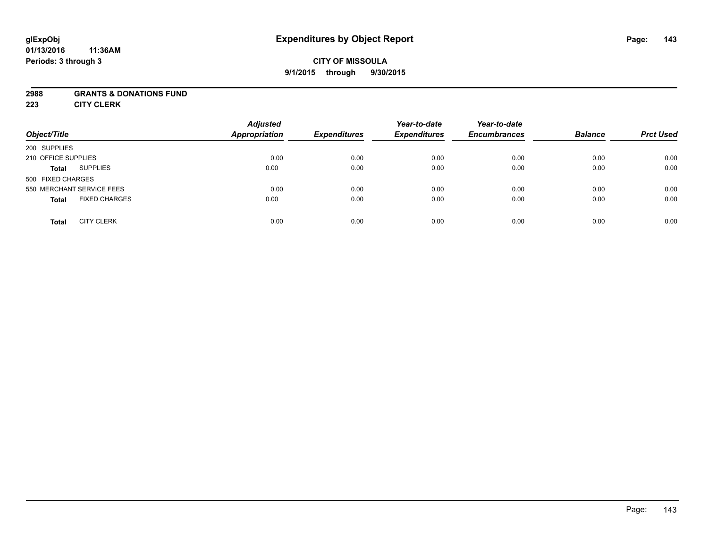#### **01/13/2016 11:36AM Periods: 3 through 3**

## **CITY OF MISSOULA 9/1/2015 through 9/30/2015**

#### **2988 GRANTS & DONATIONS FUND**

**223 CITY CLERK**

| Object/Title                         | <b>Adjusted</b><br><b>Appropriation</b> | <b>Expenditures</b> | Year-to-date<br><b>Expenditures</b> | Year-to-date<br><b>Encumbrances</b> | <b>Balance</b> | <b>Prct Used</b> |
|--------------------------------------|-----------------------------------------|---------------------|-------------------------------------|-------------------------------------|----------------|------------------|
| 200 SUPPLIES                         |                                         |                     |                                     |                                     |                |                  |
| 210 OFFICE SUPPLIES                  | 0.00                                    | 0.00                | 0.00                                | 0.00                                | 0.00           | 0.00             |
| <b>SUPPLIES</b><br><b>Total</b>      | 0.00                                    | 0.00                | 0.00                                | 0.00                                | 0.00           | 0.00             |
| 500 FIXED CHARGES                    |                                         |                     |                                     |                                     |                |                  |
| 550 MERCHANT SERVICE FEES            | 0.00                                    | 0.00                | 0.00                                | 0.00                                | 0.00           | 0.00             |
| <b>FIXED CHARGES</b><br><b>Total</b> | 0.00                                    | 0.00                | 0.00                                | 0.00                                | 0.00           | 0.00             |
| <b>CITY CLERK</b><br><b>Total</b>    | 0.00                                    | 0.00                | 0.00                                | 0.00                                | 0.00           | 0.00             |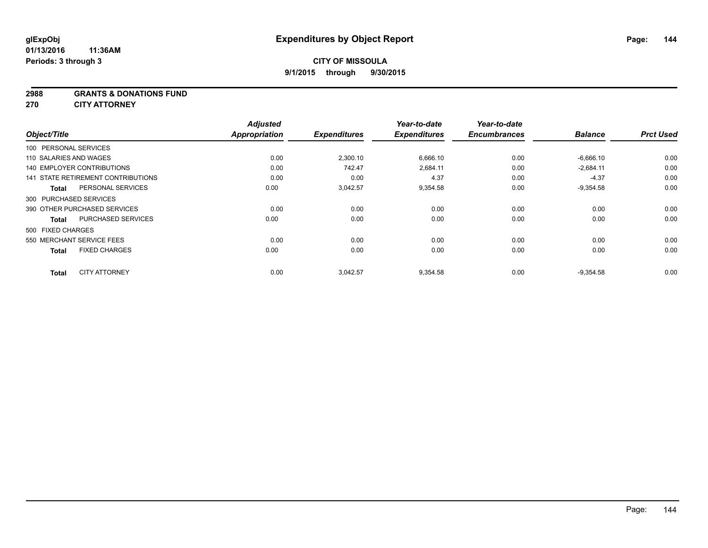#### **2988 GRANTS & DONATIONS FUND**

**270 CITY ATTORNEY**

|                                      | <b>Adjusted</b>      |                     | Year-to-date        | Year-to-date        |                |                  |
|--------------------------------------|----------------------|---------------------|---------------------|---------------------|----------------|------------------|
| Object/Title                         | <b>Appropriation</b> | <b>Expenditures</b> | <b>Expenditures</b> | <b>Encumbrances</b> | <b>Balance</b> | <b>Prct Used</b> |
| 100 PERSONAL SERVICES                |                      |                     |                     |                     |                |                  |
| 110 SALARIES AND WAGES               | 0.00                 | 2,300.10            | 6,666.10            | 0.00                | $-6,666.10$    | 0.00             |
| <b>140 EMPLOYER CONTRIBUTIONS</b>    | 0.00                 | 742.47              | 2,684.11            | 0.00                | $-2,684.11$    | 0.00             |
| 141 STATE RETIREMENT CONTRIBUTIONS   | 0.00                 | 0.00                | 4.37                | 0.00                | $-4.37$        | 0.00             |
| PERSONAL SERVICES<br><b>Total</b>    | 0.00                 | 3,042.57            | 9,354.58            | 0.00                | $-9,354.58$    | 0.00             |
| 300 PURCHASED SERVICES               |                      |                     |                     |                     |                |                  |
| 390 OTHER PURCHASED SERVICES         | 0.00                 | 0.00                | 0.00                | 0.00                | 0.00           | 0.00             |
| PURCHASED SERVICES<br><b>Total</b>   | 0.00                 | 0.00                | 0.00                | 0.00                | 0.00           | 0.00             |
| 500 FIXED CHARGES                    |                      |                     |                     |                     |                |                  |
| 550 MERCHANT SERVICE FEES            | 0.00                 | 0.00                | 0.00                | 0.00                | 0.00           | 0.00             |
| <b>FIXED CHARGES</b><br><b>Total</b> | 0.00                 | 0.00                | 0.00                | 0.00                | 0.00           | 0.00             |
| <b>CITY ATTORNEY</b><br><b>Total</b> | 0.00                 | 3.042.57            | 9,354.58            | 0.00                | $-9.354.58$    | 0.00             |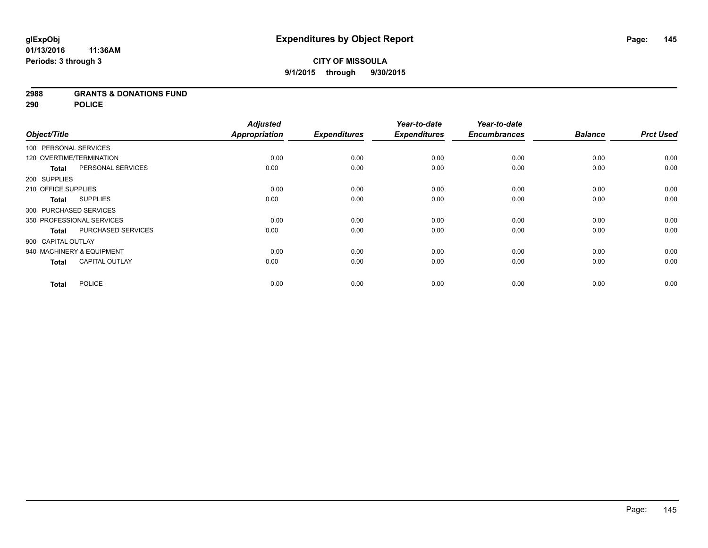#### **2988 GRANTS & DONATIONS FUND**

**290 POLICE**

|                          |                           | <b>Adjusted</b>      |                     | Year-to-date        | Year-to-date        |                |                  |
|--------------------------|---------------------------|----------------------|---------------------|---------------------|---------------------|----------------|------------------|
| Object/Title             |                           | <b>Appropriation</b> | <b>Expenditures</b> | <b>Expenditures</b> | <b>Encumbrances</b> | <b>Balance</b> | <b>Prct Used</b> |
| 100 PERSONAL SERVICES    |                           |                      |                     |                     |                     |                |                  |
| 120 OVERTIME/TERMINATION |                           | 0.00                 | 0.00                | 0.00                | 0.00                | 0.00           | 0.00             |
| <b>Total</b>             | PERSONAL SERVICES         | 0.00                 | 0.00                | 0.00                | 0.00                | 0.00           | 0.00             |
| 200 SUPPLIES             |                           |                      |                     |                     |                     |                |                  |
| 210 OFFICE SUPPLIES      |                           | 0.00                 | 0.00                | 0.00                | 0.00                | 0.00           | 0.00             |
| <b>Total</b>             | <b>SUPPLIES</b>           | 0.00                 | 0.00                | 0.00                | 0.00                | 0.00           | 0.00             |
| 300 PURCHASED SERVICES   |                           |                      |                     |                     |                     |                |                  |
|                          | 350 PROFESSIONAL SERVICES | 0.00                 | 0.00                | 0.00                | 0.00                | 0.00           | 0.00             |
| <b>Total</b>             | PURCHASED SERVICES        | 0.00                 | 0.00                | 0.00                | 0.00                | 0.00           | 0.00             |
| 900 CAPITAL OUTLAY       |                           |                      |                     |                     |                     |                |                  |
|                          | 940 MACHINERY & EQUIPMENT | 0.00                 | 0.00                | 0.00                | 0.00                | 0.00           | 0.00             |
| <b>Total</b>             | <b>CAPITAL OUTLAY</b>     | 0.00                 | 0.00                | 0.00                | 0.00                | 0.00           | 0.00             |
| <b>Total</b>             | <b>POLICE</b>             | 0.00                 | 0.00                | 0.00                | 0.00                | 0.00           | 0.00             |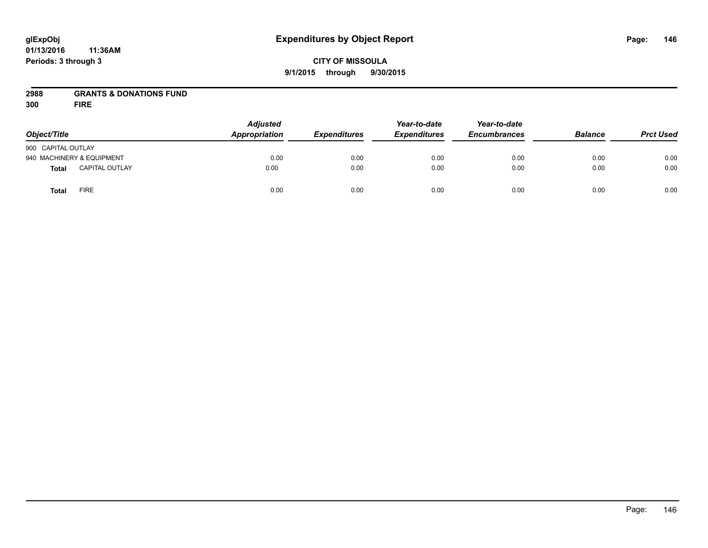# **CITY OF MISSOULA 9/1/2015 through 9/30/2015**

# **2988 GRANTS & DONATIONS FUND**

**300 FIRE**

| Object/Title              |                       | <b>Adjusted</b><br>Appropriation | <b>Expenditures</b> | Year-to-date<br><b>Expenditures</b> | Year-to-date<br><b>Encumbrances</b> | <b>Balance</b> | <b>Prct Used</b> |
|---------------------------|-----------------------|----------------------------------|---------------------|-------------------------------------|-------------------------------------|----------------|------------------|
| 900 CAPITAL OUTLAY        |                       |                                  |                     |                                     |                                     |                |                  |
| 940 MACHINERY & EQUIPMENT |                       | 0.00                             | 0.00                | 0.00                                | 0.00                                | 0.00           | 0.00             |
| Total                     | <b>CAPITAL OUTLAY</b> | 0.00                             | 0.00                | 0.00                                | 0.00                                | 0.00           | 0.00             |
| <b>Total</b>              | <b>FIRE</b>           | 0.00                             | 0.00                | 0.00                                | 0.00                                | 0.00           | 0.00             |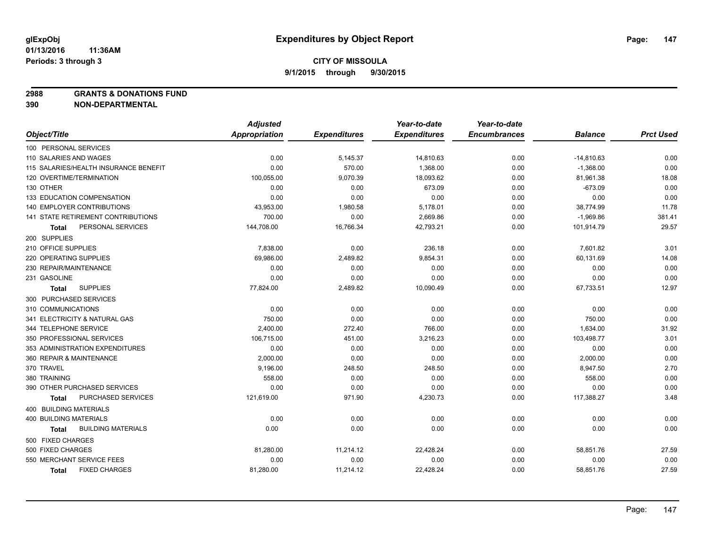**2988 GRANTS & DONATIONS FUND**

|                                       | <b>Adjusted</b> |                     | Year-to-date        | Year-to-date        |                |                  |
|---------------------------------------|-----------------|---------------------|---------------------|---------------------|----------------|------------------|
| Object/Title                          | Appropriation   | <b>Expenditures</b> | <b>Expenditures</b> | <b>Encumbrances</b> | <b>Balance</b> | <b>Prct Used</b> |
| 100 PERSONAL SERVICES                 |                 |                     |                     |                     |                |                  |
| 110 SALARIES AND WAGES                | 0.00            | 5,145.37            | 14,810.63           | 0.00                | $-14,810.63$   | 0.00             |
| 115 SALARIES/HEALTH INSURANCE BENEFIT | 0.00            | 570.00              | 1,368.00            | 0.00                | $-1,368.00$    | 0.00             |
| 120 OVERTIME/TERMINATION              | 100,055.00      | 9,070.39            | 18,093.62           | 0.00                | 81,961.38      | 18.08            |
| 130 OTHER                             | 0.00            | 0.00                | 673.09              | 0.00                | $-673.09$      | 0.00             |
| 133 EDUCATION COMPENSATION            | 0.00            | 0.00                | 0.00                | 0.00                | 0.00           | 0.00             |
| <b>140 EMPLOYER CONTRIBUTIONS</b>     | 43,953.00       | 1,980.58            | 5,178.01            | 0.00                | 38,774.99      | 11.78            |
| 141 STATE RETIREMENT CONTRIBUTIONS    | 700.00          | 0.00                | 2,669.86            | 0.00                | $-1,969.86$    | 381.41           |
| PERSONAL SERVICES<br>Total            | 144,708.00      | 16,766.34           | 42,793.21           | 0.00                | 101,914.79     | 29.57            |
| 200 SUPPLIES                          |                 |                     |                     |                     |                |                  |
| 210 OFFICE SUPPLIES                   | 7,838.00        | 0.00                | 236.18              | 0.00                | 7,601.82       | 3.01             |
| 220 OPERATING SUPPLIES                | 69,986.00       | 2,489.82            | 9,854.31            | 0.00                | 60,131.69      | 14.08            |
| 230 REPAIR/MAINTENANCE                | 0.00            | 0.00                | 0.00                | 0.00                | 0.00           | 0.00             |
| 231 GASOLINE                          | 0.00            | 0.00                | 0.00                | 0.00                | 0.00           | 0.00             |
| <b>SUPPLIES</b><br>Total              | 77,824.00       | 2,489.82            | 10,090.49           | 0.00                | 67,733.51      | 12.97            |
| 300 PURCHASED SERVICES                |                 |                     |                     |                     |                |                  |
| 310 COMMUNICATIONS                    | 0.00            | 0.00                | 0.00                | 0.00                | 0.00           | 0.00             |
| 341 ELECTRICITY & NATURAL GAS         | 750.00          | 0.00                | 0.00                | 0.00                | 750.00         | 0.00             |
| 344 TELEPHONE SERVICE                 | 2,400.00        | 272.40              | 766.00              | 0.00                | 1,634.00       | 31.92            |
| 350 PROFESSIONAL SERVICES             | 106,715.00      | 451.00              | 3,216.23            | 0.00                | 103,498.77     | 3.01             |
| 353 ADMINISTRATION EXPENDITURES       | 0.00            | 0.00                | 0.00                | 0.00                | 0.00           | 0.00             |
| 360 REPAIR & MAINTENANCE              | 2,000.00        | 0.00                | 0.00                | 0.00                | 2,000.00       | 0.00             |
| 370 TRAVEL                            | 9,196.00        | 248.50              | 248.50              | 0.00                | 8,947.50       | 2.70             |
| 380 TRAINING                          | 558.00          | 0.00                | 0.00                | 0.00                | 558.00         | 0.00             |
| 390 OTHER PURCHASED SERVICES          | 0.00            | 0.00                | 0.00                | 0.00                | 0.00           | 0.00             |
| PURCHASED SERVICES<br>Total           | 121,619.00      | 971.90              | 4,230.73            | 0.00                | 117,388.27     | 3.48             |
| 400 BUILDING MATERIALS                |                 |                     |                     |                     |                |                  |
| <b>400 BUILDING MATERIALS</b>         | 0.00            | 0.00                | 0.00                | 0.00                | 0.00           | 0.00             |
| <b>BUILDING MATERIALS</b><br>Total    | 0.00            | 0.00                | 0.00                | 0.00                | 0.00           | 0.00             |
| 500 FIXED CHARGES                     |                 |                     |                     |                     |                |                  |
| 500 FIXED CHARGES                     | 81,280.00       | 11,214.12           | 22,428.24           | 0.00                | 58,851.76      | 27.59            |
| 550 MERCHANT SERVICE FEES             | 0.00            | 0.00                | 0.00                | 0.00                | 0.00           | 0.00             |
| <b>FIXED CHARGES</b><br><b>Total</b>  | 81,280.00       | 11,214.12           | 22,428.24           | 0.00                | 58,851.76      | 27.59            |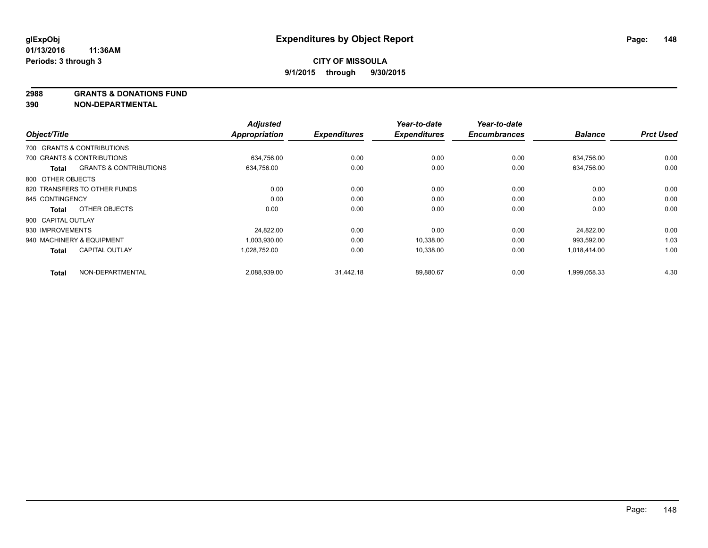**2988 GRANTS & DONATIONS FUND**

|                    |                                   | <b>Adjusted</b>      |                     | Year-to-date        | Year-to-date        |                |                  |
|--------------------|-----------------------------------|----------------------|---------------------|---------------------|---------------------|----------------|------------------|
| Object/Title       |                                   | <b>Appropriation</b> | <b>Expenditures</b> | <b>Expenditures</b> | <b>Encumbrances</b> | <b>Balance</b> | <b>Prct Used</b> |
|                    | 700 GRANTS & CONTRIBUTIONS        |                      |                     |                     |                     |                |                  |
|                    | 700 GRANTS & CONTRIBUTIONS        | 634.756.00           | 0.00                | 0.00                | 0.00                | 634.756.00     | 0.00             |
| Total              | <b>GRANTS &amp; CONTRIBUTIONS</b> | 634,756.00           | 0.00                | 0.00                | 0.00                | 634,756.00     | 0.00             |
| 800 OTHER OBJECTS  |                                   |                      |                     |                     |                     |                |                  |
|                    | 820 TRANSFERS TO OTHER FUNDS      | 0.00                 | 0.00                | 0.00                | 0.00                | 0.00           | 0.00             |
| 845 CONTINGENCY    |                                   | 0.00                 | 0.00                | 0.00                | 0.00                | 0.00           | 0.00             |
| <b>Total</b>       | OTHER OBJECTS                     | 0.00                 | 0.00                | 0.00                | 0.00                | 0.00           | 0.00             |
| 900 CAPITAL OUTLAY |                                   |                      |                     |                     |                     |                |                  |
| 930 IMPROVEMENTS   |                                   | 24,822.00            | 0.00                | 0.00                | 0.00                | 24,822.00      | 0.00             |
|                    | 940 MACHINERY & EQUIPMENT         | 1,003,930.00         | 0.00                | 10,338.00           | 0.00                | 993,592.00     | 1.03             |
| <b>Total</b>       | <b>CAPITAL OUTLAY</b>             | 1,028,752.00         | 0.00                | 10,338.00           | 0.00                | 1,018,414.00   | 1.00             |
| <b>Total</b>       | NON-DEPARTMENTAL                  | 2,088,939.00         | 31,442.18           | 89.880.67           | 0.00                | 1,999,058.33   | 4.30             |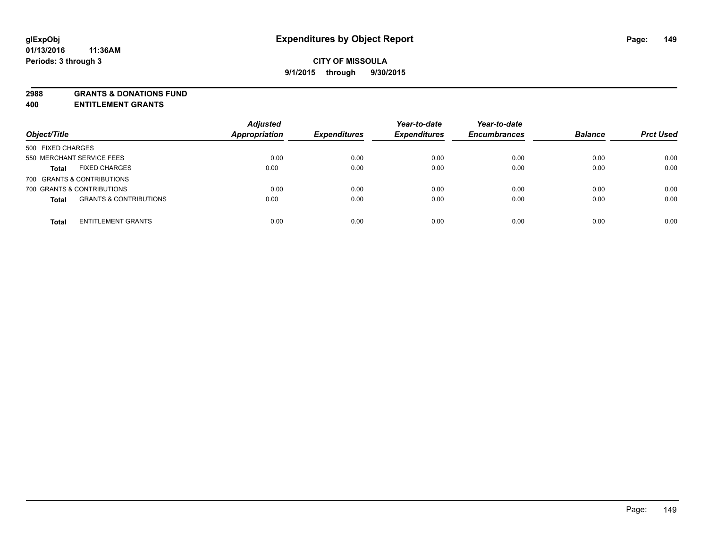**2988 GRANTS & DONATIONS FUND**

**400 ENTITLEMENT GRANTS**

| Object/Title                                      | <b>Adjusted</b><br><b>Appropriation</b> | <b>Expenditures</b> | Year-to-date<br><b>Expenditures</b> | Year-to-date<br><b>Encumbrances</b> | <b>Balance</b> | <b>Prct Used</b> |
|---------------------------------------------------|-----------------------------------------|---------------------|-------------------------------------|-------------------------------------|----------------|------------------|
| 500 FIXED CHARGES                                 |                                         |                     |                                     |                                     |                |                  |
| 550 MERCHANT SERVICE FEES                         | 0.00                                    | 0.00                | 0.00                                | 0.00                                | 0.00           | 0.00             |
| <b>FIXED CHARGES</b><br><b>Total</b>              | 0.00                                    | 0.00                | 0.00                                | 0.00                                | 0.00           | 0.00             |
| 700 GRANTS & CONTRIBUTIONS                        |                                         |                     |                                     |                                     |                |                  |
| 700 GRANTS & CONTRIBUTIONS                        | 0.00                                    | 0.00                | 0.00                                | 0.00                                | 0.00           | 0.00             |
| <b>GRANTS &amp; CONTRIBUTIONS</b><br><b>Total</b> | 0.00                                    | 0.00                | 0.00                                | 0.00                                | 0.00           | 0.00             |
| <b>ENTITLEMENT GRANTS</b><br><b>Total</b>         | 0.00                                    | 0.00                | 0.00                                | 0.00                                | 0.00           | 0.00             |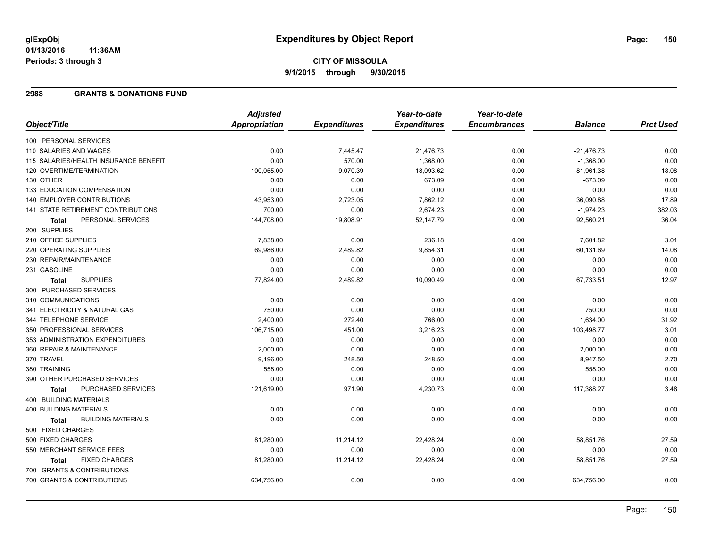# **CITY OF MISSOULA 9/1/2015 through 9/30/2015**

#### **2988 GRANTS & DONATIONS FUND**

|                                           | <b>Adjusted</b>      |                     | Year-to-date        | Year-to-date        |                |                  |
|-------------------------------------------|----------------------|---------------------|---------------------|---------------------|----------------|------------------|
| Object/Title                              | <b>Appropriation</b> | <b>Expenditures</b> | <b>Expenditures</b> | <b>Encumbrances</b> | <b>Balance</b> | <b>Prct Used</b> |
| 100 PERSONAL SERVICES                     |                      |                     |                     |                     |                |                  |
| 110 SALARIES AND WAGES                    | 0.00                 | 7,445.47            | 21,476.73           | 0.00                | $-21,476.73$   | 0.00             |
| 115 SALARIES/HEALTH INSURANCE BENEFIT     | 0.00                 | 570.00              | 1,368.00            | 0.00                | $-1,368.00$    | 0.00             |
| 120 OVERTIME/TERMINATION                  | 100,055.00           | 9,070.39            | 18,093.62           | 0.00                | 81,961.38      | 18.08            |
| 130 OTHER                                 | 0.00                 | 0.00                | 673.09              | 0.00                | $-673.09$      | 0.00             |
| 133 EDUCATION COMPENSATION                | 0.00                 | 0.00                | 0.00                | 0.00                | 0.00           | 0.00             |
| 140 EMPLOYER CONTRIBUTIONS                | 43,953.00            | 2,723.05            | 7,862.12            | 0.00                | 36,090.88      | 17.89            |
| 141 STATE RETIREMENT CONTRIBUTIONS        | 700.00               | 0.00                | 2,674.23            | 0.00                | $-1,974.23$    | 382.03           |
| PERSONAL SERVICES<br>Total                | 144,708.00           | 19,808.91           | 52,147.79           | 0.00                | 92,560.21      | 36.04            |
| 200 SUPPLIES                              |                      |                     |                     |                     |                |                  |
| 210 OFFICE SUPPLIES                       | 7,838.00             | 0.00                | 236.18              | 0.00                | 7,601.82       | 3.01             |
| 220 OPERATING SUPPLIES                    | 69.986.00            | 2,489.82            | 9,854.31            | 0.00                | 60,131.69      | 14.08            |
| 230 REPAIR/MAINTENANCE                    | 0.00                 | 0.00                | 0.00                | 0.00                | 0.00           | 0.00             |
| 231 GASOLINE                              | 0.00                 | 0.00                | 0.00                | 0.00                | 0.00           | 0.00             |
| <b>SUPPLIES</b><br>Total                  | 77,824.00            | 2,489.82            | 10,090.49           | 0.00                | 67,733.51      | 12.97            |
| 300 PURCHASED SERVICES                    |                      |                     |                     |                     |                |                  |
| 310 COMMUNICATIONS                        | 0.00                 | 0.00                | 0.00                | 0.00                | 0.00           | 0.00             |
| 341 ELECTRICITY & NATURAL GAS             | 750.00               | 0.00                | 0.00                | 0.00                | 750.00         | 0.00             |
| 344 TELEPHONE SERVICE                     | 2,400.00             | 272.40              | 766.00              | 0.00                | 1,634.00       | 31.92            |
| 350 PROFESSIONAL SERVICES                 | 106,715.00           | 451.00              | 3,216.23            | 0.00                | 103,498.77     | 3.01             |
| 353 ADMINISTRATION EXPENDITURES           | 0.00                 | 0.00                | 0.00                | 0.00                | 0.00           | 0.00             |
| 360 REPAIR & MAINTENANCE                  | 2,000.00             | 0.00                | 0.00                | 0.00                | 2,000.00       | 0.00             |
| 370 TRAVEL                                | 9,196.00             | 248.50              | 248.50              | 0.00                | 8,947.50       | 2.70             |
| 380 TRAINING                              | 558.00               | 0.00                | 0.00                | 0.00                | 558.00         | 0.00             |
| 390 OTHER PURCHASED SERVICES              | 0.00                 | 0.00                | 0.00                | 0.00                | 0.00           | 0.00             |
| PURCHASED SERVICES<br><b>Total</b>        | 121,619.00           | 971.90              | 4,230.73            | 0.00                | 117,388.27     | 3.48             |
| 400 BUILDING MATERIALS                    |                      |                     |                     |                     |                |                  |
| <b>400 BUILDING MATERIALS</b>             | 0.00                 | 0.00                | 0.00                | 0.00                | 0.00           | 0.00             |
| <b>BUILDING MATERIALS</b><br><b>Total</b> | 0.00                 | 0.00                | 0.00                | 0.00                | 0.00           | 0.00             |
| 500 FIXED CHARGES                         |                      |                     |                     |                     |                |                  |
| 500 FIXED CHARGES                         | 81,280.00            | 11,214.12           | 22,428.24           | 0.00                | 58,851.76      | 27.59            |
| 550 MERCHANT SERVICE FEES                 | 0.00                 | 0.00                | 0.00                | 0.00                | 0.00           | 0.00             |
| <b>FIXED CHARGES</b><br>Total             | 81,280.00            | 11,214.12           | 22,428.24           | 0.00                | 58,851.76      | 27.59            |
| 700 GRANTS & CONTRIBUTIONS                |                      |                     |                     |                     |                |                  |
| 700 GRANTS & CONTRIBUTIONS                | 634,756.00           | 0.00                | 0.00                | 0.00                | 634,756.00     | 0.00             |
|                                           |                      |                     |                     |                     |                |                  |

Page: 150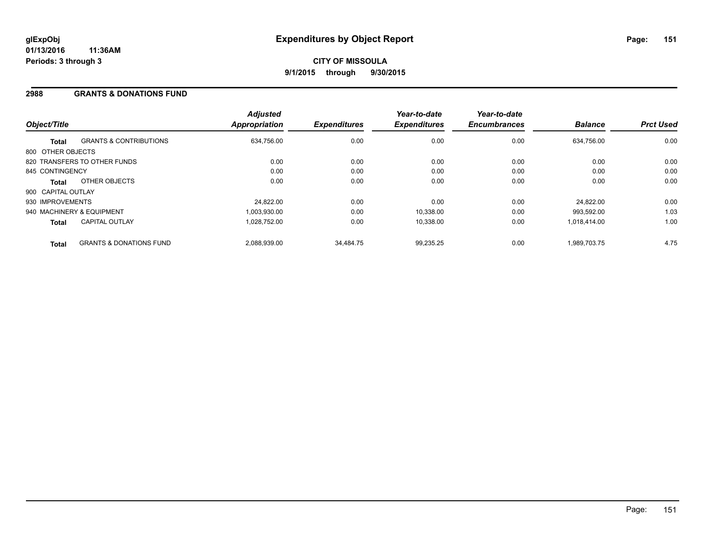#### **2988 GRANTS & DONATIONS FUND**

| Object/Title       |                                    | <b>Adjusted</b><br>Appropriation | <b>Expenditures</b> | Year-to-date<br><b>Expenditures</b> | Year-to-date<br><b>Encumbrances</b> | <b>Balance</b> | <b>Prct Used</b> |
|--------------------|------------------------------------|----------------------------------|---------------------|-------------------------------------|-------------------------------------|----------------|------------------|
| <b>Total</b>       | <b>GRANTS &amp; CONTRIBUTIONS</b>  | 634,756.00                       | 0.00                | 0.00                                | 0.00                                | 634.756.00     | 0.00             |
| 800 OTHER OBJECTS  |                                    |                                  |                     |                                     |                                     |                |                  |
|                    | 820 TRANSFERS TO OTHER FUNDS       | 0.00                             | 0.00                | 0.00                                | 0.00                                | 0.00           | 0.00             |
| 845 CONTINGENCY    |                                    | 0.00                             | 0.00                | 0.00                                | 0.00                                | 0.00           | 0.00             |
| <b>Total</b>       | OTHER OBJECTS                      | 0.00                             | 0.00                | 0.00                                | 0.00                                | 0.00           | 0.00             |
| 900 CAPITAL OUTLAY |                                    |                                  |                     |                                     |                                     |                |                  |
| 930 IMPROVEMENTS   |                                    | 24,822.00                        | 0.00                | 0.00                                | 0.00                                | 24.822.00      | 0.00             |
|                    | 940 MACHINERY & EQUIPMENT          | 1.003.930.00                     | 0.00                | 10.338.00                           | 0.00                                | 993.592.00     | 1.03             |
| <b>Total</b>       | <b>CAPITAL OUTLAY</b>              | 1.028.752.00                     | 0.00                | 10.338.00                           | 0.00                                | 1,018,414.00   | 1.00             |
| <b>Total</b>       | <b>GRANTS &amp; DONATIONS FUND</b> | 2.088.939.00                     | 34.484.75           | 99.235.25                           | 0.00                                | 1.989.703.75   | 4.75             |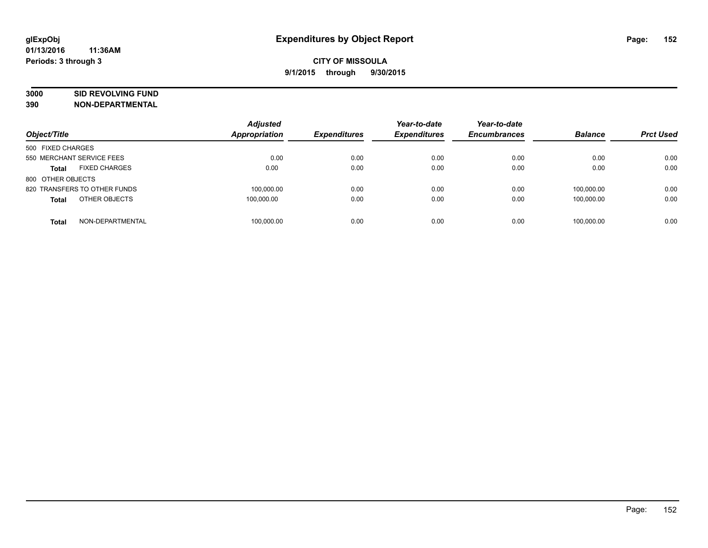# **3000 SID REVOLVING FUND**

| Object/Title                         | <b>Adjusted</b><br>Appropriation | <b>Expenditures</b> | Year-to-date<br><b>Expenditures</b> | Year-to-date<br><b>Encumbrances</b> | <b>Balance</b> | <b>Prct Used</b> |
|--------------------------------------|----------------------------------|---------------------|-------------------------------------|-------------------------------------|----------------|------------------|
| 500 FIXED CHARGES                    |                                  |                     |                                     |                                     |                |                  |
| 550 MERCHANT SERVICE FEES            | 0.00                             | 0.00                | 0.00                                | 0.00                                | 0.00           | 0.00             |
| <b>FIXED CHARGES</b><br><b>Total</b> | 0.00                             | 0.00                | 0.00                                | 0.00                                | 0.00           | 0.00             |
| 800 OTHER OBJECTS                    |                                  |                     |                                     |                                     |                |                  |
| 820 TRANSFERS TO OTHER FUNDS         | 100.000.00                       | 0.00                | 0.00                                | 0.00                                | 100.000.00     | 0.00             |
| OTHER OBJECTS<br><b>Total</b>        | 100,000.00                       | 0.00                | 0.00                                | 0.00                                | 100.000.00     | 0.00             |
| NON-DEPARTMENTAL<br><b>Total</b>     | 100.000.00                       | 0.00                | 0.00                                | 0.00                                | 100.000.00     | 0.00             |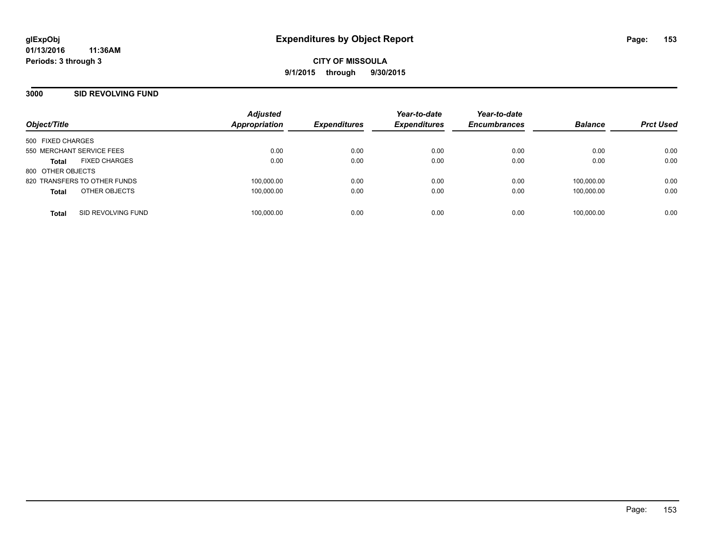#### **3000 SID REVOLVING FUND**

| Object/Title                         | <b>Adjusted</b><br><b>Appropriation</b> | <b>Expenditures</b> | Year-to-date<br><b>Expenditures</b> | Year-to-date<br><b>Encumbrances</b> | <b>Balance</b> | <b>Prct Used</b> |
|--------------------------------------|-----------------------------------------|---------------------|-------------------------------------|-------------------------------------|----------------|------------------|
|                                      |                                         |                     |                                     |                                     |                |                  |
| 500 FIXED CHARGES                    |                                         |                     |                                     |                                     |                |                  |
| 550 MERCHANT SERVICE FEES            | 0.00                                    | 0.00                | 0.00                                | 0.00                                | 0.00           | 0.00             |
| <b>FIXED CHARGES</b><br><b>Total</b> | 0.00                                    | 0.00                | 0.00                                | 0.00                                | 0.00           | 0.00             |
| 800 OTHER OBJECTS                    |                                         |                     |                                     |                                     |                |                  |
| 820 TRANSFERS TO OTHER FUNDS         | 100,000.00                              | 0.00                | 0.00                                | 0.00                                | 100,000.00     | 0.00             |
| OTHER OBJECTS<br><b>Total</b>        | 100,000.00                              | 0.00                | 0.00                                | 0.00                                | 100.000.00     | 0.00             |
| SID REVOLVING FUND<br><b>Total</b>   | 100,000.00                              | 0.00                | 0.00                                | 0.00                                | 100.000.00     | 0.00             |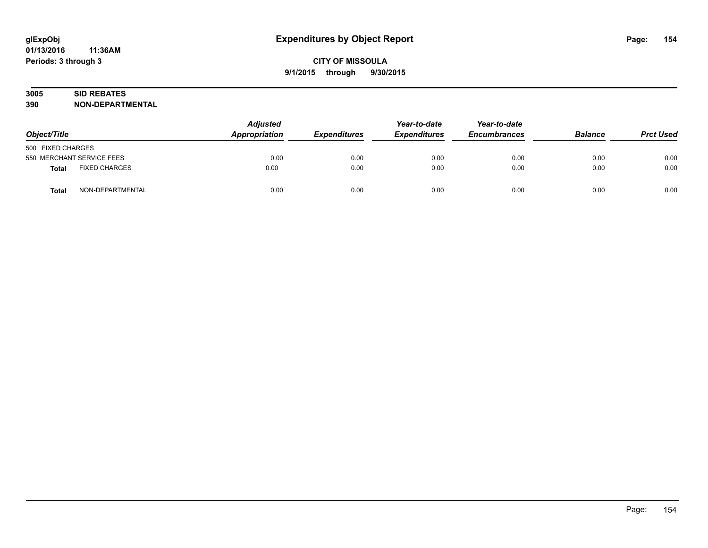# **3005 SID REBATES**

| Object/Title                         | <b>Adjusted</b><br><b>Appropriation</b> | <b>Expenditures</b> | Year-to-date<br><b>Expenditures</b> | Year-to-date<br><b>Encumbrances</b> | <b>Balance</b> | <b>Prct Used</b> |
|--------------------------------------|-----------------------------------------|---------------------|-------------------------------------|-------------------------------------|----------------|------------------|
| 500 FIXED CHARGES                    |                                         |                     |                                     |                                     |                |                  |
| 550 MERCHANT SERVICE FEES            | 0.00                                    | 0.00                | 0.00                                | 0.00                                | 0.00           | 0.00             |
| <b>FIXED CHARGES</b><br><b>Total</b> | 0.00                                    | 0.00                | 0.00                                | 0.00                                | 0.00           | 0.00             |
| NON-DEPARTMENTAL<br>Total            | 0.00                                    | 0.00                | 0.00                                | 0.00                                | 0.00           | 0.00             |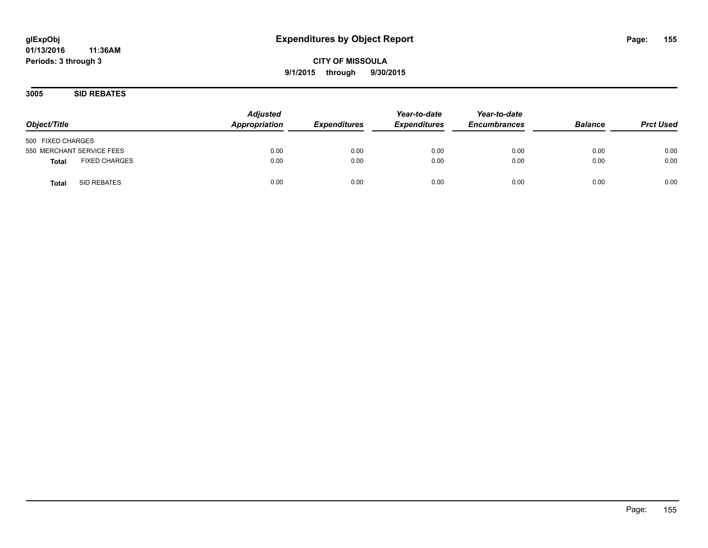**CITY OF MISSOULA 9/1/2015 through 9/30/2015**

**3005 SID REBATES**

| Object/Title                         | <b>Adjusted</b><br>Appropriation | <b>Expenditures</b> | Year-to-date<br><b>Expenditures</b> | Year-to-date<br><b>Encumbrances</b> | <b>Balance</b> | <b>Prct Used</b> |
|--------------------------------------|----------------------------------|---------------------|-------------------------------------|-------------------------------------|----------------|------------------|
| 500 FIXED CHARGES                    |                                  |                     |                                     |                                     |                |                  |
| 550 MERCHANT SERVICE FEES            | 0.00                             | 0.00                | 0.00                                | 0.00                                | 0.00           | 0.00             |
| <b>FIXED CHARGES</b><br><b>Total</b> | 0.00                             | 0.00                | 0.00                                | 0.00                                | 0.00           | 0.00             |
| SID REBATES<br><b>Total</b>          | 0.00                             | 0.00                | 0.00                                | 0.00                                | 0.00           | 0.00             |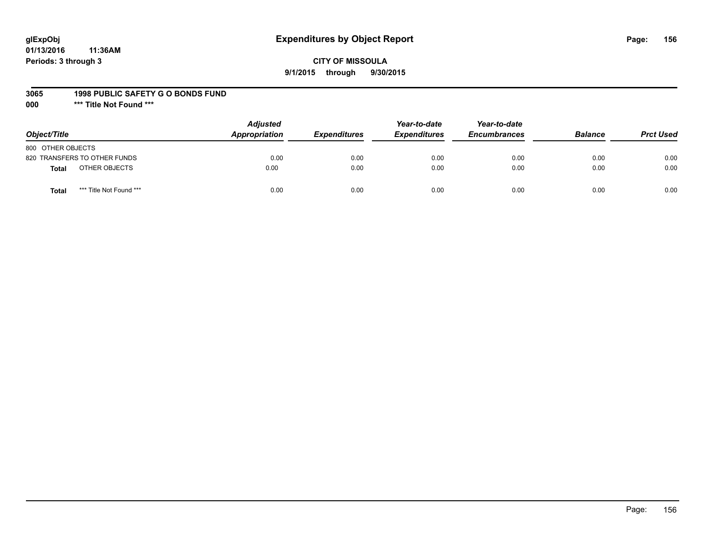# **glExpObj Expenditures by Object Report Page: 156**

#### **CITY OF MISSOULA 9/1/2015 through 9/30/2015**

#### **3065 1998 PUBLIC SAFETY G O BONDS FUND**

**000 \*\*\* Title Not Found \*\*\***

| Object/Title                            | <b>Adjusted</b><br>Appropriation | <b>Expenditures</b> | Year-to-date<br><b>Expenditures</b> | Year-to-date<br><b>Encumbrances</b> | <b>Balance</b> | <b>Prct Used</b> |
|-----------------------------------------|----------------------------------|---------------------|-------------------------------------|-------------------------------------|----------------|------------------|
| 800 OTHER OBJECTS                       |                                  |                     |                                     |                                     |                |                  |
| 820 TRANSFERS TO OTHER FUNDS            | 0.00                             | 0.00                | 0.00                                | 0.00                                | 0.00           | 0.00             |
| OTHER OBJECTS<br><b>Total</b>           | 0.00                             | 0.00                | 0.00                                | 0.00                                | 0.00           | 0.00             |
| *** Title Not Found ***<br><b>Total</b> | 0.00                             | 0.00                | 0.00                                | 0.00                                | 0.00           | 0.00             |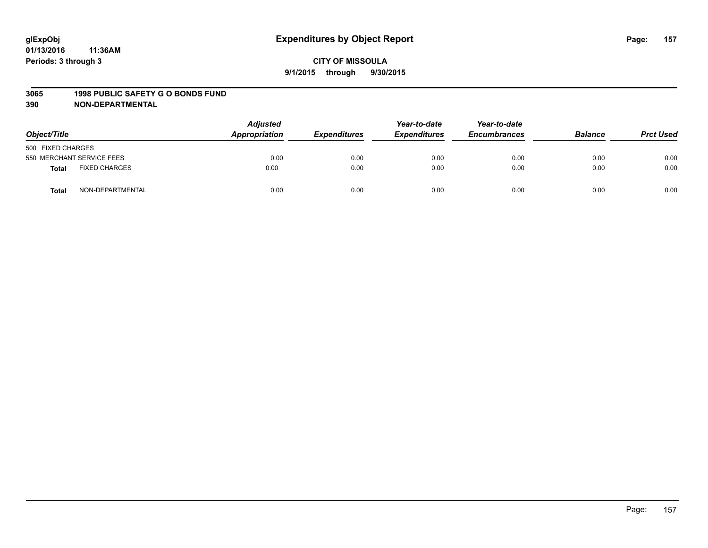#### **3065 1998 PUBLIC SAFETY G O BONDS FUND**

| Object/Title      |                           | <b>Adjusted</b><br>Appropriation | <b>Expenditures</b> | Year-to-date<br><b>Expenditures</b> | Year-to-date<br><b>Encumbrances</b> | <b>Balance</b> | <b>Prct Used</b> |
|-------------------|---------------------------|----------------------------------|---------------------|-------------------------------------|-------------------------------------|----------------|------------------|
| 500 FIXED CHARGES |                           |                                  |                     |                                     |                                     |                |                  |
|                   | 550 MERCHANT SERVICE FEES | 0.00                             | 0.00                | 0.00                                | 0.00                                | 0.00           | 0.00             |
| <b>Total</b>      | <b>FIXED CHARGES</b>      | 0.00                             | 0.00                | 0.00                                | 0.00                                | 0.00           | 0.00             |
| <b>Total</b>      | NON-DEPARTMENTAL          | 0.00                             | 0.00                | 0.00                                | 0.00                                | 0.00           | 0.00             |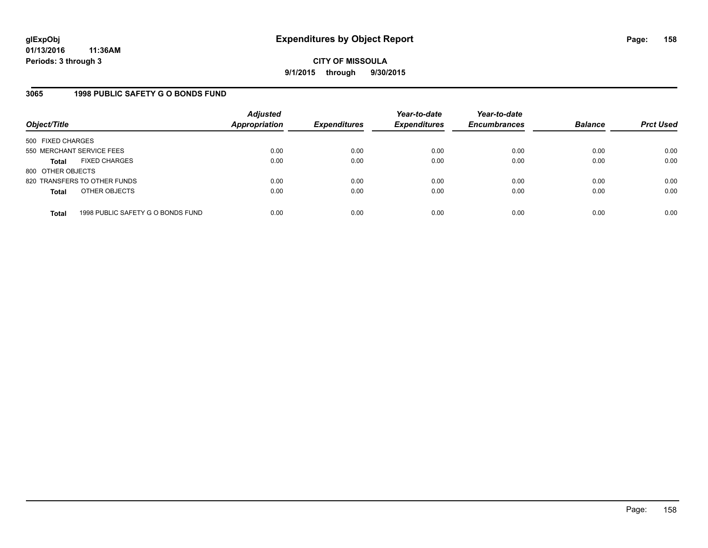**CITY OF MISSOULA 9/1/2015 through 9/30/2015**

#### **3065 1998 PUBLIC SAFETY G O BONDS FUND**

| Object/Title              |                                   | <b>Adjusted</b><br><b>Appropriation</b> | <b>Expenditures</b> | Year-to-date<br><b>Expenditures</b> | Year-to-date<br><b>Encumbrances</b> | <b>Balance</b> | <b>Prct Used</b> |
|---------------------------|-----------------------------------|-----------------------------------------|---------------------|-------------------------------------|-------------------------------------|----------------|------------------|
| 500 FIXED CHARGES         |                                   |                                         |                     |                                     |                                     |                |                  |
| 550 MERCHANT SERVICE FEES |                                   | 0.00                                    | 0.00                | 0.00                                | 0.00                                | 0.00           | 0.00             |
| <b>Total</b>              | <b>FIXED CHARGES</b>              | 0.00                                    | 0.00                | 0.00                                | 0.00                                | 0.00           | 0.00             |
| 800 OTHER OBJECTS         |                                   |                                         |                     |                                     |                                     |                |                  |
|                           | 820 TRANSFERS TO OTHER FUNDS      | 0.00                                    | 0.00                | 0.00                                | 0.00                                | 0.00           | 0.00             |
| <b>Total</b>              | OTHER OBJECTS                     | 0.00                                    | 0.00                | 0.00                                | 0.00                                | 0.00           | 0.00             |
| <b>Total</b>              | 1998 PUBLIC SAFETY G O BONDS FUND | 0.00                                    | 0.00                | 0.00                                | 0.00                                | 0.00           | 0.00             |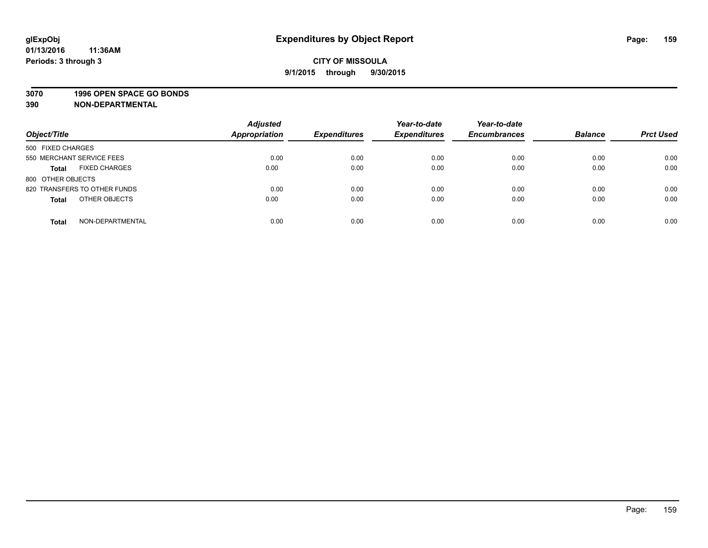#### **3070 1996 OPEN SPACE GO BONDS**

| Object/Title                         | <b>Adjusted</b><br><b>Appropriation</b> | <b>Expenditures</b> | Year-to-date<br><b>Expenditures</b> | Year-to-date<br><b>Encumbrances</b> | <b>Balance</b> | <b>Prct Used</b> |
|--------------------------------------|-----------------------------------------|---------------------|-------------------------------------|-------------------------------------|----------------|------------------|
| 500 FIXED CHARGES                    |                                         |                     |                                     |                                     |                |                  |
| 550 MERCHANT SERVICE FEES            | 0.00                                    | 0.00                | 0.00                                | 0.00                                | 0.00           | 0.00             |
| <b>FIXED CHARGES</b><br><b>Total</b> | 0.00                                    | 0.00                | 0.00                                | 0.00                                | 0.00           | 0.00             |
| 800 OTHER OBJECTS                    |                                         |                     |                                     |                                     |                |                  |
| 820 TRANSFERS TO OTHER FUNDS         | 0.00                                    | 0.00                | 0.00                                | 0.00                                | 0.00           | 0.00             |
| OTHER OBJECTS<br><b>Total</b>        | 0.00                                    | 0.00                | 0.00                                | 0.00                                | 0.00           | 0.00             |
| NON-DEPARTMENTAL<br><b>Total</b>     | 0.00                                    | 0.00                | 0.00                                | 0.00                                | 0.00           | 0.00             |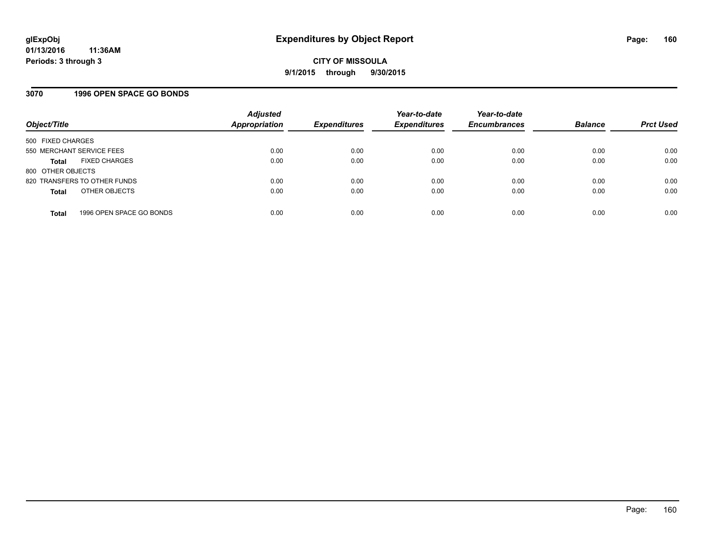## **3070 1996 OPEN SPACE GO BONDS**

| Object/Title              |                              | <b>Adjusted</b><br>Appropriation | <b>Expenditures</b> | Year-to-date<br><b>Expenditures</b> | Year-to-date<br><b>Encumbrances</b> | <b>Balance</b> | <b>Prct Used</b> |
|---------------------------|------------------------------|----------------------------------|---------------------|-------------------------------------|-------------------------------------|----------------|------------------|
| 500 FIXED CHARGES         |                              |                                  |                     |                                     |                                     |                |                  |
| 550 MERCHANT SERVICE FEES |                              | 0.00                             | 0.00                | 0.00                                | 0.00                                | 0.00           | 0.00             |
| Total                     | <b>FIXED CHARGES</b>         | 0.00                             | 0.00                | 0.00                                | 0.00                                | 0.00           | 0.00             |
| 800 OTHER OBJECTS         |                              |                                  |                     |                                     |                                     |                |                  |
|                           | 820 TRANSFERS TO OTHER FUNDS | 0.00                             | 0.00                | 0.00                                | 0.00                                | 0.00           | 0.00             |
| <b>Total</b>              | OTHER OBJECTS                | 0.00                             | 0.00                | 0.00                                | 0.00                                | 0.00           | 0.00             |
| <b>Total</b>              | 1996 OPEN SPACE GO BONDS     | 0.00                             | 0.00                | 0.00                                | 0.00                                | 0.00           | 0.00             |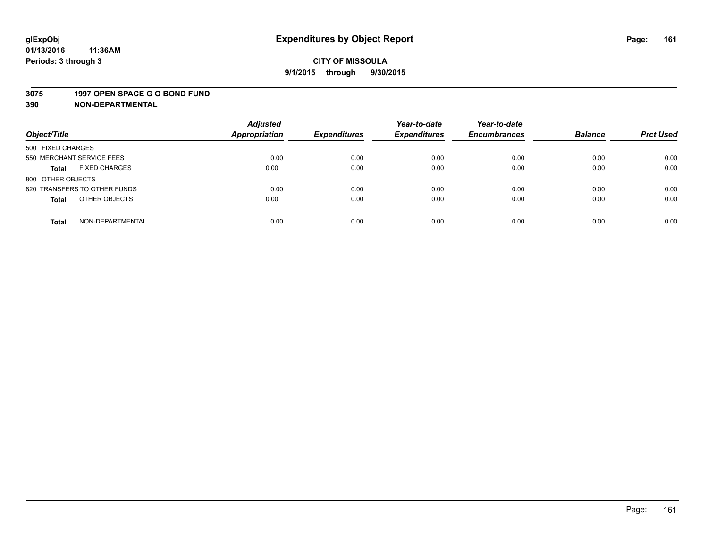#### **3075 1997 OPEN SPACE G O BOND FUND**

| Object/Title                         | <b>Adjusted</b><br>Appropriation | <b>Expenditures</b> | Year-to-date<br><b>Expenditures</b> | Year-to-date<br><b>Encumbrances</b> | <b>Balance</b> | <b>Prct Used</b> |
|--------------------------------------|----------------------------------|---------------------|-------------------------------------|-------------------------------------|----------------|------------------|
| 500 FIXED CHARGES                    |                                  |                     |                                     |                                     |                |                  |
| 550 MERCHANT SERVICE FEES            | 0.00                             | 0.00                | 0.00                                | 0.00                                | 0.00           | 0.00             |
| <b>FIXED CHARGES</b><br><b>Total</b> | 0.00                             | 0.00                | 0.00                                | 0.00                                | 0.00           | 0.00             |
| 800 OTHER OBJECTS                    |                                  |                     |                                     |                                     |                |                  |
| 820 TRANSFERS TO OTHER FUNDS         | 0.00                             | 0.00                | 0.00                                | 0.00                                | 0.00           | 0.00             |
| OTHER OBJECTS<br><b>Total</b>        | 0.00                             | 0.00                | 0.00                                | 0.00                                | 0.00           | 0.00             |
| NON-DEPARTMENTAL<br><b>Total</b>     | 0.00                             | 0.00                | 0.00                                | 0.00                                | 0.00           | 0.00             |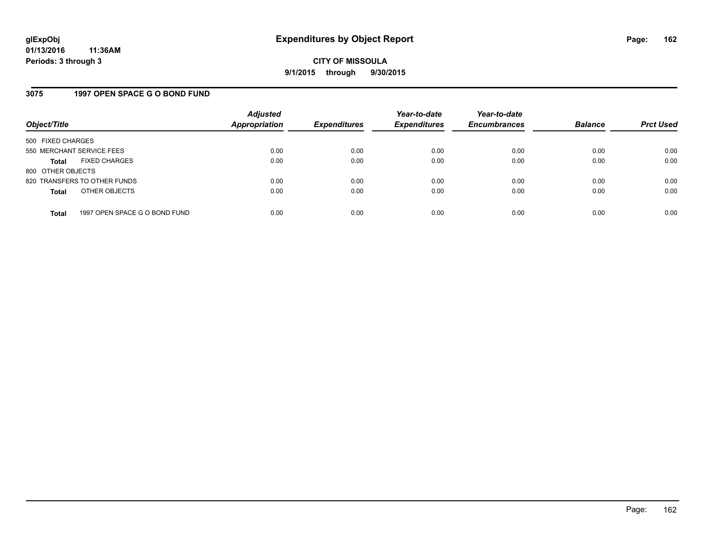#### **3075 1997 OPEN SPACE G O BOND FUND**

| Object/Title                         |                               | <b>Adjusted</b><br><b>Appropriation</b> | <b>Expenditures</b> | Year-to-date<br><b>Expenditures</b> | Year-to-date<br><b>Encumbrances</b> | <b>Balance</b> | <b>Prct Used</b> |
|--------------------------------------|-------------------------------|-----------------------------------------|---------------------|-------------------------------------|-------------------------------------|----------------|------------------|
| 500 FIXED CHARGES                    |                               |                                         |                     |                                     |                                     |                |                  |
| 550 MERCHANT SERVICE FEES            |                               | 0.00                                    | 0.00                | 0.00                                | 0.00                                | 0.00           | 0.00             |
| <b>FIXED CHARGES</b><br><b>Total</b> |                               | 0.00                                    | 0.00                | 0.00                                | 0.00                                | 0.00           | 0.00             |
| 800 OTHER OBJECTS                    |                               |                                         |                     |                                     |                                     |                |                  |
| 820 TRANSFERS TO OTHER FUNDS         |                               | 0.00                                    | 0.00                | 0.00                                | 0.00                                | 0.00           | 0.00             |
| OTHER OBJECTS<br><b>Total</b>        |                               | 0.00                                    | 0.00                | 0.00                                | 0.00                                | 0.00           | 0.00             |
|                                      |                               |                                         |                     |                                     |                                     |                |                  |
| <b>Total</b>                         | 1997 OPEN SPACE G O BOND FUND | 0.00                                    | 0.00                | 0.00                                | 0.00                                | 0.00           | 0.00             |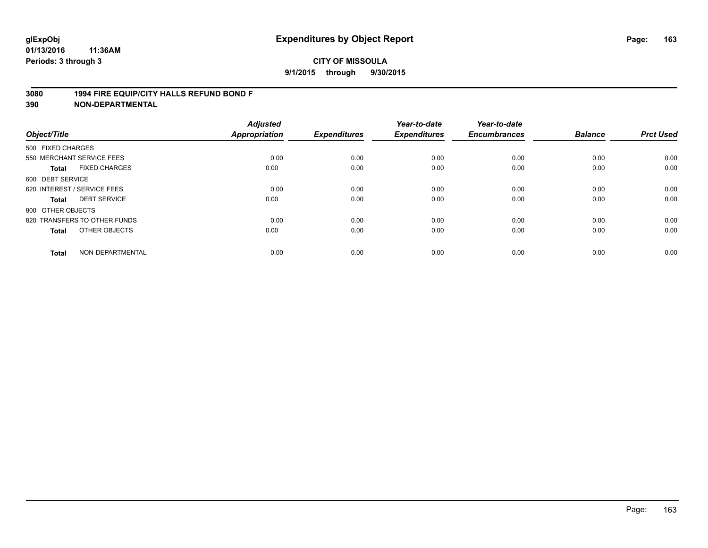#### **3080 1994 FIRE EQUIP/CITY HALLS REFUND BOND F**

| Object/Title      |                              | <b>Adjusted</b><br><b>Appropriation</b> | <b>Expenditures</b> | Year-to-date<br><b>Expenditures</b> | Year-to-date<br><b>Encumbrances</b> | <b>Balance</b> | <b>Prct Used</b> |
|-------------------|------------------------------|-----------------------------------------|---------------------|-------------------------------------|-------------------------------------|----------------|------------------|
| 500 FIXED CHARGES |                              |                                         |                     |                                     |                                     |                |                  |
|                   | 550 MERCHANT SERVICE FEES    | 0.00                                    | 0.00                | 0.00                                | 0.00                                | 0.00           | 0.00             |
| <b>Total</b>      | <b>FIXED CHARGES</b>         | 0.00                                    | 0.00                | 0.00                                | 0.00                                | 0.00           | 0.00             |
| 600 DEBT SERVICE  |                              |                                         |                     |                                     |                                     |                |                  |
|                   | 620 INTEREST / SERVICE FEES  | 0.00                                    | 0.00                | 0.00                                | 0.00                                | 0.00           | 0.00             |
| Total             | <b>DEBT SERVICE</b>          | 0.00                                    | 0.00                | 0.00                                | 0.00                                | 0.00           | 0.00             |
| 800 OTHER OBJECTS |                              |                                         |                     |                                     |                                     |                |                  |
|                   | 820 TRANSFERS TO OTHER FUNDS | 0.00                                    | 0.00                | 0.00                                | 0.00                                | 0.00           | 0.00             |
| Total             | OTHER OBJECTS                | 0.00                                    | 0.00                | 0.00                                | 0.00                                | 0.00           | 0.00             |
| <b>Total</b>      | NON-DEPARTMENTAL             | 0.00                                    | 0.00                | 0.00                                | 0.00                                | 0.00           | 0.00             |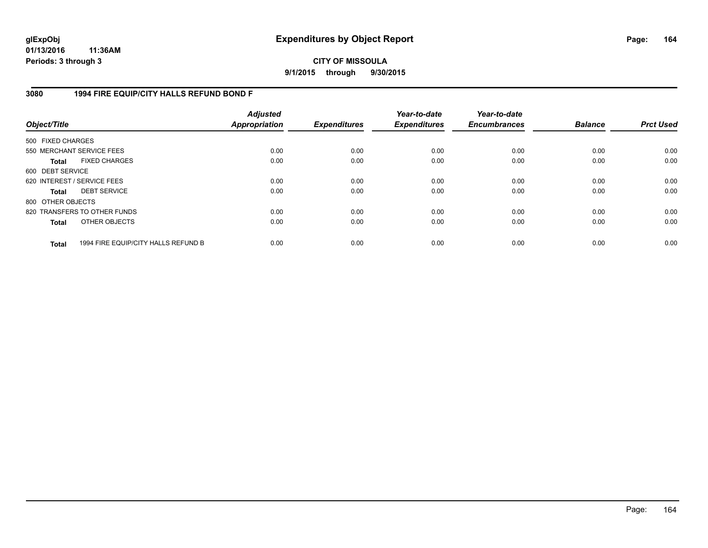## **CITY OF MISSOULA 9/1/2015 through 9/30/2015**

## **3080 1994 FIRE EQUIP/CITY HALLS REFUND BOND F**

| Object/Title                |                                     | <b>Adjusted</b><br><b>Appropriation</b> | <b>Expenditures</b> | Year-to-date<br><b>Expenditures</b> | Year-to-date<br><b>Encumbrances</b> | <b>Balance</b> | <b>Prct Used</b> |
|-----------------------------|-------------------------------------|-----------------------------------------|---------------------|-------------------------------------|-------------------------------------|----------------|------------------|
| 500 FIXED CHARGES           |                                     |                                         |                     |                                     |                                     |                |                  |
| 550 MERCHANT SERVICE FEES   |                                     | 0.00                                    | 0.00                | 0.00                                | 0.00                                | 0.00           | 0.00             |
| <b>Total</b>                | <b>FIXED CHARGES</b>                | 0.00                                    | 0.00                | 0.00                                | 0.00                                | 0.00           | 0.00             |
| 600 DEBT SERVICE            |                                     |                                         |                     |                                     |                                     |                |                  |
| 620 INTEREST / SERVICE FEES |                                     | 0.00                                    | 0.00                | 0.00                                | 0.00                                | 0.00           | 0.00             |
| <b>Total</b>                | <b>DEBT SERVICE</b>                 | 0.00                                    | 0.00                | 0.00                                | 0.00                                | 0.00           | 0.00             |
| 800 OTHER OBJECTS           |                                     |                                         |                     |                                     |                                     |                |                  |
|                             | 820 TRANSFERS TO OTHER FUNDS        | 0.00                                    | 0.00                | 0.00                                | 0.00                                | 0.00           | 0.00             |
| <b>Total</b>                | OTHER OBJECTS                       | 0.00                                    | 0.00                | 0.00                                | 0.00                                | 0.00           | 0.00             |
| <b>Total</b>                | 1994 FIRE EQUIP/CITY HALLS REFUND B | 0.00                                    | 0.00                | 0.00                                | 0.00                                | 0.00           | 0.00             |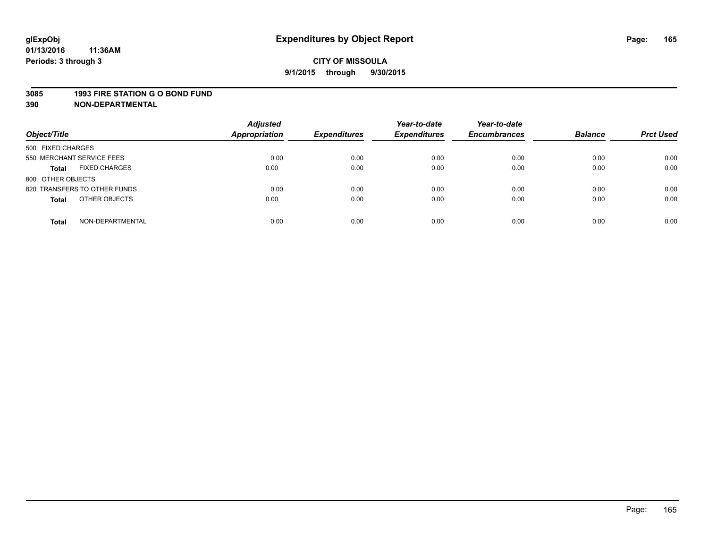#### **3085 1993 FIRE STATION G O BOND FUND**

| Object/Title                         | <b>Adjusted</b><br>Appropriation | <b>Expenditures</b> | Year-to-date<br><b>Expenditures</b> | Year-to-date<br><b>Encumbrances</b> | <b>Balance</b> | <b>Prct Used</b> |
|--------------------------------------|----------------------------------|---------------------|-------------------------------------|-------------------------------------|----------------|------------------|
| 500 FIXED CHARGES                    |                                  |                     |                                     |                                     |                |                  |
| 550 MERCHANT SERVICE FEES            | 0.00                             | 0.00                | 0.00                                | 0.00                                | 0.00           | 0.00             |
| <b>FIXED CHARGES</b><br><b>Total</b> | 0.00                             | 0.00                | 0.00                                | 0.00                                | 0.00           | 0.00             |
| 800 OTHER OBJECTS                    |                                  |                     |                                     |                                     |                |                  |
| 820 TRANSFERS TO OTHER FUNDS         | 0.00                             | 0.00                | 0.00                                | 0.00                                | 0.00           | 0.00             |
| OTHER OBJECTS<br><b>Total</b>        | 0.00                             | 0.00                | 0.00                                | 0.00                                | 0.00           | 0.00             |
| NON-DEPARTMENTAL<br><b>Total</b>     | 0.00                             | 0.00                | 0.00                                | 0.00                                | 0.00           | 0.00             |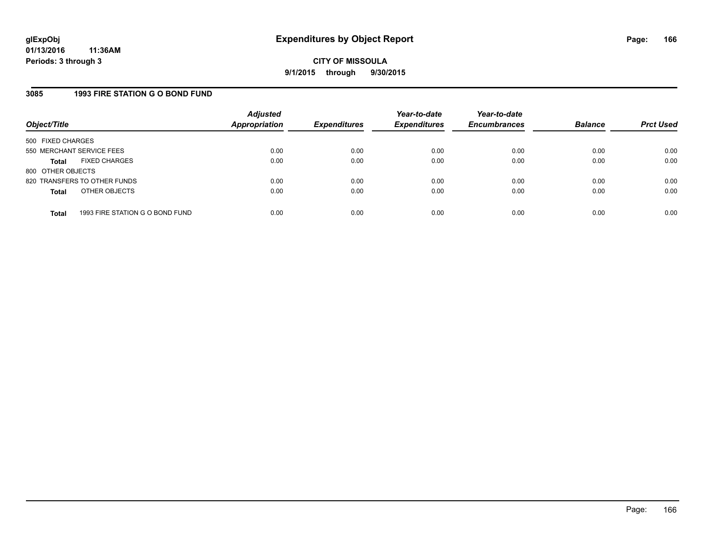## **3085 1993 FIRE STATION G O BOND FUND**

| Object/Title              |                                 | <b>Adjusted</b><br>Appropriation | <b>Expenditures</b> | Year-to-date<br><b>Expenditures</b> | Year-to-date<br><b>Encumbrances</b> | <b>Balance</b> | <b>Prct Used</b> |
|---------------------------|---------------------------------|----------------------------------|---------------------|-------------------------------------|-------------------------------------|----------------|------------------|
| 500 FIXED CHARGES         |                                 |                                  |                     |                                     |                                     |                |                  |
| 550 MERCHANT SERVICE FEES |                                 | 0.00                             | 0.00                | 0.00                                | 0.00                                | 0.00           | 0.00             |
| Total                     | <b>FIXED CHARGES</b>            | 0.00                             | 0.00                | 0.00                                | 0.00                                | 0.00           | 0.00             |
| 800 OTHER OBJECTS         |                                 |                                  |                     |                                     |                                     |                |                  |
|                           | 820 TRANSFERS TO OTHER FUNDS    | 0.00                             | 0.00                | 0.00                                | 0.00                                | 0.00           | 0.00             |
| <b>Total</b>              | OTHER OBJECTS                   | 0.00                             | 0.00                | 0.00                                | 0.00                                | 0.00           | 0.00             |
|                           |                                 |                                  |                     |                                     |                                     |                |                  |
| <b>Total</b>              | 1993 FIRE STATION G O BOND FUND | 0.00                             | 0.00                | 0.00                                | 0.00                                | 0.00           | 0.00             |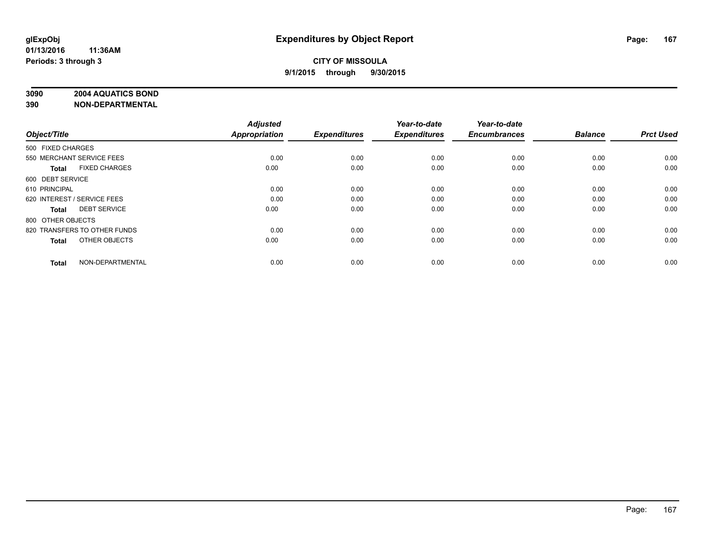## **3090 2004 AQUATICS BOND**

| Object/Title                         | <b>Adjusted</b><br><b>Appropriation</b> | <b>Expenditures</b> | Year-to-date<br><b>Expenditures</b> | Year-to-date<br><b>Encumbrances</b> | <b>Balance</b> | <b>Prct Used</b> |
|--------------------------------------|-----------------------------------------|---------------------|-------------------------------------|-------------------------------------|----------------|------------------|
| 500 FIXED CHARGES                    |                                         |                     |                                     |                                     |                |                  |
| 550 MERCHANT SERVICE FEES            | 0.00                                    | 0.00                | 0.00                                | 0.00                                | 0.00           | 0.00             |
| <b>FIXED CHARGES</b><br><b>Total</b> | 0.00                                    | 0.00                | 0.00                                | 0.00                                | 0.00           | 0.00             |
| 600 DEBT SERVICE                     |                                         |                     |                                     |                                     |                |                  |
| 610 PRINCIPAL                        | 0.00                                    | 0.00                | 0.00                                | 0.00                                | 0.00           | 0.00             |
| 620 INTEREST / SERVICE FEES          | 0.00                                    | 0.00                | 0.00                                | 0.00                                | 0.00           | 0.00             |
| <b>DEBT SERVICE</b><br><b>Total</b>  | 0.00                                    | 0.00                | 0.00                                | 0.00                                | 0.00           | 0.00             |
| 800 OTHER OBJECTS                    |                                         |                     |                                     |                                     |                |                  |
| 820 TRANSFERS TO OTHER FUNDS         | 0.00                                    | 0.00                | 0.00                                | 0.00                                | 0.00           | 0.00             |
| OTHER OBJECTS<br><b>Total</b>        | 0.00                                    | 0.00                | 0.00                                | 0.00                                | 0.00           | 0.00             |
|                                      |                                         |                     |                                     |                                     |                |                  |
| NON-DEPARTMENTAL<br><b>Total</b>     | 0.00                                    | 0.00                | 0.00                                | 0.00                                | 0.00           | 0.00             |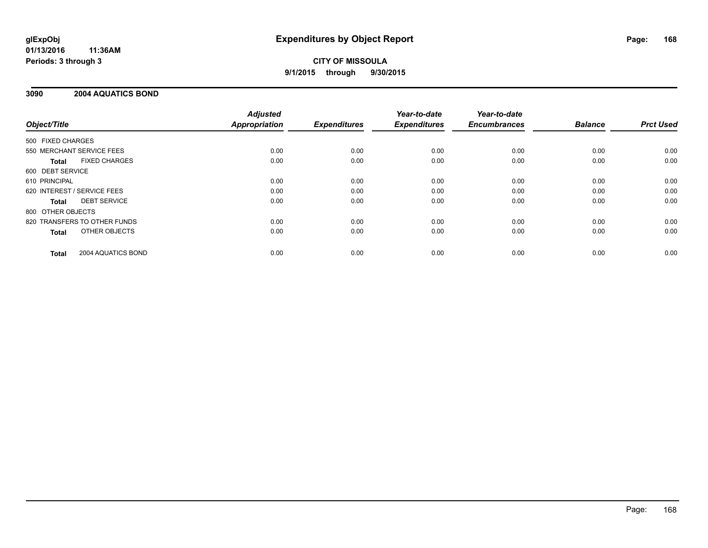# **CITY OF MISSOULA 9/1/2015 through 9/30/2015**

## **3090 2004 AQUATICS BOND**

|                                      | <b>Adjusted</b>      |                     | Year-to-date        | Year-to-date        |                |                  |
|--------------------------------------|----------------------|---------------------|---------------------|---------------------|----------------|------------------|
| Object/Title                         | <b>Appropriation</b> | <b>Expenditures</b> | <b>Expenditures</b> | <b>Encumbrances</b> | <b>Balance</b> | <b>Prct Used</b> |
| 500 FIXED CHARGES                    |                      |                     |                     |                     |                |                  |
| 550 MERCHANT SERVICE FEES            | 0.00                 | 0.00                | 0.00                | 0.00                | 0.00           | 0.00             |
| <b>FIXED CHARGES</b><br><b>Total</b> | 0.00                 | 0.00                | 0.00                | 0.00                | 0.00           | 0.00             |
| 600 DEBT SERVICE                     |                      |                     |                     |                     |                |                  |
| 610 PRINCIPAL                        | 0.00                 | 0.00                | 0.00                | 0.00                | 0.00           | 0.00             |
| 620 INTEREST / SERVICE FEES          | 0.00                 | 0.00                | 0.00                | 0.00                | 0.00           | 0.00             |
| <b>DEBT SERVICE</b><br><b>Total</b>  | 0.00                 | 0.00                | 0.00                | 0.00                | 0.00           | 0.00             |
| 800 OTHER OBJECTS                    |                      |                     |                     |                     |                |                  |
| 820 TRANSFERS TO OTHER FUNDS         | 0.00                 | 0.00                | 0.00                | 0.00                | 0.00           | 0.00             |
| OTHER OBJECTS<br><b>Total</b>        | 0.00                 | 0.00                | 0.00                | 0.00                | 0.00           | 0.00             |
| 2004 AQUATICS BOND<br><b>Total</b>   | 0.00                 | 0.00                | 0.00                | 0.00                | 0.00           | 0.00             |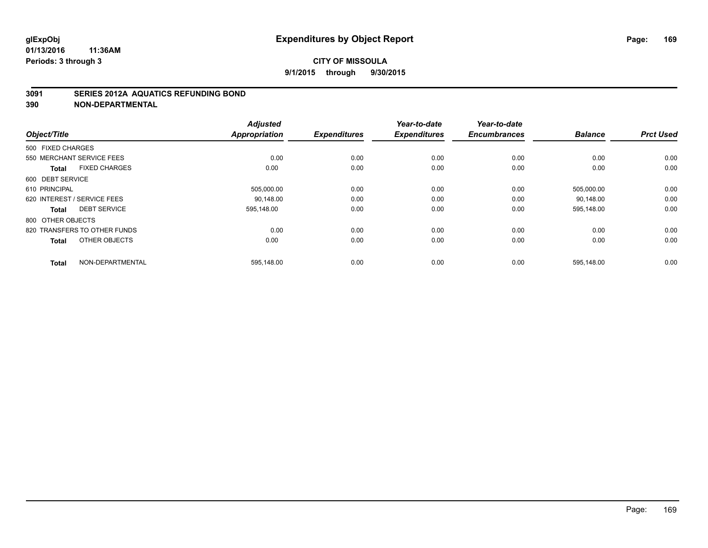#### **3091 SERIES 2012A AQUATICS REFUNDING BOND**

| Object/Title                         | <b>Adjusted</b><br><b>Appropriation</b> | <b>Expenditures</b> | Year-to-date<br><b>Expenditures</b> | Year-to-date<br><b>Encumbrances</b> | <b>Balance</b> | <b>Prct Used</b> |
|--------------------------------------|-----------------------------------------|---------------------|-------------------------------------|-------------------------------------|----------------|------------------|
| 500 FIXED CHARGES                    |                                         |                     |                                     |                                     |                |                  |
| 550 MERCHANT SERVICE FEES            | 0.00                                    | 0.00                | 0.00                                | 0.00                                | 0.00           | 0.00             |
| <b>FIXED CHARGES</b><br><b>Total</b> | 0.00                                    | 0.00                | 0.00                                | 0.00                                | 0.00           | 0.00             |
| 600 DEBT SERVICE                     |                                         |                     |                                     |                                     |                |                  |
| 610 PRINCIPAL                        | 505,000.00                              | 0.00                | 0.00                                | 0.00                                | 505,000.00     | 0.00             |
| 620 INTEREST / SERVICE FEES          | 90.148.00                               | 0.00                | 0.00                                | 0.00                                | 90.148.00      | 0.00             |
| <b>DEBT SERVICE</b><br><b>Total</b>  | 595,148.00                              | 0.00                | 0.00                                | 0.00                                | 595,148.00     | 0.00             |
| 800 OTHER OBJECTS                    |                                         |                     |                                     |                                     |                |                  |
| 820 TRANSFERS TO OTHER FUNDS         | 0.00                                    | 0.00                | 0.00                                | 0.00                                | 0.00           | 0.00             |
| OTHER OBJECTS<br><b>Total</b>        | 0.00                                    | 0.00                | 0.00                                | 0.00                                | 0.00           | 0.00             |
| NON-DEPARTMENTAL<br><b>Total</b>     | 595,148.00                              | 0.00                | 0.00                                | 0.00                                | 595,148.00     | 0.00             |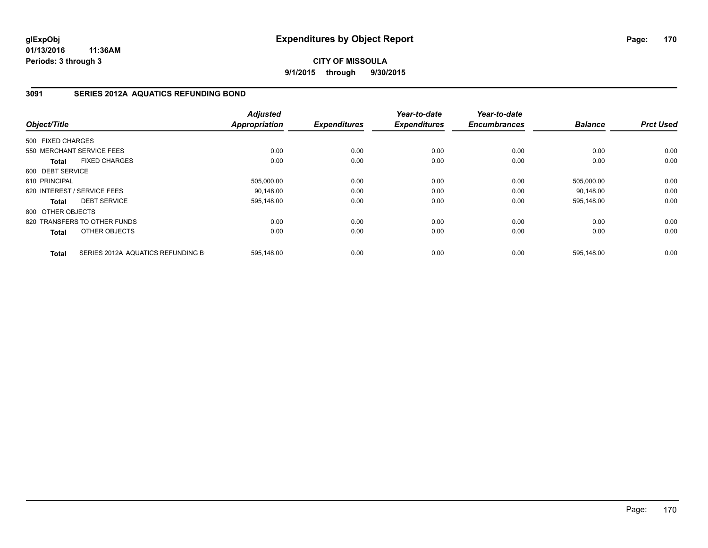## **CITY OF MISSOULA 9/1/2015 through 9/30/2015**

# **3091 SERIES 2012A AQUATICS REFUNDING BOND**

| Object/Title      |                                   | <b>Adjusted</b><br><b>Appropriation</b> | <b>Expenditures</b> | Year-to-date<br><b>Expenditures</b> | Year-to-date<br><b>Encumbrances</b> | <b>Balance</b> | <b>Prct Used</b> |
|-------------------|-----------------------------------|-----------------------------------------|---------------------|-------------------------------------|-------------------------------------|----------------|------------------|
| 500 FIXED CHARGES |                                   |                                         |                     |                                     |                                     |                |                  |
|                   |                                   |                                         |                     |                                     |                                     |                |                  |
|                   | 550 MERCHANT SERVICE FEES         | 0.00                                    | 0.00                | 0.00                                | 0.00                                | 0.00           | 0.00             |
| <b>Total</b>      | <b>FIXED CHARGES</b>              | 0.00                                    | 0.00                | 0.00                                | 0.00                                | 0.00           | 0.00             |
| 600 DEBT SERVICE  |                                   |                                         |                     |                                     |                                     |                |                  |
| 610 PRINCIPAL     |                                   | 505,000.00                              | 0.00                | 0.00                                | 0.00                                | 505,000.00     | 0.00             |
|                   | 620 INTEREST / SERVICE FEES       | 90.148.00                               | 0.00                | 0.00                                | 0.00                                | 90.148.00      | 0.00             |
| <b>Total</b>      | <b>DEBT SERVICE</b>               | 595,148.00                              | 0.00                | 0.00                                | 0.00                                | 595,148.00     | 0.00             |
| 800 OTHER OBJECTS |                                   |                                         |                     |                                     |                                     |                |                  |
|                   | 820 TRANSFERS TO OTHER FUNDS      | 0.00                                    | 0.00                | 0.00                                | 0.00                                | 0.00           | 0.00             |
| Total             | OTHER OBJECTS                     | 0.00                                    | 0.00                | 0.00                                | 0.00                                | 0.00           | 0.00             |
| <b>Total</b>      | SERIES 2012A AQUATICS REFUNDING B | 595,148.00                              | 0.00                | 0.00                                | 0.00                                | 595,148.00     | 0.00             |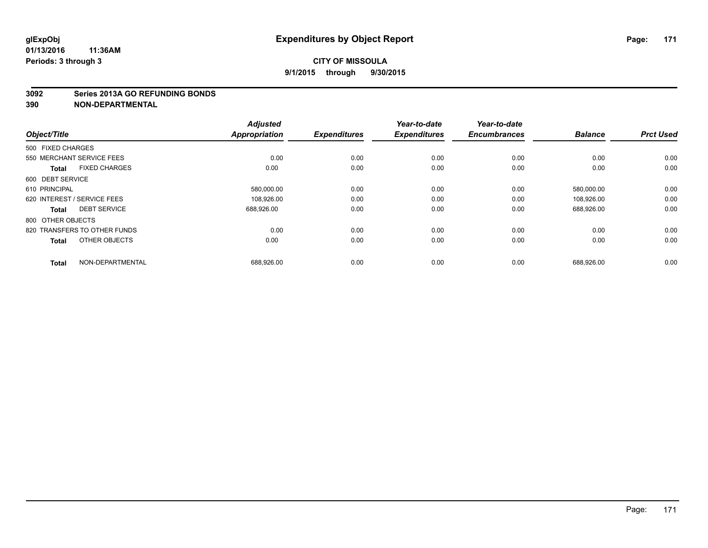#### **3092 Series 2013A GO REFUNDING BONDS**

|                              | <b>Adjusted</b><br><b>Appropriation</b> | <b>Expenditures</b> | Year-to-date<br><b>Expenditures</b> | Year-to-date<br><b>Encumbrances</b> | <b>Balance</b> | <b>Prct Used</b> |
|------------------------------|-----------------------------------------|---------------------|-------------------------------------|-------------------------------------|----------------|------------------|
| 500 FIXED CHARGES            |                                         |                     |                                     |                                     |                |                  |
| 550 MERCHANT SERVICE FEES    | 0.00                                    | 0.00                | 0.00                                | 0.00                                | 0.00           | 0.00             |
| <b>FIXED CHARGES</b>         | 0.00                                    | 0.00                | 0.00                                | 0.00                                | 0.00           | 0.00             |
| 600 DEBT SERVICE             |                                         |                     |                                     |                                     |                |                  |
| 610 PRINCIPAL                | 580,000.00                              | 0.00                | 0.00                                | 0.00                                | 580,000.00     | 0.00             |
| 620 INTEREST / SERVICE FEES  | 108,926.00                              | 0.00                | 0.00                                | 0.00                                | 108.926.00     | 0.00             |
| <b>DEBT SERVICE</b>          | 688,926.00                              | 0.00                | 0.00                                | 0.00                                | 688,926.00     | 0.00             |
| 800 OTHER OBJECTS            |                                         |                     |                                     |                                     |                |                  |
| 820 TRANSFERS TO OTHER FUNDS | 0.00                                    | 0.00                | 0.00                                | 0.00                                | 0.00           | 0.00             |
| OTHER OBJECTS                | 0.00                                    | 0.00                | 0.00                                | 0.00                                | 0.00           | 0.00             |
| NON-DEPARTMENTAL             |                                         |                     |                                     |                                     |                | 0.00             |
|                              |                                         | 688,926.00          | 0.00                                | 0.00                                | 0.00           | 688,926.00       |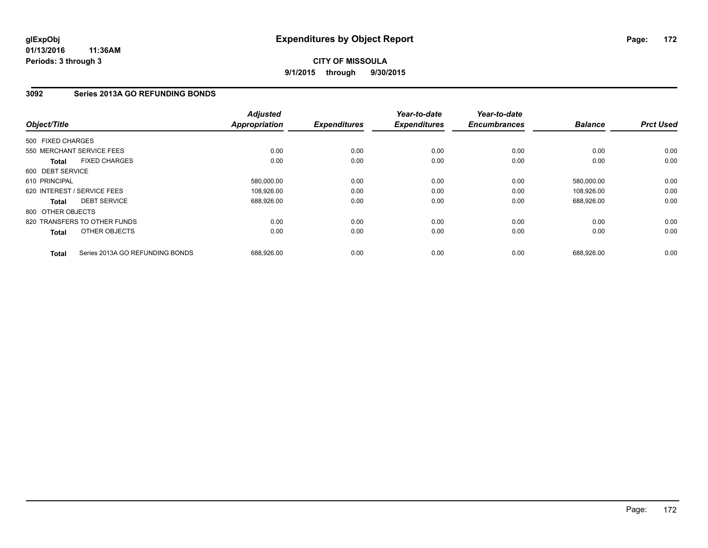## **CITY OF MISSOULA 9/1/2015 through 9/30/2015**

## **3092 Series 2013A GO REFUNDING BONDS**

| Object/Title                |                                 | <b>Adjusted</b><br><b>Appropriation</b> | <b>Expenditures</b> | Year-to-date<br><b>Expenditures</b> | Year-to-date<br><b>Encumbrances</b> | <b>Balance</b> | <b>Prct Used</b> |
|-----------------------------|---------------------------------|-----------------------------------------|---------------------|-------------------------------------|-------------------------------------|----------------|------------------|
| 500 FIXED CHARGES           |                                 |                                         |                     |                                     |                                     |                |                  |
| 550 MERCHANT SERVICE FEES   |                                 | 0.00                                    | 0.00                | 0.00                                | 0.00                                | 0.00           | 0.00             |
| <b>Total</b>                | <b>FIXED CHARGES</b>            | 0.00                                    | 0.00                | 0.00                                | 0.00                                | 0.00           | 0.00             |
| 600 DEBT SERVICE            |                                 |                                         |                     |                                     |                                     |                |                  |
| 610 PRINCIPAL               |                                 | 580,000.00                              | 0.00                | 0.00                                | 0.00                                | 580,000.00     | 0.00             |
| 620 INTEREST / SERVICE FEES |                                 | 108,926.00                              | 0.00                | 0.00                                | 0.00                                | 108.926.00     | 0.00             |
| <b>Total</b>                | <b>DEBT SERVICE</b>             | 688,926.00                              | 0.00                | 0.00                                | 0.00                                | 688,926.00     | 0.00             |
| 800 OTHER OBJECTS           |                                 |                                         |                     |                                     |                                     |                |                  |
|                             | 820 TRANSFERS TO OTHER FUNDS    | 0.00                                    | 0.00                | 0.00                                | 0.00                                | 0.00           | 0.00             |
| <b>Total</b>                | OTHER OBJECTS                   | 0.00                                    | 0.00                | 0.00                                | 0.00                                | 0.00           | 0.00             |
| <b>Total</b>                | Series 2013A GO REFUNDING BONDS | 688,926.00                              | 0.00                | 0.00                                | 0.00                                | 688,926.00     | 0.00             |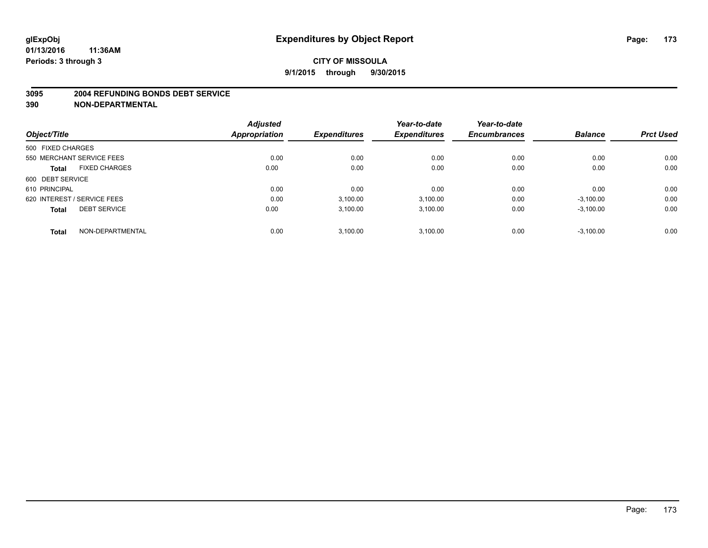#### **3095 2004 REFUNDING BONDS DEBT SERVICE**

|                                      | <b>Adjusted</b> |                     | Year-to-date        | Year-to-date        |                |                  |
|--------------------------------------|-----------------|---------------------|---------------------|---------------------|----------------|------------------|
| Object/Title                         | Appropriation   | <b>Expenditures</b> | <b>Expenditures</b> | <b>Encumbrances</b> | <b>Balance</b> | <b>Prct Used</b> |
| 500 FIXED CHARGES                    |                 |                     |                     |                     |                |                  |
| 550 MERCHANT SERVICE FEES            | 0.00            | 0.00                | 0.00                | 0.00                | 0.00           | 0.00             |
| <b>FIXED CHARGES</b><br><b>Total</b> | 0.00            | 0.00                | 0.00                | 0.00                | 0.00           | 0.00             |
| 600 DEBT SERVICE                     |                 |                     |                     |                     |                |                  |
| 610 PRINCIPAL                        | 0.00            | 0.00                | 0.00                | 0.00                | 0.00           | 0.00             |
| 620 INTEREST / SERVICE FEES          | 0.00            | 3,100.00            | 3,100.00            | 0.00                | $-3,100.00$    | 0.00             |
| <b>DEBT SERVICE</b><br><b>Total</b>  | 0.00            | 3.100.00            | 3,100.00            | 0.00                | $-3,100.00$    | 0.00             |
| NON-DEPARTMENTAL<br><b>Total</b>     | 0.00            | 3.100.00            | 3.100.00            | 0.00                | $-3,100.00$    | 0.00             |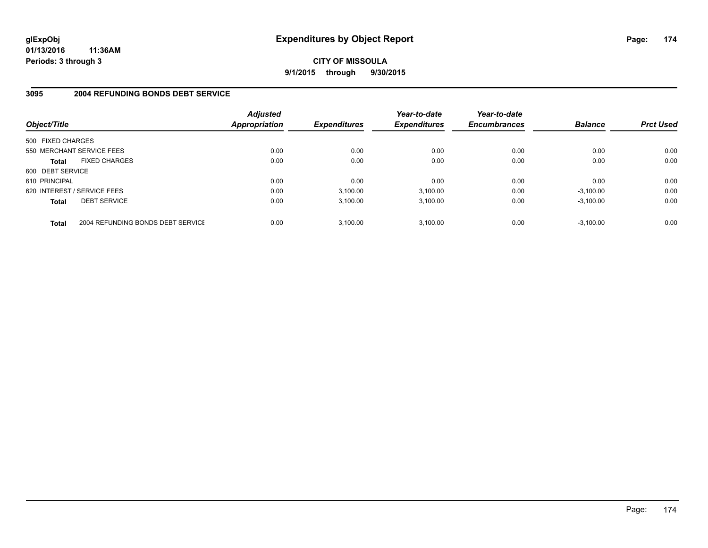**CITY OF MISSOULA 9/1/2015 through 9/30/2015**

#### **3095 2004 REFUNDING BONDS DEBT SERVICE**

| Object/Title                |                                   | <b>Adjusted</b><br><b>Appropriation</b> | <b>Expenditures</b> | Year-to-date<br><b>Expenditures</b> | Year-to-date<br><b>Encumbrances</b> | <b>Balance</b> | <b>Prct Used</b> |
|-----------------------------|-----------------------------------|-----------------------------------------|---------------------|-------------------------------------|-------------------------------------|----------------|------------------|
| 500 FIXED CHARGES           |                                   |                                         |                     |                                     |                                     |                |                  |
| 550 MERCHANT SERVICE FEES   |                                   | 0.00                                    | 0.00                | 0.00                                | 0.00                                | 0.00           | 0.00             |
| <b>Total</b>                | <b>FIXED CHARGES</b>              | 0.00                                    | 0.00                | 0.00                                | 0.00                                | 0.00           | 0.00             |
| 600 DEBT SERVICE            |                                   |                                         |                     |                                     |                                     |                |                  |
| 610 PRINCIPAL               |                                   | 0.00                                    | 0.00                | 0.00                                | 0.00                                | 0.00           | 0.00             |
| 620 INTEREST / SERVICE FEES |                                   | 0.00                                    | 3,100.00            | 3,100.00                            | 0.00                                | $-3,100.00$    | 0.00             |
| <b>Total</b>                | <b>DEBT SERVICE</b>               | 0.00                                    | 3.100.00            | 3.100.00                            | 0.00                                | $-3.100.00$    | 0.00             |
| <b>Total</b>                | 2004 REFUNDING BONDS DEBT SERVICE | 0.00                                    | 3.100.00            | 3.100.00                            | 0.00                                | $-3.100.00$    | 0.00             |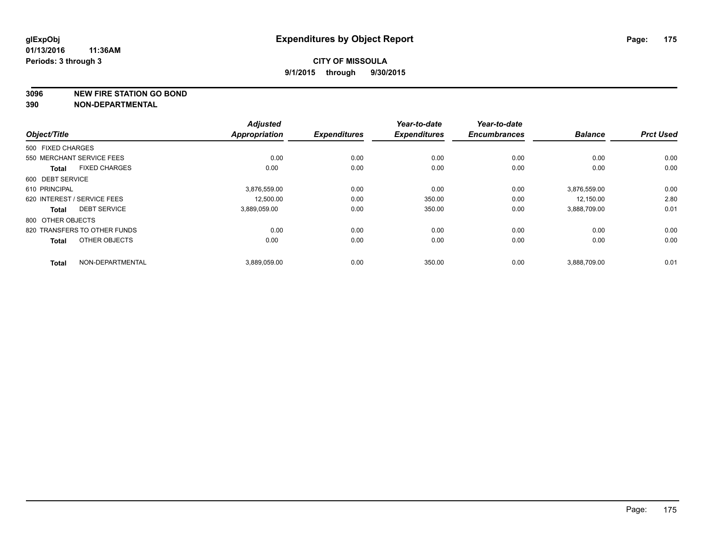**3096 NEW FIRE STATION GO BOND**

|                                      | <b>Adjusted</b>      |                     | Year-to-date        | Year-to-date        |                |                  |
|--------------------------------------|----------------------|---------------------|---------------------|---------------------|----------------|------------------|
| Object/Title                         | <b>Appropriation</b> | <b>Expenditures</b> | <b>Expenditures</b> | <b>Encumbrances</b> | <b>Balance</b> | <b>Prct Used</b> |
| 500 FIXED CHARGES                    |                      |                     |                     |                     |                |                  |
| 550 MERCHANT SERVICE FEES            | 0.00                 | 0.00                | 0.00                | 0.00                | 0.00           | 0.00             |
| <b>FIXED CHARGES</b><br><b>Total</b> | 0.00                 | 0.00                | 0.00                | 0.00                | 0.00           | 0.00             |
| 600 DEBT SERVICE                     |                      |                     |                     |                     |                |                  |
| 610 PRINCIPAL                        | 3,876,559.00         | 0.00                | 0.00                | 0.00                | 3,876,559.00   | 0.00             |
| 620 INTEREST / SERVICE FEES          | 12,500.00            | 0.00                | 350.00              | 0.00                | 12.150.00      | 2.80             |
| <b>DEBT SERVICE</b><br><b>Total</b>  | 3.889.059.00         | 0.00                | 350.00              | 0.00                | 3,888,709.00   | 0.01             |
| 800 OTHER OBJECTS                    |                      |                     |                     |                     |                |                  |
| 820 TRANSFERS TO OTHER FUNDS         | 0.00                 | 0.00                | 0.00                | 0.00                | 0.00           | 0.00             |
| OTHER OBJECTS<br><b>Total</b>        | 0.00                 | 0.00                | 0.00                | 0.00                | 0.00           | 0.00             |
|                                      |                      |                     |                     |                     |                |                  |
| NON-DEPARTMENTAL<br><b>Total</b>     | 3,889,059.00         | 0.00                | 350.00              | 0.00                | 3,888,709.00   | 0.01             |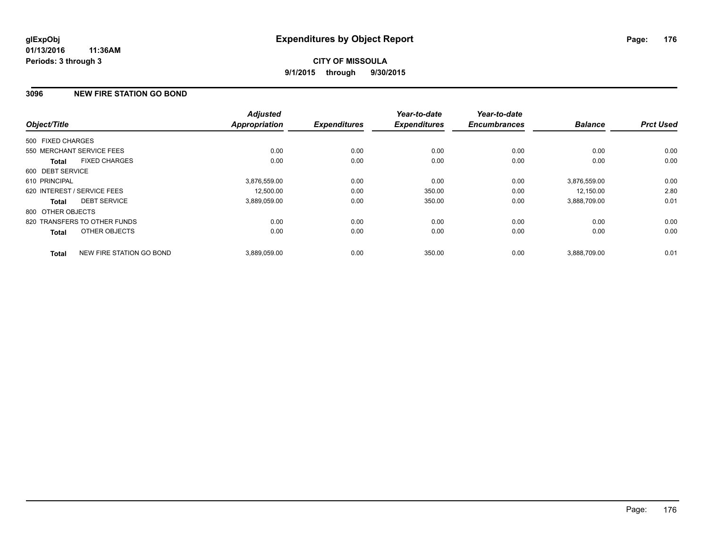## **3096 NEW FIRE STATION GO BOND**

| Object/Title      |                              | <b>Adjusted</b><br><b>Appropriation</b> | <b>Expenditures</b> | Year-to-date<br><b>Expenditures</b> | Year-to-date<br><b>Encumbrances</b> | <b>Balance</b> | <b>Prct Used</b> |
|-------------------|------------------------------|-----------------------------------------|---------------------|-------------------------------------|-------------------------------------|----------------|------------------|
| 500 FIXED CHARGES |                              |                                         |                     |                                     |                                     |                |                  |
|                   |                              |                                         |                     |                                     |                                     |                |                  |
|                   | 550 MERCHANT SERVICE FEES    | 0.00                                    | 0.00                | 0.00                                | 0.00                                | 0.00           | 0.00             |
| <b>Total</b>      | <b>FIXED CHARGES</b>         | 0.00                                    | 0.00                | 0.00                                | 0.00                                | 0.00           | 0.00             |
| 600 DEBT SERVICE  |                              |                                         |                     |                                     |                                     |                |                  |
| 610 PRINCIPAL     |                              | 3,876,559.00                            | 0.00                | 0.00                                | 0.00                                | 3,876,559.00   | 0.00             |
|                   | 620 INTEREST / SERVICE FEES  | 12,500.00                               | 0.00                | 350.00                              | 0.00                                | 12,150.00      | 2.80             |
| <b>Total</b>      | <b>DEBT SERVICE</b>          | 3,889,059.00                            | 0.00                | 350.00                              | 0.00                                | 3,888,709.00   | 0.01             |
| 800 OTHER OBJECTS |                              |                                         |                     |                                     |                                     |                |                  |
|                   | 820 TRANSFERS TO OTHER FUNDS | 0.00                                    | 0.00                | 0.00                                | 0.00                                | 0.00           | 0.00             |
| Total             | OTHER OBJECTS                | 0.00                                    | 0.00                | 0.00                                | 0.00                                | 0.00           | 0.00             |
| <b>Total</b>      | NEW FIRE STATION GO BOND     | 3,889,059.00                            | 0.00                | 350.00                              | 0.00                                | 3,888,709.00   | 0.01             |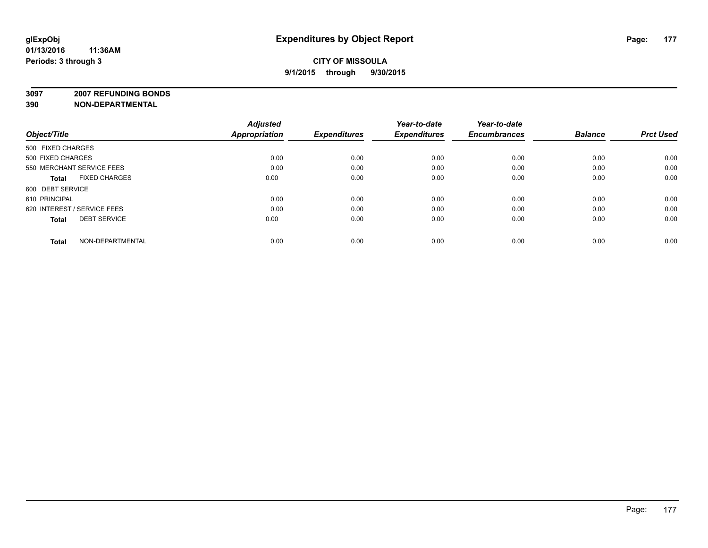**3097 2007 REFUNDING BONDS**

| Object/Title                         | <b>Adjusted</b><br><b>Appropriation</b> | <b>Expenditures</b> | Year-to-date<br><b>Expenditures</b> | Year-to-date<br><b>Encumbrances</b> | <b>Balance</b> | <b>Prct Used</b> |
|--------------------------------------|-----------------------------------------|---------------------|-------------------------------------|-------------------------------------|----------------|------------------|
| 500 FIXED CHARGES                    |                                         |                     |                                     |                                     |                |                  |
| 500 FIXED CHARGES                    | 0.00                                    | 0.00                | 0.00                                | 0.00                                | 0.00           | 0.00             |
| 550 MERCHANT SERVICE FEES            | 0.00                                    | 0.00                | 0.00                                | 0.00                                | 0.00           | 0.00             |
| <b>FIXED CHARGES</b><br><b>Total</b> | 0.00                                    | 0.00                | 0.00                                | 0.00                                | 0.00           | 0.00             |
| 600 DEBT SERVICE                     |                                         |                     |                                     |                                     |                |                  |
| 610 PRINCIPAL                        | 0.00                                    | 0.00                | 0.00                                | 0.00                                | 0.00           | 0.00             |
| 620 INTEREST / SERVICE FEES          | 0.00                                    | 0.00                | 0.00                                | 0.00                                | 0.00           | 0.00             |
| <b>DEBT SERVICE</b><br><b>Total</b>  | 0.00                                    | 0.00                | 0.00                                | 0.00                                | 0.00           | 0.00             |
| NON-DEPARTMENTAL<br><b>Total</b>     | 0.00                                    | 0.00                | 0.00                                | 0.00                                | 0.00           | 0.00             |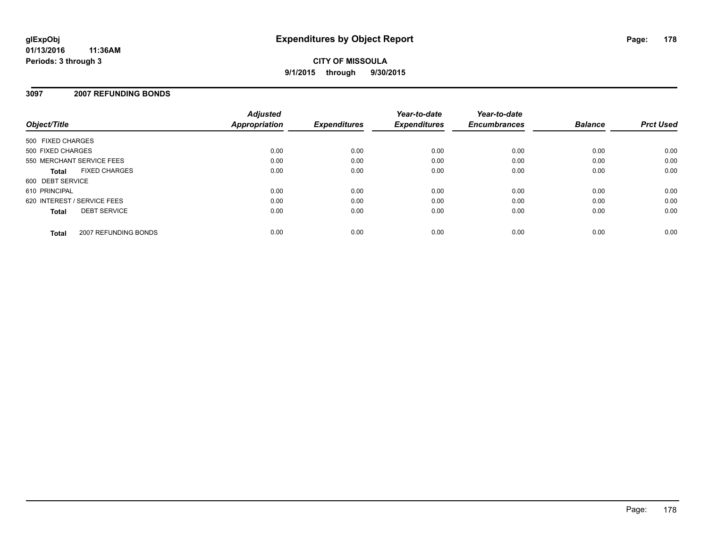#### **3097 2007 REFUNDING BONDS**

| Object/Title                         | <b>Adjusted</b><br>Appropriation | <b>Expenditures</b> | Year-to-date<br><b>Expenditures</b> | Year-to-date<br><b>Encumbrances</b> | <b>Balance</b> | <b>Prct Used</b> |
|--------------------------------------|----------------------------------|---------------------|-------------------------------------|-------------------------------------|----------------|------------------|
| 500 FIXED CHARGES                    |                                  |                     |                                     |                                     |                |                  |
| 500 FIXED CHARGES                    | 0.00                             | 0.00                | 0.00                                | 0.00                                | 0.00           | 0.00             |
| 550 MERCHANT SERVICE FEES            | 0.00                             | 0.00                | 0.00                                | 0.00                                | 0.00           | 0.00             |
| <b>FIXED CHARGES</b><br><b>Total</b> | 0.00                             | 0.00                | 0.00                                | 0.00                                | 0.00           | 0.00             |
| 600 DEBT SERVICE                     |                                  |                     |                                     |                                     |                |                  |
| 610 PRINCIPAL                        | 0.00                             | 0.00                | 0.00                                | 0.00                                | 0.00           | 0.00             |
| 620 INTEREST / SERVICE FEES          | 0.00                             | 0.00                | 0.00                                | 0.00                                | 0.00           | 0.00             |
| <b>DEBT SERVICE</b><br><b>Total</b>  | 0.00                             | 0.00                | 0.00                                | 0.00                                | 0.00           | 0.00             |
| 2007 REFUNDING BONDS<br><b>Total</b> | 0.00                             | 0.00                | 0.00                                | 0.00                                | 0.00           | 0.00             |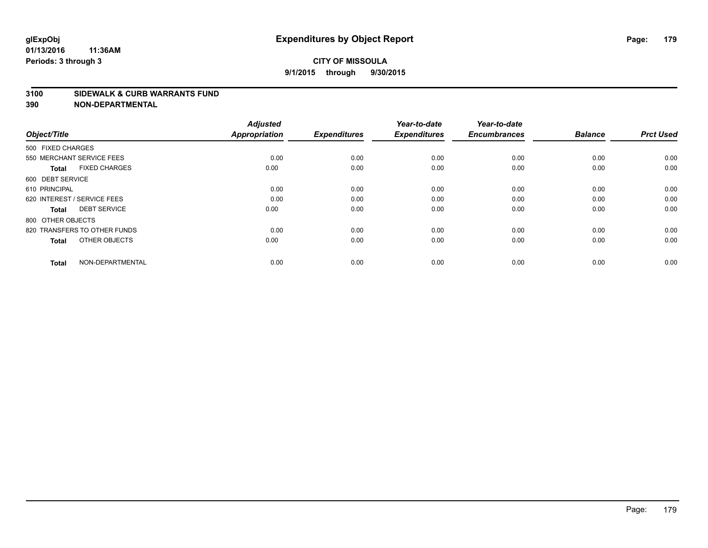#### **3100 SIDEWALK & CURB WARRANTS FUND**

| Object/Title                         | <b>Adjusted</b><br><b>Appropriation</b> | <b>Expenditures</b> | Year-to-date<br><b>Expenditures</b> | Year-to-date<br><b>Encumbrances</b> | <b>Balance</b> | <b>Prct Used</b> |
|--------------------------------------|-----------------------------------------|---------------------|-------------------------------------|-------------------------------------|----------------|------------------|
| 500 FIXED CHARGES                    |                                         |                     |                                     |                                     |                |                  |
| 550 MERCHANT SERVICE FEES            | 0.00                                    | 0.00                | 0.00                                | 0.00                                | 0.00           | 0.00             |
| <b>FIXED CHARGES</b><br><b>Total</b> | 0.00                                    | 0.00                | 0.00                                | 0.00                                | 0.00           | 0.00             |
| 600 DEBT SERVICE                     |                                         |                     |                                     |                                     |                |                  |
| 610 PRINCIPAL                        | 0.00                                    | 0.00                | 0.00                                | 0.00                                | 0.00           | 0.00             |
| 620 INTEREST / SERVICE FEES          | 0.00                                    | 0.00                | 0.00                                | 0.00                                | 0.00           | 0.00             |
| <b>DEBT SERVICE</b><br><b>Total</b>  | 0.00                                    | 0.00                | 0.00                                | 0.00                                | 0.00           | 0.00             |
| 800 OTHER OBJECTS                    |                                         |                     |                                     |                                     |                |                  |
| 820 TRANSFERS TO OTHER FUNDS         | 0.00                                    | 0.00                | 0.00                                | 0.00                                | 0.00           | 0.00             |
| OTHER OBJECTS<br><b>Total</b>        | 0.00                                    | 0.00                | 0.00                                | 0.00                                | 0.00           | 0.00             |
|                                      |                                         |                     |                                     |                                     |                |                  |
| NON-DEPARTMENTAL<br><b>Total</b>     | 0.00                                    | 0.00                | 0.00                                | 0.00                                | 0.00           | 0.00             |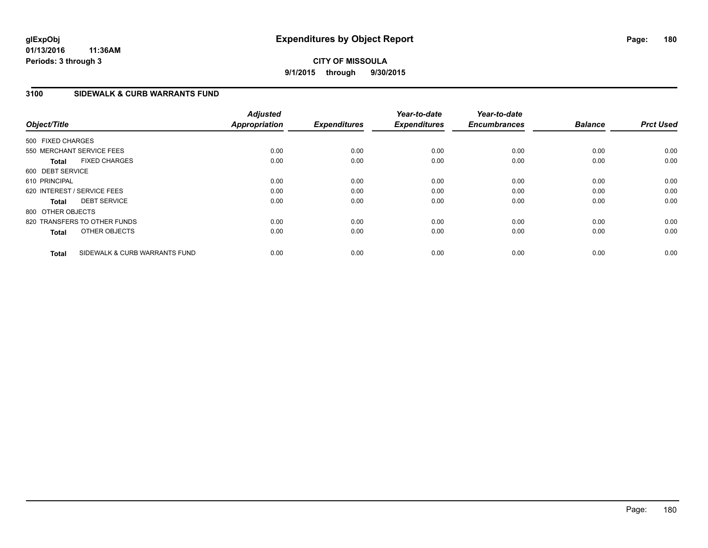## **CITY OF MISSOULA 9/1/2015 through 9/30/2015**

## **3100 SIDEWALK & CURB WARRANTS FUND**

| Object/Title                |                               | <b>Adjusted</b><br><b>Appropriation</b> | <b>Expenditures</b> | Year-to-date<br><b>Expenditures</b> | Year-to-date<br><b>Encumbrances</b> | <b>Balance</b> | <b>Prct Used</b> |
|-----------------------------|-------------------------------|-----------------------------------------|---------------------|-------------------------------------|-------------------------------------|----------------|------------------|
| 500 FIXED CHARGES           |                               |                                         |                     |                                     |                                     |                |                  |
| 550 MERCHANT SERVICE FEES   |                               | 0.00                                    | 0.00                | 0.00                                | 0.00                                | 0.00           | 0.00             |
| <b>Total</b>                | <b>FIXED CHARGES</b>          | 0.00                                    | 0.00                | 0.00                                | 0.00                                | 0.00           | 0.00             |
| 600 DEBT SERVICE            |                               |                                         |                     |                                     |                                     |                |                  |
| 610 PRINCIPAL               |                               | 0.00                                    | 0.00                | 0.00                                | 0.00                                | 0.00           | 0.00             |
| 620 INTEREST / SERVICE FEES |                               | 0.00                                    | 0.00                | 0.00                                | 0.00                                | 0.00           | 0.00             |
| <b>Total</b>                | <b>DEBT SERVICE</b>           | 0.00                                    | 0.00                | 0.00                                | 0.00                                | 0.00           | 0.00             |
| 800 OTHER OBJECTS           |                               |                                         |                     |                                     |                                     |                |                  |
|                             | 820 TRANSFERS TO OTHER FUNDS  | 0.00                                    | 0.00                | 0.00                                | 0.00                                | 0.00           | 0.00             |
| <b>Total</b>                | OTHER OBJECTS                 | 0.00                                    | 0.00                | 0.00                                | 0.00                                | 0.00           | 0.00             |
| <b>Total</b>                | SIDEWALK & CURB WARRANTS FUND | 0.00                                    | 0.00                | 0.00                                | 0.00                                | 0.00           | 0.00             |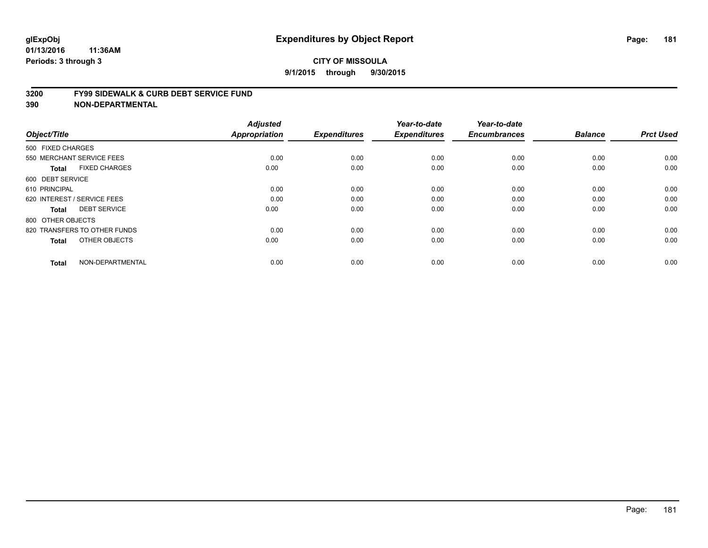#### **3200 FY99 SIDEWALK & CURB DEBT SERVICE FUND**

| Object/Title                         | <b>Adjusted</b><br>Appropriation | <b>Expenditures</b> | Year-to-date<br><b>Expenditures</b> | Year-to-date<br><b>Encumbrances</b> | <b>Balance</b> | <b>Prct Used</b> |
|--------------------------------------|----------------------------------|---------------------|-------------------------------------|-------------------------------------|----------------|------------------|
|                                      |                                  |                     |                                     |                                     |                |                  |
| 500 FIXED CHARGES                    |                                  |                     |                                     |                                     |                |                  |
| 550 MERCHANT SERVICE FEES            | 0.00                             | 0.00                | 0.00                                | 0.00                                | 0.00           | 0.00             |
| <b>FIXED CHARGES</b><br><b>Total</b> | 0.00                             | 0.00                | 0.00                                | 0.00                                | 0.00           | 0.00             |
| 600 DEBT SERVICE                     |                                  |                     |                                     |                                     |                |                  |
| 610 PRINCIPAL                        | 0.00                             | 0.00                | 0.00                                | 0.00                                | 0.00           | 0.00             |
| 620 INTEREST / SERVICE FEES          | 0.00                             | 0.00                | 0.00                                | 0.00                                | 0.00           | 0.00             |
| <b>DEBT SERVICE</b><br><b>Total</b>  | 0.00                             | 0.00                | 0.00                                | 0.00                                | 0.00           | 0.00             |
| 800 OTHER OBJECTS                    |                                  |                     |                                     |                                     |                |                  |
| 820 TRANSFERS TO OTHER FUNDS         | 0.00                             | 0.00                | 0.00                                | 0.00                                | 0.00           | 0.00             |
| OTHER OBJECTS<br><b>Total</b>        | 0.00                             | 0.00                | 0.00                                | 0.00                                | 0.00           | 0.00             |
|                                      |                                  |                     |                                     |                                     |                |                  |
| NON-DEPARTMENTAL<br><b>Total</b>     | 0.00                             | 0.00                | 0.00                                | 0.00                                | 0.00           | 0.00             |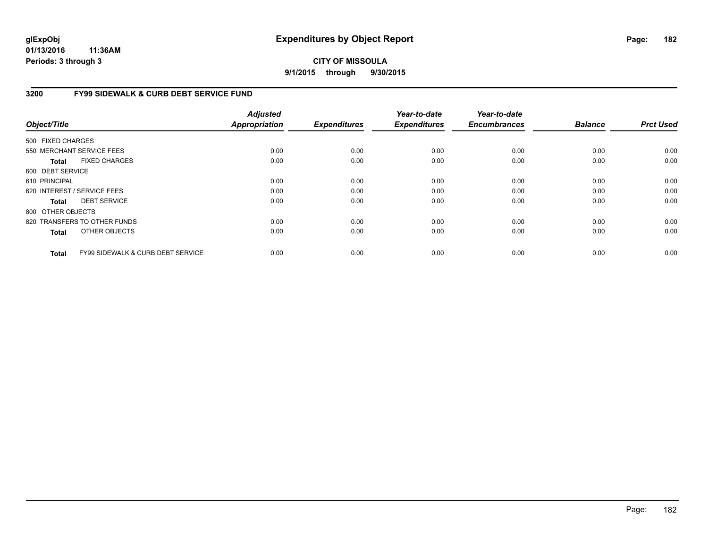# **CITY OF MISSOULA 9/1/2015 through 9/30/2015**

# **3200 FY99 SIDEWALK & CURB DEBT SERVICE FUND**

| Object/Title      |                                              | <b>Adjusted</b><br><b>Appropriation</b> | <b>Expenditures</b> | Year-to-date<br><b>Expenditures</b> | Year-to-date<br><b>Encumbrances</b> | <b>Balance</b> | <b>Prct Used</b> |
|-------------------|----------------------------------------------|-----------------------------------------|---------------------|-------------------------------------|-------------------------------------|----------------|------------------|
| 500 FIXED CHARGES |                                              |                                         |                     |                                     |                                     |                |                  |
|                   | 550 MERCHANT SERVICE FEES                    | 0.00                                    | 0.00                | 0.00                                | 0.00                                | 0.00           | 0.00             |
| Total             | <b>FIXED CHARGES</b>                         | 0.00                                    | 0.00                | 0.00                                | 0.00                                | 0.00           | 0.00             |
| 600 DEBT SERVICE  |                                              |                                         |                     |                                     |                                     |                |                  |
| 610 PRINCIPAL     |                                              | 0.00                                    | 0.00                | 0.00                                | 0.00                                | 0.00           | 0.00             |
|                   | 620 INTEREST / SERVICE FEES                  | 0.00                                    | 0.00                | 0.00                                | 0.00                                | 0.00           | 0.00             |
| Total             | <b>DEBT SERVICE</b>                          | 0.00                                    | 0.00                | 0.00                                | 0.00                                | 0.00           | 0.00             |
| 800 OTHER OBJECTS |                                              |                                         |                     |                                     |                                     |                |                  |
|                   | 820 TRANSFERS TO OTHER FUNDS                 | 0.00                                    | 0.00                | 0.00                                | 0.00                                | 0.00           | 0.00             |
| <b>Total</b>      | OTHER OBJECTS                                | 0.00                                    | 0.00                | 0.00                                | 0.00                                | 0.00           | 0.00             |
| <b>Total</b>      | <b>FY99 SIDEWALK &amp; CURB DEBT SERVICE</b> | 0.00                                    | 0.00                | 0.00                                | 0.00                                | 0.00           | 0.00             |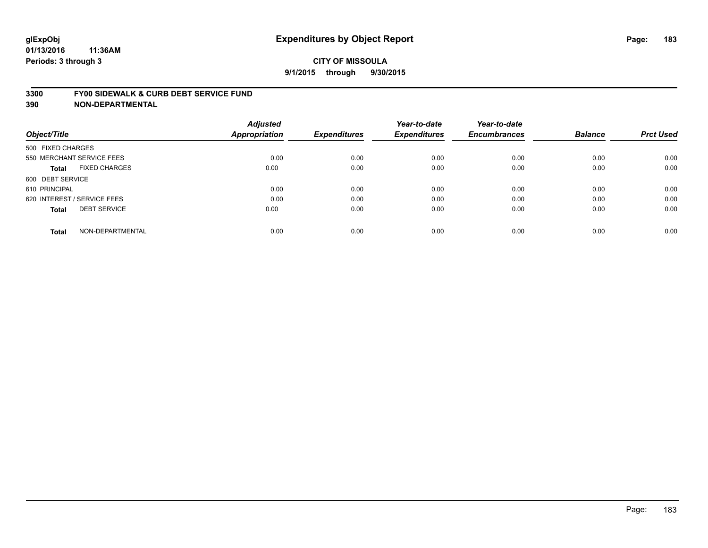#### **3300 FY00 SIDEWALK & CURB DEBT SERVICE FUND**

| Object/Title                         | <b>Adjusted</b><br>Appropriation | <b>Expenditures</b> | Year-to-date<br><b>Expenditures</b> | Year-to-date<br><b>Encumbrances</b> | <b>Balance</b> | <b>Prct Used</b> |
|--------------------------------------|----------------------------------|---------------------|-------------------------------------|-------------------------------------|----------------|------------------|
| 500 FIXED CHARGES                    |                                  |                     |                                     |                                     |                |                  |
| 550 MERCHANT SERVICE FEES            | 0.00                             | 0.00                | 0.00                                | 0.00                                | 0.00           | 0.00             |
| <b>FIXED CHARGES</b><br><b>Total</b> | 0.00                             | 0.00                | 0.00                                | 0.00                                | 0.00           | 0.00             |
| 600 DEBT SERVICE                     |                                  |                     |                                     |                                     |                |                  |
| 610 PRINCIPAL                        | 0.00                             | 0.00                | 0.00                                | 0.00                                | 0.00           | 0.00             |
| 620 INTEREST / SERVICE FEES          | 0.00                             | 0.00                | 0.00                                | 0.00                                | 0.00           | 0.00             |
| <b>DEBT SERVICE</b><br><b>Total</b>  | 0.00                             | 0.00                | 0.00                                | 0.00                                | 0.00           | 0.00             |
| NON-DEPARTMENTAL<br><b>Total</b>     | 0.00                             | 0.00                | 0.00                                | 0.00                                | 0.00           | 0.00             |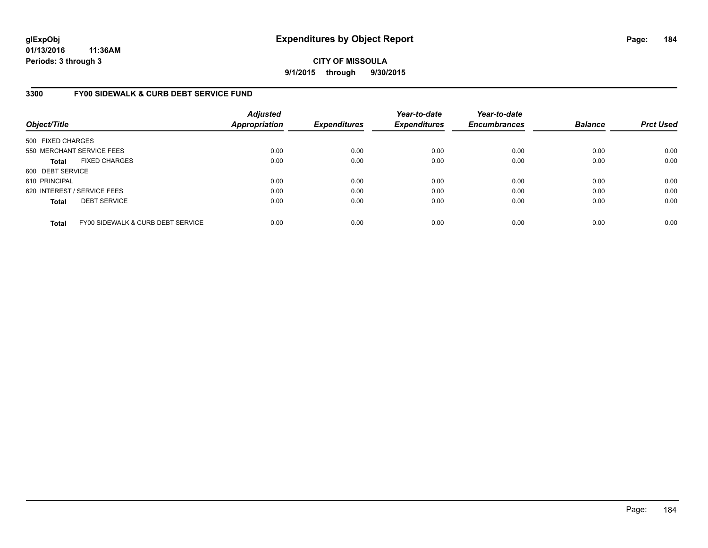**CITY OF MISSOULA 9/1/2015 through 9/30/2015**

# **3300 FY00 SIDEWALK & CURB DEBT SERVICE FUND**

| Object/Title                |                                   | <b>Adjusted</b><br><b>Appropriation</b> | <b>Expenditures</b> | Year-to-date<br><b>Expenditures</b> | Year-to-date<br><b>Encumbrances</b> | <b>Balance</b> | <b>Prct Used</b> |
|-----------------------------|-----------------------------------|-----------------------------------------|---------------------|-------------------------------------|-------------------------------------|----------------|------------------|
| 500 FIXED CHARGES           |                                   |                                         |                     |                                     |                                     |                |                  |
|                             | 550 MERCHANT SERVICE FEES         | 0.00                                    | 0.00                | 0.00                                | 0.00                                | 0.00           | 0.00             |
| <b>Total</b>                | <b>FIXED CHARGES</b>              | 0.00                                    | 0.00                | 0.00                                | 0.00                                | 0.00           | 0.00             |
| 600 DEBT SERVICE            |                                   |                                         |                     |                                     |                                     |                |                  |
| 610 PRINCIPAL               |                                   | 0.00                                    | 0.00                | 0.00                                | 0.00                                | 0.00           | 0.00             |
| 620 INTEREST / SERVICE FEES |                                   | 0.00                                    | 0.00                | 0.00                                | 0.00                                | 0.00           | 0.00             |
| <b>Total</b>                | <b>DEBT SERVICE</b>               | 0.00                                    | 0.00                | 0.00                                | 0.00                                | 0.00           | 0.00             |
| <b>Total</b>                | FY00 SIDEWALK & CURB DEBT SERVICE | 0.00                                    | 0.00                | 0.00                                | 0.00                                | 0.00           | 0.00             |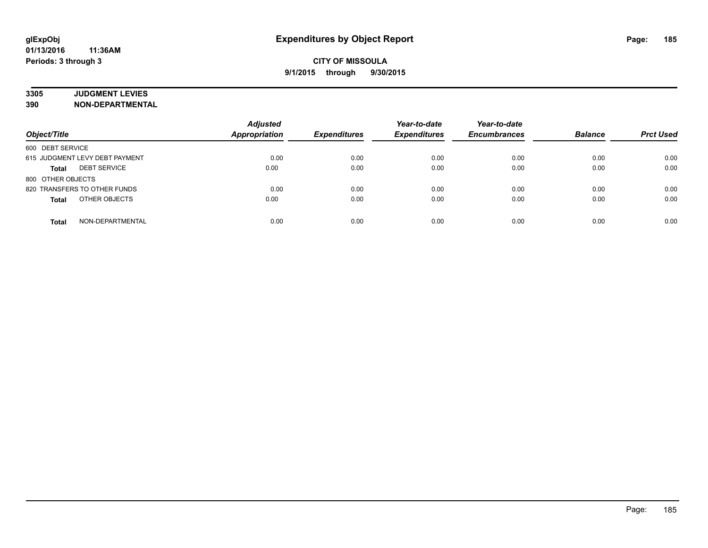# **3305 JUDGMENT LEVIES**

| Object/Title                        | <b>Adjusted</b><br><b>Appropriation</b> | <b>Expenditures</b> | Year-to-date<br><b>Expenditures</b> | Year-to-date<br><b>Encumbrances</b> | <b>Balance</b> | <b>Prct Used</b> |
|-------------------------------------|-----------------------------------------|---------------------|-------------------------------------|-------------------------------------|----------------|------------------|
| 600 DEBT SERVICE                    |                                         |                     |                                     |                                     |                |                  |
| 615 JUDGMENT LEVY DEBT PAYMENT      | 0.00                                    | 0.00                | 0.00                                | 0.00                                | 0.00           | 0.00             |
| <b>DEBT SERVICE</b><br><b>Total</b> | 0.00                                    | 0.00                | 0.00                                | 0.00                                | 0.00           | 0.00             |
| 800 OTHER OBJECTS                   |                                         |                     |                                     |                                     |                |                  |
| 820 TRANSFERS TO OTHER FUNDS        | 0.00                                    | 0.00                | 0.00                                | 0.00                                | 0.00           | 0.00             |
| OTHER OBJECTS<br><b>Total</b>       | 0.00                                    | 0.00                | 0.00                                | 0.00                                | 0.00           | 0.00             |
| NON-DEPARTMENTAL<br><b>Total</b>    | 0.00                                    | 0.00                | 0.00                                | 0.00                                | 0.00           | 0.00             |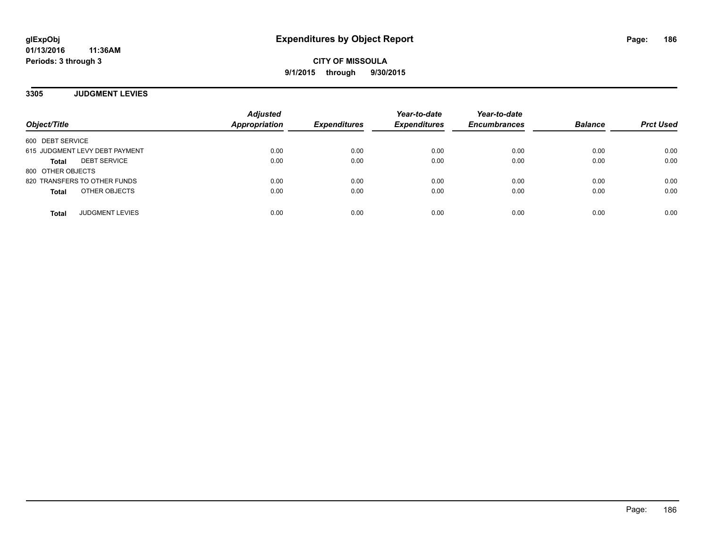**CITY OF MISSOULA 9/1/2015 through 9/30/2015**

**3305 JUDGMENT LEVIES**

| Object/Title                        | <b>Adjusted</b><br>Appropriation | <b>Expenditures</b> | Year-to-date<br><b>Expenditures</b> | Year-to-date<br><b>Encumbrances</b> | <b>Balance</b> | <b>Prct Used</b> |
|-------------------------------------|----------------------------------|---------------------|-------------------------------------|-------------------------------------|----------------|------------------|
| 600 DEBT SERVICE                    |                                  |                     |                                     |                                     |                |                  |
| 615 JUDGMENT LEVY DEBT PAYMENT      | 0.00                             | 0.00                | 0.00                                | 0.00                                | 0.00           | 0.00             |
| <b>DEBT SERVICE</b><br><b>Total</b> | 0.00                             | 0.00                | 0.00                                | 0.00                                | 0.00           | 0.00             |
| 800 OTHER OBJECTS                   |                                  |                     |                                     |                                     |                |                  |
| 820 TRANSFERS TO OTHER FUNDS        | 0.00                             | 0.00                | 0.00                                | 0.00                                | 0.00           | 0.00             |
| OTHER OBJECTS<br><b>Total</b>       | 0.00                             | 0.00                | 0.00                                | 0.00                                | 0.00           | 0.00             |
| <b>JUDGMENT LEVIES</b><br>Total     | 0.00                             | 0.00                | 0.00                                | 0.00                                | 0.00           | 0.00             |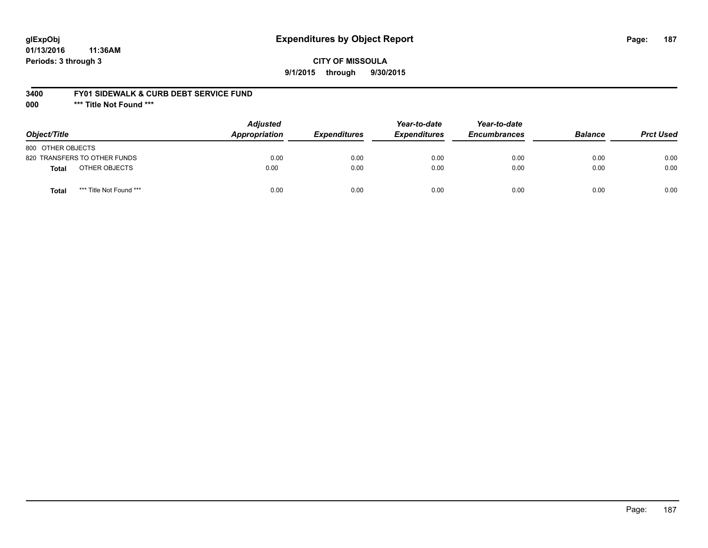# **glExpObj Expenditures by Object Report Page: 187**

**01/13/2016 11:36AM Periods: 3 through 3**

### **3400 FY01 SIDEWALK & CURB DEBT SERVICE FUND**

**000 \*\*\* Title Not Found \*\*\***

| Object/Title                            | <b>Adjusted</b><br>Appropriation | <b>Expenditures</b> | Year-to-date<br><b>Expenditures</b> | Year-to-date<br><b>Encumbrances</b> | <b>Balance</b> | <b>Prct Used</b> |
|-----------------------------------------|----------------------------------|---------------------|-------------------------------------|-------------------------------------|----------------|------------------|
| 800 OTHER OBJECTS                       |                                  |                     |                                     |                                     |                |                  |
| 820 TRANSFERS TO OTHER FUNDS            | 0.00                             | 0.00                | 0.00                                | 0.00                                | 0.00           | 0.00             |
| OTHER OBJECTS<br>Total                  | 0.00                             | 0.00                | 0.00                                | 0.00                                | 0.00           | 0.00             |
| *** Title Not Found ***<br><b>Total</b> | 0.00                             | 0.00                | 0.00                                | 0.00                                | 0.00           | 0.00             |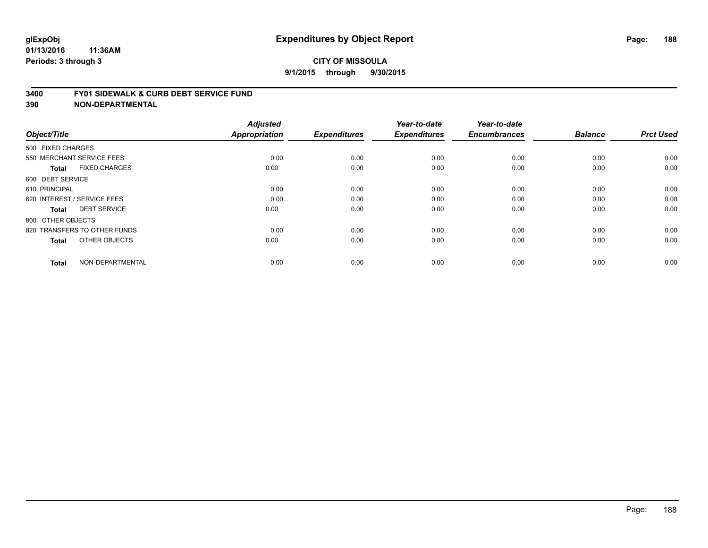#### **3400 FY01 SIDEWALK & CURB DEBT SERVICE FUND**

| Object/Title                         | <b>Adjusted</b><br>Appropriation | <b>Expenditures</b> | Year-to-date<br><b>Expenditures</b> | Year-to-date<br><b>Encumbrances</b> | <b>Balance</b> | <b>Prct Used</b> |
|--------------------------------------|----------------------------------|---------------------|-------------------------------------|-------------------------------------|----------------|------------------|
| 500 FIXED CHARGES                    |                                  |                     |                                     |                                     |                |                  |
| 550 MERCHANT SERVICE FEES            | 0.00                             | 0.00                | 0.00                                | 0.00                                | 0.00           | 0.00             |
| <b>FIXED CHARGES</b><br><b>Total</b> | 0.00                             | 0.00                | 0.00                                | 0.00                                | 0.00           | 0.00             |
| 600 DEBT SERVICE                     |                                  |                     |                                     |                                     |                |                  |
| 610 PRINCIPAL                        | 0.00                             | 0.00                | 0.00                                | 0.00                                | 0.00           | 0.00             |
| 620 INTEREST / SERVICE FEES          | 0.00                             | 0.00                | 0.00                                | 0.00                                | 0.00           | 0.00             |
| <b>DEBT SERVICE</b><br><b>Total</b>  | 0.00                             | 0.00                | 0.00                                | 0.00                                | 0.00           | 0.00             |
| 800 OTHER OBJECTS                    |                                  |                     |                                     |                                     |                |                  |
| 820 TRANSFERS TO OTHER FUNDS         | 0.00                             | 0.00                | 0.00                                | 0.00                                | 0.00           | 0.00             |
| OTHER OBJECTS<br><b>Total</b>        | 0.00                             | 0.00                | 0.00                                | 0.00                                | 0.00           | 0.00             |
|                                      |                                  |                     |                                     |                                     |                |                  |
| NON-DEPARTMENTAL<br><b>Total</b>     | 0.00                             | 0.00                | 0.00                                | 0.00                                | 0.00           | 0.00             |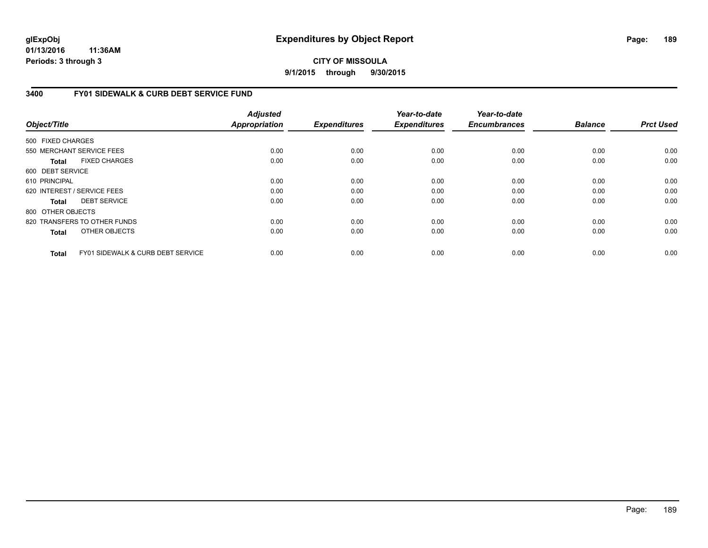# **CITY OF MISSOULA 9/1/2015 through 9/30/2015**

# **3400 FY01 SIDEWALK & CURB DEBT SERVICE FUND**

| Object/Title      |                                              | <b>Adjusted</b><br><b>Appropriation</b> | <b>Expenditures</b> | Year-to-date<br><b>Expenditures</b> | Year-to-date<br><b>Encumbrances</b> | <b>Balance</b> | <b>Prct Used</b> |
|-------------------|----------------------------------------------|-----------------------------------------|---------------------|-------------------------------------|-------------------------------------|----------------|------------------|
| 500 FIXED CHARGES |                                              |                                         |                     |                                     |                                     |                |                  |
|                   | 550 MERCHANT SERVICE FEES                    | 0.00                                    | 0.00                | 0.00                                | 0.00                                | 0.00           | 0.00             |
| Total             | <b>FIXED CHARGES</b>                         | 0.00                                    | 0.00                | 0.00                                | 0.00                                | 0.00           | 0.00             |
| 600 DEBT SERVICE  |                                              |                                         |                     |                                     |                                     |                |                  |
| 610 PRINCIPAL     |                                              | 0.00                                    | 0.00                | 0.00                                | 0.00                                | 0.00           | 0.00             |
|                   | 620 INTEREST / SERVICE FEES                  | 0.00                                    | 0.00                | 0.00                                | 0.00                                | 0.00           | 0.00             |
| Total             | <b>DEBT SERVICE</b>                          | 0.00                                    | 0.00                | 0.00                                | 0.00                                | 0.00           | 0.00             |
| 800 OTHER OBJECTS |                                              |                                         |                     |                                     |                                     |                |                  |
|                   | 820 TRANSFERS TO OTHER FUNDS                 | 0.00                                    | 0.00                | 0.00                                | 0.00                                | 0.00           | 0.00             |
| <b>Total</b>      | OTHER OBJECTS                                | 0.00                                    | 0.00                | 0.00                                | 0.00                                | 0.00           | 0.00             |
| <b>Total</b>      | <b>FY01 SIDEWALK &amp; CURB DEBT SERVICE</b> | 0.00                                    | 0.00                | 0.00                                | 0.00                                | 0.00           | 0.00             |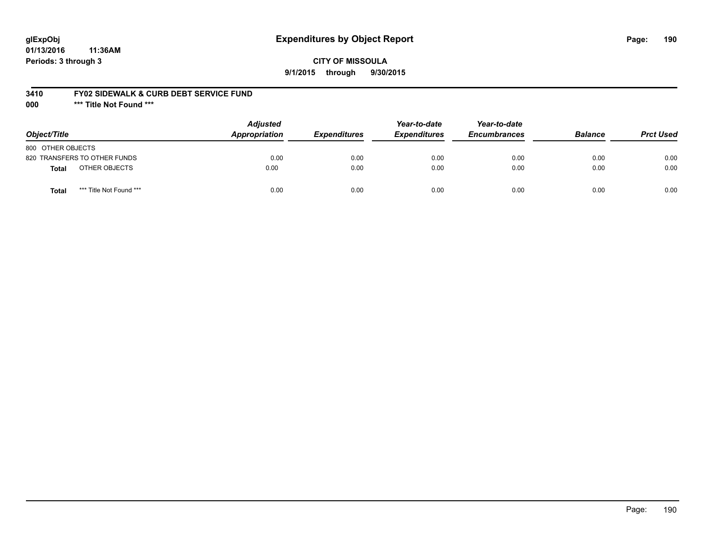# **glExpObj Expenditures by Object Report Page: 190**

**01/13/2016 11:36AM Periods: 3 through 3**

### **3410 FY02 SIDEWALK & CURB DEBT SERVICE FUND**

**000 \*\*\* Title Not Found \*\*\***

| Object/Title                            | <b>Adjusted</b><br><b>Appropriation</b> | <b>Expenditures</b> | Year-to-date<br><b>Expenditures</b> | Year-to-date<br><b>Encumbrances</b> | <b>Balance</b> | <b>Prct Used</b> |
|-----------------------------------------|-----------------------------------------|---------------------|-------------------------------------|-------------------------------------|----------------|------------------|
| 800 OTHER OBJECTS                       |                                         |                     |                                     |                                     |                |                  |
| 820 TRANSFERS TO OTHER FUNDS            | 0.00                                    | 0.00                | 0.00                                | 0.00                                | 0.00           | 0.00             |
| OTHER OBJECTS<br>Total                  | 0.00                                    | 0.00                | 0.00                                | 0.00                                | 0.00           | 0.00             |
| *** Title Not Found ***<br><b>Total</b> | 0.00                                    | 0.00                | 0.00                                | 0.00                                | 0.00           | 0.00             |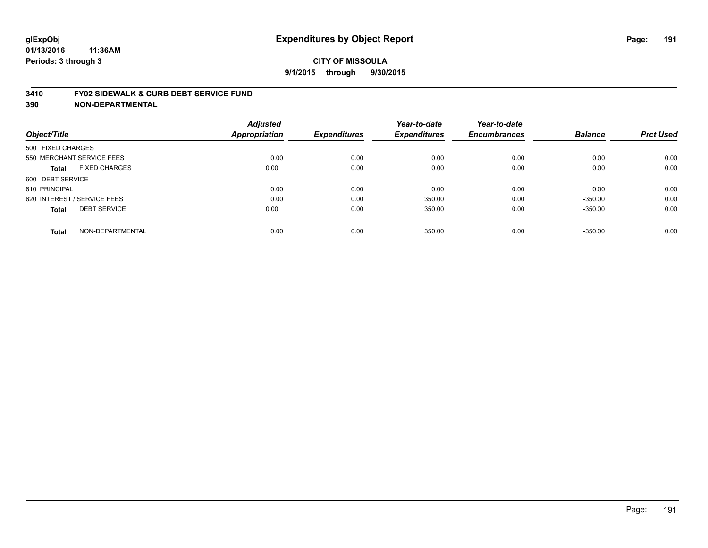#### **3410 FY02 SIDEWALK & CURB DEBT SERVICE FUND**

| Object/Title      |                             | <b>Adjusted</b><br><b>Appropriation</b> | <b>Expenditures</b> | Year-to-date<br><b>Expenditures</b> | Year-to-date<br><b>Encumbrances</b> | <b>Balance</b> | <b>Prct Used</b> |
|-------------------|-----------------------------|-----------------------------------------|---------------------|-------------------------------------|-------------------------------------|----------------|------------------|
| 500 FIXED CHARGES |                             |                                         |                     |                                     |                                     |                |                  |
|                   | 550 MERCHANT SERVICE FEES   | 0.00                                    | 0.00                | 0.00                                | 0.00                                | 0.00           | 0.00             |
| <b>Total</b>      | <b>FIXED CHARGES</b>        | 0.00                                    | 0.00                | 0.00                                | 0.00                                | 0.00           | 0.00             |
| 600 DEBT SERVICE  |                             |                                         |                     |                                     |                                     |                |                  |
| 610 PRINCIPAL     |                             | 0.00                                    | 0.00                | 0.00                                | 0.00                                | 0.00           | 0.00             |
|                   | 620 INTEREST / SERVICE FEES | 0.00                                    | 0.00                | 350.00                              | 0.00                                | $-350.00$      | 0.00             |
| <b>Total</b>      | <b>DEBT SERVICE</b>         | 0.00                                    | 0.00                | 350.00                              | 0.00                                | $-350.00$      | 0.00             |
| <b>Total</b>      | NON-DEPARTMENTAL            | 0.00                                    | 0.00                | 350.00                              | 0.00                                | $-350.00$      | 0.00             |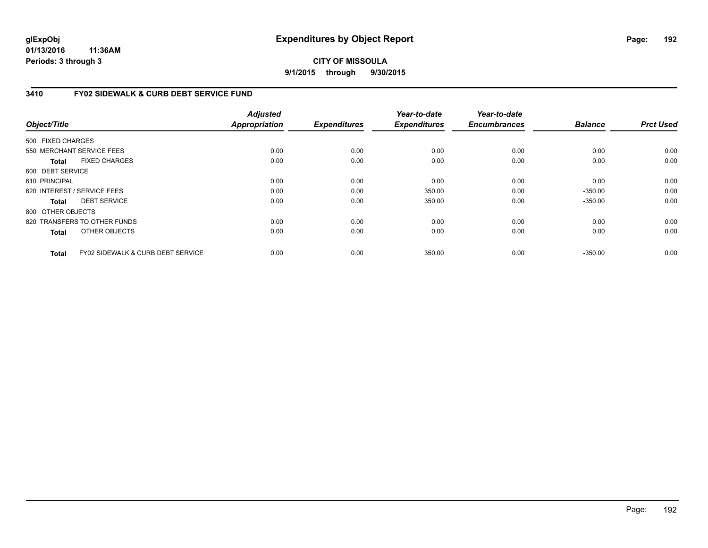# **CITY OF MISSOULA 9/1/2015 through 9/30/2015**

# **3410 FY02 SIDEWALK & CURB DEBT SERVICE FUND**

| Object/Title      |                                              | <b>Adjusted</b><br><b>Appropriation</b> | <b>Expenditures</b> | Year-to-date<br><b>Expenditures</b> | Year-to-date<br><b>Encumbrances</b> | <b>Balance</b> | <b>Prct Used</b> |
|-------------------|----------------------------------------------|-----------------------------------------|---------------------|-------------------------------------|-------------------------------------|----------------|------------------|
|                   |                                              |                                         |                     |                                     |                                     |                |                  |
| 500 FIXED CHARGES |                                              |                                         |                     |                                     |                                     |                |                  |
|                   | 550 MERCHANT SERVICE FEES                    | 0.00                                    | 0.00                | 0.00                                | 0.00                                | 0.00           | 0.00             |
| <b>Total</b>      | <b>FIXED CHARGES</b>                         | 0.00                                    | 0.00                | 0.00                                | 0.00                                | 0.00           | 0.00             |
| 600 DEBT SERVICE  |                                              |                                         |                     |                                     |                                     |                |                  |
| 610 PRINCIPAL     |                                              | 0.00                                    | 0.00                | 0.00                                | 0.00                                | 0.00           | 0.00             |
|                   | 620 INTEREST / SERVICE FEES                  | 0.00                                    | 0.00                | 350.00                              | 0.00                                | $-350.00$      | 0.00             |
| <b>Total</b>      | <b>DEBT SERVICE</b>                          | 0.00                                    | 0.00                | 350.00                              | 0.00                                | $-350.00$      | 0.00             |
| 800 OTHER OBJECTS |                                              |                                         |                     |                                     |                                     |                |                  |
|                   | 820 TRANSFERS TO OTHER FUNDS                 | 0.00                                    | 0.00                | 0.00                                | 0.00                                | 0.00           | 0.00             |
| <b>Total</b>      | OTHER OBJECTS                                | 0.00                                    | 0.00                | 0.00                                | 0.00                                | 0.00           | 0.00             |
| <b>Total</b>      | <b>FY02 SIDEWALK &amp; CURB DEBT SERVICE</b> | 0.00                                    | 0.00                | 350.00                              | 0.00                                | $-350.00$      | 0.00             |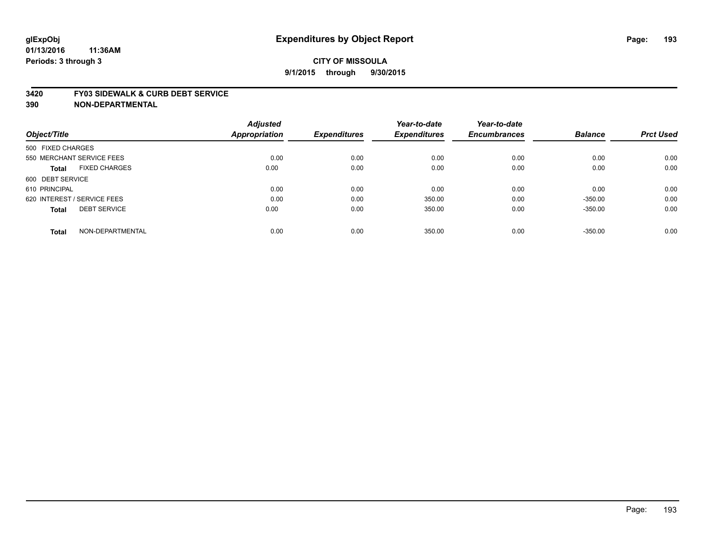#### **3420 FY03 SIDEWALK & CURB DEBT SERVICE**

|                                      | <b>Adjusted</b> |                     | Year-to-date        | Year-to-date        |                |                  |
|--------------------------------------|-----------------|---------------------|---------------------|---------------------|----------------|------------------|
| Object/Title                         | Appropriation   | <b>Expenditures</b> | <b>Expenditures</b> | <b>Encumbrances</b> | <b>Balance</b> | <b>Prct Used</b> |
| 500 FIXED CHARGES                    |                 |                     |                     |                     |                |                  |
| 550 MERCHANT SERVICE FEES            | 0.00            | 0.00                | 0.00                | 0.00                | 0.00           | 0.00             |
| <b>FIXED CHARGES</b><br><b>Total</b> | 0.00            | 0.00                | 0.00                | 0.00                | 0.00           | 0.00             |
| 600 DEBT SERVICE                     |                 |                     |                     |                     |                |                  |
| 610 PRINCIPAL                        | 0.00            | 0.00                | 0.00                | 0.00                | 0.00           | 0.00             |
| 620 INTEREST / SERVICE FEES          | 0.00            | 0.00                | 350.00              | 0.00                | $-350.00$      | 0.00             |
| <b>DEBT SERVICE</b><br><b>Total</b>  | 0.00            | 0.00                | 350.00              | 0.00                | $-350.00$      | 0.00             |
| NON-DEPARTMENTAL<br><b>Total</b>     | 0.00            | 0.00                | 350.00              | 0.00                | $-350.00$      | 0.00             |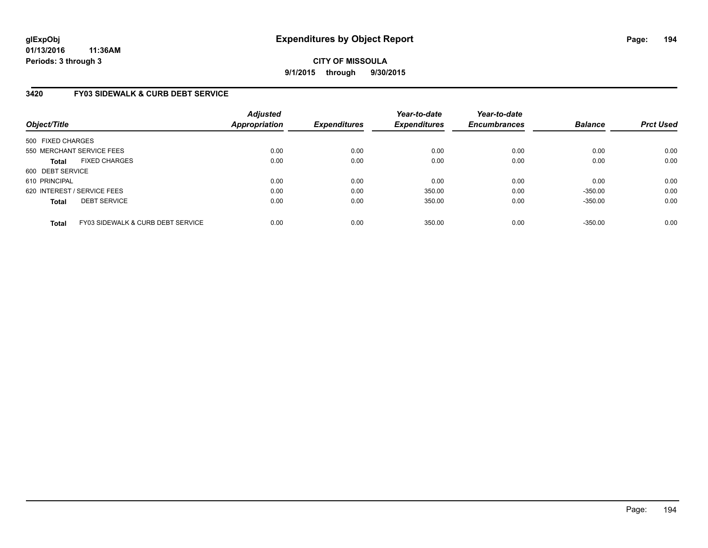# **CITY OF MISSOULA 9/1/2015 through 9/30/2015**

# **3420 FY03 SIDEWALK & CURB DEBT SERVICE**

| Object/Title      |                                              | <b>Adjusted</b><br>Appropriation | <b>Expenditures</b> | Year-to-date<br><b>Expenditures</b> | Year-to-date<br><b>Encumbrances</b> | <b>Balance</b> | <b>Prct Used</b> |
|-------------------|----------------------------------------------|----------------------------------|---------------------|-------------------------------------|-------------------------------------|----------------|------------------|
| 500 FIXED CHARGES |                                              |                                  |                     |                                     |                                     |                |                  |
|                   | 550 MERCHANT SERVICE FEES                    | 0.00                             | 0.00                | 0.00                                | 0.00                                | 0.00           | 0.00             |
| <b>Total</b>      | <b>FIXED CHARGES</b>                         | 0.00                             | 0.00                | 0.00                                | 0.00                                | 0.00           | 0.00             |
| 600 DEBT SERVICE  |                                              |                                  |                     |                                     |                                     |                |                  |
| 610 PRINCIPAL     |                                              | 0.00                             | 0.00                | 0.00                                | 0.00                                | 0.00           | 0.00             |
|                   | 620 INTEREST / SERVICE FEES                  | 0.00                             | 0.00                | 350.00                              | 0.00                                | $-350.00$      | 0.00             |
| <b>Total</b>      | <b>DEBT SERVICE</b>                          | 0.00                             | 0.00                | 350.00                              | 0.00                                | $-350.00$      | 0.00             |
| <b>Total</b>      | <b>FY03 SIDEWALK &amp; CURB DEBT SERVICE</b> | 0.00                             | 0.00                | 350.00                              | 0.00                                | $-350.00$      | 0.00             |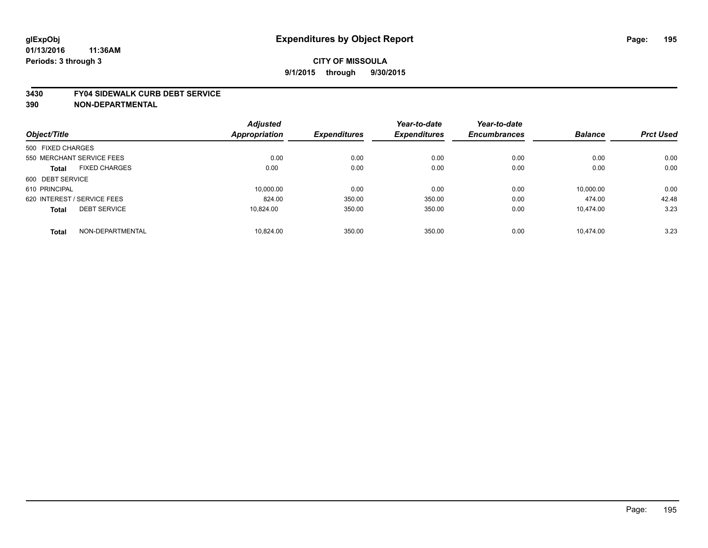#### **3430 FY04 SIDEWALK CURB DEBT SERVICE**

|                   |                             | <b>Adjusted</b>      |                     | Year-to-date        | Year-to-date        |                |                  |
|-------------------|-----------------------------|----------------------|---------------------|---------------------|---------------------|----------------|------------------|
| Object/Title      |                             | <b>Appropriation</b> | <b>Expenditures</b> | <b>Expenditures</b> | <b>Encumbrances</b> | <b>Balance</b> | <b>Prct Used</b> |
| 500 FIXED CHARGES |                             |                      |                     |                     |                     |                |                  |
|                   | 550 MERCHANT SERVICE FEES   | 0.00                 | 0.00                | 0.00                | 0.00                | 0.00           | 0.00             |
| <b>Total</b>      | <b>FIXED CHARGES</b>        | 0.00                 | 0.00                | 0.00                | 0.00                | 0.00           | 0.00             |
| 600 DEBT SERVICE  |                             |                      |                     |                     |                     |                |                  |
| 610 PRINCIPAL     |                             | 10.000.00            | 0.00                | 0.00                | 0.00                | 10.000.00      | 0.00             |
|                   | 620 INTEREST / SERVICE FEES | 824.00               | 350.00              | 350.00              | 0.00                | 474.00         | 42.48            |
| <b>Total</b>      | <b>DEBT SERVICE</b>         | 10.824.00            | 350.00              | 350.00              | 0.00                | 10.474.00      | 3.23             |
| <b>Total</b>      | NON-DEPARTMENTAL            | 10.824.00            | 350.00              | 350.00              | 0.00                | 10.474.00      | 3.23             |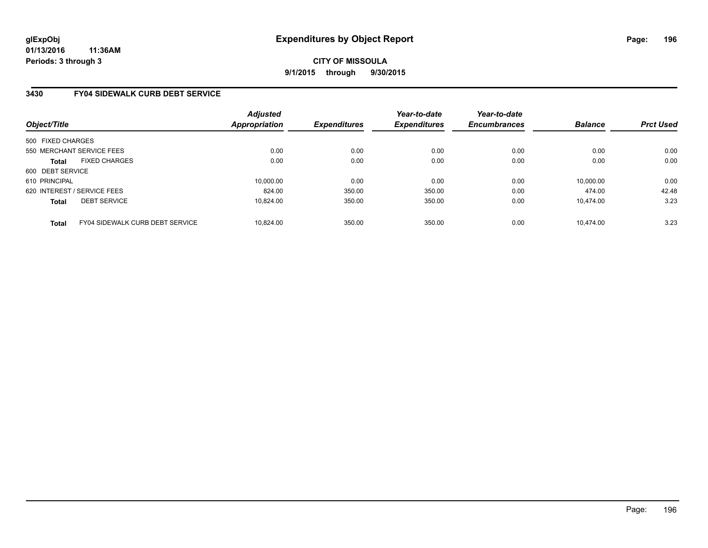**CITY OF MISSOULA 9/1/2015 through 9/30/2015**

# **3430 FY04 SIDEWALK CURB DEBT SERVICE**

| Object/Title      |                                 | <b>Adjusted</b><br>Appropriation | <b>Expenditures</b> | Year-to-date<br><b>Expenditures</b> | Year-to-date<br><b>Encumbrances</b> | <b>Balance</b> | <b>Prct Used</b> |
|-------------------|---------------------------------|----------------------------------|---------------------|-------------------------------------|-------------------------------------|----------------|------------------|
| 500 FIXED CHARGES |                                 |                                  |                     |                                     |                                     |                |                  |
|                   | 550 MERCHANT SERVICE FEES       | 0.00                             | 0.00                | 0.00                                | 0.00                                | 0.00           | 0.00             |
| <b>Total</b>      | <b>FIXED CHARGES</b>            | 0.00                             | 0.00                | 0.00                                | 0.00                                | 0.00           | 0.00             |
| 600 DEBT SERVICE  |                                 |                                  |                     |                                     |                                     |                |                  |
| 610 PRINCIPAL     |                                 | 10.000.00                        | 0.00                | 0.00                                | 0.00                                | 10.000.00      | 0.00             |
|                   | 620 INTEREST / SERVICE FEES     | 824.00                           | 350.00              | 350.00                              | 0.00                                | 474.00         | 42.48            |
| <b>Total</b>      | <b>DEBT SERVICE</b>             | 10.824.00                        | 350.00              | 350.00                              | 0.00                                | 10.474.00      | 3.23             |
| <b>Total</b>      | FY04 SIDEWALK CURB DEBT SERVICE | 10.824.00                        | 350.00              | 350.00                              | 0.00                                | 10.474.00      | 3.23             |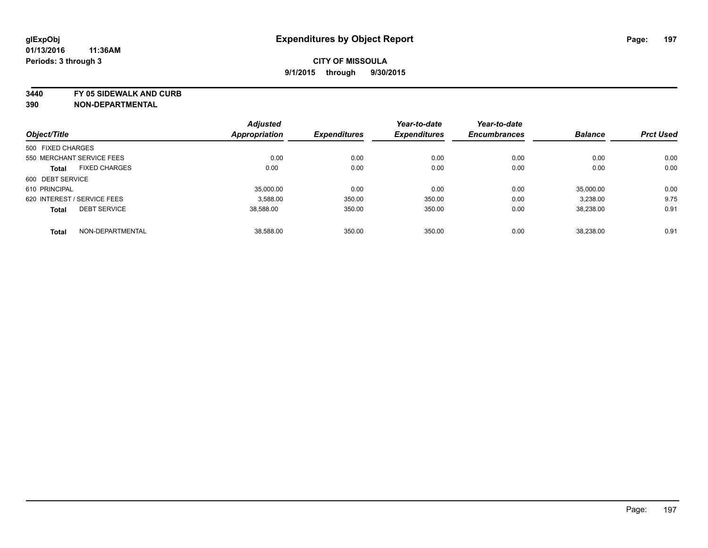**3440 FY 05 SIDEWALK AND CURB**

|                   |                             | <b>Adjusted</b>      |                     | Year-to-date        | Year-to-date        |                |                  |
|-------------------|-----------------------------|----------------------|---------------------|---------------------|---------------------|----------------|------------------|
| Object/Title      |                             | <b>Appropriation</b> | <b>Expenditures</b> | <b>Expenditures</b> | <b>Encumbrances</b> | <b>Balance</b> | <b>Prct Used</b> |
| 500 FIXED CHARGES |                             |                      |                     |                     |                     |                |                  |
|                   | 550 MERCHANT SERVICE FEES   | 0.00                 | 0.00                | 0.00                | 0.00                | 0.00           | 0.00             |
| <b>Total</b>      | <b>FIXED CHARGES</b>        | 0.00                 | 0.00                | 0.00                | 0.00                | 0.00           | 0.00             |
| 600 DEBT SERVICE  |                             |                      |                     |                     |                     |                |                  |
| 610 PRINCIPAL     |                             | 35,000.00            | 0.00                | 0.00                | 0.00                | 35.000.00      | 0.00             |
|                   | 620 INTEREST / SERVICE FEES | 3.588.00             | 350.00              | 350.00              | 0.00                | 3,238.00       | 9.75             |
| <b>Total</b>      | <b>DEBT SERVICE</b>         | 38,588.00            | 350.00              | 350.00              | 0.00                | 38,238.00      | 0.91             |
| <b>Total</b>      | NON-DEPARTMENTAL            | 38.588.00            | 350.00              | 350.00              | 0.00                | 38.238.00      | 0.91             |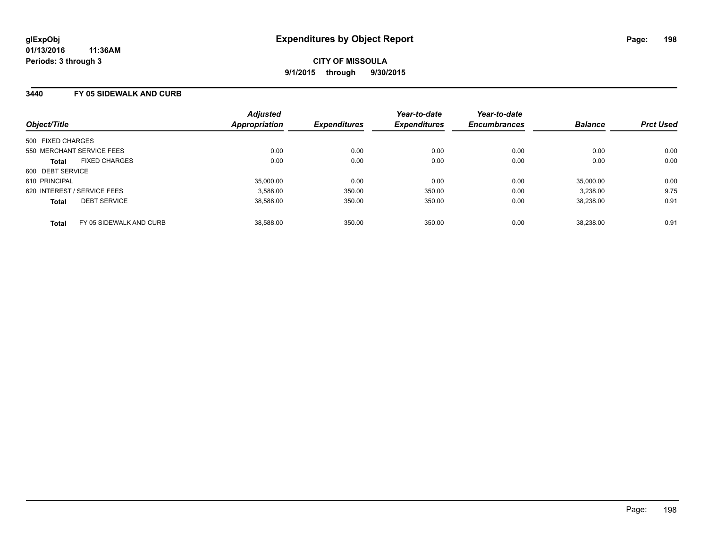### **3440 FY 05 SIDEWALK AND CURB**

| Object/Title                |                         | <b>Adjusted</b><br>Appropriation | <b>Expenditures</b> | Year-to-date<br><b>Expenditures</b> | Year-to-date<br><b>Encumbrances</b> | <b>Balance</b> | <b>Prct Used</b> |
|-----------------------------|-------------------------|----------------------------------|---------------------|-------------------------------------|-------------------------------------|----------------|------------------|
| 500 FIXED CHARGES           |                         |                                  |                     |                                     |                                     |                |                  |
|                             |                         |                                  |                     |                                     |                                     |                |                  |
| 550 MERCHANT SERVICE FEES   |                         | 0.00                             | 0.00                | 0.00                                | 0.00                                | 0.00           | 0.00             |
| <b>Total</b>                | <b>FIXED CHARGES</b>    | 0.00                             | 0.00                | 0.00                                | 0.00                                | 0.00           | 0.00             |
| 600 DEBT SERVICE            |                         |                                  |                     |                                     |                                     |                |                  |
| 610 PRINCIPAL               |                         | 35,000.00                        | 0.00                | 0.00                                | 0.00                                | 35,000.00      | 0.00             |
| 620 INTEREST / SERVICE FEES |                         | 3,588.00                         | 350.00              | 350.00                              | 0.00                                | 3,238.00       | 9.75             |
| <b>Total</b>                | <b>DEBT SERVICE</b>     | 38,588.00                        | 350.00              | 350.00                              | 0.00                                | 38.238.00      | 0.91             |
| <b>Total</b>                | FY 05 SIDEWALK AND CURB | 38.588.00                        | 350.00              | 350.00                              | 0.00                                | 38.238.00      | 0.91             |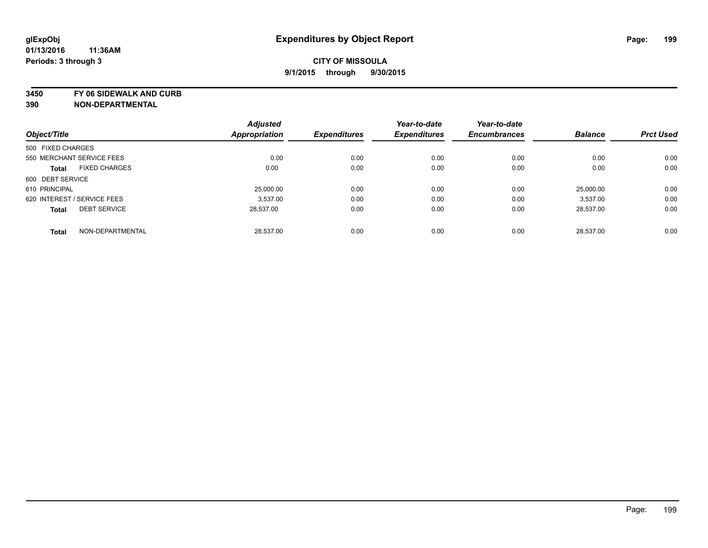**3450 FY 06 SIDEWALK AND CURB**

|                             |                      | <b>Adjusted</b>      |                     | Year-to-date        | Year-to-date        |                |                  |
|-----------------------------|----------------------|----------------------|---------------------|---------------------|---------------------|----------------|------------------|
| Object/Title                |                      | <b>Appropriation</b> | <b>Expenditures</b> | <b>Expenditures</b> | <b>Encumbrances</b> | <b>Balance</b> | <b>Prct Used</b> |
| 500 FIXED CHARGES           |                      |                      |                     |                     |                     |                |                  |
| 550 MERCHANT SERVICE FEES   |                      | 0.00                 | 0.00                | 0.00                | 0.00                | 0.00           | 0.00             |
| <b>Total</b>                | <b>FIXED CHARGES</b> | 0.00                 | 0.00                | 0.00                | 0.00                | 0.00           | 0.00             |
| 600 DEBT SERVICE            |                      |                      |                     |                     |                     |                |                  |
| 610 PRINCIPAL               |                      | 25,000.00            | 0.00                | 0.00                | 0.00                | 25.000.00      | 0.00             |
| 620 INTEREST / SERVICE FEES |                      | 3.537.00             | 0.00                | 0.00                | 0.00                | 3.537.00       | 0.00             |
| <b>Total</b>                | <b>DEBT SERVICE</b>  | 28,537.00            | 0.00                | 0.00                | 0.00                | 28,537.00      | 0.00             |
| <b>Total</b>                | NON-DEPARTMENTAL     | 28.537.00            | 0.00                | 0.00                | 0.00                | 28.537.00      | 0.00             |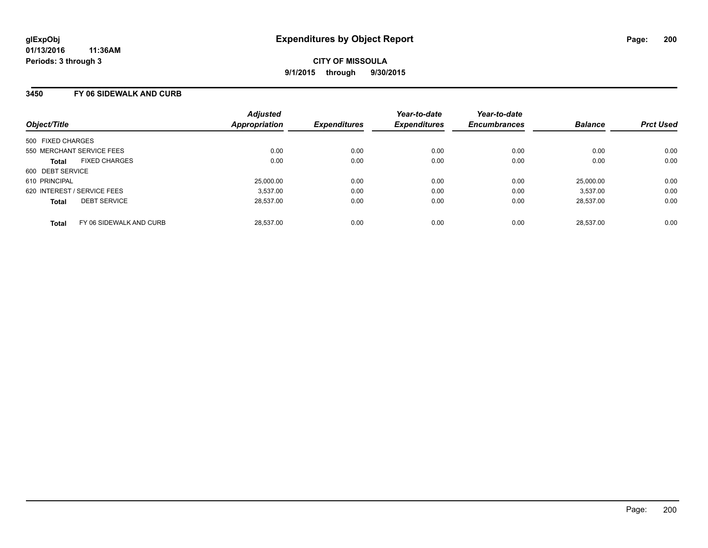### **3450 FY 06 SIDEWALK AND CURB**

| Object/Title                            | <b>Adjusted</b><br><b>Appropriation</b> | <b>Expenditures</b> | Year-to-date<br><b>Expenditures</b> | Year-to-date<br><b>Encumbrances</b> | <b>Balance</b> | <b>Prct Used</b> |
|-----------------------------------------|-----------------------------------------|---------------------|-------------------------------------|-------------------------------------|----------------|------------------|
| 500 FIXED CHARGES                       |                                         |                     |                                     |                                     |                |                  |
| 550 MERCHANT SERVICE FEES               | 0.00                                    | 0.00                | 0.00                                | 0.00                                | 0.00           | 0.00             |
| <b>FIXED CHARGES</b><br><b>Total</b>    | 0.00                                    | 0.00                | 0.00                                | 0.00                                | 0.00           | 0.00             |
| 600 DEBT SERVICE                        |                                         |                     |                                     |                                     |                |                  |
| 610 PRINCIPAL                           | 25,000.00                               | 0.00                | 0.00                                | 0.00                                | 25,000.00      | 0.00             |
| 620 INTEREST / SERVICE FEES             | 3.537.00                                | 0.00                | 0.00                                | 0.00                                | 3.537.00       | 0.00             |
| <b>DEBT SERVICE</b><br><b>Total</b>     | 28.537.00                               | 0.00                | 0.00                                | 0.00                                | 28.537.00      | 0.00             |
| FY 06 SIDEWALK AND CURB<br><b>Total</b> | 28.537.00                               | 0.00                | 0.00                                | 0.00                                | 28.537.00      | 0.00             |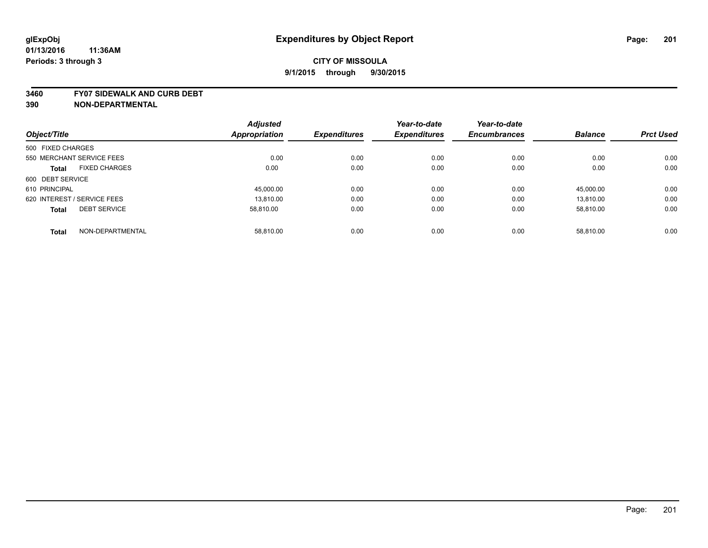#### **3460 FY07 SIDEWALK AND CURB DEBT**

|                             |                      | <b>Adjusted</b>      |                     | Year-to-date        | Year-to-date        |                |                  |
|-----------------------------|----------------------|----------------------|---------------------|---------------------|---------------------|----------------|------------------|
| Object/Title                |                      | <b>Appropriation</b> | <b>Expenditures</b> | <b>Expenditures</b> | <b>Encumbrances</b> | <b>Balance</b> | <b>Prct Used</b> |
| 500 FIXED CHARGES           |                      |                      |                     |                     |                     |                |                  |
| 550 MERCHANT SERVICE FEES   |                      | 0.00                 | 0.00                | 0.00                | 0.00                | 0.00           | 0.00             |
| <b>Total</b>                | <b>FIXED CHARGES</b> | 0.00                 | 0.00                | 0.00                | 0.00                | 0.00           | 0.00             |
| 600 DEBT SERVICE            |                      |                      |                     |                     |                     |                |                  |
| 610 PRINCIPAL               |                      | 45,000.00            | 0.00                | 0.00                | 0.00                | 45.000.00      | 0.00             |
| 620 INTEREST / SERVICE FEES |                      | 13.810.00            | 0.00                | 0.00                | 0.00                | 13.810.00      | 0.00             |
| <b>Total</b>                | <b>DEBT SERVICE</b>  | 58.810.00            | 0.00                | 0.00                | 0.00                | 58.810.00      | 0.00             |
| <b>Total</b>                | NON-DEPARTMENTAL     | 58.810.00            | 0.00                | 0.00                | 0.00                | 58.810.00      | 0.00             |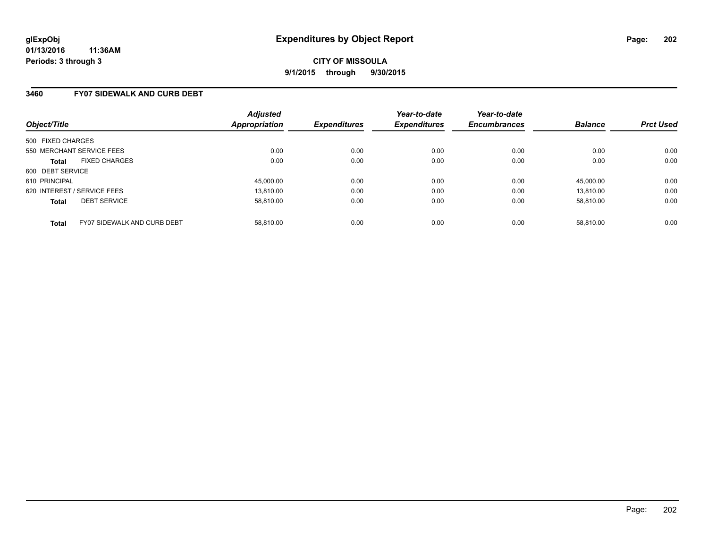### **3460 FY07 SIDEWALK AND CURB DEBT**

| Object/Title                                | <b>Adjusted</b><br>Appropriation | <b>Expenditures</b> | Year-to-date<br><b>Expenditures</b> | Year-to-date<br><b>Encumbrances</b> | <b>Balance</b> | <b>Prct Used</b> |
|---------------------------------------------|----------------------------------|---------------------|-------------------------------------|-------------------------------------|----------------|------------------|
| 500 FIXED CHARGES                           |                                  |                     |                                     |                                     |                |                  |
| 550 MERCHANT SERVICE FEES                   | 0.00                             | 0.00                | 0.00                                | 0.00                                | 0.00           | 0.00             |
| <b>FIXED CHARGES</b><br><b>Total</b>        | 0.00                             | 0.00                | 0.00                                | 0.00                                | 0.00           | 0.00             |
| 600 DEBT SERVICE                            |                                  |                     |                                     |                                     |                |                  |
| 610 PRINCIPAL                               | 45,000.00                        | 0.00                | 0.00                                | 0.00                                | 45.000.00      | 0.00             |
| 620 INTEREST / SERVICE FEES                 | 13.810.00                        | 0.00                | 0.00                                | 0.00                                | 13.810.00      | 0.00             |
| <b>DEBT SERVICE</b><br><b>Total</b>         | 58.810.00                        | 0.00                | 0.00                                | 0.00                                | 58.810.00      | 0.00             |
| FY07 SIDEWALK AND CURB DEBT<br><b>Total</b> | 58.810.00                        | 0.00                | 0.00                                | 0.00                                | 58.810.00      | 0.00             |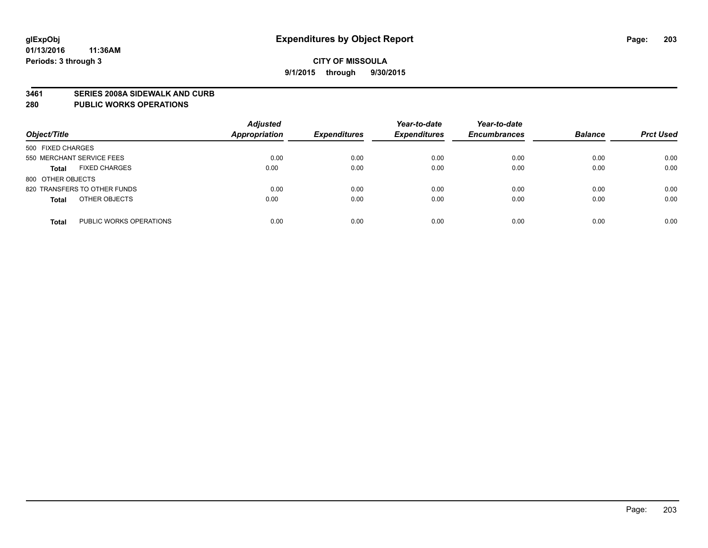#### **3461 SERIES 2008A SIDEWALK AND CURB**

#### **280 PUBLIC WORKS OPERATIONS**

| Object/Title                            | <b>Adjusted</b><br>Appropriation | <b>Expenditures</b> | Year-to-date<br><b>Expenditures</b> | Year-to-date<br><b>Encumbrances</b> | <b>Balance</b> | <b>Prct Used</b> |
|-----------------------------------------|----------------------------------|---------------------|-------------------------------------|-------------------------------------|----------------|------------------|
| 500 FIXED CHARGES                       |                                  |                     |                                     |                                     |                |                  |
| 550 MERCHANT SERVICE FEES               | 0.00                             | 0.00                | 0.00                                | 0.00                                | 0.00           | 0.00             |
| <b>FIXED CHARGES</b><br><b>Total</b>    | 0.00                             | 0.00                | 0.00                                | 0.00                                | 0.00           | 0.00             |
| 800 OTHER OBJECTS                       |                                  |                     |                                     |                                     |                |                  |
| 820 TRANSFERS TO OTHER FUNDS            | 0.00                             | 0.00                | 0.00                                | 0.00                                | 0.00           | 0.00             |
| OTHER OBJECTS<br><b>Total</b>           | 0.00                             | 0.00                | 0.00                                | 0.00                                | 0.00           | 0.00             |
| PUBLIC WORKS OPERATIONS<br><b>Total</b> | 0.00                             | 0.00                | 0.00                                | 0.00                                | 0.00           | 0.00             |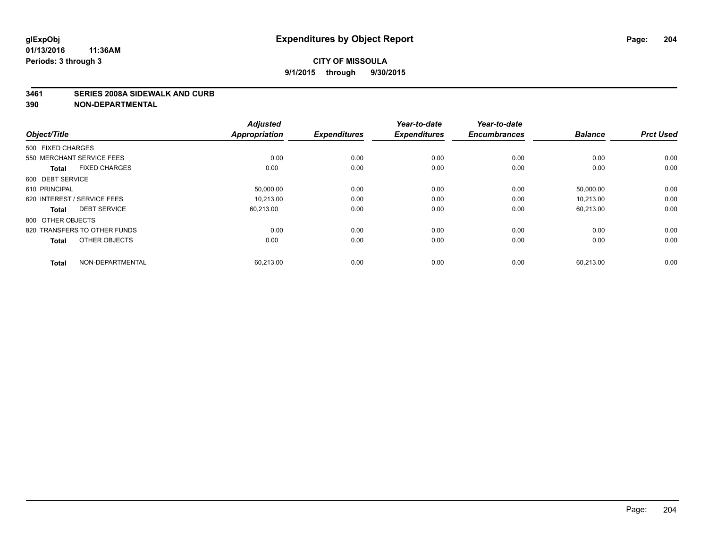#### **3461 SERIES 2008A SIDEWALK AND CURB**

| Object/Title                         | <b>Adjusted</b><br><b>Appropriation</b> | <b>Expenditures</b> | Year-to-date<br><b>Expenditures</b> | Year-to-date<br><b>Encumbrances</b> | <b>Balance</b> | <b>Prct Used</b> |
|--------------------------------------|-----------------------------------------|---------------------|-------------------------------------|-------------------------------------|----------------|------------------|
| 500 FIXED CHARGES                    |                                         |                     |                                     |                                     |                |                  |
| 550 MERCHANT SERVICE FEES            | 0.00                                    | 0.00                | 0.00                                | 0.00                                | 0.00           | 0.00             |
| <b>FIXED CHARGES</b><br><b>Total</b> | 0.00                                    | 0.00                | 0.00                                | 0.00                                | 0.00           | 0.00             |
| 600 DEBT SERVICE                     |                                         |                     |                                     |                                     |                |                  |
| 610 PRINCIPAL                        | 50,000.00                               | 0.00                | 0.00                                | 0.00                                | 50,000.00      | 0.00             |
| 620 INTEREST / SERVICE FEES          | 10.213.00                               | 0.00                | 0.00                                | 0.00                                | 10.213.00      | 0.00             |
| <b>DEBT SERVICE</b><br><b>Total</b>  | 60,213.00                               | 0.00                | 0.00                                | 0.00                                | 60,213.00      | 0.00             |
| 800 OTHER OBJECTS                    |                                         |                     |                                     |                                     |                |                  |
| 820 TRANSFERS TO OTHER FUNDS         | 0.00                                    | 0.00                | 0.00                                | 0.00                                | 0.00           | 0.00             |
| OTHER OBJECTS<br><b>Total</b>        | 0.00                                    | 0.00                | 0.00                                | 0.00                                | 0.00           | 0.00             |
|                                      |                                         |                     |                                     |                                     |                |                  |
| NON-DEPARTMENTAL<br><b>Total</b>     | 60,213.00                               | 0.00                | 0.00                                | 0.00                                | 60,213.00      | 0.00             |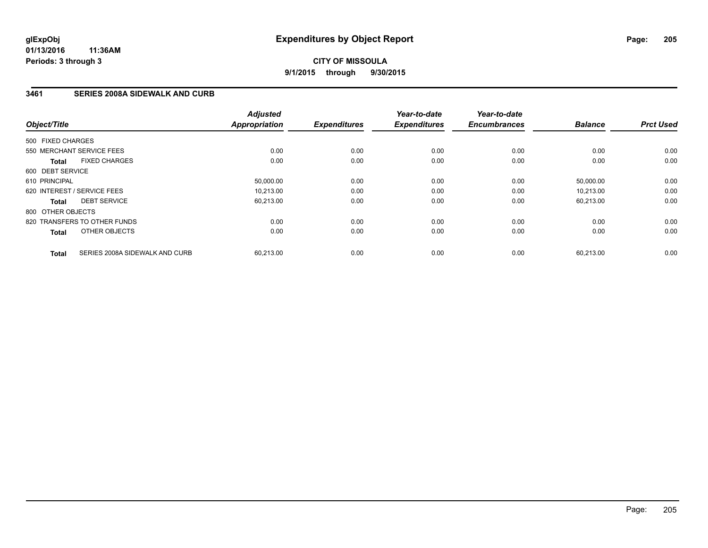# **3461 SERIES 2008A SIDEWALK AND CURB**

| Object/Title                |                                | <b>Adjusted</b><br><b>Appropriation</b> | <b>Expenditures</b> | Year-to-date<br><b>Expenditures</b> | Year-to-date<br><b>Encumbrances</b> | <b>Balance</b> | <b>Prct Used</b> |
|-----------------------------|--------------------------------|-----------------------------------------|---------------------|-------------------------------------|-------------------------------------|----------------|------------------|
| 500 FIXED CHARGES           |                                |                                         |                     |                                     |                                     |                |                  |
| 550 MERCHANT SERVICE FEES   |                                | 0.00                                    | 0.00                | 0.00                                | 0.00                                | 0.00           | 0.00             |
| <b>Total</b>                | <b>FIXED CHARGES</b>           | 0.00                                    | 0.00                | 0.00                                | 0.00                                | 0.00           | 0.00             |
| 600 DEBT SERVICE            |                                |                                         |                     |                                     |                                     |                |                  |
| 610 PRINCIPAL               |                                | 50,000.00                               | 0.00                | 0.00                                | 0.00                                | 50.000.00      | 0.00             |
| 620 INTEREST / SERVICE FEES |                                | 10,213.00                               | 0.00                | 0.00                                | 0.00                                | 10,213.00      | 0.00             |
| <b>Total</b>                | <b>DEBT SERVICE</b>            | 60,213.00                               | 0.00                | 0.00                                | 0.00                                | 60,213.00      | 0.00             |
| 800 OTHER OBJECTS           |                                |                                         |                     |                                     |                                     |                |                  |
|                             | 820 TRANSFERS TO OTHER FUNDS   | 0.00                                    | 0.00                | 0.00                                | 0.00                                | 0.00           | 0.00             |
| <b>Total</b>                | OTHER OBJECTS                  | 0.00                                    | 0.00                | 0.00                                | 0.00                                | 0.00           | 0.00             |
| <b>Total</b>                | SERIES 2008A SIDEWALK AND CURB | 60,213.00                               | 0.00                | 0.00                                | 0.00                                | 60,213.00      | 0.00             |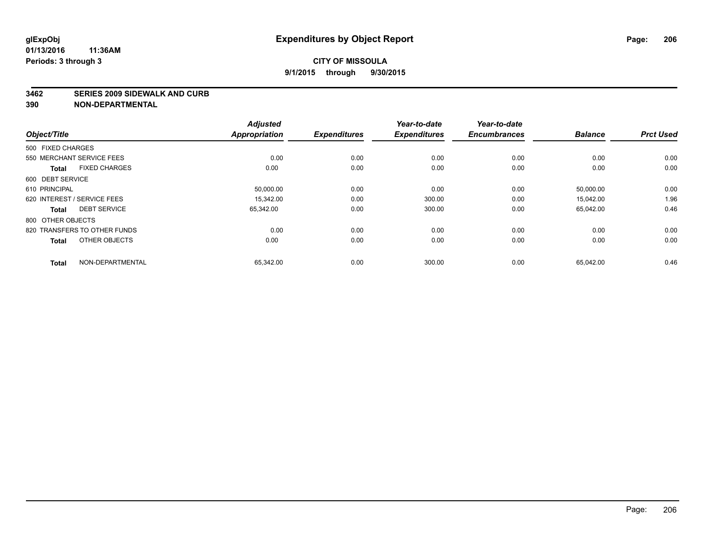#### **3462 SERIES 2009 SIDEWALK AND CURB**

| <b>Adjusted</b><br>Year-to-date<br>Year-to-date<br><b>Appropriation</b><br><b>Expenditures</b><br><b>Encumbrances</b><br><b>Balance</b><br><b>Prct Used</b><br><b>Expenditures</b> | Object/Title                         |
|------------------------------------------------------------------------------------------------------------------------------------------------------------------------------------|--------------------------------------|
|                                                                                                                                                                                    |                                      |
|                                                                                                                                                                                    | 500 FIXED CHARGES                    |
| 0.00<br>0.00<br>0.00<br>0.00<br>0.00<br>0.00                                                                                                                                       | 550 MERCHANT SERVICE FEES            |
| 0.00<br>0.00<br>0.00<br>0.00<br>0.00<br>0.00                                                                                                                                       | <b>FIXED CHARGES</b><br><b>Total</b> |
|                                                                                                                                                                                    | 600 DEBT SERVICE                     |
| 0.00<br>0.00<br>0.00<br>50,000.00<br>0.00<br>50,000.00                                                                                                                             | 610 PRINCIPAL                        |
| 1.96<br>0.00<br>0.00<br>300.00<br>15,042.00<br>15.342.00                                                                                                                           | 620 INTEREST / SERVICE FEES          |
| 0.46<br>0.00<br>300.00<br>0.00<br>65,042.00<br>65,342.00                                                                                                                           | <b>DEBT SERVICE</b><br><b>Total</b>  |
|                                                                                                                                                                                    | 800 OTHER OBJECTS                    |
| 0.00<br>0.00<br>0.00<br>0.00<br>0.00<br>0.00                                                                                                                                       | 820 TRANSFERS TO OTHER FUNDS         |
| 0.00<br>0.00<br>0.00<br>0.00<br>0.00<br>0.00                                                                                                                                       | OTHER OBJECTS<br><b>Total</b>        |
| 0.46                                                                                                                                                                               |                                      |
| 0.00<br>300.00<br>0.00<br>65,342.00<br>65,042.00                                                                                                                                   | NON-DEPARTMENTAL<br><b>Total</b>     |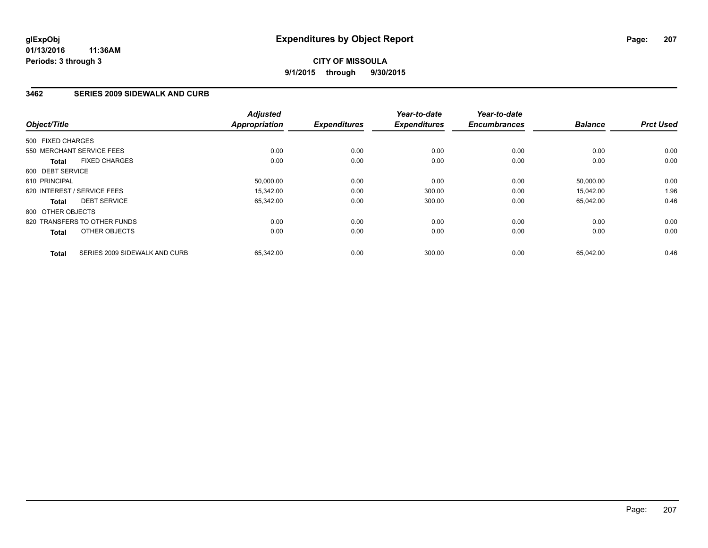# **CITY OF MISSOULA 9/1/2015 through 9/30/2015**

### **3462 SERIES 2009 SIDEWALK AND CURB**

| Object/Title      |                               | <b>Adjusted</b><br><b>Appropriation</b> | <b>Expenditures</b> | Year-to-date<br><b>Expenditures</b> | Year-to-date<br><b>Encumbrances</b> | <b>Balance</b> | <b>Prct Used</b> |
|-------------------|-------------------------------|-----------------------------------------|---------------------|-------------------------------------|-------------------------------------|----------------|------------------|
| 500 FIXED CHARGES |                               |                                         |                     |                                     |                                     |                |                  |
|                   | 550 MERCHANT SERVICE FEES     | 0.00                                    | 0.00                | 0.00                                | 0.00                                | 0.00           | 0.00             |
| <b>Total</b>      | <b>FIXED CHARGES</b>          | 0.00                                    | 0.00                | 0.00                                | 0.00                                | 0.00           | 0.00             |
| 600 DEBT SERVICE  |                               |                                         |                     |                                     |                                     |                |                  |
| 610 PRINCIPAL     |                               | 50,000.00                               | 0.00                | 0.00                                | 0.00                                | 50,000.00      | 0.00             |
|                   | 620 INTEREST / SERVICE FEES   | 15.342.00                               | 0.00                | 300.00                              | 0.00                                | 15,042.00      | 1.96             |
| <b>Total</b>      | <b>DEBT SERVICE</b>           | 65,342.00                               | 0.00                | 300.00                              | 0.00                                | 65,042.00      | 0.46             |
| 800 OTHER OBJECTS |                               |                                         |                     |                                     |                                     |                |                  |
|                   | 820 TRANSFERS TO OTHER FUNDS  | 0.00                                    | 0.00                | 0.00                                | 0.00                                | 0.00           | 0.00             |
| <b>Total</b>      | OTHER OBJECTS                 | 0.00                                    | 0.00                | 0.00                                | 0.00                                | 0.00           | 0.00             |
| <b>Total</b>      | SERIES 2009 SIDEWALK AND CURB | 65,342.00                               | 0.00                | 300.00                              | 0.00                                | 65,042.00      | 0.46             |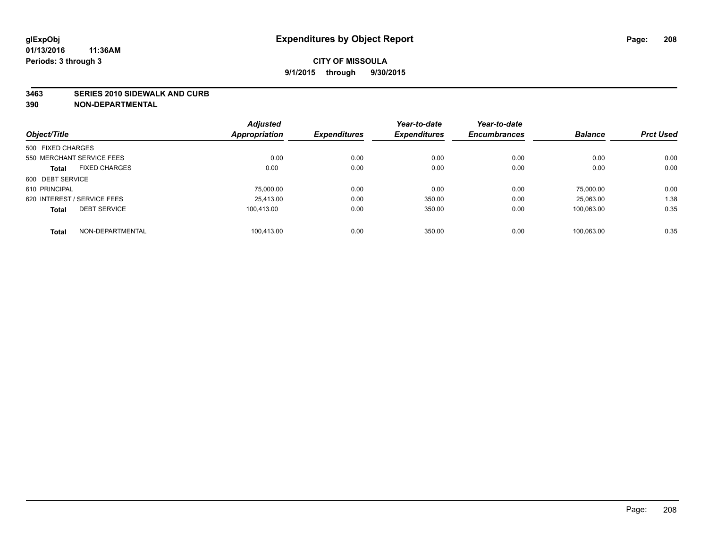#### **3463 SERIES 2010 SIDEWALK AND CURB**

|                                      | <b>Adjusted</b>      |                     | Year-to-date        | Year-to-date        |                |                  |
|--------------------------------------|----------------------|---------------------|---------------------|---------------------|----------------|------------------|
| Object/Title                         | <b>Appropriation</b> | <b>Expenditures</b> | <b>Expenditures</b> | <b>Encumbrances</b> | <b>Balance</b> | <b>Prct Used</b> |
| 500 FIXED CHARGES                    |                      |                     |                     |                     |                |                  |
| 550 MERCHANT SERVICE FEES            | 0.00                 | 0.00                | 0.00                | 0.00                | 0.00           | 0.00             |
| <b>FIXED CHARGES</b><br><b>Total</b> | 0.00                 | 0.00                | 0.00                | 0.00                | 0.00           | 0.00             |
| 600 DEBT SERVICE                     |                      |                     |                     |                     |                |                  |
| 610 PRINCIPAL                        | 75,000.00            | 0.00                | 0.00                | 0.00                | 75.000.00      | 0.00             |
| 620 INTEREST / SERVICE FEES          | 25.413.00            | 0.00                | 350.00              | 0.00                | 25,063.00      | 1.38             |
| <b>DEBT SERVICE</b><br><b>Total</b>  | 100.413.00           | 0.00                | 350.00              | 0.00                | 100.063.00     | 0.35             |
| NON-DEPARTMENTAL<br><b>Total</b>     | 100.413.00           | 0.00                | 350.00              | 0.00                | 100.063.00     | 0.35             |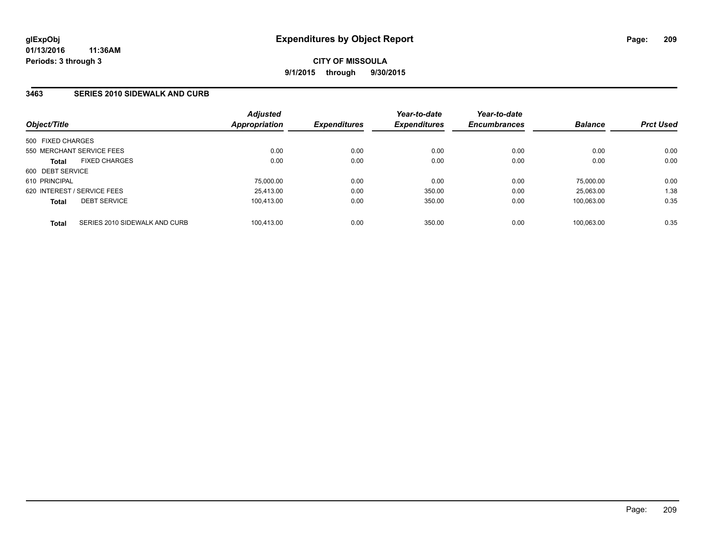### **3463 SERIES 2010 SIDEWALK AND CURB**

| Object/Title      |                               | <b>Adjusted</b><br>Appropriation | <b>Expenditures</b> | Year-to-date<br><b>Expenditures</b> | Year-to-date<br><b>Encumbrances</b> | <b>Balance</b> | <b>Prct Used</b> |
|-------------------|-------------------------------|----------------------------------|---------------------|-------------------------------------|-------------------------------------|----------------|------------------|
| 500 FIXED CHARGES |                               |                                  |                     |                                     |                                     |                |                  |
|                   | 550 MERCHANT SERVICE FEES     | 0.00                             | 0.00                | 0.00                                | 0.00                                | 0.00           | 0.00             |
| <b>Total</b>      | <b>FIXED CHARGES</b>          | 0.00                             | 0.00                | 0.00                                | 0.00                                | 0.00           | 0.00             |
| 600 DEBT SERVICE  |                               |                                  |                     |                                     |                                     |                |                  |
| 610 PRINCIPAL     |                               | 75,000.00                        | 0.00                | 0.00                                | 0.00                                | 75.000.00      | 0.00             |
|                   | 620 INTEREST / SERVICE FEES   | 25.413.00                        | 0.00                | 350.00                              | 0.00                                | 25.063.00      | 1.38             |
| <b>Total</b>      | <b>DEBT SERVICE</b>           | 100.413.00                       | 0.00                | 350.00                              | 0.00                                | 100.063.00     | 0.35             |
| <b>Total</b>      | SERIES 2010 SIDEWALK AND CURB | 100.413.00                       | 0.00                | 350.00                              | 0.00                                | 100.063.00     | 0.35             |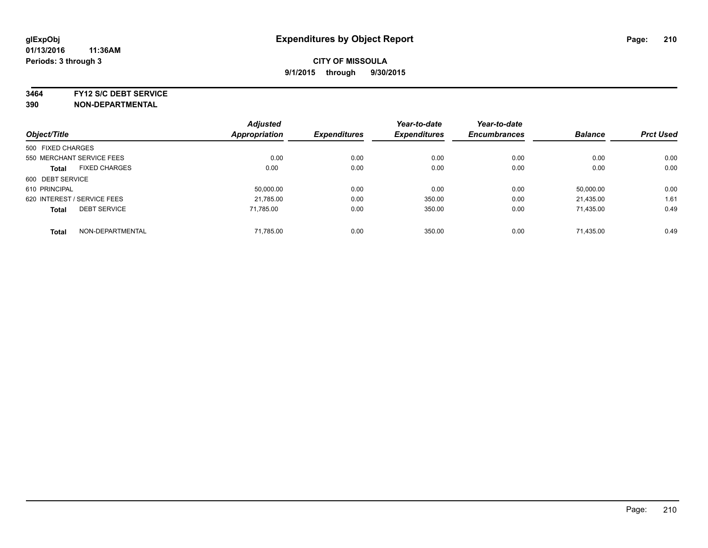**3464 FY12 S/C DEBT SERVICE**

| Object/Title                |                           | <b>Adjusted</b><br><b>Appropriation</b> | <b>Expenditures</b> | Year-to-date<br><b>Expenditures</b> | Year-to-date<br><b>Encumbrances</b> | <b>Balance</b> | <b>Prct Used</b> |
|-----------------------------|---------------------------|-----------------------------------------|---------------------|-------------------------------------|-------------------------------------|----------------|------------------|
|                             |                           |                                         |                     |                                     |                                     |                |                  |
| 500 FIXED CHARGES           |                           |                                         |                     |                                     |                                     |                |                  |
|                             | 550 MERCHANT SERVICE FEES | 0.00                                    | 0.00                | 0.00                                | 0.00                                | 0.00           | 0.00             |
| <b>Total</b>                | <b>FIXED CHARGES</b>      | 0.00                                    | 0.00                | 0.00                                | 0.00                                | 0.00           | 0.00             |
| 600 DEBT SERVICE            |                           |                                         |                     |                                     |                                     |                |                  |
| 610 PRINCIPAL               |                           | 50.000.00                               | 0.00                | 0.00                                | 0.00                                | 50.000.00      | 0.00             |
| 620 INTEREST / SERVICE FEES |                           | 21,785.00                               | 0.00                | 350.00                              | 0.00                                | 21,435.00      | 1.61             |
| <b>Total</b>                | <b>DEBT SERVICE</b>       | 71.785.00                               | 0.00                | 350.00                              | 0.00                                | 71,435.00      | 0.49             |
| <b>Total</b>                | NON-DEPARTMENTAL          | 71,785.00                               | 0.00                | 350.00                              | 0.00                                | 71.435.00      | 0.49             |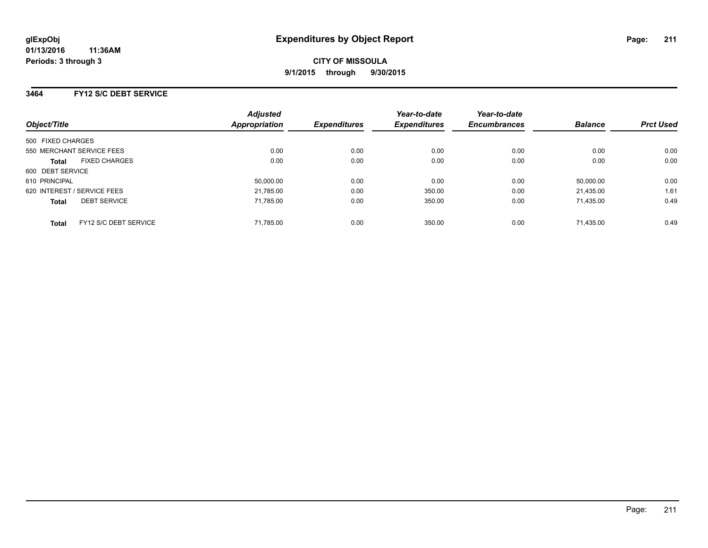# **3464 FY12 S/C DEBT SERVICE**

| Object/Title                          | <b>Adjusted</b><br><b>Appropriation</b> | <b>Expenditures</b> | Year-to-date<br><b>Expenditures</b> | Year-to-date<br><b>Encumbrances</b> | <b>Balance</b> | <b>Prct Used</b> |
|---------------------------------------|-----------------------------------------|---------------------|-------------------------------------|-------------------------------------|----------------|------------------|
| 500 FIXED CHARGES                     |                                         |                     |                                     |                                     |                |                  |
| 550 MERCHANT SERVICE FEES             | 0.00                                    | 0.00                | 0.00                                | 0.00                                | 0.00           | 0.00             |
|                                       |                                         |                     |                                     |                                     |                |                  |
| <b>FIXED CHARGES</b><br><b>Total</b>  | 0.00                                    | 0.00                | 0.00                                | 0.00                                | 0.00           | 0.00             |
| 600 DEBT SERVICE                      |                                         |                     |                                     |                                     |                |                  |
| 610 PRINCIPAL                         | 50,000.00                               | 0.00                | 0.00                                | 0.00                                | 50,000.00      | 0.00             |
| 620 INTEREST / SERVICE FEES           | 21,785.00                               | 0.00                | 350.00                              | 0.00                                | 21,435.00      | 1.61             |
| <b>DEBT SERVICE</b><br><b>Total</b>   | 71,785.00                               | 0.00                | 350.00                              | 0.00                                | 71.435.00      | 0.49             |
|                                       |                                         |                     |                                     |                                     |                |                  |
| FY12 S/C DEBT SERVICE<br><b>Total</b> | 71,785.00                               | 0.00                | 350.00                              | 0.00                                | 71.435.00      | 0.49             |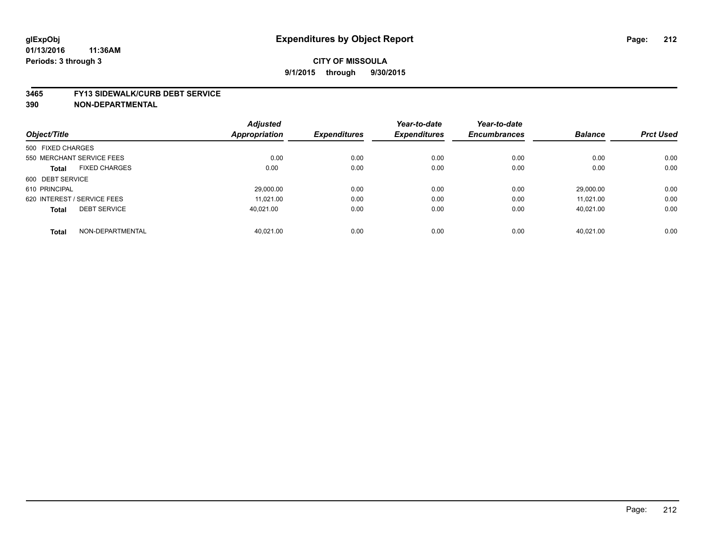#### **3465 FY13 SIDEWALK/CURB DEBT SERVICE**

|                                      | <b>Adjusted</b>      |                     | Year-to-date        | Year-to-date        |                |                  |
|--------------------------------------|----------------------|---------------------|---------------------|---------------------|----------------|------------------|
| Object/Title                         | <b>Appropriation</b> | <b>Expenditures</b> | <b>Expenditures</b> | <b>Encumbrances</b> | <b>Balance</b> | <b>Prct Used</b> |
| 500 FIXED CHARGES                    |                      |                     |                     |                     |                |                  |
| 550 MERCHANT SERVICE FEES            | 0.00                 | 0.00                | 0.00                | 0.00                | 0.00           | 0.00             |
| <b>FIXED CHARGES</b><br><b>Total</b> | 0.00                 | 0.00                | 0.00                | 0.00                | 0.00           | 0.00             |
| 600 DEBT SERVICE                     |                      |                     |                     |                     |                |                  |
| 610 PRINCIPAL                        | 29,000.00            | 0.00                | 0.00                | 0.00                | 29.000.00      | 0.00             |
| 620 INTEREST / SERVICE FEES          | 11.021.00            | 0.00                | 0.00                | 0.00                | 11.021.00      | 0.00             |
| <b>DEBT SERVICE</b><br><b>Total</b>  | 40.021.00            | 0.00                | 0.00                | 0.00                | 40.021.00      | 0.00             |
|                                      |                      |                     |                     |                     |                |                  |
| NON-DEPARTMENTAL<br><b>Total</b>     | 40.021.00            | 0.00                | 0.00                | 0.00                | 40.021.00      | 0.00             |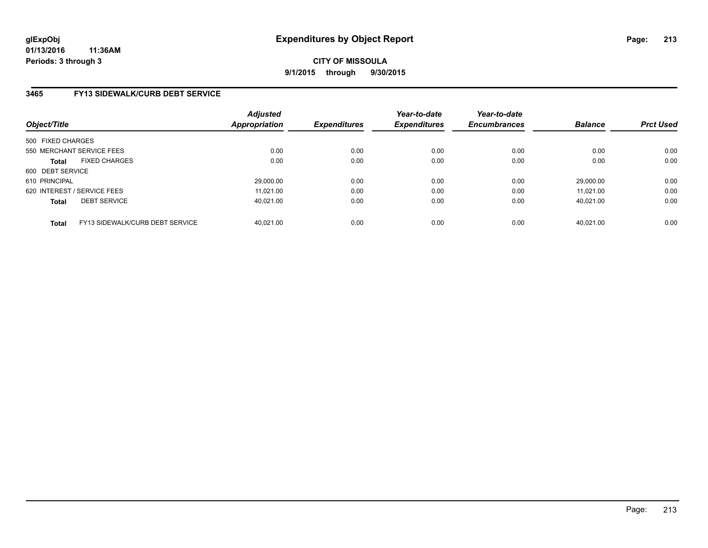**CITY OF MISSOULA 9/1/2015 through 9/30/2015**

# **3465 FY13 SIDEWALK/CURB DEBT SERVICE**

| Object/Title                |                                 | <b>Adjusted</b><br><b>Appropriation</b> | <b>Expenditures</b> | Year-to-date<br><b>Expenditures</b> | Year-to-date<br><b>Encumbrances</b> | <b>Balance</b> | <b>Prct Used</b> |
|-----------------------------|---------------------------------|-----------------------------------------|---------------------|-------------------------------------|-------------------------------------|----------------|------------------|
| 500 FIXED CHARGES           |                                 |                                         |                     |                                     |                                     |                |                  |
| 550 MERCHANT SERVICE FEES   |                                 | 0.00                                    | 0.00                | 0.00                                | 0.00                                | 0.00           | 0.00             |
| <b>Total</b>                | <b>FIXED CHARGES</b>            | 0.00                                    | 0.00                | 0.00                                | 0.00                                | 0.00           | 0.00             |
| 600 DEBT SERVICE            |                                 |                                         |                     |                                     |                                     |                |                  |
| 610 PRINCIPAL               |                                 | 29,000.00                               | 0.00                | 0.00                                | 0.00                                | 29.000.00      | 0.00             |
| 620 INTEREST / SERVICE FEES |                                 | 11.021.00                               | 0.00                | 0.00                                | 0.00                                | 11.021.00      | 0.00             |
| <b>Total</b>                | <b>DEBT SERVICE</b>             | 40.021.00                               | 0.00                | 0.00                                | 0.00                                | 40.021.00      | 0.00             |
| <b>Total</b>                | FY13 SIDEWALK/CURB DEBT SERVICE | 40.021.00                               | 0.00                | 0.00                                | 0.00                                | 40.021.00      | 0.00             |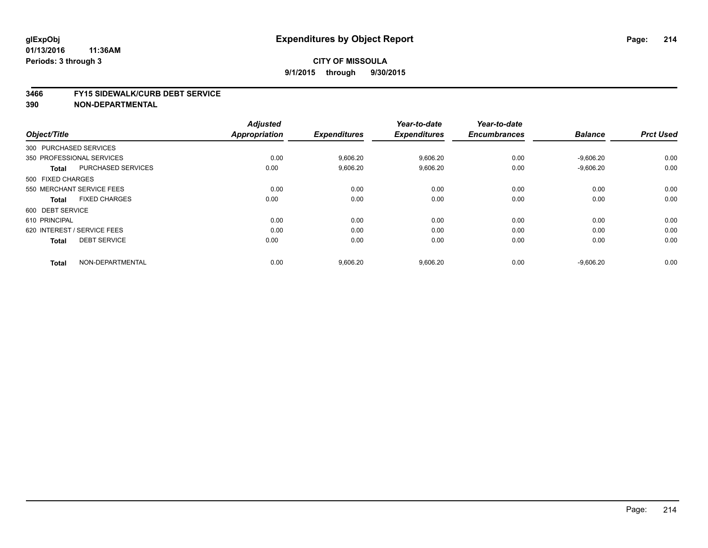# **CITY OF MISSOULA 9/1/2015 through 9/30/2015**

#### **3466 FY15 SIDEWALK/CURB DEBT SERVICE**

|                                           | <b>Adjusted</b>      |                     | Year-to-date        | Year-to-date        |                |                  |
|-------------------------------------------|----------------------|---------------------|---------------------|---------------------|----------------|------------------|
| Object/Title                              | <b>Appropriation</b> | <b>Expenditures</b> | <b>Expenditures</b> | <b>Encumbrances</b> | <b>Balance</b> | <b>Prct Used</b> |
| 300 PURCHASED SERVICES                    |                      |                     |                     |                     |                |                  |
| 350 PROFESSIONAL SERVICES                 | 0.00                 | 9,606.20            | 9,606.20            | 0.00                | $-9,606.20$    | 0.00             |
| <b>PURCHASED SERVICES</b><br><b>Total</b> | 0.00                 | 9,606.20            | 9,606.20            | 0.00                | $-9,606.20$    | 0.00             |
| 500 FIXED CHARGES                         |                      |                     |                     |                     |                |                  |
| 550 MERCHANT SERVICE FEES                 | 0.00                 | 0.00                | 0.00                | 0.00                | 0.00           | 0.00             |
| <b>FIXED CHARGES</b><br><b>Total</b>      | 0.00                 | 0.00                | 0.00                | 0.00                | 0.00           | 0.00             |
| 600 DEBT SERVICE                          |                      |                     |                     |                     |                |                  |
| 610 PRINCIPAL                             | 0.00                 | 0.00                | 0.00                | 0.00                | 0.00           | 0.00             |
| 620 INTEREST / SERVICE FEES               | 0.00                 | 0.00                | 0.00                | 0.00                | 0.00           | 0.00             |
| <b>DEBT SERVICE</b><br><b>Total</b>       | 0.00                 | 0.00                | 0.00                | 0.00                | 0.00           | 0.00             |
| NON-DEPARTMENTAL<br><b>Total</b>          | 0.00                 | 9,606.20            | 9,606.20            | 0.00                | $-9,606.20$    | 0.00             |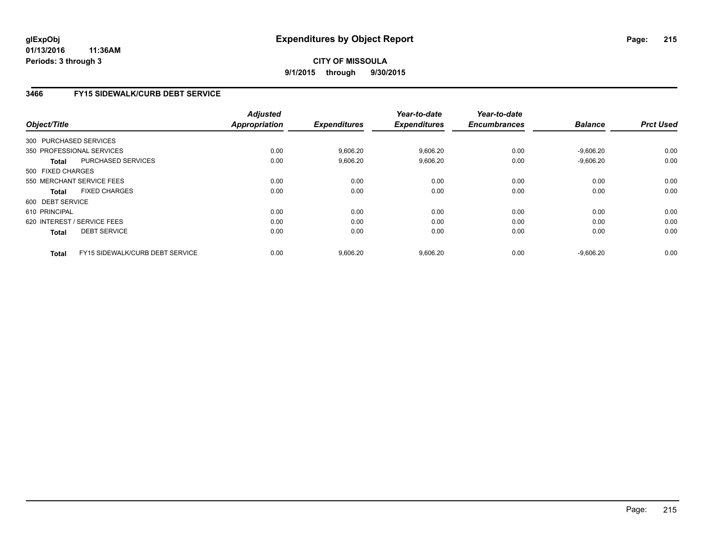# **CITY OF MISSOULA 9/1/2015 through 9/30/2015**

# **3466 FY15 SIDEWALK/CURB DEBT SERVICE**

| Object/Title      |                                        | <b>Adjusted</b><br><b>Appropriation</b> | <b>Expenditures</b> | Year-to-date<br><b>Expenditures</b> | Year-to-date<br><b>Encumbrances</b> | <b>Balance</b> | <b>Prct Used</b> |
|-------------------|----------------------------------------|-----------------------------------------|---------------------|-------------------------------------|-------------------------------------|----------------|------------------|
|                   | 300 PURCHASED SERVICES                 |                                         |                     |                                     |                                     |                |                  |
|                   | 350 PROFESSIONAL SERVICES              | 0.00                                    | 9,606.20            | 9,606.20                            | 0.00                                | $-9,606.20$    | 0.00             |
| <b>Total</b>      | <b>PURCHASED SERVICES</b>              | 0.00                                    | 9,606.20            | 9,606.20                            | 0.00                                | $-9,606.20$    | 0.00             |
| 500 FIXED CHARGES |                                        |                                         |                     |                                     |                                     |                |                  |
|                   | 550 MERCHANT SERVICE FEES              | 0.00                                    | 0.00                | 0.00                                | 0.00                                | 0.00           | 0.00             |
| Total             | <b>FIXED CHARGES</b>                   | 0.00                                    | 0.00                | 0.00                                | 0.00                                | 0.00           | 0.00             |
| 600 DEBT SERVICE  |                                        |                                         |                     |                                     |                                     |                |                  |
| 610 PRINCIPAL     |                                        | 0.00                                    | 0.00                | 0.00                                | 0.00                                | 0.00           | 0.00             |
|                   | 620 INTEREST / SERVICE FEES            | 0.00                                    | 0.00                | 0.00                                | 0.00                                | 0.00           | 0.00             |
| <b>Total</b>      | <b>DEBT SERVICE</b>                    | 0.00                                    | 0.00                | 0.00                                | 0.00                                | 0.00           | 0.00             |
| Total             | <b>FY15 SIDEWALK/CURB DEBT SERVICE</b> | 0.00                                    | 9,606.20            | 9,606.20                            | 0.00                                | $-9.606.20$    | 0.00             |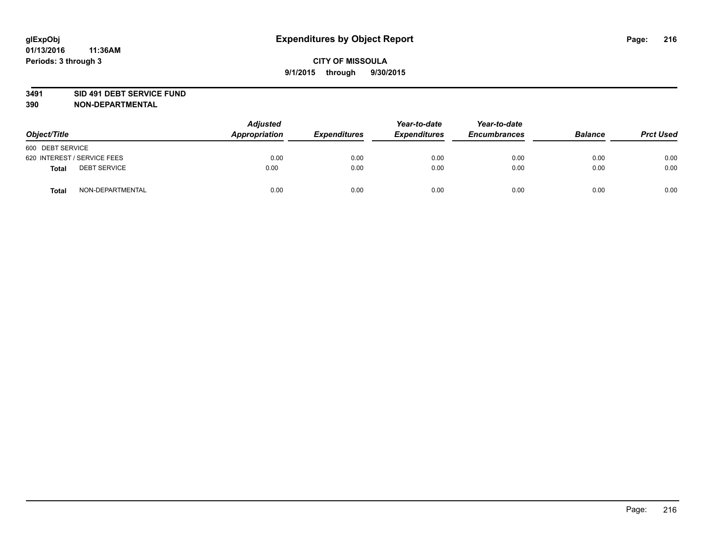### **3491 SID 491 DEBT SERVICE FUND**

| Object/Title                 | <b>Adjusted</b><br>Appropriation | <b>Expenditures</b> | Year-to-date<br><b>Expenditures</b> | Year-to-date<br><b>Encumbrances</b> | <b>Balance</b> | <b>Prct Used</b> |
|------------------------------|----------------------------------|---------------------|-------------------------------------|-------------------------------------|----------------|------------------|
| 600 DEBT SERVICE             |                                  |                     |                                     |                                     |                |                  |
| 620 INTEREST / SERVICE FEES  | 0.00                             | 0.00                | 0.00                                | 0.00                                | 0.00           | 0.00             |
| <b>DEBT SERVICE</b><br>Total | 0.00                             | 0.00                | 0.00                                | 0.00                                | 0.00           | 0.00             |
| NON-DEPARTMENTAL<br>Total    | 0.00                             | 0.00                | 0.00                                | 0.00                                | 0.00           | 0.00             |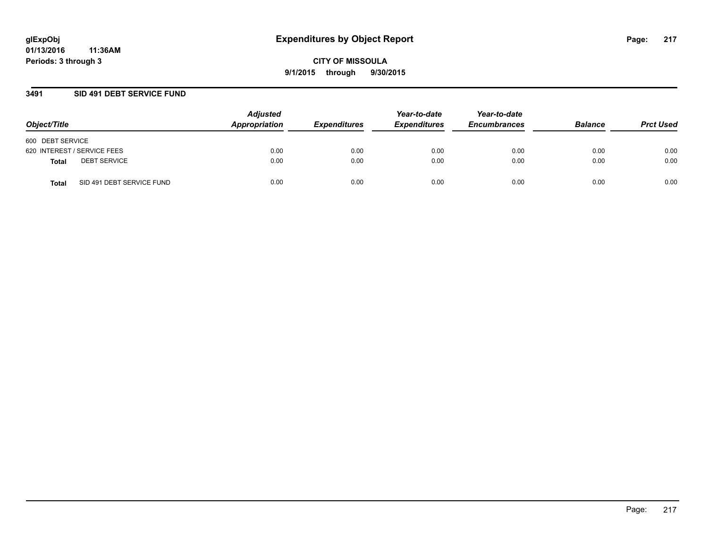### **3491 SID 491 DEBT SERVICE FUND**

| Object/Title                       | <b>Adjusted</b><br>Appropriation | <b>Expenditures</b> | Year-to-date<br><b>Expenditures</b> | Year-to-date<br><b>Encumbrances</b> | <b>Balance</b> | <b>Prct Used</b> |
|------------------------------------|----------------------------------|---------------------|-------------------------------------|-------------------------------------|----------------|------------------|
| 600 DEBT SERVICE                   |                                  |                     |                                     |                                     |                |                  |
| 620 INTEREST / SERVICE FEES        | 0.00                             | 0.00                | 0.00                                | 0.00                                | 0.00           | 0.00             |
| <b>DEBT SERVICE</b><br>Total       | 0.00                             | 0.00                | 0.00                                | 0.00                                | 0.00           | 0.00             |
| SID 491 DEBT SERVICE FUND<br>Total | 0.00                             | 0.00                | 0.00                                | 0.00                                | 0.00           | 0.00             |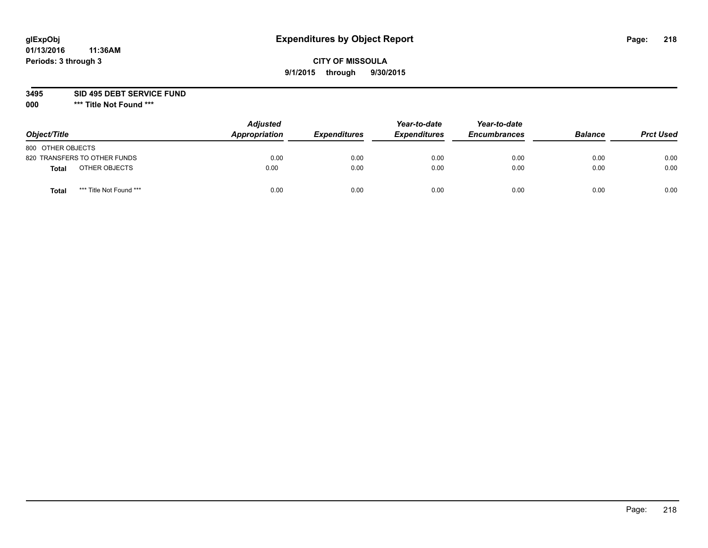# **CITY OF MISSOULA 9/1/2015 through 9/30/2015**

**3495 SID 495 DEBT SERVICE FUND**

| Object/Title                            | <b>Adjusted</b><br>Appropriation | <b>Expenditures</b> | Year-to-date<br><b>Expenditures</b> | Year-to-date<br><b>Encumbrances</b> | <b>Balance</b> | <b>Prct Used</b> |
|-----------------------------------------|----------------------------------|---------------------|-------------------------------------|-------------------------------------|----------------|------------------|
| 800 OTHER OBJECTS                       |                                  |                     |                                     |                                     |                |                  |
| 820 TRANSFERS TO OTHER FUNDS            | 0.00                             | 0.00                | 0.00                                | 0.00                                | 0.00           | 0.00             |
| OTHER OBJECTS<br><b>Total</b>           | 0.00                             | 0.00                | 0.00                                | 0.00                                | 0.00           | 0.00             |
| *** Title Not Found ***<br><b>Total</b> | 0.00                             | 0.00                | 0.00                                | 0.00                                | 0.00           | 0.00             |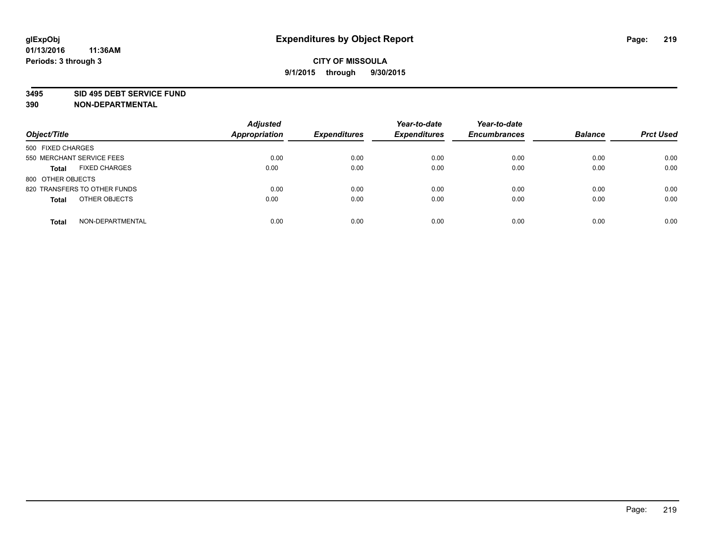#### **3495 SID 495 DEBT SERVICE FUND**

| Object/Title                         | <b>Adjusted</b><br><b>Appropriation</b> | <b>Expenditures</b> | Year-to-date<br><b>Expenditures</b> | Year-to-date<br><b>Encumbrances</b> | <b>Balance</b> | <b>Prct Used</b> |
|--------------------------------------|-----------------------------------------|---------------------|-------------------------------------|-------------------------------------|----------------|------------------|
| 500 FIXED CHARGES                    |                                         |                     |                                     |                                     |                |                  |
| 550 MERCHANT SERVICE FEES            | 0.00                                    | 0.00                | 0.00                                | 0.00                                | 0.00           | 0.00             |
| <b>FIXED CHARGES</b><br><b>Total</b> | 0.00                                    | 0.00                | 0.00                                | 0.00                                | 0.00           | 0.00             |
| 800 OTHER OBJECTS                    |                                         |                     |                                     |                                     |                |                  |
| 820 TRANSFERS TO OTHER FUNDS         | 0.00                                    | 0.00                | 0.00                                | 0.00                                | 0.00           | 0.00             |
| OTHER OBJECTS<br><b>Total</b>        | 0.00                                    | 0.00                | 0.00                                | 0.00                                | 0.00           | 0.00             |
| NON-DEPARTMENTAL<br><b>Total</b>     | 0.00                                    | 0.00                | 0.00                                | 0.00                                | 0.00           | 0.00             |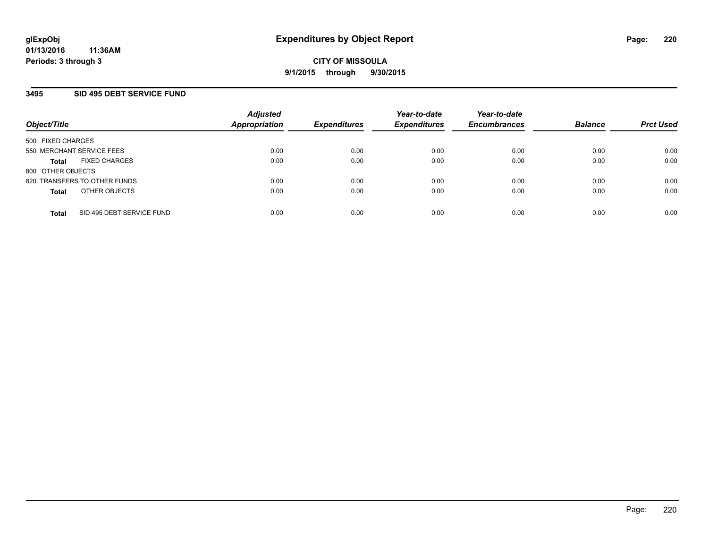## **3495 SID 495 DEBT SERVICE FUND**

| Object/Title                              | <b>Adjusted</b><br>Appropriation | <b>Expenditures</b> | Year-to-date<br><b>Expenditures</b> | Year-to-date<br><b>Encumbrances</b> | <b>Balance</b> | <b>Prct Used</b> |
|-------------------------------------------|----------------------------------|---------------------|-------------------------------------|-------------------------------------|----------------|------------------|
| 500 FIXED CHARGES                         |                                  |                     |                                     |                                     |                |                  |
| 550 MERCHANT SERVICE FEES                 | 0.00                             | 0.00                | 0.00                                | 0.00                                | 0.00           | 0.00             |
| <b>FIXED CHARGES</b><br><b>Total</b>      | 0.00                             | 0.00                | 0.00                                | 0.00                                | 0.00           | 0.00             |
| 800 OTHER OBJECTS                         |                                  |                     |                                     |                                     |                |                  |
| 820 TRANSFERS TO OTHER FUNDS              | 0.00                             | 0.00                | 0.00                                | 0.00                                | 0.00           | 0.00             |
| OTHER OBJECTS<br><b>Total</b>             | 0.00                             | 0.00                | 0.00                                | 0.00                                | 0.00           | 0.00             |
| SID 495 DEBT SERVICE FUND<br><b>Total</b> | 0.00                             | 0.00                | 0.00                                | 0.00                                | 0.00           | 0.00             |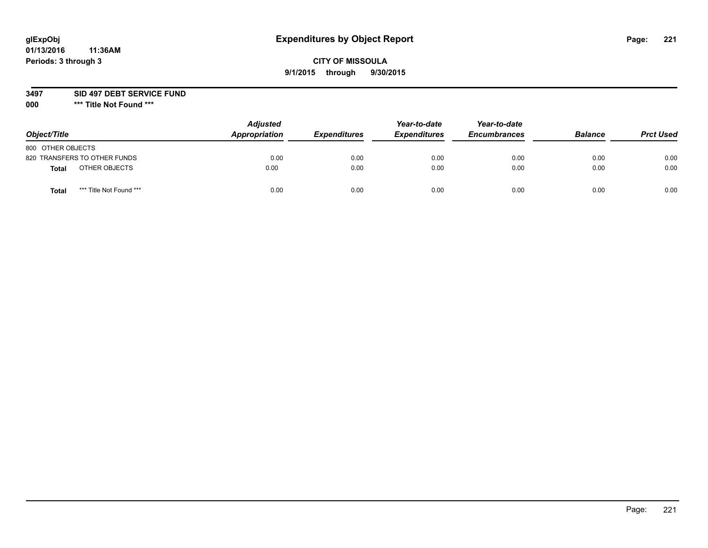# **CITY OF MISSOULA 9/1/2015 through 9/30/2015**

**3497 SID 497 DEBT SERVICE FUND**

| Object/Title                    | <b>Adjusted</b><br>Appropriation | <b>Expenditures</b> | Year-to-date<br><b>Expenditures</b> | Year-to-date<br><b>Encumbrances</b> | <b>Balance</b> | <b>Prct Used</b> |
|---------------------------------|----------------------------------|---------------------|-------------------------------------|-------------------------------------|----------------|------------------|
| 800 OTHER OBJECTS               |                                  |                     |                                     |                                     |                |                  |
| 820 TRANSFERS TO OTHER FUNDS    | 0.00                             | 0.00                | 0.00                                | 0.00                                | 0.00           | 0.00             |
| OTHER OBJECTS<br>Total          | 0.00                             | 0.00                | 0.00                                | 0.00                                | 0.00           | 0.00             |
| *** Title Not Found ***<br>Tota | 0.00                             | 0.00                | 0.00                                | 0.00                                | 0.00           | 0.00             |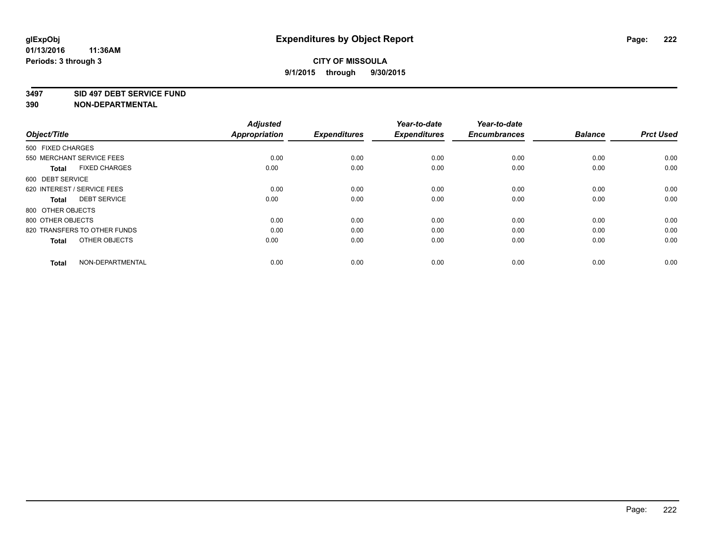#### **3497 SID 497 DEBT SERVICE FUND**

| Object/Title                         | <b>Adjusted</b><br><b>Appropriation</b> | <b>Expenditures</b> | Year-to-date<br><b>Expenditures</b> | Year-to-date<br><b>Encumbrances</b> | <b>Balance</b> | <b>Prct Used</b> |
|--------------------------------------|-----------------------------------------|---------------------|-------------------------------------|-------------------------------------|----------------|------------------|
| 500 FIXED CHARGES                    |                                         |                     |                                     |                                     |                |                  |
| 550 MERCHANT SERVICE FEES            | 0.00                                    | 0.00                | 0.00                                | 0.00                                | 0.00           | 0.00             |
| <b>FIXED CHARGES</b><br><b>Total</b> | 0.00                                    | 0.00                | 0.00                                | 0.00                                | 0.00           | 0.00             |
| 600 DEBT SERVICE                     |                                         |                     |                                     |                                     |                |                  |
| 620 INTEREST / SERVICE FEES          | 0.00                                    | 0.00                | 0.00                                | 0.00                                | 0.00           | 0.00             |
| <b>DEBT SERVICE</b><br>Total         | 0.00                                    | 0.00                | 0.00                                | 0.00                                | 0.00           | 0.00             |
| 800 OTHER OBJECTS                    |                                         |                     |                                     |                                     |                |                  |
| 800 OTHER OBJECTS                    | 0.00                                    | 0.00                | 0.00                                | 0.00                                | 0.00           | 0.00             |
| 820 TRANSFERS TO OTHER FUNDS         | 0.00                                    | 0.00                | 0.00                                | 0.00                                | 0.00           | 0.00             |
| OTHER OBJECTS<br><b>Total</b>        | 0.00                                    | 0.00                | 0.00                                | 0.00                                | 0.00           | 0.00             |
|                                      |                                         |                     |                                     |                                     |                |                  |
| NON-DEPARTMENTAL<br><b>Total</b>     | 0.00                                    | 0.00                | 0.00                                | 0.00                                | 0.00           | 0.00             |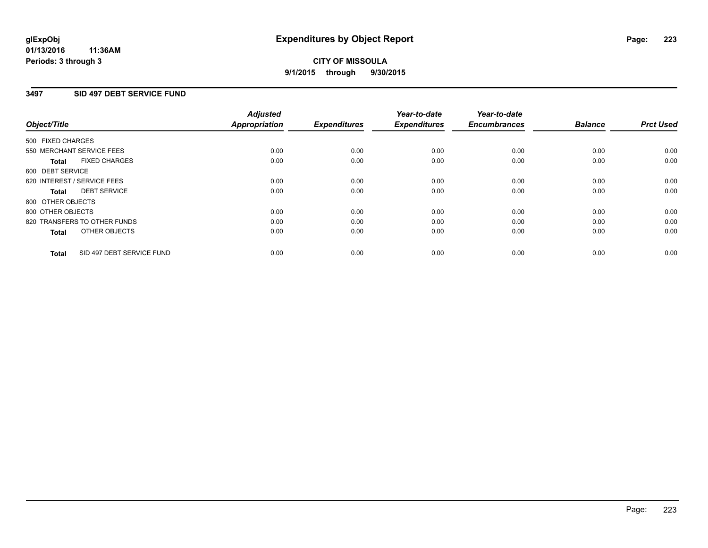## **3497 SID 497 DEBT SERVICE FUND**

|                                           | <b>Adjusted</b>      | <b>Expenditures</b> | Year-to-date<br><b>Expenditures</b> | Year-to-date<br><b>Encumbrances</b> | <b>Balance</b> | <b>Prct Used</b> |
|-------------------------------------------|----------------------|---------------------|-------------------------------------|-------------------------------------|----------------|------------------|
| Object/Title                              | <b>Appropriation</b> |                     |                                     |                                     |                |                  |
| 500 FIXED CHARGES                         |                      |                     |                                     |                                     |                |                  |
| 550 MERCHANT SERVICE FEES                 | 0.00                 | 0.00                | 0.00                                | 0.00                                | 0.00           | 0.00             |
| <b>FIXED CHARGES</b><br>Total             | 0.00                 | 0.00                | 0.00                                | 0.00                                | 0.00           | 0.00             |
| 600 DEBT SERVICE                          |                      |                     |                                     |                                     |                |                  |
| 620 INTEREST / SERVICE FEES               | 0.00                 | 0.00                | 0.00                                | 0.00                                | 0.00           | 0.00             |
| <b>DEBT SERVICE</b><br>Total              | 0.00                 | 0.00                | 0.00                                | 0.00                                | 0.00           | 0.00             |
| 800 OTHER OBJECTS                         |                      |                     |                                     |                                     |                |                  |
| 800 OTHER OBJECTS                         | 0.00                 | 0.00                | 0.00                                | 0.00                                | 0.00           | 0.00             |
| 820 TRANSFERS TO OTHER FUNDS              | 0.00                 | 0.00                | 0.00                                | 0.00                                | 0.00           | 0.00             |
| OTHER OBJECTS<br><b>Total</b>             | 0.00                 | 0.00                | 0.00                                | 0.00                                | 0.00           | 0.00             |
|                                           |                      |                     |                                     |                                     |                |                  |
| SID 497 DEBT SERVICE FUND<br><b>Total</b> | 0.00                 | 0.00                | 0.00                                | 0.00                                | 0.00           | 0.00             |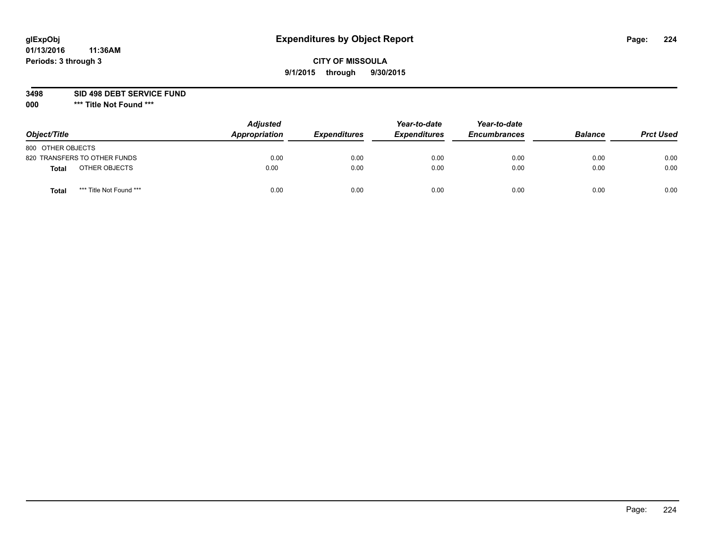# **CITY OF MISSOULA 9/1/2015 through 9/30/2015**

**3498 SID 498 DEBT SERVICE FUND**

| Object/Title      |                              | <b>Adjusted</b><br>Appropriation | <b>Expenditures</b> | Year-to-date<br><b>Expenditures</b> | Year-to-date<br><b>Encumbrances</b> | <b>Balance</b> | <b>Prct Used</b> |
|-------------------|------------------------------|----------------------------------|---------------------|-------------------------------------|-------------------------------------|----------------|------------------|
| 800 OTHER OBJECTS |                              |                                  |                     |                                     |                                     |                |                  |
|                   | 820 TRANSFERS TO OTHER FUNDS | 0.00                             | 0.00                | 0.00                                | 0.00                                | 0.00           | 0.00             |
| Total             | OTHER OBJECTS                | 0.00                             | 0.00                | 0.00                                | 0.00                                | 0.00           | 0.00             |
| Tota              | *** Title Not Found ***      | 0.00                             | 0.00                | 0.00                                | 0.00                                | 0.00           | 0.00             |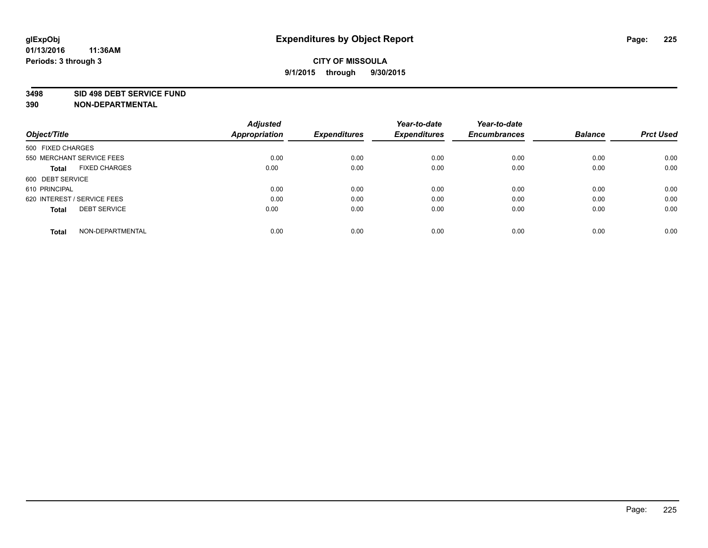#### **3498 SID 498 DEBT SERVICE FUND**

| Object/Title                         | <b>Adjusted</b><br><b>Appropriation</b> | <b>Expenditures</b> | Year-to-date<br><b>Expenditures</b> | Year-to-date<br><b>Encumbrances</b> | <b>Balance</b> | <b>Prct Used</b> |
|--------------------------------------|-----------------------------------------|---------------------|-------------------------------------|-------------------------------------|----------------|------------------|
|                                      |                                         |                     |                                     |                                     |                |                  |
| 500 FIXED CHARGES                    |                                         |                     |                                     |                                     |                |                  |
| 550 MERCHANT SERVICE FEES            | 0.00                                    | 0.00                | 0.00                                | 0.00                                | 0.00           | 0.00             |
| <b>FIXED CHARGES</b><br><b>Total</b> | 0.00                                    | 0.00                | 0.00                                | 0.00                                | 0.00           | 0.00             |
| 600 DEBT SERVICE                     |                                         |                     |                                     |                                     |                |                  |
| 610 PRINCIPAL                        | 0.00                                    | 0.00                | 0.00                                | 0.00                                | 0.00           | 0.00             |
| 620 INTEREST / SERVICE FEES          | 0.00                                    | 0.00                | 0.00                                | 0.00                                | 0.00           | 0.00             |
| <b>DEBT SERVICE</b><br><b>Total</b>  | 0.00                                    | 0.00                | 0.00                                | 0.00                                | 0.00           | 0.00             |
|                                      |                                         |                     |                                     |                                     |                |                  |
| NON-DEPARTMENTAL<br><b>Total</b>     | 0.00                                    | 0.00                | 0.00                                | 0.00                                | 0.00           | 0.00             |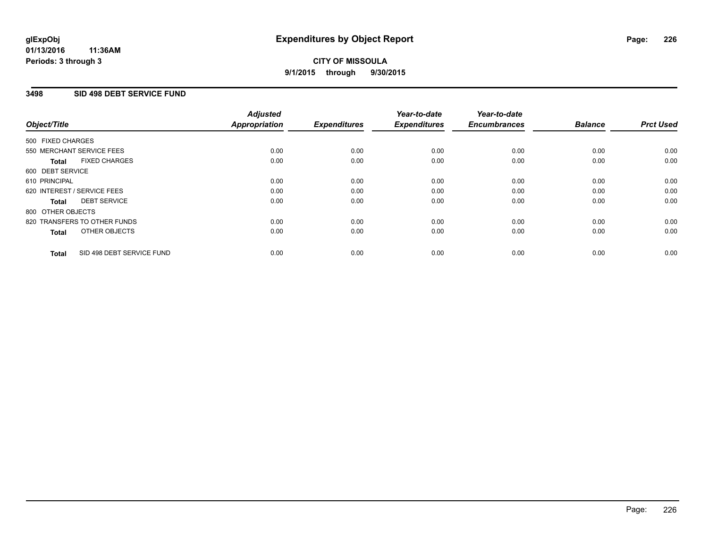### **3498 SID 498 DEBT SERVICE FUND**

| Object/Title                              | <b>Adjusted</b><br><b>Appropriation</b> | <b>Expenditures</b> | Year-to-date<br><b>Expenditures</b> | Year-to-date<br><b>Encumbrances</b> | <b>Balance</b> | <b>Prct Used</b> |
|-------------------------------------------|-----------------------------------------|---------------------|-------------------------------------|-------------------------------------|----------------|------------------|
|                                           |                                         |                     |                                     |                                     |                |                  |
| 500 FIXED CHARGES                         |                                         |                     |                                     |                                     |                |                  |
| 550 MERCHANT SERVICE FEES                 | 0.00                                    | 0.00                | 0.00                                | 0.00                                | 0.00           | 0.00             |
| <b>FIXED CHARGES</b><br>Total             | 0.00                                    | 0.00                | 0.00                                | 0.00                                | 0.00           | 0.00             |
| 600 DEBT SERVICE                          |                                         |                     |                                     |                                     |                |                  |
| 610 PRINCIPAL                             | 0.00                                    | 0.00                | 0.00                                | 0.00                                | 0.00           | 0.00             |
| 620 INTEREST / SERVICE FEES               | 0.00                                    | 0.00                | 0.00                                | 0.00                                | 0.00           | 0.00             |
| <b>DEBT SERVICE</b><br><b>Total</b>       | 0.00                                    | 0.00                | 0.00                                | 0.00                                | 0.00           | 0.00             |
| 800 OTHER OBJECTS                         |                                         |                     |                                     |                                     |                |                  |
| 820 TRANSFERS TO OTHER FUNDS              | 0.00                                    | 0.00                | 0.00                                | 0.00                                | 0.00           | 0.00             |
| OTHER OBJECTS<br><b>Total</b>             | 0.00                                    | 0.00                | 0.00                                | 0.00                                | 0.00           | 0.00             |
|                                           |                                         |                     |                                     |                                     |                |                  |
| SID 498 DEBT SERVICE FUND<br><b>Total</b> | 0.00                                    | 0.00                | 0.00                                | 0.00                                | 0.00           | 0.00             |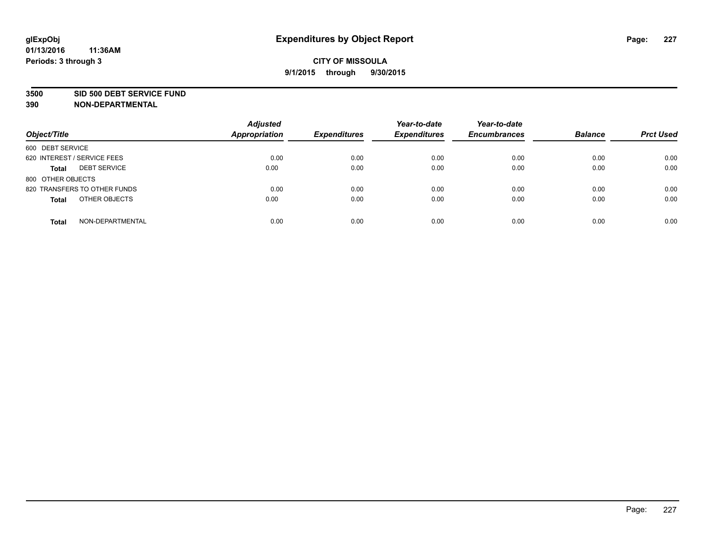#### **3500 SID 500 DEBT SERVICE FUND**

| Object/Title                        | <b>Adjusted</b><br><b>Appropriation</b> | <b>Expenditures</b> | Year-to-date<br><b>Expenditures</b> | Year-to-date<br><b>Encumbrances</b> | <b>Balance</b> | <b>Prct Used</b> |
|-------------------------------------|-----------------------------------------|---------------------|-------------------------------------|-------------------------------------|----------------|------------------|
| 600 DEBT SERVICE                    |                                         |                     |                                     |                                     |                |                  |
| 620 INTEREST / SERVICE FEES         | 0.00                                    | 0.00                | 0.00                                | 0.00                                | 0.00           | 0.00             |
| <b>DEBT SERVICE</b><br><b>Total</b> | 0.00                                    | 0.00                | 0.00                                | 0.00                                | 0.00           | 0.00             |
| 800 OTHER OBJECTS                   |                                         |                     |                                     |                                     |                |                  |
| 820 TRANSFERS TO OTHER FUNDS        | 0.00                                    | 0.00                | 0.00                                | 0.00                                | 0.00           | 0.00             |
| OTHER OBJECTS<br><b>Total</b>       | 0.00                                    | 0.00                | 0.00                                | 0.00                                | 0.00           | 0.00             |
| NON-DEPARTMENTAL<br><b>Total</b>    | 0.00                                    | 0.00                | 0.00                                | 0.00                                | 0.00           | 0.00             |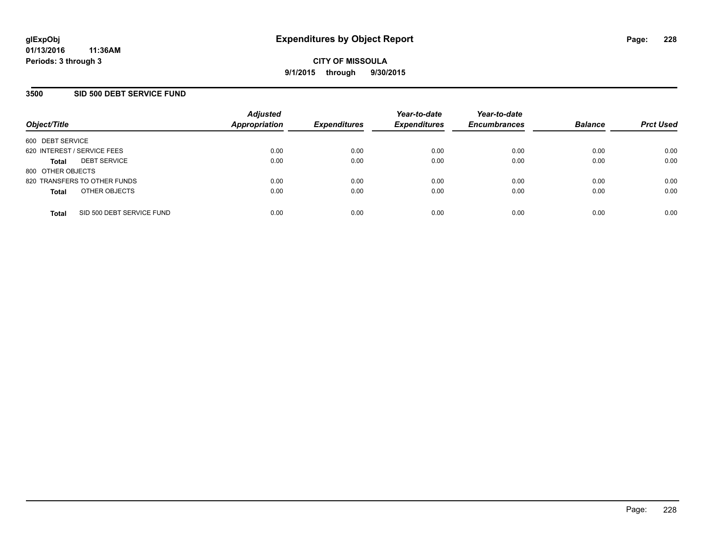### **3500 SID 500 DEBT SERVICE FUND**

| Object/Title                |                              | <b>Adjusted</b><br><b>Appropriation</b> | <b>Expenditures</b> | Year-to-date<br><b>Expenditures</b> | Year-to-date<br><b>Encumbrances</b> | <b>Balance</b> | <b>Prct Used</b> |
|-----------------------------|------------------------------|-----------------------------------------|---------------------|-------------------------------------|-------------------------------------|----------------|------------------|
| 600 DEBT SERVICE            |                              |                                         |                     |                                     |                                     |                |                  |
| 620 INTEREST / SERVICE FEES |                              | 0.00                                    | 0.00                | 0.00                                | 0.00                                | 0.00           | 0.00             |
| <b>Total</b>                | <b>DEBT SERVICE</b>          | 0.00                                    | 0.00                | 0.00                                | 0.00                                | 0.00           | 0.00             |
| 800 OTHER OBJECTS           |                              |                                         |                     |                                     |                                     |                |                  |
|                             | 820 TRANSFERS TO OTHER FUNDS | 0.00                                    | 0.00                | 0.00                                | 0.00                                | 0.00           | 0.00             |
| <b>Total</b>                | OTHER OBJECTS                | 0.00                                    | 0.00                | 0.00                                | 0.00                                | 0.00           | 0.00             |
| <b>Total</b>                | SID 500 DEBT SERVICE FUND    | 0.00                                    | 0.00                | 0.00                                | 0.00                                | 0.00           | 0.00             |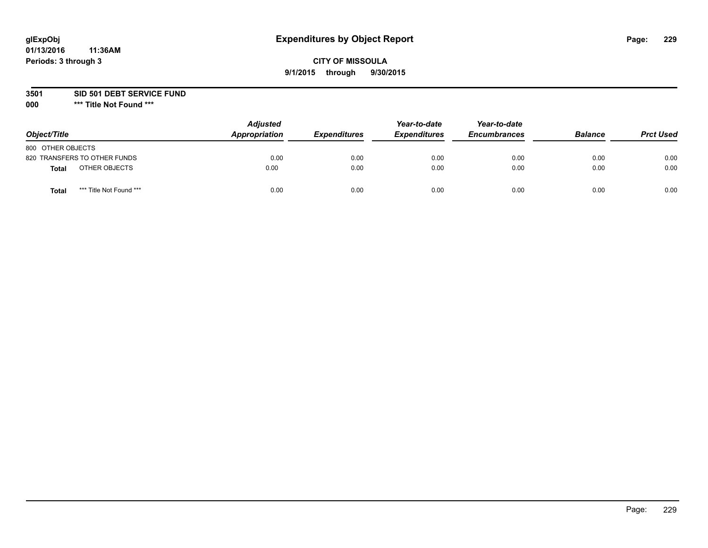# **CITY OF MISSOULA 9/1/2015 through 9/30/2015**

**3501 SID 501 DEBT SERVICE FUND**

| Object/Title      |                              | <b>Adjusted</b><br>Appropriation | <b>Expenditures</b> | Year-to-date<br><b>Expenditures</b> | Year-to-date<br><b>Encumbrances</b> | <b>Balance</b> | <b>Prct Used</b> |
|-------------------|------------------------------|----------------------------------|---------------------|-------------------------------------|-------------------------------------|----------------|------------------|
| 800 OTHER OBJECTS |                              |                                  |                     |                                     |                                     |                |                  |
|                   | 820 TRANSFERS TO OTHER FUNDS | 0.00                             | 0.00                | 0.00                                | 0.00                                | 0.00           | 0.00             |
| Total             | OTHER OBJECTS                | 0.00                             | 0.00                | 0.00                                | 0.00                                | 0.00           | 0.00             |
| Tota              | *** Title Not Found ***      | 0.00                             | 0.00                | 0.00                                | 0.00                                | 0.00           | 0.00             |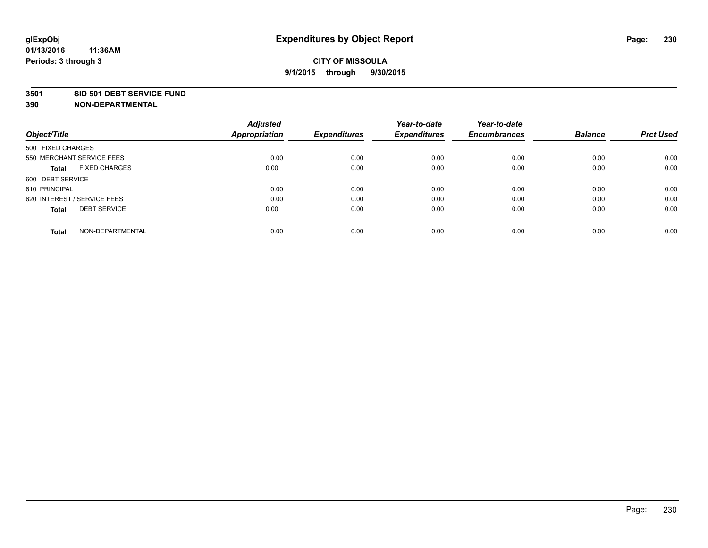#### **3501 SID 501 DEBT SERVICE FUND**

| Object/Title                         | <b>Adjusted</b><br><b>Appropriation</b> | <b>Expenditures</b> | Year-to-date<br><b>Expenditures</b> | Year-to-date<br><b>Encumbrances</b> | <b>Balance</b> | <b>Prct Used</b> |
|--------------------------------------|-----------------------------------------|---------------------|-------------------------------------|-------------------------------------|----------------|------------------|
| 500 FIXED CHARGES                    |                                         |                     |                                     |                                     |                |                  |
| 550 MERCHANT SERVICE FEES            | 0.00                                    | 0.00                | 0.00                                | 0.00                                | 0.00           | 0.00             |
| <b>FIXED CHARGES</b><br><b>Total</b> | 0.00                                    | 0.00                | 0.00                                | 0.00                                | 0.00           | 0.00             |
| 600 DEBT SERVICE                     |                                         |                     |                                     |                                     |                |                  |
| 610 PRINCIPAL                        | 0.00                                    | 0.00                | 0.00                                | 0.00                                | 0.00           | 0.00             |
| 620 INTEREST / SERVICE FEES          | 0.00                                    | 0.00                | 0.00                                | 0.00                                | 0.00           | 0.00             |
| <b>DEBT SERVICE</b><br><b>Total</b>  | 0.00                                    | 0.00                | 0.00                                | 0.00                                | 0.00           | 0.00             |
| NON-DEPARTMENTAL<br><b>Total</b>     | 0.00                                    | 0.00                | 0.00                                | 0.00                                | 0.00           | 0.00             |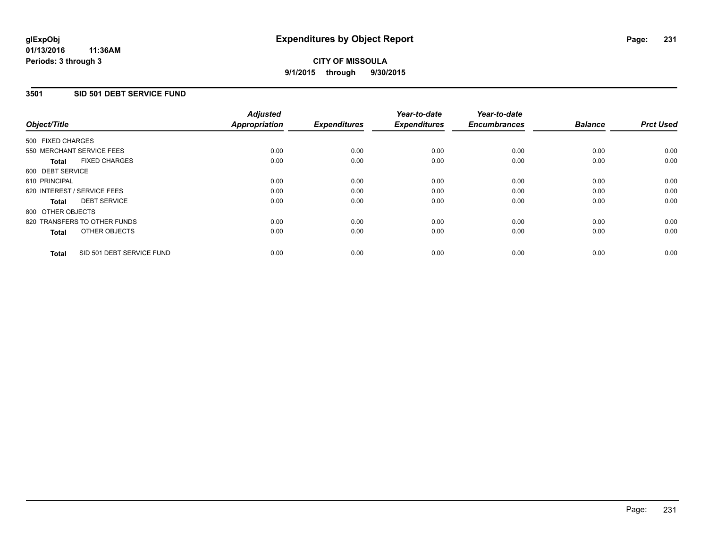# **3501 SID 501 DEBT SERVICE FUND**

| Object/Title                              | <b>Adjusted</b><br><b>Appropriation</b> | <b>Expenditures</b> | Year-to-date<br><b>Expenditures</b> | Year-to-date<br><b>Encumbrances</b> | <b>Balance</b> | <b>Prct Used</b> |
|-------------------------------------------|-----------------------------------------|---------------------|-------------------------------------|-------------------------------------|----------------|------------------|
|                                           |                                         |                     |                                     |                                     |                |                  |
| 500 FIXED CHARGES                         |                                         |                     |                                     |                                     |                |                  |
| 550 MERCHANT SERVICE FEES                 | 0.00                                    | 0.00                | 0.00                                | 0.00                                | 0.00           | 0.00             |
| <b>FIXED CHARGES</b><br>Total             | 0.00                                    | 0.00                | 0.00                                | 0.00                                | 0.00           | 0.00             |
| 600 DEBT SERVICE                          |                                         |                     |                                     |                                     |                |                  |
| 610 PRINCIPAL                             | 0.00                                    | 0.00                | 0.00                                | 0.00                                | 0.00           | 0.00             |
| 620 INTEREST / SERVICE FEES               | 0.00                                    | 0.00                | 0.00                                | 0.00                                | 0.00           | 0.00             |
| <b>DEBT SERVICE</b><br><b>Total</b>       | 0.00                                    | 0.00                | 0.00                                | 0.00                                | 0.00           | 0.00             |
| 800 OTHER OBJECTS                         |                                         |                     |                                     |                                     |                |                  |
| 820 TRANSFERS TO OTHER FUNDS              | 0.00                                    | 0.00                | 0.00                                | 0.00                                | 0.00           | 0.00             |
| OTHER OBJECTS<br><b>Total</b>             | 0.00                                    | 0.00                | 0.00                                | 0.00                                | 0.00           | 0.00             |
|                                           |                                         |                     |                                     |                                     |                |                  |
| SID 501 DEBT SERVICE FUND<br><b>Total</b> | 0.00                                    | 0.00                | 0.00                                | 0.00                                | 0.00           | 0.00             |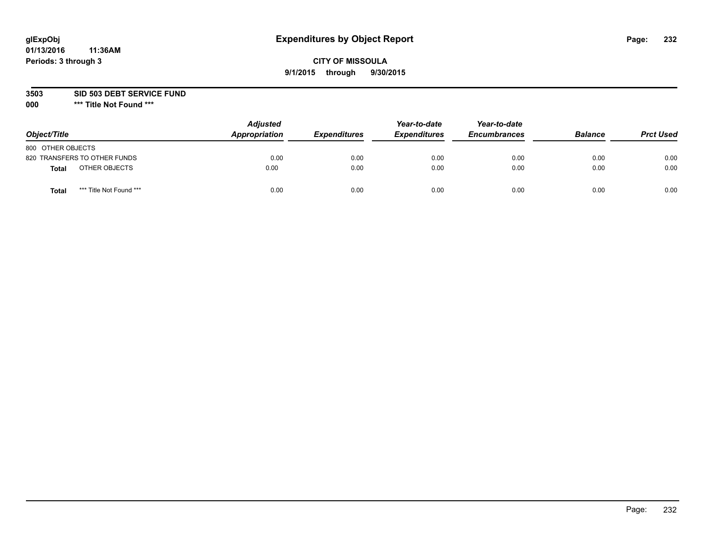# **CITY OF MISSOULA 9/1/2015 through 9/30/2015**

**3503 SID 503 DEBT SERVICE FUND**

| Object/Title                            | <b>Adjusted</b><br>Appropriation | <b>Expenditures</b> | Year-to-date<br><b>Expenditures</b> | Year-to-date<br><b>Encumbrances</b> | <b>Balance</b> | <b>Prct Used</b> |
|-----------------------------------------|----------------------------------|---------------------|-------------------------------------|-------------------------------------|----------------|------------------|
| 800 OTHER OBJECTS                       |                                  |                     |                                     |                                     |                |                  |
| 820 TRANSFERS TO OTHER FUNDS            | 0.00                             | 0.00                | 0.00                                | 0.00                                | 0.00           | 0.00             |
| OTHER OBJECTS<br><b>Total</b>           | 0.00                             | 0.00                | 0.00                                | 0.00                                | 0.00           | 0.00             |
| *** Title Not Found ***<br><b>Total</b> | 0.00                             | 0.00                | 0.00                                | 0.00                                | 0.00           | 0.00             |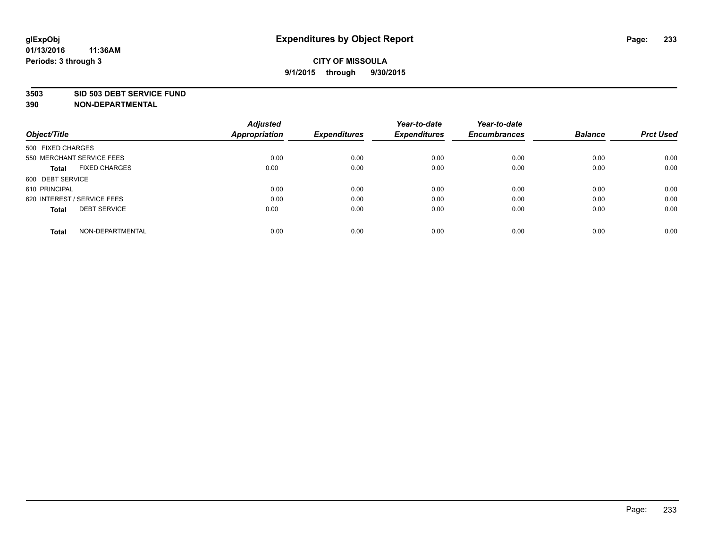#### **3503 SID 503 DEBT SERVICE FUND**

| Object/Title                         | <b>Adjusted</b><br><b>Appropriation</b> | <b>Expenditures</b> | Year-to-date<br><b>Expenditures</b> | Year-to-date<br><b>Encumbrances</b> | <b>Balance</b> | <b>Prct Used</b> |
|--------------------------------------|-----------------------------------------|---------------------|-------------------------------------|-------------------------------------|----------------|------------------|
|                                      |                                         |                     |                                     |                                     |                |                  |
| 500 FIXED CHARGES                    |                                         |                     |                                     |                                     |                |                  |
| 550 MERCHANT SERVICE FEES            | 0.00                                    | 0.00                | 0.00                                | 0.00                                | 0.00           | 0.00             |
| <b>FIXED CHARGES</b><br><b>Total</b> | 0.00                                    | 0.00                | 0.00                                | 0.00                                | 0.00           | 0.00             |
| 600 DEBT SERVICE                     |                                         |                     |                                     |                                     |                |                  |
| 610 PRINCIPAL                        | 0.00                                    | 0.00                | 0.00                                | 0.00                                | 0.00           | 0.00             |
| 620 INTEREST / SERVICE FEES          | 0.00                                    | 0.00                | 0.00                                | 0.00                                | 0.00           | 0.00             |
| <b>DEBT SERVICE</b><br><b>Total</b>  | 0.00                                    | 0.00                | 0.00                                | 0.00                                | 0.00           | 0.00             |
|                                      |                                         |                     |                                     |                                     |                |                  |
| NON-DEPARTMENTAL<br><b>Total</b>     | 0.00                                    | 0.00                | 0.00                                | 0.00                                | 0.00           | 0.00             |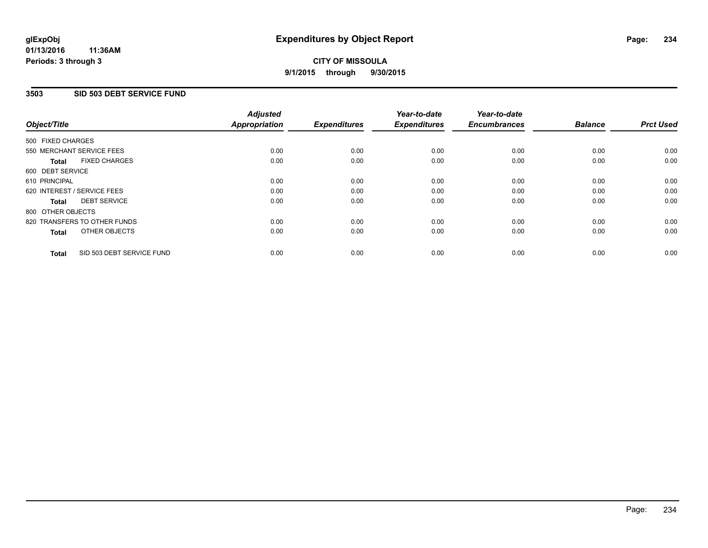### **3503 SID 503 DEBT SERVICE FUND**

| Object/Title                              | <b>Adjusted</b><br><b>Appropriation</b> | <b>Expenditures</b> | Year-to-date<br><b>Expenditures</b> | Year-to-date<br><b>Encumbrances</b> | <b>Balance</b> | <b>Prct Used</b> |
|-------------------------------------------|-----------------------------------------|---------------------|-------------------------------------|-------------------------------------|----------------|------------------|
|                                           |                                         |                     |                                     |                                     |                |                  |
| 500 FIXED CHARGES                         |                                         |                     |                                     |                                     |                |                  |
| 550 MERCHANT SERVICE FEES                 | 0.00                                    | 0.00                | 0.00                                | 0.00                                | 0.00           | 0.00             |
| <b>FIXED CHARGES</b><br>Total             | 0.00                                    | 0.00                | 0.00                                | 0.00                                | 0.00           | 0.00             |
| 600 DEBT SERVICE                          |                                         |                     |                                     |                                     |                |                  |
| 610 PRINCIPAL                             | 0.00                                    | 0.00                | 0.00                                | 0.00                                | 0.00           | 0.00             |
| 620 INTEREST / SERVICE FEES               | 0.00                                    | 0.00                | 0.00                                | 0.00                                | 0.00           | 0.00             |
| <b>DEBT SERVICE</b><br><b>Total</b>       | 0.00                                    | 0.00                | 0.00                                | 0.00                                | 0.00           | 0.00             |
| 800 OTHER OBJECTS                         |                                         |                     |                                     |                                     |                |                  |
| 820 TRANSFERS TO OTHER FUNDS              | 0.00                                    | 0.00                | 0.00                                | 0.00                                | 0.00           | 0.00             |
| OTHER OBJECTS<br><b>Total</b>             | 0.00                                    | 0.00                | 0.00                                | 0.00                                | 0.00           | 0.00             |
|                                           |                                         |                     |                                     |                                     |                |                  |
| SID 503 DEBT SERVICE FUND<br><b>Total</b> | 0.00                                    | 0.00                | 0.00                                | 0.00                                | 0.00           | 0.00             |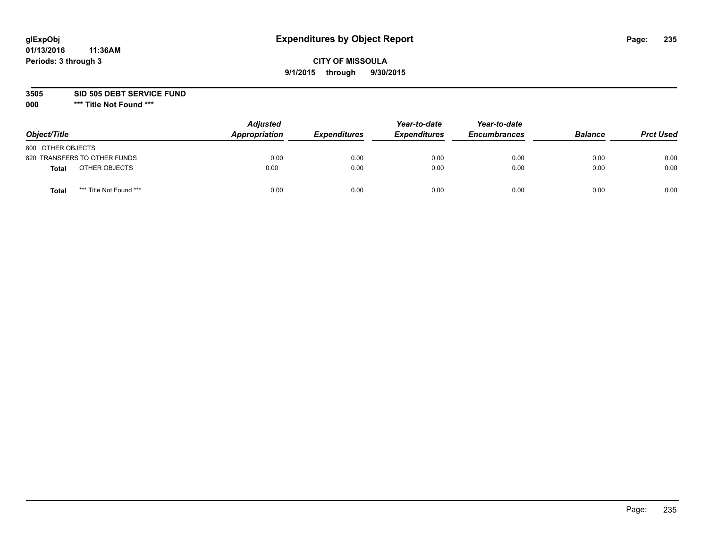# **CITY OF MISSOULA 9/1/2015 through 9/30/2015**

**3505 SID 505 DEBT SERVICE FUND**

| Object/Title                            | <b>Adjusted</b><br>Appropriation | <b>Expenditures</b> | Year-to-date<br><b>Expenditures</b> | Year-to-date<br><b>Encumbrances</b> | <b>Balance</b> | <b>Prct Used</b> |
|-----------------------------------------|----------------------------------|---------------------|-------------------------------------|-------------------------------------|----------------|------------------|
| 800 OTHER OBJECTS                       |                                  |                     |                                     |                                     |                |                  |
| 820 TRANSFERS TO OTHER FUNDS            | 0.00                             | 0.00                | 0.00                                | 0.00                                | 0.00           | 0.00             |
| OTHER OBJECTS<br><b>Total</b>           | 0.00                             | 0.00                | 0.00                                | 0.00                                | 0.00           | 0.00             |
| *** Title Not Found ***<br><b>Total</b> | 0.00                             | 0.00                | 0.00                                | 0.00                                | 0.00           | 0.00             |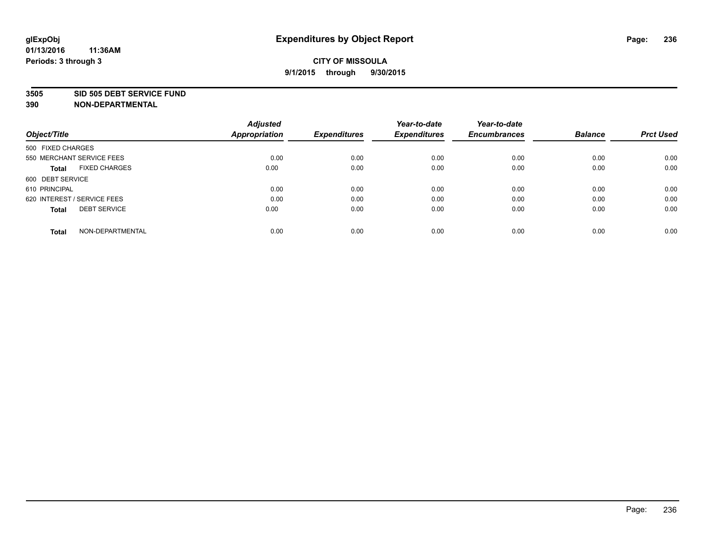#### **3505 SID 505 DEBT SERVICE FUND**

| Object/Title                         | <b>Adjusted</b><br><b>Appropriation</b> | <b>Expenditures</b> | Year-to-date<br><b>Expenditures</b> | Year-to-date<br><b>Encumbrances</b> | <b>Balance</b> | <b>Prct Used</b> |
|--------------------------------------|-----------------------------------------|---------------------|-------------------------------------|-------------------------------------|----------------|------------------|
|                                      |                                         |                     |                                     |                                     |                |                  |
| 500 FIXED CHARGES                    |                                         |                     |                                     |                                     |                |                  |
| 550 MERCHANT SERVICE FEES            | 0.00                                    | 0.00                | 0.00                                | 0.00                                | 0.00           | 0.00             |
| <b>FIXED CHARGES</b><br><b>Total</b> | 0.00                                    | 0.00                | 0.00                                | 0.00                                | 0.00           | 0.00             |
| 600 DEBT SERVICE                     |                                         |                     |                                     |                                     |                |                  |
| 610 PRINCIPAL                        | 0.00                                    | 0.00                | 0.00                                | 0.00                                | 0.00           | 0.00             |
| 620 INTEREST / SERVICE FEES          | 0.00                                    | 0.00                | 0.00                                | 0.00                                | 0.00           | 0.00             |
| <b>DEBT SERVICE</b><br><b>Total</b>  | 0.00                                    | 0.00                | 0.00                                | 0.00                                | 0.00           | 0.00             |
|                                      |                                         |                     |                                     |                                     |                |                  |
| NON-DEPARTMENTAL<br><b>Total</b>     | 0.00                                    | 0.00                | 0.00                                | 0.00                                | 0.00           | 0.00             |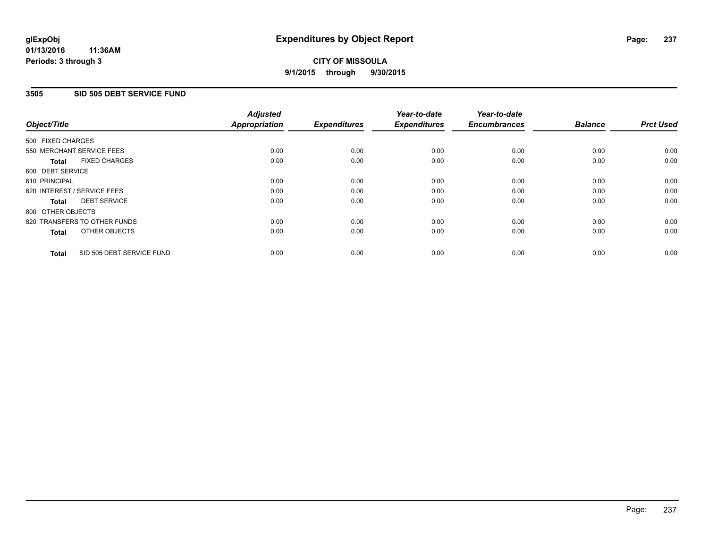### **3505 SID 505 DEBT SERVICE FUND**

| Object/Title                              | <b>Adjusted</b><br><b>Appropriation</b> | <b>Expenditures</b> | Year-to-date<br><b>Expenditures</b> | Year-to-date<br><b>Encumbrances</b> | <b>Balance</b> | <b>Prct Used</b> |
|-------------------------------------------|-----------------------------------------|---------------------|-------------------------------------|-------------------------------------|----------------|------------------|
|                                           |                                         |                     |                                     |                                     |                |                  |
| 500 FIXED CHARGES                         |                                         |                     |                                     |                                     |                |                  |
| 550 MERCHANT SERVICE FEES                 | 0.00                                    | 0.00                | 0.00                                | 0.00                                | 0.00           | 0.00             |
| <b>FIXED CHARGES</b><br>Total             | 0.00                                    | 0.00                | 0.00                                | 0.00                                | 0.00           | 0.00             |
| 600 DEBT SERVICE                          |                                         |                     |                                     |                                     |                |                  |
| 610 PRINCIPAL                             | 0.00                                    | 0.00                | 0.00                                | 0.00                                | 0.00           | 0.00             |
| 620 INTEREST / SERVICE FEES               | 0.00                                    | 0.00                | 0.00                                | 0.00                                | 0.00           | 0.00             |
| <b>DEBT SERVICE</b><br><b>Total</b>       | 0.00                                    | 0.00                | 0.00                                | 0.00                                | 0.00           | 0.00             |
| 800 OTHER OBJECTS                         |                                         |                     |                                     |                                     |                |                  |
| 820 TRANSFERS TO OTHER FUNDS              | 0.00                                    | 0.00                | 0.00                                | 0.00                                | 0.00           | 0.00             |
| OTHER OBJECTS<br><b>Total</b>             | 0.00                                    | 0.00                | 0.00                                | 0.00                                | 0.00           | 0.00             |
|                                           |                                         |                     |                                     |                                     |                |                  |
| SID 505 DEBT SERVICE FUND<br><b>Total</b> | 0.00                                    | 0.00                | 0.00                                | 0.00                                | 0.00           | 0.00             |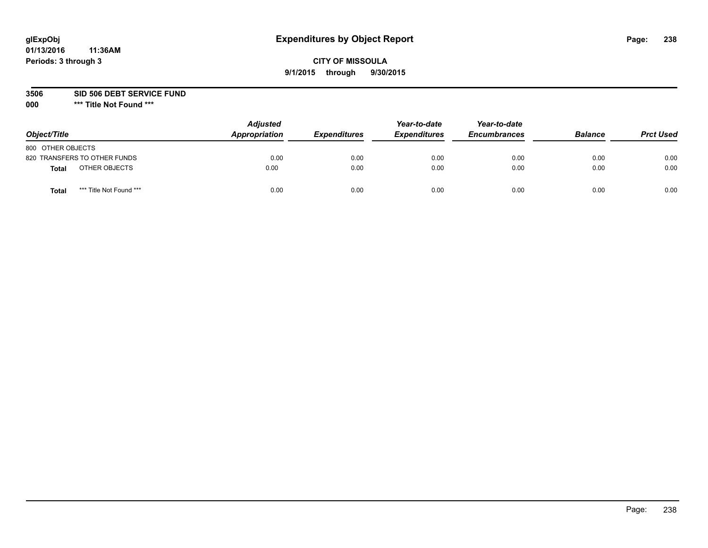# **CITY OF MISSOULA 9/1/2015 through 9/30/2015**

**3506 SID 506 DEBT SERVICE FUND**

| Object/Title                            | <b>Adjusted</b><br>Appropriation | <b>Expenditures</b> | Year-to-date<br><b>Expenditures</b> | Year-to-date<br><b>Encumbrances</b> | <b>Balance</b> | <b>Prct Used</b> |
|-----------------------------------------|----------------------------------|---------------------|-------------------------------------|-------------------------------------|----------------|------------------|
| 800 OTHER OBJECTS                       |                                  |                     |                                     |                                     |                |                  |
| 820 TRANSFERS TO OTHER FUNDS            | 0.00                             | 0.00                | 0.00                                | 0.00                                | 0.00           | 0.00             |
| OTHER OBJECTS<br><b>Total</b>           | 0.00                             | 0.00                | 0.00                                | 0.00                                | 0.00           | 0.00             |
| *** Title Not Found ***<br><b>Total</b> | 0.00                             | 0.00                | 0.00                                | 0.00                                | 0.00           | 0.00             |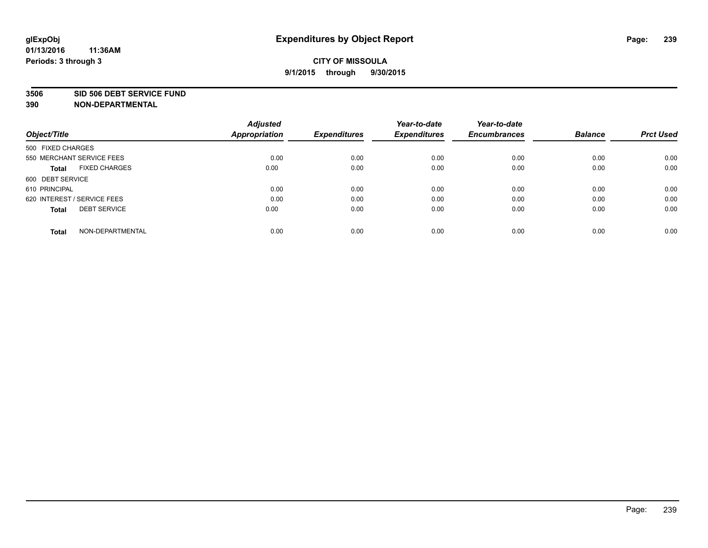#### **3506 SID 506 DEBT SERVICE FUND**

| Object/Title                         | <b>Adjusted</b><br><b>Appropriation</b> | <b>Expenditures</b> | Year-to-date<br><b>Expenditures</b> | Year-to-date<br><b>Encumbrances</b> | <b>Balance</b> | <b>Prct Used</b> |
|--------------------------------------|-----------------------------------------|---------------------|-------------------------------------|-------------------------------------|----------------|------------------|
|                                      |                                         |                     |                                     |                                     |                |                  |
| 500 FIXED CHARGES                    |                                         |                     |                                     |                                     |                |                  |
| 550 MERCHANT SERVICE FEES            | 0.00                                    | 0.00                | 0.00                                | 0.00                                | 0.00           | 0.00             |
| <b>FIXED CHARGES</b><br><b>Total</b> | 0.00                                    | 0.00                | 0.00                                | 0.00                                | 0.00           | 0.00             |
| 600 DEBT SERVICE                     |                                         |                     |                                     |                                     |                |                  |
| 610 PRINCIPAL                        | 0.00                                    | 0.00                | 0.00                                | 0.00                                | 0.00           | 0.00             |
| 620 INTEREST / SERVICE FEES          | 0.00                                    | 0.00                | 0.00                                | 0.00                                | 0.00           | 0.00             |
| <b>DEBT SERVICE</b><br><b>Total</b>  | 0.00                                    | 0.00                | 0.00                                | 0.00                                | 0.00           | 0.00             |
|                                      |                                         |                     |                                     |                                     |                |                  |
| NON-DEPARTMENTAL<br><b>Total</b>     | 0.00                                    | 0.00                | 0.00                                | 0.00                                | 0.00           | 0.00             |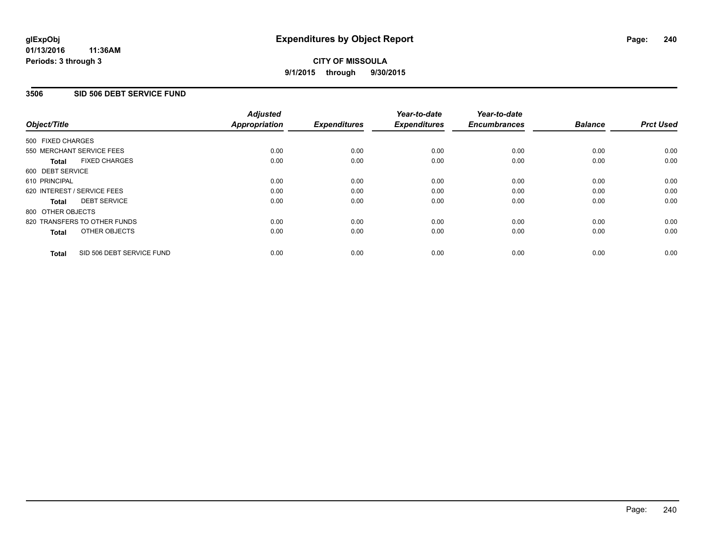### **3506 SID 506 DEBT SERVICE FUND**

|                                           | <b>Adjusted</b>      | <b>Expenditures</b> | Year-to-date<br><b>Expenditures</b> | Year-to-date<br><b>Encumbrances</b> | <b>Balance</b> | <b>Prct Used</b> |
|-------------------------------------------|----------------------|---------------------|-------------------------------------|-------------------------------------|----------------|------------------|
| Object/Title                              | <b>Appropriation</b> |                     |                                     |                                     |                |                  |
| 500 FIXED CHARGES                         |                      |                     |                                     |                                     |                |                  |
| 550 MERCHANT SERVICE FEES                 | 0.00                 | 0.00                | 0.00                                | 0.00                                | 0.00           | 0.00             |
| <b>FIXED CHARGES</b><br><b>Total</b>      | 0.00                 | 0.00                | 0.00                                | 0.00                                | 0.00           | 0.00             |
| 600 DEBT SERVICE                          |                      |                     |                                     |                                     |                |                  |
| 610 PRINCIPAL                             | 0.00                 | 0.00                | 0.00                                | 0.00                                | 0.00           | 0.00             |
| 620 INTEREST / SERVICE FEES               | 0.00                 | 0.00                | 0.00                                | 0.00                                | 0.00           | 0.00             |
| <b>DEBT SERVICE</b><br><b>Total</b>       | 0.00                 | 0.00                | 0.00                                | 0.00                                | 0.00           | 0.00             |
| 800 OTHER OBJECTS                         |                      |                     |                                     |                                     |                |                  |
| 820 TRANSFERS TO OTHER FUNDS              | 0.00                 | 0.00                | 0.00                                | 0.00                                | 0.00           | 0.00             |
| OTHER OBJECTS<br><b>Total</b>             | 0.00                 | 0.00                | 0.00                                | 0.00                                | 0.00           | 0.00             |
| SID 506 DEBT SERVICE FUND<br><b>Total</b> | 0.00                 | 0.00                | 0.00                                | 0.00                                | 0.00           | 0.00             |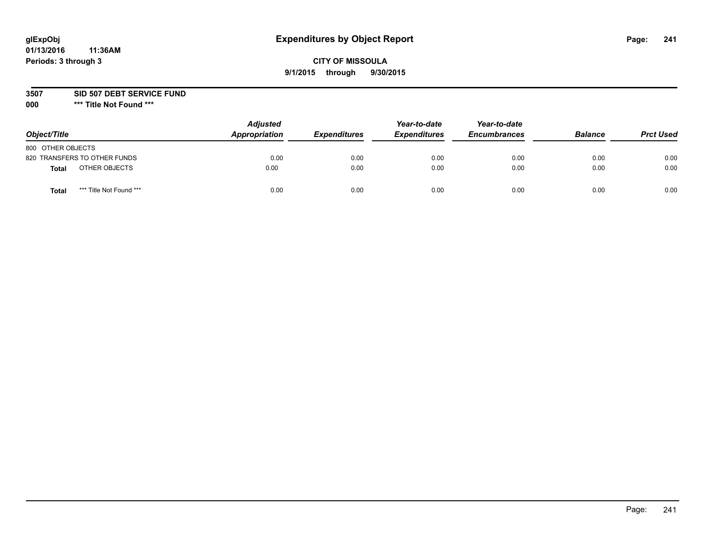# **CITY OF MISSOULA 9/1/2015 through 9/30/2015**

**3507 SID 507 DEBT SERVICE FUND**

| Object/Title                            | <b>Adjusted</b><br>Appropriation | <b>Expenditures</b> | Year-to-date<br><b>Expenditures</b> | Year-to-date<br><b>Encumbrances</b> | <b>Balance</b> | <b>Prct Used</b> |
|-----------------------------------------|----------------------------------|---------------------|-------------------------------------|-------------------------------------|----------------|------------------|
| 800 OTHER OBJECTS                       |                                  |                     |                                     |                                     |                |                  |
| 820 TRANSFERS TO OTHER FUNDS            | 0.00                             | 0.00                | 0.00                                | 0.00                                | 0.00           | 0.00             |
| OTHER OBJECTS<br><b>Total</b>           | 0.00                             | 0.00                | 0.00                                | 0.00                                | 0.00           | 0.00             |
| *** Title Not Found ***<br><b>Total</b> | 0.00                             | 0.00                | 0.00                                | 0.00                                | 0.00           | 0.00             |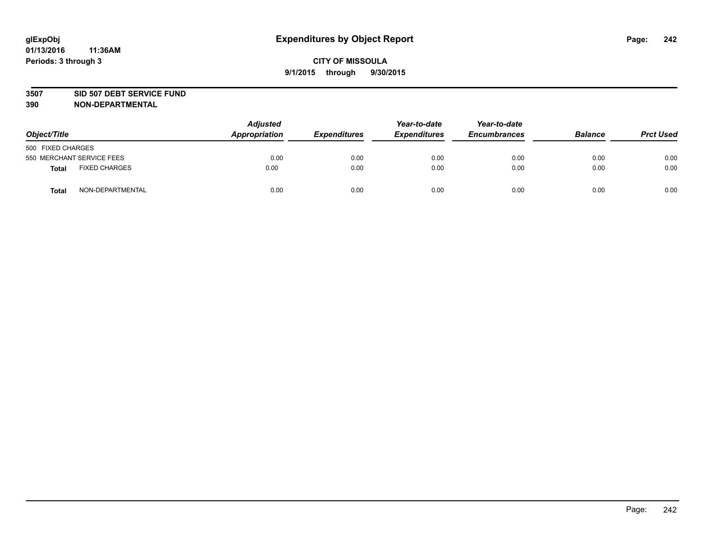#### **3507 SID 507 DEBT SERVICE FUND**

| Object/Title      |                           | <b>Adjusted</b><br>Appropriation | <b>Expenditures</b> | Year-to-date<br><b>Expenditures</b> | Year-to-date<br><b>Encumbrances</b> | <b>Balance</b> | <b>Prct Used</b> |
|-------------------|---------------------------|----------------------------------|---------------------|-------------------------------------|-------------------------------------|----------------|------------------|
| 500 FIXED CHARGES |                           |                                  |                     |                                     |                                     |                |                  |
|                   | 550 MERCHANT SERVICE FEES | 0.00                             | 0.00                | 0.00                                | 0.00                                | 0.00           | 0.00             |
| <b>Total</b>      | <b>FIXED CHARGES</b>      | 0.00                             | 0.00                | 0.00                                | 0.00                                | 0.00           | 0.00             |
| <b>Total</b>      | NON-DEPARTMENTAL          | 0.00                             | 0.00                | 0.00                                | 0.00                                | 0.00           | 0.00             |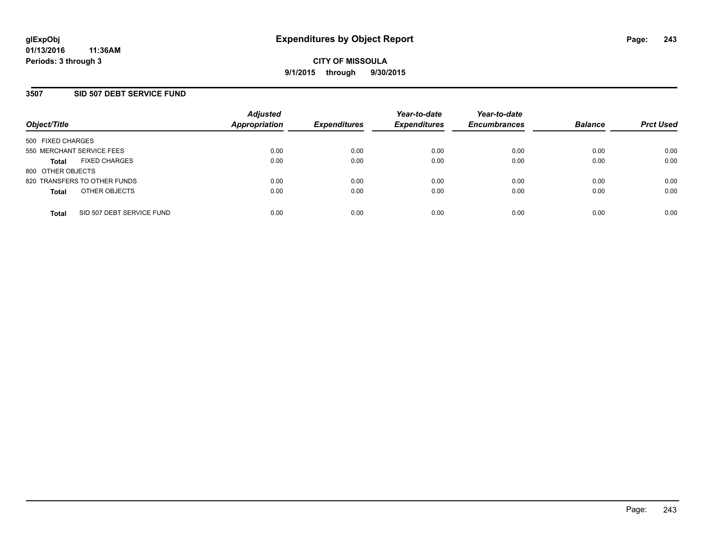### **3507 SID 507 DEBT SERVICE FUND**

| Object/Title                              | <b>Adjusted</b><br>Appropriation | <b>Expenditures</b> | Year-to-date<br><b>Expenditures</b> | Year-to-date<br><b>Encumbrances</b> | <b>Balance</b> | <b>Prct Used</b> |
|-------------------------------------------|----------------------------------|---------------------|-------------------------------------|-------------------------------------|----------------|------------------|
| 500 FIXED CHARGES                         |                                  |                     |                                     |                                     |                |                  |
| 550 MERCHANT SERVICE FEES                 | 0.00                             | 0.00                | 0.00                                | 0.00                                | 0.00           | 0.00             |
| <b>FIXED CHARGES</b><br><b>Total</b>      | 0.00                             | 0.00                | 0.00                                | 0.00                                | 0.00           | 0.00             |
| 800 OTHER OBJECTS                         |                                  |                     |                                     |                                     |                |                  |
| 820 TRANSFERS TO OTHER FUNDS              | 0.00                             | 0.00                | 0.00                                | 0.00                                | 0.00           | 0.00             |
| OTHER OBJECTS<br><b>Total</b>             | 0.00                             | 0.00                | 0.00                                | 0.00                                | 0.00           | 0.00             |
| SID 507 DEBT SERVICE FUND<br><b>Total</b> | 0.00                             | 0.00                | 0.00                                | 0.00                                | 0.00           | 0.00             |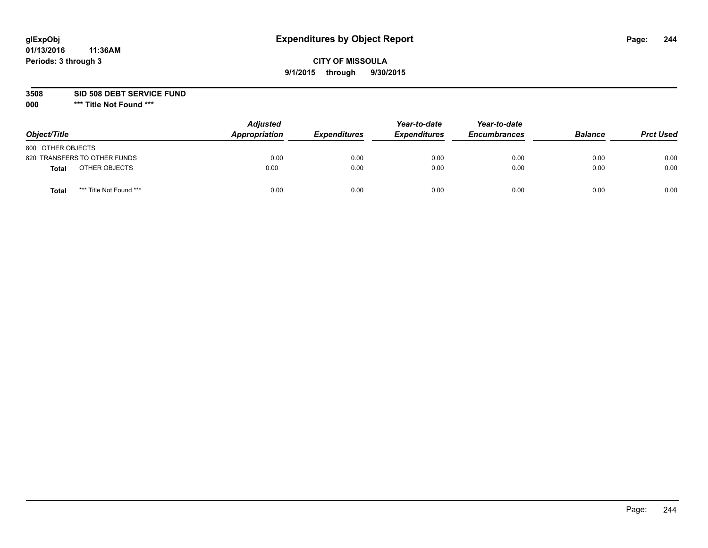# **CITY OF MISSOULA 9/1/2015 through 9/30/2015**

**3508 SID 508 DEBT SERVICE FUND**

| Object/Title      |                              | <b>Adjusted</b><br>Appropriation | <b>Expenditures</b> | Year-to-date<br><b>Expenditures</b> | Year-to-date<br><b>Encumbrances</b> | <b>Balance</b> | <b>Prct Used</b> |
|-------------------|------------------------------|----------------------------------|---------------------|-------------------------------------|-------------------------------------|----------------|------------------|
| 800 OTHER OBJECTS |                              |                                  |                     |                                     |                                     |                |                  |
|                   | 820 TRANSFERS TO OTHER FUNDS | 0.00                             | 0.00                | 0.00                                | 0.00                                | 0.00           | 0.00             |
| Total             | OTHER OBJECTS                | 0.00                             | 0.00                | 0.00                                | 0.00                                | 0.00           | 0.00             |
| Tota              | *** Title Not Found ***      | 0.00                             | 0.00                | 0.00                                | 0.00                                | 0.00           | 0.00             |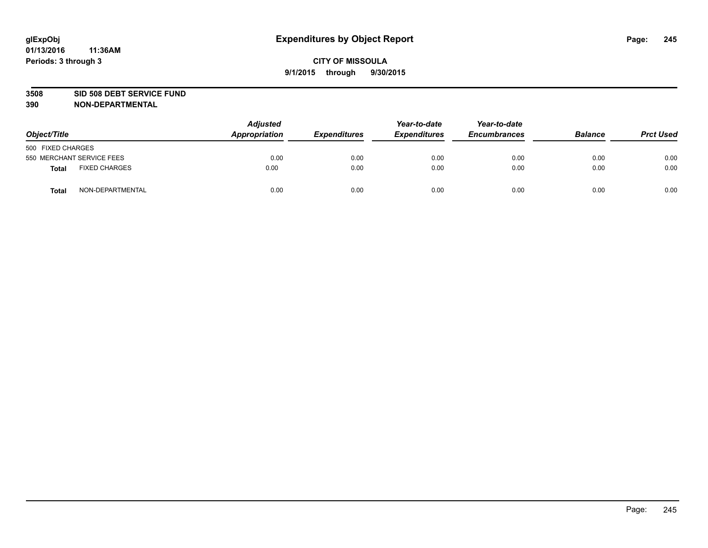#### **3508 SID 508 DEBT SERVICE FUND**

| Object/Title      |                           | <b>Adjusted</b><br>Appropriation | <b>Expenditures</b> | Year-to-date<br><b>Expenditures</b> | Year-to-date<br><b>Encumbrances</b> | <b>Balance</b> | <b>Prct Used</b> |
|-------------------|---------------------------|----------------------------------|---------------------|-------------------------------------|-------------------------------------|----------------|------------------|
| 500 FIXED CHARGES |                           |                                  |                     |                                     |                                     |                |                  |
|                   | 550 MERCHANT SERVICE FEES | 0.00                             | 0.00                | 0.00                                | 0.00                                | 0.00           | 0.00             |
| <b>Total</b>      | <b>FIXED CHARGES</b>      | 0.00                             | 0.00                | 0.00                                | 0.00                                | 0.00           | 0.00             |
| <b>Total</b>      | NON-DEPARTMENTAL          | 0.00                             | 0.00                | 0.00                                | 0.00                                | 0.00           | 0.00             |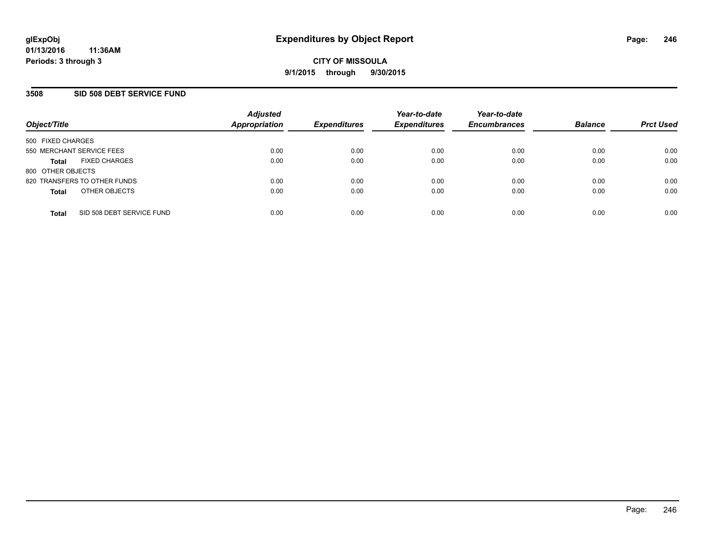### **3508 SID 508 DEBT SERVICE FUND**

| Object/Title                              | <b>Adjusted</b><br>Appropriation | <b>Expenditures</b> | Year-to-date<br><b>Expenditures</b> | Year-to-date<br><b>Encumbrances</b> | <b>Balance</b> | <b>Prct Used</b> |
|-------------------------------------------|----------------------------------|---------------------|-------------------------------------|-------------------------------------|----------------|------------------|
| 500 FIXED CHARGES                         |                                  |                     |                                     |                                     |                |                  |
| 550 MERCHANT SERVICE FEES                 | 0.00                             | 0.00                | 0.00                                | 0.00                                | 0.00           | 0.00             |
| <b>FIXED CHARGES</b><br><b>Total</b>      | 0.00                             | 0.00                | 0.00                                | 0.00                                | 0.00           | 0.00             |
| 800 OTHER OBJECTS                         |                                  |                     |                                     |                                     |                |                  |
| 820 TRANSFERS TO OTHER FUNDS              | 0.00                             | 0.00                | 0.00                                | 0.00                                | 0.00           | 0.00             |
| OTHER OBJECTS<br><b>Total</b>             | 0.00                             | 0.00                | 0.00                                | 0.00                                | 0.00           | 0.00             |
| SID 508 DEBT SERVICE FUND<br><b>Total</b> | 0.00                             | 0.00                | 0.00                                | 0.00                                | 0.00           | 0.00             |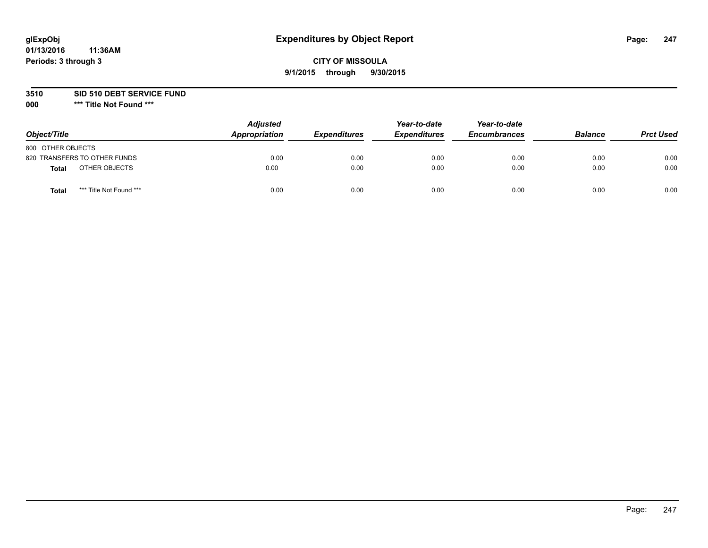# **CITY OF MISSOULA 9/1/2015 through 9/30/2015**

**3510 SID 510 DEBT SERVICE FUND**

| Object/Title                     | <b>Adjusted</b><br>Appropriation | <b>Expenditures</b> | Year-to-date<br><b>Expenditures</b> | Year-to-date<br><b>Encumbrances</b> | <b>Balance</b> | <b>Prct Used</b> |
|----------------------------------|----------------------------------|---------------------|-------------------------------------|-------------------------------------|----------------|------------------|
| 800 OTHER OBJECTS                |                                  |                     |                                     |                                     |                |                  |
| 820 TRANSFERS TO OTHER FUNDS     | 0.00                             | 0.00                | 0.00                                | 0.00                                | 0.00           | 0.00             |
| OTHER OBJECTS<br><b>Total</b>    | 0.00                             | 0.00                | 0.00                                | 0.00                                | 0.00           | 0.00             |
| *** Title Not Found ***<br>Total | 0.00                             | 0.00                | 0.00                                | 0.00                                | 0.00           | 0.00             |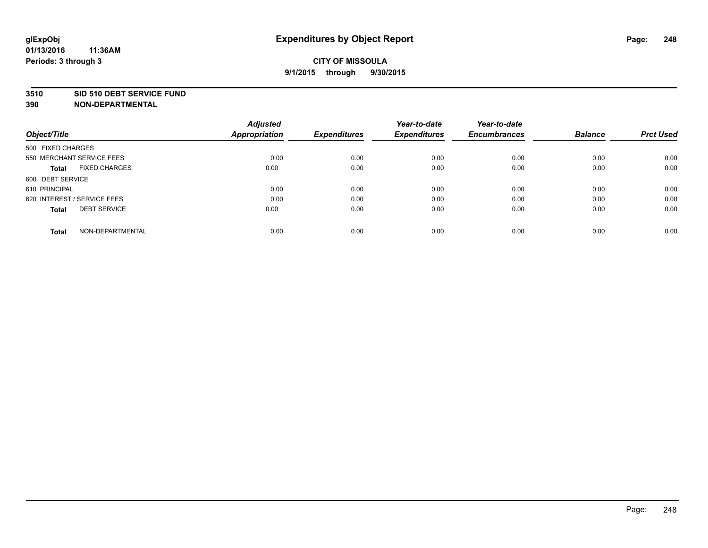#### **3510 SID 510 DEBT SERVICE FUND**

| Object/Title                         | <b>Adjusted</b><br><b>Appropriation</b> | <b>Expenditures</b> | Year-to-date<br><b>Expenditures</b> | Year-to-date<br><b>Encumbrances</b> | <b>Balance</b> | <b>Prct Used</b> |
|--------------------------------------|-----------------------------------------|---------------------|-------------------------------------|-------------------------------------|----------------|------------------|
|                                      |                                         |                     |                                     |                                     |                |                  |
| 500 FIXED CHARGES                    |                                         |                     |                                     |                                     |                |                  |
| 550 MERCHANT SERVICE FEES            | 0.00                                    | 0.00                | 0.00                                | 0.00                                | 0.00           | 0.00             |
| <b>FIXED CHARGES</b><br><b>Total</b> | 0.00                                    | 0.00                | 0.00                                | 0.00                                | 0.00           | 0.00             |
| 600 DEBT SERVICE                     |                                         |                     |                                     |                                     |                |                  |
| 610 PRINCIPAL                        | 0.00                                    | 0.00                | 0.00                                | 0.00                                | 0.00           | 0.00             |
| 620 INTEREST / SERVICE FEES          | 0.00                                    | 0.00                | 0.00                                | 0.00                                | 0.00           | 0.00             |
| <b>DEBT SERVICE</b><br><b>Total</b>  | 0.00                                    | 0.00                | 0.00                                | 0.00                                | 0.00           | 0.00             |
| NON-DEPARTMENTAL<br><b>Total</b>     | 0.00                                    | 0.00                | 0.00                                | 0.00                                | 0.00           | 0.00             |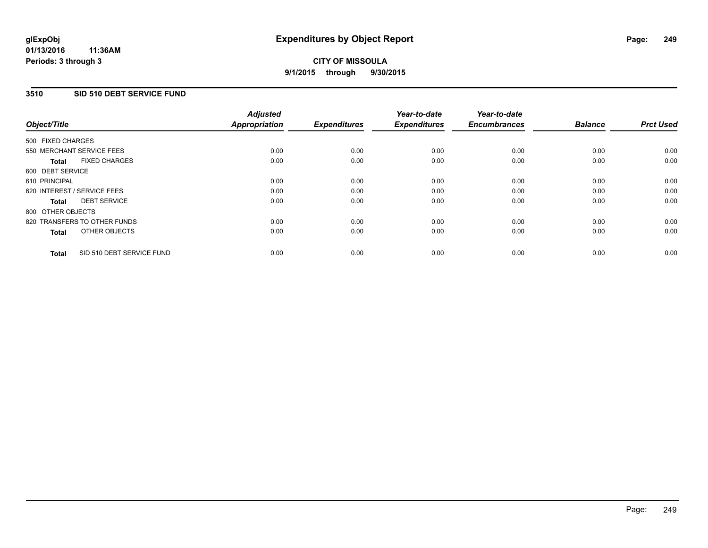### **3510 SID 510 DEBT SERVICE FUND**

| Object/Title                              | <b>Adjusted</b><br><b>Appropriation</b> | <b>Expenditures</b> | Year-to-date<br><b>Expenditures</b> | Year-to-date<br><b>Encumbrances</b> | <b>Balance</b> | <b>Prct Used</b> |
|-------------------------------------------|-----------------------------------------|---------------------|-------------------------------------|-------------------------------------|----------------|------------------|
|                                           |                                         |                     |                                     |                                     |                |                  |
| 500 FIXED CHARGES                         |                                         |                     |                                     |                                     |                |                  |
| 550 MERCHANT SERVICE FEES                 | 0.00                                    | 0.00                | 0.00                                | 0.00                                | 0.00           | 0.00             |
| <b>FIXED CHARGES</b><br><b>Total</b>      | 0.00                                    | 0.00                | 0.00                                | 0.00                                | 0.00           | 0.00             |
| 600 DEBT SERVICE                          |                                         |                     |                                     |                                     |                |                  |
| 610 PRINCIPAL                             | 0.00                                    | 0.00                | 0.00                                | 0.00                                | 0.00           | 0.00             |
| 620 INTEREST / SERVICE FEES               | 0.00                                    | 0.00                | 0.00                                | 0.00                                | 0.00           | 0.00             |
| <b>DEBT SERVICE</b><br><b>Total</b>       | 0.00                                    | 0.00                | 0.00                                | 0.00                                | 0.00           | 0.00             |
| 800 OTHER OBJECTS                         |                                         |                     |                                     |                                     |                |                  |
| 820 TRANSFERS TO OTHER FUNDS              | 0.00                                    | 0.00                | 0.00                                | 0.00                                | 0.00           | 0.00             |
| OTHER OBJECTS<br><b>Total</b>             | 0.00                                    | 0.00                | 0.00                                | 0.00                                | 0.00           | 0.00             |
|                                           |                                         |                     |                                     |                                     |                |                  |
| SID 510 DEBT SERVICE FUND<br><b>Total</b> | 0.00                                    | 0.00                | 0.00                                | 0.00                                | 0.00           | 0.00             |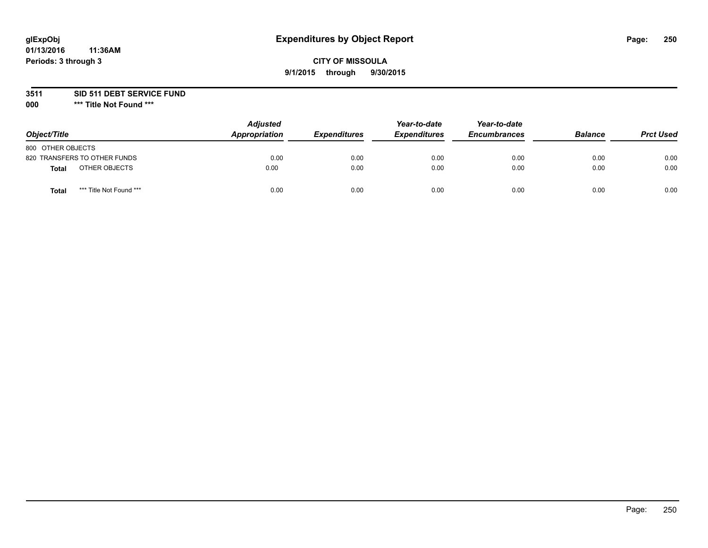# **CITY OF MISSOULA 9/1/2015 through 9/30/2015**

**3511 SID 511 DEBT SERVICE FUND**

| Object/Title                     | <b>Adjusted</b><br>Appropriation | <b>Expenditures</b> | Year-to-date<br><b>Expenditures</b> | Year-to-date<br><b>Encumbrances</b> | <b>Balance</b> | <b>Prct Used</b> |
|----------------------------------|----------------------------------|---------------------|-------------------------------------|-------------------------------------|----------------|------------------|
| 800 OTHER OBJECTS                |                                  |                     |                                     |                                     |                |                  |
| 820 TRANSFERS TO OTHER FUNDS     | 0.00                             | 0.00                | 0.00                                | 0.00                                | 0.00           | 0.00             |
| OTHER OBJECTS<br><b>Total</b>    | 0.00                             | 0.00                | 0.00                                | 0.00                                | 0.00           | 0.00             |
| *** Title Not Found ***<br>Total | 0.00                             | 0.00                | 0.00                                | 0.00                                | 0.00           | 0.00             |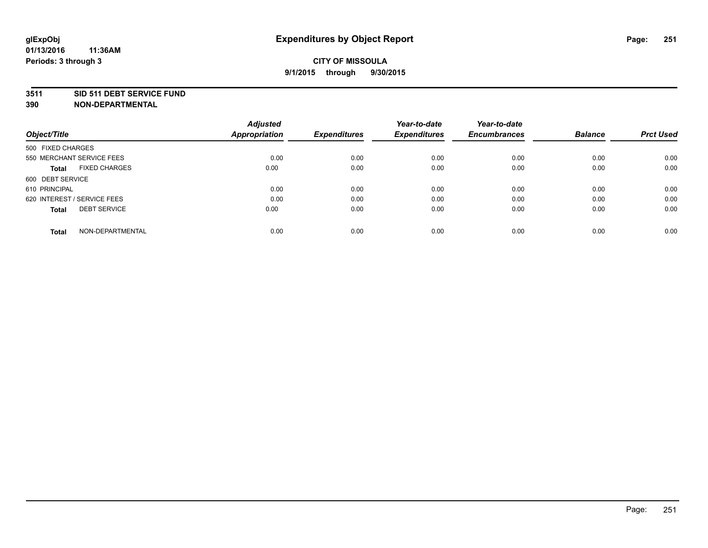#### **3511 SID 511 DEBT SERVICE FUND**

**390 NON-DEPARTMENTAL**

**01/13/2016**

| Object/Title                         | <b>Adjusted</b><br><b>Appropriation</b> | <b>Expenditures</b> | Year-to-date<br><b>Expenditures</b> | Year-to-date<br><b>Encumbrances</b> | <b>Balance</b> | <b>Prct Used</b> |
|--------------------------------------|-----------------------------------------|---------------------|-------------------------------------|-------------------------------------|----------------|------------------|
|                                      |                                         |                     |                                     |                                     |                |                  |
| 500 FIXED CHARGES                    |                                         |                     |                                     |                                     |                |                  |
| 550 MERCHANT SERVICE FEES            | 0.00                                    | 0.00                | 0.00                                | 0.00                                | 0.00           | 0.00             |
| <b>FIXED CHARGES</b><br><b>Total</b> | 0.00                                    | 0.00                | 0.00                                | 0.00                                | 0.00           | 0.00             |
| 600 DEBT SERVICE                     |                                         |                     |                                     |                                     |                |                  |
| 610 PRINCIPAL                        | 0.00                                    | 0.00                | 0.00                                | 0.00                                | 0.00           | 0.00             |
| 620 INTEREST / SERVICE FEES          | 0.00                                    | 0.00                | 0.00                                | 0.00                                | 0.00           | 0.00             |
| <b>DEBT SERVICE</b><br><b>Total</b>  | 0.00                                    | 0.00                | 0.00                                | 0.00                                | 0.00           | 0.00             |
|                                      |                                         |                     |                                     |                                     |                |                  |
| NON-DEPARTMENTAL<br><b>Total</b>     | 0.00                                    | 0.00                | 0.00                                | 0.00                                | 0.00           | 0.00             |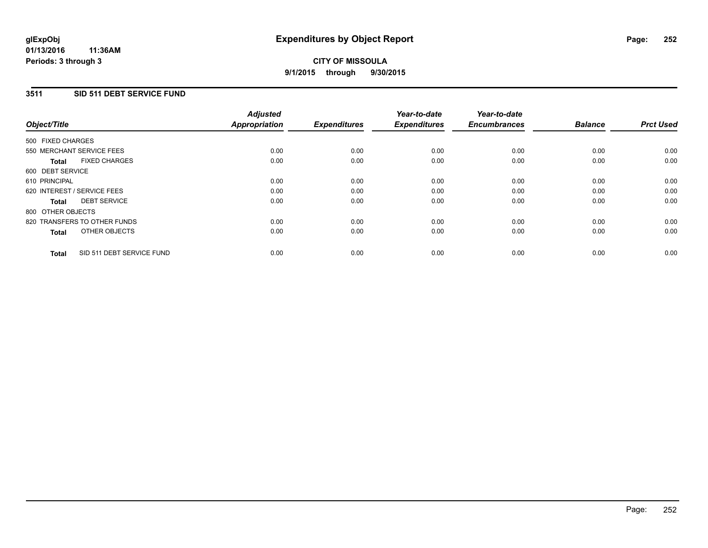### **3511 SID 511 DEBT SERVICE FUND**

| Object/Title      |                              | <b>Adjusted</b><br>Appropriation | <b>Expenditures</b> | Year-to-date<br><b>Expenditures</b> | Year-to-date<br><b>Encumbrances</b> | <b>Balance</b> | <b>Prct Used</b> |
|-------------------|------------------------------|----------------------------------|---------------------|-------------------------------------|-------------------------------------|----------------|------------------|
| 500 FIXED CHARGES |                              |                                  |                     |                                     |                                     |                |                  |
|                   | 550 MERCHANT SERVICE FEES    | 0.00                             | 0.00                | 0.00                                | 0.00                                | 0.00           | 0.00             |
| <b>Total</b>      | <b>FIXED CHARGES</b>         | 0.00                             | 0.00                | 0.00                                | 0.00                                | 0.00           | 0.00             |
| 600 DEBT SERVICE  |                              |                                  |                     |                                     |                                     |                |                  |
| 610 PRINCIPAL     |                              | 0.00                             | 0.00                | 0.00                                | 0.00                                | 0.00           | 0.00             |
|                   | 620 INTEREST / SERVICE FEES  | 0.00                             | 0.00                | 0.00                                | 0.00                                | 0.00           | 0.00             |
| <b>Total</b>      | <b>DEBT SERVICE</b>          | 0.00                             | 0.00                | 0.00                                | 0.00                                | 0.00           | 0.00             |
| 800 OTHER OBJECTS |                              |                                  |                     |                                     |                                     |                |                  |
|                   | 820 TRANSFERS TO OTHER FUNDS | 0.00                             | 0.00                | 0.00                                | 0.00                                | 0.00           | 0.00             |
| <b>Total</b>      | OTHER OBJECTS                | 0.00                             | 0.00                | 0.00                                | 0.00                                | 0.00           | 0.00             |
| <b>Total</b>      | SID 511 DEBT SERVICE FUND    | 0.00                             | 0.00                | 0.00                                | 0.00                                | 0.00           | 0.00             |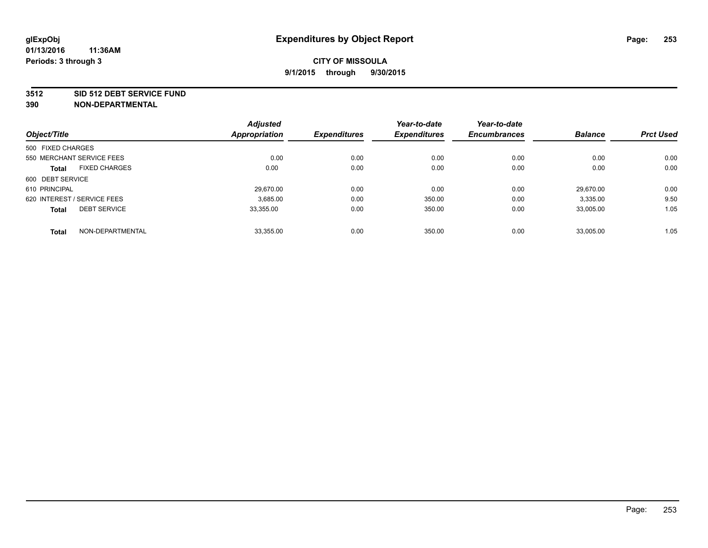#### **3512 SID 512 DEBT SERVICE FUND**

|                                      |                  | <b>Adjusted</b>      |                     | Year-to-date        | Year-to-date        | <b>Balance</b> | <b>Prct Used</b> |
|--------------------------------------|------------------|----------------------|---------------------|---------------------|---------------------|----------------|------------------|
| Object/Title                         |                  | <b>Appropriation</b> | <b>Expenditures</b> | <b>Expenditures</b> | <b>Encumbrances</b> |                |                  |
| 500 FIXED CHARGES                    |                  |                      |                     |                     |                     |                |                  |
| 550 MERCHANT SERVICE FEES            |                  | 0.00                 | 0.00                | 0.00                | 0.00                | 0.00           | 0.00             |
| <b>FIXED CHARGES</b><br><b>Total</b> |                  | 0.00                 | 0.00                | 0.00                | 0.00                | 0.00           | 0.00             |
| 600 DEBT SERVICE                     |                  |                      |                     |                     |                     |                |                  |
| 610 PRINCIPAL                        |                  | 29.670.00            | 0.00                | 0.00                | 0.00                | 29.670.00      | 0.00             |
| 620 INTEREST / SERVICE FEES          |                  | 3,685.00             | 0.00                | 350.00              | 0.00                | 3,335.00       | 9.50             |
| <b>DEBT SERVICE</b><br><b>Total</b>  |                  | 33.355.00            | 0.00                | 350.00              | 0.00                | 33.005.00      | 1.05             |
| <b>Total</b>                         | NON-DEPARTMENTAL | 33,355.00            | 0.00                | 350.00              | 0.00                | 33,005.00      | 1.05             |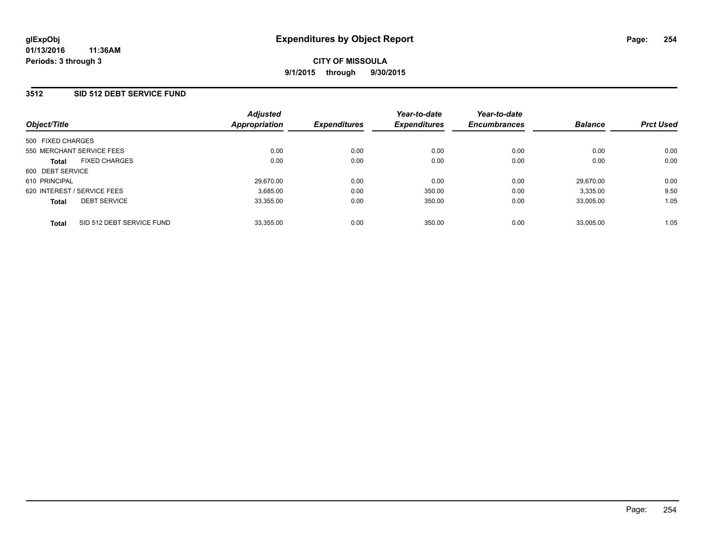#### **3512 SID 512 DEBT SERVICE FUND**

| Object/Title                              | <b>Adjusted</b><br><b>Appropriation</b> | <b>Expenditures</b> | Year-to-date<br><b>Expenditures</b> | Year-to-date<br><b>Encumbrances</b> | <b>Balance</b> | <b>Prct Used</b> |
|-------------------------------------------|-----------------------------------------|---------------------|-------------------------------------|-------------------------------------|----------------|------------------|
| 500 FIXED CHARGES                         |                                         |                     |                                     |                                     |                |                  |
| 550 MERCHANT SERVICE FEES                 | 0.00                                    | 0.00                | 0.00                                | 0.00                                | 0.00           | 0.00             |
| <b>FIXED CHARGES</b><br><b>Total</b>      | 0.00                                    | 0.00                | 0.00                                | 0.00                                | 0.00           | 0.00             |
| 600 DEBT SERVICE                          |                                         |                     |                                     |                                     |                |                  |
| 610 PRINCIPAL                             | 29.670.00                               | 0.00                | 0.00                                | 0.00                                | 29.670.00      | 0.00             |
| 620 INTEREST / SERVICE FEES               | 3.685.00                                | 0.00                | 350.00                              | 0.00                                | 3,335.00       | 9.50             |
| <b>DEBT SERVICE</b><br><b>Total</b>       | 33.355.00                               | 0.00                | 350.00                              | 0.00                                | 33.005.00      | 1.05             |
| SID 512 DEBT SERVICE FUND<br><b>Total</b> | 33.355.00                               | 0.00                | 350.00                              | 0.00                                | 33.005.00      | 1.05             |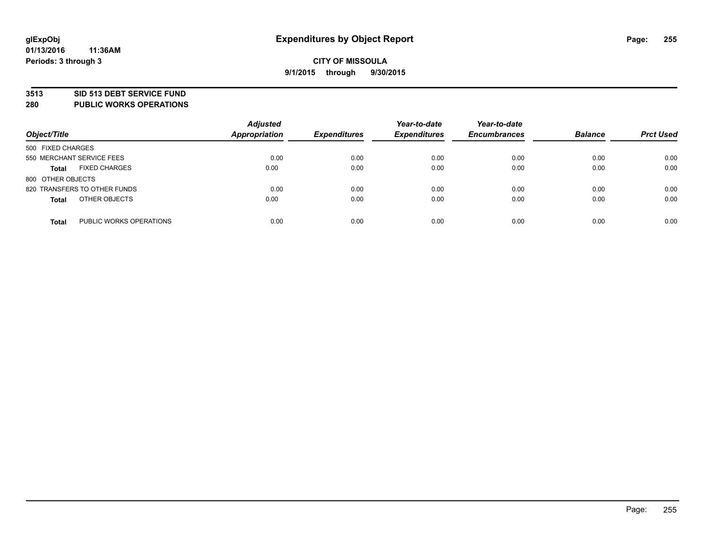#### **3513 SID 513 DEBT SERVICE FUND**

**280 PUBLIC WORKS OPERATIONS**

| Object/Title                            | <b>Adjusted</b><br>Appropriation | <b>Expenditures</b> | Year-to-date<br><b>Expenditures</b> | Year-to-date<br><b>Encumbrances</b> | <b>Balance</b> | <b>Prct Used</b> |
|-----------------------------------------|----------------------------------|---------------------|-------------------------------------|-------------------------------------|----------------|------------------|
| 500 FIXED CHARGES                       |                                  |                     |                                     |                                     |                |                  |
| 550 MERCHANT SERVICE FEES               | 0.00                             | 0.00                | 0.00                                | 0.00                                | 0.00           | 0.00             |
| <b>FIXED CHARGES</b><br><b>Total</b>    | 0.00                             | 0.00                | 0.00                                | 0.00                                | 0.00           | 0.00             |
| 800 OTHER OBJECTS                       |                                  |                     |                                     |                                     |                |                  |
| 820 TRANSFERS TO OTHER FUNDS            | 0.00                             | 0.00                | 0.00                                | 0.00                                | 0.00           | 0.00             |
| OTHER OBJECTS<br><b>Total</b>           | 0.00                             | 0.00                | 0.00                                | 0.00                                | 0.00           | 0.00             |
| PUBLIC WORKS OPERATIONS<br><b>Total</b> | 0.00                             | 0.00                | 0.00                                | 0.00                                | 0.00           | 0.00             |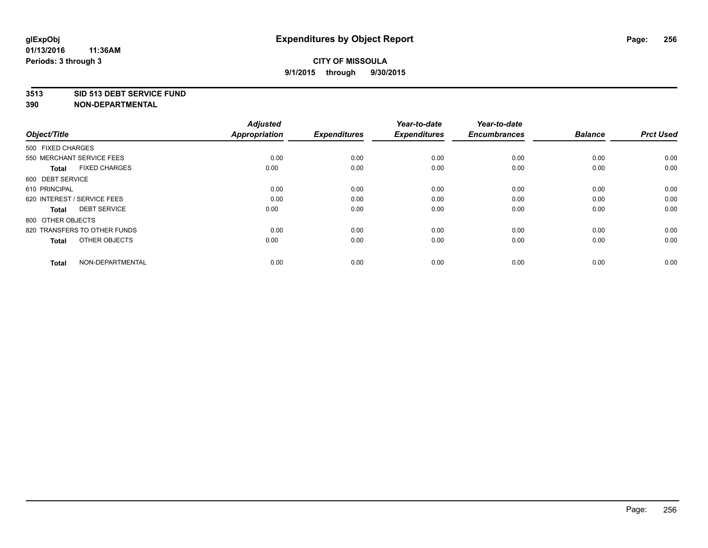#### **3513 SID 513 DEBT SERVICE FUND**

| Object/Title                         | <b>Adjusted</b><br><b>Appropriation</b> | <b>Expenditures</b> | Year-to-date<br><b>Expenditures</b> | Year-to-date<br><b>Encumbrances</b> | <b>Balance</b> | <b>Prct Used</b> |
|--------------------------------------|-----------------------------------------|---------------------|-------------------------------------|-------------------------------------|----------------|------------------|
| 500 FIXED CHARGES                    |                                         |                     |                                     |                                     |                |                  |
| 550 MERCHANT SERVICE FEES            | 0.00                                    | 0.00                | 0.00                                | 0.00                                | 0.00           | 0.00             |
| <b>FIXED CHARGES</b><br><b>Total</b> | 0.00                                    | 0.00                | 0.00                                | 0.00                                | 0.00           | 0.00             |
| 600 DEBT SERVICE                     |                                         |                     |                                     |                                     |                |                  |
| 610 PRINCIPAL                        | 0.00                                    | 0.00                | 0.00                                | 0.00                                | 0.00           | 0.00             |
| 620 INTEREST / SERVICE FEES          | 0.00                                    | 0.00                | 0.00                                | 0.00                                | 0.00           | 0.00             |
| <b>DEBT SERVICE</b><br><b>Total</b>  | 0.00                                    | 0.00                | 0.00                                | 0.00                                | 0.00           | 0.00             |
| 800 OTHER OBJECTS                    |                                         |                     |                                     |                                     |                |                  |
| 820 TRANSFERS TO OTHER FUNDS         | 0.00                                    | 0.00                | 0.00                                | 0.00                                | 0.00           | 0.00             |
| OTHER OBJECTS<br><b>Total</b>        | 0.00                                    | 0.00                | 0.00                                | 0.00                                | 0.00           | 0.00             |
|                                      |                                         |                     |                                     |                                     |                |                  |
| NON-DEPARTMENTAL<br><b>Total</b>     | 0.00                                    | 0.00                | 0.00                                | 0.00                                | 0.00           | 0.00             |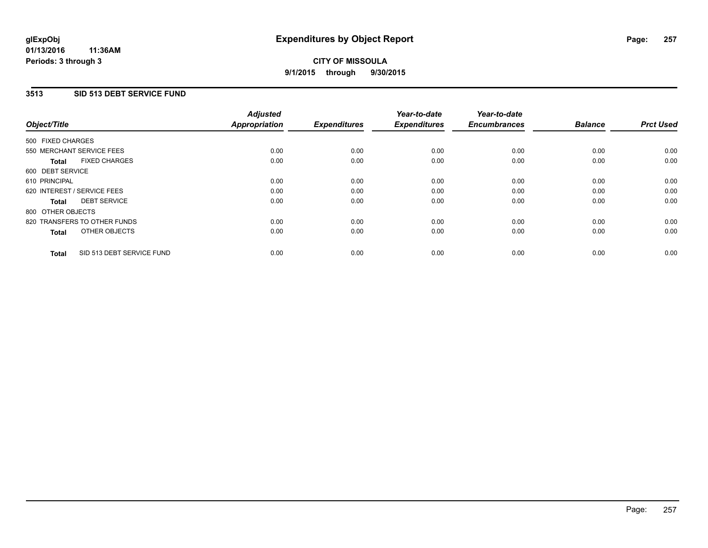### **3513 SID 513 DEBT SERVICE FUND**

| Object/Title                              | <b>Adjusted</b><br><b>Appropriation</b> | <b>Expenditures</b> | Year-to-date<br><b>Expenditures</b> | Year-to-date<br><b>Encumbrances</b> | <b>Balance</b> | <b>Prct Used</b> |
|-------------------------------------------|-----------------------------------------|---------------------|-------------------------------------|-------------------------------------|----------------|------------------|
|                                           |                                         |                     |                                     |                                     |                |                  |
| 500 FIXED CHARGES                         |                                         |                     |                                     |                                     |                |                  |
| 550 MERCHANT SERVICE FEES                 | 0.00                                    | 0.00                | 0.00                                | 0.00                                | 0.00           | 0.00             |
| <b>FIXED CHARGES</b><br>Total             | 0.00                                    | 0.00                | 0.00                                | 0.00                                | 0.00           | 0.00             |
| 600 DEBT SERVICE                          |                                         |                     |                                     |                                     |                |                  |
| 610 PRINCIPAL                             | 0.00                                    | 0.00                | 0.00                                | 0.00                                | 0.00           | 0.00             |
| 620 INTEREST / SERVICE FEES               | 0.00                                    | 0.00                | 0.00                                | 0.00                                | 0.00           | 0.00             |
| <b>DEBT SERVICE</b><br><b>Total</b>       | 0.00                                    | 0.00                | 0.00                                | 0.00                                | 0.00           | 0.00             |
| 800 OTHER OBJECTS                         |                                         |                     |                                     |                                     |                |                  |
| 820 TRANSFERS TO OTHER FUNDS              | 0.00                                    | 0.00                | 0.00                                | 0.00                                | 0.00           | 0.00             |
| OTHER OBJECTS<br><b>Total</b>             | 0.00                                    | 0.00                | 0.00                                | 0.00                                | 0.00           | 0.00             |
|                                           |                                         |                     |                                     |                                     |                |                  |
| SID 513 DEBT SERVICE FUND<br><b>Total</b> | 0.00                                    | 0.00                | 0.00                                | 0.00                                | 0.00           | 0.00             |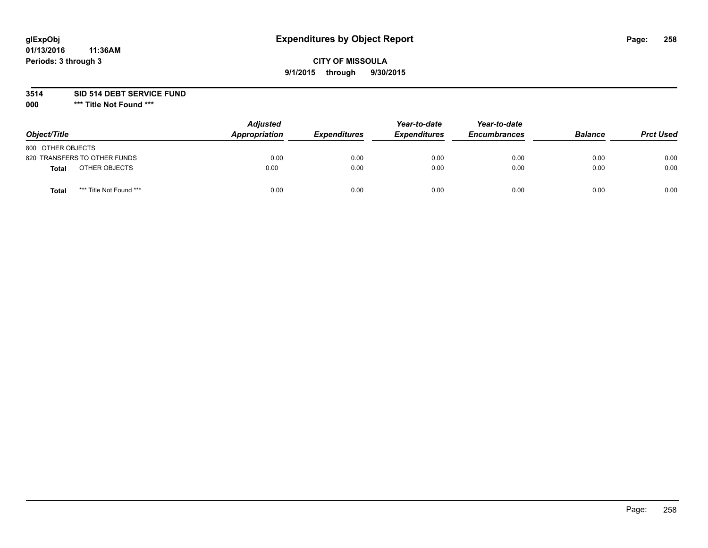# **glExpObj Expenditures by Object Report Page: 258**

## **CITY OF MISSOULA 9/1/2015 through 9/30/2015**

**3514 SID 514 DEBT SERVICE FUND**

**000 \*\*\* Title Not Found \*\*\***

| Object/Title                     | <b>Adjusted</b><br>Appropriation | <b>Expenditures</b> | Year-to-date<br><b>Expenditures</b> | Year-to-date<br><b>Encumbrances</b> | <b>Balance</b> | <b>Prct Used</b> |
|----------------------------------|----------------------------------|---------------------|-------------------------------------|-------------------------------------|----------------|------------------|
| 800 OTHER OBJECTS                |                                  |                     |                                     |                                     |                |                  |
| 820 TRANSFERS TO OTHER FUNDS     | 0.00                             | 0.00                | 0.00                                | 0.00                                | 0.00           | 0.00             |
| OTHER OBJECTS<br>Total           | 0.00                             | 0.00                | 0.00                                | 0.00                                | 0.00           | 0.00             |
| *** Title Not Found ***<br>Total | 0.00                             | 0.00                | 0.00                                | 0.00                                | 0.00           | 0.00             |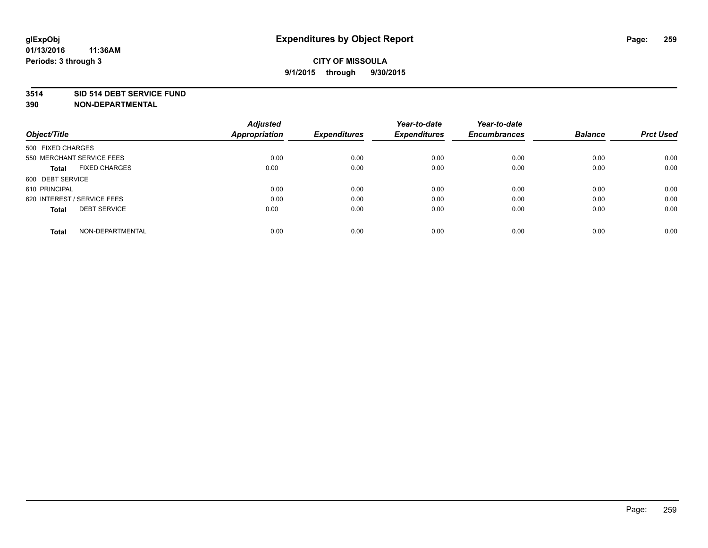#### **3514 SID 514 DEBT SERVICE FUND**

| Object/Title                         | <b>Adjusted</b><br><b>Appropriation</b> | <b>Expenditures</b> | Year-to-date<br><b>Expenditures</b> | Year-to-date<br><b>Encumbrances</b> | <b>Balance</b> | <b>Prct Used</b> |
|--------------------------------------|-----------------------------------------|---------------------|-------------------------------------|-------------------------------------|----------------|------------------|
|                                      |                                         |                     |                                     |                                     |                |                  |
| 500 FIXED CHARGES                    |                                         |                     |                                     |                                     |                |                  |
| 550 MERCHANT SERVICE FEES            | 0.00                                    | 0.00                | 0.00                                | 0.00                                | 0.00           | 0.00             |
| <b>FIXED CHARGES</b><br><b>Total</b> | 0.00                                    | 0.00                | 0.00                                | 0.00                                | 0.00           | 0.00             |
| 600 DEBT SERVICE                     |                                         |                     |                                     |                                     |                |                  |
| 610 PRINCIPAL                        | 0.00                                    | 0.00                | 0.00                                | 0.00                                | 0.00           | 0.00             |
| 620 INTEREST / SERVICE FEES          | 0.00                                    | 0.00                | 0.00                                | 0.00                                | 0.00           | 0.00             |
| <b>DEBT SERVICE</b><br><b>Total</b>  | 0.00                                    | 0.00                | 0.00                                | 0.00                                | 0.00           | 0.00             |
| NON-DEPARTMENTAL<br><b>Total</b>     | 0.00                                    | 0.00                | 0.00                                | 0.00                                | 0.00           | 0.00             |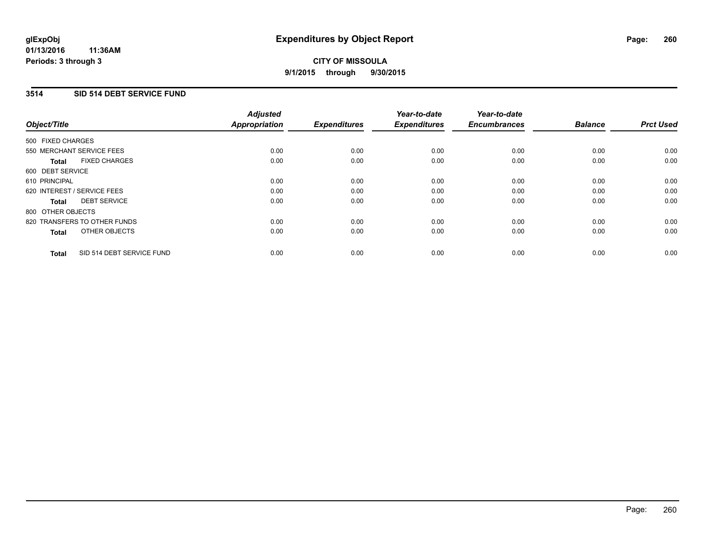### **3514 SID 514 DEBT SERVICE FUND**

| Object/Title                              | <b>Adjusted</b><br><b>Appropriation</b> | <b>Expenditures</b> | Year-to-date<br><b>Expenditures</b> | Year-to-date<br><b>Encumbrances</b> | <b>Balance</b> | <b>Prct Used</b> |
|-------------------------------------------|-----------------------------------------|---------------------|-------------------------------------|-------------------------------------|----------------|------------------|
| 500 FIXED CHARGES                         |                                         |                     |                                     |                                     |                |                  |
| 550 MERCHANT SERVICE FEES                 | 0.00                                    | 0.00                | 0.00                                | 0.00                                | 0.00           | 0.00             |
| <b>FIXED CHARGES</b><br><b>Total</b>      | 0.00                                    | 0.00                | 0.00                                | 0.00                                | 0.00           | 0.00             |
| 600 DEBT SERVICE                          |                                         |                     |                                     |                                     |                |                  |
| 610 PRINCIPAL                             | 0.00                                    | 0.00                | 0.00                                | 0.00                                | 0.00           | 0.00             |
| 620 INTEREST / SERVICE FEES               | 0.00                                    | 0.00                | 0.00                                | 0.00                                | 0.00           | 0.00             |
| <b>DEBT SERVICE</b><br><b>Total</b>       | 0.00                                    | 0.00                | 0.00                                | 0.00                                | 0.00           | 0.00             |
| 800 OTHER OBJECTS                         |                                         |                     |                                     |                                     |                |                  |
| 820 TRANSFERS TO OTHER FUNDS              | 0.00                                    | 0.00                | 0.00                                | 0.00                                | 0.00           | 0.00             |
| OTHER OBJECTS<br><b>Total</b>             | 0.00                                    | 0.00                | 0.00                                | 0.00                                | 0.00           | 0.00             |
| SID 514 DEBT SERVICE FUND<br><b>Total</b> | 0.00                                    | 0.00                | 0.00                                | 0.00                                | 0.00           | 0.00             |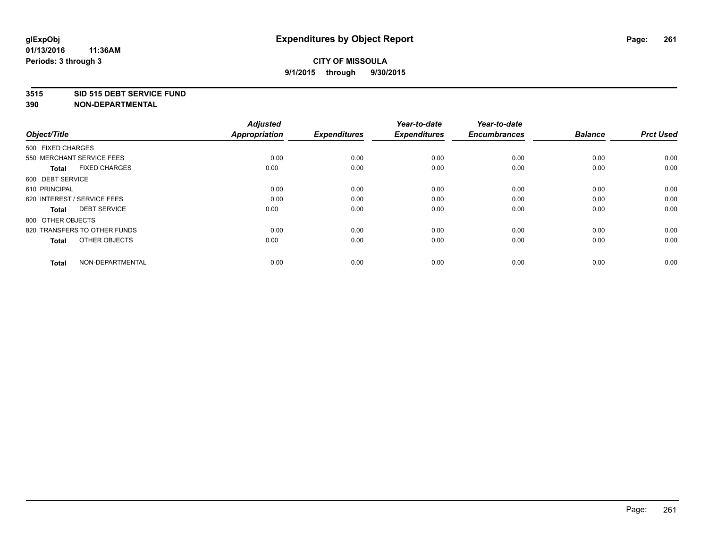#### **3515 SID 515 DEBT SERVICE FUND**

| Object/Title                         | <b>Adjusted</b><br><b>Appropriation</b> | <b>Expenditures</b> | Year-to-date<br><b>Expenditures</b> | Year-to-date<br><b>Encumbrances</b> | <b>Balance</b> | <b>Prct Used</b> |
|--------------------------------------|-----------------------------------------|---------------------|-------------------------------------|-------------------------------------|----------------|------------------|
| 500 FIXED CHARGES                    |                                         |                     |                                     |                                     |                |                  |
| 550 MERCHANT SERVICE FEES            | 0.00                                    | 0.00                | 0.00                                | 0.00                                | 0.00           | 0.00             |
| <b>FIXED CHARGES</b><br><b>Total</b> | 0.00                                    | 0.00                | 0.00                                | 0.00                                | 0.00           | 0.00             |
| 600 DEBT SERVICE                     |                                         |                     |                                     |                                     |                |                  |
| 610 PRINCIPAL                        | 0.00                                    | 0.00                | 0.00                                | 0.00                                | 0.00           | 0.00             |
| 620 INTEREST / SERVICE FEES          | 0.00                                    | 0.00                | 0.00                                | 0.00                                | 0.00           | 0.00             |
| <b>DEBT SERVICE</b><br><b>Total</b>  | 0.00                                    | 0.00                | 0.00                                | 0.00                                | 0.00           | 0.00             |
| 800 OTHER OBJECTS                    |                                         |                     |                                     |                                     |                |                  |
| 820 TRANSFERS TO OTHER FUNDS         | 0.00                                    | 0.00                | 0.00                                | 0.00                                | 0.00           | 0.00             |
| OTHER OBJECTS<br><b>Total</b>        | 0.00                                    | 0.00                | 0.00                                | 0.00                                | 0.00           | 0.00             |
|                                      |                                         |                     |                                     |                                     |                |                  |
| NON-DEPARTMENTAL<br><b>Total</b>     | 0.00                                    | 0.00                | 0.00                                | 0.00                                | 0.00           | 0.00             |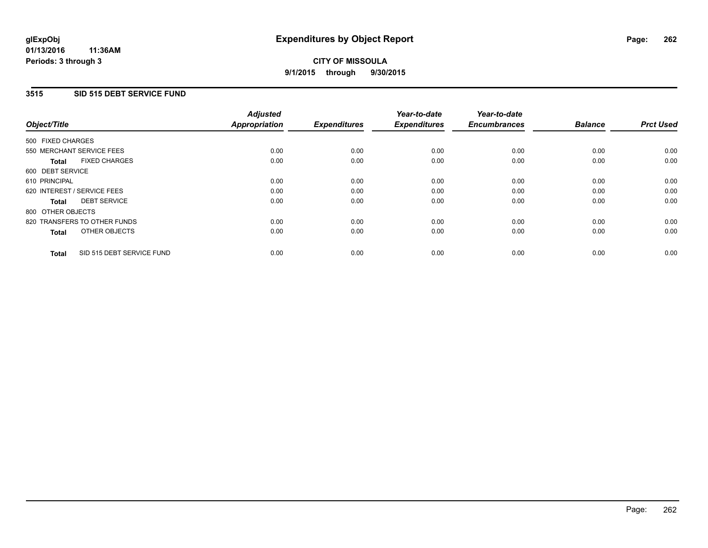### **3515 SID 515 DEBT SERVICE FUND**

| Object/Title                              | <b>Adjusted</b><br><b>Appropriation</b> | <b>Expenditures</b> | Year-to-date<br><b>Expenditures</b> | Year-to-date<br><b>Encumbrances</b> | <b>Balance</b> | <b>Prct Used</b> |
|-------------------------------------------|-----------------------------------------|---------------------|-------------------------------------|-------------------------------------|----------------|------------------|
|                                           |                                         |                     |                                     |                                     |                |                  |
| 500 FIXED CHARGES                         |                                         |                     |                                     |                                     |                |                  |
| 550 MERCHANT SERVICE FEES                 | 0.00                                    | 0.00                | 0.00                                | 0.00                                | 0.00           | 0.00             |
| <b>FIXED CHARGES</b><br>Total             | 0.00                                    | 0.00                | 0.00                                | 0.00                                | 0.00           | 0.00             |
| 600 DEBT SERVICE                          |                                         |                     |                                     |                                     |                |                  |
| 610 PRINCIPAL                             | 0.00                                    | 0.00                | 0.00                                | 0.00                                | 0.00           | 0.00             |
| 620 INTEREST / SERVICE FEES               | 0.00                                    | 0.00                | 0.00                                | 0.00                                | 0.00           | 0.00             |
| <b>DEBT SERVICE</b><br><b>Total</b>       | 0.00                                    | 0.00                | 0.00                                | 0.00                                | 0.00           | 0.00             |
| 800 OTHER OBJECTS                         |                                         |                     |                                     |                                     |                |                  |
| 820 TRANSFERS TO OTHER FUNDS              | 0.00                                    | 0.00                | 0.00                                | 0.00                                | 0.00           | 0.00             |
| OTHER OBJECTS<br><b>Total</b>             | 0.00                                    | 0.00                | 0.00                                | 0.00                                | 0.00           | 0.00             |
|                                           |                                         |                     |                                     |                                     |                |                  |
| SID 515 DEBT SERVICE FUND<br><b>Total</b> | 0.00                                    | 0.00                | 0.00                                | 0.00                                | 0.00           | 0.00             |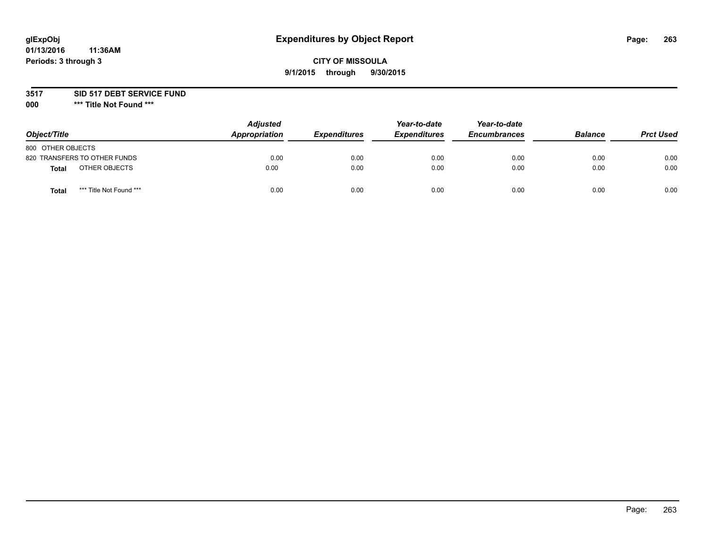# **glExpObj Expenditures by Object Report Page: 263**

## **CITY OF MISSOULA 9/1/2015 through 9/30/2015**

#### **3517 SID 517 DEBT SERVICE FUND**

**000 \*\*\* Title Not Found \*\*\***

| Object/Title                     | <b>Adjusted</b><br>Appropriation | <b>Expenditures</b> | Year-to-date<br><b>Expenditures</b> | Year-to-date<br><b>Encumbrances</b> | <b>Balance</b> | <b>Prct Used</b> |
|----------------------------------|----------------------------------|---------------------|-------------------------------------|-------------------------------------|----------------|------------------|
| 800 OTHER OBJECTS                |                                  |                     |                                     |                                     |                |                  |
| 820 TRANSFERS TO OTHER FUNDS     | 0.00                             | 0.00                | 0.00                                | 0.00                                | 0.00           | 0.00             |
| OTHER OBJECTS<br>Total           | 0.00                             | 0.00                | 0.00                                | 0.00                                | 0.00           | 0.00             |
| *** Title Not Found ***<br>Total | 0.00                             | 0.00                | 0.00                                | 0.00                                | 0.00           | 0.00             |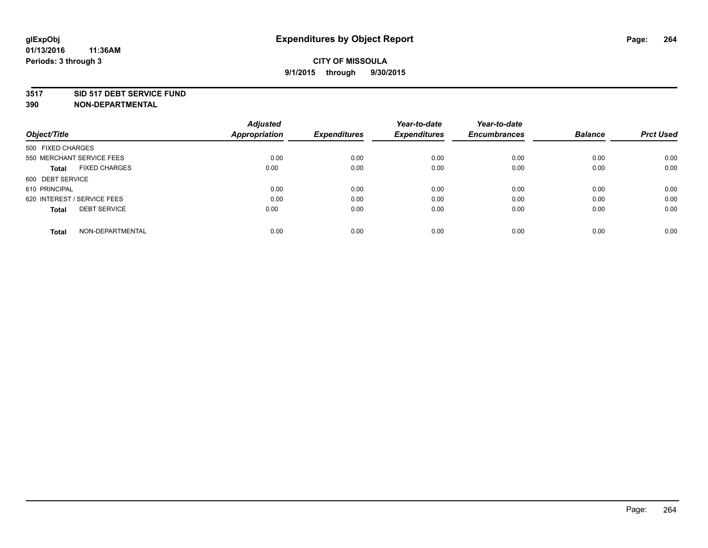#### **3517 SID 517 DEBT SERVICE FUND**

|                                      | <b>Adjusted</b>      |                     | Year-to-date        | Year-to-date        |                |                  |
|--------------------------------------|----------------------|---------------------|---------------------|---------------------|----------------|------------------|
| Object/Title                         | <b>Appropriation</b> | <b>Expenditures</b> | <b>Expenditures</b> | <b>Encumbrances</b> | <b>Balance</b> | <b>Prct Used</b> |
| 500 FIXED CHARGES                    |                      |                     |                     |                     |                |                  |
| 550 MERCHANT SERVICE FEES            | 0.00                 | 0.00                | 0.00                | 0.00                | 0.00           | 0.00             |
| <b>FIXED CHARGES</b><br><b>Total</b> | 0.00                 | 0.00                | 0.00                | 0.00                | 0.00           | 0.00             |
| 600 DEBT SERVICE                     |                      |                     |                     |                     |                |                  |
| 610 PRINCIPAL                        | 0.00                 | 0.00                | 0.00                | 0.00                | 0.00           | 0.00             |
| 620 INTEREST / SERVICE FEES          | 0.00                 | 0.00                | 0.00                | 0.00                | 0.00           | 0.00             |
| <b>DEBT SERVICE</b><br><b>Total</b>  | 0.00                 | 0.00                | 0.00                | 0.00                | 0.00           | 0.00             |
| NON-DEPARTMENTAL<br>Total            | 0.00                 | 0.00                | 0.00                | 0.00                | 0.00           | 0.00             |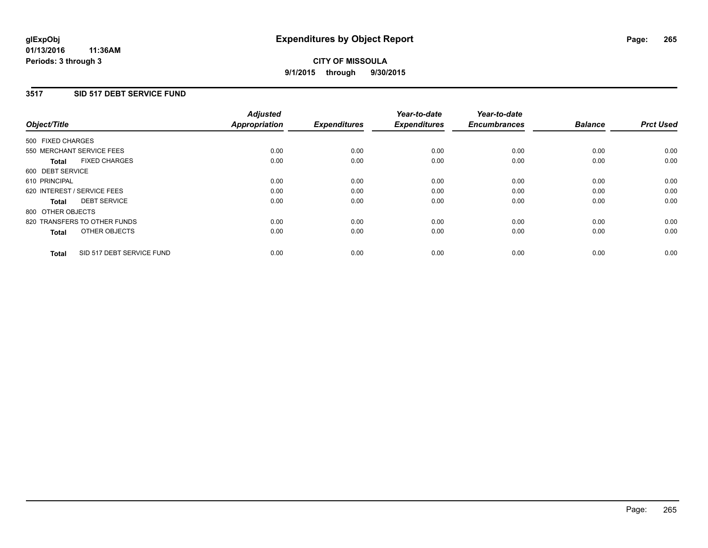#### **3517 SID 517 DEBT SERVICE FUND**

| Object/Title                              | <b>Adjusted</b><br><b>Appropriation</b> | <b>Expenditures</b> | Year-to-date<br><b>Expenditures</b> | Year-to-date<br><b>Encumbrances</b> | <b>Balance</b> | <b>Prct Used</b> |
|-------------------------------------------|-----------------------------------------|---------------------|-------------------------------------|-------------------------------------|----------------|------------------|
|                                           |                                         |                     |                                     |                                     |                |                  |
| 500 FIXED CHARGES                         |                                         |                     |                                     |                                     |                |                  |
| 550 MERCHANT SERVICE FEES                 | 0.00                                    | 0.00                | 0.00                                | 0.00                                | 0.00           | 0.00             |
| <b>FIXED CHARGES</b><br><b>Total</b>      | 0.00                                    | 0.00                | 0.00                                | 0.00                                | 0.00           | 0.00             |
| 600 DEBT SERVICE                          |                                         |                     |                                     |                                     |                |                  |
| 610 PRINCIPAL                             | 0.00                                    | 0.00                | 0.00                                | 0.00                                | 0.00           | 0.00             |
| 620 INTEREST / SERVICE FEES               | 0.00                                    | 0.00                | 0.00                                | 0.00                                | 0.00           | 0.00             |
| <b>DEBT SERVICE</b><br><b>Total</b>       | 0.00                                    | 0.00                | 0.00                                | 0.00                                | 0.00           | 0.00             |
| 800 OTHER OBJECTS                         |                                         |                     |                                     |                                     |                |                  |
| 820 TRANSFERS TO OTHER FUNDS              | 0.00                                    | 0.00                | 0.00                                | 0.00                                | 0.00           | 0.00             |
| OTHER OBJECTS<br><b>Total</b>             | 0.00                                    | 0.00                | 0.00                                | 0.00                                | 0.00           | 0.00             |
|                                           |                                         |                     |                                     |                                     |                |                  |
| SID 517 DEBT SERVICE FUND<br><b>Total</b> | 0.00                                    | 0.00                | 0.00                                | 0.00                                | 0.00           | 0.00             |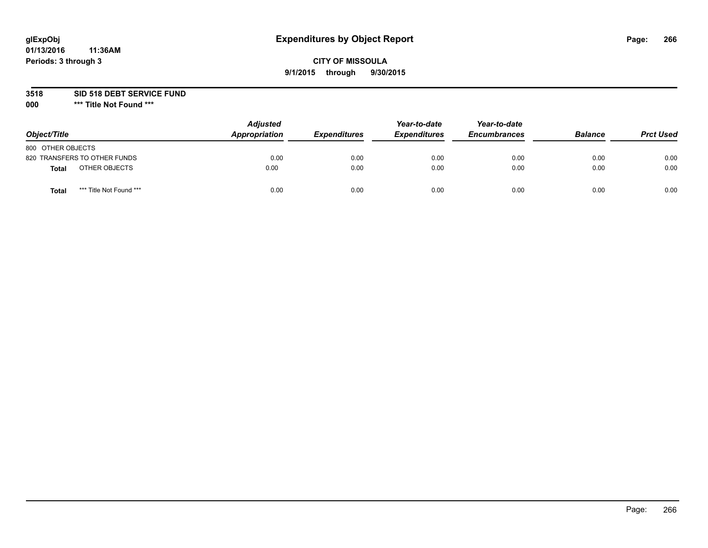# **glExpObj Expenditures by Object Report Page: 266**

## **CITY OF MISSOULA 9/1/2015 through 9/30/2015**

**3518 SID 518 DEBT SERVICE FUND**

**000 \*\*\* Title Not Found \*\*\***

| Object/Title                     | <b>Adjusted</b><br>Appropriation | <b>Expenditures</b> | Year-to-date<br><b>Expenditures</b> | Year-to-date<br><b>Encumbrances</b> | <b>Balance</b> | <b>Prct Used</b> |
|----------------------------------|----------------------------------|---------------------|-------------------------------------|-------------------------------------|----------------|------------------|
| 800 OTHER OBJECTS                |                                  |                     |                                     |                                     |                |                  |
| 820 TRANSFERS TO OTHER FUNDS     | 0.00                             | 0.00                | 0.00                                | 0.00                                | 0.00           | 0.00             |
| OTHER OBJECTS<br>Total           | 0.00                             | 0.00                | 0.00                                | 0.00                                | 0.00           | 0.00             |
| *** Title Not Found ***<br>Total | 0.00                             | 0.00                | 0.00                                | 0.00                                | 0.00           | 0.00             |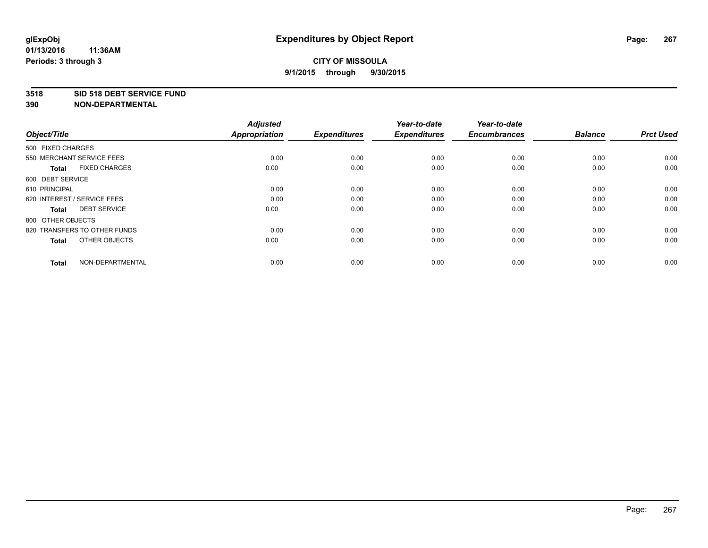#### **3518 SID 518 DEBT SERVICE FUND**

| Object/Title                         | <b>Adjusted</b><br><b>Appropriation</b> | <b>Expenditures</b> | Year-to-date<br><b>Expenditures</b> | Year-to-date<br><b>Encumbrances</b> | <b>Balance</b> | <b>Prct Used</b> |
|--------------------------------------|-----------------------------------------|---------------------|-------------------------------------|-------------------------------------|----------------|------------------|
| 500 FIXED CHARGES                    |                                         |                     |                                     |                                     |                |                  |
| 550 MERCHANT SERVICE FEES            | 0.00                                    | 0.00                | 0.00                                | 0.00                                | 0.00           | 0.00             |
| <b>FIXED CHARGES</b><br><b>Total</b> | 0.00                                    | 0.00                | 0.00                                | 0.00                                | 0.00           | 0.00             |
| 600 DEBT SERVICE                     |                                         |                     |                                     |                                     |                |                  |
| 610 PRINCIPAL                        | 0.00                                    | 0.00                | 0.00                                | 0.00                                | 0.00           | 0.00             |
| 620 INTEREST / SERVICE FEES          | 0.00                                    | 0.00                | 0.00                                | 0.00                                | 0.00           | 0.00             |
| <b>DEBT SERVICE</b><br><b>Total</b>  | 0.00                                    | 0.00                | 0.00                                | 0.00                                | 0.00           | 0.00             |
| 800 OTHER OBJECTS                    |                                         |                     |                                     |                                     |                |                  |
| 820 TRANSFERS TO OTHER FUNDS         | 0.00                                    | 0.00                | 0.00                                | 0.00                                | 0.00           | 0.00             |
| OTHER OBJECTS<br><b>Total</b>        | 0.00                                    | 0.00                | 0.00                                | 0.00                                | 0.00           | 0.00             |
|                                      |                                         |                     |                                     |                                     |                |                  |
| NON-DEPARTMENTAL<br><b>Total</b>     | 0.00                                    | 0.00                | 0.00                                | 0.00                                | 0.00           | 0.00             |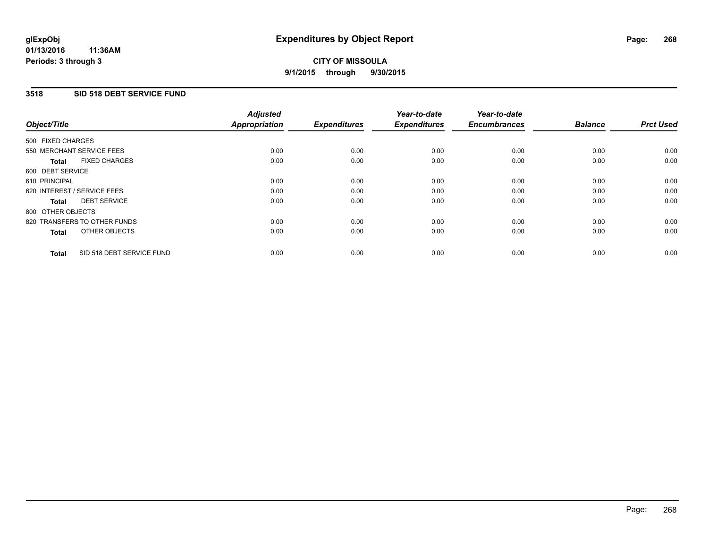### **3518 SID 518 DEBT SERVICE FUND**

| Object/Title      |                              | <b>Adjusted</b><br>Appropriation | <b>Expenditures</b> | Year-to-date<br><b>Expenditures</b> | Year-to-date<br><b>Encumbrances</b> | <b>Balance</b> | <b>Prct Used</b> |
|-------------------|------------------------------|----------------------------------|---------------------|-------------------------------------|-------------------------------------|----------------|------------------|
| 500 FIXED CHARGES |                              |                                  |                     |                                     |                                     |                |                  |
|                   | 550 MERCHANT SERVICE FEES    | 0.00                             | 0.00                | 0.00                                | 0.00                                | 0.00           | 0.00             |
| <b>Total</b>      | <b>FIXED CHARGES</b>         | 0.00                             | 0.00                | 0.00                                | 0.00                                | 0.00           | 0.00             |
| 600 DEBT SERVICE  |                              |                                  |                     |                                     |                                     |                |                  |
| 610 PRINCIPAL     |                              | 0.00                             | 0.00                | 0.00                                | 0.00                                | 0.00           | 0.00             |
|                   | 620 INTEREST / SERVICE FEES  | 0.00                             | 0.00                | 0.00                                | 0.00                                | 0.00           | 0.00             |
| <b>Total</b>      | <b>DEBT SERVICE</b>          | 0.00                             | 0.00                | 0.00                                | 0.00                                | 0.00           | 0.00             |
| 800 OTHER OBJECTS |                              |                                  |                     |                                     |                                     |                |                  |
|                   | 820 TRANSFERS TO OTHER FUNDS | 0.00                             | 0.00                | 0.00                                | 0.00                                | 0.00           | 0.00             |
| <b>Total</b>      | OTHER OBJECTS                | 0.00                             | 0.00                | 0.00                                | 0.00                                | 0.00           | 0.00             |
| <b>Total</b>      | SID 518 DEBT SERVICE FUND    | 0.00                             | 0.00                | 0.00                                | 0.00                                | 0.00           | 0.00             |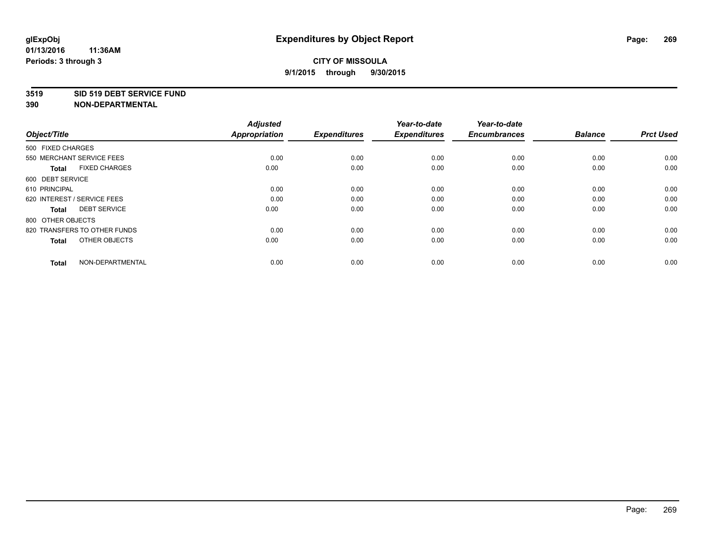#### **3519 SID 519 DEBT SERVICE FUND**

| Object/Title                         | <b>Adjusted</b><br><b>Appropriation</b> | <b>Expenditures</b> | Year-to-date<br><b>Expenditures</b> | Year-to-date<br><b>Encumbrances</b> | <b>Balance</b> | <b>Prct Used</b> |
|--------------------------------------|-----------------------------------------|---------------------|-------------------------------------|-------------------------------------|----------------|------------------|
| 500 FIXED CHARGES                    |                                         |                     |                                     |                                     |                |                  |
| 550 MERCHANT SERVICE FEES            | 0.00                                    | 0.00                | 0.00                                | 0.00                                | 0.00           | 0.00             |
| <b>FIXED CHARGES</b><br><b>Total</b> | 0.00                                    | 0.00                | 0.00                                | 0.00                                | 0.00           | 0.00             |
| 600 DEBT SERVICE                     |                                         |                     |                                     |                                     |                |                  |
| 610 PRINCIPAL                        | 0.00                                    | 0.00                | 0.00                                | 0.00                                | 0.00           | 0.00             |
| 620 INTEREST / SERVICE FEES          | 0.00                                    | 0.00                | 0.00                                | 0.00                                | 0.00           | 0.00             |
| <b>DEBT SERVICE</b><br><b>Total</b>  | 0.00                                    | 0.00                | 0.00                                | 0.00                                | 0.00           | 0.00             |
| 800 OTHER OBJECTS                    |                                         |                     |                                     |                                     |                |                  |
| 820 TRANSFERS TO OTHER FUNDS         | 0.00                                    | 0.00                | 0.00                                | 0.00                                | 0.00           | 0.00             |
| OTHER OBJECTS<br><b>Total</b>        | 0.00                                    | 0.00                | 0.00                                | 0.00                                | 0.00           | 0.00             |
|                                      |                                         |                     |                                     |                                     |                |                  |
| NON-DEPARTMENTAL<br><b>Total</b>     | 0.00                                    | 0.00                | 0.00                                | 0.00                                | 0.00           | 0.00             |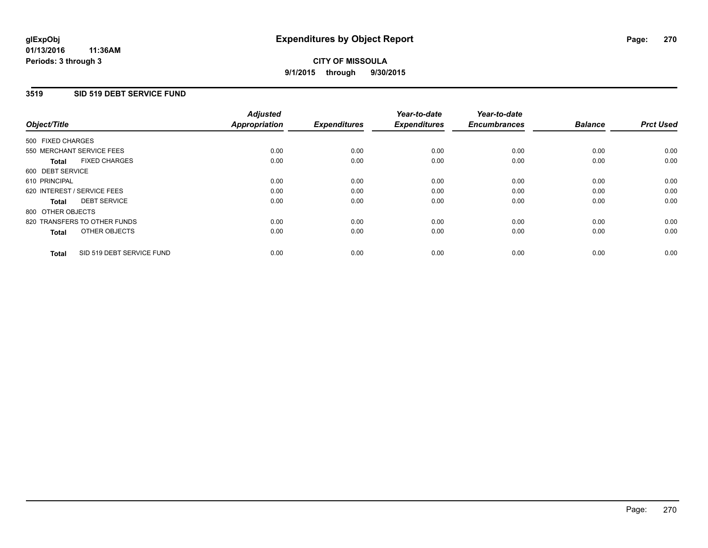### **3519 SID 519 DEBT SERVICE FUND**

| Object/Title                              | <b>Adjusted</b><br><b>Appropriation</b> | <b>Expenditures</b> | Year-to-date<br><b>Expenditures</b> | Year-to-date<br><b>Encumbrances</b> | <b>Balance</b> | <b>Prct Used</b> |
|-------------------------------------------|-----------------------------------------|---------------------|-------------------------------------|-------------------------------------|----------------|------------------|
|                                           |                                         |                     |                                     |                                     |                |                  |
| 500 FIXED CHARGES                         |                                         |                     |                                     |                                     |                |                  |
| 550 MERCHANT SERVICE FEES                 | 0.00                                    | 0.00                | 0.00                                | 0.00                                | 0.00           | 0.00             |
| <b>FIXED CHARGES</b><br><b>Total</b>      | 0.00                                    | 0.00                | 0.00                                | 0.00                                | 0.00           | 0.00             |
| 600 DEBT SERVICE                          |                                         |                     |                                     |                                     |                |                  |
| 610 PRINCIPAL                             | 0.00                                    | 0.00                | 0.00                                | 0.00                                | 0.00           | 0.00             |
| 620 INTEREST / SERVICE FEES               | 0.00                                    | 0.00                | 0.00                                | 0.00                                | 0.00           | 0.00             |
| <b>DEBT SERVICE</b><br><b>Total</b>       | 0.00                                    | 0.00                | 0.00                                | 0.00                                | 0.00           | 0.00             |
| 800 OTHER OBJECTS                         |                                         |                     |                                     |                                     |                |                  |
| 820 TRANSFERS TO OTHER FUNDS              | 0.00                                    | 0.00                | 0.00                                | 0.00                                | 0.00           | 0.00             |
| OTHER OBJECTS<br><b>Total</b>             | 0.00                                    | 0.00                | 0.00                                | 0.00                                | 0.00           | 0.00             |
|                                           |                                         |                     |                                     |                                     |                |                  |
| SID 519 DEBT SERVICE FUND<br><b>Total</b> | 0.00                                    | 0.00                | 0.00                                | 0.00                                | 0.00           | 0.00             |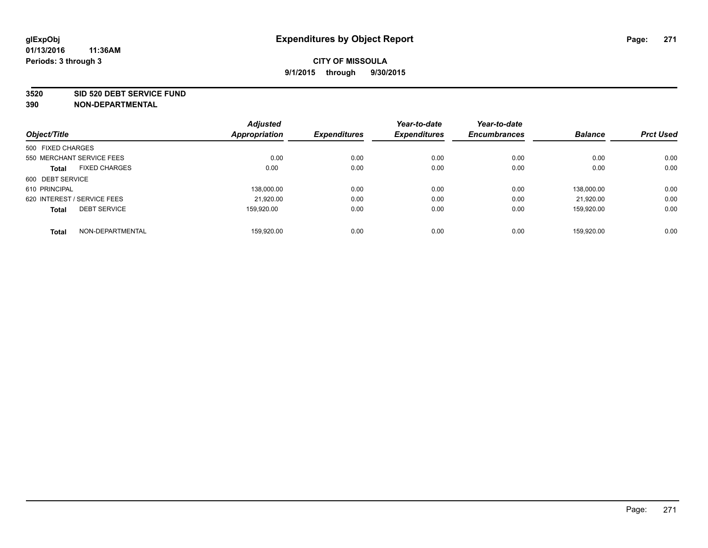#### **3520 SID 520 DEBT SERVICE FUND**

| Object/Title                |                      | <b>Adjusted</b><br>Appropriation | <b>Expenditures</b> | Year-to-date<br><b>Expenditures</b> | Year-to-date<br><b>Encumbrances</b> | <b>Balance</b> | <b>Prct Used</b> |
|-----------------------------|----------------------|----------------------------------|---------------------|-------------------------------------|-------------------------------------|----------------|------------------|
|                             |                      |                                  |                     |                                     |                                     |                |                  |
| 500 FIXED CHARGES           |                      |                                  |                     |                                     |                                     |                |                  |
| 550 MERCHANT SERVICE FEES   |                      | 0.00                             | 0.00                | 0.00                                | 0.00                                | 0.00           | 0.00             |
| <b>Total</b>                | <b>FIXED CHARGES</b> | 0.00                             | 0.00                | 0.00                                | 0.00                                | 0.00           | 0.00             |
| 600 DEBT SERVICE            |                      |                                  |                     |                                     |                                     |                |                  |
| 610 PRINCIPAL               |                      | 138.000.00                       | 0.00                | 0.00                                | 0.00                                | 138.000.00     | 0.00             |
| 620 INTEREST / SERVICE FEES |                      | 21,920.00                        | 0.00                | 0.00                                | 0.00                                | 21.920.00      | 0.00             |
| <b>Total</b>                | <b>DEBT SERVICE</b>  | 159.920.00                       | 0.00                | 0.00                                | 0.00                                | 159.920.00     | 0.00             |
| <b>Total</b>                | NON-DEPARTMENTAL     | 159.920.00                       | 0.00                | 0.00                                | 0.00                                | 159.920.00     | 0.00             |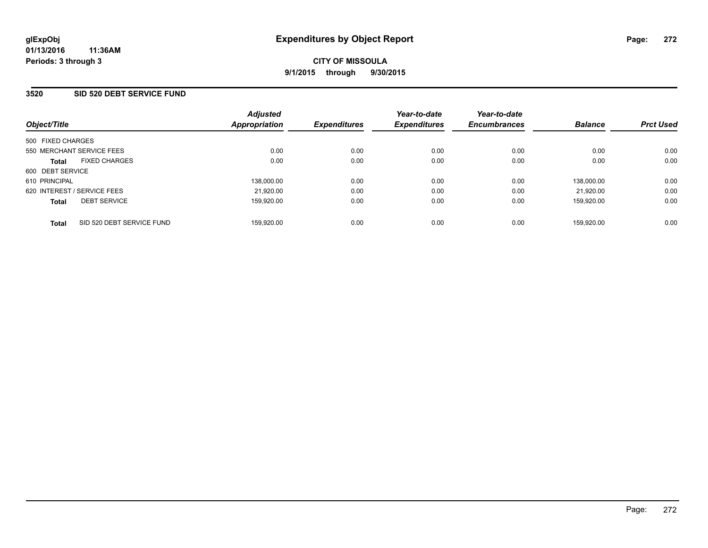#### **3520 SID 520 DEBT SERVICE FUND**

| Object/Title                              | <b>Adjusted</b><br>Appropriation | <b>Expenditures</b> | Year-to-date<br><b>Expenditures</b> | Year-to-date<br><b>Encumbrances</b> | <b>Balance</b> | <b>Prct Used</b> |
|-------------------------------------------|----------------------------------|---------------------|-------------------------------------|-------------------------------------|----------------|------------------|
| 500 FIXED CHARGES                         |                                  |                     |                                     |                                     |                |                  |
| 550 MERCHANT SERVICE FEES                 | 0.00                             | 0.00                | 0.00                                | 0.00                                | 0.00           | 0.00             |
| <b>FIXED CHARGES</b><br><b>Total</b>      | 0.00                             | 0.00                | 0.00                                | 0.00                                | 0.00           | 0.00             |
| 600 DEBT SERVICE                          |                                  |                     |                                     |                                     |                |                  |
| 610 PRINCIPAL                             | 138.000.00                       | 0.00                | 0.00                                | 0.00                                | 138.000.00     | 0.00             |
| 620 INTEREST / SERVICE FEES               | 21,920.00                        | 0.00                | 0.00                                | 0.00                                | 21.920.00      | 0.00             |
| <b>DEBT SERVICE</b><br><b>Total</b>       | 159,920.00                       | 0.00                | 0.00                                | 0.00                                | 159.920.00     | 0.00             |
| SID 520 DEBT SERVICE FUND<br><b>Total</b> | 159.920.00                       | 0.00                | 0.00                                | 0.00                                | 159.920.00     | 0.00             |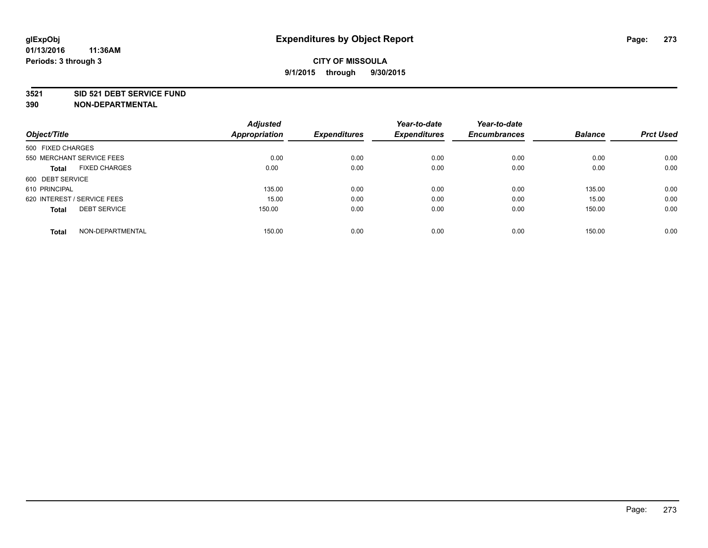#### **3521 SID 521 DEBT SERVICE FUND**

| Object/Title                         | <b>Adjusted</b><br><b>Appropriation</b> | <b>Expenditures</b> | Year-to-date<br><b>Expenditures</b> | Year-to-date<br><b>Encumbrances</b> | <b>Balance</b> | <b>Prct Used</b> |
|--------------------------------------|-----------------------------------------|---------------------|-------------------------------------|-------------------------------------|----------------|------------------|
| 500 FIXED CHARGES                    |                                         |                     |                                     |                                     |                |                  |
| 550 MERCHANT SERVICE FEES            | 0.00                                    | 0.00                | 0.00                                | 0.00                                | 0.00           | 0.00             |
| <b>FIXED CHARGES</b><br><b>Total</b> | 0.00                                    | 0.00                | 0.00                                | 0.00                                | 0.00           | 0.00             |
| 600 DEBT SERVICE                     |                                         |                     |                                     |                                     |                |                  |
| 610 PRINCIPAL                        | 135.00                                  | 0.00                | 0.00                                | 0.00                                | 135.00         | 0.00             |
| 620 INTEREST / SERVICE FEES          | 15.00                                   | 0.00                | 0.00                                | 0.00                                | 15.00          | 0.00             |
| <b>DEBT SERVICE</b><br><b>Total</b>  | 150.00                                  | 0.00                | 0.00                                | 0.00                                | 150.00         | 0.00             |
| NON-DEPARTMENTAL<br><b>Total</b>     | 150.00                                  | 0.00                | 0.00                                | 0.00                                | 150.00         | 0.00             |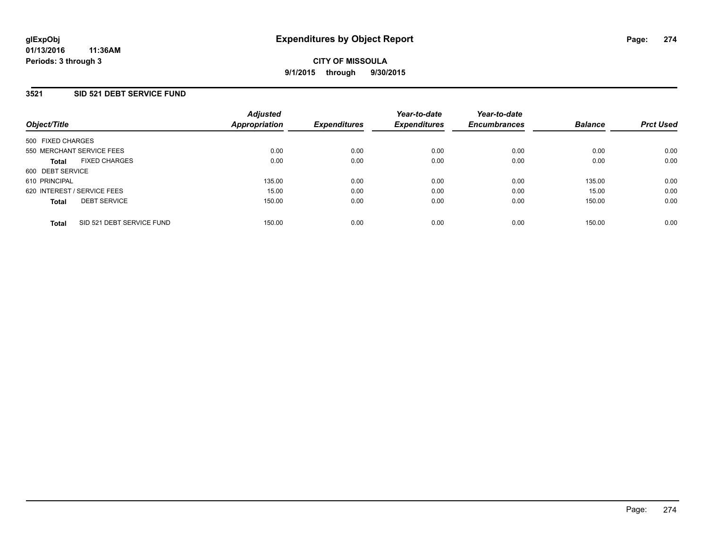## **3521 SID 521 DEBT SERVICE FUND**

| Object/Title                              | <b>Adjusted</b><br>Appropriation | <b>Expenditures</b> | Year-to-date<br><b>Expenditures</b> | Year-to-date<br><b>Encumbrances</b> | <b>Balance</b> | <b>Prct Used</b> |
|-------------------------------------------|----------------------------------|---------------------|-------------------------------------|-------------------------------------|----------------|------------------|
| 500 FIXED CHARGES                         |                                  |                     |                                     |                                     |                |                  |
| 550 MERCHANT SERVICE FEES                 | 0.00                             | 0.00                | 0.00                                | 0.00                                | 0.00           | 0.00             |
| <b>FIXED CHARGES</b><br><b>Total</b>      | 0.00                             | 0.00                | 0.00                                | 0.00                                | 0.00           | 0.00             |
| 600 DEBT SERVICE                          |                                  |                     |                                     |                                     |                |                  |
| 610 PRINCIPAL                             | 135.00                           | 0.00                | 0.00                                | 0.00                                | 135.00         | 0.00             |
| 620 INTEREST / SERVICE FEES               | 15.00                            | 0.00                | 0.00                                | 0.00                                | 15.00          | 0.00             |
| <b>DEBT SERVICE</b><br><b>Total</b>       | 150.00                           | 0.00                | 0.00                                | 0.00                                | 150.00         | 0.00             |
| SID 521 DEBT SERVICE FUND<br><b>Total</b> | 150.00                           | 0.00                | 0.00                                | 0.00                                | 150.00         | 0.00             |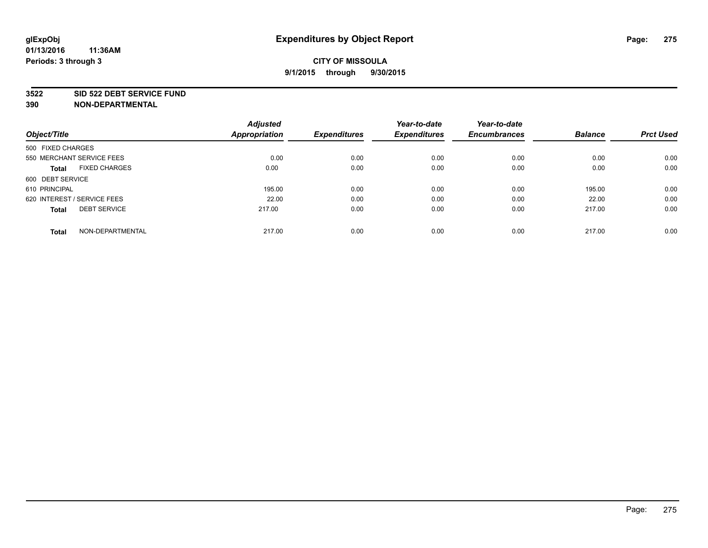#### **3522 SID 522 DEBT SERVICE FUND**

|                                      | <b>Adjusted</b>      |                     | Year-to-date        | Year-to-date        |                |                  |
|--------------------------------------|----------------------|---------------------|---------------------|---------------------|----------------|------------------|
| Object/Title                         | <b>Appropriation</b> | <b>Expenditures</b> | <b>Expenditures</b> | <b>Encumbrances</b> | <b>Balance</b> | <b>Prct Used</b> |
| 500 FIXED CHARGES                    |                      |                     |                     |                     |                |                  |
| 550 MERCHANT SERVICE FEES            | 0.00                 | 0.00                | 0.00                | 0.00                | 0.00           | 0.00             |
| <b>FIXED CHARGES</b><br><b>Total</b> | 0.00                 | 0.00                | 0.00                | 0.00                | 0.00           | 0.00             |
| 600 DEBT SERVICE                     |                      |                     |                     |                     |                |                  |
| 610 PRINCIPAL                        | 195.00               | 0.00                | 0.00                | 0.00                | 195.00         | 0.00             |
| 620 INTEREST / SERVICE FEES          | 22.00                | 0.00                | 0.00                | 0.00                | 22.00          | 0.00             |
| <b>DEBT SERVICE</b><br><b>Total</b>  | 217.00               | 0.00                | 0.00                | 0.00                | 217.00         | 0.00             |
| NON-DEPARTMENTAL<br><b>Total</b>     | 217.00               | 0.00                | 0.00                | 0.00                | 217.00         | 0.00             |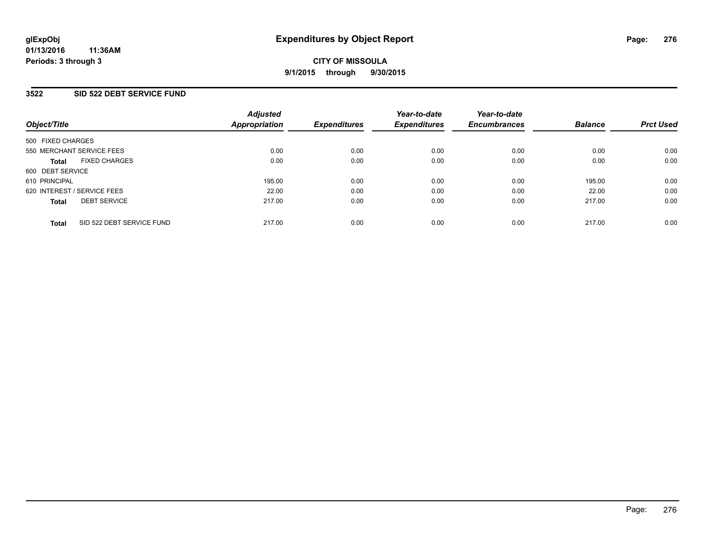#### **3522 SID 522 DEBT SERVICE FUND**

| Object/Title                              | <b>Adjusted</b><br>Appropriation | <b>Expenditures</b> | Year-to-date<br><b>Expenditures</b> | Year-to-date<br><b>Encumbrances</b> | <b>Balance</b> | <b>Prct Used</b> |
|-------------------------------------------|----------------------------------|---------------------|-------------------------------------|-------------------------------------|----------------|------------------|
| 500 FIXED CHARGES                         |                                  |                     |                                     |                                     |                |                  |
| 550 MERCHANT SERVICE FEES                 | 0.00                             | 0.00                | 0.00                                | 0.00                                | 0.00           | 0.00             |
| <b>FIXED CHARGES</b><br><b>Total</b>      | 0.00                             | 0.00                | 0.00                                | 0.00                                | 0.00           | 0.00             |
| 600 DEBT SERVICE                          |                                  |                     |                                     |                                     |                |                  |
| 610 PRINCIPAL                             | 195.00                           | 0.00                | 0.00                                | 0.00                                | 195.00         | 0.00             |
| 620 INTEREST / SERVICE FEES               | 22.00                            | 0.00                | 0.00                                | 0.00                                | 22.00          | 0.00             |
| <b>DEBT SERVICE</b><br><b>Total</b>       | 217.00                           | 0.00                | 0.00                                | 0.00                                | 217.00         | 0.00             |
| SID 522 DEBT SERVICE FUND<br><b>Total</b> | 217.00                           | 0.00                | 0.00                                | 0.00                                | 217.00         | 0.00             |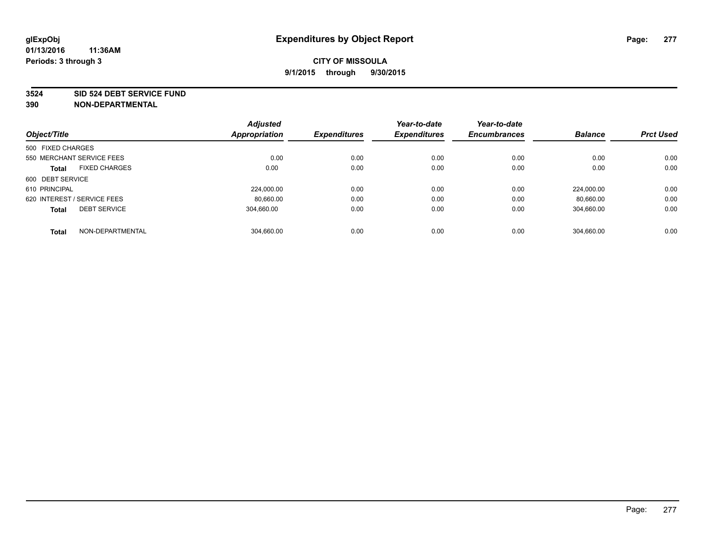#### **3524 SID 524 DEBT SERVICE FUND**

| Object/Title                         | <b>Adjusted</b><br>Appropriation | <b>Expenditures</b> | Year-to-date<br><b>Expenditures</b> | Year-to-date<br><b>Encumbrances</b> | <b>Balance</b> | <b>Prct Used</b> |
|--------------------------------------|----------------------------------|---------------------|-------------------------------------|-------------------------------------|----------------|------------------|
|                                      |                                  |                     |                                     |                                     |                |                  |
| 500 FIXED CHARGES                    |                                  |                     |                                     |                                     |                |                  |
| 550 MERCHANT SERVICE FEES            | 0.00                             | 0.00                | 0.00                                | 0.00                                | 0.00           | 0.00             |
| <b>FIXED CHARGES</b><br><b>Total</b> | 0.00                             | 0.00                | 0.00                                | 0.00                                | 0.00           | 0.00             |
| 600 DEBT SERVICE                     |                                  |                     |                                     |                                     |                |                  |
| 610 PRINCIPAL                        | 224.000.00                       | 0.00                | 0.00                                | 0.00                                | 224.000.00     | 0.00             |
| 620 INTEREST / SERVICE FEES          | 80,660.00                        | 0.00                | 0.00                                | 0.00                                | 80.660.00      | 0.00             |
| <b>DEBT SERVICE</b><br><b>Total</b>  | 304.660.00                       | 0.00                | 0.00                                | 0.00                                | 304,660.00     | 0.00             |
| NON-DEPARTMENTAL<br><b>Total</b>     | 304.660.00                       | 0.00                | 0.00                                | 0.00                                | 304.660.00     | 0.00             |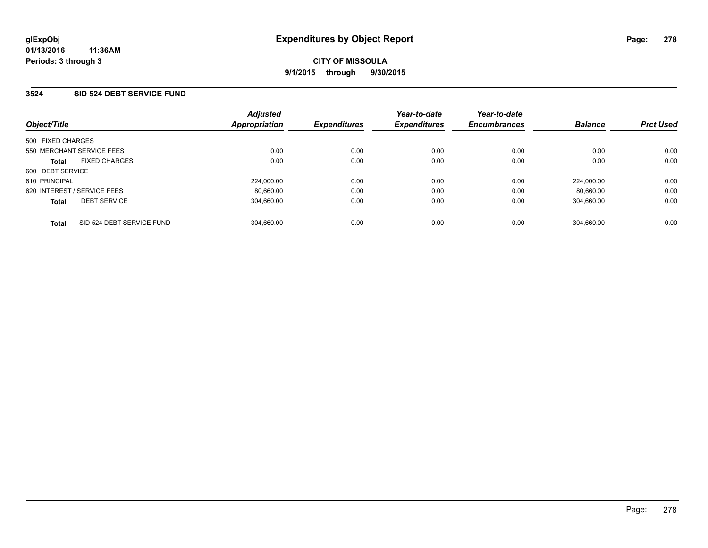#### **3524 SID 524 DEBT SERVICE FUND**

| Object/Title                              | <b>Adjusted</b><br><b>Appropriation</b> | <b>Expenditures</b> | Year-to-date<br><b>Expenditures</b> | Year-to-date<br><b>Encumbrances</b> | <b>Balance</b> | <b>Prct Used</b> |
|-------------------------------------------|-----------------------------------------|---------------------|-------------------------------------|-------------------------------------|----------------|------------------|
| 500 FIXED CHARGES                         |                                         |                     |                                     |                                     |                |                  |
| 550 MERCHANT SERVICE FEES                 | 0.00                                    | 0.00                | 0.00                                | 0.00                                | 0.00           | 0.00             |
| <b>FIXED CHARGES</b><br><b>Total</b>      | 0.00                                    | 0.00                | 0.00                                | 0.00                                | 0.00           | 0.00             |
| 600 DEBT SERVICE                          |                                         |                     |                                     |                                     |                |                  |
| 610 PRINCIPAL                             | 224.000.00                              | 0.00                | 0.00                                | 0.00                                | 224.000.00     | 0.00             |
| 620 INTEREST / SERVICE FEES               | 80.660.00                               | 0.00                | 0.00                                | 0.00                                | 80.660.00      | 0.00             |
| <b>DEBT SERVICE</b><br><b>Total</b>       | 304.660.00                              | 0.00                | 0.00                                | 0.00                                | 304.660.00     | 0.00             |
|                                           |                                         |                     |                                     |                                     |                |                  |
| SID 524 DEBT SERVICE FUND<br><b>Total</b> | 304.660.00                              | 0.00                | 0.00                                | 0.00                                | 304.660.00     | 0.00             |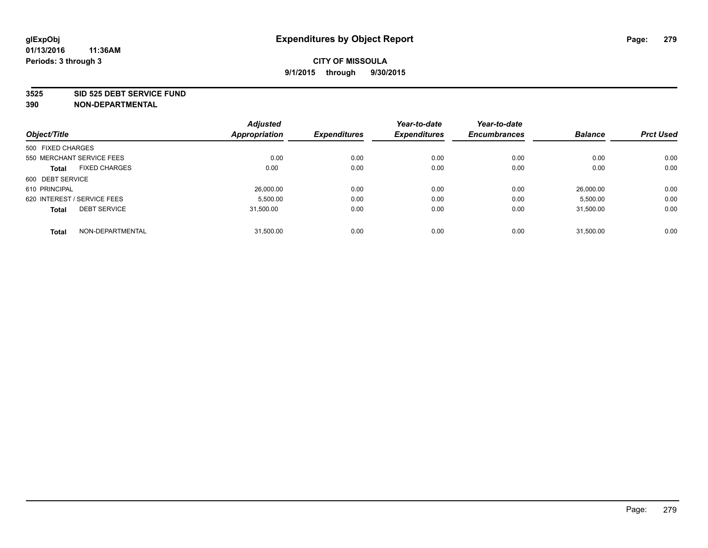#### **3525 SID 525 DEBT SERVICE FUND**

| Object/Title                         | <b>Adjusted</b><br>Appropriation | <b>Expenditures</b> | Year-to-date<br><b>Expenditures</b> | Year-to-date<br><b>Encumbrances</b> | <b>Balance</b> | <b>Prct Used</b> |
|--------------------------------------|----------------------------------|---------------------|-------------------------------------|-------------------------------------|----------------|------------------|
| 500 FIXED CHARGES                    |                                  |                     |                                     |                                     |                |                  |
|                                      |                                  |                     |                                     |                                     |                |                  |
| 550 MERCHANT SERVICE FEES            | 0.00                             | 0.00                | 0.00                                | 0.00                                | 0.00           | 0.00             |
| <b>FIXED CHARGES</b><br><b>Total</b> | 0.00                             | 0.00                | 0.00                                | 0.00                                | 0.00           | 0.00             |
| 600 DEBT SERVICE                     |                                  |                     |                                     |                                     |                |                  |
| 610 PRINCIPAL                        | 26,000.00                        | 0.00                | 0.00                                | 0.00                                | 26.000.00      | 0.00             |
| 620 INTEREST / SERVICE FEES          | 5,500.00                         | 0.00                | 0.00                                | 0.00                                | 5,500.00       | 0.00             |
| <b>DEBT SERVICE</b><br><b>Total</b>  | 31.500.00                        | 0.00                | 0.00                                | 0.00                                | 31,500.00      | 0.00             |
|                                      |                                  |                     |                                     |                                     |                |                  |
| NON-DEPARTMENTAL<br><b>Total</b>     | 31,500.00                        | 0.00                | 0.00                                | 0.00                                | 31.500.00      | 0.00             |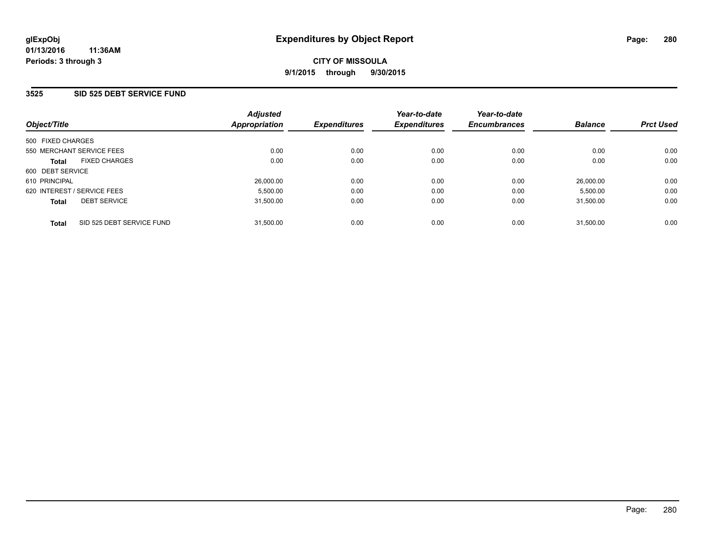### **3525 SID 525 DEBT SERVICE FUND**

| Object/Title                              | <b>Adjusted</b><br>Appropriation | <b>Expenditures</b> | Year-to-date<br><b>Expenditures</b> | Year-to-date<br><b>Encumbrances</b> | <b>Balance</b> | <b>Prct Used</b> |
|-------------------------------------------|----------------------------------|---------------------|-------------------------------------|-------------------------------------|----------------|------------------|
| 500 FIXED CHARGES                         |                                  |                     |                                     |                                     |                |                  |
| 550 MERCHANT SERVICE FEES                 | 0.00                             | 0.00                | 0.00                                | 0.00                                | 0.00           | 0.00             |
| <b>FIXED CHARGES</b><br><b>Total</b>      | 0.00                             | 0.00                | 0.00                                | 0.00                                | 0.00           | 0.00             |
| 600 DEBT SERVICE                          |                                  |                     |                                     |                                     |                |                  |
| 610 PRINCIPAL                             | 26,000.00                        | 0.00                | 0.00                                | 0.00                                | 26,000.00      | 0.00             |
| 620 INTEREST / SERVICE FEES               | 5,500.00                         | 0.00                | 0.00                                | 0.00                                | 5,500.00       | 0.00             |
| <b>DEBT SERVICE</b><br><b>Total</b>       | 31,500.00                        | 0.00                | 0.00                                | 0.00                                | 31.500.00      | 0.00             |
| SID 525 DEBT SERVICE FUND<br><b>Total</b> | 31.500.00                        | 0.00                | 0.00                                | 0.00                                | 31.500.00      | 0.00             |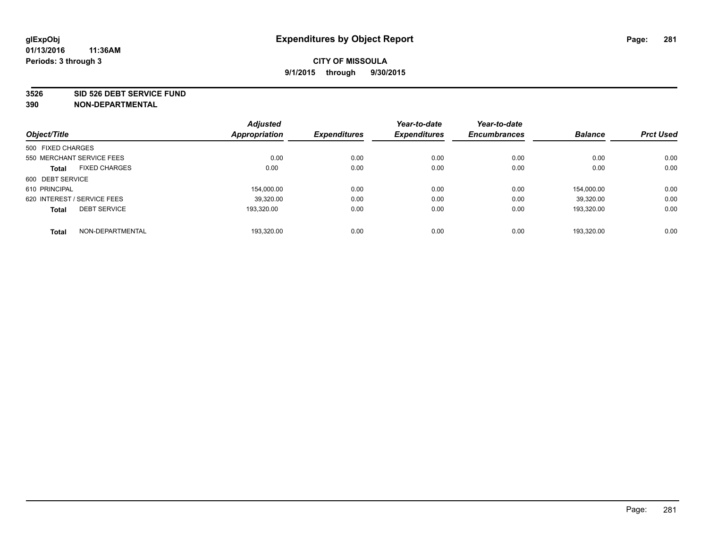#### **3526 SID 526 DEBT SERVICE FUND**

|                                      |                  | <b>Adjusted</b> |                     | Year-to-date        | Year-to-date        |                |                  |
|--------------------------------------|------------------|-----------------|---------------------|---------------------|---------------------|----------------|------------------|
| Object/Title                         |                  | Appropriation   | <b>Expenditures</b> | <b>Expenditures</b> | <b>Encumbrances</b> | <b>Balance</b> | <b>Prct Used</b> |
| 500 FIXED CHARGES                    |                  |                 |                     |                     |                     |                |                  |
| 550 MERCHANT SERVICE FEES            |                  | 0.00            | 0.00                | 0.00                | 0.00                | 0.00           | 0.00             |
| <b>FIXED CHARGES</b><br><b>Total</b> |                  | 0.00            | 0.00                | 0.00                | 0.00                | 0.00           | 0.00             |
| 600 DEBT SERVICE                     |                  |                 |                     |                     |                     |                |                  |
| 610 PRINCIPAL                        |                  | 154,000.00      | 0.00                | 0.00                | 0.00                | 154.000.00     | 0.00             |
| 620 INTEREST / SERVICE FEES          |                  | 39,320.00       | 0.00                | 0.00                | 0.00                | 39,320.00      | 0.00             |
| <b>DEBT SERVICE</b><br><b>Total</b>  |                  | 193.320.00      | 0.00                | 0.00                | 0.00                | 193.320.00     | 0.00             |
| <b>Total</b>                         | NON-DEPARTMENTAL | 193.320.00      | 0.00                | 0.00                | 0.00                | 193.320.00     | 0.00             |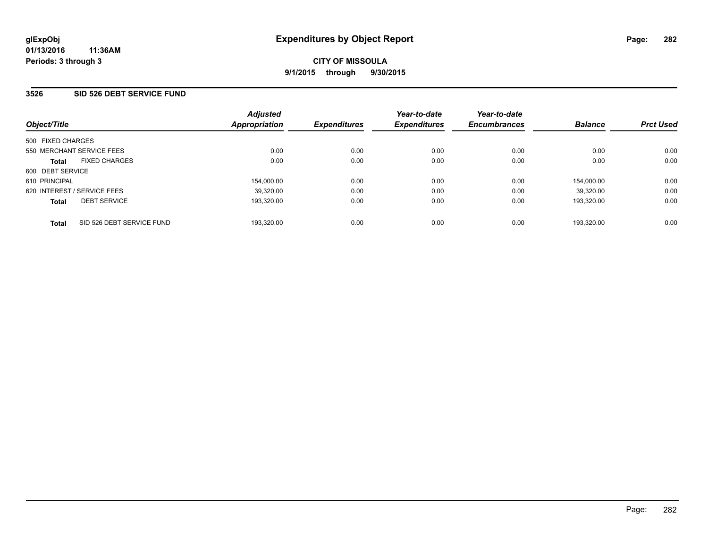#### **3526 SID 526 DEBT SERVICE FUND**

| Object/Title                              | <b>Adjusted</b><br>Appropriation | <b>Expenditures</b> | Year-to-date<br><b>Expenditures</b> | Year-to-date<br><b>Encumbrances</b> | <b>Balance</b> | <b>Prct Used</b> |
|-------------------------------------------|----------------------------------|---------------------|-------------------------------------|-------------------------------------|----------------|------------------|
| 500 FIXED CHARGES                         |                                  |                     |                                     |                                     |                |                  |
| 550 MERCHANT SERVICE FEES                 | 0.00                             | 0.00                | 0.00                                | 0.00                                | 0.00           | 0.00             |
| <b>FIXED CHARGES</b><br><b>Total</b>      | 0.00                             | 0.00                | 0.00                                | 0.00                                | 0.00           | 0.00             |
| 600 DEBT SERVICE                          |                                  |                     |                                     |                                     |                |                  |
| 610 PRINCIPAL                             | 154,000.00                       | 0.00                | 0.00                                | 0.00                                | 154.000.00     | 0.00             |
| 620 INTEREST / SERVICE FEES               | 39,320.00                        | 0.00                | 0.00                                | 0.00                                | 39.320.00      | 0.00             |
| <b>DEBT SERVICE</b><br><b>Total</b>       | 193,320.00                       | 0.00                | 0.00                                | 0.00                                | 193.320.00     | 0.00             |
| SID 526 DEBT SERVICE FUND<br><b>Total</b> | 193,320.00                       | 0.00                | 0.00                                | 0.00                                | 193.320.00     | 0.00             |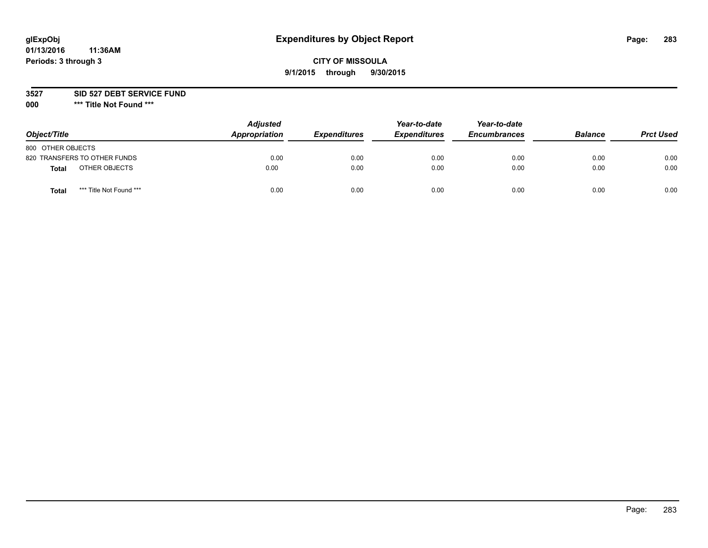# **glExpObj Expenditures by Object Report Page: 283**

## **CITY OF MISSOULA 9/1/2015 through 9/30/2015**

**3527 SID 527 DEBT SERVICE FUND**

**000 \*\*\* Title Not Found \*\*\***

| Object/Title                            | <b>Adjusted</b><br>Appropriation | <b>Expenditures</b> | Year-to-date<br><b>Expenditures</b> | Year-to-date<br><b>Encumbrances</b> | <b>Balance</b> | <b>Prct Used</b> |
|-----------------------------------------|----------------------------------|---------------------|-------------------------------------|-------------------------------------|----------------|------------------|
| 800 OTHER OBJECTS                       |                                  |                     |                                     |                                     |                |                  |
| 820 TRANSFERS TO OTHER FUNDS            | 0.00                             | 0.00                | 0.00                                | 0.00                                | 0.00           | 0.00             |
| OTHER OBJECTS<br><b>Total</b>           | 0.00                             | 0.00                | 0.00                                | 0.00                                | 0.00           | 0.00             |
| *** Title Not Found ***<br><b>Total</b> | 0.00                             | 0.00                | 0.00                                | 0.00                                | 0.00           | 0.00             |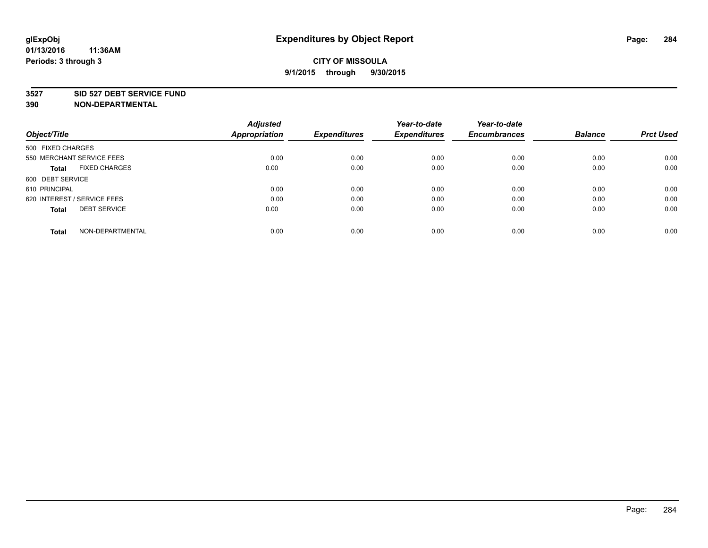#### **3527 SID 527 DEBT SERVICE FUND**

|                                      | <b>Adjusted</b>      |                     | Year-to-date        | Year-to-date        |                |                  |
|--------------------------------------|----------------------|---------------------|---------------------|---------------------|----------------|------------------|
| Object/Title                         | <b>Appropriation</b> | <b>Expenditures</b> | <b>Expenditures</b> | <b>Encumbrances</b> | <b>Balance</b> | <b>Prct Used</b> |
| 500 FIXED CHARGES                    |                      |                     |                     |                     |                |                  |
| 550 MERCHANT SERVICE FEES            | 0.00                 | 0.00                | 0.00                | 0.00                | 0.00           | 0.00             |
| <b>FIXED CHARGES</b><br><b>Total</b> | 0.00                 | 0.00                | 0.00                | 0.00                | 0.00           | 0.00             |
| 600 DEBT SERVICE                     |                      |                     |                     |                     |                |                  |
| 610 PRINCIPAL                        | 0.00                 | 0.00                | 0.00                | 0.00                | 0.00           | 0.00             |
| 620 INTEREST / SERVICE FEES          | 0.00                 | 0.00                | 0.00                | 0.00                | 0.00           | 0.00             |
| <b>DEBT SERVICE</b><br><b>Total</b>  | 0.00                 | 0.00                | 0.00                | 0.00                | 0.00           | 0.00             |
| NON-DEPARTMENTAL<br><b>Total</b>     | 0.00                 | 0.00                | 0.00                | 0.00                | 0.00           | 0.00             |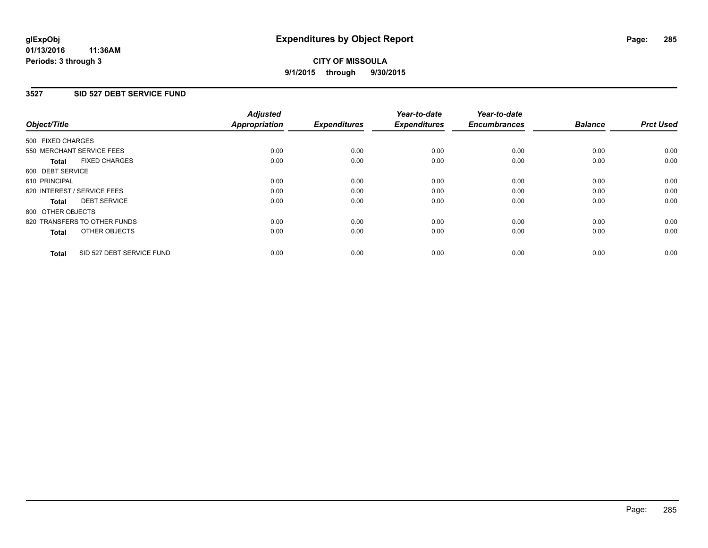### **3527 SID 527 DEBT SERVICE FUND**

| Object/Title      |                              | <b>Adjusted</b><br>Appropriation | <b>Expenditures</b> | Year-to-date<br><b>Expenditures</b> | Year-to-date<br><b>Encumbrances</b> | <b>Balance</b> | <b>Prct Used</b> |
|-------------------|------------------------------|----------------------------------|---------------------|-------------------------------------|-------------------------------------|----------------|------------------|
| 500 FIXED CHARGES |                              |                                  |                     |                                     |                                     |                |                  |
|                   | 550 MERCHANT SERVICE FEES    | 0.00                             | 0.00                | 0.00                                | 0.00                                | 0.00           | 0.00             |
| <b>Total</b>      | <b>FIXED CHARGES</b>         | 0.00                             | 0.00                | 0.00                                | 0.00                                | 0.00           | 0.00             |
| 600 DEBT SERVICE  |                              |                                  |                     |                                     |                                     |                |                  |
| 610 PRINCIPAL     |                              | 0.00                             | 0.00                | 0.00                                | 0.00                                | 0.00           | 0.00             |
|                   | 620 INTEREST / SERVICE FEES  | 0.00                             | 0.00                | 0.00                                | 0.00                                | 0.00           | 0.00             |
| <b>Total</b>      | <b>DEBT SERVICE</b>          | 0.00                             | 0.00                | 0.00                                | 0.00                                | 0.00           | 0.00             |
| 800 OTHER OBJECTS |                              |                                  |                     |                                     |                                     |                |                  |
|                   | 820 TRANSFERS TO OTHER FUNDS | 0.00                             | 0.00                | 0.00                                | 0.00                                | 0.00           | 0.00             |
| <b>Total</b>      | OTHER OBJECTS                | 0.00                             | 0.00                | 0.00                                | 0.00                                | 0.00           | 0.00             |
| <b>Total</b>      | SID 527 DEBT SERVICE FUND    | 0.00                             | 0.00                | 0.00                                | 0.00                                | 0.00           | 0.00             |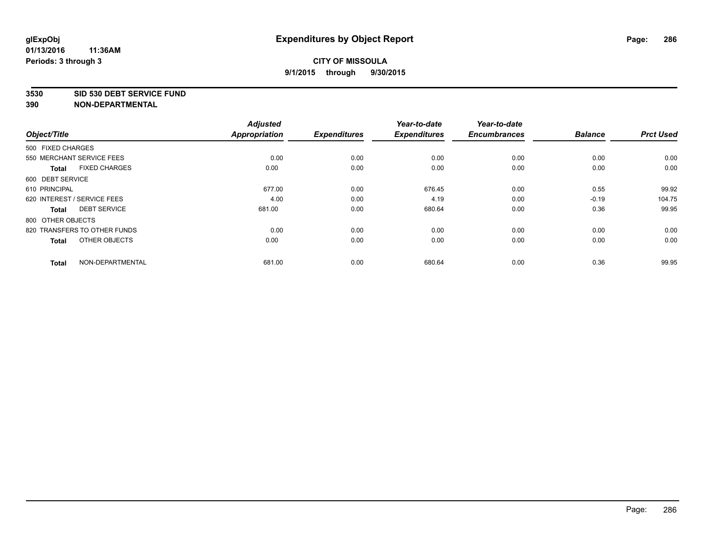#### **3530 SID 530 DEBT SERVICE FUND**

|                                      | <b>Adjusted</b> |                     | Year-to-date        | Year-to-date        |                |                  |
|--------------------------------------|-----------------|---------------------|---------------------|---------------------|----------------|------------------|
| Object/Title                         | Appropriation   | <b>Expenditures</b> | <b>Expenditures</b> | <b>Encumbrances</b> | <b>Balance</b> | <b>Prct Used</b> |
| 500 FIXED CHARGES                    |                 |                     |                     |                     |                |                  |
| 550 MERCHANT SERVICE FEES            | 0.00            | 0.00                | 0.00                | 0.00                | 0.00           | 0.00             |
| <b>FIXED CHARGES</b><br><b>Total</b> | 0.00            | 0.00                | 0.00                | 0.00                | 0.00           | 0.00             |
| 600 DEBT SERVICE                     |                 |                     |                     |                     |                |                  |
| 610 PRINCIPAL                        | 677.00          | 0.00                | 676.45              | 0.00                | 0.55           | 99.92            |
| 620 INTEREST / SERVICE FEES          | 4.00            | 0.00                | 4.19                | 0.00                | $-0.19$        | 104.75           |
| <b>DEBT SERVICE</b><br><b>Total</b>  | 681.00          | 0.00                | 680.64              | 0.00                | 0.36           | 99.95            |
| 800 OTHER OBJECTS                    |                 |                     |                     |                     |                |                  |
| 820 TRANSFERS TO OTHER FUNDS         | 0.00            | 0.00                | 0.00                | 0.00                | 0.00           | 0.00             |
| OTHER OBJECTS<br><b>Total</b>        | 0.00            | 0.00                | 0.00                | 0.00                | 0.00           | 0.00             |
|                                      |                 |                     |                     |                     |                |                  |
| NON-DEPARTMENTAL<br><b>Total</b>     | 681.00          | 0.00                | 680.64              | 0.00                | 0.36           | 99.95            |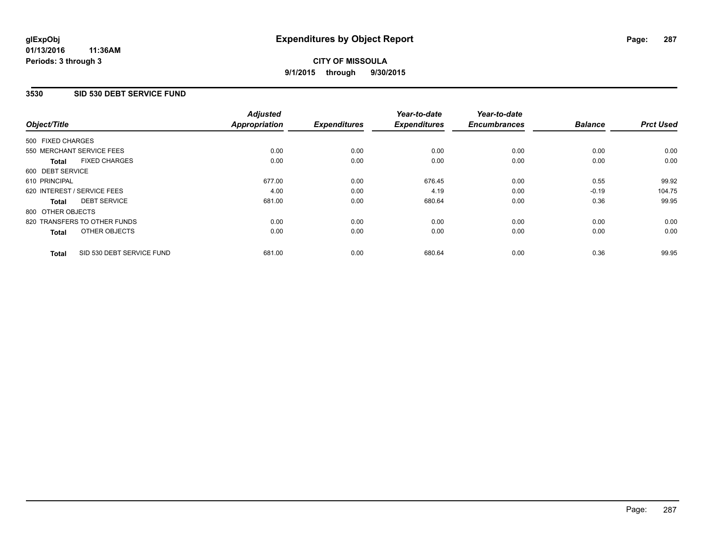### **3530 SID 530 DEBT SERVICE FUND**

| Object/Title      |                              | <b>Adjusted</b><br><b>Appropriation</b> | <b>Expenditures</b> | Year-to-date<br><b>Expenditures</b> | Year-to-date<br><b>Encumbrances</b> | <b>Balance</b> | <b>Prct Used</b> |
|-------------------|------------------------------|-----------------------------------------|---------------------|-------------------------------------|-------------------------------------|----------------|------------------|
|                   |                              |                                         |                     |                                     |                                     |                |                  |
| 500 FIXED CHARGES |                              |                                         |                     |                                     |                                     |                |                  |
|                   | 550 MERCHANT SERVICE FEES    | 0.00                                    | 0.00                | 0.00                                | 0.00                                | 0.00           | 0.00             |
| <b>Total</b>      | <b>FIXED CHARGES</b>         | 0.00                                    | 0.00                | 0.00                                | 0.00                                | 0.00           | 0.00             |
| 600 DEBT SERVICE  |                              |                                         |                     |                                     |                                     |                |                  |
| 610 PRINCIPAL     |                              | 677.00                                  | 0.00                | 676.45                              | 0.00                                | 0.55           | 99.92            |
|                   | 620 INTEREST / SERVICE FEES  | 4.00                                    | 0.00                | 4.19                                | 0.00                                | $-0.19$        | 104.75           |
| Total             | <b>DEBT SERVICE</b>          | 681.00                                  | 0.00                | 680.64                              | 0.00                                | 0.36           | 99.95            |
| 800 OTHER OBJECTS |                              |                                         |                     |                                     |                                     |                |                  |
|                   | 820 TRANSFERS TO OTHER FUNDS | 0.00                                    | 0.00                | 0.00                                | 0.00                                | 0.00           | 0.00             |
| <b>Total</b>      | OTHER OBJECTS                | 0.00                                    | 0.00                | 0.00                                | 0.00                                | 0.00           | 0.00             |
| <b>Total</b>      | SID 530 DEBT SERVICE FUND    | 681.00                                  | 0.00                | 680.64                              | 0.00                                | 0.36           | 99.95            |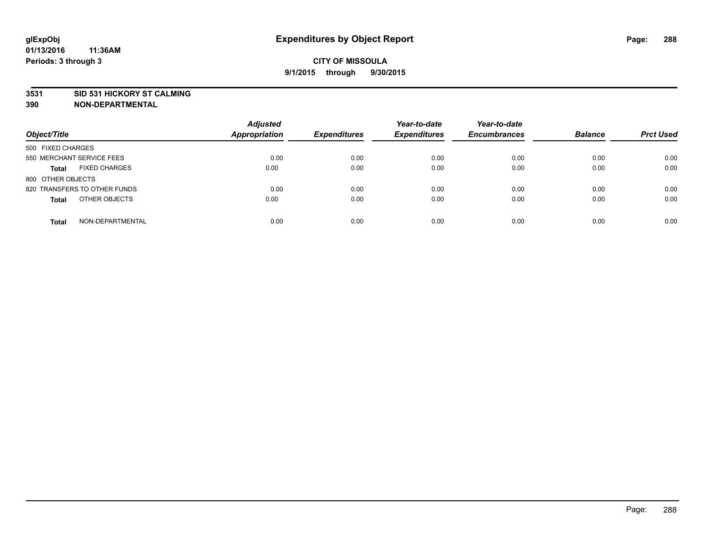#### **3531 SID 531 HICKORY ST CALMING**

| Object/Title                         | <b>Adjusted</b><br><b>Appropriation</b> | <b>Expenditures</b> | Year-to-date<br><b>Expenditures</b> | Year-to-date<br><b>Encumbrances</b> | <b>Balance</b> | <b>Prct Used</b> |
|--------------------------------------|-----------------------------------------|---------------------|-------------------------------------|-------------------------------------|----------------|------------------|
| 500 FIXED CHARGES                    |                                         |                     |                                     |                                     |                |                  |
| 550 MERCHANT SERVICE FEES            | 0.00                                    | 0.00                | 0.00                                | 0.00                                | 0.00           | 0.00             |
| <b>FIXED CHARGES</b><br><b>Total</b> | 0.00                                    | 0.00                | 0.00                                | 0.00                                | 0.00           | 0.00             |
| 800 OTHER OBJECTS                    |                                         |                     |                                     |                                     |                |                  |
| 820 TRANSFERS TO OTHER FUNDS         | 0.00                                    | 0.00                | 0.00                                | 0.00                                | 0.00           | 0.00             |
| OTHER OBJECTS<br><b>Total</b>        | 0.00                                    | 0.00                | 0.00                                | 0.00                                | 0.00           | 0.00             |
| NON-DEPARTMENTAL<br><b>Total</b>     | 0.00                                    | 0.00                | 0.00                                | 0.00                                | 0.00           | 0.00             |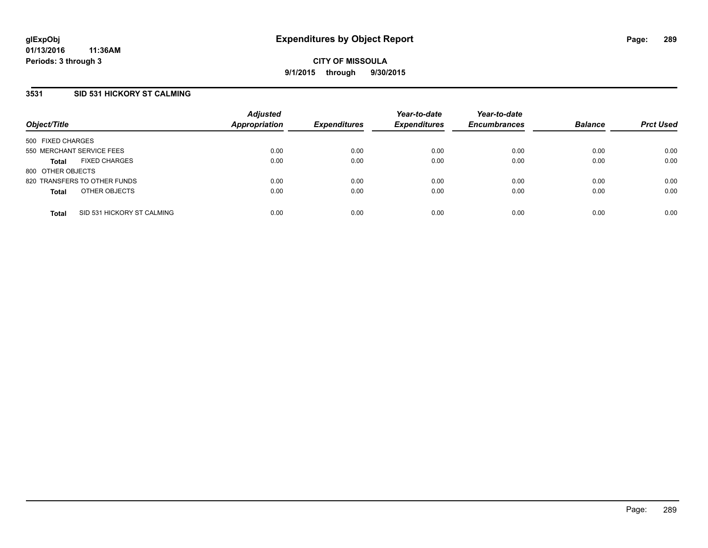## **3531 SID 531 HICKORY ST CALMING**

| Object/Title              |                              | <b>Adjusted</b><br><b>Appropriation</b> | <b>Expenditures</b> | Year-to-date<br><b>Expenditures</b> | Year-to-date<br><b>Encumbrances</b> | <b>Balance</b> | <b>Prct Used</b> |
|---------------------------|------------------------------|-----------------------------------------|---------------------|-------------------------------------|-------------------------------------|----------------|------------------|
| 500 FIXED CHARGES         |                              |                                         |                     |                                     |                                     |                |                  |
| 550 MERCHANT SERVICE FEES |                              | 0.00                                    | 0.00                | 0.00                                | 0.00                                | 0.00           | 0.00             |
| <b>Total</b>              | <b>FIXED CHARGES</b>         | 0.00                                    | 0.00                | 0.00                                | 0.00                                | 0.00           | 0.00             |
| 800 OTHER OBJECTS         |                              |                                         |                     |                                     |                                     |                |                  |
|                           | 820 TRANSFERS TO OTHER FUNDS | 0.00                                    | 0.00                | 0.00                                | 0.00                                | 0.00           | 0.00             |
| <b>Total</b>              | OTHER OBJECTS                | 0.00                                    | 0.00                | 0.00                                | 0.00                                | 0.00           | 0.00             |
| <b>Total</b>              | SID 531 HICKORY ST CALMING   | 0.00                                    | 0.00                | 0.00                                | 0.00                                | 0.00           | 0.00             |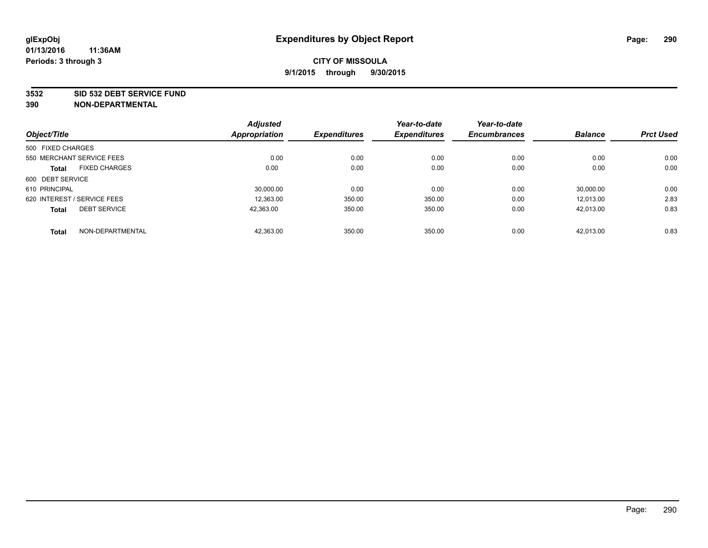#### **3532 SID 532 DEBT SERVICE FUND**

| Object/Title                        |                  | <b>Adjusted</b><br><b>Appropriation</b> | <b>Expenditures</b> | Year-to-date<br><b>Expenditures</b> | Year-to-date<br><b>Encumbrances</b> | <b>Balance</b> | <b>Prct Used</b> |
|-------------------------------------|------------------|-----------------------------------------|---------------------|-------------------------------------|-------------------------------------|----------------|------------------|
|                                     |                  |                                         |                     |                                     |                                     |                |                  |
| 500 FIXED CHARGES                   |                  |                                         |                     |                                     |                                     |                |                  |
| 550 MERCHANT SERVICE FEES           |                  | 0.00                                    | 0.00                | 0.00                                | 0.00                                | 0.00           | 0.00             |
| <b>FIXED CHARGES</b><br>Total       |                  | 0.00                                    | 0.00                | 0.00                                | 0.00                                | 0.00           | 0.00             |
| 600 DEBT SERVICE                    |                  |                                         |                     |                                     |                                     |                |                  |
| 610 PRINCIPAL                       |                  | 30.000.00                               | 0.00                | 0.00                                | 0.00                                | 30.000.00      | 0.00             |
| 620 INTEREST / SERVICE FEES         |                  | 12,363.00                               | 350.00              | 350.00                              | 0.00                                | 12.013.00      | 2.83             |
| <b>DEBT SERVICE</b><br><b>Total</b> |                  | 42.363.00                               | 350.00              | 350.00                              | 0.00                                | 42.013.00      | 0.83             |
| <b>Total</b>                        | NON-DEPARTMENTAL | 42,363.00                               | 350.00              | 350.00                              | 0.00                                | 42.013.00      | 0.83             |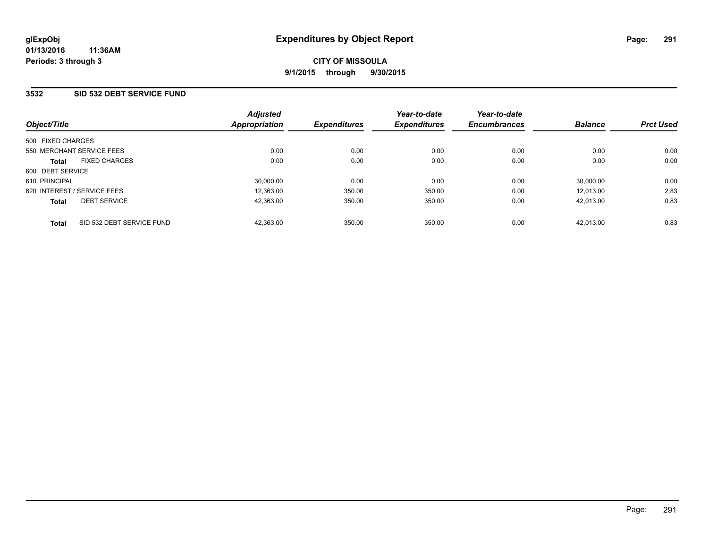## **3532 SID 532 DEBT SERVICE FUND**

| Object/Title                |                           | <b>Adjusted</b><br><b>Appropriation</b> | <b>Expenditures</b> | Year-to-date<br><b>Expenditures</b> | Year-to-date<br><b>Encumbrances</b> | <b>Balance</b> | <b>Prct Used</b> |
|-----------------------------|---------------------------|-----------------------------------------|---------------------|-------------------------------------|-------------------------------------|----------------|------------------|
|                             |                           |                                         |                     |                                     |                                     |                |                  |
| 500 FIXED CHARGES           |                           |                                         |                     |                                     |                                     |                |                  |
| 550 MERCHANT SERVICE FEES   |                           | 0.00                                    | 0.00                | 0.00                                | 0.00                                | 0.00           | 0.00             |
| <b>Total</b>                | <b>FIXED CHARGES</b>      | 0.00                                    | 0.00                | 0.00                                | 0.00                                | 0.00           | 0.00             |
| 600 DEBT SERVICE            |                           |                                         |                     |                                     |                                     |                |                  |
| 610 PRINCIPAL               |                           | 30,000.00                               | 0.00                | 0.00                                | 0.00                                | 30,000.00      | 0.00             |
| 620 INTEREST / SERVICE FEES |                           | 12,363.00                               | 350.00              | 350.00                              | 0.00                                | 12.013.00      | 2.83             |
| <b>Total</b>                | <b>DEBT SERVICE</b>       | 42,363.00                               | 350.00              | 350.00                              | 0.00                                | 42.013.00      | 0.83             |
| <b>Total</b>                | SID 532 DEBT SERVICE FUND | 42.363.00                               | 350.00              | 350.00                              | 0.00                                | 42.013.00      | 0.83             |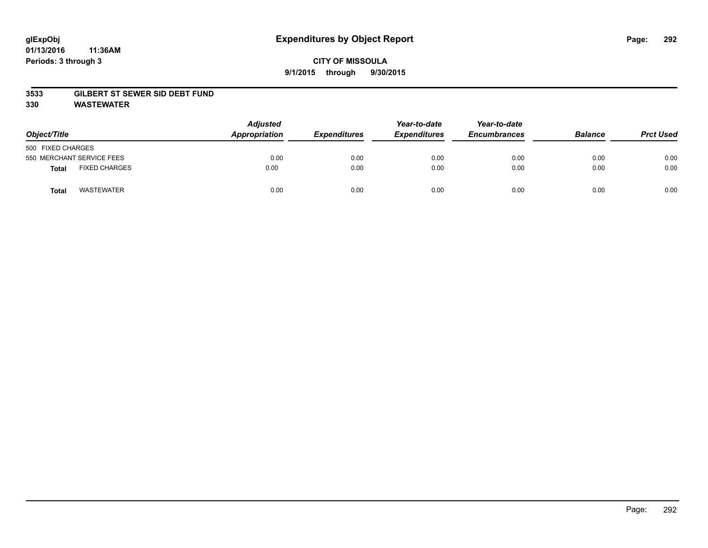#### **01/13/2016 11:36AM Periods: 3 through 3**

## **CITY OF MISSOULA 9/1/2015 through 9/30/2015**

#### **3533 GILBERT ST SEWER SID DEBT FUND**

**330 WASTEWATER**

| Object/Title                         | <b>Adjusted</b><br>Appropriation | <b>Expenditures</b> | Year-to-date<br><b>Expenditures</b> | Year-to-date<br><b>Encumbrances</b> | <b>Balance</b> | <b>Prct Used</b> |
|--------------------------------------|----------------------------------|---------------------|-------------------------------------|-------------------------------------|----------------|------------------|
| 500 FIXED CHARGES                    |                                  |                     |                                     |                                     |                |                  |
| 550 MERCHANT SERVICE FEES            | 0.00                             | 0.00                | 0.00                                | 0.00                                | 0.00           | 0.00             |
| <b>FIXED CHARGES</b><br><b>Total</b> | 0.00                             | 0.00                | 0.00                                | 0.00                                | 0.00           | 0.00             |
| <b>WASTEWATER</b><br>Total           | 0.00                             | 0.00                | 0.00                                | 0.00                                | 0.00           | 0.00             |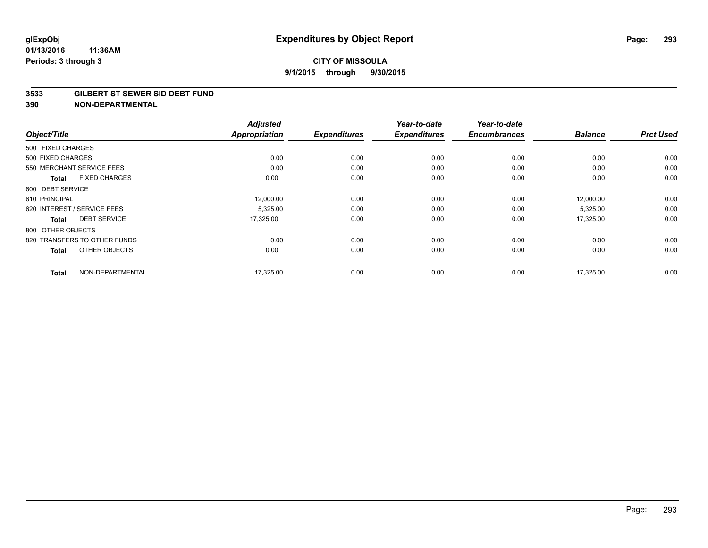#### **3533 GILBERT ST SEWER SID DEBT FUND**

|                                      | <b>Adjusted</b><br><b>Appropriation</b> |                     | Year-to-date        | Year-to-date<br><b>Encumbrances</b> | <b>Balance</b> | <b>Prct Used</b> |
|--------------------------------------|-----------------------------------------|---------------------|---------------------|-------------------------------------|----------------|------------------|
| Object/Title                         |                                         | <b>Expenditures</b> | <b>Expenditures</b> |                                     |                |                  |
| 500 FIXED CHARGES                    |                                         |                     |                     |                                     |                |                  |
| 500 FIXED CHARGES                    | 0.00                                    | 0.00                | 0.00                | 0.00                                | 0.00           | 0.00             |
| 550 MERCHANT SERVICE FEES            | 0.00                                    | 0.00                | 0.00                | 0.00                                | 0.00           | 0.00             |
| <b>FIXED CHARGES</b><br><b>Total</b> | 0.00                                    | 0.00                | 0.00                | 0.00                                | 0.00           | 0.00             |
| 600 DEBT SERVICE                     |                                         |                     |                     |                                     |                |                  |
| 610 PRINCIPAL                        | 12,000.00                               | 0.00                | 0.00                | 0.00                                | 12,000.00      | 0.00             |
| 620 INTEREST / SERVICE FEES          | 5,325.00                                | 0.00                | 0.00                | 0.00                                | 5,325.00       | 0.00             |
| <b>DEBT SERVICE</b><br><b>Total</b>  | 17,325.00                               | 0.00                | 0.00                | 0.00                                | 17,325.00      | 0.00             |
| 800 OTHER OBJECTS                    |                                         |                     |                     |                                     |                |                  |
| 820 TRANSFERS TO OTHER FUNDS         | 0.00                                    | 0.00                | 0.00                | 0.00                                | 0.00           | 0.00             |
| OTHER OBJECTS<br><b>Total</b>        | 0.00                                    | 0.00                | 0.00                | 0.00                                | 0.00           | 0.00             |
| NON-DEPARTMENTAL<br><b>Total</b>     | 17,325.00                               | 0.00                | 0.00                | 0.00                                | 17.325.00      | 0.00             |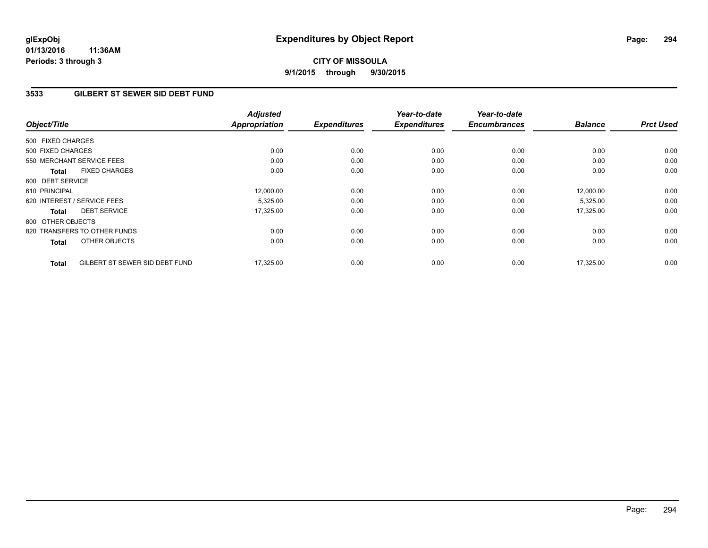**01/13/2016 11:36AM Periods: 3 through 3**

# **CITY OF MISSOULA 9/1/2015 through 9/30/2015**

## **3533 GILBERT ST SEWER SID DEBT FUND**

| Object/Title      |                                | <b>Adjusted</b><br><b>Appropriation</b> | <b>Expenditures</b> | Year-to-date<br><b>Expenditures</b> | Year-to-date<br><b>Encumbrances</b> | <b>Balance</b> | <b>Prct Used</b> |
|-------------------|--------------------------------|-----------------------------------------|---------------------|-------------------------------------|-------------------------------------|----------------|------------------|
| 500 FIXED CHARGES |                                |                                         |                     |                                     |                                     |                |                  |
| 500 FIXED CHARGES |                                | 0.00                                    | 0.00                | 0.00                                | 0.00                                | 0.00           | 0.00             |
|                   | 550 MERCHANT SERVICE FEES      | 0.00                                    | 0.00                | 0.00                                | 0.00                                | 0.00           | 0.00             |
| <b>Total</b>      | <b>FIXED CHARGES</b>           | 0.00                                    | 0.00                | 0.00                                | 0.00                                | 0.00           | 0.00             |
| 600 DEBT SERVICE  |                                |                                         |                     |                                     |                                     |                |                  |
| 610 PRINCIPAL     |                                | 12,000.00                               | 0.00                | 0.00                                | 0.00                                | 12,000.00      | 0.00             |
|                   | 620 INTEREST / SERVICE FEES    | 5,325.00                                | 0.00                | 0.00                                | 0.00                                | 5,325.00       | 0.00             |
| <b>Total</b>      | <b>DEBT SERVICE</b>            | 17,325.00                               | 0.00                | 0.00                                | 0.00                                | 17,325.00      | 0.00             |
| 800 OTHER OBJECTS |                                |                                         |                     |                                     |                                     |                |                  |
|                   | 820 TRANSFERS TO OTHER FUNDS   | 0.00                                    | 0.00                | 0.00                                | 0.00                                | 0.00           | 0.00             |
| <b>Total</b>      | OTHER OBJECTS                  | 0.00                                    | 0.00                | 0.00                                | 0.00                                | 0.00           | 0.00             |
| <b>Total</b>      | GILBERT ST SEWER SID DEBT FUND | 17,325.00                               | 0.00                | 0.00                                | 0.00                                | 17,325.00      | 0.00             |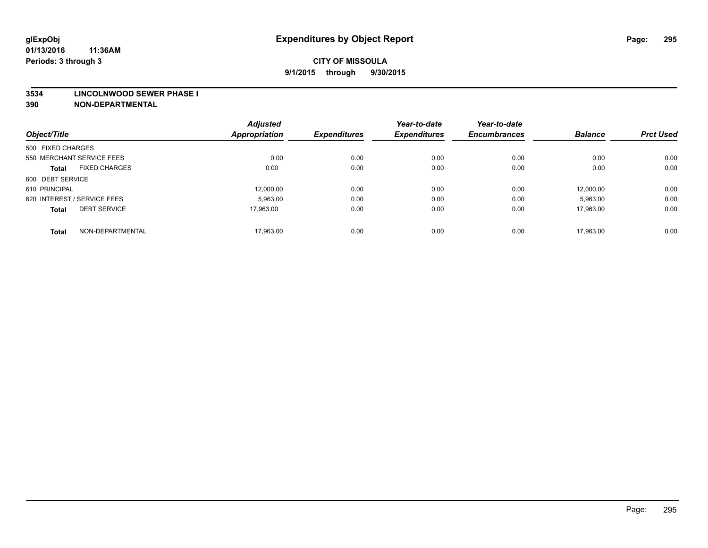#### **3534 LINCOLNWOOD SEWER PHASE I**

| Object/Title                |                      | <b>Adjusted</b><br><b>Appropriation</b> | <b>Expenditures</b> | Year-to-date<br><b>Expenditures</b> | Year-to-date<br><b>Encumbrances</b> | <b>Balance</b> | <b>Prct Used</b> |
|-----------------------------|----------------------|-----------------------------------------|---------------------|-------------------------------------|-------------------------------------|----------------|------------------|
| 500 FIXED CHARGES           |                      |                                         |                     |                                     |                                     |                |                  |
|                             |                      |                                         |                     |                                     |                                     |                |                  |
| 550 MERCHANT SERVICE FEES   |                      | 0.00                                    | 0.00                | 0.00                                | 0.00                                | 0.00           | 0.00             |
| <b>Total</b>                | <b>FIXED CHARGES</b> | 0.00                                    | 0.00                | 0.00                                | 0.00                                | 0.00           | 0.00             |
| 600 DEBT SERVICE            |                      |                                         |                     |                                     |                                     |                |                  |
| 610 PRINCIPAL               |                      | 12.000.00                               | 0.00                | 0.00                                | 0.00                                | 12.000.00      | 0.00             |
| 620 INTEREST / SERVICE FEES |                      | 5,963.00                                | 0.00                | 0.00                                | 0.00                                | 5,963.00       | 0.00             |
| <b>Total</b>                | <b>DEBT SERVICE</b>  | 17.963.00                               | 0.00                | 0.00                                | 0.00                                | 17.963.00      | 0.00             |
|                             |                      |                                         |                     |                                     |                                     |                |                  |
| <b>Total</b>                | NON-DEPARTMENTAL     | 17,963.00                               | 0.00                | 0.00                                | 0.00                                | 17.963.00      | 0.00             |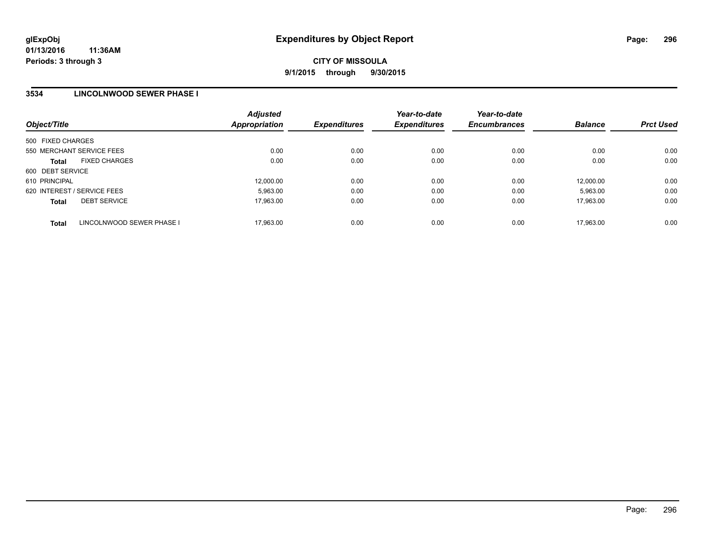### **3534 LINCOLNWOOD SEWER PHASE I**

| Object/Title                              | <b>Adjusted</b><br><b>Appropriation</b> | <b>Expenditures</b> | Year-to-date<br><b>Expenditures</b> | Year-to-date<br><b>Encumbrances</b> | <b>Balance</b> | <b>Prct Used</b> |
|-------------------------------------------|-----------------------------------------|---------------------|-------------------------------------|-------------------------------------|----------------|------------------|
| 500 FIXED CHARGES                         |                                         |                     |                                     |                                     |                |                  |
| 550 MERCHANT SERVICE FEES                 | 0.00                                    | 0.00                | 0.00                                | 0.00                                | 0.00           | 0.00             |
| <b>FIXED CHARGES</b><br><b>Total</b>      | 0.00                                    | 0.00                | 0.00                                | 0.00                                | 0.00           | 0.00             |
| 600 DEBT SERVICE                          |                                         |                     |                                     |                                     |                |                  |
| 610 PRINCIPAL                             | 12.000.00                               | 0.00                | 0.00                                | 0.00                                | 12.000.00      | 0.00             |
| 620 INTEREST / SERVICE FEES               | 5.963.00                                | 0.00                | 0.00                                | 0.00                                | 5.963.00       | 0.00             |
| <b>DEBT SERVICE</b><br><b>Total</b>       | 17.963.00                               | 0.00                | 0.00                                | 0.00                                | 17.963.00      | 0.00             |
| LINCOLNWOOD SEWER PHASE I<br><b>Total</b> | 17.963.00                               | 0.00                | 0.00                                | 0.00                                | 17.963.00      | 0.00             |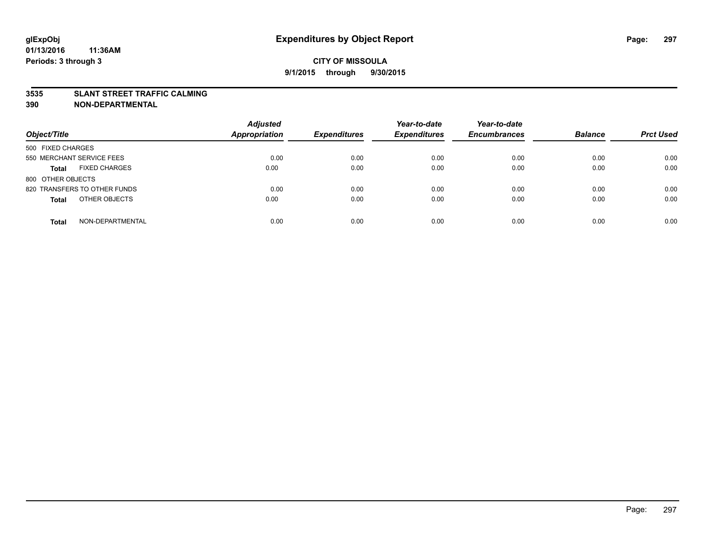#### **3535 SLANT STREET TRAFFIC CALMING**

| Object/Title                         | <b>Adjusted</b><br><b>Appropriation</b> | <b>Expenditures</b> | Year-to-date<br><b>Expenditures</b> | Year-to-date<br><b>Encumbrances</b> | <b>Balance</b> | <b>Prct Used</b> |
|--------------------------------------|-----------------------------------------|---------------------|-------------------------------------|-------------------------------------|----------------|------------------|
|                                      |                                         |                     |                                     |                                     |                |                  |
| 500 FIXED CHARGES                    |                                         |                     |                                     |                                     |                |                  |
| 550 MERCHANT SERVICE FEES            | 0.00                                    | 0.00                | 0.00                                | 0.00                                | 0.00           | 0.00             |
| <b>FIXED CHARGES</b><br><b>Total</b> | 0.00                                    | 0.00                | 0.00                                | 0.00                                | 0.00           | 0.00             |
| 800 OTHER OBJECTS                    |                                         |                     |                                     |                                     |                |                  |
| 820 TRANSFERS TO OTHER FUNDS         | 0.00                                    | 0.00                | 0.00                                | 0.00                                | 0.00           | 0.00             |
| OTHER OBJECTS<br><b>Total</b>        | 0.00                                    | 0.00                | 0.00                                | 0.00                                | 0.00           | 0.00             |
|                                      |                                         |                     |                                     |                                     |                |                  |
| NON-DEPARTMENTAL<br><b>Total</b>     | 0.00                                    | 0.00                | 0.00                                | 0.00                                | 0.00           | 0.00             |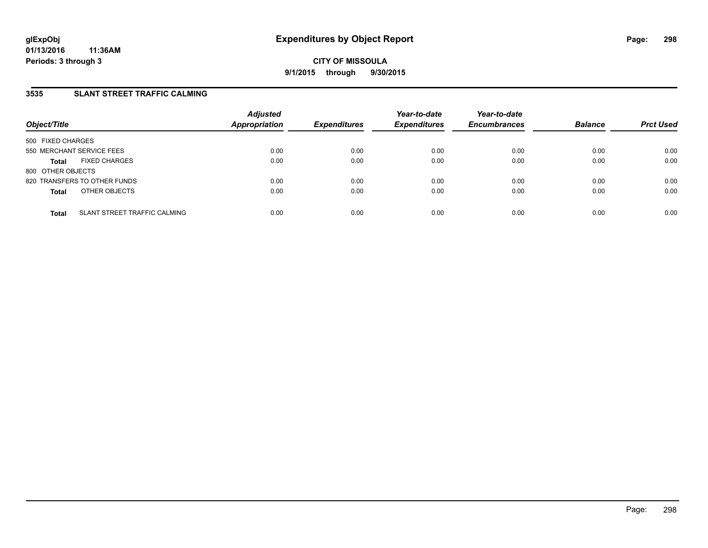## **3535 SLANT STREET TRAFFIC CALMING**

| Object/Title              |                              | <b>Adjusted</b><br><b>Appropriation</b> | <b>Expenditures</b> | Year-to-date<br><b>Expenditures</b> | Year-to-date<br><b>Encumbrances</b> | <b>Balance</b> | <b>Prct Used</b> |
|---------------------------|------------------------------|-----------------------------------------|---------------------|-------------------------------------|-------------------------------------|----------------|------------------|
| 500 FIXED CHARGES         |                              |                                         |                     |                                     |                                     |                |                  |
| 550 MERCHANT SERVICE FEES |                              | 0.00                                    | 0.00                | 0.00                                | 0.00                                | 0.00           | 0.00             |
| <b>Total</b>              | <b>FIXED CHARGES</b>         | 0.00                                    | 0.00                | 0.00                                | 0.00                                | 0.00           | 0.00             |
| 800 OTHER OBJECTS         |                              |                                         |                     |                                     |                                     |                |                  |
|                           | 820 TRANSFERS TO OTHER FUNDS | 0.00                                    | 0.00                | 0.00                                | 0.00                                | 0.00           | 0.00             |
| <b>Total</b>              | OTHER OBJECTS                | 0.00                                    | 0.00                | 0.00                                | 0.00                                | 0.00           | 0.00             |
|                           |                              |                                         |                     |                                     |                                     |                |                  |
| <b>Total</b>              | SLANT STREET TRAFFIC CALMING | 0.00                                    | 0.00                | 0.00                                | 0.00                                | 0.00           | 0.00             |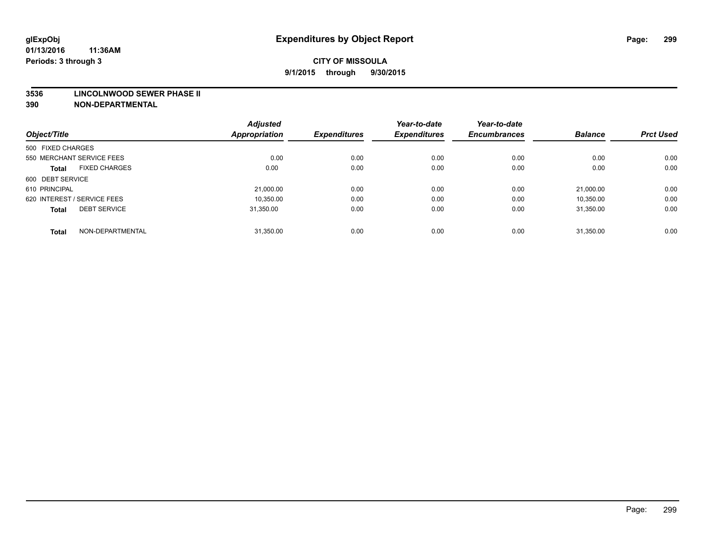#### **3536 LINCOLNWOOD SEWER PHASE II**

| Object/Title                |                      | <b>Adjusted</b><br><b>Appropriation</b> | <b>Expenditures</b> | Year-to-date<br><b>Expenditures</b> | Year-to-date<br><b>Encumbrances</b> | <b>Balance</b> | <b>Prct Used</b> |
|-----------------------------|----------------------|-----------------------------------------|---------------------|-------------------------------------|-------------------------------------|----------------|------------------|
| 500 FIXED CHARGES           |                      |                                         |                     |                                     |                                     |                |                  |
|                             |                      |                                         |                     |                                     |                                     |                |                  |
| 550 MERCHANT SERVICE FEES   |                      | 0.00                                    | 0.00                | 0.00                                | 0.00                                | 0.00           | 0.00             |
| <b>Total</b>                | <b>FIXED CHARGES</b> | 0.00                                    | 0.00                | 0.00                                | 0.00                                | 0.00           | 0.00             |
| 600 DEBT SERVICE            |                      |                                         |                     |                                     |                                     |                |                  |
| 610 PRINCIPAL               |                      | 21.000.00                               | 0.00                | 0.00                                | 0.00                                | 21.000.00      | 0.00             |
| 620 INTEREST / SERVICE FEES |                      | 10,350.00                               | 0.00                | 0.00                                | 0.00                                | 10,350.00      | 0.00             |
| <b>Total</b>                | <b>DEBT SERVICE</b>  | 31.350.00                               | 0.00                | 0.00                                | 0.00                                | 31.350.00      | 0.00             |
|                             |                      |                                         |                     |                                     |                                     |                |                  |
| <b>Total</b>                | NON-DEPARTMENTAL     | 31,350.00                               | 0.00                | 0.00                                | 0.00                                | 31,350.00      | 0.00             |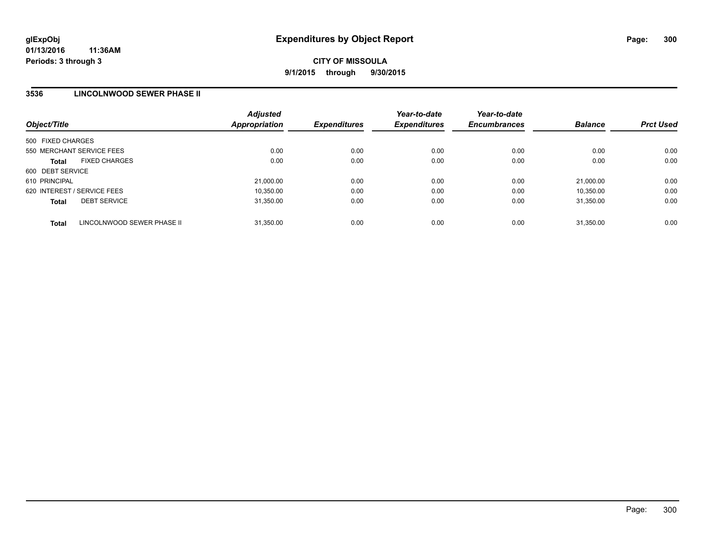### **3536 LINCOLNWOOD SEWER PHASE II**

| Object/Title                |                            | <b>Adjusted</b><br>Appropriation | <b>Expenditures</b> | Year-to-date<br><b>Expenditures</b> | Year-to-date<br><b>Encumbrances</b> | <b>Balance</b> | <b>Prct Used</b> |
|-----------------------------|----------------------------|----------------------------------|---------------------|-------------------------------------|-------------------------------------|----------------|------------------|
| 500 FIXED CHARGES           |                            |                                  |                     |                                     |                                     |                |                  |
| 550 MERCHANT SERVICE FEES   |                            | 0.00                             | 0.00                | 0.00                                | 0.00                                | 0.00           | 0.00             |
| <b>Total</b>                | <b>FIXED CHARGES</b>       | 0.00                             | 0.00                | 0.00                                | 0.00                                | 0.00           | 0.00             |
| 600 DEBT SERVICE            |                            |                                  |                     |                                     |                                     |                |                  |
| 610 PRINCIPAL               |                            | 21,000.00                        | 0.00                | 0.00                                | 0.00                                | 21.000.00      | 0.00             |
| 620 INTEREST / SERVICE FEES |                            | 10.350.00                        | 0.00                | 0.00                                | 0.00                                | 10.350.00      | 0.00             |
| <b>Total</b>                | <b>DEBT SERVICE</b>        | 31.350.00                        | 0.00                | 0.00                                | 0.00                                | 31.350.00      | 0.00             |
| <b>Total</b>                | LINCOLNWOOD SEWER PHASE II | 31.350.00                        | 0.00                | 0.00                                | 0.00                                | 31.350.00      | 0.00             |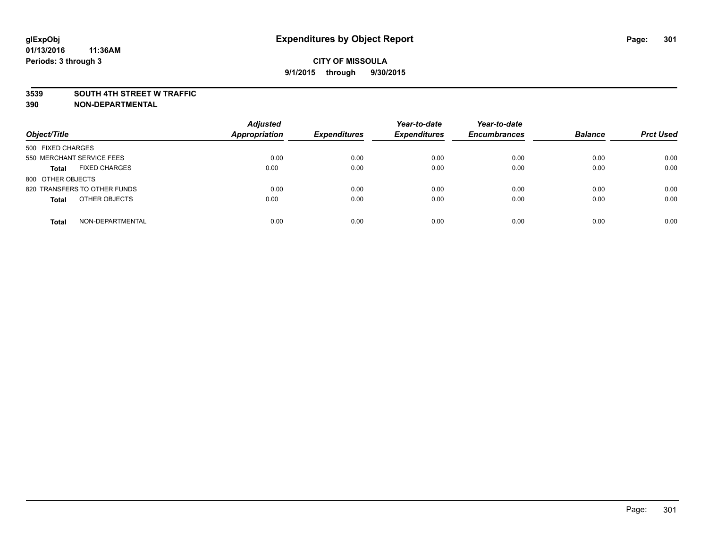#### **3539 SOUTH 4TH STREET W TRAFFIC**

| Object/Title                         | <b>Adjusted</b><br><b>Appropriation</b> | <b>Expenditures</b> | Year-to-date<br><b>Expenditures</b> | Year-to-date<br><b>Encumbrances</b> | <b>Balance</b> | <b>Prct Used</b> |
|--------------------------------------|-----------------------------------------|---------------------|-------------------------------------|-------------------------------------|----------------|------------------|
| 500 FIXED CHARGES                    |                                         |                     |                                     |                                     |                |                  |
| 550 MERCHANT SERVICE FEES            | 0.00                                    | 0.00                | 0.00                                | 0.00                                | 0.00           | 0.00             |
| <b>FIXED CHARGES</b><br><b>Total</b> | 0.00                                    | 0.00                | 0.00                                | 0.00                                | 0.00           | 0.00             |
| 800 OTHER OBJECTS                    |                                         |                     |                                     |                                     |                |                  |
| 820 TRANSFERS TO OTHER FUNDS         | 0.00                                    | 0.00                | 0.00                                | 0.00                                | 0.00           | 0.00             |
| OTHER OBJECTS<br><b>Total</b>        | 0.00                                    | 0.00                | 0.00                                | 0.00                                | 0.00           | 0.00             |
| NON-DEPARTMENTAL<br><b>Total</b>     | 0.00                                    | 0.00                | 0.00                                | 0.00                                | 0.00           | 0.00             |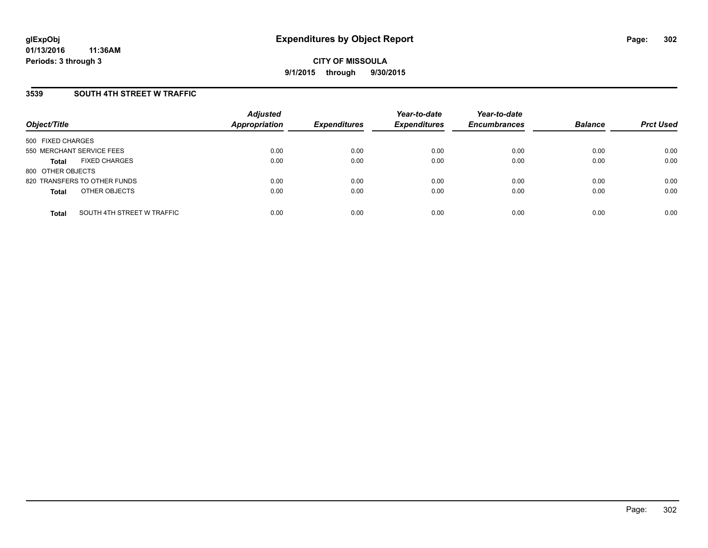## **3539 SOUTH 4TH STREET W TRAFFIC**

| Object/Title              |                              | <b>Adjusted</b><br><b>Appropriation</b> | <b>Expenditures</b> | Year-to-date<br><b>Expenditures</b> | Year-to-date<br><b>Encumbrances</b> | <b>Balance</b> | <b>Prct Used</b> |
|---------------------------|------------------------------|-----------------------------------------|---------------------|-------------------------------------|-------------------------------------|----------------|------------------|
| 500 FIXED CHARGES         |                              |                                         |                     |                                     |                                     |                |                  |
| 550 MERCHANT SERVICE FEES |                              | 0.00                                    | 0.00                | 0.00                                | 0.00                                | 0.00           | 0.00             |
| <b>Total</b>              | <b>FIXED CHARGES</b>         | 0.00                                    | 0.00                | 0.00                                | 0.00                                | 0.00           | 0.00             |
| 800 OTHER OBJECTS         |                              |                                         |                     |                                     |                                     |                |                  |
|                           | 820 TRANSFERS TO OTHER FUNDS | 0.00                                    | 0.00                | 0.00                                | 0.00                                | 0.00           | 0.00             |
| <b>Total</b>              | OTHER OBJECTS                | 0.00                                    | 0.00                | 0.00                                | 0.00                                | 0.00           | 0.00             |
| <b>Total</b>              | SOUTH 4TH STREET W TRAFFIC   | 0.00                                    | 0.00                | 0.00                                | 0.00                                | 0.00           | 0.00             |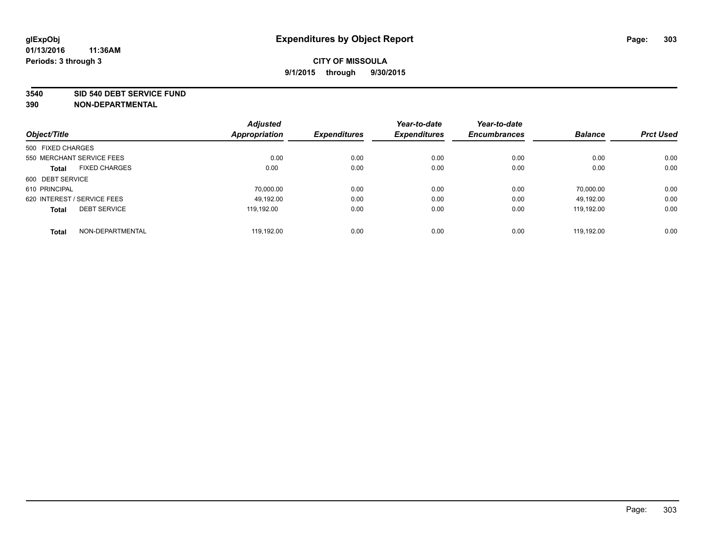#### **3540 SID 540 DEBT SERVICE FUND**

|                                     | <b>Adjusted</b><br><b>Appropriation</b> | <b>Expenditures</b> | Year-to-date<br><b>Expenditures</b> | Year-to-date<br><b>Encumbrances</b> | <b>Balance</b> | <b>Prct Used</b> |
|-------------------------------------|-----------------------------------------|---------------------|-------------------------------------|-------------------------------------|----------------|------------------|
| Object/Title                        |                                         |                     |                                     |                                     |                |                  |
| 500 FIXED CHARGES                   |                                         |                     |                                     |                                     |                |                  |
| 550 MERCHANT SERVICE FEES           | 0.00                                    | 0.00                | 0.00                                | 0.00                                | 0.00           | 0.00             |
| <b>FIXED CHARGES</b><br>Total       | 0.00                                    | 0.00                | 0.00                                | 0.00                                | 0.00           | 0.00             |
| 600 DEBT SERVICE                    |                                         |                     |                                     |                                     |                |                  |
| 610 PRINCIPAL                       | 70.000.00                               | 0.00                | 0.00                                | 0.00                                | 70.000.00      | 0.00             |
| 620 INTEREST / SERVICE FEES         | 49.192.00                               | 0.00                | 0.00                                | 0.00                                | 49.192.00      | 0.00             |
| <b>DEBT SERVICE</b><br><b>Total</b> | 119.192.00                              | 0.00                | 0.00                                | 0.00                                | 119.192.00     | 0.00             |
| NON-DEPARTMENTAL<br><b>Total</b>    | 119.192.00                              | 0.00                | 0.00                                | 0.00                                | 119.192.00     | 0.00             |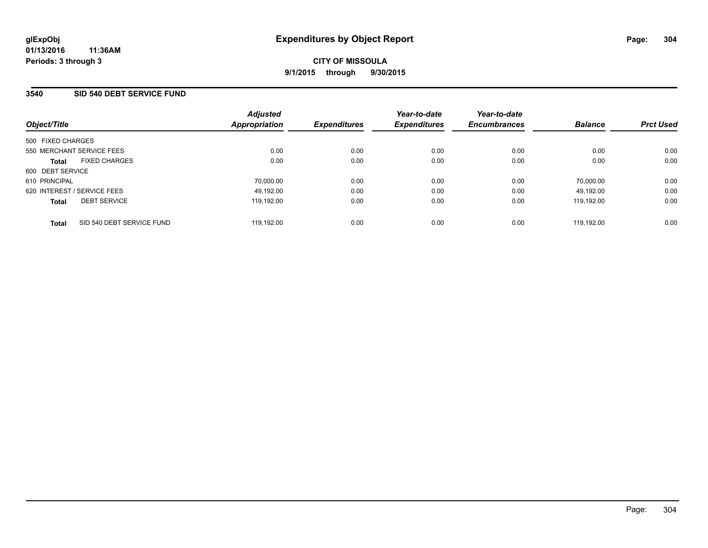## **3540 SID 540 DEBT SERVICE FUND**

| Object/Title                              | <b>Adjusted</b><br>Appropriation | <b>Expenditures</b> | Year-to-date<br><b>Expenditures</b> | Year-to-date<br><b>Encumbrances</b> | <b>Balance</b> | <b>Prct Used</b> |
|-------------------------------------------|----------------------------------|---------------------|-------------------------------------|-------------------------------------|----------------|------------------|
| 500 FIXED CHARGES                         |                                  |                     |                                     |                                     |                |                  |
| 550 MERCHANT SERVICE FEES                 | 0.00                             | 0.00                | 0.00                                | 0.00                                | 0.00           | 0.00             |
| <b>FIXED CHARGES</b><br><b>Total</b>      | 0.00                             | 0.00                | 0.00                                | 0.00                                | 0.00           | 0.00             |
| 600 DEBT SERVICE                          |                                  |                     |                                     |                                     |                |                  |
| 610 PRINCIPAL                             | 70,000.00                        | 0.00                | 0.00                                | 0.00                                | 70,000.00      | 0.00             |
| 620 INTEREST / SERVICE FEES               | 49,192.00                        | 0.00                | 0.00                                | 0.00                                | 49.192.00      | 0.00             |
| <b>DEBT SERVICE</b><br><b>Total</b>       | 119.192.00                       | 0.00                | 0.00                                | 0.00                                | 119.192.00     | 0.00             |
| SID 540 DEBT SERVICE FUND<br><b>Total</b> | 119.192.00                       | 0.00                | 0.00                                | 0.00                                | 119.192.00     | 0.00             |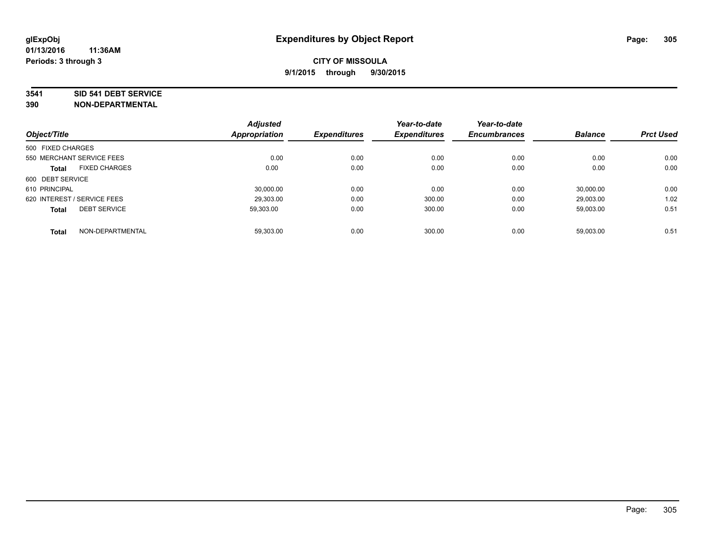#### **3541 SID 541 DEBT SERVICE**

| Object/Title                |                      | <b>Adjusted</b><br><b>Appropriation</b> | <b>Expenditures</b> | Year-to-date<br><b>Expenditures</b> | Year-to-date<br><b>Encumbrances</b> | <b>Balance</b> | <b>Prct Used</b> |
|-----------------------------|----------------------|-----------------------------------------|---------------------|-------------------------------------|-------------------------------------|----------------|------------------|
|                             |                      |                                         |                     |                                     |                                     |                |                  |
| 500 FIXED CHARGES           |                      |                                         |                     |                                     |                                     |                |                  |
| 550 MERCHANT SERVICE FEES   |                      | 0.00                                    | 0.00                | 0.00                                | 0.00                                | 0.00           | 0.00             |
| <b>Total</b>                | <b>FIXED CHARGES</b> | 0.00                                    | 0.00                | 0.00                                | 0.00                                | 0.00           | 0.00             |
| 600 DEBT SERVICE            |                      |                                         |                     |                                     |                                     |                |                  |
| 610 PRINCIPAL               |                      | 30.000.00                               | 0.00                | 0.00                                | 0.00                                | 30.000.00      | 0.00             |
| 620 INTEREST / SERVICE FEES |                      | 29,303.00                               | 0.00                | 300.00                              | 0.00                                | 29,003.00      | 1.02             |
| <b>Total</b>                | <b>DEBT SERVICE</b>  | 59.303.00                               | 0.00                | 300.00                              | 0.00                                | 59.003.00      | 0.51             |
| <b>Total</b>                | NON-DEPARTMENTAL     | 59,303.00                               | 0.00                | 300.00                              | 0.00                                | 59,003.00      | 0.51             |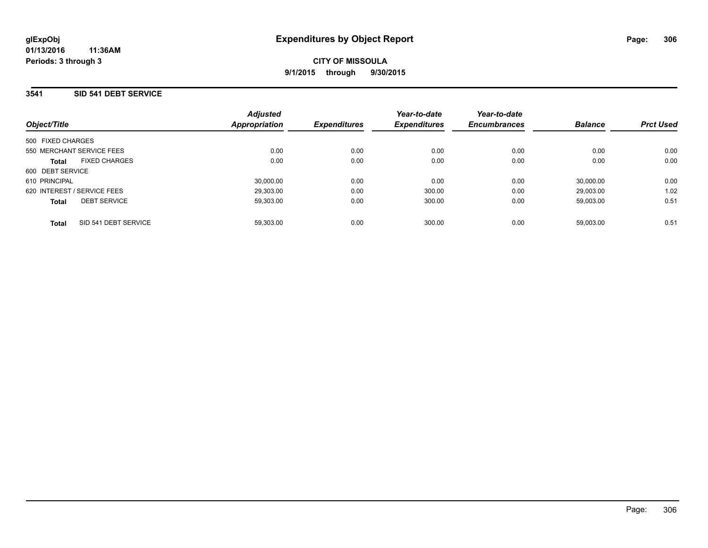## **3541 SID 541 DEBT SERVICE**

| Object/Title                         | <b>Adjusted</b><br>Appropriation | <b>Expenditures</b> | Year-to-date<br><b>Expenditures</b> | Year-to-date<br><b>Encumbrances</b> | <b>Balance</b> | <b>Prct Used</b> |
|--------------------------------------|----------------------------------|---------------------|-------------------------------------|-------------------------------------|----------------|------------------|
| 500 FIXED CHARGES                    |                                  |                     |                                     |                                     |                |                  |
| 550 MERCHANT SERVICE FEES            | 0.00                             | 0.00                | 0.00                                | 0.00                                | 0.00           | 0.00             |
| <b>FIXED CHARGES</b><br><b>Total</b> | 0.00                             | 0.00                | 0.00                                | 0.00                                | 0.00           | 0.00             |
| 600 DEBT SERVICE                     |                                  |                     |                                     |                                     |                |                  |
| 610 PRINCIPAL                        | 30.000.00                        | 0.00                | 0.00                                | 0.00                                | 30.000.00      | 0.00             |
| 620 INTEREST / SERVICE FEES          | 29.303.00                        | 0.00                | 300.00                              | 0.00                                | 29.003.00      | 1.02             |
| <b>DEBT SERVICE</b><br><b>Total</b>  | 59.303.00                        | 0.00                | 300.00                              | 0.00                                | 59.003.00      | 0.51             |
| SID 541 DEBT SERVICE<br><b>Total</b> | 59.303.00                        | 0.00                | 300.00                              | 0.00                                | 59.003.00      | 0.51             |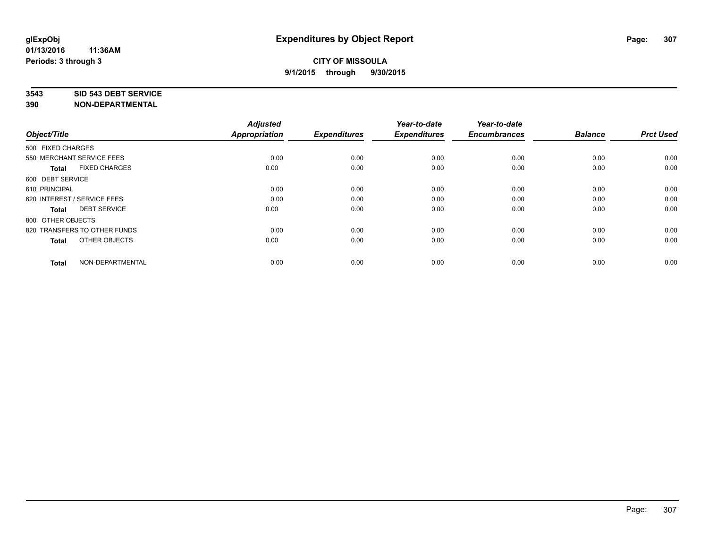#### **3543 SID 543 DEBT SERVICE**

| Object/Title                |                              | <b>Adjusted</b><br><b>Appropriation</b> | <b>Expenditures</b> | Year-to-date<br><b>Expenditures</b> | Year-to-date<br><b>Encumbrances</b> | <b>Balance</b> | <b>Prct Used</b> |
|-----------------------------|------------------------------|-----------------------------------------|---------------------|-------------------------------------|-------------------------------------|----------------|------------------|
|                             |                              |                                         |                     |                                     |                                     |                |                  |
| 500 FIXED CHARGES           |                              |                                         |                     |                                     |                                     |                |                  |
| 550 MERCHANT SERVICE FEES   |                              | 0.00                                    | 0.00                | 0.00                                | 0.00                                | 0.00           | 0.00             |
| <b>Total</b>                | <b>FIXED CHARGES</b>         | 0.00                                    | 0.00                | 0.00                                | 0.00                                | 0.00           | 0.00             |
| 600 DEBT SERVICE            |                              |                                         |                     |                                     |                                     |                |                  |
| 610 PRINCIPAL               |                              | 0.00                                    | 0.00                | 0.00                                | 0.00                                | 0.00           | 0.00             |
| 620 INTEREST / SERVICE FEES |                              | 0.00                                    | 0.00                | 0.00                                | 0.00                                | 0.00           | 0.00             |
| <b>Total</b>                | <b>DEBT SERVICE</b>          | 0.00                                    | 0.00                | 0.00                                | 0.00                                | 0.00           | 0.00             |
| 800 OTHER OBJECTS           |                              |                                         |                     |                                     |                                     |                |                  |
|                             | 820 TRANSFERS TO OTHER FUNDS | 0.00                                    | 0.00                | 0.00                                | 0.00                                | 0.00           | 0.00             |
| <b>Total</b>                | OTHER OBJECTS                | 0.00                                    | 0.00                | 0.00                                | 0.00                                | 0.00           | 0.00             |
|                             |                              |                                         |                     |                                     |                                     |                |                  |
| <b>Total</b>                | NON-DEPARTMENTAL             | 0.00                                    | 0.00                | 0.00                                | 0.00                                | 0.00           | 0.00             |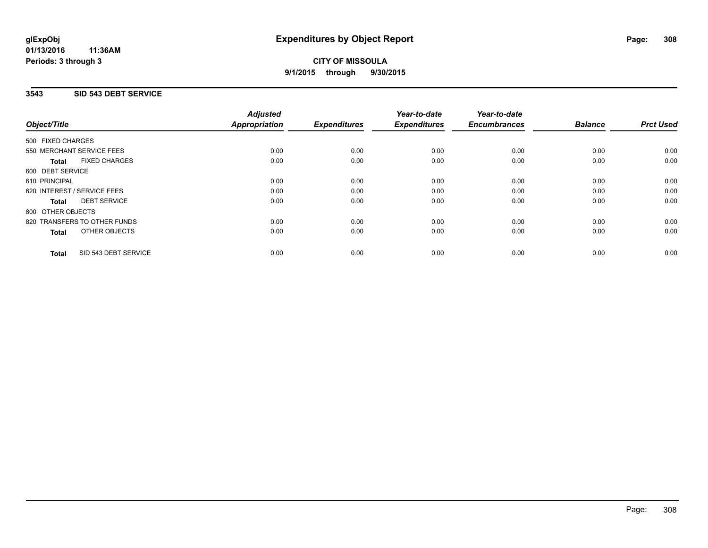## **3543 SID 543 DEBT SERVICE**

|                                      | <b>Adjusted</b>      |                     | Year-to-date        | Year-to-date<br><b>Encumbrances</b> | <b>Balance</b> | <b>Prct Used</b> |
|--------------------------------------|----------------------|---------------------|---------------------|-------------------------------------|----------------|------------------|
| Object/Title                         | <b>Appropriation</b> | <b>Expenditures</b> | <b>Expenditures</b> |                                     |                |                  |
| 500 FIXED CHARGES                    |                      |                     |                     |                                     |                |                  |
| 550 MERCHANT SERVICE FEES            | 0.00                 | 0.00                | 0.00                | 0.00                                | 0.00           | 0.00             |
| <b>FIXED CHARGES</b><br><b>Total</b> | 0.00                 | 0.00                | 0.00                | 0.00                                | 0.00           | 0.00             |
| 600 DEBT SERVICE                     |                      |                     |                     |                                     |                |                  |
| 610 PRINCIPAL                        | 0.00                 | 0.00                | 0.00                | 0.00                                | 0.00           | 0.00             |
| 620 INTEREST / SERVICE FEES          | 0.00                 | 0.00                | 0.00                | 0.00                                | 0.00           | 0.00             |
| <b>DEBT SERVICE</b><br><b>Total</b>  | 0.00                 | 0.00                | 0.00                | 0.00                                | 0.00           | 0.00             |
| 800 OTHER OBJECTS                    |                      |                     |                     |                                     |                |                  |
| 820 TRANSFERS TO OTHER FUNDS         | 0.00                 | 0.00                | 0.00                | 0.00                                | 0.00           | 0.00             |
| OTHER OBJECTS<br><b>Total</b>        | 0.00                 | 0.00                | 0.00                | 0.00                                | 0.00           | 0.00             |
| SID 543 DEBT SERVICE<br><b>Total</b> | 0.00                 | 0.00                | 0.00                | 0.00                                | 0.00           | 0.00             |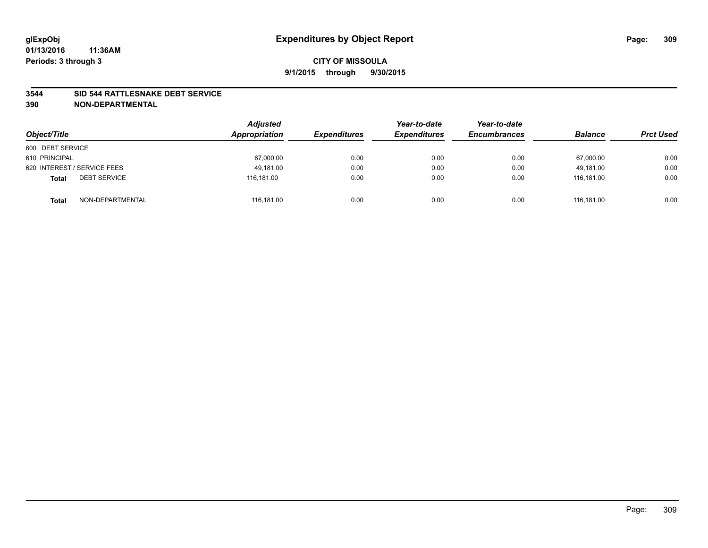#### **3544 SID 544 RATTLESNAKE DEBT SERVICE**

| Object/Title                        | <b>Adjusted</b><br>Appropriation | <b>Expenditures</b> | Year-to-date<br><b>Expenditures</b> | Year-to-date<br><b>Encumbrances</b> | <b>Balance</b> | <b>Prct Used</b> |
|-------------------------------------|----------------------------------|---------------------|-------------------------------------|-------------------------------------|----------------|------------------|
| 600 DEBT SERVICE                    |                                  |                     |                                     |                                     |                |                  |
| 610 PRINCIPAL                       | 67,000.00                        | 0.00                | 0.00                                | 0.00                                | 67,000.00      | 0.00             |
| 620 INTEREST / SERVICE FEES         | 49.181.00                        | 0.00                | 0.00                                | 0.00                                | 49.181.00      | 0.00             |
| <b>DEBT SERVICE</b><br><b>Total</b> | 116.181.00                       | 0.00                | 0.00                                | 0.00                                | 116.181.00     | 0.00             |
| NON-DEPARTMENTAL<br><b>Total</b>    | 116,181.00                       | 0.00                | 0.00                                | 0.00                                | 116.181.00     | 0.00             |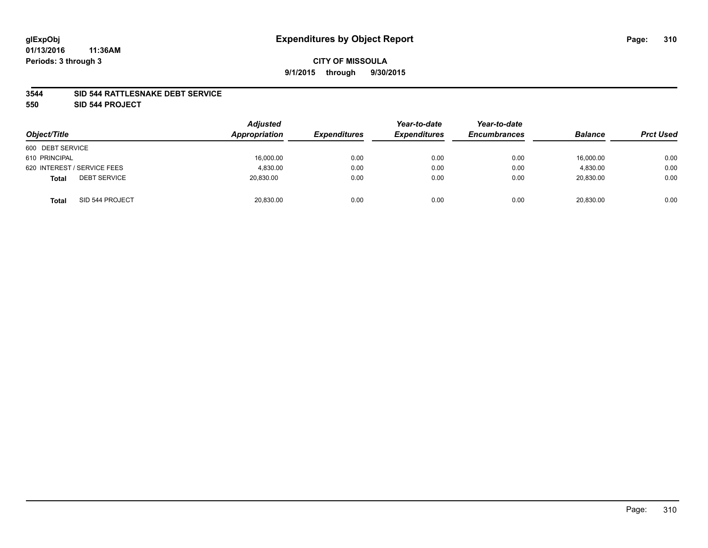#### **3544 SID 544 RATTLESNAKE DEBT SERVICE**

**550 SID 544 PROJECT**

| Object/Title                        | <b>Adjusted</b><br>Appropriation | <b>Expenditures</b> | Year-to-date<br><b>Expenditures</b> | Year-to-date<br><b>Encumbrances</b> | <b>Balance</b> | <b>Prct Used</b> |
|-------------------------------------|----------------------------------|---------------------|-------------------------------------|-------------------------------------|----------------|------------------|
| 600 DEBT SERVICE                    |                                  |                     |                                     |                                     |                |                  |
| 610 PRINCIPAL                       | 16,000.00                        | 0.00                | 0.00                                | 0.00                                | 16,000.00      | 0.00             |
| 620 INTEREST / SERVICE FEES         | 4.830.00                         | 0.00                | 0.00                                | 0.00                                | 4.830.00       | 0.00             |
| <b>DEBT SERVICE</b><br><b>Total</b> | 20,830.00                        | 0.00                | 0.00                                | 0.00                                | 20,830.00      | 0.00             |
| SID 544 PROJECT<br><b>Total</b>     | 20,830.00                        | 0.00                | 0.00                                | 0.00                                | 20,830.00      | 0.00             |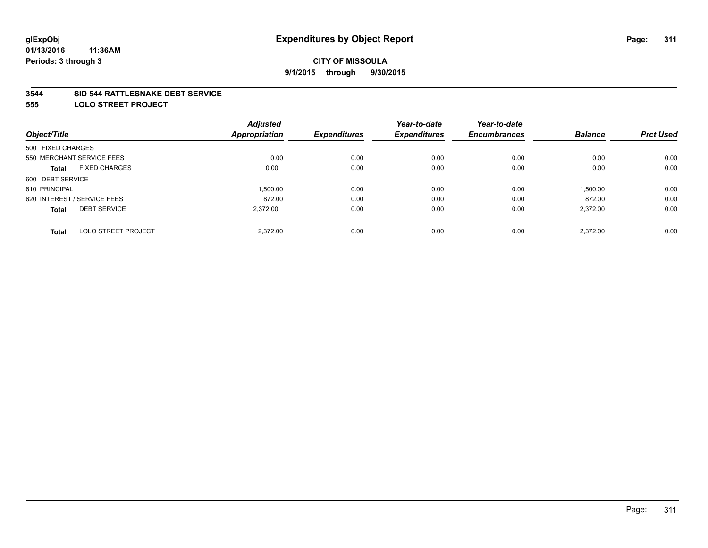#### **3544 SID 544 RATTLESNAKE DEBT SERVICE**

**555 LOLO STREET PROJECT**

|                             | <b>Adjusted</b> |                      | Year-to-date        | Year-to-date        |                |                  |
|-----------------------------|-----------------|----------------------|---------------------|---------------------|----------------|------------------|
|                             |                 | <b>Expenditures</b>  | <b>Expenditures</b> | <b>Encumbrances</b> | <b>Balance</b> | <b>Prct Used</b> |
| 500 FIXED CHARGES           |                 |                      |                     |                     |                |                  |
| 550 MERCHANT SERVICE FEES   | 0.00            | 0.00                 | 0.00                | 0.00                | 0.00           | 0.00             |
| <b>FIXED CHARGES</b>        | 0.00            | 0.00                 | 0.00                | 0.00                | 0.00           | 0.00             |
| 600 DEBT SERVICE            |                 |                      |                     |                     |                |                  |
|                             | 1.500.00        | 0.00                 | 0.00                | 0.00                | 1,500.00       | 0.00             |
| 620 INTEREST / SERVICE FEES | 872.00          | 0.00                 | 0.00                | 0.00                | 872.00         | 0.00             |
| <b>DEBT SERVICE</b>         | 2.372.00        | 0.00                 | 0.00                | 0.00                | 2,372.00       | 0.00             |
| <b>LOLO STREET PROJECT</b>  | 2.372.00        | 0.00                 | 0.00                | 0.00                | 2.372.00       | 0.00             |
|                             |                 | <b>Appropriation</b> |                     |                     |                |                  |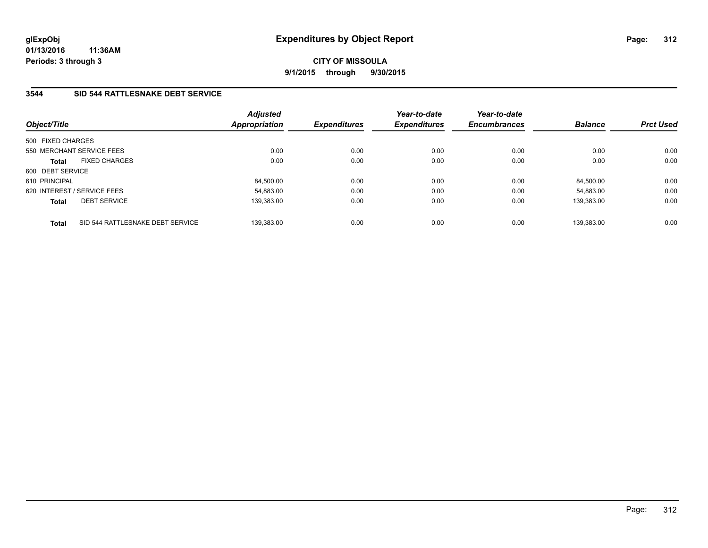**01/13/2016 11:36AM Periods: 3 through 3**

**CITY OF MISSOULA 9/1/2015 through 9/30/2015**

## **3544 SID 544 RATTLESNAKE DEBT SERVICE**

| Object/Title                         |                                  | <b>Adjusted</b><br><b>Appropriation</b> | <b>Expenditures</b> | Year-to-date<br><b>Expenditures</b> | Year-to-date<br><b>Encumbrances</b> | <b>Balance</b> | <b>Prct Used</b> |
|--------------------------------------|----------------------------------|-----------------------------------------|---------------------|-------------------------------------|-------------------------------------|----------------|------------------|
| 500 FIXED CHARGES                    |                                  |                                         |                     |                                     |                                     |                |                  |
| 550 MERCHANT SERVICE FEES            |                                  | 0.00                                    | 0.00                | 0.00                                | 0.00                                | 0.00           | 0.00             |
| <b>FIXED CHARGES</b><br><b>Total</b> |                                  | 0.00                                    | 0.00                | 0.00                                | 0.00                                | 0.00           | 0.00             |
| 600 DEBT SERVICE                     |                                  |                                         |                     |                                     |                                     |                |                  |
| 610 PRINCIPAL                        |                                  | 84,500.00                               | 0.00                | 0.00                                | 0.00                                | 84,500.00      | 0.00             |
| 620 INTEREST / SERVICE FEES          |                                  | 54.883.00                               | 0.00                | 0.00                                | 0.00                                | 54.883.00      | 0.00             |
| <b>DEBT SERVICE</b><br><b>Total</b>  |                                  | 139.383.00                              | 0.00                | 0.00                                | 0.00                                | 139.383.00     | 0.00             |
| <b>Total</b>                         | SID 544 RATTLESNAKE DEBT SERVICE | 139.383.00                              | 0.00                | 0.00                                | 0.00                                | 139.383.00     | 0.00             |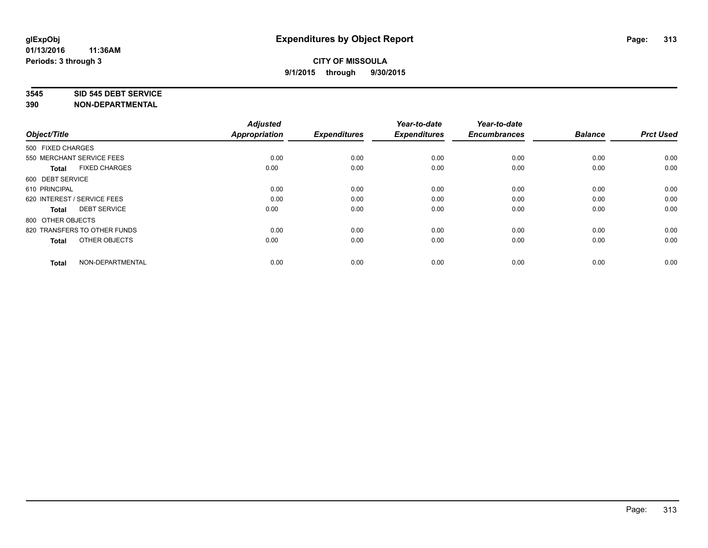#### **3545 SID 545 DEBT SERVICE**

| Object/Title                         | <b>Adjusted</b><br><b>Appropriation</b> | <b>Expenditures</b> | Year-to-date<br><b>Expenditures</b> | Year-to-date<br><b>Encumbrances</b> | <b>Balance</b> | <b>Prct Used</b> |
|--------------------------------------|-----------------------------------------|---------------------|-------------------------------------|-------------------------------------|----------------|------------------|
| 500 FIXED CHARGES                    |                                         |                     |                                     |                                     |                |                  |
| 550 MERCHANT SERVICE FEES            | 0.00                                    | 0.00                | 0.00                                | 0.00                                | 0.00           | 0.00             |
| <b>FIXED CHARGES</b><br><b>Total</b> | 0.00                                    | 0.00                | 0.00                                | 0.00                                | 0.00           | 0.00             |
| 600 DEBT SERVICE                     |                                         |                     |                                     |                                     |                |                  |
| 610 PRINCIPAL                        | 0.00                                    | 0.00                | 0.00                                | 0.00                                | 0.00           | 0.00             |
| 620 INTEREST / SERVICE FEES          | 0.00                                    | 0.00                | 0.00                                | 0.00                                | 0.00           | 0.00             |
| <b>DEBT SERVICE</b><br><b>Total</b>  | 0.00                                    | 0.00                | 0.00                                | 0.00                                | 0.00           | 0.00             |
| 800 OTHER OBJECTS                    |                                         |                     |                                     |                                     |                |                  |
| 820 TRANSFERS TO OTHER FUNDS         | 0.00                                    | 0.00                | 0.00                                | 0.00                                | 0.00           | 0.00             |
| OTHER OBJECTS<br><b>Total</b>        | 0.00                                    | 0.00                | 0.00                                | 0.00                                | 0.00           | 0.00             |
|                                      |                                         |                     |                                     |                                     |                |                  |
| NON-DEPARTMENTAL<br><b>Total</b>     | 0.00                                    | 0.00                | 0.00                                | 0.00                                | 0.00           | 0.00             |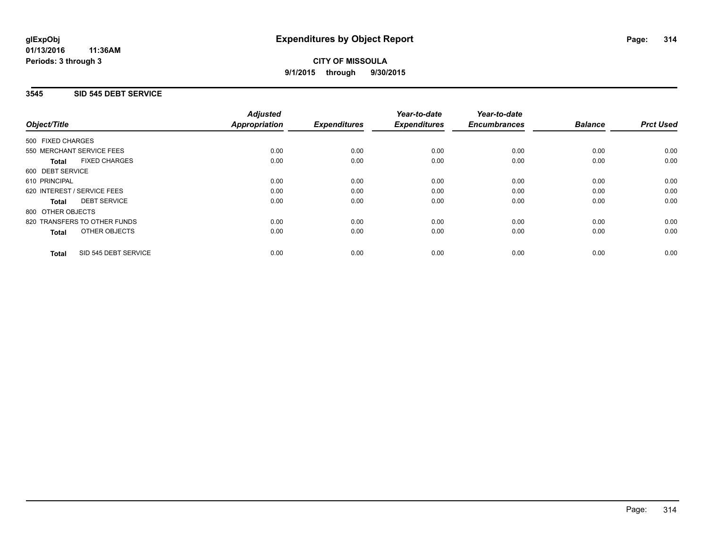**01/13/2016 11:36AM Periods: 3 through 3**

# **CITY OF MISSOULA 9/1/2015 through 9/30/2015**

## **3545 SID 545 DEBT SERVICE**

|                   |                              | <b>Adjusted</b>      |                     | Year-to-date        | Year-to-date<br><b>Encumbrances</b> | <b>Balance</b> | <b>Prct Used</b> |
|-------------------|------------------------------|----------------------|---------------------|---------------------|-------------------------------------|----------------|------------------|
| Object/Title      |                              | <b>Appropriation</b> | <b>Expenditures</b> | <b>Expenditures</b> |                                     |                |                  |
| 500 FIXED CHARGES |                              |                      |                     |                     |                                     |                |                  |
|                   | 550 MERCHANT SERVICE FEES    | 0.00                 | 0.00                | 0.00                | 0.00                                | 0.00           | 0.00             |
| Total             | <b>FIXED CHARGES</b>         | 0.00                 | 0.00                | 0.00                | 0.00                                | 0.00           | 0.00             |
| 600 DEBT SERVICE  |                              |                      |                     |                     |                                     |                |                  |
| 610 PRINCIPAL     |                              | 0.00                 | 0.00                | 0.00                | 0.00                                | 0.00           | 0.00             |
|                   | 620 INTEREST / SERVICE FEES  | 0.00                 | 0.00                | 0.00                | 0.00                                | 0.00           | 0.00             |
| Total             | <b>DEBT SERVICE</b>          | 0.00                 | 0.00                | 0.00                | 0.00                                | 0.00           | 0.00             |
| 800 OTHER OBJECTS |                              |                      |                     |                     |                                     |                |                  |
|                   | 820 TRANSFERS TO OTHER FUNDS | 0.00                 | 0.00                | 0.00                | 0.00                                | 0.00           | 0.00             |
| <b>Total</b>      | OTHER OBJECTS                | 0.00                 | 0.00                | 0.00                | 0.00                                | 0.00           | 0.00             |
| <b>Total</b>      | SID 545 DEBT SERVICE         | 0.00                 | 0.00                | 0.00                | 0.00                                | 0.00           | 0.00             |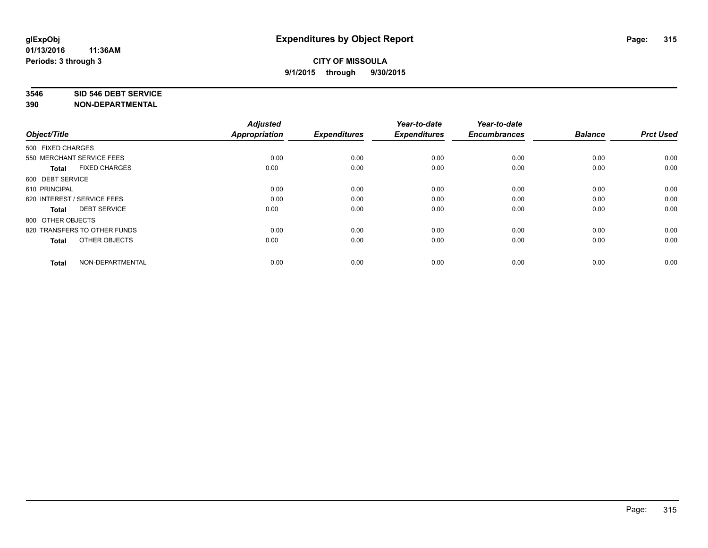#### **3546 SID 546 DEBT SERVICE**

| Object/Title                         | <b>Adjusted</b><br><b>Appropriation</b> | <b>Expenditures</b> | Year-to-date<br><b>Expenditures</b> | Year-to-date<br><b>Encumbrances</b> | <b>Balance</b> | <b>Prct Used</b> |
|--------------------------------------|-----------------------------------------|---------------------|-------------------------------------|-------------------------------------|----------------|------------------|
|                                      |                                         |                     |                                     |                                     |                |                  |
| 500 FIXED CHARGES                    |                                         |                     |                                     |                                     |                |                  |
| 550 MERCHANT SERVICE FEES            | 0.00                                    | 0.00                | 0.00                                | 0.00                                | 0.00           | 0.00             |
| <b>FIXED CHARGES</b><br><b>Total</b> | 0.00                                    | 0.00                | 0.00                                | 0.00                                | 0.00           | 0.00             |
| 600 DEBT SERVICE                     |                                         |                     |                                     |                                     |                |                  |
| 610 PRINCIPAL                        | 0.00                                    | 0.00                | 0.00                                | 0.00                                | 0.00           | 0.00             |
| 620 INTEREST / SERVICE FEES          | 0.00                                    | 0.00                | 0.00                                | 0.00                                | 0.00           | 0.00             |
| <b>DEBT SERVICE</b><br><b>Total</b>  | 0.00                                    | 0.00                | 0.00                                | 0.00                                | 0.00           | 0.00             |
| 800 OTHER OBJECTS                    |                                         |                     |                                     |                                     |                |                  |
| 820 TRANSFERS TO OTHER FUNDS         | 0.00                                    | 0.00                | 0.00                                | 0.00                                | 0.00           | 0.00             |
| OTHER OBJECTS<br><b>Total</b>        | 0.00                                    | 0.00                | 0.00                                | 0.00                                | 0.00           | 0.00             |
|                                      |                                         |                     |                                     |                                     |                |                  |
| NON-DEPARTMENTAL<br><b>Total</b>     | 0.00                                    | 0.00                | 0.00                                | 0.00                                | 0.00           | 0.00             |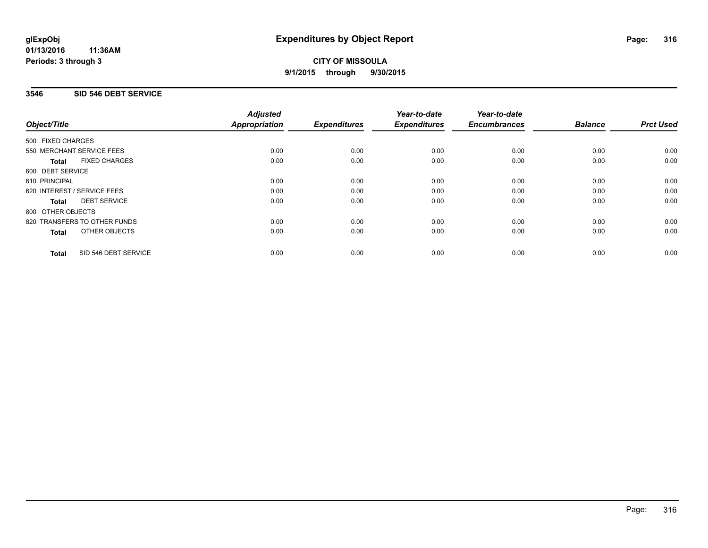**01/13/2016 11:36AM Periods: 3 through 3**

# **CITY OF MISSOULA 9/1/2015 through 9/30/2015**

## **3546 SID 546 DEBT SERVICE**

|                                      | <b>Adjusted</b>      |                     | Year-to-date        | Year-to-date<br><b>Encumbrances</b> | <b>Balance</b> | <b>Prct Used</b> |
|--------------------------------------|----------------------|---------------------|---------------------|-------------------------------------|----------------|------------------|
| Object/Title                         | <b>Appropriation</b> | <b>Expenditures</b> | <b>Expenditures</b> |                                     |                |                  |
| 500 FIXED CHARGES                    |                      |                     |                     |                                     |                |                  |
| 550 MERCHANT SERVICE FEES            | 0.00                 | 0.00                | 0.00                | 0.00                                | 0.00           | 0.00             |
| <b>FIXED CHARGES</b><br><b>Total</b> | 0.00                 | 0.00                | 0.00                | 0.00                                | 0.00           | 0.00             |
| 600 DEBT SERVICE                     |                      |                     |                     |                                     |                |                  |
| 610 PRINCIPAL                        | 0.00                 | 0.00                | 0.00                | 0.00                                | 0.00           | 0.00             |
| 620 INTEREST / SERVICE FEES          | 0.00                 | 0.00                | 0.00                | 0.00                                | 0.00           | 0.00             |
| <b>DEBT SERVICE</b><br><b>Total</b>  | 0.00                 | 0.00                | 0.00                | 0.00                                | 0.00           | 0.00             |
| 800 OTHER OBJECTS                    |                      |                     |                     |                                     |                |                  |
| 820 TRANSFERS TO OTHER FUNDS         | 0.00                 | 0.00                | 0.00                | 0.00                                | 0.00           | 0.00             |
| OTHER OBJECTS<br><b>Total</b>        | 0.00                 | 0.00                | 0.00                | 0.00                                | 0.00           | 0.00             |
| SID 546 DEBT SERVICE<br><b>Total</b> | 0.00                 | 0.00                | 0.00                | 0.00                                | 0.00           | 0.00             |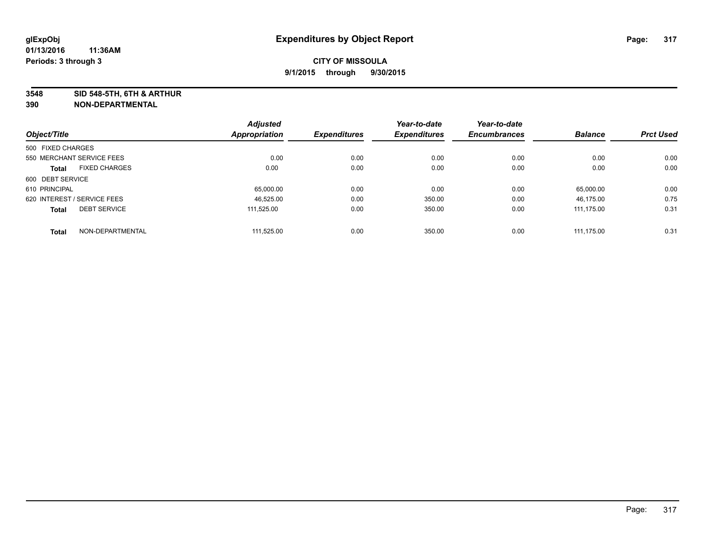**3548 SID 548-5TH, 6TH & ARTHUR**

|                             |                      | <b>Adjusted</b>      |                     | Year-to-date        | Year-to-date        |                |                  |
|-----------------------------|----------------------|----------------------|---------------------|---------------------|---------------------|----------------|------------------|
| Object/Title                |                      | <b>Appropriation</b> | <b>Expenditures</b> | <b>Expenditures</b> | <b>Encumbrances</b> | <b>Balance</b> | <b>Prct Used</b> |
| 500 FIXED CHARGES           |                      |                      |                     |                     |                     |                |                  |
| 550 MERCHANT SERVICE FEES   |                      | 0.00                 | 0.00                | 0.00                | 0.00                | 0.00           | 0.00             |
| <b>Total</b>                | <b>FIXED CHARGES</b> | 0.00                 | 0.00                | 0.00                | 0.00                | 0.00           | 0.00             |
| 600 DEBT SERVICE            |                      |                      |                     |                     |                     |                |                  |
| 610 PRINCIPAL               |                      | 65.000.00            | 0.00                | 0.00                | 0.00                | 65.000.00      | 0.00             |
| 620 INTEREST / SERVICE FEES |                      | 46.525.00            | 0.00                | 350.00              | 0.00                | 46.175.00      | 0.75             |
| <b>Total</b>                | <b>DEBT SERVICE</b>  | 111.525.00           | 0.00                | 350.00              | 0.00                | 111.175.00     | 0.31             |
| <b>Total</b>                | NON-DEPARTMENTAL     | 111.525.00           | 0.00                | 350.00              | 0.00                | 111.175.00     | 0.31             |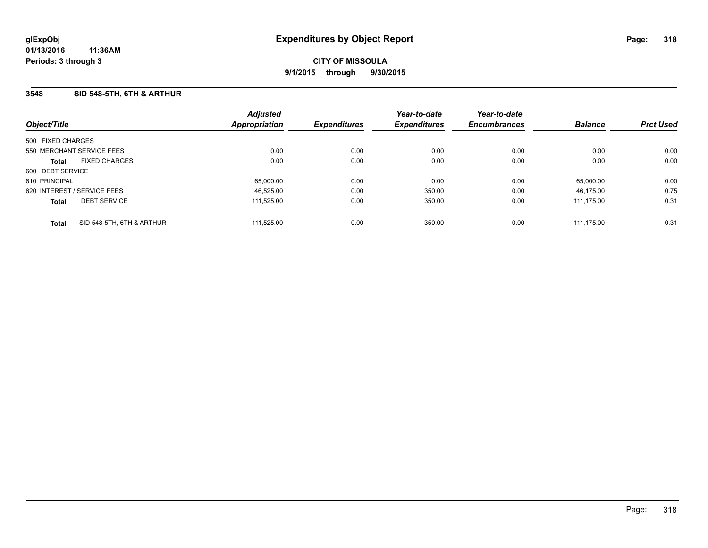### **3548 SID 548-5TH, 6TH & ARTHUR**

| Object/Title                              | <b>Adjusted</b><br><b>Appropriation</b> | <b>Expenditures</b> | Year-to-date<br><b>Expenditures</b> | Year-to-date<br><b>Encumbrances</b> | <b>Balance</b> | <b>Prct Used</b> |
|-------------------------------------------|-----------------------------------------|---------------------|-------------------------------------|-------------------------------------|----------------|------------------|
| 500 FIXED CHARGES                         |                                         |                     |                                     |                                     |                |                  |
| 550 MERCHANT SERVICE FEES                 | 0.00                                    | 0.00                | 0.00                                | 0.00                                | 0.00           | 0.00             |
| <b>FIXED CHARGES</b><br><b>Total</b>      | 0.00                                    | 0.00                | 0.00                                | 0.00                                | 0.00           | 0.00             |
| 600 DEBT SERVICE                          |                                         |                     |                                     |                                     |                |                  |
| 610 PRINCIPAL                             | 65,000.00                               | 0.00                | 0.00                                | 0.00                                | 65.000.00      | 0.00             |
| 620 INTEREST / SERVICE FEES               | 46.525.00                               | 0.00                | 350.00                              | 0.00                                | 46.175.00      | 0.75             |
| <b>DEBT SERVICE</b><br><b>Total</b>       | 111.525.00                              | 0.00                | 350.00                              | 0.00                                | 111.175.00     | 0.31             |
| SID 548-5TH, 6TH & ARTHUR<br><b>Total</b> | 111.525.00                              | 0.00                | 350.00                              | 0.00                                | 111.175.00     | 0.31             |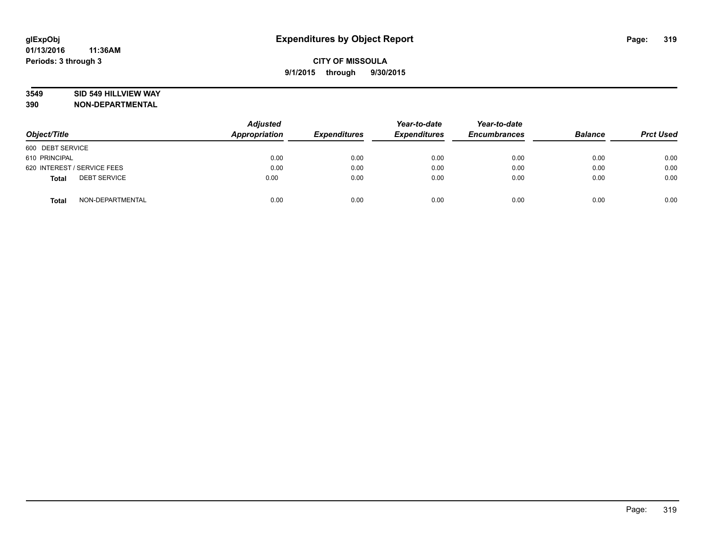## **3549 SID 549 HILLVIEW WAY**

| Object/Title                        | <b>Adjusted</b><br><b>Appropriation</b> | <b>Expenditures</b> | Year-to-date<br><b>Expenditures</b> | Year-to-date<br><b>Encumbrances</b> | <b>Balance</b> | <b>Prct Used</b> |
|-------------------------------------|-----------------------------------------|---------------------|-------------------------------------|-------------------------------------|----------------|------------------|
| 600 DEBT SERVICE                    |                                         |                     |                                     |                                     |                |                  |
| 610 PRINCIPAL                       | 0.00                                    | 0.00                | 0.00                                | 0.00                                | 0.00           | 0.00             |
| 620 INTEREST / SERVICE FEES         | 0.00                                    | 0.00                | 0.00                                | 0.00                                | 0.00           | 0.00             |
| <b>DEBT SERVICE</b><br><b>Total</b> | 0.00                                    | 0.00                | 0.00                                | 0.00                                | 0.00           | 0.00             |
| NON-DEPARTMENTAL<br><b>Total</b>    | 0.00                                    | 0.00                | 0.00                                | 0.00                                | 0.00           | 0.00             |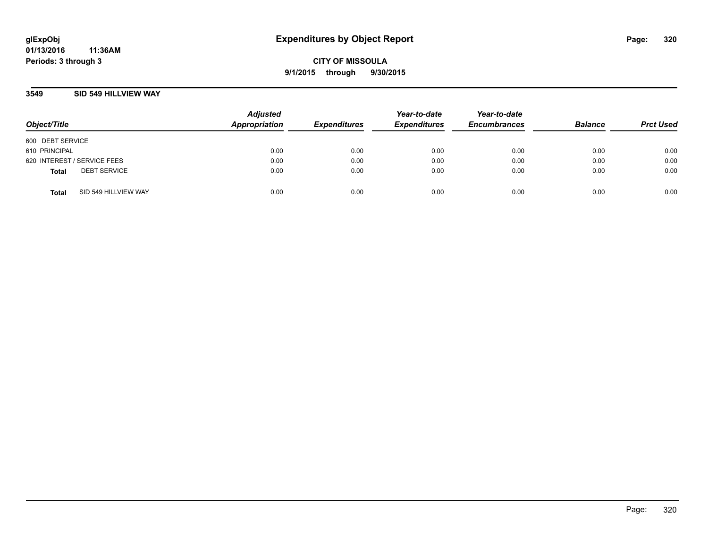**01/13/2016 11:36AM Periods: 3 through 3**

**CITY OF MISSOULA 9/1/2015 through 9/30/2015**

### **3549 SID 549 HILLVIEW WAY**

| Object/Title                |                      | <b>Adjusted</b><br>Appropriation | <b>Expenditures</b> | Year-to-date<br><b>Expenditures</b> | Year-to-date<br><b>Encumbrances</b> | <b>Balance</b> | <b>Prct Used</b> |
|-----------------------------|----------------------|----------------------------------|---------------------|-------------------------------------|-------------------------------------|----------------|------------------|
| 600 DEBT SERVICE            |                      |                                  |                     |                                     |                                     |                |                  |
| 610 PRINCIPAL               |                      | 0.00                             | 0.00                | 0.00                                | 0.00                                | 0.00           | 0.00             |
| 620 INTEREST / SERVICE FEES |                      | 0.00                             | 0.00                | 0.00                                | 0.00                                | 0.00           | 0.00             |
| <b>Total</b>                | <b>DEBT SERVICE</b>  | 0.00                             | 0.00                | 0.00                                | 0.00                                | 0.00           | 0.00             |
| <b>Total</b>                | SID 549 HILLVIEW WAY | 0.00                             | 0.00                | 0.00                                | 0.00                                | 0.00           | 0.00             |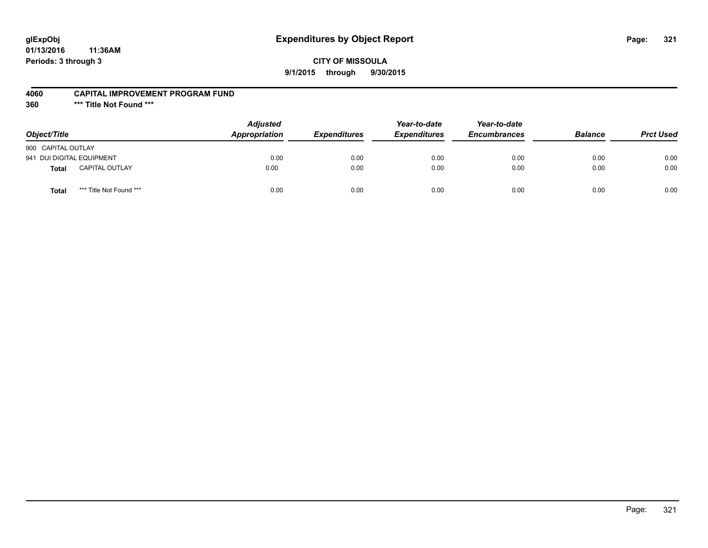# **glExpObj Expenditures by Object Report Page: 321**

**01/13/2016 11:36AM Periods: 3 through 3**

#### **4060 CAPITAL IMPROVEMENT PROGRAM FUND**

**360 \*\*\* Title Not Found \*\*\***

| Object/Title                            | <b>Adjusted</b><br><b>Appropriation</b> | <b>Expenditures</b> | Year-to-date<br><b>Expenditures</b> | Year-to-date<br><b>Encumbrances</b> | <b>Balance</b> | <b>Prct Used</b> |
|-----------------------------------------|-----------------------------------------|---------------------|-------------------------------------|-------------------------------------|----------------|------------------|
| 900 CAPITAL OUTLAY                      |                                         |                     |                                     |                                     |                |                  |
| 941 DUI DIGITAL EQUIPMENT               | 0.00                                    | 0.00                | 0.00                                | 0.00                                | 0.00           | 0.00             |
| <b>CAPITAL OUTLAY</b><br><b>Total</b>   | 0.00                                    | 0.00                | 0.00                                | 0.00                                | 0.00           | 0.00             |
| *** Title Not Found ***<br><b>Total</b> | 0.00                                    | 0.00                | 0.00                                | 0.00                                | 0.00           | 0.00             |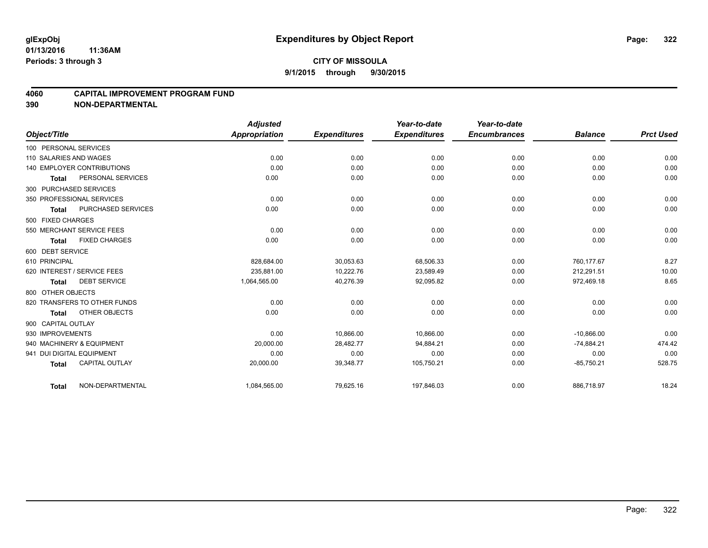#### **4060 CAPITAL IMPROVEMENT PROGRAM FUND**

|                                       | <b>Adjusted</b>      |                     | Year-to-date        | Year-to-date        |                |                  |
|---------------------------------------|----------------------|---------------------|---------------------|---------------------|----------------|------------------|
| Object/Title                          | <b>Appropriation</b> | <b>Expenditures</b> | <b>Expenditures</b> | <b>Encumbrances</b> | <b>Balance</b> | <b>Prct Used</b> |
| 100 PERSONAL SERVICES                 |                      |                     |                     |                     |                |                  |
| 110 SALARIES AND WAGES                | 0.00                 | 0.00                | 0.00                | 0.00                | 0.00           | 0.00             |
| <b>140 EMPLOYER CONTRIBUTIONS</b>     | 0.00                 | 0.00                | 0.00                | 0.00                | 0.00           | 0.00             |
| PERSONAL SERVICES<br><b>Total</b>     | 0.00                 | 0.00                | 0.00                | 0.00                | 0.00           | 0.00             |
| 300 PURCHASED SERVICES                |                      |                     |                     |                     |                |                  |
| 350 PROFESSIONAL SERVICES             | 0.00                 | 0.00                | 0.00                | 0.00                | 0.00           | 0.00             |
| PURCHASED SERVICES<br><b>Total</b>    | 0.00                 | 0.00                | 0.00                | 0.00                | 0.00           | 0.00             |
| 500 FIXED CHARGES                     |                      |                     |                     |                     |                |                  |
| 550 MERCHANT SERVICE FEES             | 0.00                 | 0.00                | 0.00                | 0.00                | 0.00           | 0.00             |
| <b>FIXED CHARGES</b><br><b>Total</b>  | 0.00                 | 0.00                | 0.00                | 0.00                | 0.00           | 0.00             |
| 600 DEBT SERVICE                      |                      |                     |                     |                     |                |                  |
| 610 PRINCIPAL                         | 828.684.00           | 30,053.63           | 68,506.33           | 0.00                | 760.177.67     | 8.27             |
| 620 INTEREST / SERVICE FEES           | 235.881.00           | 10,222.76           | 23,589.49           | 0.00                | 212,291.51     | 10.00            |
| <b>DEBT SERVICE</b><br><b>Total</b>   | 1,064,565.00         | 40,276.39           | 92,095.82           | 0.00                | 972,469.18     | 8.65             |
| 800 OTHER OBJECTS                     |                      |                     |                     |                     |                |                  |
| 820 TRANSFERS TO OTHER FUNDS          | 0.00                 | 0.00                | 0.00                | 0.00                | 0.00           | 0.00             |
| OTHER OBJECTS<br><b>Total</b>         | 0.00                 | 0.00                | 0.00                | 0.00                | 0.00           | 0.00             |
| 900 CAPITAL OUTLAY                    |                      |                     |                     |                     |                |                  |
| 930 IMPROVEMENTS                      | 0.00                 | 10,866.00           | 10,866.00           | 0.00                | $-10,866.00$   | 0.00             |
| 940 MACHINERY & EQUIPMENT             | 20,000.00            | 28,482.77           | 94,884.21           | 0.00                | $-74,884.21$   | 474.42           |
| 941 DUI DIGITAL EQUIPMENT             | 0.00                 | 0.00                | 0.00                | 0.00                | 0.00           | 0.00             |
| <b>CAPITAL OUTLAY</b><br><b>Total</b> | 20,000.00            | 39,348.77           | 105,750.21          | 0.00                | $-85,750.21$   | 528.75           |
| NON-DEPARTMENTAL<br><b>Total</b>      | 1,084,565.00         | 79,625.16           | 197,846.03          | 0.00                | 886,718.97     | 18.24            |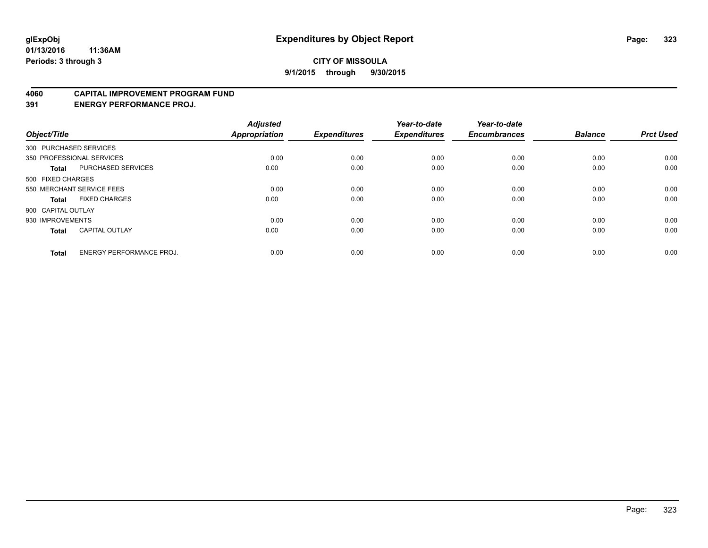#### **4060 CAPITAL IMPROVEMENT PROGRAM FUND**

**391 ENERGY PERFORMANCE PROJ.**

| Object/Title       |                                 | <b>Adjusted</b><br><b>Appropriation</b> | <b>Expenditures</b> | Year-to-date<br><b>Expenditures</b> | Year-to-date<br><b>Encumbrances</b> | <b>Balance</b> | <b>Prct Used</b> |
|--------------------|---------------------------------|-----------------------------------------|---------------------|-------------------------------------|-------------------------------------|----------------|------------------|
|                    | 300 PURCHASED SERVICES          |                                         |                     |                                     |                                     |                |                  |
|                    | 350 PROFESSIONAL SERVICES       | 0.00                                    | 0.00                | 0.00                                | 0.00                                | 0.00           | 0.00             |
| <b>Total</b>       | <b>PURCHASED SERVICES</b>       | 0.00                                    | 0.00                | 0.00                                | 0.00                                | 0.00           | 0.00             |
| 500 FIXED CHARGES  |                                 |                                         |                     |                                     |                                     |                |                  |
|                    | 550 MERCHANT SERVICE FEES       | 0.00                                    | 0.00                | 0.00                                | 0.00                                | 0.00           | 0.00             |
| Total              | <b>FIXED CHARGES</b>            | 0.00                                    | 0.00                | 0.00                                | 0.00                                | 0.00           | 0.00             |
| 900 CAPITAL OUTLAY |                                 |                                         |                     |                                     |                                     |                |                  |
| 930 IMPROVEMENTS   |                                 | 0.00                                    | 0.00                | 0.00                                | 0.00                                | 0.00           | 0.00             |
| Total              | <b>CAPITAL OUTLAY</b>           | 0.00                                    | 0.00                | 0.00                                | 0.00                                | 0.00           | 0.00             |
| <b>Total</b>       | <b>ENERGY PERFORMANCE PROJ.</b> | 0.00                                    | 0.00                | 0.00                                | 0.00                                | 0.00           | 0.00             |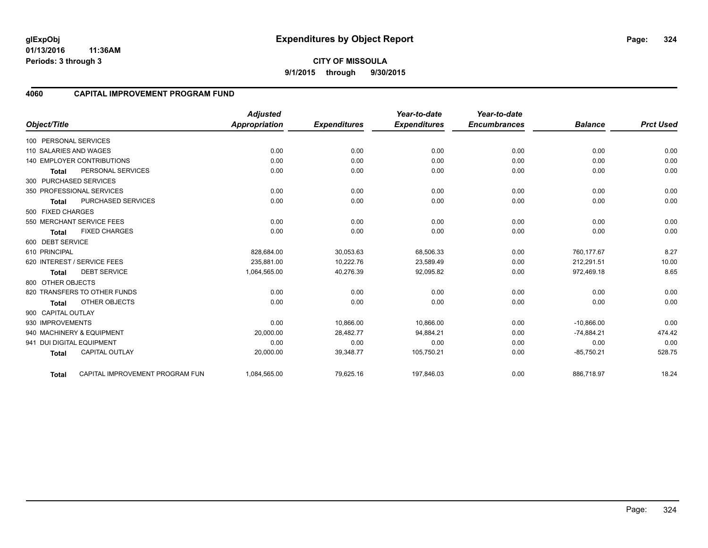**01/13/2016 11:36AM Periods: 3 through 3**

### **4060 CAPITAL IMPROVEMENT PROGRAM FUND**

|                           |                                   | <b>Adjusted</b>      |                     | Year-to-date        | Year-to-date        |                |                  |
|---------------------------|-----------------------------------|----------------------|---------------------|---------------------|---------------------|----------------|------------------|
| Object/Title              |                                   | <b>Appropriation</b> | <b>Expenditures</b> | <b>Expenditures</b> | <b>Encumbrances</b> | <b>Balance</b> | <b>Prct Used</b> |
| 100 PERSONAL SERVICES     |                                   |                      |                     |                     |                     |                |                  |
| 110 SALARIES AND WAGES    |                                   | 0.00                 | 0.00                | 0.00                | 0.00                | 0.00           | 0.00             |
|                           | <b>140 EMPLOYER CONTRIBUTIONS</b> | 0.00                 | 0.00                | 0.00                | 0.00                | 0.00           | 0.00             |
| <b>Total</b>              | PERSONAL SERVICES                 | 0.00                 | 0.00                | 0.00                | 0.00                | 0.00           | 0.00             |
| 300 PURCHASED SERVICES    |                                   |                      |                     |                     |                     |                |                  |
|                           | 350 PROFESSIONAL SERVICES         | 0.00                 | 0.00                | 0.00                | 0.00                | 0.00           | 0.00             |
| <b>Total</b>              | <b>PURCHASED SERVICES</b>         | 0.00                 | 0.00                | 0.00                | 0.00                | 0.00           | 0.00             |
| 500 FIXED CHARGES         |                                   |                      |                     |                     |                     |                |                  |
|                           | 550 MERCHANT SERVICE FEES         | 0.00                 | 0.00                | 0.00                | 0.00                | 0.00           | 0.00             |
| <b>Total</b>              | <b>FIXED CHARGES</b>              | 0.00                 | 0.00                | 0.00                | 0.00                | 0.00           | 0.00             |
| 600 DEBT SERVICE          |                                   |                      |                     |                     |                     |                |                  |
| 610 PRINCIPAL             |                                   | 828,684.00           | 30,053.63           | 68,506.33           | 0.00                | 760,177.67     | 8.27             |
|                           | 620 INTEREST / SERVICE FEES       | 235.881.00           | 10,222.76           | 23,589.49           | 0.00                | 212.291.51     | 10.00            |
| <b>Total</b>              | <b>DEBT SERVICE</b>               | 1,064,565.00         | 40,276.39           | 92,095.82           | 0.00                | 972,469.18     | 8.65             |
| 800 OTHER OBJECTS         |                                   |                      |                     |                     |                     |                |                  |
|                           | 820 TRANSFERS TO OTHER FUNDS      | 0.00                 | 0.00                | 0.00                | 0.00                | 0.00           | 0.00             |
| <b>Total</b>              | OTHER OBJECTS                     | 0.00                 | 0.00                | 0.00                | 0.00                | 0.00           | 0.00             |
| 900 CAPITAL OUTLAY        |                                   |                      |                     |                     |                     |                |                  |
| 930 IMPROVEMENTS          |                                   | 0.00                 | 10,866.00           | 10,866.00           | 0.00                | $-10,866.00$   | 0.00             |
|                           | 940 MACHINERY & EQUIPMENT         | 20,000.00            | 28,482.77           | 94,884.21           | 0.00                | $-74,884.21$   | 474.42           |
| 941 DUI DIGITAL EQUIPMENT |                                   | 0.00                 | 0.00                | 0.00                | 0.00                | 0.00           | 0.00             |
| <b>Total</b>              | <b>CAPITAL OUTLAY</b>             | 20,000.00            | 39,348.77           | 105,750.21          | 0.00                | $-85,750.21$   | 528.75           |
| Total                     | CAPITAL IMPROVEMENT PROGRAM FUN   | 1,084,565.00         | 79,625.16           | 197,846.03          | 0.00                | 886,718.97     | 18.24            |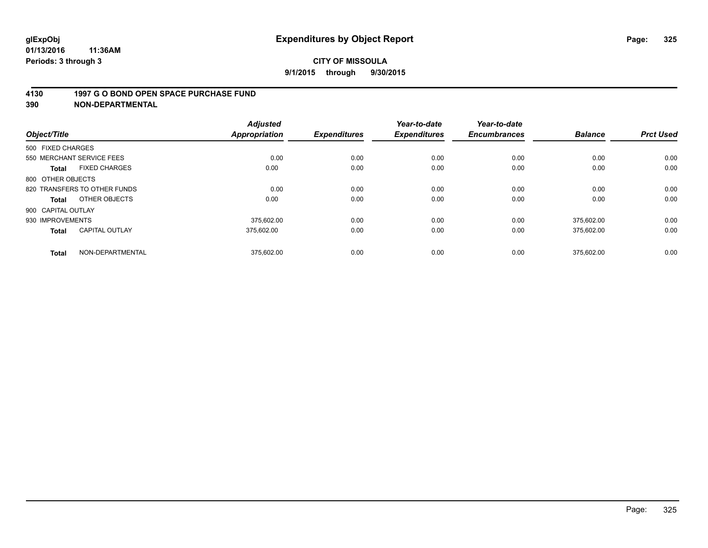#### **4130 1997 G O BOND OPEN SPACE PURCHASE FUND**

**390 NON-DEPARTMENTAL**

| Object/Title                          | <b>Adjusted</b><br><b>Appropriation</b> | <b>Expenditures</b> | Year-to-date<br><b>Expenditures</b> | Year-to-date<br><b>Encumbrances</b> | <b>Balance</b> | <b>Prct Used</b> |
|---------------------------------------|-----------------------------------------|---------------------|-------------------------------------|-------------------------------------|----------------|------------------|
| 500 FIXED CHARGES                     |                                         |                     |                                     |                                     |                |                  |
| 550 MERCHANT SERVICE FEES             |                                         | 0.00<br>0.00        | 0.00                                | 0.00                                | 0.00           | 0.00             |
| <b>FIXED CHARGES</b><br><b>Total</b>  | 0.00                                    | 0.00                | 0.00                                | 0.00                                | 0.00           | 0.00             |
| 800 OTHER OBJECTS                     |                                         |                     |                                     |                                     |                |                  |
| 820 TRANSFERS TO OTHER FUNDS          |                                         | 0.00<br>0.00        | 0.00                                | 0.00                                | 0.00           | 0.00             |
| OTHER OBJECTS<br>Total                | 0.00                                    | 0.00                | 0.00                                | 0.00                                | 0.00           | 0.00             |
| 900 CAPITAL OUTLAY                    |                                         |                     |                                     |                                     |                |                  |
| 930 IMPROVEMENTS                      | 375.602.00                              | 0.00                | 0.00                                | 0.00                                | 375.602.00     | 0.00             |
| <b>CAPITAL OUTLAY</b><br><b>Total</b> | 375.602.00                              | 0.00                | 0.00                                | 0.00                                | 375,602.00     | 0.00             |
| NON-DEPARTMENTAL<br><b>Total</b>      | 375,602.00                              | 0.00                | 0.00                                | 0.00                                | 375.602.00     | 0.00             |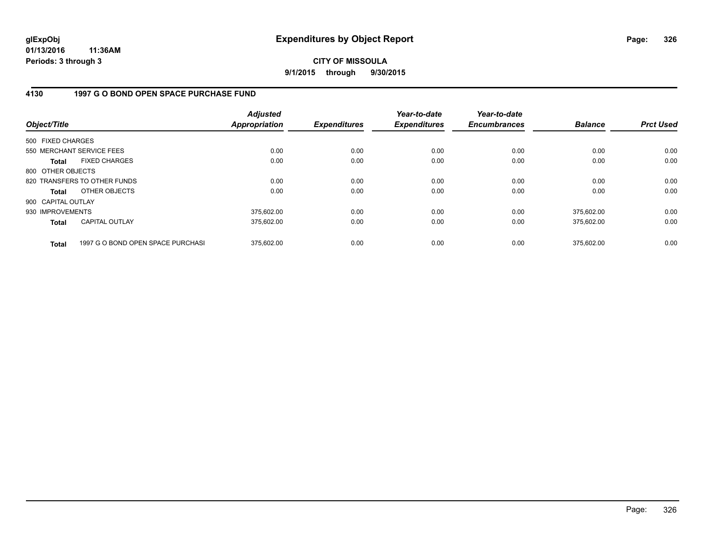**CITY OF MISSOULA 9/1/2015 through 9/30/2015**

### **4130 1997 G O BOND OPEN SPACE PURCHASE FUND**

| Object/Title       |                                   | <b>Adjusted</b><br>Appropriation | <b>Expenditures</b> | Year-to-date<br><b>Expenditures</b> | Year-to-date<br><b>Encumbrances</b> | <b>Balance</b> | <b>Prct Used</b> |
|--------------------|-----------------------------------|----------------------------------|---------------------|-------------------------------------|-------------------------------------|----------------|------------------|
| 500 FIXED CHARGES  |                                   |                                  |                     |                                     |                                     |                |                  |
|                    | 550 MERCHANT SERVICE FEES         | 0.00                             | 0.00                | 0.00                                | 0.00                                | 0.00           | 0.00             |
| Total              | <b>FIXED CHARGES</b>              | 0.00                             | 0.00                | 0.00                                | 0.00                                | 0.00           | 0.00             |
| 800 OTHER OBJECTS  |                                   |                                  |                     |                                     |                                     |                |                  |
|                    | 820 TRANSFERS TO OTHER FUNDS      | 0.00                             | 0.00                | 0.00                                | 0.00                                | 0.00           | 0.00             |
| Total              | OTHER OBJECTS                     | 0.00                             | 0.00                | 0.00                                | 0.00                                | 0.00           | 0.00             |
| 900 CAPITAL OUTLAY |                                   |                                  |                     |                                     |                                     |                |                  |
| 930 IMPROVEMENTS   |                                   | 375.602.00                       | 0.00                | 0.00                                | 0.00                                | 375.602.00     | 0.00             |
| <b>Total</b>       | <b>CAPITAL OUTLAY</b>             | 375.602.00                       | 0.00                | 0.00                                | 0.00                                | 375.602.00     | 0.00             |
| <b>Total</b>       | 1997 G O BOND OPEN SPACE PURCHASI | 375.602.00                       | 0.00                | 0.00                                | 0.00                                | 375.602.00     | 0.00             |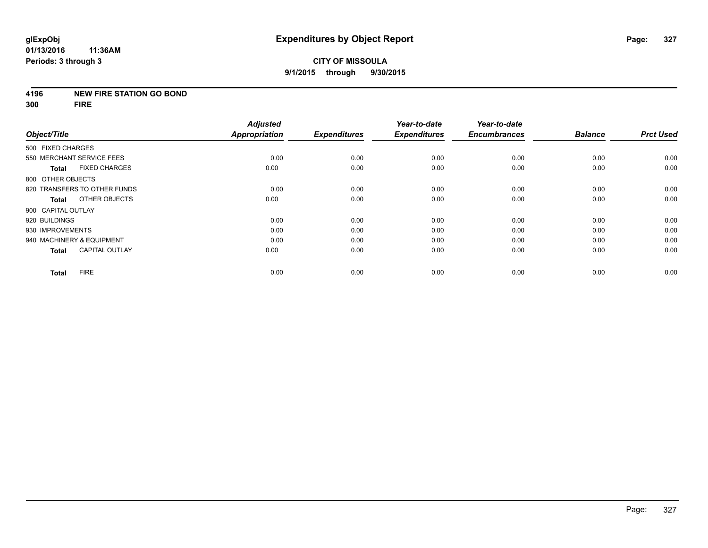#### **4196 NEW FIRE STATION GO BOND**

**300 FIRE**

|                              |                       | <b>Adjusted</b>      |                     | Year-to-date        | Year-to-date        |                |                  |
|------------------------------|-----------------------|----------------------|---------------------|---------------------|---------------------|----------------|------------------|
| Object/Title                 |                       | <b>Appropriation</b> | <b>Expenditures</b> | <b>Expenditures</b> | <b>Encumbrances</b> | <b>Balance</b> | <b>Prct Used</b> |
| 500 FIXED CHARGES            |                       |                      |                     |                     |                     |                |                  |
| 550 MERCHANT SERVICE FEES    |                       | 0.00                 | 0.00                | 0.00                | 0.00                | 0.00           | 0.00             |
| <b>Total</b>                 | <b>FIXED CHARGES</b>  | 0.00                 | 0.00                | 0.00                | 0.00                | 0.00           | 0.00             |
| 800 OTHER OBJECTS            |                       |                      |                     |                     |                     |                |                  |
| 820 TRANSFERS TO OTHER FUNDS |                       | 0.00                 | 0.00                | 0.00                | 0.00                | 0.00           | 0.00             |
| <b>Total</b>                 | OTHER OBJECTS         | 0.00                 | 0.00                | 0.00                | 0.00                | 0.00           | 0.00             |
| 900 CAPITAL OUTLAY           |                       |                      |                     |                     |                     |                |                  |
| 920 BUILDINGS                |                       | 0.00                 | 0.00                | 0.00                | 0.00                | 0.00           | 0.00             |
| 930 IMPROVEMENTS             |                       | 0.00                 | 0.00                | 0.00                | 0.00                | 0.00           | 0.00             |
| 940 MACHINERY & EQUIPMENT    |                       | 0.00                 | 0.00                | 0.00                | 0.00                | 0.00           | 0.00             |
| <b>Total</b>                 | <b>CAPITAL OUTLAY</b> | 0.00                 | 0.00                | 0.00                | 0.00                | 0.00           | 0.00             |
| <b>FIRE</b><br><b>Total</b>  |                       | 0.00                 | 0.00                | 0.00                | 0.00                | 0.00           | 0.00             |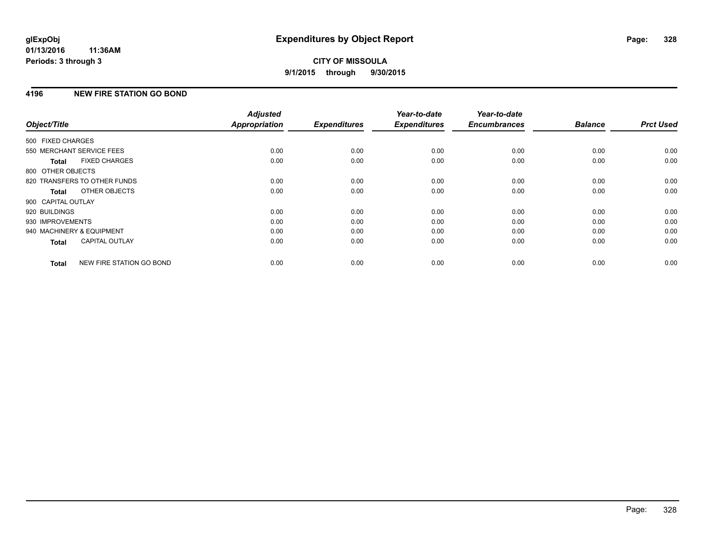# **4196 NEW FIRE STATION GO BOND**

| Object/Title              |                              | <b>Adjusted</b><br><b>Appropriation</b> | <b>Expenditures</b> | Year-to-date<br><b>Expenditures</b> | Year-to-date<br><b>Encumbrances</b> | <b>Balance</b> | <b>Prct Used</b> |
|---------------------------|------------------------------|-----------------------------------------|---------------------|-------------------------------------|-------------------------------------|----------------|------------------|
|                           |                              |                                         |                     |                                     |                                     |                |                  |
| 500 FIXED CHARGES         |                              |                                         |                     |                                     |                                     |                |                  |
| 550 MERCHANT SERVICE FEES |                              | 0.00                                    | 0.00                | 0.00                                | 0.00                                | 0.00           | 0.00             |
| Total                     | <b>FIXED CHARGES</b>         | 0.00                                    | 0.00                | 0.00                                | 0.00                                | 0.00           | 0.00             |
| 800 OTHER OBJECTS         |                              |                                         |                     |                                     |                                     |                |                  |
|                           | 820 TRANSFERS TO OTHER FUNDS | 0.00                                    | 0.00                | 0.00                                | 0.00                                | 0.00           | 0.00             |
| Total                     | OTHER OBJECTS                | 0.00                                    | 0.00                | 0.00                                | 0.00                                | 0.00           | 0.00             |
| 900 CAPITAL OUTLAY        |                              |                                         |                     |                                     |                                     |                |                  |
| 920 BUILDINGS             |                              | 0.00                                    | 0.00                | 0.00                                | 0.00                                | 0.00           | 0.00             |
| 930 IMPROVEMENTS          |                              | 0.00                                    | 0.00                | 0.00                                | 0.00                                | 0.00           | 0.00             |
| 940 MACHINERY & EQUIPMENT |                              | 0.00                                    | 0.00                | 0.00                                | 0.00                                | 0.00           | 0.00             |
| <b>Total</b>              | <b>CAPITAL OUTLAY</b>        | 0.00                                    | 0.00                | 0.00                                | 0.00                                | 0.00           | 0.00             |
| <b>Total</b>              | NEW FIRE STATION GO BOND     | 0.00                                    | 0.00                | 0.00                                | 0.00                                | 0.00           | 0.00             |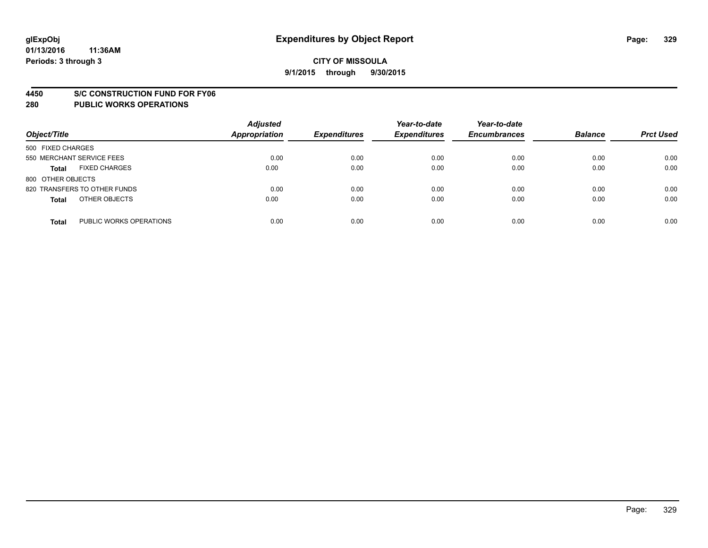#### **4450 S/C CONSTRUCTION FUND FOR FY06**

| Object/Title                            | <b>Adjusted</b><br><b>Appropriation</b> | <b>Expenditures</b> | Year-to-date<br><b>Expenditures</b> | Year-to-date<br><b>Encumbrances</b> | <b>Balance</b> | <b>Prct Used</b> |
|-----------------------------------------|-----------------------------------------|---------------------|-------------------------------------|-------------------------------------|----------------|------------------|
| 500 FIXED CHARGES                       |                                         |                     |                                     |                                     |                |                  |
| 550 MERCHANT SERVICE FEES               | 0.00                                    | 0.00                | 0.00                                | 0.00                                | 0.00           | 0.00             |
| <b>FIXED CHARGES</b><br><b>Total</b>    | 0.00                                    | 0.00                | 0.00                                | 0.00                                | 0.00           | 0.00             |
| 800 OTHER OBJECTS                       |                                         |                     |                                     |                                     |                |                  |
| 820 TRANSFERS TO OTHER FUNDS            | 0.00                                    | 0.00                | 0.00                                | 0.00                                | 0.00           | 0.00             |
| OTHER OBJECTS<br><b>Total</b>           | 0.00                                    | 0.00                | 0.00                                | 0.00                                | 0.00           | 0.00             |
| PUBLIC WORKS OPERATIONS<br><b>Total</b> | 0.00                                    | 0.00                | 0.00                                | 0.00                                | 0.00           | 0.00             |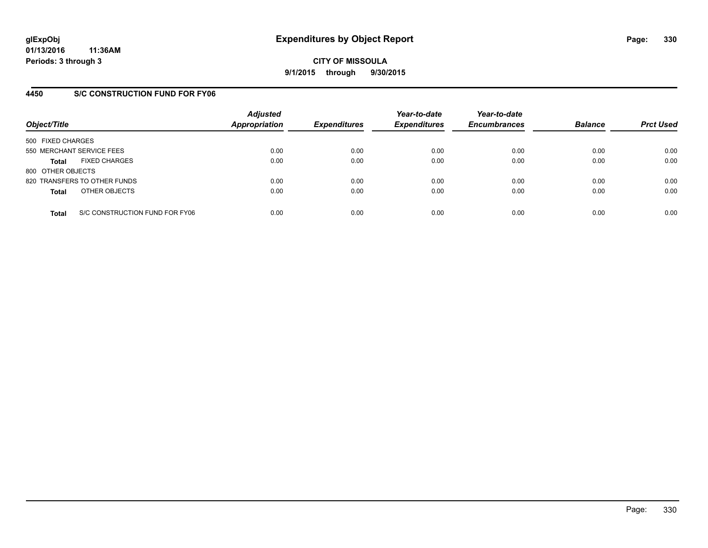**CITY OF MISSOULA 9/1/2015 through 9/30/2015**

### **4450 S/C CONSTRUCTION FUND FOR FY06**

| Object/Title                         |                                | <b>Adjusted</b><br><b>Appropriation</b> | <b>Expenditures</b> | Year-to-date<br><b>Expenditures</b> | Year-to-date<br><b>Encumbrances</b> | <b>Balance</b> | <b>Prct Used</b> |
|--------------------------------------|--------------------------------|-----------------------------------------|---------------------|-------------------------------------|-------------------------------------|----------------|------------------|
| 500 FIXED CHARGES                    |                                |                                         |                     |                                     |                                     |                |                  |
| 550 MERCHANT SERVICE FEES            |                                | 0.00                                    | 0.00                | 0.00                                | 0.00                                | 0.00           | 0.00             |
| <b>FIXED CHARGES</b><br><b>Total</b> |                                | 0.00                                    | 0.00                | 0.00                                | 0.00                                | 0.00           | 0.00             |
| 800 OTHER OBJECTS                    |                                |                                         |                     |                                     |                                     |                |                  |
| 820 TRANSFERS TO OTHER FUNDS         |                                | 0.00                                    | 0.00                | 0.00                                | 0.00                                | 0.00           | 0.00             |
| OTHER OBJECTS<br><b>Total</b>        |                                | 0.00                                    | 0.00                | 0.00                                | 0.00                                | 0.00           | 0.00             |
| <b>Total</b>                         | S/C CONSTRUCTION FUND FOR FY06 | 0.00                                    | 0.00                | 0.00                                | 0.00                                | 0.00           | 0.00             |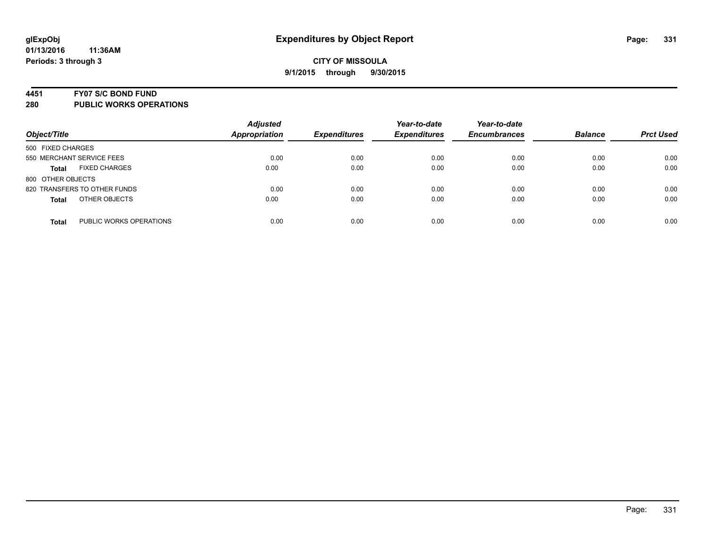#### **4451 FY07 S/C BOND FUND**

| Object/Title                            | <b>Adjusted</b><br><b>Appropriation</b> | <b>Expenditures</b> | Year-to-date<br><b>Expenditures</b> | Year-to-date<br><b>Encumbrances</b> | <b>Balance</b> | <b>Prct Used</b> |
|-----------------------------------------|-----------------------------------------|---------------------|-------------------------------------|-------------------------------------|----------------|------------------|
| 500 FIXED CHARGES                       |                                         |                     |                                     |                                     |                |                  |
| 550 MERCHANT SERVICE FEES               | 0.00                                    | 0.00                | 0.00                                | 0.00                                | 0.00           | 0.00             |
| <b>FIXED CHARGES</b><br><b>Total</b>    | 0.00                                    | 0.00                | 0.00                                | 0.00                                | 0.00           | 0.00             |
| 800 OTHER OBJECTS                       |                                         |                     |                                     |                                     |                |                  |
| 820 TRANSFERS TO OTHER FUNDS            | 0.00                                    | 0.00                | 0.00                                | 0.00                                | 0.00           | 0.00             |
| OTHER OBJECTS<br><b>Total</b>           | 0.00                                    | 0.00                | 0.00                                | 0.00                                | 0.00           | 0.00             |
| PUBLIC WORKS OPERATIONS<br><b>Total</b> | 0.00                                    | 0.00                | 0.00                                | 0.00                                | 0.00           | 0.00             |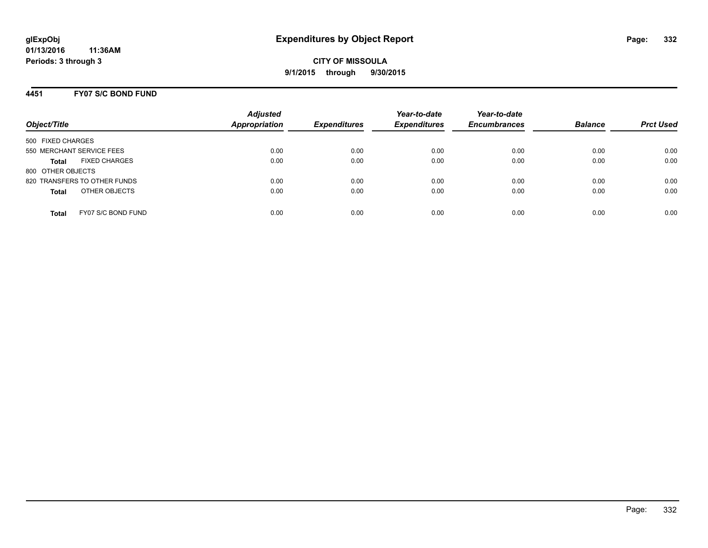**CITY OF MISSOULA 9/1/2015 through 9/30/2015**

### **4451 FY07 S/C BOND FUND**

| Object/Title                         | <b>Adjusted</b><br><b>Appropriation</b> | <b>Expenditures</b> | Year-to-date<br><b>Expenditures</b> | Year-to-date<br><b>Encumbrances</b> | <b>Balance</b> | <b>Prct Used</b> |
|--------------------------------------|-----------------------------------------|---------------------|-------------------------------------|-------------------------------------|----------------|------------------|
| 500 FIXED CHARGES                    |                                         |                     |                                     |                                     |                |                  |
| 550 MERCHANT SERVICE FEES            | 0.00                                    | 0.00                | 0.00                                | 0.00                                | 0.00           | 0.00             |
| <b>FIXED CHARGES</b><br><b>Total</b> | 0.00                                    | 0.00                | 0.00                                | 0.00                                | 0.00           | 0.00             |
| 800 OTHER OBJECTS                    |                                         |                     |                                     |                                     |                |                  |
| 820 TRANSFERS TO OTHER FUNDS         | 0.00                                    | 0.00                | 0.00                                | 0.00                                | 0.00           | 0.00             |
| OTHER OBJECTS<br><b>Total</b>        | 0.00                                    | 0.00                | 0.00                                | 0.00                                | 0.00           | 0.00             |
| FY07 S/C BOND FUND<br>Total          | 0.00                                    | 0.00                | 0.00                                | 0.00                                | 0.00           | 0.00             |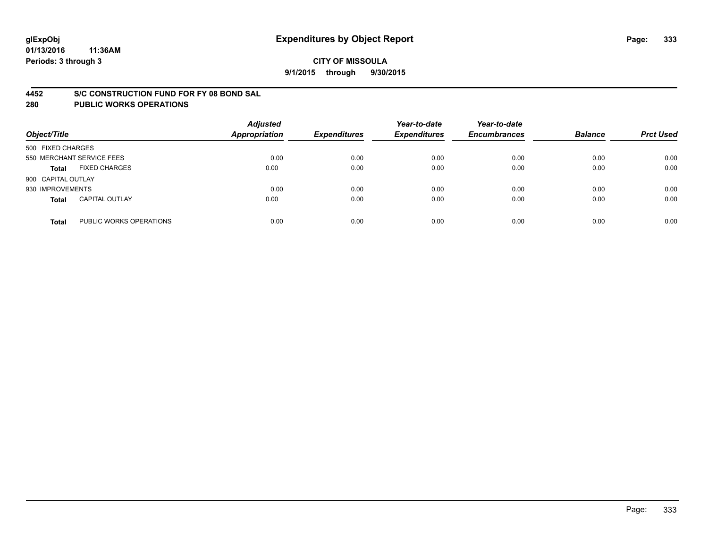#### **4452 S/C CONSTRUCTION FUND FOR FY 08 BOND SAL**

| Object/Title       |                           | <b>Adjusted</b><br><b>Appropriation</b> | <b>Expenditures</b> | Year-to-date<br><b>Expenditures</b> | Year-to-date<br><b>Encumbrances</b> | <b>Balance</b> | <b>Prct Used</b> |
|--------------------|---------------------------|-----------------------------------------|---------------------|-------------------------------------|-------------------------------------|----------------|------------------|
| 500 FIXED CHARGES  |                           |                                         |                     |                                     |                                     |                |                  |
|                    | 550 MERCHANT SERVICE FEES | 0.00                                    | 0.00                | 0.00                                | 0.00                                | 0.00           | 0.00             |
| <b>Total</b>       | <b>FIXED CHARGES</b>      | 0.00                                    | 0.00                | 0.00                                | 0.00                                | 0.00           | 0.00             |
| 900 CAPITAL OUTLAY |                           |                                         |                     |                                     |                                     |                |                  |
| 930 IMPROVEMENTS   |                           | 0.00                                    | 0.00                | 0.00                                | 0.00                                | 0.00           | 0.00             |
| <b>Total</b>       | <b>CAPITAL OUTLAY</b>     | 0.00                                    | 0.00                | 0.00                                | 0.00                                | 0.00           | 0.00             |
| <b>Total</b>       | PUBLIC WORKS OPERATIONS   | 0.00                                    | 0.00                | 0.00                                | 0.00                                | 0.00           | 0.00             |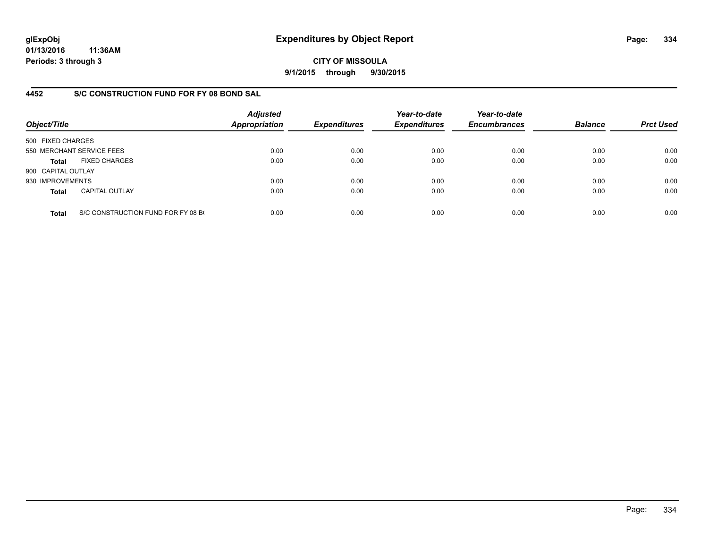**CITY OF MISSOULA 9/1/2015 through 9/30/2015**

### **4452 S/C CONSTRUCTION FUND FOR FY 08 BOND SAL**

| Object/Title       |                                    | <b>Adjusted</b><br>Appropriation | <b>Expenditures</b> | Year-to-date<br><b>Expenditures</b> | Year-to-date<br><b>Encumbrances</b> | <b>Balance</b> | <b>Prct Used</b> |
|--------------------|------------------------------------|----------------------------------|---------------------|-------------------------------------|-------------------------------------|----------------|------------------|
| 500 FIXED CHARGES  |                                    |                                  |                     |                                     |                                     |                |                  |
|                    | 550 MERCHANT SERVICE FEES          | 0.00                             | 0.00                | 0.00                                | 0.00                                | 0.00           | 0.00             |
| <b>Total</b>       | <b>FIXED CHARGES</b>               | 0.00                             | 0.00                | 0.00                                | 0.00                                | 0.00           | 0.00             |
| 900 CAPITAL OUTLAY |                                    |                                  |                     |                                     |                                     |                |                  |
| 930 IMPROVEMENTS   |                                    | 0.00                             | 0.00                | 0.00                                | 0.00                                | 0.00           | 0.00             |
| <b>Total</b>       | <b>CAPITAL OUTLAY</b>              | 0.00                             | 0.00                | 0.00                                | 0.00                                | 0.00           | 0.00             |
| <b>Total</b>       | S/C CONSTRUCTION FUND FOR FY 08 BO | 0.00                             | 0.00                | 0.00                                | 0.00                                | 0.00           | 0.00             |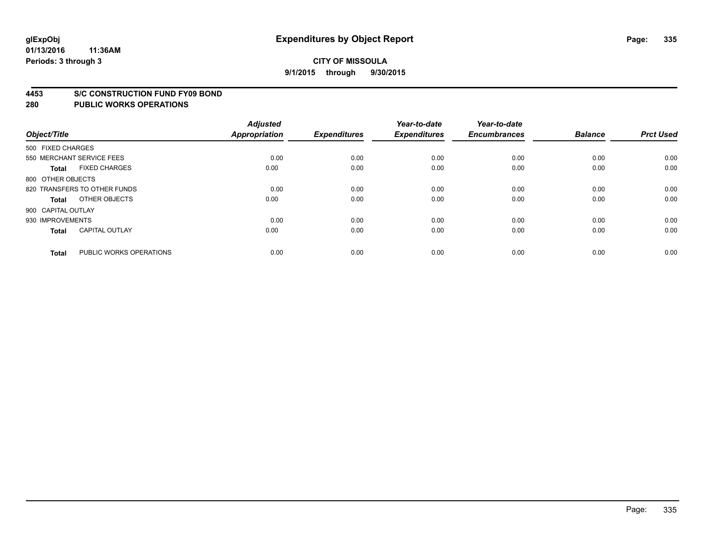#### **4453 S/C CONSTRUCTION FUND FY09 BOND**

| Object/Title       |                              | <b>Adjusted</b><br><b>Appropriation</b> | <b>Expenditures</b> | Year-to-date<br><b>Expenditures</b> | Year-to-date<br><b>Encumbrances</b> | <b>Balance</b> | <b>Prct Used</b> |
|--------------------|------------------------------|-----------------------------------------|---------------------|-------------------------------------|-------------------------------------|----------------|------------------|
| 500 FIXED CHARGES  |                              |                                         |                     |                                     |                                     |                |                  |
|                    | 550 MERCHANT SERVICE FEES    | 0.00                                    | 0.00                | 0.00                                | 0.00                                | 0.00           | 0.00             |
| <b>Total</b>       | <b>FIXED CHARGES</b>         | 0.00                                    | 0.00                | 0.00                                | 0.00                                | 0.00           | 0.00             |
| 800 OTHER OBJECTS  |                              |                                         |                     |                                     |                                     |                |                  |
|                    | 820 TRANSFERS TO OTHER FUNDS | 0.00                                    | 0.00                | 0.00                                | 0.00                                | 0.00           | 0.00             |
| <b>Total</b>       | OTHER OBJECTS                | 0.00                                    | 0.00                | 0.00                                | 0.00                                | 0.00           | 0.00             |
| 900 CAPITAL OUTLAY |                              |                                         |                     |                                     |                                     |                |                  |
| 930 IMPROVEMENTS   |                              | 0.00                                    | 0.00                | 0.00                                | 0.00                                | 0.00           | 0.00             |
| Total              | <b>CAPITAL OUTLAY</b>        | 0.00                                    | 0.00                | 0.00                                | 0.00                                | 0.00           | 0.00             |
| <b>Total</b>       | PUBLIC WORKS OPERATIONS      | 0.00                                    | 0.00                | 0.00                                | 0.00                                | 0.00           | 0.00             |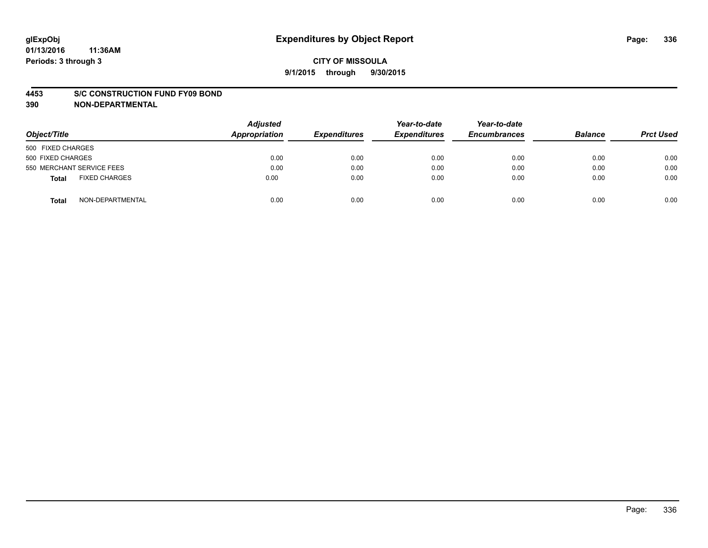#### **4453 S/C CONSTRUCTION FUND FY09 BOND**

**390 NON-DEPARTMENTAL**

| Object/Title                  | <b>Adjusted</b><br>Appropriation | <b>Expenditures</b> | Year-to-date<br><b>Expenditures</b> | Year-to-date<br><b>Encumbrances</b> | <b>Balance</b> | <b>Prct Used</b> |
|-------------------------------|----------------------------------|---------------------|-------------------------------------|-------------------------------------|----------------|------------------|
| 500 FIXED CHARGES             |                                  |                     |                                     |                                     |                |                  |
| 500 FIXED CHARGES             | 0.00                             | 0.00                | 0.00                                | 0.00                                | 0.00           | 0.00             |
| 550 MERCHANT SERVICE FEES     | 0.00                             | 0.00                | 0.00                                | 0.00                                | 0.00           | 0.00             |
| <b>FIXED CHARGES</b><br>Total | 0.00                             | 0.00                | 0.00                                | 0.00                                | 0.00           | 0.00             |
| NON-DEPARTMENTAL<br>Total     | 0.00                             | 0.00                | 0.00                                | 0.00                                | 0.00           | 0.00             |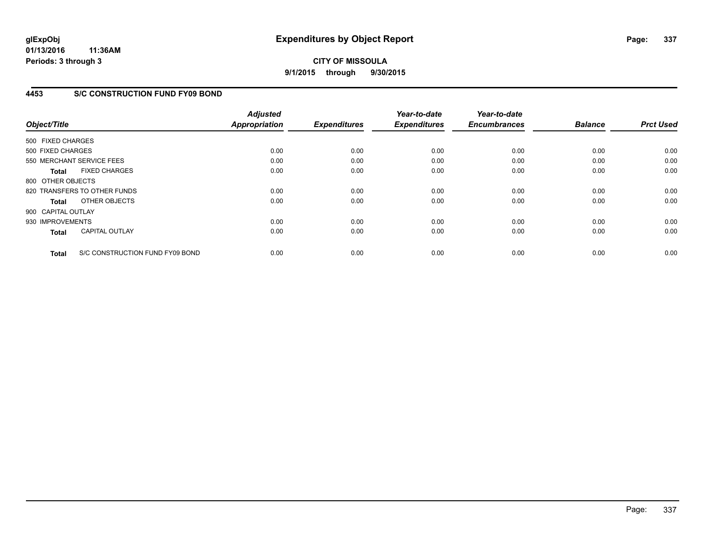# **CITY OF MISSOULA 9/1/2015 through 9/30/2015**

### **4453 S/C CONSTRUCTION FUND FY09 BOND**

| Object/Title       |                                 | <b>Adjusted</b><br><b>Appropriation</b> | <b>Expenditures</b> | Year-to-date<br><b>Expenditures</b> | Year-to-date<br><b>Encumbrances</b> | <b>Balance</b> | <b>Prct Used</b> |
|--------------------|---------------------------------|-----------------------------------------|---------------------|-------------------------------------|-------------------------------------|----------------|------------------|
| 500 FIXED CHARGES  |                                 |                                         |                     |                                     |                                     |                |                  |
| 500 FIXED CHARGES  |                                 | 0.00                                    | 0.00                | 0.00                                | 0.00                                | 0.00           | 0.00             |
|                    | 550 MERCHANT SERVICE FEES       | 0.00                                    | 0.00                | 0.00                                | 0.00                                | 0.00           | 0.00             |
| <b>Total</b>       | <b>FIXED CHARGES</b>            | 0.00                                    | 0.00                | 0.00                                | 0.00                                | 0.00           | 0.00             |
| 800 OTHER OBJECTS  |                                 |                                         |                     |                                     |                                     |                |                  |
|                    | 820 TRANSFERS TO OTHER FUNDS    | 0.00                                    | 0.00                | 0.00                                | 0.00                                | 0.00           | 0.00             |
| Total              | OTHER OBJECTS                   | 0.00                                    | 0.00                | 0.00                                | 0.00                                | 0.00           | 0.00             |
| 900 CAPITAL OUTLAY |                                 |                                         |                     |                                     |                                     |                |                  |
| 930 IMPROVEMENTS   |                                 | 0.00                                    | 0.00                | 0.00                                | 0.00                                | 0.00           | 0.00             |
| <b>Total</b>       | <b>CAPITAL OUTLAY</b>           | 0.00                                    | 0.00                | 0.00                                | 0.00                                | 0.00           | 0.00             |
| <b>Total</b>       | S/C CONSTRUCTION FUND FY09 BOND | 0.00                                    | 0.00                | 0.00                                | 0.00                                | 0.00           | 0.00             |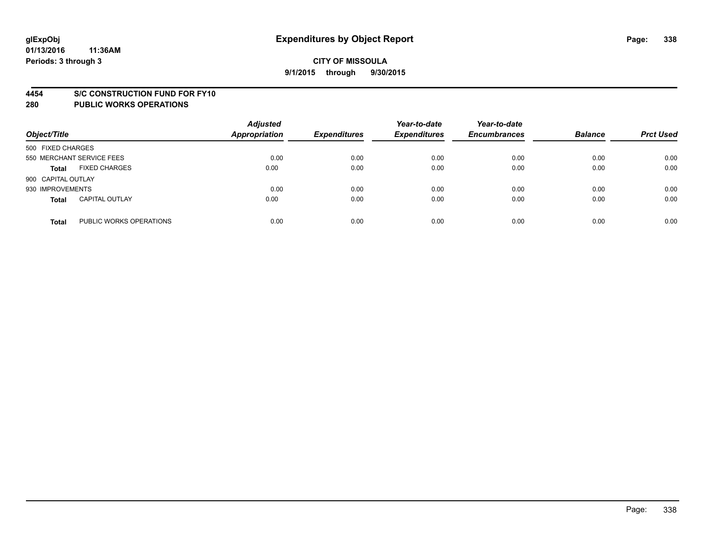#### **4454 S/C CONSTRUCTION FUND FOR FY10**

| Object/Title       |                           | <b>Adjusted</b><br><b>Appropriation</b> | <b>Expenditures</b> | Year-to-date<br><b>Expenditures</b> | Year-to-date<br><b>Encumbrances</b> | <b>Balance</b> | <b>Prct Used</b> |
|--------------------|---------------------------|-----------------------------------------|---------------------|-------------------------------------|-------------------------------------|----------------|------------------|
| 500 FIXED CHARGES  |                           |                                         |                     |                                     |                                     |                |                  |
|                    | 550 MERCHANT SERVICE FEES | 0.00                                    | 0.00                | 0.00                                | 0.00                                | 0.00           | 0.00             |
| <b>Total</b>       | <b>FIXED CHARGES</b>      | 0.00                                    | 0.00                | 0.00                                | 0.00                                | 0.00           | 0.00             |
| 900 CAPITAL OUTLAY |                           |                                         |                     |                                     |                                     |                |                  |
| 930 IMPROVEMENTS   |                           | 0.00                                    | 0.00                | 0.00                                | 0.00                                | 0.00           | 0.00             |
| <b>Total</b>       | <b>CAPITAL OUTLAY</b>     | 0.00                                    | 0.00                | 0.00                                | 0.00                                | 0.00           | 0.00             |
| <b>Total</b>       | PUBLIC WORKS OPERATIONS   | 0.00                                    | 0.00                | 0.00                                | 0.00                                | 0.00           | 0.00             |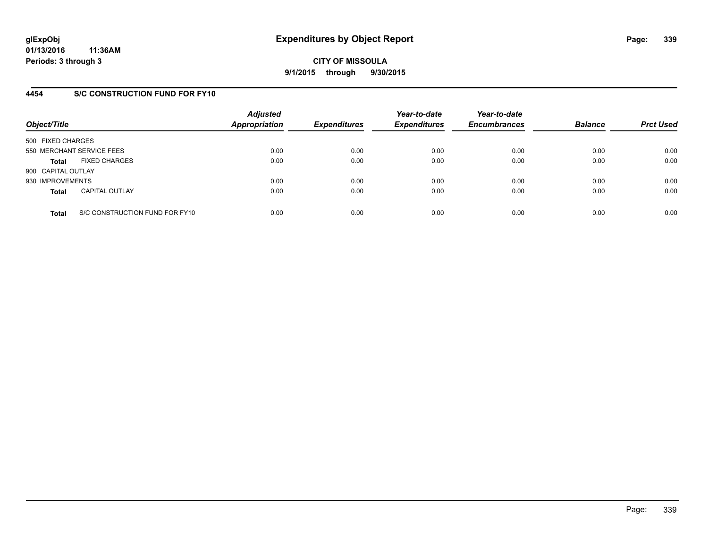### **4454 S/C CONSTRUCTION FUND FOR FY10**

| Object/Title       |                                | <b>Adjusted</b><br><b>Appropriation</b> | <b>Expenditures</b> | Year-to-date<br><b>Expenditures</b> | Year-to-date<br><b>Encumbrances</b> | <b>Balance</b> | <b>Prct Used</b> |
|--------------------|--------------------------------|-----------------------------------------|---------------------|-------------------------------------|-------------------------------------|----------------|------------------|
| 500 FIXED CHARGES  |                                |                                         |                     |                                     |                                     |                |                  |
|                    | 550 MERCHANT SERVICE FEES      | 0.00                                    | 0.00                | 0.00                                | 0.00                                | 0.00           | 0.00             |
| <b>Total</b>       | <b>FIXED CHARGES</b>           | 0.00                                    | 0.00                | 0.00                                | 0.00                                | 0.00           | 0.00             |
| 900 CAPITAL OUTLAY |                                |                                         |                     |                                     |                                     |                |                  |
| 930 IMPROVEMENTS   |                                | 0.00                                    | 0.00                | 0.00                                | 0.00                                | 0.00           | 0.00             |
| <b>Total</b>       | <b>CAPITAL OUTLAY</b>          | 0.00                                    | 0.00                | 0.00                                | 0.00                                | 0.00           | 0.00             |
| <b>Total</b>       | S/C CONSTRUCTION FUND FOR FY10 | 0.00                                    | 0.00                | 0.00                                | 0.00                                | 0.00           | 0.00             |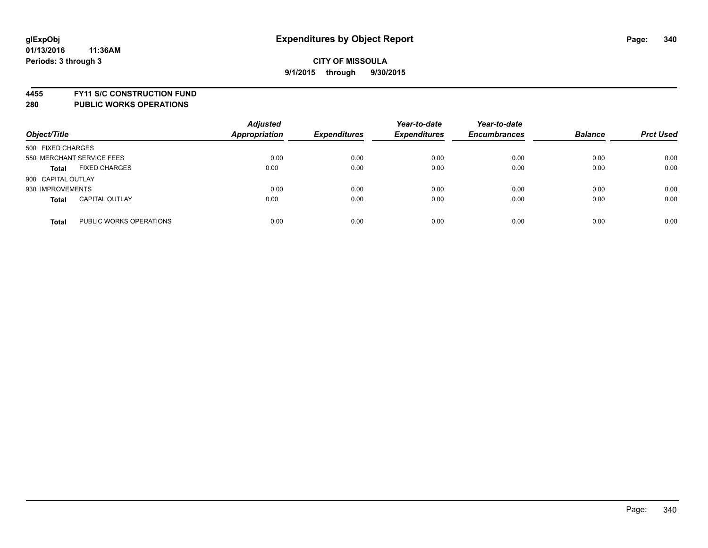**4455 FY11 S/C CONSTRUCTION FUND**

| Object/Title                            | <b>Adjusted</b><br><b>Appropriation</b> | <b>Expenditures</b> | Year-to-date<br><b>Expenditures</b> | Year-to-date<br><b>Encumbrances</b> | <b>Balance</b> | <b>Prct Used</b> |
|-----------------------------------------|-----------------------------------------|---------------------|-------------------------------------|-------------------------------------|----------------|------------------|
| 500 FIXED CHARGES                       |                                         |                     |                                     |                                     |                |                  |
| 550 MERCHANT SERVICE FEES               | 0.00                                    | 0.00                | 0.00                                | 0.00                                | 0.00           | 0.00             |
| <b>FIXED CHARGES</b><br><b>Total</b>    | 0.00                                    | 0.00                | 0.00                                | 0.00                                | 0.00           | 0.00             |
| 900 CAPITAL OUTLAY                      |                                         |                     |                                     |                                     |                |                  |
| 930 IMPROVEMENTS                        | 0.00                                    | 0.00                | 0.00                                | 0.00                                | 0.00           | 0.00             |
| <b>CAPITAL OUTLAY</b><br><b>Total</b>   | 0.00                                    | 0.00                | 0.00                                | 0.00                                | 0.00           | 0.00             |
| PUBLIC WORKS OPERATIONS<br><b>Total</b> | 0.00                                    | 0.00                | 0.00                                | 0.00                                | 0.00           | 0.00             |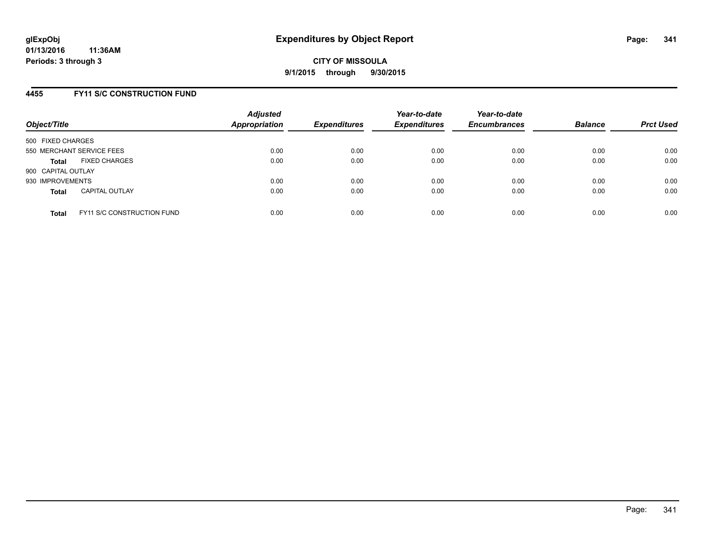### **4455 FY11 S/C CONSTRUCTION FUND**

| Object/Title       |                                   | <b>Adjusted</b><br><b>Appropriation</b> | <b>Expenditures</b> | Year-to-date<br><b>Expenditures</b> | Year-to-date<br><b>Encumbrances</b> | <b>Balance</b> | <b>Prct Used</b> |
|--------------------|-----------------------------------|-----------------------------------------|---------------------|-------------------------------------|-------------------------------------|----------------|------------------|
| 500 FIXED CHARGES  |                                   |                                         |                     |                                     |                                     |                |                  |
|                    | 550 MERCHANT SERVICE FEES         | 0.00                                    | 0.00                | 0.00                                | 0.00                                | 0.00           | 0.00             |
| <b>Total</b>       | <b>FIXED CHARGES</b>              | 0.00                                    | 0.00                | 0.00                                | 0.00                                | 0.00           | 0.00             |
| 900 CAPITAL OUTLAY |                                   |                                         |                     |                                     |                                     |                |                  |
| 930 IMPROVEMENTS   |                                   | 0.00                                    | 0.00                | 0.00                                | 0.00                                | 0.00           | 0.00             |
| <b>Total</b>       | <b>CAPITAL OUTLAY</b>             | 0.00                                    | 0.00                | 0.00                                | 0.00                                | 0.00           | 0.00             |
| <b>Total</b>       | <b>FY11 S/C CONSTRUCTION FUND</b> | 0.00                                    | 0.00                | 0.00                                | 0.00                                | 0.00           | 0.00             |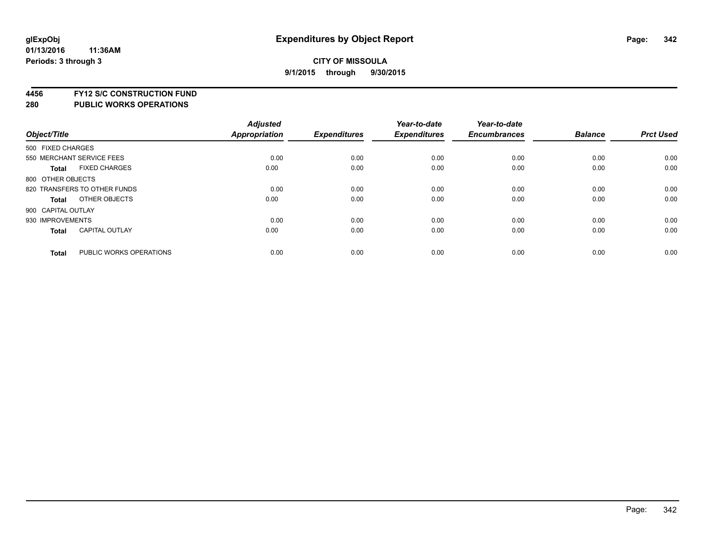**4456 FY12 S/C CONSTRUCTION FUND**

|                    |                              | <b>Adjusted</b> |                     | Year-to-date        | Year-to-date        |                |                  |
|--------------------|------------------------------|-----------------|---------------------|---------------------|---------------------|----------------|------------------|
| Object/Title       |                              | Appropriation   | <b>Expenditures</b> | <b>Expenditures</b> | <b>Encumbrances</b> | <b>Balance</b> | <b>Prct Used</b> |
| 500 FIXED CHARGES  |                              |                 |                     |                     |                     |                |                  |
|                    | 550 MERCHANT SERVICE FEES    | 0.00            | 0.00                | 0.00                | 0.00                | 0.00           | 0.00             |
| <b>Total</b>       | <b>FIXED CHARGES</b>         | 0.00            | 0.00                | 0.00                | 0.00                | 0.00           | 0.00             |
| 800 OTHER OBJECTS  |                              |                 |                     |                     |                     |                |                  |
|                    | 820 TRANSFERS TO OTHER FUNDS | 0.00            | 0.00                | 0.00                | 0.00                | 0.00           | 0.00             |
| Total              | OTHER OBJECTS                | 0.00            | 0.00                | 0.00                | 0.00                | 0.00           | 0.00             |
| 900 CAPITAL OUTLAY |                              |                 |                     |                     |                     |                |                  |
| 930 IMPROVEMENTS   |                              | 0.00            | 0.00                | 0.00                | 0.00                | 0.00           | 0.00             |
| Total              | <b>CAPITAL OUTLAY</b>        | 0.00            | 0.00                | 0.00                | 0.00                | 0.00           | 0.00             |
| <b>Total</b>       | PUBLIC WORKS OPERATIONS      | 0.00            | 0.00                | 0.00                | 0.00                | 0.00           | 0.00             |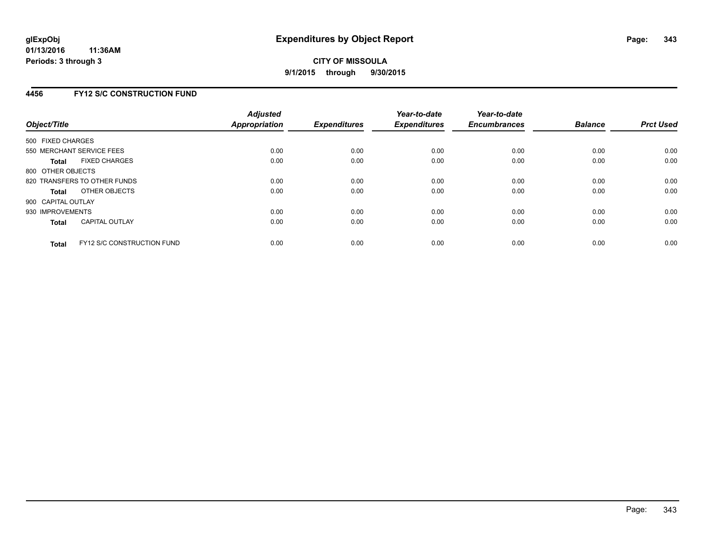### **4456 FY12 S/C CONSTRUCTION FUND**

| Object/Title       |                                   | <b>Adjusted</b><br><b>Appropriation</b> | <b>Expenditures</b> | Year-to-date<br><b>Expenditures</b> | Year-to-date<br><b>Encumbrances</b> | <b>Balance</b> | <b>Prct Used</b> |
|--------------------|-----------------------------------|-----------------------------------------|---------------------|-------------------------------------|-------------------------------------|----------------|------------------|
| 500 FIXED CHARGES  |                                   |                                         |                     |                                     |                                     |                |                  |
|                    | 550 MERCHANT SERVICE FEES         | 0.00                                    | 0.00                | 0.00                                | 0.00                                | 0.00           | 0.00             |
| <b>Total</b>       | <b>FIXED CHARGES</b>              | 0.00                                    | 0.00                | 0.00                                | 0.00                                | 0.00           | 0.00             |
| 800 OTHER OBJECTS  |                                   |                                         |                     |                                     |                                     |                |                  |
|                    | 820 TRANSFERS TO OTHER FUNDS      | 0.00                                    | 0.00                | 0.00                                | 0.00                                | 0.00           | 0.00             |
| <b>Total</b>       | OTHER OBJECTS                     | 0.00                                    | 0.00                | 0.00                                | 0.00                                | 0.00           | 0.00             |
| 900 CAPITAL OUTLAY |                                   |                                         |                     |                                     |                                     |                |                  |
| 930 IMPROVEMENTS   |                                   | 0.00                                    | 0.00                | 0.00                                | 0.00                                | 0.00           | 0.00             |
| Total              | <b>CAPITAL OUTLAY</b>             | 0.00                                    | 0.00                | 0.00                                | 0.00                                | 0.00           | 0.00             |
| <b>Total</b>       | <b>FY12 S/C CONSTRUCTION FUND</b> | 0.00                                    | 0.00                | 0.00                                | 0.00                                | 0.00           | 0.00             |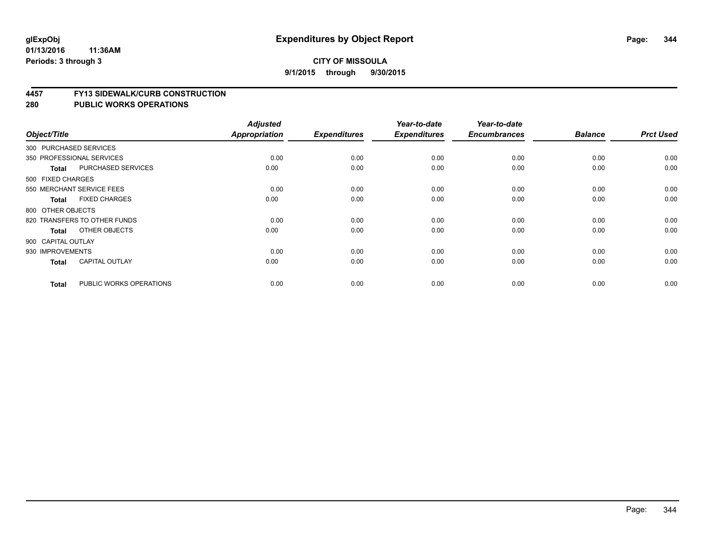### **CITY OF MISSOULA 9/1/2015 through 9/30/2015**

#### **4457 FY13 SIDEWALK/CURB CONSTRUCTION**

|                    |                              | <b>Adjusted</b> |                     | Year-to-date        | Year-to-date        |                |                  |
|--------------------|------------------------------|-----------------|---------------------|---------------------|---------------------|----------------|------------------|
| Object/Title       |                              | Appropriation   | <b>Expenditures</b> | <b>Expenditures</b> | <b>Encumbrances</b> | <b>Balance</b> | <b>Prct Used</b> |
|                    | 300 PURCHASED SERVICES       |                 |                     |                     |                     |                |                  |
|                    | 350 PROFESSIONAL SERVICES    | 0.00            | 0.00                | 0.00                | 0.00                | 0.00           | 0.00             |
| <b>Total</b>       | PURCHASED SERVICES           | 0.00            | 0.00                | 0.00                | 0.00                | 0.00           | 0.00             |
| 500 FIXED CHARGES  |                              |                 |                     |                     |                     |                |                  |
|                    | 550 MERCHANT SERVICE FEES    | 0.00            | 0.00                | 0.00                | 0.00                | 0.00           | 0.00             |
| <b>Total</b>       | <b>FIXED CHARGES</b>         | 0.00            | 0.00                | 0.00                | 0.00                | 0.00           | 0.00             |
| 800 OTHER OBJECTS  |                              |                 |                     |                     |                     |                |                  |
|                    | 820 TRANSFERS TO OTHER FUNDS | 0.00            | 0.00                | 0.00                | 0.00                | 0.00           | 0.00             |
| <b>Total</b>       | OTHER OBJECTS                | 0.00            | 0.00                | 0.00                | 0.00                | 0.00           | 0.00             |
| 900 CAPITAL OUTLAY |                              |                 |                     |                     |                     |                |                  |
| 930 IMPROVEMENTS   |                              | 0.00            | 0.00                | 0.00                | 0.00                | 0.00           | 0.00             |
| <b>Total</b>       | <b>CAPITAL OUTLAY</b>        | 0.00            | 0.00                | 0.00                | 0.00                | 0.00           | 0.00             |
| <b>Total</b>       | PUBLIC WORKS OPERATIONS      | 0.00            | 0.00                | 0.00                | 0.00                | 0.00           | 0.00             |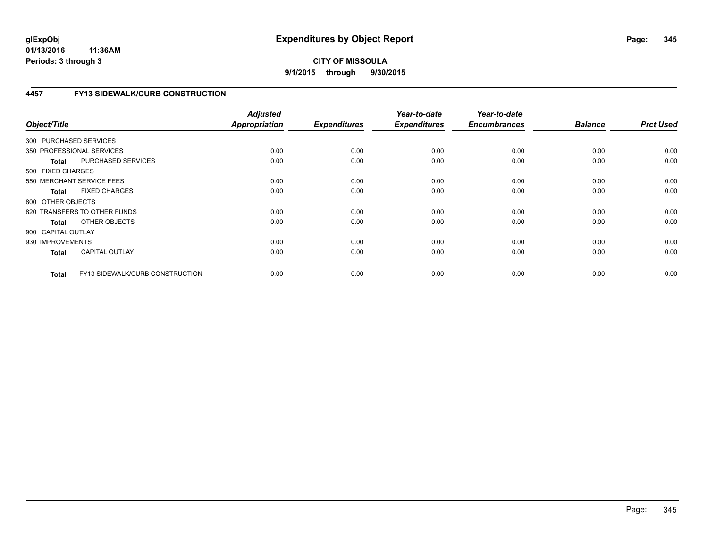# **CITY OF MISSOULA 9/1/2015 through 9/30/2015**

# **4457 FY13 SIDEWALK/CURB CONSTRUCTION**

| Object/Title           |                                 | <b>Adjusted</b><br><b>Appropriation</b> | <b>Expenditures</b> | Year-to-date<br><b>Expenditures</b> | Year-to-date<br><b>Encumbrances</b> | <b>Balance</b> | <b>Prct Used</b> |
|------------------------|---------------------------------|-----------------------------------------|---------------------|-------------------------------------|-------------------------------------|----------------|------------------|
| 300 PURCHASED SERVICES |                                 |                                         |                     |                                     |                                     |                |                  |
|                        | 350 PROFESSIONAL SERVICES       | 0.00                                    | 0.00                | 0.00                                | 0.00                                | 0.00           | 0.00             |
| <b>Total</b>           | PURCHASED SERVICES              | 0.00                                    | 0.00                | 0.00                                | 0.00                                | 0.00           | 0.00             |
| 500 FIXED CHARGES      |                                 |                                         |                     |                                     |                                     |                |                  |
|                        | 550 MERCHANT SERVICE FEES       | 0.00                                    | 0.00                | 0.00                                | 0.00                                | 0.00           | 0.00             |
| <b>Total</b>           | <b>FIXED CHARGES</b>            | 0.00                                    | 0.00                | 0.00                                | 0.00                                | 0.00           | 0.00             |
| 800 OTHER OBJECTS      |                                 |                                         |                     |                                     |                                     |                |                  |
|                        | 820 TRANSFERS TO OTHER FUNDS    | 0.00                                    | 0.00                | 0.00                                | 0.00                                | 0.00           | 0.00             |
| Total                  | OTHER OBJECTS                   | 0.00                                    | 0.00                | 0.00                                | 0.00                                | 0.00           | 0.00             |
| 900 CAPITAL OUTLAY     |                                 |                                         |                     |                                     |                                     |                |                  |
| 930 IMPROVEMENTS       |                                 | 0.00                                    | 0.00                | 0.00                                | 0.00                                | 0.00           | 0.00             |
| <b>Total</b>           | <b>CAPITAL OUTLAY</b>           | 0.00                                    | 0.00                | 0.00                                | 0.00                                | 0.00           | 0.00             |
| <b>Total</b>           | FY13 SIDEWALK/CURB CONSTRUCTION | 0.00                                    | 0.00                | 0.00                                | 0.00                                | 0.00           | 0.00             |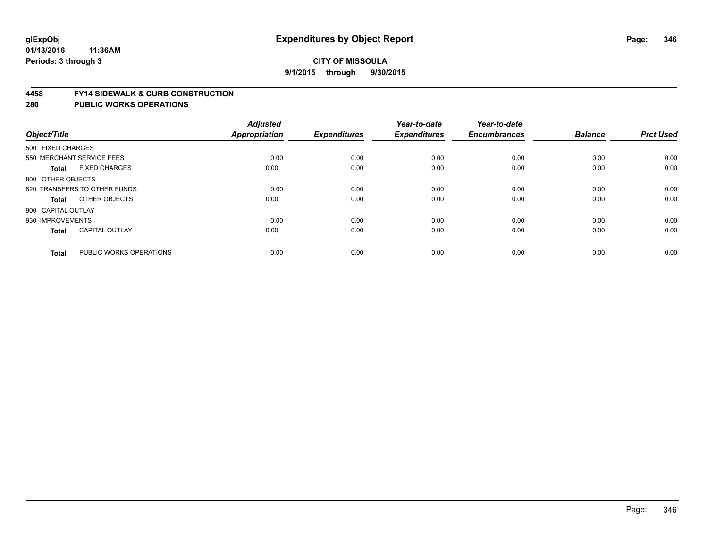#### **4458 FY14 SIDEWALK & CURB CONSTRUCTION**

| Object/Title              |                              | <b>Adjusted</b><br>Appropriation | <b>Expenditures</b> | Year-to-date<br><b>Expenditures</b> | Year-to-date<br><b>Encumbrances</b> | <b>Balance</b> | <b>Prct Used</b> |
|---------------------------|------------------------------|----------------------------------|---------------------|-------------------------------------|-------------------------------------|----------------|------------------|
| 500 FIXED CHARGES         |                              |                                  |                     |                                     |                                     |                |                  |
| 550 MERCHANT SERVICE FEES |                              | 0.00                             | 0.00                | 0.00                                | 0.00                                | 0.00           | 0.00             |
| <b>Total</b>              | <b>FIXED CHARGES</b>         | 0.00                             | 0.00                | 0.00                                | 0.00                                | 0.00           | 0.00             |
| 800 OTHER OBJECTS         |                              |                                  |                     |                                     |                                     |                |                  |
|                           | 820 TRANSFERS TO OTHER FUNDS | 0.00                             | 0.00                | 0.00                                | 0.00                                | 0.00           | 0.00             |
| Total                     | OTHER OBJECTS                | 0.00                             | 0.00                | 0.00                                | 0.00                                | 0.00           | 0.00             |
| 900 CAPITAL OUTLAY        |                              |                                  |                     |                                     |                                     |                |                  |
| 930 IMPROVEMENTS          |                              | 0.00                             | 0.00                | 0.00                                | 0.00                                | 0.00           | 0.00             |
| Total                     | <b>CAPITAL OUTLAY</b>        | 0.00                             | 0.00                | 0.00                                | 0.00                                | 0.00           | 0.00             |
|                           |                              |                                  |                     |                                     |                                     |                |                  |
| <b>Total</b>              | PUBLIC WORKS OPERATIONS      | 0.00                             | 0.00                | 0.00                                | 0.00                                | 0.00           | 0.00             |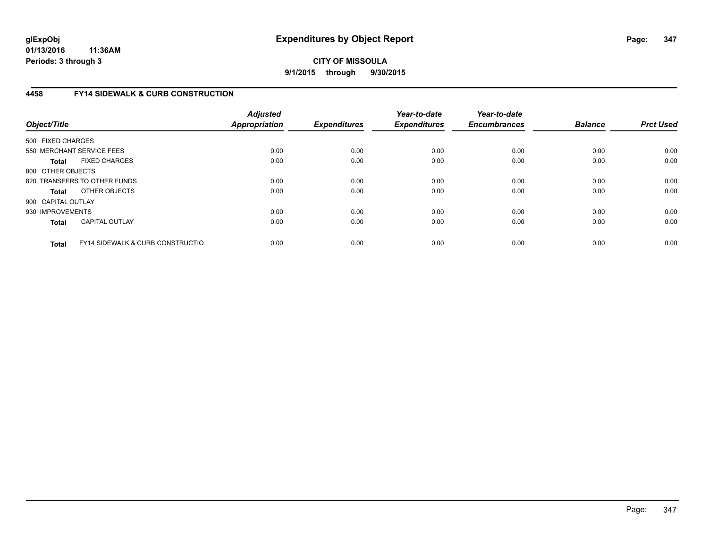# **CITY OF MISSOULA 9/1/2015 through 9/30/2015**

# **4458 FY14 SIDEWALK & CURB CONSTRUCTION**

| Object/Title       |                                              | <b>Adjusted</b><br>Appropriation | <b>Expenditures</b> | Year-to-date<br><b>Expenditures</b> | Year-to-date<br><b>Encumbrances</b> | <b>Balance</b> | <b>Prct Used</b> |
|--------------------|----------------------------------------------|----------------------------------|---------------------|-------------------------------------|-------------------------------------|----------------|------------------|
| 500 FIXED CHARGES  |                                              |                                  |                     |                                     |                                     |                |                  |
|                    | 550 MERCHANT SERVICE FEES                    | 0.00                             | 0.00                | 0.00                                | 0.00                                | 0.00           | 0.00             |
| <b>Total</b>       | <b>FIXED CHARGES</b>                         | 0.00                             | 0.00                | 0.00                                | 0.00                                | 0.00           | 0.00             |
| 800 OTHER OBJECTS  |                                              |                                  |                     |                                     |                                     |                |                  |
|                    | 820 TRANSFERS TO OTHER FUNDS                 | 0.00                             | 0.00                | 0.00                                | 0.00                                | 0.00           | 0.00             |
| <b>Total</b>       | OTHER OBJECTS                                | 0.00                             | 0.00                | 0.00                                | 0.00                                | 0.00           | 0.00             |
| 900 CAPITAL OUTLAY |                                              |                                  |                     |                                     |                                     |                |                  |
| 930 IMPROVEMENTS   |                                              | 0.00                             | 0.00                | 0.00                                | 0.00                                | 0.00           | 0.00             |
| <b>Total</b>       | <b>CAPITAL OUTLAY</b>                        | 0.00                             | 0.00                | 0.00                                | 0.00                                | 0.00           | 0.00             |
| <b>Total</b>       | <b>FY14 SIDEWALK &amp; CURB CONSTRUCTIOL</b> | 0.00                             | 0.00                | 0.00                                | 0.00                                | 0.00           | 0.00             |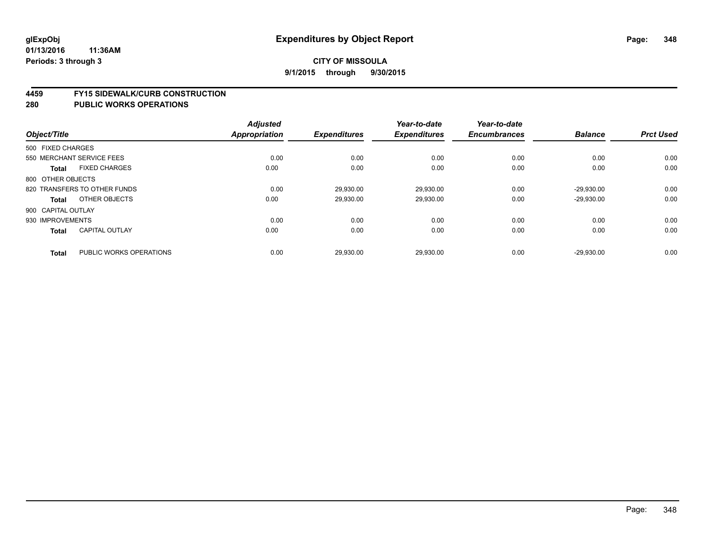#### **4459 FY15 SIDEWALK/CURB CONSTRUCTION**

|                    |                              | <b>Adjusted</b> |                     | Year-to-date        | Year-to-date        |                |                  |
|--------------------|------------------------------|-----------------|---------------------|---------------------|---------------------|----------------|------------------|
| Object/Title       |                              | Appropriation   | <b>Expenditures</b> | <b>Expenditures</b> | <b>Encumbrances</b> | <b>Balance</b> | <b>Prct Used</b> |
| 500 FIXED CHARGES  |                              |                 |                     |                     |                     |                |                  |
|                    | 550 MERCHANT SERVICE FEES    | 0.00            | 0.00                | 0.00                | 0.00                | 0.00           | 0.00             |
| <b>Total</b>       | <b>FIXED CHARGES</b>         | 0.00            | 0.00                | 0.00                | 0.00                | 0.00           | 0.00             |
| 800 OTHER OBJECTS  |                              |                 |                     |                     |                     |                |                  |
|                    | 820 TRANSFERS TO OTHER FUNDS | 0.00            | 29,930.00           | 29.930.00           | 0.00                | $-29.930.00$   | 0.00             |
| Total              | OTHER OBJECTS                | 0.00            | 29,930.00           | 29,930.00           | 0.00                | $-29,930.00$   | 0.00             |
| 900 CAPITAL OUTLAY |                              |                 |                     |                     |                     |                |                  |
| 930 IMPROVEMENTS   |                              | 0.00            | 0.00                | 0.00                | 0.00                | 0.00           | 0.00             |
| <b>Total</b>       | <b>CAPITAL OUTLAY</b>        | 0.00            | 0.00                | 0.00                | 0.00                | 0.00           | 0.00             |
| <b>Total</b>       | PUBLIC WORKS OPERATIONS      | 0.00            | 29,930.00           | 29,930.00           | 0.00                | $-29,930.00$   | 0.00             |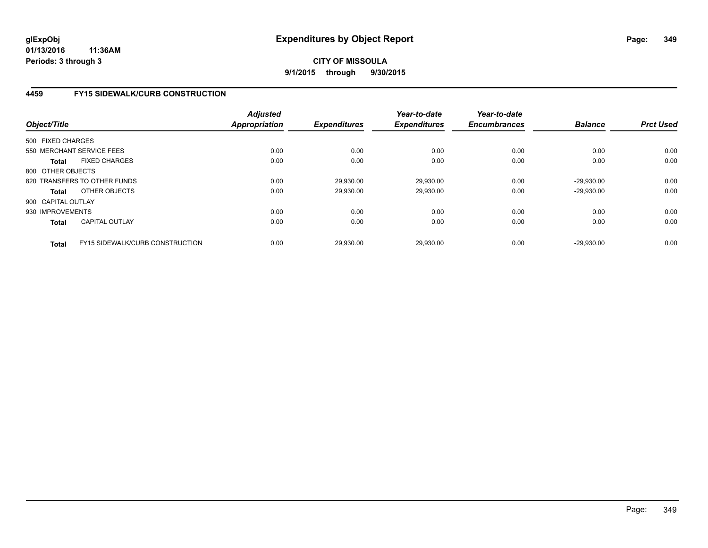### **CITY OF MISSOULA 9/1/2015 through 9/30/2015**

# **4459 FY15 SIDEWALK/CURB CONSTRUCTION**

| Object/Title       |                                 | <b>Adjusted</b><br><b>Appropriation</b> | <b>Expenditures</b> | Year-to-date<br><b>Expenditures</b> | Year-to-date<br><b>Encumbrances</b> | <b>Balance</b> | <b>Prct Used</b> |
|--------------------|---------------------------------|-----------------------------------------|---------------------|-------------------------------------|-------------------------------------|----------------|------------------|
| 500 FIXED CHARGES  |                                 |                                         |                     |                                     |                                     |                |                  |
|                    | 550 MERCHANT SERVICE FEES       | 0.00                                    | 0.00                | 0.00                                | 0.00                                | 0.00           | 0.00             |
| Total              | <b>FIXED CHARGES</b>            | 0.00                                    | 0.00                | 0.00                                | 0.00                                | 0.00           | 0.00             |
| 800 OTHER OBJECTS  |                                 |                                         |                     |                                     |                                     |                |                  |
|                    | 820 TRANSFERS TO OTHER FUNDS    | 0.00                                    | 29,930.00           | 29,930.00                           | 0.00                                | $-29.930.00$   | 0.00             |
| Total              | OTHER OBJECTS                   | 0.00                                    | 29,930.00           | 29,930.00                           | 0.00                                | $-29.930.00$   | 0.00             |
| 900 CAPITAL OUTLAY |                                 |                                         |                     |                                     |                                     |                |                  |
| 930 IMPROVEMENTS   |                                 | 0.00                                    | 0.00                | 0.00                                | 0.00                                | 0.00           | 0.00             |
| <b>Total</b>       | <b>CAPITAL OUTLAY</b>           | 0.00                                    | 0.00                | 0.00                                | 0.00                                | 0.00           | 0.00             |
| <b>Total</b>       | FY15 SIDEWALK/CURB CONSTRUCTION | 0.00                                    | 29,930.00           | 29.930.00                           | 0.00                                | $-29.930.00$   | 0.00             |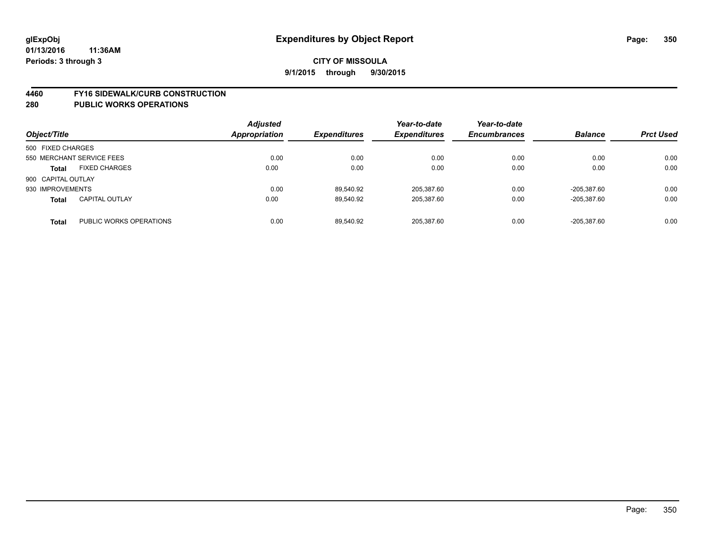#### **4460 FY16 SIDEWALK/CURB CONSTRUCTION**

| Object/Title       |                           | <b>Adjusted</b><br><b>Appropriation</b> | <b>Expenditures</b> | Year-to-date<br><b>Expenditures</b> | Year-to-date<br><b>Encumbrances</b> | <b>Balance</b> | <b>Prct Used</b> |
|--------------------|---------------------------|-----------------------------------------|---------------------|-------------------------------------|-------------------------------------|----------------|------------------|
| 500 FIXED CHARGES  |                           |                                         |                     |                                     |                                     |                |                  |
|                    | 550 MERCHANT SERVICE FEES | 0.00                                    | 0.00                | 0.00                                | 0.00                                | 0.00           | 0.00             |
| <b>Total</b>       | <b>FIXED CHARGES</b>      | 0.00                                    | 0.00                | 0.00                                | 0.00                                | 0.00           | 0.00             |
| 900 CAPITAL OUTLAY |                           |                                         |                     |                                     |                                     |                |                  |
| 930 IMPROVEMENTS   |                           | 0.00                                    | 89.540.92           | 205,387.60                          | 0.00                                | -205.387.60    | 0.00             |
| <b>Total</b>       | <b>CAPITAL OUTLAY</b>     | 0.00                                    | 89.540.92           | 205.387.60                          | 0.00                                | -205.387.60    | 0.00             |
| <b>Total</b>       | PUBLIC WORKS OPERATIONS   | 0.00                                    | 89.540.92           | 205.387.60                          | 0.00                                | -205.387.60    | 0.00             |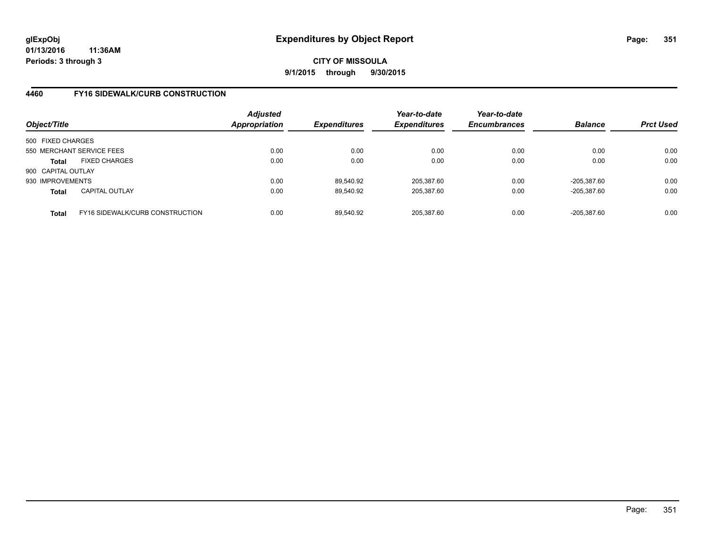# **CITY OF MISSOULA 9/1/2015 through 9/30/2015**

# **4460 FY16 SIDEWALK/CURB CONSTRUCTION**

| Object/Title       |                                        | <b>Adjusted</b><br>Appropriation | <b>Expenditures</b> | Year-to-date<br><b>Expenditures</b> | Year-to-date<br><b>Encumbrances</b> | <b>Balance</b> | <b>Prct Used</b> |
|--------------------|----------------------------------------|----------------------------------|---------------------|-------------------------------------|-------------------------------------|----------------|------------------|
| 500 FIXED CHARGES  |                                        |                                  |                     |                                     |                                     |                |                  |
|                    | 550 MERCHANT SERVICE FEES              | 0.00                             | 0.00                | 0.00                                | 0.00                                | 0.00           | 0.00             |
| Total              | <b>FIXED CHARGES</b>                   | 0.00                             | 0.00                | 0.00                                | 0.00                                | 0.00           | 0.00             |
| 900 CAPITAL OUTLAY |                                        |                                  |                     |                                     |                                     |                |                  |
| 930 IMPROVEMENTS   |                                        | 0.00                             | 89.540.92           | 205.387.60                          | 0.00                                | -205.387.60    | 0.00             |
| <b>Total</b>       | <b>CAPITAL OUTLAY</b>                  | 0.00                             | 89,540.92           | 205,387.60                          | 0.00                                | -205,387.60    | 0.00             |
| <b>Total</b>       | <b>FY16 SIDEWALK/CURB CONSTRUCTION</b> | 0.00                             | 89.540.92           | 205.387.60                          | 0.00                                | -205.387.60    | 0.00             |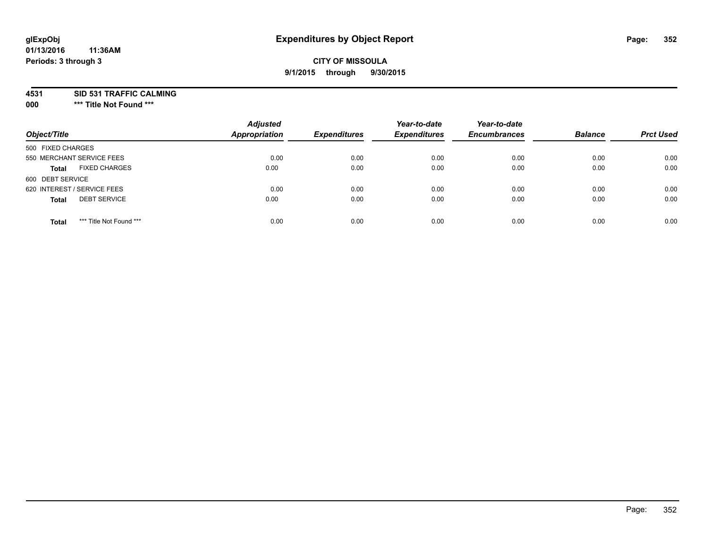# **glExpObj Expenditures by Object Report Page: 352**

# **CITY OF MISSOULA 9/1/2015 through 9/30/2015**

**4531 SID 531 TRAFFIC CALMING**

**000 \*\*\* Title Not Found \*\*\***

| Object/Title                            | <b>Adjusted</b><br><b>Appropriation</b> | <b>Expenditures</b> | Year-to-date<br><b>Expenditures</b> | Year-to-date<br><b>Encumbrances</b> | <b>Balance</b> | <b>Prct Used</b> |
|-----------------------------------------|-----------------------------------------|---------------------|-------------------------------------|-------------------------------------|----------------|------------------|
| 500 FIXED CHARGES                       |                                         |                     |                                     |                                     |                |                  |
| 550 MERCHANT SERVICE FEES               | 0.00                                    | 0.00                | 0.00                                | 0.00                                | 0.00           | 0.00             |
| <b>FIXED CHARGES</b><br><b>Total</b>    | 0.00                                    | 0.00                | 0.00                                | 0.00                                | 0.00           | 0.00             |
| 600 DEBT SERVICE                        |                                         |                     |                                     |                                     |                |                  |
| 620 INTEREST / SERVICE FEES             | 0.00                                    | 0.00                | 0.00                                | 0.00                                | 0.00           | 0.00             |
| <b>DEBT SERVICE</b><br><b>Total</b>     | 0.00                                    | 0.00                | 0.00                                | 0.00                                | 0.00           | 0.00             |
| *** Title Not Found ***<br><b>Total</b> | 0.00                                    | 0.00                | 0.00                                | 0.00                                | 0.00           | 0.00             |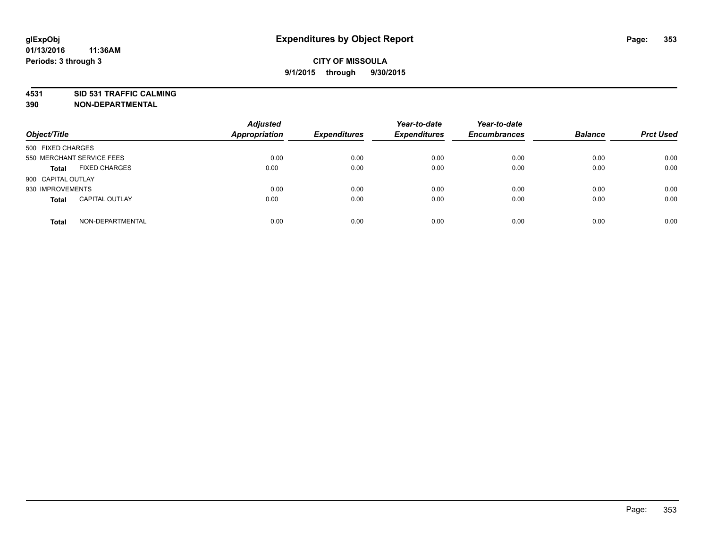**4531 SID 531 TRAFFIC CALMING**

**390 NON-DEPARTMENTAL**

| Object/Title              |                       | <b>Adjusted</b><br><b>Appropriation</b> | <b>Expenditures</b> | Year-to-date<br><b>Expenditures</b> | Year-to-date<br><b>Encumbrances</b> | <b>Balance</b> | <b>Prct Used</b> |
|---------------------------|-----------------------|-----------------------------------------|---------------------|-------------------------------------|-------------------------------------|----------------|------------------|
| 500 FIXED CHARGES         |                       |                                         |                     |                                     |                                     |                |                  |
| 550 MERCHANT SERVICE FEES |                       | 0.00                                    | 0.00                | 0.00                                | 0.00                                | 0.00           | 0.00             |
| <b>Total</b>              | <b>FIXED CHARGES</b>  | 0.00                                    | 0.00                | 0.00                                | 0.00                                | 0.00           | 0.00             |
| 900 CAPITAL OUTLAY        |                       |                                         |                     |                                     |                                     |                |                  |
| 930 IMPROVEMENTS          |                       | 0.00                                    | 0.00                | 0.00                                | 0.00                                | 0.00           | 0.00             |
| <b>Total</b>              | <b>CAPITAL OUTLAY</b> | 0.00                                    | 0.00                | 0.00                                | 0.00                                | 0.00           | 0.00             |
| <b>Total</b>              | NON-DEPARTMENTAL      | 0.00                                    | 0.00                | 0.00                                | 0.00                                | 0.00           | 0.00             |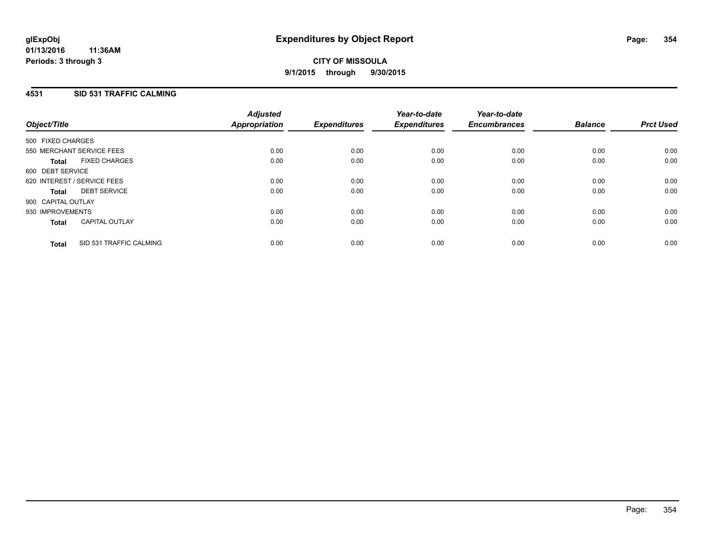# **4531 SID 531 TRAFFIC CALMING**

| Object/Title       |                             | <b>Adjusted</b><br>Appropriation | <b>Expenditures</b> | Year-to-date<br><b>Expenditures</b> | Year-to-date<br><b>Encumbrances</b> | <b>Balance</b> | <b>Prct Used</b> |
|--------------------|-----------------------------|----------------------------------|---------------------|-------------------------------------|-------------------------------------|----------------|------------------|
| 500 FIXED CHARGES  |                             |                                  |                     |                                     |                                     |                |                  |
|                    | 550 MERCHANT SERVICE FEES   | 0.00                             | 0.00                | 0.00                                | 0.00                                | 0.00           | 0.00             |
| <b>Total</b>       | <b>FIXED CHARGES</b>        | 0.00                             | 0.00                | 0.00                                | 0.00                                | 0.00           | 0.00             |
| 600 DEBT SERVICE   |                             |                                  |                     |                                     |                                     |                |                  |
|                    | 620 INTEREST / SERVICE FEES | 0.00                             | 0.00                | 0.00                                | 0.00                                | 0.00           | 0.00             |
| Total              | <b>DEBT SERVICE</b>         | 0.00                             | 0.00                | 0.00                                | 0.00                                | 0.00           | 0.00             |
| 900 CAPITAL OUTLAY |                             |                                  |                     |                                     |                                     |                |                  |
| 930 IMPROVEMENTS   |                             | 0.00                             | 0.00                | 0.00                                | 0.00                                | 0.00           | 0.00             |
| <b>Total</b>       | <b>CAPITAL OUTLAY</b>       | 0.00                             | 0.00                | 0.00                                | 0.00                                | 0.00           | 0.00             |
| <b>Total</b>       | SID 531 TRAFFIC CALMING     | 0.00                             | 0.00                | 0.00                                | 0.00                                | 0.00           | 0.00             |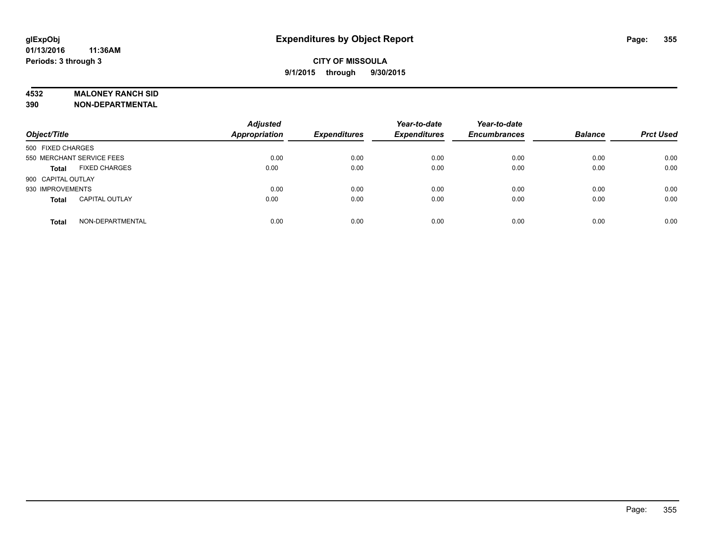#### **4532 MALONEY RANCH SID**

**390 NON-DEPARTMENTAL**

| Object/Title                          | <b>Adjusted</b><br><b>Appropriation</b> | <b>Expenditures</b> | Year-to-date<br><b>Expenditures</b> | Year-to-date<br><b>Encumbrances</b> | <b>Balance</b> | <b>Prct Used</b> |
|---------------------------------------|-----------------------------------------|---------------------|-------------------------------------|-------------------------------------|----------------|------------------|
| 500 FIXED CHARGES                     |                                         |                     |                                     |                                     |                |                  |
| 550 MERCHANT SERVICE FEES             | 0.00                                    | 0.00                | 0.00                                | 0.00                                | 0.00           | 0.00             |
| <b>FIXED CHARGES</b><br><b>Total</b>  | 0.00                                    | 0.00                | 0.00                                | 0.00                                | 0.00           | 0.00             |
| 900 CAPITAL OUTLAY                    |                                         |                     |                                     |                                     |                |                  |
| 930 IMPROVEMENTS                      | 0.00                                    | 0.00                | 0.00                                | 0.00                                | 0.00           | 0.00             |
| <b>CAPITAL OUTLAY</b><br><b>Total</b> | 0.00                                    | 0.00                | 0.00                                | 0.00                                | 0.00           | 0.00             |
| NON-DEPARTMENTAL<br><b>Total</b>      | 0.00                                    | 0.00                | 0.00                                | 0.00                                | 0.00           | 0.00             |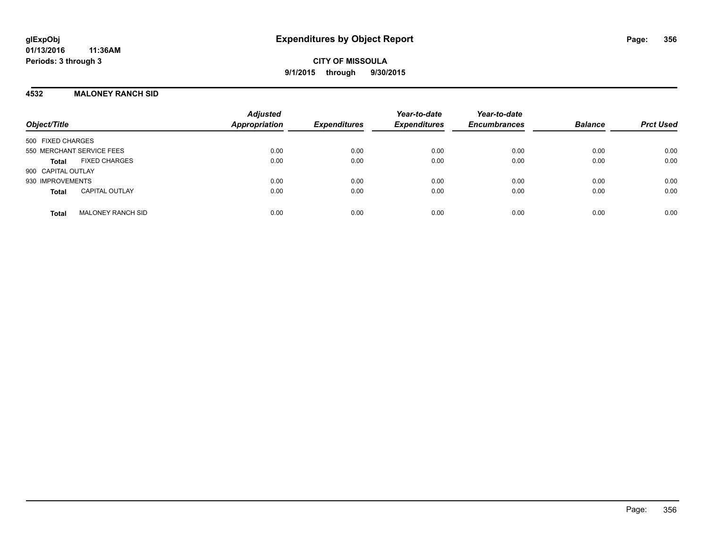### **4532 MALONEY RANCH SID**

| Object/Title                             | <b>Adjusted</b><br>Appropriation | <b>Expenditures</b> | Year-to-date<br><b>Expenditures</b> | Year-to-date<br><b>Encumbrances</b> | <b>Balance</b> | <b>Prct Used</b> |
|------------------------------------------|----------------------------------|---------------------|-------------------------------------|-------------------------------------|----------------|------------------|
| 500 FIXED CHARGES                        |                                  |                     |                                     |                                     |                |                  |
| 550 MERCHANT SERVICE FEES                | 0.00                             | 0.00                | 0.00                                | 0.00                                | 0.00           | 0.00             |
| <b>FIXED CHARGES</b><br><b>Total</b>     | 0.00                             | 0.00                | 0.00                                | 0.00                                | 0.00           | 0.00             |
| 900 CAPITAL OUTLAY                       |                                  |                     |                                     |                                     |                |                  |
| 930 IMPROVEMENTS                         | 0.00                             | 0.00                | 0.00                                | 0.00                                | 0.00           | 0.00             |
| <b>CAPITAL OUTLAY</b><br><b>Total</b>    | 0.00                             | 0.00                | 0.00                                | 0.00                                | 0.00           | 0.00             |
| <b>MALONEY RANCH SID</b><br><b>Total</b> | 0.00                             | 0.00                | 0.00                                | 0.00                                | 0.00           | 0.00             |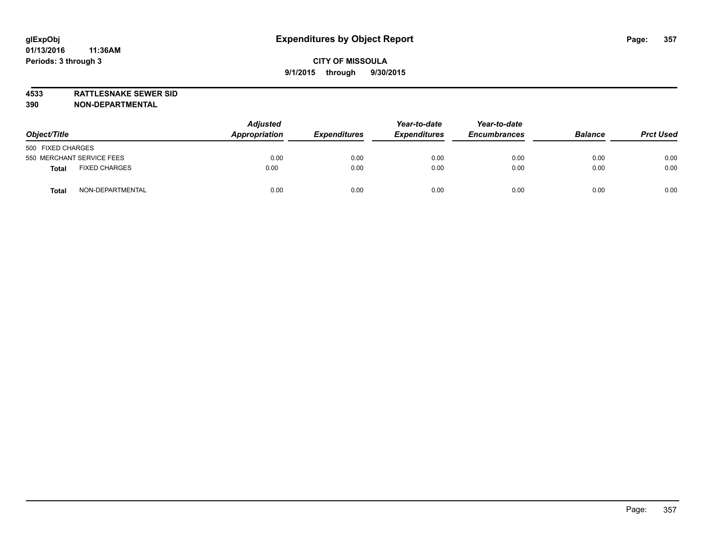**4533 RATTLESNAKE SEWER SID**

**390 NON-DEPARTMENTAL**

| Object/Title                     | <b>Adjusted</b><br>Appropriation | <b>Expenditures</b> | Year-to-date<br><b>Expenditures</b> | Year-to-date<br><b>Encumbrances</b> | <b>Balance</b> | <b>Prct Used</b> |
|----------------------------------|----------------------------------|---------------------|-------------------------------------|-------------------------------------|----------------|------------------|
| 500 FIXED CHARGES                |                                  |                     |                                     |                                     |                |                  |
| 550 MERCHANT SERVICE FEES        | 0.00                             | 0.00                | 0.00                                | 0.00                                | 0.00           | 0.00             |
| <b>FIXED CHARGES</b><br>Total    | 0.00                             | 0.00                | 0.00                                | 0.00                                | 0.00           | 0.00             |
| NON-DEPARTMENTAL<br><b>Total</b> | 0.00                             | 0.00                | 0.00                                | 0.00                                | 0.00           | 0.00             |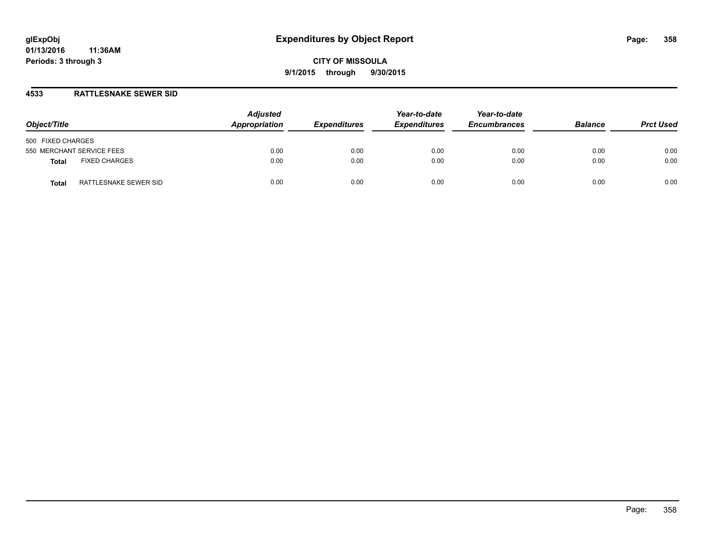#### **4533 RATTLESNAKE SEWER SID**

| Object/Title                          | <b>Adjusted</b><br>Appropriation | <b>Expenditures</b> | Year-to-date<br><b>Expenditures</b> | Year-to-date<br><b>Encumbrances</b> | <b>Balance</b> | <b>Prct Used</b> |
|---------------------------------------|----------------------------------|---------------------|-------------------------------------|-------------------------------------|----------------|------------------|
| 500 FIXED CHARGES                     |                                  |                     |                                     |                                     |                |                  |
| 550 MERCHANT SERVICE FEES             | 0.00                             | 0.00                | 0.00                                | 0.00                                | 0.00           | 0.00             |
| <b>FIXED CHARGES</b><br>Total         | 0.00                             | 0.00                | 0.00                                | 0.00                                | 0.00           | 0.00             |
| RATTLESNAKE SEWER SID<br><b>Total</b> | 0.00                             | 0.00                | 0.00                                | 0.00                                | 0.00           | 0.00             |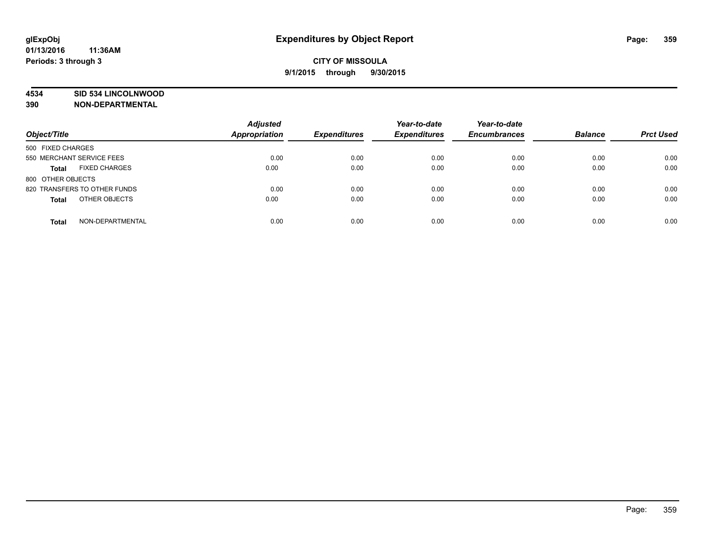#### **4534 SID 534 LINCOLNWOOD**

**390 NON-DEPARTMENTAL**

| Object/Title                         | <b>Adjusted</b><br><b>Appropriation</b> | <b>Expenditures</b> | Year-to-date<br><b>Expenditures</b> | Year-to-date<br><b>Encumbrances</b> | <b>Balance</b> | <b>Prct Used</b> |
|--------------------------------------|-----------------------------------------|---------------------|-------------------------------------|-------------------------------------|----------------|------------------|
|                                      |                                         |                     |                                     |                                     |                |                  |
| 500 FIXED CHARGES                    |                                         |                     |                                     |                                     |                |                  |
| 550 MERCHANT SERVICE FEES            | 0.00                                    | 0.00                | 0.00                                | 0.00                                | 0.00           | 0.00             |
| <b>FIXED CHARGES</b><br><b>Total</b> | 0.00                                    | 0.00                | 0.00                                | 0.00                                | 0.00           | 0.00             |
| 800 OTHER OBJECTS                    |                                         |                     |                                     |                                     |                |                  |
| 820 TRANSFERS TO OTHER FUNDS         | 0.00                                    | 0.00                | 0.00                                | 0.00                                | 0.00           | 0.00             |
| OTHER OBJECTS<br><b>Total</b>        | 0.00                                    | 0.00                | 0.00                                | 0.00                                | 0.00           | 0.00             |
| NON-DEPARTMENTAL<br><b>Total</b>     | 0.00                                    | 0.00                | 0.00                                | 0.00                                | 0.00           | 0.00             |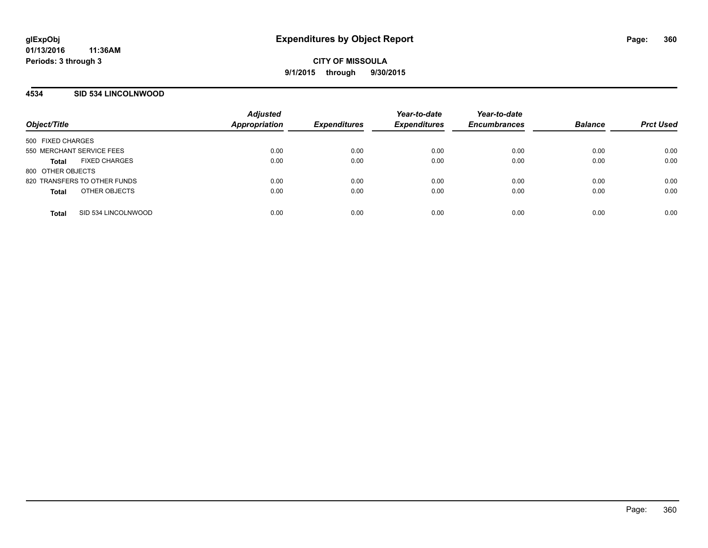#### **4534 SID 534 LINCOLNWOOD**

| Object/Title                         | <b>Adjusted</b><br><b>Appropriation</b> | <b>Expenditures</b> | Year-to-date<br><b>Expenditures</b> | Year-to-date<br><b>Encumbrances</b> | <b>Balance</b> | <b>Prct Used</b> |
|--------------------------------------|-----------------------------------------|---------------------|-------------------------------------|-------------------------------------|----------------|------------------|
|                                      |                                         |                     |                                     |                                     |                |                  |
| 500 FIXED CHARGES                    |                                         |                     |                                     |                                     |                |                  |
| 550 MERCHANT SERVICE FEES            | 0.00                                    | 0.00                | 0.00                                | 0.00                                | 0.00           | 0.00             |
| <b>FIXED CHARGES</b><br><b>Total</b> | 0.00                                    | 0.00                | 0.00                                | 0.00                                | 0.00           | 0.00             |
| 800 OTHER OBJECTS                    |                                         |                     |                                     |                                     |                |                  |
| 820 TRANSFERS TO OTHER FUNDS         | 0.00                                    | 0.00                | 0.00                                | 0.00                                | 0.00           | 0.00             |
| OTHER OBJECTS<br><b>Total</b>        | 0.00                                    | 0.00                | 0.00                                | 0.00                                | 0.00           | 0.00             |
|                                      |                                         |                     |                                     |                                     |                |                  |
| SID 534 LINCOLNWOOD<br><b>Total</b>  | 0.00                                    | 0.00                | 0.00                                | 0.00                                | 0.00           | 0.00             |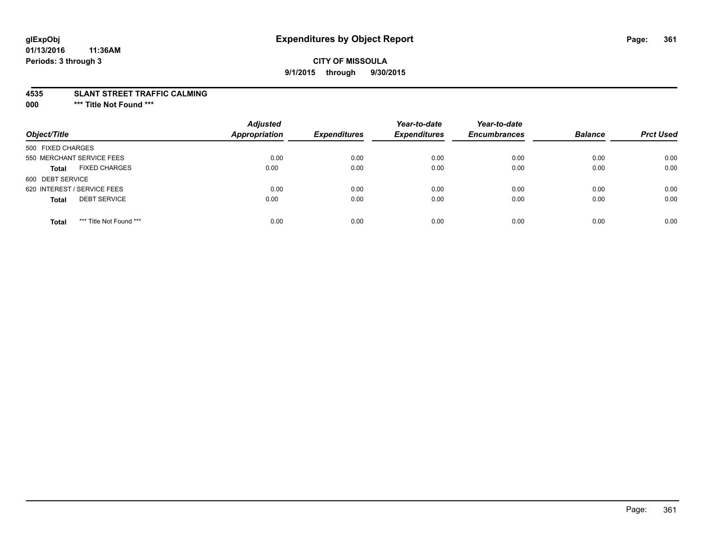# **glExpObj Expenditures by Object Report Page: 361**

#### **01/13/2016 11:36AM Periods: 3 through 3**

### **CITY OF MISSOULA 9/1/2015 through 9/30/2015**

#### **4535 SLANT STREET TRAFFIC CALMING**

**000 \*\*\* Title Not Found \*\*\***

| Object/Title                            | <b>Adjusted</b><br><b>Appropriation</b> | <b>Expenditures</b> | Year-to-date<br><b>Expenditures</b> | Year-to-date<br><b>Encumbrances</b> | <b>Balance</b> | <b>Prct Used</b> |
|-----------------------------------------|-----------------------------------------|---------------------|-------------------------------------|-------------------------------------|----------------|------------------|
| 500 FIXED CHARGES                       |                                         |                     |                                     |                                     |                |                  |
| 550 MERCHANT SERVICE FEES               | 0.00                                    | 0.00                | 0.00                                | 0.00                                | 0.00           | 0.00             |
| <b>FIXED CHARGES</b><br><b>Total</b>    | 0.00                                    | 0.00                | 0.00                                | 0.00                                | 0.00           | 0.00             |
| 600 DEBT SERVICE                        |                                         |                     |                                     |                                     |                |                  |
| 620 INTEREST / SERVICE FEES             | 0.00                                    | 0.00                | 0.00                                | 0.00                                | 0.00           | 0.00             |
| <b>DEBT SERVICE</b><br><b>Total</b>     | 0.00                                    | 0.00                | 0.00                                | 0.00                                | 0.00           | 0.00             |
| *** Title Not Found ***<br><b>Total</b> | 0.00                                    | 0.00                | 0.00                                | 0.00                                | 0.00           | 0.00             |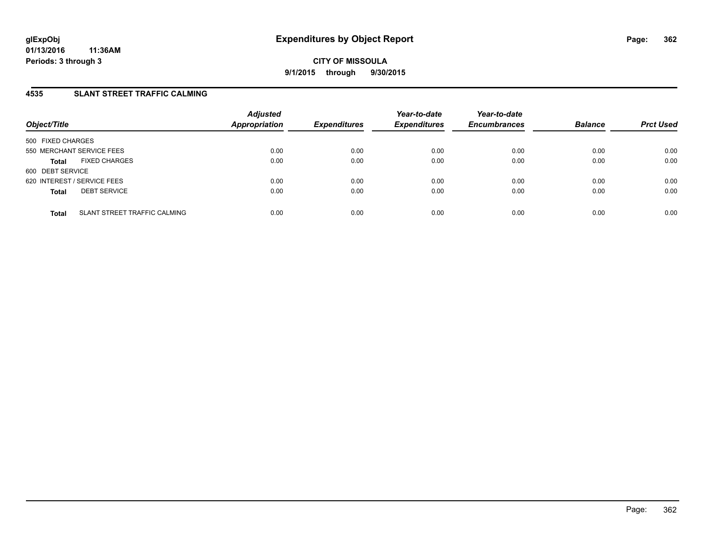## **4535 SLANT STREET TRAFFIC CALMING**

| Object/Title                                 | <b>Adjusted</b><br><b>Appropriation</b> | <b>Expenditures</b> | Year-to-date<br><b>Expenditures</b> | Year-to-date<br><b>Encumbrances</b> | <b>Balance</b> | <b>Prct Used</b> |
|----------------------------------------------|-----------------------------------------|---------------------|-------------------------------------|-------------------------------------|----------------|------------------|
| 500 FIXED CHARGES                            |                                         |                     |                                     |                                     |                |                  |
| 550 MERCHANT SERVICE FEES                    | 0.00                                    | 0.00                | 0.00                                | 0.00                                | 0.00           | 0.00             |
| <b>FIXED CHARGES</b><br><b>Total</b>         | 0.00                                    | 0.00                | 0.00                                | 0.00                                | 0.00           | 0.00             |
| 600 DEBT SERVICE                             |                                         |                     |                                     |                                     |                |                  |
| 620 INTEREST / SERVICE FEES                  | 0.00                                    | 0.00                | 0.00                                | 0.00                                | 0.00           | 0.00             |
| <b>DEBT SERVICE</b><br><b>Total</b>          | 0.00                                    | 0.00                | 0.00                                | 0.00                                | 0.00           | 0.00             |
|                                              |                                         |                     |                                     |                                     |                |                  |
| SLANT STREET TRAFFIC CALMING<br><b>Total</b> | 0.00                                    | 0.00                | 0.00                                | 0.00                                | 0.00           | 0.00             |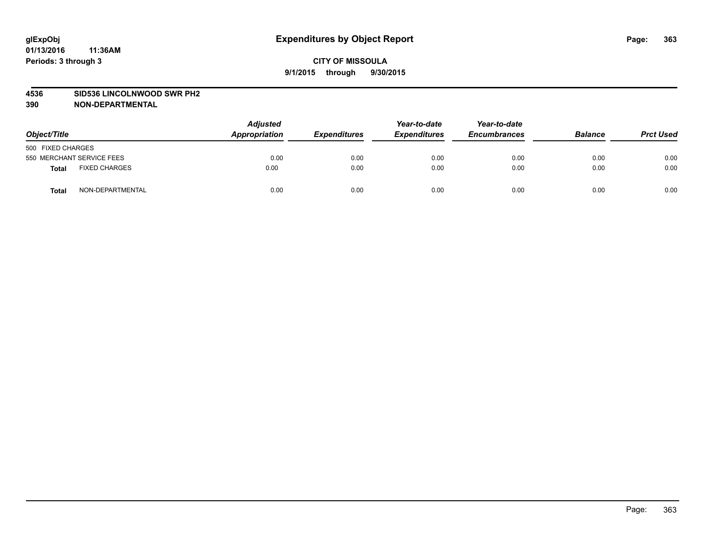#### **4536 SID536 LINCOLNWOOD SWR PH2**

| Object/Title                  | <b>Adjusted</b><br>Appropriation | <b>Expenditures</b> | Year-to-date<br><b>Expenditures</b> | Year-to-date<br><b>Encumbrances</b> | <b>Balance</b> | <b>Prct Used</b> |
|-------------------------------|----------------------------------|---------------------|-------------------------------------|-------------------------------------|----------------|------------------|
| 500 FIXED CHARGES             |                                  |                     |                                     |                                     |                |                  |
| 550 MERCHANT SERVICE FEES     | 0.00                             | 0.00                | 0.00                                | 0.00                                | 0.00           | 0.00             |
| <b>FIXED CHARGES</b><br>Total | 0.00                             | 0.00                | 0.00                                | 0.00                                | 0.00           | 0.00             |
| NON-DEPARTMENTAL<br>Total     | 0.00                             | 0.00                | 0.00                                | 0.00                                | 0.00           | 0.00             |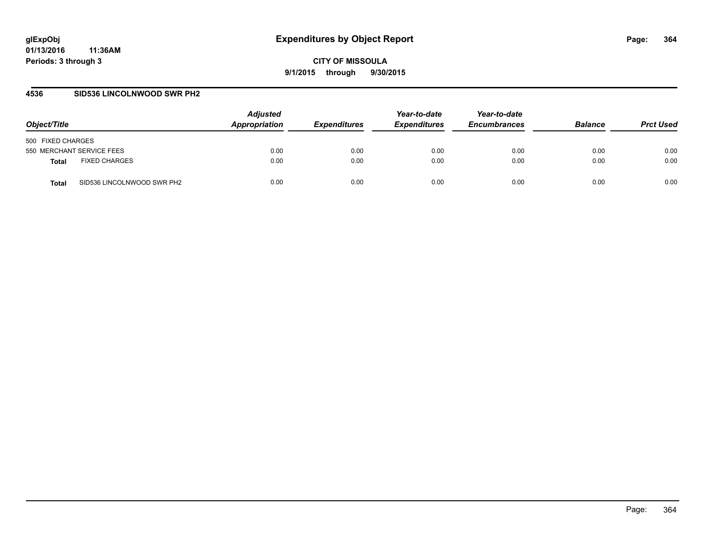### **4536 SID536 LINCOLNWOOD SWR PH2**

| Object/Title                         | <b>Adjusted</b><br>Appropriation | <b>Expenditures</b> | Year-to-date<br><b>Expenditures</b> | Year-to-date<br><b>Encumbrances</b> | <b>Balance</b> | <b>Prct Used</b> |
|--------------------------------------|----------------------------------|---------------------|-------------------------------------|-------------------------------------|----------------|------------------|
| 500 FIXED CHARGES                    |                                  |                     |                                     |                                     |                |                  |
| 550 MERCHANT SERVICE FEES            | 0.00                             | 0.00                | 0.00                                | 0.00                                | 0.00           | 0.00             |
| <b>FIXED CHARGES</b><br><b>Total</b> | 0.00                             | 0.00                | 0.00                                | 0.00                                | 0.00           | 0.00             |
| SID536 LINCOLNWOOD SWR PH2<br>Total  | 0.00                             | 0.00                | 0.00                                | 0.00                                | 0.00           | 0.00             |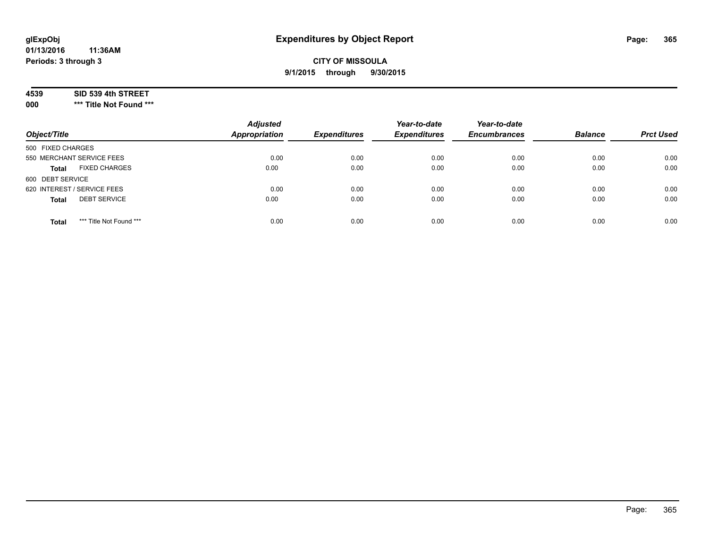## **CITY OF MISSOULA 9/1/2015 through 9/30/2015**

### **4539 SID 539 4th STREET**

**000 \*\*\* Title Not Found \*\*\***

| Object/Title                            | <b>Adjusted</b><br>Appropriation | <b>Expenditures</b> | Year-to-date<br><b>Expenditures</b> | Year-to-date<br><b>Encumbrances</b> | <b>Balance</b> | <b>Prct Used</b> |
|-----------------------------------------|----------------------------------|---------------------|-------------------------------------|-------------------------------------|----------------|------------------|
| 500 FIXED CHARGES                       |                                  |                     |                                     |                                     |                |                  |
| 550 MERCHANT SERVICE FEES               | 0.00                             | 0.00                | 0.00                                | 0.00                                | 0.00           | 0.00             |
| <b>FIXED CHARGES</b><br><b>Total</b>    | 0.00                             | 0.00                | 0.00                                | 0.00                                | 0.00           | 0.00             |
| 600 DEBT SERVICE                        |                                  |                     |                                     |                                     |                |                  |
| 620 INTEREST / SERVICE FEES             | 0.00                             | 0.00                | 0.00                                | 0.00                                | 0.00           | 0.00             |
| <b>DEBT SERVICE</b><br><b>Total</b>     | 0.00                             | 0.00                | 0.00                                | 0.00                                | 0.00           | 0.00             |
| *** Title Not Found ***<br><b>Total</b> | 0.00                             | 0.00                | 0.00                                | 0.00                                | 0.00           | 0.00             |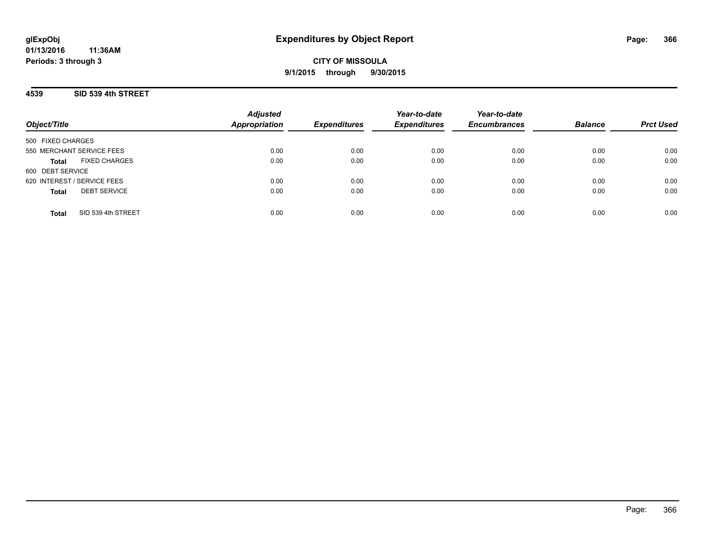## **CITY OF MISSOULA 9/1/2015 through 9/30/2015**

## **4539 SID 539 4th STREET**

| Object/Title                         | <b>Adjusted</b><br><b>Appropriation</b> | <b>Expenditures</b> | Year-to-date<br><b>Expenditures</b> | Year-to-date<br><b>Encumbrances</b> | <b>Balance</b> | <b>Prct Used</b> |
|--------------------------------------|-----------------------------------------|---------------------|-------------------------------------|-------------------------------------|----------------|------------------|
| 500 FIXED CHARGES                    |                                         |                     |                                     |                                     |                |                  |
| 550 MERCHANT SERVICE FEES            | 0.00                                    | 0.00                | 0.00                                | 0.00                                | 0.00           | 0.00             |
| <b>FIXED CHARGES</b><br><b>Total</b> | 0.00                                    | 0.00                | 0.00                                | 0.00                                | 0.00           | 0.00             |
| 600 DEBT SERVICE                     |                                         |                     |                                     |                                     |                |                  |
| 620 INTEREST / SERVICE FEES          | 0.00                                    | 0.00                | 0.00                                | 0.00                                | 0.00           | 0.00             |
| <b>DEBT SERVICE</b><br><b>Total</b>  | 0.00                                    | 0.00                | 0.00                                | 0.00                                | 0.00           | 0.00             |
| SID 539 4th STREET<br><b>Total</b>   | 0.00                                    | 0.00                | 0.00                                | 0.00                                | 0.00           | 0.00             |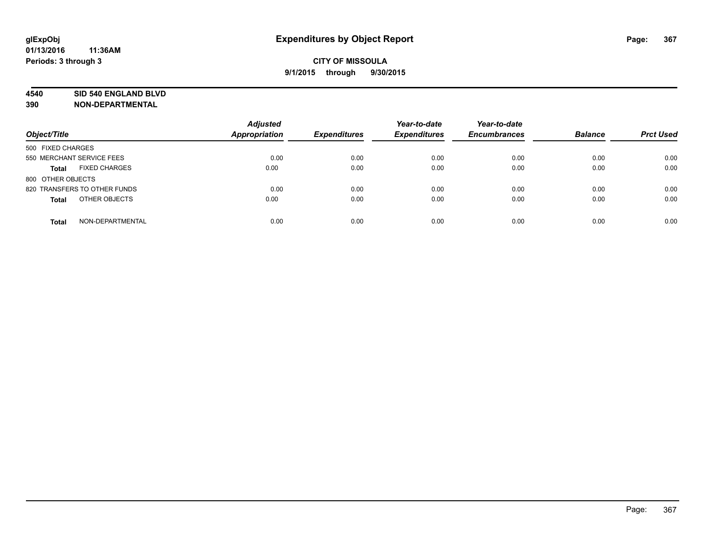#### **4540 SID 540 ENGLAND BLVD**

| Object/Title                         | <b>Adjusted</b><br><b>Appropriation</b> | <b>Expenditures</b> | Year-to-date<br><b>Expenditures</b> | Year-to-date<br><b>Encumbrances</b> | <b>Balance</b> | <b>Prct Used</b> |
|--------------------------------------|-----------------------------------------|---------------------|-------------------------------------|-------------------------------------|----------------|------------------|
|                                      |                                         |                     |                                     |                                     |                |                  |
| 500 FIXED CHARGES                    |                                         |                     |                                     |                                     |                |                  |
| 550 MERCHANT SERVICE FEES            | 0.00                                    | 0.00                | 0.00                                | 0.00                                | 0.00           | 0.00             |
| <b>FIXED CHARGES</b><br><b>Total</b> | 0.00                                    | 0.00                | 0.00                                | 0.00                                | 0.00           | 0.00             |
| 800 OTHER OBJECTS                    |                                         |                     |                                     |                                     |                |                  |
| 820 TRANSFERS TO OTHER FUNDS         | 0.00                                    | 0.00                | 0.00                                | 0.00                                | 0.00           | 0.00             |
| OTHER OBJECTS<br><b>Total</b>        | 0.00                                    | 0.00                | 0.00                                | 0.00                                | 0.00           | 0.00             |
| NON-DEPARTMENTAL<br><b>Total</b>     | 0.00                                    | 0.00                | 0.00                                | 0.00                                | 0.00           | 0.00             |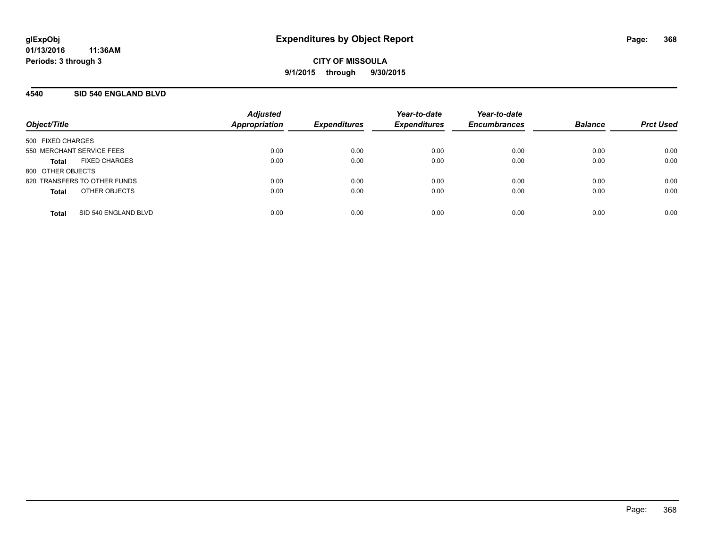### **4540 SID 540 ENGLAND BLVD**

| Object/Title                 |                      | <b>Adjusted</b><br>Appropriation | <b>Expenditures</b> | Year-to-date<br><b>Expenditures</b> | Year-to-date<br><b>Encumbrances</b> | <b>Balance</b> | <b>Prct Used</b> |
|------------------------------|----------------------|----------------------------------|---------------------|-------------------------------------|-------------------------------------|----------------|------------------|
|                              |                      |                                  |                     |                                     |                                     |                |                  |
| 500 FIXED CHARGES            |                      |                                  |                     |                                     |                                     |                |                  |
| 550 MERCHANT SERVICE FEES    |                      | 0.00                             | 0.00                | 0.00                                | 0.00                                | 0.00           | 0.00             |
| Total                        | <b>FIXED CHARGES</b> | 0.00                             | 0.00                | 0.00                                | 0.00                                | 0.00           | 0.00             |
| 800 OTHER OBJECTS            |                      |                                  |                     |                                     |                                     |                |                  |
| 820 TRANSFERS TO OTHER FUNDS |                      | 0.00                             | 0.00                | 0.00                                | 0.00                                | 0.00           | 0.00             |
| <b>Total</b>                 | OTHER OBJECTS        | 0.00                             | 0.00                | 0.00                                | 0.00                                | 0.00           | 0.00             |
|                              |                      |                                  |                     |                                     |                                     |                |                  |
| <b>Total</b>                 | SID 540 ENGLAND BLVD | 0.00                             | 0.00                | 0.00                                | 0.00                                | 0.00           | 0.00             |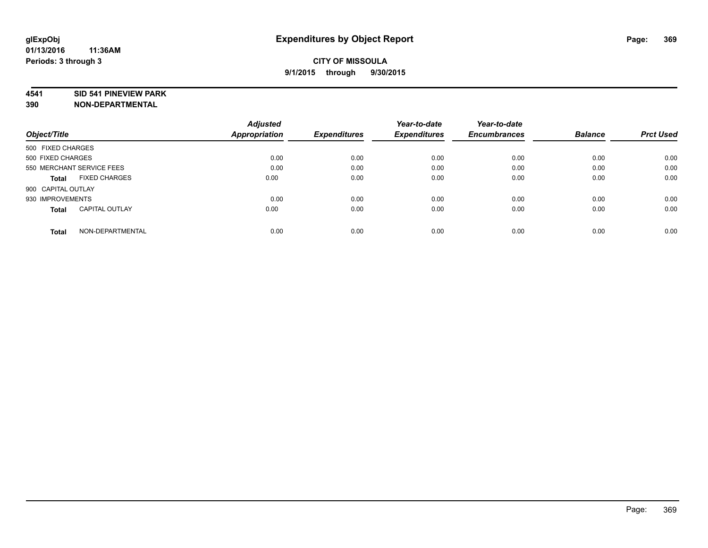#### **4541 SID 541 PINEVIEW PARK**

|                                       | <b>Adjusted</b>      |                     | Year-to-date        | Year-to-date        |                |                  |
|---------------------------------------|----------------------|---------------------|---------------------|---------------------|----------------|------------------|
| Object/Title                          | <b>Appropriation</b> | <b>Expenditures</b> | <b>Expenditures</b> | <b>Encumbrances</b> | <b>Balance</b> | <b>Prct Used</b> |
| 500 FIXED CHARGES                     |                      |                     |                     |                     |                |                  |
| 500 FIXED CHARGES                     | 0.00                 | 0.00                | 0.00                | 0.00                | 0.00           | 0.00             |
| 550 MERCHANT SERVICE FEES             | 0.00                 | 0.00                | 0.00                | 0.00                | 0.00           | 0.00             |
| <b>FIXED CHARGES</b><br>Total         | 0.00                 | 0.00                | 0.00                | 0.00                | 0.00           | 0.00             |
| 900 CAPITAL OUTLAY                    |                      |                     |                     |                     |                |                  |
| 930 IMPROVEMENTS                      | 0.00                 | 0.00                | 0.00                | 0.00                | 0.00           | 0.00             |
| <b>CAPITAL OUTLAY</b><br><b>Total</b> | 0.00                 | 0.00                | 0.00                | 0.00                | 0.00           | 0.00             |
| NON-DEPARTMENTAL<br><b>Total</b>      | 0.00                 | 0.00                | 0.00                | 0.00                | 0.00           | 0.00             |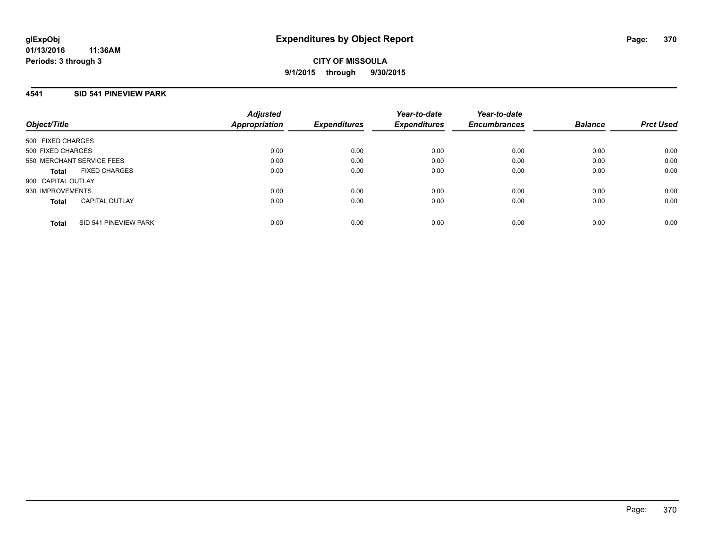### **4541 SID 541 PINEVIEW PARK**

| Object/Title              |                       | <b>Adjusted</b><br><b>Appropriation</b> | <b>Expenditures</b> | Year-to-date<br><b>Expenditures</b> | Year-to-date<br><b>Encumbrances</b> | <b>Balance</b> | <b>Prct Used</b> |
|---------------------------|-----------------------|-----------------------------------------|---------------------|-------------------------------------|-------------------------------------|----------------|------------------|
| 500 FIXED CHARGES         |                       |                                         |                     |                                     |                                     |                |                  |
| 500 FIXED CHARGES         |                       | 0.00                                    | 0.00                | 0.00                                | 0.00                                | 0.00           | 0.00             |
| 550 MERCHANT SERVICE FEES |                       | 0.00                                    | 0.00                | 0.00                                | 0.00                                | 0.00           | 0.00             |
| Total                     | <b>FIXED CHARGES</b>  | 0.00                                    | 0.00                | 0.00                                | 0.00                                | 0.00           | 0.00             |
| 900 CAPITAL OUTLAY        |                       |                                         |                     |                                     |                                     |                |                  |
| 930 IMPROVEMENTS          |                       | 0.00                                    | 0.00                | 0.00                                | 0.00                                | 0.00           | 0.00             |
| <b>Total</b>              | <b>CAPITAL OUTLAY</b> | 0.00                                    | 0.00                | 0.00                                | 0.00                                | 0.00           | 0.00             |
| <b>Total</b>              | SID 541 PINEVIEW PARK | 0.00                                    | 0.00                | 0.00                                | 0.00                                | 0.00           | 0.00             |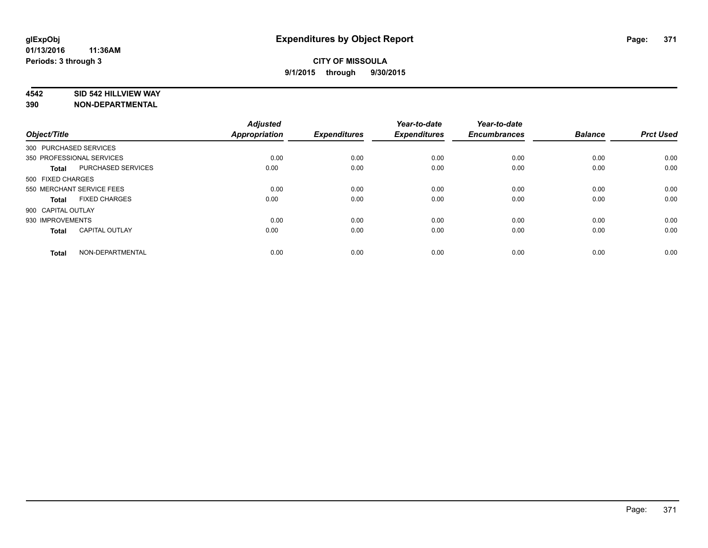### **4542 SID 542 HILLVIEW WAY**

| Object/Title           |                           | <b>Adjusted</b><br>Appropriation | <b>Expenditures</b> | Year-to-date<br><b>Expenditures</b> | Year-to-date<br><b>Encumbrances</b> | <b>Balance</b> | <b>Prct Used</b> |
|------------------------|---------------------------|----------------------------------|---------------------|-------------------------------------|-------------------------------------|----------------|------------------|
| 300 PURCHASED SERVICES |                           |                                  |                     |                                     |                                     |                |                  |
|                        | 350 PROFESSIONAL SERVICES | 0.00                             | 0.00                | 0.00                                | 0.00                                | 0.00           | 0.00             |
| <b>Total</b>           | PURCHASED SERVICES        | 0.00                             | 0.00                | 0.00                                | 0.00                                | 0.00           | 0.00             |
| 500 FIXED CHARGES      |                           |                                  |                     |                                     |                                     |                |                  |
|                        | 550 MERCHANT SERVICE FEES | 0.00                             | 0.00                | 0.00                                | 0.00                                | 0.00           | 0.00             |
| <b>Total</b>           | <b>FIXED CHARGES</b>      | 0.00                             | 0.00                | 0.00                                | 0.00                                | 0.00           | 0.00             |
| 900 CAPITAL OUTLAY     |                           |                                  |                     |                                     |                                     |                |                  |
| 930 IMPROVEMENTS       |                           | 0.00                             | 0.00                | 0.00                                | 0.00                                | 0.00           | 0.00             |
| <b>Total</b>           | <b>CAPITAL OUTLAY</b>     | 0.00                             | 0.00                | 0.00                                | 0.00                                | 0.00           | 0.00             |
| <b>Total</b>           | NON-DEPARTMENTAL          | 0.00                             | 0.00                | 0.00                                | 0.00                                | 0.00           | 0.00             |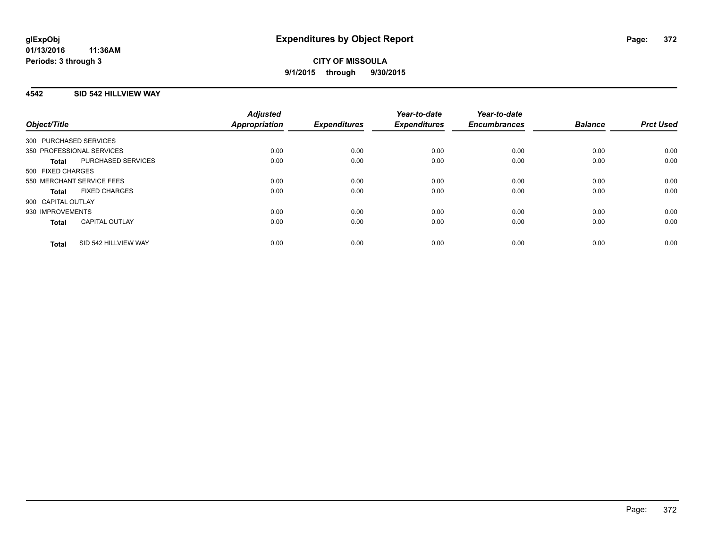## **4542 SID 542 HILLVIEW WAY**

| Object/Title                          |                      | <b>Adjusted</b><br>Appropriation | <b>Expenditures</b> | Year-to-date<br><b>Expenditures</b> | Year-to-date<br><b>Encumbrances</b> | <b>Balance</b> | <b>Prct Used</b> |
|---------------------------------------|----------------------|----------------------------------|---------------------|-------------------------------------|-------------------------------------|----------------|------------------|
|                                       |                      |                                  |                     |                                     |                                     |                |                  |
| 300 PURCHASED SERVICES                |                      |                                  |                     |                                     |                                     |                |                  |
| 350 PROFESSIONAL SERVICES             |                      | 0.00                             | 0.00                | 0.00                                | 0.00                                | 0.00           | 0.00             |
| <b>Total</b>                          | PURCHASED SERVICES   | 0.00                             | 0.00                | 0.00                                | 0.00                                | 0.00           | 0.00             |
| 500 FIXED CHARGES                     |                      |                                  |                     |                                     |                                     |                |                  |
| 550 MERCHANT SERVICE FEES             |                      | 0.00                             | 0.00                | 0.00                                | 0.00                                | 0.00           | 0.00             |
| <b>FIXED CHARGES</b><br>Total         |                      | 0.00                             | 0.00                | 0.00                                | 0.00                                | 0.00           | 0.00             |
| 900 CAPITAL OUTLAY                    |                      |                                  |                     |                                     |                                     |                |                  |
| 930 IMPROVEMENTS                      |                      | 0.00                             | 0.00                | 0.00                                | 0.00                                | 0.00           | 0.00             |
| <b>CAPITAL OUTLAY</b><br><b>Total</b> |                      | 0.00                             | 0.00                | 0.00                                | 0.00                                | 0.00           | 0.00             |
| <b>Total</b>                          | SID 542 HILLVIEW WAY | 0.00                             | 0.00                | 0.00                                | 0.00                                | 0.00           | 0.00             |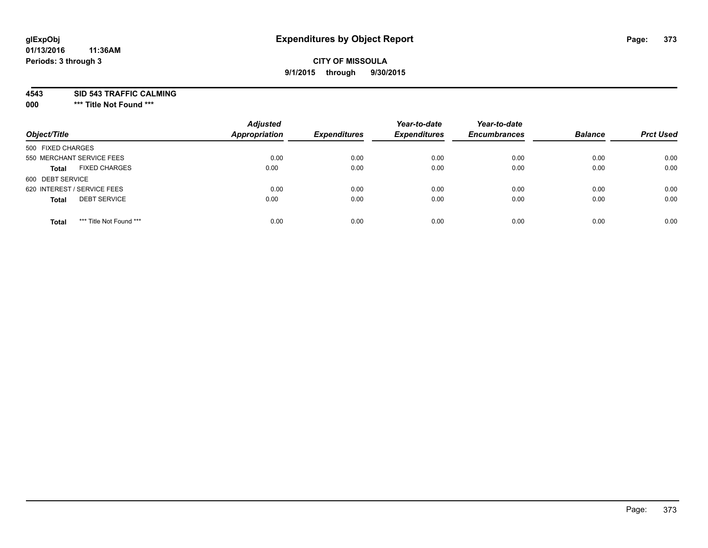## **CITY OF MISSOULA 9/1/2015 through 9/30/2015**

**4543 SID 543 TRAFFIC CALMING**

**000 \*\*\* Title Not Found \*\*\***

| Object/Title                            | <b>Adjusted</b><br><b>Appropriation</b> | <b>Expenditures</b> | Year-to-date<br><b>Expenditures</b> | Year-to-date<br><b>Encumbrances</b> | <b>Balance</b> | <b>Prct Used</b> |
|-----------------------------------------|-----------------------------------------|---------------------|-------------------------------------|-------------------------------------|----------------|------------------|
| 500 FIXED CHARGES                       |                                         |                     |                                     |                                     |                |                  |
| 550 MERCHANT SERVICE FEES               | 0.00                                    | 0.00                | 0.00                                | 0.00                                | 0.00           | 0.00             |
| <b>FIXED CHARGES</b><br><b>Total</b>    | 0.00                                    | 0.00                | 0.00                                | 0.00                                | 0.00           | 0.00             |
| 600 DEBT SERVICE                        |                                         |                     |                                     |                                     |                |                  |
| 620 INTEREST / SERVICE FEES             | 0.00                                    | 0.00                | 0.00                                | 0.00                                | 0.00           | 0.00             |
| <b>DEBT SERVICE</b><br><b>Total</b>     | 0.00                                    | 0.00                | 0.00                                | 0.00                                | 0.00           | 0.00             |
| *** Title Not Found ***<br><b>Total</b> | 0.00                                    | 0.00                | 0.00                                | 0.00                                | 0.00           | 0.00             |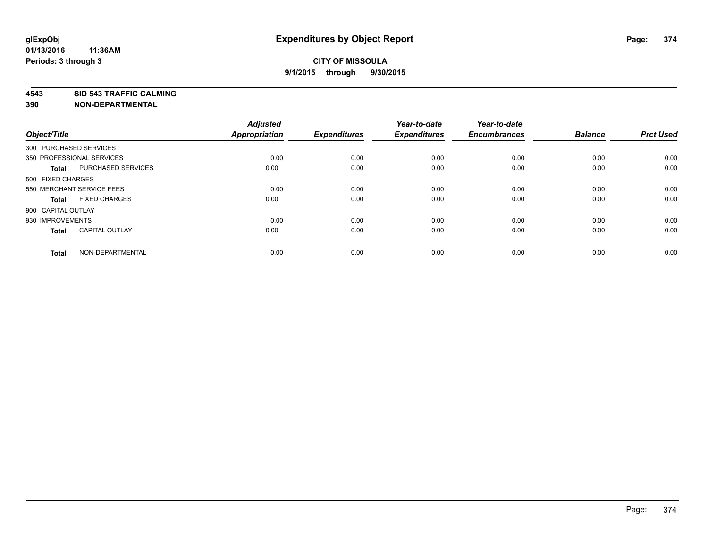**4543 SID 543 TRAFFIC CALMING**

| Object/Title           |                           | <b>Adjusted</b><br>Appropriation | <b>Expenditures</b> | Year-to-date<br><b>Expenditures</b> | Year-to-date<br><b>Encumbrances</b> | <b>Balance</b> | <b>Prct Used</b> |
|------------------------|---------------------------|----------------------------------|---------------------|-------------------------------------|-------------------------------------|----------------|------------------|
| 300 PURCHASED SERVICES |                           |                                  |                     |                                     |                                     |                |                  |
|                        | 350 PROFESSIONAL SERVICES | 0.00                             | 0.00                | 0.00                                | 0.00                                | 0.00           | 0.00             |
| <b>Total</b>           | PURCHASED SERVICES        | 0.00                             | 0.00                | 0.00                                | 0.00                                | 0.00           | 0.00             |
| 500 FIXED CHARGES      |                           |                                  |                     |                                     |                                     |                |                  |
|                        | 550 MERCHANT SERVICE FEES | 0.00                             | 0.00                | 0.00                                | 0.00                                | 0.00           | 0.00             |
| <b>Total</b>           | <b>FIXED CHARGES</b>      | 0.00                             | 0.00                | 0.00                                | 0.00                                | 0.00           | 0.00             |
| 900 CAPITAL OUTLAY     |                           |                                  |                     |                                     |                                     |                |                  |
| 930 IMPROVEMENTS       |                           | 0.00                             | 0.00                | 0.00                                | 0.00                                | 0.00           | 0.00             |
| <b>Total</b>           | <b>CAPITAL OUTLAY</b>     | 0.00                             | 0.00                | 0.00                                | 0.00                                | 0.00           | 0.00             |
| <b>Total</b>           | NON-DEPARTMENTAL          | 0.00                             | 0.00                | 0.00                                | 0.00                                | 0.00           | 0.00             |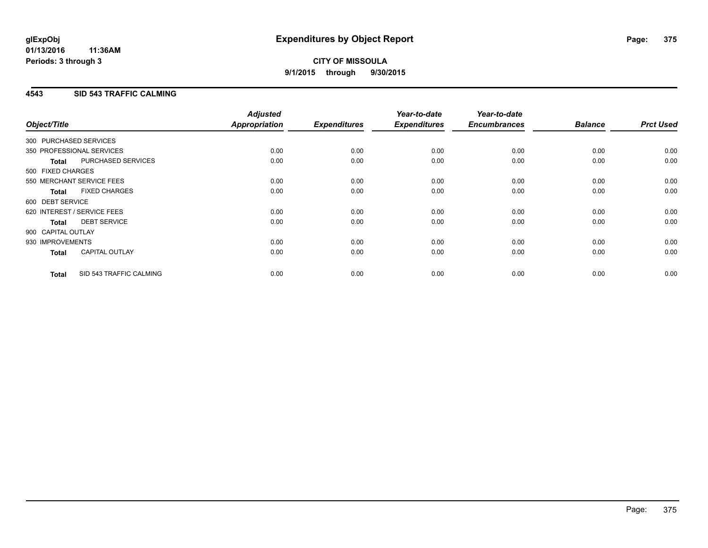## **4543 SID 543 TRAFFIC CALMING**

| Object/Title           |                             | <b>Adjusted</b><br><b>Appropriation</b> | <b>Expenditures</b> | Year-to-date<br><b>Expenditures</b> | Year-to-date<br><b>Encumbrances</b> | <b>Balance</b> | <b>Prct Used</b> |
|------------------------|-----------------------------|-----------------------------------------|---------------------|-------------------------------------|-------------------------------------|----------------|------------------|
|                        |                             |                                         |                     |                                     |                                     |                |                  |
| 300 PURCHASED SERVICES |                             |                                         |                     |                                     |                                     |                |                  |
|                        | 350 PROFESSIONAL SERVICES   | 0.00                                    | 0.00                | 0.00                                | 0.00                                | 0.00           | 0.00             |
| <b>Total</b>           | PURCHASED SERVICES          | 0.00                                    | 0.00                | 0.00                                | 0.00                                | 0.00           | 0.00             |
| 500 FIXED CHARGES      |                             |                                         |                     |                                     |                                     |                |                  |
|                        | 550 MERCHANT SERVICE FEES   | 0.00                                    | 0.00                | 0.00                                | 0.00                                | 0.00           | 0.00             |
| <b>Total</b>           | <b>FIXED CHARGES</b>        | 0.00                                    | 0.00                | 0.00                                | 0.00                                | 0.00           | 0.00             |
| 600 DEBT SERVICE       |                             |                                         |                     |                                     |                                     |                |                  |
|                        | 620 INTEREST / SERVICE FEES | 0.00                                    | 0.00                | 0.00                                | 0.00                                | 0.00           | 0.00             |
| Total                  | <b>DEBT SERVICE</b>         | 0.00                                    | 0.00                | 0.00                                | 0.00                                | 0.00           | 0.00             |
| 900 CAPITAL OUTLAY     |                             |                                         |                     |                                     |                                     |                |                  |
| 930 IMPROVEMENTS       |                             | 0.00                                    | 0.00                | 0.00                                | 0.00                                | 0.00           | 0.00             |
| <b>Total</b>           | <b>CAPITAL OUTLAY</b>       | 0.00                                    | 0.00                | 0.00                                | 0.00                                | 0.00           | 0.00             |
| <b>Total</b>           | SID 543 TRAFFIC CALMING     | 0.00                                    | 0.00                | 0.00                                | 0.00                                | 0.00           | 0.00             |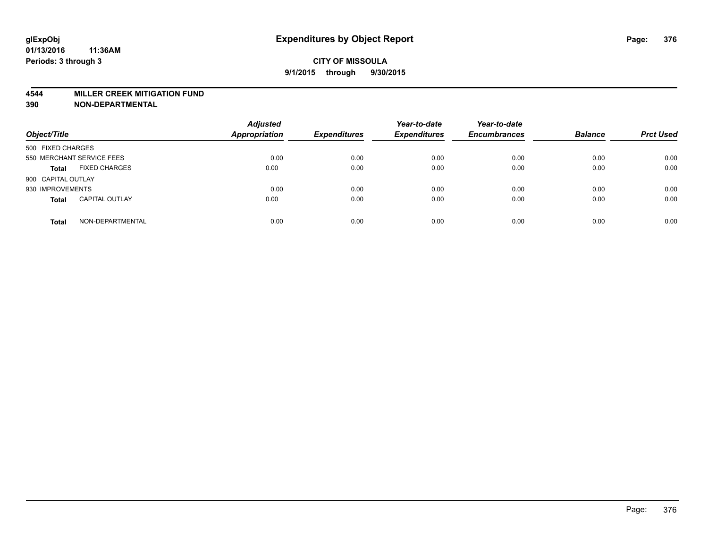#### **4544 MILLER CREEK MITIGATION FUND**

| Object/Title                          | <b>Adjusted</b><br>Appropriation | <b>Expenditures</b> | Year-to-date<br><b>Expenditures</b> | Year-to-date<br><b>Encumbrances</b> | <b>Balance</b> | <b>Prct Used</b> |
|---------------------------------------|----------------------------------|---------------------|-------------------------------------|-------------------------------------|----------------|------------------|
| 500 FIXED CHARGES                     |                                  |                     |                                     |                                     |                |                  |
| 550 MERCHANT SERVICE FEES             | 0.00                             | 0.00                | 0.00                                | 0.00                                | 0.00           | 0.00             |
| <b>FIXED CHARGES</b><br><b>Total</b>  | 0.00                             | 0.00                | 0.00                                | 0.00                                | 0.00           | 0.00             |
| 900 CAPITAL OUTLAY                    |                                  |                     |                                     |                                     |                |                  |
| 930 IMPROVEMENTS                      | 0.00                             | 0.00                | 0.00                                | 0.00                                | 0.00           | 0.00             |
| <b>CAPITAL OUTLAY</b><br><b>Total</b> | 0.00                             | 0.00                | 0.00                                | 0.00                                | 0.00           | 0.00             |
| NON-DEPARTMENTAL<br><b>Total</b>      | 0.00                             | 0.00                | 0.00                                | 0.00                                | 0.00           | 0.00             |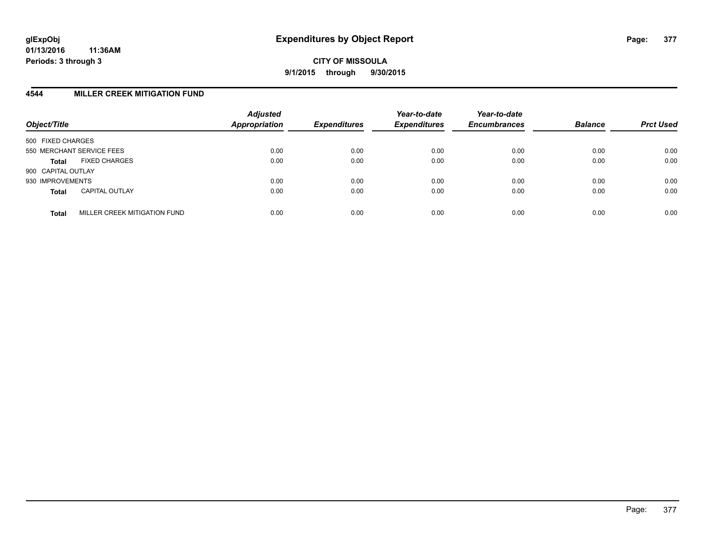## **4544 MILLER CREEK MITIGATION FUND**

| Object/Title       |                              | <b>Adjusted</b><br><b>Appropriation</b> | <b>Expenditures</b> | Year-to-date<br><b>Expenditures</b> | Year-to-date<br><b>Encumbrances</b> | <b>Balance</b> | <b>Prct Used</b> |
|--------------------|------------------------------|-----------------------------------------|---------------------|-------------------------------------|-------------------------------------|----------------|------------------|
| 500 FIXED CHARGES  |                              |                                         |                     |                                     |                                     |                |                  |
|                    | 550 MERCHANT SERVICE FEES    | 0.00                                    | 0.00                | 0.00                                | 0.00                                | 0.00           | 0.00             |
| <b>Total</b>       | <b>FIXED CHARGES</b>         | 0.00                                    | 0.00                | 0.00                                | 0.00                                | 0.00           | 0.00             |
| 900 CAPITAL OUTLAY |                              |                                         |                     |                                     |                                     |                |                  |
| 930 IMPROVEMENTS   |                              | 0.00                                    | 0.00                | 0.00                                | 0.00                                | 0.00           | 0.00             |
| <b>Total</b>       | <b>CAPITAL OUTLAY</b>        | 0.00                                    | 0.00                | 0.00                                | 0.00                                | 0.00           | 0.00             |
| <b>Total</b>       | MILLER CREEK MITIGATION FUND | 0.00                                    | 0.00                | 0.00                                | 0.00                                | 0.00           | 0.00             |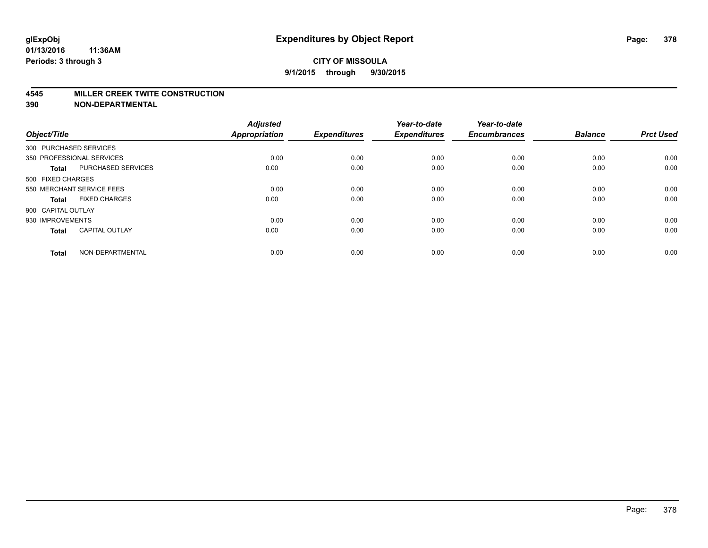#### **4545 MILLER CREEK TWITE CONSTRUCTION**

| Object/Title           |                           | <b>Adjusted</b><br>Appropriation | <b>Expenditures</b> | Year-to-date<br><b>Expenditures</b> | Year-to-date<br><b>Encumbrances</b> | <b>Balance</b> | <b>Prct Used</b> |
|------------------------|---------------------------|----------------------------------|---------------------|-------------------------------------|-------------------------------------|----------------|------------------|
| 300 PURCHASED SERVICES |                           |                                  |                     |                                     |                                     |                |                  |
|                        | 350 PROFESSIONAL SERVICES | 0.00                             | 0.00                | 0.00                                | 0.00                                | 0.00           | 0.00             |
| <b>Total</b>           | <b>PURCHASED SERVICES</b> | 0.00                             | 0.00                | 0.00                                | 0.00                                | 0.00           | 0.00             |
| 500 FIXED CHARGES      |                           |                                  |                     |                                     |                                     |                |                  |
|                        | 550 MERCHANT SERVICE FEES | 0.00                             | 0.00                | 0.00                                | 0.00                                | 0.00           | 0.00             |
| <b>Total</b>           | <b>FIXED CHARGES</b>      | 0.00                             | 0.00                | 0.00                                | 0.00                                | 0.00           | 0.00             |
| 900 CAPITAL OUTLAY     |                           |                                  |                     |                                     |                                     |                |                  |
| 930 IMPROVEMENTS       |                           | 0.00                             | 0.00                | 0.00                                | 0.00                                | 0.00           | 0.00             |
| <b>Total</b>           | <b>CAPITAL OUTLAY</b>     | 0.00                             | 0.00                | 0.00                                | 0.00                                | 0.00           | 0.00             |
| <b>Total</b>           | NON-DEPARTMENTAL          | 0.00                             | 0.00                | 0.00                                | 0.00                                | 0.00           | 0.00             |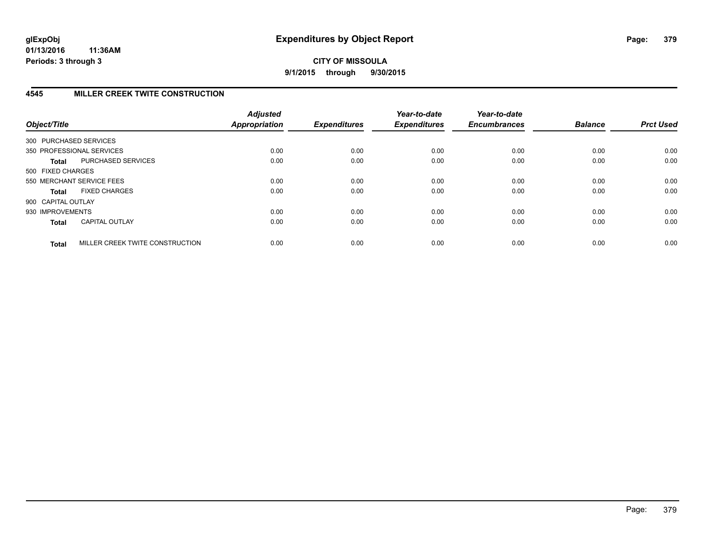**CITY OF MISSOULA 9/1/2015 through 9/30/2015**

## **4545 MILLER CREEK TWITE CONSTRUCTION**

| Object/Title           |                                 | <b>Adjusted</b><br><b>Appropriation</b> | <b>Expenditures</b> | Year-to-date<br><b>Expenditures</b> | Year-to-date<br><b>Encumbrances</b> | <b>Balance</b> | <b>Prct Used</b> |
|------------------------|---------------------------------|-----------------------------------------|---------------------|-------------------------------------|-------------------------------------|----------------|------------------|
| 300 PURCHASED SERVICES |                                 |                                         |                     |                                     |                                     |                |                  |
|                        | 350 PROFESSIONAL SERVICES       | 0.00                                    | 0.00                | 0.00                                | 0.00                                | 0.00           | 0.00             |
| Total                  | <b>PURCHASED SERVICES</b>       | 0.00                                    | 0.00                | 0.00                                | 0.00                                | 0.00           | 0.00             |
| 500 FIXED CHARGES      |                                 |                                         |                     |                                     |                                     |                |                  |
|                        | 550 MERCHANT SERVICE FEES       | 0.00                                    | 0.00                | 0.00                                | 0.00                                | 0.00           | 0.00             |
| Total                  | <b>FIXED CHARGES</b>            | 0.00                                    | 0.00                | 0.00                                | 0.00                                | 0.00           | 0.00             |
| 900 CAPITAL OUTLAY     |                                 |                                         |                     |                                     |                                     |                |                  |
| 930 IMPROVEMENTS       |                                 | 0.00                                    | 0.00                | 0.00                                | 0.00                                | 0.00           | 0.00             |
| <b>Total</b>           | <b>CAPITAL OUTLAY</b>           | 0.00                                    | 0.00                | 0.00                                | 0.00                                | 0.00           | 0.00             |
| <b>Total</b>           | MILLER CREEK TWITE CONSTRUCTION | 0.00                                    | 0.00                | 0.00                                | 0.00                                | 0.00           | 0.00             |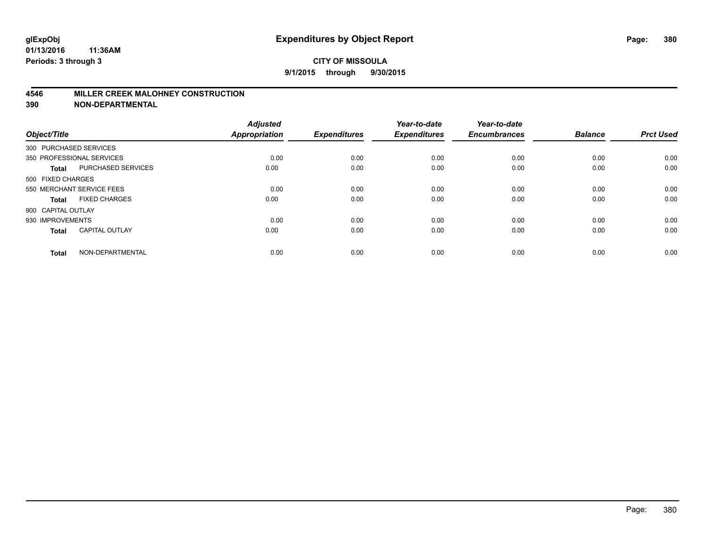#### **4546 MILLER CREEK MALOHNEY CONSTRUCTION**

| Object/Title           |                           | <b>Adjusted</b><br><b>Appropriation</b> | <b>Expenditures</b> | Year-to-date<br><b>Expenditures</b> | Year-to-date<br><b>Encumbrances</b> | <b>Balance</b> | <b>Prct Used</b> |
|------------------------|---------------------------|-----------------------------------------|---------------------|-------------------------------------|-------------------------------------|----------------|------------------|
| 300 PURCHASED SERVICES |                           |                                         |                     |                                     |                                     |                |                  |
|                        | 350 PROFESSIONAL SERVICES | 0.00                                    | 0.00                | 0.00                                | 0.00                                | 0.00           | 0.00             |
| <b>Total</b>           | <b>PURCHASED SERVICES</b> | 0.00                                    | 0.00                | 0.00                                | 0.00                                | 0.00           | 0.00             |
| 500 FIXED CHARGES      |                           |                                         |                     |                                     |                                     |                |                  |
|                        | 550 MERCHANT SERVICE FEES | 0.00                                    | 0.00                | 0.00                                | 0.00                                | 0.00           | 0.00             |
| Total                  | <b>FIXED CHARGES</b>      | 0.00                                    | 0.00                | 0.00                                | 0.00                                | 0.00           | 0.00             |
| 900 CAPITAL OUTLAY     |                           |                                         |                     |                                     |                                     |                |                  |
| 930 IMPROVEMENTS       |                           | 0.00                                    | 0.00                | 0.00                                | 0.00                                | 0.00           | 0.00             |
| Total                  | <b>CAPITAL OUTLAY</b>     | 0.00                                    | 0.00                | 0.00                                | 0.00                                | 0.00           | 0.00             |
| <b>Total</b>           | NON-DEPARTMENTAL          | 0.00                                    | 0.00                | 0.00                                | 0.00                                | 0.00           | 0.00             |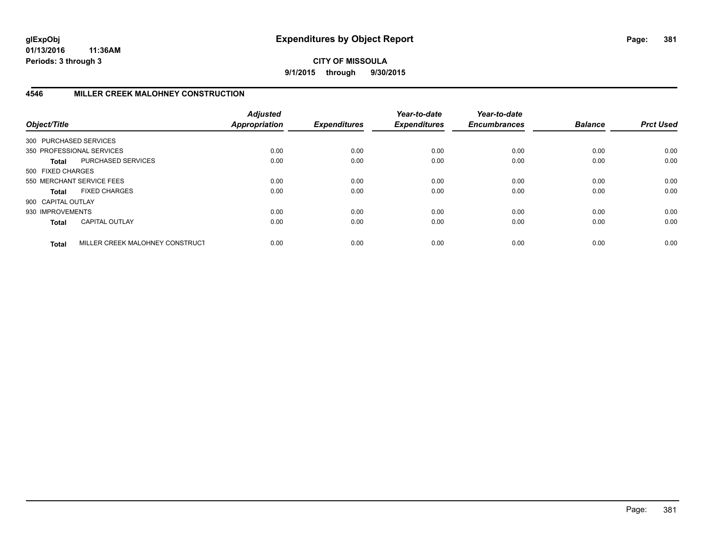**CITY OF MISSOULA 9/1/2015 through 9/30/2015**

## **4546 MILLER CREEK MALOHNEY CONSTRUCTION**

| Object/Title           |                                 | <b>Adjusted</b><br><b>Appropriation</b> | <b>Expenditures</b> | Year-to-date<br><b>Expenditures</b> | Year-to-date<br><b>Encumbrances</b> | <b>Balance</b> | <b>Prct Used</b> |
|------------------------|---------------------------------|-----------------------------------------|---------------------|-------------------------------------|-------------------------------------|----------------|------------------|
| 300 PURCHASED SERVICES |                                 |                                         |                     |                                     |                                     |                |                  |
|                        | 350 PROFESSIONAL SERVICES       | 0.00                                    | 0.00                | 0.00                                | 0.00                                | 0.00           | 0.00             |
| Total                  | PURCHASED SERVICES              | 0.00                                    | 0.00                | 0.00                                | 0.00                                | 0.00           | 0.00             |
| 500 FIXED CHARGES      |                                 |                                         |                     |                                     |                                     |                |                  |
|                        | 550 MERCHANT SERVICE FEES       | 0.00                                    | 0.00                | 0.00                                | 0.00                                | 0.00           | 0.00             |
| Total                  | <b>FIXED CHARGES</b>            | 0.00                                    | 0.00                | 0.00                                | 0.00                                | 0.00           | 0.00             |
| 900 CAPITAL OUTLAY     |                                 |                                         |                     |                                     |                                     |                |                  |
| 930 IMPROVEMENTS       |                                 | 0.00                                    | 0.00                | 0.00                                | 0.00                                | 0.00           | 0.00             |
| <b>Total</b>           | <b>CAPITAL OUTLAY</b>           | 0.00                                    | 0.00                | 0.00                                | 0.00                                | 0.00           | 0.00             |
| <b>Total</b>           | MILLER CREEK MALOHNEY CONSTRUCT | 0.00                                    | 0.00                | 0.00                                | 0.00                                | 0.00           | 0.00             |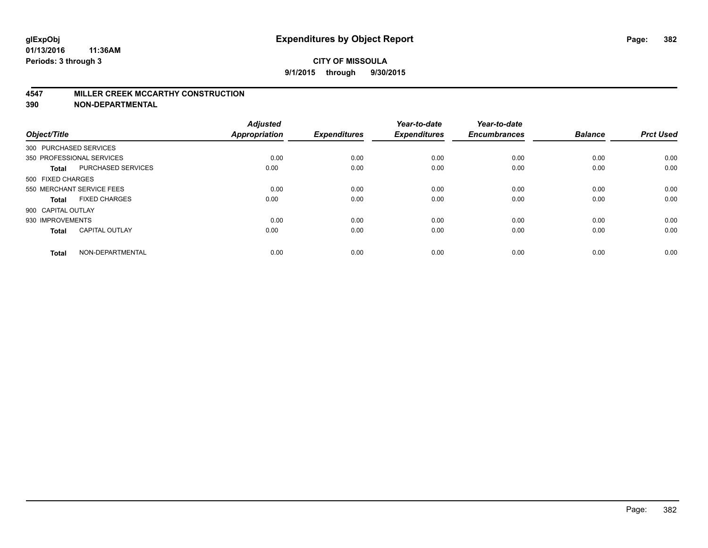#### **4547 MILLER CREEK MCCARTHY CONSTRUCTION**

| Object/Title       |                           | <b>Adjusted</b><br><b>Appropriation</b> | <b>Expenditures</b> | Year-to-date<br><b>Expenditures</b> | Year-to-date<br><b>Encumbrances</b> | <b>Balance</b> | <b>Prct Used</b> |
|--------------------|---------------------------|-----------------------------------------|---------------------|-------------------------------------|-------------------------------------|----------------|------------------|
|                    | 300 PURCHASED SERVICES    |                                         |                     |                                     |                                     |                |                  |
|                    | 350 PROFESSIONAL SERVICES | 0.00                                    | 0.00                | 0.00                                | 0.00                                | 0.00           | 0.00             |
| <b>Total</b>       | <b>PURCHASED SERVICES</b> | 0.00                                    | 0.00                | 0.00                                | 0.00                                | 0.00           | 0.00             |
| 500 FIXED CHARGES  |                           |                                         |                     |                                     |                                     |                |                  |
|                    | 550 MERCHANT SERVICE FEES | 0.00                                    | 0.00                | 0.00                                | 0.00                                | 0.00           | 0.00             |
| Total              | <b>FIXED CHARGES</b>      | 0.00                                    | 0.00                | 0.00                                | 0.00                                | 0.00           | 0.00             |
| 900 CAPITAL OUTLAY |                           |                                         |                     |                                     |                                     |                |                  |
| 930 IMPROVEMENTS   |                           | 0.00                                    | 0.00                | 0.00                                | 0.00                                | 0.00           | 0.00             |
| Total              | <b>CAPITAL OUTLAY</b>     | 0.00                                    | 0.00                | 0.00                                | 0.00                                | 0.00           | 0.00             |
| <b>Total</b>       | NON-DEPARTMENTAL          | 0.00                                    | 0.00                | 0.00                                | 0.00                                | 0.00           | 0.00             |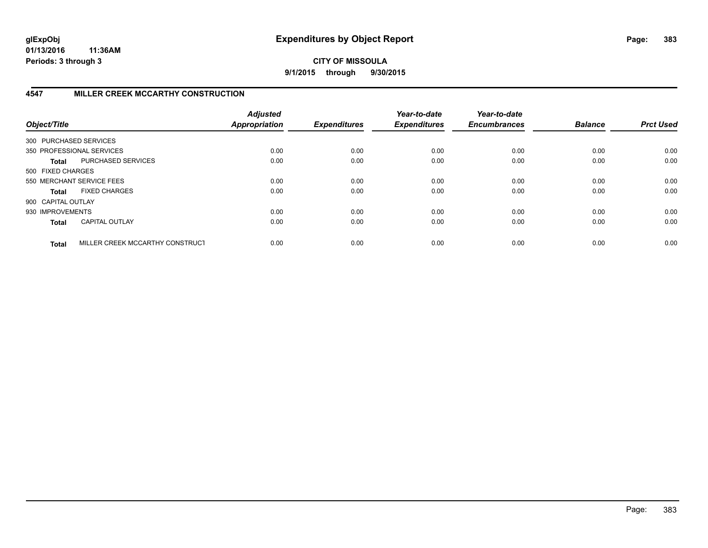**CITY OF MISSOULA 9/1/2015 through 9/30/2015**

## **4547 MILLER CREEK MCCARTHY CONSTRUCTION**

| Object/Title           |                                 | <b>Adjusted</b><br><b>Appropriation</b> | <b>Expenditures</b> | Year-to-date<br><b>Expenditures</b> | Year-to-date<br><b>Encumbrances</b> | <b>Balance</b> | <b>Prct Used</b> |
|------------------------|---------------------------------|-----------------------------------------|---------------------|-------------------------------------|-------------------------------------|----------------|------------------|
| 300 PURCHASED SERVICES |                                 |                                         |                     |                                     |                                     |                |                  |
|                        | 350 PROFESSIONAL SERVICES       | 0.00                                    | 0.00                | 0.00                                | 0.00                                | 0.00           | 0.00             |
| Total                  | PURCHASED SERVICES              | 0.00                                    | 0.00                | 0.00                                | 0.00                                | 0.00           | 0.00             |
| 500 FIXED CHARGES      |                                 |                                         |                     |                                     |                                     |                |                  |
|                        | 550 MERCHANT SERVICE FEES       | 0.00                                    | 0.00                | 0.00                                | 0.00                                | 0.00           | 0.00             |
| Total                  | <b>FIXED CHARGES</b>            | 0.00                                    | 0.00                | 0.00                                | 0.00                                | 0.00           | 0.00             |
| 900 CAPITAL OUTLAY     |                                 |                                         |                     |                                     |                                     |                |                  |
| 930 IMPROVEMENTS       |                                 | 0.00                                    | 0.00                | 0.00                                | 0.00                                | 0.00           | 0.00             |
| <b>Total</b>           | <b>CAPITAL OUTLAY</b>           | 0.00                                    | 0.00                | 0.00                                | 0.00                                | 0.00           | 0.00             |
| <b>Total</b>           | MILLER CREEK MCCARTHY CONSTRUCT | 0.00                                    | 0.00                | 0.00                                | 0.00                                | 0.00           | 0.00             |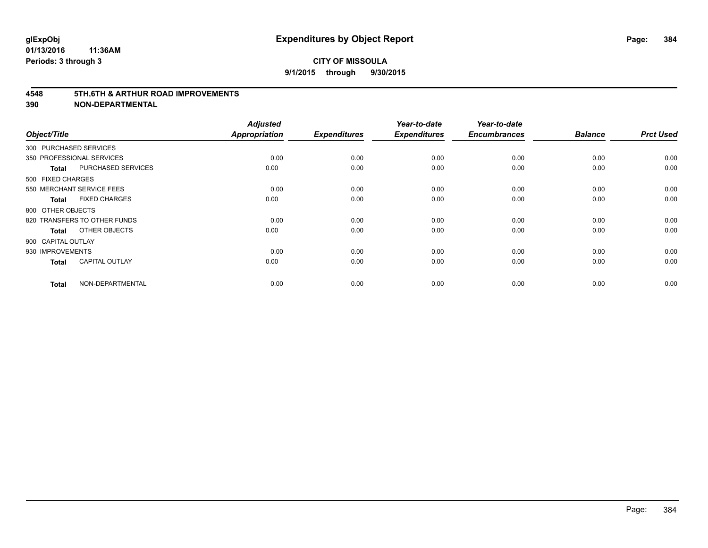#### **4548 5TH,6TH & ARTHUR ROAD IMPROVEMENTS**

| Object/Title       |                              | <b>Adjusted</b><br><b>Appropriation</b> | <b>Expenditures</b> | Year-to-date<br><b>Expenditures</b> | Year-to-date<br><b>Encumbrances</b> | <b>Balance</b> | <b>Prct Used</b> |
|--------------------|------------------------------|-----------------------------------------|---------------------|-------------------------------------|-------------------------------------|----------------|------------------|
|                    | 300 PURCHASED SERVICES       |                                         |                     |                                     |                                     |                |                  |
|                    | 350 PROFESSIONAL SERVICES    | 0.00                                    | 0.00                | 0.00                                | 0.00                                | 0.00           | 0.00             |
| <b>Total</b>       | PURCHASED SERVICES           | 0.00                                    | 0.00                | 0.00                                | 0.00                                | 0.00           | 0.00             |
| 500 FIXED CHARGES  |                              |                                         |                     |                                     |                                     |                |                  |
|                    | 550 MERCHANT SERVICE FEES    | 0.00                                    | 0.00                | 0.00                                | 0.00                                | 0.00           | 0.00             |
| <b>Total</b>       | <b>FIXED CHARGES</b>         | 0.00                                    | 0.00                | 0.00                                | 0.00                                | 0.00           | 0.00             |
| 800 OTHER OBJECTS  |                              |                                         |                     |                                     |                                     |                |                  |
|                    | 820 TRANSFERS TO OTHER FUNDS | 0.00                                    | 0.00                | 0.00                                | 0.00                                | 0.00           | 0.00             |
| <b>Total</b>       | OTHER OBJECTS                | 0.00                                    | 0.00                | 0.00                                | 0.00                                | 0.00           | 0.00             |
| 900 CAPITAL OUTLAY |                              |                                         |                     |                                     |                                     |                |                  |
| 930 IMPROVEMENTS   |                              | 0.00                                    | 0.00                | 0.00                                | 0.00                                | 0.00           | 0.00             |
| <b>Total</b>       | <b>CAPITAL OUTLAY</b>        | 0.00                                    | 0.00                | 0.00                                | 0.00                                | 0.00           | 0.00             |
| <b>Total</b>       | NON-DEPARTMENTAL             | 0.00                                    | 0.00                | 0.00                                | 0.00                                | 0.00           | 0.00             |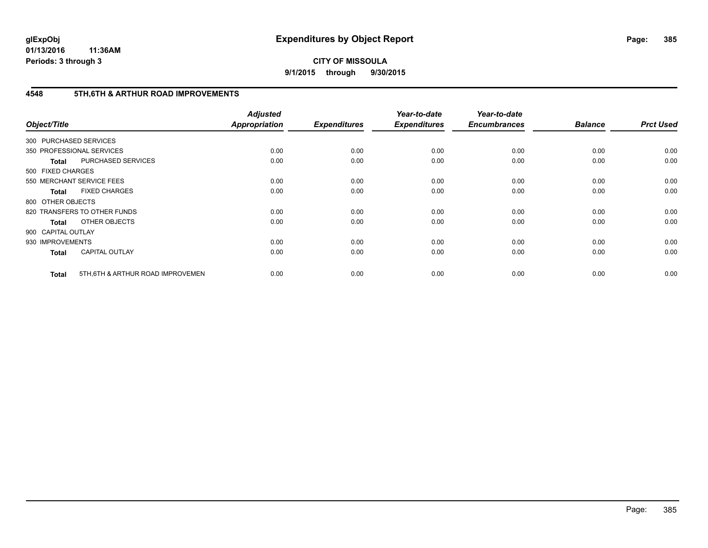**CITY OF MISSOULA 9/1/2015 through 9/30/2015**

## **4548 5TH,6TH & ARTHUR ROAD IMPROVEMENTS**

| Object/Title           |                                   | <b>Adjusted</b><br>Appropriation | <b>Expenditures</b> | Year-to-date<br><b>Expenditures</b> | Year-to-date<br><b>Encumbrances</b> | <b>Balance</b> | <b>Prct Used</b> |
|------------------------|-----------------------------------|----------------------------------|---------------------|-------------------------------------|-------------------------------------|----------------|------------------|
| 300 PURCHASED SERVICES |                                   |                                  |                     |                                     |                                     |                |                  |
|                        | 350 PROFESSIONAL SERVICES         | 0.00                             | 0.00                | 0.00                                | 0.00                                | 0.00           | 0.00             |
| <b>Total</b>           | PURCHASED SERVICES                | 0.00                             | 0.00                | 0.00                                | 0.00                                | 0.00           | 0.00             |
| 500 FIXED CHARGES      |                                   |                                  |                     |                                     |                                     |                |                  |
|                        | 550 MERCHANT SERVICE FEES         | 0.00                             | 0.00                | 0.00                                | 0.00                                | 0.00           | 0.00             |
| <b>Total</b>           | <b>FIXED CHARGES</b>              | 0.00                             | 0.00                | 0.00                                | 0.00                                | 0.00           | 0.00             |
| 800 OTHER OBJECTS      |                                   |                                  |                     |                                     |                                     |                |                  |
|                        | 820 TRANSFERS TO OTHER FUNDS      | 0.00                             | 0.00                | 0.00                                | 0.00                                | 0.00           | 0.00             |
| <b>Total</b>           | OTHER OBJECTS                     | 0.00                             | 0.00                | 0.00                                | 0.00                                | 0.00           | 0.00             |
| 900 CAPITAL OUTLAY     |                                   |                                  |                     |                                     |                                     |                |                  |
| 930 IMPROVEMENTS       |                                   | 0.00                             | 0.00                | 0.00                                | 0.00                                | 0.00           | 0.00             |
| <b>Total</b>           | <b>CAPITAL OUTLAY</b>             | 0.00                             | 0.00                | 0.00                                | 0.00                                | 0.00           | 0.00             |
| <b>Total</b>           | 5TH, 6TH & ARTHUR ROAD IMPROVEMEN | 0.00                             | 0.00                | 0.00                                | 0.00                                | 0.00           | 0.00             |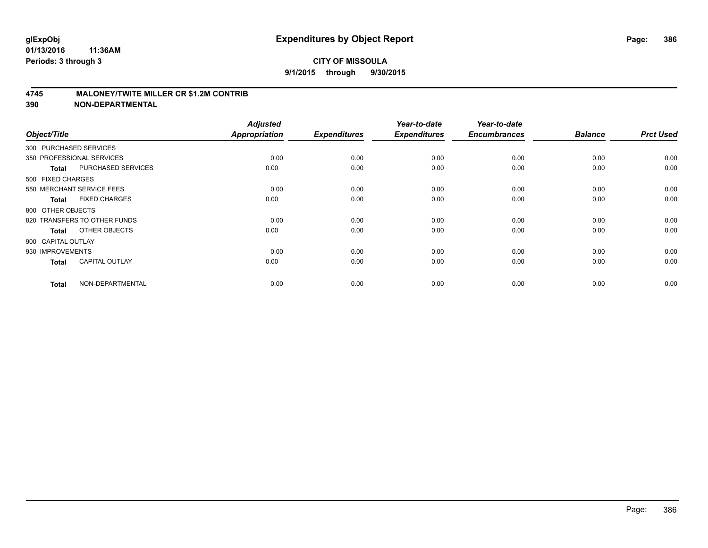### **4745 MALONEY/TWITE MILLER CR \$1.2M CONTRIB**

| Object/Title           |                              | <b>Adjusted</b><br><b>Appropriation</b> | <b>Expenditures</b> | Year-to-date<br><b>Expenditures</b> | Year-to-date<br><b>Encumbrances</b> | <b>Balance</b> | <b>Prct Used</b> |
|------------------------|------------------------------|-----------------------------------------|---------------------|-------------------------------------|-------------------------------------|----------------|------------------|
| 300 PURCHASED SERVICES |                              |                                         |                     |                                     |                                     |                |                  |
|                        | 350 PROFESSIONAL SERVICES    | 0.00                                    | 0.00                | 0.00                                | 0.00                                | 0.00           | 0.00             |
| <b>Total</b>           | PURCHASED SERVICES           | 0.00                                    | 0.00                | 0.00                                | 0.00                                | 0.00           | 0.00             |
| 500 FIXED CHARGES      |                              |                                         |                     |                                     |                                     |                |                  |
|                        | 550 MERCHANT SERVICE FEES    | 0.00                                    | 0.00                | 0.00                                | 0.00                                | 0.00           | 0.00             |
| <b>Total</b>           | <b>FIXED CHARGES</b>         | 0.00                                    | 0.00                | 0.00                                | 0.00                                | 0.00           | 0.00             |
| 800 OTHER OBJECTS      |                              |                                         |                     |                                     |                                     |                |                  |
|                        | 820 TRANSFERS TO OTHER FUNDS | 0.00                                    | 0.00                | 0.00                                | 0.00                                | 0.00           | 0.00             |
| <b>Total</b>           | OTHER OBJECTS                | 0.00                                    | 0.00                | 0.00                                | 0.00                                | 0.00           | 0.00             |
| 900 CAPITAL OUTLAY     |                              |                                         |                     |                                     |                                     |                |                  |
| 930 IMPROVEMENTS       |                              | 0.00                                    | 0.00                | 0.00                                | 0.00                                | 0.00           | 0.00             |
| <b>Total</b>           | <b>CAPITAL OUTLAY</b>        | 0.00                                    | 0.00                | 0.00                                | 0.00                                | 0.00           | 0.00             |
| <b>Total</b>           | NON-DEPARTMENTAL             | 0.00                                    | 0.00                | 0.00                                | 0.00                                | 0.00           | 0.00             |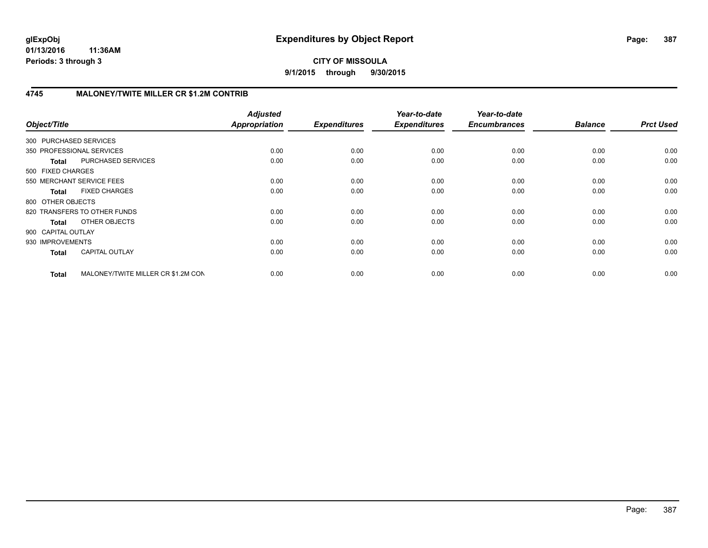**CITY OF MISSOULA 9/1/2015 through 9/30/2015**

## **4745 MALONEY/TWITE MILLER CR \$1.2M CONTRIB**

| Object/Title              |                                    | <b>Adjusted</b><br><b>Appropriation</b> | <b>Expenditures</b> | Year-to-date<br><b>Expenditures</b> | Year-to-date<br><b>Encumbrances</b> | <b>Balance</b> | <b>Prct Used</b> |
|---------------------------|------------------------------------|-----------------------------------------|---------------------|-------------------------------------|-------------------------------------|----------------|------------------|
| 300 PURCHASED SERVICES    |                                    |                                         |                     |                                     |                                     |                |                  |
| 350 PROFESSIONAL SERVICES |                                    | 0.00                                    | 0.00                | 0.00                                | 0.00                                | 0.00           | 0.00             |
| <b>Total</b>              | PURCHASED SERVICES                 | 0.00                                    | 0.00                | 0.00                                | 0.00                                | 0.00           | 0.00             |
| 500 FIXED CHARGES         |                                    |                                         |                     |                                     |                                     |                |                  |
| 550 MERCHANT SERVICE FEES |                                    | 0.00                                    | 0.00                | 0.00                                | 0.00                                | 0.00           | 0.00             |
| <b>Total</b>              | <b>FIXED CHARGES</b>               | 0.00                                    | 0.00                | 0.00                                | 0.00                                | 0.00           | 0.00             |
| 800 OTHER OBJECTS         |                                    |                                         |                     |                                     |                                     |                |                  |
|                           | 820 TRANSFERS TO OTHER FUNDS       | 0.00                                    | 0.00                | 0.00                                | 0.00                                | 0.00           | 0.00             |
| Total                     | OTHER OBJECTS                      | 0.00                                    | 0.00                | 0.00                                | 0.00                                | 0.00           | 0.00             |
| 900 CAPITAL OUTLAY        |                                    |                                         |                     |                                     |                                     |                |                  |
| 930 IMPROVEMENTS          |                                    | 0.00                                    | 0.00                | 0.00                                | 0.00                                | 0.00           | 0.00             |
| <b>Total</b>              | <b>CAPITAL OUTLAY</b>              | 0.00                                    | 0.00                | 0.00                                | 0.00                                | 0.00           | 0.00             |
| <b>Total</b>              | MALONEY/TWITE MILLER CR \$1.2M CON | 0.00                                    | 0.00                | 0.00                                | 0.00                                | 0.00           | 0.00             |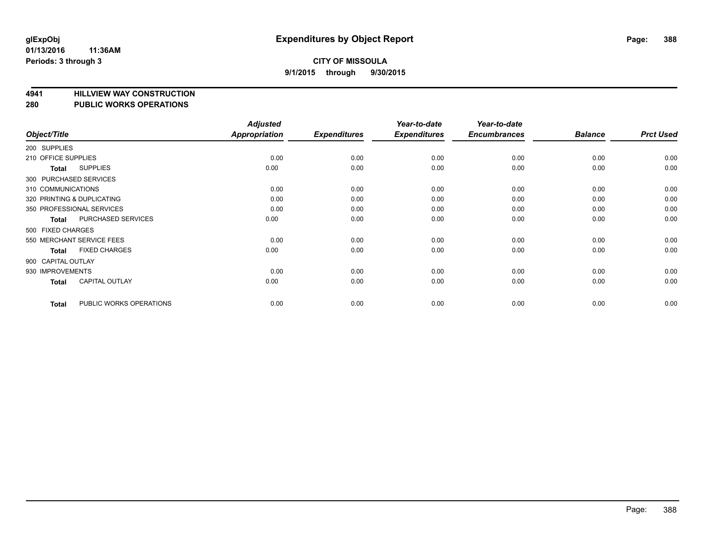# **4941 HILLVIEW WAY CONSTRUCTION**

#### **280 PUBLIC WORKS OPERATIONS**

| Object/Title        |                            | <b>Adjusted</b><br>Appropriation | <b>Expenditures</b> | Year-to-date<br><b>Expenditures</b> | Year-to-date<br><b>Encumbrances</b> | <b>Balance</b> | <b>Prct Used</b> |
|---------------------|----------------------------|----------------------------------|---------------------|-------------------------------------|-------------------------------------|----------------|------------------|
| 200 SUPPLIES        |                            |                                  |                     |                                     |                                     |                |                  |
| 210 OFFICE SUPPLIES |                            | 0.00                             | 0.00                | 0.00                                | 0.00                                | 0.00           | 0.00             |
| Total               | <b>SUPPLIES</b>            | 0.00                             | 0.00                | 0.00                                | 0.00                                | 0.00           | 0.00             |
|                     | 300 PURCHASED SERVICES     |                                  |                     |                                     |                                     |                |                  |
| 310 COMMUNICATIONS  |                            | 0.00                             | 0.00                | 0.00                                | 0.00                                | 0.00           | 0.00             |
|                     | 320 PRINTING & DUPLICATING | 0.00                             | 0.00                | 0.00                                | 0.00                                | 0.00           | 0.00             |
|                     | 350 PROFESSIONAL SERVICES  | 0.00                             | 0.00                | 0.00                                | 0.00                                | 0.00           | 0.00             |
| Total               | PURCHASED SERVICES         | 0.00                             | 0.00                | 0.00                                | 0.00                                | 0.00           | 0.00             |
| 500 FIXED CHARGES   |                            |                                  |                     |                                     |                                     |                |                  |
|                     | 550 MERCHANT SERVICE FEES  | 0.00                             | 0.00                | 0.00                                | 0.00                                | 0.00           | 0.00             |
| Total               | <b>FIXED CHARGES</b>       | 0.00                             | 0.00                | 0.00                                | 0.00                                | 0.00           | 0.00             |
| 900 CAPITAL OUTLAY  |                            |                                  |                     |                                     |                                     |                |                  |
| 930 IMPROVEMENTS    |                            | 0.00                             | 0.00                | 0.00                                | 0.00                                | 0.00           | 0.00             |
| Total               | <b>CAPITAL OUTLAY</b>      | 0.00                             | 0.00                | 0.00                                | 0.00                                | 0.00           | 0.00             |
| <b>Total</b>        | PUBLIC WORKS OPERATIONS    | 0.00                             | 0.00                | 0.00                                | 0.00                                | 0.00           | 0.00             |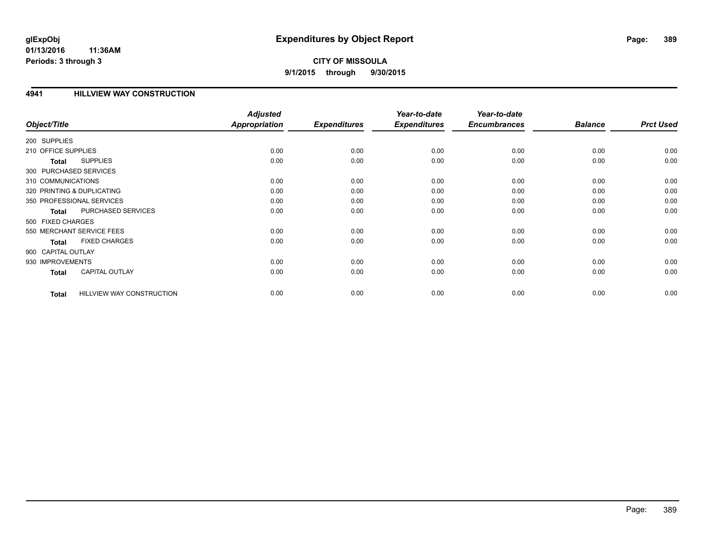## **CITY OF MISSOULA 9/1/2015 through 9/30/2015**

### **4941 HILLVIEW WAY CONSTRUCTION**

|                        |                                  | <b>Adjusted</b> |                     | Year-to-date        | Year-to-date        |                |                  |
|------------------------|----------------------------------|-----------------|---------------------|---------------------|---------------------|----------------|------------------|
| Object/Title           |                                  | Appropriation   | <b>Expenditures</b> | <b>Expenditures</b> | <b>Encumbrances</b> | <b>Balance</b> | <b>Prct Used</b> |
| 200 SUPPLIES           |                                  |                 |                     |                     |                     |                |                  |
| 210 OFFICE SUPPLIES    |                                  | 0.00            | 0.00                | 0.00                | 0.00                | 0.00           | 0.00             |
| <b>Total</b>           | <b>SUPPLIES</b>                  | 0.00            | 0.00                | 0.00                | 0.00                | 0.00           | 0.00             |
| 300 PURCHASED SERVICES |                                  |                 |                     |                     |                     |                |                  |
| 310 COMMUNICATIONS     |                                  | 0.00            | 0.00                | 0.00                | 0.00                | 0.00           | 0.00             |
|                        | 320 PRINTING & DUPLICATING       | 0.00            | 0.00                | 0.00                | 0.00                | 0.00           | 0.00             |
|                        | 350 PROFESSIONAL SERVICES        | 0.00            | 0.00                | 0.00                | 0.00                | 0.00           | 0.00             |
| <b>Total</b>           | PURCHASED SERVICES               | 0.00            | 0.00                | 0.00                | 0.00                | 0.00           | 0.00             |
| 500 FIXED CHARGES      |                                  |                 |                     |                     |                     |                |                  |
|                        | 550 MERCHANT SERVICE FEES        | 0.00            | 0.00                | 0.00                | 0.00                | 0.00           | 0.00             |
| <b>Total</b>           | <b>FIXED CHARGES</b>             | 0.00            | 0.00                | 0.00                | 0.00                | 0.00           | 0.00             |
| 900 CAPITAL OUTLAY     |                                  |                 |                     |                     |                     |                |                  |
| 930 IMPROVEMENTS       |                                  | 0.00            | 0.00                | 0.00                | 0.00                | 0.00           | 0.00             |
| <b>Total</b>           | <b>CAPITAL OUTLAY</b>            | 0.00            | 0.00                | 0.00                | 0.00                | 0.00           | 0.00             |
|                        |                                  |                 |                     |                     |                     |                |                  |
| <b>Total</b>           | <b>HILLVIEW WAY CONSTRUCTION</b> | 0.00            | 0.00                | 0.00                | 0.00                | 0.00           | 0.00             |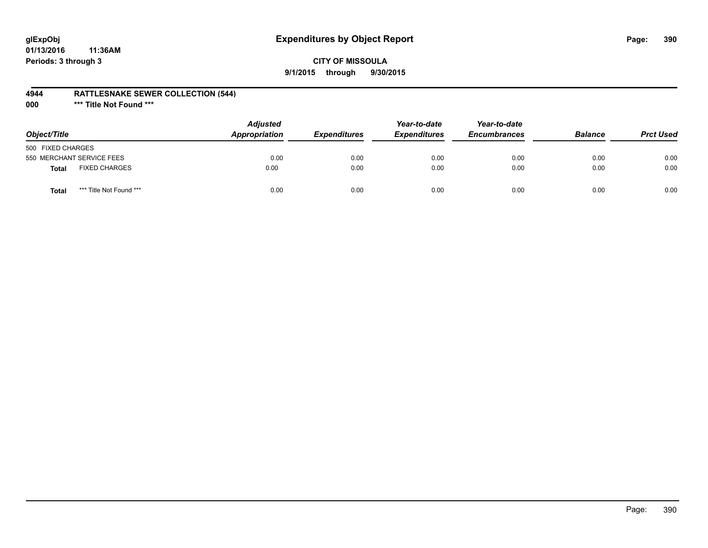# **glExpObj Expenditures by Object Report Page: 390**

## **CITY OF MISSOULA 9/1/2015 through 9/30/2015**

### **4944 RATTLESNAKE SEWER COLLECTION (544)**

**000 \*\*\* Title Not Found \*\*\***

| Object/Title                            | <b>Adjusted</b><br>Appropriation | <b>Expenditures</b> | Year-to-date<br><b>Expenditures</b> | Year-to-date<br><b>Encumbrances</b> | <b>Balance</b> | <b>Prct Used</b> |
|-----------------------------------------|----------------------------------|---------------------|-------------------------------------|-------------------------------------|----------------|------------------|
| 500 FIXED CHARGES                       |                                  |                     |                                     |                                     |                |                  |
| 550 MERCHANT SERVICE FEES               | 0.00                             | 0.00                | 0.00                                | 0.00                                | 0.00           | 0.00             |
| <b>FIXED CHARGES</b><br><b>Total</b>    | 0.00                             | 0.00                | 0.00                                | 0.00                                | 0.00           | 0.00             |
| *** Title Not Found ***<br><b>Total</b> | 0.00                             | 0.00                | 0.00                                | 0.00                                | 0.00           | 0.00             |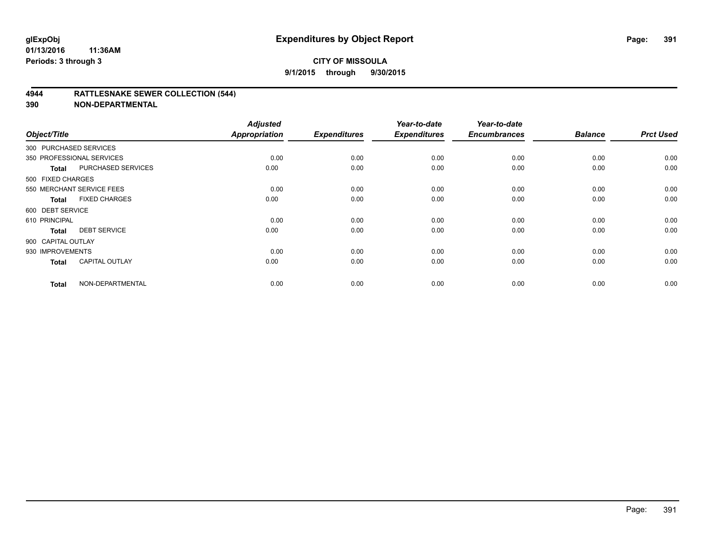### **4944 RATTLESNAKE SEWER COLLECTION (544)**

| Object/Title           |                           | <b>Adjusted</b><br><b>Appropriation</b> | <b>Expenditures</b> | Year-to-date<br><b>Expenditures</b> | Year-to-date<br><b>Encumbrances</b> | <b>Balance</b> | <b>Prct Used</b> |
|------------------------|---------------------------|-----------------------------------------|---------------------|-------------------------------------|-------------------------------------|----------------|------------------|
| 300 PURCHASED SERVICES |                           |                                         |                     |                                     |                                     |                |                  |
|                        | 350 PROFESSIONAL SERVICES | 0.00                                    | 0.00                | 0.00                                | 0.00                                | 0.00           | 0.00             |
| <b>Total</b>           | <b>PURCHASED SERVICES</b> | 0.00                                    | 0.00                | 0.00                                | 0.00                                | 0.00           | 0.00             |
| 500 FIXED CHARGES      |                           |                                         |                     |                                     |                                     |                |                  |
|                        | 550 MERCHANT SERVICE FEES | 0.00                                    | 0.00                | 0.00                                | 0.00                                | 0.00           | 0.00             |
| <b>Total</b>           | <b>FIXED CHARGES</b>      | 0.00                                    | 0.00                | 0.00                                | 0.00                                | 0.00           | 0.00             |
| 600 DEBT SERVICE       |                           |                                         |                     |                                     |                                     |                |                  |
| 610 PRINCIPAL          |                           | 0.00                                    | 0.00                | 0.00                                | 0.00                                | 0.00           | 0.00             |
| <b>Total</b>           | <b>DEBT SERVICE</b>       | 0.00                                    | 0.00                | 0.00                                | 0.00                                | 0.00           | 0.00             |
| 900 CAPITAL OUTLAY     |                           |                                         |                     |                                     |                                     |                |                  |
| 930 IMPROVEMENTS       |                           | 0.00                                    | 0.00                | 0.00                                | 0.00                                | 0.00           | 0.00             |
| <b>Total</b>           | <b>CAPITAL OUTLAY</b>     | 0.00                                    | 0.00                | 0.00                                | 0.00                                | 0.00           | 0.00             |
| <b>Total</b>           | NON-DEPARTMENTAL          | 0.00                                    | 0.00                | 0.00                                | 0.00                                | 0.00           | 0.00             |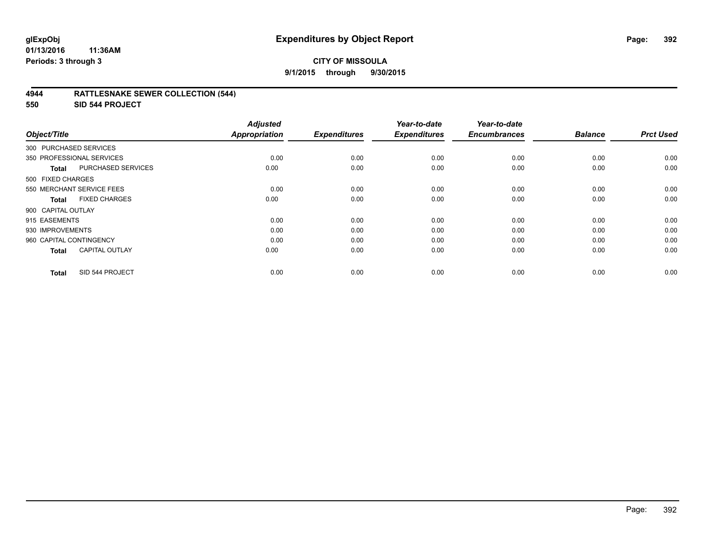### **4944 RATTLESNAKE SEWER COLLECTION (544)**

**550 SID 544 PROJECT**

| Object/Title              |                           | <b>Adjusted</b><br><b>Appropriation</b> | <b>Expenditures</b> | Year-to-date<br><b>Expenditures</b> | Year-to-date<br><b>Encumbrances</b> | <b>Balance</b> | <b>Prct Used</b> |
|---------------------------|---------------------------|-----------------------------------------|---------------------|-------------------------------------|-------------------------------------|----------------|------------------|
|                           |                           |                                         |                     |                                     |                                     |                |                  |
| 300 PURCHASED SERVICES    |                           |                                         |                     |                                     |                                     |                |                  |
| 350 PROFESSIONAL SERVICES |                           | 0.00                                    | 0.00                | 0.00                                | 0.00                                | 0.00           | 0.00             |
| <b>Total</b>              | <b>PURCHASED SERVICES</b> | 0.00                                    | 0.00                | 0.00                                | 0.00                                | 0.00           | 0.00             |
| 500 FIXED CHARGES         |                           |                                         |                     |                                     |                                     |                |                  |
| 550 MERCHANT SERVICE FEES |                           | 0.00                                    | 0.00                | 0.00                                | 0.00                                | 0.00           | 0.00             |
| <b>Total</b>              | <b>FIXED CHARGES</b>      | 0.00                                    | 0.00                | 0.00                                | 0.00                                | 0.00           | 0.00             |
| 900 CAPITAL OUTLAY        |                           |                                         |                     |                                     |                                     |                |                  |
| 915 EASEMENTS             |                           | 0.00                                    | 0.00                | 0.00                                | 0.00                                | 0.00           | 0.00             |
| 930 IMPROVEMENTS          |                           | 0.00                                    | 0.00                | 0.00                                | 0.00                                | 0.00           | 0.00             |
| 960 CAPITAL CONTINGENCY   |                           | 0.00                                    | 0.00                | 0.00                                | 0.00                                | 0.00           | 0.00             |
| <b>Total</b>              | <b>CAPITAL OUTLAY</b>     | 0.00                                    | 0.00                | 0.00                                | 0.00                                | 0.00           | 0.00             |
| <b>Total</b>              | SID 544 PROJECT           | 0.00                                    | 0.00                | 0.00                                | 0.00                                | 0.00           | 0.00             |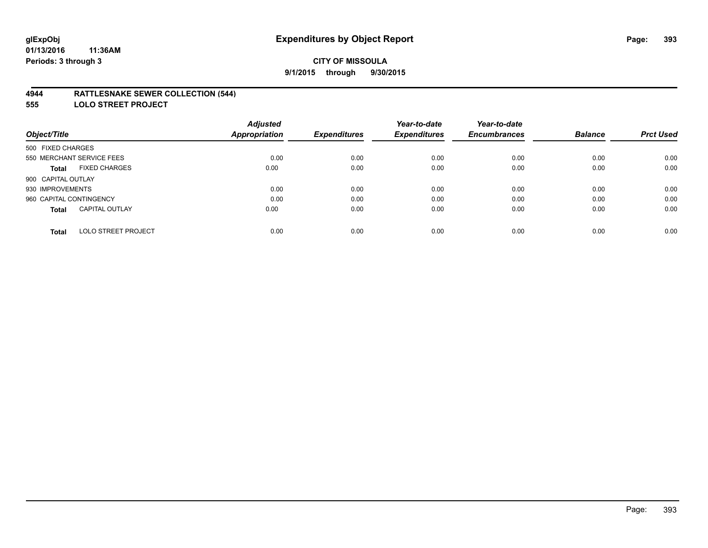### **4944 RATTLESNAKE SEWER COLLECTION (544)**

**555 LOLO STREET PROJECT**

|                                            | <b>Adjusted</b> |                     | Year-to-date        | Year-to-date        |                |                  |
|--------------------------------------------|-----------------|---------------------|---------------------|---------------------|----------------|------------------|
| Object/Title                               | Appropriation   | <b>Expenditures</b> | <b>Expenditures</b> | <b>Encumbrances</b> | <b>Balance</b> | <b>Prct Used</b> |
| 500 FIXED CHARGES                          |                 |                     |                     |                     |                |                  |
| 550 MERCHANT SERVICE FEES                  | 0.00            | 0.00                | 0.00                | 0.00                | 0.00           | 0.00             |
| <b>FIXED CHARGES</b><br><b>Total</b>       | 0.00            | 0.00                | 0.00                | 0.00                | 0.00           | 0.00             |
| 900 CAPITAL OUTLAY                         |                 |                     |                     |                     |                |                  |
| 930 IMPROVEMENTS                           | 0.00            | 0.00                | 0.00                | 0.00                | 0.00           | 0.00             |
| 960 CAPITAL CONTINGENCY                    | 0.00            | 0.00                | 0.00                | 0.00                | 0.00           | 0.00             |
| <b>CAPITAL OUTLAY</b><br><b>Total</b>      | 0.00            | 0.00                | 0.00                | 0.00                | 0.00           | 0.00             |
|                                            |                 |                     |                     |                     |                |                  |
| <b>LOLO STREET PROJECT</b><br><b>Total</b> | 0.00            | 0.00                | 0.00                | 0.00                | 0.00           | 0.00             |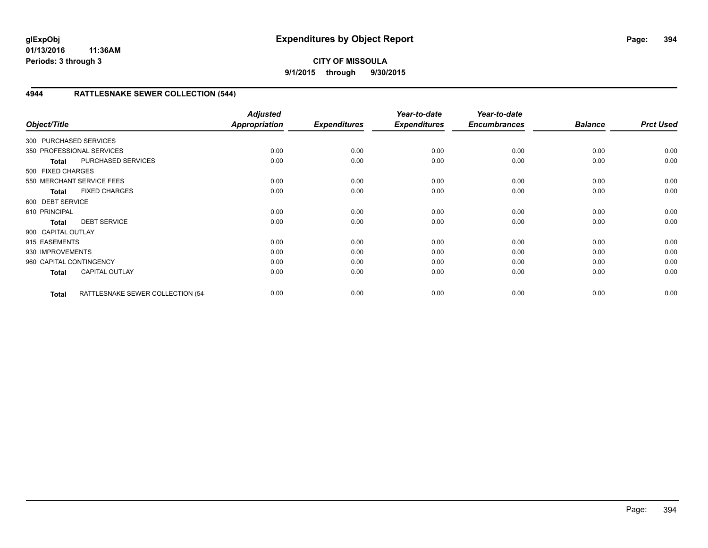## **CITY OF MISSOULA 9/1/2015 through 9/30/2015**

## **4944 RATTLESNAKE SEWER COLLECTION (544)**

| Object/Title            |                                   | <b>Adjusted</b><br>Appropriation | <b>Expenditures</b> | Year-to-date<br><b>Expenditures</b> | Year-to-date<br><b>Encumbrances</b> | <b>Balance</b> | <b>Prct Used</b> |
|-------------------------|-----------------------------------|----------------------------------|---------------------|-------------------------------------|-------------------------------------|----------------|------------------|
| 300 PURCHASED SERVICES  |                                   |                                  |                     |                                     |                                     |                |                  |
|                         | 350 PROFESSIONAL SERVICES         | 0.00                             | 0.00                | 0.00                                | 0.00                                | 0.00           | 0.00             |
| <b>Total</b>            | PURCHASED SERVICES                | 0.00                             | 0.00                | 0.00                                | 0.00                                | 0.00           | 0.00             |
| 500 FIXED CHARGES       |                                   |                                  |                     |                                     |                                     |                |                  |
|                         | 550 MERCHANT SERVICE FEES         | 0.00                             | 0.00                | 0.00                                | 0.00                                | 0.00           | 0.00             |
| <b>Total</b>            | <b>FIXED CHARGES</b>              | 0.00                             | 0.00                | 0.00                                | 0.00                                | 0.00           | 0.00             |
| 600 DEBT SERVICE        |                                   |                                  |                     |                                     |                                     |                |                  |
| 610 PRINCIPAL           |                                   | 0.00                             | 0.00                | 0.00                                | 0.00                                | 0.00           | 0.00             |
| <b>Total</b>            | <b>DEBT SERVICE</b>               | 0.00                             | 0.00                | 0.00                                | 0.00                                | 0.00           | 0.00             |
| 900 CAPITAL OUTLAY      |                                   |                                  |                     |                                     |                                     |                |                  |
| 915 EASEMENTS           |                                   | 0.00                             | 0.00                | 0.00                                | 0.00                                | 0.00           | 0.00             |
| 930 IMPROVEMENTS        |                                   | 0.00                             | 0.00                | 0.00                                | 0.00                                | 0.00           | 0.00             |
| 960 CAPITAL CONTINGENCY |                                   | 0.00                             | 0.00                | 0.00                                | 0.00                                | 0.00           | 0.00             |
| <b>Total</b>            | <b>CAPITAL OUTLAY</b>             | 0.00                             | 0.00                | 0.00                                | 0.00                                | 0.00           | 0.00             |
| <b>Total</b>            | RATTLESNAKE SEWER COLLECTION (54- | 0.00                             | 0.00                | 0.00                                | 0.00                                | 0.00           | 0.00             |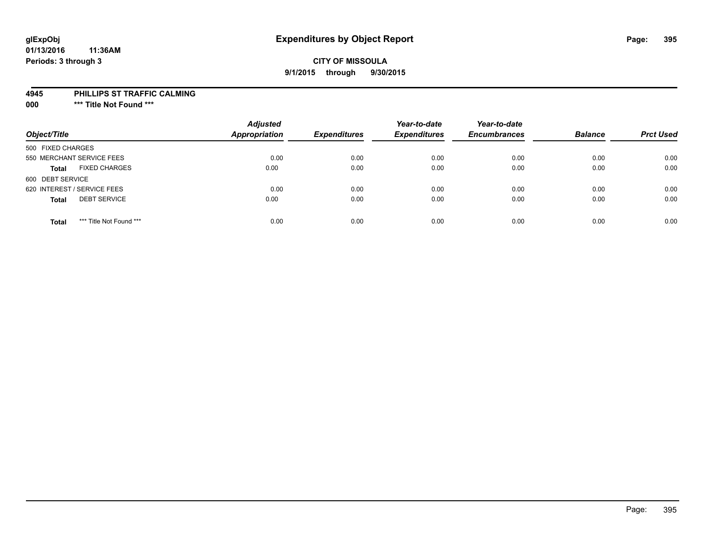# **glExpObj Expenditures by Object Report Page: 395**

#### **01/13/2016 11:36AM Periods: 3 through 3**

### **CITY OF MISSOULA 9/1/2015 through 9/30/2015**

#### **4945 PHILLIPS ST TRAFFIC CALMING**

**000 \*\*\* Title Not Found \*\*\***

| Object/Title                            | <b>Adjusted</b><br><b>Appropriation</b> | <b>Expenditures</b> | Year-to-date<br><b>Expenditures</b> | Year-to-date<br><b>Encumbrances</b> | <b>Balance</b> | <b>Prct Used</b> |
|-----------------------------------------|-----------------------------------------|---------------------|-------------------------------------|-------------------------------------|----------------|------------------|
| 500 FIXED CHARGES                       |                                         |                     |                                     |                                     |                |                  |
| 550 MERCHANT SERVICE FEES               | 0.00                                    | 0.00                | 0.00                                | 0.00                                | 0.00           | 0.00             |
| <b>FIXED CHARGES</b><br><b>Total</b>    | 0.00                                    | 0.00                | 0.00                                | 0.00                                | 0.00           | 0.00             |
| 600 DEBT SERVICE                        |                                         |                     |                                     |                                     |                |                  |
| 620 INTEREST / SERVICE FEES             | 0.00                                    | 0.00                | 0.00                                | 0.00                                | 0.00           | 0.00             |
| <b>DEBT SERVICE</b><br><b>Total</b>     | 0.00                                    | 0.00                | 0.00                                | 0.00                                | 0.00           | 0.00             |
| *** Title Not Found ***<br><b>Total</b> | 0.00                                    | 0.00                | 0.00                                | 0.00                                | 0.00           | 0.00             |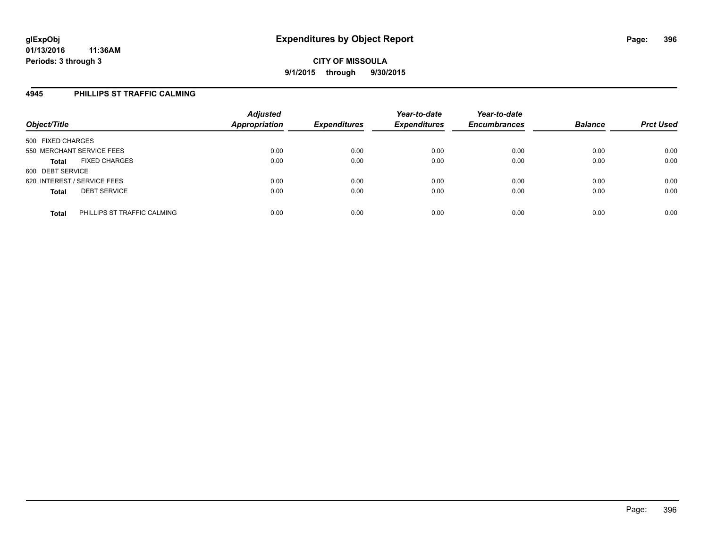## **4945 PHILLIPS ST TRAFFIC CALMING**

| Object/Title                                | <b>Adjusted</b><br><b>Appropriation</b> | <b>Expenditures</b> | Year-to-date<br><b>Expenditures</b> | Year-to-date<br><b>Encumbrances</b> | <b>Balance</b> | <b>Prct Used</b> |
|---------------------------------------------|-----------------------------------------|---------------------|-------------------------------------|-------------------------------------|----------------|------------------|
| 500 FIXED CHARGES                           |                                         |                     |                                     |                                     |                |                  |
| 550 MERCHANT SERVICE FEES                   | 0.00                                    | 0.00                | 0.00                                | 0.00                                | 0.00           | 0.00             |
| <b>FIXED CHARGES</b><br><b>Total</b>        | 0.00                                    | 0.00                | 0.00                                | 0.00                                | 0.00           | 0.00             |
| 600 DEBT SERVICE                            |                                         |                     |                                     |                                     |                |                  |
| 620 INTEREST / SERVICE FEES                 | 0.00                                    | 0.00                | 0.00                                | 0.00                                | 0.00           | 0.00             |
| <b>DEBT SERVICE</b><br><b>Total</b>         | 0.00                                    | 0.00                | 0.00                                | 0.00                                | 0.00           | 0.00             |
| PHILLIPS ST TRAFFIC CALMING<br><b>Total</b> | 0.00                                    | 0.00                | 0.00                                | 0.00                                | 0.00           | 0.00             |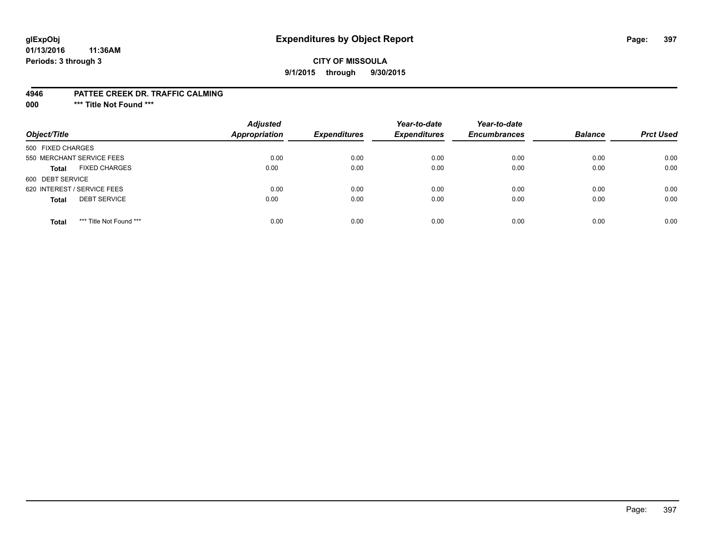# **glExpObj Expenditures by Object Report Page: 397**

### **CITY OF MISSOULA 9/1/2015 through 9/30/2015**

#### **4946 PATTEE CREEK DR. TRAFFIC CALMING**

**000 \*\*\* Title Not Found \*\*\***

| Object/Title                            | <b>Adjusted</b><br>Appropriation | <b>Expenditures</b> | Year-to-date<br><b>Expenditures</b> | Year-to-date<br><b>Encumbrances</b> | <b>Balance</b> | <b>Prct Used</b> |
|-----------------------------------------|----------------------------------|---------------------|-------------------------------------|-------------------------------------|----------------|------------------|
| 500 FIXED CHARGES                       |                                  |                     |                                     |                                     |                |                  |
| 550 MERCHANT SERVICE FEES               | 0.00                             | 0.00                | 0.00                                | 0.00                                | 0.00           | 0.00             |
| <b>FIXED CHARGES</b><br><b>Total</b>    | 0.00                             | 0.00                | 0.00                                | 0.00                                | 0.00           | 0.00             |
| 600 DEBT SERVICE                        |                                  |                     |                                     |                                     |                |                  |
| 620 INTEREST / SERVICE FEES             | 0.00                             | 0.00                | 0.00                                | 0.00                                | 0.00           | 0.00             |
| <b>DEBT SERVICE</b><br><b>Total</b>     | 0.00                             | 0.00                | 0.00                                | 0.00                                | 0.00           | 0.00             |
| *** Title Not Found ***<br><b>Total</b> | 0.00                             | 0.00                | 0.00                                | 0.00                                | 0.00           | 0.00             |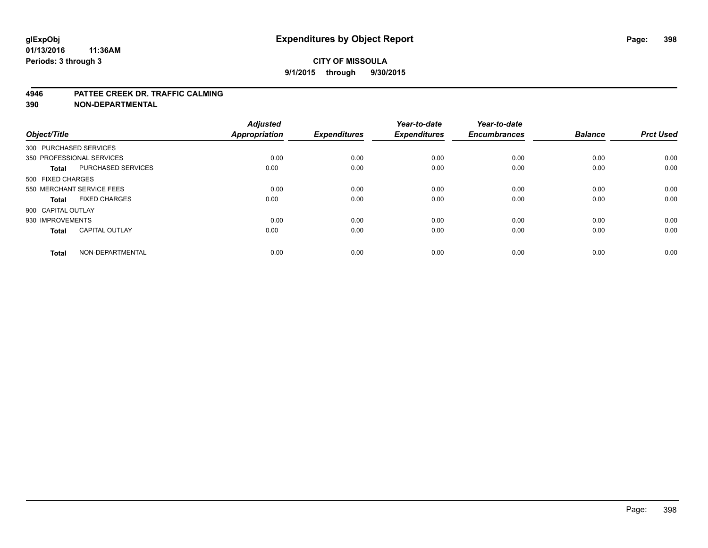#### **4946 PATTEE CREEK DR. TRAFFIC CALMING**

**390 NON-DEPARTMENTAL**

| Object/Title           |                           | <b>Adjusted</b><br><b>Appropriation</b> | <b>Expenditures</b> | Year-to-date<br><b>Expenditures</b> | Year-to-date<br><b>Encumbrances</b> | <b>Balance</b> | <b>Prct Used</b> |
|------------------------|---------------------------|-----------------------------------------|---------------------|-------------------------------------|-------------------------------------|----------------|------------------|
| 300 PURCHASED SERVICES |                           |                                         |                     |                                     |                                     |                |                  |
|                        | 350 PROFESSIONAL SERVICES | 0.00                                    | 0.00                | 0.00                                | 0.00                                | 0.00           | 0.00             |
| <b>Total</b>           | <b>PURCHASED SERVICES</b> | 0.00                                    | 0.00                | 0.00                                | 0.00                                | 0.00           | 0.00             |
| 500 FIXED CHARGES      |                           |                                         |                     |                                     |                                     |                |                  |
|                        | 550 MERCHANT SERVICE FEES | 0.00                                    | 0.00                | 0.00                                | 0.00                                | 0.00           | 0.00             |
| Total                  | <b>FIXED CHARGES</b>      | 0.00                                    | 0.00                | 0.00                                | 0.00                                | 0.00           | 0.00             |
| 900 CAPITAL OUTLAY     |                           |                                         |                     |                                     |                                     |                |                  |
| 930 IMPROVEMENTS       |                           | 0.00                                    | 0.00                | 0.00                                | 0.00                                | 0.00           | 0.00             |
| Total                  | <b>CAPITAL OUTLAY</b>     | 0.00                                    | 0.00                | 0.00                                | 0.00                                | 0.00           | 0.00             |
| <b>Total</b>           | NON-DEPARTMENTAL          | 0.00                                    | 0.00                | 0.00                                | 0.00                                | 0.00           | 0.00             |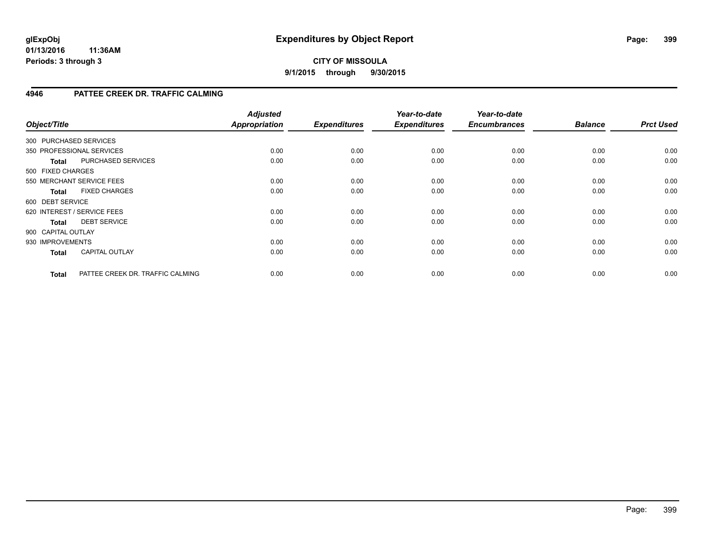**CITY OF MISSOULA 9/1/2015 through 9/30/2015**

### **4946 PATTEE CREEK DR. TRAFFIC CALMING**

| Object/Title       |                                  | <b>Adjusted</b><br><b>Appropriation</b> | <b>Expenditures</b> | Year-to-date<br><b>Expenditures</b> | Year-to-date<br><b>Encumbrances</b> | <b>Balance</b> | <b>Prct Used</b> |
|--------------------|----------------------------------|-----------------------------------------|---------------------|-------------------------------------|-------------------------------------|----------------|------------------|
|                    | 300 PURCHASED SERVICES           |                                         |                     |                                     |                                     |                |                  |
|                    | 350 PROFESSIONAL SERVICES        | 0.00                                    | 0.00                | 0.00                                | 0.00                                | 0.00           | 0.00             |
| <b>Total</b>       | PURCHASED SERVICES               | 0.00                                    | 0.00                | 0.00                                | 0.00                                | 0.00           | 0.00             |
| 500 FIXED CHARGES  |                                  |                                         |                     |                                     |                                     |                |                  |
|                    | 550 MERCHANT SERVICE FEES        | 0.00                                    | 0.00                | 0.00                                | 0.00                                | 0.00           | 0.00             |
| <b>Total</b>       | <b>FIXED CHARGES</b>             | 0.00                                    | 0.00                | 0.00                                | 0.00                                | 0.00           | 0.00             |
| 600 DEBT SERVICE   |                                  |                                         |                     |                                     |                                     |                |                  |
|                    | 620 INTEREST / SERVICE FEES      | 0.00                                    | 0.00                | 0.00                                | 0.00                                | 0.00           | 0.00             |
| Total              | <b>DEBT SERVICE</b>              | 0.00                                    | 0.00                | 0.00                                | 0.00                                | 0.00           | 0.00             |
| 900 CAPITAL OUTLAY |                                  |                                         |                     |                                     |                                     |                |                  |
| 930 IMPROVEMENTS   |                                  | 0.00                                    | 0.00                | 0.00                                | 0.00                                | 0.00           | 0.00             |
| <b>Total</b>       | <b>CAPITAL OUTLAY</b>            | 0.00                                    | 0.00                | 0.00                                | 0.00                                | 0.00           | 0.00             |
| <b>Total</b>       | PATTEE CREEK DR. TRAFFIC CALMING | 0.00                                    | 0.00                | 0.00                                | 0.00                                | 0.00           | 0.00             |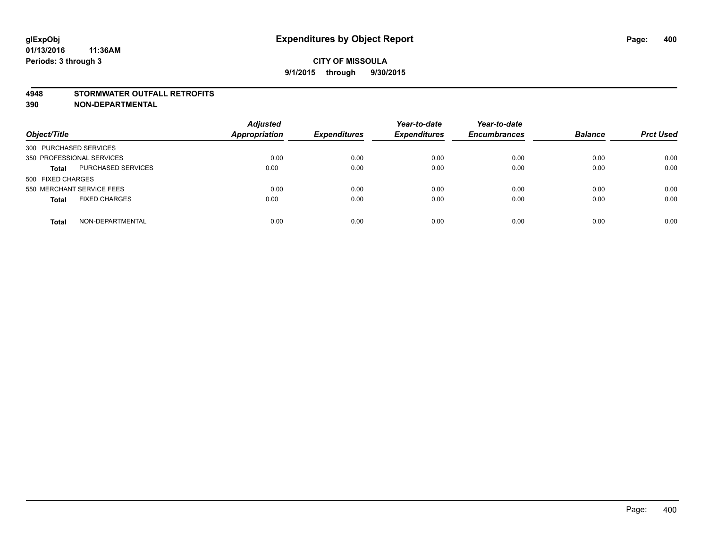#### **4948 STORMWATER OUTFALL RETROFITS**

**390 NON-DEPARTMENTAL**

| Object/Title                              | <b>Adjusted</b><br><b>Appropriation</b> | <b>Expenditures</b> | Year-to-date<br><b>Expenditures</b> | Year-to-date<br><b>Encumbrances</b> | <b>Balance</b> | <b>Prct Used</b> |
|-------------------------------------------|-----------------------------------------|---------------------|-------------------------------------|-------------------------------------|----------------|------------------|
| 300 PURCHASED SERVICES                    |                                         |                     |                                     |                                     |                |                  |
| 350 PROFESSIONAL SERVICES                 | 0.00                                    | 0.00                | 0.00                                | 0.00                                | 0.00           | 0.00             |
| <b>PURCHASED SERVICES</b><br><b>Total</b> | 0.00                                    | 0.00                | 0.00                                | 0.00                                | 0.00           | 0.00             |
| 500 FIXED CHARGES                         |                                         |                     |                                     |                                     |                |                  |
| 550 MERCHANT SERVICE FEES                 | 0.00                                    | 0.00                | 0.00                                | 0.00                                | 0.00           | 0.00             |
| <b>FIXED CHARGES</b><br><b>Total</b>      | 0.00                                    | 0.00                | 0.00                                | 0.00                                | 0.00           | 0.00             |
| NON-DEPARTMENTAL<br><b>Total</b>          | 0.00                                    | 0.00                | 0.00                                | 0.00                                | 0.00           | 0.00             |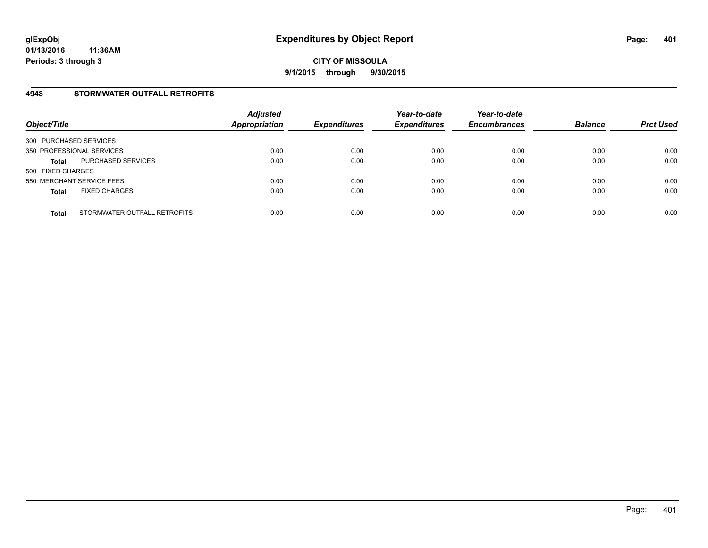### **4948 STORMWATER OUTFALL RETROFITS**

| Object/Title                                 | <b>Adjusted</b><br><b>Appropriation</b> | <b>Expenditures</b> | Year-to-date<br><b>Expenditures</b> | Year-to-date<br><b>Encumbrances</b> | <b>Balance</b> | <b>Prct Used</b> |
|----------------------------------------------|-----------------------------------------|---------------------|-------------------------------------|-------------------------------------|----------------|------------------|
| 300 PURCHASED SERVICES                       |                                         |                     |                                     |                                     |                |                  |
| 350 PROFESSIONAL SERVICES                    | 0.00                                    | 0.00                | 0.00                                | 0.00                                | 0.00           | 0.00             |
| PURCHASED SERVICES<br><b>Total</b>           | 0.00                                    | 0.00                | 0.00                                | 0.00                                | 0.00           | 0.00             |
| 500 FIXED CHARGES                            |                                         |                     |                                     |                                     |                |                  |
| 550 MERCHANT SERVICE FEES                    | 0.00                                    | 0.00                | 0.00                                | 0.00                                | 0.00           | 0.00             |
| <b>FIXED CHARGES</b><br><b>Total</b>         | 0.00                                    | 0.00                | 0.00                                | 0.00                                | 0.00           | 0.00             |
| STORMWATER OUTFALL RETROFITS<br><b>Total</b> | 0.00                                    | 0.00                | 0.00                                | 0.00                                | 0.00           | 0.00             |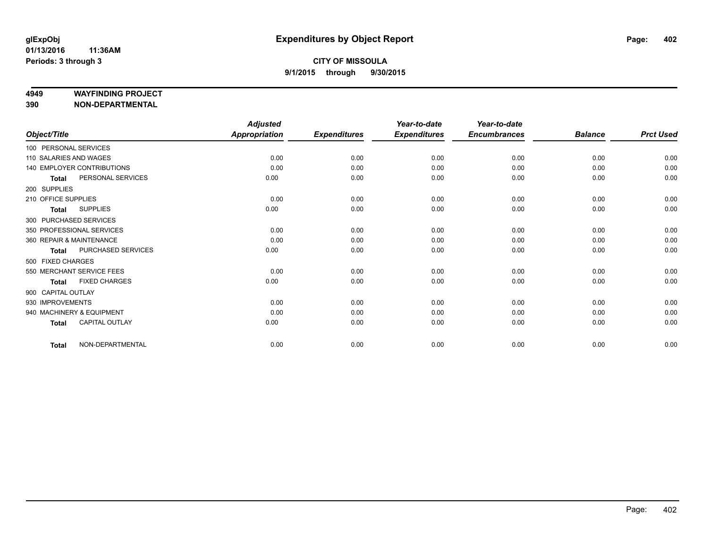#### **4949 WAYFINDING PROJECT**

**390 NON-DEPARTMENTAL**

|                        |                            | <b>Adjusted</b> |                     | Year-to-date        | Year-to-date        |                |                  |
|------------------------|----------------------------|-----------------|---------------------|---------------------|---------------------|----------------|------------------|
| Object/Title           |                            | Appropriation   | <b>Expenditures</b> | <b>Expenditures</b> | <b>Encumbrances</b> | <b>Balance</b> | <b>Prct Used</b> |
| 100 PERSONAL SERVICES  |                            |                 |                     |                     |                     |                |                  |
| 110 SALARIES AND WAGES |                            | 0.00            | 0.00                | 0.00                | 0.00                | 0.00           | 0.00             |
|                        | 140 EMPLOYER CONTRIBUTIONS | 0.00            | 0.00                | 0.00                | 0.00                | 0.00           | 0.00             |
| <b>Total</b>           | PERSONAL SERVICES          | 0.00            | 0.00                | 0.00                | 0.00                | 0.00           | 0.00             |
| 200 SUPPLIES           |                            |                 |                     |                     |                     |                |                  |
| 210 OFFICE SUPPLIES    |                            | 0.00            | 0.00                | 0.00                | 0.00                | 0.00           | 0.00             |
| <b>Total</b>           | <b>SUPPLIES</b>            | 0.00            | 0.00                | 0.00                | 0.00                | 0.00           | 0.00             |
|                        | 300 PURCHASED SERVICES     |                 |                     |                     |                     |                |                  |
|                        | 350 PROFESSIONAL SERVICES  | 0.00            | 0.00                | 0.00                | 0.00                | 0.00           | 0.00             |
|                        | 360 REPAIR & MAINTENANCE   | 0.00            | 0.00                | 0.00                | 0.00                | 0.00           | 0.00             |
| <b>Total</b>           | PURCHASED SERVICES         | 0.00            | 0.00                | 0.00                | 0.00                | 0.00           | 0.00             |
| 500 FIXED CHARGES      |                            |                 |                     |                     |                     |                |                  |
|                        | 550 MERCHANT SERVICE FEES  | 0.00            | 0.00                | 0.00                | 0.00                | 0.00           | 0.00             |
| <b>Total</b>           | <b>FIXED CHARGES</b>       | 0.00            | 0.00                | 0.00                | 0.00                | 0.00           | 0.00             |
| 900 CAPITAL OUTLAY     |                            |                 |                     |                     |                     |                |                  |
| 930 IMPROVEMENTS       |                            | 0.00            | 0.00                | 0.00                | 0.00                | 0.00           | 0.00             |
|                        | 940 MACHINERY & EQUIPMENT  | 0.00            | 0.00                | 0.00                | 0.00                | 0.00           | 0.00             |
| <b>Total</b>           | CAPITAL OUTLAY             | 0.00            | 0.00                | 0.00                | 0.00                | 0.00           | 0.00             |
| <b>Total</b>           | NON-DEPARTMENTAL           | 0.00            | 0.00                | 0.00                | 0.00                | 0.00           | 0.00             |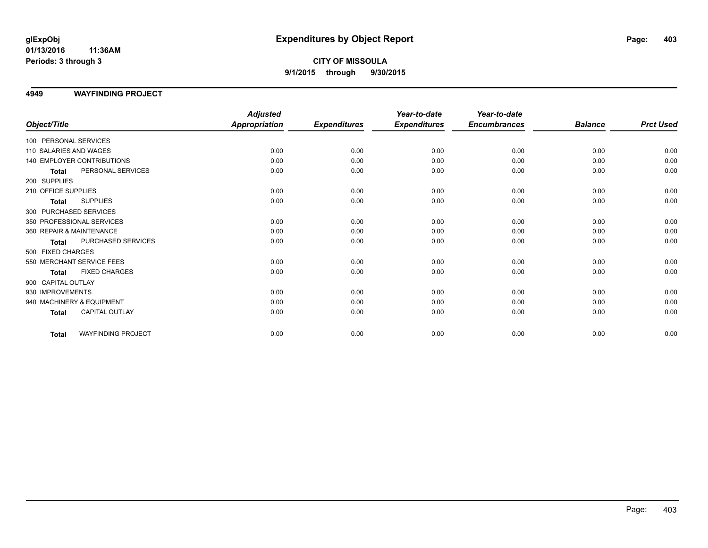# **CITY OF MISSOULA 9/1/2015 through 9/30/2015**

#### **4949 WAYFINDING PROJECT**

|                                           | <b>Adjusted</b>      |                     | Year-to-date        | Year-to-date        |                |                  |
|-------------------------------------------|----------------------|---------------------|---------------------|---------------------|----------------|------------------|
| Object/Title                              | <b>Appropriation</b> | <b>Expenditures</b> | <b>Expenditures</b> | <b>Encumbrances</b> | <b>Balance</b> | <b>Prct Used</b> |
| 100 PERSONAL SERVICES                     |                      |                     |                     |                     |                |                  |
| 110 SALARIES AND WAGES                    | 0.00                 | 0.00                | 0.00                | 0.00                | 0.00           | 0.00             |
| 140 EMPLOYER CONTRIBUTIONS                | 0.00                 | 0.00                | 0.00                | 0.00                | 0.00           | 0.00             |
| PERSONAL SERVICES<br><b>Total</b>         | 0.00                 | 0.00                | 0.00                | 0.00                | 0.00           | 0.00             |
| 200 SUPPLIES                              |                      |                     |                     |                     |                |                  |
| 210 OFFICE SUPPLIES                       | 0.00                 | 0.00                | 0.00                | 0.00                | 0.00           | 0.00             |
| <b>SUPPLIES</b><br><b>Total</b>           | 0.00                 | 0.00                | 0.00                | 0.00                | 0.00           | 0.00             |
| 300 PURCHASED SERVICES                    |                      |                     |                     |                     |                |                  |
| 350 PROFESSIONAL SERVICES                 | 0.00                 | 0.00                | 0.00                | 0.00                | 0.00           | 0.00             |
| 360 REPAIR & MAINTENANCE                  | 0.00                 | 0.00                | 0.00                | 0.00                | 0.00           | 0.00             |
| PURCHASED SERVICES<br><b>Total</b>        | 0.00                 | 0.00                | 0.00                | 0.00                | 0.00           | 0.00             |
| 500 FIXED CHARGES                         |                      |                     |                     |                     |                |                  |
| 550 MERCHANT SERVICE FEES                 | 0.00                 | 0.00                | 0.00                | 0.00                | 0.00           | 0.00             |
| <b>FIXED CHARGES</b><br><b>Total</b>      | 0.00                 | 0.00                | 0.00                | 0.00                | 0.00           | 0.00             |
| 900 CAPITAL OUTLAY                        |                      |                     |                     |                     |                |                  |
| 930 IMPROVEMENTS                          | 0.00                 | 0.00                | 0.00                | 0.00                | 0.00           | 0.00             |
| 940 MACHINERY & EQUIPMENT                 | 0.00                 | 0.00                | 0.00                | 0.00                | 0.00           | 0.00             |
| <b>CAPITAL OUTLAY</b><br><b>Total</b>     | 0.00                 | 0.00                | 0.00                | 0.00                | 0.00           | 0.00             |
| <b>WAYFINDING PROJECT</b><br><b>Total</b> | 0.00                 | 0.00                | 0.00                | 0.00                | 0.00           | 0.00             |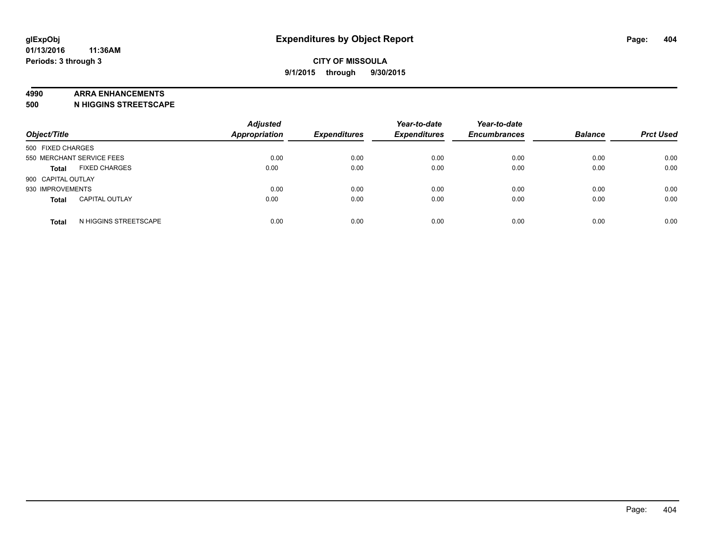#### **4990 ARRA ENHANCEMENTS**

**500 N HIGGINS STREETSCAPE**

| Object/Title                          | <b>Adjusted</b><br><b>Appropriation</b> | <b>Expenditures</b> | Year-to-date<br><b>Expenditures</b> | Year-to-date<br><b>Encumbrances</b> | <b>Balance</b> | <b>Prct Used</b> |
|---------------------------------------|-----------------------------------------|---------------------|-------------------------------------|-------------------------------------|----------------|------------------|
| 500 FIXED CHARGES                     |                                         |                     |                                     |                                     |                |                  |
| 550 MERCHANT SERVICE FEES             | 0.00                                    | 0.00                | 0.00                                | 0.00                                | 0.00           | 0.00             |
| <b>FIXED CHARGES</b><br><b>Total</b>  | 0.00                                    | 0.00                | 0.00                                | 0.00                                | 0.00           | 0.00             |
| 900 CAPITAL OUTLAY                    |                                         |                     |                                     |                                     |                |                  |
| 930 IMPROVEMENTS                      | 0.00                                    | 0.00                | 0.00                                | 0.00                                | 0.00           | 0.00             |
| <b>CAPITAL OUTLAY</b><br><b>Total</b> | 0.00                                    | 0.00                | 0.00                                | 0.00                                | 0.00           | 0.00             |
| N HIGGINS STREETSCAPE<br><b>Total</b> | 0.00                                    | 0.00                | 0.00                                | 0.00                                | 0.00           | 0.00             |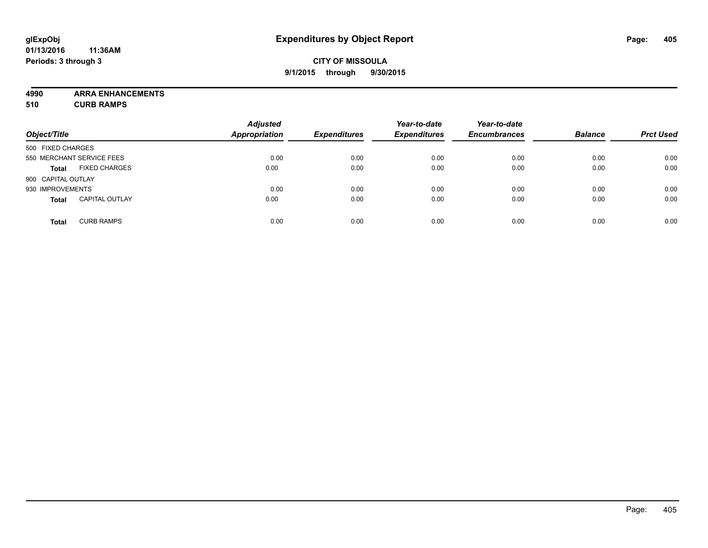# **CITY OF MISSOULA 9/1/2015 through 9/30/2015**

**4990 ARRA ENHANCEMENTS**

**510 CURB RAMPS**

| Object/Title       |                           | <b>Adjusted</b><br><b>Appropriation</b> | <b>Expenditures</b> | Year-to-date<br><b>Expenditures</b> | Year-to-date<br><b>Encumbrances</b> | <b>Balance</b> | <b>Prct Used</b> |
|--------------------|---------------------------|-----------------------------------------|---------------------|-------------------------------------|-------------------------------------|----------------|------------------|
| 500 FIXED CHARGES  |                           |                                         |                     |                                     |                                     |                |                  |
|                    | 550 MERCHANT SERVICE FEES | 0.00                                    | 0.00                | 0.00                                | 0.00                                | 0.00           | 0.00             |
| <b>Total</b>       | <b>FIXED CHARGES</b>      | 0.00                                    | 0.00                | 0.00                                | 0.00                                | 0.00           | 0.00             |
| 900 CAPITAL OUTLAY |                           |                                         |                     |                                     |                                     |                |                  |
| 930 IMPROVEMENTS   |                           | 0.00                                    | 0.00                | 0.00                                | 0.00                                | 0.00           | 0.00             |
| <b>Total</b>       | <b>CAPITAL OUTLAY</b>     | 0.00                                    | 0.00                | 0.00                                | 0.00                                | 0.00           | 0.00             |
| <b>Total</b>       | <b>CURB RAMPS</b>         | 0.00                                    | 0.00                | 0.00                                | 0.00                                | 0.00           | 0.00             |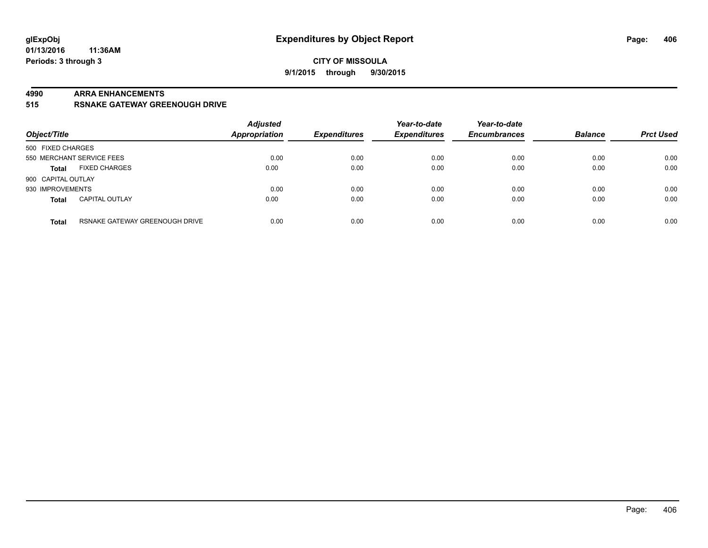### **CITY OF MISSOULA 9/1/2015 through 9/30/2015**

#### **4990 ARRA ENHANCEMENTS**

**515 RSNAKE GATEWAY GREENOUGH DRIVE**

| Object/Title              |                                | <b>Adjusted</b><br><b>Appropriation</b> | <b>Expenditures</b> | Year-to-date<br><b>Expenditures</b> | Year-to-date<br><b>Encumbrances</b> | <b>Balance</b> | <b>Prct Used</b> |
|---------------------------|--------------------------------|-----------------------------------------|---------------------|-------------------------------------|-------------------------------------|----------------|------------------|
| 500 FIXED CHARGES         |                                |                                         |                     |                                     |                                     |                |                  |
| 550 MERCHANT SERVICE FEES |                                | 0.00                                    | 0.00                | 0.00                                | 0.00                                | 0.00           | 0.00             |
| <b>Total</b>              | <b>FIXED CHARGES</b>           | 0.00                                    | 0.00                | 0.00                                | 0.00                                | 0.00           | 0.00             |
| 900 CAPITAL OUTLAY        |                                |                                         |                     |                                     |                                     |                |                  |
| 930 IMPROVEMENTS          |                                | 0.00                                    | 0.00                | 0.00                                | 0.00                                | 0.00           | 0.00             |
| <b>Total</b>              | <b>CAPITAL OUTLAY</b>          | 0.00                                    | 0.00                | 0.00                                | 0.00                                | 0.00           | 0.00             |
| <b>Total</b>              | RSNAKE GATEWAY GREENOUGH DRIVE | 0.00                                    | 0.00                | 0.00                                | 0.00                                | 0.00           | 0.00             |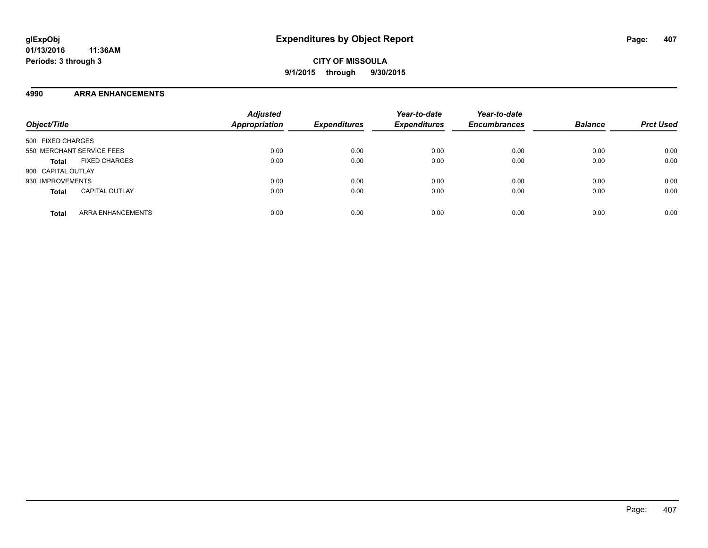### **4990 ARRA ENHANCEMENTS**

| Object/Title                             | <b>Adjusted</b><br><b>Appropriation</b> | <b>Expenditures</b> | Year-to-date<br><b>Expenditures</b> | Year-to-date<br><b>Encumbrances</b> | <b>Balance</b> | <b>Prct Used</b> |
|------------------------------------------|-----------------------------------------|---------------------|-------------------------------------|-------------------------------------|----------------|------------------|
| 500 FIXED CHARGES                        |                                         |                     |                                     |                                     |                |                  |
| 550 MERCHANT SERVICE FEES                | 0.00                                    | 0.00                | 0.00                                | 0.00                                | 0.00           | 0.00             |
| <b>FIXED CHARGES</b><br><b>Total</b>     | 0.00                                    | 0.00                | 0.00                                | 0.00                                | 0.00           | 0.00             |
| 900 CAPITAL OUTLAY                       |                                         |                     |                                     |                                     |                |                  |
| 930 IMPROVEMENTS                         | 0.00                                    | 0.00                | 0.00                                | 0.00                                | 0.00           | 0.00             |
| <b>CAPITAL OUTLAY</b><br><b>Total</b>    | 0.00                                    | 0.00                | 0.00                                | 0.00                                | 0.00           | 0.00             |
| <b>ARRA ENHANCEMENTS</b><br><b>Total</b> | 0.00                                    | 0.00                | 0.00                                | 0.00                                | 0.00           | 0.00             |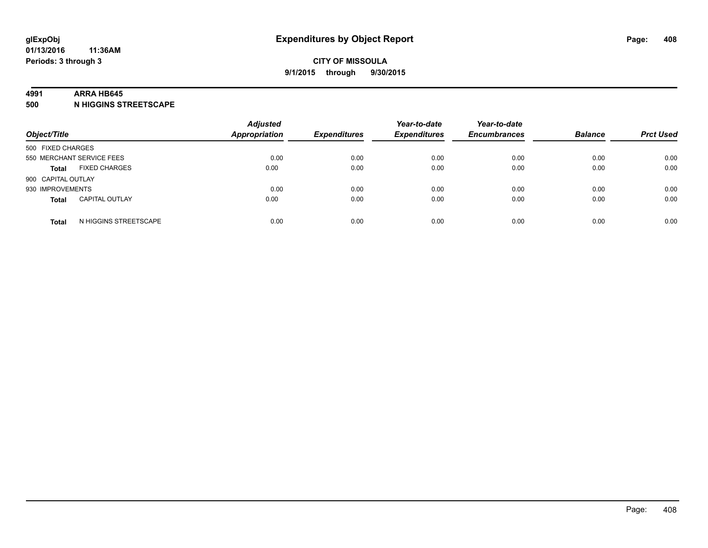#### **4991 ARRA HB645**

**500 N HIGGINS STREETSCAPE**

| Object/Title                          | <b>Adjusted</b><br>Appropriation | <b>Expenditures</b> | Year-to-date<br><b>Expenditures</b> | Year-to-date<br><b>Encumbrances</b> | <b>Balance</b> | <b>Prct Used</b> |
|---------------------------------------|----------------------------------|---------------------|-------------------------------------|-------------------------------------|----------------|------------------|
| 500 FIXED CHARGES                     |                                  |                     |                                     |                                     |                |                  |
| 550 MERCHANT SERVICE FEES             | 0.00                             | 0.00                | 0.00                                | 0.00                                | 0.00           | 0.00             |
| <b>FIXED CHARGES</b><br><b>Total</b>  | 0.00                             | 0.00                | 0.00                                | 0.00                                | 0.00           | 0.00             |
| 900 CAPITAL OUTLAY                    |                                  |                     |                                     |                                     |                |                  |
| 930 IMPROVEMENTS                      | 0.00                             | 0.00                | 0.00                                | 0.00                                | 0.00           | 0.00             |
| <b>CAPITAL OUTLAY</b><br><b>Total</b> | 0.00                             | 0.00                | 0.00                                | 0.00                                | 0.00           | 0.00             |
| N HIGGINS STREETSCAPE<br><b>Total</b> | 0.00                             | 0.00                | 0.00                                | 0.00                                | 0.00           | 0.00             |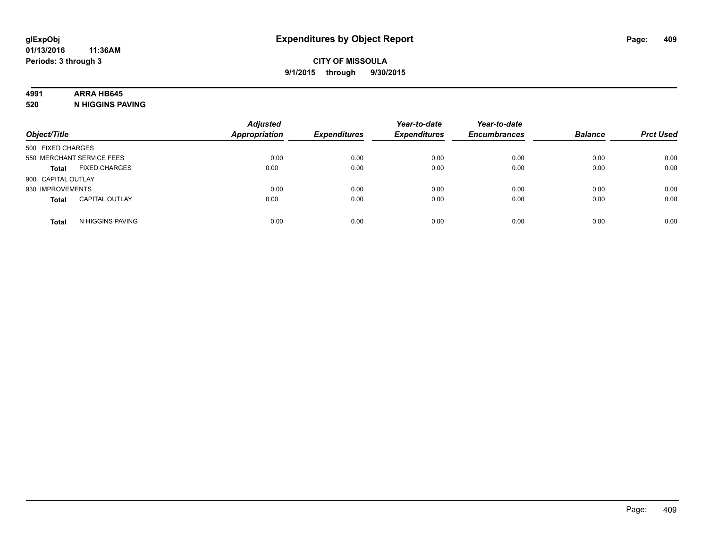# **4991 ARRA HB645**

**520 N HIGGINS PAVING**

| Object/Title                          | <b>Adjusted</b><br><b>Appropriation</b> | <b>Expenditures</b> | Year-to-date<br><b>Expenditures</b> | Year-to-date<br><b>Encumbrances</b> | <b>Balance</b> | <b>Prct Used</b> |
|---------------------------------------|-----------------------------------------|---------------------|-------------------------------------|-------------------------------------|----------------|------------------|
| 500 FIXED CHARGES                     |                                         |                     |                                     |                                     |                |                  |
| 550 MERCHANT SERVICE FEES             | 0.00                                    | 0.00                | 0.00                                | 0.00                                | 0.00           | 0.00             |
| <b>FIXED CHARGES</b><br><b>Total</b>  | 0.00                                    | 0.00                | 0.00                                | 0.00                                | 0.00           | 0.00             |
| 900 CAPITAL OUTLAY                    |                                         |                     |                                     |                                     |                |                  |
| 930 IMPROVEMENTS                      | 0.00                                    | 0.00                | 0.00                                | 0.00                                | 0.00           | 0.00             |
| <b>CAPITAL OUTLAY</b><br><b>Total</b> | 0.00                                    | 0.00                | 0.00                                | 0.00                                | 0.00           | 0.00             |
| N HIGGINS PAVING<br><b>Total</b>      | 0.00                                    | 0.00                | 0.00                                | 0.00                                | 0.00           | 0.00             |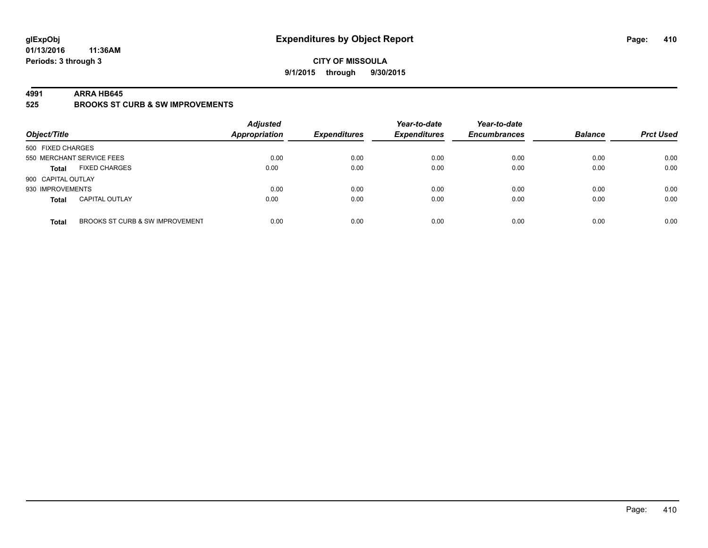### **CITY OF MISSOULA 9/1/2015 through 9/30/2015**

#### **4991 ARRA HB645**

**525 BROOKS ST CURB & SW IMPROVEMENTS**

| Object/Title       |                                 | <b>Adjusted</b><br><b>Appropriation</b> | <b>Expenditures</b> | Year-to-date<br><b>Expenditures</b> | Year-to-date<br><b>Encumbrances</b> | <b>Balance</b> | <b>Prct Used</b> |
|--------------------|---------------------------------|-----------------------------------------|---------------------|-------------------------------------|-------------------------------------|----------------|------------------|
| 500 FIXED CHARGES  |                                 |                                         |                     |                                     |                                     |                |                  |
|                    | 550 MERCHANT SERVICE FEES       | 0.00                                    | 0.00                | 0.00                                | 0.00                                | 0.00           | 0.00             |
| <b>Total</b>       | <b>FIXED CHARGES</b>            | 0.00                                    | 0.00                | 0.00                                | 0.00                                | 0.00           | 0.00             |
| 900 CAPITAL OUTLAY |                                 |                                         |                     |                                     |                                     |                |                  |
| 930 IMPROVEMENTS   |                                 | 0.00                                    | 0.00                | 0.00                                | 0.00                                | 0.00           | 0.00             |
| <b>Total</b>       | <b>CAPITAL OUTLAY</b>           | 0.00                                    | 0.00                | 0.00                                | 0.00                                | 0.00           | 0.00             |
| <b>Total</b>       | BROOKS ST CURB & SW IMPROVEMENT | 0.00                                    | 0.00                | 0.00                                | 0.00                                | 0.00           | 0.00             |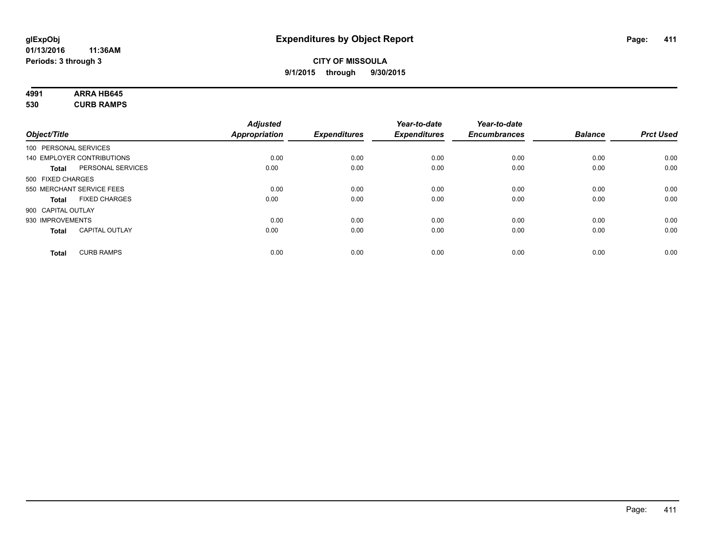# **4991 ARRA HB645**

**530 CURB RAMPS**

|                    |                            | <b>Adjusted</b>      |                     | Year-to-date        | Year-to-date        |                |                  |
|--------------------|----------------------------|----------------------|---------------------|---------------------|---------------------|----------------|------------------|
| Object/Title       |                            | <b>Appropriation</b> | <b>Expenditures</b> | <b>Expenditures</b> | <b>Encumbrances</b> | <b>Balance</b> | <b>Prct Used</b> |
|                    | 100 PERSONAL SERVICES      |                      |                     |                     |                     |                |                  |
|                    | 140 EMPLOYER CONTRIBUTIONS | 0.00                 | 0.00                | 0.00                | 0.00                | 0.00           | 0.00             |
| <b>Total</b>       | PERSONAL SERVICES          | 0.00                 | 0.00                | 0.00                | 0.00                | 0.00           | 0.00             |
| 500 FIXED CHARGES  |                            |                      |                     |                     |                     |                |                  |
|                    | 550 MERCHANT SERVICE FEES  | 0.00                 | 0.00                | 0.00                | 0.00                | 0.00           | 0.00             |
| <b>Total</b>       | <b>FIXED CHARGES</b>       | 0.00                 | 0.00                | 0.00                | 0.00                | 0.00           | 0.00             |
| 900 CAPITAL OUTLAY |                            |                      |                     |                     |                     |                |                  |
| 930 IMPROVEMENTS   |                            | 0.00                 | 0.00                | 0.00                | 0.00                | 0.00           | 0.00             |
| Total              | <b>CAPITAL OUTLAY</b>      | 0.00                 | 0.00                | 0.00                | 0.00                | 0.00           | 0.00             |
| <b>Total</b>       | <b>CURB RAMPS</b>          | 0.00                 | 0.00                | 0.00                | 0.00                | 0.00           | 0.00             |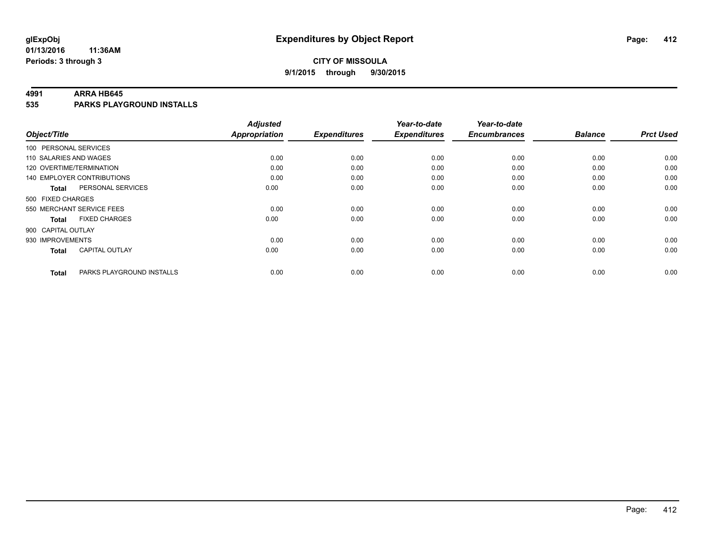### **CITY OF MISSOULA 9/1/2015 through 9/30/2015**

#### **4991 ARRA HB645**

**535 PARKS PLAYGROUND INSTALLS**

|                           |                                   | <b>Adjusted</b>      |                     | Year-to-date        | Year-to-date        |                |                  |
|---------------------------|-----------------------------------|----------------------|---------------------|---------------------|---------------------|----------------|------------------|
| Object/Title              |                                   | <b>Appropriation</b> | <b>Expenditures</b> | <b>Expenditures</b> | <b>Encumbrances</b> | <b>Balance</b> | <b>Prct Used</b> |
| 100 PERSONAL SERVICES     |                                   |                      |                     |                     |                     |                |                  |
| 110 SALARIES AND WAGES    |                                   | 0.00                 | 0.00                | 0.00                | 0.00                | 0.00           | 0.00             |
| 120 OVERTIME/TERMINATION  |                                   | 0.00                 | 0.00                | 0.00                | 0.00                | 0.00           | 0.00             |
|                           | <b>140 EMPLOYER CONTRIBUTIONS</b> | 0.00                 | 0.00                | 0.00                | 0.00                | 0.00           | 0.00             |
| Total                     | PERSONAL SERVICES                 | 0.00                 | 0.00                | 0.00                | 0.00                | 0.00           | 0.00             |
| 500 FIXED CHARGES         |                                   |                      |                     |                     |                     |                |                  |
| 550 MERCHANT SERVICE FEES |                                   | 0.00                 | 0.00                | 0.00                | 0.00                | 0.00           | 0.00             |
| <b>Total</b>              | <b>FIXED CHARGES</b>              | 0.00                 | 0.00                | 0.00                | 0.00                | 0.00           | 0.00             |
| 900 CAPITAL OUTLAY        |                                   |                      |                     |                     |                     |                |                  |
| 930 IMPROVEMENTS          |                                   | 0.00                 | 0.00                | 0.00                | 0.00                | 0.00           | 0.00             |
| Total                     | <b>CAPITAL OUTLAY</b>             | 0.00                 | 0.00                | 0.00                | 0.00                | 0.00           | 0.00             |
| <b>Total</b>              | PARKS PLAYGROUND INSTALLS         | 0.00                 | 0.00                | 0.00                | 0.00                | 0.00           | 0.00             |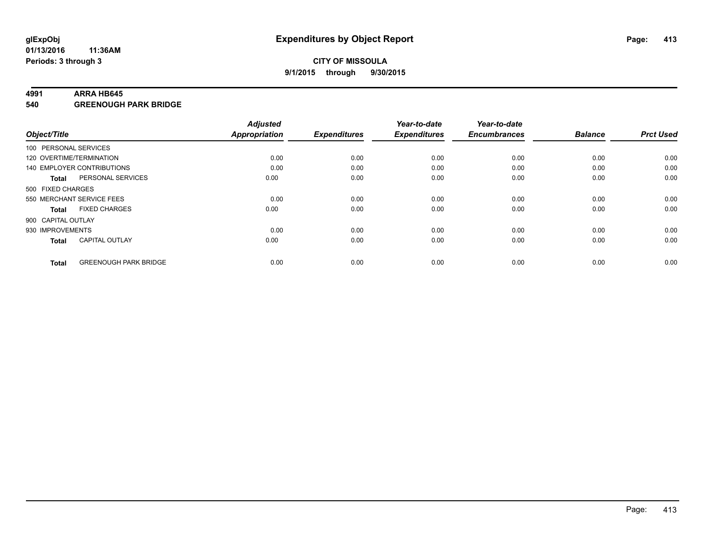#### **4991 ARRA HB645**

**540 GREENOUGH PARK BRIDGE**

| Object/Title       |                              | <b>Adjusted</b><br><b>Appropriation</b> | <b>Expenditures</b> | Year-to-date<br><b>Expenditures</b> | Year-to-date<br><b>Encumbrances</b> | <b>Balance</b> | <b>Prct Used</b> |
|--------------------|------------------------------|-----------------------------------------|---------------------|-------------------------------------|-------------------------------------|----------------|------------------|
|                    | 100 PERSONAL SERVICES        |                                         |                     |                                     |                                     |                |                  |
|                    | 120 OVERTIME/TERMINATION     | 0.00                                    | 0.00                | 0.00                                | 0.00                                | 0.00           | 0.00             |
|                    | 140 EMPLOYER CONTRIBUTIONS   | 0.00                                    | 0.00                | 0.00                                | 0.00                                | 0.00           | 0.00             |
| Total              | PERSONAL SERVICES            | 0.00                                    | 0.00                | 0.00                                | 0.00                                | 0.00           | 0.00             |
| 500 FIXED CHARGES  |                              |                                         |                     |                                     |                                     |                |                  |
|                    | 550 MERCHANT SERVICE FEES    | 0.00                                    | 0.00                | 0.00                                | 0.00                                | 0.00           | 0.00             |
| <b>Total</b>       | <b>FIXED CHARGES</b>         | 0.00                                    | 0.00                | 0.00                                | 0.00                                | 0.00           | 0.00             |
| 900 CAPITAL OUTLAY |                              |                                         |                     |                                     |                                     |                |                  |
| 930 IMPROVEMENTS   |                              | 0.00                                    | 0.00                | 0.00                                | 0.00                                | 0.00           | 0.00             |
| <b>Total</b>       | <b>CAPITAL OUTLAY</b>        | 0.00                                    | 0.00                | 0.00                                | 0.00                                | 0.00           | 0.00             |
| <b>Total</b>       | <b>GREENOUGH PARK BRIDGE</b> | 0.00                                    | 0.00                | 0.00                                | 0.00                                | 0.00           | 0.00             |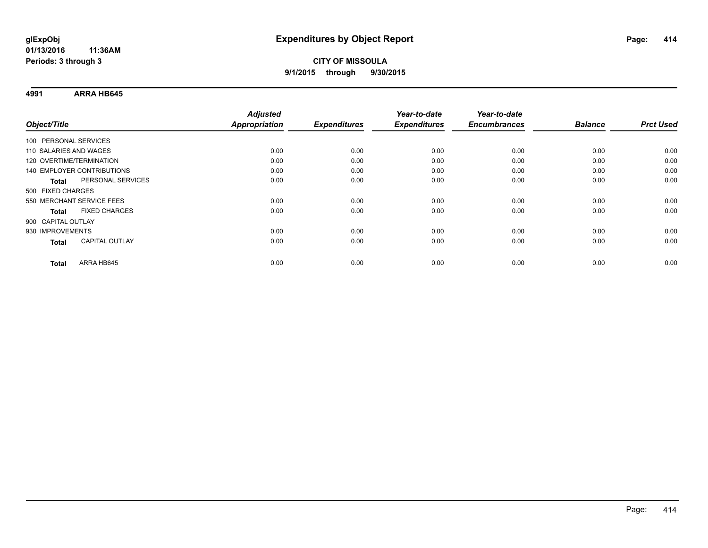**4991 ARRA HB645**

| Object/Title                      | <b>Adjusted</b><br><b>Appropriation</b> | <b>Expenditures</b> | Year-to-date<br><b>Expenditures</b> | Year-to-date<br><b>Encumbrances</b> | <b>Balance</b> | <b>Prct Used</b> |
|-----------------------------------|-----------------------------------------|---------------------|-------------------------------------|-------------------------------------|----------------|------------------|
|                                   |                                         |                     |                                     |                                     |                |                  |
| 100 PERSONAL SERVICES             |                                         |                     |                                     |                                     |                |                  |
| 110 SALARIES AND WAGES            | 0.00                                    | 0.00                | 0.00                                | 0.00                                | 0.00           | 0.00             |
| 120 OVERTIME/TERMINATION          | 0.00                                    | 0.00                | 0.00                                | 0.00                                | 0.00           | 0.00             |
| 140 EMPLOYER CONTRIBUTIONS        | 0.00                                    | 0.00                | 0.00                                | 0.00                                | 0.00           | 0.00             |
| PERSONAL SERVICES<br><b>Total</b> | 0.00                                    | 0.00                | 0.00                                | 0.00                                | 0.00           | 0.00             |
| 500 FIXED CHARGES                 |                                         |                     |                                     |                                     |                |                  |
| 550 MERCHANT SERVICE FEES         | 0.00                                    | 0.00                | 0.00                                | 0.00                                | 0.00           | 0.00             |
| <b>FIXED CHARGES</b><br>Total     | 0.00                                    | 0.00                | 0.00                                | 0.00                                | 0.00           | 0.00             |
| 900 CAPITAL OUTLAY                |                                         |                     |                                     |                                     |                |                  |
| 930 IMPROVEMENTS                  | 0.00                                    | 0.00                | 0.00                                | 0.00                                | 0.00           | 0.00             |
| <b>CAPITAL OUTLAY</b><br>Total    | 0.00                                    | 0.00                | 0.00                                | 0.00                                | 0.00           | 0.00             |
|                                   |                                         |                     |                                     |                                     |                |                  |
| ARRA HB645<br><b>Total</b>        | 0.00                                    | 0.00                | 0.00                                | 0.00                                | 0.00           | 0.00             |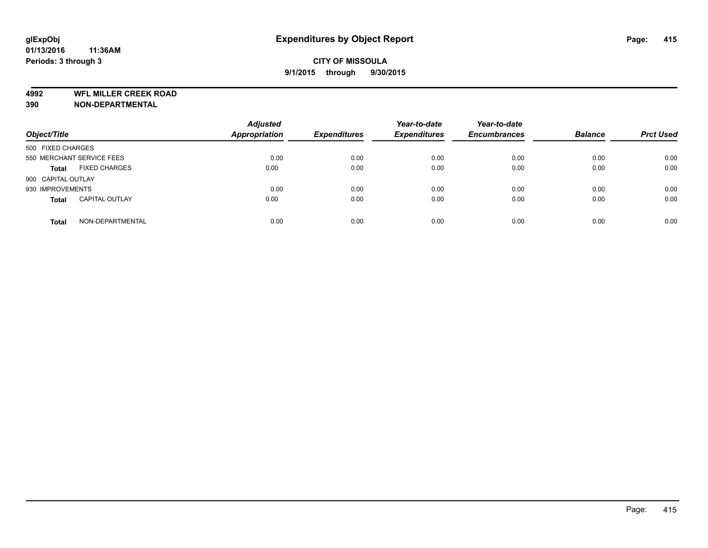**4992 WFL MILLER CREEK ROAD**

**390 NON-DEPARTMENTAL**

| Object/Title                          | <b>Adjusted</b><br>Appropriation | <b>Expenditures</b> | Year-to-date<br><b>Expenditures</b> | Year-to-date<br><b>Encumbrances</b> | <b>Balance</b> | <b>Prct Used</b> |
|---------------------------------------|----------------------------------|---------------------|-------------------------------------|-------------------------------------|----------------|------------------|
| 500 FIXED CHARGES                     |                                  |                     |                                     |                                     |                |                  |
| 550 MERCHANT SERVICE FEES             | 0.00                             | 0.00                | 0.00                                | 0.00                                | 0.00           | 0.00             |
| <b>FIXED CHARGES</b><br><b>Total</b>  | 0.00                             | 0.00                | 0.00                                | 0.00                                | 0.00           | 0.00             |
| 900 CAPITAL OUTLAY                    |                                  |                     |                                     |                                     |                |                  |
| 930 IMPROVEMENTS                      | 0.00                             | 0.00                | 0.00                                | 0.00                                | 0.00           | 0.00             |
| <b>CAPITAL OUTLAY</b><br><b>Total</b> | 0.00                             | 0.00                | 0.00                                | 0.00                                | 0.00           | 0.00             |
| NON-DEPARTMENTAL<br><b>Total</b>      | 0.00                             | 0.00                | 0.00                                | 0.00                                | 0.00           | 0.00             |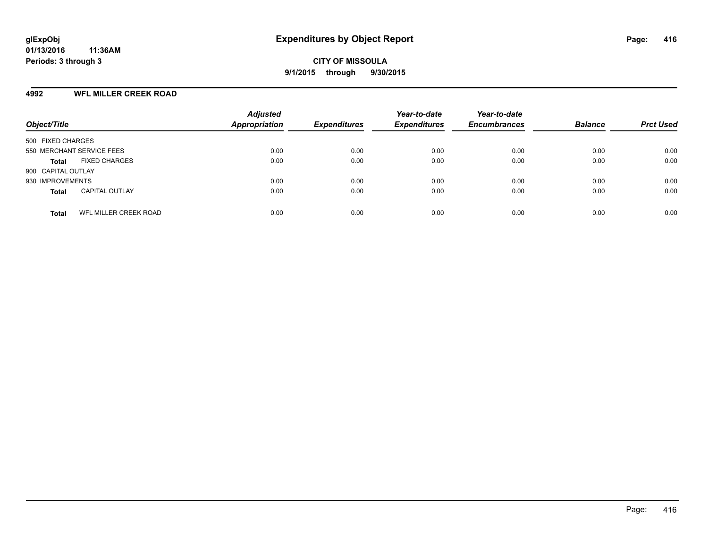#### **4992 WFL MILLER CREEK ROAD**

| Object/Title                                 | <b>Adjusted</b><br><b>Appropriation</b> | <b>Expenditures</b> | Year-to-date<br><b>Expenditures</b> | Year-to-date<br><b>Encumbrances</b> | <b>Balance</b> | <b>Prct Used</b> |
|----------------------------------------------|-----------------------------------------|---------------------|-------------------------------------|-------------------------------------|----------------|------------------|
| 500 FIXED CHARGES                            |                                         |                     |                                     |                                     |                |                  |
| 550 MERCHANT SERVICE FEES                    | 0.00                                    | 0.00                | 0.00                                | 0.00                                | 0.00           | 0.00             |
| <b>FIXED CHARGES</b><br><b>Total</b>         | 0.00                                    | 0.00                | 0.00                                | 0.00                                | 0.00           | 0.00             |
| 900 CAPITAL OUTLAY                           |                                         |                     |                                     |                                     |                |                  |
| 930 IMPROVEMENTS                             | 0.00                                    | 0.00                | 0.00                                | 0.00                                | 0.00           | 0.00             |
| <b>CAPITAL OUTLAY</b><br><b>Total</b>        | 0.00                                    | 0.00                | 0.00                                | 0.00                                | 0.00           | 0.00             |
| <b>WFL MILLER CREEK ROAD</b><br><b>Total</b> | 0.00                                    | 0.00                | 0.00                                | 0.00                                | 0.00           | 0.00             |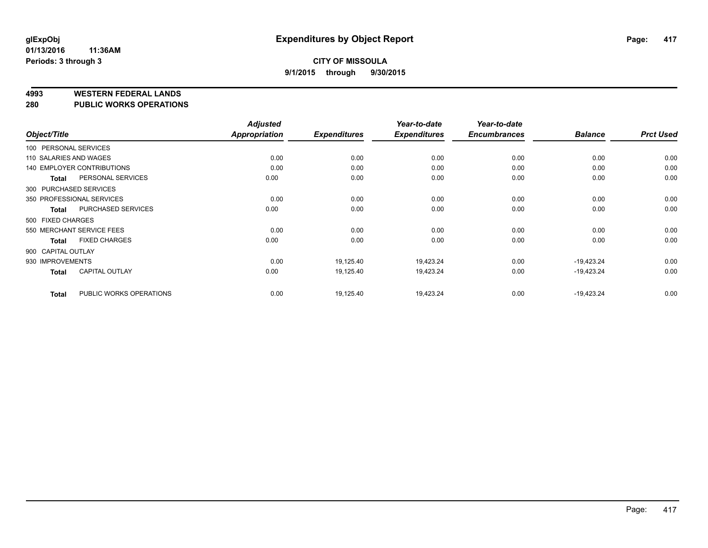#### **4993 WESTERN FEDERAL LANDS**

**280 PUBLIC WORKS OPERATIONS**

|                        |                                   | <b>Adjusted</b> |                     | Year-to-date        | Year-to-date        |                |                  |
|------------------------|-----------------------------------|-----------------|---------------------|---------------------|---------------------|----------------|------------------|
| Object/Title           |                                   | Appropriation   | <b>Expenditures</b> | <b>Expenditures</b> | <b>Encumbrances</b> | <b>Balance</b> | <b>Prct Used</b> |
| 100 PERSONAL SERVICES  |                                   |                 |                     |                     |                     |                |                  |
| 110 SALARIES AND WAGES |                                   | 0.00            | 0.00                | 0.00                | 0.00                | 0.00           | 0.00             |
|                        | <b>140 EMPLOYER CONTRIBUTIONS</b> | 0.00            | 0.00                | 0.00                | 0.00                | 0.00           | 0.00             |
| <b>Total</b>           | PERSONAL SERVICES                 | 0.00            | 0.00                | 0.00                | 0.00                | 0.00           | 0.00             |
| 300 PURCHASED SERVICES |                                   |                 |                     |                     |                     |                |                  |
|                        | 350 PROFESSIONAL SERVICES         | 0.00            | 0.00                | 0.00                | 0.00                | 0.00           | 0.00             |
| <b>Total</b>           | PURCHASED SERVICES                | 0.00            | 0.00                | 0.00                | 0.00                | 0.00           | 0.00             |
| 500 FIXED CHARGES      |                                   |                 |                     |                     |                     |                |                  |
|                        | 550 MERCHANT SERVICE FEES         | 0.00            | 0.00                | 0.00                | 0.00                | 0.00           | 0.00             |
| <b>Total</b>           | <b>FIXED CHARGES</b>              | 0.00            | 0.00                | 0.00                | 0.00                | 0.00           | 0.00             |
| 900 CAPITAL OUTLAY     |                                   |                 |                     |                     |                     |                |                  |
| 930 IMPROVEMENTS       |                                   | 0.00            | 19,125.40           | 19,423.24           | 0.00                | $-19,423.24$   | 0.00             |
| <b>Total</b>           | <b>CAPITAL OUTLAY</b>             | 0.00            | 19,125.40           | 19,423.24           | 0.00                | $-19,423.24$   | 0.00             |
| <b>Total</b>           | PUBLIC WORKS OPERATIONS           | 0.00            | 19,125.40           | 19,423.24           | 0.00                | $-19,423.24$   | 0.00             |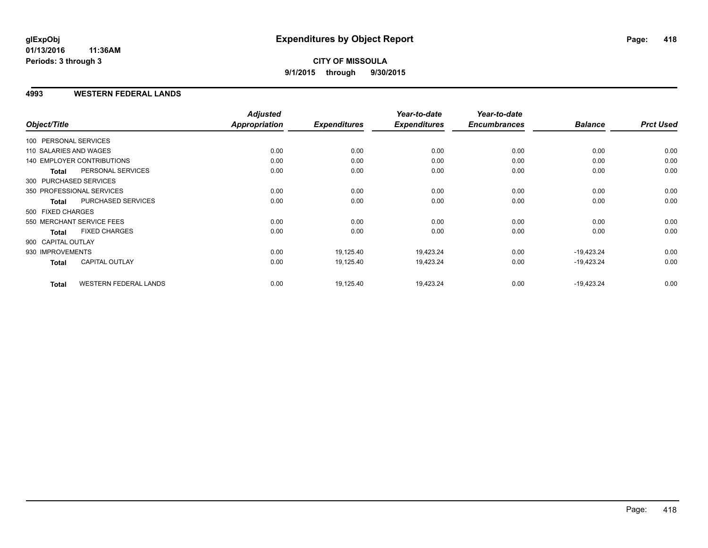### **4993 WESTERN FEDERAL LANDS**

|                        |                              | <b>Adjusted</b> |                     | Year-to-date        | Year-to-date        |                |                  |
|------------------------|------------------------------|-----------------|---------------------|---------------------|---------------------|----------------|------------------|
| Object/Title           |                              | Appropriation   | <b>Expenditures</b> | <b>Expenditures</b> | <b>Encumbrances</b> | <b>Balance</b> | <b>Prct Used</b> |
| 100 PERSONAL SERVICES  |                              |                 |                     |                     |                     |                |                  |
| 110 SALARIES AND WAGES |                              | 0.00            | 0.00                | 0.00                | 0.00                | 0.00           | 0.00             |
|                        | 140 EMPLOYER CONTRIBUTIONS   | 0.00            | 0.00                | 0.00                | 0.00                | 0.00           | 0.00             |
| <b>Total</b>           | PERSONAL SERVICES            | 0.00            | 0.00                | 0.00                | 0.00                | 0.00           | 0.00             |
|                        | 300 PURCHASED SERVICES       |                 |                     |                     |                     |                |                  |
|                        | 350 PROFESSIONAL SERVICES    | 0.00            | 0.00                | 0.00                | 0.00                | 0.00           | 0.00             |
| <b>Total</b>           | PURCHASED SERVICES           | 0.00            | 0.00                | 0.00                | 0.00                | 0.00           | 0.00             |
| 500 FIXED CHARGES      |                              |                 |                     |                     |                     |                |                  |
|                        | 550 MERCHANT SERVICE FEES    | 0.00            | 0.00                | 0.00                | 0.00                | 0.00           | 0.00             |
| <b>Total</b>           | <b>FIXED CHARGES</b>         | 0.00            | 0.00                | 0.00                | 0.00                | 0.00           | 0.00             |
| 900 CAPITAL OUTLAY     |                              |                 |                     |                     |                     |                |                  |
| 930 IMPROVEMENTS       |                              | 0.00            | 19,125.40           | 19,423.24           | 0.00                | $-19,423.24$   | 0.00             |
| Total                  | CAPITAL OUTLAY               | 0.00            | 19,125.40           | 19,423.24           | 0.00                | $-19,423.24$   | 0.00             |
| <b>Total</b>           | <b>WESTERN FEDERAL LANDS</b> | 0.00            | 19,125.40           | 19,423.24           | 0.00                | $-19,423.24$   | 0.00             |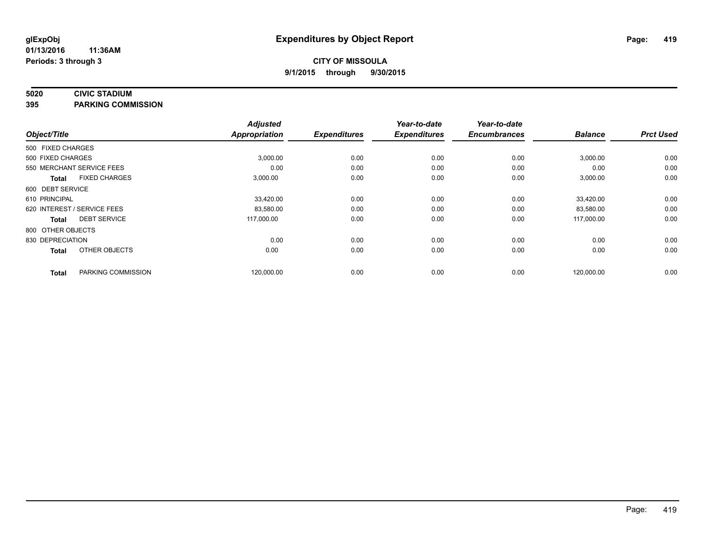#### **5020 CIVIC STADIUM**

**395 PARKING COMMISSION**

| Object/Title      |                             | <b>Adjusted</b><br><b>Appropriation</b> | <b>Expenditures</b> | Year-to-date<br><b>Expenditures</b> | Year-to-date<br><b>Encumbrances</b> | <b>Balance</b> | <b>Prct Used</b> |
|-------------------|-----------------------------|-----------------------------------------|---------------------|-------------------------------------|-------------------------------------|----------------|------------------|
| 500 FIXED CHARGES |                             |                                         |                     |                                     |                                     |                |                  |
|                   |                             |                                         |                     |                                     |                                     |                |                  |
| 500 FIXED CHARGES |                             | 3,000.00                                | 0.00                | 0.00                                | 0.00                                | 3,000.00       | 0.00             |
|                   | 550 MERCHANT SERVICE FEES   | 0.00                                    | 0.00                | 0.00                                | 0.00                                | 0.00           | 0.00             |
| <b>Total</b>      | <b>FIXED CHARGES</b>        | 3,000.00                                | 0.00                | 0.00                                | 0.00                                | 3,000.00       | 0.00             |
| 600 DEBT SERVICE  |                             |                                         |                     |                                     |                                     |                |                  |
| 610 PRINCIPAL     |                             | 33,420.00                               | 0.00                | 0.00                                | 0.00                                | 33,420.00      | 0.00             |
|                   | 620 INTEREST / SERVICE FEES | 83,580.00                               | 0.00                | 0.00                                | 0.00                                | 83,580.00      | 0.00             |
| <b>Total</b>      | <b>DEBT SERVICE</b>         | 117,000.00                              | 0.00                | 0.00                                | 0.00                                | 117,000.00     | 0.00             |
| 800 OTHER OBJECTS |                             |                                         |                     |                                     |                                     |                |                  |
| 830 DEPRECIATION  |                             | 0.00                                    | 0.00                | 0.00                                | 0.00                                | 0.00           | 0.00             |
| <b>Total</b>      | OTHER OBJECTS               | 0.00                                    | 0.00                | 0.00                                | 0.00                                | 0.00           | 0.00             |
| <b>Total</b>      | PARKING COMMISSION          | 120,000.00                              | 0.00                | 0.00                                | 0.00                                | 120,000.00     | 0.00             |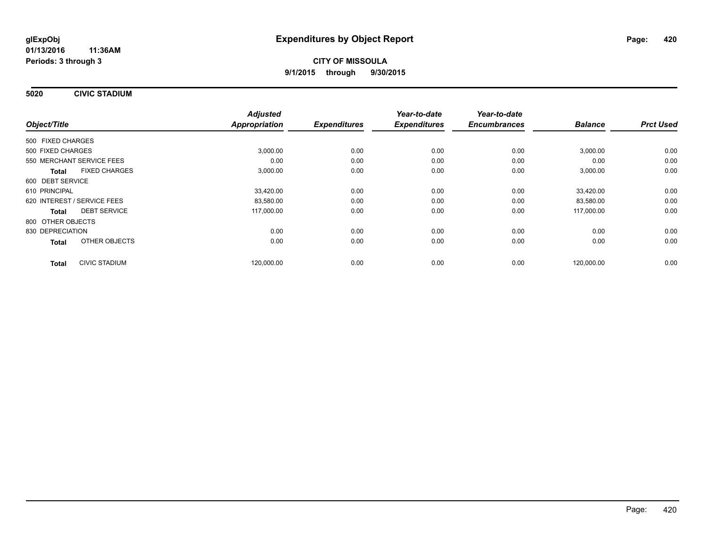**5020 CIVIC STADIUM**

|                                      | <b>Adjusted</b> |                     | Year-to-date        | Year-to-date        |                |                  |
|--------------------------------------|-----------------|---------------------|---------------------|---------------------|----------------|------------------|
| Object/Title                         | Appropriation   | <b>Expenditures</b> | <b>Expenditures</b> | <b>Encumbrances</b> | <b>Balance</b> | <b>Prct Used</b> |
| 500 FIXED CHARGES                    |                 |                     |                     |                     |                |                  |
| 500 FIXED CHARGES                    | 3,000.00        | 0.00                | 0.00                | 0.00                | 3,000.00       | 0.00             |
| 550 MERCHANT SERVICE FEES            | 0.00            | 0.00                | 0.00                | 0.00                | 0.00           | 0.00             |
| <b>FIXED CHARGES</b><br><b>Total</b> | 3,000.00        | 0.00                | 0.00                | 0.00                | 3,000.00       | 0.00             |
| 600 DEBT SERVICE                     |                 |                     |                     |                     |                |                  |
| 610 PRINCIPAL                        | 33,420.00       | 0.00                | 0.00                | 0.00                | 33.420.00      | 0.00             |
| 620 INTEREST / SERVICE FEES          | 83,580.00       | 0.00                | 0.00                | 0.00                | 83,580.00      | 0.00             |
| <b>DEBT SERVICE</b><br><b>Total</b>  | 117,000.00      | 0.00                | 0.00                | 0.00                | 117,000.00     | 0.00             |
| 800 OTHER OBJECTS                    |                 |                     |                     |                     |                |                  |
| 830 DEPRECIATION                     | 0.00            | 0.00                | 0.00                | 0.00                | 0.00           | 0.00             |
| OTHER OBJECTS<br><b>Total</b>        | 0.00            | 0.00                | 0.00                | 0.00                | 0.00           | 0.00             |
| <b>CIVIC STADIUM</b><br><b>Total</b> | 120,000.00      | 0.00                | 0.00                | 0.00                | 120,000.00     | 0.00             |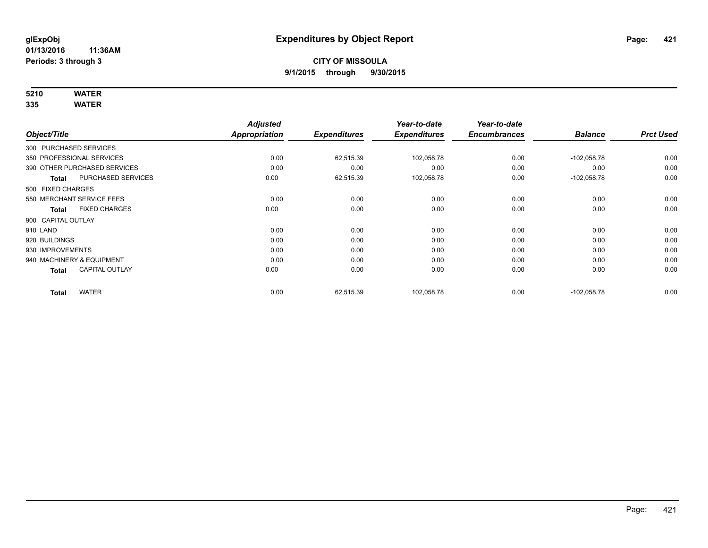# **5210 WATER**

|                           |                              | <b>Adjusted</b>      |                     | Year-to-date        | Year-to-date        |                |                  |
|---------------------------|------------------------------|----------------------|---------------------|---------------------|---------------------|----------------|------------------|
| Object/Title              |                              | <b>Appropriation</b> | <b>Expenditures</b> | <b>Expenditures</b> | <b>Encumbrances</b> | <b>Balance</b> | <b>Prct Used</b> |
| 300 PURCHASED SERVICES    |                              |                      |                     |                     |                     |                |                  |
| 350 PROFESSIONAL SERVICES |                              | 0.00                 | 62,515.39           | 102,058.78          | 0.00                | $-102,058.78$  | 0.00             |
|                           | 390 OTHER PURCHASED SERVICES | 0.00                 | 0.00                | 0.00                | 0.00                | 0.00           | 0.00             |
| <b>Total</b>              | PURCHASED SERVICES           | 0.00                 | 62,515.39           | 102,058.78          | 0.00                | $-102,058.78$  | 0.00             |
| 500 FIXED CHARGES         |                              |                      |                     |                     |                     |                |                  |
| 550 MERCHANT SERVICE FEES |                              | 0.00                 | 0.00                | 0.00                | 0.00                | 0.00           | 0.00             |
| <b>Total</b>              | <b>FIXED CHARGES</b>         | 0.00                 | 0.00                | 0.00                | 0.00                | 0.00           | 0.00             |
| 900 CAPITAL OUTLAY        |                              |                      |                     |                     |                     |                |                  |
| 910 LAND                  |                              | 0.00                 | 0.00                | 0.00                | 0.00                | 0.00           | 0.00             |
| 920 BUILDINGS             |                              | 0.00                 | 0.00                | 0.00                | 0.00                | 0.00           | 0.00             |
| 930 IMPROVEMENTS          |                              | 0.00                 | 0.00                | 0.00                | 0.00                | 0.00           | 0.00             |
| 940 MACHINERY & EQUIPMENT |                              | 0.00                 | 0.00                | 0.00                | 0.00                | 0.00           | 0.00             |
| <b>Total</b>              | <b>CAPITAL OUTLAY</b>        | 0.00                 | 0.00                | 0.00                | 0.00                | 0.00           | 0.00             |
| <b>Total</b>              | <b>WATER</b>                 | 0.00                 | 62,515.39           | 102,058.78          | 0.00                | $-102,058.78$  | 0.00             |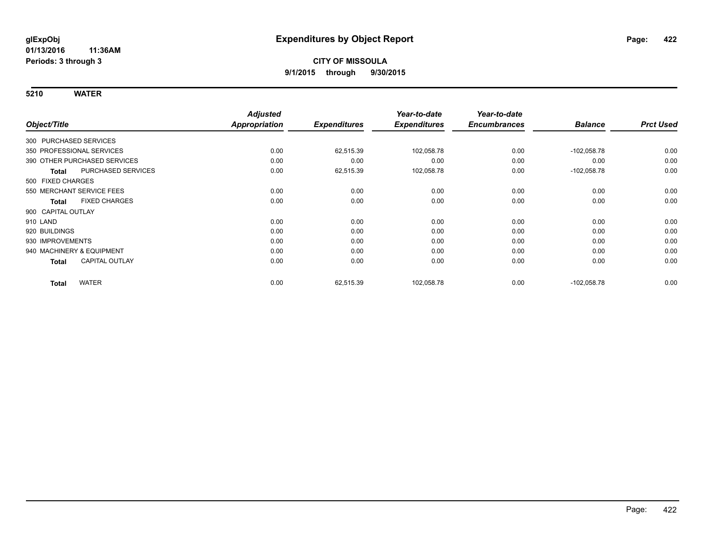|                        |                              | <b>Adjusted</b>      |                     | Year-to-date        | Year-to-date        |                |                  |
|------------------------|------------------------------|----------------------|---------------------|---------------------|---------------------|----------------|------------------|
| Object/Title           |                              | <b>Appropriation</b> | <b>Expenditures</b> | <b>Expenditures</b> | <b>Encumbrances</b> | <b>Balance</b> | <b>Prct Used</b> |
| 300 PURCHASED SERVICES |                              |                      |                     |                     |                     |                |                  |
|                        | 350 PROFESSIONAL SERVICES    | 0.00                 | 62,515.39           | 102,058.78          | 0.00                | $-102,058.78$  | 0.00             |
|                        | 390 OTHER PURCHASED SERVICES | 0.00                 | 0.00                | 0.00                | 0.00                | 0.00           | 0.00             |
| <b>Total</b>           | PURCHASED SERVICES           | 0.00                 | 62,515.39           | 102,058.78          | 0.00                | $-102,058.78$  | 0.00             |
| 500 FIXED CHARGES      |                              |                      |                     |                     |                     |                |                  |
|                        | 550 MERCHANT SERVICE FEES    | 0.00                 | 0.00                | 0.00                | 0.00                | 0.00           | 0.00             |
| <b>Total</b>           | <b>FIXED CHARGES</b>         | 0.00                 | 0.00                | 0.00                | 0.00                | 0.00           | 0.00             |
| 900 CAPITAL OUTLAY     |                              |                      |                     |                     |                     |                |                  |
| 910 LAND               |                              | 0.00                 | 0.00                | 0.00                | 0.00                | 0.00           | 0.00             |
| 920 BUILDINGS          |                              | 0.00                 | 0.00                | 0.00                | 0.00                | 0.00           | 0.00             |
| 930 IMPROVEMENTS       |                              | 0.00                 | 0.00                | 0.00                | 0.00                | 0.00           | 0.00             |
|                        | 940 MACHINERY & EQUIPMENT    | 0.00                 | 0.00                | 0.00                | 0.00                | 0.00           | 0.00             |
| <b>Total</b>           | <b>CAPITAL OUTLAY</b>        | 0.00                 | 0.00                | 0.00                | 0.00                | 0.00           | 0.00             |
| <b>Total</b>           | <b>WATER</b>                 | 0.00                 | 62,515.39           | 102,058.78          | 0.00                | $-102,058.78$  | 0.00             |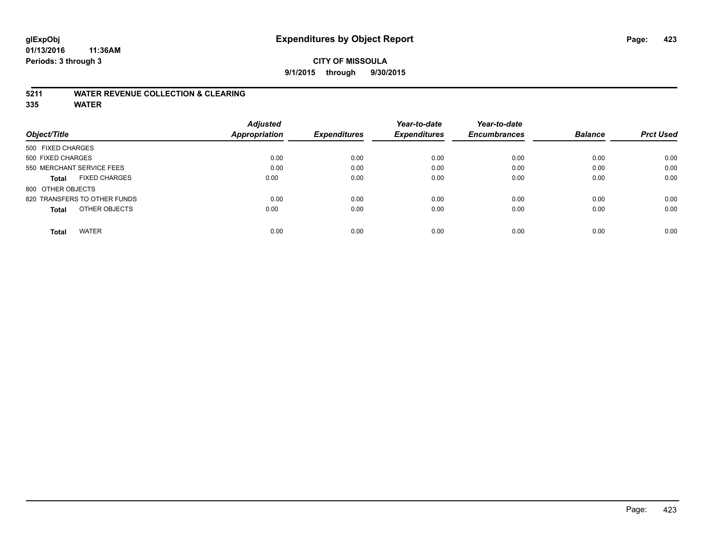### **5211 WATER REVENUE COLLECTION & CLEARING**

|                                      | <b>Adjusted</b>      |                     | Year-to-date        | Year-to-date        |                |                  |
|--------------------------------------|----------------------|---------------------|---------------------|---------------------|----------------|------------------|
| Object/Title                         | <b>Appropriation</b> | <b>Expenditures</b> | <b>Expenditures</b> | <b>Encumbrances</b> | <b>Balance</b> | <b>Prct Used</b> |
| 500 FIXED CHARGES                    |                      |                     |                     |                     |                |                  |
| 500 FIXED CHARGES                    | 0.00                 | 0.00                | 0.00                | 0.00                | 0.00           | 0.00             |
| 550 MERCHANT SERVICE FEES            | 0.00                 | 0.00                | 0.00                | 0.00                | 0.00           | 0.00             |
| <b>FIXED CHARGES</b><br><b>Total</b> | 0.00                 | 0.00                | 0.00                | 0.00                | 0.00           | 0.00             |
| 800 OTHER OBJECTS                    |                      |                     |                     |                     |                |                  |
| 820 TRANSFERS TO OTHER FUNDS         | 0.00                 | 0.00                | 0.00                | 0.00                | 0.00           | 0.00             |
| OTHER OBJECTS<br><b>Total</b>        | 0.00                 | 0.00                | 0.00                | 0.00                | 0.00           | 0.00             |
| <b>WATER</b><br><b>Total</b>         | 0.00                 | 0.00                | 0.00                | 0.00                | 0.00           | 0.00             |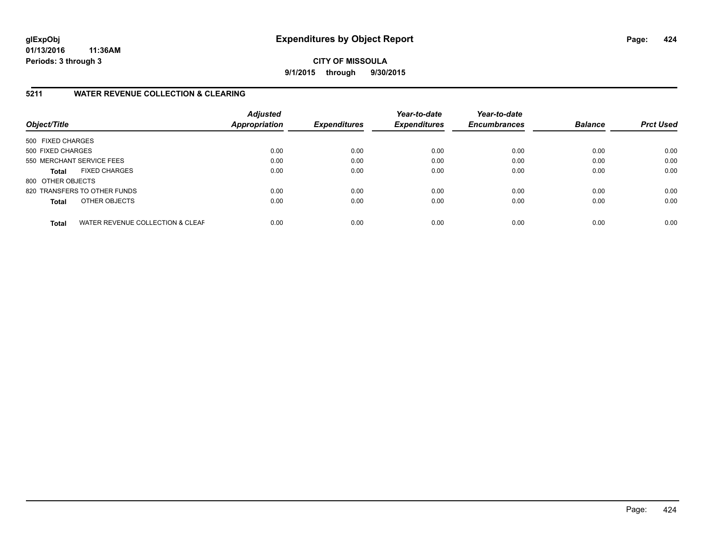**CITY OF MISSOULA 9/1/2015 through 9/30/2015**

### **5211 WATER REVENUE COLLECTION & CLEARING**

| Object/Title              |                                  | <b>Adjusted</b><br><b>Appropriation</b> | <b>Expenditures</b> | Year-to-date<br><b>Expenditures</b> | Year-to-date<br><b>Encumbrances</b> | <b>Balance</b> | <b>Prct Used</b> |
|---------------------------|----------------------------------|-----------------------------------------|---------------------|-------------------------------------|-------------------------------------|----------------|------------------|
| 500 FIXED CHARGES         |                                  |                                         |                     |                                     |                                     |                |                  |
| 500 FIXED CHARGES         |                                  | 0.00                                    | 0.00                | 0.00                                | 0.00                                | 0.00           | 0.00             |
| 550 MERCHANT SERVICE FEES |                                  | 0.00                                    | 0.00                | 0.00                                | 0.00                                | 0.00           | 0.00             |
| <b>Total</b>              | <b>FIXED CHARGES</b>             | 0.00                                    | 0.00                | 0.00                                | 0.00                                | 0.00           | 0.00             |
| 800 OTHER OBJECTS         |                                  |                                         |                     |                                     |                                     |                |                  |
|                           | 820 TRANSFERS TO OTHER FUNDS     | 0.00                                    | 0.00                | 0.00                                | 0.00                                | 0.00           | 0.00             |
| <b>Total</b>              | OTHER OBJECTS                    | 0.00                                    | 0.00                | 0.00                                | 0.00                                | 0.00           | 0.00             |
| <b>Total</b>              | WATER REVENUE COLLECTION & CLEAF | 0.00                                    | 0.00                | 0.00                                | 0.00                                | 0.00           | 0.00             |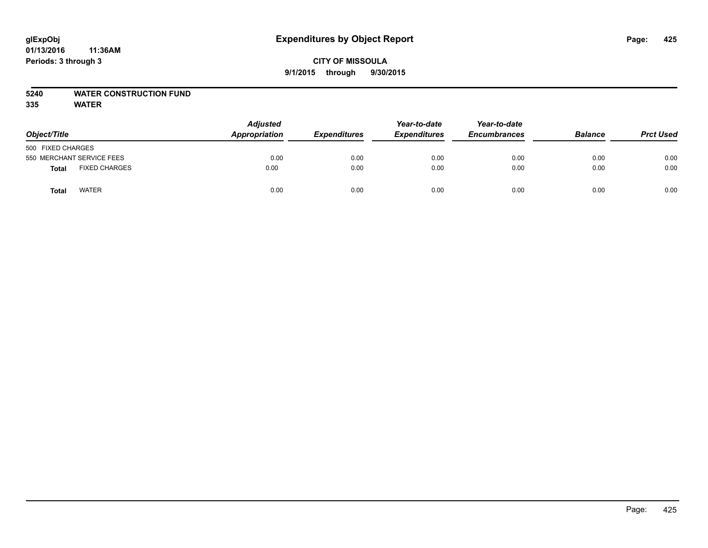# **5240 WATER CONSTRUCTION FUND**

| Object/Title      |                           | <b>Adjusted</b><br>Appropriation | <b>Expenditures</b> | Year-to-date<br><b>Expenditures</b> | Year-to-date<br><b>Encumbrances</b> | <b>Balance</b> | <b>Prct Used</b> |
|-------------------|---------------------------|----------------------------------|---------------------|-------------------------------------|-------------------------------------|----------------|------------------|
| 500 FIXED CHARGES |                           |                                  |                     |                                     |                                     |                |                  |
|                   | 550 MERCHANT SERVICE FEES | 0.00                             | 0.00                | 0.00                                | 0.00                                | 0.00           | 0.00             |
| <b>Total</b>      | <b>FIXED CHARGES</b>      | 0.00                             | 0.00                | 0.00                                | 0.00                                | 0.00           | 0.00             |
| <b>Total</b>      | <b>WATER</b>              | 0.00                             | 0.00                | 0.00                                | 0.00                                | 0.00           | 0.00             |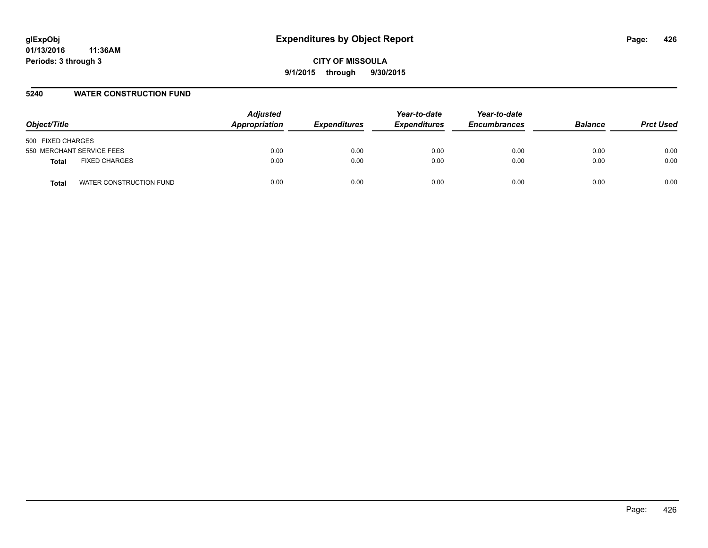#### **5240 WATER CONSTRUCTION FUND**

| Object/Title                     | <b>Adjusted</b><br>Appropriation | <i><b>Expenditures</b></i> | Year-to-date<br><b>Expenditures</b> | Year-to-date<br><b>Encumbrances</b> | <b>Balance</b> | <b>Prct Used</b> |
|----------------------------------|----------------------------------|----------------------------|-------------------------------------|-------------------------------------|----------------|------------------|
| 500 FIXED CHARGES                |                                  |                            |                                     |                                     |                |                  |
| 550 MERCHANT SERVICE FEES        | 0.00                             | 0.00                       | 0.00                                | 0.00                                | 0.00           | 0.00             |
| <b>FIXED CHARGES</b><br>Total    | 0.00                             | 0.00                       | 0.00                                | 0.00                                | 0.00           | 0.00             |
| WATER CONSTRUCTION FUND<br>Total | 0.00                             | 0.00                       | 0.00                                | 0.00                                | 0.00           | 0.00             |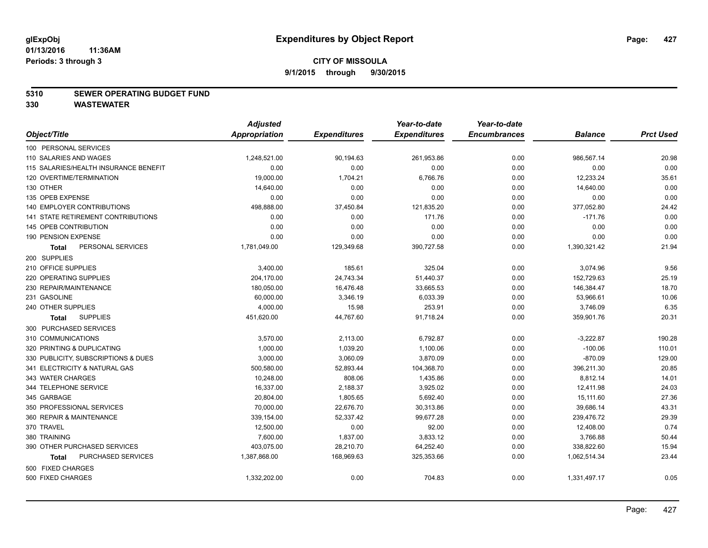#### **5310 SEWER OPERATING BUDGET FUND**

**330 WASTEWATER**

|                                       | <b>Adjusted</b> |                     | Year-to-date        | Year-to-date        |                |                  |
|---------------------------------------|-----------------|---------------------|---------------------|---------------------|----------------|------------------|
| Object/Title                          | Appropriation   | <b>Expenditures</b> | <b>Expenditures</b> | <b>Encumbrances</b> | <b>Balance</b> | <b>Prct Used</b> |
| 100 PERSONAL SERVICES                 |                 |                     |                     |                     |                |                  |
| 110 SALARIES AND WAGES                | 1,248,521.00    | 90,194.63           | 261,953.86          | 0.00                | 986,567.14     | 20.98            |
| 115 SALARIES/HEALTH INSURANCE BENEFIT | 0.00            | 0.00                | 0.00                | 0.00                | 0.00           | 0.00             |
| 120 OVERTIME/TERMINATION              | 19,000.00       | 1,704.21            | 6,766.76            | 0.00                | 12,233.24      | 35.61            |
| 130 OTHER                             | 14,640.00       | 0.00                | 0.00                | 0.00                | 14,640.00      | 0.00             |
| 135 OPEB EXPENSE                      | 0.00            | 0.00                | 0.00                | 0.00                | 0.00           | 0.00             |
| 140 EMPLOYER CONTRIBUTIONS            | 498,888.00      | 37,450.84           | 121,835.20          | 0.00                | 377,052.80     | 24.42            |
| 141 STATE RETIREMENT CONTRIBUTIONS    | 0.00            | 0.00                | 171.76              | 0.00                | $-171.76$      | 0.00             |
| 145 OPEB CONTRIBUTION                 | 0.00            | 0.00                | 0.00                | 0.00                | 0.00           | 0.00             |
| 190 PENSION EXPENSE                   | 0.00            | 0.00                | 0.00                | 0.00                | 0.00           | 0.00             |
| PERSONAL SERVICES<br>Total            | 1,781,049.00    | 129,349.68          | 390,727.58          | 0.00                | 1,390,321.42   | 21.94            |
| 200 SUPPLIES                          |                 |                     |                     |                     |                |                  |
| 210 OFFICE SUPPLIES                   | 3,400.00        | 185.61              | 325.04              | 0.00                | 3,074.96       | 9.56             |
| 220 OPERATING SUPPLIES                | 204,170.00      | 24,743.34           | 51,440.37           | 0.00                | 152,729.63     | 25.19            |
| 230 REPAIR/MAINTENANCE                | 180,050.00      | 16,476.48           | 33,665.53           | 0.00                | 146,384.47     | 18.70            |
| 231 GASOLINE                          | 60,000.00       | 3,346.19            | 6,033.39            | 0.00                | 53,966.61      | 10.06            |
| 240 OTHER SUPPLIES                    | 4,000.00        | 15.98               | 253.91              | 0.00                | 3,746.09       | 6.35             |
| <b>SUPPLIES</b><br><b>Total</b>       | 451,620.00      | 44,767.60           | 91,718.24           | 0.00                | 359,901.76     | 20.31            |
| 300 PURCHASED SERVICES                |                 |                     |                     |                     |                |                  |
| 310 COMMUNICATIONS                    | 3,570.00        | 2,113.00            | 6,792.87            | 0.00                | $-3,222.87$    | 190.28           |
| 320 PRINTING & DUPLICATING            | 1,000.00        | 1,039.20            | 1,100.06            | 0.00                | $-100.06$      | 110.01           |
| 330 PUBLICITY, SUBSCRIPTIONS & DUES   | 3,000.00        | 3,060.09            | 3,870.09            | 0.00                | $-870.09$      | 129.00           |
| 341 ELECTRICITY & NATURAL GAS         | 500,580.00      | 52,893.44           | 104,368.70          | 0.00                | 396,211.30     | 20.85            |
| 343 WATER CHARGES                     | 10,248.00       | 808.06              | 1,435.86            | 0.00                | 8,812.14       | 14.01            |
| 344 TELEPHONE SERVICE                 | 16,337.00       | 2,188.37            | 3,925.02            | 0.00                | 12,411.98      | 24.03            |
| 345 GARBAGE                           | 20,804.00       | 1,805.65            | 5,692.40            | 0.00                | 15,111.60      | 27.36            |
| 350 PROFESSIONAL SERVICES             | 70,000.00       | 22,676.70           | 30,313.86           | 0.00                | 39,686.14      | 43.31            |
| 360 REPAIR & MAINTENANCE              | 339,154.00      | 52,337.42           | 99,677.28           | 0.00                | 239,476.72     | 29.39            |
| 370 TRAVEL                            | 12,500.00       | 0.00                | 92.00               | 0.00                | 12,408.00      | 0.74             |
| 380 TRAINING                          | 7,600.00        | 1,837.00            | 3,833.12            | 0.00                | 3,766.88       | 50.44            |
| 390 OTHER PURCHASED SERVICES          | 403,075.00      | 28,210.70           | 64,252.40           | 0.00                | 338,822.60     | 15.94            |
| PURCHASED SERVICES<br><b>Total</b>    | 1,387,868.00    | 168,969.63          | 325,353.66          | 0.00                | 1,062,514.34   | 23.44            |
| 500 FIXED CHARGES                     |                 |                     |                     |                     |                |                  |
| 500 FIXED CHARGES                     | 1,332,202.00    | 0.00                | 704.83              | 0.00                | 1,331,497.17   | 0.05             |
|                                       |                 |                     |                     |                     |                |                  |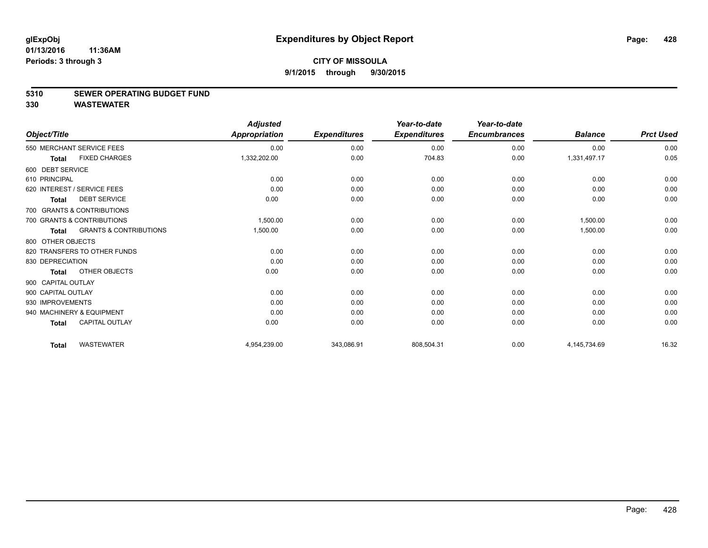#### **5310 SEWER OPERATING BUDGET FUND**

**330 WASTEWATER**

| Object/Title       |                                   | <b>Adjusted</b><br><b>Appropriation</b> | <b>Expenditures</b> | Year-to-date<br><b>Expenditures</b> | Year-to-date<br><b>Encumbrances</b> | <b>Balance</b> | <b>Prct Used</b> |
|--------------------|-----------------------------------|-----------------------------------------|---------------------|-------------------------------------|-------------------------------------|----------------|------------------|
|                    | 550 MERCHANT SERVICE FEES         | 0.00                                    | 0.00                | 0.00                                | 0.00                                | 0.00           | 0.00             |
| <b>Total</b>       | <b>FIXED CHARGES</b>              | 1,332,202.00                            | 0.00                | 704.83                              | 0.00                                | 1,331,497.17   | 0.05             |
| 600 DEBT SERVICE   |                                   |                                         |                     |                                     |                                     |                |                  |
| 610 PRINCIPAL      |                                   | 0.00                                    | 0.00                | 0.00                                | 0.00                                | 0.00           | 0.00             |
|                    | 620 INTEREST / SERVICE FEES       | 0.00                                    | 0.00                | 0.00                                | 0.00                                | 0.00           | 0.00             |
| <b>Total</b>       | <b>DEBT SERVICE</b>               | 0.00                                    | 0.00                | 0.00                                | 0.00                                | 0.00           | 0.00             |
|                    | 700 GRANTS & CONTRIBUTIONS        |                                         |                     |                                     |                                     |                |                  |
|                    | 700 GRANTS & CONTRIBUTIONS        | 1,500.00                                | 0.00                | 0.00                                | 0.00                                | 1.500.00       | 0.00             |
| <b>Total</b>       | <b>GRANTS &amp; CONTRIBUTIONS</b> | 1,500.00                                | 0.00                | 0.00                                | 0.00                                | 1,500.00       | 0.00             |
| 800 OTHER OBJECTS  |                                   |                                         |                     |                                     |                                     |                |                  |
|                    | 820 TRANSFERS TO OTHER FUNDS      | 0.00                                    | 0.00                | 0.00                                | 0.00                                | 0.00           | 0.00             |
| 830 DEPRECIATION   |                                   | 0.00                                    | 0.00                | 0.00                                | 0.00                                | 0.00           | 0.00             |
| <b>Total</b>       | OTHER OBJECTS                     | 0.00                                    | 0.00                | 0.00                                | 0.00                                | 0.00           | 0.00             |
| 900 CAPITAL OUTLAY |                                   |                                         |                     |                                     |                                     |                |                  |
| 900 CAPITAL OUTLAY |                                   | 0.00                                    | 0.00                | 0.00                                | 0.00                                | 0.00           | 0.00             |
| 930 IMPROVEMENTS   |                                   | 0.00                                    | 0.00                | 0.00                                | 0.00                                | 0.00           | 0.00             |
|                    | 940 MACHINERY & EQUIPMENT         | 0.00                                    | 0.00                | 0.00                                | 0.00                                | 0.00           | 0.00             |
| <b>Total</b>       | <b>CAPITAL OUTLAY</b>             | 0.00                                    | 0.00                | 0.00                                | 0.00                                | 0.00           | 0.00             |
| <b>Total</b>       | <b>WASTEWATER</b>                 | 4,954,239.00                            | 343,086.91          | 808,504.31                          | 0.00                                | 4,145,734.69   | 16.32            |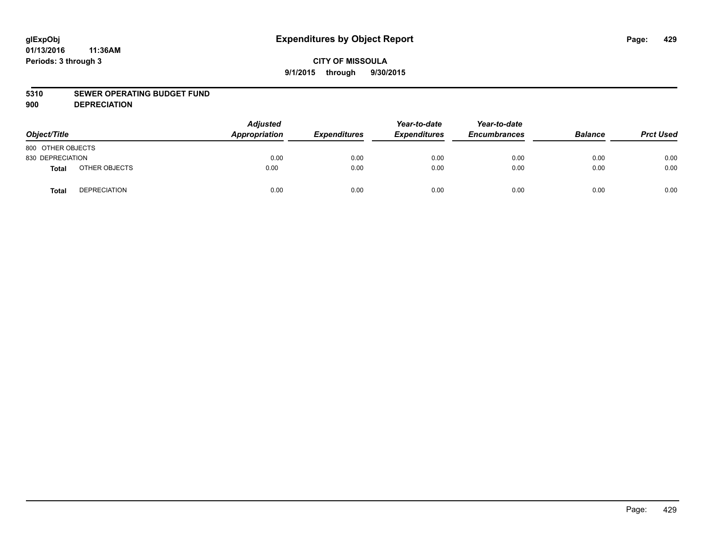#### **5310 SEWER OPERATING BUDGET FUND**

**900 DEPRECIATION**

| Object/Title      |                     | <b>Adjusted</b><br>Appropriation | <b>Expenditures</b> | Year-to-date<br><b>Expenditures</b> | Year-to-date<br><b>Encumbrances</b> | <b>Balance</b> | <b>Prct Used</b> |
|-------------------|---------------------|----------------------------------|---------------------|-------------------------------------|-------------------------------------|----------------|------------------|
| 800 OTHER OBJECTS |                     |                                  |                     |                                     |                                     |                |                  |
| 830 DEPRECIATION  |                     | 0.00                             | 0.00                | 0.00                                | 0.00                                | 0.00           | 0.00             |
| <b>Total</b>      | OTHER OBJECTS       | 0.00                             | 0.00                | 0.00                                | 0.00                                | 0.00           | 0.00             |
| <b>Total</b>      | <b>DEPRECIATION</b> | 0.00                             | 0.00                | 0.00                                | 0.00                                | 0.00           | 0.00             |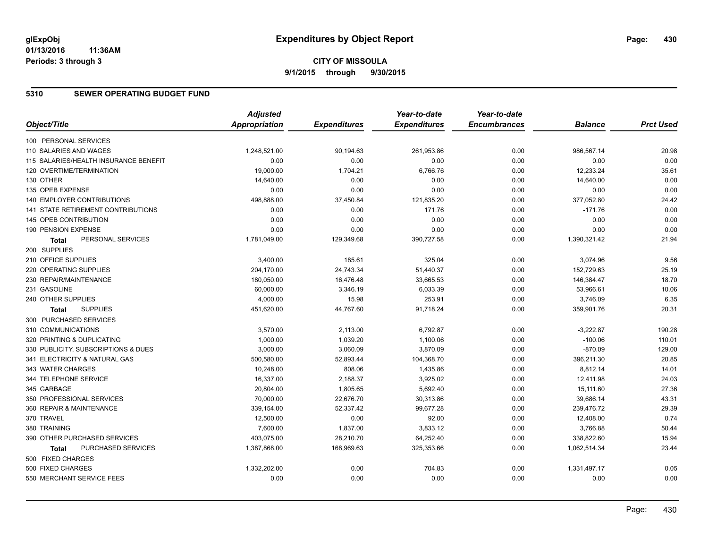# **CITY OF MISSOULA 9/1/2015 through 9/30/2015**

### **5310 SEWER OPERATING BUDGET FUND**

|                                           | <b>Adjusted</b>      |                     | Year-to-date        | Year-to-date        |                |                  |
|-------------------------------------------|----------------------|---------------------|---------------------|---------------------|----------------|------------------|
| Object/Title                              | <b>Appropriation</b> | <b>Expenditures</b> | <b>Expenditures</b> | <b>Encumbrances</b> | <b>Balance</b> | <b>Prct Used</b> |
| 100 PERSONAL SERVICES                     |                      |                     |                     |                     |                |                  |
| 110 SALARIES AND WAGES                    | 1,248,521.00         | 90,194.63           | 261,953.86          | 0.00                | 986,567.14     | 20.98            |
| 115 SALARIES/HEALTH INSURANCE BENEFIT     | 0.00                 | 0.00                | 0.00                | 0.00                | 0.00           | 0.00             |
| 120 OVERTIME/TERMINATION                  | 19,000.00            | 1,704.21            | 6,766.76            | 0.00                | 12,233.24      | 35.61            |
| 130 OTHER                                 | 14,640.00            | 0.00                | 0.00                | 0.00                | 14,640.00      | 0.00             |
| 135 OPEB EXPENSE                          | 0.00                 | 0.00                | 0.00                | 0.00                | 0.00           | 0.00             |
| <b>140 EMPLOYER CONTRIBUTIONS</b>         | 498,888.00           | 37,450.84           | 121,835.20          | 0.00                | 377,052.80     | 24.42            |
| <b>141 STATE RETIREMENT CONTRIBUTIONS</b> | 0.00                 | 0.00                | 171.76              | 0.00                | $-171.76$      | 0.00             |
| 145 OPEB CONTRIBUTION                     | 0.00                 | 0.00                | 0.00                | 0.00                | 0.00           | 0.00             |
| 190 PENSION EXPENSE                       | 0.00                 | 0.00                | 0.00                | 0.00                | 0.00           | 0.00             |
| PERSONAL SERVICES<br>Total                | 1,781,049.00         | 129,349.68          | 390,727.58          | 0.00                | 1,390,321.42   | 21.94            |
| 200 SUPPLIES                              |                      |                     |                     |                     |                |                  |
| 210 OFFICE SUPPLIES                       | 3,400.00             | 185.61              | 325.04              | 0.00                | 3,074.96       | 9.56             |
| 220 OPERATING SUPPLIES                    | 204,170.00           | 24,743.34           | 51,440.37           | 0.00                | 152,729.63     | 25.19            |
| 230 REPAIR/MAINTENANCE                    | 180,050.00           | 16,476.48           | 33,665.53           | 0.00                | 146,384.47     | 18.70            |
| 231 GASOLINE                              | 60,000.00            | 3,346.19            | 6,033.39            | 0.00                | 53,966.61      | 10.06            |
| 240 OTHER SUPPLIES                        | 4,000.00             | 15.98               | 253.91              | 0.00                | 3,746.09       | 6.35             |
| <b>SUPPLIES</b><br>Total                  | 451,620.00           | 44,767.60           | 91,718.24           | 0.00                | 359,901.76     | 20.31            |
| 300 PURCHASED SERVICES                    |                      |                     |                     |                     |                |                  |
| 310 COMMUNICATIONS                        | 3,570.00             | 2,113.00            | 6,792.87            | 0.00                | $-3,222.87$    | 190.28           |
| 320 PRINTING & DUPLICATING                | 1,000.00             | 1,039.20            | 1,100.06            | 0.00                | $-100.06$      | 110.01           |
| 330 PUBLICITY, SUBSCRIPTIONS & DUES       | 3,000.00             | 3,060.09            | 3,870.09            | 0.00                | $-870.09$      | 129.00           |
| 341 ELECTRICITY & NATURAL GAS             | 500,580.00           | 52,893.44           | 104,368.70          | 0.00                | 396,211.30     | 20.85            |
| 343 WATER CHARGES                         | 10,248.00            | 808.06              | 1,435.86            | 0.00                | 8,812.14       | 14.01            |
| 344 TELEPHONE SERVICE                     | 16,337.00            | 2,188.37            | 3,925.02            | 0.00                | 12,411.98      | 24.03            |
| 345 GARBAGE                               | 20,804.00            | 1,805.65            | 5,692.40            | 0.00                | 15,111.60      | 27.36            |
| 350 PROFESSIONAL SERVICES                 | 70,000.00            | 22,676.70           | 30,313.86           | 0.00                | 39,686.14      | 43.31            |
| 360 REPAIR & MAINTENANCE                  | 339,154.00           | 52,337.42           | 99,677.28           | 0.00                | 239,476.72     | 29.39            |
| 370 TRAVEL                                | 12,500.00            | 0.00                | 92.00               | 0.00                | 12,408.00      | 0.74             |
| 380 TRAINING                              | 7,600.00             | 1,837.00            | 3,833.12            | 0.00                | 3,766.88       | 50.44            |
| 390 OTHER PURCHASED SERVICES              | 403,075.00           | 28,210.70           | 64,252.40           | 0.00                | 338,822.60     | 15.94            |
| PURCHASED SERVICES<br><b>Total</b>        | 1,387,868.00         | 168,969.63          | 325,353.66          | 0.00                | 1,062,514.34   | 23.44            |
| 500 FIXED CHARGES                         |                      |                     |                     |                     |                |                  |
| 500 FIXED CHARGES                         | 1,332,202.00         | 0.00                | 704.83              | 0.00                | 1,331,497.17   | 0.05             |
| 550 MERCHANT SERVICE FEES                 | 0.00                 | 0.00                | 0.00                | 0.00                | 0.00           | 0.00             |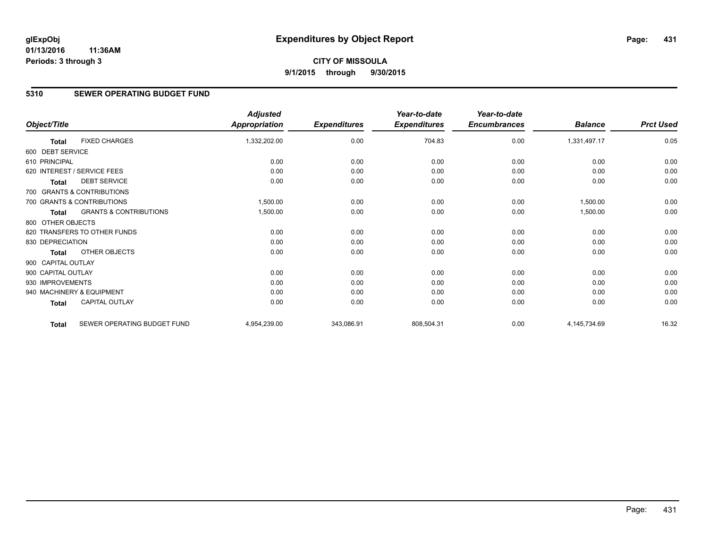### **5310 SEWER OPERATING BUDGET FUND**

|                    |                                   | <b>Adjusted</b>      |                     | Year-to-date        | Year-to-date        |                |                  |
|--------------------|-----------------------------------|----------------------|---------------------|---------------------|---------------------|----------------|------------------|
| Object/Title       |                                   | <b>Appropriation</b> | <b>Expenditures</b> | <b>Expenditures</b> | <b>Encumbrances</b> | <b>Balance</b> | <b>Prct Used</b> |
| <b>Total</b>       | <b>FIXED CHARGES</b>              | 1,332,202.00         | 0.00                | 704.83              | 0.00                | 1,331,497.17   | 0.05             |
| 600 DEBT SERVICE   |                                   |                      |                     |                     |                     |                |                  |
| 610 PRINCIPAL      |                                   | 0.00                 | 0.00                | 0.00                | 0.00                | 0.00           | 0.00             |
|                    | 620 INTEREST / SERVICE FEES       | 0.00                 | 0.00                | 0.00                | 0.00                | 0.00           | 0.00             |
| <b>Total</b>       | <b>DEBT SERVICE</b>               | 0.00                 | 0.00                | 0.00                | 0.00                | 0.00           | 0.00             |
|                    | 700 GRANTS & CONTRIBUTIONS        |                      |                     |                     |                     |                |                  |
|                    | 700 GRANTS & CONTRIBUTIONS        | 1,500.00             | 0.00                | 0.00                | 0.00                | 1,500.00       | 0.00             |
| <b>Total</b>       | <b>GRANTS &amp; CONTRIBUTIONS</b> | 1,500.00             | 0.00                | 0.00                | 0.00                | 1,500.00       | 0.00             |
| 800 OTHER OBJECTS  |                                   |                      |                     |                     |                     |                |                  |
|                    | 820 TRANSFERS TO OTHER FUNDS      | 0.00                 | 0.00                | 0.00                | 0.00                | 0.00           | 0.00             |
| 830 DEPRECIATION   |                                   | 0.00                 | 0.00                | 0.00                | 0.00                | 0.00           | 0.00             |
| <b>Total</b>       | <b>OTHER OBJECTS</b>              | 0.00                 | 0.00                | 0.00                | 0.00                | 0.00           | 0.00             |
| 900 CAPITAL OUTLAY |                                   |                      |                     |                     |                     |                |                  |
| 900 CAPITAL OUTLAY |                                   | 0.00                 | 0.00                | 0.00                | 0.00                | 0.00           | 0.00             |
| 930 IMPROVEMENTS   |                                   | 0.00                 | 0.00                | 0.00                | 0.00                | 0.00           | 0.00             |
|                    | 940 MACHINERY & EQUIPMENT         | 0.00                 | 0.00                | 0.00                | 0.00                | 0.00           | 0.00             |
| Total              | <b>CAPITAL OUTLAY</b>             | 0.00                 | 0.00                | 0.00                | 0.00                | 0.00           | 0.00             |
| <b>Total</b>       | SEWER OPERATING BUDGET FUND       | 4,954,239.00         | 343,086.91          | 808,504.31          | 0.00                | 4,145,734.69   | 16.32            |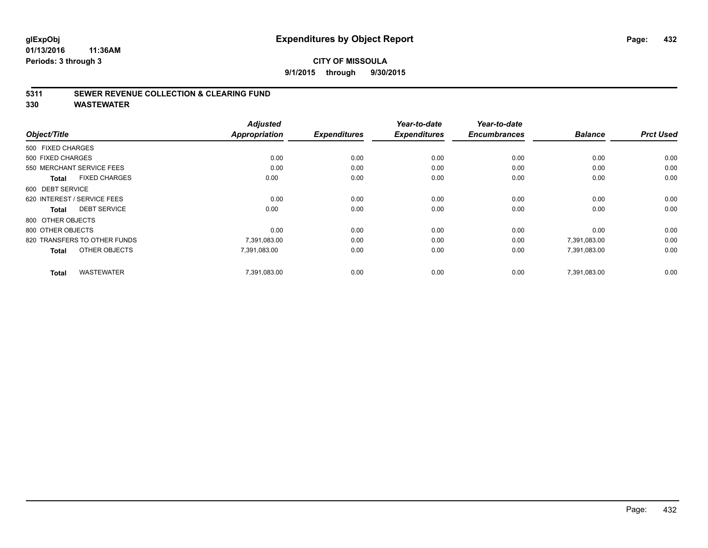### **5311 SEWER REVENUE COLLECTION & CLEARING FUND**

**330 WASTEWATER**

|                                   | <b>Adjusted</b>      |                     | Year-to-date        | Year-to-date        |                |                  |
|-----------------------------------|----------------------|---------------------|---------------------|---------------------|----------------|------------------|
| Object/Title                      | <b>Appropriation</b> | <b>Expenditures</b> | <b>Expenditures</b> | <b>Encumbrances</b> | <b>Balance</b> | <b>Prct Used</b> |
| 500 FIXED CHARGES                 |                      |                     |                     |                     |                |                  |
| 500 FIXED CHARGES                 | 0.00                 | 0.00                | 0.00                | 0.00                | 0.00           | 0.00             |
| 550 MERCHANT SERVICE FEES         | 0.00                 | 0.00                | 0.00                | 0.00                | 0.00           | 0.00             |
| <b>FIXED CHARGES</b><br>Total     | 0.00                 | 0.00                | 0.00                | 0.00                | 0.00           | 0.00             |
| 600 DEBT SERVICE                  |                      |                     |                     |                     |                |                  |
| 620 INTEREST / SERVICE FEES       | 0.00                 | 0.00                | 0.00                | 0.00                | 0.00           | 0.00             |
| <b>DEBT SERVICE</b><br>Total      | 0.00                 | 0.00                | 0.00                | 0.00                | 0.00           | 0.00             |
| 800 OTHER OBJECTS                 |                      |                     |                     |                     |                |                  |
| 800 OTHER OBJECTS                 | 0.00                 | 0.00                | 0.00                | 0.00                | 0.00           | 0.00             |
| 820 TRANSFERS TO OTHER FUNDS      | 7,391,083.00         | 0.00                | 0.00                | 0.00                | 7,391,083.00   | 0.00             |
| OTHER OBJECTS<br><b>Total</b>     | 7,391,083.00         | 0.00                | 0.00                | 0.00                | 7,391,083.00   | 0.00             |
| <b>WASTEWATER</b><br><b>Total</b> | 7,391,083.00         | 0.00                | 0.00                | 0.00                | 7,391,083.00   | 0.00             |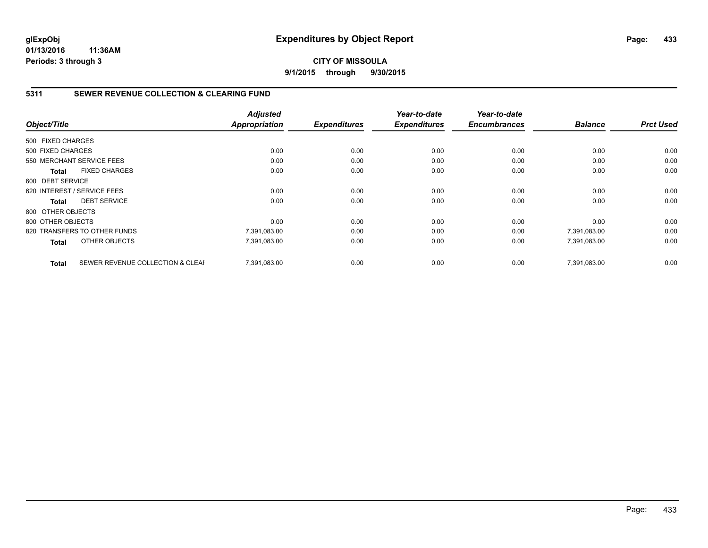## **CITY OF MISSOULA 9/1/2015 through 9/30/2015**

# **5311 SEWER REVENUE COLLECTION & CLEARING FUND**

|                   |                                  | <b>Adjusted</b> |                     | Year-to-date        | Year-to-date        |                |                  |
|-------------------|----------------------------------|-----------------|---------------------|---------------------|---------------------|----------------|------------------|
| Object/Title      |                                  | Appropriation   | <b>Expenditures</b> | <b>Expenditures</b> | <b>Encumbrances</b> | <b>Balance</b> | <b>Prct Used</b> |
| 500 FIXED CHARGES |                                  |                 |                     |                     |                     |                |                  |
| 500 FIXED CHARGES |                                  | 0.00            | 0.00                | 0.00                | 0.00                | 0.00           | 0.00             |
|                   | 550 MERCHANT SERVICE FEES        | 0.00            | 0.00                | 0.00                | 0.00                | 0.00           | 0.00             |
| <b>Total</b>      | <b>FIXED CHARGES</b>             | 0.00            | 0.00                | 0.00                | 0.00                | 0.00           | 0.00             |
| 600 DEBT SERVICE  |                                  |                 |                     |                     |                     |                |                  |
|                   | 620 INTEREST / SERVICE FEES      | 0.00            | 0.00                | 0.00                | 0.00                | 0.00           | 0.00             |
| Total             | <b>DEBT SERVICE</b>              | 0.00            | 0.00                | 0.00                | 0.00                | 0.00           | 0.00             |
| 800 OTHER OBJECTS |                                  |                 |                     |                     |                     |                |                  |
| 800 OTHER OBJECTS |                                  | 0.00            | 0.00                | 0.00                | 0.00                | 0.00           | 0.00             |
|                   | 820 TRANSFERS TO OTHER FUNDS     | 7,391,083.00    | 0.00                | 0.00                | 0.00                | 7,391,083.00   | 0.00             |
| <b>Total</b>      | OTHER OBJECTS                    | 7,391,083.00    | 0.00                | 0.00                | 0.00                | 7,391,083.00   | 0.00             |
| <b>Total</b>      | SEWER REVENUE COLLECTION & CLEAF | 7.391.083.00    | 0.00                | 0.00                | 0.00                | 7,391,083.00   | 0.00             |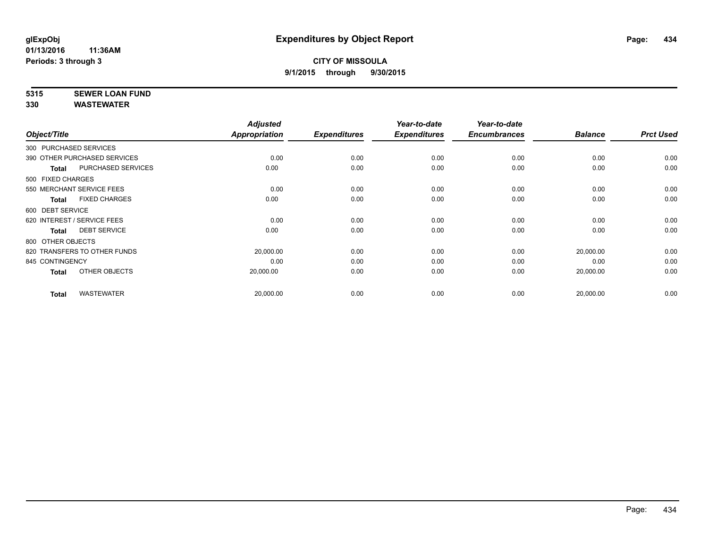# **5315 SEWER LOAN FUND**

|                        |                              | <b>Adjusted</b> |                     | Year-to-date        | Year-to-date        |                |                  |
|------------------------|------------------------------|-----------------|---------------------|---------------------|---------------------|----------------|------------------|
| Object/Title           |                              | Appropriation   | <b>Expenditures</b> | <b>Expenditures</b> | <b>Encumbrances</b> | <b>Balance</b> | <b>Prct Used</b> |
| 300 PURCHASED SERVICES |                              |                 |                     |                     |                     |                |                  |
|                        | 390 OTHER PURCHASED SERVICES | 0.00            | 0.00                | 0.00                | 0.00                | 0.00           | 0.00             |
| Total                  | PURCHASED SERVICES           | 0.00            | 0.00                | 0.00                | 0.00                | 0.00           | 0.00             |
| 500 FIXED CHARGES      |                              |                 |                     |                     |                     |                |                  |
|                        | 550 MERCHANT SERVICE FEES    | 0.00            | 0.00                | 0.00                | 0.00                | 0.00           | 0.00             |
| Total                  | <b>FIXED CHARGES</b>         | 0.00            | 0.00                | 0.00                | 0.00                | 0.00           | 0.00             |
| 600 DEBT SERVICE       |                              |                 |                     |                     |                     |                |                  |
|                        | 620 INTEREST / SERVICE FEES  | 0.00            | 0.00                | 0.00                | 0.00                | 0.00           | 0.00             |
| <b>Total</b>           | <b>DEBT SERVICE</b>          | 0.00            | 0.00                | 0.00                | 0.00                | 0.00           | 0.00             |
| 800 OTHER OBJECTS      |                              |                 |                     |                     |                     |                |                  |
|                        | 820 TRANSFERS TO OTHER FUNDS | 20,000.00       | 0.00                | 0.00                | 0.00                | 20,000.00      | 0.00             |
| 845 CONTINGENCY        |                              | 0.00            | 0.00                | 0.00                | 0.00                | 0.00           | 0.00             |
| <b>Total</b>           | OTHER OBJECTS                | 20,000.00       | 0.00                | 0.00                | 0.00                | 20,000.00      | 0.00             |
| <b>Total</b>           | <b>WASTEWATER</b>            | 20,000.00       | 0.00                | 0.00                | 0.00                | 20,000.00      | 0.00             |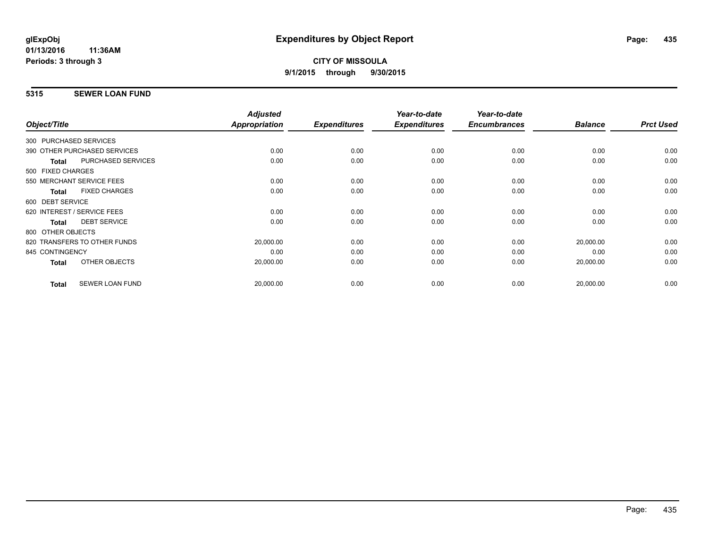#### **5315 SEWER LOAN FUND**

|                                           | <b>Adjusted</b> |                     | Year-to-date        | Year-to-date        |                |                  |
|-------------------------------------------|-----------------|---------------------|---------------------|---------------------|----------------|------------------|
| Object/Title                              | Appropriation   | <b>Expenditures</b> | <b>Expenditures</b> | <b>Encumbrances</b> | <b>Balance</b> | <b>Prct Used</b> |
| 300 PURCHASED SERVICES                    |                 |                     |                     |                     |                |                  |
| 390 OTHER PURCHASED SERVICES              | 0.00            | 0.00                | 0.00                | 0.00                | 0.00           | 0.00             |
| <b>PURCHASED SERVICES</b><br><b>Total</b> | 0.00            | 0.00                | 0.00                | 0.00                | 0.00           | 0.00             |
| 500 FIXED CHARGES                         |                 |                     |                     |                     |                |                  |
| 550 MERCHANT SERVICE FEES                 | 0.00            | 0.00                | 0.00                | 0.00                | 0.00           | 0.00             |
| <b>FIXED CHARGES</b><br><b>Total</b>      | 0.00            | 0.00                | 0.00                | 0.00                | 0.00           | 0.00             |
| 600 DEBT SERVICE                          |                 |                     |                     |                     |                |                  |
| 620 INTEREST / SERVICE FEES               | 0.00            | 0.00                | 0.00                | 0.00                | 0.00           | 0.00             |
| <b>DEBT SERVICE</b><br><b>Total</b>       | 0.00            | 0.00                | 0.00                | 0.00                | 0.00           | 0.00             |
| 800 OTHER OBJECTS                         |                 |                     |                     |                     |                |                  |
| 820 TRANSFERS TO OTHER FUNDS              | 20,000.00       | 0.00                | 0.00                | 0.00                | 20,000.00      | 0.00             |
| 845 CONTINGENCY                           | 0.00            | 0.00                | 0.00                | 0.00                | 0.00           | 0.00             |
| OTHER OBJECTS<br>Total                    | 20,000.00       | 0.00                | 0.00                | 0.00                | 20,000.00      | 0.00             |
| <b>SEWER LOAN FUND</b><br><b>Total</b>    | 20,000.00       | 0.00                | 0.00                | 0.00                | 20,000.00      | 0.00             |
|                                           |                 |                     |                     |                     |                |                  |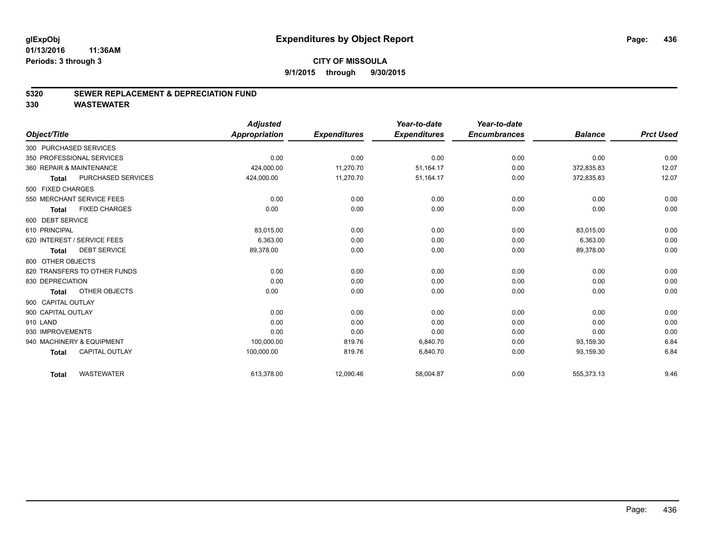#### **5320 SEWER REPLACEMENT & DEPRECIATION FUND**

|                                       | <b>Adjusted</b>      |                     | Year-to-date        | Year-to-date        |                |                  |
|---------------------------------------|----------------------|---------------------|---------------------|---------------------|----------------|------------------|
| Object/Title                          | <b>Appropriation</b> | <b>Expenditures</b> | <b>Expenditures</b> | <b>Encumbrances</b> | <b>Balance</b> | <b>Prct Used</b> |
| 300 PURCHASED SERVICES                |                      |                     |                     |                     |                |                  |
| 350 PROFESSIONAL SERVICES             | 0.00                 | 0.00                | 0.00                | 0.00                | 0.00           | 0.00             |
| 360 REPAIR & MAINTENANCE              | 424,000.00           | 11,270.70           | 51,164.17           | 0.00                | 372,835.83     | 12.07            |
| PURCHASED SERVICES<br><b>Total</b>    | 424,000.00           | 11,270.70           | 51,164.17           | 0.00                | 372,835.83     | 12.07            |
| 500 FIXED CHARGES                     |                      |                     |                     |                     |                |                  |
| 550 MERCHANT SERVICE FEES             | 0.00                 | 0.00                | 0.00                | 0.00                | 0.00           | 0.00             |
| <b>FIXED CHARGES</b><br><b>Total</b>  | 0.00                 | 0.00                | 0.00                | 0.00                | 0.00           | 0.00             |
| 600 DEBT SERVICE                      |                      |                     |                     |                     |                |                  |
| 610 PRINCIPAL                         | 83,015.00            | 0.00                | 0.00                | 0.00                | 83,015.00      | 0.00             |
| 620 INTEREST / SERVICE FEES           | 6,363.00             | 0.00                | 0.00                | 0.00                | 6,363.00       | 0.00             |
| <b>DEBT SERVICE</b><br><b>Total</b>   | 89,378.00            | 0.00                | 0.00                | 0.00                | 89,378.00      | 0.00             |
| 800 OTHER OBJECTS                     |                      |                     |                     |                     |                |                  |
| 820 TRANSFERS TO OTHER FUNDS          | 0.00                 | 0.00                | 0.00                | 0.00                | 0.00           | 0.00             |
| 830 DEPRECIATION                      | 0.00                 | 0.00                | 0.00                | 0.00                | 0.00           | 0.00             |
| OTHER OBJECTS<br>Total                | 0.00                 | 0.00                | 0.00                | 0.00                | 0.00           | 0.00             |
| 900 CAPITAL OUTLAY                    |                      |                     |                     |                     |                |                  |
| 900 CAPITAL OUTLAY                    | 0.00                 | 0.00                | 0.00                | 0.00                | 0.00           | 0.00             |
| 910 LAND                              | 0.00                 | 0.00                | 0.00                | 0.00                | 0.00           | 0.00             |
| 930 IMPROVEMENTS                      | 0.00                 | 0.00                | 0.00                | 0.00                | 0.00           | 0.00             |
| 940 MACHINERY & EQUIPMENT             | 100,000.00           | 819.76              | 6,840.70            | 0.00                | 93,159.30      | 6.84             |
| <b>CAPITAL OUTLAY</b><br><b>Total</b> | 100,000.00           | 819.76              | 6,840.70            | 0.00                | 93,159.30      | 6.84             |
| <b>WASTEWATER</b><br><b>Total</b>     | 613,378.00           | 12,090.46           | 58,004.87           | 0.00                | 555,373.13     | 9.46             |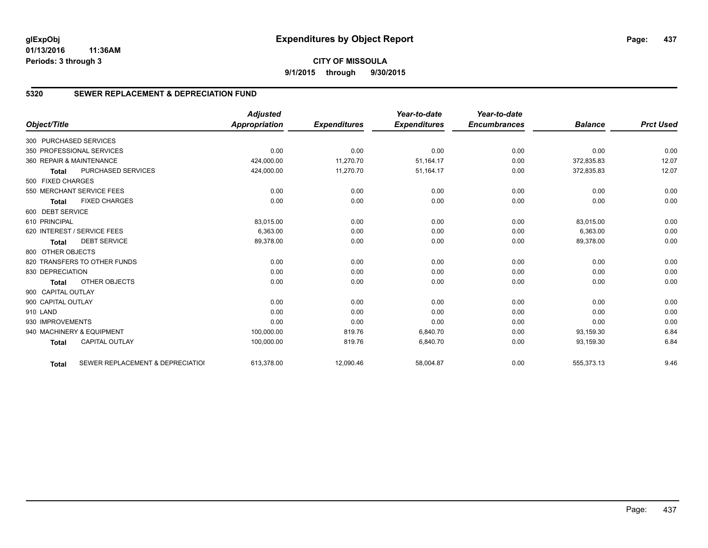# **CITY OF MISSOULA 9/1/2015 through 9/30/2015**

# **5320 SEWER REPLACEMENT & DEPRECIATION FUND**

|                        |                                  | <b>Adjusted</b> |                     | Year-to-date        | Year-to-date        |                |                  |
|------------------------|----------------------------------|-----------------|---------------------|---------------------|---------------------|----------------|------------------|
| Object/Title           |                                  | Appropriation   | <b>Expenditures</b> | <b>Expenditures</b> | <b>Encumbrances</b> | <b>Balance</b> | <b>Prct Used</b> |
| 300 PURCHASED SERVICES |                                  |                 |                     |                     |                     |                |                  |
|                        | 350 PROFESSIONAL SERVICES        | 0.00            | 0.00                | 0.00                | 0.00                | 0.00           | 0.00             |
|                        | 360 REPAIR & MAINTENANCE         | 424,000.00      | 11,270.70           | 51,164.17           | 0.00                | 372,835.83     | 12.07            |
| <b>Total</b>           | <b>PURCHASED SERVICES</b>        | 424,000.00      | 11,270.70           | 51,164.17           | 0.00                | 372,835.83     | 12.07            |
| 500 FIXED CHARGES      |                                  |                 |                     |                     |                     |                |                  |
|                        | 550 MERCHANT SERVICE FEES        | 0.00            | 0.00                | 0.00                | 0.00                | 0.00           | 0.00             |
| <b>Total</b>           | <b>FIXED CHARGES</b>             | 0.00            | 0.00                | 0.00                | 0.00                | 0.00           | 0.00             |
| 600 DEBT SERVICE       |                                  |                 |                     |                     |                     |                |                  |
| 610 PRINCIPAL          |                                  | 83,015.00       | 0.00                | 0.00                | 0.00                | 83,015.00      | 0.00             |
|                        | 620 INTEREST / SERVICE FEES      | 6,363.00        | 0.00                | 0.00                | 0.00                | 6,363.00       | 0.00             |
| <b>Total</b>           | <b>DEBT SERVICE</b>              | 89,378.00       | 0.00                | 0.00                | 0.00                | 89,378.00      | 0.00             |
| 800 OTHER OBJECTS      |                                  |                 |                     |                     |                     |                |                  |
|                        | 820 TRANSFERS TO OTHER FUNDS     | 0.00            | 0.00                | 0.00                | 0.00                | 0.00           | 0.00             |
| 830 DEPRECIATION       |                                  | 0.00            | 0.00                | 0.00                | 0.00                | 0.00           | 0.00             |
| <b>Total</b>           | OTHER OBJECTS                    | 0.00            | 0.00                | 0.00                | 0.00                | 0.00           | 0.00             |
| 900 CAPITAL OUTLAY     |                                  |                 |                     |                     |                     |                |                  |
| 900 CAPITAL OUTLAY     |                                  | 0.00            | 0.00                | 0.00                | 0.00                | 0.00           | 0.00             |
| 910 LAND               |                                  | 0.00            | 0.00                | 0.00                | 0.00                | 0.00           | 0.00             |
| 930 IMPROVEMENTS       |                                  | 0.00            | 0.00                | 0.00                | 0.00                | 0.00           | 0.00             |
|                        | 940 MACHINERY & EQUIPMENT        | 100,000.00      | 819.76              | 6.840.70            | 0.00                | 93,159.30      | 6.84             |
| <b>Total</b>           | <b>CAPITAL OUTLAY</b>            | 100,000.00      | 819.76              | 6,840.70            | 0.00                | 93,159.30      | 6.84             |
| <b>Total</b>           | SEWER REPLACEMENT & DEPRECIATION | 613,378.00      | 12,090.46           | 58,004.87           | 0.00                | 555,373.13     | 9.46             |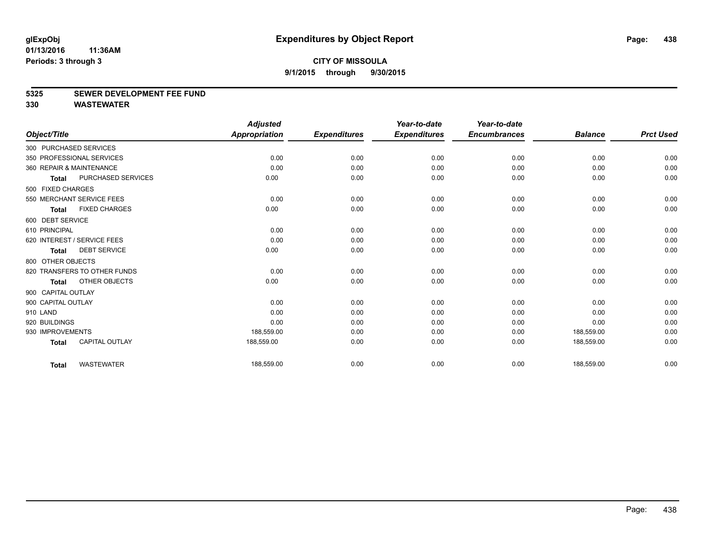#### **5325 SEWER DEVELOPMENT FEE FUND**

|                    |                              | <b>Adjusted</b>      |                     | Year-to-date        | Year-to-date        |                |                  |
|--------------------|------------------------------|----------------------|---------------------|---------------------|---------------------|----------------|------------------|
| Object/Title       |                              | <b>Appropriation</b> | <b>Expenditures</b> | <b>Expenditures</b> | <b>Encumbrances</b> | <b>Balance</b> | <b>Prct Used</b> |
|                    | 300 PURCHASED SERVICES       |                      |                     |                     |                     |                |                  |
|                    | 350 PROFESSIONAL SERVICES    | 0.00                 | 0.00                | 0.00                | 0.00                | 0.00           | 0.00             |
|                    | 360 REPAIR & MAINTENANCE     | 0.00                 | 0.00                | 0.00                | 0.00                | 0.00           | 0.00             |
| <b>Total</b>       | PURCHASED SERVICES           | 0.00                 | 0.00                | 0.00                | 0.00                | 0.00           | 0.00             |
| 500 FIXED CHARGES  |                              |                      |                     |                     |                     |                |                  |
|                    | 550 MERCHANT SERVICE FEES    | 0.00                 | 0.00                | 0.00                | 0.00                | 0.00           | 0.00             |
| <b>Total</b>       | <b>FIXED CHARGES</b>         | 0.00                 | 0.00                | 0.00                | 0.00                | 0.00           | 0.00             |
| 600 DEBT SERVICE   |                              |                      |                     |                     |                     |                |                  |
| 610 PRINCIPAL      |                              | 0.00                 | 0.00                | 0.00                | 0.00                | 0.00           | 0.00             |
|                    | 620 INTEREST / SERVICE FEES  | 0.00                 | 0.00                | 0.00                | 0.00                | 0.00           | 0.00             |
| <b>Total</b>       | <b>DEBT SERVICE</b>          | 0.00                 | 0.00                | 0.00                | 0.00                | 0.00           | 0.00             |
| 800 OTHER OBJECTS  |                              |                      |                     |                     |                     |                |                  |
|                    | 820 TRANSFERS TO OTHER FUNDS | 0.00                 | 0.00                | 0.00                | 0.00                | 0.00           | 0.00             |
| <b>Total</b>       | OTHER OBJECTS                | 0.00                 | 0.00                | 0.00                | 0.00                | 0.00           | 0.00             |
| 900 CAPITAL OUTLAY |                              |                      |                     |                     |                     |                |                  |
| 900 CAPITAL OUTLAY |                              | 0.00                 | 0.00                | 0.00                | 0.00                | 0.00           | 0.00             |
| 910 LAND           |                              | 0.00                 | 0.00                | 0.00                | 0.00                | 0.00           | 0.00             |
| 920 BUILDINGS      |                              | 0.00                 | 0.00                | 0.00                | 0.00                | 0.00           | 0.00             |
| 930 IMPROVEMENTS   |                              | 188,559.00           | 0.00                | 0.00                | 0.00                | 188,559.00     | 0.00             |
| <b>Total</b>       | <b>CAPITAL OUTLAY</b>        | 188,559.00           | 0.00                | 0.00                | 0.00                | 188,559.00     | 0.00             |
| <b>Total</b>       | <b>WASTEWATER</b>            | 188,559.00           | 0.00                | 0.00                | 0.00                | 188,559.00     | 0.00             |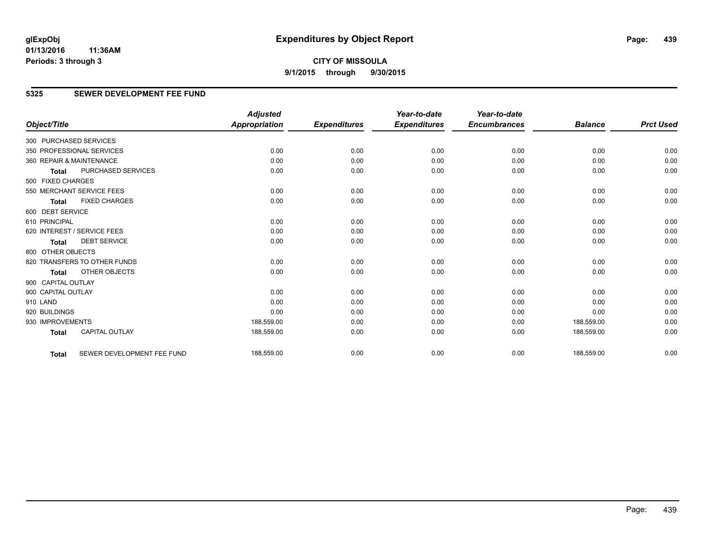**9/1/2015 through 9/30/2015**

# **5325 SEWER DEVELOPMENT FEE FUND**

|                        |                              | <b>Adjusted</b> |                     | Year-to-date        | Year-to-date        |                |                  |
|------------------------|------------------------------|-----------------|---------------------|---------------------|---------------------|----------------|------------------|
| Object/Title           |                              | Appropriation   | <b>Expenditures</b> | <b>Expenditures</b> | <b>Encumbrances</b> | <b>Balance</b> | <b>Prct Used</b> |
| 300 PURCHASED SERVICES |                              |                 |                     |                     |                     |                |                  |
|                        | 350 PROFESSIONAL SERVICES    | 0.00            | 0.00                | 0.00                | 0.00                | 0.00           | 0.00             |
|                        | 360 REPAIR & MAINTENANCE     | 0.00            | 0.00                | 0.00                | 0.00                | 0.00           | 0.00             |
| <b>Total</b>           | <b>PURCHASED SERVICES</b>    | 0.00            | 0.00                | 0.00                | 0.00                | 0.00           | 0.00             |
| 500 FIXED CHARGES      |                              |                 |                     |                     |                     |                |                  |
|                        | 550 MERCHANT SERVICE FEES    | 0.00            | 0.00                | 0.00                | 0.00                | 0.00           | 0.00             |
| <b>Total</b>           | <b>FIXED CHARGES</b>         | 0.00            | 0.00                | 0.00                | 0.00                | 0.00           | 0.00             |
| 600 DEBT SERVICE       |                              |                 |                     |                     |                     |                |                  |
| 610 PRINCIPAL          |                              | 0.00            | 0.00                | 0.00                | 0.00                | 0.00           | 0.00             |
|                        | 620 INTEREST / SERVICE FEES  | 0.00            | 0.00                | 0.00                | 0.00                | 0.00           | 0.00             |
| <b>Total</b>           | <b>DEBT SERVICE</b>          | 0.00            | 0.00                | 0.00                | 0.00                | 0.00           | 0.00             |
| 800 OTHER OBJECTS      |                              |                 |                     |                     |                     |                |                  |
|                        | 820 TRANSFERS TO OTHER FUNDS | 0.00            | 0.00                | 0.00                | 0.00                | 0.00           | 0.00             |
| <b>Total</b>           | OTHER OBJECTS                | 0.00            | 0.00                | 0.00                | 0.00                | 0.00           | 0.00             |
| 900 CAPITAL OUTLAY     |                              |                 |                     |                     |                     |                |                  |
| 900 CAPITAL OUTLAY     |                              | 0.00            | 0.00                | 0.00                | 0.00                | 0.00           | 0.00             |
| 910 LAND               |                              | 0.00            | 0.00                | 0.00                | 0.00                | 0.00           | 0.00             |
| 920 BUILDINGS          |                              | 0.00            | 0.00                | 0.00                | 0.00                | 0.00           | 0.00             |
| 930 IMPROVEMENTS       |                              | 188,559.00      | 0.00                | 0.00                | 0.00                | 188,559.00     | 0.00             |
| <b>Total</b>           | <b>CAPITAL OUTLAY</b>        | 188,559.00      | 0.00                | 0.00                | 0.00                | 188,559.00     | 0.00             |
| <b>Total</b>           | SEWER DEVELOPMENT FEE FUND   | 188,559.00      | 0.00                | 0.00                | 0.00                | 188,559.00     | 0.00             |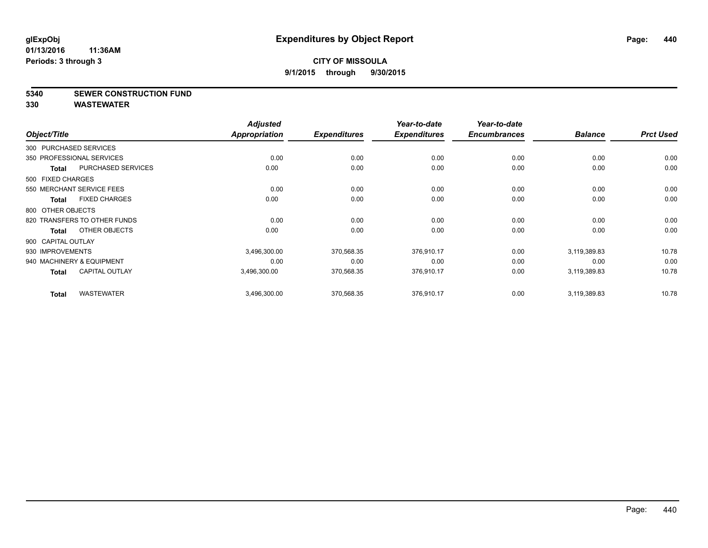#### **5340 SEWER CONSTRUCTION FUND**

| Object/Title           |                              | <b>Adjusted</b><br><b>Appropriation</b> | <b>Expenditures</b> | Year-to-date<br><b>Expenditures</b> | Year-to-date<br><b>Encumbrances</b> | <b>Balance</b> | <b>Prct Used</b> |
|------------------------|------------------------------|-----------------------------------------|---------------------|-------------------------------------|-------------------------------------|----------------|------------------|
|                        |                              |                                         |                     |                                     |                                     |                |                  |
| 300 PURCHASED SERVICES |                              |                                         |                     |                                     |                                     |                |                  |
|                        | 350 PROFESSIONAL SERVICES    | 0.00                                    | 0.00                | 0.00                                | 0.00                                | 0.00           | 0.00             |
| <b>Total</b>           | PURCHASED SERVICES           | 0.00                                    | 0.00                | 0.00                                | 0.00                                | 0.00           | 0.00             |
| 500 FIXED CHARGES      |                              |                                         |                     |                                     |                                     |                |                  |
|                        | 550 MERCHANT SERVICE FEES    | 0.00                                    | 0.00                | 0.00                                | 0.00                                | 0.00           | 0.00             |
| Total                  | <b>FIXED CHARGES</b>         | 0.00                                    | 0.00                | 0.00                                | 0.00                                | 0.00           | 0.00             |
| 800 OTHER OBJECTS      |                              |                                         |                     |                                     |                                     |                |                  |
|                        | 820 TRANSFERS TO OTHER FUNDS | 0.00                                    | 0.00                | 0.00                                | 0.00                                | 0.00           | 0.00             |
| Total                  | OTHER OBJECTS                | 0.00                                    | 0.00                | 0.00                                | 0.00                                | 0.00           | 0.00             |
| 900 CAPITAL OUTLAY     |                              |                                         |                     |                                     |                                     |                |                  |
| 930 IMPROVEMENTS       |                              | 3,496,300.00                            | 370,568.35          | 376,910.17                          | 0.00                                | 3,119,389.83   | 10.78            |
|                        | 940 MACHINERY & EQUIPMENT    | 0.00                                    | 0.00                | 0.00                                | 0.00                                | 0.00           | 0.00             |
| Total                  | <b>CAPITAL OUTLAY</b>        | 3,496,300.00                            | 370,568.35          | 376,910.17                          | 0.00                                | 3,119,389.83   | 10.78            |
| <b>Total</b>           | <b>WASTEWATER</b>            | 3,496,300.00                            | 370,568.35          | 376,910.17                          | 0.00                                | 3,119,389.83   | 10.78            |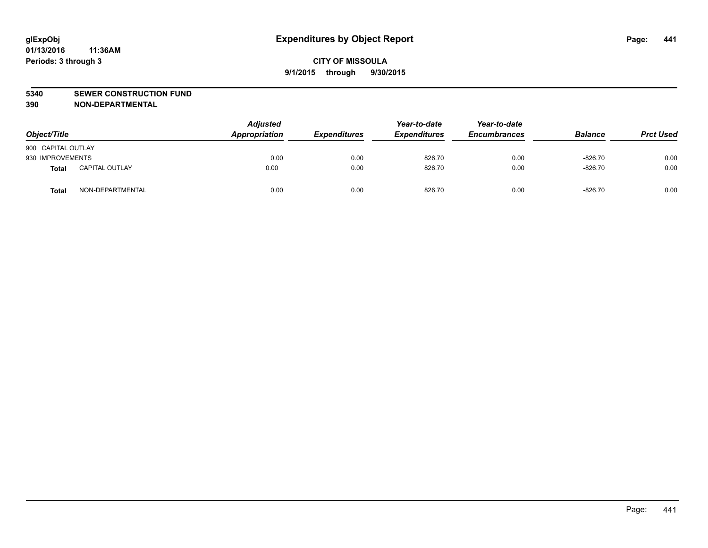#### **5340 SEWER CONSTRUCTION FUND**

**390 NON-DEPARTMENTAL**

| Object/Title       |                       | <b>Adjusted</b><br>Appropriation | <b>Expenditures</b> | Year-to-date<br><b>Expenditures</b> | Year-to-date<br><b>Encumbrances</b> | <b>Balance</b> | <b>Prct Used</b> |
|--------------------|-----------------------|----------------------------------|---------------------|-------------------------------------|-------------------------------------|----------------|------------------|
| 900 CAPITAL OUTLAY |                       |                                  |                     |                                     |                                     |                |                  |
| 930 IMPROVEMENTS   |                       | 0.00                             | 0.00                | 826.70                              | 0.00                                | $-826.70$      | 0.00             |
| Total              | <b>CAPITAL OUTLAY</b> | 0.00                             | 0.00                | 826.70                              | 0.00                                | $-826.70$      | 0.00             |
| Total              | NON-DEPARTMENTAL      | 0.00                             | 0.00                | 826.70                              | 0.00                                | $-826.70$      | 0.00             |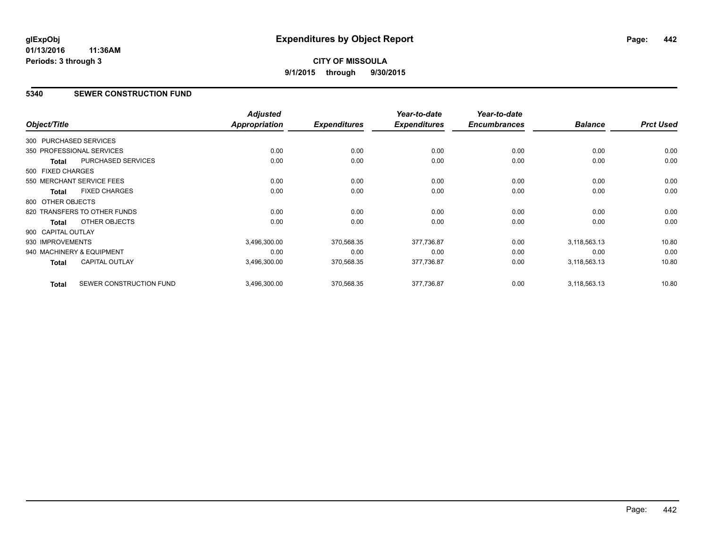# **CITY OF MISSOULA 9/1/2015 through 9/30/2015**

#### **5340 SEWER CONSTRUCTION FUND**

| Object/Title           |                              | <b>Adjusted</b><br>Appropriation | <b>Expenditures</b> | Year-to-date<br><b>Expenditures</b> | Year-to-date<br><b>Encumbrances</b> | <b>Balance</b> | <b>Prct Used</b> |
|------------------------|------------------------------|----------------------------------|---------------------|-------------------------------------|-------------------------------------|----------------|------------------|
|                        |                              |                                  |                     |                                     |                                     |                |                  |
| 300 PURCHASED SERVICES |                              |                                  |                     |                                     |                                     |                |                  |
|                        | 350 PROFESSIONAL SERVICES    | 0.00                             | 0.00                | 0.00                                | 0.00                                | 0.00           | 0.00             |
| <b>Total</b>           | PURCHASED SERVICES           | 0.00                             | 0.00                | 0.00                                | 0.00                                | 0.00           | 0.00             |
| 500 FIXED CHARGES      |                              |                                  |                     |                                     |                                     |                |                  |
|                        | 550 MERCHANT SERVICE FEES    | 0.00                             | 0.00                | 0.00                                | 0.00                                | 0.00           | 0.00             |
| <b>Total</b>           | <b>FIXED CHARGES</b>         | 0.00                             | 0.00                | 0.00                                | 0.00                                | 0.00           | 0.00             |
| 800 OTHER OBJECTS      |                              |                                  |                     |                                     |                                     |                |                  |
|                        | 820 TRANSFERS TO OTHER FUNDS | 0.00                             | 0.00                | 0.00                                | 0.00                                | 0.00           | 0.00             |
| Total                  | OTHER OBJECTS                | 0.00                             | 0.00                | 0.00                                | 0.00                                | 0.00           | 0.00             |
| 900 CAPITAL OUTLAY     |                              |                                  |                     |                                     |                                     |                |                  |
| 930 IMPROVEMENTS       |                              | 3,496,300.00                     | 370,568.35          | 377,736.87                          | 0.00                                | 3,118,563.13   | 10.80            |
|                        | 940 MACHINERY & EQUIPMENT    | 0.00                             | 0.00                | 0.00                                | 0.00                                | 0.00           | 0.00             |
| Total                  | <b>CAPITAL OUTLAY</b>        | 3,496,300.00                     | 370,568.35          | 377,736.87                          | 0.00                                | 3,118,563.13   | 10.80            |
| <b>Total</b>           | SEWER CONSTRUCTION FUND      | 3,496,300.00                     | 370,568.35          | 377,736.87                          | 0.00                                | 3,118,563.13   | 10.80            |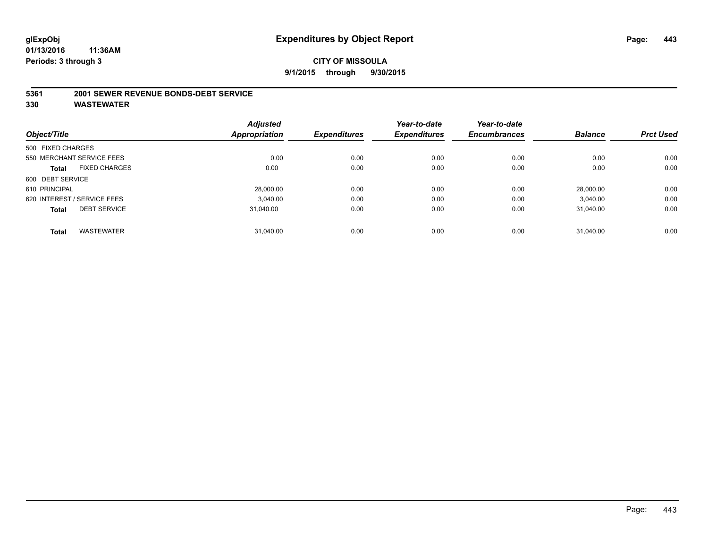#### **5361 2001 SEWER REVENUE BONDS-DEBT SERVICE**

|                   |                             | <b>Adjusted</b> |                     | Year-to-date        | Year-to-date        |                |                  |
|-------------------|-----------------------------|-----------------|---------------------|---------------------|---------------------|----------------|------------------|
| Object/Title      |                             | Appropriation   | <b>Expenditures</b> | <b>Expenditures</b> | <b>Encumbrances</b> | <b>Balance</b> | <b>Prct Used</b> |
| 500 FIXED CHARGES |                             |                 |                     |                     |                     |                |                  |
|                   | 550 MERCHANT SERVICE FEES   | 0.00            | 0.00                | 0.00                | 0.00                | 0.00           | 0.00             |
| <b>Total</b>      | <b>FIXED CHARGES</b>        | 0.00            | 0.00                | 0.00                | 0.00                | 0.00           | 0.00             |
| 600 DEBT SERVICE  |                             |                 |                     |                     |                     |                |                  |
| 610 PRINCIPAL     |                             | 28.000.00       | 0.00                | 0.00                | 0.00                | 28.000.00      | 0.00             |
|                   | 620 INTEREST / SERVICE FEES | 3.040.00        | 0.00                | 0.00                | 0.00                | 3.040.00       | 0.00             |
| <b>Total</b>      | <b>DEBT SERVICE</b>         | 31.040.00       | 0.00                | 0.00                | 0.00                | 31.040.00      | 0.00             |
| <b>Total</b>      | <b>WASTEWATER</b>           | 31.040.00       | 0.00                | 0.00                | 0.00                | 31.040.00      | 0.00             |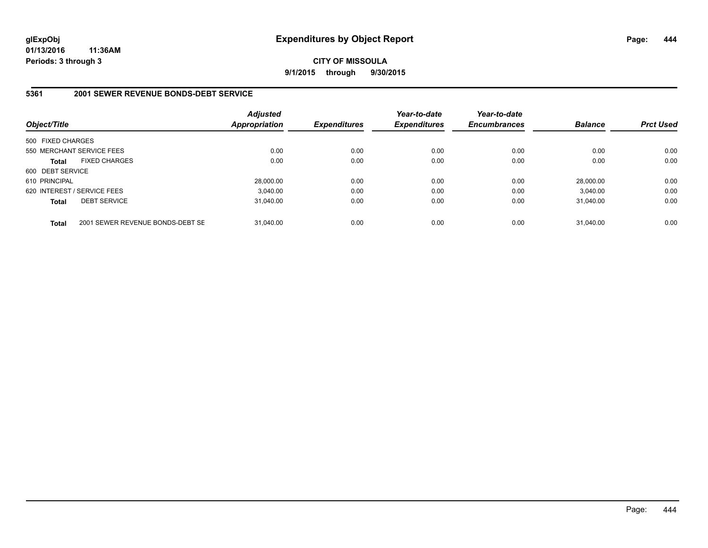**CITY OF MISSOULA 9/1/2015 through 9/30/2015**

#### **5361 2001 SEWER REVENUE BONDS-DEBT SERVICE**

| Object/Title      |                                  | Adjusted<br><b>Appropriation</b> | <b>Expenditures</b> | Year-to-date<br><b>Expenditures</b> | Year-to-date<br><b>Encumbrances</b> | <b>Balance</b> | <b>Prct Used</b> |
|-------------------|----------------------------------|----------------------------------|---------------------|-------------------------------------|-------------------------------------|----------------|------------------|
| 500 FIXED CHARGES |                                  |                                  |                     |                                     |                                     |                |                  |
|                   | 550 MERCHANT SERVICE FEES        | 0.00                             | 0.00                | 0.00                                | 0.00                                | 0.00           | 0.00             |
| <b>Total</b>      | <b>FIXED CHARGES</b>             | 0.00                             | 0.00                | 0.00                                | 0.00                                | 0.00           | 0.00             |
| 600 DEBT SERVICE  |                                  |                                  |                     |                                     |                                     |                |                  |
| 610 PRINCIPAL     |                                  | 28.000.00                        | 0.00                | 0.00                                | 0.00                                | 28,000.00      | 0.00             |
|                   | 620 INTEREST / SERVICE FEES      | 3.040.00                         | 0.00                | 0.00                                | 0.00                                | 3.040.00       | 0.00             |
| <b>Total</b>      | <b>DEBT SERVICE</b>              | 31.040.00                        | 0.00                | 0.00                                | 0.00                                | 31.040.00      | 0.00             |
| <b>Total</b>      | 2001 SEWER REVENUE BONDS-DEBT SE | 31.040.00                        | 0.00                | 0.00                                | 0.00                                | 31.040.00      | 0.00             |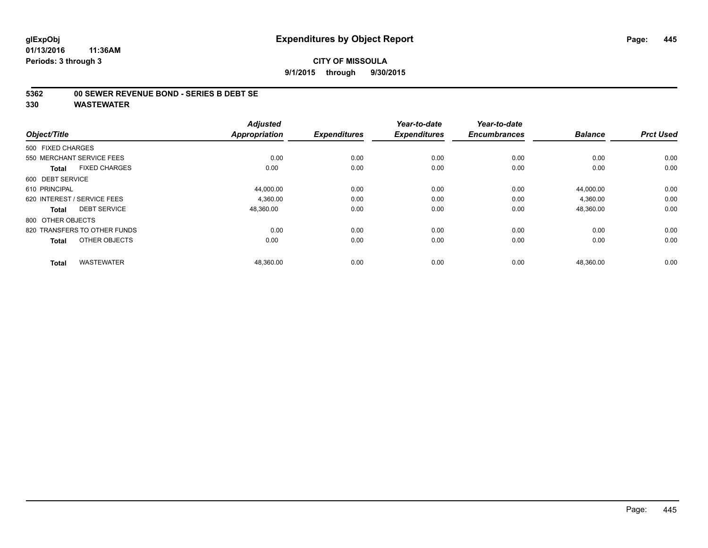#### **5362 00 SEWER REVENUE BOND - SERIES B DEBT SE**

| Object/Title                         | <b>Adjusted</b><br><b>Appropriation</b> | <b>Expenditures</b> | Year-to-date<br><b>Expenditures</b> | Year-to-date<br><b>Encumbrances</b> | <b>Balance</b> | <b>Prct Used</b> |
|--------------------------------------|-----------------------------------------|---------------------|-------------------------------------|-------------------------------------|----------------|------------------|
| 500 FIXED CHARGES                    |                                         |                     |                                     |                                     |                |                  |
| 550 MERCHANT SERVICE FEES            | 0.00                                    | 0.00                | 0.00                                | 0.00                                | 0.00           | 0.00             |
| <b>FIXED CHARGES</b><br><b>Total</b> | 0.00                                    | 0.00                | 0.00                                | 0.00                                | 0.00           | 0.00             |
| 600 DEBT SERVICE                     |                                         |                     |                                     |                                     |                |                  |
| 610 PRINCIPAL                        | 44,000.00                               | 0.00                | 0.00                                | 0.00                                | 44,000.00      | 0.00             |
| 620 INTEREST / SERVICE FEES          | 4.360.00                                | 0.00                | 0.00                                | 0.00                                | 4,360.00       | 0.00             |
| <b>DEBT SERVICE</b><br><b>Total</b>  | 48,360.00                               | 0.00                | 0.00                                | 0.00                                | 48,360.00      | 0.00             |
| 800 OTHER OBJECTS                    |                                         |                     |                                     |                                     |                |                  |
| 820 TRANSFERS TO OTHER FUNDS         | 0.00                                    | 0.00                | 0.00                                | 0.00                                | 0.00           | 0.00             |
| OTHER OBJECTS<br><b>Total</b>        | 0.00                                    | 0.00                | 0.00                                | 0.00                                | 0.00           | 0.00             |
| <b>WASTEWATER</b><br><b>Total</b>    | 48,360.00                               | 0.00                | 0.00                                | 0.00                                | 48,360.00      | 0.00             |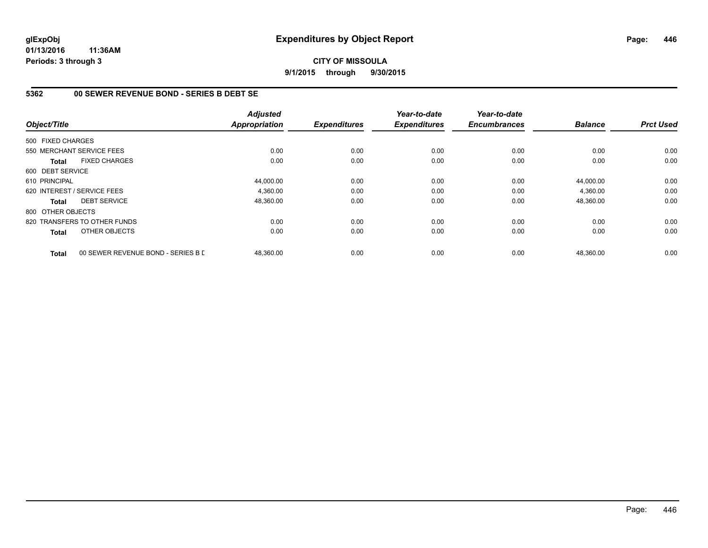#### **CITY OF MISSOULA 9/1/2015 through 9/30/2015**

# **5362 00 SEWER REVENUE BOND - SERIES B DEBT SE**

| Object/Title      |                                    | <b>Adjusted</b><br><b>Appropriation</b> | <b>Expenditures</b> | Year-to-date<br><b>Expenditures</b> | Year-to-date<br><b>Encumbrances</b> | <b>Balance</b> | <b>Prct Used</b> |
|-------------------|------------------------------------|-----------------------------------------|---------------------|-------------------------------------|-------------------------------------|----------------|------------------|
| 500 FIXED CHARGES |                                    |                                         |                     |                                     |                                     |                |                  |
|                   | 550 MERCHANT SERVICE FEES          | 0.00                                    | 0.00                | 0.00                                | 0.00                                | 0.00           | 0.00             |
| <b>Total</b>      | <b>FIXED CHARGES</b>               | 0.00                                    | 0.00                | 0.00                                | 0.00                                | 0.00           | 0.00             |
| 600 DEBT SERVICE  |                                    |                                         |                     |                                     |                                     |                |                  |
| 610 PRINCIPAL     |                                    | 44,000.00                               | 0.00                | 0.00                                | 0.00                                | 44.000.00      | 0.00             |
|                   | 620 INTEREST / SERVICE FEES        | 4,360.00                                | 0.00                | 0.00                                | 0.00                                | 4,360.00       | 0.00             |
| <b>Total</b>      | <b>DEBT SERVICE</b>                | 48,360.00                               | 0.00                | 0.00                                | 0.00                                | 48,360.00      | 0.00             |
| 800 OTHER OBJECTS |                                    |                                         |                     |                                     |                                     |                |                  |
|                   | 820 TRANSFERS TO OTHER FUNDS       | 0.00                                    | 0.00                | 0.00                                | 0.00                                | 0.00           | 0.00             |
| Total             | OTHER OBJECTS                      | 0.00                                    | 0.00                | 0.00                                | 0.00                                | 0.00           | 0.00             |
| <b>Total</b>      | 00 SEWER REVENUE BOND - SERIES B D | 48,360.00                               | 0.00                | 0.00                                | 0.00                                | 48,360.00      | 0.00             |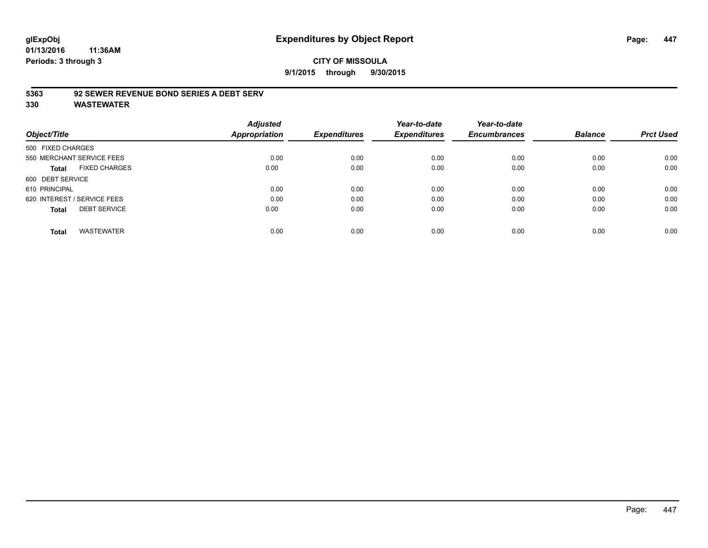#### **CITY OF MISSOULA 9/1/2015 through 9/30/2015**

#### **5363 92 SEWER REVENUE BOND SERIES A DEBT SERV**

| Object/Title                         | <b>Adjusted</b><br><b>Appropriation</b> | <b>Expenditures</b> | Year-to-date<br><b>Expenditures</b> | Year-to-date<br><b>Encumbrances</b> | <b>Balance</b> | <b>Prct Used</b> |
|--------------------------------------|-----------------------------------------|---------------------|-------------------------------------|-------------------------------------|----------------|------------------|
|                                      |                                         |                     |                                     |                                     |                |                  |
| 500 FIXED CHARGES                    |                                         |                     |                                     |                                     |                |                  |
| 550 MERCHANT SERVICE FEES            | 0.00                                    | 0.00                | 0.00                                | 0.00                                | 0.00           | 0.00             |
| <b>FIXED CHARGES</b><br><b>Total</b> | 0.00                                    | 0.00                | 0.00                                | 0.00                                | 0.00           | 0.00             |
| 600 DEBT SERVICE                     |                                         |                     |                                     |                                     |                |                  |
| 610 PRINCIPAL                        | 0.00                                    | 0.00                | 0.00                                | 0.00                                | 0.00           | 0.00             |
| 620 INTEREST / SERVICE FEES          | 0.00                                    | 0.00                | 0.00                                | 0.00                                | 0.00           | 0.00             |
| <b>DEBT SERVICE</b><br><b>Total</b>  | 0.00                                    | 0.00                | 0.00                                | 0.00                                | 0.00           | 0.00             |
| <b>WASTEWATER</b><br><b>Total</b>    | 0.00                                    | 0.00                | 0.00                                | 0.00                                | 0.00           | 0.00             |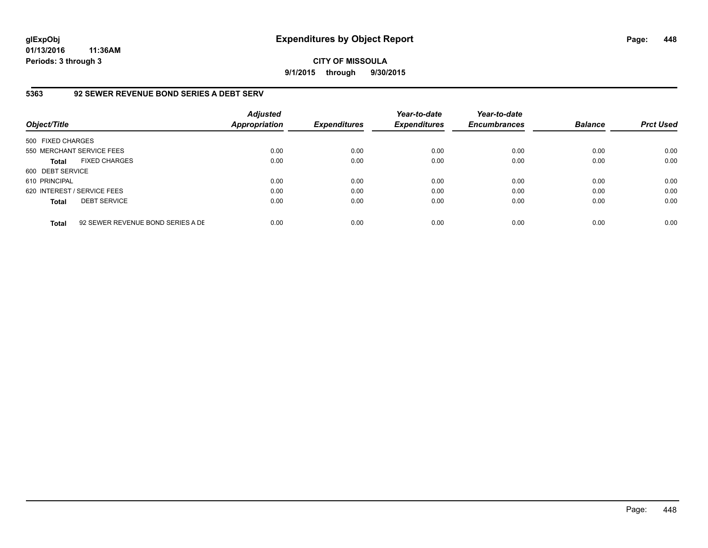**CITY OF MISSOULA 9/1/2015 through 9/30/2015**

#### **5363 92 SEWER REVENUE BOND SERIES A DEBT SERV**

| Object/Title                |                                   | <b>Adjusted</b><br><b>Appropriation</b> | <b>Expenditures</b> | Year-to-date<br><b>Expenditures</b> | Year-to-date<br><b>Encumbrances</b> | <b>Balance</b> | <b>Prct Used</b> |
|-----------------------------|-----------------------------------|-----------------------------------------|---------------------|-------------------------------------|-------------------------------------|----------------|------------------|
| 500 FIXED CHARGES           |                                   |                                         |                     |                                     |                                     |                |                  |
| 550 MERCHANT SERVICE FEES   |                                   | 0.00                                    | 0.00                | 0.00                                | 0.00                                | 0.00           | 0.00             |
| <b>Total</b>                | <b>FIXED CHARGES</b>              | 0.00                                    | 0.00                | 0.00                                | 0.00                                | 0.00           | 0.00             |
| 600 DEBT SERVICE            |                                   |                                         |                     |                                     |                                     |                |                  |
| 610 PRINCIPAL               |                                   | 0.00                                    | 0.00                | 0.00                                | 0.00                                | 0.00           | 0.00             |
| 620 INTEREST / SERVICE FEES |                                   | 0.00                                    | 0.00                | 0.00                                | 0.00                                | 0.00           | 0.00             |
| <b>Total</b>                | <b>DEBT SERVICE</b>               | 0.00                                    | 0.00                | 0.00                                | 0.00                                | 0.00           | 0.00             |
| <b>Total</b>                | 92 SEWER REVENUE BOND SERIES A DE | 0.00                                    | 0.00                | 0.00                                | 0.00                                | 0.00           | 0.00             |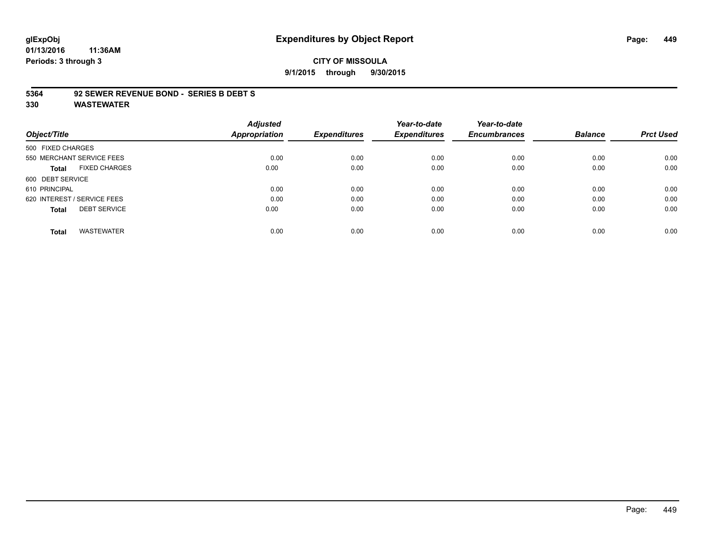# **glExpObj Expenditures by Object Report Page: 449**

**01/13/2016 11:36AM Periods: 3 through 3**

#### **CITY OF MISSOULA 9/1/2015 through 9/30/2015**

#### **5364 92 SEWER REVENUE BOND - SERIES B DEBT S**

|                                      | <b>Adjusted</b>      |                     | Year-to-date        | Year-to-date        |                |                  |
|--------------------------------------|----------------------|---------------------|---------------------|---------------------|----------------|------------------|
| Object/Title                         | <b>Appropriation</b> | <b>Expenditures</b> | <b>Expenditures</b> | <b>Encumbrances</b> | <b>Balance</b> | <b>Prct Used</b> |
| 500 FIXED CHARGES                    |                      |                     |                     |                     |                |                  |
| 550 MERCHANT SERVICE FEES            | 0.00                 | 0.00                | 0.00                | 0.00                | 0.00           | 0.00             |
| <b>FIXED CHARGES</b><br><b>Total</b> | 0.00                 | 0.00                | 0.00                | 0.00                | 0.00           | 0.00             |
| 600 DEBT SERVICE                     |                      |                     |                     |                     |                |                  |
| 610 PRINCIPAL                        | 0.00                 | 0.00                | 0.00                | 0.00                | 0.00           | 0.00             |
| 620 INTEREST / SERVICE FEES          | 0.00                 | 0.00                | 0.00                | 0.00                | 0.00           | 0.00             |
| <b>DEBT SERVICE</b><br><b>Total</b>  | 0.00                 | 0.00                | 0.00                | 0.00                | 0.00           | 0.00             |
| <b>WASTEWATER</b><br><b>Total</b>    | 0.00                 | 0.00                | 0.00                | 0.00                | 0.00           | 0.00             |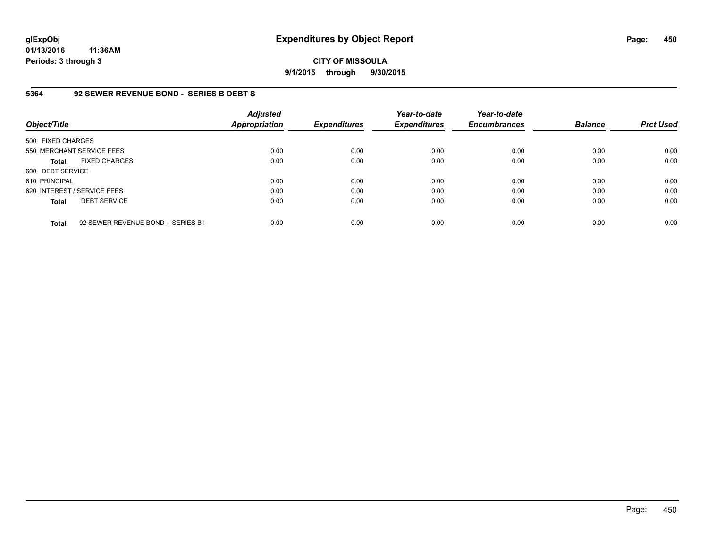**CITY OF MISSOULA 9/1/2015 through 9/30/2015**

#### **5364 92 SEWER REVENUE BOND - SERIES B DEBT S**

| Object/Title                |                                    | <b>Adjusted</b><br>Appropriation | <b>Expenditures</b> | Year-to-date<br><b>Expenditures</b> | Year-to-date<br><b>Encumbrances</b> | <b>Balance</b> | <b>Prct Used</b> |
|-----------------------------|------------------------------------|----------------------------------|---------------------|-------------------------------------|-------------------------------------|----------------|------------------|
| 500 FIXED CHARGES           |                                    |                                  |                     |                                     |                                     |                |                  |
| 550 MERCHANT SERVICE FEES   |                                    | 0.00                             | 0.00                | 0.00                                | 0.00                                | 0.00           | 0.00             |
| <b>Total</b>                | <b>FIXED CHARGES</b>               | 0.00                             | 0.00                | 0.00                                | 0.00                                | 0.00           | 0.00             |
| 600 DEBT SERVICE            |                                    |                                  |                     |                                     |                                     |                |                  |
| 610 PRINCIPAL               |                                    | 0.00                             | 0.00                | 0.00                                | 0.00                                | 0.00           | 0.00             |
| 620 INTEREST / SERVICE FEES |                                    | 0.00                             | 0.00                | 0.00                                | 0.00                                | 0.00           | 0.00             |
| <b>Total</b>                | <b>DEBT SERVICE</b>                | 0.00                             | 0.00                | 0.00                                | 0.00                                | 0.00           | 0.00             |
| <b>Total</b>                | 92 SEWER REVENUE BOND - SERIES B I | 0.00                             | 0.00                | 0.00                                | 0.00                                | 0.00           | 0.00             |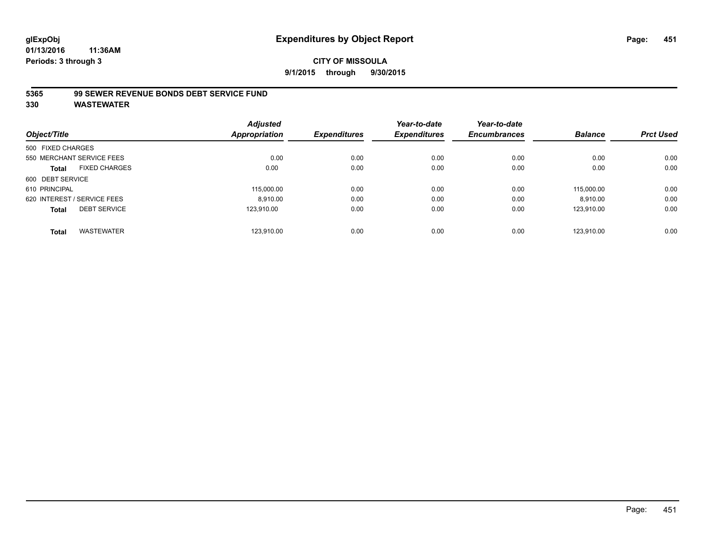**9/1/2015 through 9/30/2015**

#### **5365 99 SEWER REVENUE BONDS DEBT SERVICE FUND**

|                   |                             | <b>Adjusted</b>      |                     | Year-to-date        | Year-to-date        |                |                  |
|-------------------|-----------------------------|----------------------|---------------------|---------------------|---------------------|----------------|------------------|
| Object/Title      |                             | <b>Appropriation</b> | <b>Expenditures</b> | <b>Expenditures</b> | <b>Encumbrances</b> | <b>Balance</b> | <b>Prct Used</b> |
| 500 FIXED CHARGES |                             |                      |                     |                     |                     |                |                  |
|                   | 550 MERCHANT SERVICE FEES   | 0.00                 | 0.00                | 0.00                | 0.00                | 0.00           | 0.00             |
| <b>Total</b>      | <b>FIXED CHARGES</b>        | 0.00                 | 0.00                | 0.00                | 0.00                | 0.00           | 0.00             |
| 600 DEBT SERVICE  |                             |                      |                     |                     |                     |                |                  |
| 610 PRINCIPAL     |                             | 115,000.00           | 0.00                | 0.00                | 0.00                | 115.000.00     | 0.00             |
|                   | 620 INTEREST / SERVICE FEES | 8.910.00             | 0.00                | 0.00                | 0.00                | 8,910.00       | 0.00             |
| <b>Total</b>      | <b>DEBT SERVICE</b>         | 123.910.00           | 0.00                | 0.00                | 0.00                | 123.910.00     | 0.00             |
| <b>Total</b>      | <b>WASTEWATER</b>           | 123.910.00           | 0.00                | 0.00                | 0.00                | 123.910.00     | 0.00             |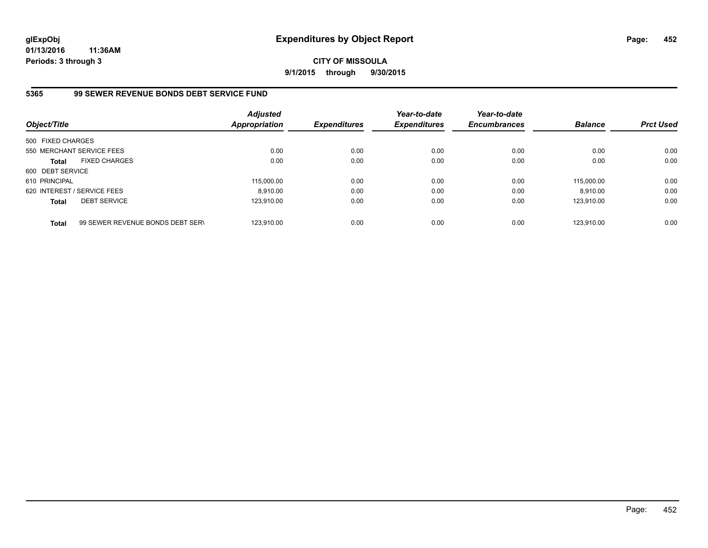**CITY OF MISSOULA 9/1/2015 through 9/30/2015**

# **5365 99 SEWER REVENUE BONDS DEBT SERVICE FUND**

| Object/Title      |                                  | <b>Adjusted</b><br><b>Appropriation</b> | <b>Expenditures</b> | Year-to-date<br><b>Expenditures</b> | Year-to-date<br><b>Encumbrances</b> | <b>Balance</b> | <b>Prct Used</b> |
|-------------------|----------------------------------|-----------------------------------------|---------------------|-------------------------------------|-------------------------------------|----------------|------------------|
| 500 FIXED CHARGES |                                  |                                         |                     |                                     |                                     |                |                  |
|                   | 550 MERCHANT SERVICE FEES        | 0.00                                    | 0.00                | 0.00                                | 0.00                                | 0.00           | 0.00             |
| <b>Total</b>      | <b>FIXED CHARGES</b>             | 0.00                                    | 0.00                | 0.00                                | 0.00                                | 0.00           | 0.00             |
| 600 DEBT SERVICE  |                                  |                                         |                     |                                     |                                     |                |                  |
| 610 PRINCIPAL     |                                  | 115,000.00                              | 0.00                | 0.00                                | 0.00                                | 115.000.00     | 0.00             |
|                   | 620 INTEREST / SERVICE FEES      | 8.910.00                                | 0.00                | 0.00                                | 0.00                                | 8.910.00       | 0.00             |
| <b>Total</b>      | <b>DEBT SERVICE</b>              | 123.910.00                              | 0.00                | 0.00                                | 0.00                                | 123.910.00     | 0.00             |
| <b>Total</b>      | 99 SEWER REVENUE BONDS DEBT SERV | 123.910.00                              | 0.00                | 0.00                                | 0.00                                | 123.910.00     | 0.00             |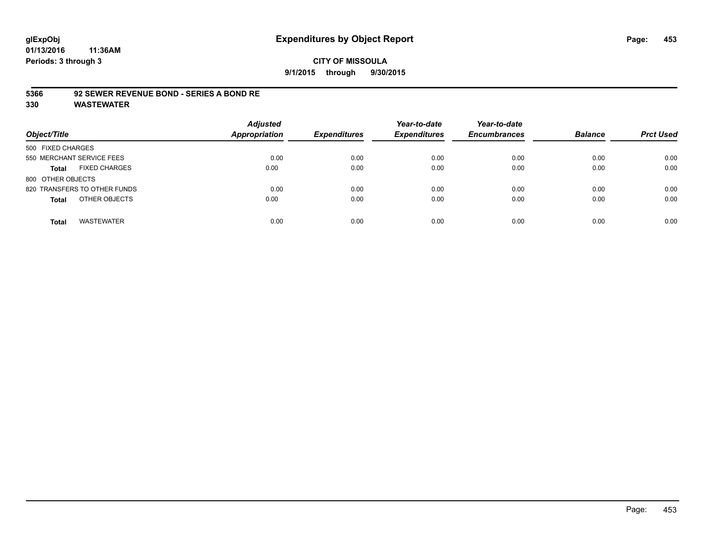#### **CITY OF MISSOULA 9/1/2015 through 9/30/2015**

#### **5366 92 SEWER REVENUE BOND - SERIES A BOND RE**

| Object/Title                         | <b>Adjusted</b><br>Appropriation | <b>Expenditures</b> | Year-to-date<br><b>Expenditures</b> | Year-to-date<br><b>Encumbrances</b> | <b>Balance</b> | <b>Prct Used</b> |
|--------------------------------------|----------------------------------|---------------------|-------------------------------------|-------------------------------------|----------------|------------------|
| 500 FIXED CHARGES                    |                                  |                     |                                     |                                     |                |                  |
| 550 MERCHANT SERVICE FEES            | 0.00                             | 0.00                | 0.00                                | 0.00                                | 0.00           | 0.00             |
| <b>FIXED CHARGES</b><br><b>Total</b> | 0.00                             | 0.00                | 0.00                                | 0.00                                | 0.00           | 0.00             |
| 800 OTHER OBJECTS                    |                                  |                     |                                     |                                     |                |                  |
| 820 TRANSFERS TO OTHER FUNDS         | 0.00                             | 0.00                | 0.00                                | 0.00                                | 0.00           | 0.00             |
| OTHER OBJECTS<br><b>Total</b>        | 0.00                             | 0.00                | 0.00                                | 0.00                                | 0.00           | 0.00             |
| <b>WASTEWATER</b><br><b>Total</b>    | 0.00                             | 0.00                | 0.00                                | 0.00                                | 0.00           | 0.00             |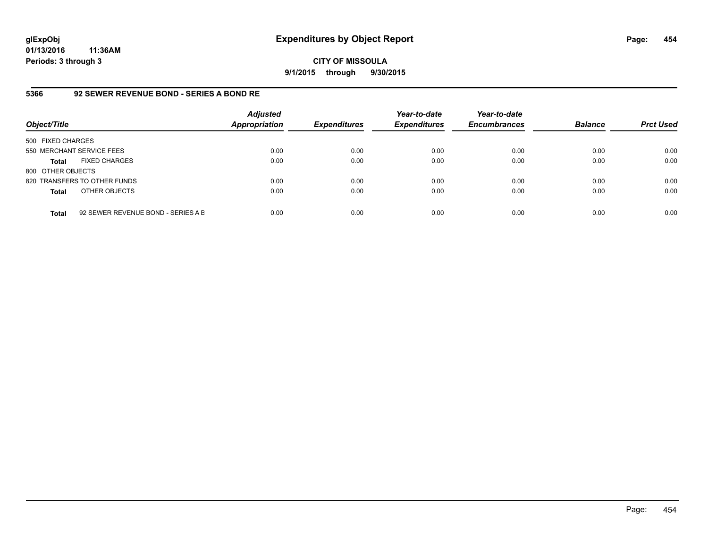#### **CITY OF MISSOULA 9/1/2015 through 9/30/2015**

# **5366 92 SEWER REVENUE BOND - SERIES A BOND RE**

| Object/Title              |                                    | <b>Adjusted</b><br><b>Appropriation</b> | <b>Expenditures</b> | Year-to-date<br><b>Expenditures</b> | Year-to-date<br><b>Encumbrances</b> | <b>Balance</b> | <b>Prct Used</b> |
|---------------------------|------------------------------------|-----------------------------------------|---------------------|-------------------------------------|-------------------------------------|----------------|------------------|
| 500 FIXED CHARGES         |                                    |                                         |                     |                                     |                                     |                |                  |
| 550 MERCHANT SERVICE FEES |                                    | 0.00                                    | 0.00                | 0.00                                | 0.00                                | 0.00           | 0.00             |
| Total                     | <b>FIXED CHARGES</b>               | 0.00                                    | 0.00                | 0.00                                | 0.00                                | 0.00           | 0.00             |
| 800 OTHER OBJECTS         |                                    |                                         |                     |                                     |                                     |                |                  |
|                           | 820 TRANSFERS TO OTHER FUNDS       | 0.00                                    | 0.00                | 0.00                                | 0.00                                | 0.00           | 0.00             |
| <b>Total</b>              | OTHER OBJECTS                      | 0.00                                    | 0.00                | 0.00                                | 0.00                                | 0.00           | 0.00             |
| <b>Total</b>              | 92 SEWER REVENUE BOND - SERIES A B | 0.00                                    | 0.00                | 0.00                                | 0.00                                | 0.00           | 0.00             |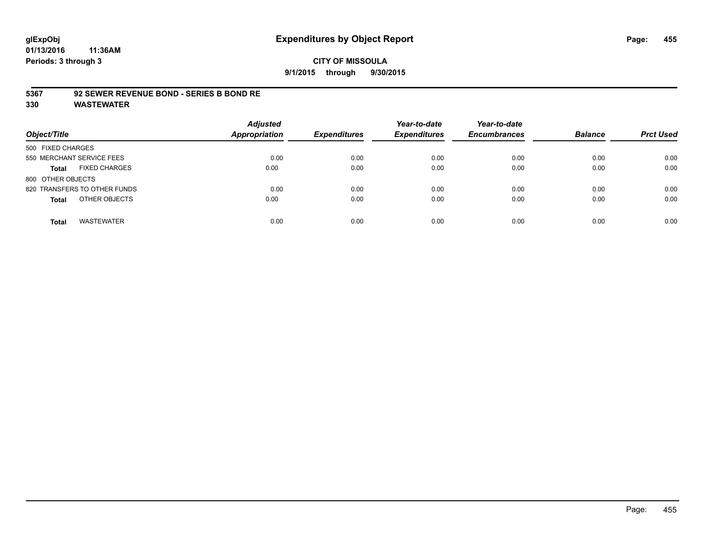#### **CITY OF MISSOULA 9/1/2015 through 9/30/2015**

#### **5367 92 SEWER REVENUE BOND - SERIES B BOND RE**

| Object/Title                         | <b>Adjusted</b><br><b>Appropriation</b> | <b>Expenditures</b> | Year-to-date<br><b>Expenditures</b> | Year-to-date<br><b>Encumbrances</b> | <b>Balance</b> | <b>Prct Used</b> |
|--------------------------------------|-----------------------------------------|---------------------|-------------------------------------|-------------------------------------|----------------|------------------|
| 500 FIXED CHARGES                    |                                         |                     |                                     |                                     |                |                  |
| 550 MERCHANT SERVICE FEES            | 0.00                                    | 0.00                | 0.00                                | 0.00                                | 0.00           | 0.00             |
| <b>FIXED CHARGES</b><br><b>Total</b> | 0.00                                    | 0.00                | 0.00                                | 0.00                                | 0.00           | 0.00             |
| 800 OTHER OBJECTS                    |                                         |                     |                                     |                                     |                |                  |
| 820 TRANSFERS TO OTHER FUNDS         | 0.00                                    | 0.00                | 0.00                                | 0.00                                | 0.00           | 0.00             |
| OTHER OBJECTS<br><b>Total</b>        | 0.00                                    | 0.00                | 0.00                                | 0.00                                | 0.00           | 0.00             |
| <b>WASTEWATER</b><br><b>Total</b>    | 0.00                                    | 0.00                | 0.00                                | 0.00                                | 0.00           | 0.00             |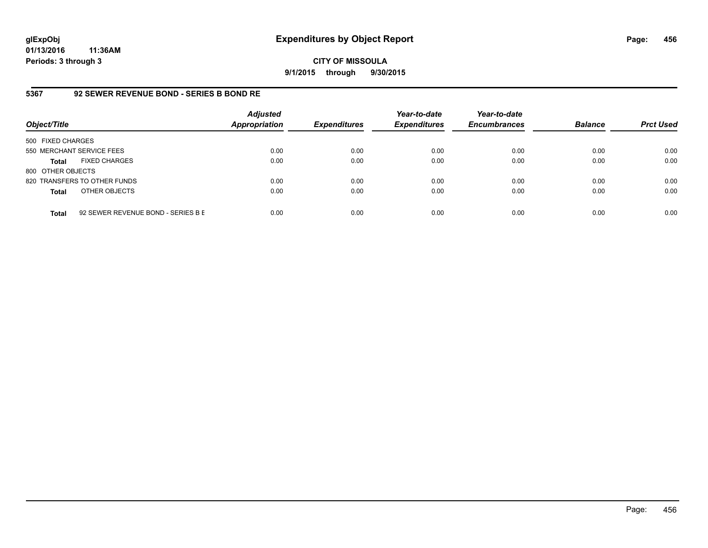**CITY OF MISSOULA 9/1/2015 through 9/30/2015**

# **5367 92 SEWER REVENUE BOND - SERIES B BOND RE**

| Object/Title              |                                    | <b>Adjusted</b><br><b>Appropriation</b> | <b>Expenditures</b> | Year-to-date<br><b>Expenditures</b> | Year-to-date<br><b>Encumbrances</b> | <b>Balance</b> | <b>Prct Used</b> |
|---------------------------|------------------------------------|-----------------------------------------|---------------------|-------------------------------------|-------------------------------------|----------------|------------------|
| 500 FIXED CHARGES         |                                    |                                         |                     |                                     |                                     |                |                  |
| 550 MERCHANT SERVICE FEES |                                    | 0.00                                    | 0.00                | 0.00                                | 0.00                                | 0.00           | 0.00             |
| Total                     | <b>FIXED CHARGES</b>               | 0.00                                    | 0.00                | 0.00                                | 0.00                                | 0.00           | 0.00             |
| 800 OTHER OBJECTS         |                                    |                                         |                     |                                     |                                     |                |                  |
|                           | 820 TRANSFERS TO OTHER FUNDS       | 0.00                                    | 0.00                | 0.00                                | 0.00                                | 0.00           | 0.00             |
| <b>Total</b>              | OTHER OBJECTS                      | 0.00                                    | 0.00                | 0.00                                | 0.00                                | 0.00           | 0.00             |
| <b>Total</b>              | 92 SEWER REVENUE BOND - SERIES B E | 0.00                                    | 0.00                | 0.00                                | 0.00                                | 0.00           | 0.00             |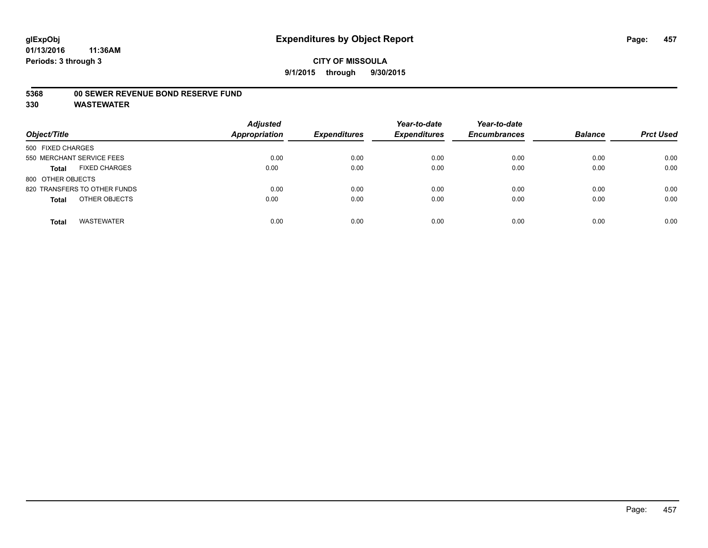#### **5368 00 SEWER REVENUE BOND RESERVE FUND**

| Object/Title                         | <b>Adjusted</b><br><b>Appropriation</b> | <b>Expenditures</b> | Year-to-date<br><b>Expenditures</b> | Year-to-date<br><b>Encumbrances</b> | <b>Balance</b> | <b>Prct Used</b> |
|--------------------------------------|-----------------------------------------|---------------------|-------------------------------------|-------------------------------------|----------------|------------------|
| 500 FIXED CHARGES                    |                                         |                     |                                     |                                     |                |                  |
| 550 MERCHANT SERVICE FEES            | 0.00                                    | 0.00                | 0.00                                | 0.00                                | 0.00           | 0.00             |
| <b>FIXED CHARGES</b><br><b>Total</b> | 0.00                                    | 0.00                | 0.00                                | 0.00                                | 0.00           | 0.00             |
| 800 OTHER OBJECTS                    |                                         |                     |                                     |                                     |                |                  |
| 820 TRANSFERS TO OTHER FUNDS         | 0.00                                    | 0.00                | 0.00                                | 0.00                                | 0.00           | 0.00             |
| OTHER OBJECTS<br><b>Total</b>        | 0.00                                    | 0.00                | 0.00                                | 0.00                                | 0.00           | 0.00             |
| <b>WASTEWATER</b><br><b>Total</b>    | 0.00                                    | 0.00                | 0.00                                | 0.00                                | 0.00           | 0.00             |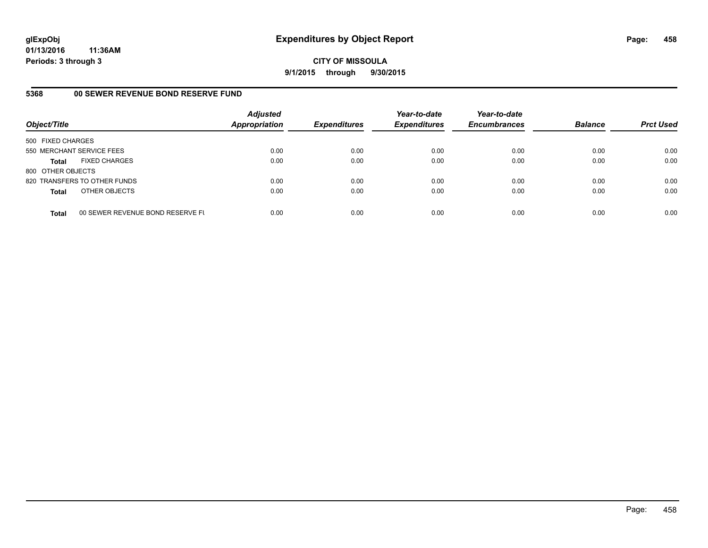**CITY OF MISSOULA 9/1/2015 through 9/30/2015**

#### **5368 00 SEWER REVENUE BOND RESERVE FUND**

| Object/Title              |                                  | <b>Adjusted</b><br><b>Appropriation</b> | <b>Expenditures</b> | Year-to-date<br><b>Expenditures</b> | Year-to-date<br><b>Encumbrances</b> | <b>Balance</b> | <b>Prct Used</b> |
|---------------------------|----------------------------------|-----------------------------------------|---------------------|-------------------------------------|-------------------------------------|----------------|------------------|
| 500 FIXED CHARGES         |                                  |                                         |                     |                                     |                                     |                |                  |
| 550 MERCHANT SERVICE FEES |                                  | 0.00                                    | 0.00                | 0.00                                | 0.00                                | 0.00           | 0.00             |
| <b>Total</b>              | <b>FIXED CHARGES</b>             | 0.00                                    | 0.00                | 0.00                                | 0.00                                | 0.00           | 0.00             |
| 800 OTHER OBJECTS         |                                  |                                         |                     |                                     |                                     |                |                  |
|                           | 820 TRANSFERS TO OTHER FUNDS     | 0.00                                    | 0.00                | 0.00                                | 0.00                                | 0.00           | 0.00             |
| <b>Total</b>              | OTHER OBJECTS                    | 0.00                                    | 0.00                | 0.00                                | 0.00                                | 0.00           | 0.00             |
| <b>Total</b>              | 00 SEWER REVENUE BOND RESERVE FL | 0.00                                    | 0.00                | 0.00                                | 0.00                                | 0.00           | 0.00             |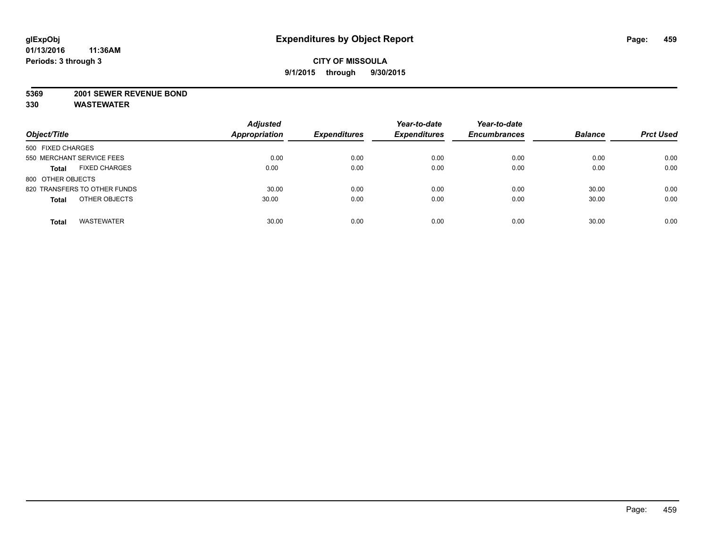#### **5369 2001 SEWER REVENUE BOND**

| Object/Title                         | <b>Adjusted</b><br><b>Appropriation</b> | <b>Expenditures</b> | Year-to-date<br><b>Expenditures</b> | Year-to-date<br><b>Encumbrances</b> | <b>Balance</b> | <b>Prct Used</b> |
|--------------------------------------|-----------------------------------------|---------------------|-------------------------------------|-------------------------------------|----------------|------------------|
| 500 FIXED CHARGES                    |                                         |                     |                                     |                                     |                |                  |
| 550 MERCHANT SERVICE FEES            | 0.00                                    | 0.00                | 0.00                                | 0.00                                | 0.00           | 0.00             |
| <b>FIXED CHARGES</b><br><b>Total</b> | 0.00                                    | 0.00                | 0.00                                | 0.00                                | 0.00           | 0.00             |
| 800 OTHER OBJECTS                    |                                         |                     |                                     |                                     |                |                  |
| 820 TRANSFERS TO OTHER FUNDS         | 30.00                                   | 0.00                | 0.00                                | 0.00                                | 30.00          | 0.00             |
| OTHER OBJECTS<br><b>Total</b>        | 30.00                                   | 0.00                | 0.00                                | 0.00                                | 30.00          | 0.00             |
| <b>WASTEWATER</b><br><b>Total</b>    | 30.00                                   | 0.00                | 0.00                                | 0.00                                | 30.00          | 0.00             |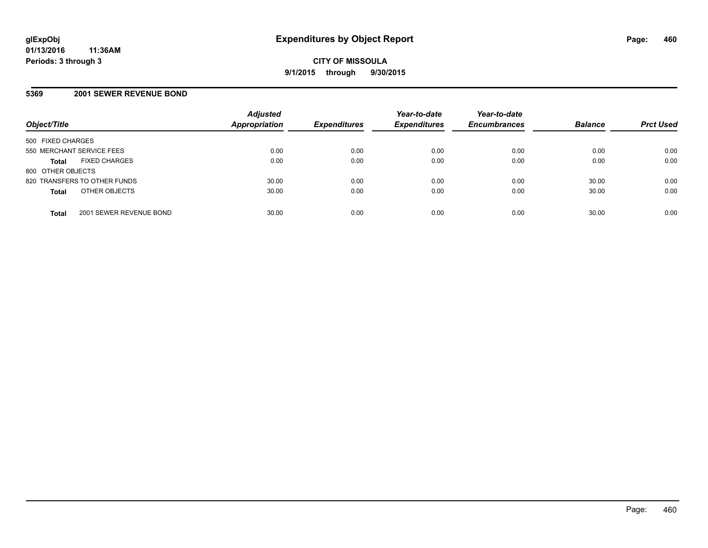#### **5369 2001 SEWER REVENUE BOND**

| Object/Title                            | <b>Adjusted</b><br><b>Appropriation</b> | <b>Expenditures</b> | Year-to-date<br><b>Expenditures</b> | Year-to-date<br><b>Encumbrances</b> | <b>Balance</b> | <b>Prct Used</b> |
|-----------------------------------------|-----------------------------------------|---------------------|-------------------------------------|-------------------------------------|----------------|------------------|
| 500 FIXED CHARGES                       |                                         |                     |                                     |                                     |                |                  |
| 550 MERCHANT SERVICE FEES               | 0.00                                    | 0.00                | 0.00                                | 0.00                                | 0.00           | 0.00             |
| <b>FIXED CHARGES</b><br><b>Total</b>    | 0.00                                    | 0.00                | 0.00                                | 0.00                                | 0.00           | 0.00             |
| 800 OTHER OBJECTS                       |                                         |                     |                                     |                                     |                |                  |
| 820 TRANSFERS TO OTHER FUNDS            | 30.00                                   | 0.00                | 0.00                                | 0.00                                | 30.00          | 0.00             |
| OTHER OBJECTS<br><b>Total</b>           | 30.00                                   | 0.00                | 0.00                                | 0.00                                | 30.00          | 0.00             |
| 2001 SEWER REVENUE BOND<br><b>Total</b> | 30.00                                   | 0.00                | 0.00                                | 0.00                                | 30.00          | 0.00             |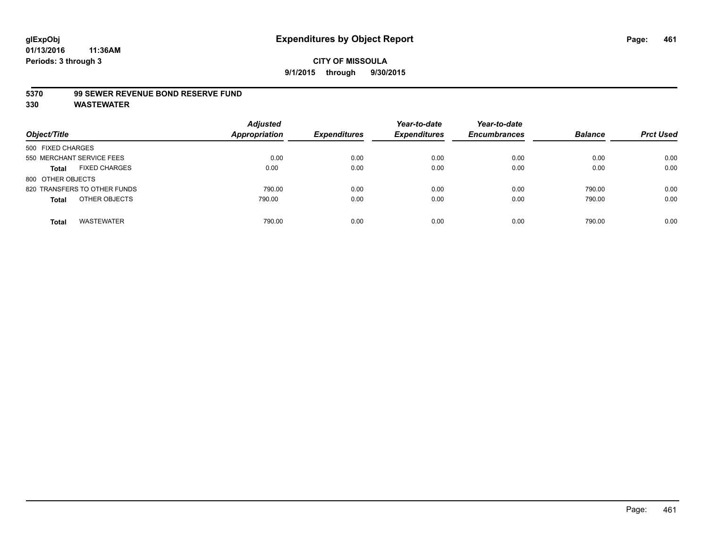#### **5370 99 SEWER REVENUE BOND RESERVE FUND**

| Object/Title                         | <b>Adjusted</b><br><b>Appropriation</b> | <b>Expenditures</b> | Year-to-date<br><b>Expenditures</b> | Year-to-date<br><b>Encumbrances</b> | <b>Balance</b> | <b>Prct Used</b> |
|--------------------------------------|-----------------------------------------|---------------------|-------------------------------------|-------------------------------------|----------------|------------------|
| 500 FIXED CHARGES                    |                                         |                     |                                     |                                     |                |                  |
| 550 MERCHANT SERVICE FEES            | 0.00                                    | 0.00                | 0.00                                | 0.00                                | 0.00           | 0.00             |
| <b>FIXED CHARGES</b><br><b>Total</b> | 0.00                                    | 0.00                | 0.00                                | 0.00                                | 0.00           | 0.00             |
| 800 OTHER OBJECTS                    |                                         |                     |                                     |                                     |                |                  |
| 820 TRANSFERS TO OTHER FUNDS         | 790.00                                  | 0.00                | 0.00                                | 0.00                                | 790.00         | 0.00             |
| OTHER OBJECTS<br><b>Total</b>        | 790.00                                  | 0.00                | 0.00                                | 0.00                                | 790.00         | 0.00             |
| <b>WASTEWATER</b><br>Total           | 790.00                                  | 0.00                | 0.00                                | 0.00                                | 790.00         | 0.00             |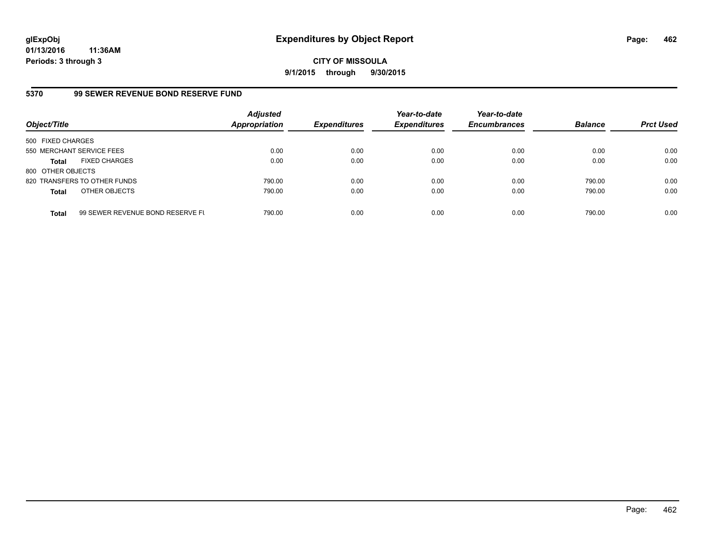**CITY OF MISSOULA 9/1/2015 through 9/30/2015**

#### **5370 99 SEWER REVENUE BOND RESERVE FUND**

| Object/Title              |                                  | <b>Adjusted</b><br><b>Appropriation</b> | <b>Expenditures</b> | Year-to-date<br><b>Expenditures</b> | Year-to-date<br><b>Encumbrances</b> | <b>Balance</b> | <b>Prct Used</b> |
|---------------------------|----------------------------------|-----------------------------------------|---------------------|-------------------------------------|-------------------------------------|----------------|------------------|
| 500 FIXED CHARGES         |                                  |                                         |                     |                                     |                                     |                |                  |
| 550 MERCHANT SERVICE FEES |                                  | 0.00                                    | 0.00                | 0.00                                | 0.00                                | 0.00           | 0.00             |
| <b>Total</b>              | <b>FIXED CHARGES</b>             | 0.00                                    | 0.00                | 0.00                                | 0.00                                | 0.00           | 0.00             |
| 800 OTHER OBJECTS         |                                  |                                         |                     |                                     |                                     |                |                  |
|                           | 820 TRANSFERS TO OTHER FUNDS     | 790.00                                  | 0.00                | 0.00                                | 0.00                                | 790.00         | 0.00             |
| <b>Total</b>              | OTHER OBJECTS                    | 790.00                                  | 0.00                | 0.00                                | 0.00                                | 790.00         | 0.00             |
| <b>Total</b>              | 99 SEWER REVENUE BOND RESERVE FL | 790.00                                  | 0.00                | 0.00                                | 0.00                                | 790.00         | 0.00             |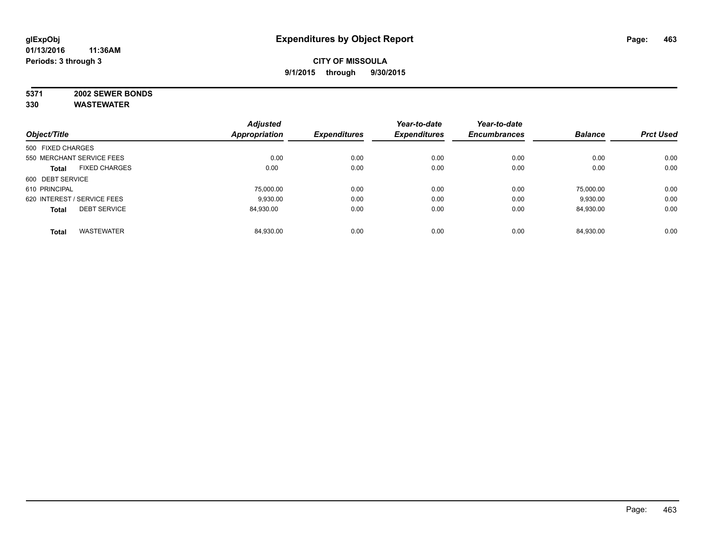# **5371 2002 SEWER BONDS**

|                   |                             | <b>Adjusted</b>      |                     | Year-to-date        | Year-to-date        |                |                  |
|-------------------|-----------------------------|----------------------|---------------------|---------------------|---------------------|----------------|------------------|
| Object/Title      |                             | <b>Appropriation</b> | <b>Expenditures</b> | <b>Expenditures</b> | <b>Encumbrances</b> | <b>Balance</b> | <b>Prct Used</b> |
| 500 FIXED CHARGES |                             |                      |                     |                     |                     |                |                  |
|                   | 550 MERCHANT SERVICE FEES   | 0.00                 | 0.00                | 0.00                | 0.00                | 0.00           | 0.00             |
| <b>Total</b>      | <b>FIXED CHARGES</b>        | 0.00                 | 0.00                | 0.00                | 0.00                | 0.00           | 0.00             |
| 600 DEBT SERVICE  |                             |                      |                     |                     |                     |                |                  |
| 610 PRINCIPAL     |                             | 75,000.00            | 0.00                | 0.00                | 0.00                | 75.000.00      | 0.00             |
|                   | 620 INTEREST / SERVICE FEES | 9,930.00             | 0.00                | 0.00                | 0.00                | 9,930.00       | 0.00             |
| <b>Total</b>      | <b>DEBT SERVICE</b>         | 84.930.00            | 0.00                | 0.00                | 0.00                | 84,930.00      | 0.00             |
| <b>Total</b>      | <b>WASTEWATER</b>           | 84.930.00            | 0.00                | 0.00                | 0.00                | 84.930.00      | 0.00             |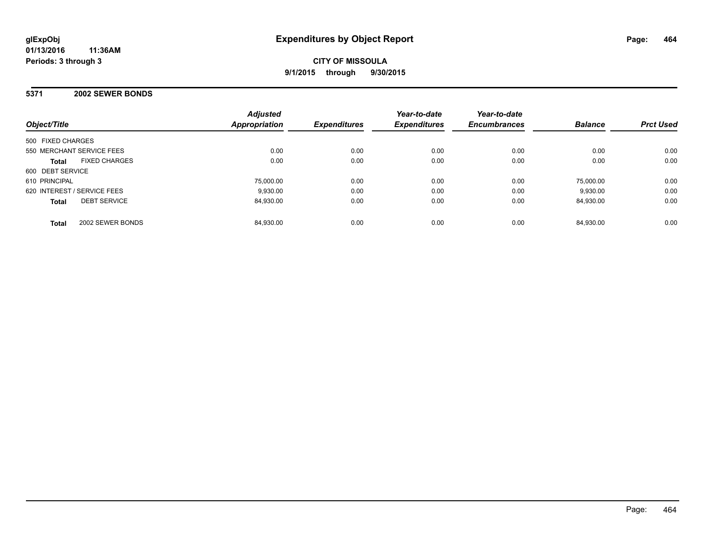#### **5371 2002 SEWER BONDS**

| Object/Title                         | <b>Adjusted</b><br>Appropriation | <b>Expenditures</b> | Year-to-date<br><b>Expenditures</b> | Year-to-date<br><b>Encumbrances</b> | <b>Balance</b> | <b>Prct Used</b> |
|--------------------------------------|----------------------------------|---------------------|-------------------------------------|-------------------------------------|----------------|------------------|
| 500 FIXED CHARGES                    |                                  |                     |                                     |                                     |                |                  |
| 550 MERCHANT SERVICE FEES            | 0.00                             | 0.00                | 0.00                                | 0.00                                | 0.00           | 0.00             |
| <b>FIXED CHARGES</b><br><b>Total</b> | 0.00                             | 0.00                | 0.00                                | 0.00                                | 0.00           | 0.00             |
| 600 DEBT SERVICE                     |                                  |                     |                                     |                                     |                |                  |
| 610 PRINCIPAL                        | 75.000.00                        | 0.00                | 0.00                                | 0.00                                | 75.000.00      | 0.00             |
| 620 INTEREST / SERVICE FEES          | 9.930.00                         | 0.00                | 0.00                                | 0.00                                | 9,930.00       | 0.00             |
| <b>DEBT SERVICE</b><br><b>Total</b>  | 84.930.00                        | 0.00                | 0.00                                | 0.00                                | 84.930.00      | 0.00             |
| 2002 SEWER BONDS<br><b>Total</b>     | 84,930.00                        | 0.00                | 0.00                                | 0.00                                | 84.930.00      | 0.00             |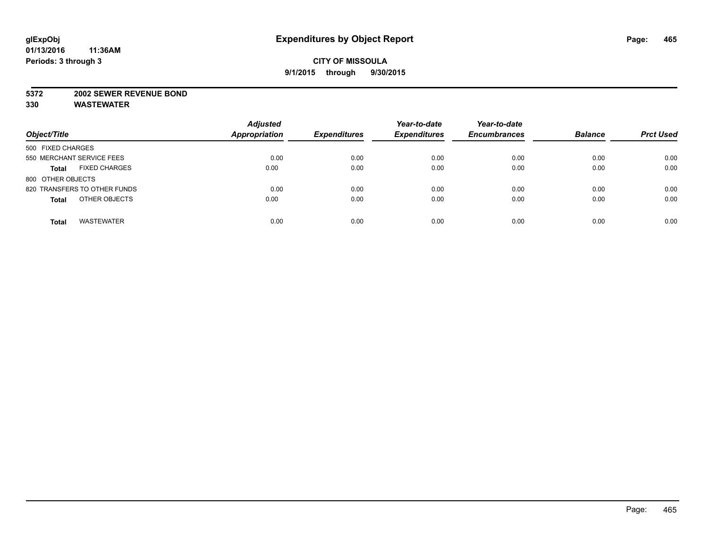#### **5372 2002 SEWER REVENUE BOND**

| Object/Title                         | <b>Adjusted</b><br><b>Appropriation</b> | <b>Expenditures</b> | Year-to-date<br><b>Expenditures</b> | Year-to-date<br><b>Encumbrances</b> | <b>Balance</b> | <b>Prct Used</b> |
|--------------------------------------|-----------------------------------------|---------------------|-------------------------------------|-------------------------------------|----------------|------------------|
| 500 FIXED CHARGES                    |                                         |                     |                                     |                                     |                |                  |
| 550 MERCHANT SERVICE FEES            | 0.00                                    | 0.00                | 0.00                                | 0.00                                | 0.00           | 0.00             |
| <b>FIXED CHARGES</b><br><b>Total</b> | 0.00                                    | 0.00                | 0.00                                | 0.00                                | 0.00           | 0.00             |
| 800 OTHER OBJECTS                    |                                         |                     |                                     |                                     |                |                  |
| 820 TRANSFERS TO OTHER FUNDS         | 0.00                                    | 0.00                | 0.00                                | 0.00                                | 0.00           | 0.00             |
| OTHER OBJECTS<br><b>Total</b>        | 0.00                                    | 0.00                | 0.00                                | 0.00                                | 0.00           | 0.00             |
| <b>WASTEWATER</b><br><b>Total</b>    | 0.00                                    | 0.00                | 0.00                                | 0.00                                | 0.00           | 0.00             |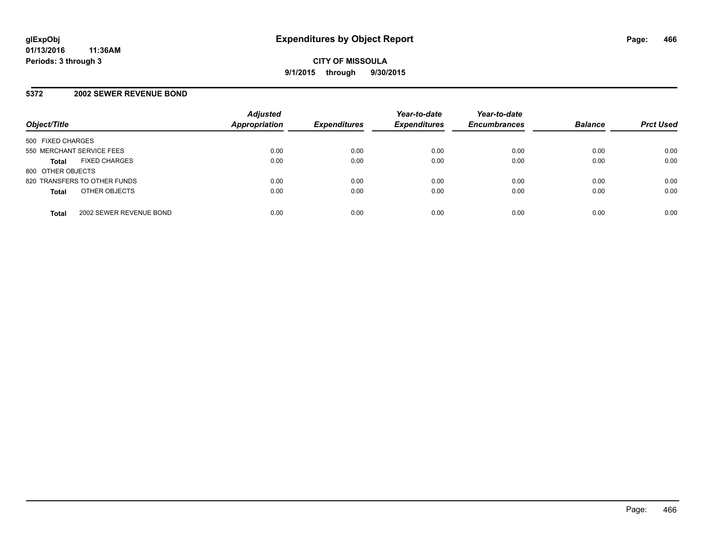#### **5372 2002 SEWER REVENUE BOND**

| Object/Title              |                              | <b>Adjusted</b><br><b>Appropriation</b> | <b>Expenditures</b> | Year-to-date<br><b>Expenditures</b> | Year-to-date<br><b>Encumbrances</b> | <b>Balance</b> | <b>Prct Used</b> |
|---------------------------|------------------------------|-----------------------------------------|---------------------|-------------------------------------|-------------------------------------|----------------|------------------|
| 500 FIXED CHARGES         |                              |                                         |                     |                                     |                                     |                |                  |
| 550 MERCHANT SERVICE FEES |                              | 0.00                                    | 0.00                | 0.00                                | 0.00                                | 0.00           | 0.00             |
| <b>Total</b>              | <b>FIXED CHARGES</b>         | 0.00                                    | 0.00                | 0.00                                | 0.00                                | 0.00           | 0.00             |
| 800 OTHER OBJECTS         |                              |                                         |                     |                                     |                                     |                |                  |
|                           | 820 TRANSFERS TO OTHER FUNDS | 0.00                                    | 0.00                | 0.00                                | 0.00                                | 0.00           | 0.00             |
| <b>Total</b>              | OTHER OBJECTS                | 0.00                                    | 0.00                | 0.00                                | 0.00                                | 0.00           | 0.00             |
| <b>Total</b>              | 2002 SEWER REVENUE BOND      | 0.00                                    | 0.00                | 0.00                                | 0.00                                | 0.00           | 0.00             |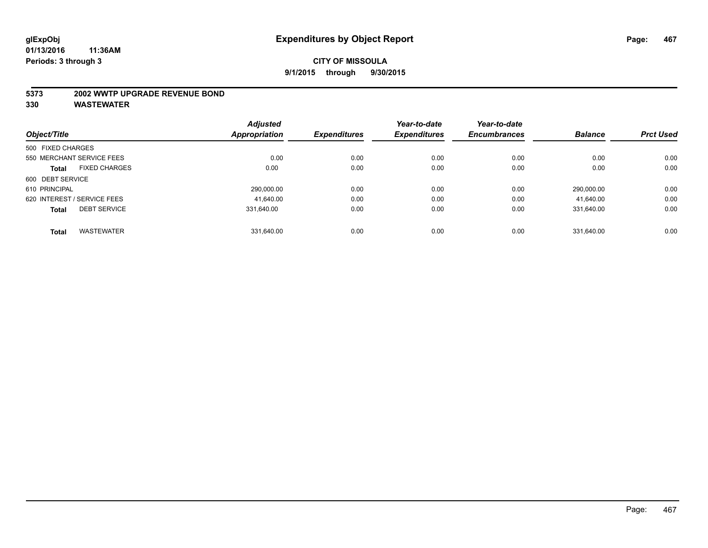#### **5373 2002 WWTP UPGRADE REVENUE BOND**

|                             |                      | <b>Adjusted</b>      |                     | Year-to-date        | Year-to-date        |                |                  |
|-----------------------------|----------------------|----------------------|---------------------|---------------------|---------------------|----------------|------------------|
| Object/Title                |                      | <b>Appropriation</b> | <b>Expenditures</b> | <b>Expenditures</b> | <b>Encumbrances</b> | <b>Balance</b> | <b>Prct Used</b> |
| 500 FIXED CHARGES           |                      |                      |                     |                     |                     |                |                  |
| 550 MERCHANT SERVICE FEES   |                      | 0.00                 | 0.00                | 0.00                | 0.00                | 0.00           | 0.00             |
| <b>Total</b>                | <b>FIXED CHARGES</b> | 0.00                 | 0.00                | 0.00                | 0.00                | 0.00           | 0.00             |
| 600 DEBT SERVICE            |                      |                      |                     |                     |                     |                |                  |
| 610 PRINCIPAL               |                      | 290,000.00           | 0.00                | 0.00                | 0.00                | 290,000.00     | 0.00             |
| 620 INTEREST / SERVICE FEES |                      | 41.640.00            | 0.00                | 0.00                | 0.00                | 41.640.00      | 0.00             |
| <b>Total</b>                | <b>DEBT SERVICE</b>  | 331.640.00           | 0.00                | 0.00                | 0.00                | 331.640.00     | 0.00             |
| <b>Total</b>                | <b>WASTEWATER</b>    | 331.640.00           | 0.00                | 0.00                | 0.00                | 331.640.00     | 0.00             |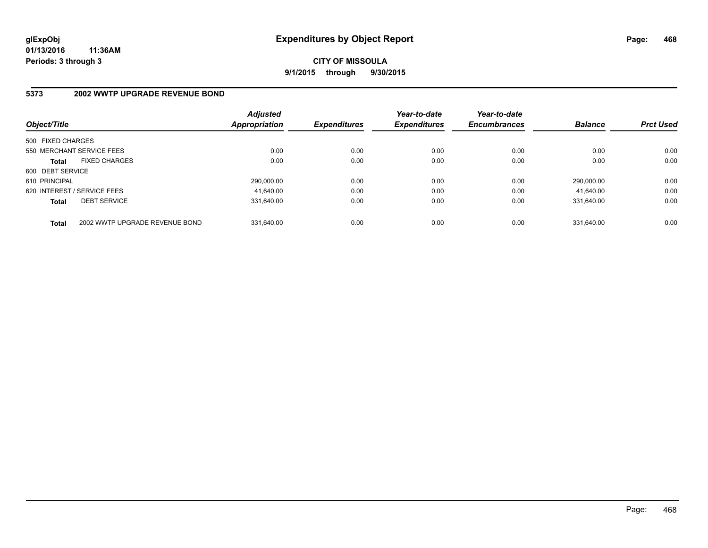## **CITY OF MISSOULA 9/1/2015 through 9/30/2015**

# **5373 2002 WWTP UPGRADE REVENUE BOND**

| Object/Title      |                                | <b>Adjusted</b><br>Appropriation | <b>Expenditures</b> | Year-to-date<br><b>Expenditures</b> | Year-to-date<br><b>Encumbrances</b> | <b>Balance</b> | <b>Prct Used</b> |
|-------------------|--------------------------------|----------------------------------|---------------------|-------------------------------------|-------------------------------------|----------------|------------------|
| 500 FIXED CHARGES |                                |                                  |                     |                                     |                                     |                |                  |
|                   | 550 MERCHANT SERVICE FEES      | 0.00                             | 0.00                | 0.00                                | 0.00                                | 0.00           | 0.00             |
| <b>Total</b>      | <b>FIXED CHARGES</b>           | 0.00                             | 0.00                | 0.00                                | 0.00                                | 0.00           | 0.00             |
| 600 DEBT SERVICE  |                                |                                  |                     |                                     |                                     |                |                  |
| 610 PRINCIPAL     |                                | 290.000.00                       | 0.00                | 0.00                                | 0.00                                | 290.000.00     | 0.00             |
|                   | 620 INTEREST / SERVICE FEES    | 41.640.00                        | 0.00                | 0.00                                | 0.00                                | 41.640.00      | 0.00             |
| <b>Total</b>      | <b>DEBT SERVICE</b>            | 331.640.00                       | 0.00                | 0.00                                | 0.00                                | 331.640.00     | 0.00             |
| <b>Total</b>      | 2002 WWTP UPGRADE REVENUE BOND | 331.640.00                       | 0.00                | 0.00                                | 0.00                                | 331.640.00     | 0.00             |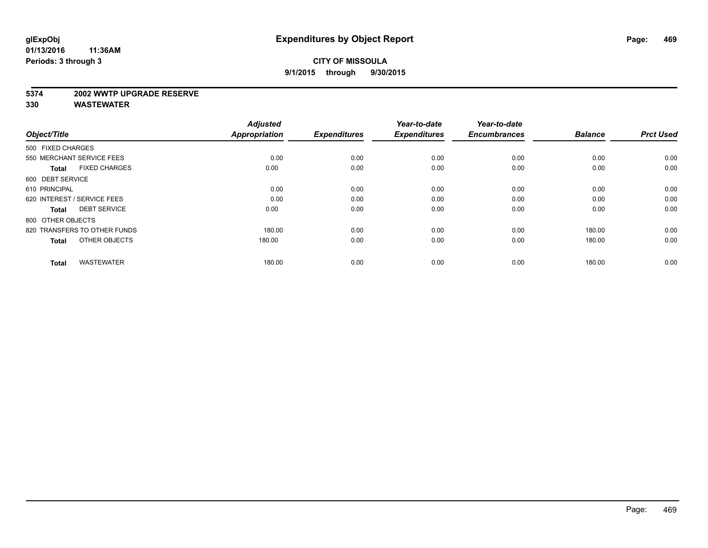#### **5374 2002 WWTP UPGRADE RESERVE**

| Object/Title                         | <b>Adjusted</b><br><b>Appropriation</b> | <b>Expenditures</b> | Year-to-date<br><b>Expenditures</b> | Year-to-date<br><b>Encumbrances</b> | <b>Balance</b> | <b>Prct Used</b> |
|--------------------------------------|-----------------------------------------|---------------------|-------------------------------------|-------------------------------------|----------------|------------------|
| 500 FIXED CHARGES                    |                                         |                     |                                     |                                     |                |                  |
| 550 MERCHANT SERVICE FEES            | 0.00                                    | 0.00                | 0.00                                | 0.00                                | 0.00           | 0.00             |
| <b>FIXED CHARGES</b><br><b>Total</b> | 0.00                                    | 0.00                | 0.00                                | 0.00                                | 0.00           | 0.00             |
| 600 DEBT SERVICE                     |                                         |                     |                                     |                                     |                |                  |
| 610 PRINCIPAL                        | 0.00                                    | 0.00                | 0.00                                | 0.00                                | 0.00           | 0.00             |
| 620 INTEREST / SERVICE FEES          | 0.00                                    | 0.00                | 0.00                                | 0.00                                | 0.00           | 0.00             |
| <b>DEBT SERVICE</b><br><b>Total</b>  | 0.00                                    | 0.00                | 0.00                                | 0.00                                | 0.00           | 0.00             |
| 800 OTHER OBJECTS                    |                                         |                     |                                     |                                     |                |                  |
| 820 TRANSFERS TO OTHER FUNDS         | 180.00                                  | 0.00                | 0.00                                | 0.00                                | 180.00         | 0.00             |
| OTHER OBJECTS<br><b>Total</b>        | 180.00                                  | 0.00                | 0.00                                | 0.00                                | 180.00         | 0.00             |
|                                      |                                         |                     |                                     |                                     |                |                  |
| <b>WASTEWATER</b><br><b>Total</b>    | 180.00                                  | 0.00                | 0.00                                | 0.00                                | 180.00         | 0.00             |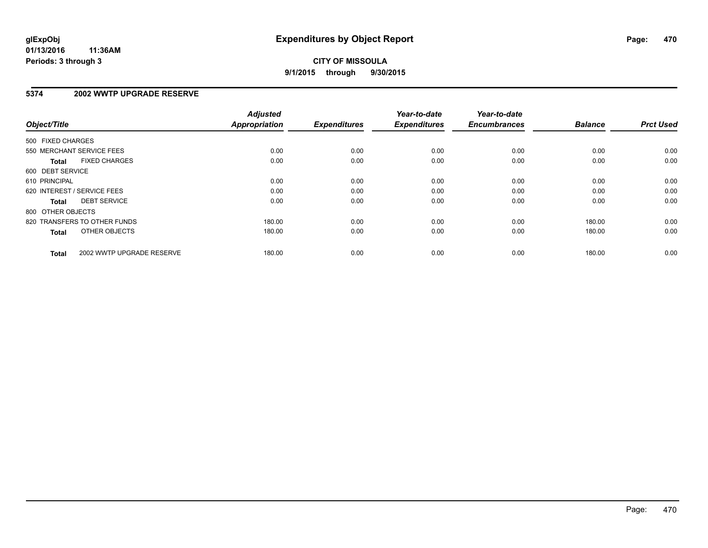### **5374 2002 WWTP UPGRADE RESERVE**

| Object/Title      |                              | <b>Adjusted</b><br><b>Appropriation</b> | <b>Expenditures</b> | Year-to-date<br><b>Expenditures</b> | Year-to-date<br><b>Encumbrances</b> | <b>Balance</b> | <b>Prct Used</b> |
|-------------------|------------------------------|-----------------------------------------|---------------------|-------------------------------------|-------------------------------------|----------------|------------------|
| 500 FIXED CHARGES |                              |                                         |                     |                                     |                                     |                |                  |
|                   | 550 MERCHANT SERVICE FEES    | 0.00                                    | 0.00                | 0.00                                | 0.00                                | 0.00           | 0.00             |
| <b>Total</b>      | <b>FIXED CHARGES</b>         | 0.00                                    | 0.00                | 0.00                                | 0.00                                | 0.00           | 0.00             |
| 600 DEBT SERVICE  |                              |                                         |                     |                                     |                                     |                |                  |
| 610 PRINCIPAL     |                              | 0.00                                    | 0.00                | 0.00                                | 0.00                                | 0.00           | 0.00             |
|                   | 620 INTEREST / SERVICE FEES  | 0.00                                    | 0.00                | 0.00                                | 0.00                                | 0.00           | 0.00             |
| Total             | <b>DEBT SERVICE</b>          | 0.00                                    | 0.00                | 0.00                                | 0.00                                | 0.00           | 0.00             |
| 800 OTHER OBJECTS |                              |                                         |                     |                                     |                                     |                |                  |
|                   | 820 TRANSFERS TO OTHER FUNDS | 180.00                                  | 0.00                | 0.00                                | 0.00                                | 180.00         | 0.00             |
| <b>Total</b>      | OTHER OBJECTS                | 180.00                                  | 0.00                | 0.00                                | 0.00                                | 180.00         | 0.00             |
| <b>Total</b>      | 2002 WWTP UPGRADE RESERVE    | 180.00                                  | 0.00                | 0.00                                | 0.00                                | 180.00         | 0.00             |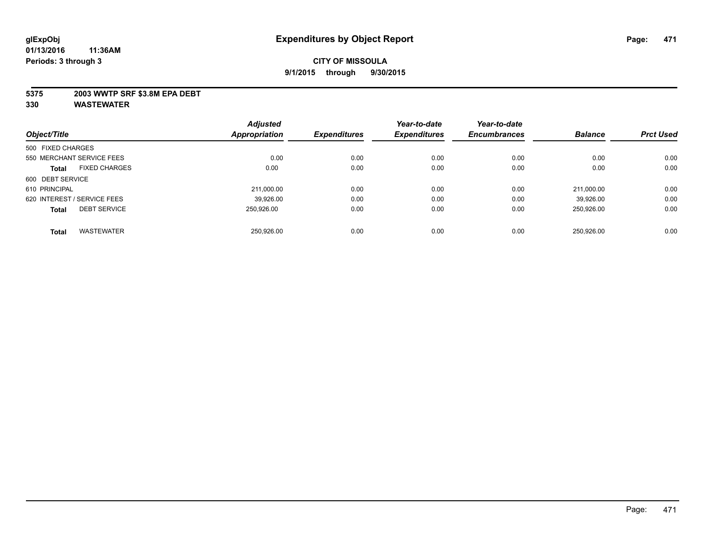### **5375 2003 WWTP SRF \$3.8M EPA DEBT**

| Object/Title      |                             | <b>Adjusted</b> | <b>Expenditures</b> | Year-to-date        | Year-to-date        | <b>Balance</b> | <b>Prct Used</b> |
|-------------------|-----------------------------|-----------------|---------------------|---------------------|---------------------|----------------|------------------|
|                   |                             | Appropriation   |                     | <b>Expenditures</b> | <b>Encumbrances</b> |                |                  |
| 500 FIXED CHARGES |                             |                 |                     |                     |                     |                |                  |
|                   | 550 MERCHANT SERVICE FEES   | 0.00            | 0.00                | 0.00                | 0.00                | 0.00           | 0.00             |
| <b>Total</b>      | <b>FIXED CHARGES</b>        | 0.00            | 0.00                | 0.00                | 0.00                | 0.00           | 0.00             |
| 600 DEBT SERVICE  |                             |                 |                     |                     |                     |                |                  |
| 610 PRINCIPAL     |                             | 211,000.00      | 0.00                | 0.00                | 0.00                | 211.000.00     | 0.00             |
|                   | 620 INTEREST / SERVICE FEES | 39.926.00       | 0.00                | 0.00                | 0.00                | 39.926.00      | 0.00             |
| <b>Total</b>      | <b>DEBT SERVICE</b>         | 250.926.00      | 0.00                | 0.00                | 0.00                | 250.926.00     | 0.00             |
| <b>Total</b>      | <b>WASTEWATER</b>           | 250.926.00      | 0.00                | 0.00                | 0.00                | 250.926.00     | 0.00             |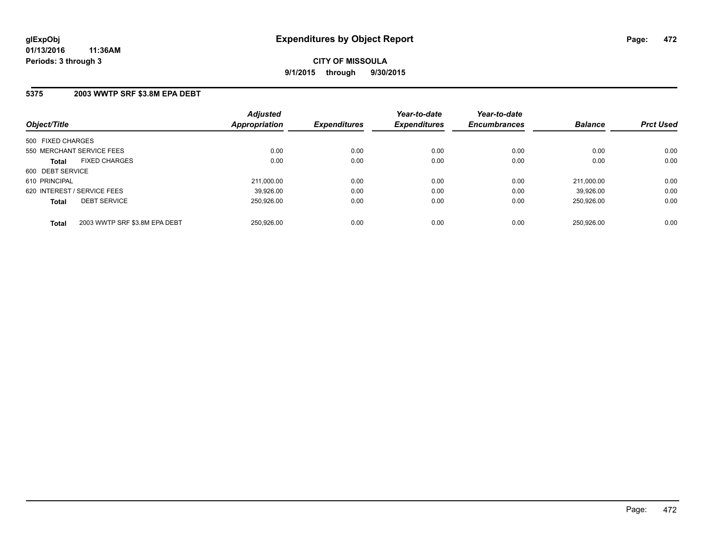### **5375 2003 WWTP SRF \$3.8M EPA DEBT**

| Object/Title                                  | <b>Adjusted</b><br>Appropriation | <b>Expenditures</b> | Year-to-date<br><b>Expenditures</b> | Year-to-date<br><b>Encumbrances</b> | <b>Balance</b> | <b>Prct Used</b> |
|-----------------------------------------------|----------------------------------|---------------------|-------------------------------------|-------------------------------------|----------------|------------------|
| 500 FIXED CHARGES                             |                                  |                     |                                     |                                     |                |                  |
| 550 MERCHANT SERVICE FEES                     | 0.00                             | 0.00                | 0.00                                | 0.00                                | 0.00           | 0.00             |
| <b>FIXED CHARGES</b><br><b>Total</b>          | 0.00                             | 0.00                | 0.00                                | 0.00                                | 0.00           | 0.00             |
| 600 DEBT SERVICE                              |                                  |                     |                                     |                                     |                |                  |
| 610 PRINCIPAL                                 | 211.000.00                       | 0.00                | 0.00                                | 0.00                                | 211.000.00     | 0.00             |
| 620 INTEREST / SERVICE FEES                   | 39,926.00                        | 0.00                | 0.00                                | 0.00                                | 39.926.00      | 0.00             |
| <b>DEBT SERVICE</b><br><b>Total</b>           | 250.926.00                       | 0.00                | 0.00                                | 0.00                                | 250.926.00     | 0.00             |
| 2003 WWTP SRF \$3.8M EPA DEBT<br><b>Total</b> | 250.926.00                       | 0.00                | 0.00                                | 0.00                                | 250.926.00     | 0.00             |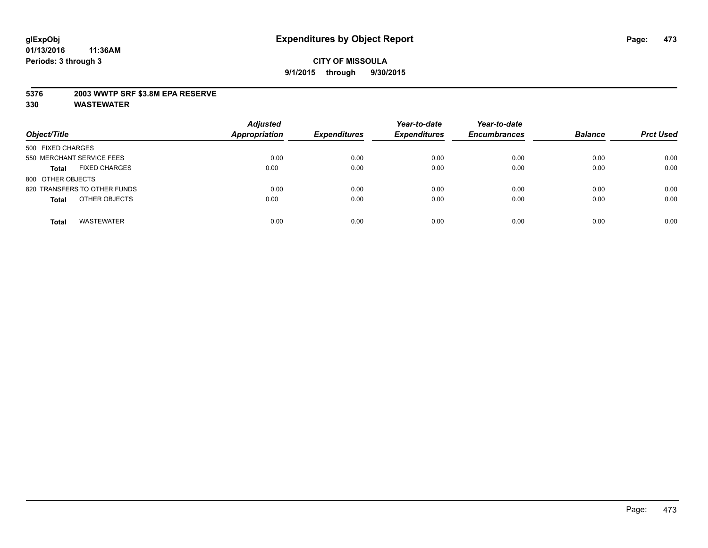### **5376 2003 WWTP SRF \$3.8M EPA RESERVE**

| Object/Title                         | <b>Adjusted</b><br><b>Appropriation</b> | <b>Expenditures</b> | Year-to-date<br><b>Expenditures</b> | Year-to-date<br><b>Encumbrances</b> | <b>Balance</b> | <b>Prct Used</b> |
|--------------------------------------|-----------------------------------------|---------------------|-------------------------------------|-------------------------------------|----------------|------------------|
| 500 FIXED CHARGES                    |                                         |                     |                                     |                                     |                |                  |
| 550 MERCHANT SERVICE FEES            | 0.00                                    | 0.00                | 0.00                                | 0.00                                | 0.00           | 0.00             |
| <b>FIXED CHARGES</b><br><b>Total</b> | 0.00                                    | 0.00                | 0.00                                | 0.00                                | 0.00           | 0.00             |
| 800 OTHER OBJECTS                    |                                         |                     |                                     |                                     |                |                  |
| 820 TRANSFERS TO OTHER FUNDS         | 0.00                                    | 0.00                | 0.00                                | 0.00                                | 0.00           | 0.00             |
| OTHER OBJECTS<br><b>Total</b>        | 0.00                                    | 0.00                | 0.00                                | 0.00                                | 0.00           | 0.00             |
| <b>WASTEWATER</b><br><b>Total</b>    | 0.00                                    | 0.00                | 0.00                                | 0.00                                | 0.00           | 0.00             |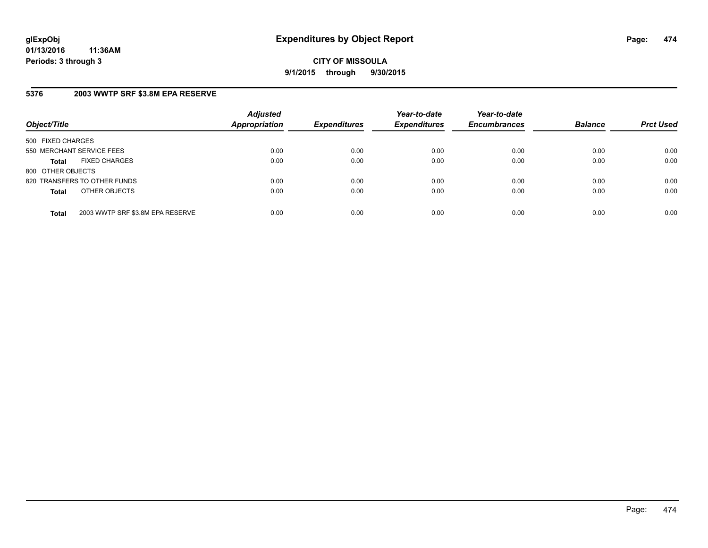**CITY OF MISSOULA 9/1/2015 through 9/30/2015**

### **5376 2003 WWTP SRF \$3.8M EPA RESERVE**

| Object/Title              |                                  | <b>Adjusted</b><br><b>Appropriation</b> | <b>Expenditures</b> | Year-to-date<br><b>Expenditures</b> | Year-to-date<br><b>Encumbrances</b> | <b>Balance</b> | <b>Prct Used</b> |
|---------------------------|----------------------------------|-----------------------------------------|---------------------|-------------------------------------|-------------------------------------|----------------|------------------|
| 500 FIXED CHARGES         |                                  |                                         |                     |                                     |                                     |                |                  |
| 550 MERCHANT SERVICE FEES |                                  | 0.00                                    | 0.00                | 0.00                                | 0.00                                | 0.00           | 0.00             |
| <b>Total</b>              | <b>FIXED CHARGES</b>             | 0.00                                    | 0.00                | 0.00                                | 0.00                                | 0.00           | 0.00             |
| 800 OTHER OBJECTS         |                                  |                                         |                     |                                     |                                     |                |                  |
|                           | 820 TRANSFERS TO OTHER FUNDS     | 0.00                                    | 0.00                | 0.00                                | 0.00                                | 0.00           | 0.00             |
| <b>Total</b>              | OTHER OBJECTS                    | 0.00                                    | 0.00                | 0.00                                | 0.00                                | 0.00           | 0.00             |
| <b>Total</b>              | 2003 WWTP SRF \$3.8M EPA RESERVE | 0.00                                    | 0.00                | 0.00                                | 0.00                                | 0.00           | 0.00             |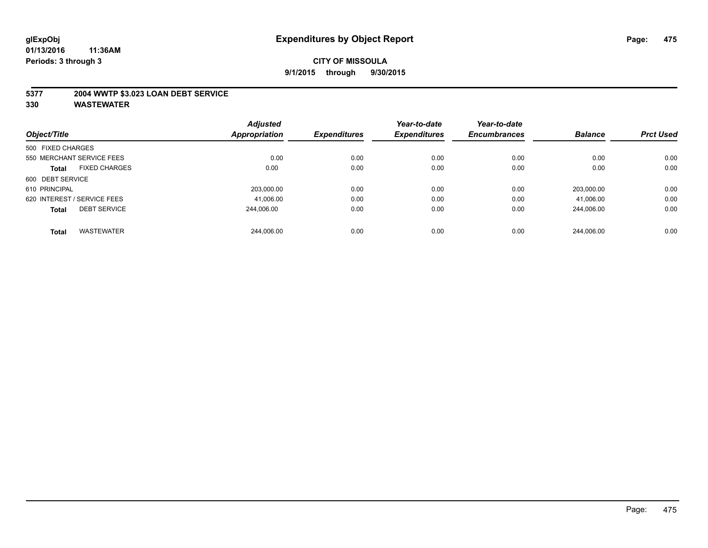### **5377 2004 WWTP \$3.023 LOAN DEBT SERVICE**

| Object/Title      |                             | <b>Adjusted</b> | <b>Expenditures</b> | Year-to-date<br><b>Expenditures</b> | Year-to-date<br><b>Encumbrances</b> | <b>Balance</b> | <b>Prct Used</b> |
|-------------------|-----------------------------|-----------------|---------------------|-------------------------------------|-------------------------------------|----------------|------------------|
|                   |                             | Appropriation   |                     |                                     |                                     |                |                  |
| 500 FIXED CHARGES |                             |                 |                     |                                     |                                     |                |                  |
|                   | 550 MERCHANT SERVICE FEES   | 0.00            | 0.00                | 0.00                                | 0.00                                | 0.00           | 0.00             |
| <b>Total</b>      | <b>FIXED CHARGES</b>        | 0.00            | 0.00                | 0.00                                | 0.00                                | 0.00           | 0.00             |
| 600 DEBT SERVICE  |                             |                 |                     |                                     |                                     |                |                  |
| 610 PRINCIPAL     |                             | 203,000.00      | 0.00                | 0.00                                | 0.00                                | 203.000.00     | 0.00             |
|                   | 620 INTEREST / SERVICE FEES | 41,006.00       | 0.00                | 0.00                                | 0.00                                | 41,006.00      | 0.00             |
| <b>Total</b>      | <b>DEBT SERVICE</b>         | 244.006.00      | 0.00                | 0.00                                | 0.00                                | 244.006.00     | 0.00             |
| <b>Total</b>      | <b>WASTEWATER</b>           | 244.006.00      | 0.00                | 0.00                                | 0.00                                | 244.006.00     | 0.00             |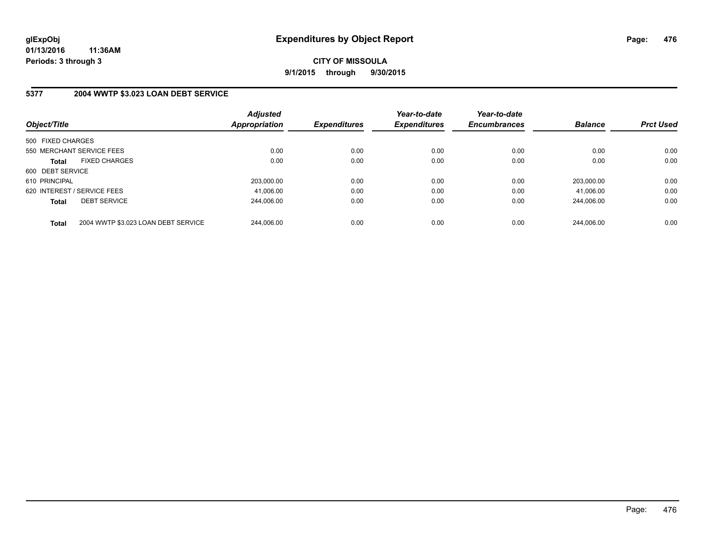## **5377 2004 WWTP \$3.023 LOAN DEBT SERVICE**

| Object/Title                |                                     | <b>Adjusted</b><br><b>Appropriation</b> | <b>Expenditures</b> | Year-to-date<br><b>Expenditures</b> | Year-to-date<br><b>Encumbrances</b> | <b>Balance</b> | <b>Prct Used</b> |
|-----------------------------|-------------------------------------|-----------------------------------------|---------------------|-------------------------------------|-------------------------------------|----------------|------------------|
| 500 FIXED CHARGES           |                                     |                                         |                     |                                     |                                     |                |                  |
| 550 MERCHANT SERVICE FEES   |                                     | 0.00                                    | 0.00                | 0.00                                | 0.00                                | 0.00           | 0.00             |
| <b>Total</b>                | <b>FIXED CHARGES</b>                | 0.00                                    | 0.00                | 0.00                                | 0.00                                | 0.00           | 0.00             |
| 600 DEBT SERVICE            |                                     |                                         |                     |                                     |                                     |                |                  |
| 610 PRINCIPAL               |                                     | 203.000.00                              | 0.00                | 0.00                                | 0.00                                | 203.000.00     | 0.00             |
| 620 INTEREST / SERVICE FEES |                                     | 41,006.00                               | 0.00                | 0.00                                | 0.00                                | 41.006.00      | 0.00             |
| <b>Total</b>                | <b>DEBT SERVICE</b>                 | 244.006.00                              | 0.00                | 0.00                                | 0.00                                | 244.006.00     | 0.00             |
| <b>Total</b>                | 2004 WWTP \$3.023 LOAN DEBT SERVICE | 244.006.00                              | 0.00                | 0.00                                | 0.00                                | 244.006.00     | 0.00             |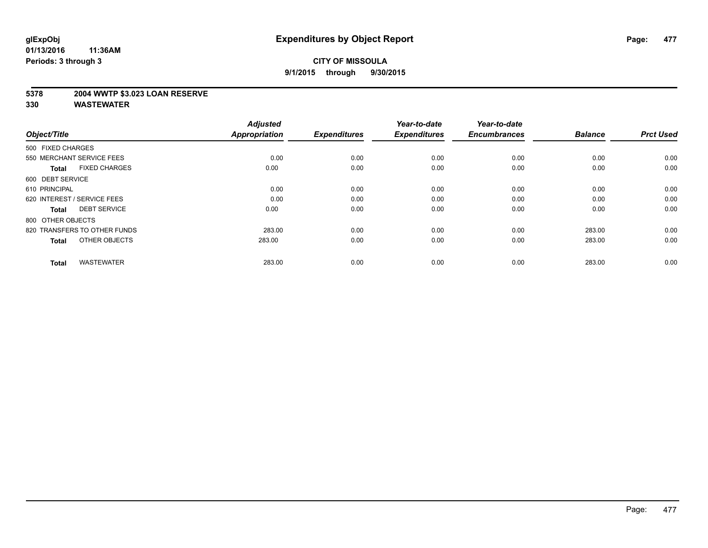### **5378 2004 WWTP \$3.023 LOAN RESERVE**

| Object/Title                         | <b>Adjusted</b><br><b>Appropriation</b> | <b>Expenditures</b> | Year-to-date<br><b>Expenditures</b> | Year-to-date<br><b>Encumbrances</b> | <b>Balance</b> | <b>Prct Used</b> |
|--------------------------------------|-----------------------------------------|---------------------|-------------------------------------|-------------------------------------|----------------|------------------|
| 500 FIXED CHARGES                    |                                         |                     |                                     |                                     |                |                  |
| 550 MERCHANT SERVICE FEES            | 0.00                                    | 0.00                | 0.00                                | 0.00                                | 0.00           | 0.00             |
| <b>FIXED CHARGES</b><br><b>Total</b> | 0.00                                    | 0.00                | 0.00                                | 0.00                                | 0.00           | 0.00             |
| 600 DEBT SERVICE                     |                                         |                     |                                     |                                     |                |                  |
| 610 PRINCIPAL                        | 0.00                                    | 0.00                | 0.00                                | 0.00                                | 0.00           | 0.00             |
| 620 INTEREST / SERVICE FEES          | 0.00                                    | 0.00                | 0.00                                | 0.00                                | 0.00           | 0.00             |
| <b>DEBT SERVICE</b><br><b>Total</b>  | 0.00                                    | 0.00                | 0.00                                | 0.00                                | 0.00           | 0.00             |
| 800 OTHER OBJECTS                    |                                         |                     |                                     |                                     |                |                  |
| 820 TRANSFERS TO OTHER FUNDS         | 283.00                                  | 0.00                | 0.00                                | 0.00                                | 283.00         | 0.00             |
| OTHER OBJECTS<br><b>Total</b>        | 283.00                                  | 0.00                | 0.00                                | 0.00                                | 283.00         | 0.00             |
|                                      |                                         |                     |                                     |                                     |                |                  |
| <b>WASTEWATER</b><br><b>Total</b>    | 283.00                                  | 0.00                | 0.00                                | 0.00                                | 283.00         | 0.00             |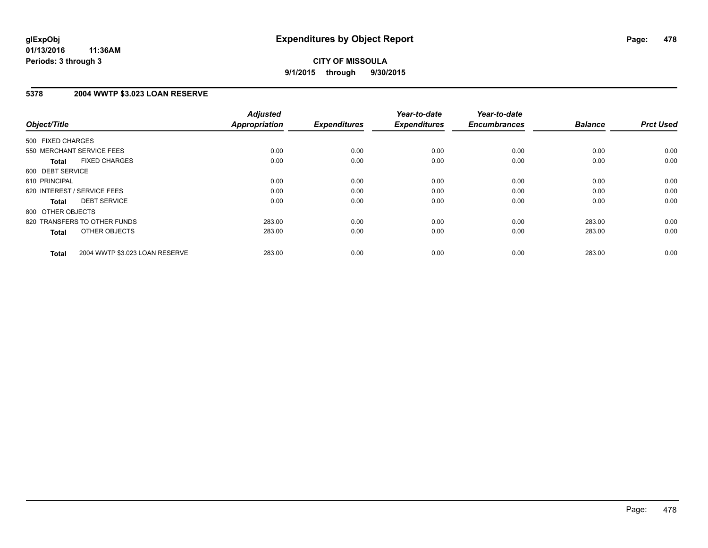**CITY OF MISSOULA 9/1/2015 through 9/30/2015**

### **5378 2004 WWTP \$3.023 LOAN RESERVE**

| Object/Title                                   | <b>Adjusted</b><br><b>Appropriation</b> | <b>Expenditures</b> | Year-to-date<br><b>Expenditures</b> | Year-to-date<br><b>Encumbrances</b> | <b>Balance</b> | <b>Prct Used</b> |
|------------------------------------------------|-----------------------------------------|---------------------|-------------------------------------|-------------------------------------|----------------|------------------|
|                                                |                                         |                     |                                     |                                     |                |                  |
| 500 FIXED CHARGES                              |                                         |                     |                                     |                                     |                |                  |
| 550 MERCHANT SERVICE FEES                      | 0.00                                    | 0.00                | 0.00                                | 0.00                                | 0.00           | 0.00             |
| <b>FIXED CHARGES</b><br>Total                  | 0.00                                    | 0.00                | 0.00                                | 0.00                                | 0.00           | 0.00             |
| 600 DEBT SERVICE                               |                                         |                     |                                     |                                     |                |                  |
| 610 PRINCIPAL                                  | 0.00                                    | 0.00                | 0.00                                | 0.00                                | 0.00           | 0.00             |
| 620 INTEREST / SERVICE FEES                    | 0.00                                    | 0.00                | 0.00                                | 0.00                                | 0.00           | 0.00             |
| <b>DEBT SERVICE</b><br><b>Total</b>            | 0.00                                    | 0.00                | 0.00                                | 0.00                                | 0.00           | 0.00             |
| 800 OTHER OBJECTS                              |                                         |                     |                                     |                                     |                |                  |
| 820 TRANSFERS TO OTHER FUNDS                   | 283.00                                  | 0.00                | 0.00                                | 0.00                                | 283.00         | 0.00             |
| OTHER OBJECTS<br><b>Total</b>                  | 283.00                                  | 0.00                | 0.00                                | 0.00                                | 283.00         | 0.00             |
|                                                |                                         |                     |                                     |                                     |                |                  |
| 2004 WWTP \$3.023 LOAN RESERVE<br><b>Total</b> | 283.00                                  | 0.00                | 0.00                                | 0.00                                | 283.00         | 0.00             |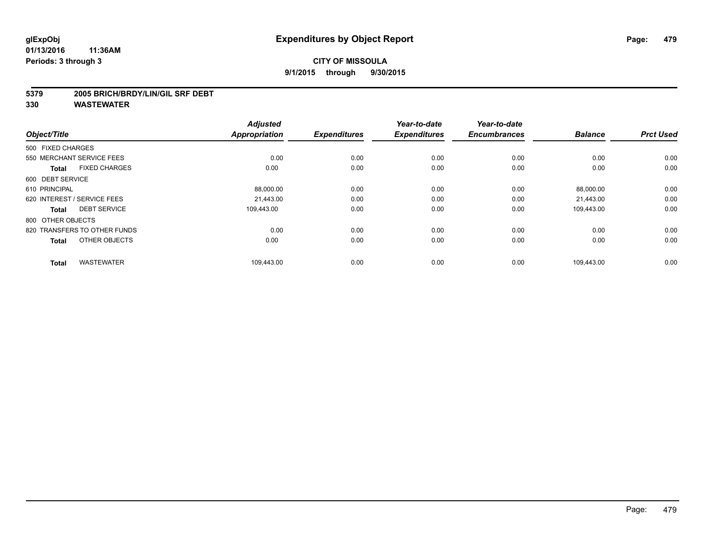#### **5379 2005 BRICH/BRDY/LIN/GIL SRF DEBT**

| Object/Title                         | <b>Adjusted</b><br>Appropriation | <b>Expenditures</b> | Year-to-date<br><b>Expenditures</b> | Year-to-date<br><b>Encumbrances</b> | <b>Balance</b> | <b>Prct Used</b> |
|--------------------------------------|----------------------------------|---------------------|-------------------------------------|-------------------------------------|----------------|------------------|
| 500 FIXED CHARGES                    |                                  |                     |                                     |                                     |                |                  |
| 550 MERCHANT SERVICE FEES            | 0.00                             | 0.00                | 0.00                                | 0.00                                | 0.00           | 0.00             |
| <b>FIXED CHARGES</b><br><b>Total</b> | 0.00                             | 0.00                | 0.00                                | 0.00                                | 0.00           | 0.00             |
| 600 DEBT SERVICE                     |                                  |                     |                                     |                                     |                |                  |
| 610 PRINCIPAL                        | 88,000.00                        | 0.00                | 0.00                                | 0.00                                | 88,000.00      | 0.00             |
| 620 INTEREST / SERVICE FEES          | 21.443.00                        | 0.00                | 0.00                                | 0.00                                | 21,443.00      | 0.00             |
| <b>DEBT SERVICE</b><br><b>Total</b>  | 109.443.00                       | 0.00                | 0.00                                | 0.00                                | 109,443.00     | 0.00             |
| 800 OTHER OBJECTS                    |                                  |                     |                                     |                                     |                |                  |
| 820 TRANSFERS TO OTHER FUNDS         | 0.00                             | 0.00                | 0.00                                | 0.00                                | 0.00           | 0.00             |
| OTHER OBJECTS<br><b>Total</b>        | 0.00                             | 0.00                | 0.00                                | 0.00                                | 0.00           | 0.00             |
| <b>WASTEWATER</b><br><b>Total</b>    | 109,443.00                       | 0.00                | 0.00                                | 0.00                                | 109,443.00     | 0.00             |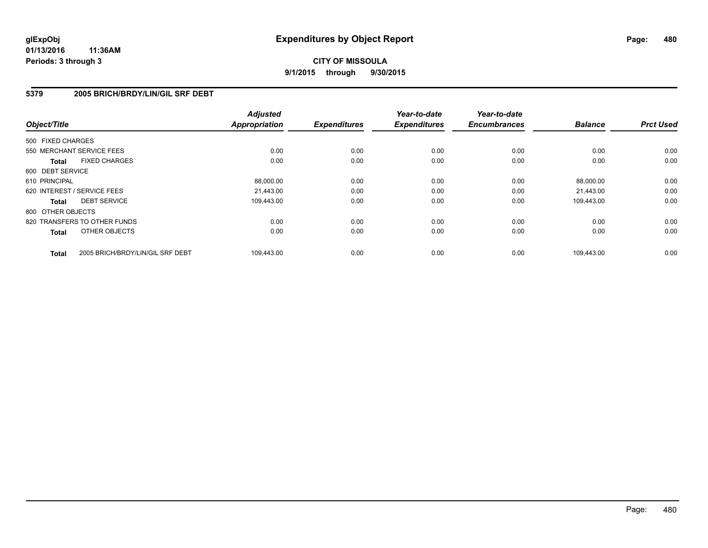# **CITY OF MISSOULA 9/1/2015 through 9/30/2015**

### **5379 2005 BRICH/BRDY/LIN/GIL SRF DEBT**

| Object/Title                 |                                  | <b>Adjusted</b><br><b>Appropriation</b> | <b>Expenditures</b> | Year-to-date<br><b>Expenditures</b> | Year-to-date<br><b>Encumbrances</b> | <b>Balance</b> | <b>Prct Used</b> |
|------------------------------|----------------------------------|-----------------------------------------|---------------------|-------------------------------------|-------------------------------------|----------------|------------------|
| 500 FIXED CHARGES            |                                  |                                         |                     |                                     |                                     |                |                  |
| 550 MERCHANT SERVICE FEES    |                                  | 0.00                                    | 0.00                | 0.00                                | 0.00                                | 0.00           | 0.00             |
| <b>Total</b>                 | <b>FIXED CHARGES</b>             | 0.00                                    | 0.00                | 0.00                                | 0.00                                | 0.00           | 0.00             |
| 600 DEBT SERVICE             |                                  |                                         |                     |                                     |                                     |                |                  |
| 610 PRINCIPAL                |                                  | 88,000.00                               | 0.00                | 0.00                                | 0.00                                | 88,000.00      | 0.00             |
| 620 INTEREST / SERVICE FEES  |                                  | 21.443.00                               | 0.00                | 0.00                                | 0.00                                | 21,443.00      | 0.00             |
| <b>Total</b>                 | <b>DEBT SERVICE</b>              | 109.443.00                              | 0.00                | 0.00                                | 0.00                                | 109,443.00     | 0.00             |
| 800 OTHER OBJECTS            |                                  |                                         |                     |                                     |                                     |                |                  |
| 820 TRANSFERS TO OTHER FUNDS |                                  | 0.00                                    | 0.00                | 0.00                                | 0.00                                | 0.00           | 0.00             |
| <b>Total</b>                 | OTHER OBJECTS                    | 0.00                                    | 0.00                | 0.00                                | 0.00                                | 0.00           | 0.00             |
| <b>Total</b>                 | 2005 BRICH/BRDY/LIN/GIL SRF DEBT | 109,443.00                              | 0.00                | 0.00                                | 0.00                                | 109.443.00     | 0.00             |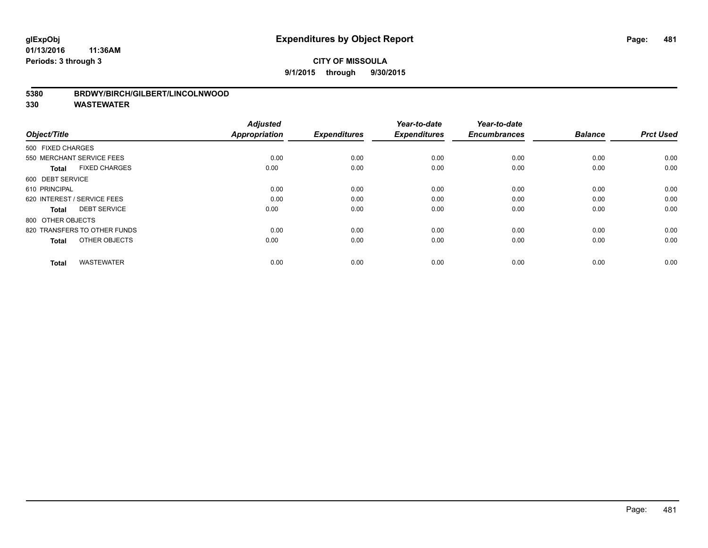### **CITY OF MISSOULA 9/1/2015 through 9/30/2015**

#### **5380 BRDWY/BIRCH/GILBERT/LINCOLNWOOD**

| Object/Title                         | <b>Adjusted</b><br><b>Appropriation</b> | <b>Expenditures</b> | Year-to-date<br><b>Expenditures</b> | Year-to-date<br><b>Encumbrances</b> | <b>Balance</b> | <b>Prct Used</b> |
|--------------------------------------|-----------------------------------------|---------------------|-------------------------------------|-------------------------------------|----------------|------------------|
| 500 FIXED CHARGES                    |                                         |                     |                                     |                                     |                |                  |
| 550 MERCHANT SERVICE FEES            | 0.00                                    | 0.00                | 0.00                                | 0.00                                | 0.00           | 0.00             |
| <b>FIXED CHARGES</b><br><b>Total</b> | 0.00                                    | 0.00                | 0.00                                | 0.00                                | 0.00           | 0.00             |
| 600 DEBT SERVICE                     |                                         |                     |                                     |                                     |                |                  |
| 610 PRINCIPAL                        | 0.00                                    | 0.00                | 0.00                                | 0.00                                | 0.00           | 0.00             |
| 620 INTEREST / SERVICE FEES          | 0.00                                    | 0.00                | 0.00                                | 0.00                                | 0.00           | 0.00             |
| <b>DEBT SERVICE</b><br><b>Total</b>  | 0.00                                    | 0.00                | 0.00                                | 0.00                                | 0.00           | 0.00             |
| 800 OTHER OBJECTS                    |                                         |                     |                                     |                                     |                |                  |
| 820 TRANSFERS TO OTHER FUNDS         | 0.00                                    | 0.00                | 0.00                                | 0.00                                | 0.00           | 0.00             |
| OTHER OBJECTS<br><b>Total</b>        | 0.00                                    | 0.00                | 0.00                                | 0.00                                | 0.00           | 0.00             |
|                                      |                                         |                     |                                     |                                     |                |                  |
| <b>WASTEWATER</b><br><b>Total</b>    | 0.00                                    | 0.00                | 0.00                                | 0.00                                | 0.00           | 0.00             |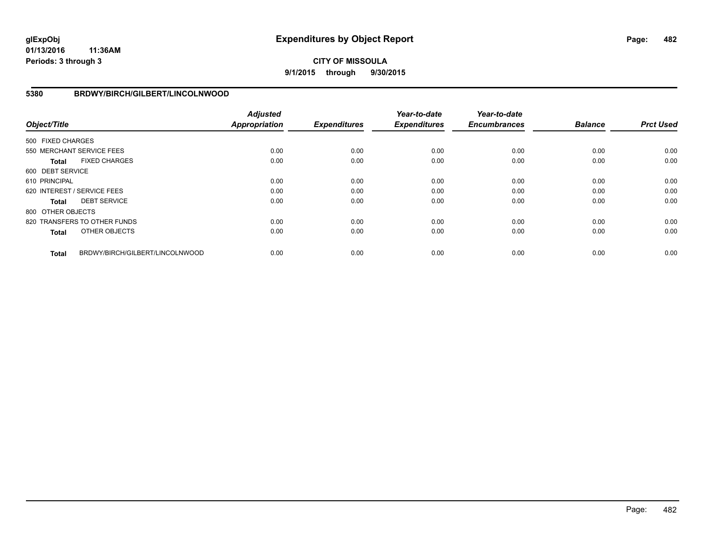## **CITY OF MISSOULA 9/1/2015 through 9/30/2015**

### **5380 BRDWY/BIRCH/GILBERT/LINCOLNWOOD**

| Object/Title      |                                 | <b>Adjusted</b><br><b>Appropriation</b> | <b>Expenditures</b> | Year-to-date<br><b>Expenditures</b> | Year-to-date<br><b>Encumbrances</b> | <b>Balance</b> | <b>Prct Used</b> |
|-------------------|---------------------------------|-----------------------------------------|---------------------|-------------------------------------|-------------------------------------|----------------|------------------|
| 500 FIXED CHARGES |                                 |                                         |                     |                                     |                                     |                |                  |
|                   | 550 MERCHANT SERVICE FEES       | 0.00                                    | 0.00                | 0.00                                | 0.00                                | 0.00           | 0.00             |
| <b>Total</b>      | <b>FIXED CHARGES</b>            | 0.00                                    | 0.00                | 0.00                                | 0.00                                | 0.00           | 0.00             |
| 600 DEBT SERVICE  |                                 |                                         |                     |                                     |                                     |                |                  |
| 610 PRINCIPAL     |                                 | 0.00                                    | 0.00                | 0.00                                | 0.00                                | 0.00           | 0.00             |
|                   | 620 INTEREST / SERVICE FEES     | 0.00                                    | 0.00                | 0.00                                | 0.00                                | 0.00           | 0.00             |
| <b>Total</b>      | <b>DEBT SERVICE</b>             | 0.00                                    | 0.00                | 0.00                                | 0.00                                | 0.00           | 0.00             |
| 800 OTHER OBJECTS |                                 |                                         |                     |                                     |                                     |                |                  |
|                   | 820 TRANSFERS TO OTHER FUNDS    | 0.00                                    | 0.00                | 0.00                                | 0.00                                | 0.00           | 0.00             |
| <b>Total</b>      | OTHER OBJECTS                   | 0.00                                    | 0.00                | 0.00                                | 0.00                                | 0.00           | 0.00             |
| <b>Total</b>      | BRDWY/BIRCH/GILBERT/LINCOLNWOOD | 0.00                                    | 0.00                | 0.00                                | 0.00                                | 0.00           | 0.00             |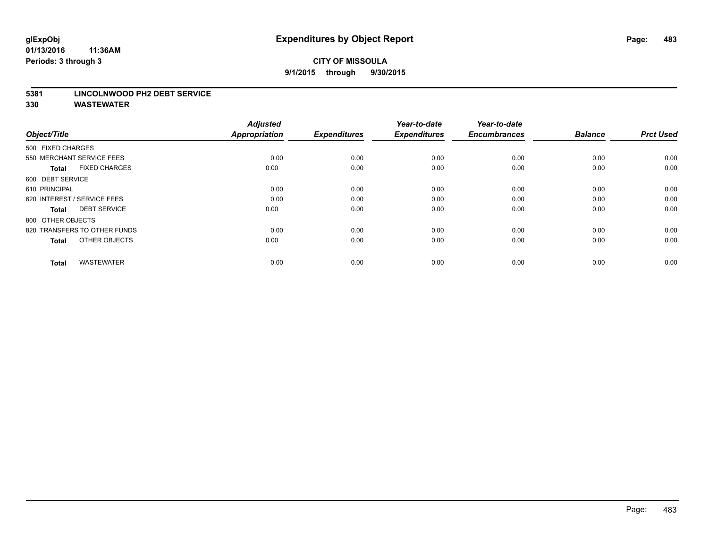#### **5381 LINCOLNWOOD PH2 DEBT SERVICE**

| Object/Title                         | <b>Adjusted</b><br><b>Appropriation</b> | <b>Expenditures</b> | Year-to-date<br><b>Expenditures</b> | Year-to-date<br><b>Encumbrances</b> | <b>Balance</b> | <b>Prct Used</b> |
|--------------------------------------|-----------------------------------------|---------------------|-------------------------------------|-------------------------------------|----------------|------------------|
| 500 FIXED CHARGES                    |                                         |                     |                                     |                                     |                |                  |
| 550 MERCHANT SERVICE FEES            | 0.00                                    | 0.00                | 0.00                                | 0.00                                | 0.00           | 0.00             |
| <b>FIXED CHARGES</b><br><b>Total</b> | 0.00                                    | 0.00                | 0.00                                | 0.00                                | 0.00           | 0.00             |
| 600 DEBT SERVICE                     |                                         |                     |                                     |                                     |                |                  |
| 610 PRINCIPAL                        | 0.00                                    | 0.00                | 0.00                                | 0.00                                | 0.00           | 0.00             |
| 620 INTEREST / SERVICE FEES          | 0.00                                    | 0.00                | 0.00                                | 0.00                                | 0.00           | 0.00             |
| <b>DEBT SERVICE</b><br><b>Total</b>  | 0.00                                    | 0.00                | 0.00                                | 0.00                                | 0.00           | 0.00             |
| 800 OTHER OBJECTS                    |                                         |                     |                                     |                                     |                |                  |
| 820 TRANSFERS TO OTHER FUNDS         | 0.00                                    | 0.00                | 0.00                                | 0.00                                | 0.00           | 0.00             |
| OTHER OBJECTS<br><b>Total</b>        | 0.00                                    | 0.00                | 0.00                                | 0.00                                | 0.00           | 0.00             |
|                                      |                                         |                     |                                     |                                     |                |                  |
| <b>WASTEWATER</b><br><b>Total</b>    | 0.00                                    | 0.00                | 0.00                                | 0.00                                | 0.00           | 0.00             |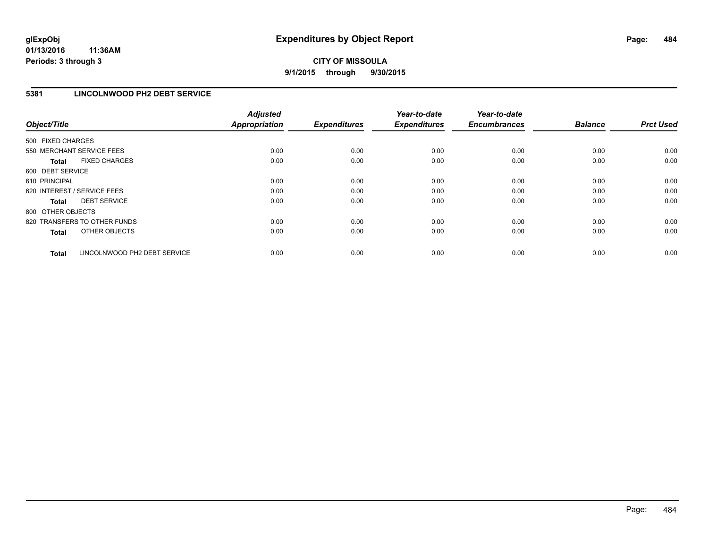## **5381 LINCOLNWOOD PH2 DEBT SERVICE**

| Object/Title      |                              | <b>Adjusted</b><br>Appropriation | <b>Expenditures</b> | Year-to-date<br><b>Expenditures</b> | Year-to-date<br><b>Encumbrances</b> | <b>Balance</b> | <b>Prct Used</b> |
|-------------------|------------------------------|----------------------------------|---------------------|-------------------------------------|-------------------------------------|----------------|------------------|
| 500 FIXED CHARGES |                              |                                  |                     |                                     |                                     |                |                  |
|                   | 550 MERCHANT SERVICE FEES    | 0.00                             | 0.00                | 0.00                                | 0.00                                | 0.00           | 0.00             |
| <b>Total</b>      | <b>FIXED CHARGES</b>         | 0.00                             | 0.00                | 0.00                                | 0.00                                | 0.00           | 0.00             |
| 600 DEBT SERVICE  |                              |                                  |                     |                                     |                                     |                |                  |
| 610 PRINCIPAL     |                              | 0.00                             | 0.00                | 0.00                                | 0.00                                | 0.00           | 0.00             |
|                   | 620 INTEREST / SERVICE FEES  | 0.00                             | 0.00                | 0.00                                | 0.00                                | 0.00           | 0.00             |
| <b>Total</b>      | <b>DEBT SERVICE</b>          | 0.00                             | 0.00                | 0.00                                | 0.00                                | 0.00           | 0.00             |
| 800 OTHER OBJECTS |                              |                                  |                     |                                     |                                     |                |                  |
|                   | 820 TRANSFERS TO OTHER FUNDS | 0.00                             | 0.00                | 0.00                                | 0.00                                | 0.00           | 0.00             |
| <b>Total</b>      | OTHER OBJECTS                | 0.00                             | 0.00                | 0.00                                | 0.00                                | 0.00           | 0.00             |
| <b>Total</b>      | LINCOLNWOOD PH2 DEBT SERVICE | 0.00                             | 0.00                | 0.00                                | 0.00                                | 0.00           | 0.00             |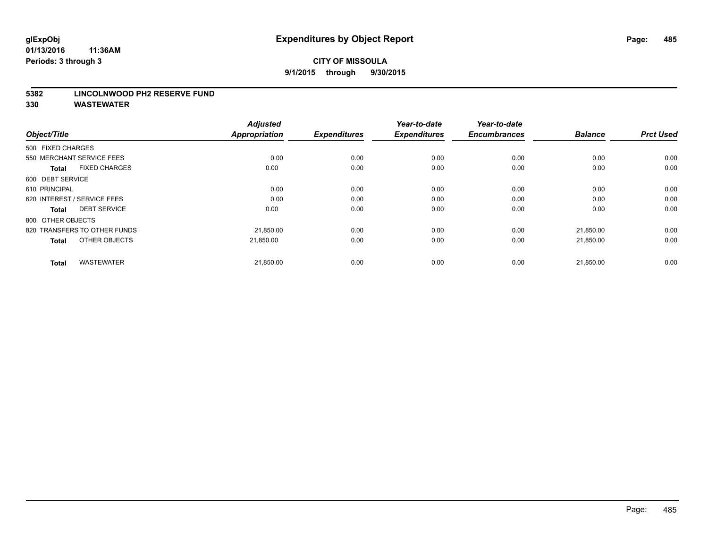#### **5382 LINCOLNWOOD PH2 RESERVE FUND**

| Object/Title                         | <b>Adjusted</b><br><b>Appropriation</b> | <b>Expenditures</b> | Year-to-date<br><b>Expenditures</b> | Year-to-date<br><b>Encumbrances</b> | <b>Balance</b> | <b>Prct Used</b> |
|--------------------------------------|-----------------------------------------|---------------------|-------------------------------------|-------------------------------------|----------------|------------------|
| 500 FIXED CHARGES                    |                                         |                     |                                     |                                     |                |                  |
| 550 MERCHANT SERVICE FEES            | 0.00                                    | 0.00                | 0.00                                | 0.00                                | 0.00           | 0.00             |
| <b>FIXED CHARGES</b><br><b>Total</b> | 0.00                                    | 0.00                | 0.00                                | 0.00                                | 0.00           | 0.00             |
| 600 DEBT SERVICE                     |                                         |                     |                                     |                                     |                |                  |
| 610 PRINCIPAL                        | 0.00                                    | 0.00                | 0.00                                | 0.00                                | 0.00           | 0.00             |
| 620 INTEREST / SERVICE FEES          | 0.00                                    | 0.00                | 0.00                                | 0.00                                | 0.00           | 0.00             |
| <b>DEBT SERVICE</b><br><b>Total</b>  | 0.00                                    | 0.00                | 0.00                                | 0.00                                | 0.00           | 0.00             |
| 800 OTHER OBJECTS                    |                                         |                     |                                     |                                     |                |                  |
| 820 TRANSFERS TO OTHER FUNDS         | 21,850.00                               | 0.00                | 0.00                                | 0.00                                | 21,850.00      | 0.00             |
| OTHER OBJECTS<br><b>Total</b>        | 21,850.00                               | 0.00                | 0.00                                | 0.00                                | 21,850.00      | 0.00             |
|                                      |                                         |                     |                                     |                                     |                |                  |
| <b>WASTEWATER</b><br><b>Total</b>    | 21,850.00                               | 0.00                | 0.00                                | 0.00                                | 21,850.00      | 0.00             |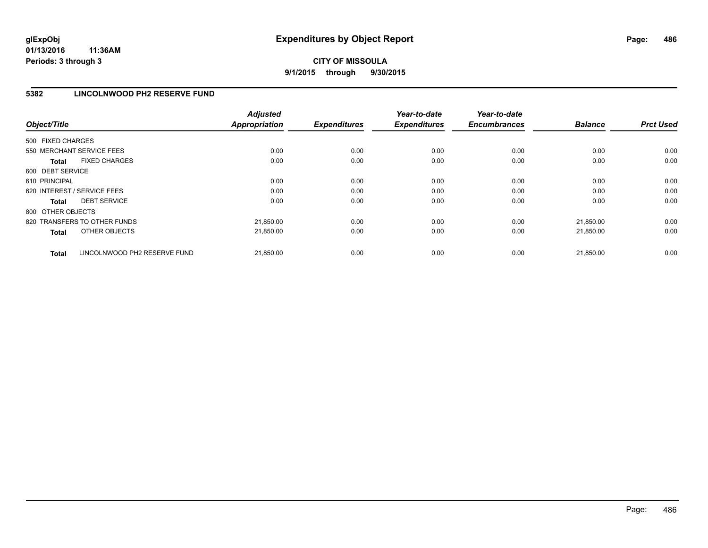# **CITY OF MISSOULA 9/1/2015 through 9/30/2015**

### **5382 LINCOLNWOOD PH2 RESERVE FUND**

| Object/Title                          | <b>Adjusted</b><br>Appropriation | <b>Expenditures</b> | Year-to-date<br><b>Expenditures</b> | Year-to-date<br><b>Encumbrances</b> | <b>Balance</b> | <b>Prct Used</b> |
|---------------------------------------|----------------------------------|---------------------|-------------------------------------|-------------------------------------|----------------|------------------|
| 500 FIXED CHARGES                     |                                  |                     |                                     |                                     |                |                  |
| 550 MERCHANT SERVICE FEES             | 0.00                             | 0.00                | 0.00                                | 0.00                                | 0.00           | 0.00             |
| <b>FIXED CHARGES</b><br><b>Total</b>  | 0.00                             | 0.00                | 0.00                                | 0.00                                | 0.00           | 0.00             |
| 600 DEBT SERVICE                      |                                  |                     |                                     |                                     |                |                  |
| 610 PRINCIPAL                         | 0.00                             | 0.00                | 0.00                                | 0.00                                | 0.00           | 0.00             |
| 620 INTEREST / SERVICE FEES           | 0.00                             | 0.00                | 0.00                                | 0.00                                | 0.00           | 0.00             |
| <b>DEBT SERVICE</b><br><b>Total</b>   | 0.00                             | 0.00                | 0.00                                | 0.00                                | 0.00           | 0.00             |
| 800 OTHER OBJECTS                     |                                  |                     |                                     |                                     |                |                  |
| 820 TRANSFERS TO OTHER FUNDS          | 21,850.00                        | 0.00                | 0.00                                | 0.00                                | 21.850.00      | 0.00             |
| OTHER OBJECTS<br><b>Total</b>         | 21,850.00                        | 0.00                | 0.00                                | 0.00                                | 21,850.00      | 0.00             |
| LINCOLNWOOD PH2 RESERVE FUND<br>Total | 21,850.00                        | 0.00                | 0.00                                | 0.00                                | 21.850.00      | 0.00             |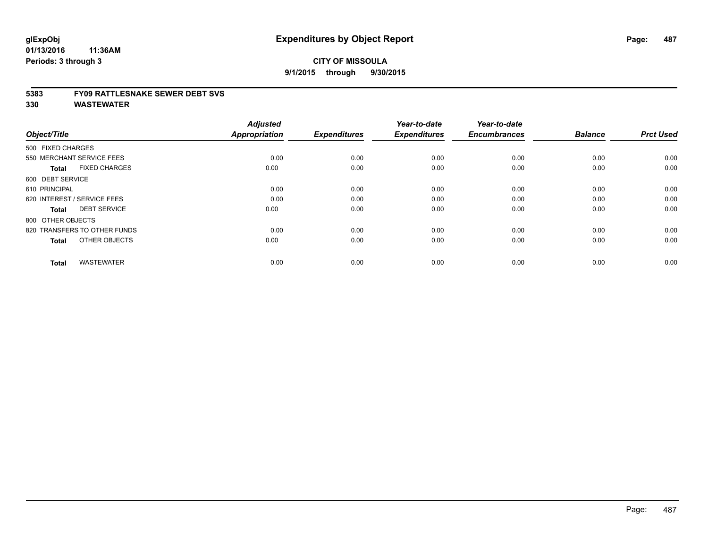#### **5383 FY09 RATTLESNAKE SEWER DEBT SVS**

| Object/Title                         | <b>Adjusted</b><br><b>Appropriation</b> | <b>Expenditures</b> | Year-to-date<br><b>Expenditures</b> | Year-to-date<br><b>Encumbrances</b> | <b>Balance</b> | <b>Prct Used</b> |
|--------------------------------------|-----------------------------------------|---------------------|-------------------------------------|-------------------------------------|----------------|------------------|
| 500 FIXED CHARGES                    |                                         |                     |                                     |                                     |                |                  |
| 550 MERCHANT SERVICE FEES            | 0.00                                    | 0.00                | 0.00                                | 0.00                                | 0.00           | 0.00             |
| <b>FIXED CHARGES</b><br><b>Total</b> | 0.00                                    | 0.00                | 0.00                                | 0.00                                | 0.00           | 0.00             |
| 600 DEBT SERVICE                     |                                         |                     |                                     |                                     |                |                  |
| 610 PRINCIPAL                        | 0.00                                    | 0.00                | 0.00                                | 0.00                                | 0.00           | 0.00             |
| 620 INTEREST / SERVICE FEES          | 0.00                                    | 0.00                | 0.00                                | 0.00                                | 0.00           | 0.00             |
| <b>DEBT SERVICE</b><br><b>Total</b>  | 0.00                                    | 0.00                | 0.00                                | 0.00                                | 0.00           | 0.00             |
| 800 OTHER OBJECTS                    |                                         |                     |                                     |                                     |                |                  |
| 820 TRANSFERS TO OTHER FUNDS         | 0.00                                    | 0.00                | 0.00                                | 0.00                                | 0.00           | 0.00             |
| OTHER OBJECTS<br><b>Total</b>        | 0.00                                    | 0.00                | 0.00                                | 0.00                                | 0.00           | 0.00             |
|                                      |                                         |                     |                                     |                                     |                |                  |
| <b>WASTEWATER</b><br><b>Total</b>    | 0.00                                    | 0.00                | 0.00                                | 0.00                                | 0.00           | 0.00             |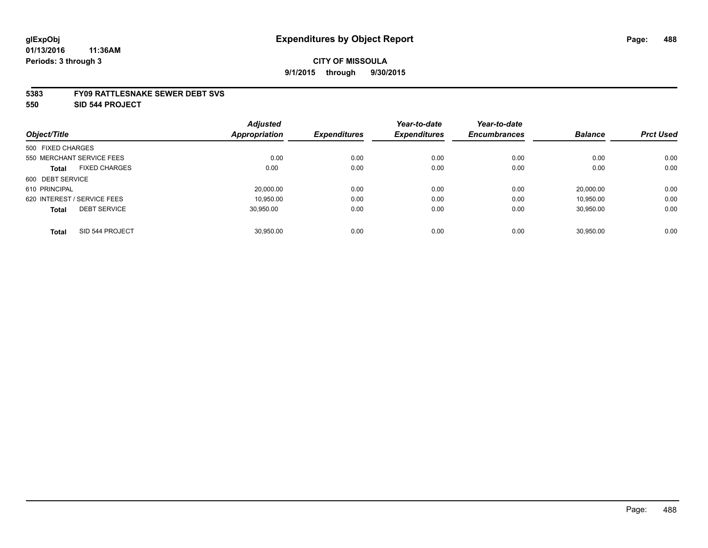#### **5383 FY09 RATTLESNAKE SEWER DEBT SVS**

**550 SID 544 PROJECT**

|                                      | <b>Adjusted</b>      |                     | Year-to-date        | Year-to-date        |                |                  |
|--------------------------------------|----------------------|---------------------|---------------------|---------------------|----------------|------------------|
| Object/Title                         | <b>Appropriation</b> | <b>Expenditures</b> | <b>Expenditures</b> | <b>Encumbrances</b> | <b>Balance</b> | <b>Prct Used</b> |
| 500 FIXED CHARGES                    |                      |                     |                     |                     |                |                  |
| 550 MERCHANT SERVICE FEES            | 0.00                 | 0.00                | 0.00                | 0.00                | 0.00           | 0.00             |
| <b>FIXED CHARGES</b><br><b>Total</b> | 0.00                 | 0.00                | 0.00                | 0.00                | 0.00           | 0.00             |
| 600 DEBT SERVICE                     |                      |                     |                     |                     |                |                  |
| 610 PRINCIPAL                        | 20,000.00            | 0.00                | 0.00                | 0.00                | 20.000.00      | 0.00             |
| 620 INTEREST / SERVICE FEES          | 10.950.00            | 0.00                | 0.00                | 0.00                | 10.950.00      | 0.00             |
| <b>DEBT SERVICE</b><br><b>Total</b>  | 30.950.00            | 0.00                | 0.00                | 0.00                | 30,950.00      | 0.00             |
| SID 544 PROJECT<br><b>Total</b>      | 30.950.00            | 0.00                | 0.00                | 0.00                | 30.950.00      | 0.00             |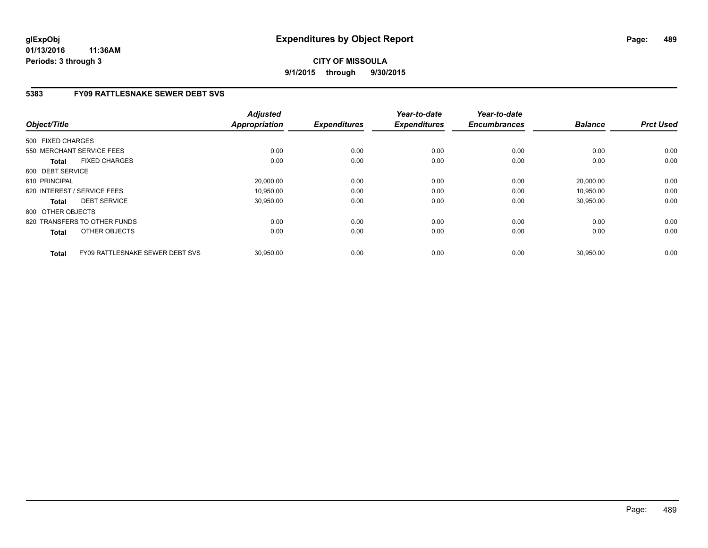# **5383 FY09 RATTLESNAKE SEWER DEBT SVS**

| Object/Title                                    | <b>Adjusted</b><br><b>Appropriation</b> | <b>Expenditures</b> | Year-to-date<br><b>Expenditures</b> | Year-to-date<br><b>Encumbrances</b> | <b>Balance</b> | <b>Prct Used</b> |
|-------------------------------------------------|-----------------------------------------|---------------------|-------------------------------------|-------------------------------------|----------------|------------------|
| 500 FIXED CHARGES                               |                                         |                     |                                     |                                     |                |                  |
| 550 MERCHANT SERVICE FEES                       | 0.00                                    | 0.00                | 0.00                                | 0.00                                | 0.00           | 0.00             |
| <b>FIXED CHARGES</b><br><b>Total</b>            | 0.00                                    | 0.00                | 0.00                                | 0.00                                | 0.00           | 0.00             |
| 600 DEBT SERVICE                                |                                         |                     |                                     |                                     |                |                  |
| 610 PRINCIPAL                                   | 20,000.00                               | 0.00                | 0.00                                | 0.00                                | 20,000.00      | 0.00             |
| 620 INTEREST / SERVICE FEES                     | 10,950.00                               | 0.00                | 0.00                                | 0.00                                | 10,950.00      | 0.00             |
| <b>DEBT SERVICE</b><br><b>Total</b>             | 30,950.00                               | 0.00                | 0.00                                | 0.00                                | 30,950.00      | 0.00             |
| 800 OTHER OBJECTS                               |                                         |                     |                                     |                                     |                |                  |
| 820 TRANSFERS TO OTHER FUNDS                    | 0.00                                    | 0.00                | 0.00                                | 0.00                                | 0.00           | 0.00             |
| OTHER OBJECTS<br><b>Total</b>                   | 0.00                                    | 0.00                | 0.00                                | 0.00                                | 0.00           | 0.00             |
| FY09 RATTLESNAKE SEWER DEBT SVS<br><b>Total</b> | 30,950.00                               | 0.00                | 0.00                                | 0.00                                | 30,950.00      | 0.00             |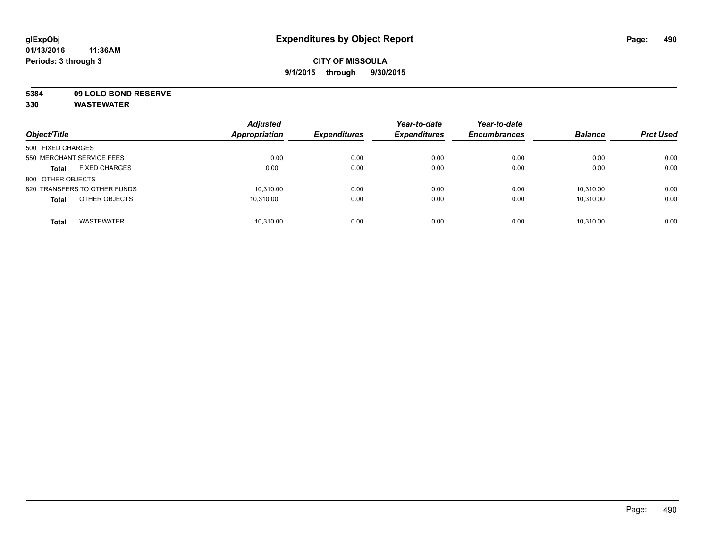**5384 09 LOLO BOND RESERVE**

| Object/Title                         | <b>Adjusted</b><br><b>Appropriation</b> | <b>Expenditures</b> | Year-to-date<br><b>Expenditures</b> | Year-to-date<br><b>Encumbrances</b> | <b>Balance</b> | <b>Prct Used</b> |
|--------------------------------------|-----------------------------------------|---------------------|-------------------------------------|-------------------------------------|----------------|------------------|
| 500 FIXED CHARGES                    |                                         |                     |                                     |                                     |                |                  |
| 550 MERCHANT SERVICE FEES            | 0.00                                    | 0.00                | 0.00                                | 0.00                                | 0.00           | 0.00             |
| <b>FIXED CHARGES</b><br><b>Total</b> | 0.00                                    | 0.00                | 0.00                                | 0.00                                | 0.00           | 0.00             |
| 800 OTHER OBJECTS                    |                                         |                     |                                     |                                     |                |                  |
| 820 TRANSFERS TO OTHER FUNDS         | 10,310.00                               | 0.00                | 0.00                                | 0.00                                | 10.310.00      | 0.00             |
| OTHER OBJECTS<br><b>Total</b>        | 10.310.00                               | 0.00                | 0.00                                | 0.00                                | 10.310.00      | 0.00             |
| <b>WASTEWATER</b><br><b>Total</b>    | 10,310.00                               | 0.00                | 0.00                                | 0.00                                | 10.310.00      | 0.00             |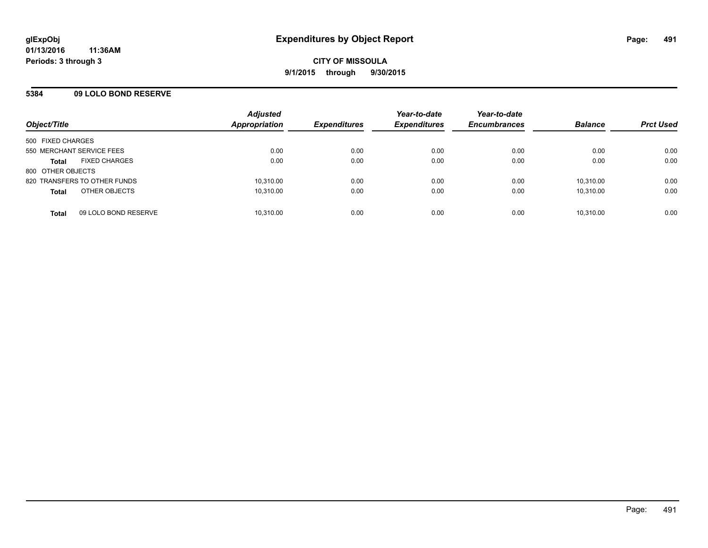## **5384 09 LOLO BOND RESERVE**

| Object/Title                         | <b>Adjusted</b><br><b>Appropriation</b> | <b>Expenditures</b> | Year-to-date<br><b>Expenditures</b> | Year-to-date<br><b>Encumbrances</b> | <b>Balance</b> | <b>Prct Used</b> |
|--------------------------------------|-----------------------------------------|---------------------|-------------------------------------|-------------------------------------|----------------|------------------|
| 500 FIXED CHARGES                    |                                         |                     |                                     |                                     |                |                  |
| 550 MERCHANT SERVICE FEES            | 0.00                                    | 0.00                | 0.00                                | 0.00                                | 0.00           | 0.00             |
| <b>FIXED CHARGES</b><br><b>Total</b> | 0.00                                    | 0.00                | 0.00                                | 0.00                                | 0.00           | 0.00             |
| 800 OTHER OBJECTS                    |                                         |                     |                                     |                                     |                |                  |
| 820 TRANSFERS TO OTHER FUNDS         | 10,310.00                               | 0.00                | 0.00                                | 0.00                                | 10.310.00      | 0.00             |
| OTHER OBJECTS<br><b>Total</b>        | 10,310.00                               | 0.00                | 0.00                                | 0.00                                | 10,310.00      | 0.00             |
| 09 LOLO BOND RESERVE<br><b>Total</b> | 10,310.00                               | 0.00                | 0.00                                | 0.00                                | 10,310.00      | 0.00             |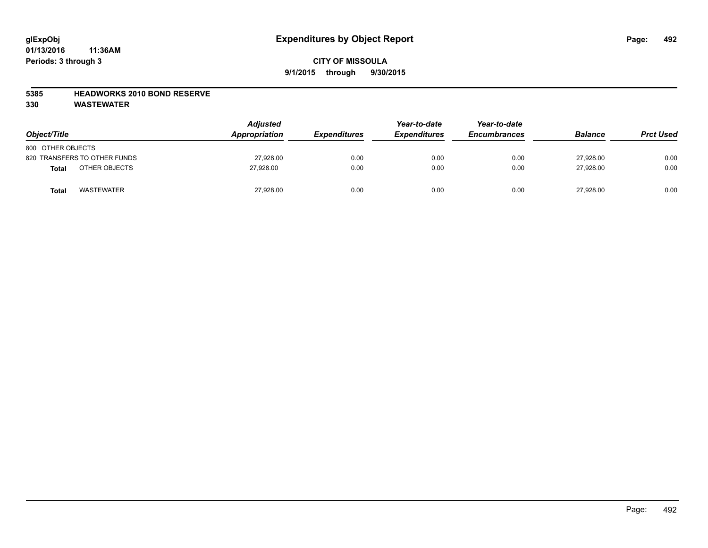### **5385 HEADWORKS 2010 BOND RESERVE**

| Object/Title                 | <b>Adjusted</b><br>Appropriation | <b>Expenditures</b> | Year-to-date<br><b>Expenditures</b> | Year-to-date<br><b>Encumbrances</b> | <b>Balance</b> | <b>Prct Used</b> |
|------------------------------|----------------------------------|---------------------|-------------------------------------|-------------------------------------|----------------|------------------|
| 800 OTHER OBJECTS            |                                  |                     |                                     |                                     |                |                  |
| 820 TRANSFERS TO OTHER FUNDS | 27,928.00                        | 0.00                | 0.00                                | 0.00                                | 27,928.00      | 0.00             |
| OTHER OBJECTS<br>Total       | 27.928.00                        | 0.00                | 0.00                                | 0.00                                | 27.928.00      | 0.00             |
| <b>WASTEWATER</b><br>Total   | 27,928.00                        | 0.00                | 0.00                                | 0.00                                | 27,928.00      | 0.00             |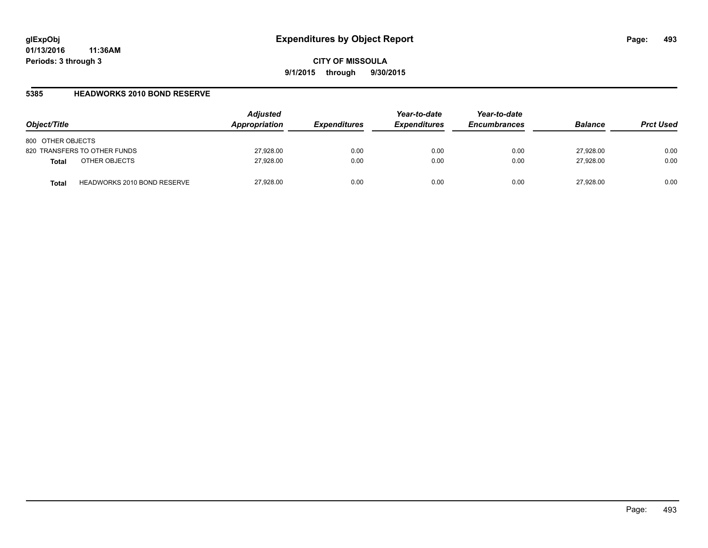### **5385 HEADWORKS 2010 BOND RESERVE**

| Object/Title                                       | <b>Adjusted</b><br>Appropriation | <b>Expenditures</b> | Year-to-date<br><b>Expenditures</b> | Year-to-date<br><b>Encumbrances</b> | <b>Balance</b> | <b>Prct Used</b> |
|----------------------------------------------------|----------------------------------|---------------------|-------------------------------------|-------------------------------------|----------------|------------------|
| 800 OTHER OBJECTS                                  |                                  |                     |                                     |                                     |                |                  |
| 820 TRANSFERS TO OTHER FUNDS                       | 27,928.00                        | 0.00                | 0.00                                | 0.00                                | 27,928.00      | 0.00             |
| OTHER OBJECTS<br><b>Total</b>                      | 27,928.00                        | 0.00                | 0.00                                | 0.00                                | 27.928.00      | 0.00             |
| <b>HEADWORKS 2010 BOND RESERVE</b><br><b>Total</b> | 27,928.00                        | 0.00                | 0.00                                | 0.00                                | 27.928.00      | 0.00             |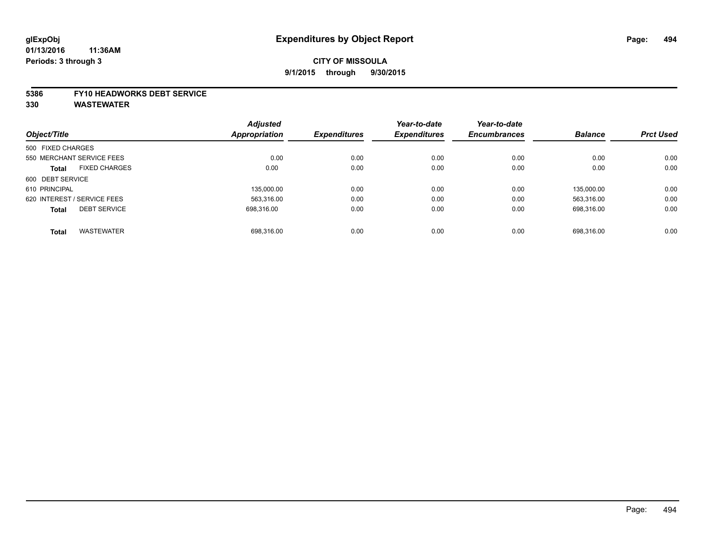#### **5386 FY10 HEADWORKS DEBT SERVICE**

|                                      | <b>Adjusted</b> | <b>Expenditures</b> | Year-to-date        | Year-to-date<br><b>Encumbrances</b> | <b>Balance</b> | <b>Prct Used</b> |
|--------------------------------------|-----------------|---------------------|---------------------|-------------------------------------|----------------|------------------|
| Object/Title                         | Appropriation   |                     | <b>Expenditures</b> |                                     |                |                  |
| 500 FIXED CHARGES                    |                 |                     |                     |                                     |                |                  |
| 550 MERCHANT SERVICE FEES            | 0.00            | 0.00                | 0.00                | 0.00                                | 0.00           | 0.00             |
| <b>FIXED CHARGES</b><br><b>Total</b> | 0.00            | 0.00                | 0.00                | 0.00                                | 0.00           | 0.00             |
| 600 DEBT SERVICE                     |                 |                     |                     |                                     |                |                  |
| 610 PRINCIPAL                        | 135,000.00      | 0.00                | 0.00                | 0.00                                | 135.000.00     | 0.00             |
| 620 INTEREST / SERVICE FEES          | 563,316.00      | 0.00                | 0.00                | 0.00                                | 563.316.00     | 0.00             |
| <b>DEBT SERVICE</b><br><b>Total</b>  | 698.316.00      | 0.00                | 0.00                | 0.00                                | 698.316.00     | 0.00             |
|                                      |                 |                     |                     |                                     |                |                  |
| <b>WASTEWATER</b><br><b>Total</b>    | 698.316.00      | 0.00                | 0.00                | 0.00                                | 698.316.00     | 0.00             |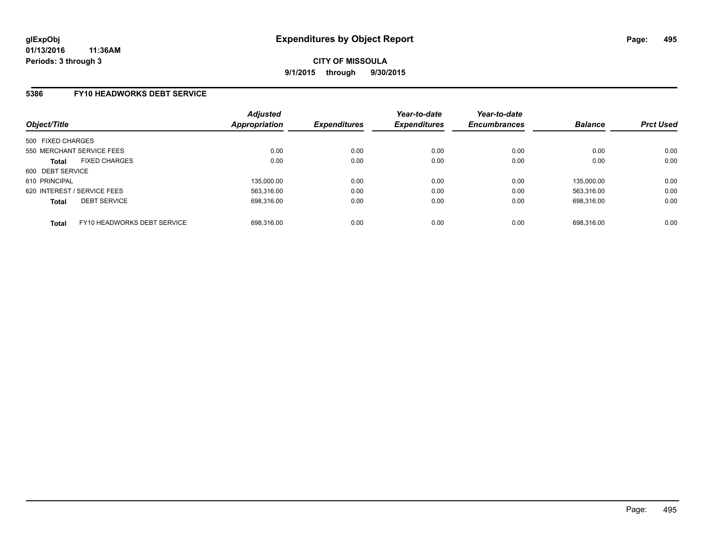### **5386 FY10 HEADWORKS DEBT SERVICE**

| Object/Title                                | <b>Adjusted</b><br>Appropriation | <b>Expenditures</b> | Year-to-date<br><b>Expenditures</b> | Year-to-date<br><b>Encumbrances</b> | <b>Balance</b> | <b>Prct Used</b> |
|---------------------------------------------|----------------------------------|---------------------|-------------------------------------|-------------------------------------|----------------|------------------|
| 500 FIXED CHARGES                           |                                  |                     |                                     |                                     |                |                  |
| 550 MERCHANT SERVICE FEES                   | 0.00                             | 0.00                | 0.00                                | 0.00                                | 0.00           | 0.00             |
| <b>FIXED CHARGES</b><br><b>Total</b>        | 0.00                             | 0.00                | 0.00                                | 0.00                                | 0.00           | 0.00             |
| 600 DEBT SERVICE                            |                                  |                     |                                     |                                     |                |                  |
| 610 PRINCIPAL                               | 135,000.00                       | 0.00                | 0.00                                | 0.00                                | 135.000.00     | 0.00             |
| 620 INTEREST / SERVICE FEES                 | 563.316.00                       | 0.00                | 0.00                                | 0.00                                | 563.316.00     | 0.00             |
| <b>DEBT SERVICE</b><br><b>Total</b>         | 698.316.00                       | 0.00                | 0.00                                | 0.00                                | 698.316.00     | 0.00             |
| FY10 HEADWORKS DEBT SERVICE<br><b>Total</b> | 698.316.00                       | 0.00                | 0.00                                | 0.00                                | 698.316.00     | 0.00             |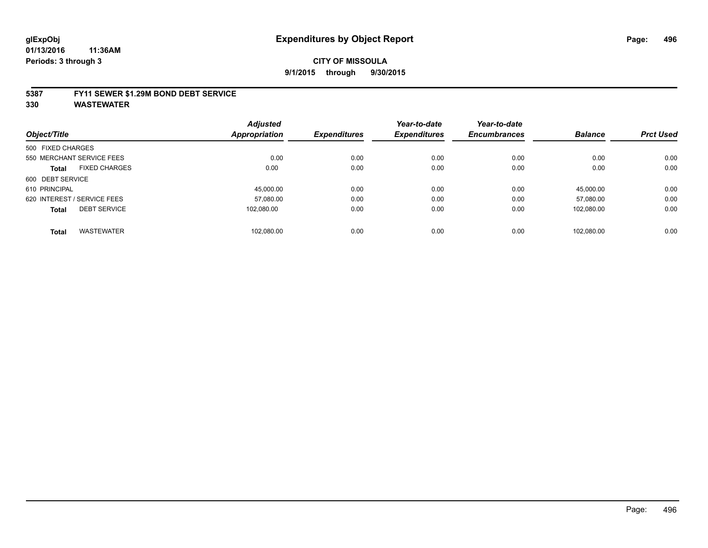#### **5387 FY11 SEWER \$1.29M BOND DEBT SERVICE**

|                   |                             | <b>Adjusted</b>      |                     | Year-to-date        | Year-to-date        |                |                  |
|-------------------|-----------------------------|----------------------|---------------------|---------------------|---------------------|----------------|------------------|
| Object/Title      |                             | <b>Appropriation</b> | <b>Expenditures</b> | <b>Expenditures</b> | <b>Encumbrances</b> | <b>Balance</b> | <b>Prct Used</b> |
| 500 FIXED CHARGES |                             |                      |                     |                     |                     |                |                  |
|                   | 550 MERCHANT SERVICE FEES   | 0.00                 | 0.00                | 0.00                | 0.00                | 0.00           | 0.00             |
| <b>Total</b>      | <b>FIXED CHARGES</b>        | 0.00                 | 0.00                | 0.00                | 0.00                | 0.00           | 0.00             |
| 600 DEBT SERVICE  |                             |                      |                     |                     |                     |                |                  |
| 610 PRINCIPAL     |                             | 45.000.00            | 0.00                | 0.00                | 0.00                | 45.000.00      | 0.00             |
|                   | 620 INTEREST / SERVICE FEES | 57.080.00            | 0.00                | 0.00                | 0.00                | 57.080.00      | 0.00             |
| <b>Total</b>      | <b>DEBT SERVICE</b>         | 102.080.00           | 0.00                | 0.00                | 0.00                | 102.080.00     | 0.00             |
| <b>Total</b>      | <b>WASTEWATER</b>           | 102.080.00           | 0.00                | 0.00                | 0.00                | 102.080.00     | 0.00             |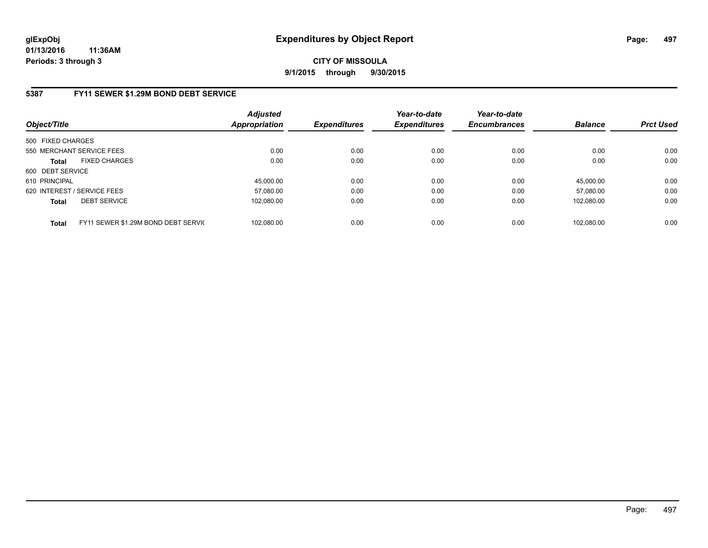**CITY OF MISSOULA 9/1/2015 through 9/30/2015**

## **5387 FY11 SEWER \$1.29M BOND DEBT SERVICE**

| Object/Title                |                                     | <b>Adjusted</b><br><b>Appropriation</b> | <b>Expenditures</b> | Year-to-date<br><b>Expenditures</b> | Year-to-date<br><b>Encumbrances</b> | <b>Balance</b> | <b>Prct Used</b> |
|-----------------------------|-------------------------------------|-----------------------------------------|---------------------|-------------------------------------|-------------------------------------|----------------|------------------|
| 500 FIXED CHARGES           |                                     |                                         |                     |                                     |                                     |                |                  |
| 550 MERCHANT SERVICE FEES   |                                     | 0.00                                    | 0.00                | 0.00                                | 0.00                                | 0.00           | 0.00             |
| <b>Total</b>                | <b>FIXED CHARGES</b>                | 0.00                                    | 0.00                | 0.00                                | 0.00                                | 0.00           | 0.00             |
| 600 DEBT SERVICE            |                                     |                                         |                     |                                     |                                     |                |                  |
| 610 PRINCIPAL               |                                     | 45,000.00                               | 0.00                | 0.00                                | 0.00                                | 45,000.00      | 0.00             |
| 620 INTEREST / SERVICE FEES |                                     | 57.080.00                               | 0.00                | 0.00                                | 0.00                                | 57.080.00      | 0.00             |
| <b>Total</b>                | <b>DEBT SERVICE</b>                 | 102.080.00                              | 0.00                | 0.00                                | 0.00                                | 102.080.00     | 0.00             |
| <b>Total</b>                | FY11 SEWER \$1.29M BOND DEBT SERVIC | 102.080.00                              | 0.00                | 0.00                                | 0.00                                | 102.080.00     | 0.00             |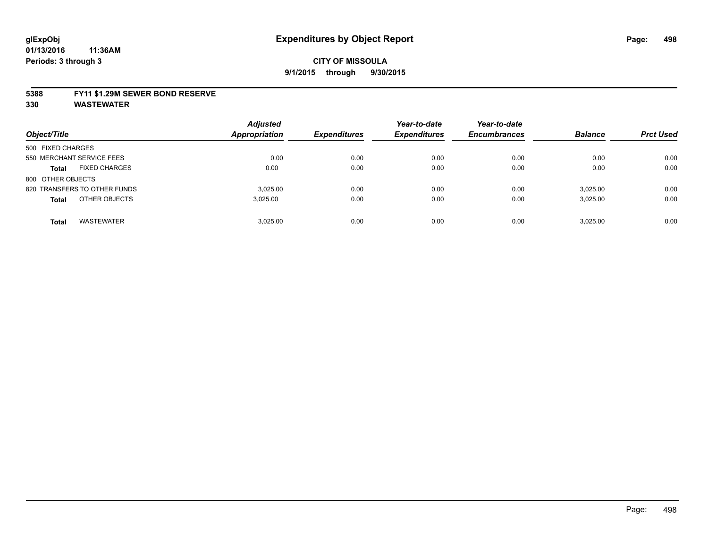#### **5388 FY11 \$1.29M SEWER BOND RESERVE**

| Object/Title                         | <b>Adjusted</b><br><b>Appropriation</b> | <b>Expenditures</b> | Year-to-date<br><b>Expenditures</b> | Year-to-date<br><b>Encumbrances</b> | <b>Balance</b> | <b>Prct Used</b> |
|--------------------------------------|-----------------------------------------|---------------------|-------------------------------------|-------------------------------------|----------------|------------------|
| 500 FIXED CHARGES                    |                                         |                     |                                     |                                     |                |                  |
| 550 MERCHANT SERVICE FEES            | 0.00                                    | 0.00                | 0.00                                | 0.00                                | 0.00           | 0.00             |
| <b>FIXED CHARGES</b><br><b>Total</b> | 0.00                                    | 0.00                | 0.00                                | 0.00                                | 0.00           | 0.00             |
| 800 OTHER OBJECTS                    |                                         |                     |                                     |                                     |                |                  |
| 820 TRANSFERS TO OTHER FUNDS         | 3.025.00                                | 0.00                | 0.00                                | 0.00                                | 3,025.00       | 0.00             |
| OTHER OBJECTS<br><b>Total</b>        | 3,025.00                                | 0.00                | 0.00                                | 0.00                                | 3,025.00       | 0.00             |
| <b>WASTEWATER</b><br><b>Total</b>    | 3.025.00                                | 0.00                | 0.00                                | 0.00                                | 3.025.00       | 0.00             |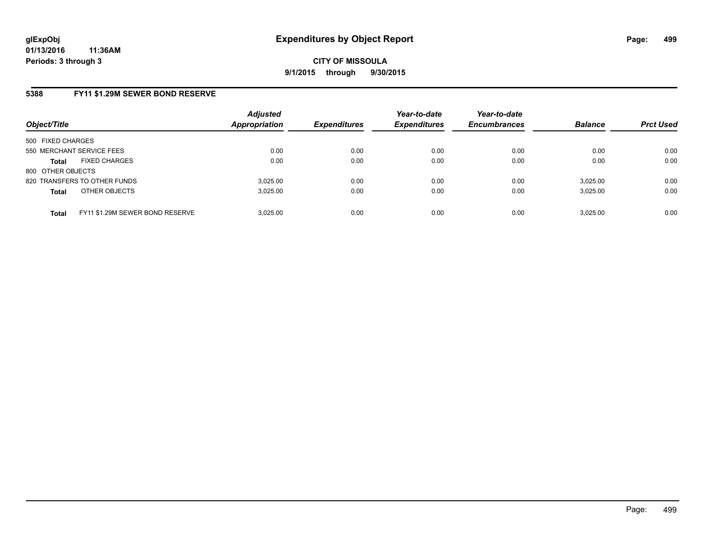### **5388 FY11 \$1.29M SEWER BOND RESERVE**

| Object/Title              |                                 | <b>Adjusted</b><br><b>Appropriation</b> | <b>Expenditures</b> | Year-to-date<br><b>Expenditures</b> | Year-to-date<br><b>Encumbrances</b> | <b>Balance</b> | <b>Prct Used</b> |
|---------------------------|---------------------------------|-----------------------------------------|---------------------|-------------------------------------|-------------------------------------|----------------|------------------|
| 500 FIXED CHARGES         |                                 |                                         |                     |                                     |                                     |                |                  |
| 550 MERCHANT SERVICE FEES |                                 | 0.00                                    | 0.00                | 0.00                                | 0.00                                | 0.00           | 0.00             |
| <b>Total</b>              | <b>FIXED CHARGES</b>            | 0.00                                    | 0.00                | 0.00                                | 0.00                                | 0.00           | 0.00             |
| 800 OTHER OBJECTS         |                                 |                                         |                     |                                     |                                     |                |                  |
|                           | 820 TRANSFERS TO OTHER FUNDS    | 3.025.00                                | 0.00                | 0.00                                | 0.00                                | 3.025.00       | 0.00             |
| <b>Total</b>              | OTHER OBJECTS                   | 3.025.00                                | 0.00                | 0.00                                | 0.00                                | 3,025.00       | 0.00             |
| <b>Total</b>              | FY11 \$1.29M SEWER BOND RESERVE | 3.025.00                                | 0.00                | 0.00                                | 0.00                                | 3.025.00       | 0.00             |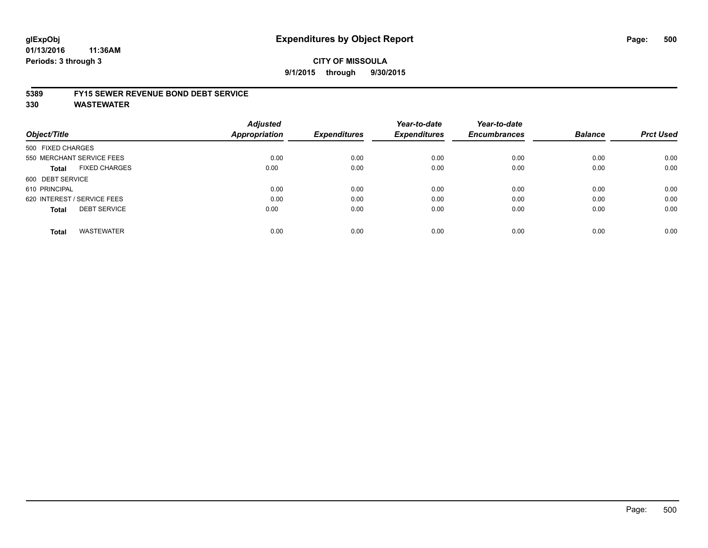#### **5389 FY15 SEWER REVENUE BOND DEBT SERVICE**

| Object/Title                         | <b>Adjusted</b><br><b>Appropriation</b> | <b>Expenditures</b> | Year-to-date<br><b>Expenditures</b> | Year-to-date<br><b>Encumbrances</b> | <b>Balance</b> | <b>Prct Used</b> |
|--------------------------------------|-----------------------------------------|---------------------|-------------------------------------|-------------------------------------|----------------|------------------|
| 500 FIXED CHARGES                    |                                         |                     |                                     |                                     |                |                  |
| 550 MERCHANT SERVICE FEES            | 0.00                                    | 0.00                | 0.00                                | 0.00                                | 0.00           | 0.00             |
| <b>FIXED CHARGES</b><br><b>Total</b> | 0.00                                    | 0.00                | 0.00                                | 0.00                                | 0.00           | 0.00             |
| 600 DEBT SERVICE                     |                                         |                     |                                     |                                     |                |                  |
| 610 PRINCIPAL                        | 0.00                                    | 0.00                | 0.00                                | 0.00                                | 0.00           | 0.00             |
| 620 INTEREST / SERVICE FEES          | 0.00                                    | 0.00                | 0.00                                | 0.00                                | 0.00           | 0.00             |
| <b>DEBT SERVICE</b><br><b>Total</b>  | 0.00                                    | 0.00                | 0.00                                | 0.00                                | 0.00           | 0.00             |
| <b>WASTEWATER</b><br><b>Total</b>    | 0.00                                    | 0.00                | 0.00                                | 0.00                                | 0.00           | 0.00             |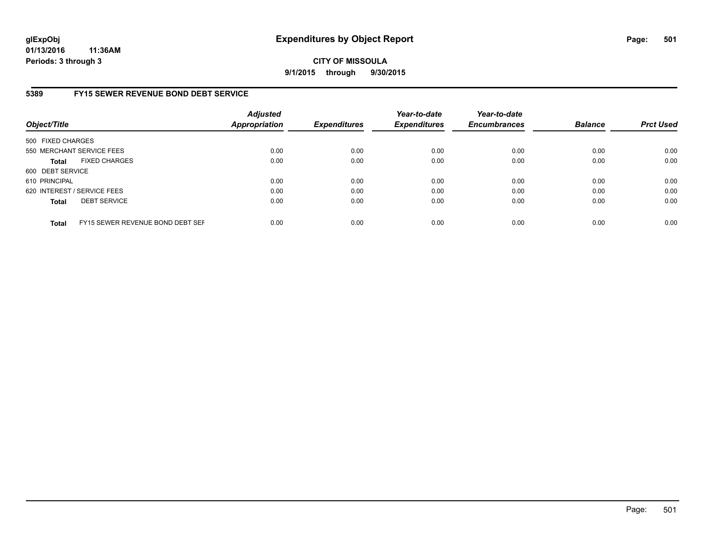## **CITY OF MISSOULA 9/1/2015 through 9/30/2015**

## **5389 FY15 SEWER REVENUE BOND DEBT SERVICE**

| Object/Title      |                                  | <b>Adjusted</b><br><b>Appropriation</b> | <b>Expenditures</b> | Year-to-date<br><b>Expenditures</b> | Year-to-date<br><b>Encumbrances</b> | <b>Balance</b> | <b>Prct Used</b> |
|-------------------|----------------------------------|-----------------------------------------|---------------------|-------------------------------------|-------------------------------------|----------------|------------------|
| 500 FIXED CHARGES |                                  |                                         |                     |                                     |                                     |                |                  |
|                   | 550 MERCHANT SERVICE FEES        | 0.00                                    | 0.00                | 0.00                                | 0.00                                | 0.00           | 0.00             |
| <b>Total</b>      | <b>FIXED CHARGES</b>             | 0.00                                    | 0.00                | 0.00                                | 0.00                                | 0.00           | 0.00             |
| 600 DEBT SERVICE  |                                  |                                         |                     |                                     |                                     |                |                  |
| 610 PRINCIPAL     |                                  | 0.00                                    | 0.00                | 0.00                                | 0.00                                | 0.00           | 0.00             |
|                   | 620 INTEREST / SERVICE FEES      | 0.00                                    | 0.00                | 0.00                                | 0.00                                | 0.00           | 0.00             |
| <b>Total</b>      | <b>DEBT SERVICE</b>              | 0.00                                    | 0.00                | 0.00                                | 0.00                                | 0.00           | 0.00             |
| <b>Total</b>      | FY15 SEWER REVENUE BOND DEBT SEF | 0.00                                    | 0.00                | 0.00                                | 0.00                                | 0.00           | 0.00             |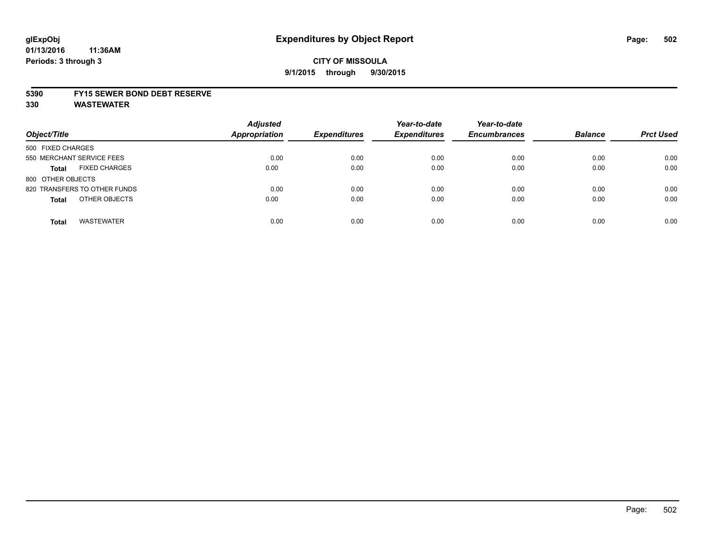#### **5390 FY15 SEWER BOND DEBT RESERVE**

| Object/Title                         | <b>Adjusted</b><br><b>Appropriation</b> | <b>Expenditures</b> | Year-to-date<br><b>Expenditures</b> | Year-to-date<br><b>Encumbrances</b> | <b>Balance</b> | <b>Prct Used</b> |
|--------------------------------------|-----------------------------------------|---------------------|-------------------------------------|-------------------------------------|----------------|------------------|
| 500 FIXED CHARGES                    |                                         |                     |                                     |                                     |                |                  |
| 550 MERCHANT SERVICE FEES            | 0.00                                    | 0.00                | 0.00                                | 0.00                                | 0.00           | 0.00             |
| <b>FIXED CHARGES</b><br><b>Total</b> | 0.00                                    | 0.00                | 0.00                                | 0.00                                | 0.00           | 0.00             |
| 800 OTHER OBJECTS                    |                                         |                     |                                     |                                     |                |                  |
| 820 TRANSFERS TO OTHER FUNDS         | 0.00                                    | 0.00                | 0.00                                | 0.00                                | 0.00           | 0.00             |
| OTHER OBJECTS<br><b>Total</b>        | 0.00                                    | 0.00                | 0.00                                | 0.00                                | 0.00           | 0.00             |
| <b>WASTEWATER</b><br><b>Total</b>    | 0.00                                    | 0.00                | 0.00                                | 0.00                                | 0.00           | 0.00             |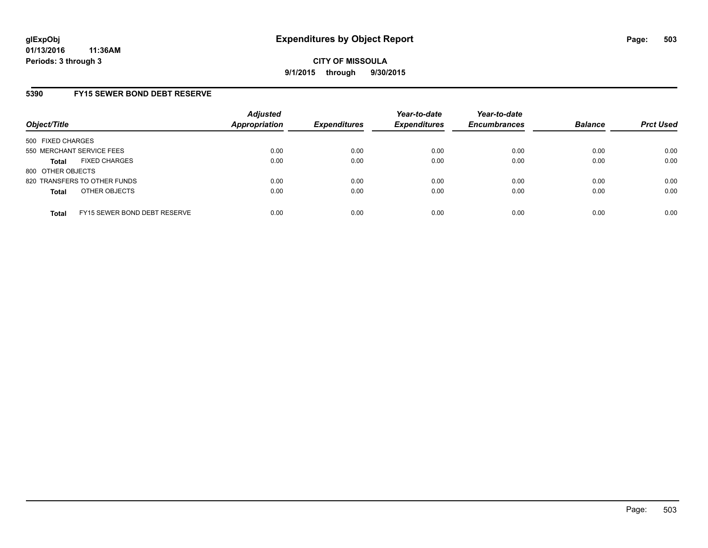# **5390 FY15 SEWER BOND DEBT RESERVE**

| Object/Title              |                              | <b>Adjusted</b><br>Appropriation | <b>Expenditures</b> | Year-to-date<br><b>Expenditures</b> | Year-to-date<br><b>Encumbrances</b> | <b>Balance</b> | <b>Prct Used</b> |
|---------------------------|------------------------------|----------------------------------|---------------------|-------------------------------------|-------------------------------------|----------------|------------------|
| 500 FIXED CHARGES         |                              |                                  |                     |                                     |                                     |                |                  |
| 550 MERCHANT SERVICE FEES |                              | 0.00                             | 0.00                | 0.00                                | 0.00                                | 0.00           | 0.00             |
| <b>Total</b>              | <b>FIXED CHARGES</b>         | 0.00                             | 0.00                | 0.00                                | 0.00                                | 0.00           | 0.00             |
| 800 OTHER OBJECTS         |                              |                                  |                     |                                     |                                     |                |                  |
|                           | 820 TRANSFERS TO OTHER FUNDS | 0.00                             | 0.00                | 0.00                                | 0.00                                | 0.00           | 0.00             |
| <b>Total</b>              | OTHER OBJECTS                | 0.00                             | 0.00                | 0.00                                | 0.00                                | 0.00           | 0.00             |
| <b>Total</b>              | FY15 SEWER BOND DEBT RESERVE | 0.00                             | 0.00                | 0.00                                | 0.00                                | 0.00           | 0.00             |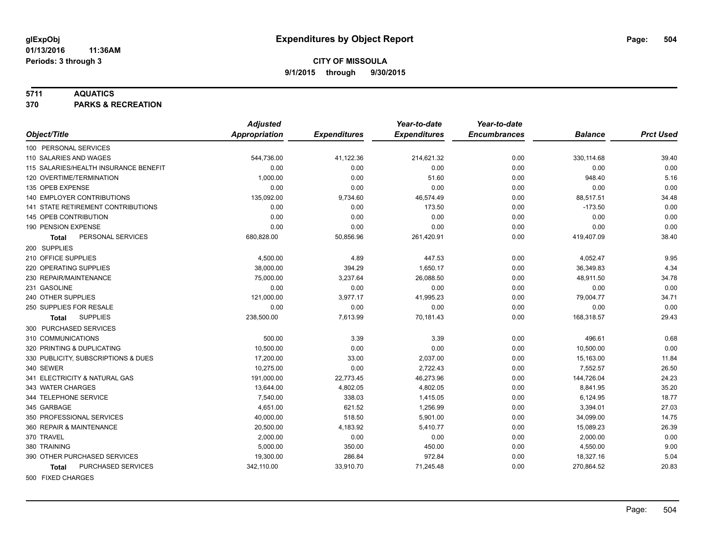#### **5711 AQUATICS**

**370 PARKS & RECREATION**

|                                           | <b>Adjusted</b>      |                     | Year-to-date        | Year-to-date        |                |                  |
|-------------------------------------------|----------------------|---------------------|---------------------|---------------------|----------------|------------------|
| Object/Title                              | <b>Appropriation</b> | <b>Expenditures</b> | <b>Expenditures</b> | <b>Encumbrances</b> | <b>Balance</b> | <b>Prct Used</b> |
| 100 PERSONAL SERVICES                     |                      |                     |                     |                     |                |                  |
| 110 SALARIES AND WAGES                    | 544,736.00           | 41,122.36           | 214,621.32          | 0.00                | 330,114.68     | 39.40            |
| 115 SALARIES/HEALTH INSURANCE BENEFIT     | 0.00                 | 0.00                | 0.00                | 0.00                | 0.00           | 0.00             |
| 120 OVERTIME/TERMINATION                  | 1,000.00             | 0.00                | 51.60               | 0.00                | 948.40         | 5.16             |
| 135 OPEB EXPENSE                          | 0.00                 | 0.00                | 0.00                | 0.00                | 0.00           | 0.00             |
| 140 EMPLOYER CONTRIBUTIONS                | 135,092.00           | 9,734.60            | 46,574.49           | 0.00                | 88,517.51      | 34.48            |
| <b>141 STATE RETIREMENT CONTRIBUTIONS</b> | 0.00                 | 0.00                | 173.50              | 0.00                | $-173.50$      | 0.00             |
| <b>145 OPEB CONTRIBUTION</b>              | 0.00                 | 0.00                | 0.00                | 0.00                | 0.00           | 0.00             |
| 190 PENSION EXPENSE                       | 0.00                 | 0.00                | 0.00                | 0.00                | 0.00           | 0.00             |
| PERSONAL SERVICES<br>Total                | 680,828.00           | 50,856.96           | 261,420.91          | 0.00                | 419,407.09     | 38.40            |
| 200 SUPPLIES                              |                      |                     |                     |                     |                |                  |
| 210 OFFICE SUPPLIES                       | 4,500.00             | 4.89                | 447.53              | 0.00                | 4,052.47       | 9.95             |
| 220 OPERATING SUPPLIES                    | 38,000.00            | 394.29              | 1,650.17            | 0.00                | 36,349.83      | 4.34             |
| 230 REPAIR/MAINTENANCE                    | 75,000.00            | 3,237.64            | 26,088.50           | 0.00                | 48,911.50      | 34.78            |
| 231 GASOLINE                              | 0.00                 | 0.00                | 0.00                | 0.00                | 0.00           | 0.00             |
| 240 OTHER SUPPLIES                        | 121,000.00           | 3,977.17            | 41,995.23           | 0.00                | 79,004.77      | 34.71            |
| 250 SUPPLIES FOR RESALE                   | 0.00                 | 0.00                | 0.00                | 0.00                | 0.00           | 0.00             |
| <b>SUPPLIES</b><br><b>Total</b>           | 238,500.00           | 7,613.99            | 70,181.43           | 0.00                | 168,318.57     | 29.43            |
| 300 PURCHASED SERVICES                    |                      |                     |                     |                     |                |                  |
| 310 COMMUNICATIONS                        | 500.00               | 3.39                | 3.39                | 0.00                | 496.61         | 0.68             |
| 320 PRINTING & DUPLICATING                | 10,500.00            | 0.00                | 0.00                | 0.00                | 10,500.00      | 0.00             |
| 330 PUBLICITY, SUBSCRIPTIONS & DUES       | 17,200.00            | 33.00               | 2,037.00            | 0.00                | 15,163.00      | 11.84            |
| 340 SEWER                                 | 10,275.00            | 0.00                | 2,722.43            | 0.00                | 7,552.57       | 26.50            |
| 341 ELECTRICITY & NATURAL GAS             | 191,000.00           | 22,773.45           | 46,273.96           | 0.00                | 144,726.04     | 24.23            |
| 343 WATER CHARGES                         | 13,644.00            | 4,802.05            | 4,802.05            | 0.00                | 8,841.95       | 35.20            |
| 344 TELEPHONE SERVICE                     | 7,540.00             | 338.03              | 1,415.05            | 0.00                | 6,124.95       | 18.77            |
| 345 GARBAGE                               | 4,651.00             | 621.52              | 1,256.99            | 0.00                | 3,394.01       | 27.03            |
| 350 PROFESSIONAL SERVICES                 | 40,000.00            | 518.50              | 5,901.00            | 0.00                | 34,099.00      | 14.75            |
| 360 REPAIR & MAINTENANCE                  | 20,500.00            | 4,183.92            | 5,410.77            | 0.00                | 15,089.23      | 26.39            |
| 370 TRAVEL                                | 2,000.00             | 0.00                | 0.00                | 0.00                | 2,000.00       | 0.00             |
| 380 TRAINING                              | 5,000.00             | 350.00              | 450.00              | 0.00                | 4,550.00       | 9.00             |
| 390 OTHER PURCHASED SERVICES              | 19,300.00            | 286.84              | 972.84              | 0.00                | 18,327.16      | 5.04             |
| PURCHASED SERVICES<br>Total               | 342,110.00           | 33,910.70           | 71,245.48           | 0.00                | 270,864.52     | 20.83            |
| 500 FIXED CHARGES                         |                      |                     |                     |                     |                |                  |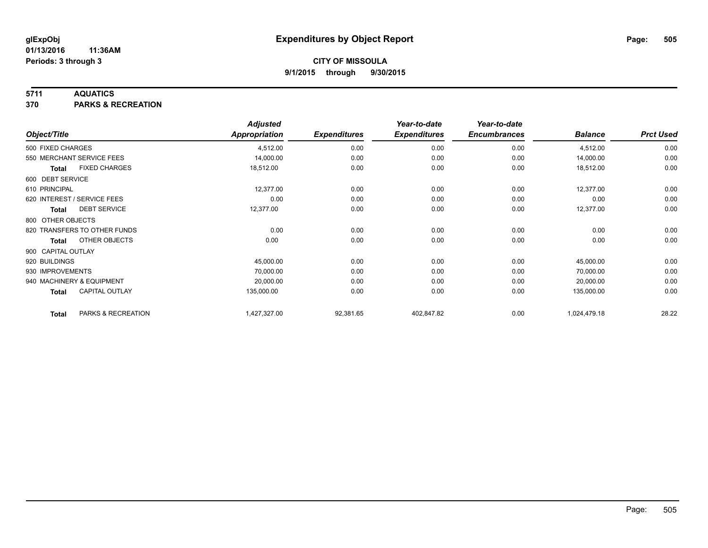### **5711 AQUATICS**

**370 PARKS & RECREATION**

|                    |                              | <b>Adjusted</b> |                     | Year-to-date        | Year-to-date        |                |                  |
|--------------------|------------------------------|-----------------|---------------------|---------------------|---------------------|----------------|------------------|
| Object/Title       |                              | Appropriation   | <b>Expenditures</b> | <b>Expenditures</b> | <b>Encumbrances</b> | <b>Balance</b> | <b>Prct Used</b> |
| 500 FIXED CHARGES  |                              | 4,512.00        | 0.00                | 0.00                | 0.00                | 4,512.00       | 0.00             |
|                    | 550 MERCHANT SERVICE FEES    | 14,000.00       | 0.00                | 0.00                | 0.00                | 14,000.00      | 0.00             |
| <b>Total</b>       | <b>FIXED CHARGES</b>         | 18,512.00       | 0.00                | 0.00                | 0.00                | 18,512.00      | 0.00             |
| 600 DEBT SERVICE   |                              |                 |                     |                     |                     |                |                  |
| 610 PRINCIPAL      |                              | 12,377.00       | 0.00                | 0.00                | 0.00                | 12,377.00      | 0.00             |
|                    | 620 INTEREST / SERVICE FEES  | 0.00            | 0.00                | 0.00                | 0.00                | 0.00           | 0.00             |
| Total              | <b>DEBT SERVICE</b>          | 12,377.00       | 0.00                | 0.00                | 0.00                | 12,377.00      | 0.00             |
| 800 OTHER OBJECTS  |                              |                 |                     |                     |                     |                |                  |
|                    | 820 TRANSFERS TO OTHER FUNDS | 0.00            | 0.00                | 0.00                | 0.00                | 0.00           | 0.00             |
| Total              | OTHER OBJECTS                | 0.00            | 0.00                | 0.00                | 0.00                | 0.00           | 0.00             |
| 900 CAPITAL OUTLAY |                              |                 |                     |                     |                     |                |                  |
| 920 BUILDINGS      |                              | 45,000.00       | 0.00                | 0.00                | 0.00                | 45,000.00      | 0.00             |
| 930 IMPROVEMENTS   |                              | 70,000.00       | 0.00                | 0.00                | 0.00                | 70,000.00      | 0.00             |
|                    | 940 MACHINERY & EQUIPMENT    | 20,000.00       | 0.00                | 0.00                | 0.00                | 20,000.00      | 0.00             |
| <b>Total</b>       | <b>CAPITAL OUTLAY</b>        | 135,000.00      | 0.00                | 0.00                | 0.00                | 135,000.00     | 0.00             |
| <b>Total</b>       | PARKS & RECREATION           | 1,427,327.00    | 92,381.65           | 402,847.82          | 0.00                | 1,024,479.18   | 28.22            |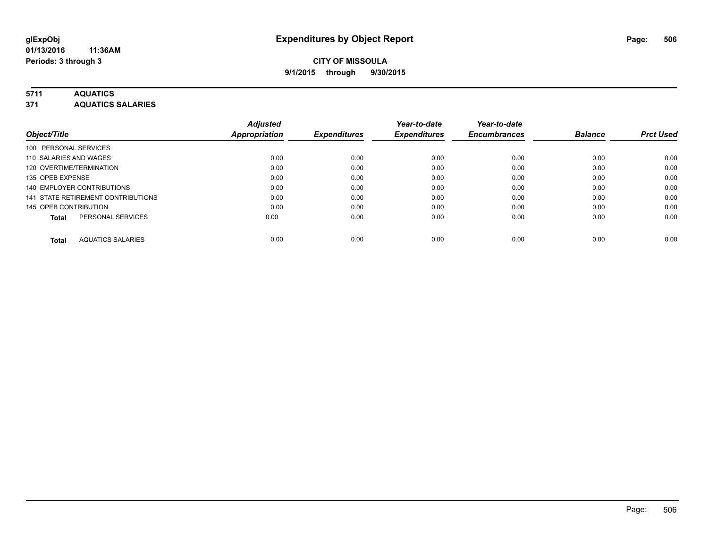## **5711 AQUATICS**

**371 AQUATICS SALARIES**

| Object/Title                             | <b>Adjusted</b><br><b>Appropriation</b> | <b>Expenditures</b> | Year-to-date<br><b>Expenditures</b> | Year-to-date<br><b>Encumbrances</b> | <b>Balance</b> | <b>Prct Used</b> |
|------------------------------------------|-----------------------------------------|---------------------|-------------------------------------|-------------------------------------|----------------|------------------|
| 100 PERSONAL SERVICES                    |                                         |                     |                                     |                                     |                |                  |
| 110 SALARIES AND WAGES                   | 0.00                                    | 0.00                | 0.00                                | 0.00                                | 0.00           | 0.00             |
| 120 OVERTIME/TERMINATION                 | 0.00                                    | 0.00                | 0.00                                | 0.00                                | 0.00           | 0.00             |
| 135 OPEB EXPENSE                         | 0.00                                    | 0.00                | 0.00                                | 0.00                                | 0.00           | 0.00             |
| 140 EMPLOYER CONTRIBUTIONS               | 0.00                                    | 0.00                | 0.00                                | 0.00                                | 0.00           | 0.00             |
| 141 STATE RETIREMENT CONTRIBUTIONS       | 0.00                                    | 0.00                | 0.00                                | 0.00                                | 0.00           | 0.00             |
| 145 OPEB CONTRIBUTION                    | 0.00                                    | 0.00                | 0.00                                | 0.00                                | 0.00           | 0.00             |
| PERSONAL SERVICES<br><b>Total</b>        | 0.00                                    | 0.00                | 0.00                                | 0.00                                | 0.00           | 0.00             |
| <b>AQUATICS SALARIES</b><br><b>Total</b> | 0.00                                    | 0.00                | 0.00                                | 0.00                                | 0.00           | 0.00             |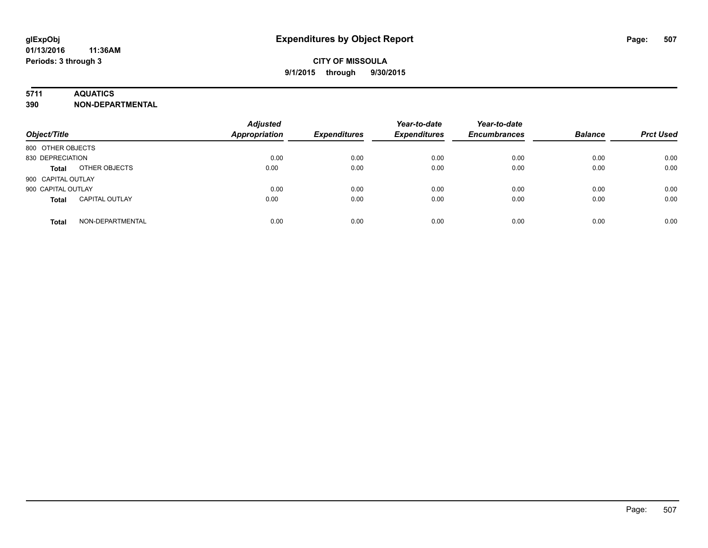## **5711 AQUATICS**

**390 NON-DEPARTMENTAL**

| Object/Title                          | <b>Adjusted</b><br><b>Appropriation</b> | <b>Expenditures</b> | Year-to-date<br><b>Expenditures</b> | Year-to-date<br><b>Encumbrances</b> | <b>Balance</b> | <b>Prct Used</b> |
|---------------------------------------|-----------------------------------------|---------------------|-------------------------------------|-------------------------------------|----------------|------------------|
| 800 OTHER OBJECTS                     |                                         |                     |                                     |                                     |                |                  |
| 830 DEPRECIATION                      | 0.00                                    | 0.00                | 0.00                                | 0.00                                | 0.00           | 0.00             |
| OTHER OBJECTS<br><b>Total</b>         | 0.00                                    | 0.00                | 0.00                                | 0.00                                | 0.00           | 0.00             |
| 900 CAPITAL OUTLAY                    |                                         |                     |                                     |                                     |                |                  |
| 900 CAPITAL OUTLAY                    | 0.00                                    | 0.00                | 0.00                                | 0.00                                | 0.00           | 0.00             |
| <b>CAPITAL OUTLAY</b><br><b>Total</b> | 0.00                                    | 0.00                | 0.00                                | 0.00                                | 0.00           | 0.00             |
| NON-DEPARTMENTAL<br><b>Total</b>      | 0.00                                    | 0.00                | 0.00                                | 0.00                                | 0.00           | 0.00             |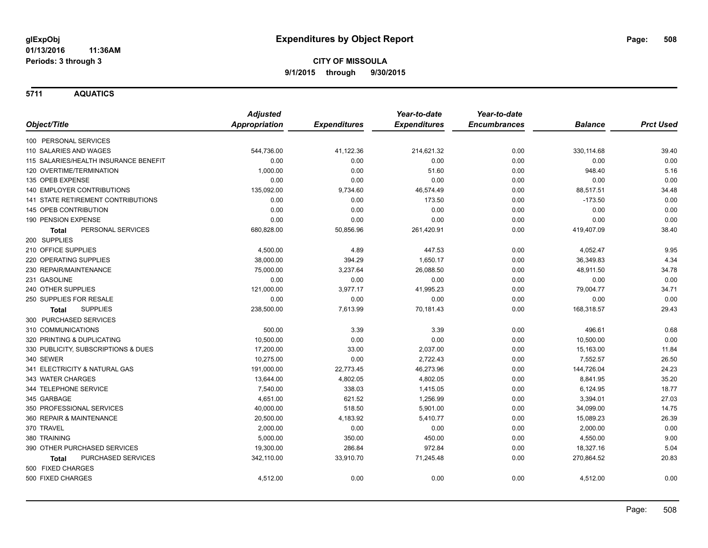**5711 AQUATICS**

|                                           | <b>Adjusted</b>      |                     | Year-to-date        | Year-to-date        |                |                  |
|-------------------------------------------|----------------------|---------------------|---------------------|---------------------|----------------|------------------|
| Object/Title                              | <b>Appropriation</b> | <b>Expenditures</b> | <b>Expenditures</b> | <b>Encumbrances</b> | <b>Balance</b> | <b>Prct Used</b> |
| 100 PERSONAL SERVICES                     |                      |                     |                     |                     |                |                  |
| 110 SALARIES AND WAGES                    | 544,736.00           | 41,122.36           | 214,621.32          | 0.00                | 330,114.68     | 39.40            |
| 115 SALARIES/HEALTH INSURANCE BENEFIT     | 0.00                 | 0.00                | 0.00                | 0.00                | 0.00           | 0.00             |
| 120 OVERTIME/TERMINATION                  | 1,000.00             | 0.00                | 51.60               | 0.00                | 948.40         | 5.16             |
| 135 OPEB EXPENSE                          | 0.00                 | 0.00                | 0.00                | 0.00                | 0.00           | 0.00             |
| 140 EMPLOYER CONTRIBUTIONS                | 135,092.00           | 9,734.60            | 46,574.49           | 0.00                | 88,517.51      | 34.48            |
| <b>141 STATE RETIREMENT CONTRIBUTIONS</b> | 0.00                 | 0.00                | 173.50              | 0.00                | $-173.50$      | 0.00             |
| 145 OPEB CONTRIBUTION                     | 0.00                 | 0.00                | 0.00                | 0.00                | 0.00           | 0.00             |
| 190 PENSION EXPENSE                       | 0.00                 | 0.00                | 0.00                | 0.00                | 0.00           | 0.00             |
| PERSONAL SERVICES<br>Total                | 680,828.00           | 50,856.96           | 261,420.91          | 0.00                | 419,407.09     | 38.40            |
| 200 SUPPLIES                              |                      |                     |                     |                     |                |                  |
| 210 OFFICE SUPPLIES                       | 4,500.00             | 4.89                | 447.53              | 0.00                | 4,052.47       | 9.95             |
| 220 OPERATING SUPPLIES                    | 38,000.00            | 394.29              | 1,650.17            | 0.00                | 36,349.83      | 4.34             |
| 230 REPAIR/MAINTENANCE                    | 75,000.00            | 3,237.64            | 26,088.50           | 0.00                | 48,911.50      | 34.78            |
| 231 GASOLINE                              | 0.00                 | 0.00                | 0.00                | 0.00                | 0.00           | 0.00             |
| 240 OTHER SUPPLIES                        | 121,000.00           | 3,977.17            | 41,995.23           | 0.00                | 79,004.77      | 34.71            |
| 250 SUPPLIES FOR RESALE                   | 0.00                 | 0.00                | 0.00                | 0.00                | 0.00           | 0.00             |
| <b>SUPPLIES</b><br><b>Total</b>           | 238,500.00           | 7,613.99            | 70,181.43           | 0.00                | 168,318.57     | 29.43            |
| 300 PURCHASED SERVICES                    |                      |                     |                     |                     |                |                  |
| 310 COMMUNICATIONS                        | 500.00               | 3.39                | 3.39                | 0.00                | 496.61         | 0.68             |
| 320 PRINTING & DUPLICATING                | 10,500.00            | 0.00                | 0.00                | 0.00                | 10,500.00      | 0.00             |
| 330 PUBLICITY, SUBSCRIPTIONS & DUES       | 17,200.00            | 33.00               | 2,037.00            | 0.00                | 15,163.00      | 11.84            |
| 340 SEWER                                 | 10,275.00            | 0.00                | 2,722.43            | 0.00                | 7,552.57       | 26.50            |
| 341 ELECTRICITY & NATURAL GAS             | 191,000.00           | 22,773.45           | 46,273.96           | 0.00                | 144,726.04     | 24.23            |
| 343 WATER CHARGES                         | 13,644.00            | 4,802.05            | 4,802.05            | 0.00                | 8,841.95       | 35.20            |
| 344 TELEPHONE SERVICE                     | 7,540.00             | 338.03              | 1,415.05            | 0.00                | 6,124.95       | 18.77            |
| 345 GARBAGE                               | 4,651.00             | 621.52              | 1,256.99            | 0.00                | 3,394.01       | 27.03            |
| 350 PROFESSIONAL SERVICES                 | 40,000.00            | 518.50              | 5,901.00            | 0.00                | 34,099.00      | 14.75            |
| 360 REPAIR & MAINTENANCE                  | 20,500.00            | 4,183.92            | 5,410.77            | 0.00                | 15,089.23      | 26.39            |
| 370 TRAVEL                                | 2,000.00             | 0.00                | 0.00                | 0.00                | 2,000.00       | 0.00             |
| 380 TRAINING                              | 5,000.00             | 350.00              | 450.00              | 0.00                | 4,550.00       | 9.00             |
| 390 OTHER PURCHASED SERVICES              | 19,300.00            | 286.84              | 972.84              | 0.00                | 18,327.16      | 5.04             |
| <b>PURCHASED SERVICES</b><br><b>Total</b> | 342,110.00           | 33,910.70           | 71,245.48           | 0.00                | 270,864.52     | 20.83            |
| 500 FIXED CHARGES                         |                      |                     |                     |                     |                |                  |
| 500 FIXED CHARGES                         | 4,512.00             | 0.00                | 0.00                | 0.00                | 4,512.00       | 0.00             |
|                                           |                      |                     |                     |                     |                |                  |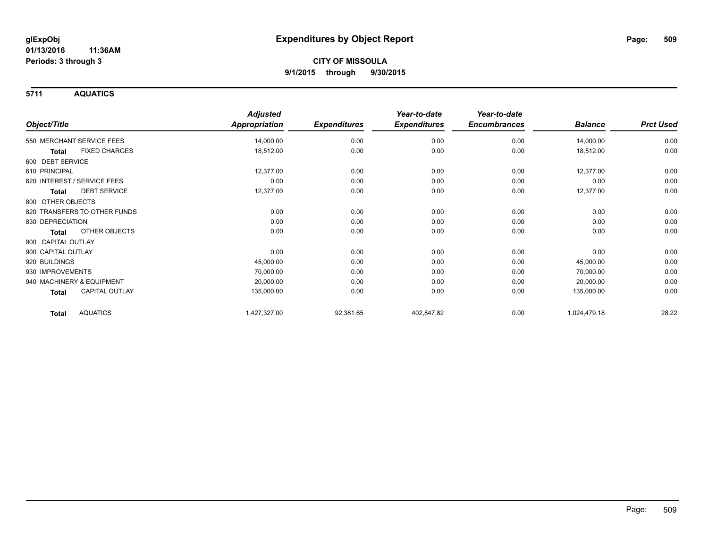**5711 AQUATICS**

|                                 | <b>Adjusted</b>      |                     | Year-to-date        | Year-to-date        |                |                  |
|---------------------------------|----------------------|---------------------|---------------------|---------------------|----------------|------------------|
| Object/Title                    | <b>Appropriation</b> | <b>Expenditures</b> | <b>Expenditures</b> | <b>Encumbrances</b> | <b>Balance</b> | <b>Prct Used</b> |
| 550 MERCHANT SERVICE FEES       | 14,000.00            | 0.00                | 0.00                | 0.00                | 14,000.00      | 0.00             |
| <b>FIXED CHARGES</b><br>Total   | 18,512.00            | 0.00                | 0.00                | 0.00                | 18,512.00      | 0.00             |
| 600 DEBT SERVICE                |                      |                     |                     |                     |                |                  |
| 610 PRINCIPAL                   | 12,377.00            | 0.00                | 0.00                | 0.00                | 12,377.00      | 0.00             |
| 620 INTEREST / SERVICE FEES     | 0.00                 | 0.00                | 0.00                | 0.00                | 0.00           | 0.00             |
| <b>DEBT SERVICE</b><br>Total    | 12,377.00            | 0.00                | 0.00                | 0.00                | 12,377.00      | 0.00             |
| 800 OTHER OBJECTS               |                      |                     |                     |                     |                |                  |
| 820 TRANSFERS TO OTHER FUNDS    | 0.00                 | 0.00                | 0.00                | 0.00                | 0.00           | 0.00             |
| 830 DEPRECIATION                | 0.00                 | 0.00                | 0.00                | 0.00                | 0.00           | 0.00             |
| OTHER OBJECTS<br>Total          | 0.00                 | 0.00                | 0.00                | 0.00                | 0.00           | 0.00             |
| 900 CAPITAL OUTLAY              |                      |                     |                     |                     |                |                  |
| 900 CAPITAL OUTLAY              | 0.00                 | 0.00                | 0.00                | 0.00                | 0.00           | 0.00             |
| 920 BUILDINGS                   | 45,000.00            | 0.00                | 0.00                | 0.00                | 45,000.00      | 0.00             |
| 930 IMPROVEMENTS                | 70,000.00            | 0.00                | 0.00                | 0.00                | 70,000.00      | 0.00             |
| 940 MACHINERY & EQUIPMENT       | 20,000.00            | 0.00                | 0.00                | 0.00                | 20,000.00      | 0.00             |
| <b>CAPITAL OUTLAY</b><br>Total  | 135,000.00           | 0.00                | 0.00                | 0.00                | 135,000.00     | 0.00             |
| <b>AQUATICS</b><br><b>Total</b> | 1,427,327.00         | 92,381.65           | 402,847.82          | 0.00                | 1,024,479.18   | 28.22            |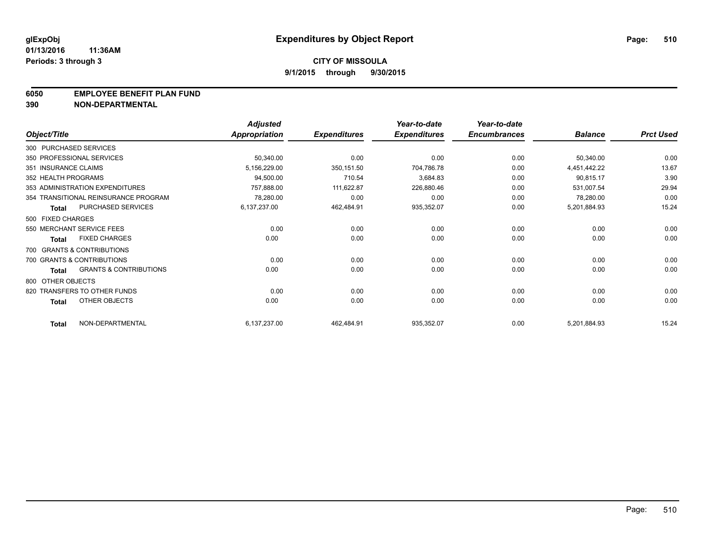#### **6050 EMPLOYEE BENEFIT PLAN FUND**

**390 NON-DEPARTMENTAL**

|                      |                                      | <b>Adjusted</b> |                     | Year-to-date        | Year-to-date        |                |                  |
|----------------------|--------------------------------------|-----------------|---------------------|---------------------|---------------------|----------------|------------------|
| Object/Title         |                                      | Appropriation   | <b>Expenditures</b> | <b>Expenditures</b> | <b>Encumbrances</b> | <b>Balance</b> | <b>Prct Used</b> |
|                      | 300 PURCHASED SERVICES               |                 |                     |                     |                     |                |                  |
|                      | 350 PROFESSIONAL SERVICES            | 50,340.00       | 0.00                | 0.00                | 0.00                | 50,340.00      | 0.00             |
| 351 INSURANCE CLAIMS |                                      | 5,156,229.00    | 350,151.50          | 704,786.78          | 0.00                | 4,451,442.22   | 13.67            |
| 352 HEALTH PROGRAMS  |                                      | 94,500.00       | 710.54              | 3,684.83            | 0.00                | 90,815.17      | 3.90             |
|                      | 353 ADMINISTRATION EXPENDITURES      | 757,888.00      | 111,622.87          | 226,880.46          | 0.00                | 531,007.54     | 29.94            |
|                      | 354 TRANSITIONAL REINSURANCE PROGRAM | 78,280.00       | 0.00                | 0.00                | 0.00                | 78,280.00      | 0.00             |
| <b>Total</b>         | PURCHASED SERVICES                   | 6,137,237.00    | 462,484.91          | 935,352.07          | 0.00                | 5,201,884.93   | 15.24            |
| 500 FIXED CHARGES    |                                      |                 |                     |                     |                     |                |                  |
|                      | 550 MERCHANT SERVICE FEES            | 0.00            | 0.00                | 0.00                | 0.00                | 0.00           | 0.00             |
| <b>Total</b>         | <b>FIXED CHARGES</b>                 | 0.00            | 0.00                | 0.00                | 0.00                | 0.00           | 0.00             |
|                      | 700 GRANTS & CONTRIBUTIONS           |                 |                     |                     |                     |                |                  |
|                      | 700 GRANTS & CONTRIBUTIONS           | 0.00            | 0.00                | 0.00                | 0.00                | 0.00           | 0.00             |
| <b>Total</b>         | <b>GRANTS &amp; CONTRIBUTIONS</b>    | 0.00            | 0.00                | 0.00                | 0.00                | 0.00           | 0.00             |
| 800 OTHER OBJECTS    |                                      |                 |                     |                     |                     |                |                  |
|                      | 820 TRANSFERS TO OTHER FUNDS         | 0.00            | 0.00                | 0.00                | 0.00                | 0.00           | 0.00             |
| <b>Total</b>         | <b>OTHER OBJECTS</b>                 | 0.00            | 0.00                | 0.00                | 0.00                | 0.00           | 0.00             |
| <b>Total</b>         | NON-DEPARTMENTAL                     | 6,137,237.00    | 462,484.91          | 935,352.07          | 0.00                | 5,201,884.93   | 15.24            |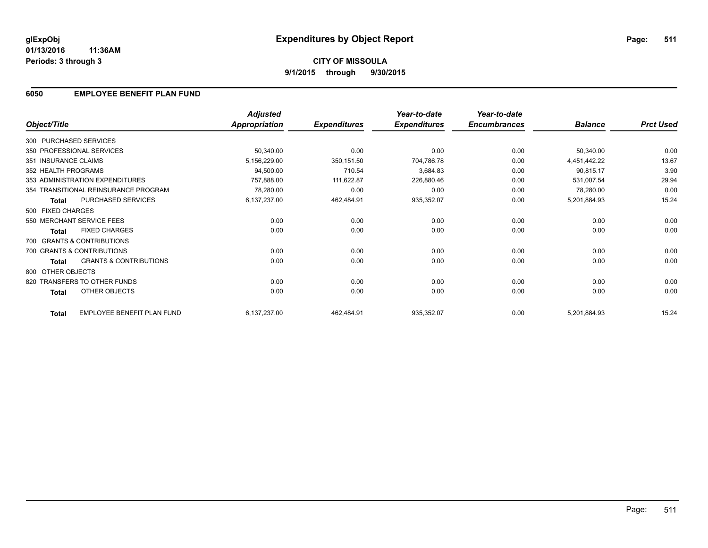**01/13/2016 11:36AM Periods: 3 through 3**

## **6050 EMPLOYEE BENEFIT PLAN FUND**

|                        |                                      | <b>Adjusted</b>      |                     | Year-to-date        | Year-to-date        |                |                  |
|------------------------|--------------------------------------|----------------------|---------------------|---------------------|---------------------|----------------|------------------|
| Object/Title           |                                      | <b>Appropriation</b> | <b>Expenditures</b> | <b>Expenditures</b> | <b>Encumbrances</b> | <b>Balance</b> | <b>Prct Used</b> |
| 300 PURCHASED SERVICES |                                      |                      |                     |                     |                     |                |                  |
|                        | 350 PROFESSIONAL SERVICES            | 50,340.00            | 0.00                | 0.00                | 0.00                | 50,340.00      | 0.00             |
| 351 INSURANCE CLAIMS   |                                      | 5,156,229.00         | 350, 151.50         | 704,786.78          | 0.00                | 4,451,442.22   | 13.67            |
| 352 HEALTH PROGRAMS    |                                      | 94,500.00            | 710.54              | 3,684.83            | 0.00                | 90,815.17      | 3.90             |
|                        | 353 ADMINISTRATION EXPENDITURES      | 757,888.00           | 111,622.87          | 226,880.46          | 0.00                | 531,007.54     | 29.94            |
|                        | 354 TRANSITIONAL REINSURANCE PROGRAM | 78,280.00            | 0.00                | 0.00                | 0.00                | 78,280.00      | 0.00             |
| <b>Total</b>           | <b>PURCHASED SERVICES</b>            | 6,137,237.00         | 462,484.91          | 935,352.07          | 0.00                | 5,201,884.93   | 15.24            |
| 500 FIXED CHARGES      |                                      |                      |                     |                     |                     |                |                  |
|                        | 550 MERCHANT SERVICE FEES            | 0.00                 | 0.00                | 0.00                | 0.00                | 0.00           | 0.00             |
| <b>Total</b>           | <b>FIXED CHARGES</b>                 | 0.00                 | 0.00                | 0.00                | 0.00                | 0.00           | 0.00             |
|                        | 700 GRANTS & CONTRIBUTIONS           |                      |                     |                     |                     |                |                  |
|                        | 700 GRANTS & CONTRIBUTIONS           | 0.00                 | 0.00                | 0.00                | 0.00                | 0.00           | 0.00             |
| Total                  | <b>GRANTS &amp; CONTRIBUTIONS</b>    | 0.00                 | 0.00                | 0.00                | 0.00                | 0.00           | 0.00             |
| 800 OTHER OBJECTS      |                                      |                      |                     |                     |                     |                |                  |
|                        | 820 TRANSFERS TO OTHER FUNDS         | 0.00                 | 0.00                | 0.00                | 0.00                | 0.00           | 0.00             |
| Total                  | OTHER OBJECTS                        | 0.00                 | 0.00                | 0.00                | 0.00                | 0.00           | 0.00             |
| <b>Total</b>           | EMPLOYEE BENEFIT PLAN FUND           | 6,137,237.00         | 462,484.91          | 935,352.07          | 0.00                | 5,201,884.93   | 15.24            |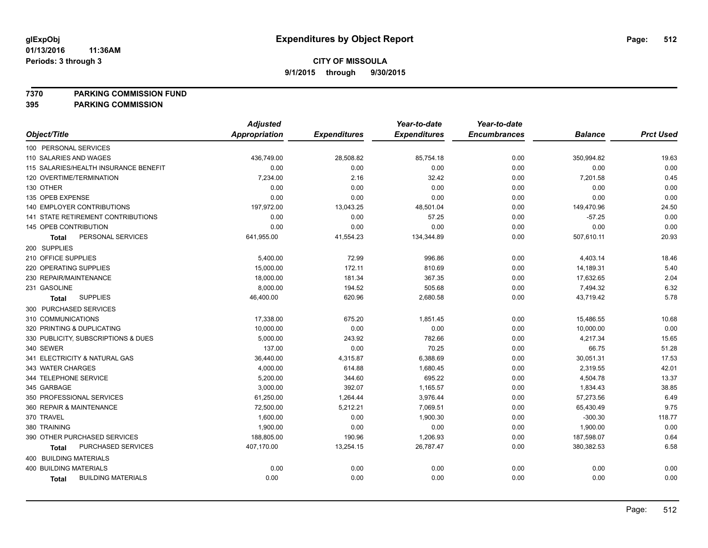**7370 PARKING COMMISSION FUND**

|                                           | <b>Adjusted</b> |                     | Year-to-date        | Year-to-date        |                |                  |
|-------------------------------------------|-----------------|---------------------|---------------------|---------------------|----------------|------------------|
| Object/Title                              | Appropriation   | <b>Expenditures</b> | <b>Expenditures</b> | <b>Encumbrances</b> | <b>Balance</b> | <b>Prct Used</b> |
| 100 PERSONAL SERVICES                     |                 |                     |                     |                     |                |                  |
| 110 SALARIES AND WAGES                    | 436,749.00      | 28,508.82           | 85,754.18           | 0.00                | 350,994.82     | 19.63            |
| 115 SALARIES/HEALTH INSURANCE BENEFIT     | 0.00            | 0.00                | 0.00                | 0.00                | 0.00           | 0.00             |
| 120 OVERTIME/TERMINATION                  | 7,234.00        | 2.16                | 32.42               | 0.00                | 7,201.58       | 0.45             |
| 130 OTHER                                 | 0.00            | 0.00                | 0.00                | 0.00                | 0.00           | 0.00             |
| 135 OPEB EXPENSE                          | 0.00            | 0.00                | 0.00                | 0.00                | 0.00           | 0.00             |
| 140 EMPLOYER CONTRIBUTIONS                | 197,972.00      | 13,043.25           | 48,501.04           | 0.00                | 149,470.96     | 24.50            |
| 141 STATE RETIREMENT CONTRIBUTIONS        | 0.00            | 0.00                | 57.25               | 0.00                | $-57.25$       | 0.00             |
| 145 OPEB CONTRIBUTION                     | 0.00            | 0.00                | 0.00                | 0.00                | 0.00           | 0.00             |
| PERSONAL SERVICES<br><b>Total</b>         | 641,955.00      | 41,554.23           | 134,344.89          | 0.00                | 507,610.11     | 20.93            |
| 200 SUPPLIES                              |                 |                     |                     |                     |                |                  |
| 210 OFFICE SUPPLIES                       | 5,400.00        | 72.99               | 996.86              | 0.00                | 4,403.14       | 18.46            |
| 220 OPERATING SUPPLIES                    | 15,000.00       | 172.11              | 810.69              | 0.00                | 14,189.31      | 5.40             |
| 230 REPAIR/MAINTENANCE                    | 18,000.00       | 181.34              | 367.35              | 0.00                | 17,632.65      | 2.04             |
| 231 GASOLINE                              | 8,000.00        | 194.52              | 505.68              | 0.00                | 7,494.32       | 6.32             |
| <b>SUPPLIES</b><br><b>Total</b>           | 46,400.00       | 620.96              | 2,680.58            | 0.00                | 43,719.42      | 5.78             |
| 300 PURCHASED SERVICES                    |                 |                     |                     |                     |                |                  |
| 310 COMMUNICATIONS                        | 17,338.00       | 675.20              | 1,851.45            | 0.00                | 15,486.55      | 10.68            |
| 320 PRINTING & DUPLICATING                | 10,000.00       | 0.00                | 0.00                | 0.00                | 10,000.00      | 0.00             |
| 330 PUBLICITY, SUBSCRIPTIONS & DUES       | 5,000.00        | 243.92              | 782.66              | 0.00                | 4,217.34       | 15.65            |
| 340 SEWER                                 | 137.00          | 0.00                | 70.25               | 0.00                | 66.75          | 51.28            |
| 341 ELECTRICITY & NATURAL GAS             | 36,440.00       | 4,315.87            | 6,388.69            | 0.00                | 30,051.31      | 17.53            |
| 343 WATER CHARGES                         | 4,000.00        | 614.88              | 1,680.45            | 0.00                | 2,319.55       | 42.01            |
| 344 TELEPHONE SERVICE                     | 5,200.00        | 344.60              | 695.22              | 0.00                | 4,504.78       | 13.37            |
| 345 GARBAGE                               | 3,000.00        | 392.07              | 1,165.57            | 0.00                | 1,834.43       | 38.85            |
| 350 PROFESSIONAL SERVICES                 | 61,250.00       | 1,264.44            | 3,976.44            | 0.00                | 57,273.56      | 6.49             |
| 360 REPAIR & MAINTENANCE                  | 72,500.00       | 5,212.21            | 7,069.51            | 0.00                | 65,430.49      | 9.75             |
| 370 TRAVEL                                | 1,600.00        | 0.00                | 1,900.30            | 0.00                | $-300.30$      | 118.77           |
| 380 TRAINING                              | 1,900.00        | 0.00                | 0.00                | 0.00                | 1,900.00       | 0.00             |
| 390 OTHER PURCHASED SERVICES              | 188,805.00      | 190.96              | 1,206.93            | 0.00                | 187,598.07     | 0.64             |
| PURCHASED SERVICES<br><b>Total</b>        | 407,170.00      | 13,254.15           | 26,787.47           | 0.00                | 380,382.53     | 6.58             |
| 400 BUILDING MATERIALS                    |                 |                     |                     |                     |                |                  |
| <b>400 BUILDING MATERIALS</b>             | 0.00            | 0.00                | 0.00                | 0.00                | 0.00           | 0.00             |
| <b>BUILDING MATERIALS</b><br><b>Total</b> | 0.00            | 0.00                | 0.00                | 0.00                | 0.00           | 0.00             |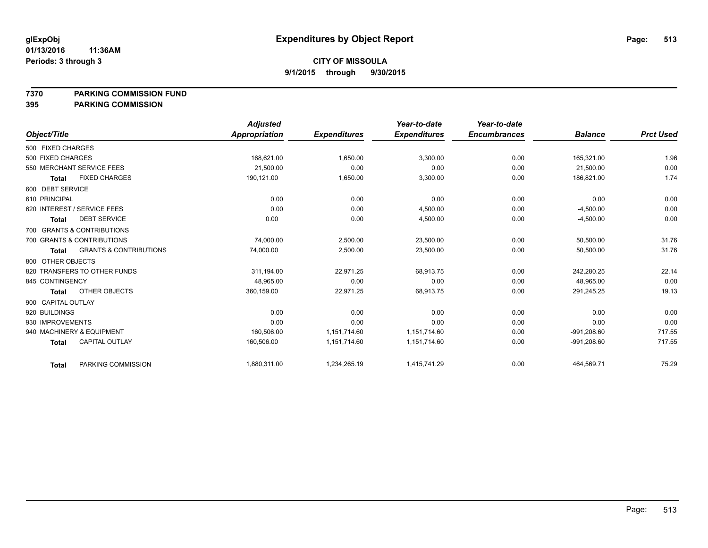#### **7370 PARKING COMMISSION FUND**

|                             |                                   | <b>Adjusted</b>      |                     | Year-to-date        | Year-to-date        |                |                  |
|-----------------------------|-----------------------------------|----------------------|---------------------|---------------------|---------------------|----------------|------------------|
| Object/Title                |                                   | <b>Appropriation</b> | <b>Expenditures</b> | <b>Expenditures</b> | <b>Encumbrances</b> | <b>Balance</b> | <b>Prct Used</b> |
| 500 FIXED CHARGES           |                                   |                      |                     |                     |                     |                |                  |
| 500 FIXED CHARGES           |                                   | 168,621.00           | 1,650.00            | 3,300.00            | 0.00                | 165,321.00     | 1.96             |
| 550 MERCHANT SERVICE FEES   |                                   | 21,500.00            | 0.00                | 0.00                | 0.00                | 21,500.00      | 0.00             |
| <b>Total</b>                | <b>FIXED CHARGES</b>              | 190,121.00           | 1,650.00            | 3,300.00            | 0.00                | 186,821.00     | 1.74             |
| 600 DEBT SERVICE            |                                   |                      |                     |                     |                     |                |                  |
| 610 PRINCIPAL               |                                   | 0.00                 | 0.00                | 0.00                | 0.00                | 0.00           | 0.00             |
| 620 INTEREST / SERVICE FEES |                                   | 0.00                 | 0.00                | 4.500.00            | 0.00                | $-4,500.00$    | 0.00             |
| <b>Total</b>                | <b>DEBT SERVICE</b>               | 0.00                 | 0.00                | 4,500.00            | 0.00                | $-4,500.00$    | 0.00             |
| 700 GRANTS & CONTRIBUTIONS  |                                   |                      |                     |                     |                     |                |                  |
| 700 GRANTS & CONTRIBUTIONS  |                                   | 74,000.00            | 2,500.00            | 23,500.00           | 0.00                | 50,500.00      | 31.76            |
| <b>Total</b>                | <b>GRANTS &amp; CONTRIBUTIONS</b> | 74,000.00            | 2,500.00            | 23,500.00           | 0.00                | 50,500.00      | 31.76            |
| 800 OTHER OBJECTS           |                                   |                      |                     |                     |                     |                |                  |
|                             | 820 TRANSFERS TO OTHER FUNDS      | 311,194.00           | 22,971.25           | 68,913.75           | 0.00                | 242,280.25     | 22.14            |
| 845 CONTINGENCY             |                                   | 48.965.00            | 0.00                | 0.00                | 0.00                | 48,965.00      | 0.00             |
| <b>Total</b>                | <b>OTHER OBJECTS</b>              | 360,159.00           | 22,971.25           | 68,913.75           | 0.00                | 291,245.25     | 19.13            |
| 900 CAPITAL OUTLAY          |                                   |                      |                     |                     |                     |                |                  |
| 920 BUILDINGS               |                                   | 0.00                 | 0.00                | 0.00                | 0.00                | 0.00           | 0.00             |
| 930 IMPROVEMENTS            |                                   | 0.00                 | 0.00                | 0.00                | 0.00                | 0.00           | 0.00             |
| 940 MACHINERY & EQUIPMENT   |                                   | 160,506.00           | 1,151,714.60        | 1,151,714.60        | 0.00                | $-991,208.60$  | 717.55           |
| <b>Total</b>                | <b>CAPITAL OUTLAY</b>             | 160,506.00           | 1,151,714.60        | 1,151,714.60        | 0.00                | $-991,208.60$  | 717.55           |
| <b>Total</b>                | PARKING COMMISSION                | 1,880,311.00         | 1,234,265.19        | 1,415,741.29        | 0.00                | 464,569.71     | 75.29            |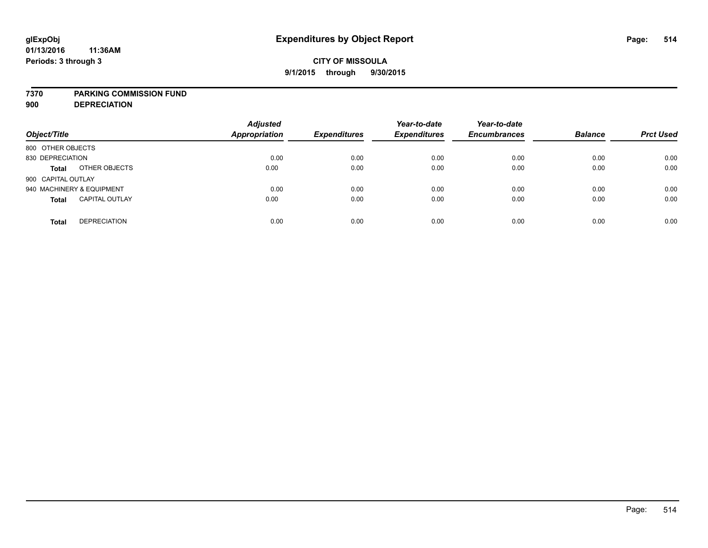### **7370 PARKING COMMISSION FUND**

**900 DEPRECIATION**

| Object/Title                          | <b>Adjusted</b><br><b>Appropriation</b> | <b>Expenditures</b> | Year-to-date<br><b>Expenditures</b> | Year-to-date<br><b>Encumbrances</b> | <b>Balance</b> | <b>Prct Used</b> |
|---------------------------------------|-----------------------------------------|---------------------|-------------------------------------|-------------------------------------|----------------|------------------|
| 800 OTHER OBJECTS                     |                                         |                     |                                     |                                     |                |                  |
| 830 DEPRECIATION                      | 0.00                                    | 0.00                | 0.00                                | 0.00                                | 0.00           | 0.00             |
| OTHER OBJECTS<br><b>Total</b>         | 0.00                                    | 0.00                | 0.00                                | 0.00                                | 0.00           | 0.00             |
| 900 CAPITAL OUTLAY                    |                                         |                     |                                     |                                     |                |                  |
| 940 MACHINERY & EQUIPMENT             | 0.00                                    | 0.00                | 0.00                                | 0.00                                | 0.00           | 0.00             |
| <b>CAPITAL OUTLAY</b><br><b>Total</b> | 0.00                                    | 0.00                | 0.00                                | 0.00                                | 0.00           | 0.00             |
| <b>DEPRECIATION</b><br><b>Total</b>   | 0.00                                    | 0.00                | 0.00                                | 0.00                                | 0.00           | 0.00             |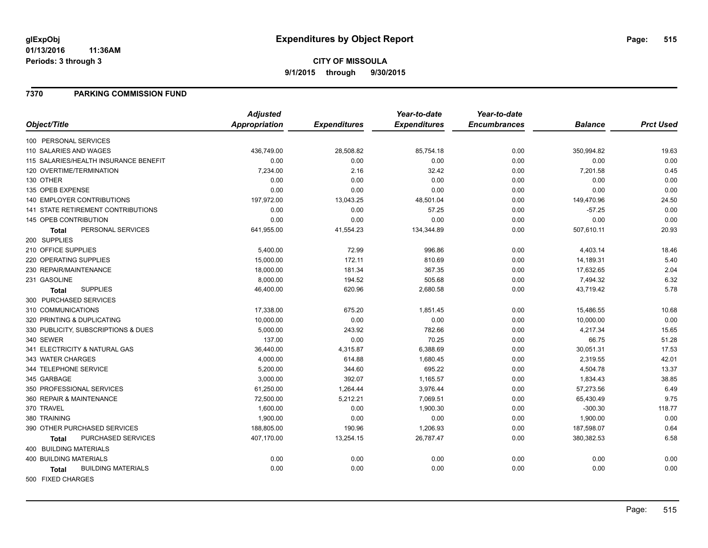#### **01/13/2016 11:36AM Periods: 3 through 3**

# **CITY OF MISSOULA 9/1/2015 through 9/30/2015**

### **7370 PARKING COMMISSION FUND**

|                                           | <b>Adjusted</b>      |                     | Year-to-date        | Year-to-date        |                |                  |
|-------------------------------------------|----------------------|---------------------|---------------------|---------------------|----------------|------------------|
| Object/Title                              | <b>Appropriation</b> | <b>Expenditures</b> | <b>Expenditures</b> | <b>Encumbrances</b> | <b>Balance</b> | <b>Prct Used</b> |
| 100 PERSONAL SERVICES                     |                      |                     |                     |                     |                |                  |
| 110 SALARIES AND WAGES                    | 436,749.00           | 28,508.82           | 85,754.18           | 0.00                | 350,994.82     | 19.63            |
| 115 SALARIES/HEALTH INSURANCE BENEFIT     | 0.00                 | 0.00                | 0.00                | 0.00                | 0.00           | 0.00             |
| 120 OVERTIME/TERMINATION                  | 7,234.00             | 2.16                | 32.42               | 0.00                | 7,201.58       | 0.45             |
| 130 OTHER                                 | 0.00                 | 0.00                | 0.00                | 0.00                | 0.00           | 0.00             |
| 135 OPEB EXPENSE                          | 0.00                 | 0.00                | 0.00                | 0.00                | 0.00           | 0.00             |
| <b>140 EMPLOYER CONTRIBUTIONS</b>         | 197,972.00           | 13,043.25           | 48,501.04           | 0.00                | 149,470.96     | 24.50            |
| <b>141 STATE RETIREMENT CONTRIBUTIONS</b> | 0.00                 | 0.00                | 57.25               | 0.00                | $-57.25$       | 0.00             |
| 145 OPEB CONTRIBUTION                     | 0.00                 | 0.00                | 0.00                | 0.00                | 0.00           | 0.00             |
| PERSONAL SERVICES<br><b>Total</b>         | 641,955.00           | 41,554.23           | 134,344.89          | 0.00                | 507,610.11     | 20.93            |
| 200 SUPPLIES                              |                      |                     |                     |                     |                |                  |
| 210 OFFICE SUPPLIES                       | 5,400.00             | 72.99               | 996.86              | 0.00                | 4,403.14       | 18.46            |
| 220 OPERATING SUPPLIES                    | 15,000.00            | 172.11              | 810.69              | 0.00                | 14,189.31      | 5.40             |
| 230 REPAIR/MAINTENANCE                    | 18,000.00            | 181.34              | 367.35              | 0.00                | 17,632.65      | 2.04             |
| 231 GASOLINE                              | 8,000.00             | 194.52              | 505.68              | 0.00                | 7,494.32       | 6.32             |
| <b>SUPPLIES</b><br><b>Total</b>           | 46,400.00            | 620.96              | 2,680.58            | 0.00                | 43,719.42      | 5.78             |
| 300 PURCHASED SERVICES                    |                      |                     |                     |                     |                |                  |
| 310 COMMUNICATIONS                        | 17,338.00            | 675.20              | 1,851.45            | 0.00                | 15,486.55      | 10.68            |
| 320 PRINTING & DUPLICATING                | 10,000.00            | 0.00                | 0.00                | 0.00                | 10,000.00      | 0.00             |
| 330 PUBLICITY, SUBSCRIPTIONS & DUES       | 5,000.00             | 243.92              | 782.66              | 0.00                | 4,217.34       | 15.65            |
| 340 SEWER                                 | 137.00               | 0.00                | 70.25               | 0.00                | 66.75          | 51.28            |
| 341 ELECTRICITY & NATURAL GAS             | 36,440.00            | 4,315.87            | 6,388.69            | 0.00                | 30,051.31      | 17.53            |
| 343 WATER CHARGES                         | 4,000.00             | 614.88              | 1,680.45            | 0.00                | 2,319.55       | 42.01            |
| 344 TELEPHONE SERVICE                     | 5,200.00             | 344.60              | 695.22              | 0.00                | 4,504.78       | 13.37            |
| 345 GARBAGE                               | 3,000.00             | 392.07              | 1,165.57            | 0.00                | 1,834.43       | 38.85            |
| 350 PROFESSIONAL SERVICES                 | 61,250.00            | 1,264.44            | 3,976.44            | 0.00                | 57,273.56      | 6.49             |
| 360 REPAIR & MAINTENANCE                  | 72,500.00            | 5,212.21            | 7,069.51            | 0.00                | 65,430.49      | 9.75             |
| 370 TRAVEL                                | 1,600.00             | 0.00                | 1,900.30            | 0.00                | $-300.30$      | 118.77           |
| 380 TRAINING                              | 1,900.00             | 0.00                | 0.00                | 0.00                | 1,900.00       | 0.00             |
| 390 OTHER PURCHASED SERVICES              | 188,805.00           | 190.96              | 1,206.93            | 0.00                | 187,598.07     | 0.64             |
| PURCHASED SERVICES<br><b>Total</b>        | 407,170.00           | 13,254.15           | 26,787.47           | 0.00                | 380,382.53     | 6.58             |
| 400 BUILDING MATERIALS                    |                      |                     |                     |                     |                |                  |
| <b>400 BUILDING MATERIALS</b>             | 0.00                 | 0.00                | 0.00                | 0.00                | 0.00           | 0.00             |
| <b>BUILDING MATERIALS</b><br>Total        | 0.00                 | 0.00                | 0.00                | 0.00                | 0.00           | 0.00             |
| 500 FIXED CHARGES                         |                      |                     |                     |                     |                |                  |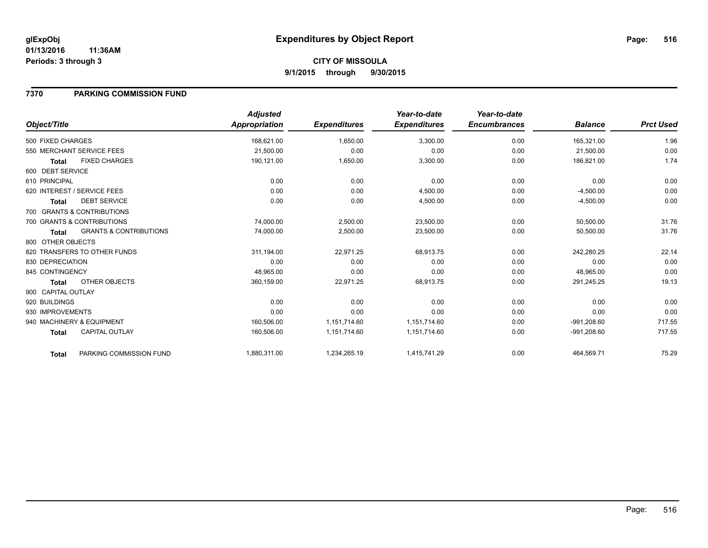#### **01/13/2016 11:36AM Periods: 3 through 3**

# **CITY OF MISSOULA 9/1/2015 through 9/30/2015**

## **7370 PARKING COMMISSION FUND**

| Object/Title       |                                   | <b>Adjusted</b><br>Appropriation | <b>Expenditures</b> | Year-to-date<br><b>Expenditures</b> | Year-to-date<br><b>Encumbrances</b> | <b>Balance</b> | <b>Prct Used</b> |
|--------------------|-----------------------------------|----------------------------------|---------------------|-------------------------------------|-------------------------------------|----------------|------------------|
| 500 FIXED CHARGES  |                                   | 168,621.00                       | 1,650.00            | 3,300.00                            | 0.00                                | 165,321.00     | 1.96             |
|                    | 550 MERCHANT SERVICE FEES         | 21,500.00                        | 0.00                | 0.00                                | 0.00                                | 21,500.00      | 0.00             |
| <b>Total</b>       | <b>FIXED CHARGES</b>              | 190,121.00                       | 1,650.00            | 3,300.00                            | 0.00                                | 186,821.00     | 1.74             |
| 600 DEBT SERVICE   |                                   |                                  |                     |                                     |                                     |                |                  |
| 610 PRINCIPAL      |                                   | 0.00                             | 0.00                | 0.00                                | 0.00                                | 0.00           | 0.00             |
|                    | 620 INTEREST / SERVICE FEES       | 0.00                             | 0.00                | 4,500.00                            | 0.00                                | $-4,500.00$    | 0.00             |
| Total              | <b>DEBT SERVICE</b>               | 0.00                             | 0.00                | 4,500.00                            | 0.00                                | $-4,500.00$    | 0.00             |
|                    | 700 GRANTS & CONTRIBUTIONS        |                                  |                     |                                     |                                     |                |                  |
|                    | 700 GRANTS & CONTRIBUTIONS        | 74,000.00                        | 2,500.00            | 23,500.00                           | 0.00                                | 50,500.00      | 31.76            |
| <b>Total</b>       | <b>GRANTS &amp; CONTRIBUTIONS</b> | 74,000.00                        | 2,500.00            | 23,500.00                           | 0.00                                | 50,500.00      | 31.76            |
| 800 OTHER OBJECTS  |                                   |                                  |                     |                                     |                                     |                |                  |
|                    | 820 TRANSFERS TO OTHER FUNDS      | 311.194.00                       | 22,971.25           | 68,913.75                           | 0.00                                | 242.280.25     | 22.14            |
| 830 DEPRECIATION   |                                   | 0.00                             | 0.00                | 0.00                                | 0.00                                | 0.00           | 0.00             |
| 845 CONTINGENCY    |                                   | 48,965.00                        | 0.00                | 0.00                                | 0.00                                | 48,965.00      | 0.00             |
| <b>Total</b>       | OTHER OBJECTS                     | 360,159.00                       | 22,971.25           | 68,913.75                           | 0.00                                | 291,245.25     | 19.13            |
| 900 CAPITAL OUTLAY |                                   |                                  |                     |                                     |                                     |                |                  |
| 920 BUILDINGS      |                                   | 0.00                             | 0.00                | 0.00                                | 0.00                                | 0.00           | 0.00             |
| 930 IMPROVEMENTS   |                                   | 0.00                             | 0.00                | 0.00                                | 0.00                                | 0.00           | 0.00             |
|                    | 940 MACHINERY & EQUIPMENT         | 160,506.00                       | 1,151,714.60        | 1,151,714.60                        | 0.00                                | $-991,208.60$  | 717.55           |
| <b>Total</b>       | <b>CAPITAL OUTLAY</b>             | 160,506.00                       | 1,151,714.60        | 1,151,714.60                        | 0.00                                | $-991,208.60$  | 717.55           |
| <b>Total</b>       | PARKING COMMISSION FUND           | 1,880,311.00                     | 1,234,265.19        | 1,415,741.29                        | 0.00                                | 464,569.71     | 75.29            |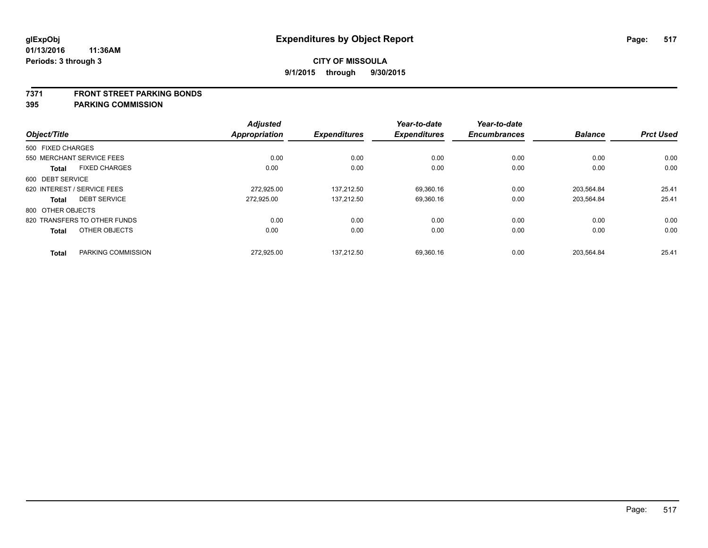#### **7371 FRONT STREET PARKING BONDS**

|                   |                              | <b>Adjusted</b> |                     | Year-to-date        | Year-to-date        |                |                  |
|-------------------|------------------------------|-----------------|---------------------|---------------------|---------------------|----------------|------------------|
| Object/Title      |                              | Appropriation   | <b>Expenditures</b> | <b>Expenditures</b> | <b>Encumbrances</b> | <b>Balance</b> | <b>Prct Used</b> |
| 500 FIXED CHARGES |                              |                 |                     |                     |                     |                |                  |
|                   | 550 MERCHANT SERVICE FEES    | 0.00            | 0.00                | 0.00                | 0.00                | 0.00           | 0.00             |
| <b>Total</b>      | <b>FIXED CHARGES</b>         | 0.00            | 0.00                | 0.00                | 0.00                | 0.00           | 0.00             |
| 600 DEBT SERVICE  |                              |                 |                     |                     |                     |                |                  |
|                   | 620 INTEREST / SERVICE FEES  | 272,925.00      | 137.212.50          | 69,360.16           | 0.00                | 203.564.84     | 25.41            |
| Total             | <b>DEBT SERVICE</b>          | 272,925.00      | 137,212.50          | 69,360.16           | 0.00                | 203,564.84     | 25.41            |
| 800 OTHER OBJECTS |                              |                 |                     |                     |                     |                |                  |
|                   | 820 TRANSFERS TO OTHER FUNDS | 0.00            | 0.00                | 0.00                | 0.00                | 0.00           | 0.00             |
| <b>Total</b>      | OTHER OBJECTS                | 0.00            | 0.00                | 0.00                | 0.00                | 0.00           | 0.00             |
| <b>Total</b>      | PARKING COMMISSION           | 272,925.00      | 137.212.50          | 69,360.16           | 0.00                | 203.564.84     | 25.41            |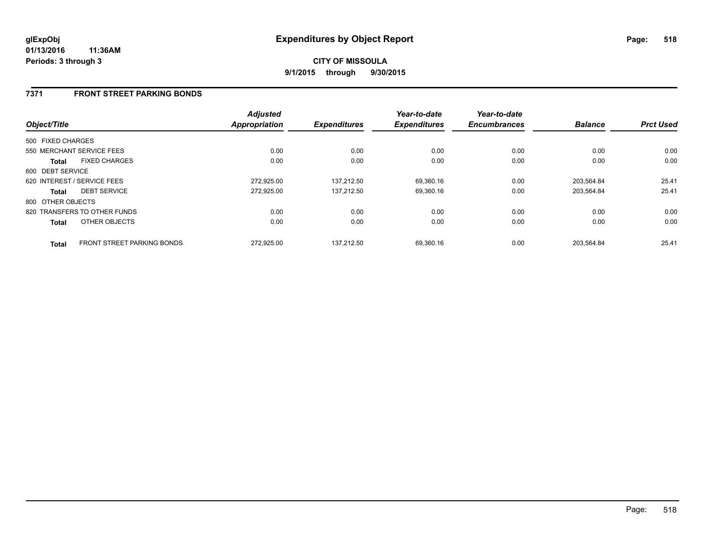## **7371 FRONT STREET PARKING BONDS**

| Object/Title      |                                   | <b>Adjusted</b><br><b>Appropriation</b> | <b>Expenditures</b> | Year-to-date<br><b>Expenditures</b> | Year-to-date<br><b>Encumbrances</b> | <b>Balance</b> | <b>Prct Used</b> |
|-------------------|-----------------------------------|-----------------------------------------|---------------------|-------------------------------------|-------------------------------------|----------------|------------------|
| 500 FIXED CHARGES |                                   |                                         |                     |                                     |                                     |                |                  |
|                   | 550 MERCHANT SERVICE FEES         | 0.00                                    | 0.00                | 0.00                                | 0.00                                | 0.00           | 0.00             |
| Total             | <b>FIXED CHARGES</b>              | 0.00                                    | 0.00                | 0.00                                | 0.00                                | 0.00           | 0.00             |
| 600 DEBT SERVICE  |                                   |                                         |                     |                                     |                                     |                |                  |
|                   | 620 INTEREST / SERVICE FEES       | 272,925.00                              | 137.212.50          | 69,360.16                           | 0.00                                | 203.564.84     | 25.41            |
| <b>Total</b>      | <b>DEBT SERVICE</b>               | 272.925.00                              | 137.212.50          | 69.360.16                           | 0.00                                | 203.564.84     | 25.41            |
| 800 OTHER OBJECTS |                                   |                                         |                     |                                     |                                     |                |                  |
|                   | 820 TRANSFERS TO OTHER FUNDS      | 0.00                                    | 0.00                | 0.00                                | 0.00                                | 0.00           | 0.00             |
| <b>Total</b>      | OTHER OBJECTS                     | 0.00                                    | 0.00                | 0.00                                | 0.00                                | 0.00           | 0.00             |
| <b>Total</b>      | <b>FRONT STREET PARKING BONDS</b> | 272.925.00                              | 137.212.50          | 69.360.16                           | 0.00                                | 203.564.84     | 25.41            |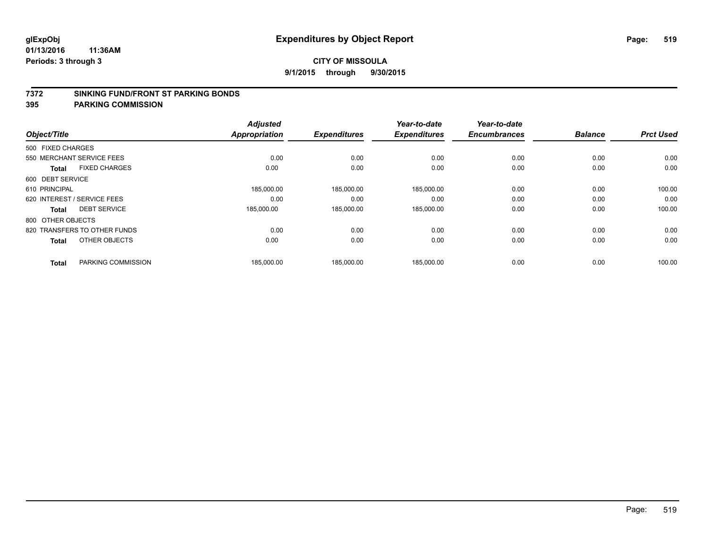#### **7372 SINKING FUND/FRONT ST PARKING BONDS**

| Object/Title                |                              | <b>Adjusted</b><br>Appropriation | <b>Expenditures</b> | Year-to-date<br><b>Expenditures</b> | Year-to-date<br><b>Encumbrances</b> | <b>Balance</b> | <b>Prct Used</b> |
|-----------------------------|------------------------------|----------------------------------|---------------------|-------------------------------------|-------------------------------------|----------------|------------------|
|                             |                              |                                  |                     |                                     |                                     |                |                  |
| 500 FIXED CHARGES           |                              |                                  |                     |                                     |                                     |                |                  |
| 550 MERCHANT SERVICE FEES   |                              | 0.00                             | 0.00                | 0.00                                | 0.00                                | 0.00           | 0.00             |
| <b>Total</b>                | <b>FIXED CHARGES</b>         | 0.00                             | 0.00                | 0.00                                | 0.00                                | 0.00           | 0.00             |
| 600 DEBT SERVICE            |                              |                                  |                     |                                     |                                     |                |                  |
| 610 PRINCIPAL               |                              | 185,000.00                       | 185,000.00          | 185,000.00                          | 0.00                                | 0.00           | 100.00           |
| 620 INTEREST / SERVICE FEES |                              | 0.00                             | 0.00                | 0.00                                | 0.00                                | 0.00           | 0.00             |
| Total                       | <b>DEBT SERVICE</b>          | 185,000.00                       | 185,000.00          | 185,000.00                          | 0.00                                | 0.00           | 100.00           |
| 800 OTHER OBJECTS           |                              |                                  |                     |                                     |                                     |                |                  |
|                             | 820 TRANSFERS TO OTHER FUNDS | 0.00                             | 0.00                | 0.00                                | 0.00                                | 0.00           | 0.00             |
| <b>Total</b>                | OTHER OBJECTS                | 0.00                             | 0.00                | 0.00                                | 0.00                                | 0.00           | 0.00             |
| <b>Total</b>                | PARKING COMMISSION           | 185.000.00                       | 185.000.00          | 185.000.00                          | 0.00                                | 0.00           | 100.00           |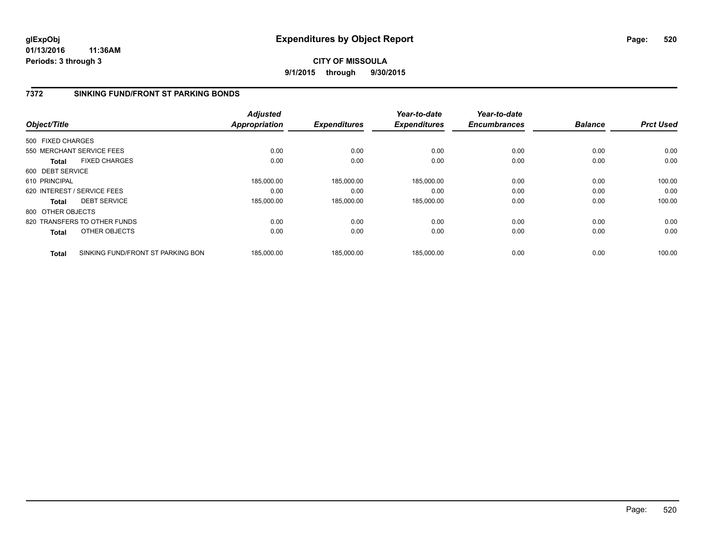**01/13/2016 11:36AM Periods: 3 through 3**

## **CITY OF MISSOULA 9/1/2015 through 9/30/2015**

## **7372 SINKING FUND/FRONT ST PARKING BONDS**

|                   |                                   | <b>Adjusted</b> |                     | Year-to-date        | Year-to-date        |                |                  |
|-------------------|-----------------------------------|-----------------|---------------------|---------------------|---------------------|----------------|------------------|
| Object/Title      |                                   | Appropriation   | <b>Expenditures</b> | <b>Expenditures</b> | <b>Encumbrances</b> | <b>Balance</b> | <b>Prct Used</b> |
| 500 FIXED CHARGES |                                   |                 |                     |                     |                     |                |                  |
|                   | 550 MERCHANT SERVICE FEES         | 0.00            | 0.00                | 0.00                | 0.00                | 0.00           | 0.00             |
| Total             | <b>FIXED CHARGES</b>              | 0.00            | 0.00                | 0.00                | 0.00                | 0.00           | 0.00             |
| 600 DEBT SERVICE  |                                   |                 |                     |                     |                     |                |                  |
| 610 PRINCIPAL     |                                   | 185,000.00      | 185,000.00          | 185,000.00          | 0.00                | 0.00           | 100.00           |
|                   | 620 INTEREST / SERVICE FEES       | 0.00            | 0.00                | 0.00                | 0.00                | 0.00           | 0.00             |
| <b>Total</b>      | <b>DEBT SERVICE</b>               | 185,000.00      | 185,000.00          | 185,000.00          | 0.00                | 0.00           | 100.00           |
| 800 OTHER OBJECTS |                                   |                 |                     |                     |                     |                |                  |
|                   | 820 TRANSFERS TO OTHER FUNDS      | 0.00            | 0.00                | 0.00                | 0.00                | 0.00           | 0.00             |
| <b>Total</b>      | OTHER OBJECTS                     | 0.00            | 0.00                | 0.00                | 0.00                | 0.00           | 0.00             |
| <b>Total</b>      | SINKING FUND/FRONT ST PARKING BON | 185.000.00      | 185.000.00          | 185.000.00          | 0.00                | 0.00           | 100.00           |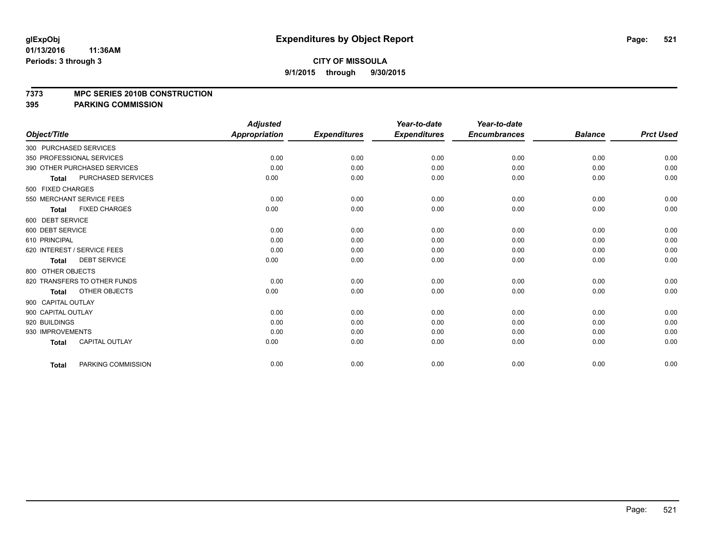#### **7373 MPC SERIES 2010B CONSTRUCTION**

|                              |                       | <b>Adjusted</b> |                     | Year-to-date        | Year-to-date        |                |                  |
|------------------------------|-----------------------|-----------------|---------------------|---------------------|---------------------|----------------|------------------|
| Object/Title                 |                       | Appropriation   | <b>Expenditures</b> | <b>Expenditures</b> | <b>Encumbrances</b> | <b>Balance</b> | <b>Prct Used</b> |
| 300 PURCHASED SERVICES       |                       |                 |                     |                     |                     |                |                  |
| 350 PROFESSIONAL SERVICES    |                       | 0.00            | 0.00                | 0.00                | 0.00                | 0.00           | 0.00             |
| 390 OTHER PURCHASED SERVICES |                       | 0.00            | 0.00                | 0.00                | 0.00                | 0.00           | 0.00             |
| <b>Total</b>                 | PURCHASED SERVICES    | 0.00            | 0.00                | 0.00                | 0.00                | 0.00           | 0.00             |
| 500 FIXED CHARGES            |                       |                 |                     |                     |                     |                |                  |
| 550 MERCHANT SERVICE FEES    |                       | 0.00            | 0.00                | 0.00                | 0.00                | 0.00           | 0.00             |
| Total                        | <b>FIXED CHARGES</b>  | 0.00            | 0.00                | 0.00                | 0.00                | 0.00           | 0.00             |
| 600 DEBT SERVICE             |                       |                 |                     |                     |                     |                |                  |
| 600 DEBT SERVICE             |                       | 0.00            | 0.00                | 0.00                | 0.00                | 0.00           | 0.00             |
| 610 PRINCIPAL                |                       | 0.00            | 0.00                | 0.00                | 0.00                | 0.00           | 0.00             |
| 620 INTEREST / SERVICE FEES  |                       | 0.00            | 0.00                | 0.00                | 0.00                | 0.00           | 0.00             |
| <b>Total</b>                 | <b>DEBT SERVICE</b>   | 0.00            | 0.00                | 0.00                | 0.00                | 0.00           | 0.00             |
| 800 OTHER OBJECTS            |                       |                 |                     |                     |                     |                |                  |
| 820 TRANSFERS TO OTHER FUNDS |                       | 0.00            | 0.00                | 0.00                | 0.00                | 0.00           | 0.00             |
| <b>Total</b>                 | OTHER OBJECTS         | 0.00            | 0.00                | 0.00                | 0.00                | 0.00           | 0.00             |
| 900 CAPITAL OUTLAY           |                       |                 |                     |                     |                     |                |                  |
| 900 CAPITAL OUTLAY           |                       | 0.00            | 0.00                | 0.00                | 0.00                | 0.00           | 0.00             |
| 920 BUILDINGS                |                       | 0.00            | 0.00                | 0.00                | 0.00                | 0.00           | 0.00             |
| 930 IMPROVEMENTS             |                       | 0.00            | 0.00                | 0.00                | 0.00                | 0.00           | 0.00             |
| Total                        | <b>CAPITAL OUTLAY</b> | 0.00            | 0.00                | 0.00                | 0.00                | 0.00           | 0.00             |
| <b>Total</b>                 | PARKING COMMISSION    | 0.00            | 0.00                | 0.00                | 0.00                | 0.00           | 0.00             |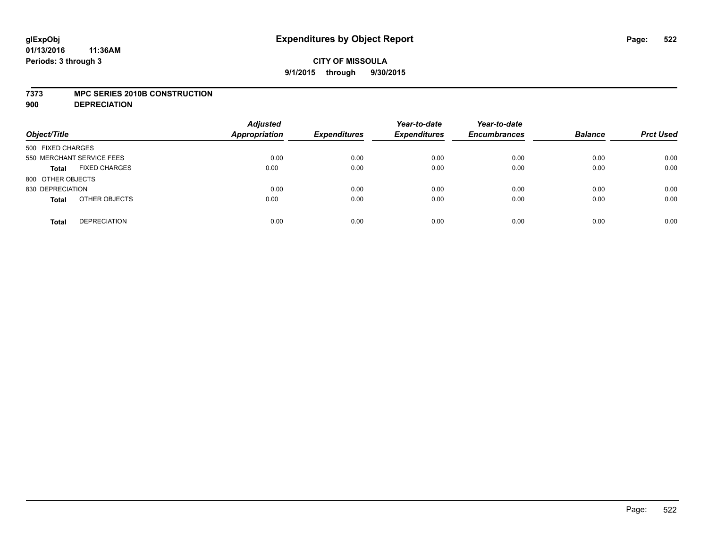#### **7373 MPC SERIES 2010B CONSTRUCTION**

**900 DEPRECIATION**

| Object/Title                         | <b>Adjusted</b><br><b>Appropriation</b> | <b>Expenditures</b> | Year-to-date<br><b>Expenditures</b> | Year-to-date<br><b>Encumbrances</b> | <b>Balance</b> | <b>Prct Used</b> |
|--------------------------------------|-----------------------------------------|---------------------|-------------------------------------|-------------------------------------|----------------|------------------|
| 500 FIXED CHARGES                    |                                         |                     |                                     |                                     |                |                  |
| 550 MERCHANT SERVICE FEES            | 0.00                                    | 0.00                | 0.00                                | 0.00                                | 0.00           | 0.00             |
| <b>FIXED CHARGES</b><br><b>Total</b> | 0.00                                    | 0.00                | 0.00                                | 0.00                                | 0.00           | 0.00             |
| 800 OTHER OBJECTS                    |                                         |                     |                                     |                                     |                |                  |
| 830 DEPRECIATION                     | 0.00                                    | 0.00                | 0.00                                | 0.00                                | 0.00           | 0.00             |
| OTHER OBJECTS<br><b>Total</b>        | 0.00                                    | 0.00                | 0.00                                | 0.00                                | 0.00           | 0.00             |
| <b>DEPRECIATION</b><br><b>Total</b>  | 0.00                                    | 0.00                | 0.00                                | 0.00                                | 0.00           | 0.00             |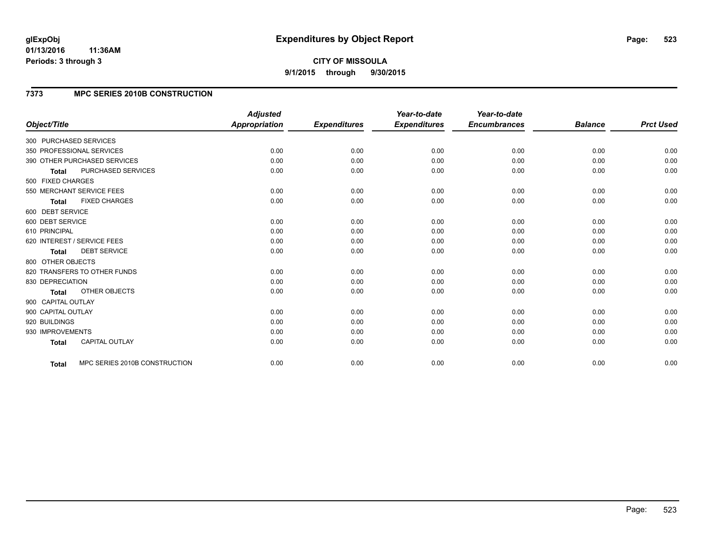#### **01/13/2016 11:36AM Periods: 3 through 3**

**CITY OF MISSOULA 9/1/2015 through 9/30/2015**

## **7373 MPC SERIES 2010B CONSTRUCTION**

|                                      |                               | <b>Adjusted</b>      |                     | Year-to-date        | Year-to-date        |                |                  |
|--------------------------------------|-------------------------------|----------------------|---------------------|---------------------|---------------------|----------------|------------------|
| Object/Title                         |                               | <b>Appropriation</b> | <b>Expenditures</b> | <b>Expenditures</b> | <b>Encumbrances</b> | <b>Balance</b> | <b>Prct Used</b> |
| 300 PURCHASED SERVICES               |                               |                      |                     |                     |                     |                |                  |
| 350 PROFESSIONAL SERVICES            |                               | 0.00                 | 0.00                | 0.00                | 0.00                | 0.00           | 0.00             |
| 390 OTHER PURCHASED SERVICES         |                               | 0.00                 | 0.00                | 0.00                | 0.00                | 0.00           | 0.00             |
| PURCHASED SERVICES<br><b>Total</b>   |                               | 0.00                 | 0.00                | 0.00                | 0.00                | 0.00           | 0.00             |
| 500 FIXED CHARGES                    |                               |                      |                     |                     |                     |                |                  |
| 550 MERCHANT SERVICE FEES            |                               | 0.00                 | 0.00                | 0.00                | 0.00                | 0.00           | 0.00             |
| <b>FIXED CHARGES</b><br><b>Total</b> |                               | 0.00                 | 0.00                | 0.00                | 0.00                | 0.00           | 0.00             |
| 600 DEBT SERVICE                     |                               |                      |                     |                     |                     |                |                  |
| 600 DEBT SERVICE                     |                               | 0.00                 | 0.00                | 0.00                | 0.00                | 0.00           | 0.00             |
| 610 PRINCIPAL                        |                               | 0.00                 | 0.00                | 0.00                | 0.00                | 0.00           | 0.00             |
| 620 INTEREST / SERVICE FEES          |                               | 0.00                 | 0.00                | 0.00                | 0.00                | 0.00           | 0.00             |
| <b>DEBT SERVICE</b><br><b>Total</b>  |                               | 0.00                 | 0.00                | 0.00                | 0.00                | 0.00           | 0.00             |
| 800 OTHER OBJECTS                    |                               |                      |                     |                     |                     |                |                  |
| 820 TRANSFERS TO OTHER FUNDS         |                               | 0.00                 | 0.00                | 0.00                | 0.00                | 0.00           | 0.00             |
| 830 DEPRECIATION                     |                               | 0.00                 | 0.00                | 0.00                | 0.00                | 0.00           | 0.00             |
| <b>OTHER OBJECTS</b><br><b>Total</b> |                               | 0.00                 | 0.00                | 0.00                | 0.00                | 0.00           | 0.00             |
| 900 CAPITAL OUTLAY                   |                               |                      |                     |                     |                     |                |                  |
| 900 CAPITAL OUTLAY                   |                               | 0.00                 | 0.00                | 0.00                | 0.00                | 0.00           | 0.00             |
| 920 BUILDINGS                        |                               | 0.00                 | 0.00                | 0.00                | 0.00                | 0.00           | 0.00             |
| 930 IMPROVEMENTS                     |                               | 0.00                 | 0.00                | 0.00                | 0.00                | 0.00           | 0.00             |
| CAPITAL OUTLAY<br><b>Total</b>       |                               | 0.00                 | 0.00                | 0.00                | 0.00                | 0.00           | 0.00             |
|                                      |                               |                      |                     |                     |                     |                | 0.00             |
| Total                                | MPC SERIES 2010B CONSTRUCTION | 0.00                 | 0.00                | 0.00                | 0.00                | 0.00           |                  |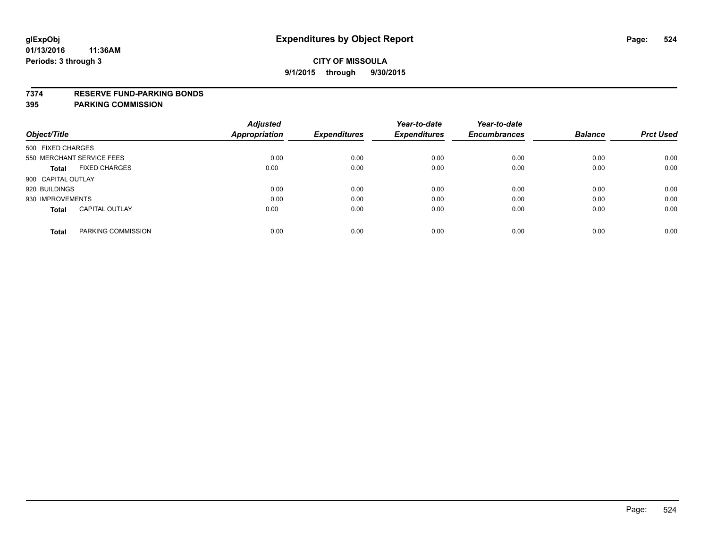#### **7374 RESERVE FUND-PARKING BONDS**

|                                       | <b>Adjusted</b> |                     | Year-to-date        | Year-to-date        |                |                  |
|---------------------------------------|-----------------|---------------------|---------------------|---------------------|----------------|------------------|
| Object/Title                          | Appropriation   | <b>Expenditures</b> | <b>Expenditures</b> | <b>Encumbrances</b> | <b>Balance</b> | <b>Prct Used</b> |
| 500 FIXED CHARGES                     |                 |                     |                     |                     |                |                  |
| 550 MERCHANT SERVICE FEES             | 0.00            | 0.00                | 0.00                | 0.00                | 0.00           | 0.00             |
| <b>FIXED CHARGES</b><br><b>Total</b>  | 0.00            | 0.00                | 0.00                | 0.00                | 0.00           | 0.00             |
| 900 CAPITAL OUTLAY                    |                 |                     |                     |                     |                |                  |
| 920 BUILDINGS                         | 0.00            | 0.00                | 0.00                | 0.00                | 0.00           | 0.00             |
| 930 IMPROVEMENTS                      | 0.00            | 0.00                | 0.00                | 0.00                | 0.00           | 0.00             |
| <b>CAPITAL OUTLAY</b><br><b>Total</b> | 0.00            | 0.00                | 0.00                | 0.00                | 0.00           | 0.00             |
| PARKING COMMISSION<br><b>Total</b>    | 0.00            | 0.00                | 0.00                | 0.00                | 0.00           | 0.00             |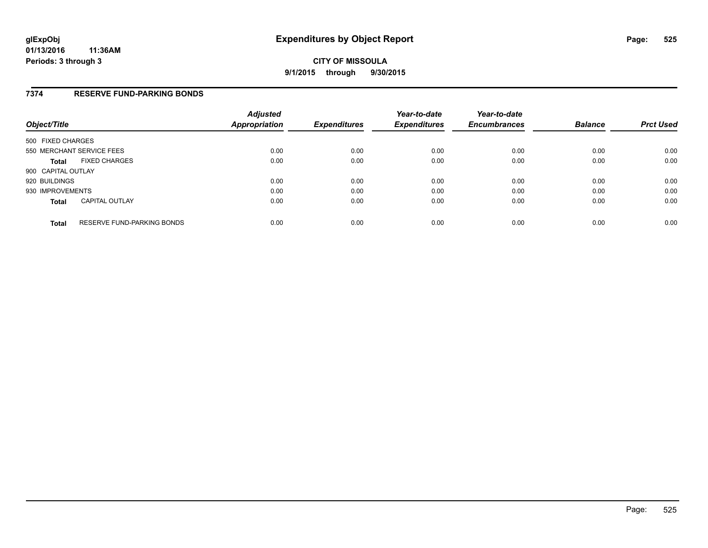### **7374 RESERVE FUND-PARKING BONDS**

| Object/Title       |                                   | <b>Adjusted</b><br>Appropriation | <b>Expenditures</b> | Year-to-date<br><b>Expenditures</b> | Year-to-date<br><b>Encumbrances</b> | <b>Balance</b> | <b>Prct Used</b> |
|--------------------|-----------------------------------|----------------------------------|---------------------|-------------------------------------|-------------------------------------|----------------|------------------|
| 500 FIXED CHARGES  |                                   |                                  |                     |                                     |                                     |                |                  |
|                    | 550 MERCHANT SERVICE FEES         | 0.00                             | 0.00                | 0.00                                | 0.00                                | 0.00           | 0.00             |
| <b>Total</b>       | <b>FIXED CHARGES</b>              | 0.00                             | 0.00                | 0.00                                | 0.00                                | 0.00           | 0.00             |
| 900 CAPITAL OUTLAY |                                   |                                  |                     |                                     |                                     |                |                  |
| 920 BUILDINGS      |                                   | 0.00                             | 0.00                | 0.00                                | 0.00                                | 0.00           | 0.00             |
| 930 IMPROVEMENTS   |                                   | 0.00                             | 0.00                | 0.00                                | 0.00                                | 0.00           | 0.00             |
| <b>Total</b>       | <b>CAPITAL OUTLAY</b>             | 0.00                             | 0.00                | 0.00                                | 0.00                                | 0.00           | 0.00             |
| <b>Total</b>       | <b>RESERVE FUND-PARKING BONDS</b> | 0.00                             | 0.00                | 0.00                                | 0.00                                | 0.00           | 0.00             |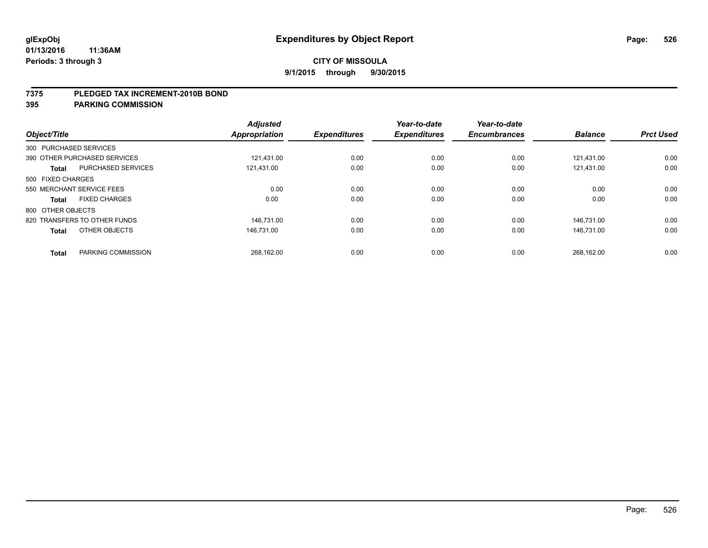#### **7375 PLEDGED TAX INCREMENT-2010B BOND**

| Object/Title           |                              | <b>Adjusted</b><br>Appropriation | <b>Expenditures</b> | Year-to-date<br><b>Expenditures</b> | Year-to-date<br><b>Encumbrances</b> | <b>Balance</b> | <b>Prct Used</b> |
|------------------------|------------------------------|----------------------------------|---------------------|-------------------------------------|-------------------------------------|----------------|------------------|
| 300 PURCHASED SERVICES |                              |                                  |                     |                                     |                                     |                |                  |
|                        | 390 OTHER PURCHASED SERVICES | 121.431.00                       | 0.00                | 0.00                                | 0.00                                | 121.431.00     | 0.00             |
| <b>Total</b>           | <b>PURCHASED SERVICES</b>    | 121,431.00                       | 0.00                | 0.00                                | 0.00                                | 121,431.00     | 0.00             |
| 500 FIXED CHARGES      |                              |                                  |                     |                                     |                                     |                |                  |
|                        | 550 MERCHANT SERVICE FEES    | 0.00                             | 0.00                | 0.00                                | 0.00                                | 0.00           | 0.00             |
| Total                  | <b>FIXED CHARGES</b>         | 0.00                             | 0.00                | 0.00                                | 0.00                                | 0.00           | 0.00             |
| 800 OTHER OBJECTS      |                              |                                  |                     |                                     |                                     |                |                  |
|                        | 820 TRANSFERS TO OTHER FUNDS | 146.731.00                       | 0.00                | 0.00                                | 0.00                                | 146.731.00     | 0.00             |
| <b>Total</b>           | OTHER OBJECTS                | 146.731.00                       | 0.00                | 0.00                                | 0.00                                | 146.731.00     | 0.00             |
|                        |                              |                                  |                     |                                     |                                     |                |                  |
| <b>Total</b>           | PARKING COMMISSION           | 268.162.00                       | 0.00                | 0.00                                | 0.00                                | 268,162.00     | 0.00             |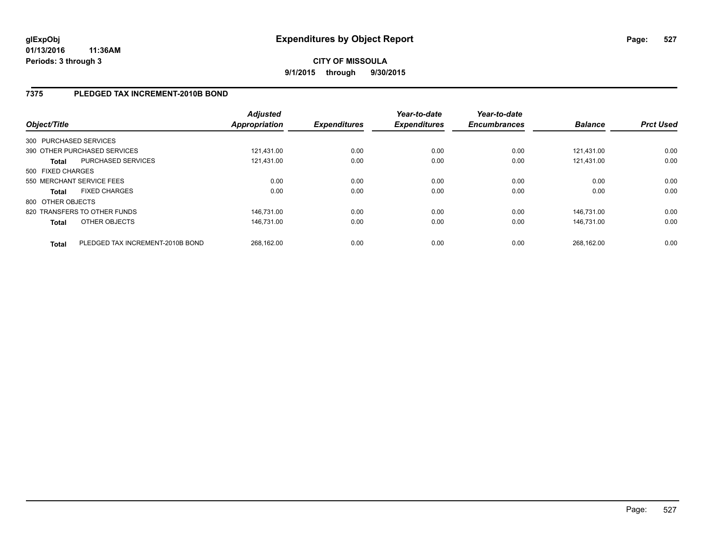## **7375 PLEDGED TAX INCREMENT-2010B BOND**

| Object/Title           |                                  | <b>Adjusted</b><br><b>Appropriation</b> | <b>Expenditures</b> | Year-to-date<br><b>Expenditures</b> | Year-to-date<br><b>Encumbrances</b> | <b>Balance</b> | <b>Prct Used</b> |
|------------------------|----------------------------------|-----------------------------------------|---------------------|-------------------------------------|-------------------------------------|----------------|------------------|
| 300 PURCHASED SERVICES |                                  |                                         |                     |                                     |                                     |                |                  |
|                        | 390 OTHER PURCHASED SERVICES     | 121.431.00                              | 0.00                | 0.00                                | 0.00                                | 121.431.00     | 0.00             |
| <b>Total</b>           | PURCHASED SERVICES               | 121,431.00                              | 0.00                | 0.00                                | 0.00                                | 121.431.00     | 0.00             |
| 500 FIXED CHARGES      |                                  |                                         |                     |                                     |                                     |                |                  |
|                        | 550 MERCHANT SERVICE FEES        | 0.00                                    | 0.00                | 0.00                                | 0.00                                | 0.00           | 0.00             |
| <b>Total</b>           | <b>FIXED CHARGES</b>             | 0.00                                    | 0.00                | 0.00                                | 0.00                                | 0.00           | 0.00             |
| 800 OTHER OBJECTS      |                                  |                                         |                     |                                     |                                     |                |                  |
|                        | 820 TRANSFERS TO OTHER FUNDS     | 146,731.00                              | 0.00                | 0.00                                | 0.00                                | 146.731.00     | 0.00             |
| <b>Total</b>           | OTHER OBJECTS                    | 146.731.00                              | 0.00                | 0.00                                | 0.00                                | 146.731.00     | 0.00             |
| <b>Total</b>           | PLEDGED TAX INCREMENT-2010B BOND | 268.162.00                              | 0.00                | 0.00                                | 0.00                                | 268.162.00     | 0.00             |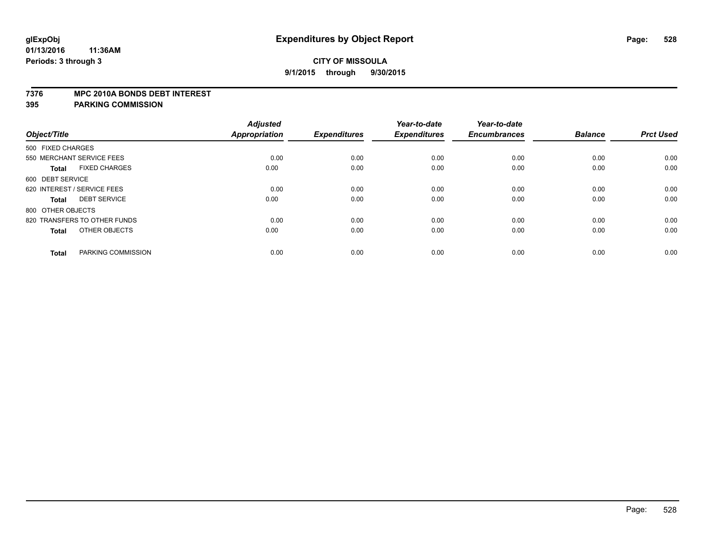#### **7376 MPC 2010A BONDS DEBT INTEREST**

|                   |                              | <b>Adjusted</b> |                     | Year-to-date        | Year-to-date        |                |                  |
|-------------------|------------------------------|-----------------|---------------------|---------------------|---------------------|----------------|------------------|
| Object/Title      |                              | Appropriation   | <b>Expenditures</b> | <b>Expenditures</b> | <b>Encumbrances</b> | <b>Balance</b> | <b>Prct Used</b> |
| 500 FIXED CHARGES |                              |                 |                     |                     |                     |                |                  |
|                   | 550 MERCHANT SERVICE FEES    | 0.00            | 0.00                | 0.00                | 0.00                | 0.00           | 0.00             |
| <b>Total</b>      | <b>FIXED CHARGES</b>         | 0.00            | 0.00                | 0.00                | 0.00                | 0.00           | 0.00             |
| 600 DEBT SERVICE  |                              |                 |                     |                     |                     |                |                  |
|                   | 620 INTEREST / SERVICE FEES  | 0.00            | 0.00                | 0.00                | 0.00                | 0.00           | 0.00             |
| <b>Total</b>      | <b>DEBT SERVICE</b>          | 0.00            | 0.00                | 0.00                | 0.00                | 0.00           | 0.00             |
| 800 OTHER OBJECTS |                              |                 |                     |                     |                     |                |                  |
|                   | 820 TRANSFERS TO OTHER FUNDS | 0.00            | 0.00                | 0.00                | 0.00                | 0.00           | 0.00             |
| <b>Total</b>      | OTHER OBJECTS                | 0.00            | 0.00                | 0.00                | 0.00                | 0.00           | 0.00             |
| <b>Total</b>      | PARKING COMMISSION           | 0.00            | 0.00                | 0.00                | 0.00                | 0.00           | 0.00             |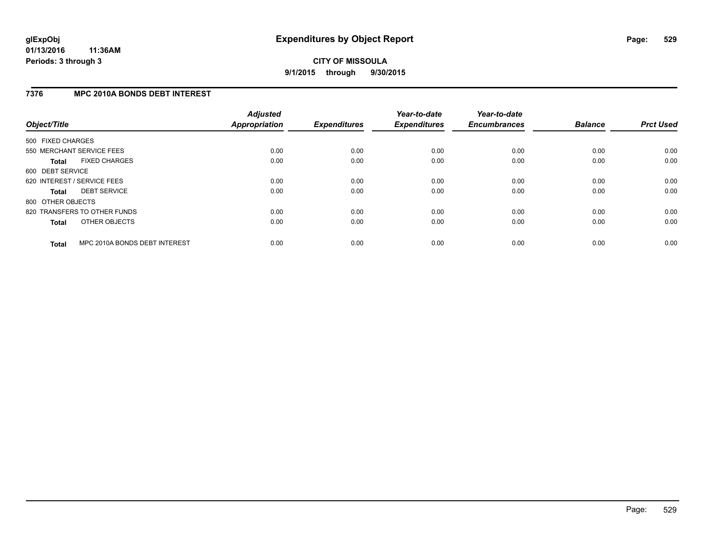## **7376 MPC 2010A BONDS DEBT INTEREST**

| Object/Title      |                               | <b>Adjusted</b><br><b>Appropriation</b> | <b>Expenditures</b> | Year-to-date<br><b>Expenditures</b> | Year-to-date<br><b>Encumbrances</b> | <b>Balance</b> | <b>Prct Used</b> |
|-------------------|-------------------------------|-----------------------------------------|---------------------|-------------------------------------|-------------------------------------|----------------|------------------|
| 500 FIXED CHARGES |                               |                                         |                     |                                     |                                     |                |                  |
|                   | 550 MERCHANT SERVICE FEES     | 0.00                                    | 0.00                | 0.00                                | 0.00                                | 0.00           | 0.00             |
| <b>Total</b>      | <b>FIXED CHARGES</b>          | 0.00                                    | 0.00                | 0.00                                | 0.00                                | 0.00           | 0.00             |
| 600 DEBT SERVICE  |                               |                                         |                     |                                     |                                     |                |                  |
|                   | 620 INTEREST / SERVICE FEES   | 0.00                                    | 0.00                | 0.00                                | 0.00                                | 0.00           | 0.00             |
| <b>Total</b>      | <b>DEBT SERVICE</b>           | 0.00                                    | 0.00                | 0.00                                | 0.00                                | 0.00           | 0.00             |
| 800 OTHER OBJECTS |                               |                                         |                     |                                     |                                     |                |                  |
|                   | 820 TRANSFERS TO OTHER FUNDS  | 0.00                                    | 0.00                | 0.00                                | 0.00                                | 0.00           | 0.00             |
| <b>Total</b>      | OTHER OBJECTS                 | 0.00                                    | 0.00                | 0.00                                | 0.00                                | 0.00           | 0.00             |
| <b>Total</b>      | MPC 2010A BONDS DEBT INTEREST | 0.00                                    | 0.00                | 0.00                                | 0.00                                | 0.00           | 0.00             |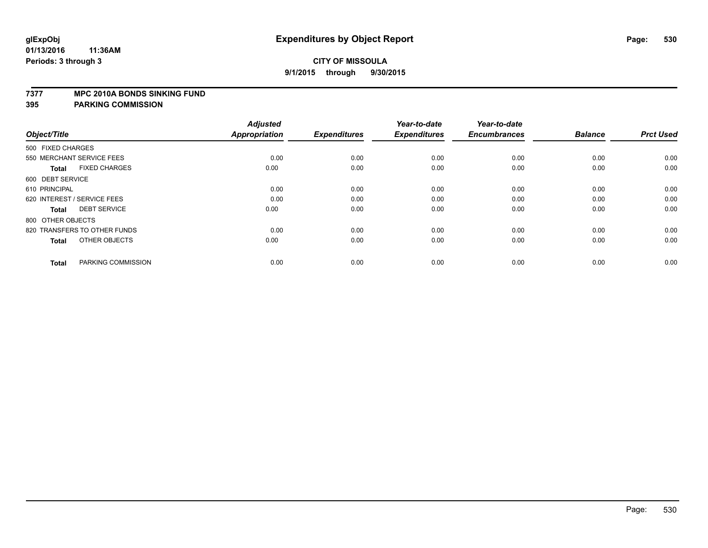#### **7377 MPC 2010A BONDS SINKING FUND**

| Object/Title                         | <b>Adjusted</b><br><b>Appropriation</b> | <b>Expenditures</b> | Year-to-date<br><b>Expenditures</b> | Year-to-date<br><b>Encumbrances</b> | <b>Balance</b> | <b>Prct Used</b> |
|--------------------------------------|-----------------------------------------|---------------------|-------------------------------------|-------------------------------------|----------------|------------------|
| 500 FIXED CHARGES                    |                                         |                     |                                     |                                     |                |                  |
| 550 MERCHANT SERVICE FEES            | 0.00                                    | 0.00                | 0.00                                | 0.00                                | 0.00           | 0.00             |
| <b>FIXED CHARGES</b><br><b>Total</b> | 0.00                                    | 0.00                | 0.00                                | 0.00                                | 0.00           | 0.00             |
| 600 DEBT SERVICE                     |                                         |                     |                                     |                                     |                |                  |
| 610 PRINCIPAL                        | 0.00                                    | 0.00                | 0.00                                | 0.00                                | 0.00           | 0.00             |
| 620 INTEREST / SERVICE FEES          | 0.00                                    | 0.00                | 0.00                                | 0.00                                | 0.00           | 0.00             |
| <b>DEBT SERVICE</b><br><b>Total</b>  | 0.00                                    | 0.00                | 0.00                                | 0.00                                | 0.00           | 0.00             |
| 800 OTHER OBJECTS                    |                                         |                     |                                     |                                     |                |                  |
| 820 TRANSFERS TO OTHER FUNDS         | 0.00                                    | 0.00                | 0.00                                | 0.00                                | 0.00           | 0.00             |
| OTHER OBJECTS<br><b>Total</b>        | 0.00                                    | 0.00                | 0.00                                | 0.00                                | 0.00           | 0.00             |
|                                      |                                         |                     |                                     |                                     |                |                  |
| PARKING COMMISSION<br><b>Total</b>   | 0.00                                    | 0.00                | 0.00                                | 0.00                                | 0.00           | 0.00             |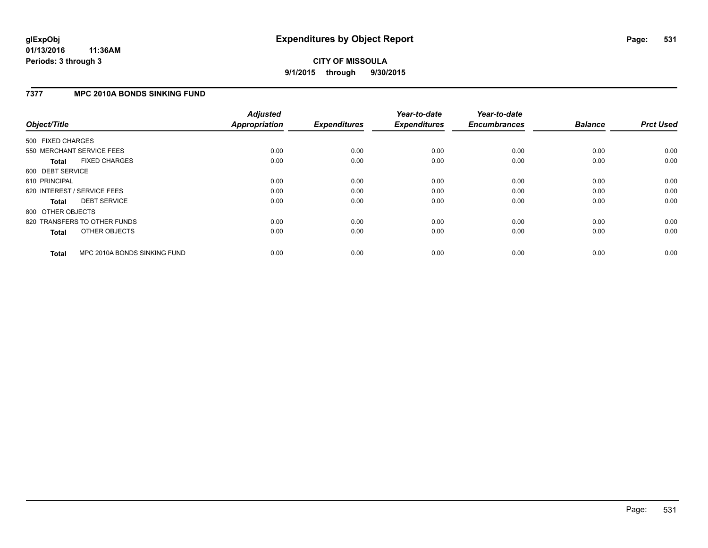## **7377 MPC 2010A BONDS SINKING FUND**

| Object/Title      |                              | <b>Adjusted</b><br><b>Appropriation</b> | <b>Expenditures</b> | Year-to-date<br><b>Expenditures</b> | Year-to-date<br><b>Encumbrances</b> | <b>Balance</b> | <b>Prct Used</b> |
|-------------------|------------------------------|-----------------------------------------|---------------------|-------------------------------------|-------------------------------------|----------------|------------------|
| 500 FIXED CHARGES |                              |                                         |                     |                                     |                                     |                |                  |
|                   | 550 MERCHANT SERVICE FEES    | 0.00                                    | 0.00                | 0.00                                | 0.00                                | 0.00           | 0.00             |
| <b>Total</b>      | <b>FIXED CHARGES</b>         | 0.00                                    | 0.00                | 0.00                                | 0.00                                | 0.00           | 0.00             |
| 600 DEBT SERVICE  |                              |                                         |                     |                                     |                                     |                |                  |
| 610 PRINCIPAL     |                              | 0.00                                    | 0.00                | 0.00                                | 0.00                                | 0.00           | 0.00             |
|                   | 620 INTEREST / SERVICE FEES  | 0.00                                    | 0.00                | 0.00                                | 0.00                                | 0.00           | 0.00             |
| <b>Total</b>      | <b>DEBT SERVICE</b>          | 0.00                                    | 0.00                | 0.00                                | 0.00                                | 0.00           | 0.00             |
| 800 OTHER OBJECTS |                              |                                         |                     |                                     |                                     |                |                  |
|                   | 820 TRANSFERS TO OTHER FUNDS | 0.00                                    | 0.00                | 0.00                                | 0.00                                | 0.00           | 0.00             |
| <b>Total</b>      | OTHER OBJECTS                | 0.00                                    | 0.00                | 0.00                                | 0.00                                | 0.00           | 0.00             |
| <b>Total</b>      | MPC 2010A BONDS SINKING FUND | 0.00                                    | 0.00                | 0.00                                | 0.00                                | 0.00           | 0.00             |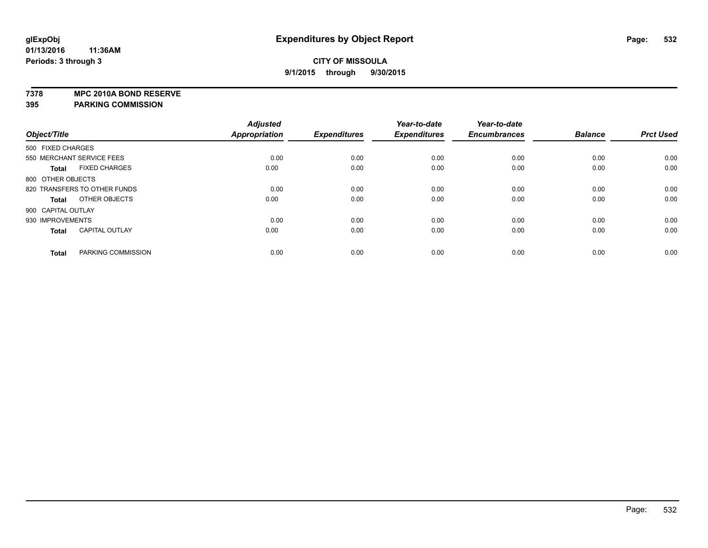**7378 MPC 2010A BOND RESERVE**

|                    |                              | <b>Adjusted</b> |                     | Year-to-date        | Year-to-date        |                |                  |
|--------------------|------------------------------|-----------------|---------------------|---------------------|---------------------|----------------|------------------|
| Object/Title       |                              | Appropriation   | <b>Expenditures</b> | <b>Expenditures</b> | <b>Encumbrances</b> | <b>Balance</b> | <b>Prct Used</b> |
| 500 FIXED CHARGES  |                              |                 |                     |                     |                     |                |                  |
|                    | 550 MERCHANT SERVICE FEES    | 0.00            | 0.00                | 0.00                | 0.00                | 0.00           | 0.00             |
| <b>Total</b>       | <b>FIXED CHARGES</b>         | 0.00            | 0.00                | 0.00                | 0.00                | 0.00           | 0.00             |
| 800 OTHER OBJECTS  |                              |                 |                     |                     |                     |                |                  |
|                    | 820 TRANSFERS TO OTHER FUNDS | 0.00            | 0.00                | 0.00                | 0.00                | 0.00           | 0.00             |
| <b>Total</b>       | OTHER OBJECTS                | 0.00            | 0.00                | 0.00                | 0.00                | 0.00           | 0.00             |
| 900 CAPITAL OUTLAY |                              |                 |                     |                     |                     |                |                  |
| 930 IMPROVEMENTS   |                              | 0.00            | 0.00                | 0.00                | 0.00                | 0.00           | 0.00             |
| <b>Total</b>       | <b>CAPITAL OUTLAY</b>        | 0.00            | 0.00                | 0.00                | 0.00                | 0.00           | 0.00             |
| <b>Total</b>       | PARKING COMMISSION           | 0.00            | 0.00                | 0.00                | 0.00                | 0.00           | 0.00             |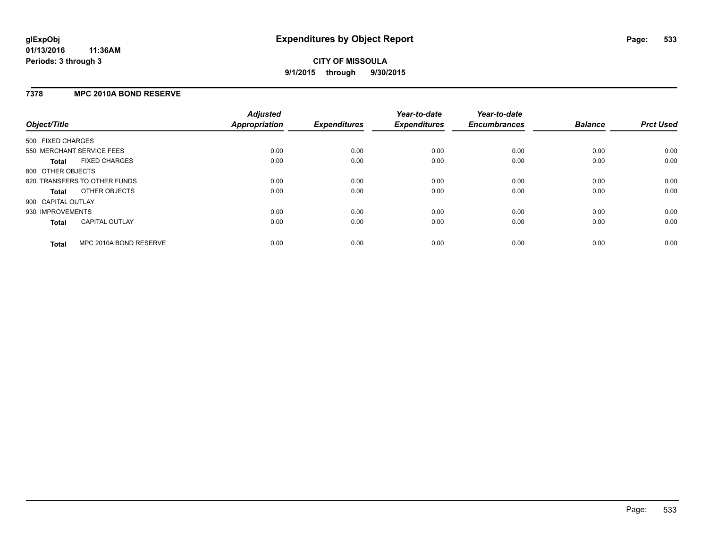## **7378 MPC 2010A BOND RESERVE**

| Object/Title       |                              | <b>Adjusted</b><br><b>Appropriation</b> | <b>Expenditures</b> | Year-to-date<br><b>Expenditures</b> | Year-to-date<br><b>Encumbrances</b> | <b>Balance</b> | <b>Prct Used</b> |
|--------------------|------------------------------|-----------------------------------------|---------------------|-------------------------------------|-------------------------------------|----------------|------------------|
| 500 FIXED CHARGES  |                              |                                         |                     |                                     |                                     |                |                  |
|                    | 550 MERCHANT SERVICE FEES    | 0.00                                    | 0.00                | 0.00                                | 0.00                                | 0.00           | 0.00             |
| <b>Total</b>       | <b>FIXED CHARGES</b>         | 0.00                                    | 0.00                | 0.00                                | 0.00                                | 0.00           | 0.00             |
| 800 OTHER OBJECTS  |                              |                                         |                     |                                     |                                     |                |                  |
|                    | 820 TRANSFERS TO OTHER FUNDS | 0.00                                    | 0.00                | 0.00                                | 0.00                                | 0.00           | 0.00             |
| <b>Total</b>       | OTHER OBJECTS                | 0.00                                    | 0.00                | 0.00                                | 0.00                                | 0.00           | 0.00             |
| 900 CAPITAL OUTLAY |                              |                                         |                     |                                     |                                     |                |                  |
| 930 IMPROVEMENTS   |                              | 0.00                                    | 0.00                | 0.00                                | 0.00                                | 0.00           | 0.00             |
| Total              | <b>CAPITAL OUTLAY</b>        | 0.00                                    | 0.00                | 0.00                                | 0.00                                | 0.00           | 0.00             |
| <b>Total</b>       | MPC 2010A BOND RESERVE       | 0.00                                    | 0.00                | 0.00                                | 0.00                                | 0.00           | 0.00             |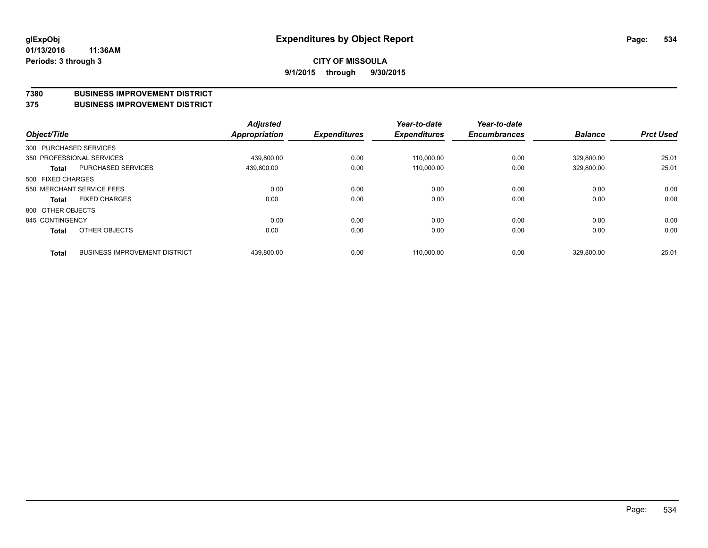#### **7380 BUSINESS IMPROVEMENT DISTRICT**

**375 BUSINESS IMPROVEMENT DISTRICT**

| Object/Title      |                                      | <b>Adjusted</b><br>Appropriation | <b>Expenditures</b> | Year-to-date<br><b>Expenditures</b> | Year-to-date<br><b>Encumbrances</b> | <b>Balance</b> | <b>Prct Used</b> |
|-------------------|--------------------------------------|----------------------------------|---------------------|-------------------------------------|-------------------------------------|----------------|------------------|
|                   | 300 PURCHASED SERVICES               |                                  |                     |                                     |                                     |                |                  |
|                   | 350 PROFESSIONAL SERVICES            | 439.800.00                       | 0.00                | 110.000.00                          | 0.00                                | 329.800.00     | 25.01            |
| <b>Total</b>      | PURCHASED SERVICES                   | 439,800.00                       | 0.00                | 110,000.00                          | 0.00                                | 329,800.00     | 25.01            |
| 500 FIXED CHARGES |                                      |                                  |                     |                                     |                                     |                |                  |
|                   | 550 MERCHANT SERVICE FEES            | 0.00                             | 0.00                | 0.00                                | 0.00                                | 0.00           | 0.00             |
| <b>Total</b>      | <b>FIXED CHARGES</b>                 | 0.00                             | 0.00                | 0.00                                | 0.00                                | 0.00           | 0.00             |
| 800 OTHER OBJECTS |                                      |                                  |                     |                                     |                                     |                |                  |
| 845 CONTINGENCY   |                                      | 0.00                             | 0.00                | 0.00                                | 0.00                                | 0.00           | 0.00             |
| Total             | OTHER OBJECTS                        | 0.00                             | 0.00                | 0.00                                | 0.00                                | 0.00           | 0.00             |
| <b>Total</b>      | <b>BUSINESS IMPROVEMENT DISTRICT</b> | 439,800.00                       | 0.00                | 110.000.00                          | 0.00                                | 329.800.00     | 25.01            |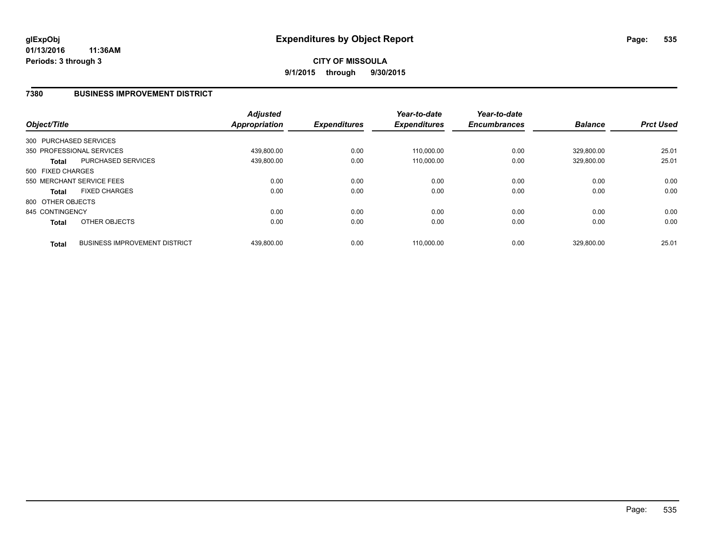## **7380 BUSINESS IMPROVEMENT DISTRICT**

| Object/Title      |                                      | <b>Adjusted</b><br><b>Appropriation</b> | <b>Expenditures</b> | Year-to-date<br><b>Expenditures</b> | Year-to-date<br><b>Encumbrances</b> | <b>Balance</b> | <b>Prct Used</b> |
|-------------------|--------------------------------------|-----------------------------------------|---------------------|-------------------------------------|-------------------------------------|----------------|------------------|
|                   | 300 PURCHASED SERVICES               |                                         |                     |                                     |                                     |                |                  |
|                   | 350 PROFESSIONAL SERVICES            | 439,800.00                              | 0.00                | 110.000.00                          | 0.00                                | 329.800.00     | 25.01            |
| <b>Total</b>      | <b>PURCHASED SERVICES</b>            | 439,800.00                              | 0.00                | 110,000.00                          | 0.00                                | 329,800.00     | 25.01            |
| 500 FIXED CHARGES |                                      |                                         |                     |                                     |                                     |                |                  |
|                   | 550 MERCHANT SERVICE FEES            | 0.00                                    | 0.00                | 0.00                                | 0.00                                | 0.00           | 0.00             |
| <b>Total</b>      | <b>FIXED CHARGES</b>                 | 0.00                                    | 0.00                | 0.00                                | 0.00                                | 0.00           | 0.00             |
| 800 OTHER OBJECTS |                                      |                                         |                     |                                     |                                     |                |                  |
| 845 CONTINGENCY   |                                      | 0.00                                    | 0.00                | 0.00                                | 0.00                                | 0.00           | 0.00             |
| <b>Total</b>      | OTHER OBJECTS                        | 0.00                                    | 0.00                | 0.00                                | 0.00                                | 0.00           | 0.00             |
| <b>Total</b>      | <b>BUSINESS IMPROVEMENT DISTRICT</b> | 439.800.00                              | 0.00                | 110.000.00                          | 0.00                                | 329.800.00     | 25.01            |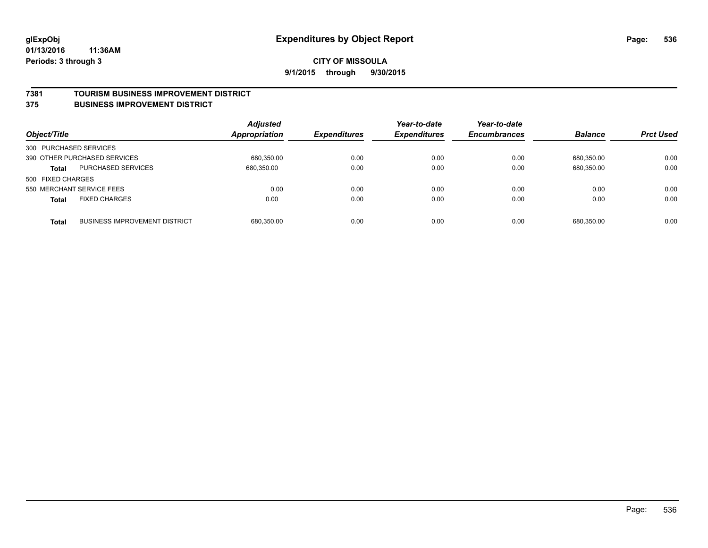#### **7381 TOURISM BUSINESS IMPROVEMENT DISTRICT**

#### **375 BUSINESS IMPROVEMENT DISTRICT**

| Object/Title           |                                      | <b>Adjusted</b><br><b>Appropriation</b> | <b>Expenditures</b> | Year-to-date<br><b>Expenditures</b> | Year-to-date<br><b>Encumbrances</b> | <b>Balance</b> | <b>Prct Used</b> |
|------------------------|--------------------------------------|-----------------------------------------|---------------------|-------------------------------------|-------------------------------------|----------------|------------------|
| 300 PURCHASED SERVICES |                                      |                                         |                     |                                     |                                     |                |                  |
|                        | 390 OTHER PURCHASED SERVICES         | 680,350.00                              | 0.00                | 0.00                                | 0.00                                | 680.350.00     | 0.00             |
| <b>Total</b>           | <b>PURCHASED SERVICES</b>            | 680.350.00                              | 0.00                | 0.00                                | 0.00                                | 680,350.00     | 0.00             |
| 500 FIXED CHARGES      |                                      |                                         |                     |                                     |                                     |                |                  |
|                        | 550 MERCHANT SERVICE FEES            | 0.00                                    | 0.00                | 0.00                                | 0.00                                | 0.00           | 0.00             |
| <b>Total</b>           | <b>FIXED CHARGES</b>                 | 0.00                                    | 0.00                | 0.00                                | 0.00                                | 0.00           | 0.00             |
| <b>Total</b>           | <b>BUSINESS IMPROVEMENT DISTRICT</b> | 680,350.00                              | 0.00                | 0.00                                | 0.00                                | 680.350.00     | 0.00             |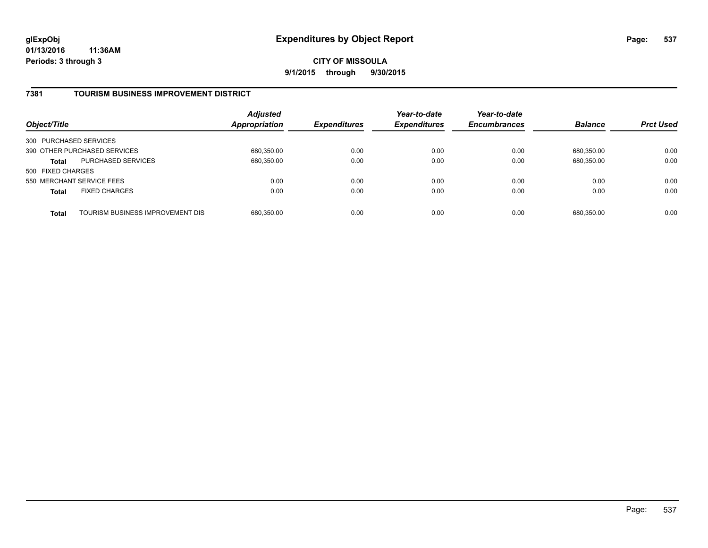**01/13/2016 11:36AM Periods: 3 through 3**

**CITY OF MISSOULA 9/1/2015 through 9/30/2015**

## **7381 TOURISM BUSINESS IMPROVEMENT DISTRICT**

| Object/Title              |                                  | <b>Adjusted</b><br>Appropriation | <b>Expenditures</b> | Year-to-date<br><b>Expenditures</b> | Year-to-date<br><b>Encumbrances</b> | <b>Balance</b> | <b>Prct Used</b> |
|---------------------------|----------------------------------|----------------------------------|---------------------|-------------------------------------|-------------------------------------|----------------|------------------|
| 300 PURCHASED SERVICES    |                                  |                                  |                     |                                     |                                     |                |                  |
|                           | 390 OTHER PURCHASED SERVICES     | 680,350.00                       | 0.00                | 0.00                                | 0.00                                | 680.350.00     | 0.00             |
| <b>Total</b>              | <b>PURCHASED SERVICES</b>        | 680,350.00                       | 0.00                | 0.00                                | 0.00                                | 680,350.00     | 0.00             |
| 500 FIXED CHARGES         |                                  |                                  |                     |                                     |                                     |                |                  |
| 550 MERCHANT SERVICE FEES |                                  | 0.00                             | 0.00                | 0.00                                | 0.00                                | 0.00           | 0.00             |
| <b>Total</b>              | <b>FIXED CHARGES</b>             | 0.00                             | 0.00                | 0.00                                | 0.00                                | 0.00           | 0.00             |
| <b>Total</b>              | TOURISM BUSINESS IMPROVEMENT DIS | 680,350.00                       | 0.00                | 0.00                                | 0.00                                | 680,350.00     | 0.00             |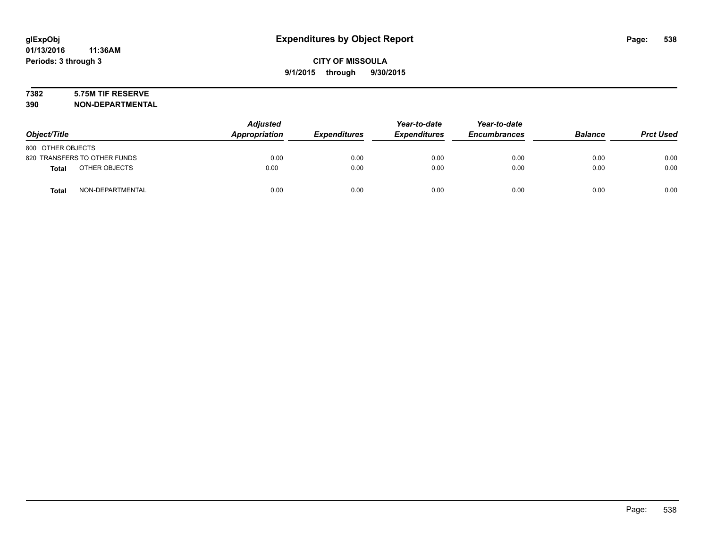# **7382 5.75M TIF RESERVE**

**390 NON-DEPARTMENTAL**

| Object/Title                     | <b>Adjusted</b><br>Appropriation | <b>Expenditures</b> | Year-to-date<br><b>Expenditures</b> | Year-to-date<br><b>Encumbrances</b> | <b>Balance</b> | <b>Prct Used</b> |
|----------------------------------|----------------------------------|---------------------|-------------------------------------|-------------------------------------|----------------|------------------|
| 800 OTHER OBJECTS                |                                  |                     |                                     |                                     |                |                  |
| 820 TRANSFERS TO OTHER FUNDS     | 0.00                             | 0.00                | 0.00                                | 0.00                                | 0.00           | 0.00             |
| OTHER OBJECTS<br><b>Total</b>    | 0.00                             | 0.00                | 0.00                                | 0.00                                | 0.00           | 0.00             |
| NON-DEPARTMENTAL<br><b>Total</b> | 0.00                             | 0.00                | 0.00                                | 0.00                                | 0.00           | 0.00             |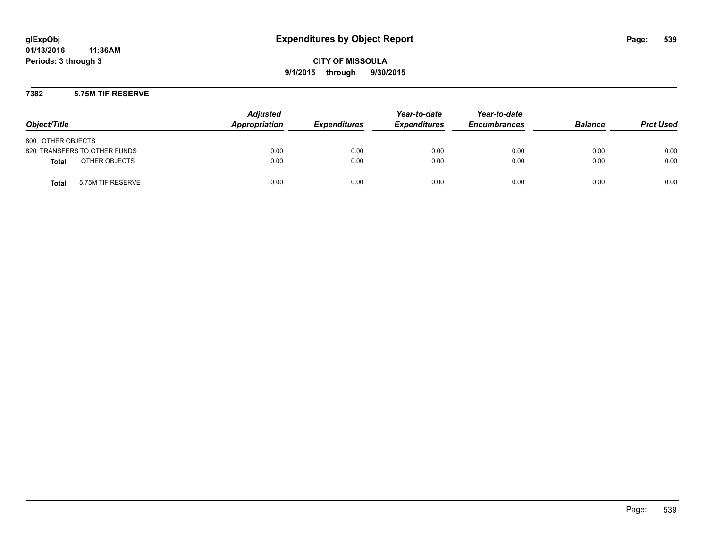**01/13/2016 11:36AM Periods: 3 through 3**

**CITY OF MISSOULA 9/1/2015 through 9/30/2015**

**7382 5.75M TIF RESERVE**

| Object/Title                      | <b>Adjusted</b><br>Appropriation | <b>Expenditures</b> | Year-to-date<br><b>Expenditures</b> | Year-to-date<br><b>Encumbrances</b> | <b>Balance</b> | <b>Prct Used</b> |
|-----------------------------------|----------------------------------|---------------------|-------------------------------------|-------------------------------------|----------------|------------------|
| 800 OTHER OBJECTS                 |                                  |                     |                                     |                                     |                |                  |
| 820 TRANSFERS TO OTHER FUNDS      | 0.00                             | 0.00                | 0.00                                | 0.00                                | 0.00           | 0.00             |
| OTHER OBJECTS<br><b>Total</b>     | 0.00                             | 0.00                | 0.00                                | 0.00                                | 0.00           | 0.00             |
| <b>Total</b><br>5.75M TIF RESERVE | 0.00                             | 0.00                | 0.00                                | 0.00                                | 0.00           | 0.00             |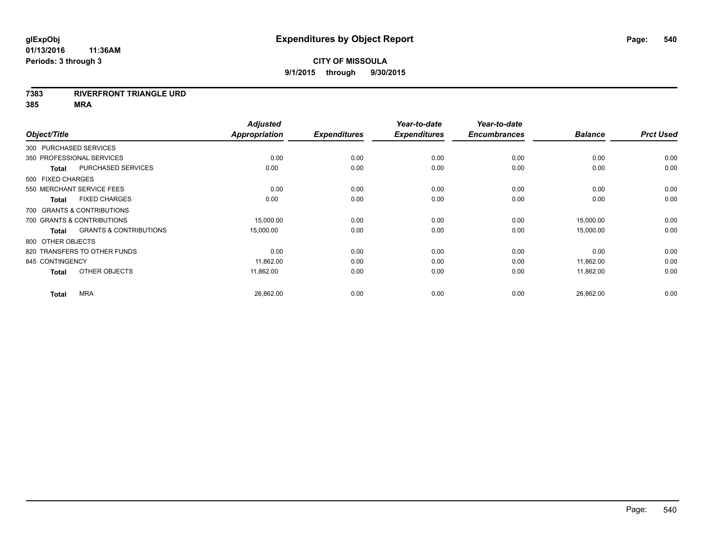#### **7383 RIVERFRONT TRIANGLE URD**

**385 MRA**

| Object/Title           |                                   | <b>Adjusted</b><br>Appropriation | <b>Expenditures</b> | Year-to-date<br><b>Expenditures</b> | Year-to-date<br><b>Encumbrances</b> | <b>Balance</b> | <b>Prct Used</b> |
|------------------------|-----------------------------------|----------------------------------|---------------------|-------------------------------------|-------------------------------------|----------------|------------------|
| 300 PURCHASED SERVICES |                                   |                                  |                     |                                     |                                     |                |                  |
|                        | 350 PROFESSIONAL SERVICES         | 0.00                             | 0.00                | 0.00                                | 0.00                                | 0.00           | 0.00             |
| <b>Total</b>           | PURCHASED SERVICES                | 0.00                             | 0.00                | 0.00                                | 0.00                                | 0.00           | 0.00             |
| 500 FIXED CHARGES      |                                   |                                  |                     |                                     |                                     |                |                  |
|                        | 550 MERCHANT SERVICE FEES         | 0.00                             | 0.00                | 0.00                                | 0.00                                | 0.00           | 0.00             |
| <b>Total</b>           | <b>FIXED CHARGES</b>              | 0.00                             | 0.00                | 0.00                                | 0.00                                | 0.00           | 0.00             |
|                        | 700 GRANTS & CONTRIBUTIONS        |                                  |                     |                                     |                                     |                |                  |
|                        | 700 GRANTS & CONTRIBUTIONS        | 15,000.00                        | 0.00                | 0.00                                | 0.00                                | 15,000.00      | 0.00             |
| <b>Total</b>           | <b>GRANTS &amp; CONTRIBUTIONS</b> | 15,000.00                        | 0.00                | 0.00                                | 0.00                                | 15,000.00      | 0.00             |
| 800 OTHER OBJECTS      |                                   |                                  |                     |                                     |                                     |                |                  |
|                        | 820 TRANSFERS TO OTHER FUNDS      | 0.00                             | 0.00                | 0.00                                | 0.00                                | 0.00           | 0.00             |
| 845 CONTINGENCY        |                                   | 11,862.00                        | 0.00                | 0.00                                | 0.00                                | 11,862.00      | 0.00             |
| <b>Total</b>           | OTHER OBJECTS                     | 11.862.00                        | 0.00                | 0.00                                | 0.00                                | 11,862.00      | 0.00             |
| <b>Total</b>           | <b>MRA</b>                        | 26,862.00                        | 0.00                | 0.00                                | 0.00                                | 26,862.00      | 0.00             |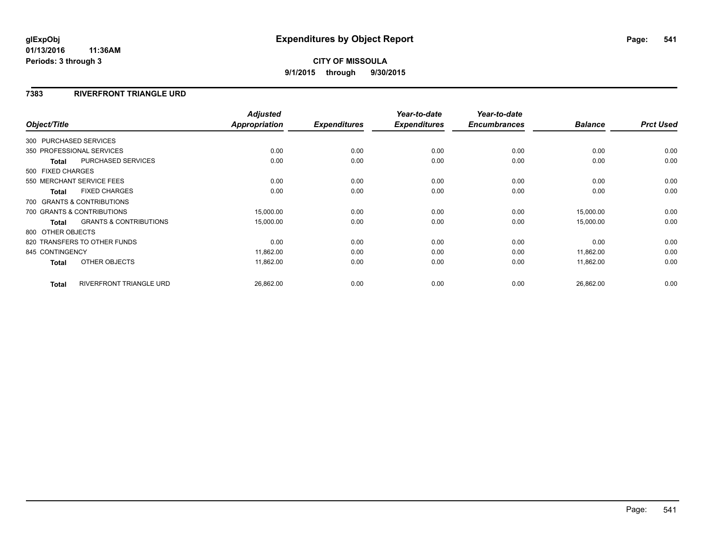## **7383 RIVERFRONT TRIANGLE URD**

| Object/Title           |                                   | <b>Adjusted</b><br><b>Appropriation</b> | <b>Expenditures</b> | Year-to-date<br><b>Expenditures</b> | Year-to-date<br><b>Encumbrances</b> | <b>Balance</b> | <b>Prct Used</b> |
|------------------------|-----------------------------------|-----------------------------------------|---------------------|-------------------------------------|-------------------------------------|----------------|------------------|
|                        |                                   |                                         |                     |                                     |                                     |                |                  |
| 300 PURCHASED SERVICES |                                   |                                         |                     |                                     |                                     |                |                  |
|                        | 350 PROFESSIONAL SERVICES         | 0.00                                    | 0.00                | 0.00                                | 0.00                                | 0.00           | 0.00             |
| <b>Total</b>           | <b>PURCHASED SERVICES</b>         | 0.00                                    | 0.00                | 0.00                                | 0.00                                | 0.00           | 0.00             |
| 500 FIXED CHARGES      |                                   |                                         |                     |                                     |                                     |                |                  |
|                        | 550 MERCHANT SERVICE FEES         | 0.00                                    | 0.00                | 0.00                                | 0.00                                | 0.00           | 0.00             |
| <b>Total</b>           | <b>FIXED CHARGES</b>              | 0.00                                    | 0.00                | 0.00                                | 0.00                                | 0.00           | 0.00             |
|                        | 700 GRANTS & CONTRIBUTIONS        |                                         |                     |                                     |                                     |                |                  |
|                        | 700 GRANTS & CONTRIBUTIONS        | 15,000.00                               | 0.00                | 0.00                                | 0.00                                | 15,000.00      | 0.00             |
| <b>Total</b>           | <b>GRANTS &amp; CONTRIBUTIONS</b> | 15,000.00                               | 0.00                | 0.00                                | 0.00                                | 15,000.00      | 0.00             |
| 800 OTHER OBJECTS      |                                   |                                         |                     |                                     |                                     |                |                  |
|                        | 820 TRANSFERS TO OTHER FUNDS      | 0.00                                    | 0.00                | 0.00                                | 0.00                                | 0.00           | 0.00             |
| 845 CONTINGENCY        |                                   | 11,862.00                               | 0.00                | 0.00                                | 0.00                                | 11,862.00      | 0.00             |
| Total                  | OTHER OBJECTS                     | 11,862.00                               | 0.00                | 0.00                                | 0.00                                | 11,862.00      | 0.00             |
| <b>Total</b>           | <b>RIVERFRONT TRIANGLE URD</b>    | 26,862.00                               | 0.00                | 0.00                                | 0.00                                | 26,862.00      | 0.00             |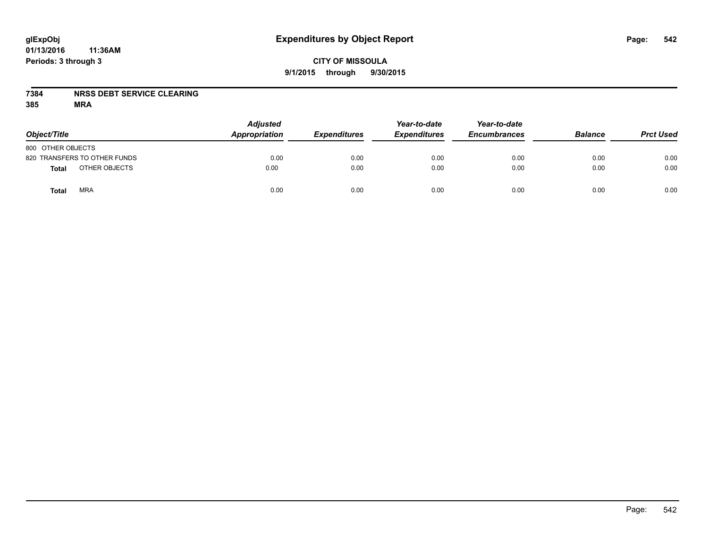## **CITY OF MISSOULA 9/1/2015 through 9/30/2015**

## **7384 NRSS DEBT SERVICE CLEARING**

| Object/Title                 | <b>Adjusted</b><br>Appropriation | <b>Expenditures</b> | Year-to-date<br><b>Expenditures</b> | Year-to-date<br><b>Encumbrances</b> | <b>Balance</b> | <b>Prct Used</b> |
|------------------------------|----------------------------------|---------------------|-------------------------------------|-------------------------------------|----------------|------------------|
| 800 OTHER OBJECTS            |                                  |                     |                                     |                                     |                |                  |
| 820 TRANSFERS TO OTHER FUNDS | 0.00                             | 0.00                | 0.00                                | 0.00                                | 0.00           | 0.00             |
| OTHER OBJECTS<br>Total       | 0.00                             | 0.00                | 0.00                                | 0.00                                | 0.00           | 0.00             |
| <b>MRA</b><br>Total          | 0.00                             | 0.00                | 0.00                                | 0.00                                | 0.00           | 0.00             |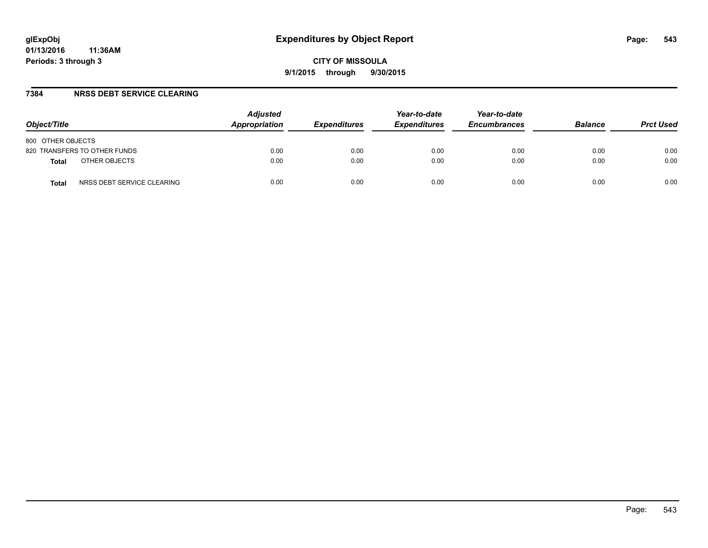#### **7384 NRSS DEBT SERVICE CLEARING**

| Object/Title                        | <b>Adjusted</b><br>Appropriation | <i><b>Expenditures</b></i> | Year-to-date<br><b>Expenditures</b> | Year-to-date<br><b>Encumbrances</b> | <b>Balance</b> | <b>Prct Used</b> |
|-------------------------------------|----------------------------------|----------------------------|-------------------------------------|-------------------------------------|----------------|------------------|
| 800 OTHER OBJECTS                   |                                  |                            |                                     |                                     |                |                  |
| 820 TRANSFERS TO OTHER FUNDS        | 0.00                             | 0.00                       | 0.00                                | 0.00                                | 0.00           | 0.00             |
| OTHER OBJECTS<br><b>Total</b>       | 0.00                             | 0.00                       | 0.00                                | 0.00                                | 0.00           | 0.00             |
| NRSS DEBT SERVICE CLEARING<br>Total | 0.00                             | 0.00                       | 0.00                                | 0.00                                | 0.00           | 0.00             |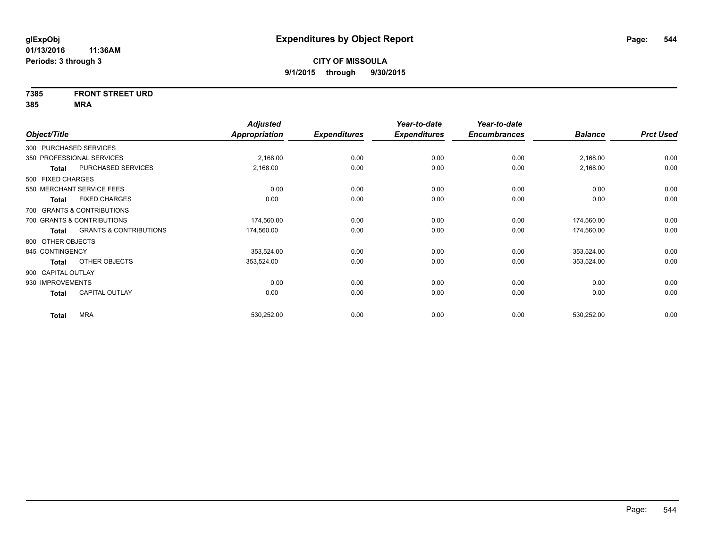# **7385 FRONT STREET URD**

|                                            | <b>Adjusted</b>      |                     | Year-to-date        | Year-to-date        |                |                  |
|--------------------------------------------|----------------------|---------------------|---------------------|---------------------|----------------|------------------|
| Object/Title                               | <b>Appropriation</b> | <b>Expenditures</b> | <b>Expenditures</b> | <b>Encumbrances</b> | <b>Balance</b> | <b>Prct Used</b> |
| 300 PURCHASED SERVICES                     |                      |                     |                     |                     |                |                  |
| 350 PROFESSIONAL SERVICES                  | 2,168.00             | 0.00                | 0.00                | 0.00                | 2,168.00       | 0.00             |
| PURCHASED SERVICES<br><b>Total</b>         | 2,168.00             | 0.00                | 0.00                | 0.00                | 2,168.00       | 0.00             |
| 500 FIXED CHARGES                          |                      |                     |                     |                     |                |                  |
| 550 MERCHANT SERVICE FEES                  | 0.00                 | 0.00                | 0.00                | 0.00                | 0.00           | 0.00             |
| <b>FIXED CHARGES</b><br><b>Total</b>       | 0.00                 | 0.00                | 0.00                | 0.00                | 0.00           | 0.00             |
| 700 GRANTS & CONTRIBUTIONS                 |                      |                     |                     |                     |                |                  |
| 700 GRANTS & CONTRIBUTIONS                 | 174,560.00           | 0.00                | 0.00                | 0.00                | 174,560.00     | 0.00             |
| <b>GRANTS &amp; CONTRIBUTIONS</b><br>Total | 174,560.00           | 0.00                | 0.00                | 0.00                | 174,560.00     | 0.00             |
| 800 OTHER OBJECTS                          |                      |                     |                     |                     |                |                  |
| 845 CONTINGENCY                            | 353,524.00           | 0.00                | 0.00                | 0.00                | 353,524.00     | 0.00             |
| OTHER OBJECTS<br>Total                     | 353,524.00           | 0.00                | 0.00                | 0.00                | 353,524.00     | 0.00             |
| 900 CAPITAL OUTLAY                         |                      |                     |                     |                     |                |                  |
| 930 IMPROVEMENTS                           | 0.00                 | 0.00                | 0.00                | 0.00                | 0.00           | 0.00             |
| <b>CAPITAL OUTLAY</b><br><b>Total</b>      | 0.00                 | 0.00                | 0.00                | 0.00                | 0.00           | 0.00             |
|                                            |                      |                     |                     |                     |                |                  |
| <b>MRA</b><br><b>Total</b>                 | 530,252.00           | 0.00                | 0.00                | 0.00                | 530,252.00     | 0.00             |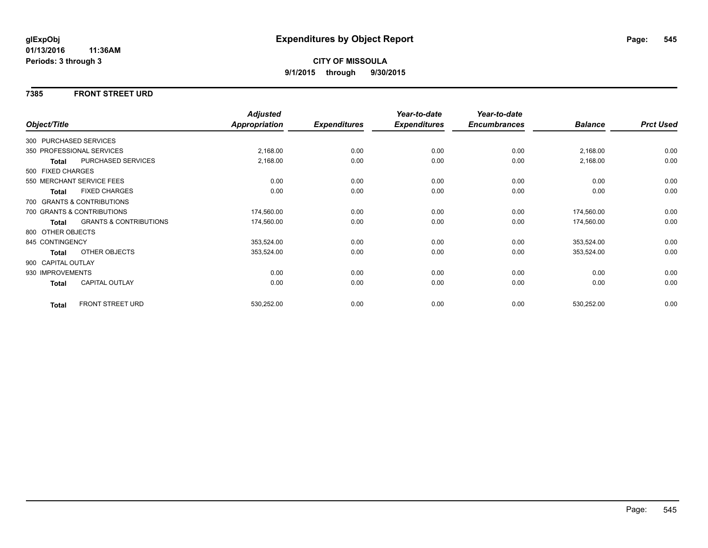#### **7385 FRONT STREET URD**

|                    |                                   | <b>Adjusted</b>      |                     | Year-to-date        | Year-to-date        |                |                  |
|--------------------|-----------------------------------|----------------------|---------------------|---------------------|---------------------|----------------|------------------|
| Object/Title       |                                   | <b>Appropriation</b> | <b>Expenditures</b> | <b>Expenditures</b> | <b>Encumbrances</b> | <b>Balance</b> | <b>Prct Used</b> |
|                    | 300 PURCHASED SERVICES            |                      |                     |                     |                     |                |                  |
|                    | 350 PROFESSIONAL SERVICES         | 2,168.00             | 0.00                | 0.00                | 0.00                | 2,168.00       | 0.00             |
| <b>Total</b>       | PURCHASED SERVICES                | 2,168.00             | 0.00                | 0.00                | 0.00                | 2,168.00       | 0.00             |
| 500 FIXED CHARGES  |                                   |                      |                     |                     |                     |                |                  |
|                    | 550 MERCHANT SERVICE FEES         | 0.00                 | 0.00                | 0.00                | 0.00                | 0.00           | 0.00             |
| <b>Total</b>       | <b>FIXED CHARGES</b>              | 0.00                 | 0.00                | 0.00                | 0.00                | 0.00           | 0.00             |
|                    | 700 GRANTS & CONTRIBUTIONS        |                      |                     |                     |                     |                |                  |
|                    | 700 GRANTS & CONTRIBUTIONS        | 174,560.00           | 0.00                | 0.00                | 0.00                | 174,560.00     | 0.00             |
| <b>Total</b>       | <b>GRANTS &amp; CONTRIBUTIONS</b> | 174,560.00           | 0.00                | 0.00                | 0.00                | 174,560.00     | 0.00             |
| 800 OTHER OBJECTS  |                                   |                      |                     |                     |                     |                |                  |
| 845 CONTINGENCY    |                                   | 353,524.00           | 0.00                | 0.00                | 0.00                | 353,524.00     | 0.00             |
| <b>Total</b>       | OTHER OBJECTS                     | 353,524.00           | 0.00                | 0.00                | 0.00                | 353,524.00     | 0.00             |
| 900 CAPITAL OUTLAY |                                   |                      |                     |                     |                     |                |                  |
| 930 IMPROVEMENTS   |                                   | 0.00                 | 0.00                | 0.00                | 0.00                | 0.00           | 0.00             |
| <b>Total</b>       | CAPITAL OUTLAY                    | 0.00                 | 0.00                | 0.00                | 0.00                | 0.00           | 0.00             |
| <b>Total</b>       | <b>FRONT STREET URD</b>           | 530,252.00           | 0.00                | 0.00                | 0.00                | 530,252.00     | 0.00             |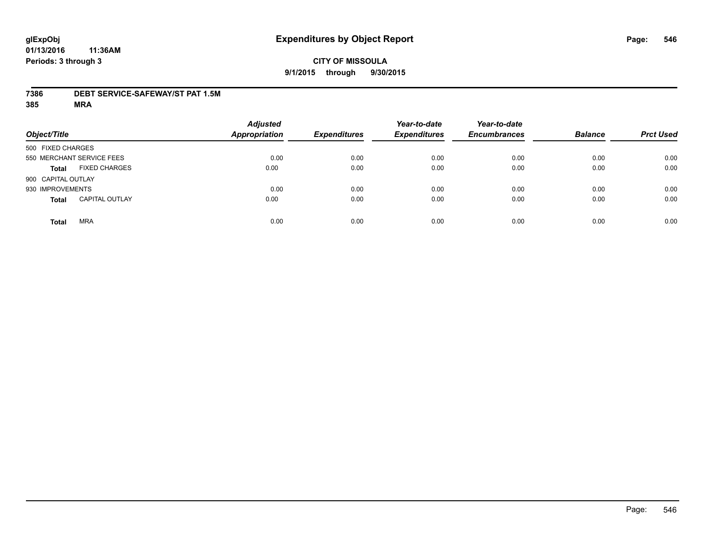#### **7386 DEBT SERVICE-SAFEWAY/ST PAT 1.5M**

| Object/Title               |                       | <b>Adjusted</b><br><b>Appropriation</b> | <b>Expenditures</b> | Year-to-date<br><b>Expenditures</b> | Year-to-date<br><b>Encumbrances</b> | <b>Balance</b> | <b>Prct Used</b> |
|----------------------------|-----------------------|-----------------------------------------|---------------------|-------------------------------------|-------------------------------------|----------------|------------------|
| 500 FIXED CHARGES          |                       |                                         |                     |                                     |                                     |                |                  |
| 550 MERCHANT SERVICE FEES  |                       | 0.00                                    | 0.00                | 0.00                                | 0.00                                | 0.00           | 0.00             |
| <b>Total</b>               | <b>FIXED CHARGES</b>  | 0.00                                    | 0.00                | 0.00                                | 0.00                                | 0.00           | 0.00             |
| 900 CAPITAL OUTLAY         |                       |                                         |                     |                                     |                                     |                |                  |
| 930 IMPROVEMENTS           |                       | 0.00                                    | 0.00                | 0.00                                | 0.00                                | 0.00           | 0.00             |
| <b>Total</b>               | <b>CAPITAL OUTLAY</b> | 0.00                                    | 0.00                | 0.00                                | 0.00                                | 0.00           | 0.00             |
| <b>MRA</b><br><b>Total</b> |                       | 0.00                                    | 0.00                | 0.00                                | 0.00                                | 0.00           | 0.00             |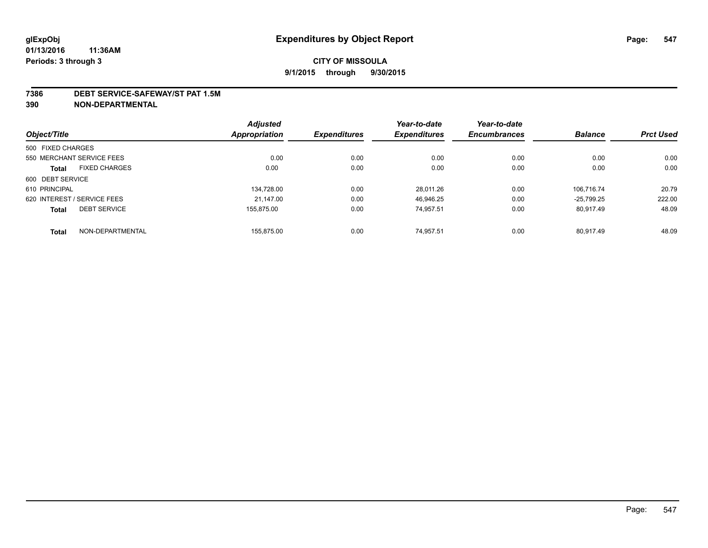#### **7386 DEBT SERVICE-SAFEWAY/ST PAT 1.5M**

**390 NON-DEPARTMENTAL**

|                                      | <b>Adjusted</b> |                     | Year-to-date        | Year-to-date        |                |                  |
|--------------------------------------|-----------------|---------------------|---------------------|---------------------|----------------|------------------|
| Object/Title                         | Appropriation   | <b>Expenditures</b> | <b>Expenditures</b> | <b>Encumbrances</b> | <b>Balance</b> | <b>Prct Used</b> |
| 500 FIXED CHARGES                    |                 |                     |                     |                     |                |                  |
| 550 MERCHANT SERVICE FEES            | 0.00            | 0.00                | 0.00                | 0.00                | 0.00           | 0.00             |
| <b>FIXED CHARGES</b><br><b>Total</b> | 0.00            | 0.00                | 0.00                | 0.00                | 0.00           | 0.00             |
| 600 DEBT SERVICE                     |                 |                     |                     |                     |                |                  |
| 610 PRINCIPAL                        | 134.728.00      | 0.00                | 28.011.26           | 0.00                | 106.716.74     | 20.79            |
| 620 INTEREST / SERVICE FEES          | 21.147.00       | 0.00                | 46.946.25           | 0.00                | $-25.799.25$   | 222.00           |
| <b>DEBT SERVICE</b><br><b>Total</b>  | 155.875.00      | 0.00                | 74.957.51           | 0.00                | 80.917.49      | 48.09            |
| NON-DEPARTMENTAL<br><b>Total</b>     | 155.875.00      | 0.00                | 74.957.51           | 0.00                | 80.917.49      | 48.09            |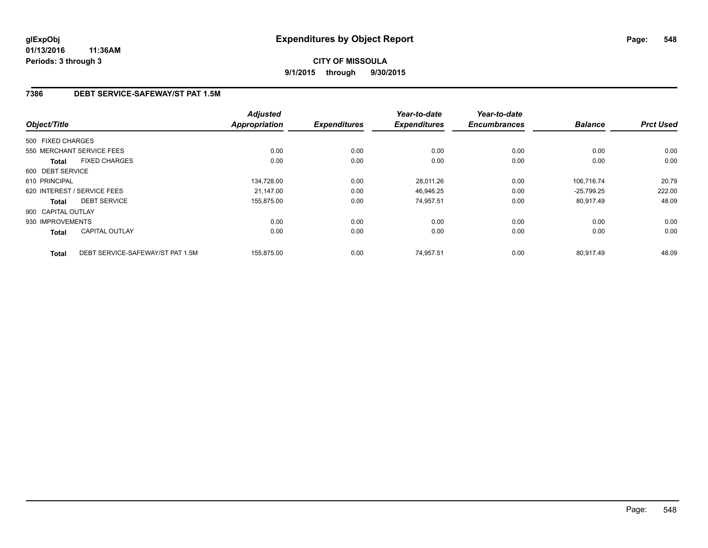## **7386 DEBT SERVICE-SAFEWAY/ST PAT 1.5M**

|                    |                                  | <b>Adjusted</b> |                     | Year-to-date        | Year-to-date        |                |                  |
|--------------------|----------------------------------|-----------------|---------------------|---------------------|---------------------|----------------|------------------|
| Object/Title       |                                  | Appropriation   | <b>Expenditures</b> | <b>Expenditures</b> | <b>Encumbrances</b> | <b>Balance</b> | <b>Prct Used</b> |
| 500 FIXED CHARGES  |                                  |                 |                     |                     |                     |                |                  |
|                    | 550 MERCHANT SERVICE FEES        | 0.00            | 0.00                | 0.00                | 0.00                | 0.00           | 0.00             |
| <b>Total</b>       | <b>FIXED CHARGES</b>             | 0.00            | 0.00                | 0.00                | 0.00                | 0.00           | 0.00             |
| 600 DEBT SERVICE   |                                  |                 |                     |                     |                     |                |                  |
| 610 PRINCIPAL      |                                  | 134,728.00      | 0.00                | 28,011.26           | 0.00                | 106.716.74     | 20.79            |
|                    | 620 INTEREST / SERVICE FEES      | 21.147.00       | 0.00                | 46.946.25           | 0.00                | $-25.799.25$   | 222.00           |
| Total              | <b>DEBT SERVICE</b>              | 155,875.00      | 0.00                | 74,957.51           | 0.00                | 80,917.49      | 48.09            |
| 900 CAPITAL OUTLAY |                                  |                 |                     |                     |                     |                |                  |
| 930 IMPROVEMENTS   |                                  | 0.00            | 0.00                | 0.00                | 0.00                | 0.00           | 0.00             |
| Total              | <b>CAPITAL OUTLAY</b>            | 0.00            | 0.00                | 0.00                | 0.00                | 0.00           | 0.00             |
| <b>Total</b>       | DEBT SERVICE-SAFEWAY/ST PAT 1.5M | 155,875.00      | 0.00                | 74,957.51           | 0.00                | 80,917.49      | 48.09            |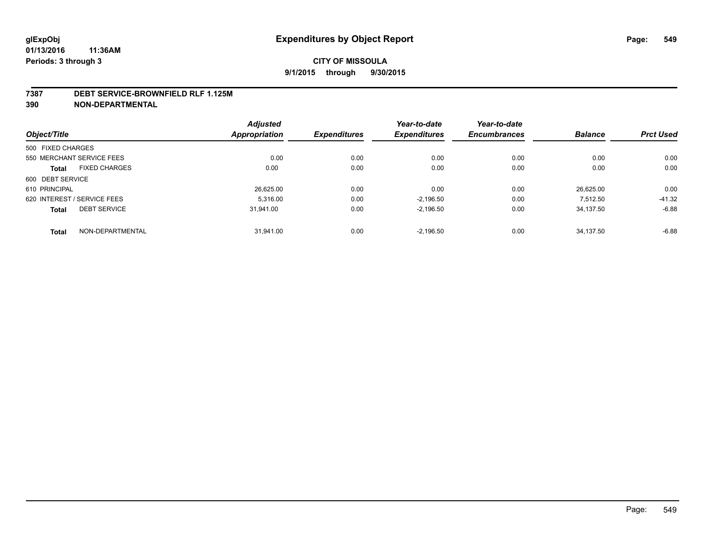#### **7387 DEBT SERVICE-BROWNFIELD RLF 1.125M**

**390 NON-DEPARTMENTAL**

| Object/Title                |                      | <b>Adjusted</b><br>Appropriation | <b>Expenditures</b> | Year-to-date<br><b>Expenditures</b> | Year-to-date<br><b>Encumbrances</b> | <b>Balance</b> | <b>Prct Used</b> |
|-----------------------------|----------------------|----------------------------------|---------------------|-------------------------------------|-------------------------------------|----------------|------------------|
|                             |                      |                                  |                     |                                     |                                     |                |                  |
| 550 MERCHANT SERVICE FEES   |                      | 0.00                             | 0.00                | 0.00                                | 0.00                                | 0.00           | 0.00             |
| <b>Total</b>                | <b>FIXED CHARGES</b> | 0.00                             | 0.00                | 0.00                                | 0.00                                | 0.00           | 0.00             |
| 600 DEBT SERVICE            |                      |                                  |                     |                                     |                                     |                |                  |
| 610 PRINCIPAL               |                      | 26,625.00                        | 0.00                | 0.00                                | 0.00                                | 26.625.00      | 0.00             |
| 620 INTEREST / SERVICE FEES |                      | 5.316.00                         | 0.00                | $-2.196.50$                         | 0.00                                | 7.512.50       | $-41.32$         |
| <b>Total</b>                | <b>DEBT SERVICE</b>  | 31.941.00                        | 0.00                | $-2,196.50$                         | 0.00                                | 34.137.50      | $-6.88$          |
| <b>Total</b>                | NON-DEPARTMENTAL     | 31.941.00                        | 0.00                | $-2.196.50$                         | 0.00                                | 34.137.50      | $-6.88$          |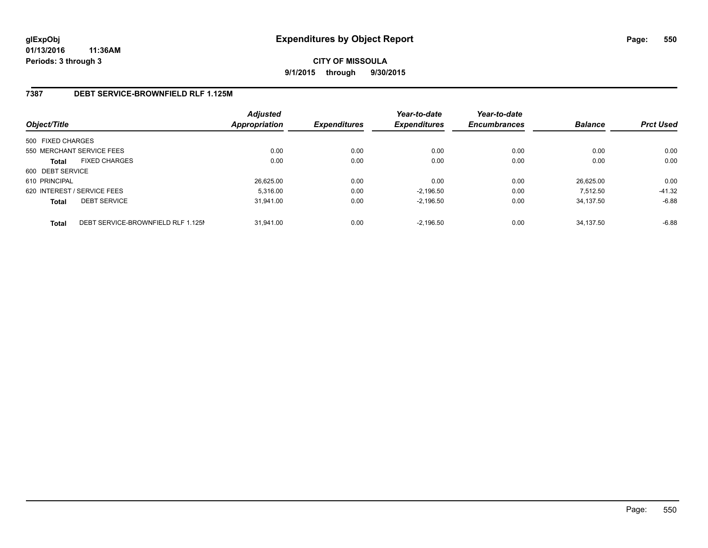## **CITY OF MISSOULA 9/1/2015 through 9/30/2015**

## **7387 DEBT SERVICE-BROWNFIELD RLF 1.125M**

| Object/Title      |                                    | <b>Adjusted</b><br>Appropriation | <b>Expenditures</b> | Year-to-date<br><b>Expenditures</b> | Year-to-date<br><b>Encumbrances</b> | <b>Balance</b> | <b>Prct Used</b> |
|-------------------|------------------------------------|----------------------------------|---------------------|-------------------------------------|-------------------------------------|----------------|------------------|
| 500 FIXED CHARGES |                                    |                                  |                     |                                     |                                     |                |                  |
|                   | 550 MERCHANT SERVICE FEES          | 0.00                             | 0.00                | 0.00                                | 0.00                                | 0.00           | 0.00             |
| <b>Total</b>      | <b>FIXED CHARGES</b>               | 0.00                             | 0.00                | 0.00                                | 0.00                                | 0.00           | 0.00             |
| 600 DEBT SERVICE  |                                    |                                  |                     |                                     |                                     |                |                  |
| 610 PRINCIPAL     |                                    | 26,625.00                        | 0.00                | 0.00                                | 0.00                                | 26.625.00      | 0.00             |
|                   | 620 INTEREST / SERVICE FEES        | 5.316.00                         | 0.00                | $-2.196.50$                         | 0.00                                | 7.512.50       | $-41.32$         |
| <b>Total</b>      | <b>DEBT SERVICE</b>                | 31.941.00                        | 0.00                | $-2.196.50$                         | 0.00                                | 34.137.50      | $-6.88$          |
| <b>Total</b>      | DEBT SERVICE-BROWNFIELD RLF 1.125M | 31.941.00                        | 0.00                | $-2.196.50$                         | 0.00                                | 34.137.50      | $-6.88$          |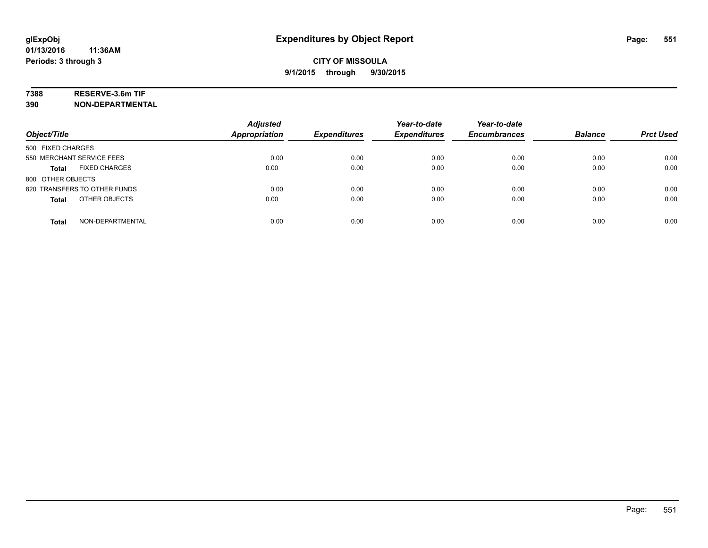## **7388 RESERVE-3.6m TIF**

**390 NON-DEPARTMENTAL**

| Object/Title                         | <b>Adjusted</b><br><b>Appropriation</b> | <b>Expenditures</b> | Year-to-date<br><b>Expenditures</b> | Year-to-date<br><b>Encumbrances</b> | <b>Balance</b> | <b>Prct Used</b> |
|--------------------------------------|-----------------------------------------|---------------------|-------------------------------------|-------------------------------------|----------------|------------------|
| 500 FIXED CHARGES                    |                                         |                     |                                     |                                     |                |                  |
| 550 MERCHANT SERVICE FEES            | 0.00                                    | 0.00                | 0.00                                | 0.00                                | 0.00           | 0.00             |
| <b>FIXED CHARGES</b><br><b>Total</b> | 0.00                                    | 0.00                | 0.00                                | 0.00                                | 0.00           | 0.00             |
| 800 OTHER OBJECTS                    |                                         |                     |                                     |                                     |                |                  |
| 820 TRANSFERS TO OTHER FUNDS         | 0.00                                    | 0.00                | 0.00                                | 0.00                                | 0.00           | 0.00             |
| OTHER OBJECTS<br><b>Total</b>        | 0.00                                    | 0.00                | 0.00                                | 0.00                                | 0.00           | 0.00             |
| NON-DEPARTMENTAL<br><b>Total</b>     | 0.00                                    | 0.00                | 0.00                                | 0.00                                | 0.00           | 0.00             |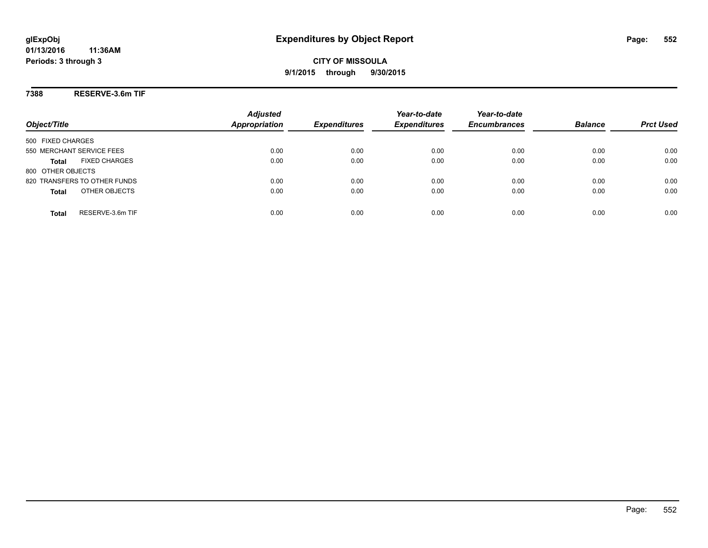## **7388 RESERVE-3.6m TIF**

| Object/Title                         | <b>Adjusted</b><br><b>Appropriation</b> | <b>Expenditures</b> | Year-to-date<br><b>Expenditures</b> | Year-to-date<br><b>Encumbrances</b> | <b>Balance</b> | <b>Prct Used</b> |
|--------------------------------------|-----------------------------------------|---------------------|-------------------------------------|-------------------------------------|----------------|------------------|
| 500 FIXED CHARGES                    |                                         |                     |                                     |                                     |                |                  |
| 550 MERCHANT SERVICE FEES            | 0.00                                    | 0.00                | 0.00                                | 0.00                                | 0.00           | 0.00             |
| <b>FIXED CHARGES</b><br><b>Total</b> | 0.00                                    | 0.00                | 0.00                                | 0.00                                | 0.00           | 0.00             |
| 800 OTHER OBJECTS                    |                                         |                     |                                     |                                     |                |                  |
| 820 TRANSFERS TO OTHER FUNDS         | 0.00                                    | 0.00                | 0.00                                | 0.00                                | 0.00           | 0.00             |
| OTHER OBJECTS<br><b>Total</b>        | 0.00                                    | 0.00                | 0.00                                | 0.00                                | 0.00           | 0.00             |
| RESERVE-3.6m TIF<br>Total            | 0.00                                    | 0.00                | 0.00                                | 0.00                                | 0.00           | 0.00             |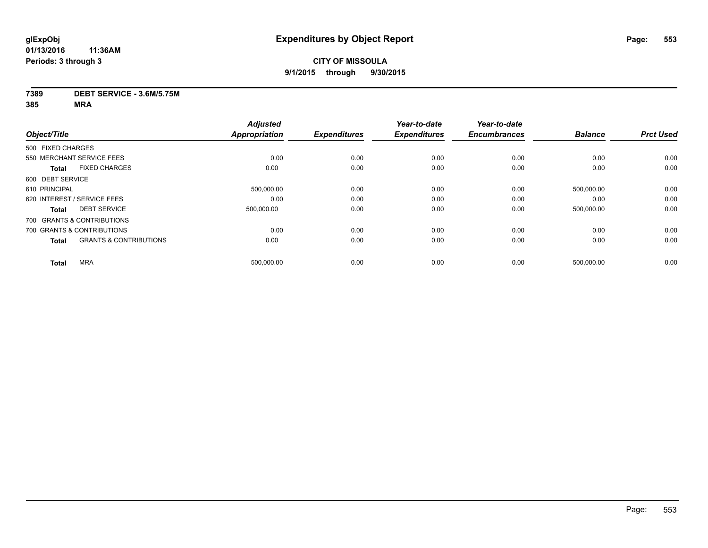#### **7389 DEBT SERVICE - 3.6M/5.75M**

|                  |                                   | <b>Adjusted</b>      |                     | Year-to-date        | Year-to-date        |                |                  |
|------------------|-----------------------------------|----------------------|---------------------|---------------------|---------------------|----------------|------------------|
| Object/Title     |                                   | <b>Appropriation</b> | <b>Expenditures</b> | <b>Expenditures</b> | <b>Encumbrances</b> | <b>Balance</b> | <b>Prct Used</b> |
|                  | 500 FIXED CHARGES                 |                      |                     |                     |                     |                |                  |
|                  | 550 MERCHANT SERVICE FEES         | 0.00                 | 0.00                | 0.00                | 0.00                | 0.00           | 0.00             |
| <b>Total</b>     | <b>FIXED CHARGES</b>              | 0.00                 | 0.00                | 0.00                | 0.00                | 0.00           | 0.00             |
| 600 DEBT SERVICE |                                   |                      |                     |                     |                     |                |                  |
| 610 PRINCIPAL    |                                   | 500,000.00           | 0.00                | 0.00                | 0.00                | 500,000.00     | 0.00             |
|                  | 620 INTEREST / SERVICE FEES       | 0.00                 | 0.00                | 0.00                | 0.00                | 0.00           | 0.00             |
| <b>Total</b>     | <b>DEBT SERVICE</b>               | 500.000.00           | 0.00                | 0.00                | 0.00                | 500,000.00     | 0.00             |
|                  | 700 GRANTS & CONTRIBUTIONS        |                      |                     |                     |                     |                |                  |
|                  | 700 GRANTS & CONTRIBUTIONS        | 0.00                 | 0.00                | 0.00                | 0.00                | 0.00           | 0.00             |
| <b>Total</b>     | <b>GRANTS &amp; CONTRIBUTIONS</b> | 0.00                 | 0.00                | 0.00                | 0.00                | 0.00           | 0.00             |
| <b>Total</b>     | <b>MRA</b>                        | 500,000.00           | 0.00                | 0.00                | 0.00                | 500,000.00     | 0.00             |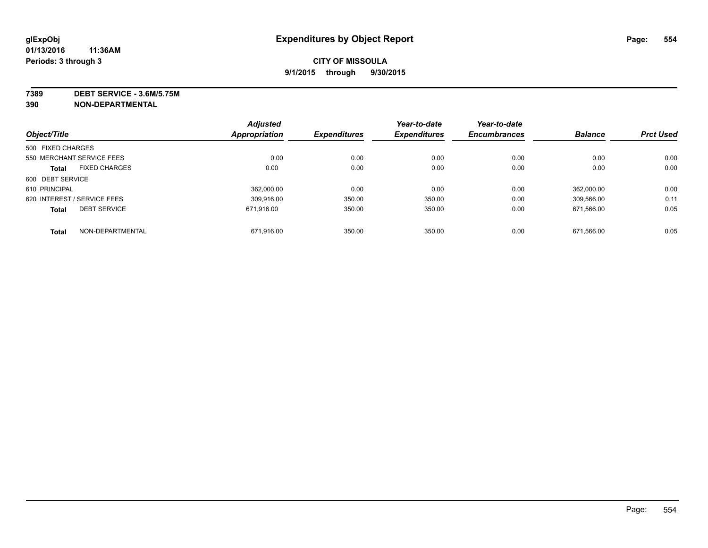**7389 DEBT SERVICE - 3.6M/5.75M**

**390 NON-DEPARTMENTAL**

|                   |                             | <b>Adjusted</b> |                     | Year-to-date        | Year-to-date        |                |                  |
|-------------------|-----------------------------|-----------------|---------------------|---------------------|---------------------|----------------|------------------|
| Object/Title      |                             | Appropriation   | <b>Expenditures</b> | <b>Expenditures</b> | <b>Encumbrances</b> | <b>Balance</b> | <b>Prct Used</b> |
| 500 FIXED CHARGES |                             |                 |                     |                     |                     |                |                  |
|                   | 550 MERCHANT SERVICE FEES   | 0.00            | 0.00                | 0.00                | 0.00                | 0.00           | 0.00             |
| <b>Total</b>      | <b>FIXED CHARGES</b>        | 0.00            | 0.00                | 0.00                | 0.00                | 0.00           | 0.00             |
| 600 DEBT SERVICE  |                             |                 |                     |                     |                     |                |                  |
| 610 PRINCIPAL     |                             | 362.000.00      | 0.00                | 0.00                | 0.00                | 362.000.00     | 0.00             |
|                   | 620 INTEREST / SERVICE FEES | 309.916.00      | 350.00              | 350.00              | 0.00                | 309.566.00     | 0.11             |
| <b>Total</b>      | <b>DEBT SERVICE</b>         | 671.916.00      | 350.00              | 350.00              | 0.00                | 671.566.00     | 0.05             |
| <b>Total</b>      | NON-DEPARTMENTAL            | 671.916.00      | 350.00              | 350.00              | 0.00                | 671.566.00     | 0.05             |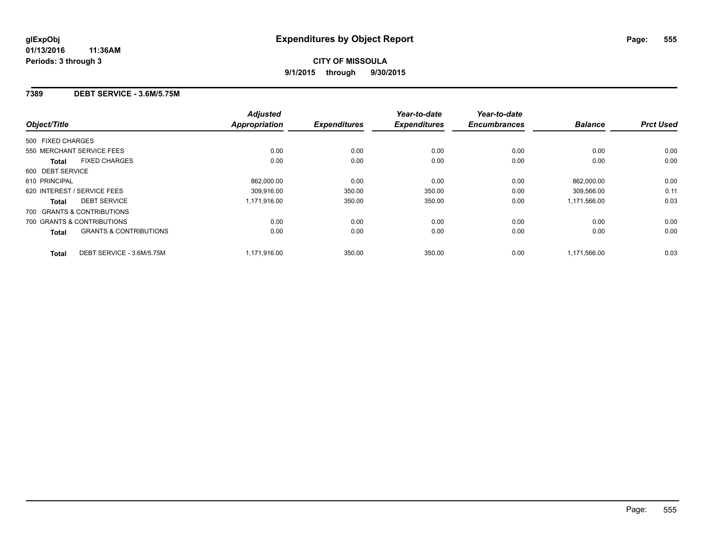## **7389 DEBT SERVICE - 3.6M/5.75M**

| Object/Title                                      | <b>Adjusted</b><br><b>Appropriation</b> | <b>Expenditures</b> | Year-to-date<br><b>Expenditures</b> | Year-to-date<br><b>Encumbrances</b> | <b>Balance</b> | <b>Prct Used</b> |
|---------------------------------------------------|-----------------------------------------|---------------------|-------------------------------------|-------------------------------------|----------------|------------------|
| 500 FIXED CHARGES                                 |                                         |                     |                                     |                                     |                |                  |
| 550 MERCHANT SERVICE FEES                         | 0.00                                    | 0.00                | 0.00                                | 0.00                                | 0.00           | 0.00             |
| <b>FIXED CHARGES</b><br><b>Total</b>              | 0.00                                    | 0.00                | 0.00                                | 0.00                                | 0.00           | 0.00             |
| 600 DEBT SERVICE                                  |                                         |                     |                                     |                                     |                |                  |
| 610 PRINCIPAL                                     | 862.000.00                              | 0.00                | 0.00                                | 0.00                                | 862.000.00     | 0.00             |
| 620 INTEREST / SERVICE FEES                       | 309,916.00                              | 350.00              | 350.00                              | 0.00                                | 309,566.00     | 0.11             |
| <b>DEBT SERVICE</b><br><b>Total</b>               | 1,171,916.00                            | 350.00              | 350.00                              | 0.00                                | 1,171,566.00   | 0.03             |
| 700 GRANTS & CONTRIBUTIONS                        |                                         |                     |                                     |                                     |                |                  |
| 700 GRANTS & CONTRIBUTIONS                        | 0.00                                    | 0.00                | 0.00                                | 0.00                                | 0.00           | 0.00             |
| <b>GRANTS &amp; CONTRIBUTIONS</b><br><b>Total</b> | 0.00                                    | 0.00                | 0.00                                | 0.00                                | 0.00           | 0.00             |
| DEBT SERVICE - 3.6M/5.75M<br><b>Total</b>         | 1.171.916.00                            | 350.00              | 350.00                              | 0.00                                | 1.171.566.00   | 0.03             |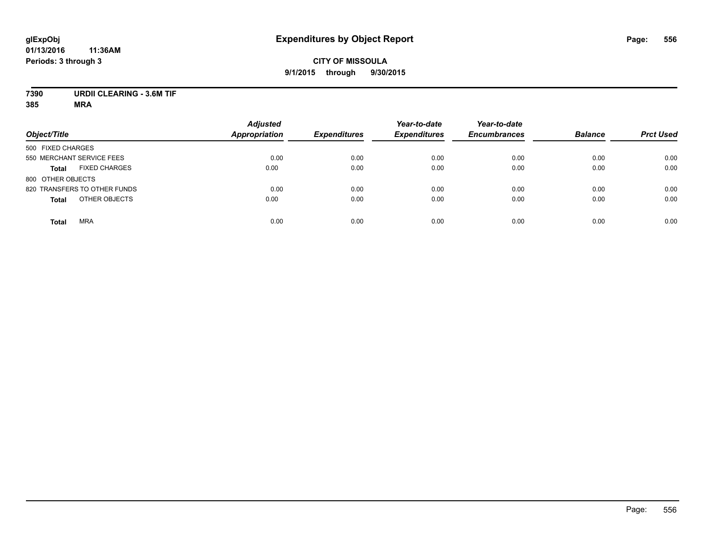## **CITY OF MISSOULA 9/1/2015 through 9/30/2015**

# **7390 URDII CLEARING - 3.6M TIF**

| Object/Title                         | <b>Adjusted</b><br><b>Appropriation</b> | <b>Expenditures</b> | Year-to-date<br><b>Expenditures</b> | Year-to-date<br><b>Encumbrances</b> | <b>Balance</b> | <b>Prct Used</b> |
|--------------------------------------|-----------------------------------------|---------------------|-------------------------------------|-------------------------------------|----------------|------------------|
| 500 FIXED CHARGES                    |                                         |                     |                                     |                                     |                |                  |
| 550 MERCHANT SERVICE FEES            | 0.00                                    | 0.00                | 0.00                                | 0.00                                | 0.00           | 0.00             |
| <b>FIXED CHARGES</b><br><b>Total</b> | 0.00                                    | 0.00                | 0.00                                | 0.00                                | 0.00           | 0.00             |
| 800 OTHER OBJECTS                    |                                         |                     |                                     |                                     |                |                  |
| 820 TRANSFERS TO OTHER FUNDS         | 0.00                                    | 0.00                | 0.00                                | 0.00                                | 0.00           | 0.00             |
| OTHER OBJECTS<br><b>Total</b>        | 0.00                                    | 0.00                | 0.00                                | 0.00                                | 0.00           | 0.00             |
| <b>MRA</b><br><b>Total</b>           | 0.00                                    | 0.00                | 0.00                                | 0.00                                | 0.00           | 0.00             |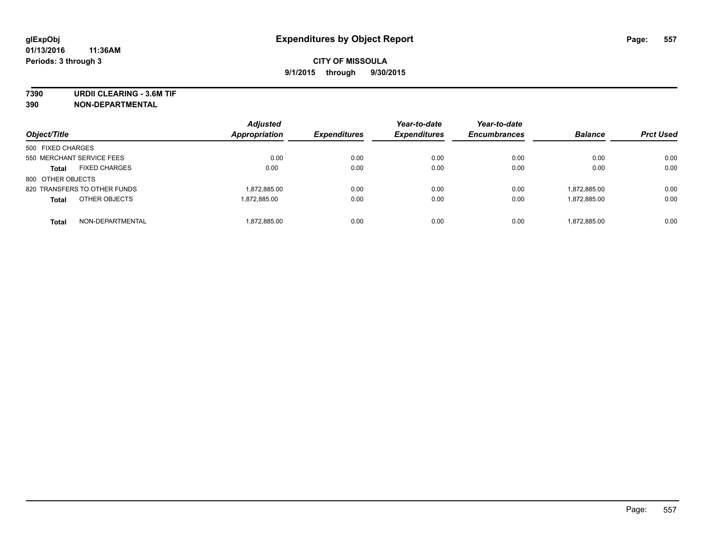**7390 URDII CLEARING - 3.6M TIF**

**390 NON-DEPARTMENTAL**

| Object/Title                         | <b>Adjusted</b><br><b>Appropriation</b> | <b>Expenditures</b> | Year-to-date<br><b>Expenditures</b> | Year-to-date<br><b>Encumbrances</b> | <b>Balance</b> | <b>Prct Used</b> |
|--------------------------------------|-----------------------------------------|---------------------|-------------------------------------|-------------------------------------|----------------|------------------|
| 500 FIXED CHARGES                    |                                         |                     |                                     |                                     |                |                  |
| 550 MERCHANT SERVICE FEES            | 0.00                                    | 0.00                | 0.00                                | 0.00                                | 0.00           | 0.00             |
| <b>FIXED CHARGES</b><br><b>Total</b> | 0.00                                    | 0.00                | 0.00                                | 0.00                                | 0.00           | 0.00             |
| 800 OTHER OBJECTS                    |                                         |                     |                                     |                                     |                |                  |
| 820 TRANSFERS TO OTHER FUNDS         | 1,872,885.00                            | 0.00                | 0.00                                | 0.00                                | 1.872.885.00   | 0.00             |
| OTHER OBJECTS<br><b>Total</b>        | 1.872.885.00                            | 0.00                | 0.00                                | 0.00                                | 1,872,885.00   | 0.00             |
| NON-DEPARTMENTAL<br><b>Total</b>     | 1,872,885.00                            | 0.00                | 0.00                                | 0.00                                | 1.872.885.00   | 0.00             |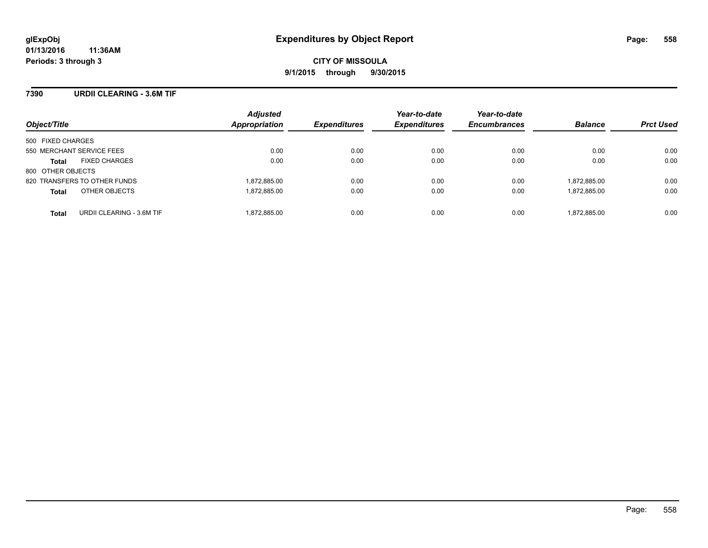## **7390 URDII CLEARING - 3.6M TIF**

| Object/Title                              | <b>Adjusted</b><br>Appropriation | <b>Expenditures</b> | Year-to-date<br><b>Expenditures</b> | Year-to-date<br><b>Encumbrances</b> | <b>Balance</b> | <b>Prct Used</b> |
|-------------------------------------------|----------------------------------|---------------------|-------------------------------------|-------------------------------------|----------------|------------------|
| 500 FIXED CHARGES                         |                                  |                     |                                     |                                     |                |                  |
| 550 MERCHANT SERVICE FEES                 | 0.00                             | 0.00                | 0.00                                | 0.00                                | 0.00           | 0.00             |
| <b>FIXED CHARGES</b><br><b>Total</b>      | 0.00                             | 0.00                | 0.00                                | 0.00                                | 0.00           | 0.00             |
| 800 OTHER OBJECTS                         |                                  |                     |                                     |                                     |                |                  |
| 820 TRANSFERS TO OTHER FUNDS              | 1,872,885.00                     | 0.00                | 0.00                                | 0.00                                | 1,872,885.00   | 0.00             |
| OTHER OBJECTS<br><b>Total</b>             | 1,872,885.00                     | 0.00                | 0.00                                | 0.00                                | 1,872,885.00   | 0.00             |
| URDII CLEARING - 3.6M TIF<br><b>Total</b> | 1,872,885.00                     | 0.00                | 0.00                                | 0.00                                | 1,872,885.00   | 0.00             |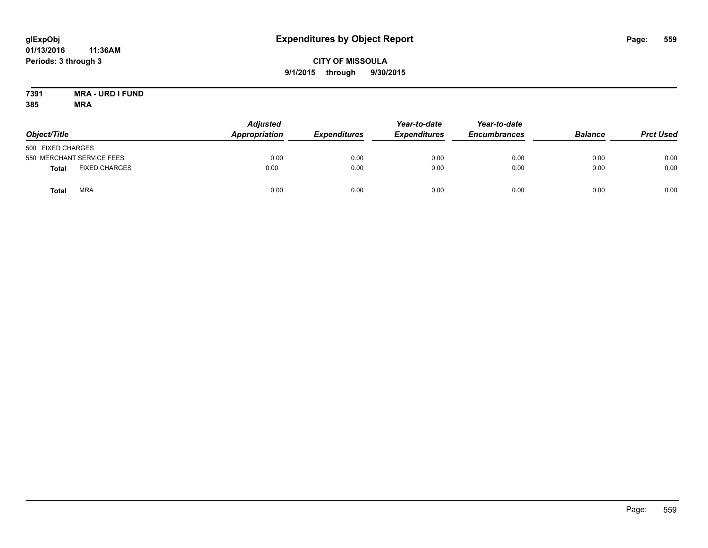## **CITY OF MISSOULA 9/1/2015 through 9/30/2015**

#### **7391 MRA - URD I FUND 385 MRA**

| Object/Title      |                           | <b>Adjusted</b><br>Appropriation<br><b>Expenditures</b> | Year-to-date<br><b>Expenditures</b> | Year-to-date<br><b>Encumbrances</b> | <b>Balance</b> | <b>Prct Used</b> |      |
|-------------------|---------------------------|---------------------------------------------------------|-------------------------------------|-------------------------------------|----------------|------------------|------|
| 500 FIXED CHARGES |                           |                                                         |                                     |                                     |                |                  |      |
|                   | 550 MERCHANT SERVICE FEES | 0.00                                                    | 0.00                                | 0.00                                | 0.00           | 0.00             | 0.00 |
| Total             | <b>FIXED CHARGES</b>      | 0.00                                                    | 0.00                                | 0.00                                | 0.00           | 0.00             | 0.00 |
| Total             | <b>MRA</b>                | 0.00                                                    | 0.00                                | 0.00                                | 0.00           | 0.00             | 0.00 |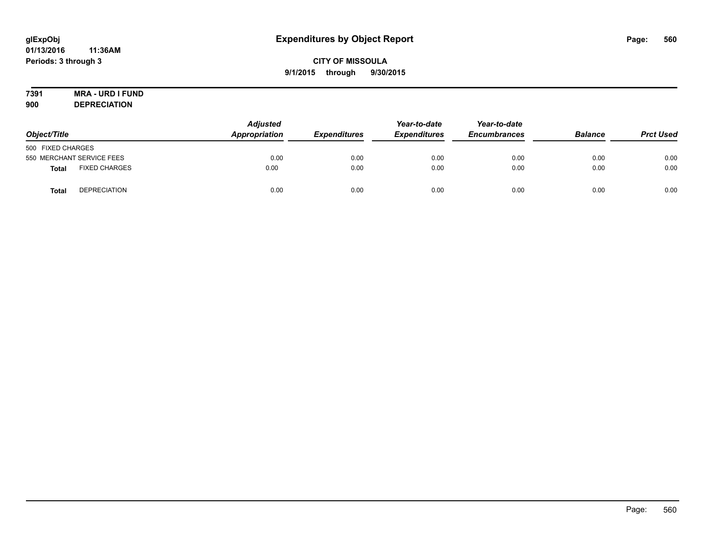# **7391 MRA - URD I FUND**

**900 DEPRECIATION**

| Object/Title              |                      | <b>Adjusted</b><br>Appropriation | <b>Expenditures</b> | Year-to-date<br><b>Expenditures</b> | Year-to-date<br><b>Encumbrances</b> | <b>Balance</b> | <b>Prct Used</b> |
|---------------------------|----------------------|----------------------------------|---------------------|-------------------------------------|-------------------------------------|----------------|------------------|
| 500 FIXED CHARGES         |                      |                                  |                     |                                     |                                     |                |                  |
| 550 MERCHANT SERVICE FEES |                      | 0.00                             | 0.00                | 0.00                                | 0.00                                | 0.00           | 0.00             |
| Total                     | <b>FIXED CHARGES</b> | 0.00                             | 0.00                | 0.00                                | 0.00                                | 0.00           | 0.00             |
| <b>Total</b>              | <b>DEPRECIATION</b>  | 0.00                             | 0.00                | 0.00                                | 0.00                                | 0.00           | 0.00             |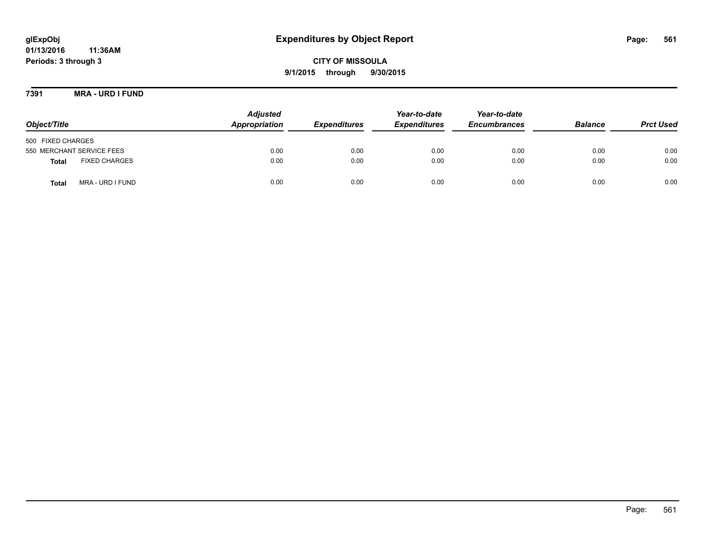**CITY OF MISSOULA 9/1/2015 through 9/30/2015**

**7391 MRA - URD I FUND**

| Object/Title                         | <b>Adjusted</b><br>Appropriation | <b>Expenditures</b> | Year-to-date<br><b>Expenditures</b> | Year-to-date<br><b>Encumbrances</b> | <b>Balance</b> | <b>Prct Used</b> |
|--------------------------------------|----------------------------------|---------------------|-------------------------------------|-------------------------------------|----------------|------------------|
| 500 FIXED CHARGES                    |                                  |                     |                                     |                                     |                |                  |
| 550 MERCHANT SERVICE FEES            | 0.00                             | 0.00                | 0.00                                | 0.00                                | 0.00           | 0.00             |
| <b>FIXED CHARGES</b><br><b>Total</b> | 0.00                             | 0.00                | 0.00                                | 0.00                                | 0.00           | 0.00             |
| MRA - URD I FUND<br>Tota             | 0.00                             | 0.00                | 0.00                                | 0.00                                | 0.00           | 0.00             |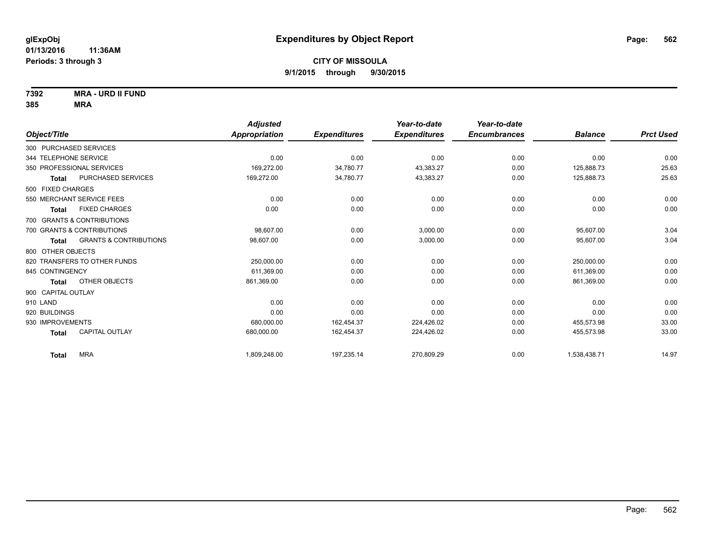**7392 MRA - URD II FUND**

|                                            | <b>Adjusted</b> |                     | Year-to-date        | Year-to-date        |                |                  |
|--------------------------------------------|-----------------|---------------------|---------------------|---------------------|----------------|------------------|
| Object/Title                               | Appropriation   | <b>Expenditures</b> | <b>Expenditures</b> | <b>Encumbrances</b> | <b>Balance</b> | <b>Prct Used</b> |
| 300 PURCHASED SERVICES                     |                 |                     |                     |                     |                |                  |
| 344 TELEPHONE SERVICE                      | 0.00            | 0.00                | 0.00                | 0.00                | 0.00           | 0.00             |
| 350 PROFESSIONAL SERVICES                  | 169,272.00      | 34,780.77           | 43,383.27           | 0.00                | 125,888.73     | 25.63            |
| PURCHASED SERVICES<br><b>Total</b>         | 169,272.00      | 34,780.77           | 43,383.27           | 0.00                | 125,888.73     | 25.63            |
| 500 FIXED CHARGES                          |                 |                     |                     |                     |                |                  |
| 550 MERCHANT SERVICE FEES                  | 0.00            | 0.00                | 0.00                | 0.00                | 0.00           | 0.00             |
| <b>FIXED CHARGES</b><br>Total              | 0.00            | 0.00                | 0.00                | 0.00                | 0.00           | 0.00             |
| 700 GRANTS & CONTRIBUTIONS                 |                 |                     |                     |                     |                |                  |
| 700 GRANTS & CONTRIBUTIONS                 | 98,607.00       | 0.00                | 3,000.00            | 0.00                | 95,607.00      | 3.04             |
| <b>GRANTS &amp; CONTRIBUTIONS</b><br>Total | 98,607.00       | 0.00                | 3,000.00            | 0.00                | 95,607.00      | 3.04             |
| 800 OTHER OBJECTS                          |                 |                     |                     |                     |                |                  |
| 820 TRANSFERS TO OTHER FUNDS               | 250,000.00      | 0.00                | 0.00                | 0.00                | 250,000.00     | 0.00             |
| 845 CONTINGENCY                            | 611,369.00      | 0.00                | 0.00                | 0.00                | 611,369.00     | 0.00             |
| OTHER OBJECTS<br><b>Total</b>              | 861,369.00      | 0.00                | 0.00                | 0.00                | 861,369.00     | 0.00             |
| 900 CAPITAL OUTLAY                         |                 |                     |                     |                     |                |                  |
| 910 LAND                                   | 0.00            | 0.00                | 0.00                | 0.00                | 0.00           | 0.00             |
| 920 BUILDINGS                              | 0.00            | 0.00                | 0.00                | 0.00                | 0.00           | 0.00             |
| 930 IMPROVEMENTS                           | 680,000.00      | 162,454.37          | 224,426.02          | 0.00                | 455,573.98     | 33.00            |
| <b>CAPITAL OUTLAY</b><br><b>Total</b>      | 680,000.00      | 162,454.37          | 224,426.02          | 0.00                | 455,573.98     | 33.00            |
| <b>MRA</b><br><b>Total</b>                 | 1,809,248.00    | 197,235.14          | 270,809.29          | 0.00                | 1,538,438.71   | 14.97            |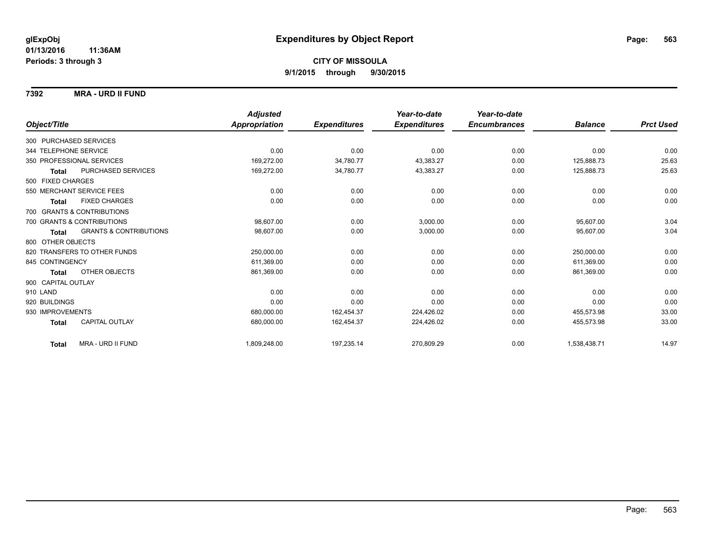**7392 MRA - URD II FUND**

|                                            | <b>Adjusted</b> |                     | Year-to-date        | Year-to-date        |                |                  |
|--------------------------------------------|-----------------|---------------------|---------------------|---------------------|----------------|------------------|
| Object/Title                               | Appropriation   | <b>Expenditures</b> | <b>Expenditures</b> | <b>Encumbrances</b> | <b>Balance</b> | <b>Prct Used</b> |
| 300 PURCHASED SERVICES                     |                 |                     |                     |                     |                |                  |
| 344 TELEPHONE SERVICE                      | 0.00            | 0.00                | 0.00                | 0.00                | 0.00           | 0.00             |
| 350 PROFESSIONAL SERVICES                  | 169,272.00      | 34,780.77           | 43,383.27           | 0.00                | 125,888.73     | 25.63            |
| PURCHASED SERVICES<br><b>Total</b>         | 169,272.00      | 34,780.77           | 43,383.27           | 0.00                | 125,888.73     | 25.63            |
| 500 FIXED CHARGES                          |                 |                     |                     |                     |                |                  |
| 550 MERCHANT SERVICE FEES                  | 0.00            | 0.00                | 0.00                | 0.00                | 0.00           | 0.00             |
| <b>FIXED CHARGES</b><br><b>Total</b>       | 0.00            | 0.00                | 0.00                | 0.00                | 0.00           | 0.00             |
| 700 GRANTS & CONTRIBUTIONS                 |                 |                     |                     |                     |                |                  |
| 700 GRANTS & CONTRIBUTIONS                 | 98.607.00       | 0.00                | 3,000.00            | 0.00                | 95,607.00      | 3.04             |
| <b>GRANTS &amp; CONTRIBUTIONS</b><br>Total | 98.607.00       | 0.00                | 3,000.00            | 0.00                | 95,607.00      | 3.04             |
| 800 OTHER OBJECTS                          |                 |                     |                     |                     |                |                  |
| 820 TRANSFERS TO OTHER FUNDS               | 250,000.00      | 0.00                | 0.00                | 0.00                | 250,000.00     | 0.00             |
| 845 CONTINGENCY                            | 611,369.00      | 0.00                | 0.00                | 0.00                | 611.369.00     | 0.00             |
| OTHER OBJECTS<br><b>Total</b>              | 861,369.00      | 0.00                | 0.00                | 0.00                | 861,369.00     | 0.00             |
| 900 CAPITAL OUTLAY                         |                 |                     |                     |                     |                |                  |
| 910 LAND                                   | 0.00            | 0.00                | 0.00                | 0.00                | 0.00           | 0.00             |
| 920 BUILDINGS                              | 0.00            | 0.00                | 0.00                | 0.00                | 0.00           | 0.00             |
| 930 IMPROVEMENTS                           | 680,000.00      | 162,454.37          | 224,426.02          | 0.00                | 455.573.98     | 33.00            |
| CAPITAL OUTLAY<br><b>Total</b>             | 680,000.00      | 162,454.37          | 224,426.02          | 0.00                | 455,573.98     | 33.00            |
| MRA - URD II FUND<br><b>Total</b>          | 1,809,248.00    | 197,235.14          | 270,809.29          | 0.00                | 1,538,438.71   | 14.97            |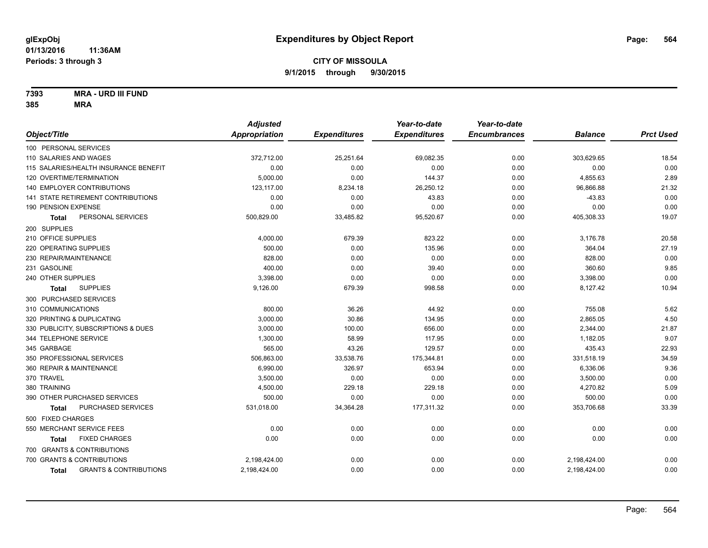**7393 MRA - URD III FUND**

|                                                   | <b>Adjusted</b> |                     | Year-to-date        | Year-to-date        |                |                  |
|---------------------------------------------------|-----------------|---------------------|---------------------|---------------------|----------------|------------------|
| Object/Title                                      | Appropriation   | <b>Expenditures</b> | <b>Expenditures</b> | <b>Encumbrances</b> | <b>Balance</b> | <b>Prct Used</b> |
| 100 PERSONAL SERVICES                             |                 |                     |                     |                     |                |                  |
| 110 SALARIES AND WAGES                            | 372,712.00      | 25,251.64           | 69,082.35           | 0.00                | 303,629.65     | 18.54            |
| 115 SALARIES/HEALTH INSURANCE BENEFIT             | 0.00            | 0.00                | 0.00                | 0.00                | 0.00           | 0.00             |
| 120 OVERTIME/TERMINATION                          | 5,000.00        | 0.00                | 144.37              | 0.00                | 4,855.63       | 2.89             |
| 140 EMPLOYER CONTRIBUTIONS                        | 123,117.00      | 8,234.18            | 26,250.12           | 0.00                | 96,866.88      | 21.32            |
| <b>141 STATE RETIREMENT CONTRIBUTIONS</b>         | 0.00            | 0.00                | 43.83               | 0.00                | $-43.83$       | 0.00             |
| 190 PENSION EXPENSE                               | 0.00            | 0.00                | 0.00                | 0.00                | 0.00           | 0.00             |
| PERSONAL SERVICES<br>Total                        | 500,829.00      | 33,485.82           | 95,520.67           | 0.00                | 405,308.33     | 19.07            |
| 200 SUPPLIES                                      |                 |                     |                     |                     |                |                  |
| 210 OFFICE SUPPLIES                               | 4,000.00        | 679.39              | 823.22              | 0.00                | 3,176.78       | 20.58            |
| 220 OPERATING SUPPLIES                            | 500.00          | 0.00                | 135.96              | 0.00                | 364.04         | 27.19            |
| 230 REPAIR/MAINTENANCE                            | 828.00          | 0.00                | 0.00                | 0.00                | 828.00         | 0.00             |
| 231 GASOLINE                                      | 400.00          | 0.00                | 39.40               | 0.00                | 360.60         | 9.85             |
| 240 OTHER SUPPLIES                                | 3,398.00        | 0.00                | 0.00                | 0.00                | 3,398.00       | 0.00             |
| <b>SUPPLIES</b><br>Total                          | 9,126.00        | 679.39              | 998.58              | 0.00                | 8,127.42       | 10.94            |
| 300 PURCHASED SERVICES                            |                 |                     |                     |                     |                |                  |
| 310 COMMUNICATIONS                                | 800.00          | 36.26               | 44.92               | 0.00                | 755.08         | 5.62             |
| 320 PRINTING & DUPLICATING                        | 3,000.00        | 30.86               | 134.95              | 0.00                | 2,865.05       | 4.50             |
| 330 PUBLICITY, SUBSCRIPTIONS & DUES               | 3,000.00        | 100.00              | 656.00              | 0.00                | 2,344.00       | 21.87            |
| 344 TELEPHONE SERVICE                             | 1,300.00        | 58.99               | 117.95              | 0.00                | 1,182.05       | 9.07             |
| 345 GARBAGE                                       | 565.00          | 43.26               | 129.57              | 0.00                | 435.43         | 22.93            |
| 350 PROFESSIONAL SERVICES                         | 506,863.00      | 33,538.76           | 175,344.81          | 0.00                | 331,518.19     | 34.59            |
| 360 REPAIR & MAINTENANCE                          | 6,990.00        | 326.97              | 653.94              | 0.00                | 6,336.06       | 9.36             |
| 370 TRAVEL                                        | 3,500.00        | 0.00                | 0.00                | 0.00                | 3,500.00       | 0.00             |
| 380 TRAINING                                      | 4,500.00        | 229.18              | 229.18              | 0.00                | 4,270.82       | 5.09             |
| 390 OTHER PURCHASED SERVICES                      | 500.00          | 0.00                | 0.00                | 0.00                | 500.00         | 0.00             |
| PURCHASED SERVICES<br><b>Total</b>                | 531,018.00      | 34,364.28           | 177,311.32          | 0.00                | 353,706.68     | 33.39            |
| 500 FIXED CHARGES                                 |                 |                     |                     |                     |                |                  |
| 550 MERCHANT SERVICE FEES                         | 0.00            | 0.00                | 0.00                | 0.00                | 0.00           | 0.00             |
| <b>FIXED CHARGES</b><br>Total                     | 0.00            | 0.00                | 0.00                | 0.00                | 0.00           | 0.00             |
| 700 GRANTS & CONTRIBUTIONS                        |                 |                     |                     |                     |                |                  |
| 700 GRANTS & CONTRIBUTIONS                        | 2,198,424.00    | 0.00                | 0.00                | 0.00                | 2,198,424.00   | 0.00             |
| <b>GRANTS &amp; CONTRIBUTIONS</b><br><b>Total</b> | 2,198,424.00    | 0.00                | 0.00                | 0.00                | 2,198,424.00   | 0.00             |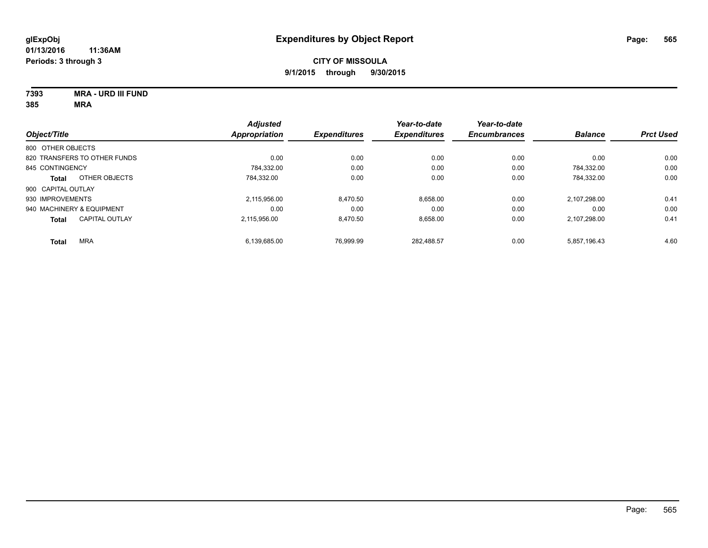**7393 MRA - URD III FUND 385 MRA**

| 85 | MRA |
|----|-----|
|    |     |

|                                | <b>Adjusted</b> |                     | Year-to-date        | Year-to-date        |                |                  |
|--------------------------------|-----------------|---------------------|---------------------|---------------------|----------------|------------------|
| Object/Title                   | Appropriation   | <b>Expenditures</b> | <b>Expenditures</b> | <b>Encumbrances</b> | <b>Balance</b> | <b>Prct Used</b> |
| 800 OTHER OBJECTS              |                 |                     |                     |                     |                |                  |
| 820 TRANSFERS TO OTHER FUNDS   |                 | 0.00<br>0.00        | 0.00                | 0.00                | 0.00           | 0.00             |
| 845 CONTINGENCY                | 784.332.00      | 0.00                | 0.00                | 0.00                | 784.332.00     | 0.00             |
| OTHER OBJECTS<br><b>Total</b>  | 784.332.00      | 0.00                | 0.00                | 0.00                | 784,332.00     | 0.00             |
| 900 CAPITAL OUTLAY             |                 |                     |                     |                     |                |                  |
| 930 IMPROVEMENTS               | 2.115.956.00    | 8,470.50            | 8.658.00            | 0.00                | 2.107.298.00   | 0.41             |
| 940 MACHINERY & EQUIPMENT      |                 | 0.00<br>0.00        | 0.00                | 0.00                | 0.00           | 0.00             |
| <b>CAPITAL OUTLAY</b><br>Total | 2.115.956.00    | 8,470.50            | 8,658.00            | 0.00                | 2,107,298.00   | 0.41             |
| <b>MRA</b><br><b>Total</b>     | 6.139.685.00    | 76.999.99           | 282.488.57          | 0.00                | 5.857.196.43   | 4.60             |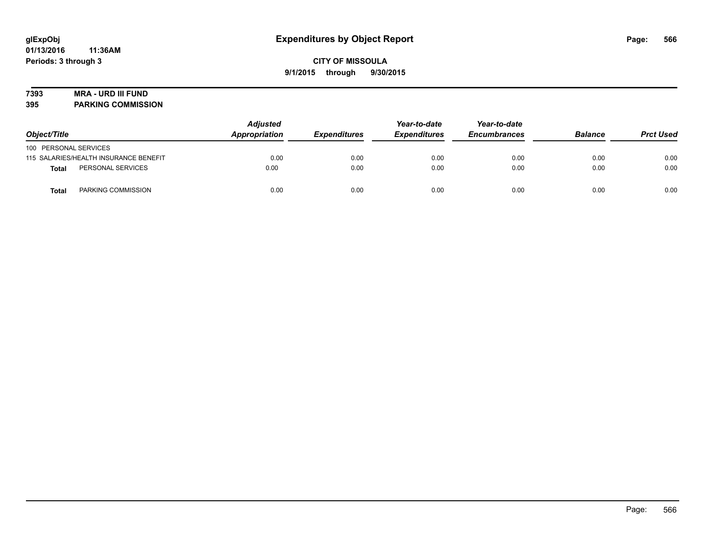# **7393 MRA - URD III FUND**

**395 PARKING COMMISSION**

| Object/Title          |                                       | <b>Adjusted</b><br>Appropriation | <b>Expenditures</b> | Year-to-date<br><b>Expenditures</b> | Year-to-date<br><b>Encumbrances</b> | <b>Balance</b> | <b>Prct Used</b> |
|-----------------------|---------------------------------------|----------------------------------|---------------------|-------------------------------------|-------------------------------------|----------------|------------------|
| 100 PERSONAL SERVICES |                                       |                                  |                     |                                     |                                     |                |                  |
|                       | 115 SALARIES/HEALTH INSURANCE BENEFIT | 0.00                             | 0.00                | 0.00                                | 0.00                                | 0.00           | 0.00             |
| Total                 | PERSONAL SERVICES                     | 0.00                             | 0.00                | 0.00                                | 0.00                                | 0.00           | 0.00             |
| <b>Total</b>          | PARKING COMMISSION                    | 0.00                             | 0.00                | 0.00                                | 0.00                                | 0.00           | 0.00             |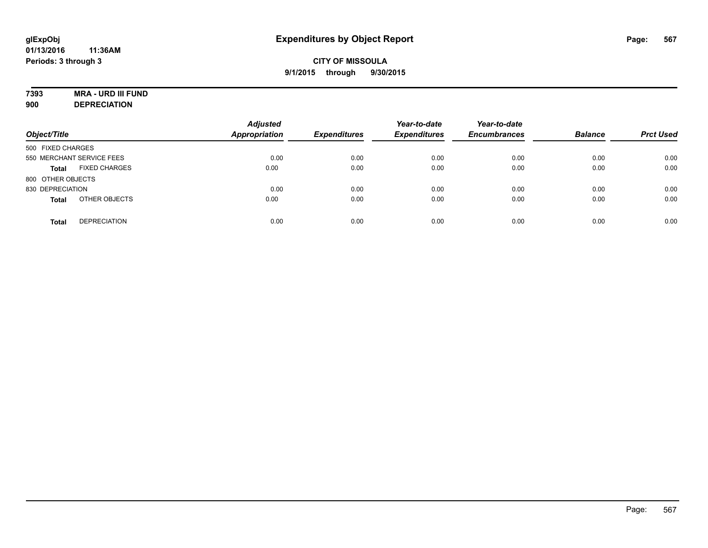# **7393 MRA - URD III FUND**

**900 DEPRECIATION**

| Object/Title                         | <b>Adjusted</b><br><b>Appropriation</b> | <b>Expenditures</b> | Year-to-date<br><b>Expenditures</b> | Year-to-date<br><b>Encumbrances</b> | <b>Balance</b> | <b>Prct Used</b> |
|--------------------------------------|-----------------------------------------|---------------------|-------------------------------------|-------------------------------------|----------------|------------------|
| 500 FIXED CHARGES                    |                                         |                     |                                     |                                     |                |                  |
| 550 MERCHANT SERVICE FEES            | 0.00                                    | 0.00                | 0.00                                | 0.00                                | 0.00           | 0.00             |
| <b>FIXED CHARGES</b><br><b>Total</b> | 0.00                                    | 0.00                | 0.00                                | 0.00                                | 0.00           | 0.00             |
| 800 OTHER OBJECTS                    |                                         |                     |                                     |                                     |                |                  |
| 830 DEPRECIATION                     | 0.00                                    | 0.00                | 0.00                                | 0.00                                | 0.00           | 0.00             |
| OTHER OBJECTS<br><b>Total</b>        | 0.00                                    | 0.00                | 0.00                                | 0.00                                | 0.00           | 0.00             |
| <b>DEPRECIATION</b><br><b>Total</b>  | 0.00                                    | 0.00                | 0.00                                | 0.00                                | 0.00           | 0.00             |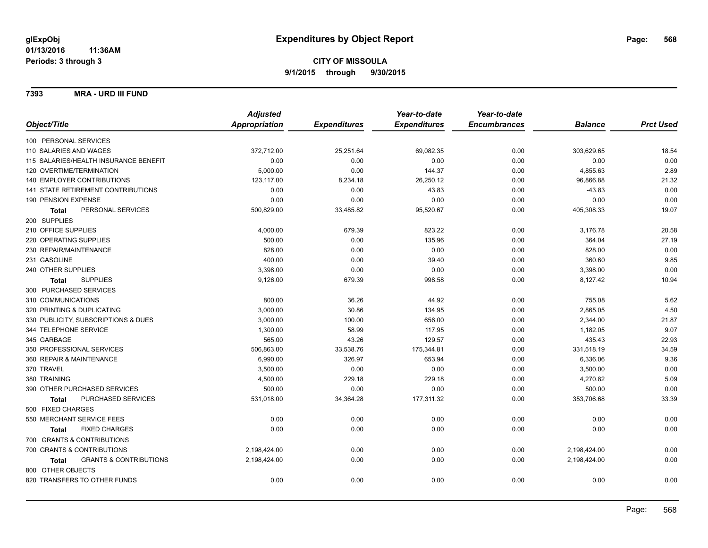**7393 MRA - URD III FUND**

|                                                   | <b>Adjusted</b> |                     | Year-to-date        | Year-to-date        |                |                  |
|---------------------------------------------------|-----------------|---------------------|---------------------|---------------------|----------------|------------------|
| Object/Title                                      | Appropriation   | <b>Expenditures</b> | <b>Expenditures</b> | <b>Encumbrances</b> | <b>Balance</b> | <b>Prct Used</b> |
| 100 PERSONAL SERVICES                             |                 |                     |                     |                     |                |                  |
| 110 SALARIES AND WAGES                            | 372,712.00      | 25,251.64           | 69,082.35           | 0.00                | 303,629.65     | 18.54            |
| 115 SALARIES/HEALTH INSURANCE BENEFIT             | 0.00            | 0.00                | 0.00                | 0.00                | 0.00           | 0.00             |
| 120 OVERTIME/TERMINATION                          | 5,000.00        | 0.00                | 144.37              | 0.00                | 4,855.63       | 2.89             |
| 140 EMPLOYER CONTRIBUTIONS                        | 123,117.00      | 8,234.18            | 26,250.12           | 0.00                | 96,866.88      | 21.32            |
| 141 STATE RETIREMENT CONTRIBUTIONS                | 0.00            | 0.00                | 43.83               | 0.00                | $-43.83$       | 0.00             |
| 190 PENSION EXPENSE                               | 0.00            | 0.00                | 0.00                | 0.00                | 0.00           | 0.00             |
| PERSONAL SERVICES<br><b>Total</b>                 | 500,829.00      | 33,485.82           | 95,520.67           | 0.00                | 405,308.33     | 19.07            |
| 200 SUPPLIES                                      |                 |                     |                     |                     |                |                  |
| 210 OFFICE SUPPLIES                               | 4,000.00        | 679.39              | 823.22              | 0.00                | 3,176.78       | 20.58            |
| 220 OPERATING SUPPLIES                            | 500.00          | 0.00                | 135.96              | 0.00                | 364.04         | 27.19            |
| 230 REPAIR/MAINTENANCE                            | 828.00          | 0.00                | 0.00                | 0.00                | 828.00         | 0.00             |
| 231 GASOLINE                                      | 400.00          | 0.00                | 39.40               | 0.00                | 360.60         | 9.85             |
| 240 OTHER SUPPLIES                                | 3,398.00        | 0.00                | 0.00                | 0.00                | 3,398.00       | 0.00             |
| <b>SUPPLIES</b><br><b>Total</b>                   | 9,126.00        | 679.39              | 998.58              | 0.00                | 8,127.42       | 10.94            |
| 300 PURCHASED SERVICES                            |                 |                     |                     |                     |                |                  |
| 310 COMMUNICATIONS                                | 800.00          | 36.26               | 44.92               | 0.00                | 755.08         | 5.62             |
| 320 PRINTING & DUPLICATING                        | 3,000.00        | 30.86               | 134.95              | 0.00                | 2,865.05       | 4.50             |
| 330 PUBLICITY, SUBSCRIPTIONS & DUES               | 3,000.00        | 100.00              | 656.00              | 0.00                | 2,344.00       | 21.87            |
| 344 TELEPHONE SERVICE                             | 1,300.00        | 58.99               | 117.95              | 0.00                | 1,182.05       | 9.07             |
| 345 GARBAGE                                       | 565.00          | 43.26               | 129.57              | 0.00                | 435.43         | 22.93            |
| 350 PROFESSIONAL SERVICES                         | 506,863.00      | 33,538.76           | 175,344.81          | 0.00                | 331,518.19     | 34.59            |
| 360 REPAIR & MAINTENANCE                          | 6,990.00        | 326.97              | 653.94              | 0.00                | 6,336.06       | 9.36             |
| 370 TRAVEL                                        | 3,500.00        | 0.00                | 0.00                | 0.00                | 3,500.00       | 0.00             |
| 380 TRAINING                                      | 4,500.00        | 229.18              | 229.18              | 0.00                | 4,270.82       | 5.09             |
| 390 OTHER PURCHASED SERVICES                      | 500.00          | 0.00                | 0.00                | 0.00                | 500.00         | 0.00             |
| PURCHASED SERVICES<br><b>Total</b>                | 531,018.00      | 34,364.28           | 177,311.32          | 0.00                | 353,706.68     | 33.39            |
| 500 FIXED CHARGES                                 |                 |                     |                     |                     |                |                  |
| 550 MERCHANT SERVICE FEES                         | 0.00            | 0.00                | 0.00                | 0.00                | 0.00           | 0.00             |
| <b>FIXED CHARGES</b><br><b>Total</b>              | 0.00            | 0.00                | 0.00                | 0.00                | 0.00           | 0.00             |
| 700 GRANTS & CONTRIBUTIONS                        |                 |                     |                     |                     |                |                  |
| 700 GRANTS & CONTRIBUTIONS                        | 2,198,424.00    | 0.00                | 0.00                | 0.00                | 2,198,424.00   | 0.00             |
| <b>GRANTS &amp; CONTRIBUTIONS</b><br><b>Total</b> | 2,198,424.00    | 0.00                | 0.00                | 0.00                | 2,198,424.00   | 0.00             |
| 800 OTHER OBJECTS                                 |                 |                     |                     |                     |                |                  |
| 820 TRANSFERS TO OTHER FUNDS                      | 0.00            | 0.00                | 0.00                | 0.00                | 0.00           | 0.00             |
|                                                   |                 |                     |                     |                     |                |                  |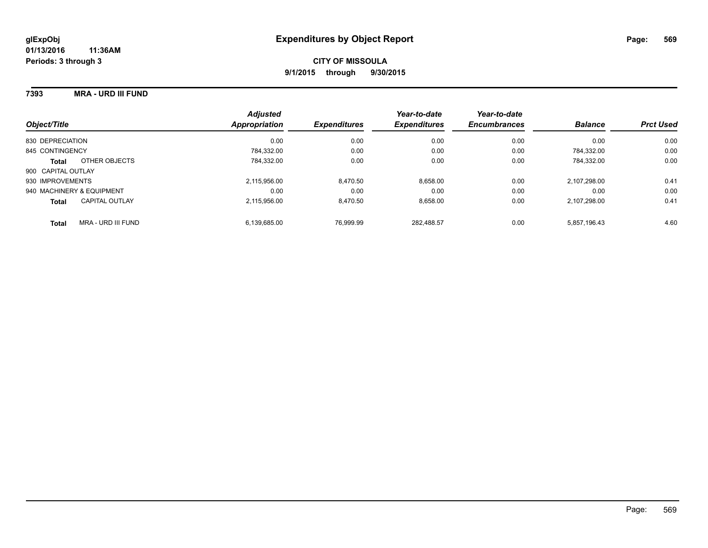#### **7393 MRA - URD III FUND**

| Object/Title                       | <b>Adjusted</b><br>Appropriation | <b>Expenditures</b> | Year-to-date<br><b>Expenditures</b> | Year-to-date<br><b>Encumbrances</b> | <b>Balance</b> | <b>Prct Used</b> |
|------------------------------------|----------------------------------|---------------------|-------------------------------------|-------------------------------------|----------------|------------------|
| 830 DEPRECIATION                   | 0.00                             | 0.00                | 0.00                                | 0.00                                | 0.00           | 0.00             |
| 845 CONTINGENCY                    | 784.332.00                       | 0.00                | 0.00                                | 0.00                                | 784.332.00     | 0.00             |
| OTHER OBJECTS<br><b>Total</b>      | 784.332.00                       | 0.00                | 0.00                                | 0.00                                | 784.332.00     | 0.00             |
| 900 CAPITAL OUTLAY                 |                                  |                     |                                     |                                     |                |                  |
| 930 IMPROVEMENTS                   | 2.115.956.00                     | 8,470.50            | 8,658.00                            | 0.00                                | 2.107.298.00   | 0.41             |
| 940 MACHINERY & EQUIPMENT          | 0.00                             | 0.00                | 0.00                                | 0.00                                | 0.00           | 0.00             |
| CAPITAL OUTLAY<br><b>Total</b>     | 2.115.956.00                     | 8.470.50            | 8,658.00                            | 0.00                                | 2.107.298.00   | 0.41             |
| MRA - URD III FUND<br><b>Total</b> | 6.139.685.00                     | 76.999.99           | 282.488.57                          | 0.00                                | 5.857.196.43   | 4.60             |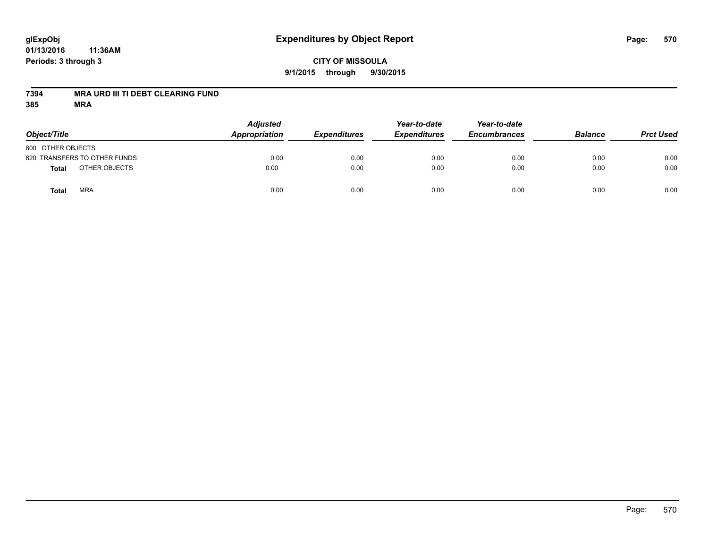# **glExpObj Expenditures by Object Report Page: 570**

**01/13/2016 11:36AM Periods: 3 through 3**

## **7394 MRA URD III TI DEBT CLEARING FUND**

| Object/Title                 | <b>Adjusted</b><br>Appropriation | <b>Expenditures</b> | Year-to-date<br><b>Expenditures</b> | Year-to-date<br><b>Encumbrances</b> | <b>Balance</b> | <b>Prct Used</b> |
|------------------------------|----------------------------------|---------------------|-------------------------------------|-------------------------------------|----------------|------------------|
| 800 OTHER OBJECTS            |                                  |                     |                                     |                                     |                |                  |
| 820 TRANSFERS TO OTHER FUNDS | 0.00                             | 0.00                | 0.00                                | 0.00                                | 0.00           | 0.00             |
| OTHER OBJECTS<br>Total       | 0.00                             | 0.00                | 0.00                                | 0.00                                | 0.00           | 0.00             |
| <b>MRA</b><br>Total          | 0.00                             | 0.00                | 0.00                                | 0.00                                | 0.00           | 0.00             |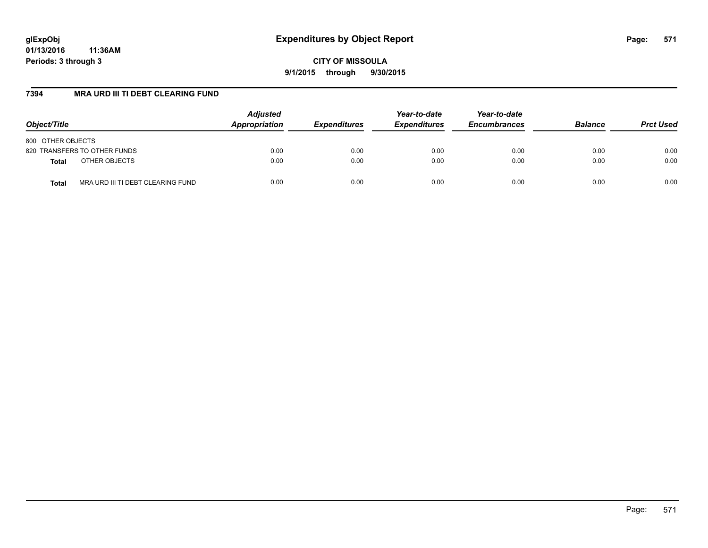**CITY OF MISSOULA 9/1/2015 through 9/30/2015**

## **7394 MRA URD III TI DEBT CLEARING FUND**

| Object/Title                               | <b>Adjusted</b><br>Appropriation | <b>Expenditures</b> | Year-to-date<br><b>Expenditures</b> | Year-to-date<br><b>Encumbrances</b> | <b>Balance</b> | <b>Prct Used</b> |
|--------------------------------------------|----------------------------------|---------------------|-------------------------------------|-------------------------------------|----------------|------------------|
| 800 OTHER OBJECTS                          |                                  |                     |                                     |                                     |                |                  |
| 820 TRANSFERS TO OTHER FUNDS               | 0.00                             | 0.00                | 0.00                                | 0.00                                | 0.00           | 0.00             |
| OTHER OBJECTS<br><b>Total</b>              | 0.00                             | 0.00                | 0.00                                | 0.00                                | 0.00           | 0.00             |
| MRA URD III TI DEBT CLEARING FUND<br>Total | 0.00                             | 0.00                | 0.00                                | 0.00                                | 0.00           | 0.00             |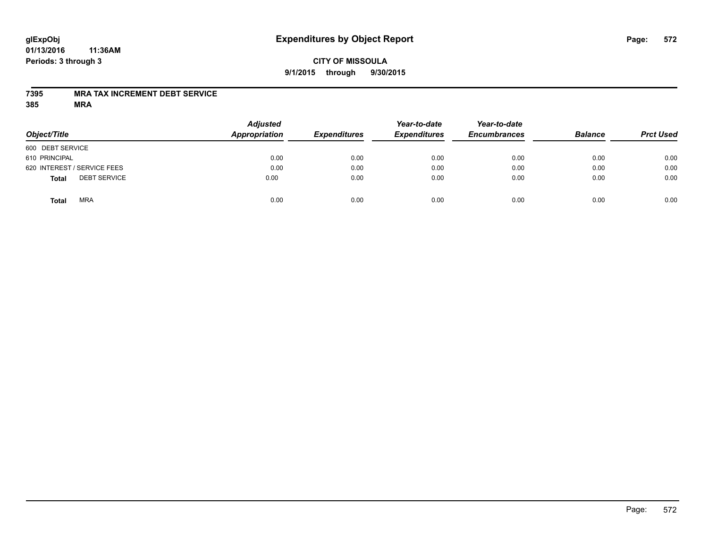## **CITY OF MISSOULA 9/1/2015 through 9/30/2015**

## **7395 MRA TAX INCREMENT DEBT SERVICE**

| Object/Title                        | <b>Adjusted</b><br><b>Appropriation</b> | <b>Expenditures</b> | Year-to-date<br><b>Expenditures</b> | Year-to-date<br><b>Encumbrances</b> | <b>Balance</b> | <b>Prct Used</b> |
|-------------------------------------|-----------------------------------------|---------------------|-------------------------------------|-------------------------------------|----------------|------------------|
| 600 DEBT SERVICE                    |                                         |                     |                                     |                                     |                |                  |
| 610 PRINCIPAL                       | 0.00                                    | 0.00                | 0.00                                | 0.00                                | 0.00           | 0.00             |
| 620 INTEREST / SERVICE FEES         | 0.00                                    | 0.00                | 0.00                                | 0.00                                | 0.00           | 0.00             |
| <b>DEBT SERVICE</b><br><b>Total</b> | 0.00                                    | 0.00                | 0.00                                | 0.00                                | 0.00           | 0.00             |
| <b>MRA</b><br><b>Total</b>          | 0.00                                    | 0.00                | 0.00                                | 0.00                                | 0.00           | 0.00             |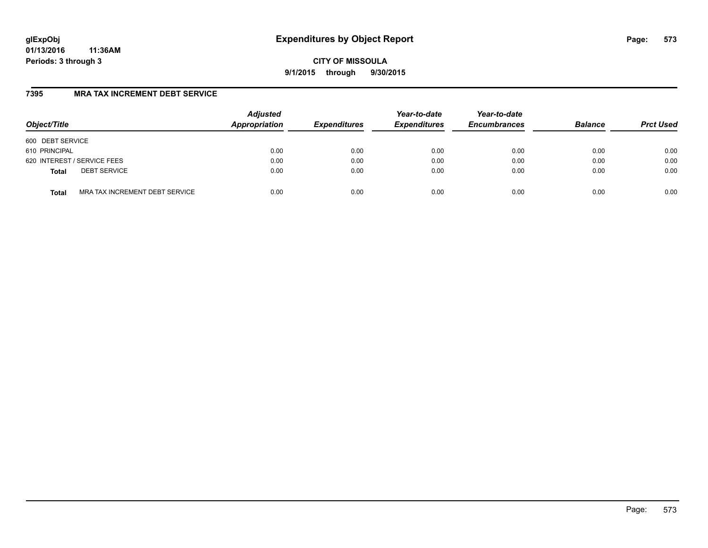**CITY OF MISSOULA 9/1/2015 through 9/30/2015**

## **7395 MRA TAX INCREMENT DEBT SERVICE**

| Object/Title                                   | <b>Adjusted</b><br>Appropriation | <b>Expenditures</b> | Year-to-date<br><b>Expenditures</b> | Year-to-date<br><b>Encumbrances</b> | <b>Balance</b> | <b>Prct Used</b> |
|------------------------------------------------|----------------------------------|---------------------|-------------------------------------|-------------------------------------|----------------|------------------|
| 600 DEBT SERVICE                               |                                  |                     |                                     |                                     |                |                  |
| 610 PRINCIPAL                                  | 0.00                             | 0.00                | 0.00                                | 0.00                                | 0.00           | 0.00             |
| 620 INTEREST / SERVICE FEES                    | 0.00                             | 0.00                | 0.00                                | 0.00                                | 0.00           | 0.00             |
| <b>DEBT SERVICE</b><br><b>Total</b>            | 0.00                             | 0.00                | 0.00                                | 0.00                                | 0.00           | 0.00             |
| MRA TAX INCREMENT DEBT SERVICE<br><b>Total</b> | 0.00                             | 0.00                | 0.00                                | 0.00                                | 0.00           | 0.00             |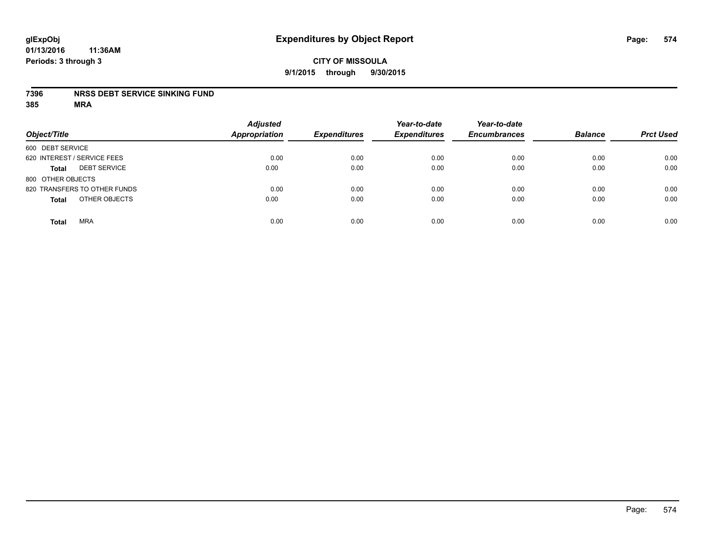#### **7396 NRSS DEBT SERVICE SINKING FUND**

| Object/Title                        | <b>Adjusted</b><br><b>Appropriation</b> | <b>Expenditures</b> | Year-to-date<br><b>Expenditures</b> | Year-to-date<br><b>Encumbrances</b> | <b>Balance</b> | <b>Prct Used</b> |
|-------------------------------------|-----------------------------------------|---------------------|-------------------------------------|-------------------------------------|----------------|------------------|
| 600 DEBT SERVICE                    |                                         |                     |                                     |                                     |                |                  |
| 620 INTEREST / SERVICE FEES         | 0.00                                    | 0.00                | 0.00                                | 0.00                                | 0.00           | 0.00             |
| <b>DEBT SERVICE</b><br><b>Total</b> | 0.00                                    | 0.00                | 0.00                                | 0.00                                | 0.00           | 0.00             |
| 800 OTHER OBJECTS                   |                                         |                     |                                     |                                     |                |                  |
| 820 TRANSFERS TO OTHER FUNDS        | 0.00                                    | 0.00                | 0.00                                | 0.00                                | 0.00           | 0.00             |
| OTHER OBJECTS<br><b>Total</b>       | 0.00                                    | 0.00                | 0.00                                | 0.00                                | 0.00           | 0.00             |
| <b>MRA</b><br><b>Total</b>          | 0.00                                    | 0.00                | 0.00                                | 0.00                                | 0.00           | 0.00             |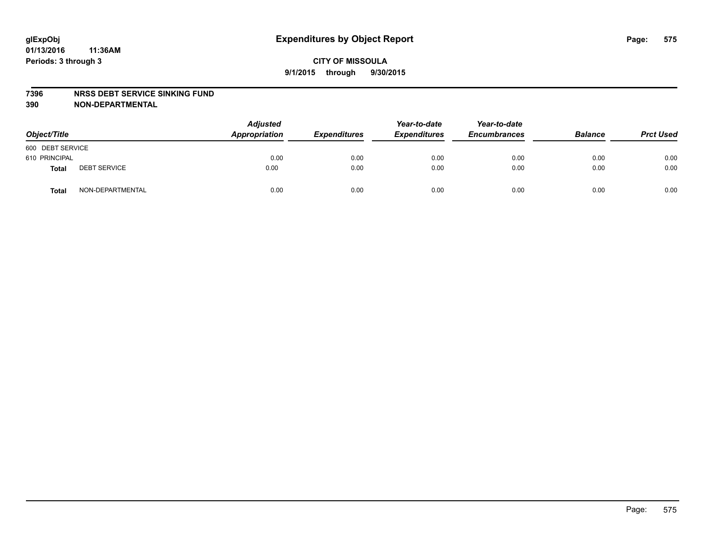#### **7396 NRSS DEBT SERVICE SINKING FUND**

**390 NON-DEPARTMENTAL**

| Object/Title     |                     | <b>Adjusted</b><br>Appropriation | <b>Expenditures</b> | Year-to-date<br><b>Expenditures</b> | Year-to-date<br><b>Encumbrances</b> | <b>Balance</b> | <b>Prct Used</b> |
|------------------|---------------------|----------------------------------|---------------------|-------------------------------------|-------------------------------------|----------------|------------------|
| 600 DEBT SERVICE |                     |                                  |                     |                                     |                                     |                |                  |
| 610 PRINCIPAL    |                     | 0.00                             | 0.00                | 0.00                                | 0.00                                | 0.00           | 0.00             |
| Total            | <b>DEBT SERVICE</b> | 0.00                             | 0.00                | 0.00                                | 0.00                                | 0.00           | 0.00             |
| Total            | NON-DEPARTMENTAL    | 0.00                             | 0.00                | 0.00                                | 0.00                                | 0.00           | 0.00             |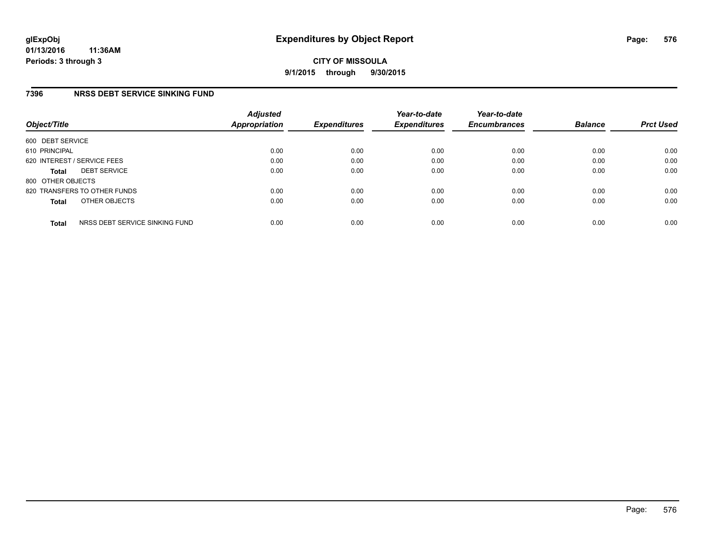**CITY OF MISSOULA 9/1/2015 through 9/30/2015**

## **7396 NRSS DEBT SERVICE SINKING FUND**

| Object/Title      |                                | <b>Adjusted</b><br>Appropriation | <b>Expenditures</b> | Year-to-date<br><b>Expenditures</b> | Year-to-date<br><b>Encumbrances</b> | <b>Balance</b> | <b>Prct Used</b> |
|-------------------|--------------------------------|----------------------------------|---------------------|-------------------------------------|-------------------------------------|----------------|------------------|
| 600 DEBT SERVICE  |                                |                                  |                     |                                     |                                     |                |                  |
| 610 PRINCIPAL     |                                | 0.00                             | 0.00                | 0.00                                | 0.00                                | 0.00           | 0.00             |
|                   | 620 INTEREST / SERVICE FEES    | 0.00                             | 0.00                | 0.00                                | 0.00                                | 0.00           | 0.00             |
| <b>Total</b>      | <b>DEBT SERVICE</b>            | 0.00                             | 0.00                | 0.00                                | 0.00                                | 0.00           | 0.00             |
| 800 OTHER OBJECTS |                                |                                  |                     |                                     |                                     |                |                  |
|                   | 820 TRANSFERS TO OTHER FUNDS   | 0.00                             | 0.00                | 0.00                                | 0.00                                | 0.00           | 0.00             |
| <b>Total</b>      | OTHER OBJECTS                  | 0.00                             | 0.00                | 0.00                                | 0.00                                | 0.00           | 0.00             |
| <b>Total</b>      | NRSS DEBT SERVICE SINKING FUND | 0.00                             | 0.00                | 0.00                                | 0.00                                | 0.00           | 0.00             |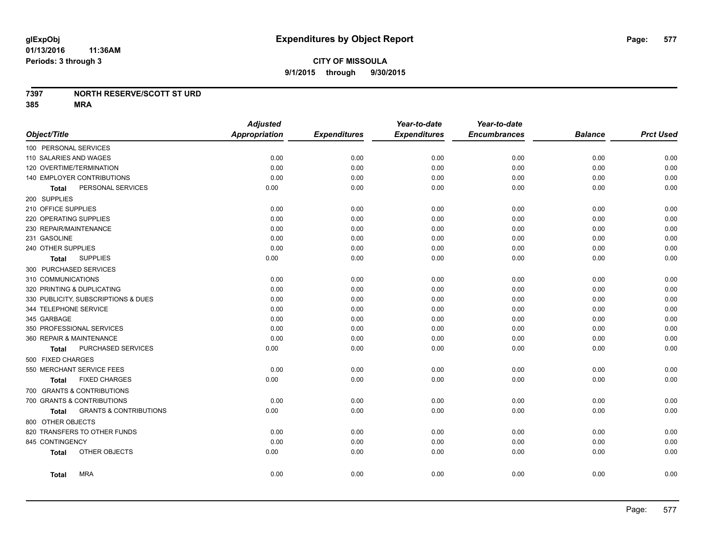### **7397 NORTH RESERVE/SCOTT ST URD**

**385 MRA**

|                                            | <b>Adjusted</b>      |                     | Year-to-date        | Year-to-date        |                |                  |
|--------------------------------------------|----------------------|---------------------|---------------------|---------------------|----------------|------------------|
| Object/Title                               | <b>Appropriation</b> | <b>Expenditures</b> | <b>Expenditures</b> | <b>Encumbrances</b> | <b>Balance</b> | <b>Prct Used</b> |
| 100 PERSONAL SERVICES                      |                      |                     |                     |                     |                |                  |
| 110 SALARIES AND WAGES                     | 0.00                 | 0.00                | 0.00                | 0.00                | 0.00           | 0.00             |
| 120 OVERTIME/TERMINATION                   | 0.00                 | 0.00                | 0.00                | 0.00                | 0.00           | 0.00             |
| 140 EMPLOYER CONTRIBUTIONS                 | 0.00                 | 0.00                | 0.00                | 0.00                | 0.00           | 0.00             |
| PERSONAL SERVICES<br><b>Total</b>          | 0.00                 | 0.00                | 0.00                | 0.00                | 0.00           | 0.00             |
| 200 SUPPLIES                               |                      |                     |                     |                     |                |                  |
| 210 OFFICE SUPPLIES                        | 0.00                 | 0.00                | 0.00                | 0.00                | 0.00           | 0.00             |
| 220 OPERATING SUPPLIES                     | 0.00                 | 0.00                | 0.00                | 0.00                | 0.00           | 0.00             |
| 230 REPAIR/MAINTENANCE                     | 0.00                 | 0.00                | 0.00                | 0.00                | 0.00           | 0.00             |
| 231 GASOLINE                               | 0.00                 | 0.00                | 0.00                | 0.00                | 0.00           | 0.00             |
| 240 OTHER SUPPLIES                         | 0.00                 | 0.00                | 0.00                | 0.00                | 0.00           | 0.00             |
| <b>SUPPLIES</b><br>Total                   | 0.00                 | 0.00                | 0.00                | 0.00                | 0.00           | 0.00             |
| 300 PURCHASED SERVICES                     |                      |                     |                     |                     |                |                  |
| 310 COMMUNICATIONS                         | 0.00                 | 0.00                | 0.00                | 0.00                | 0.00           | 0.00             |
| 320 PRINTING & DUPLICATING                 | 0.00                 | 0.00                | 0.00                | 0.00                | 0.00           | 0.00             |
| 330 PUBLICITY, SUBSCRIPTIONS & DUES        | 0.00                 | 0.00                | 0.00                | 0.00                | 0.00           | 0.00             |
| 344 TELEPHONE SERVICE                      | 0.00                 | 0.00                | 0.00                | 0.00                | 0.00           | 0.00             |
| 345 GARBAGE                                | 0.00                 | 0.00                | 0.00                | 0.00                | 0.00           | 0.00             |
| 350 PROFESSIONAL SERVICES                  | 0.00                 | 0.00                | 0.00                | 0.00                | 0.00           | 0.00             |
| 360 REPAIR & MAINTENANCE                   | 0.00                 | 0.00                | 0.00                | 0.00                | 0.00           | 0.00             |
| PURCHASED SERVICES<br><b>Total</b>         | 0.00                 | 0.00                | 0.00                | 0.00                | 0.00           | 0.00             |
| 500 FIXED CHARGES                          |                      |                     |                     |                     |                |                  |
| 550 MERCHANT SERVICE FEES                  | 0.00                 | 0.00                | 0.00                | 0.00                | 0.00           | 0.00             |
| <b>FIXED CHARGES</b><br><b>Total</b>       | 0.00                 | 0.00                | 0.00                | 0.00                | 0.00           | 0.00             |
| 700 GRANTS & CONTRIBUTIONS                 |                      |                     |                     |                     |                |                  |
| 700 GRANTS & CONTRIBUTIONS                 | 0.00                 | 0.00                | 0.00                | 0.00                | 0.00           | 0.00             |
| <b>GRANTS &amp; CONTRIBUTIONS</b><br>Total | 0.00                 | 0.00                | 0.00                | 0.00                | 0.00           | 0.00             |
| 800 OTHER OBJECTS                          |                      |                     |                     |                     |                |                  |
| 820 TRANSFERS TO OTHER FUNDS               | 0.00                 | 0.00                | 0.00                | 0.00                | 0.00           | 0.00             |
| 845 CONTINGENCY                            | 0.00                 | 0.00                | 0.00                | 0.00                | 0.00           | 0.00             |
| OTHER OBJECTS<br><b>Total</b>              | 0.00                 | 0.00                | 0.00                | 0.00                | 0.00           | 0.00             |
| <b>MRA</b><br><b>Total</b>                 | 0.00                 | 0.00                | 0.00                | 0.00                | 0.00           | 0.00             |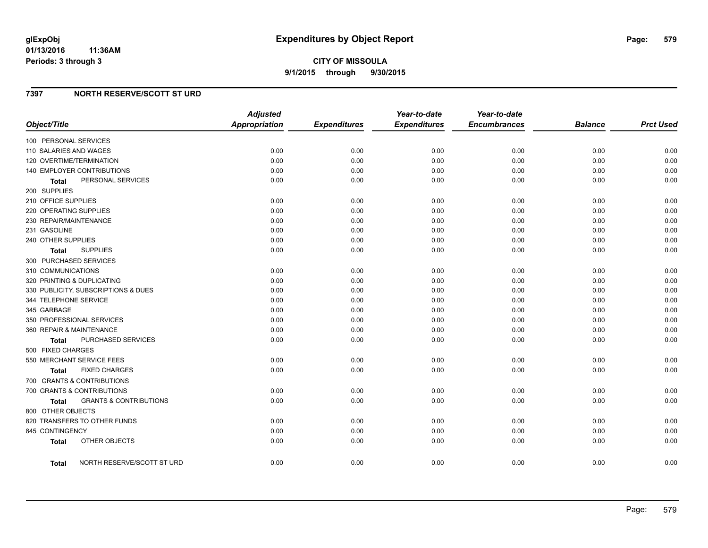### **7397 NORTH RESERVE/SCOTT ST URD**

| Object/Title                                      | <b>Adjusted</b><br><b>Appropriation</b> | <b>Expenditures</b> | Year-to-date<br><b>Expenditures</b> | Year-to-date<br><b>Encumbrances</b> | <b>Balance</b> | <b>Prct Used</b> |
|---------------------------------------------------|-----------------------------------------|---------------------|-------------------------------------|-------------------------------------|----------------|------------------|
| 100 PERSONAL SERVICES                             |                                         |                     |                                     |                                     |                |                  |
| 110 SALARIES AND WAGES                            | 0.00                                    | 0.00                | 0.00                                | 0.00                                | 0.00           | 0.00             |
| 120 OVERTIME/TERMINATION                          | 0.00                                    | 0.00                | 0.00                                | 0.00                                | 0.00           | 0.00             |
| 140 EMPLOYER CONTRIBUTIONS                        | 0.00                                    | 0.00                | 0.00                                | 0.00                                | 0.00           | 0.00             |
| PERSONAL SERVICES<br>Total                        | 0.00                                    | 0.00                | 0.00                                | 0.00                                | 0.00           | 0.00             |
| 200 SUPPLIES                                      |                                         |                     |                                     |                                     |                |                  |
| 210 OFFICE SUPPLIES                               | 0.00                                    | 0.00                | 0.00                                | 0.00                                | 0.00           | 0.00             |
| 220 OPERATING SUPPLIES                            | 0.00                                    | 0.00                | 0.00                                | 0.00                                | 0.00           | 0.00             |
| 230 REPAIR/MAINTENANCE                            | 0.00                                    | 0.00                | 0.00                                | 0.00                                | 0.00           | 0.00             |
| 231 GASOLINE                                      | 0.00                                    | 0.00                | 0.00                                | 0.00                                | 0.00           | 0.00             |
| 240 OTHER SUPPLIES                                | 0.00                                    | 0.00                | 0.00                                | 0.00                                | 0.00           | 0.00             |
| <b>SUPPLIES</b><br>Total                          | 0.00                                    | 0.00                | 0.00                                | 0.00                                | 0.00           | 0.00             |
| 300 PURCHASED SERVICES                            |                                         |                     |                                     |                                     |                |                  |
| 310 COMMUNICATIONS                                | 0.00                                    | 0.00                | 0.00                                | 0.00                                | 0.00           | 0.00             |
| 320 PRINTING & DUPLICATING                        | 0.00                                    | 0.00                | 0.00                                | 0.00                                | 0.00           | 0.00             |
| 330 PUBLICITY, SUBSCRIPTIONS & DUES               | 0.00                                    | 0.00                | 0.00                                | 0.00                                | 0.00           | 0.00             |
| 344 TELEPHONE SERVICE                             | 0.00                                    | 0.00                | 0.00                                | 0.00                                | 0.00           | 0.00             |
| 345 GARBAGE                                       | 0.00                                    | 0.00                | 0.00                                | 0.00                                | 0.00           | 0.00             |
| 350 PROFESSIONAL SERVICES                         | 0.00                                    | 0.00                | 0.00                                | 0.00                                | 0.00           | 0.00             |
| 360 REPAIR & MAINTENANCE                          | 0.00                                    | 0.00                | 0.00                                | 0.00                                | 0.00           | 0.00             |
| <b>PURCHASED SERVICES</b><br>Total                | 0.00                                    | 0.00                | 0.00                                | 0.00                                | 0.00           | 0.00             |
| 500 FIXED CHARGES                                 |                                         |                     |                                     |                                     |                |                  |
| 550 MERCHANT SERVICE FEES                         | 0.00                                    | 0.00                | 0.00                                | 0.00                                | 0.00           | 0.00             |
| <b>FIXED CHARGES</b><br>Total                     | 0.00                                    | 0.00                | 0.00                                | 0.00                                | 0.00           | 0.00             |
| 700 GRANTS & CONTRIBUTIONS                        |                                         |                     |                                     |                                     |                |                  |
| 700 GRANTS & CONTRIBUTIONS                        | 0.00                                    | 0.00                | 0.00                                | 0.00                                | 0.00           | 0.00             |
| <b>GRANTS &amp; CONTRIBUTIONS</b><br><b>Total</b> | 0.00                                    | 0.00                | 0.00                                | 0.00                                | 0.00           | 0.00             |
| 800 OTHER OBJECTS                                 |                                         |                     |                                     |                                     |                |                  |
| 820 TRANSFERS TO OTHER FUNDS                      | 0.00                                    | 0.00                | 0.00                                | 0.00                                | 0.00           | 0.00             |
| 845 CONTINGENCY                                   | 0.00                                    | 0.00                | 0.00                                | 0.00                                | 0.00           | 0.00             |
| OTHER OBJECTS<br><b>Total</b>                     | 0.00                                    | 0.00                | 0.00                                | 0.00                                | 0.00           | 0.00             |
| NORTH RESERVE/SCOTT ST URD<br>Total               | 0.00                                    | 0.00                | 0.00                                | 0.00                                | 0.00           | 0.00             |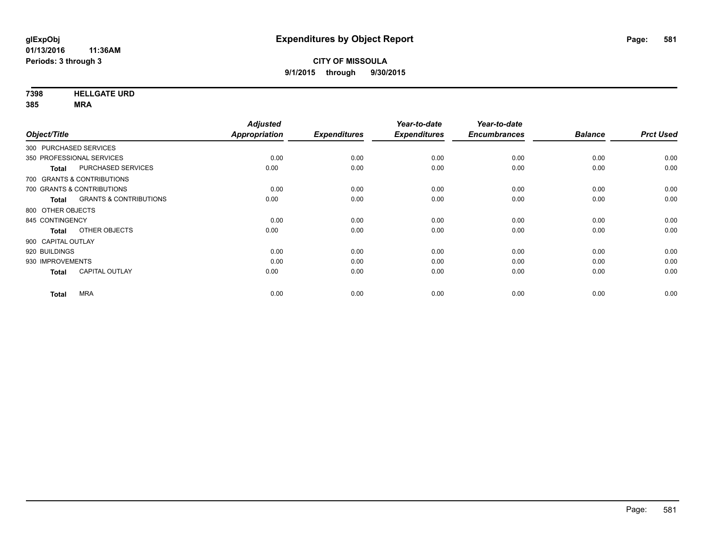**7398 HELLGATE URD**

**385 MRA**

|                                                   | <b>Adjusted</b> |                     | Year-to-date        | Year-to-date        |                |                  |
|---------------------------------------------------|-----------------|---------------------|---------------------|---------------------|----------------|------------------|
| Object/Title                                      | Appropriation   | <b>Expenditures</b> | <b>Expenditures</b> | <b>Encumbrances</b> | <b>Balance</b> | <b>Prct Used</b> |
| 300 PURCHASED SERVICES                            |                 |                     |                     |                     |                |                  |
| 350 PROFESSIONAL SERVICES                         | 0.00            | 0.00                | 0.00                | 0.00                | 0.00           | 0.00             |
| PURCHASED SERVICES<br><b>Total</b>                | 0.00            | 0.00                | 0.00                | 0.00                | 0.00           | 0.00             |
| 700 GRANTS & CONTRIBUTIONS                        |                 |                     |                     |                     |                |                  |
| 700 GRANTS & CONTRIBUTIONS                        | 0.00            | 0.00                | 0.00                | 0.00                | 0.00           | 0.00             |
| <b>GRANTS &amp; CONTRIBUTIONS</b><br><b>Total</b> | 0.00            | 0.00                | 0.00                | 0.00                | 0.00           | 0.00             |
| 800 OTHER OBJECTS                                 |                 |                     |                     |                     |                |                  |
| 845 CONTINGENCY                                   | 0.00            | 0.00                | 0.00                | 0.00                | 0.00           | 0.00             |
| OTHER OBJECTS<br><b>Total</b>                     | 0.00            | 0.00                | 0.00                | 0.00                | 0.00           | 0.00             |
| 900 CAPITAL OUTLAY                                |                 |                     |                     |                     |                |                  |
| 920 BUILDINGS                                     | 0.00            | 0.00                | 0.00                | 0.00                | 0.00           | 0.00             |
| 930 IMPROVEMENTS                                  | 0.00            | 0.00                | 0.00                | 0.00                | 0.00           | 0.00             |
| <b>CAPITAL OUTLAY</b><br><b>Total</b>             | 0.00            | 0.00                | 0.00                | 0.00                | 0.00           | 0.00             |
| <b>MRA</b>                                        | 0.00            | 0.00                | 0.00                | 0.00                | 0.00           | 0.00             |
| <b>Total</b>                                      |                 |                     |                     |                     |                |                  |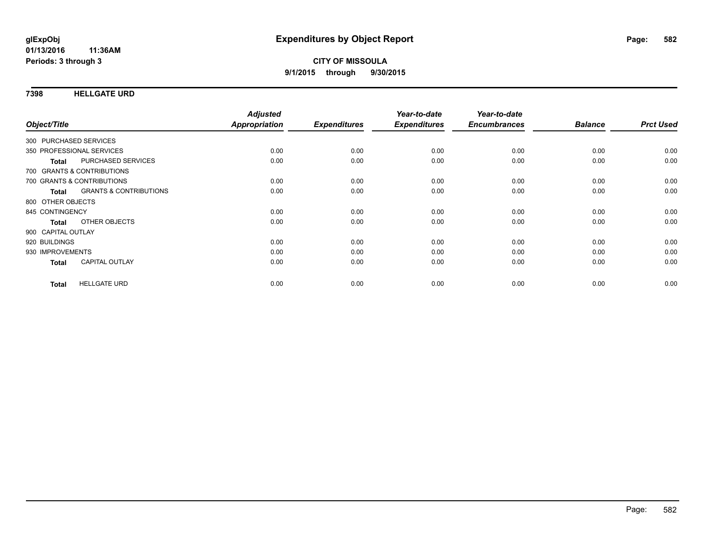### **7398 HELLGATE URD**

| Object/Title           |                                   | <b>Adjusted</b><br>Appropriation | <b>Expenditures</b> | Year-to-date<br><b>Expenditures</b> | Year-to-date<br><b>Encumbrances</b> | <b>Balance</b> | <b>Prct Used</b> |
|------------------------|-----------------------------------|----------------------------------|---------------------|-------------------------------------|-------------------------------------|----------------|------------------|
|                        |                                   |                                  |                     |                                     |                                     |                |                  |
| 300 PURCHASED SERVICES |                                   |                                  |                     |                                     |                                     |                |                  |
|                        | 350 PROFESSIONAL SERVICES         | 0.00                             | 0.00                | 0.00                                | 0.00                                | 0.00           | 0.00             |
| <b>Total</b>           | PURCHASED SERVICES                | 0.00                             | 0.00                | 0.00                                | 0.00                                | 0.00           | 0.00             |
|                        | 700 GRANTS & CONTRIBUTIONS        |                                  |                     |                                     |                                     |                |                  |
|                        | 700 GRANTS & CONTRIBUTIONS        | 0.00                             | 0.00                | 0.00                                | 0.00                                | 0.00           | 0.00             |
| Total                  | <b>GRANTS &amp; CONTRIBUTIONS</b> | 0.00                             | 0.00                | 0.00                                | 0.00                                | 0.00           | 0.00             |
| 800 OTHER OBJECTS      |                                   |                                  |                     |                                     |                                     |                |                  |
| 845 CONTINGENCY        |                                   | 0.00                             | 0.00                | 0.00                                | 0.00                                | 0.00           | 0.00             |
| <b>Total</b>           | OTHER OBJECTS                     | 0.00                             | 0.00                | 0.00                                | 0.00                                | 0.00           | 0.00             |
| 900 CAPITAL OUTLAY     |                                   |                                  |                     |                                     |                                     |                |                  |
| 920 BUILDINGS          |                                   | 0.00                             | 0.00                | 0.00                                | 0.00                                | 0.00           | 0.00             |
| 930 IMPROVEMENTS       |                                   | 0.00                             | 0.00                | 0.00                                | 0.00                                | 0.00           | 0.00             |
| <b>Total</b>           | <b>CAPITAL OUTLAY</b>             | 0.00                             | 0.00                | 0.00                                | 0.00                                | 0.00           | 0.00             |
|                        |                                   |                                  |                     |                                     |                                     |                |                  |
| <b>Total</b>           | <b>HELLGATE URD</b>               | 0.00                             | 0.00                | 0.00                                | 0.00                                | 0.00           | 0.00             |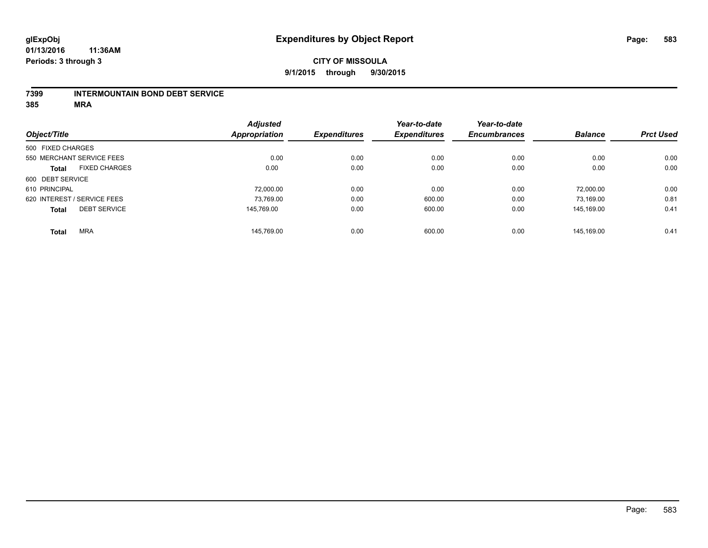### **7399 INTERMOUNTAIN BOND DEBT SERVICE**

**385 MRA**

|                   |                             | <b>Adjusted</b>      |                     | Year-to-date        | Year-to-date        |                |                  |
|-------------------|-----------------------------|----------------------|---------------------|---------------------|---------------------|----------------|------------------|
| Object/Title      |                             | <b>Appropriation</b> | <b>Expenditures</b> | <b>Expenditures</b> | <b>Encumbrances</b> | <b>Balance</b> | <b>Prct Used</b> |
| 500 FIXED CHARGES |                             |                      |                     |                     |                     |                |                  |
|                   | 550 MERCHANT SERVICE FEES   | 0.00                 | 0.00                | 0.00                | 0.00                | 0.00           | 0.00             |
| <b>Total</b>      | <b>FIXED CHARGES</b>        | 0.00                 | 0.00                | 0.00                | 0.00                | 0.00           | 0.00             |
| 600 DEBT SERVICE  |                             |                      |                     |                     |                     |                |                  |
| 610 PRINCIPAL     |                             | 72.000.00            | 0.00                | 0.00                | 0.00                | 72.000.00      | 0.00             |
|                   | 620 INTEREST / SERVICE FEES | 73,769.00            | 0.00                | 600.00              | 0.00                | 73,169.00      | 0.81             |
| <b>Total</b>      | <b>DEBT SERVICE</b>         | 145.769.00           | 0.00                | 600.00              | 0.00                | 145.169.00     | 0.41             |
| <b>Total</b>      | <b>MRA</b>                  | 145.769.00           | 0.00                | 600.00              | 0.00                | 145.169.00     | 0.41             |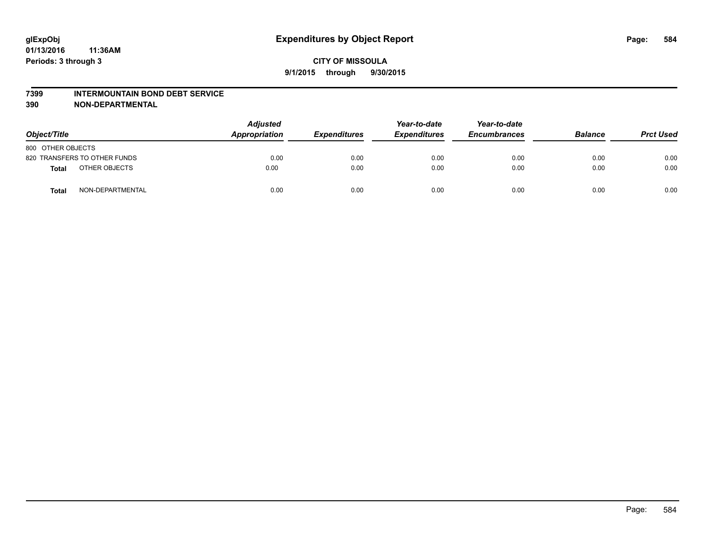#### **7399 INTERMOUNTAIN BOND DEBT SERVICE**

**390 NON-DEPARTMENTAL**

| Object/Title                     | <b>Adjusted</b><br>Appropriation | <b>Expenditures</b> | Year-to-date<br><b>Expenditures</b> | Year-to-date<br><b>Encumbrances</b> | <b>Balance</b> | <b>Prct Used</b> |
|----------------------------------|----------------------------------|---------------------|-------------------------------------|-------------------------------------|----------------|------------------|
| 800 OTHER OBJECTS                |                                  |                     |                                     |                                     |                |                  |
| 820 TRANSFERS TO OTHER FUNDS     | 0.00                             | 0.00                | 0.00                                | 0.00                                | 0.00           | 0.00             |
| OTHER OBJECTS<br><b>Total</b>    | 0.00                             | 0.00                | 0.00                                | 0.00                                | 0.00           | 0.00             |
| NON-DEPARTMENTAL<br><b>Total</b> | 0.00                             | 0.00                | 0.00                                | 0.00                                | 0.00           | 0.00             |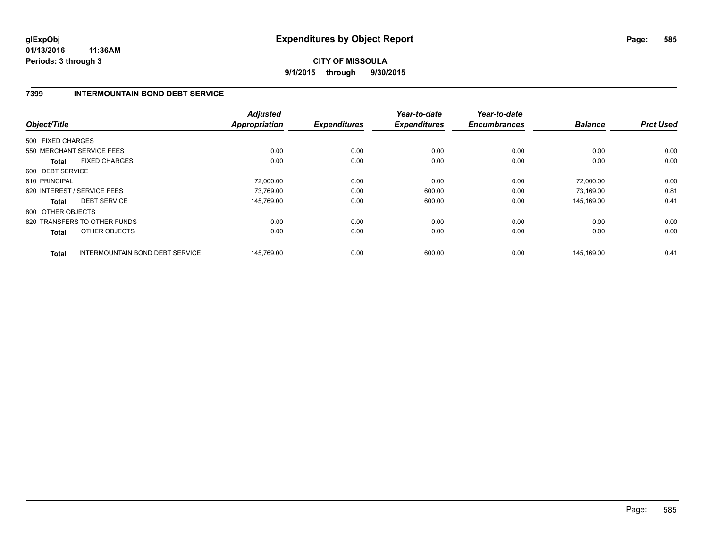## **CITY OF MISSOULA 9/1/2015 through 9/30/2015**

## **7399 INTERMOUNTAIN BOND DEBT SERVICE**

| Object/Title                  |                                        | <b>Adjusted</b><br><b>Appropriation</b> | <b>Expenditures</b> | Year-to-date<br><b>Expenditures</b> | Year-to-date<br><b>Encumbrances</b> | <b>Balance</b> | <b>Prct Used</b> |
|-------------------------------|----------------------------------------|-----------------------------------------|---------------------|-------------------------------------|-------------------------------------|----------------|------------------|
| 500 FIXED CHARGES             |                                        |                                         |                     |                                     |                                     |                |                  |
| 550 MERCHANT SERVICE FEES     |                                        | 0.00                                    | 0.00                | 0.00                                | 0.00                                | 0.00           | 0.00             |
| <b>FIXED CHARGES</b><br>Total |                                        | 0.00                                    | 0.00                | 0.00                                | 0.00                                | 0.00           | 0.00             |
| 600 DEBT SERVICE              |                                        |                                         |                     |                                     |                                     |                |                  |
| 610 PRINCIPAL                 |                                        | 72,000.00                               | 0.00                | 0.00                                | 0.00                                | 72.000.00      | 0.00             |
| 620 INTEREST / SERVICE FEES   |                                        | 73,769.00                               | 0.00                | 600.00                              | 0.00                                | 73,169.00      | 0.81             |
| <b>DEBT SERVICE</b><br>Total  |                                        | 145.769.00                              | 0.00                | 600.00                              | 0.00                                | 145.169.00     | 0.41             |
| 800 OTHER OBJECTS             |                                        |                                         |                     |                                     |                                     |                |                  |
| 820 TRANSFERS TO OTHER FUNDS  |                                        | 0.00                                    | 0.00                | 0.00                                | 0.00                                | 0.00           | 0.00             |
| OTHER OBJECTS<br><b>Total</b> |                                        | 0.00                                    | 0.00                | 0.00                                | 0.00                                | 0.00           | 0.00             |
| <b>Total</b>                  | <b>INTERMOUNTAIN BOND DEBT SERVICE</b> | 145,769.00                              | 0.00                | 600.00                              | 0.00                                | 145,169.00     | 0.41             |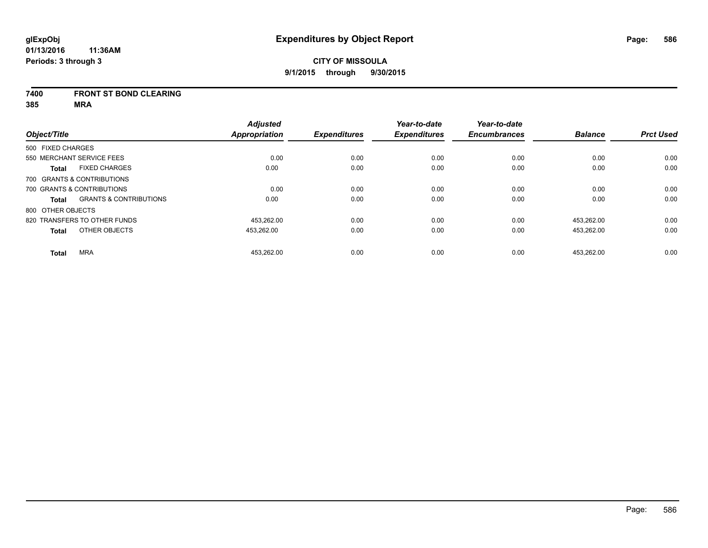### **7400 FRONT ST BOND CLEARING**

**385 MRA**

|                   |                                   | <b>Adjusted</b>      |                     | Year-to-date        | Year-to-date        |                |                  |
|-------------------|-----------------------------------|----------------------|---------------------|---------------------|---------------------|----------------|------------------|
| Object/Title      |                                   | <b>Appropriation</b> | <b>Expenditures</b> | <b>Expenditures</b> | <b>Encumbrances</b> | <b>Balance</b> | <b>Prct Used</b> |
| 500 FIXED CHARGES |                                   |                      |                     |                     |                     |                |                  |
|                   | 550 MERCHANT SERVICE FEES         | 0.00                 | 0.00                | 0.00                | 0.00                | 0.00           | 0.00             |
| <b>Total</b>      | <b>FIXED CHARGES</b>              | 0.00                 | 0.00                | 0.00                | 0.00                | 0.00           | 0.00             |
|                   | 700 GRANTS & CONTRIBUTIONS        |                      |                     |                     |                     |                |                  |
|                   | 700 GRANTS & CONTRIBUTIONS        | 0.00                 | 0.00                | 0.00                | 0.00                | 0.00           | 0.00             |
| Total             | <b>GRANTS &amp; CONTRIBUTIONS</b> | 0.00                 | 0.00                | 0.00                | 0.00                | 0.00           | 0.00             |
| 800 OTHER OBJECTS |                                   |                      |                     |                     |                     |                |                  |
|                   | 820 TRANSFERS TO OTHER FUNDS      | 453.262.00           | 0.00                | 0.00                | 0.00                | 453.262.00     | 0.00             |
| <b>Total</b>      | OTHER OBJECTS                     | 453,262.00           | 0.00                | 0.00                | 0.00                | 453,262.00     | 0.00             |
| <b>Total</b>      | <b>MRA</b>                        | 453,262.00           | 0.00                | 0.00                | 0.00                | 453.262.00     | 0.00             |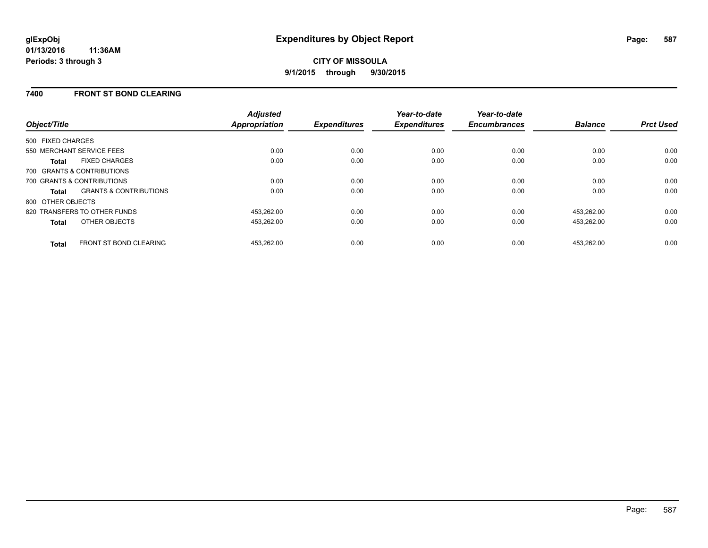## **7400 FRONT ST BOND CLEARING**

| Object/Title                                  | <b>Adjusted</b><br><b>Appropriation</b> | <b>Expenditures</b> | Year-to-date<br><b>Expenditures</b> | Year-to-date<br><b>Encumbrances</b> | <b>Balance</b> | <b>Prct Used</b> |
|-----------------------------------------------|-----------------------------------------|---------------------|-------------------------------------|-------------------------------------|----------------|------------------|
| 500 FIXED CHARGES                             |                                         |                     |                                     |                                     |                |                  |
| 550 MERCHANT SERVICE FEES                     | 0.00                                    | 0.00                | 0.00                                | 0.00                                | 0.00           | 0.00             |
| <b>FIXED CHARGES</b><br>Total                 | 0.00                                    | 0.00                | 0.00                                | 0.00                                | 0.00           | 0.00             |
| 700 GRANTS & CONTRIBUTIONS                    |                                         |                     |                                     |                                     |                |                  |
| 700 GRANTS & CONTRIBUTIONS                    | 0.00                                    | 0.00                | 0.00                                | 0.00                                | 0.00           | 0.00             |
| <b>GRANTS &amp; CONTRIBUTIONS</b><br>Total    | 0.00                                    | 0.00                | 0.00                                | 0.00                                | 0.00           | 0.00             |
| 800 OTHER OBJECTS                             |                                         |                     |                                     |                                     |                |                  |
| 820 TRANSFERS TO OTHER FUNDS                  | 453,262.00                              | 0.00                | 0.00                                | 0.00                                | 453,262.00     | 0.00             |
| <b>OTHER OBJECTS</b><br><b>Total</b>          | 453,262.00                              | 0.00                | 0.00                                | 0.00                                | 453,262.00     | 0.00             |
| <b>FRONT ST BOND CLEARING</b><br><b>Total</b> | 453.262.00                              | 0.00                | 0.00                                | 0.00                                | 453.262.00     | 0.00             |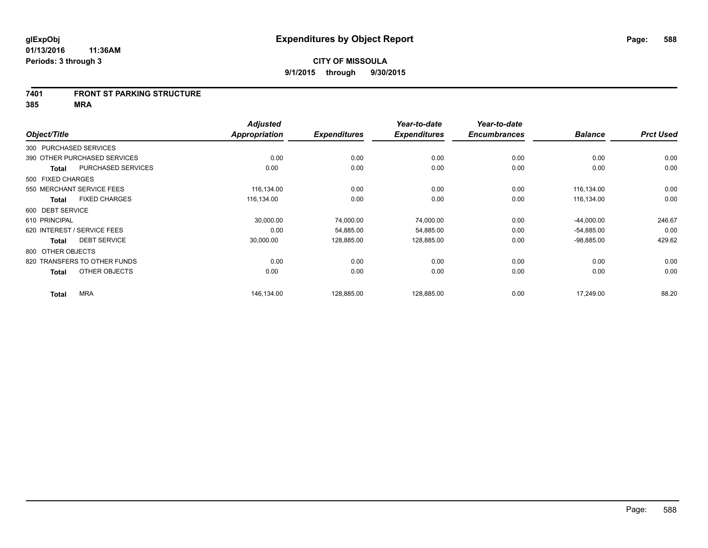#### **7401 FRONT ST PARKING STRUCTURE**

**385 MRA**

| Object/Title                |                              | <b>Adjusted</b><br>Appropriation | <b>Expenditures</b> | Year-to-date<br><b>Expenditures</b> | Year-to-date<br><b>Encumbrances</b> | <b>Balance</b> | <b>Prct Used</b> |
|-----------------------------|------------------------------|----------------------------------|---------------------|-------------------------------------|-------------------------------------|----------------|------------------|
| 300 PURCHASED SERVICES      |                              |                                  |                     |                                     |                                     |                |                  |
|                             | 390 OTHER PURCHASED SERVICES | 0.00                             | 0.00                | 0.00                                | 0.00                                | 0.00           | 0.00             |
| <b>Total</b>                | PURCHASED SERVICES           | 0.00                             | 0.00                | 0.00                                | 0.00                                | 0.00           | 0.00             |
| 500 FIXED CHARGES           |                              |                                  |                     |                                     |                                     |                |                  |
| 550 MERCHANT SERVICE FEES   |                              | 116,134.00                       | 0.00                | 0.00                                | 0.00                                | 116,134.00     | 0.00             |
| <b>Total</b>                | <b>FIXED CHARGES</b>         | 116,134.00                       | 0.00                | 0.00                                | 0.00                                | 116,134.00     | 0.00             |
| 600 DEBT SERVICE            |                              |                                  |                     |                                     |                                     |                |                  |
| 610 PRINCIPAL               |                              | 30,000.00                        | 74,000.00           | 74,000.00                           | 0.00                                | $-44,000.00$   | 246.67           |
| 620 INTEREST / SERVICE FEES |                              | 0.00                             | 54,885.00           | 54,885.00                           | 0.00                                | $-54,885.00$   | 0.00             |
| <b>Total</b>                | <b>DEBT SERVICE</b>          | 30,000.00                        | 128,885.00          | 128,885.00                          | 0.00                                | $-98,885.00$   | 429.62           |
| 800 OTHER OBJECTS           |                              |                                  |                     |                                     |                                     |                |                  |
|                             | 820 TRANSFERS TO OTHER FUNDS | 0.00                             | 0.00                | 0.00                                | 0.00                                | 0.00           | 0.00             |
| <b>Total</b>                | OTHER OBJECTS                | 0.00                             | 0.00                | 0.00                                | 0.00                                | 0.00           | 0.00             |
| <b>Total</b>                | <b>MRA</b>                   | 146,134.00                       | 128,885.00          | 128,885.00                          | 0.00                                | 17,249.00      | 88.20            |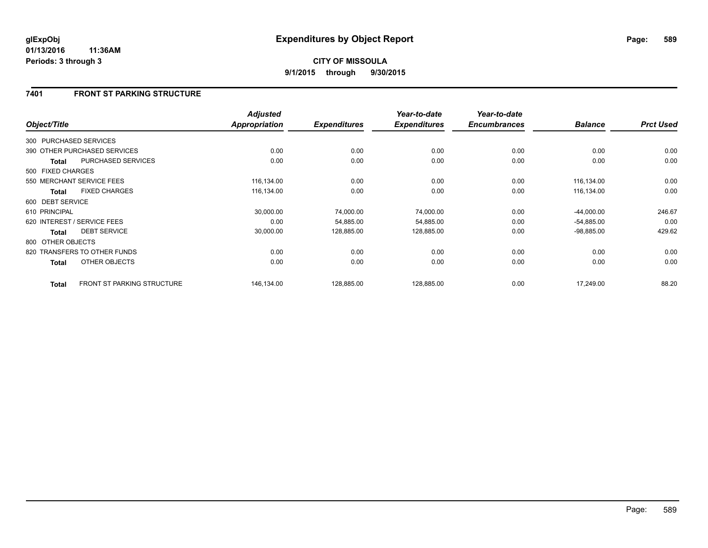## **7401 FRONT ST PARKING STRUCTURE**

| Object/Title      |                                   | <b>Adjusted</b><br>Appropriation | <b>Expenditures</b> | Year-to-date<br><b>Expenditures</b> | Year-to-date<br><b>Encumbrances</b> | <b>Balance</b> | <b>Prct Used</b> |
|-------------------|-----------------------------------|----------------------------------|---------------------|-------------------------------------|-------------------------------------|----------------|------------------|
|                   |                                   |                                  |                     |                                     |                                     |                |                  |
|                   | 300 PURCHASED SERVICES            |                                  |                     |                                     |                                     |                |                  |
|                   | 390 OTHER PURCHASED SERVICES      | 0.00                             | 0.00                | 0.00                                | 0.00                                | 0.00           | 0.00             |
| Total             | PURCHASED SERVICES                | 0.00                             | 0.00                | 0.00                                | 0.00                                | 0.00           | 0.00             |
| 500 FIXED CHARGES |                                   |                                  |                     |                                     |                                     |                |                  |
|                   | 550 MERCHANT SERVICE FEES         | 116,134.00                       | 0.00                | 0.00                                | 0.00                                | 116,134.00     | 0.00             |
| <b>Total</b>      | <b>FIXED CHARGES</b>              | 116,134.00                       | 0.00                | 0.00                                | 0.00                                | 116,134.00     | 0.00             |
| 600 DEBT SERVICE  |                                   |                                  |                     |                                     |                                     |                |                  |
| 610 PRINCIPAL     |                                   | 30,000.00                        | 74,000.00           | 74,000.00                           | 0.00                                | $-44,000.00$   | 246.67           |
|                   | 620 INTEREST / SERVICE FEES       | 0.00                             | 54,885.00           | 54,885.00                           | 0.00                                | $-54,885.00$   | 0.00             |
| <b>Total</b>      | <b>DEBT SERVICE</b>               | 30,000.00                        | 128,885.00          | 128,885.00                          | 0.00                                | $-98,885.00$   | 429.62           |
| 800 OTHER OBJECTS |                                   |                                  |                     |                                     |                                     |                |                  |
|                   | 820 TRANSFERS TO OTHER FUNDS      | 0.00                             | 0.00                | 0.00                                | 0.00                                | 0.00           | 0.00             |
| <b>Total</b>      | OTHER OBJECTS                     | 0.00                             | 0.00                | 0.00                                | 0.00                                | 0.00           | 0.00             |
| <b>Total</b>      | <b>FRONT ST PARKING STRUCTURE</b> | 146,134.00                       | 128,885.00          | 128,885.00                          | 0.00                                | 17,249.00      | 88.20            |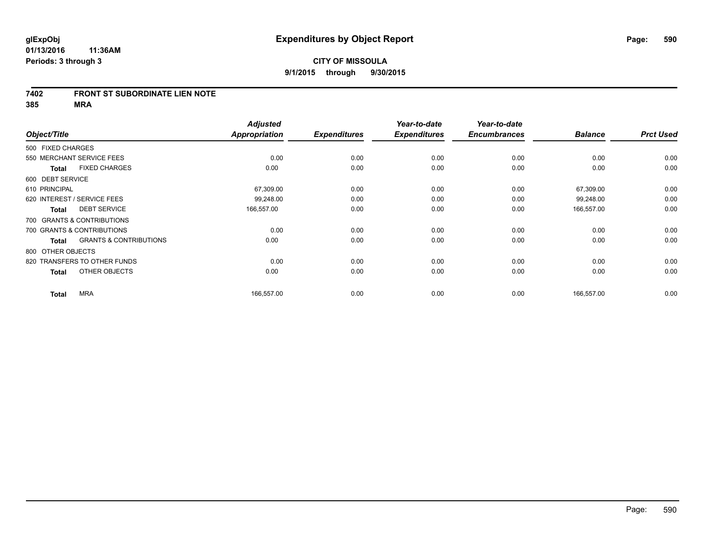### **7402 FRONT ST SUBORDINATE LIEN NOTE**

**385 MRA**

| Object/Title      |                                   | <b>Adjusted</b><br>Appropriation | <b>Expenditures</b> | Year-to-date<br><b>Expenditures</b> | Year-to-date<br><b>Encumbrances</b> | <b>Balance</b> | <b>Prct Used</b> |
|-------------------|-----------------------------------|----------------------------------|---------------------|-------------------------------------|-------------------------------------|----------------|------------------|
|                   |                                   |                                  |                     |                                     |                                     |                |                  |
| 500 FIXED CHARGES |                                   |                                  |                     |                                     |                                     |                |                  |
|                   | 550 MERCHANT SERVICE FEES         | 0.00                             | 0.00                | 0.00                                | 0.00                                | 0.00           | 0.00             |
| <b>Total</b>      | <b>FIXED CHARGES</b>              | 0.00                             | 0.00                | 0.00                                | 0.00                                | 0.00           | 0.00             |
| 600 DEBT SERVICE  |                                   |                                  |                     |                                     |                                     |                |                  |
| 610 PRINCIPAL     |                                   | 67,309.00                        | 0.00                | 0.00                                | 0.00                                | 67,309.00      | 0.00             |
|                   | 620 INTEREST / SERVICE FEES       | 99,248.00                        | 0.00                | 0.00                                | 0.00                                | 99,248.00      | 0.00             |
| <b>Total</b>      | <b>DEBT SERVICE</b>               | 166,557.00                       | 0.00                | 0.00                                | 0.00                                | 166,557.00     | 0.00             |
|                   | 700 GRANTS & CONTRIBUTIONS        |                                  |                     |                                     |                                     |                |                  |
|                   | 700 GRANTS & CONTRIBUTIONS        | 0.00                             | 0.00                | 0.00                                | 0.00                                | 0.00           | 0.00             |
| <b>Total</b>      | <b>GRANTS &amp; CONTRIBUTIONS</b> | 0.00                             | 0.00                | 0.00                                | 0.00                                | 0.00           | 0.00             |
| 800 OTHER OBJECTS |                                   |                                  |                     |                                     |                                     |                |                  |
|                   | 820 TRANSFERS TO OTHER FUNDS      | 0.00                             | 0.00                | 0.00                                | 0.00                                | 0.00           | 0.00             |
| <b>Total</b>      | OTHER OBJECTS                     | 0.00                             | 0.00                | 0.00                                | 0.00                                | 0.00           | 0.00             |
| <b>Total</b>      | <b>MRA</b>                        | 166,557.00                       | 0.00                | 0.00                                | 0.00                                | 166,557.00     | 0.00             |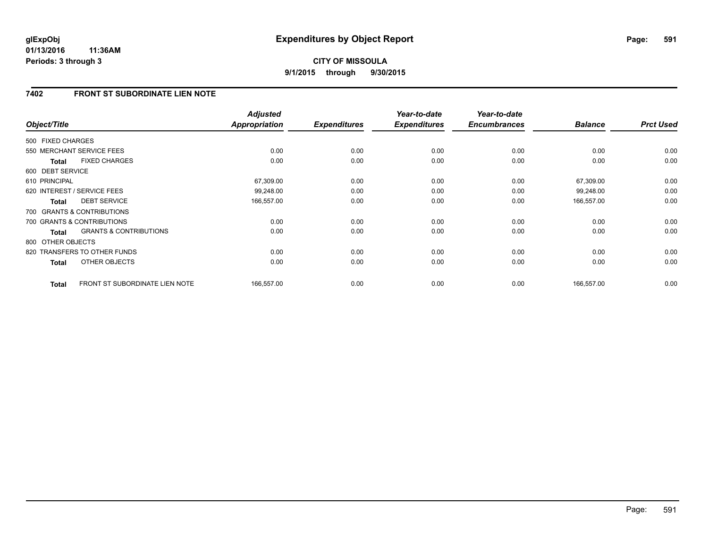## **7402 FRONT ST SUBORDINATE LIEN NOTE**

| Object/Title      |                                   | <b>Adjusted</b><br><b>Appropriation</b> | <b>Expenditures</b> | Year-to-date<br><b>Expenditures</b> | Year-to-date<br><b>Encumbrances</b> | <b>Balance</b> | <b>Prct Used</b> |
|-------------------|-----------------------------------|-----------------------------------------|---------------------|-------------------------------------|-------------------------------------|----------------|------------------|
| 500 FIXED CHARGES |                                   |                                         |                     |                                     |                                     |                |                  |
|                   | 550 MERCHANT SERVICE FEES         | 0.00                                    | 0.00                | 0.00                                | 0.00                                | 0.00           | 0.00             |
| <b>Total</b>      | <b>FIXED CHARGES</b>              | 0.00                                    | 0.00                | 0.00                                | 0.00                                | 0.00           | 0.00             |
| 600 DEBT SERVICE  |                                   |                                         |                     |                                     |                                     |                |                  |
| 610 PRINCIPAL     |                                   | 67,309.00                               | 0.00                | 0.00                                | 0.00                                | 67,309.00      | 0.00             |
|                   | 620 INTEREST / SERVICE FEES       | 99,248.00                               | 0.00                | 0.00                                | 0.00                                | 99,248.00      | 0.00             |
| <b>Total</b>      | <b>DEBT SERVICE</b>               | 166,557.00                              | 0.00                | 0.00                                | 0.00                                | 166,557.00     | 0.00             |
|                   | 700 GRANTS & CONTRIBUTIONS        |                                         |                     |                                     |                                     |                |                  |
|                   | 700 GRANTS & CONTRIBUTIONS        | 0.00                                    | 0.00                | 0.00                                | 0.00                                | 0.00           | 0.00             |
| <b>Total</b>      | <b>GRANTS &amp; CONTRIBUTIONS</b> | 0.00                                    | 0.00                | 0.00                                | 0.00                                | 0.00           | 0.00             |
| 800 OTHER OBJECTS |                                   |                                         |                     |                                     |                                     |                |                  |
|                   | 820 TRANSFERS TO OTHER FUNDS      | 0.00                                    | 0.00                | 0.00                                | 0.00                                | 0.00           | 0.00             |
| <b>Total</b>      | <b>OTHER OBJECTS</b>              | 0.00                                    | 0.00                | 0.00                                | 0.00                                | 0.00           | 0.00             |
| <b>Total</b>      | FRONT ST SUBORDINATE LIEN NOTE    | 166,557.00                              | 0.00                | 0.00                                | 0.00                                | 166,557.00     | 0.00             |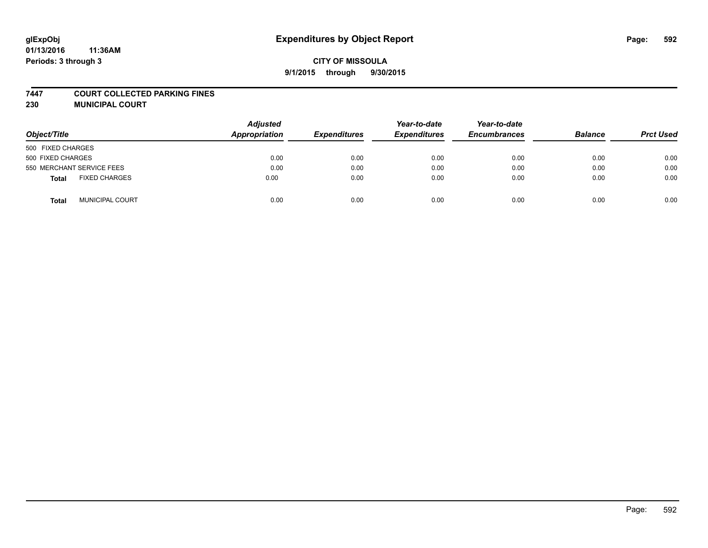#### **7447 COURT COLLECTED PARKING FINES**

**230 MUNICIPAL COURT**

| Object/Title                    | <b>Adjusted</b><br>Appropriation | <b>Expenditures</b> | Year-to-date<br><b>Expenditures</b> | Year-to-date<br><b>Encumbrances</b> | <b>Balance</b> | <b>Prct Used</b> |
|---------------------------------|----------------------------------|---------------------|-------------------------------------|-------------------------------------|----------------|------------------|
| 500 FIXED CHARGES               |                                  |                     |                                     |                                     |                |                  |
| 500 FIXED CHARGES               | 0.00                             | 0.00                | 0.00                                | 0.00                                | 0.00           | 0.00             |
| 550 MERCHANT SERVICE FEES       | 0.00                             | 0.00                | 0.00                                | 0.00                                | 0.00           | 0.00             |
| <b>FIXED CHARGES</b><br>Total   | 0.00                             | 0.00                | 0.00                                | 0.00                                | 0.00           | 0.00             |
| <b>MUNICIPAL COURT</b><br>Total | 0.00                             | 0.00                | 0.00                                | 0.00                                | 0.00           | 0.00             |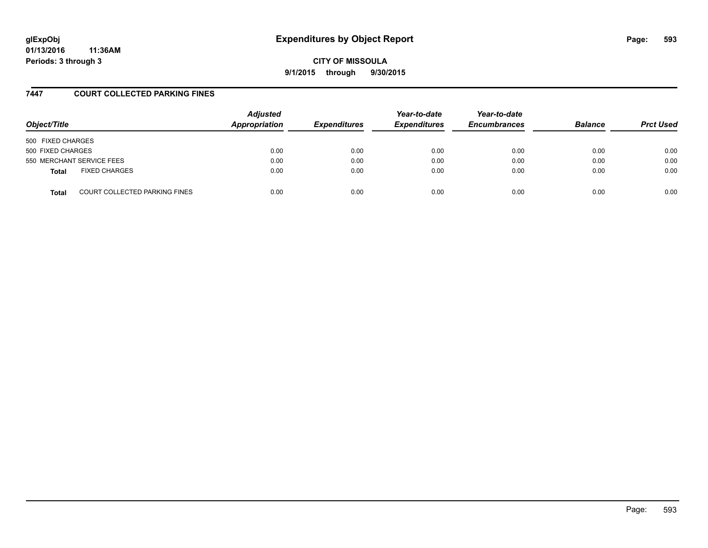**CITY OF MISSOULA 9/1/2015 through 9/30/2015**

## **7447 COURT COLLECTED PARKING FINES**

| Object/Title      |                               | <b>Adjusted</b><br>Appropriation | <b>Expenditures</b> | Year-to-date<br><b>Expenditures</b> | Year-to-date<br><b>Encumbrances</b> | <b>Balance</b> | <b>Prct Used</b> |
|-------------------|-------------------------------|----------------------------------|---------------------|-------------------------------------|-------------------------------------|----------------|------------------|
| 500 FIXED CHARGES |                               |                                  |                     |                                     |                                     |                |                  |
| 500 FIXED CHARGES |                               | 0.00                             | 0.00                | 0.00                                | 0.00                                | 0.00           | 0.00             |
|                   | 550 MERCHANT SERVICE FEES     | 0.00                             | 0.00                | 0.00                                | 0.00                                | 0.00           | 0.00             |
| <b>Total</b>      | <b>FIXED CHARGES</b>          | 0.00                             | 0.00                | 0.00                                | 0.00                                | 0.00           | 0.00             |
| <b>Total</b>      | COURT COLLECTED PARKING FINES | 0.00                             | 0.00                | 0.00                                | 0.00                                | 0.00           | 0.00             |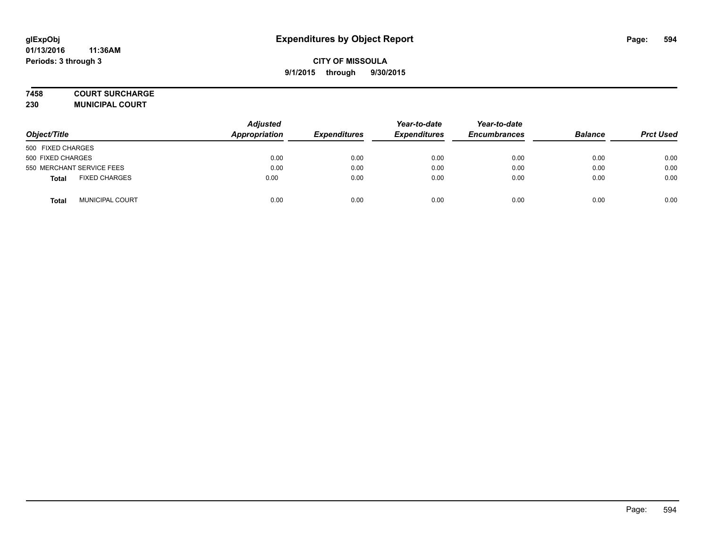### **7458 COURT SURCHARGE**

**230 MUNICIPAL COURT**

| Object/Title                         | <b>Adjusted</b><br>Appropriation | <b>Expenditures</b> | Year-to-date<br><b>Expenditures</b> | Year-to-date<br><b>Encumbrances</b> | <b>Balance</b> | <b>Prct Used</b> |
|--------------------------------------|----------------------------------|---------------------|-------------------------------------|-------------------------------------|----------------|------------------|
| 500 FIXED CHARGES                    |                                  |                     |                                     |                                     |                |                  |
| 500 FIXED CHARGES                    | 0.00                             | 0.00                | 0.00                                | 0.00                                | 0.00           | 0.00             |
| 550 MERCHANT SERVICE FEES            | 0.00                             | 0.00                | 0.00                                | 0.00                                | 0.00           | 0.00             |
| <b>FIXED CHARGES</b><br><b>Total</b> | 0.00                             | 0.00                | 0.00                                | 0.00                                | 0.00           | 0.00             |
| <b>MUNICIPAL COURT</b><br>Total      | 0.00                             | 0.00                | 0.00                                | 0.00                                | 0.00           | 0.00             |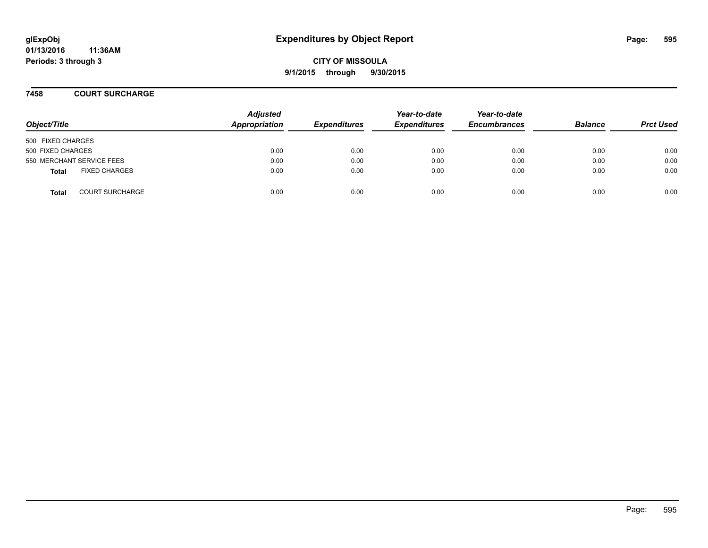**CITY OF MISSOULA 9/1/2015 through 9/30/2015**

**7458 COURT SURCHARGE**

| Object/Title              |                        | <b>Adjusted</b><br>Appropriation | <b>Expenditures</b> | Year-to-date<br><b>Expenditures</b> | Year-to-date<br><b>Encumbrances</b> | <b>Balance</b> | <b>Prct Used</b> |
|---------------------------|------------------------|----------------------------------|---------------------|-------------------------------------|-------------------------------------|----------------|------------------|
| 500 FIXED CHARGES         |                        |                                  |                     |                                     |                                     |                |                  |
| 500 FIXED CHARGES         |                        | 0.00                             | 0.00                | 0.00                                | 0.00                                | 0.00           | 0.00             |
| 550 MERCHANT SERVICE FEES |                        | 0.00                             | 0.00                | 0.00                                | 0.00                                | 0.00           | 0.00             |
| <b>Total</b>              | <b>FIXED CHARGES</b>   | 0.00                             | 0.00                | 0.00                                | 0.00                                | 0.00           | 0.00             |
| <b>Total</b>              | <b>COURT SURCHARGE</b> | 0.00                             | 0.00                | 0.00                                | 0.00                                | 0.00           | 0.00             |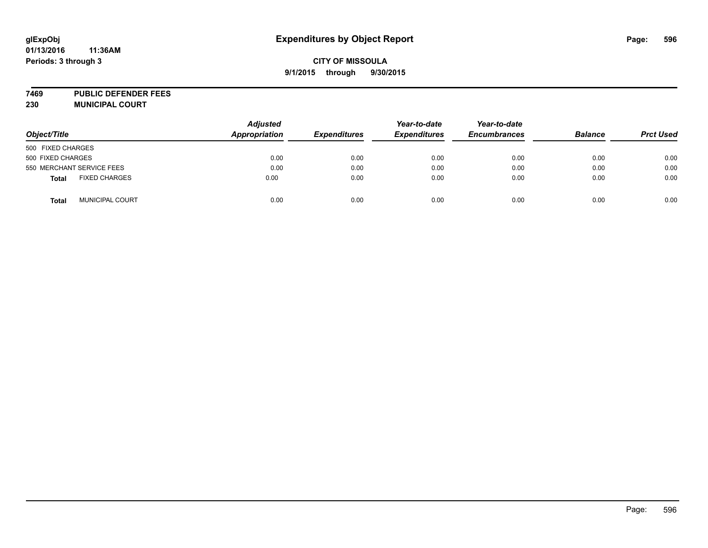# **glExpObj Expenditures by Object Report Page: 596**

#### **01/13/2016 11:36AM Periods: 3 through 3**

## **CITY OF MISSOULA 9/1/2015 through 9/30/2015**

**7469 PUBLIC DEFENDER FEES 230 MUNICIPAL COURT**

| Object/Title                           | <b>Adjusted</b><br><b>Appropriation</b> | <b>Expenditures</b> | Year-to-date<br><b>Expenditures</b> | Year-to-date<br><b>Encumbrances</b> | <b>Balance</b> | <b>Prct Used</b> |
|----------------------------------------|-----------------------------------------|---------------------|-------------------------------------|-------------------------------------|----------------|------------------|
| 500 FIXED CHARGES                      |                                         |                     |                                     |                                     |                |                  |
| 500 FIXED CHARGES                      | 0.00                                    | 0.00                | 0.00                                | 0.00                                | 0.00           | 0.00             |
| 550 MERCHANT SERVICE FEES              | 0.00                                    | 0.00                | 0.00                                | 0.00                                | 0.00           | 0.00             |
| <b>FIXED CHARGES</b><br><b>Total</b>   | 0.00                                    | 0.00                | 0.00                                | 0.00                                | 0.00           | 0.00             |
| <b>MUNICIPAL COURT</b><br><b>Total</b> | 0.00                                    | 0.00                | 0.00                                | 0.00                                | 0.00           | 0.00             |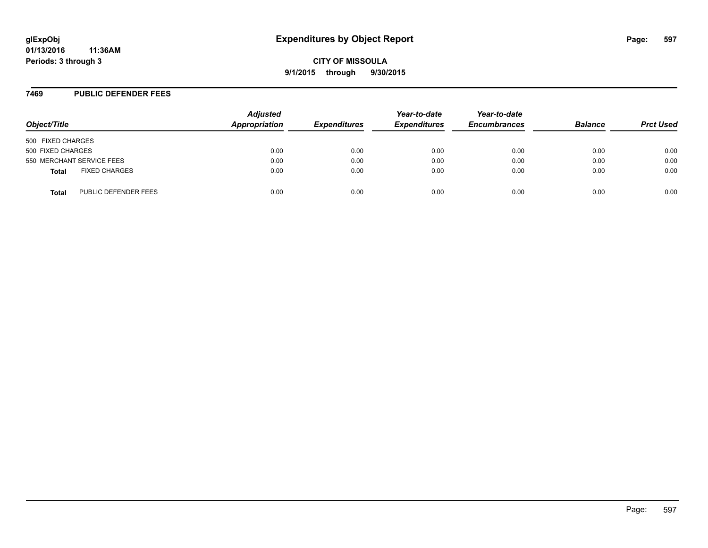### **7469 PUBLIC DEFENDER FEES**

| Object/Title      |                           | <b>Adjusted</b><br>Appropriation | <b>Expenditures</b> | Year-to-date<br><b>Expenditures</b> | Year-to-date<br><b>Encumbrances</b> | <b>Balance</b> | <b>Prct Used</b> |
|-------------------|---------------------------|----------------------------------|---------------------|-------------------------------------|-------------------------------------|----------------|------------------|
| 500 FIXED CHARGES |                           |                                  |                     |                                     |                                     |                |                  |
| 500 FIXED CHARGES |                           | 0.00                             | 0.00                | 0.00                                | 0.00                                | 0.00           | 0.00             |
|                   | 550 MERCHANT SERVICE FEES | 0.00                             | 0.00                | 0.00                                | 0.00                                | 0.00           | 0.00             |
| <b>Total</b>      | <b>FIXED CHARGES</b>      | 0.00                             | 0.00                | 0.00                                | 0.00                                | 0.00           | 0.00             |
| <b>Total</b>      | PUBLIC DEFENDER FEES      | 0.00                             | 0.00                | 0.00                                | 0.00                                | 0.00           | 0.00             |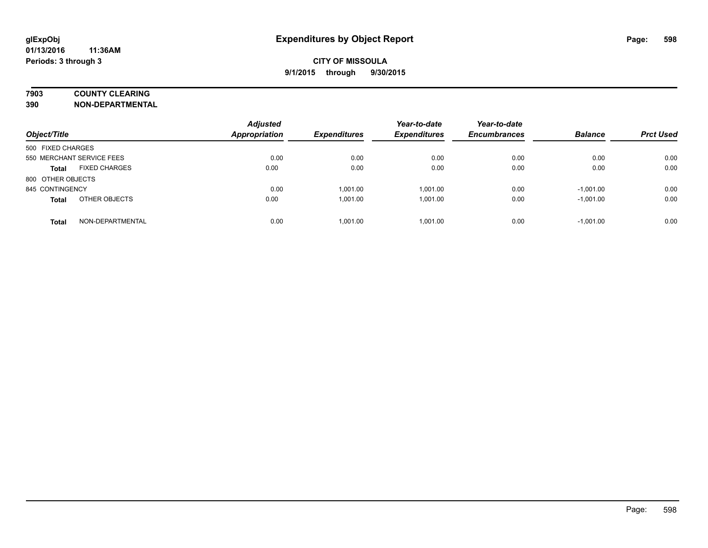## **7903 COUNTY CLEARING**

**390 NON-DEPARTMENTAL**

| Object/Title                         | <b>Adjusted</b><br><b>Appropriation</b> | <b>Expenditures</b> | Year-to-date<br><b>Expenditures</b> | Year-to-date<br><b>Encumbrances</b> | <b>Balance</b> | <b>Prct Used</b> |
|--------------------------------------|-----------------------------------------|---------------------|-------------------------------------|-------------------------------------|----------------|------------------|
| 500 FIXED CHARGES                    |                                         |                     |                                     |                                     |                |                  |
| 550 MERCHANT SERVICE FEES            | 0.00                                    | 0.00                | 0.00                                | 0.00                                | 0.00           | 0.00             |
| <b>FIXED CHARGES</b><br><b>Total</b> | 0.00                                    | 0.00                | 0.00                                | 0.00                                | 0.00           | 0.00             |
| 800 OTHER OBJECTS                    |                                         |                     |                                     |                                     |                |                  |
| 845 CONTINGENCY                      | 0.00                                    | 1,001.00            | 1,001.00                            | 0.00                                | $-1,001.00$    | 0.00             |
| OTHER OBJECTS<br><b>Total</b>        | 0.00                                    | 1,001.00            | 1.001.00                            | 0.00                                | $-1,001.00$    | 0.00             |
| NON-DEPARTMENTAL<br><b>Total</b>     | 0.00                                    | 1.001.00            | 1.001.00                            | 0.00                                | $-1.001.00$    | 0.00             |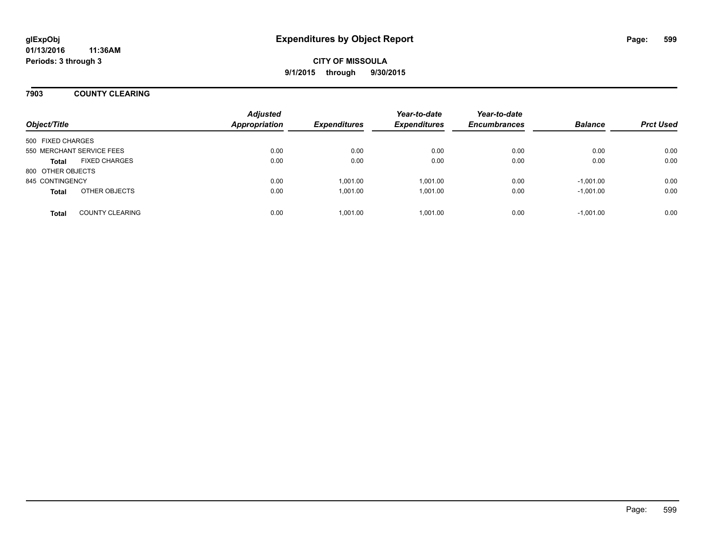## **7903 COUNTY CLEARING**

| Object/Title              |                        | <b>Adjusted</b><br><b>Appropriation</b> | <b>Expenditures</b> | Year-to-date<br><b>Expenditures</b> | Year-to-date<br><b>Encumbrances</b> | <b>Balance</b> | <b>Prct Used</b> |
|---------------------------|------------------------|-----------------------------------------|---------------------|-------------------------------------|-------------------------------------|----------------|------------------|
| 500 FIXED CHARGES         |                        |                                         |                     |                                     |                                     |                |                  |
| 550 MERCHANT SERVICE FEES |                        | 0.00                                    | 0.00                | 0.00                                | 0.00                                | 0.00           | 0.00             |
| <b>Total</b>              | <b>FIXED CHARGES</b>   | 0.00                                    | 0.00                | 0.00                                | 0.00                                | 0.00           | 0.00             |
| 800 OTHER OBJECTS         |                        |                                         |                     |                                     |                                     |                |                  |
| 845 CONTINGENCY           |                        | 0.00                                    | 1,001.00            | 1.001.00                            | 0.00                                | $-1,001.00$    | 0.00             |
| <b>Total</b>              | OTHER OBJECTS          | 0.00                                    | 1,001.00            | 1.001.00                            | 0.00                                | $-1,001.00$    | 0.00             |
| <b>Total</b>              | <b>COUNTY CLEARING</b> | 0.00                                    | 1.001.00            | 1.001.00                            | 0.00                                | $-1,001.00$    | 0.00             |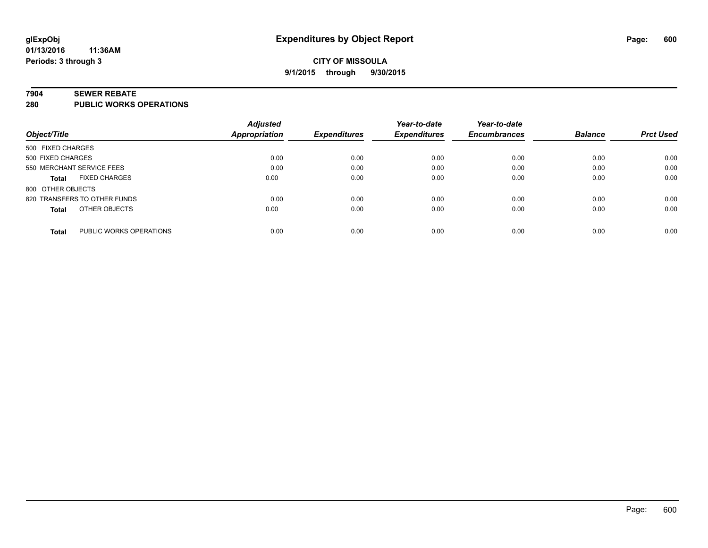#### **7904 SEWER REBATE**

**280 PUBLIC WORKS OPERATIONS**

|                                         | <b>Adjusted</b> |                     | Year-to-date        | Year-to-date        |                |                  |
|-----------------------------------------|-----------------|---------------------|---------------------|---------------------|----------------|------------------|
| Object/Title                            | Appropriation   | <b>Expenditures</b> | <b>Expenditures</b> | <b>Encumbrances</b> | <b>Balance</b> | <b>Prct Used</b> |
| 500 FIXED CHARGES                       |                 |                     |                     |                     |                |                  |
| 500 FIXED CHARGES                       | 0.00            | 0.00                | 0.00                | 0.00                | 0.00           | 0.00             |
| 550 MERCHANT SERVICE FEES               | 0.00            | 0.00                | 0.00                | 0.00                | 0.00           | 0.00             |
| <b>FIXED CHARGES</b><br><b>Total</b>    | 0.00            | 0.00                | 0.00                | 0.00                | 0.00           | 0.00             |
| 800 OTHER OBJECTS                       |                 |                     |                     |                     |                |                  |
| 820 TRANSFERS TO OTHER FUNDS            | 0.00            | 0.00                | 0.00                | 0.00                | 0.00           | 0.00             |
| OTHER OBJECTS<br><b>Total</b>           | 0.00            | 0.00                | 0.00                | 0.00                | 0.00           | 0.00             |
| PUBLIC WORKS OPERATIONS<br><b>Total</b> | 0.00            | 0.00                | 0.00                | 0.00                | 0.00           | 0.00             |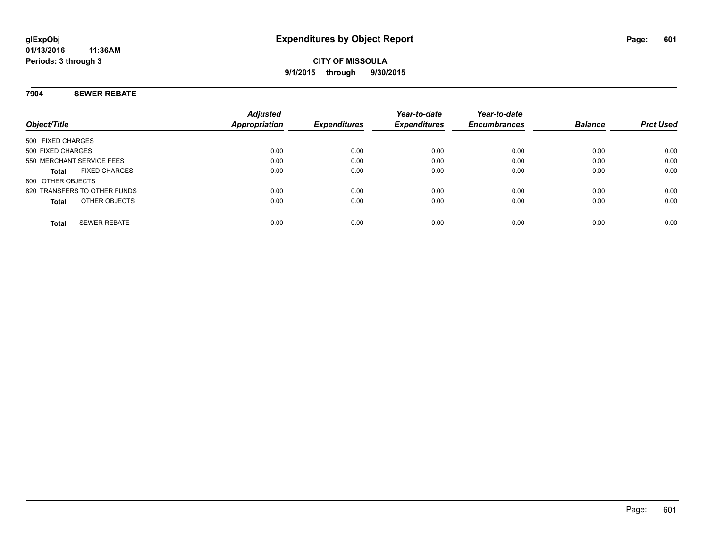### **7904 SEWER REBATE**

| Object/Title                         | <b>Adjusted</b><br>Appropriation | <b>Expenditures</b> | Year-to-date<br><b>Expenditures</b> | Year-to-date<br><b>Encumbrances</b> | <b>Balance</b> | <b>Prct Used</b> |
|--------------------------------------|----------------------------------|---------------------|-------------------------------------|-------------------------------------|----------------|------------------|
| 500 FIXED CHARGES                    |                                  |                     |                                     |                                     |                |                  |
| 500 FIXED CHARGES                    | 0.00                             | 0.00                | 0.00                                | 0.00                                | 0.00           | 0.00             |
| 550 MERCHANT SERVICE FEES            | 0.00                             | 0.00                | 0.00                                | 0.00                                | 0.00           | 0.00             |
| <b>FIXED CHARGES</b><br><b>Total</b> | 0.00                             | 0.00                | 0.00                                | 0.00                                | 0.00           | 0.00             |
| 800 OTHER OBJECTS                    |                                  |                     |                                     |                                     |                |                  |
| 820 TRANSFERS TO OTHER FUNDS         | 0.00                             | 0.00                | 0.00                                | 0.00                                | 0.00           | 0.00             |
| OTHER OBJECTS<br><b>Total</b>        | 0.00                             | 0.00                | 0.00                                | 0.00                                | 0.00           | 0.00             |
| <b>SEWER REBATE</b><br><b>Total</b>  | 0.00                             | 0.00                | 0.00                                | 0.00                                | 0.00           | 0.00             |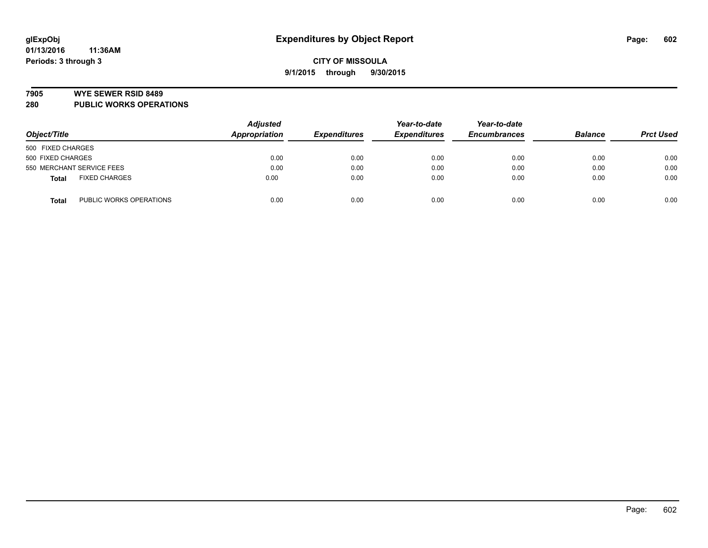#### **7905 WYE SEWER RSID 8489**

**280 PUBLIC WORKS OPERATIONS**

|                                         | <b>Adjusted</b> |                     | Year-to-date<br><b>Expenditures</b> | Year-to-date<br><b>Encumbrances</b> | <b>Balance</b> |                  |
|-----------------------------------------|-----------------|---------------------|-------------------------------------|-------------------------------------|----------------|------------------|
| Object/Title                            | Appropriation   | <b>Expenditures</b> |                                     |                                     |                | <b>Prct Used</b> |
| 500 FIXED CHARGES                       |                 |                     |                                     |                                     |                |                  |
| 500 FIXED CHARGES                       | 0.00            | 0.00                | 0.00                                | 0.00                                | 0.00           | 0.00             |
| 550 MERCHANT SERVICE FEES               | 0.00            | 0.00                | 0.00                                | 0.00                                | 0.00           | 0.00             |
| <b>FIXED CHARGES</b><br><b>Total</b>    | 0.00            | 0.00                | 0.00                                | 0.00                                | 0.00           | 0.00             |
| PUBLIC WORKS OPERATIONS<br><b>Total</b> | 0.00            | 0.00                | 0.00                                | 0.00                                | 0.00           | 0.00             |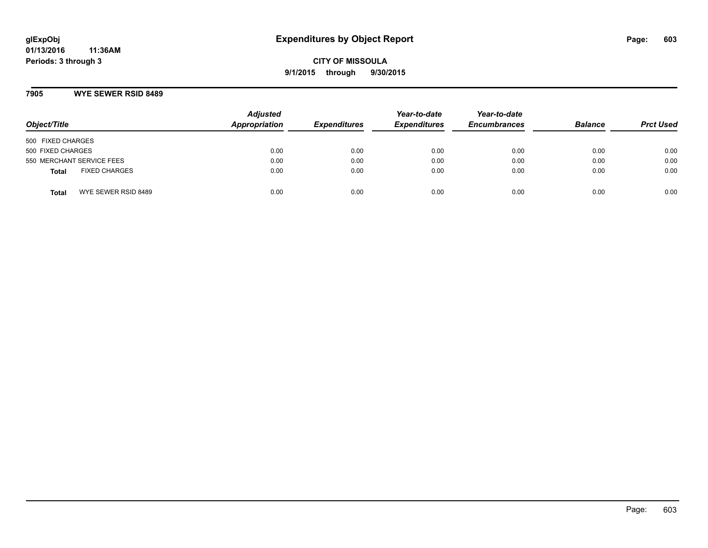**CITY OF MISSOULA 9/1/2015 through 9/30/2015**

### **7905 WYE SEWER RSID 8489**

| Object/Title                         | <b>Adjusted</b><br>Appropriation | <b>Expenditures</b> | Year-to-date<br><b>Expenditures</b> | Year-to-date<br><b>Encumbrances</b> | <b>Balance</b> | <b>Prct Used</b> |
|--------------------------------------|----------------------------------|---------------------|-------------------------------------|-------------------------------------|----------------|------------------|
| 500 FIXED CHARGES                    |                                  |                     |                                     |                                     |                |                  |
| 500 FIXED CHARGES                    | 0.00                             | 0.00                | 0.00                                | 0.00                                | 0.00           | 0.00             |
| 550 MERCHANT SERVICE FEES            | 0.00                             | 0.00                | 0.00                                | 0.00                                | 0.00           | 0.00             |
| <b>FIXED CHARGES</b><br><b>Total</b> | 0.00                             | 0.00                | 0.00                                | 0.00                                | 0.00           | 0.00             |
| WYE SEWER RSID 8489<br><b>Total</b>  | 0.00                             | 0.00                | 0.00                                | 0.00                                | 0.00           | 0.00             |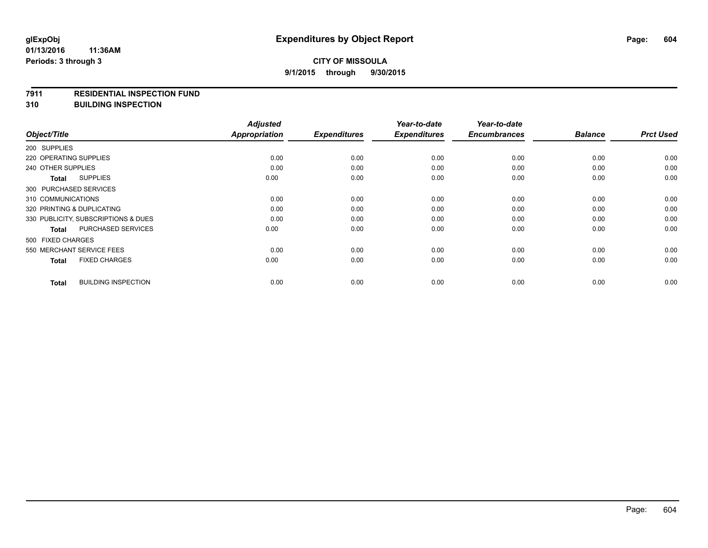#### **7911 RESIDENTIAL INSPECTION FUND**

**310 BUILDING INSPECTION**

|                                     |                            | <b>Adjusted</b>      |                     | Year-to-date        | Year-to-date        |                |                  |
|-------------------------------------|----------------------------|----------------------|---------------------|---------------------|---------------------|----------------|------------------|
| Object/Title                        |                            | <b>Appropriation</b> | <b>Expenditures</b> | <b>Expenditures</b> | <b>Encumbrances</b> | <b>Balance</b> | <b>Prct Used</b> |
| 200 SUPPLIES                        |                            |                      |                     |                     |                     |                |                  |
| 220 OPERATING SUPPLIES              |                            | 0.00                 | 0.00                | 0.00                | 0.00                | 0.00           | 0.00             |
| 240 OTHER SUPPLIES                  |                            | 0.00                 | 0.00                | 0.00                | 0.00                | 0.00           | 0.00             |
| <b>Total</b>                        | <b>SUPPLIES</b>            | 0.00                 | 0.00                | 0.00                | 0.00                | 0.00           | 0.00             |
| 300 PURCHASED SERVICES              |                            |                      |                     |                     |                     |                |                  |
| 310 COMMUNICATIONS                  |                            | 0.00                 | 0.00                | 0.00                | 0.00                | 0.00           | 0.00             |
| 320 PRINTING & DUPLICATING          |                            | 0.00                 | 0.00                | 0.00                | 0.00                | 0.00           | 0.00             |
| 330 PUBLICITY, SUBSCRIPTIONS & DUES |                            | 0.00                 | 0.00                | 0.00                | 0.00                | 0.00           | 0.00             |
| Total                               | PURCHASED SERVICES         | 0.00                 | 0.00                | 0.00                | 0.00                | 0.00           | 0.00             |
| 500 FIXED CHARGES                   |                            |                      |                     |                     |                     |                |                  |
| 550 MERCHANT SERVICE FEES           |                            | 0.00                 | 0.00                | 0.00                | 0.00                | 0.00           | 0.00             |
| <b>Total</b>                        | <b>FIXED CHARGES</b>       | 0.00                 | 0.00                | 0.00                | 0.00                | 0.00           | 0.00             |
| <b>Total</b>                        | <b>BUILDING INSPECTION</b> | 0.00                 | 0.00                | 0.00                | 0.00                | 0.00           | 0.00             |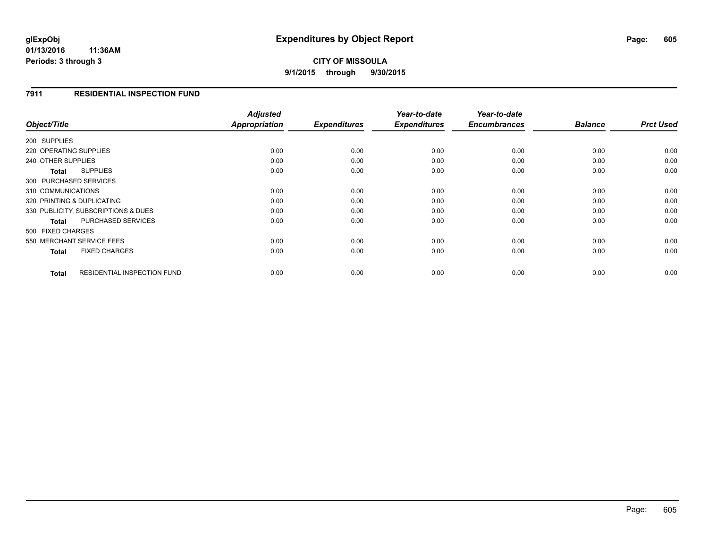## **CITY OF MISSOULA 9/1/2015 through 9/30/2015**

## **7911 RESIDENTIAL INSPECTION FUND**

| Object/Title                                | <b>Adjusted</b><br>Appropriation | <b>Expenditures</b> | Year-to-date<br><b>Expenditures</b> | Year-to-date<br><b>Encumbrances</b> | <b>Balance</b> | <b>Prct Used</b> |
|---------------------------------------------|----------------------------------|---------------------|-------------------------------------|-------------------------------------|----------------|------------------|
|                                             |                                  |                     |                                     |                                     |                |                  |
| 200 SUPPLIES                                |                                  |                     |                                     |                                     |                |                  |
| 220 OPERATING SUPPLIES                      | 0.00                             | 0.00                | 0.00                                | 0.00                                | 0.00           | 0.00             |
| 240 OTHER SUPPLIES                          | 0.00                             | 0.00                | 0.00                                | 0.00                                | 0.00           | 0.00             |
| <b>SUPPLIES</b><br>Total                    | 0.00                             | 0.00                | 0.00                                | 0.00                                | 0.00           | 0.00             |
| 300 PURCHASED SERVICES                      |                                  |                     |                                     |                                     |                |                  |
| 310 COMMUNICATIONS                          | 0.00                             | 0.00                | 0.00                                | 0.00                                | 0.00           | 0.00             |
| 320 PRINTING & DUPLICATING                  | 0.00                             | 0.00                | 0.00                                | 0.00                                | 0.00           | 0.00             |
| 330 PUBLICITY, SUBSCRIPTIONS & DUES         | 0.00                             | 0.00                | 0.00                                | 0.00                                | 0.00           | 0.00             |
| PURCHASED SERVICES<br>Total                 | 0.00                             | 0.00                | 0.00                                | 0.00                                | 0.00           | 0.00             |
| 500 FIXED CHARGES                           |                                  |                     |                                     |                                     |                |                  |
| 550 MERCHANT SERVICE FEES                   | 0.00                             | 0.00                | 0.00                                | 0.00                                | 0.00           | 0.00             |
| <b>FIXED CHARGES</b><br><b>Total</b>        | 0.00                             | 0.00                | 0.00                                | 0.00                                | 0.00           | 0.00             |
| <b>RESIDENTIAL INSPECTION FUND</b><br>Total | 0.00                             | 0.00                | 0.00                                | 0.00                                | 0.00           | 0.00             |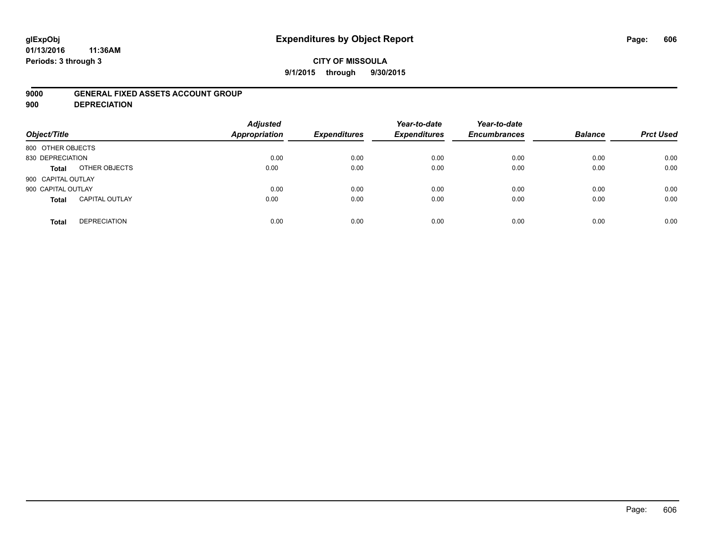## **glExpObj Expenditures by Object Report Page: 606**

**01/13/2016 11:36AM Periods: 3 through 3**

### **9000 GENERAL FIXED ASSETS ACCOUNT GROUP**

**900 DEPRECIATION**

| Object/Title                          | <b>Adjusted</b><br><b>Appropriation</b> | <b>Expenditures</b> | Year-to-date<br><b>Expenditures</b> | Year-to-date<br><b>Encumbrances</b> | <b>Balance</b> | <b>Prct Used</b> |
|---------------------------------------|-----------------------------------------|---------------------|-------------------------------------|-------------------------------------|----------------|------------------|
| 800 OTHER OBJECTS                     |                                         |                     |                                     |                                     |                |                  |
| 830 DEPRECIATION                      | 0.00                                    | 0.00                | 0.00                                | 0.00                                | 0.00           | 0.00             |
| OTHER OBJECTS<br>Total                | 0.00                                    | 0.00                | 0.00                                | 0.00                                | 0.00           | 0.00             |
| 900 CAPITAL OUTLAY                    |                                         |                     |                                     |                                     |                |                  |
| 900 CAPITAL OUTLAY                    | 0.00                                    | 0.00                | 0.00                                | 0.00                                | 0.00           | 0.00             |
| <b>CAPITAL OUTLAY</b><br><b>Total</b> | 0.00                                    | 0.00                | 0.00                                | 0.00                                | 0.00           | 0.00             |
| <b>DEPRECIATION</b><br><b>Total</b>   | 0.00                                    | 0.00                | 0.00                                | 0.00                                | 0.00           | 0.00             |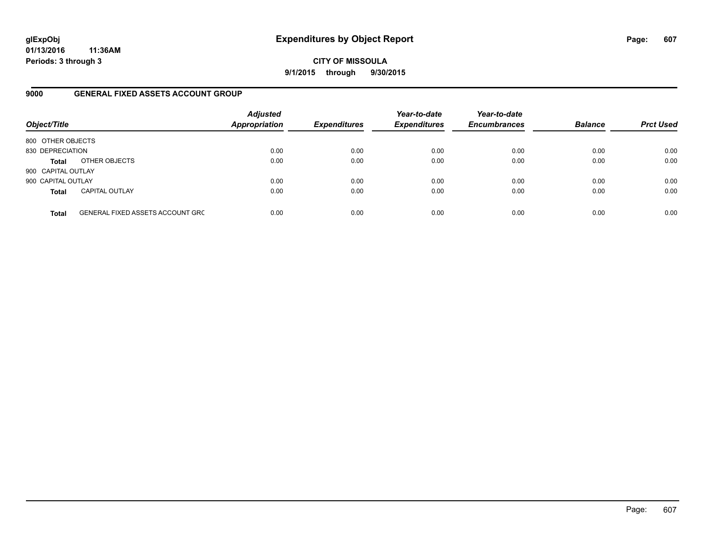**CITY OF MISSOULA 9/1/2015 through 9/30/2015**

### **9000 GENERAL FIXED ASSETS ACCOUNT GROUP**

| Object/Title       |                                         | <b>Adjusted</b><br><b>Appropriation</b> | <b>Expenditures</b> | Year-to-date<br><b>Expenditures</b> | Year-to-date<br><b>Encumbrances</b> | <b>Balance</b> | <b>Prct Used</b> |
|--------------------|-----------------------------------------|-----------------------------------------|---------------------|-------------------------------------|-------------------------------------|----------------|------------------|
| 800 OTHER OBJECTS  |                                         |                                         |                     |                                     |                                     |                |                  |
| 830 DEPRECIATION   |                                         | 0.00                                    | 0.00                | 0.00                                | 0.00                                | 0.00           | 0.00             |
| <b>Total</b>       | OTHER OBJECTS                           | 0.00                                    | 0.00                | 0.00                                | 0.00                                | 0.00           | 0.00             |
| 900 CAPITAL OUTLAY |                                         |                                         |                     |                                     |                                     |                |                  |
| 900 CAPITAL OUTLAY |                                         | 0.00                                    | 0.00                | 0.00                                | 0.00                                | 0.00           | 0.00             |
| <b>Total</b>       | <b>CAPITAL OUTLAY</b>                   | 0.00                                    | 0.00                | 0.00                                | 0.00                                | 0.00           | 0.00             |
| <b>Total</b>       | <b>GENERAL FIXED ASSETS ACCOUNT GRC</b> | 0.00                                    | 0.00                | 0.00                                | 0.00                                | 0.00           | 0.00             |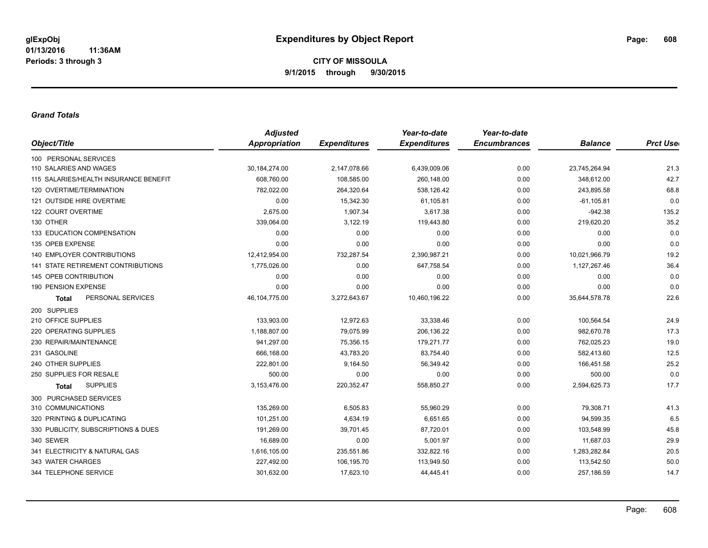### *Grand Totals*

|                                           | <b>Adjusted</b>      |                     | Year-to-date        | Year-to-date        |                |                  |
|-------------------------------------------|----------------------|---------------------|---------------------|---------------------|----------------|------------------|
| Object/Title                              | <b>Appropriation</b> | <b>Expenditures</b> | <b>Expenditures</b> | <b>Encumbrances</b> | <b>Balance</b> | <b>Prct User</b> |
| 100 PERSONAL SERVICES                     |                      |                     |                     |                     |                |                  |
| 110 SALARIES AND WAGES                    | 30,184,274.00        | 2,147,078.66        | 6,439,009.06        | 0.00                | 23,745,264.94  | 21.3             |
| 115 SALARIES/HEALTH INSURANCE BENEFIT     | 608,760.00           | 108,585.00          | 260,148.00          | 0.00                | 348,612.00     | 42.7             |
| 120 OVERTIME/TERMINATION                  | 782,022.00           | 264,320.64          | 538,126.42          | 0.00                | 243,895.58     | 68.8             |
| 121 OUTSIDE HIRE OVERTIME                 | 0.00                 | 15,342.30           | 61,105.81           | 0.00                | $-61, 105.81$  | 0.0              |
| 122 COURT OVERTIME                        | 2,675.00             | 1,907.34            | 3,617.38            | 0.00                | $-942.38$      | 135.2            |
| 130 OTHER                                 | 339,064.00           | 3,122.19            | 119,443.80          | 0.00                | 219,620.20     | 35.2             |
| 133 EDUCATION COMPENSATION                | 0.00                 | 0.00                | 0.00                | 0.00                | 0.00           | 0.0              |
| 135 OPEB EXPENSE                          | 0.00                 | 0.00                | 0.00                | 0.00                | 0.00           | 0.0              |
| <b>140 EMPLOYER CONTRIBUTIONS</b>         | 12,412,954.00        | 732,287.54          | 2,390,987.21        | 0.00                | 10,021,966.79  | 19.2             |
| <b>141 STATE RETIREMENT CONTRIBUTIONS</b> | 1,775,026.00         | 0.00                | 647,758.54          | 0.00                | 1,127,267.46   | 36.4             |
| 145 OPEB CONTRIBUTION                     | 0.00                 | 0.00                | 0.00                | 0.00                | 0.00           | 0.0              |
| 190 PENSION EXPENSE                       | 0.00                 | 0.00                | 0.00                | 0.00                | 0.00           | 0.0              |
| PERSONAL SERVICES<br><b>Total</b>         | 46, 104, 775.00      | 3,272,643.67        | 10,460,196.22       | 0.00                | 35,644,578.78  | 22.6             |
| 200 SUPPLIES                              |                      |                     |                     |                     |                |                  |
| 210 OFFICE SUPPLIES                       | 133,903.00           | 12,972.63           | 33,338.46           | 0.00                | 100,564.54     | 24.9             |
| 220 OPERATING SUPPLIES                    | 1,188,807.00         | 79,075.99           | 206,136.22          | 0.00                | 982,670.78     | 17.3             |
| 230 REPAIR/MAINTENANCE                    | 941,297.00           | 75,356.15           | 179,271.77          | 0.00                | 762,025.23     | 19.0             |
| 231 GASOLINE                              | 666,168.00           | 43,783.20           | 83,754.40           | 0.00                | 582,413.60     | 12.5             |
| 240 OTHER SUPPLIES                        | 222,801.00           | 9,164.50            | 56,349.42           | 0.00                | 166,451.58     | 25.2             |
| 250 SUPPLIES FOR RESALE                   | 500.00               | 0.00                | 0.00                | 0.00                | 500.00         | 0.0              |
| <b>SUPPLIES</b><br>Total                  | 3,153,476.00         | 220,352.47          | 558,850.27          | 0.00                | 2,594,625.73   | 17.7             |
| 300 PURCHASED SERVICES                    |                      |                     |                     |                     |                |                  |
| 310 COMMUNICATIONS                        | 135.269.00           | 6,505.83            | 55,960.29           | 0.00                | 79,308.71      | 41.3             |
| 320 PRINTING & DUPLICATING                | 101,251.00           | 4,634.19            | 6,651.65            | 0.00                | 94,599.35      | 6.5              |
| 330 PUBLICITY, SUBSCRIPTIONS & DUES       | 191,269.00           | 39,701.45           | 87,720.01           | 0.00                | 103,548.99     | 45.8             |
| 340 SEWER                                 | 16,689.00            | 0.00                | 5,001.97            | 0.00                | 11,687.03      | 29.9             |
| 341 ELECTRICITY & NATURAL GAS             | 1,616,105.00         | 235,551.86          | 332,822.16          | 0.00                | 1,283,282.84   | 20.5             |
| 343 WATER CHARGES                         | 227,492.00           | 106,195.70          | 113,949.50          | 0.00                | 113,542.50     | 50.0             |
| 344 TELEPHONE SERVICE                     | 301,632.00           | 17,623.10           | 44,445.41           | 0.00                | 257,186.59     | 14.7             |
|                                           |                      |                     |                     |                     |                |                  |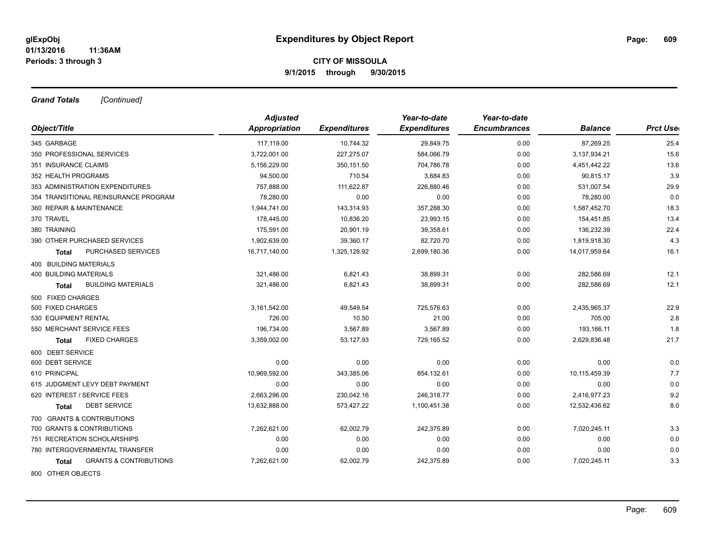*Grand Totals [Continued]*

|                                            | <b>Adjusted</b>      |                     | Year-to-date        | Year-to-date        |                |                  |
|--------------------------------------------|----------------------|---------------------|---------------------|---------------------|----------------|------------------|
| Object/Title                               | <b>Appropriation</b> | <b>Expenditures</b> | <b>Expenditures</b> | <b>Encumbrances</b> | <b>Balance</b> | <b>Prct Uset</b> |
| 345 GARBAGE                                | 117,119.00           | 10,744.32           | 29,849.75           | 0.00                | 87,269.25      | 25.4             |
| 350 PROFESSIONAL SERVICES                  | 3,722,001.00         | 227,275.07          | 584,066.79          | 0.00                | 3,137,934.21   | 15.6             |
| 351 INSURANCE CLAIMS                       | 5,156,229.00         | 350, 151.50         | 704,786.78          | 0.00                | 4,451,442.22   | 13.6             |
| 352 HEALTH PROGRAMS                        | 94,500.00            | 710.54              | 3,684.83            | 0.00                | 90,815.17      | 3.9              |
| 353 ADMINISTRATION EXPENDITURES            | 757,888.00           | 111,622.87          | 226,880.46          | 0.00                | 531,007.54     | 29.9             |
| 354 TRANSITIONAL REINSURANCE PROGRAM       | 78,280.00            | 0.00                | 0.00                | 0.00                | 78,280.00      | 0.0              |
| 360 REPAIR & MAINTENANCE                   | 1,944,741.00         | 143,314.93          | 357,288.30          | 0.00                | 1,587,452.70   | 18.3             |
| 370 TRAVEL                                 | 178,445.00           | 10,836.20           | 23,993.15           | 0.00                | 154,451.85     | 13.4             |
| 380 TRAINING                               | 175,591.00           | 20,901.19           | 39,358.61           | 0.00                | 136,232.39     | 22.4             |
| 390 OTHER PURCHASED SERVICES               | 1,902,639.00         | 39,360.17           | 82,720.70           | 0.00                | 1,819,918.30   | 4.3              |
| PURCHASED SERVICES<br>Total                | 16,717,140.00        | 1,325,128.92        | 2,699,180.36        | 0.00                | 14,017,959.64  | 16.1             |
| <b>400 BUILDING MATERIALS</b>              |                      |                     |                     |                     |                |                  |
| 400 BUILDING MATERIALS                     | 321,486.00           | 6,821.43            | 38,899.31           | 0.00                | 282,586.69     | 12.1             |
| <b>BUILDING MATERIALS</b><br><b>Total</b>  | 321,486.00           | 6,821.43            | 38,899.31           | 0.00                | 282,586.69     | 12.1             |
| 500 FIXED CHARGES                          |                      |                     |                     |                     |                |                  |
| 500 FIXED CHARGES                          | 3,161,542.00         | 49,549.54           | 725,576.63          | 0.00                | 2,435,965.37   | 22.9             |
| 530 EQUIPMENT RENTAL                       | 726.00               | 10.50               | 21.00               | 0.00                | 705.00         | 2.8              |
| 550 MERCHANT SERVICE FEES                  | 196,734.00           | 3,567.89            | 3,567.89            | 0.00                | 193,166.11     | 1.8              |
| <b>FIXED CHARGES</b><br>Total              | 3,359,002.00         | 53,127.93           | 729,165.52          | 0.00                | 2,629,836.48   | 21.7             |
| 600 DEBT SERVICE                           |                      |                     |                     |                     |                |                  |
| 600 DEBT SERVICE                           | 0.00                 | 0.00                | 0.00                | 0.00                | 0.00           | 0.0              |
| 610 PRINCIPAL                              | 10,969,592.00        | 343,385.06          | 854,132.61          | 0.00                | 10,115,459.39  | 7.7              |
| 615 JUDGMENT LEVY DEBT PAYMENT             | 0.00                 | 0.00                | 0.00                | 0.00                | 0.00           | 0.0              |
| 620 INTEREST / SERVICE FEES                | 2,663,296.00         | 230,042.16          | 246,318.77          | 0.00                | 2,416,977.23   | 9.2              |
| <b>DEBT SERVICE</b><br>Total               | 13,632,888.00        | 573,427.22          | 1,100,451.38        | 0.00                | 12,532,436.62  | 8.0              |
| 700 GRANTS & CONTRIBUTIONS                 |                      |                     |                     |                     |                |                  |
| 700 GRANTS & CONTRIBUTIONS                 | 7,262,621.00         | 62,002.79           | 242,375.89          | 0.00                | 7,020,245.11   | 3.3              |
| 751 RECREATION SCHOLARSHIPS                | 0.00                 | 0.00                | 0.00                | 0.00                | 0.00           | 0.0              |
| 780 INTERGOVERNMENTAL TRANSFER             | 0.00                 | 0.00                | 0.00                | 0.00                | 0.00           | 0.0              |
| <b>GRANTS &amp; CONTRIBUTIONS</b><br>Total | 7,262,621.00         | 62,002.79           | 242,375.89          | 0.00                | 7,020,245.11   | 3.3              |
| 800 OTHER OBJECTS                          |                      |                     |                     |                     |                |                  |